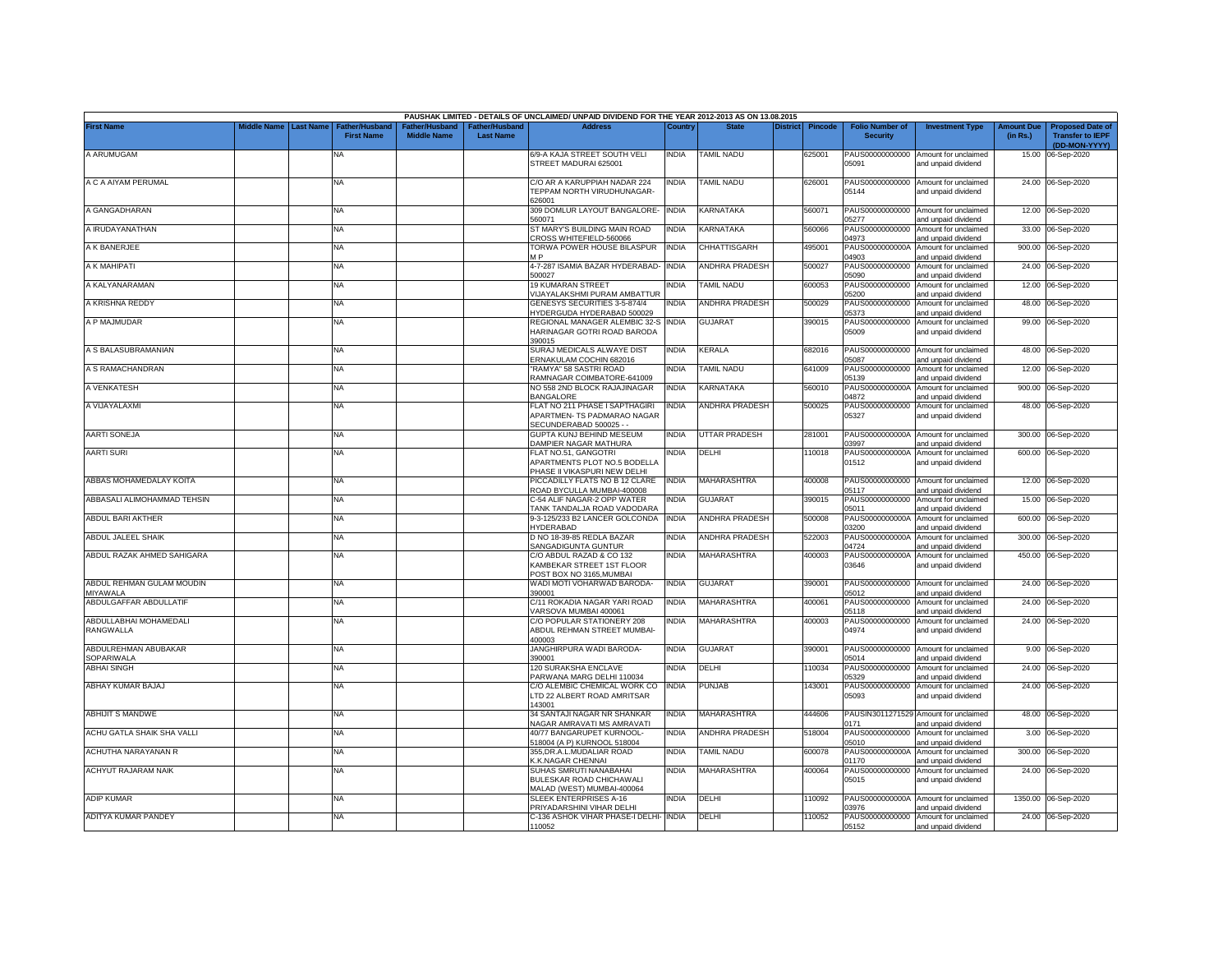|                                           |             |           |                   |                    |                                  | PAUSHAK LIMITED - DETAILS OF UNCLAIMED/ UNPAID DIVIDEND FOR THE YEAR 2012-2013 AS ON 13.08.2015 |              |                       |                |                                           |                                                              |                        |                                                                     |
|-------------------------------------------|-------------|-----------|-------------------|--------------------|----------------------------------|-------------------------------------------------------------------------------------------------|--------------|-----------------------|----------------|-------------------------------------------|--------------------------------------------------------------|------------------------|---------------------------------------------------------------------|
| <b>First Name</b>                         | Middle Name | Last Name | <b>First Name</b> | <b>Middle Name</b> | ther/Husband<br><b>Last Name</b> | <b>Address</b>                                                                                  | Country      | <b>District</b>       | <b>Pincode</b> | <b>Folio Number of</b><br><b>Security</b> | <b>Investment Type</b>                                       | Amount Due<br>(in Rs.) | <b>Proposed Date of</b><br><b>Transfer to IEPF</b><br>(DD-MON-YYYY) |
| A ARUMUGAM                                |             |           | <b>NA</b>         |                    |                                  | 6/9-A KAJA STREET SOUTH VELI<br>STREET MADURAI 625001                                           | INDIA        | <b>TAMIL NADU</b>     | 625001         | PAUS00000000000<br>05091                  | Amount for unclaimed<br>and unpaid dividend                  | 15.00                  | 06-Sep-2020                                                         |
| A C A AIYAM PERUMAL                       |             |           | NA                |                    |                                  | C/O AR A KARUPPIAH NADAR 224<br><b>FEPPAM NORTH VIRUDHUNAGAR-</b><br>326001                     | INDIA        | <b>TAMIL NADU</b>     | 626001         | PAUS00000000000<br>05144                  | Amount for unclaimed<br>and unpaid dividend                  |                        | 24.00 06-Sep-2020                                                   |
| A GANGADHARAN                             |             |           | NA                |                    |                                  | 309 DOMLUR LAYOUT BANGALORE-<br>60071                                                           | <b>INDIA</b> | KARNATAKA             | 560071         | PAUS00000000000<br>05277                  | Amount for unclaimed<br>and unpaid dividend                  | 12.00                  | 06-Sep-2020                                                         |
| A IRUDAYANATHAN                           |             |           | <b>NA</b>         |                    |                                  | ST MARY'S BUILDING MAIN ROAD<br>ROSS WHITEFIELD-560066                                          | <b>INDIA</b> | KARNATAKA             | 60066          | PAUS00000000000<br>04973                  | Amount for unclaimed<br>nd unpaid dividend                   | 33.00                  | 06-Sep-2020                                                         |
| A K BANERJEE                              |             |           | NA                |                    |                                  | TORWA POWER HOUSE BILASPUR<br>MD                                                                | <b>INDIA</b> | CHHATTISGARH          | 495001         | PAUS0000000000A<br>04903                  | Amount for unclaimed<br>and unpaid dividend                  | 900.00                 | 06-Sep-2020                                                         |
| A K MAHIPATI                              |             |           | NA                |                    |                                  | 4-7-287 ISAMIA BAZAR HYDERABAD-<br>500027                                                       | <b>INDIA</b> | <b>ANDHRA PRADESH</b> | 500027         | PAUS00000000000<br>05090                  | Amount for unclaimed<br>and unpaid dividend                  | 24.00                  | 06-Sep-2020                                                         |
| A KALYANARAMAN                            |             |           | NA                |                    |                                  | 19 KUMARAN STREET<br><b>IUAYALAKSHMI PURAM AMBATTUR</b>                                         | India        | TAMIL NADU            | 600053         | PAUS00000000000<br>05200                  | Amount for unclaimed<br>and unpaid dividend                  | 12.00                  | 06-Sep-2020                                                         |
| A KRISHNA REDDY                           |             |           | <b>NA</b>         |                    |                                  | GENESYS SECURITIES 3-5-874/4<br>IYDERGUDA HYDERABAD 500029                                      | <b>INDIA</b> | <b>ANDHRA PRADESH</b> | 500029         | PAUS00000000000<br>05373                  | Amount for unclaimed<br>and unpaid dividend                  | 48.00                  | 06-Sep-2020                                                         |
| A P MAJMUDAR                              |             |           | <b>NA</b>         |                    |                                  | REGIONAL MANAGER ALEMBIC 32-S<br>HARINAGAR GOTRI ROAD BARODA<br>390015                          | <b>INDIA</b> | <b>GUJARAT</b>        | 390015         | PAUS00000000000<br>05009                  | Amount for unclaimed<br>and unpaid dividend                  | 99.00                  | 06-Sep-2020                                                         |
| A S BALASUBRAMANIAN                       |             |           | NA                |                    |                                  | SURAJ MEDICALS ALWAYE DIST<br>ERNAKULAM COCHIN 682016                                           | <b>INDIA</b> | KERALA                | 682016         | PAUS00000000000<br>05087                  | Amount for unclaimed<br>and unpaid dividend                  | 48.00                  | 06-Sep-2020                                                         |
| A S RAMACHANDRAN                          |             |           | NA                |                    |                                  | 'RAMYA" 58 SASTRI ROAD<br><b>RAMNAGAR COIMBATORE-641009</b>                                     | India        | <b>AMIL NADU</b>      | 641009         | PAUS00000000000<br>05139                  | Amount for unclaimed<br>and unpaid dividend                  | 12.00                  | 06-Sep-2020                                                         |
| A VENKATESH                               |             |           | <b>NA</b>         |                    |                                  | NO 558 2ND BLOCK RAJAJINAGAR<br><b>BANGALORE</b>                                                | <b>INDIA</b> | <b>KARNATAKA</b>      | 560010         | PAUS0000000000A<br>04872                  | Amount for unclaimed<br>and unpaid dividend                  | 900.00                 | 06-Sep-2020                                                         |
| A VIJAYALAXMI                             |             |           | <b>NA</b>         |                    |                                  | FLAT NO 211 PHASE I SAPTHAGIRI<br>APARTMEN-TS PADMARAO NAGAR<br>SECUNDERABAD 500025 - -         | NDIA         | ANDHRA PRADESH        | 500025         | PAUS00000000000<br>05327                  | Amount for unclaimed<br>and unpaid dividend                  |                        | 48.00 06-Sep-2020                                                   |
| <b>AARTI SONEJA</b>                       |             |           | <b>NA</b>         |                    |                                  | GUPTA KUNJ BEHIND MESEUM<br>DAMPIER NAGAR MATHURA                                               | India        | UTTAR PRADESH         | 281001         | 03997                                     | PAUS0000000000A Amount for unclaimed<br>and unpaid dividend  |                        | 300.00 06-Sep-2020                                                  |
| <b>AARTI SURI</b>                         |             |           | <b>NA</b>         |                    |                                  | FLAT NO.51, GANGOTRI<br>APARTMENTS PLOT NO.5 BODELLA<br>PHASE II VIKASPURI NEW DELHI            | NDIA         | DELHI                 | 110018         | PAUS0000000000A<br>01512                  | Amount for unclaimed<br>and unpaid dividend                  |                        | 600.00 06-Sep-2020                                                  |
| ABBAS MOHAMEDALAY KOITA                   |             |           | <b>NA</b>         |                    |                                  | PICCADILLY FLATS NO B 12 CLARE<br>ROAD BYCULLA MUMBAI-400008                                    | <b>INDIA</b> | <b>MAHARASHTRA</b>    | 400008         | PAUS00000000000<br>05117                  | Amount for unclaimed<br>and unpaid dividend                  |                        | 12.00 06-Sep-2020                                                   |
| ABBASALI ALIMOHAMMAD TEHSIN               |             |           | NA                |                    |                                  | C-54 ALIF NAGAR-2 OPP WATER<br><b>FANK TANDALJA ROAD VADODARA</b>                               | NDIA         | <b>GUJARAT</b>        | 390015         | PAUS00000000000<br>05011                  | Amount for unclaimed<br>and unpaid dividend                  |                        | 15.00 06-Sep-2020                                                   |
| ABDUL BARI AKTHER                         |             |           | <b>NA</b>         |                    |                                  | 9-3-125/233 B2 LANCER GOLCONDA<br><b>IYDERABAD</b>                                              | <b>INDIA</b> | ANDHRA PRADESH        | 500008         | PAUS0000000000A<br>03200                  | Amount for unclaimed<br>and unpaid dividend                  |                        | 600.00 06-Sep-2020                                                  |
| ABDUL JALEEL SHAIK                        |             |           | NA                |                    |                                  | D NO 18-39-85 REDLA BAZAR<br>SANGADIGUNTA GUNTUR                                                | India        | <b>ANDHRA PRADESH</b> | 522003         | PAUS0000000000A<br>04724                  | Amount for unclaimed<br>and unpaid dividend                  | 300.00                 | 06-Sep-2020                                                         |
| ABDUL RAZAK AHMED SAHIGARA                |             |           | <b>NA</b>         |                    |                                  | C/O ABDUL RAZAD & CO 132<br><b>KAMBEKAR STREET 1ST FLOOR</b><br>OST BOX NO 3165.MUMBAI          | NDIA         | MAHARASHTRA           | 400003         | PAUS0000000000A<br>03646                  | Amount for unclaimed<br>and unpaid dividend                  | 450.00                 | 06-Sep-2020                                                         |
| ABDUL REHMAN GULAM MOUDIN<br>MIYAWALA     |             |           | NA                |                    |                                  | WADI MOTI VOHARWAD BARODA-<br>390001                                                            | <b>INDIA</b> | <b>GUJARAT</b>        | 390001         | 05012                                     | PAUS00000000000 Amount for unclaimed<br>nd unpaid dividend   |                        | 24.00 06-Sep-2020                                                   |
| ABDULGAFFAR ABDULLATIF                    |             |           | <b>NA</b>         |                    |                                  | C/11 ROKADIA NAGAR YARI ROAD<br>/ARSOVA MUMBAI 400061                                           | <b>INDIA</b> | MAHARASHTRA           | 400061         | PAUS00000000000<br>05118                  | Amount for unclaimed<br>and unpaid dividend                  | 24.00                  | 06-Sep-2020                                                         |
| ABDULLABHAI MOHAMEDALI<br>RANGWALLA       |             |           | NA                |                    |                                  | C/O POPULAR STATIONERY 208<br>ABDUL REHMAN STREET MUMBAI-<br>100003                             | <b>INDIA</b> | MAHARASHTRA           | 400003         | PAUS00000000000<br>04974                  | Amount for unclaimed<br>and unpaid dividend                  |                        | 24.00 06-Sep-2020                                                   |
| ABDULREHMAN ABUBAKAR<br><b>SOPARIWALA</b> |             |           | <b>NA</b>         |                    |                                  | JANGHIRPURA WADI BARODA-<br>390001                                                              | <b>INDIA</b> | <b>GUJARAT</b>        | 390001         | PAUS00000000000<br>05014                  | Amount for unclaimed<br>and unpaid dividend                  | 9.00                   | 06-Sep-2020                                                         |
| <b>ABHAI SINGH</b>                        |             |           | NA                |                    |                                  | 120 SURAKSHA ENCLAVE<br>PARWANA MARG DELHI 110034                                               | <b>INDIA</b> | DELHI                 | 10034          | PAUS00000000000<br>05329                  | Amount for unclaimed<br>and unpaid dividend                  | 24.00                  | 06-Sep-2020                                                         |
| ABHAY KUMAR BAJAJ                         |             |           | <b>NA</b>         |                    |                                  | C/O ALEMBIC CHEMICAL WORK CO<br>TD 22 ALBERT ROAD AMRITSAR<br>143001                            | <b>INDIA</b> | PUNJAB                | 143001         | PAUS00000000000<br>05093                  | Amount for unclaimed<br>and unpaid dividend                  | 24.00                  | 06-Sep-2020                                                         |
| <b>ABHIJIT S MANDWE</b>                   |             |           | NA                |                    |                                  | 34 SANTAJI NAGAR NR SHANKAR<br><b>JAGAR AMRAVATI MS AMRAVATI</b>                                | <b>INDIA</b> | MAHARASHTRA           | 144606         | 0171                                      | PAUSIN3011271529 Amount for unclaimed<br>and unpaid dividend |                        | 48.00 06-Sep-2020                                                   |
| ACHU GATLA SHAIK SHA VALLI                |             |           | NA.               |                    |                                  | 40/77 BANGARUPET KURNOOL-<br>518004 (A P) KURNOOL 518004                                        | INDIA        | ANDHRA PRADESH        | 518004         | PAUS00000000000<br>05010                  | Amount for unclaimed<br>and unpaid dividend                  | 3.00                   | 06-Sep-2020                                                         |
| ACHUTHA NARAYANAN R                       |             |           | NA                |                    |                                  | 355, DR.A.L.MUDALIAR ROAD<br><b>.K.NAGAR CHENNAI</b>                                            | <b>INDIA</b> | <b>TAMIL NADU</b>     | 600078         | PAUS0000000000A<br>01170                  | Amount for unclaimed<br>and unpaid dividend                  | 300.00                 | 06-Sep-2020                                                         |
| ACHYUT RAJARAM NAIK                       |             |           | <b>NA</b>         |                    |                                  | SUHAS SMRUTI NANABAHAI<br>BULESKAR ROAD CHICHAWALI<br>MALAD (WEST) MUMBAI-400064                | <b>INDIA</b> | MAHARASHTRA           | 400064         | PAUS00000000000<br>05015                  | Amount for unclaimed<br>and unpaid dividend                  |                        | 24.00 06-Sep-2020                                                   |
| <b>ADIP KUMAR</b>                         |             |           | NA                |                    |                                  | <b>SLEEK ENTERPRISES A-16</b><br><b>PRIYADARSHINI VIHAR DELHI</b>                               | <b>INDIA</b> | DELHI                 | 110092         | PAUS0000000000A<br>03976                  | Amount for unclaimed<br>and unpaid dividend                  |                        | 1350.00 06-Sep-2020                                                 |
| ADITYA KUMAR PANDEY                       |             |           | NA.               |                    |                                  | C-136 ASHOK VIHAR PHASE-I DELHI- INDIA<br>110052                                                |              | DELHI                 | 10052          | PAUS00000000000<br>05152                  | Amount for unclaimed<br>and unpaid dividend                  |                        | 24.00 06-Sep-2020                                                   |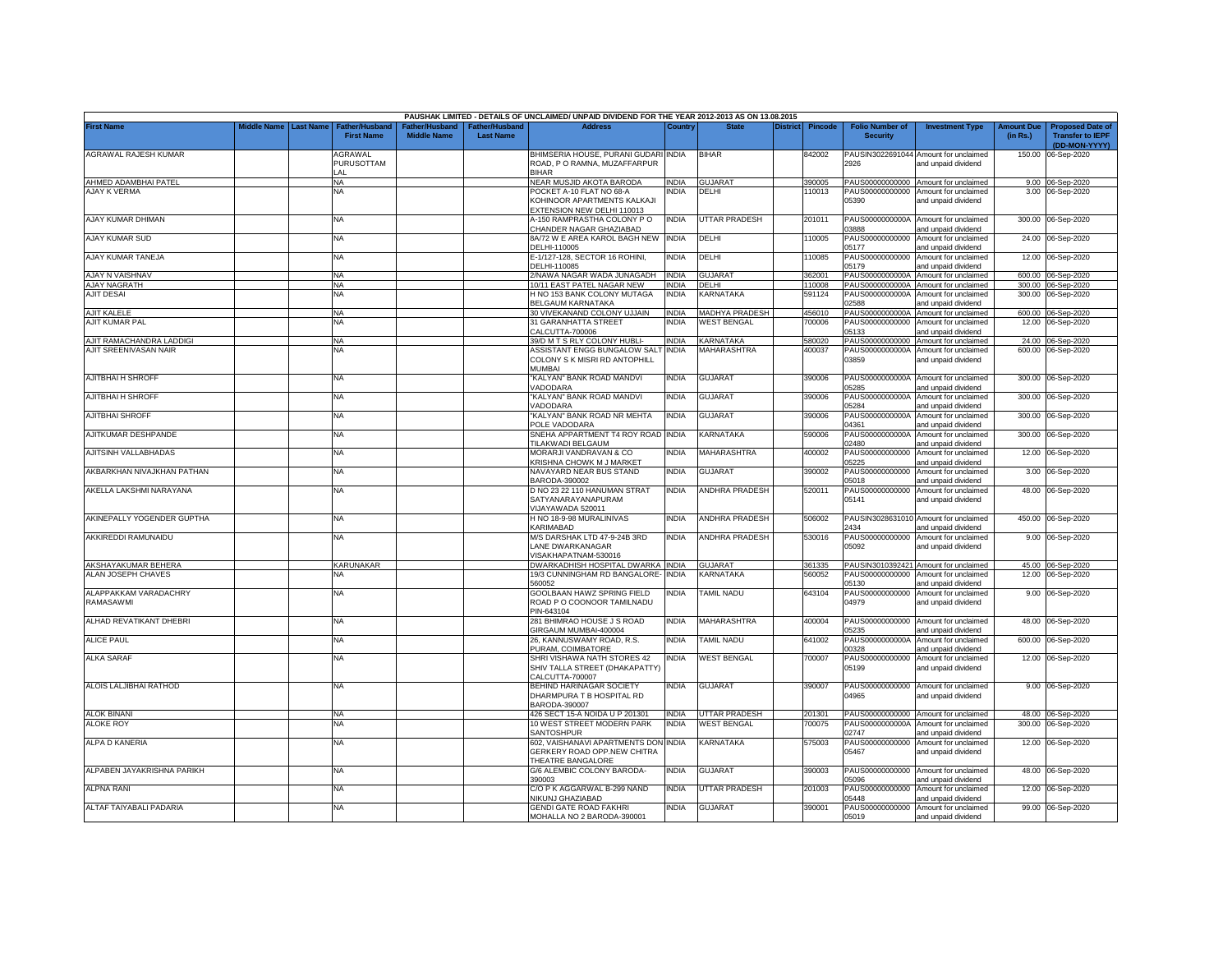|                               |             |                  |                                            |                                      |                                    | PAUSHAK LIMITED - DETAILS OF UNCLAIMED/ UNPAID DIVIDEND FOR THE YEAR 2012-2013 AS ON 13.08.2015 |                       |                       |          |                  |                                           |                                                              |                               |                                                                     |
|-------------------------------|-------------|------------------|--------------------------------------------|--------------------------------------|------------------------------------|-------------------------------------------------------------------------------------------------|-----------------------|-----------------------|----------|------------------|-------------------------------------------|--------------------------------------------------------------|-------------------------------|---------------------------------------------------------------------|
| <b>First Name</b>             | Middle Name | <b>Last Name</b> | <b>Father/Husband</b><br><b>First Name</b> | Father/Husband<br><b>Middle Name</b> | Father/Husband<br><b>Last Name</b> | <b>Address</b>                                                                                  | Country               | <b>State</b>          | District | <b>Pincode</b>   | <b>Folio Number of</b><br><b>Security</b> | <b>Investment Type</b>                                       | <b>Amount Due</b><br>(in Rs.) | <b>Proposed Date of</b><br><b>Transfer to IEPF</b><br>(DD-MON-YYYY) |
| AGRAWAL RAJESH KUMAR          |             |                  | AGRAWAL<br>PURUSOTTAM                      |                                      |                                    | BHIMSERIA HOUSE, PURANI GUDARI INDIA<br>ROAD, P O RAMNA, MUZAFFARPUR                            |                       | <b>BIHAR</b>          |          | 842002           | 2926                                      | PAUSIN3022691044 Amount for unclaimed<br>and unpaid dividend |                               | 150.00 06-Sep-2020                                                  |
| AHMED ADAMBHAI PATEL          |             |                  | LAL<br>ΝA                                  |                                      |                                    | <b>BIHAR</b><br>NEAR MUSJID AKOTA BARODA                                                        | INDIA                 | <b>GUJARAT</b>        |          | 390005           |                                           | PAUS00000000000 Amount for unclaimed                         |                               | 9.00 06-Sep-2020                                                    |
| <b>AJAY K VERMA</b>           |             |                  | NA                                         |                                      |                                    | POCKET A-10 FLAT NO 68-A                                                                        | NDIA                  | DELHI                 |          | 110013           | PAUS00000000000                           | Amount for unclaimed                                         |                               | 3.00 06-Sep-2020                                                    |
|                               |             |                  |                                            |                                      |                                    | KOHINOOR APARTMENTS KALKAJI<br><b>EXTENSION NEW DELHI 110013</b>                                |                       |                       |          |                  | 05390                                     | and unpaid dividend                                          |                               |                                                                     |
| AJAY KUMAR DHIMAN             |             |                  | <b>NA</b>                                  |                                      |                                    | A-150 RAMPRASTHA COLONY P O                                                                     | <b>INDIA</b>          | UTTAR PRADESH         |          | 201011           | PAUS0000000000A                           | Amount for unclaimed                                         |                               | 300.00 06-Sep-2020                                                  |
|                               |             |                  |                                            |                                      |                                    | CHANDER NAGAR GHAZIABAD                                                                         |                       |                       |          |                  | 03888                                     | and unpaid dividend                                          |                               |                                                                     |
| AJAY KUMAR SUD                |             |                  | <b>NA</b>                                  |                                      |                                    | 8A/72 W E AREA KAROL BAGH NEW<br>DELHI-110005                                                   | <b>INDIA</b>          | DELHI                 |          | 10005            | PAUS00000000000<br>05177                  | Amount for unclaimed<br>and unpaid dividend                  |                               | 24.00 06-Sep-2020                                                   |
| AJAY KUMAR TANEJA             |             |                  | <b>NA</b>                                  |                                      |                                    | E-1/127-128, SECTOR 16 ROHINI,                                                                  | <b>INDIA</b>          | DELHI                 |          | 110085           | PAUS00000000000                           | Amount for unclaimed                                         |                               | 12.00 06-Sep-2020                                                   |
| AJAY N VAISHNAV               |             |                  | <b>NA</b>                                  |                                      |                                    | DELHI-110085<br>2/NAWA NAGAR WADA JUNAGADH                                                      | <b>INDIA</b>          | GUJARAT               |          | 362001           | 05179<br>PAUS0000000000A                  | and unpaid dividend<br>Amount for unclaimed                  |                               | 600.00 06-Sep-2020                                                  |
| AJAY NAGRATH                  |             |                  | <b>NA</b>                                  |                                      |                                    | 10/11 EAST PATEL NAGAR NEW                                                                      | INDIA                 | DELHI                 |          | 110008           | PAUS0000000000A                           | Amount for unclaimed                                         |                               | 300.00 06-Sep-2020                                                  |
| <b>AJIT DESAI</b>             |             |                  | <b>NA</b>                                  |                                      |                                    | H NO 153 BANK COLONY MUTAGA                                                                     | INDIA                 | KARNATAKA             |          | 591124           | PAUS0000000000A                           | Amount for unclaimed                                         |                               | 300.00 06-Sep-2020                                                  |
|                               |             |                  |                                            |                                      |                                    | <b>BELGAUM KARNATAKA</b>                                                                        |                       | <b>MADHYA PRADESH</b> |          |                  | 02588<br>PAUS0000000000A                  | and unpaid dividend                                          |                               |                                                                     |
| AJIT KALELE<br>AJIT KUMAR PAL |             |                  | <b>NA</b><br><b>NA</b>                     |                                      |                                    | 30 VIVEKANAND COLONY UJJAIN<br>31 GARANHATTA STREET                                             | <b>INDIA</b><br>INDIA | <b>WEST BENGAL</b>    |          | 456010<br>700006 | PAUS00000000000                           | Amount for unclaimed<br>Amount for unclaimed                 |                               | 600.00 06-Sep-2020<br>12.00 06-Sep-2020                             |
|                               |             |                  |                                            |                                      |                                    | CALCUTTA-700006                                                                                 |                       |                       |          |                  | 05133                                     | and unpaid dividend                                          |                               |                                                                     |
| AJIT RAMACHANDRA LADDIGI      |             |                  | <b>NA</b>                                  |                                      |                                    | 39/D M T S RLY COLONY HUBLI-                                                                    | <b>INDIA</b>          | <b>KARNATAKA</b>      |          | 580020           | PAUS00000000000                           | Amount for unclaimed                                         |                               | 24.00 06-Sep-2020                                                   |
| AJIT SREENIVASAN NAIR         |             |                  | NA                                         |                                      |                                    | ASSISTANT ENGG BUNGALOW SALT<br>COLONY S K MISRI RD ANTOPHILL                                   | <b>INDIA</b>          | MAHARASHTRA           |          | 400037           | PAUS0000000000A<br>03859                  | Amount for unclaimed                                         |                               | 600.00 06-Sep-2020                                                  |
|                               |             |                  |                                            |                                      |                                    | <b>MUMBAI</b>                                                                                   |                       |                       |          |                  |                                           | and unpaid dividend                                          |                               |                                                                     |
| AJITBHAI H SHROFF             |             |                  | NA                                         |                                      |                                    | KALYAN" BANK ROAD MANDVI                                                                        | INDIA                 | <b>GUJARAT</b>        |          | 390006           | PAUS0000000000A                           | Amount for unclaimed                                         |                               | 300.00 06-Sep-2020                                                  |
| AJITBHAI H SHROFF             |             |                  | <b>NA</b>                                  |                                      |                                    | <b>ADODARA</b><br>KALYAN" BANK ROAD MANDVI                                                      | INDIA                 | <b>GUJARAT</b>        |          | 390006           | 05285<br>PAUS0000000000A                  | and unpaid dividend<br>Amount for unclaimed                  |                               | 300.00 06-Sep-2020                                                  |
|                               |             |                  |                                            |                                      |                                    | /ADODARA                                                                                        |                       |                       |          |                  | 5284                                      | and unpaid dividend                                          |                               |                                                                     |
| <b>AJITBHAI SHROFF</b>        |             |                  | ΝA                                         |                                      |                                    | KALYAN" BANK ROAD NR MEHTA<br><b>POLE VADODARA</b>                                              | INDIA                 | <b>GUJARAT</b>        |          | 390006           | PAUS0000000000A<br>14361                  | Amount for unclaimed<br>and unpaid dividend                  |                               | 300.00 06-Sep-2020                                                  |
| AJITKUMAR DESHPANDE           |             |                  | NA                                         |                                      |                                    | SNEHA APPARTMENT T4 ROY ROAD                                                                    | <b>INDIA</b>          | KARNATAKA             |          | 590006           | PAUS0000000000A                           | Amount for unclaimed                                         |                               | 300.00 06-Sep-2020                                                  |
| AJITSINH VALLABHADAS          |             |                  | NA                                         |                                      |                                    | <b>TILAKWADI BELGAUM</b><br>MORARJI VANDRAVAN & CO                                              | INDIA                 | MAHARASHTRA           |          | 400002           | 2480<br>PAUS00000000000                   | and unpaid dividend<br>Amount for unclaimed                  | 12.00                         | 06-Sep-2020                                                         |
|                               |             |                  |                                            |                                      |                                    | KRISHNA CHOWK M J MARKET                                                                        |                       |                       |          |                  | 05225                                     | and unpaid dividend                                          |                               |                                                                     |
| AKBARKHAN NIVAJKHAN PATHAN    |             |                  | <b>NA</b>                                  |                                      |                                    | NAVAYARD NEAR BUS STAND<br>BARODA-390002                                                        | INDIA                 | <b>GUJARAT</b>        |          | 390002           | PAUS00000000000<br>05018                  | Amount for unclaimed<br>and unpaid dividend                  | 3.00                          | 06-Sep-2020                                                         |
| AKELLA LAKSHMI NARAYANA       |             |                  | <b>NA</b>                                  |                                      |                                    | D NO 23 22 110 HANUMAN STRAT                                                                    | INDIA                 | <b>ANDHRA PRADESH</b> |          | 520011           | PAUS00000000000                           | Amount for unclaimed                                         |                               | 48.00 06-Sep-2020                                                   |
|                               |             |                  |                                            |                                      |                                    | SATYANARAYANAPURAM<br>VIJAYAWADA 520011                                                         |                       |                       |          |                  | 05141                                     | and unpaid dividend                                          |                               |                                                                     |
| AKINEPALLY YOGENDER GUPTHA    |             |                  | <b>NA</b>                                  |                                      |                                    | H NO 18-9-98 MURALINIVAS                                                                        | <b>INDIA</b>          | <b>ANDHRA PRADESH</b> |          | 506002           | PAUSIN3028631010                          | Amount for unclaimed                                         |                               | 450.00 06-Sep-2020                                                  |
| AKKIREDDI RAMUNAIDU           |             |                  | <b>NA</b>                                  |                                      |                                    | KARIMABAD<br>M/S DARSHAK LTD 47-9-24B 3RD                                                       | <b>INDIA</b>          | <b>ANDHRA PRADESH</b> |          | 530016           | 2434<br>PAUS00000000000                   | and unpaid dividend<br>Amount for unclaimed                  |                               | 9.00 06-Sep-2020                                                    |
|                               |             |                  |                                            |                                      |                                    | LANE DWARKANAGAR                                                                                |                       |                       |          |                  | 05092                                     | and unpaid dividend                                          |                               |                                                                     |
| AKSHAYAKUMAR BEHERA           |             |                  | KARUNAKAR                                  |                                      |                                    | /ISAKHAPATNAM-530016<br>DWARKADHISH HOSPITAL DWARKA INDIA                                       |                       | <b>GUJARAT</b>        |          |                  |                                           | PAUSIN3010392421 Amount for unclaimed                        |                               |                                                                     |
| ALAN JOSEPH CHAVES            |             |                  | NA                                         |                                      |                                    | 19/3 CUNNINGHAM RD BANGALORE- INDIA                                                             |                       | KARNATAKA             |          | 361335<br>560052 | PAUS00000000000                           | Amount for unclaimed                                         |                               | 45.00 06-Sep-2020<br>12.00 06-Sep-2020                              |
|                               |             |                  |                                            |                                      |                                    | 560052                                                                                          |                       |                       |          |                  | 05130                                     | and unpaid dividend                                          |                               |                                                                     |
| ALAPPAKKAM VARADACHRY         |             |                  | <b>NA</b>                                  |                                      |                                    | GOOLBAAN HAWZ SPRING FIELD                                                                      | INDIA                 | <b>TAMIL NADU</b>     |          | 643104           | PAUS00000000000                           | Amount for unclaimed                                         |                               | 9.00 06-Sep-2020                                                    |
| RAMASAWMI                     |             |                  |                                            |                                      |                                    | ROAD P O COONOOR TAMILNADU<br>PIN-643104                                                        |                       |                       |          |                  | 04979                                     | and unpaid dividend                                          |                               |                                                                     |
| ALHAD REVATIKANT DHEBRI       |             |                  | <b>NA</b>                                  |                                      |                                    | 281 BHIMRAO HOUSE J S ROAD                                                                      | INDIA                 | MAHARASHTRA           |          | 400004           | PAUS00000000000                           | Amount for unclaimed                                         |                               | 48.00 06-Sep-2020                                                   |
| <b>ALICE PAUL</b>             |             |                  | <b>NA</b>                                  |                                      |                                    | GIRGAUM MUMBAI-400004<br>26, KANNUSWAMY ROAD, R.S.                                              | INDIA                 | <b>TAMIL NADU</b>     |          | 641002           | 05235<br>PAUS0000000000A                  | and unpaid dividend<br>Amount for unclaimed                  | 600.00                        | 06-Sep-2020                                                         |
|                               |             |                  |                                            |                                      |                                    | PURAM, COIMBATORE                                                                               |                       |                       |          |                  | 00328                                     | and unpaid dividend                                          |                               |                                                                     |
| <b>ALKA SARAF</b>             |             |                  | NA                                         |                                      |                                    | SHRI VISHAWA NATH STORES 42                                                                     | india                 | <b>WEST BENGAL</b>    |          | 700007           | PAUS00000000000                           | Amount for unclaimed                                         |                               | 12.00 06-Sep-2020                                                   |
|                               |             |                  |                                            |                                      |                                    | SHIV TALLA STREET (DHAKAPATTY)<br>CALCUTTA-700007                                               |                       |                       |          |                  | 05199                                     | and unpaid dividend                                          |                               |                                                                     |
| ALOIS LALJIBHAI RATHOD        |             |                  | NA                                         |                                      |                                    | BEHIND HARINAGAR SOCIETY                                                                        | India                 | <b>GUJARAT</b>        |          | 390007           | PAUS00000000000                           | Amount for unclaimed                                         |                               | 9.00 06-Sep-2020                                                    |
|                               |             |                  |                                            |                                      |                                    | DHARMPURA T B HOSPITAL RD<br>BARODA-390007                                                      |                       |                       |          |                  | 04965                                     | and unpaid dividend                                          |                               |                                                                     |
| ALOK BINANI                   |             |                  | <b>NA</b>                                  |                                      |                                    | 426 SECT 15-A NOIDA U P 201301                                                                  | <b>INDIA</b>          | UTTAR PRADESH         |          | 201301           |                                           | PAUS00000000000 Amount for unclaimed                         |                               | 48.00 06-Sep-2020                                                   |
| <b>ALOKE ROY</b>              |             |                  | NA                                         |                                      |                                    | 10 WEST STREET MODERN PARK                                                                      | <b>INDIA</b>          | <b>NEST BENGAL</b>    |          | '00075           | PAUS0000000000A                           | Amount for unclaimed                                         |                               | 300.00 06-Sep-2020                                                  |
|                               |             |                  |                                            |                                      |                                    | SANTOSHPUR                                                                                      |                       |                       |          |                  | 02747                                     | and unpaid dividend                                          |                               |                                                                     |
| ALPA D KANERIA                |             |                  | <b>NA</b>                                  |                                      |                                    | 602, VAISHANAVI APARTMENTS DON                                                                  | <b>INDIA</b>          | KARNATAKA             |          | 575003           | PAUS00000000000<br>05467                  | Amount for unclaimed                                         |                               | 12.00 06-Sep-2020                                                   |
|                               |             |                  |                                            |                                      |                                    | GERKERY ROAD OPP.NEW CHITRA<br><b>THEATRE BANGALORE</b>                                         |                       |                       |          |                  |                                           | and unpaid dividend                                          |                               |                                                                     |
| ALPABEN JAYAKRISHNA PARIKH    |             |                  | <b>NA</b>                                  |                                      |                                    | G/6 ALEMBIC COLONY BARODA-                                                                      | <b>INDIA</b>          | <b>GUJARAT</b>        |          | 390003           |                                           | PAUS00000000000 Amount for unclaimed                         |                               | 48.00 06-Sep-2020                                                   |
| ALPNA RANI                    |             |                  | <b>NA</b>                                  |                                      |                                    | 390003<br>C/O P K AGGARWAL B-299 NAND                                                           | INDIA                 | UTTAR PRADESH         |          | 201003           | 5096<br>PAUS00000000000                   | and unpaid dividend<br>Amount for unclaimed                  |                               | 12.00 06-Sep-2020                                                   |
|                               |             |                  |                                            |                                      |                                    | NIKUNJ GHAZIABAD                                                                                |                       |                       |          |                  | 05448                                     | and unpaid dividend                                          |                               |                                                                     |
| ALTAF TAIYABALI PADARIA       |             |                  | <b>NA</b>                                  |                                      |                                    | <b>GENDI GATE ROAD FAKHRI</b>                                                                   | india                 | <b>GUJARAT</b>        |          | 390001           | PAUS00000000000                           | Amount for unclaimed                                         |                               | 99.00 06-Sep-2020                                                   |
|                               |             |                  |                                            |                                      |                                    | MOHALLA NO 2 BARODA-390001                                                                      |                       |                       |          |                  | 05019                                     | and unpaid dividend                                          |                               |                                                                     |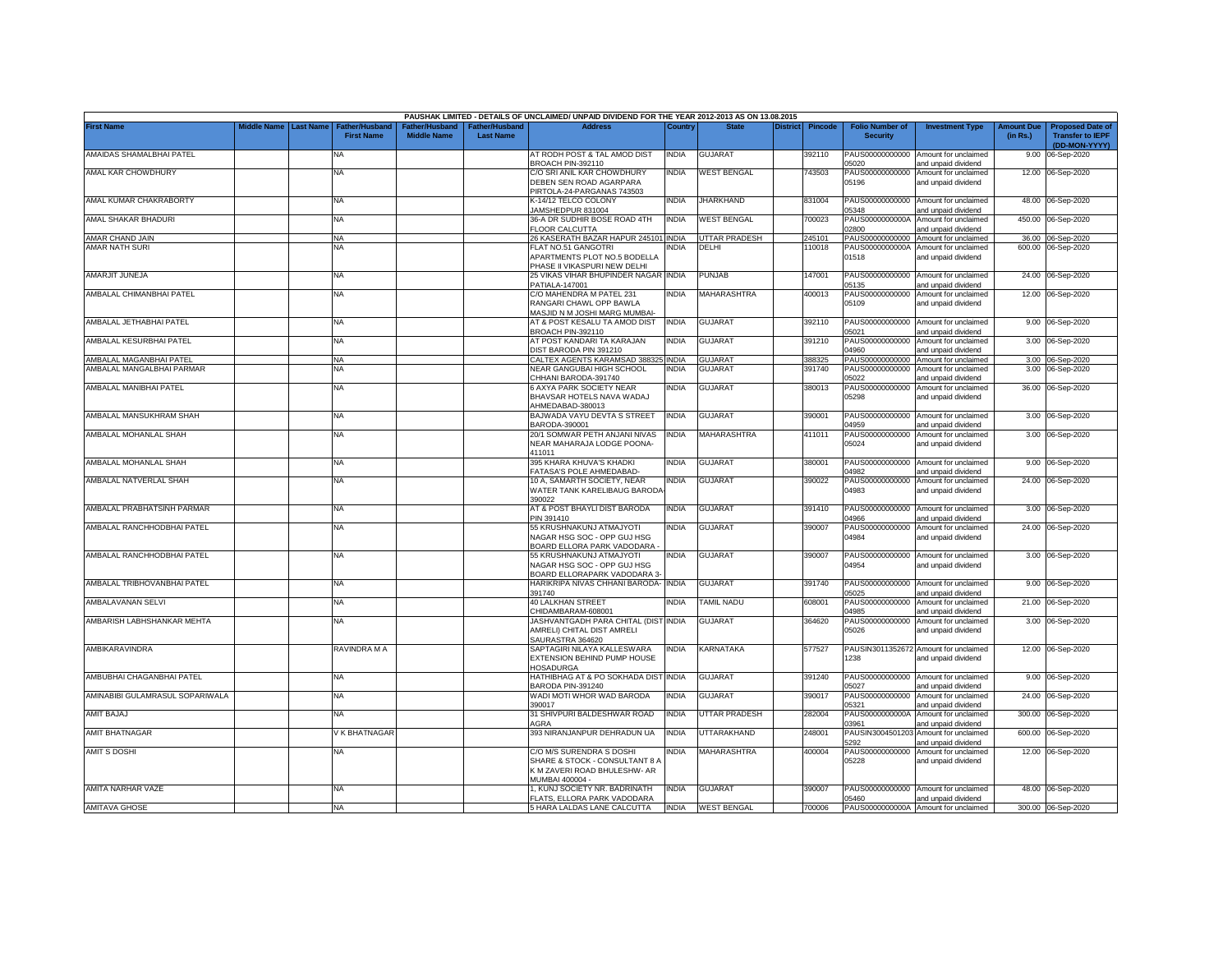|                                 |                    |                  |                                            |                                      |                                    | PAUSHAK LIMITED - DETAILS OF UNCLAIMED/ UNPAID DIVIDEND FOR THE YEAR 2012-2013 AS ON 13.08.2015               |              |                    |                 |         |                                           |                                                              |                               |                                                                     |
|---------------------------------|--------------------|------------------|--------------------------------------------|--------------------------------------|------------------------------------|---------------------------------------------------------------------------------------------------------------|--------------|--------------------|-----------------|---------|-------------------------------------------|--------------------------------------------------------------|-------------------------------|---------------------------------------------------------------------|
| <b>First Name</b>               | <b>Middle Name</b> | <b>Last Name</b> | <b>Father/Husband</b><br><b>First Name</b> | Father/Husband<br><b>Middle Name</b> | Father/Husband<br><b>Last Name</b> | <b>Address</b>                                                                                                | Country      | <b>State</b>       | <b>District</b> | Pincode | <b>Folio Number of</b><br><b>Security</b> | <b>Investment Type</b>                                       | <b>Amount Due</b><br>(in Rs.) | <b>Proposed Date of</b><br><b>Transfer to IEPF</b><br>(DD-MON-YYYY) |
| AMAIDAS SHAMALBHAI PATEL        |                    |                  | NA                                         |                                      |                                    | AT RODH POST & TAL AMOD DIST<br>BROACH PIN-392110                                                             | NDIA         | <b>GUJARAT</b>     |                 | 392110  | PAUS00000000000<br>5020                   | Amount for unclaimed<br>and unpaid dividend                  | 9.00                          | 06-Sep-2020                                                         |
| AMAL KAR CHOWDHURY              |                    |                  | <b>NA</b>                                  |                                      |                                    | C/O SRI ANIL KAR CHOWDHURY<br>DEBEN SEN ROAD AGARPARA<br>PIRTOLA-24-PARGANAS 743503                           | INDIA        | <b>WEST BENGAL</b> |                 | 743503  | 05196                                     | PAUS00000000000 Amount for unclaimed<br>and unpaid dividend  |                               | 12.00 06-Sep-2020                                                   |
| AMAL KUMAR CHAKRABORTY          |                    |                  | <b>NA</b>                                  |                                      |                                    | <b>K-14/12 TELCO COLONY</b><br>JAMSHEDPUR 831004                                                              | <b>NDIA</b>  | <b>JHARKHAND</b>   |                 | 831004  | 5348                                      | PAUS00000000000 Amount for unclaimed<br>and unpaid dividend  |                               | 48.00 06-Sep-2020                                                   |
| AMAL SHAKAR BHADURI             |                    |                  | <b>NA</b>                                  |                                      |                                    | 36-A DR SUDHIR BOSE ROAD 4TH<br>FLOOR CALCUTTA                                                                | <b>INDIA</b> | <b>WEST BENGAL</b> |                 | 700023  | PAUS0000000000A<br>02800                  | Amount for unclaimed<br>and unpaid dividend                  |                               | 450.00 06-Sep-2020                                                  |
| AMAR CHAND JAIN                 |                    |                  | <b>NA</b>                                  |                                      |                                    | 26 KASERATH BAZAR HAPUR 245101 INDIA                                                                          |              | UTTAR PRADESH      |                 | 245101  |                                           | PAUS00000000000 Amount for unclaimed                         |                               | 36.00 06-Sep-2020                                                   |
| AMAR NATH SURI                  |                    |                  | NA                                         |                                      |                                    | FLAT NO.51 GANGOTRI<br>APARTMENTS PLOT NO.5 BODELLA<br>PHASE II VIKASPURI NEW DELHI                           | NDIA         | DELHI              |                 | 110018  | PAUS0000000000A<br>01518                  | Amount for unclaimed<br>and unpaid dividend                  |                               | 600.00 06-Sep-2020                                                  |
| AMARJIT JUNEJA                  |                    |                  | NA                                         |                                      |                                    | 25 VIKAS VIHAR BHUPINDER NAGAR INDIA<br>PATIALA-147001                                                        |              | <b>PUNJAB</b>      |                 | 147001  | 05135                                     | PAUS00000000000 Amount for unclaimed<br>and unpaid dividend  |                               | 24.00 06-Sep-2020                                                   |
| AMBALAL CHIMANBHAI PATEL        |                    |                  | NA                                         |                                      |                                    | C/O MAHENDRA M PATEL 231<br>RANGARI CHAWL OPP BAWLA<br>MASJID N M JOSHI MARG MUMBAI-                          | INDIA        | MAHARASHTRA        |                 | 400013  | 05109                                     | PAUS00000000000 Amount for unclaimed<br>and unpaid dividend  |                               | 12.00 06-Sep-2020                                                   |
| AMBALAL JETHABHAI PATEL         |                    |                  | NA                                         |                                      |                                    | AT & POST KESALU TA AMOD DIST<br>BROACH PIN-392110                                                            | <b>INDIA</b> | <b>GUJARAT</b>     |                 | 392110  | 05021                                     | PAUS00000000000 Amount for unclaimed<br>and unpaid dividend  |                               | 9.00 06-Sep-2020                                                    |
| AMBALAL KESURBHAI PATEL         |                    |                  | NA                                         |                                      |                                    | AT POST KANDARI TA KARAJAN<br>DIST BARODA PIN 391210                                                          | INDIA        | GUJARAT            |                 | 391210  | 04960                                     | PAUS00000000000 Amount for unclaimed                         |                               | 3.00 06-Sep-2020                                                    |
| AMBALAL MAGANBHAI PATEL         |                    |                  | <b>NA</b>                                  |                                      |                                    | CALTEX AGENTS KARAMSAD 388325 INDIA                                                                           |              | <b>GUJARAT</b>     |                 | 388325  |                                           | and unpaid dividend<br>PAUS00000000000 Amount for unclaimed  |                               | 3.00 06-Sep-2020                                                    |
| AMBALAL MANGALBHAI PARMAR       |                    |                  | ΝA                                         |                                      |                                    | NEAR GANGUBAI HIGH SCHOOL                                                                                     | NDIA         | <b>GUJARAT</b>     |                 | 391740  |                                           | PAUS00000000000 Amount for unclaimed                         |                               | 3.00 06-Sep-2020                                                    |
|                                 |                    |                  |                                            |                                      |                                    | CHHANI BARODA-391740                                                                                          |              |                    |                 |         | 05022                                     | and unpaid dividend                                          |                               |                                                                     |
| AMBALAL MANIBHAI PATEL          |                    |                  | NA                                         |                                      |                                    | 6 AXYA PARK SOCIETY NEAR<br>BHAVSAR HOTELS NAVA WADAJ<br>AHMEDABAD-380013                                     | INDIA        | <b>GUJARAT</b>     |                 | 380013  | 05298                                     | PAUS00000000000 Amount for unclaimed<br>and unpaid dividend  |                               | 36.00 06-Sep-2020                                                   |
| <b>AMBALAL MANSUKHRAM SHAH</b>  |                    |                  | NA                                         |                                      |                                    | BAJWADA VAYU DEVTA S STREET<br>BARODA-390001                                                                  | <b>INDIA</b> | <b>GUJARAT</b>     |                 | 390001  | 14959                                     | PAUS00000000000 Amount for unclaimed<br>and unpaid dividend  |                               | 3.00 06-Sep-2020                                                    |
| AMBALAL MOHANLAL SHAH           |                    |                  | NA                                         |                                      |                                    | 20/1 SOMWAR PETH ANJANI NIVAS<br>NEAR MAHARAJA LODGE POONA-<br>411011                                         | <b>INDIA</b> | MAHARASHTRA        |                 | 411011  | PAUS00000000000<br>05024                  | Amount for unclaimed<br>and unpaid dividend                  |                               | 3.00 06-Sep-2020                                                    |
| AMBALAL MOHANLAL SHAH           |                    |                  | ΝA                                         |                                      |                                    | 395 KHARA KHUVA'S KHADKI<br>FATASA'S POLE AHMEDABAD-                                                          | India        | GUJARAT            |                 | 380001  | 14982                                     | PAUS00000000000 Amount for unclaimed<br>and unpaid dividend  |                               | 9.00 06-Sep-2020                                                    |
| AMBALAL NATVERLAL SHAH          |                    |                  | NA                                         |                                      |                                    | 10 A, SAMARTH SOCIETY, NEAR<br>WATER TANK KARELIBAUG BARODA<br>390022                                         | INDIA        | GUJARAT            |                 | 390022  | PAUS00000000000<br>04983                  | Amount for unclaimed<br>and unpaid dividend                  |                               | 24.00 06-Sep-2020                                                   |
| AMBALAL PRABHATSINH PARMAR      |                    |                  | NA.                                        |                                      |                                    | AT & POST BHAYLI DIST BARODA<br>PIN 391410                                                                    | INDIA        | GUJARAT            |                 | 391410  | PAUS00000000000<br>14966                  | Amount for unclaimed<br>and unpaid dividend                  |                               | 3.00 06-Sep-2020                                                    |
| AMBALAL RANCHHODBHAI PATEL      |                    |                  | NA                                         |                                      |                                    | 55 KRUSHNAKUNJ ATMAJYOTI<br>NAGAR HSG SOC - OPP GUJ HSG<br>BOARD ELLORA PARK VADODARA                         | NDIA         | GUJARAT            |                 | 390007  | PAUS00000000000<br>04984                  | Amount for unclaimed<br>and unpaid dividend                  |                               | 24.00 06-Sep-2020                                                   |
| AMBALAL RANCHHODBHAI PATEL      |                    |                  | NA.                                        |                                      |                                    | 55 KRUSHNAKUNJ ATMAJYOTI<br>NAGAR HSG SOC - OPP GUJ HSG<br>BOARD ELLORAPARK VADODARA 3-                       | NDIA         | GUJARAT            |                 | 390007  | PAUS00000000000<br>04954                  | Amount for unclaimed<br>and unpaid dividend                  |                               | 3.00 06-Sep-2020                                                    |
| AMBALAL TRIBHOVANBHAI PATEL     |                    |                  | NA                                         |                                      |                                    | HARIKRIPA NIVAS CHHANI BARODA- INDIA<br>391740                                                                |              | GUJARAT            |                 | 391740  | PAUS00000000000<br>5025                   | Amount for unclaimed<br>and unpaid dividend                  |                               | 9.00 06-Sep-2020                                                    |
| AMBALAVANAN SELVI               |                    |                  | NA                                         |                                      |                                    | <b>40 LALKHAN STREET</b>                                                                                      | INDIA        | <b>TAMIL NADU</b>  |                 | 608001  | PAUS00000000000                           | Amount for unclaimed                                         |                               | 21.00 06-Sep-2020                                                   |
| AMBARISH LABHSHANKAR MEHTA      |                    |                  | NΑ                                         |                                      |                                    | CHIDAMBARAM-608001<br>JASHVANTGADH PARA CHITAL (DIST INDIA                                                    |              | <b>GUJARAT</b>     |                 | 364620  | 14985<br>PAUS00000000000                  | and unpaid dividend<br>Amount for unclaimed                  |                               | 3.00 06-Sep-2020                                                    |
|                                 |                    |                  |                                            |                                      |                                    | AMRELI) CHITAL DIST AMRELI<br>SAURASTRA 364620                                                                |              |                    |                 |         | 05026                                     | and unpaid dividend                                          |                               |                                                                     |
| AMBIKARAVINDRA                  |                    |                  | RAVINDRA M A                               |                                      |                                    | SAPTAGIRI NILAYA KALLESWARA<br>EXTENSION BEHIND PUMP HOUSE<br><b>HOSADURGA</b>                                | INDIA        | KARNATAKA          |                 | 577527  | 1238                                      | PAUSIN3011352672 Amount for unclaimed<br>and unpaid dividend |                               | 12.00 06-Sep-2020                                                   |
| AMBUBHAI CHAGANBHAI PATEL       |                    |                  | <b>NA</b>                                  |                                      |                                    | HATHIBHAG AT & PO SOKHADA DIST INDIA<br>BARODA PIN-391240                                                     |              | <b>GUJARAT</b>     |                 | 391240  | 5027                                      | PAUS00000000000 Amount for unclaimed<br>and unpaid dividend  |                               | 9.00 06-Sep-2020                                                    |
| AMINABIBI GULAMRASUL SOPARIWALA |                    |                  | NA                                         |                                      |                                    | WADI MOTI WHOR WAD BARODA<br>390017                                                                           | INDIA        | <b>GUJARAT</b>     |                 | 390017  | 15321                                     | PAUS00000000000 Amount for unclaimed<br>and unpaid dividend  |                               | 24.00 06-Sep-2020                                                   |
| <b>AMIT BAJAJ</b>               |                    |                  | NA                                         |                                      |                                    | 31 SHIVPURI BALDESHWAR ROAD<br>AGRA                                                                           | <b>INDIA</b> | UTTAR PRADESH      |                 | 282004  | PAUS0000000000A<br>13961                  | Amount for unclaimed<br>and unpaid dividend                  |                               | 300.00 06-Sep-2020                                                  |
| AMIT BHATNAGAR                  |                    |                  | V K BHATNAGAR                              |                                      |                                    | 393 NIRANJANPUR DEHRADUN UA                                                                                   | <b>INDIA</b> | UTTARAKHAND        |                 | 248001  | 5292                                      | PAUSIN3004501203 Amount for unclaimed<br>and unpaid dividend |                               | 600.00 06-Sep-2020                                                  |
| AMIT S DOSHI                    |                    |                  | NA                                         |                                      |                                    | C/O M/S SURENDRA S DOSHI<br>SHARE & STOCK - CONSULTANT 8 A<br>K M ZAVERI ROAD BHULESHW- AR<br>MUMBAI 400004 - | INDIA        | MAHARASHTRA        |                 | 400004  | 05228                                     | PAUS00000000000 Amount for unclaimed<br>and unpaid dividend  |                               | 12.00 06-Sep-2020                                                   |
| AMITA NARHAR VAZE               |                    |                  | NA                                         |                                      |                                    | I, KUNJ SOCIETY NR. BADRINATH<br>FLATS. ELLORA PARK VADODARA                                                  | <b>INDIA</b> | <b>GUJARAT</b>     |                 | 390007  | 05460                                     | PAUS00000000000 Amount for unclaimed<br>and unpaid dividend  |                               | 48.00 06-Sep-2020                                                   |
| <b>AMITAVA GHOSE</b>            |                    |                  | <b>NA</b>                                  |                                      |                                    | 5 HARA LALDAS LANE CALCUTTA                                                                                   |              | INDIA WEST BENGAL  |                 | 700006  |                                           | PAUS0000000000A Amount for unclaimed                         |                               | 300.00 06-Sep-2020                                                  |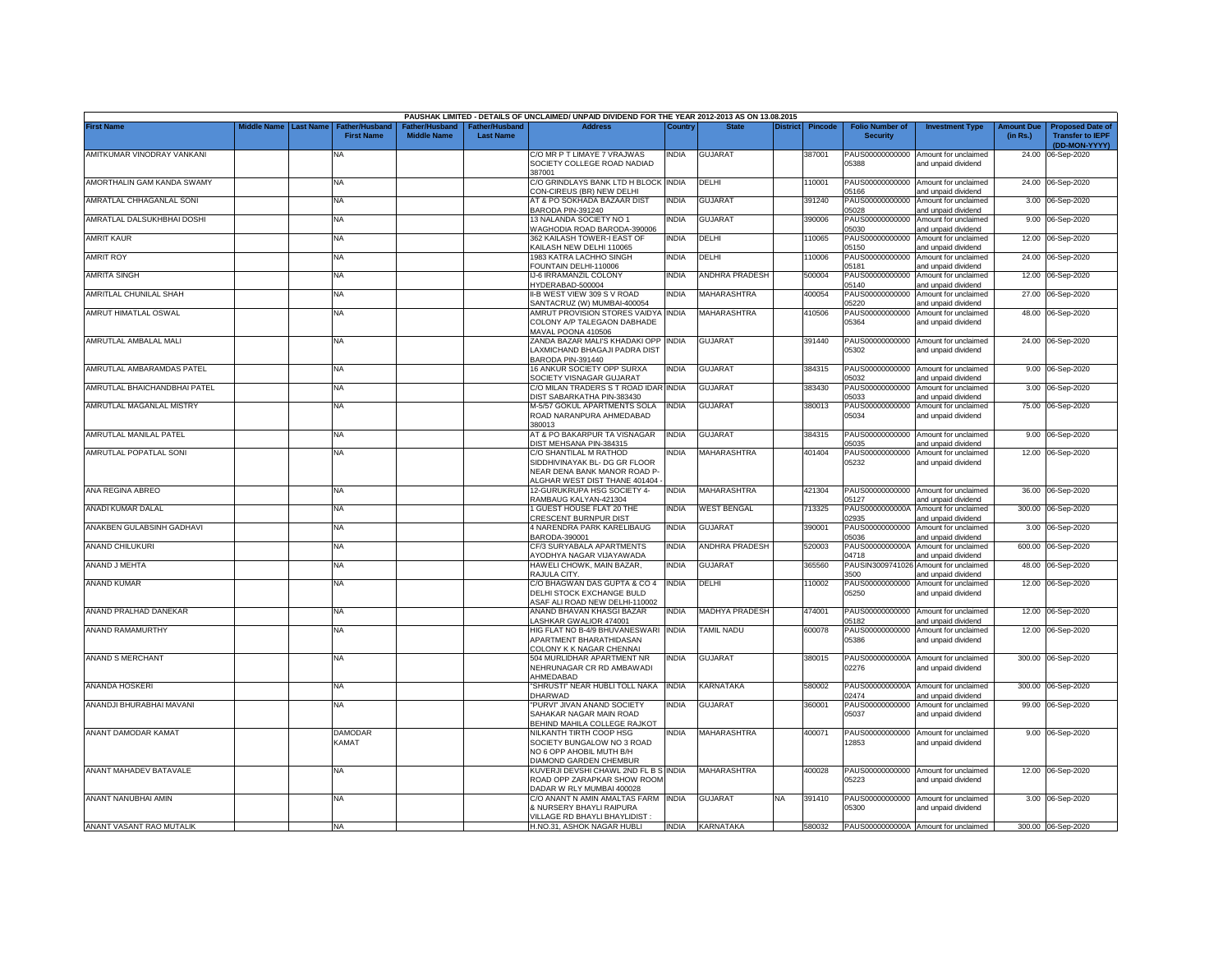|                              |             |                  |                                            |                                      |                                    | PAUSHAK LIMITED - DETAILS OF UNCLAIMED/ UNPAID DIVIDEND FOR THE YEAR 2012-2013 AS ON 13.08.2015                          |              |                       |                 |                |                                           |                                                                    |                               |                                                                     |
|------------------------------|-------------|------------------|--------------------------------------------|--------------------------------------|------------------------------------|--------------------------------------------------------------------------------------------------------------------------|--------------|-----------------------|-----------------|----------------|-------------------------------------------|--------------------------------------------------------------------|-------------------------------|---------------------------------------------------------------------|
| <b>First Name</b>            | liddle Name | <b>Last Name</b> | <b>Father/Husband</b><br><b>First Name</b> | Father/Husband<br><b>Middle Name</b> | Father/Husband<br><b>Last Name</b> | <b>Address</b>                                                                                                           | Countrv      | <b>State</b>          | <b>District</b> | <b>Pincode</b> | <b>Folio Number of</b><br><b>Security</b> | <b>Investment Type</b>                                             | <b>Amount Due</b><br>(in Rs.) | <b>Proposed Date of</b><br><b>Transfer to IEPF</b><br>(DD-MON-YYYY) |
| AMITKUMAR VINODRAY VANKANI   |             |                  | NA.                                        |                                      |                                    | C/O MR P T LIMAYE 7 VRAJWAS<br>SOCIETY COLLEGE ROAD NADIAD                                                               | NDIA         | <b>GUJARAT</b>        |                 | 387001         | 05388                                     | PAUS00000000000 Amount for unclaimed<br>and unpaid dividend        |                               | 24.00 06-Sep-2020                                                   |
| AMORTHALIN GAM KANDA SWAMY   |             |                  | <b>NA</b>                                  |                                      |                                    | 387001<br>C/O GRINDLAYS BANK LTD H BLOCK INDIA                                                                           |              | DELHI                 |                 | 10001          | PAUS00000000000                           | Amount for unclaimed                                               |                               | 24.00 06-Sep-2020                                                   |
| AMRATLAL CHHAGANLAL SONI     |             |                  | NA                                         |                                      |                                    | CON-CIREUS (BR) NEW DELHI<br>AT & PO SOKHADA BAZAAR DIST                                                                 | <b>INDIA</b> | <b>GUJARAT</b>        |                 | 391240         | 15166<br>PAUS00000000000                  | and unpaid dividend<br>Amount for unclaimed                        |                               | 3.00 06-Sep-2020                                                    |
| AMRATLAL DALSUKHBHAI DOSHI   |             |                  | NA                                         |                                      |                                    | BARODA PIN-391240<br>13 NALANDA SOCIETY NO 1<br>VAGHODIA ROAD BARODA-390006                                              | NDIA         | <b>GUJARAT</b>        |                 | 390006         | 05028<br>PAUS00000000000<br>05030         | and unpaid dividend<br>Amount for unclaimed                        |                               | 9.00 06-Sep-2020                                                    |
| <b>AMRIT KAUR</b>            |             |                  | NA                                         |                                      |                                    | 362 KAILASH TOWER-I EAST OF<br>KAILASH NEW DELHI 110065                                                                  | <b>NDIA</b>  | DELHI                 |                 | 10065          | PAUS00000000000<br>15150                  | and unpaid dividend<br>Amount for unclaimed<br>and unpaid dividend |                               | 12.00 06-Sep-2020                                                   |
| <b>AMRIT ROY</b>             |             |                  | <b>NA</b>                                  |                                      |                                    | 1983 KATRA LACHHO SINGH<br>OUNTAIN DELHI-110006                                                                          | NDIA         | DELHI                 |                 | 10006          | PAUS00000000000<br>5181                   | Amount for unclaimed<br>and unpaid dividend                        |                               | 24.00 06-Sep-2020                                                   |
| <b>AMRITA SINGH</b>          |             |                  | NA                                         |                                      |                                    | IJ-6 IRRAMANZIL COLONY<br>HYDERABAD-500004                                                                               | NDIA         | <b>ANDHRA PRADESH</b> |                 | 500004         | PAUS00000000000<br>05140                  | Amount for unclaimed<br>and unpaid dividend                        | 12.00                         | 06-Sep-2020                                                         |
| AMRITLAL CHUNILAL SHAH       |             |                  | NA                                         |                                      |                                    | II-B WEST VIEW 309 S V ROAD<br>SANTACRUZ (W) MUMBAI-400054                                                               | NDIA         | MAHARASHTRA           |                 | 400054         | PAUS00000000000<br>05220                  | Amount for unclaimed<br>and unpaid dividend                        | 27.00                         | 06-Sep-2020                                                         |
| AMRUT HIMATLAL OSWAL         |             |                  | NA                                         |                                      |                                    | AMRUT PROVISION STORES VAIDYA INDIA<br>COLONY A/P TALEGAON DABHADE<br>MAVAL POONA 410506                                 |              | MAHARASHTRA           |                 | 410506         | PAUS00000000000<br>05364                  | Amount for unclaimed<br>and unpaid dividend                        |                               | 48.00 06-Sep-2020                                                   |
| AMRUTLAL AMBALAL MALI        |             |                  | <b>NA</b>                                  |                                      |                                    | ZANDA BAZAR MALI'S KHADAKI OPP INDIA<br>LAXMICHAND BHAGAJI PADRA DIST<br>BARODA PIN-391440                               |              | <b>GUJARAT</b>        |                 | 391440         | 05302                                     | PAUS00000000000 Amount for unclaimed<br>and unpaid dividend        |                               | 24.00 06-Sep-2020                                                   |
| AMRUTLAL AMBARAMDAS PATEL    |             |                  | <b>NA</b>                                  |                                      |                                    | 16 ANKUR SOCIETY OPP SURXA<br>SOCIETY VISNAGAR GUJARAT                                                                   | INDIA        | GUJARAT               |                 | 384315         | 05032                                     | PAUS00000000000 Amount for unclaimed<br>and unpaid dividend        |                               | 9.00 06-Sep-2020                                                    |
| AMRUTLAL BHAICHANDBHAI PATEL |             |                  | NA                                         |                                      |                                    | C/O MILAN TRADERS S T ROAD IDAR INDIA<br>DIST SABARKATHA PIN-383430                                                      |              | GUJARAT               |                 | 383430         | PAUS00000000000<br>05033                  | Amount for unclaimed<br>and unpaid dividend                        |                               | 3.00 06-Sep-2020                                                    |
| AMRUTLAL MAGANLAL MISTRY     |             |                  | NA                                         |                                      |                                    | <b>M-5/57 GOKUL APARTMENTS SOLA</b><br>ROAD NARANPURA AHMEDABAD<br>380013                                                | INDIA        | GUJARAT               |                 | 380013         | PAUS00000000000<br>05034                  | Amount for unclaimed<br>and unpaid dividend                        |                               | 75.00 06-Sep-2020                                                   |
| AMRUTLAL MANILAL PATEL       |             |                  | NA                                         |                                      |                                    | AT & PO BAKARPUR TA VISNAGAR<br>DIST MEHSANA PIN-384315                                                                  | <b>INDIA</b> | <b>GUJARAT</b>        |                 | 384315         | 05035                                     | PAUS00000000000 Amount for unclaimed<br>and unpaid dividend        |                               | 9.00 06-Sep-2020                                                    |
| AMRUTLAL POPATLAL SONI       |             |                  | NA                                         |                                      |                                    | C/O SHANTILAL M RATHOD<br>SIDDHIVINAYAK BL- DG GR FLOOR<br>NEAR DENA BANK MANOR ROAD P-<br>ALGHAR WEST DIST THANE 401404 | NDIA         | MAHARASHTRA           |                 | 401404         | PAUS00000000000<br>05232                  | Amount for unclaimed<br>and unpaid dividend                        |                               | 12.00 06-Sep-2020                                                   |
| ANA REGINA ABREO             |             |                  | <b>NA</b>                                  |                                      |                                    | 12-GURUKRUPA HSG SOCIETY 4-<br>RAMBAUG KALYAN-421304                                                                     | INDIA        | MAHARASHTRA           |                 | 421304         | 15127                                     | PAUS00000000000 Amount for unclaimed<br>and unpaid dividend        |                               | 36.00 06-Sep-2020                                                   |
| ANADI KUMAR DALAL            |             |                  | <b>NA</b>                                  |                                      |                                    | <b>GUEST HOUSE FLAT 20 THE</b><br>CRESCENT BURNPUR DIST                                                                  | INDIA        | <b>WEST BENGAL</b>    |                 | 713325         | PAUS0000000000A<br>12935                  | Amount for unclaimed<br>and unpaid dividend                        |                               | 300.00 06-Sep-2020                                                  |
| ANAKBEN GULABSINH GADHAVI    |             |                  | NA                                         |                                      |                                    | 4 NARENDRA PARK KARELIBAUG<br>BARODA-390001                                                                              | INDIA        | GUJARAT               |                 | 390001         | PAUS00000000000<br>05036                  | Amount for unclaimed<br>and unpaid dividend                        |                               | 3.00 06-Sep-2020                                                    |
| ANAND CHILUKURI              |             |                  | NA                                         |                                      |                                    | CF/3 SURYABALA APARTMENTS<br><b>IYODHYA NAGAR VIJAYAWADA</b>                                                             | NDIA         | <b>ANDHRA PRADESH</b> |                 | 520003         | PAUS0000000000A<br>04718                  | Amount for unclaimed<br>and unpaid dividend                        |                               | 600.00 06-Sep-2020                                                  |
| ANAND J MEHTA                |             |                  | <b>NA</b>                                  |                                      |                                    | HAWELI CHOWK, MAIN BAZAR,<br><b>RAJULA CITY.</b>                                                                         | NDIA         | <b>GUJARAT</b>        |                 | 365560         | PAUSIN3009741026<br>3500                  | Amount for unclaimed<br>and unpaid dividend                        |                               | 48.00 06-Sep-2020                                                   |
| ANAND KUMAR                  |             |                  | NA                                         |                                      |                                    | C/O BHAGWAN DAS GUPTA & CO 4<br>DELHI STOCK EXCHANGE BULD<br>ASAF ALI ROAD NEW DELHI-110002                              | <b>INDIA</b> | DELHI                 |                 | 10002          | PAUS00000000000<br>05250                  | Amount for unclaimed<br>and unpaid dividend                        |                               | 12.00 06-Sep-2020                                                   |
| ANAND PRALHAD DANEKAR        |             |                  | <b>NA</b>                                  |                                      |                                    | ANAND BHAVAN KHASGI BAZAR<br><b>ASHKAR GWALIOR 474001</b>                                                                | INDIA        | <b>MADHYA PRADESH</b> |                 | 474001         | 05182                                     | PAUS00000000000 Amount for unclaimed<br>and unpaid dividend        | 12.00                         | 06-Sep-2020                                                         |
| ANAND RAMAMURTHY             |             |                  | <b>NA</b>                                  |                                      |                                    | HIG FLAT NO B-4/9 BHUVANESWARI INDIA<br>APARTMENT BHARATHIDASAN<br>COLONY K K NAGAR CHENNAI                              |              | <b>TAMIL NADU</b>     |                 | 600078         | PAUS00000000000<br>05386                  | Amount for unclaimed<br>and unpaid dividend                        |                               | 12.00 06-Sep-2020                                                   |
| ANAND S MERCHANT             |             |                  | <b>NA</b>                                  |                                      |                                    | 504 MURLIDHAR APARTMENT NR<br>NEHRUNAGAR CR RD AMBAWADI<br>AHMEDABAD                                                     | <b>INDIA</b> | <b>GUJARAT</b>        |                 | 380015         | 02276                                     | PAUS0000000000A Amount for unclaimed<br>and unpaid dividend        | 300.00                        | 06-Sep-2020                                                         |
| ANANDA HOSKERI               |             |                  | NA                                         |                                      |                                    | "SHRUSTI" NEAR HUBLI TOLL NAKA INDIA<br>DHARWAD                                                                          |              | KARNATAKA             |                 | 580002         | PAUS0000000000A<br>02474                  | Amount for unclaimed<br>and unpaid dividend                        |                               | 300.00 06-Sep-2020                                                  |
| ANANDJI BHURABHAI MAVANI     |             |                  | NA                                         |                                      |                                    | 'PURVI" JIVAN ANAND SOCIETY<br>SAHAKAR NAGAR MAIN ROAD<br>BEHIND MAHILA COLLEGE RAJKOT                                   | NDIA         | <b>GUJARAT</b>        |                 | 360001         | PAUS00000000000<br>05037                  | Amount for unclaimed<br>and unpaid dividend                        |                               | 99.00 06-Sep-2020                                                   |
| ANANT DAMODAR KAMAT          |             |                  | <b>DAMODAR</b><br><b>KAMAT</b>             |                                      |                                    | NILKANTH TIRTH COOP HSG<br>SOCIETY BUNGALOW NO 3 ROAD<br>NO 6 OPP AHOBIL MUTH B/H<br>DIAMOND GARDEN CHEMBUR              | NDIA         | <b>MAHARASHTRA</b>    |                 | 400071         | 12853                                     | PAUS00000000000 Amount for unclaimed<br>and unpaid dividend        |                               | 9.00 06-Sep-2020                                                    |
| ANANT MAHADEV BATAVALE       |             |                  | <b>NA</b>                                  |                                      |                                    | KUVERJI DEVSHI CHAWL 2ND FL B S INDIA<br>ROAD OPP ZARAPKAR SHOW ROOM<br>DADAR W RLY MUMBAI 400028                        |              | MAHARASHTRA           |                 | 400028         | 05223                                     | PAUS00000000000 Amount for unclaimed<br>and unpaid dividend        |                               | 12.00 06-Sep-2020                                                   |
| ANANT NANUBHAI AMIN          |             |                  | <b>NA</b>                                  |                                      |                                    | C/O ANANT N AMIN AMALTAS FARM INDIA<br>& NURSERY BHAYLI RAIPURA<br>VILLAGE RD BHAYLI BHAYLIDIST                          |              | <b>GUJARAT</b>        | <b>NA</b>       | 391410         | PAUS00000000000<br>05300                  | Amount for unclaimed<br>and unpaid dividend                        |                               | 3.00 06-Sep-2020                                                    |
| ANANT VASANT RAO MUTALIK     |             |                  | <b>NA</b>                                  |                                      |                                    | H.NO.31, ASHOK NAGAR HUBLI                                                                                               |              | INDIA KARNATAKA       |                 | 580032         |                                           | PAUS0000000000A Amount for unclaimed                               |                               | 300.00 06-Sep-2020                                                  |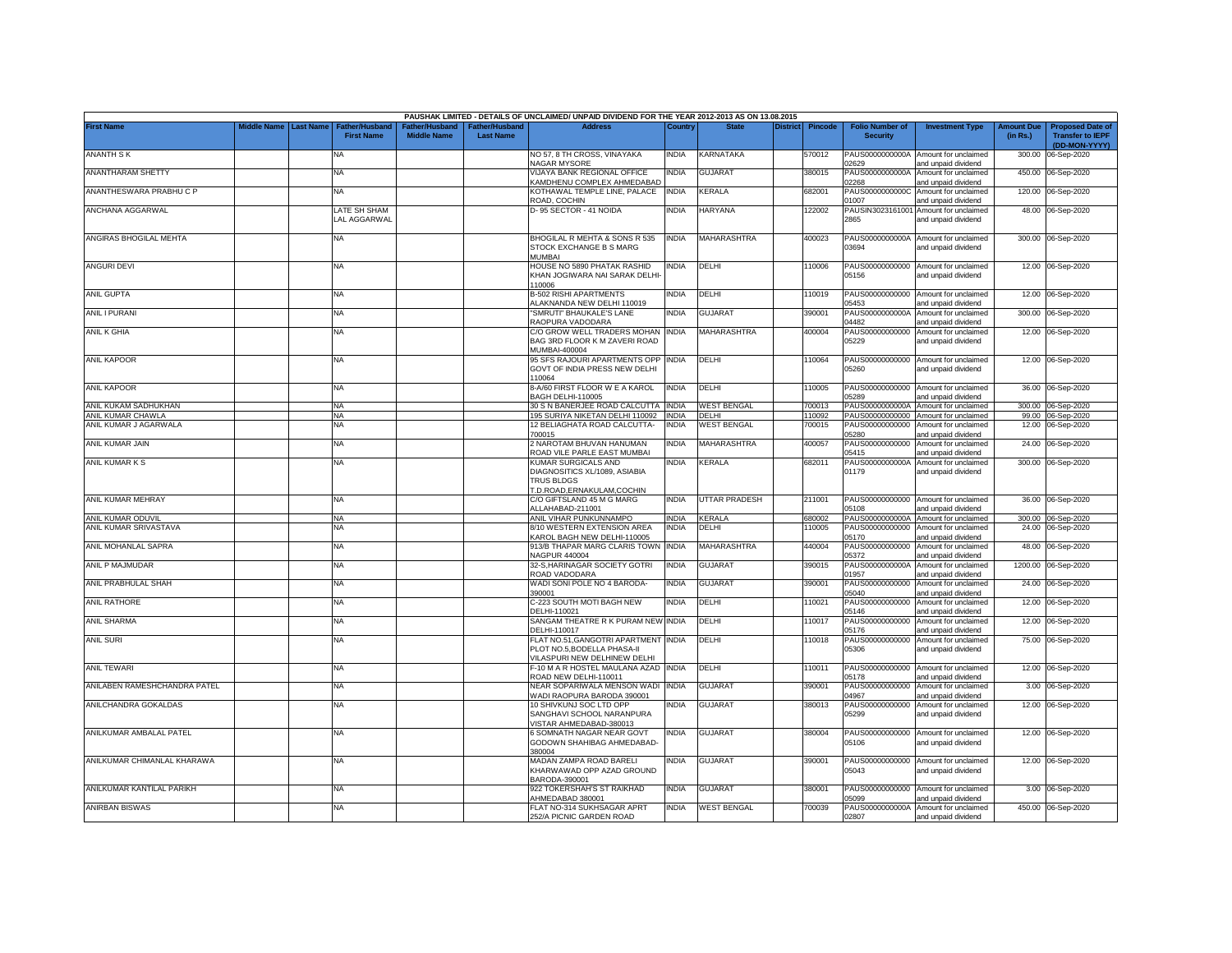|                              |                       |                                            |                                      |                                           | PAUSHAK LIMITED - DETAILS OF UNCLAIMED/ UNPAID DIVIDEND FOR THE YEAR 2012-2013 AS ON 13.08.2015          |              |                      |          |                |                                           |                                                             |                               |                                                                     |
|------------------------------|-----------------------|--------------------------------------------|--------------------------------------|-------------------------------------------|----------------------------------------------------------------------------------------------------------|--------------|----------------------|----------|----------------|-------------------------------------------|-------------------------------------------------------------|-------------------------------|---------------------------------------------------------------------|
| <b>First Name</b>            | Middle Name Last Name | <b>Father/Husband</b><br><b>First Name</b> | Father/Husband<br><b>Middle Name</b> | <b>Father/Husband</b><br><b>Last Name</b> | <b>Address</b>                                                                                           | Country      | <b>State</b>         | District | <b>Pincode</b> | <b>Folio Number of</b><br><b>Security</b> | <b>Investment Type</b>                                      | <b>Amount Due</b><br>(in Rs.) | <b>Proposed Date of</b><br><b>Transfer to IEPF</b><br>(DD-MON-YYYY) |
| <b>ANANTH SK</b>             |                       | NA                                         |                                      |                                           | NO 57, 8 TH CROSS, VINAYAKA<br><b>NAGAR MYSORE</b>                                                       | India        | KARNATAKA            |          | 570012         | PAUS0000000000A<br>02629                  | Amount for unclaimed<br>and unpaid dividend                 | 300.00                        | 06-Sep-2020                                                         |
| <b>ANANTHARAM SHETTY</b>     |                       | <b>NA</b>                                  |                                      |                                           | VIJAYA BANK REGIONAL OFFICE<br><b>KAMDHENU COMPLEX AHMEDABAD</b>                                         | INDIA        | <b>GUJARAT</b>       |          | 380015         | PAUS0000000000A<br>02268                  | Amount for unclaimed<br>and unpaid dividend                 |                               | 450.00 06-Sep-2020                                                  |
| ANANTHESWARA PRABHU C P      |                       | <b>NA</b>                                  |                                      |                                           | KOTHAWAL TEMPLE LINE, PALACE<br>ROAD, COCHIN                                                             | <b>INDIA</b> | <b>KERALA</b>        |          | 682001         | PAUS0000000000C<br>01007                  | Amount for unclaimed<br>and unpaid dividend                 |                               | 120.00 06-Sep-2020                                                  |
| ANCHANA AGGARWAL             |                       | LATE SH SHAM<br><b>LAL AGGARWAL</b>        |                                      |                                           | D-95 SECTOR - 41 NOIDA                                                                                   | <b>INDIA</b> | HARYANA              |          | 122002         | PAUSIN3023161001<br>2865                  | Amount for unclaimed<br>and unpaid dividend                 |                               | 48.00 06-Sep-2020                                                   |
| ANGIRAS BHOGILAL MEHTA       |                       | NA                                         |                                      |                                           | BHOGILAL R MEHTA & SONS R 535<br>STOCK EXCHANGE B S MARG<br><b>MUMBAI</b>                                | India        | MAHARASHTRA          |          | 400023         | PAUS0000000000A<br>03694                  | Amount for unclaimed<br>and unpaid dividend                 |                               | 300.00 06-Sep-2020                                                  |
| <b>ANGURI DEVI</b>           |                       | <b>NA</b>                                  |                                      |                                           | HOUSE NO 5890 PHATAK RASHID<br>KHAN JOGIWARA NAI SARAK DELHI-<br>10006                                   | india        | DELHI                |          | 110006         | 05156                                     | PAUS00000000000 Amount for unclaimed<br>and unpaid dividend |                               | 12.00 06-Sep-2020                                                   |
| ANIL GUPTA                   |                       | <b>NA</b>                                  |                                      |                                           | <b>B-502 RISHI APARTMENTS</b><br><b>LAKNANDA NEW DELHI 110019</b>                                        | india        | DELHI                |          | 110019         | PAUS00000000000<br>05453                  | Amount for unclaimed<br>and unpaid dividend                 |                               | 12.00 06-Sep-2020                                                   |
| <b>ANIL I PURANI</b>         |                       | <b>NA</b>                                  |                                      |                                           | 'SMRUTI' BHAUKALE'S LANE<br>RAOPURA VADODARA                                                             | INDIA        | <b>GUJARAT</b>       |          | 390001         | PAUS0000000000A<br>04482                  | Amount for unclaimed<br>and unpaid dividend                 |                               | 300.00 06-Sep-2020                                                  |
| ANIL K GHIA                  |                       | <b>NA</b>                                  |                                      |                                           | C/O GROW WELL TRADERS MOHAN<br>BAG 3RD FLOOR K M ZAVERI ROAD<br><b>MUMBAI-400004</b>                     | INDIA        | <b>MAHARASHTRA</b>   |          | 400004         | PAUS00000000000<br>05229                  | Amount for unclaimed<br>and unpaid dividend                 |                               | 12.00 06-Sep-2020                                                   |
| <b>ANIL KAPOOR</b>           |                       | <b>NA</b>                                  |                                      |                                           | 95 SFS RAJOURI APARTMENTS OPP<br>GOVT OF INDIA PRESS NEW DELHI<br>10064                                  | india        | DELHI                |          | 10064          | 05260                                     | PAUS00000000000 Amount for unclaimed<br>and unpaid dividend |                               | 12.00 06-Sep-2020                                                   |
| <b>ANIL KAPOOR</b>           |                       | <b>NA</b>                                  |                                      |                                           | 8-A/60 FIRST FLOOR W E A KAROL<br><b>BAGH DELHI-110005</b>                                               | <b>INDIA</b> | DELHI                |          | 10005          | 5289                                      | PAUS00000000000 Amount for unclaimed<br>and unpaid dividend |                               | 36.00 06-Sep-2020                                                   |
| ANIL KUKAM SADHUKHAN         |                       | NA                                         |                                      |                                           | 30 S N BANERJEE ROAD CALCUTTA INDIA                                                                      |              | <b>WEST BENGAL</b>   |          | 700013         | PAUS0000000000A                           | Amount for unclaimed                                        |                               | 300.00 06-Sep-2020                                                  |
| ANIL KUMAR CHAWLA            |                       | ΝA                                         |                                      |                                           | 195 SURIYA NIKETAN DELHI 110092                                                                          | <b>INDIA</b> | DELHI                |          | 10092          | PAUS00000000000                           | Amount for unclaimed                                        |                               | 99.00 06-Sep-2020                                                   |
| ANIL KUMAR J AGARWALA        |                       | ΝA                                         |                                      |                                           | 12 BELIAGHATA ROAD CALCUTTA-<br>00015                                                                    | INDIA        | <b>NEST BENGAL</b>   |          | 700015         | PAUS00000000000<br>05280                  | Amount for unclaimed<br>and unpaid dividend                 |                               | 12.00 06-Sep-2020                                                   |
| ANIL KUMAR JAIN              |                       | <b>NA</b>                                  |                                      |                                           | 2 NAROTAM BHUVAN HANUMAN<br>ROAD VILE PARLE EAST MUMBAI                                                  | INDIA        | MAHARASHTRA          |          | 400057         | PAUS00000000000<br>05415                  | Amount for unclaimed<br>and unpaid dividend                 |                               | 24.00 06-Sep-2020                                                   |
| ANIL KUMAR K S               |                       | <b>NA</b>                                  |                                      |                                           | KUMAR SURGICALS AND<br>DIAGNOSITICS XL/1089, ASIABIA<br><b>TRUS BLDGS</b><br>T.D.ROAD, ERNAKULAM, COCHIN | INDIA        | KERALA               |          | 682011         | PAUS0000000000A<br>01179                  | Amount for unclaimed<br>and unpaid dividend                 |                               | 300.00 06-Sep-2020                                                  |
| ANIL KUMAR MEHRAY            |                       | NA                                         |                                      |                                           | C/O GIFTSLAND 45 M G MARG<br>ALLAHABAD-211001                                                            | <b>INDIA</b> | <b>UTTAR PRADESH</b> |          | 211001         | 05108                                     | PAUS00000000000 Amount for unclaimed<br>and unpaid dividend |                               | 36.00 06-Sep-2020                                                   |
| ANIL KUMAR ODUVIL            |                       | <b>NA</b>                                  |                                      |                                           | ANIL VIHAR PUNKUNNAMPO                                                                                   | <b>INDIA</b> | <b>KERALA</b>        |          | 680002         | PAUS0000000000A                           | Amount for unclaimed                                        |                               | 300.00 06-Sep-2020                                                  |
| ANIL KUMAR SRIVASTAVA        |                       | NA                                         |                                      |                                           | 8/10 WESTERN EXTENSION AREA<br>KAROL BAGH NEW DELHI-110005                                               | <b>INDIA</b> | DELHI                |          | 10005          | PAUS00000000000<br>05170                  | Amount for unclaimed<br>and unpaid dividend                 | 24.00                         | 06-Sep-2020                                                         |
| ANIL MOHANLAL SAPRA          |                       | <b>NA</b>                                  |                                      |                                           | 913/B THAPAR MARG CLARIS TOWN<br><b>NAGPUR 440004</b>                                                    | <b>INDIA</b> | MAHARASHTRA          |          | 440004         | PAUS00000000000<br>05372                  | Amount for unclaimed<br>and unpaid dividend                 | 48.00                         | 06-Sep-2020                                                         |
| ANIL P MAJMUDAR              |                       | <b>NA</b>                                  |                                      |                                           | 32-S, HARINAGAR SOCIETY GOTRI<br>ROAD VADODARA                                                           | INDIA        | <b>GUJARAT</b>       |          | 390015         | PAUS0000000000A<br>01957                  | Amount for unclaimed<br>and unpaid dividend                 | 1200.00                       | 06-Sep-2020                                                         |
| ANIL PRABHULAL SHAH          |                       | <b>NA</b>                                  |                                      |                                           | WADI SONI POLE NO 4 BARODA-<br>390001                                                                    | INDIA        | <b>GUJARAT</b>       |          | 390001         | PAUS00000000000<br>05040                  | Amount for unclaimed<br>and unpaid dividend                 | 24.00                         | 06-Sep-2020                                                         |
| <b>ANIL RATHORE</b>          |                       | <b>NA</b>                                  |                                      |                                           | C-223 SOUTH MOTI BAGH NEW<br>DELHI-110021                                                                | INDIA        | DELHI                |          | 110021         | PAUS00000000000<br>05146                  | Amount for unclaimed<br>and unpaid dividend                 | 12.00                         | 06-Sep-2020                                                         |
| <b>ANIL SHARMA</b>           |                       | <b>NA</b>                                  |                                      |                                           | SANGAM THEATRE R K PURAM NEW INDIA<br>DELHI-110017                                                       |              | DELHI                |          | 110017         | PAUS00000000000<br>05176                  | Amount for unclaimed<br>and unpaid dividend                 | 12.00                         | 06-Sep-2020                                                         |
| <b>ANIL SURI</b>             |                       | <b>NA</b>                                  |                                      |                                           | FLAT NO.51, GANGOTRI APARTMENT INDIA<br>PLOT NO.5,BODELLA PHASA-II<br>VILASPURI NEW DELHINEW DELHI       |              | DELHI                |          | 110018         | PAUS00000000000<br>05306                  | Amount for unclaimed<br>and unpaid dividend                 |                               | 75.00 06-Sep-2020                                                   |
| <b>ANIL TEWARI</b>           |                       | <b>NA</b>                                  |                                      |                                           | F-10 M A R HOSTEL MAULANA AZAD INDIA<br>ROAD NEW DELHI-110011                                            |              | DELHI                |          | 110011         | PAUS00000000000<br>05178                  | Amount for unclaimed<br>and unpaid dividend                 |                               | 12.00 06-Sep-2020                                                   |
| ANILABEN RAMESHCHANDRA PATEL |                       | <b>NA</b>                                  |                                      |                                           | NEAR SOPARIWALA MENSON WADI<br>WADI RAOPURA BARODA 390001                                                | INDIA        | GUJARAT              |          | 390001         | PAUS00000000000<br>04967                  | Amount for unclaimed<br>and unpaid dividend                 |                               | 3.00 06-Sep-2020                                                    |
| ANILCHANDRA GOKALDAS         |                       | NA                                         |                                      |                                           | 10 SHIVKUNJ SOC LTD OPP<br>SANGHAVI SCHOOL NARANPURA<br>/ISTAR AHMEDABAD-380013                          | NDIA         | <b>GUJARAT</b>       |          | 380013         | PAUS00000000000<br>05299                  | Amount for unclaimed<br>and unpaid dividend                 |                               | 12.00 06-Sep-2020                                                   |
| ANILKUMAR AMBALAL PATEL      |                       | <b>NA</b>                                  |                                      |                                           | 6 SOMNATH NAGAR NEAR GOVT<br>GODOWN SHAHIBAG AHMEDABAD-<br>380004                                        | india        | <b>GUJARAT</b>       |          | 380004         | 05106                                     | PAUS00000000000 Amount for unclaimed<br>and unpaid dividend |                               | 12.00 06-Sep-2020                                                   |
| ANILKUMAR CHIMANLAL KHARAWA  |                       | <b>NA</b>                                  |                                      |                                           | MADAN ZAMPA ROAD BARELI<br>KHARWAWAD OPP AZAD GROUND<br>BARODA-390001                                    | india        | <b>GUJARAT</b>       |          | 390001         | 05043                                     | PAUS00000000000 Amount for unclaimed<br>and unpaid dividend |                               | 12.00 06-Sep-2020                                                   |
| ANILKUMAR KANTILAL PARIKH    |                       | <b>NA</b>                                  |                                      |                                           | 922 TOKERSHAH'S ST RAIKHAD<br>AHMEDABAD 380001                                                           | INDIA        | GUJARAT              |          | 380001         | 05099                                     | PAUS00000000000 Amount for unclaimed<br>and unpaid dividend |                               | 3.00 06-Sep-2020                                                    |
| <b>ANIRBAN BISWAS</b>        |                       | <b>NA</b>                                  |                                      |                                           | FLAT NO-314 SUKHSAGAR APRT<br>252/A PICNIC GARDEN ROAD                                                   | india        | <b>WEST BENGAL</b>   |          | 700039         | 02807                                     | PAUS0000000000A Amount for unclaimed<br>and unpaid dividend |                               | 450.00 06-Sep-2020                                                  |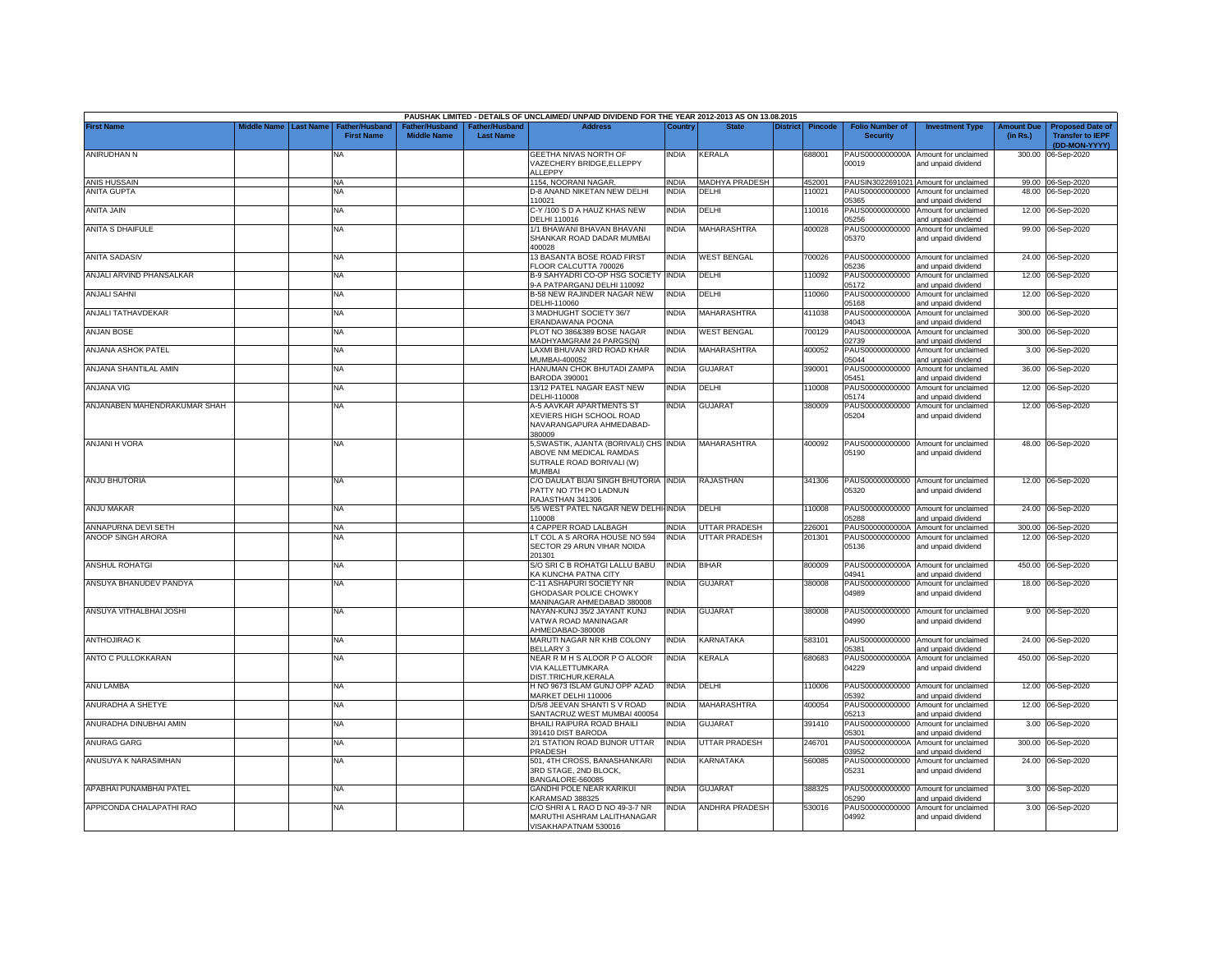|                              |             |                  |                                    |                    |                                   | PAUSHAK LIMITED - DETAILS OF UNCLAIMED/ UNPAID DIVIDEND FOR THE YEAR 2012-2013 AS ON 13.08.2015           |              |                      |                 |                |                                           |                                                             |                               |                                                                     |
|------------------------------|-------------|------------------|------------------------------------|--------------------|-----------------------------------|-----------------------------------------------------------------------------------------------------------|--------------|----------------------|-----------------|----------------|-------------------------------------------|-------------------------------------------------------------|-------------------------------|---------------------------------------------------------------------|
| <b>First Name</b>            | Middle Name | <b>Last Name</b> | Father/Husban<br><b>First Name</b> | <b>Middle Name</b> | ather/Husband<br><b>Last Name</b> | <b>Address</b>                                                                                            | Country      | <b>State</b>         | <b>District</b> | <b>Pincode</b> | <b>Folio Number of</b><br><b>Security</b> | <b>Investment Type</b>                                      | <b>Amount Due</b><br>(in Rs.) | <b>Proposed Date of</b><br><b>Transfer to IEPF</b><br>(DD-MON-YYYY) |
| ANIRUDHAN N                  |             |                  | <b>NA</b>                          |                    |                                   | GEETHA NIVAS NORTH OF<br>VAZECHERY BRIDGE.ELLEPPY<br><b>ILLEPPY</b>                                       | India        | KERALA               |                 | 688001         | PAUS0000000000A<br>00019                  | Amount for unclaimed<br>and unpaid dividend                 | 300.00                        | 06-Sep-2020                                                         |
| <b>ANIS HUSSAIN</b>          |             |                  | NA                                 |                    |                                   | 1154, NOORANI NAGAR,                                                                                      | <b>INDIA</b> | MADHYA PRADESH       |                 | 452001         |                                           | PAUSIN3022691021 Amount for unclaimed                       |                               | 99.00 06-Sep-2020                                                   |
| <b>ANITA GUPTA</b>           |             |                  | NA                                 |                    |                                   | <b>D-8 ANAND NIKETAN NEW DELHI</b><br>10021                                                               | <b>INDIA</b> | DELHI                |                 | 10021          | PAUS00000000000<br>05365                  | Amount for unclaimed<br>and unpaid dividend                 |                               | 48.00 06-Sep-2020                                                   |
| <b>ANITA JAIN</b>            |             |                  | NA                                 |                    |                                   | C-Y /100 S D A HAUZ KHAS NEW<br>DELHI 110016                                                              | <b>INDIA</b> | DELHI                |                 | 110016         | PAUS00000000000<br>05256                  | Amount for unclaimed<br>and unpaid dividend                 |                               | 12.00 06-Sep-2020                                                   |
| <b>ANITA S DHAIFULE</b>      |             |                  | NA                                 |                    |                                   | 1/1 BHAWANI BHAVAN BHAVANI<br>SHANKAR ROAD DADAR MUMBAI<br>100028                                         | INDIA        | MAHARASHTRA          |                 | 400028         | PAUS00000000000<br>05370                  | Amount for unclaimed<br>and unpaid dividend                 |                               | 99.00 06-Sep-2020                                                   |
| <b>ANITA SADASIV</b>         |             |                  | <b>NA</b>                          |                    |                                   | 13 BASANTA BOSE ROAD FIRST<br>LOOR CALCUTTA 700026                                                        | <b>INDIA</b> | <b>WEST BENGAL</b>   |                 | 700026         | PAUS00000000000<br>5236                   | Amount for unclaimed<br>nd unpaid dividend                  |                               | 24.00 06-Sep-2020                                                   |
| ANJALI ARVIND PHANSALKAR     |             |                  | NA                                 |                    |                                   | B-9 SAHYADRI CO-OP HSG SOCIETY INDIA<br>-A PATPARGANJ DELHI 110092                                        |              | DELHI                |                 | 10092          | PAUS00000000000<br>05172                  | Amount for unclaimed<br>and unpaid dividend                 |                               | 12.00 06-Sep-2020                                                   |
| <b>ANJALI SAHNI</b>          |             |                  | NA                                 |                    |                                   | <b>B-58 NEW RAJINDER NAGAR NEW</b><br>DELHI-110060                                                        | <b>INDIA</b> | DELHI                |                 | 10060          | PAUS00000000000<br>05168                  | Amount for unclaimed<br>and unpaid dividend                 | 12.00                         | 06-Sep-2020                                                         |
| ANJALI TATHAVDEKAR           |             |                  | NA                                 |                    |                                   | 3 MADHUGHT SOCIETY 36/7<br>ERANDAWANA POONA                                                               | <b>INDIA</b> | <b>MAHARASHTRA</b>   |                 | 411038         | PAUS0000000000A<br>04043                  | Amount for unclaimed<br>and unpaid dividend                 | 300.00                        | 06-Sep-2020                                                         |
| <b>ANJAN BOSE</b>            |             |                  | <b>NA</b>                          |                    |                                   | PLOT NO 386&389 BOSE NAGAR<br><b>MADHYAMGRAM 24 PARGS(N)</b>                                              | <b>INDIA</b> | <b>WEST BENGAL</b>   |                 | 700129         | PAUS0000000000A<br>02739                  | Amount for unclaimed<br>and unpaid dividend                 | 300.00                        | 06-Sep-2020                                                         |
| ANJANA ASHOK PATEL           |             |                  | NA                                 |                    |                                   | LAXMI BHUVAN 3RD ROAD KHAR<br>MUMBAI-400052                                                               | <b>INDIA</b> | MAHARASHTRA          |                 | 400052         | PAUS00000000000<br>05044                  | Amount for unclaimed<br>and unpaid dividend                 | 3.00                          | 06-Sep-2020                                                         |
| ANJANA SHANTILAL AMIN        |             |                  | <b>NA</b>                          |                    |                                   | HANUMAN CHOK BHUTADI ZAMPA<br>BARODA 390001                                                               | <b>INDIA</b> | <b>GUJARAT</b>       |                 | 390001         | PAUS00000000000<br>05451                  | Amount for unclaimed<br>and unpaid dividend                 | 36.00                         | 06-Sep-2020                                                         |
| ANJANA VIG                   |             |                  | NA                                 |                    |                                   | 13/12 PATEL NAGAR EAST NEW<br>DELHI-110008                                                                | INDIA        | DELHI                |                 | 10008          | PAUS00000000000<br>05174                  | Amount for unclaimed<br>and unpaid dividend                 | 12.00                         | 06-Sep-2020                                                         |
| ANJANABEN MAHENDRAKUMAR SHAH |             |                  | <b>NA</b>                          |                    |                                   | A-5 AAVKAR APARTMENTS ST<br>XEVIERS HIGH SCHOOL ROAD<br>NAVARANGAPURA AHMEDABAD-<br>380009                | <b>INDIA</b> | <b>GUJARAT</b>       |                 | 380009         | PAUS00000000000<br>05204                  | Amount for unclaimed<br>and unpaid dividend                 |                               | 12.00 06-Sep-2020                                                   |
| <b>ANJANI H VORA</b>         |             |                  | NA                                 |                    |                                   | 5, SWASTIK, AJANTA (BORIVALI) CHS INDIA<br>ABOVE NM MEDICAL RAMDAS<br>SUTRALE ROAD BORIVALI (W)<br>MUMBAI |              | <b>MAHARASHTRA</b>   |                 | 400092         | 05190                                     | PAUS00000000000 Amount for unclaimed<br>and unpaid dividend |                               | 48.00 06-Sep-2020                                                   |
| <b>ANJU BHUTORIA</b>         |             |                  | NA                                 |                    |                                   | C/O DAULAT BIJAI SINGH BHUTORIA INDIA<br>PATTY NO 7TH PO LADNUN<br>RAJASTHAN 341306                       |              | <b>RAJASTHAN</b>     |                 | 341306         | 05320                                     | PAUS00000000000 Amount for unclaimed<br>and unpaid dividend |                               | 12.00 06-Sep-2020                                                   |
| ANJU MAKAR                   |             |                  | <b>NA</b>                          |                    |                                   | 5/5 WEST PATEL NAGAR NEW DELHI-INDIA<br>10008                                                             |              | DELHI                |                 | 10008          | 05288                                     | PAUS00000000000 Amount for unclaimed<br>and unpaid dividend |                               | 24.00 06-Sep-2020                                                   |
| ANNAPURNA DEVI SETH          |             |                  | NA                                 |                    |                                   | 4 CAPPER ROAD LALBAGH                                                                                     | <b>INDIA</b> | <b>UTTAR PRADESH</b> |                 | 226001         |                                           | PAUS0000000000A Amount for unclaimed                        |                               | 300.00 06-Sep-2020                                                  |
| ANOOP SINGH ARORA            |             |                  | <b>NA</b>                          |                    |                                   | T COL A S ARORA HOUSE NO 594<br>SECTOR 29 ARUN VIHAR NOIDA<br>201301                                      | <b>INDIA</b> | UTTAR PRADESH        |                 | 201301         | 05136                                     | PAUS00000000000 Amount for unclaimed<br>and unpaid dividend |                               | 12.00 06-Sep-2020                                                   |
| <b>ANSHUL ROHATGI</b>        |             |                  | NA                                 |                    |                                   | S/O SRI C B ROHATGI LALLU BABU<br>(A KUNCHA PATNA CITY                                                    | <b>INDIA</b> | <b>BIHAR</b>         |                 | 800009         | 04941                                     | PAUS0000000000A Amount for unclaimed<br>and unpaid dividend |                               | 450.00 06-Sep-2020                                                  |
| ANSUYA BHANUDEV PANDYA       |             |                  | NA                                 |                    |                                   | C-11 ASHAPURI SOCIETY NR<br><b>GHODASAR POLICE CHOWKY</b><br>MANINAGAR AHMEDABAD 380008                   | INDIA        | <b>GUJARAT</b>       |                 | 380008         | PAUS00000000000<br>04989                  | Amount for unclaimed<br>and unpaid dividend                 |                               | 18.00 06-Sep-2020                                                   |
| ANSUYA VITHALBHAI JOSHI      |             |                  | NA                                 |                    |                                   | NAYAN-KUNJ 35/2 JAYANT KUNJ<br>VATWA ROAD MANINAGAR<br>AHMEDABAD-380008                                   | <b>INDIA</b> | <b>GUJARAT</b>       |                 | 380008         | 04990                                     | PAUS00000000000 Amount for unclaimed<br>and unpaid dividend |                               | 9.00 06-Sep-2020                                                    |
| <b>ANTHOJIRAO K</b>          |             |                  | NA                                 |                    |                                   | MARUTI NAGAR NR KHB COLONY<br>BELLARY 3                                                                   | <b>INDIA</b> | KARNATAKA            |                 | 583101         | 05381                                     | PAUS00000000000 Amount for unclaimed<br>and unpaid dividend |                               | 24.00 06-Sep-2020                                                   |
| ANTO C PULLOKKARAN           |             |                  | <b>NA</b>                          |                    |                                   | NEAR R M H S ALOOR P O ALOOR<br>VIA KALLETTUMKARA<br>DIST.TRICHUR.KERALA                                  | <b>INDIA</b> | KERALA               |                 | 680683         | PAUS0000000000A<br>04229                  | Amount for unclaimed<br>and unpaid dividend                 |                               | 450.00 06-Sep-2020                                                  |
| ANU LAMBA                    |             |                  | <b>NA</b>                          |                    |                                   | H NO 9673 ISLAM GUNJ OPP AZAD<br>MARKET DELHI 110006                                                      | <b>INDIA</b> | DELHI                |                 | 10006          | PAUS00000000000<br>05392                  | Amount for unclaimed<br>and unpaid dividend                 |                               | 12.00 06-Sep-2020                                                   |
| ANURADHA A SHETYE            |             |                  | <b>NA</b>                          |                    |                                   | D/5/8 JEEVAN SHANTI S V ROAD<br>SANTACRUZ WEST MUMBAI 400054                                              | <b>INDIA</b> | MAHARASHTRA          |                 | 400054         | PAUS00000000000<br>05213                  | Amount for unclaimed<br>and unpaid dividend                 | 12.00                         | 06-Sep-2020                                                         |
| ANURADHA DINUBHAI AMIN       |             |                  | NA                                 |                    |                                   | BHAILI RAIPURA ROAD BHAILI<br>391410 DIST BARODA                                                          | INDIA        | <b>GUJARAT</b>       |                 | 391410         | PAUS00000000000<br>05301                  | Amount for unclaimed<br>and unpaid dividend                 |                               | 3.00 06-Sep-2020                                                    |
| <b>ANURAG GARG</b>           |             |                  | <b>NA</b>                          |                    |                                   | 2/1 STATION ROAD BIJNOR UTTAR<br>PRADESH                                                                  | India        | UTTAR PRADESH        |                 | 246701         | PAUS0000000000A<br>03952                  | Amount for unclaimed<br>and unpaid dividend                 | 300.00                        | 06-Sep-2020                                                         |
| ANUSUYA K NARASIMHAN         |             |                  | <b>NA</b>                          |                    |                                   | 501, 4TH CROSS, BANASHANKARI<br>3RD STAGE, 2ND BLOCK,<br>BANGALORE-560085                                 | India        | <b>KARNATAKA</b>     |                 | 560085         | PAUS00000000000<br>05231                  | Amount for unclaimed<br>and unpaid dividend                 |                               | 24.00 06-Sep-2020                                                   |
| APABHAI PUNAMBHAI PATEL      |             |                  | <b>NA</b>                          |                    |                                   | <b>GANDHI POLE NEAR KARIKUI</b><br><b>KARAMSAD 388325</b>                                                 | <b>INDIA</b> | <b>GUJARAT</b>       |                 | 388325         | PAUS00000000000<br>05290                  | Amount for unclaimed<br>and unpaid dividend                 |                               | 3.00 06-Sep-2020                                                    |
| APPICONDA CHALAPATHI RAO     |             |                  | <b>NA</b>                          |                    |                                   | C/O SHRI A L RAO D NO 49-3-7 NR<br>MARUTHI ASHRAM LALITHANAGAR<br>VISAKHAPATNAM 530016                    | INDIA        | ANDHRA PRADESH       |                 | 530016         | PAUS00000000000<br>04992                  | Amount for unclaimed<br>and unpaid dividend                 |                               | 3.00 06-Sep-2020                                                    |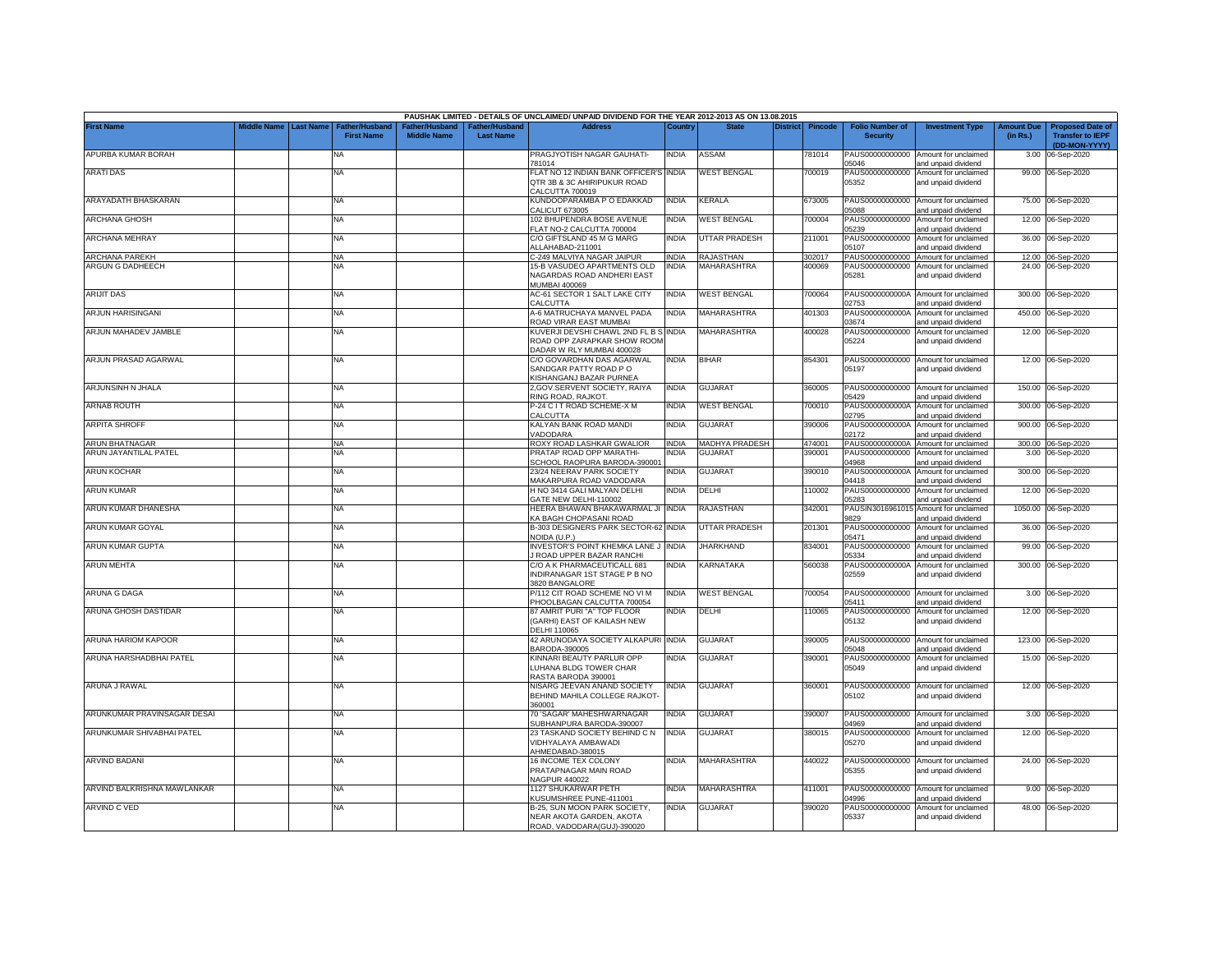|                             |                       |                                            |                                                  |                                   | PAUSHAK LIMITED - DETAILS OF UNCLAIMED/ UNPAID DIVIDEND FOR THE YEAR 2012-2013 AS ON 13.08.2015   |              |                      |                 |         |                                           |                                                              |                               |                                                                     |
|-----------------------------|-----------------------|--------------------------------------------|--------------------------------------------------|-----------------------------------|---------------------------------------------------------------------------------------------------|--------------|----------------------|-----------------|---------|-------------------------------------------|--------------------------------------------------------------|-------------------------------|---------------------------------------------------------------------|
| <b>First Name</b>           | Middle Name Last Name | <b>Father/Husband</b><br><b>First Name</b> | ather/Husband <sup>:</sup><br><b>Middle Name</b> | ather/Husband<br><b>Last Name</b> | <b>Address</b>                                                                                    | Country      | <b>State</b>         | <b>District</b> | Pincode | <b>Folio Number of</b><br><b>Security</b> | <b>Investment Type</b>                                       | <b>Amount Due</b><br>(in Rs.) | <b>Proposed Date of</b><br><b>Transfer to IEPF</b><br>(DD-MON-YYYY) |
| APURBA KUMAR BORAH          |                       | <b>NA</b>                                  |                                                  |                                   | PRAGJYOTISH NAGAR GAUHATI-<br>781014                                                              | <b>INDIA</b> | ASSAM                |                 | 781014  | PAUS00000000000<br>05046                  | Amount for unclaimed<br>and unpaid dividend                  | 3.00                          | 06-Sep-2020                                                         |
| <b>ARATIDAS</b>             |                       | <b>NA</b>                                  |                                                  |                                   | FLAT NO 12 INDIAN BANK OFFICER'S INDIA<br>QTR 3B & 3C AHIRIPUKUR ROAD<br>CALCUTTA 700019          |              | <b>WEST BENGAL</b>   |                 | 00019   | PAUS00000000000<br>05352                  | Amount for unclaimed<br>and unpaid dividend                  |                               | 99.00 06-Sep-2020                                                   |
| ARAYADATH BHASKARAN         |                       | <b>NA</b>                                  |                                                  |                                   | KUNDOOPARAMBA P O EDAKKAD<br>CALICUT 673005                                                       | <b>INDIA</b> | <b>KERALA</b>        |                 | 673005  | 05088                                     | PAUS00000000000 Amount for unclaimed<br>and unpaid dividend  |                               | 75.00 06-Sep-2020                                                   |
| <b>ARCHANA GHOSH</b>        |                       | <b>NA</b>                                  |                                                  |                                   | 102 BHUPENDRA BOSE AVENUE<br>FLAT NO-2 CALCUTTA 700004                                            | <b>INDIA</b> | <b>WEST BENGAL</b>   |                 | 700004  | PAUS00000000000<br>05239                  | Amount for unclaimed<br>and unpaid dividend                  |                               | 12.00 06-Sep-2020                                                   |
| <b>ARCHANA MEHRAY</b>       |                       | <b>NA</b>                                  |                                                  |                                   | C/O GIFTSLAND 45 M G MARG<br>ALLAHABAD-211001                                                     | <b>INDIA</b> | UTTAR PRADESH        |                 | 211001  | PAUS00000000000<br>05107                  | Amount for unclaimed<br>and unpaid dividend                  |                               | 36.00 06-Sep-2020                                                   |
| <b>ARCHANA PAREKH</b>       |                       | <b>NA</b>                                  |                                                  |                                   | C-249 MALVIYA NAGAR JAIPUR                                                                        | <b>INDIA</b> | RAJASTHAN            |                 | 302017  | PAUS00000000000                           | Amount for unclaimed                                         |                               | 12.00 06-Sep-2020                                                   |
| ARGUN G DADHEECH            |                       | NA                                         |                                                  |                                   | 15-B VASUDEO APARTMENTS OLD<br>NAGARDAS ROAD ANDHERI EAST<br>MUMBAI 400069                        | INDIA        | MAHARASHTRA          |                 | 400069  | PAUS00000000000<br>05281                  | Amount for unclaimed<br>and unpaid dividend                  |                               | 24.00 06-Sep-2020                                                   |
| <b>ARIJIT DAS</b>           |                       | <b>NA</b>                                  |                                                  |                                   | AC-61 SECTOR 1 SALT LAKE CITY<br>CALCUTTA                                                         | <b>INDIA</b> | <b>WEST BENGAL</b>   |                 | 700064  | 2753                                      | PAUS0000000000A Amount for unclaimed<br>and unpaid dividend  | 300.00                        | 06-Sep-2020                                                         |
| ARJUN HARISINGANI           |                       | <b>NA</b>                                  |                                                  |                                   | A-6 MATRUCHAYA MANVEL PADA<br>ROAD VIRAR EAST MUMBAI                                              | <b>INDIA</b> | <b>MAHARASHTRA</b>   |                 | 401303  | PAUS0000000000A<br>03674                  | Amount for unclaimed<br>and unpaid dividend                  |                               | 450.00 06-Sep-2020                                                  |
| ARJUN MAHADEV JAMBLE        |                       | <b>NA</b>                                  |                                                  |                                   | KUVERJI DEVSHI CHAWL 2ND FL B S INDIA<br>ROAD OPP ZARAPKAR SHOW ROOM<br>DADAR W RLY MUMBAI 400028 |              | MAHARASHTRA          |                 | 400028  | PAUS00000000000<br>05224                  | Amount for unclaimed<br>and unpaid dividend                  |                               | 12.00 06-Sep-2020                                                   |
| ARJUN PRASAD AGARWAL        |                       | <b>NA</b>                                  |                                                  |                                   | C/O GOVARDHAN DAS AGARWAL<br>SANDGAR PATTY ROAD PO<br>KISHANGANJ BAZAR PURNEA                     | <b>INDIA</b> | <b>BIHAR</b>         |                 | 854301  | 05197                                     | PAUS00000000000 Amount for unclaimed<br>and unpaid dividend  |                               | 12.00 06-Sep-2020                                                   |
| ARJUNSINH N JHALA           |                       | <b>NA</b>                                  |                                                  |                                   | 2, GOV. SERVENT SOCIETY, RAIYA<br>RING ROAD, RAJKOT.                                              | <b>INDIA</b> | GUJARAT              |                 | 360005  | 05429                                     | PAUS00000000000 Amount for unclaimed<br>and unpaid dividend  |                               | 150.00 06-Sep-2020                                                  |
| <b>ARNAB ROUTH</b>          |                       | <b>NA</b>                                  |                                                  |                                   | P-24 C I T ROAD SCHEME-X M<br>CALCUTTA                                                            | <b>INDIA</b> | <b>WEST BENGAL</b>   |                 | 700010  | PAUS0000000000A<br>02795                  | Amount for unclaimed<br>and unpaid dividend                  | 300.00                        | 06-Sep-2020                                                         |
| <b>ARPITA SHROFF</b>        |                       | <b>NA</b>                                  |                                                  |                                   | KALYAN BANK ROAD MANDI<br>VADODARA                                                                | <b>INDIA</b> | GUJARAT              |                 | 390006  | PAUS0000000000A<br>02172                  | Amount for unclaimed<br>and unpaid dividend                  |                               | 900.00 06-Sep-2020                                                  |
| ARUN BHATNAGAR              |                       | <b>NA</b>                                  |                                                  |                                   | ROXY ROAD LASHKAR GWALIOR                                                                         | <b>INDIA</b> | MADHYA PRADESH       |                 | 474001  | PAUS0000000000A                           | Amount for unclaimed                                         | 300.00                        | 06-Sep-2020                                                         |
| ARUN JAYANTILAL PATEL       |                       | <b>NA</b>                                  |                                                  |                                   | PRATAP ROAD OPP MARATHI<br>SCHOOL RAOPURA BARODA-390001                                           | <b>NDIA</b>  | <b>GUJARA1</b>       |                 | 390001  | PAUS00000000000<br>14968                  | Amount for unclaimed<br>and unpaid dividend                  |                               | 3.00 06-Sep-2020                                                    |
| <b>ARUN KOCHAR</b>          |                       | <b>NA</b>                                  |                                                  |                                   | 23/24 NEERAV PARK SOCIETY<br>MAKARPURA ROAD VADODARA                                              | India        | GUJARAT              |                 | 390010  | PAUS0000000000A<br>04418                  | Amount for unclaimed<br>and unpaid dividend                  |                               | 300.00 06-Sep-2020                                                  |
| <b>ARUN KUMAR</b>           |                       | <b>NA</b>                                  |                                                  |                                   | H NO 3414 GALI MALYAN DELHI<br>GATE NEW DELHI-110002                                              | <b>INDIA</b> | DELHI                |                 | 110002  | 05283                                     | PAUS00000000000 Amount for unclaimed<br>and unpaid dividend  |                               | 12.00 06-Sep-2020                                                   |
| ARUN KUMAR DHANESHA         |                       | <b>NA</b>                                  |                                                  |                                   | HEERA BHAWAN BHAKAWARMAL JI INDIA<br>KA BAGH CHOPASANI ROAD                                       |              | RAJASTHAN            |                 | 342001  | 9829                                      | PAUSIN3016961015 Amount for unclaimed<br>and unpaid dividend |                               | 1050.00 06-Sep-2020                                                 |
| ARUN KUMAR GOYAL            |                       | <b>NA</b>                                  |                                                  |                                   | B-303 DESIGNERS PARK SECTOR-62 INDIA<br>NOIDA (U.P.)                                              |              | <b>UTTAR PRADESH</b> |                 | 201301  | PAUS00000000000<br>05471                  | Amount for unclaimed<br>and unpaid dividend                  |                               | 36.00 06-Sep-2020                                                   |
| ARUN KUMAR GUPTA            |                       | <b>NA</b>                                  |                                                  |                                   | INVESTOR'S POINT KHEMKA LANE J<br>ROAD UPPER BAZAR RANCHI                                         | <b>INDIA</b> | <b>JHARKHAND</b>     |                 | 834001  | PAUS00000000000<br>05334                  | Amount for unclaimed<br>and unpaid dividend                  |                               | 99.00 06-Sep-2020                                                   |
| <b>ARUN MEHTA</b>           |                       | <b>NA</b>                                  |                                                  |                                   | C/O A K PHARMACEUTICALL 681<br>INDIRANAGAR 1ST STAGE P B NO<br>3820 BANGALORE                     | <b>INDIA</b> | KARNATAKA            |                 | 560038  | PAUS0000000000A<br>02559                  | Amount for unclaimed<br>and unpaid dividend                  |                               | 300.00 06-Sep-2020                                                  |
| ARUNA G DAGA                |                       | <b>NA</b>                                  |                                                  |                                   | P/112 CIT ROAD SCHEME NO VI M<br><b>PHOOLBAGAN CALCUTTA 700054</b>                                | India        | <b>WEST BENGAL</b>   |                 | 700054  | PAUS00000000000<br>05411                  | Amount for unclaimed<br>and unpaid dividend                  |                               | 3.00 06-Sep-2020                                                    |
| ARUNA GHOSH DASTIDAR        |                       | <b>NA</b>                                  |                                                  |                                   | 87 AMRIT PURI "A" TOP FLOOR<br>(GARHI) EAST OF KAILASH NEW<br>DELHI 110065                        | NDIA         | DELHI                |                 | 10065   | PAUS00000000000<br>05132                  | Amount for unclaimed<br>and unpaid dividend                  |                               | 12.00 06-Sep-2020                                                   |
| ARUNA HARIOM KAPOOR         |                       | NA.                                        |                                                  |                                   | 42 ARUNODAYA SOCIETY ALKAPURI INDIA<br>BARODA-390005                                              |              | GUJARAT              |                 | 390005  | 05048                                     | PAUS00000000000 Amount for unclaimed<br>and unpaid dividend  |                               | 123.00 06-Sep-2020                                                  |
| ARUNA HARSHADBHAI PATEL     |                       | <b>NA</b>                                  |                                                  |                                   | KINNARI BEAUTY PARLUR OPP<br>LUHANA BLDG TOWER CHAR<br>RASTA BARODA 390001                        | <b>INDIA</b> | <b>GUJARAT</b>       |                 | 390001  | PAUS00000000000<br>05049                  | Amount for unclaimed<br>and unpaid dividend                  |                               | 15.00 06-Sep-2020                                                   |
| ARUNA J RAWAL               |                       | <b>NA</b>                                  |                                                  |                                   | NISARG JEEVAN ANAND SOCIETY<br>BEHIND MAHILA COLLEGE RAJKOT-<br>360001                            | <b>INDIA</b> | <b>GUJARAT</b>       |                 | 360001  | 05102                                     | PAUS00000000000 Amount for unclaimed<br>and unpaid dividend  |                               | 12.00 06-Sep-2020                                                   |
| ARUNKUMAR PRAVINSAGAR DESAI |                       | <b>NA</b>                                  |                                                  |                                   | 70 'SAGAR' MAHESHWARNAGAR<br>SUBHANPURA BARODA-390007                                             | <b>INDIA</b> | <b>GUJARAT</b>       |                 | 390007  | 04969                                     | PAUS00000000000 Amount for unclaimed<br>and unpaid dividend  |                               | 3.00 06-Sep-2020                                                    |
| ARUNKUMAR SHIVABHAI PATEL   |                       | <b>NA</b>                                  |                                                  |                                   | 23 TASKAND SOCIETY BEHIND C N<br>VIDHYALAYA AMBAWADI<br>AHMEDABAD-380015                          | <b>INDIA</b> | GUJARAT              |                 | 380015  | PAUS00000000000<br>05270                  | Amount for unclaimed<br>and unpaid dividend                  |                               | 12.00 06-Sep-2020                                                   |
| <b>ARVIND BADANI</b>        |                       | <b>NA</b>                                  |                                                  |                                   | 16 INCOME TEX COLONY<br>PRATAPNAGAR MAIN ROAD<br><b>NAGPUR 440022</b>                             | <b>INDIA</b> | <b>MAHARASHTRA</b>   |                 | 440022  | PAUS00000000000<br>05355                  | Amount for unclaimed<br>and unpaid dividend                  |                               | 24.00 06-Sep-2020                                                   |
| ARVIND BALKRISHNA MAWLANKAR |                       | <b>NA</b>                                  |                                                  |                                   | 1127 SHUKARWAR PETH<br>KUSUMSHREE PUNE-411001                                                     | India        | MAHARASHTRA          |                 | 411001  | 14996                                     | PAUS00000000000 Amount for unclaimed<br>and unpaid dividend  |                               | 9.00 06-Sep-2020                                                    |
| ARVIND C VED                |                       | <b>NA</b>                                  |                                                  |                                   | B-25, SUN MOON PARK SOCIETY,<br>NEAR AKOTA GARDEN, AKOTA<br>ROAD, VADODARA(GUJ)-390020            | <b>INDIA</b> | <b>GUJARAT</b>       |                 | 390020  | PAUS00000000000<br>05337                  | Amount for unclaimed<br>and unpaid dividend                  |                               | 48.00 06-Sep-2020                                                   |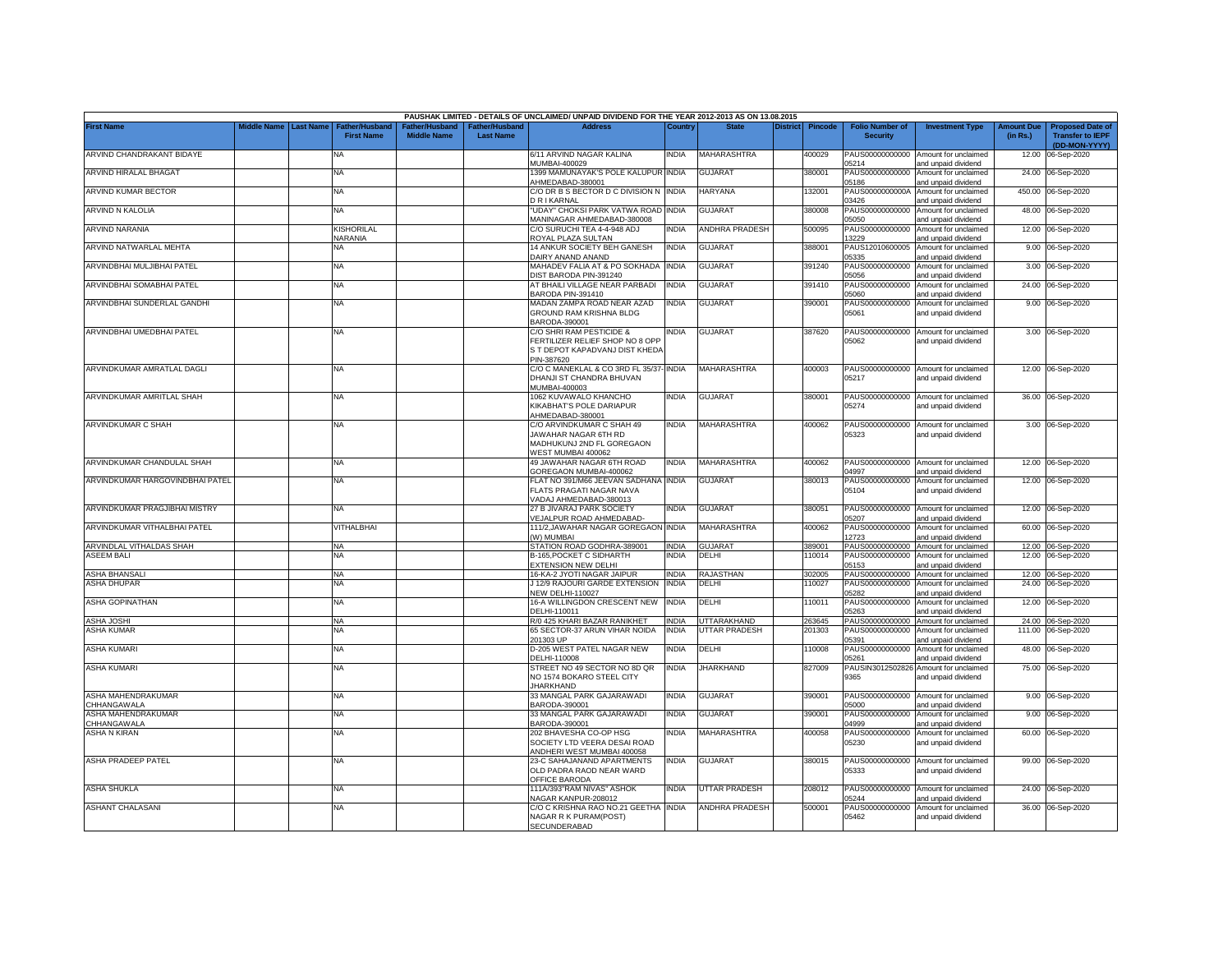|                                   |                       |                                            |                                      |                                                | PAUSHAK LIMITED - DETAILS OF UNCLAIMED/ UNPAID DIVIDEND FOR THE YEAR 2012-2013 AS ON 13.08.2015      |              |                       |                 |                |                                           |                                                                    |                               |                                                                     |
|-----------------------------------|-----------------------|--------------------------------------------|--------------------------------------|------------------------------------------------|------------------------------------------------------------------------------------------------------|--------------|-----------------------|-----------------|----------------|-------------------------------------------|--------------------------------------------------------------------|-------------------------------|---------------------------------------------------------------------|
| <b>First Name</b>                 | Middle Name Last Name | <b>Father/Husband</b><br><b>First Name</b> | Father/Husband<br><b>Middle Name</b> | ather/Husband <sup>-</sup><br><b>Last Name</b> | <b>Address</b>                                                                                       | Country      | <b>State</b>          | <b>District</b> | <b>Pincode</b> | <b>Folio Number of</b><br><b>Security</b> | <b>Investment Type</b>                                             | <b>Amount Due</b><br>(in Rs.) | <b>Proposed Date of</b><br><b>Transfer to IEPF</b><br>(DD-MON-YYYY) |
| ARVIND CHANDRAKANT BIDAYE         |                       | NA                                         |                                      |                                                | 6/11 ARVIND NAGAR KALINA<br>MUMBAI-400029                                                            | NDIA         | <b>MAHARASHTRA</b>    |                 | 400029         | PAUS00000000000<br>05214                  | Amount for unclaimed<br>and unpaid dividend                        | 12.00                         | 06-Sep-2020                                                         |
| ARVIND HIRALAL BHAGAT             |                       | <b>NA</b>                                  |                                      |                                                | 1399 MAMUNAYAK'S POLE KALUPUR INDIA<br>AHMEDABAD-380001                                              |              | <b>GUJARAT</b>        |                 | 380001         | PAUS00000000000<br>05186                  | Amount for unclaimed<br>and unpaid dividend                        |                               | 24.00 06-Sep-2020                                                   |
| ARVIND KUMAR BECTOR               |                       | <b>NA</b>                                  |                                      |                                                | C/O DR B S BECTOR D C DIVISION N INDIA<br>D R I KARNAL                                               |              | <b>HARYANA</b>        |                 | 132001         | PAUS0000000000A<br>03426                  | Amount for unclaimed<br>and unpaid dividend                        |                               | 450.00 06-Sep-2020                                                  |
| ARVIND N KALOLIA                  |                       | NA                                         |                                      |                                                | "UDAY" CHOKSI PARK VATWA ROAD INDIA<br>MANINAGAR AHMEDABAD-380008                                    |              | <b>GUJARAT</b>        |                 | 380008         | PAUS00000000000<br>05050                  | Amount for unclaimed                                               |                               | 48.00 06-Sep-2020                                                   |
| ARVIND NARANIA                    |                       | KISHORILAL<br>NARANIA                      |                                      |                                                | C/O SURUCHI TEA 4-4-948 ADJ                                                                          | NDIA         | <b>ANDHRA PRADESH</b> |                 | 500095         | PAUS00000000000<br>3229                   | and unpaid dividend<br>Amount for unclaimed                        |                               | 12.00 06-Sep-2020                                                   |
| ARVIND NATWARLAL MEHTA            |                       | NΑ                                         |                                      |                                                | ROYAL PLAZA SULTAN<br>14 ANKUR SOCIETY BEH GANESH                                                    | INDIA        | GUJARAT               |                 | 388001         | PAUS12010600005                           | and unpaid dividend<br>Amount for unclaimed                        |                               | 9.00 06-Sep-2020                                                    |
| ARVINDBHAI MULJIBHAI PATEL        |                       | <b>NA</b>                                  |                                      |                                                | DAIRY ANAND ANAND<br>MAHADEV FALIA AT & PO SOKHADA                                                   | <b>INDIA</b> | <b>GUJARAT</b>        |                 | 391240         | 05335<br>PAUS00000000000                  | and unpaid dividend<br>Amount for unclaimed                        |                               | 3.00 06-Sep-2020                                                    |
| ARVINDBHAI SOMABHAI PATEL         |                       | <b>NA</b>                                  |                                      |                                                | DIST BARODA PIN-391240<br>AT BHAILI VILLAGE NEAR PARBADI                                             | <b>INDIA</b> | <b>GUJARAT</b>        |                 | 391410         | 5056<br>PAUS00000000000                   | and unpaid dividend<br>Amount for unclaimed                        | 24.00                         | 06-Sep-2020                                                         |
| ARVINDBHAI SUNDERLAL GANDHI       |                       | NA                                         |                                      |                                                | BARODA PIN-391410<br>MADAN ZAMPA ROAD NEAR AZAD<br>GROUND RAM KRISHNA BLDG                           | INDIA        | <b>GUJARAT</b>        |                 | 390001         | 05060<br>PAUS00000000000<br>05061         | and unpaid dividend<br>Amount for unclaimed<br>and unpaid dividend |                               | 9.00 06-Sep-2020                                                    |
| ARVINDBHAI UMEDBHAI PATEL         |                       | NA                                         |                                      |                                                | BARODA-390001<br>C/O SHRI RAM PESTICIDE &                                                            | ndia         | <b>GUJARAT</b>        |                 | 387620         | PAUS00000000000                           | Amount for unclaimed                                               |                               | 3.00 06-Sep-2020                                                    |
|                                   |                       |                                            |                                      |                                                | FERTILIZER RELIEF SHOP NO 8 OPP<br>S T DEPOT KAPADVANJ DIST KHEDA<br>PIN-387620                      |              |                       |                 |                | 05062                                     | and unpaid dividend                                                |                               |                                                                     |
| ARVINDKUMAR AMRATLAL DAGLI        |                       | <b>NA</b>                                  |                                      |                                                | C/O C MANEKLAL & CO 3RD FL 35/37- INDIA<br>DHANJI ST CHANDRA BHUVAN<br>MUMBAI-400003                 |              | <b>MAHARASHTRA</b>    |                 | 400003         | 05217                                     | PAUS00000000000 Amount for unclaimed<br>and unpaid dividend        |                               | 12.00 06-Sep-2020                                                   |
| ARVINDKUMAR AMRITLAL SHAH         |                       | NA                                         |                                      |                                                | 1062 KUVAWALO KHANCHO<br>KIKABHAT'S POLE DARIAPUR<br>AHMEDABAD-380001                                | <b>INDIA</b> | <b>GUJARAT</b>        |                 | 380001         | 05274                                     | PAUS00000000000 Amount for unclaimed<br>and unpaid dividend        |                               | 36.00 06-Sep-2020                                                   |
| ARVINDKUMAR C SHAH                |                       | <b>NA</b>                                  |                                      |                                                | C/O ARVINDKUMAR C SHAH 49<br>JAWAHAR NAGAR 6TH RD<br>MADHUKUNJ 2ND FL GOREGAON<br>VEST MUMBAI 400062 | INDIA        | MAHARASHTRA           |                 | 100062         | PAUS00000000000<br>05323                  | Amount for unclaimed<br>and unpaid dividend                        |                               | 3.00 06-Sep-2020                                                    |
| ARVINDKUMAR CHANDULAL SHAH        |                       | NA                                         |                                      |                                                | 49 JAWAHAR NAGAR 6TH ROAD<br>GOREGAON MUMBAI-400062                                                  | NDIA         | MAHARASHTRA           |                 | 400062         | 04997                                     | PAUS00000000000 Amount for unclaimed<br>and unpaid dividend        |                               | 12.00 06-Sep-2020                                                   |
| ARVINDKUMAR HARGOVINDBHAI PATEL   |                       | <b>NA</b>                                  |                                      |                                                | FLAT NO 391/M66 JEEVAN SADHANA INDIA<br>FLATS PRAGATI NAGAR NAVA<br>VADAJ AHMEDABAD-380013           |              | <b>GUJARAT</b>        |                 | 380013         | 05104                                     | PAUS00000000000 Amount for unclaimed<br>and unpaid dividend        |                               | 12.00 06-Sep-2020                                                   |
| ARVINDKUMAR PRAGJIBHAI MISTRY     |                       | NA                                         |                                      |                                                | 27 B JIVARAJ PARK SOCIETY<br>VEJALPUR ROAD AHMEDABAD-                                                | NDIA         | <b>GUJARAT</b>        |                 | 380051         | PAUS00000000000<br>05207                  | Amount for unclaimed<br>and unpaid dividend                        |                               | 12.00 06-Sep-2020                                                   |
| ARVINDKUMAR VITHALBHAI PATEL      |                       | VITHALBHAI                                 |                                      |                                                | 111/2, JAWAHAR NAGAR GOREGAON INDIA<br>(W) MUMBAI                                                    |              | <b>MAHARASHTRA</b>    |                 | 400062         | PAUS00000000000<br>12723                  | Amount for unclaimed<br>and unpaid dividend                        |                               | 60.00 06-Sep-2020                                                   |
| ARVINDLAL VITHALDAS SHAH          |                       | <b>NA</b>                                  |                                      |                                                | STATION ROAD GODHRA-389001                                                                           | INDIA        | <b>GUJARAT</b>        |                 | 389001         |                                           | PAUS00000000000 Amount for unclaimed                               |                               | 12.00 06-Sep-2020                                                   |
| ASEEM BALI                        |                       | <b>NA</b>                                  |                                      |                                                | B-165, POCKET C SIDHARTH                                                                             | NDIA         | DELHI                 |                 | 110014         | PAUS00000000000                           | Amount for unclaimed                                               |                               | 12.00 06-Sep-2020                                                   |
| ASHA BHANSALI                     |                       |                                            |                                      |                                                | EXTENSION NEW DELHI<br>16-KA-2 JYOTI NAGAR JAIPUR                                                    | INDIA        | RAJASTHAN             |                 | 302005         | 05153                                     | and unpaid dividend<br>PAUS00000000000 Amount for unclaimed        |                               | 12.00 06-Sep-2020                                                   |
| <b>ASHA DHUPAR</b>                |                       | NA<br>NA                                   |                                      |                                                | J 12/9 RAJOURI GARDE EXTENSION                                                                       | <b>INDIA</b> | DELHI                 |                 | 10027          | PAUS00000000000                           | Amount for unclaimed                                               |                               | 24.00 06-Sep-2020                                                   |
|                                   |                       |                                            |                                      |                                                | VEW DELHI-110027                                                                                     |              |                       |                 |                | 05282                                     | and unpaid dividend                                                |                               |                                                                     |
| ASHA GOPINATHAN                   |                       | <b>NA</b>                                  |                                      |                                                | 16-A WILLINGDON CRESCENT NEW<br>DELHI-110011                                                         | INDIA        | DELHI                 |                 | 10011          | PAUS00000000000<br>5263                   | Amount for unclaimed<br>and unpaid dividend                        |                               | 12.00 06-Sep-2020                                                   |
| ASHA JOSHI                        |                       | <b>NA</b>                                  |                                      |                                                | R/0 425 KHARI BAZAR RANIKHET                                                                         | INDIA        | UTTARAKHAND           |                 | 263645         | PAUS00000000000                           | Amount for unclaimed                                               |                               | 24.00 06-Sep-2020                                                   |
| ASHA KUMAR                        |                       | NA                                         |                                      |                                                | 65 SECTOR-37 ARUN VIHAR NOIDA                                                                        | <b>INDIA</b> | UTTAR PRADESH         |                 | 201303         | PAUS00000000000                           | Amount for unclaimed                                               | 111.00                        | 06-Sep-2020                                                         |
| ASHA KUMARI                       |                       | NA                                         |                                      |                                                | 201303 UP<br>D-205 WEST PATEL NAGAR NEW                                                              | INDIA        | DELHI                 |                 | 110008         | 15391<br>PAUS00000000000                  | and unpaid dividend<br>Amount for unclaimed                        | 48.00                         | 06-Sep-2020                                                         |
| <b>ASHA KUMARI</b>                |                       | <b>NA</b>                                  |                                      |                                                | DELHI-110008<br>STREET NO 49 SECTOR NO 8D QR                                                         | <b>INDIA</b> | <b>JHARKHAND</b>      |                 | 827009         | 05261<br>PAUSIN3012502826                 | and unpaid dividend<br>Amount for unclaimed                        |                               | 75.00 06-Sep-2020                                                   |
|                                   |                       |                                            |                                      |                                                | NO 1574 BOKARO STEEL CITY<br><b>JHARKHAND</b>                                                        |              |                       |                 |                | 9365                                      | and unpaid dividend                                                |                               |                                                                     |
| ASHA MAHENDRAKUMAR<br>CHHANGAWALA |                       | <b>NA</b>                                  |                                      |                                                | 33 MANGAL PARK GAJARAWADI<br>BARODA-390001                                                           | <b>INDIA</b> | GUJARAT               |                 | 390001         | PAUS00000000000<br>05000                  | Amount for unclaimed<br>and unpaid dividend                        |                               | 9.00 06-Sep-2020                                                    |
| ASHA MAHENDRAKUMAR<br>CHHANGAWALA |                       | NA                                         |                                      |                                                | 33 MANGAL PARK GAJARAWADI<br>BARODA-390001                                                           | <b>INDIA</b> | <b>GUJARAT</b>        |                 | 390001         | PAUS00000000000<br>04999                  | Amount for unclaimed<br>and unpaid dividend                        | 9.00                          | 06-Sep-2020                                                         |
| <b>ASHA N KIRAN</b>               |                       | NA                                         |                                      |                                                | 202 BHAVESHA CO-OP HSG<br>SOCIETY LTD VEERA DESAI ROAD<br>ANDHERI WEST MUMBAI 400058                 | INDIA        | MAHARASHTRA           |                 | 400058         | PAUS00000000000<br>05230                  | Amount for unclaimed<br>and unpaid dividend                        |                               | 60.00 06-Sep-2020                                                   |
| <b>ASHA PRADEEP PATEL</b>         |                       | <b>NA</b>                                  |                                      |                                                | 23-C SAHAJANAND APARTMENTS<br>OLD PADRA RAOD NEAR WARD<br>OFFICE BARODA                              | NDIA         | <b>GUJARAT</b>        |                 | 380015         | PAUS00000000000<br>05333                  | Amount for unclaimed<br>and unpaid dividend                        |                               | 99.00 06-Sep-2020                                                   |
| ASHA SHUKLA                       |                       | NA                                         |                                      |                                                | 111A/393"RAM NIVAS" ASHOK<br>VAGAR KANPUR-208012                                                     | NDIA         | UTTAR PRADESH         |                 | 208012         | PAUS00000000000<br>15244                  | Amount for unclaimed<br>and unpaid dividend                        |                               | 24.00 06-Sep-2020                                                   |
| <b>ASHANT CHALASANI</b>           |                       | <b>NA</b>                                  |                                      |                                                | C/O C KRISHNA RAO NO.21 GEETHA INDIA<br>NAGAR R K PURAM(POST)<br>SECUNDERABAD                        |              | ANDHRA PRADESH        |                 | 500001         | PAUS00000000000<br>05462                  | Amount for unclaimed<br>and unpaid dividend                        |                               | 36.00 06-Sep-2020                                                   |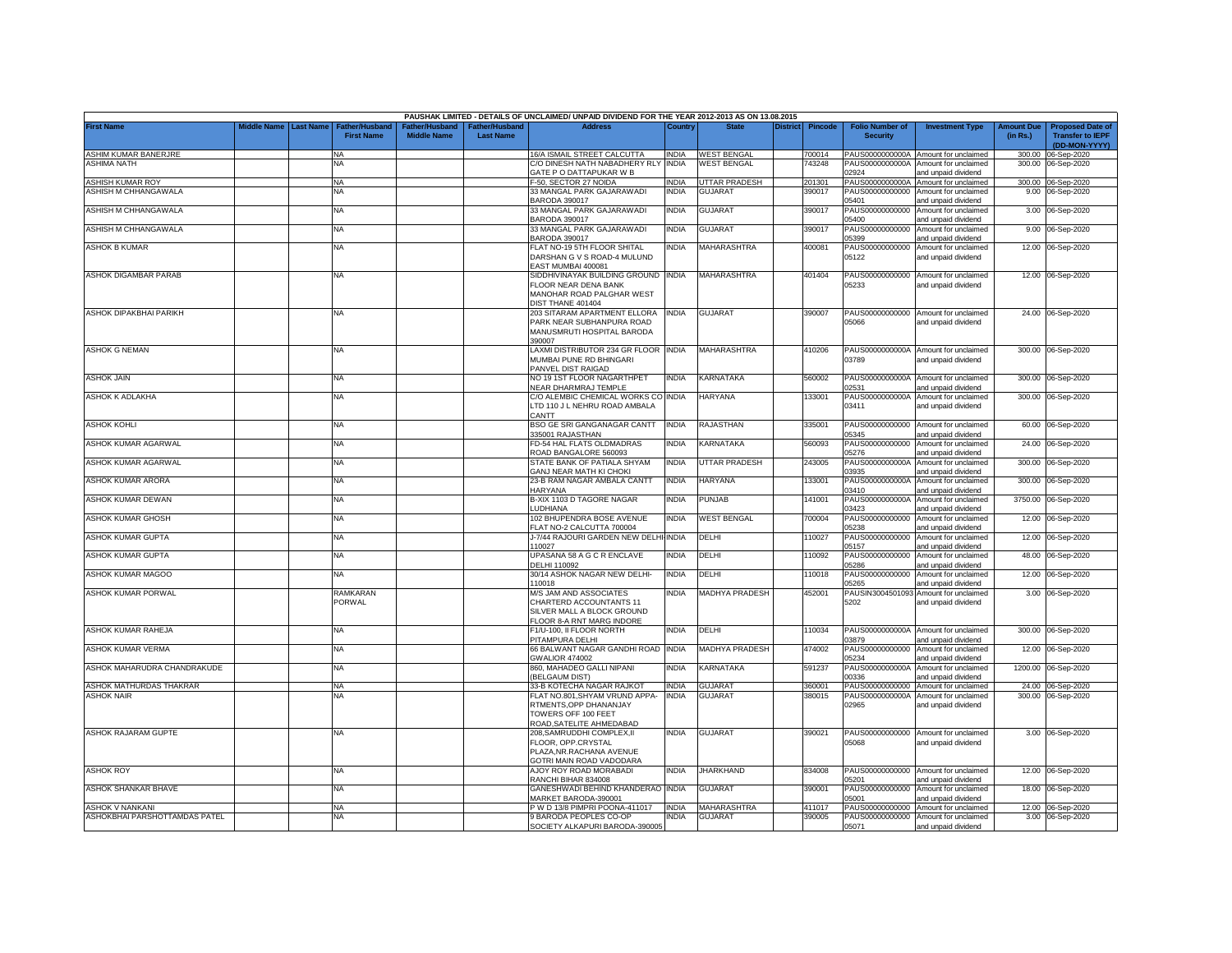|                               |             |                  |                                     |                                      |                                           | PAUSHAK LIMITED - DETAILS OF UNCLAIMED/ UNPAID DIVIDEND FOR THE YEAR 2012-2013 AS ON 13.08.2015                  |              |                       |                 |                |                                           |                                                                    |                               |                                                                     |
|-------------------------------|-------------|------------------|-------------------------------------|--------------------------------------|-------------------------------------------|------------------------------------------------------------------------------------------------------------------|--------------|-----------------------|-----------------|----------------|-------------------------------------------|--------------------------------------------------------------------|-------------------------------|---------------------------------------------------------------------|
| <b>First Name</b>             | liddle Name | <b>Last Name</b> | Father/Husband<br><b>First Name</b> | Father/Husband<br><b>Middle Name</b> | <b>Father/Husband</b><br><b>Last Name</b> | <b>Address</b>                                                                                                   | Country      | <b>State</b>          | <b>District</b> | <b>Pincode</b> | <b>Folio Number of</b><br><b>Security</b> | <b>Investment Type</b>                                             | <b>Amount Due</b><br>(in Rs.) | <b>Proposed Date of</b><br><b>Transfer to IEPF</b><br>(DD-MON-YYYY) |
| ASHIM KUMAR BANERJRE          |             |                  | <b>NA</b>                           |                                      |                                           | 16/A ISMAIL STREET CALCUTTA                                                                                      | <b>INDIA</b> | <b>WEST BENGAL</b>    |                 | 700014         | PAUS0000000000A                           | Amount for unclaimed                                               |                               | 300.00 06-Sep-2020                                                  |
| ASHIMA NATH                   |             |                  | NA                                  |                                      |                                           | C/O DINESH NATH NABADHERY RLY<br>GATE P O DATTAPUKAR W B                                                         | <b>INDIA</b> | <b>WEST BENGAL</b>    |                 | 743248         | PAUS0000000000A<br>02924                  | Amount for unclaimed<br>and unpaid dividend                        |                               | 300.00 06-Sep-2020                                                  |
| <b>ASHISH KUMAR ROY</b>       |             |                  | NA                                  |                                      |                                           | -50, SECTOR 27 NOIDA                                                                                             | <b>INDIA</b> | UTTAR PRADESH         |                 | 201301         | PAUS0000000000A                           | Amount for unclaimed                                               |                               | 300.00 06-Sep-2020                                                  |
| ASHISH M CHHANGAWALA          |             |                  | <b>NA</b>                           |                                      |                                           | 33 MANGAL PARK GAJARAWADI<br>BARODA 390017                                                                       | <b>INDIA</b> | <b>GUJARAT</b>        |                 | 390017         | PAUS00000000000<br>05401                  | Amount for unclaimed<br>and unpaid dividend                        |                               | 9.00 06-Sep-2020                                                    |
| ASHISH M CHHANGAWALA          |             |                  | <b>NA</b>                           |                                      |                                           | 33 MANGAL PARK GAJARAWADI<br>BARODA 390017                                                                       | <b>INDIA</b> | <b>GUJARAT</b>        |                 | 390017         | PAUS00000000000<br>05400                  | Amount for unclaimed<br>and unpaid dividend                        |                               | 3.00 06-Sep-2020                                                    |
| ASHISH M CHHANGAWALA          |             |                  | <b>NA</b>                           |                                      |                                           | 33 MANGAL PARK GAJARAWADI<br>BARODA 390017                                                                       | INDIA        | <b>GUJARAT</b>        |                 | 390017         | PAUS00000000000<br>05399                  | Amount for unclaimed<br>and unpaid dividend                        |                               | 9.00 06-Sep-2020                                                    |
| <b>ASHOK B KUMAR</b>          |             |                  | <b>NA</b>                           |                                      |                                           | FLAT NO-19 5TH FLOOR SHITAL<br>DARSHAN G V S ROAD-4 MULUND<br><b>EAST MUMBAI 400081</b>                          | INDIA        | <b>MAHARASHTRA</b>    |                 | 400081         | PAUS00000000000<br>05122                  | Amount for unclaimed<br>and unpaid dividend                        |                               | 12.00 06-Sep-2020                                                   |
| <b>ASHOK DIGAMBAR PARAB</b>   |             |                  | <b>NA</b>                           |                                      |                                           | SIDDHIVINAYAK BUILDING GROUND<br>FLOOR NEAR DENA BANK<br>MANOHAR ROAD PALGHAR WEST<br><b>JIST THANE 401404</b>   | <b>INDIA</b> | <b>MAHARASHTRA</b>    |                 | 401404         | PAUS00000000000<br>05233                  | Amount for unclaimed<br>and unpaid dividend                        |                               | 12.00 06-Sep-2020                                                   |
| ASHOK DIPAKBHAI PARIKH        |             |                  | <b>NA</b>                           |                                      |                                           | 203 SITARAM APARTMENT ELLORA<br>PARK NEAR SUBHANPURA ROAD<br>MANUSMRUTI HOSPITAL BARODA<br>390007                | <b>INDIA</b> | <b>GUJARAT</b>        |                 | 390007         | 05066                                     | PAUS00000000000 Amount for unclaimed<br>and unpaid dividend        |                               | 24.00 06-Sep-2020                                                   |
| <b>ASHOK G NEMAN</b>          |             |                  | <b>NA</b>                           |                                      |                                           | LAXMI DISTRIBUTOR 234 GR FLOOR<br>MUMBAI PUNE RD BHINGARI<br>PANVEL DIST RAIGAD                                  | <b>INDIA</b> | MAHARASHTRA           |                 | 410206         | PAUS0000000000A<br>03789                  | Amount for unclaimed<br>and unpaid dividend                        |                               | 300.00 06-Sep-2020                                                  |
| <b>ASHOK JAIN</b>             |             |                  | <b>NA</b>                           |                                      |                                           | NO 19 1ST FLOOR NAGARTHPET<br>NEAR DHARMRAJ TEMPLE                                                               | INDIA        | KARNATAKA             |                 | 560002         | PAUS0000000000A<br>02531                  | Amount for unclaimed<br>and unpaid dividend                        | 300.00                        | 06-Sep-2020                                                         |
| ASHOK K ADLAKHA               |             |                  | <b>NA</b>                           |                                      |                                           | C/O ALEMBIC CHEMICAL WORKS CO INDIA<br>LTD 110 J L NEHRU ROAD AMBALA<br>CANTT                                    |              | <b>HARYANA</b>        |                 | 33001          | PAUS0000000000A<br>03411                  | Amount for unclaimed<br>and unpaid dividend                        | 300.00                        | 06-Sep-2020                                                         |
| <b>ASHOK KOHLI</b>            |             |                  | <b>NA</b>                           |                                      |                                           | <b>BSO GE SRI GANGANAGAR CANTT</b><br>35001 RAJASTHAN                                                            | INDIA        | RAJASTHAN             |                 | 335001         | PAUS00000000000<br>05345                  | Amount for unclaimed<br>and unpaid dividend                        |                               | 60.00 06-Sep-2020                                                   |
| ASHOK KUMAR AGARWAL           |             |                  | NA                                  |                                      |                                           | <b>D-54 HAL FLATS OLDMADRAS</b><br>ROAD BANGALORE 560093                                                         | NDIA         | <b>KARNATAKA</b>      |                 | 560093         | PAUS00000000000<br>15276                  | Amount for unclaimed<br>and unpaid dividend                        |                               | 24.00 06-Sep-2020                                                   |
| ASHOK KUMAR AGARWAL           |             |                  | <b>NA</b>                           |                                      |                                           | STATE BANK OF PATIALA SHYAM                                                                                      | INDIA        | UTTAR PRADESH         |                 | 243005         | PAUS0000000000A<br>03935                  | Amount for unclaimed                                               | 300.00                        | 06-Sep-2020                                                         |
| ASHOK KUMAR ARORA             |             |                  | <b>NA</b>                           |                                      |                                           | <b>GANJ NEAR MATH KI CHOKI</b><br>23-B RAM NAGAR AMBALA CANTT                                                    | <b>INDIA</b> | <b>HARYANA</b>        |                 | 133001         | PAUS0000000000A<br>03410                  | and unpaid dividend<br>Amount for unclaimed                        | 300.00                        | 06-Sep-2020                                                         |
| ASHOK KUMAR DEWAN             |             |                  | <b>NA</b>                           |                                      |                                           | HARYANA<br>B-XIX 1103 D TAGORE NAGAR<br><b>LUDHIANA</b>                                                          | INDIA        | <b>PUNJAB</b>         |                 | 141001         | PAUS0000000000A<br>03423                  | and unpaid dividend<br>Amount for unclaimed<br>and unpaid dividend |                               | 3750.00 06-Sep-2020                                                 |
| ASHOK KUMAR GHOSH             |             |                  | <b>NA</b>                           |                                      |                                           | 102 BHUPENDRA BOSE AVENUE<br><b>ELAT NO-2 CALCUTTA 700004</b>                                                    | INDIA        | <b>WEST BENGAL</b>    |                 | '00004         | PAUS00000000000<br>05238                  | Amount for unclaimed<br>and unpaid dividend                        |                               | 12.00 06-Sep-2020                                                   |
| ASHOK KUMAR GUPTA             |             |                  | <b>NA</b>                           |                                      |                                           | -7/44 RAJOURI GARDEN NEW DELHI INDIA<br>10027                                                                    |              | DELHI                 |                 | 10027          | PAUS00000000000<br>05157                  | Amount for unclaimed<br>and unpaid dividend                        |                               | 12.00 06-Sep-2020                                                   |
| ASHOK KUMAR GUPTA             |             |                  | <b>NA</b>                           |                                      |                                           | UPASANA 58 A G C R ENCLAVE                                                                                       | INDIA        | DELHI                 |                 | 10092          | PAUS00000000000                           | Amount for unclaimed                                               |                               | 48.00 06-Sep-2020                                                   |
| ASHOK KUMAR MAGOO             |             |                  | <b>NA</b>                           |                                      |                                           | <b>DELHI 110092</b><br>30/14 ASHOK NAGAR NEW DELHI-<br>10018                                                     | india        | DELHI                 |                 | 110018         | 05286<br>PAUS00000000000                  | and unpaid dividend<br>Amount for unclaimed                        |                               | 12.00 06-Sep-2020                                                   |
| ASHOK KUMAR PORWAL            |             |                  | RAMKARAN<br>PORWAL                  |                                      |                                           | M/S JAM AND ASSOCIATES<br>CHARTERD ACCOUNTANTS 11<br>SILVER MALL A BLOCK GROUND<br>LOOR 8-A RNT MARG INDORE      | INDIA        | <b>MADHYA PRADESH</b> |                 | 452001         | 05265<br>PAUSIN3004501093<br>5202         | and unpaid dividend<br>Amount for unclaimed<br>and unpaid dividend |                               | 3.00 06-Sep-2020                                                    |
| ASHOK KUMAR RAHEJA            |             |                  | ΝA                                  |                                      |                                           | F1/U-100, II FLOOR NORTH<br><b>PITAMPURA DELHI</b>                                                               | INDIA        | DELHI                 |                 | 10034          | 03879                                     | PAUS0000000000A Amount for unclaimed<br>and unpaid dividend        |                               | 300.00 06-Sep-2020                                                  |
| ASHOK KUMAR VERMA             |             |                  | <b>NA</b>                           |                                      |                                           | 66 BALWANT NAGAR GANDHI ROAD<br><b>GWALIOR 474002</b>                                                            | <b>INDIA</b> | <b>MADHYA PRADESH</b> |                 | 474002         | PAUS00000000000<br>05234                  | Amount for unclaimed<br>and unpaid dividend                        | 12.00                         | 06-Sep-2020                                                         |
| ASHOK MAHARUDRA CHANDRAKUDE   |             |                  | <b>NA</b>                           |                                      |                                           | 860, MAHADEO GALLI NIPANI<br>(BELGAUM DIST)                                                                      | INDIA        | KARNATAKA             |                 | 591237         | PAUS0000000000A<br>00336                  | Amount for unclaimed<br>and unpaid dividend                        | 1200.00                       | 06-Sep-2020                                                         |
| ASHOK MATHURDAS THAKRAR       |             |                  | <b>NA</b>                           |                                      |                                           | 33-B KOTECHA NAGAR RAJKOT                                                                                        | INDIA        | <b>GUJARAT</b>        |                 | 360001         | PAUS00000000000                           | Amount for unclaimed                                               |                               | 24.00 06-Sep-2020                                                   |
| <b>ASHOK NAIR</b>             |             |                  | <b>NA</b>                           |                                      |                                           | -LAT NO.801.SHYAM VRUND APPA-<br>RTMENTS, OPP DHANANJAY<br>TOWERS OFF 100 FEET<br>ROAD, SATELITE AHMEDABAD       | <b>INDIA</b> | <b>GUJARAT</b>        |                 | 380015         | PAUS0000000000A<br>02965                  | Amount for unclaimed<br>and unpaid dividend                        |                               | 300.00 06-Sep-2020                                                  |
| <b>ASHOK RAJARAM GUPTE</b>    |             |                  | <b>NA</b>                           |                                      |                                           | 208, SAMRUDDHI COMPLEX, II<br>FLOOR, OPP.CRYSTAL<br>PLAZA, NR. RACHANA AVENUE<br><b>GOTRI MAIN ROAD VADODARA</b> | INDIA        | <b>GUJARAT</b>        |                 | 390021         | 05068                                     | PAUS00000000000 Amount for unclaimed<br>and unpaid dividend        |                               | 3.00 06-Sep-2020                                                    |
| <b>ASHOK ROY</b>              |             |                  | NA                                  |                                      |                                           | AJOY ROY ROAD MORABADI<br>RANCHI BIHAR 834008                                                                    | NDIA         | <b>JHARKHAND</b>      |                 | 834008         | PAUS00000000000<br>05201                  | Amount for unclaimed<br>and unpaid dividend                        |                               | 12.00 06-Sep-2020                                                   |
| ASHOK SHANKAR BHAVE           |             |                  | <b>NA</b>                           |                                      |                                           | GANESHWADI BEHIND KHANDERAO INDIA<br>MARKET BARODA-390001                                                        |              | GUJARAT               |                 | 390001         | PAUS00000000000<br>05001                  | Amount for unclaimed<br>and unpaid dividend                        |                               | 18.00 06-Sep-2020                                                   |
| ASHOK V NANKANI               |             |                  | ΝA                                  |                                      |                                           | PWD 13/8 PIMPRI POONA-411017                                                                                     | <b>INDIA</b> | MAHARASHTRA           |                 | 411017         | PAUS00000000000                           | Amount for unclaimed                                               |                               | 12.00 06-Sep-2020                                                   |
| ASHOKBHAI PARSHOTTAMDAS PATEL |             |                  | NA                                  |                                      |                                           | 9 BARODA PEOPLES CO-OP<br>SOCIETY ALKAPURI BARODA-390005                                                         | NDIA         | GUJARAT               |                 | 390005         | 05071                                     | PAUS00000000000 Amount for unclaimed<br>and unpaid dividend        |                               | 3.00 06-Sep-2020                                                    |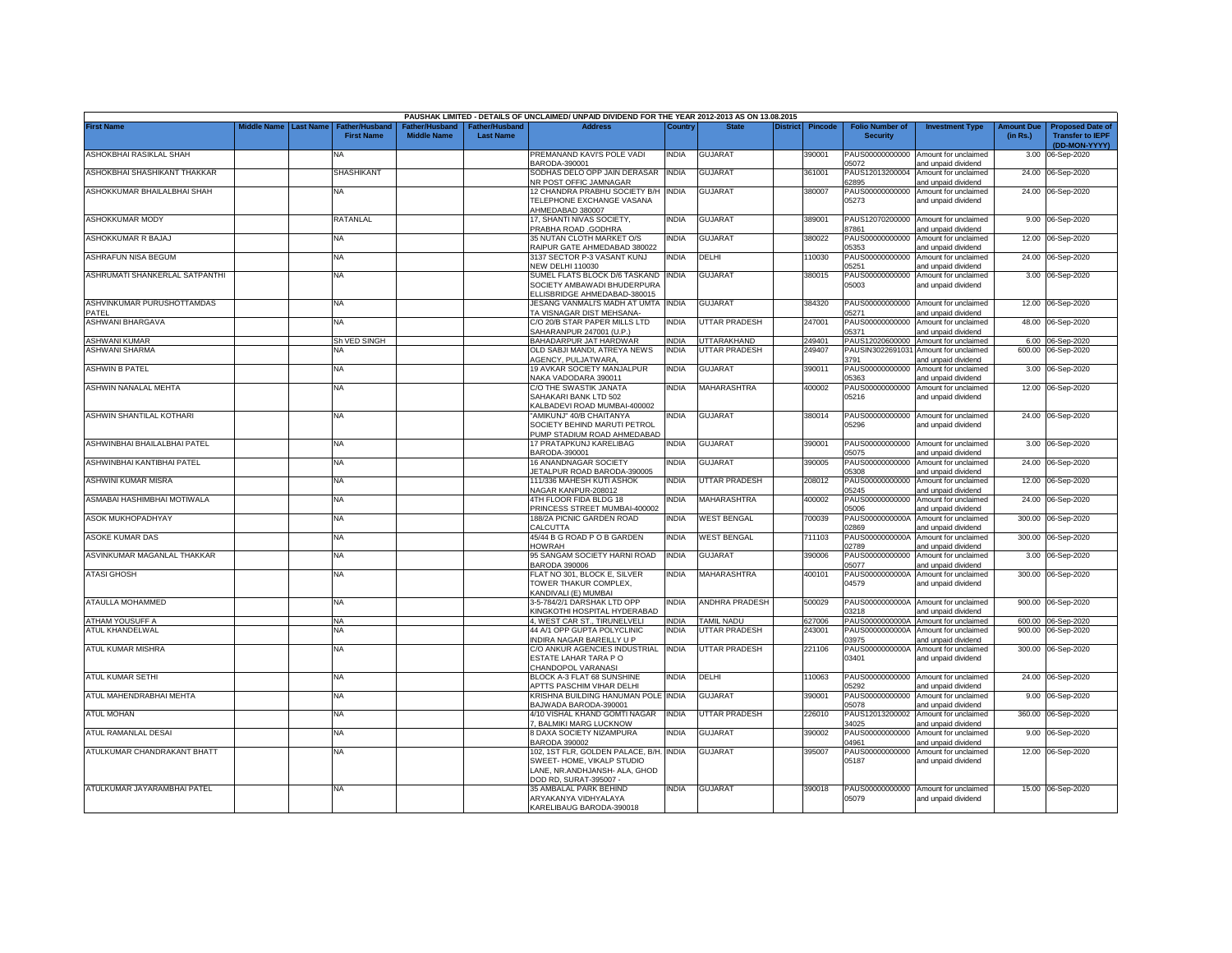|                                     |             |                  |                                            |                                             |                                           | PAUSHAK LIMITED - DETAILS OF UNCLAIMED/ UNPAID DIVIDEND FOR THE YEAR 2012-2013 AS ON 13.08.2015 |              |                       |                 |         |                                           |                                                             |                               |                                                                     |
|-------------------------------------|-------------|------------------|--------------------------------------------|---------------------------------------------|-------------------------------------------|-------------------------------------------------------------------------------------------------|--------------|-----------------------|-----------------|---------|-------------------------------------------|-------------------------------------------------------------|-------------------------------|---------------------------------------------------------------------|
| <b>First Name</b>                   | Middle Name | <b>Last Name</b> | <b>Father/Husband</b><br><b>First Name</b> | <b>Father/Husband</b><br><b>Middle Name</b> | <b>Father/Husband</b><br><b>Last Name</b> | <b>Address</b>                                                                                  | Country      | <b>State</b>          | <b>District</b> | Pincode | <b>Folio Number of</b><br><b>Security</b> | <b>Investment Type</b>                                      | <b>Amount Due</b><br>(in Rs.) | <b>Proposed Date of</b><br><b>Transfer to IEPF</b><br>(DD-MON-YYYY) |
| ASHOKBHAI RASIKLAL SHAH             |             |                  | NA                                         |                                             |                                           | PREMANAND KAVI'S POLE VADI<br>BARODA-390001                                                     | India        | <b>GUJARAT</b>        |                 | 390001  | PAUS00000000000<br>05072                  | Amount for unclaimed<br>and unpaid dividend                 | 3.00                          | 06-Sep-2020                                                         |
| ASHOKBHAI SHASHIKANT THAKKAR        |             |                  | <b>SHASHIKANT</b>                          |                                             |                                           | SODHAS DELO OPP JAIN DERASAR<br>NR POST OFFIC JAMNAGAR                                          | <b>INDIA</b> | <b>GUJARAT</b>        |                 | 361001  | PAUS12013200004<br>32895                  | Amount for unclaimed<br>and unpaid dividend                 |                               | 24.00 06-Sep-2020                                                   |
| ASHOKKUMAR BHAILALBHAI SHAH         |             |                  | <b>NA</b>                                  |                                             |                                           | 12 CHANDRA PRABHU SOCIETY B/H INDIA<br>TELEPHONE EXCHANGE VASANA<br>AHMEDABAD 380007            |              | <b>GUJARAT</b>        |                 | 380007  | PAUS00000000000<br>05273                  | Amount for unclaimed<br>and unpaid dividend                 |                               | 24.00 06-Sep-2020                                                   |
| <b>ASHOKKUMAR MODY</b>              |             |                  | RATANLAL                                   |                                             |                                           | 17. SHANTI NIVAS SOCIETY.<br>PRABHA ROAD .GODHRA                                                | INDIA        | <b>GUJARAT</b>        |                 | 389001  | 87861                                     | PAUS12070200000 Amount for unclaimed<br>and unpaid dividend |                               | 9.00 06-Sep-2020                                                    |
| ASHOKKUMAR R BAJAJ                  |             |                  | <b>NA</b>                                  |                                             |                                           | 35 NUTAN CLOTH MARKET O/S<br>RAIPUR GATE AHMEDABAD 380022                                       | India        | <b>GUJARAT</b>        |                 | 380022  | PAUS00000000000<br>05353                  | Amount for unclaimed<br>and unpaid dividend                 |                               | 12.00 06-Sep-2020                                                   |
| ASHRAFUN NISA BEGUM                 |             |                  | <b>NA</b>                                  |                                             |                                           | 3137 SECTOR P-3 VASANT KUNJ<br><b>NEW DELHI 110030</b>                                          | India        | DELHI                 |                 | 10030   | PAUS00000000000<br>05251                  | Amount for unclaimed<br>and unpaid dividend                 |                               | 24.00 06-Sep-2020                                                   |
| ASHRUMATI SHANKERLAL SATPANTHI      |             |                  | <b>NA</b>                                  |                                             |                                           | SUMEL FLATS BLOCK D/6 TASKAND<br>SOCIETY AMBAWADI BHUDERPURA<br>ELLISBRIDGE AHMEDABAD-380015    | <b>INDIA</b> | <b>GUJARAT</b>        |                 | 380015  | PAUS00000000000<br>05003                  | Amount for unclaimed<br>and unpaid dividend                 |                               | 3.00 06-Sep-2020                                                    |
| ASHVINKUMAR PURUSHOTTAMDAS<br>PATEL |             |                  | <b>NA</b>                                  |                                             |                                           | JESANG VANMALI'S MADH AT UMTA<br>TA VISNAGAR DIST MEHSANA-                                      | <b>INDIA</b> | <b>GUJARAT</b>        |                 | 384320  | 05271                                     | PAUS00000000000 Amount for unclaimed<br>and unpaid dividend |                               | 12.00 06-Sep-2020                                                   |
| ASHWANI BHARGAVA                    |             |                  | <b>NA</b>                                  |                                             |                                           | C/O 20/B STAR PAPER MILLS LTD<br>SAHARANPUR 247001 (U.P.)                                       | India        | UTTAR PRADESH         |                 | 247001  | PAUS00000000000<br>05371                  | Amount for unclaimed<br>and unpaid dividend                 |                               | 48.00 06-Sep-2020                                                   |
| ASHWANI KUMAR                       |             |                  | Sh VED SINGH                               |                                             |                                           | BAHADARPUR JAT HARDWAR                                                                          | <b>INDIA</b> | <b>JTTARAKHAND</b>    |                 | 249401  | PAUS12020600000                           | Amount for unclaimed                                        |                               | 6.00 06-Sep-2020                                                    |
| ASHWANI SHARMA                      |             |                  | NA                                         |                                             |                                           | OLD SABJI MANDI, ATREYA NEWS<br>AGENCY, PULJATWARA                                              | <b>INDIA</b> | <b>JTTAR PRADESH</b>  |                 | 249407  | PAUSIN3022691031<br>3791                  | Amount for unclaimed<br>and unpaid dividend                 | 600.00                        | 06-Sep-2020                                                         |
| ASHWIN B PATEL                      |             |                  | <b>NA</b>                                  |                                             |                                           | <b>19 AVKAR SOCIETY MANJALPUR</b><br>VAKA VADODARA 390011                                       | India        | <b>GUJARAT</b>        |                 | 390011  | PAUS00000000000<br>05363                  | Amount for unclaimed<br>and unpaid dividend                 |                               | 3.00 06-Sep-2020                                                    |
| ASHWIN NANALAL MEHTA                |             |                  | <b>NA</b>                                  |                                             |                                           | C/O THE SWASTIK JANATA<br>SAHAKARI BANK LTD 502<br><b>KALBADEVI ROAD MUMBAI-400002</b>          | India        | MAHARASHTRA           |                 | 400002  | PAUS00000000000<br>05216                  | Amount for unclaimed<br>and unpaid dividend                 |                               | 12.00 06-Sep-2020                                                   |
| ASHWIN SHANTILAL KOTHARI            |             |                  | <b>NA</b>                                  |                                             |                                           | AMIKUNJ" 40/B CHAITANYA<br>SOCIETY BEHIND MARUTI PETROL<br>PUMP STADIUM ROAD AHMEDABAD          | ndia         | <b>GUJARAT</b>        |                 | 380014  | 05296                                     | PAUS00000000000 Amount for unclaimed<br>and unpaid dividend |                               | 24.00 06-Sep-2020                                                   |
| ASHWINBHAI BHAILALBHAI PATEL        |             |                  | <b>NA</b>                                  |                                             |                                           | 17 PRATAPKUNJ KARELIBAG<br>BARODA-390001                                                        | india        | <b>GUJARAT</b>        |                 | 390001  | 05075                                     | PAUS00000000000 Amount for unclaimed<br>and unpaid dividend |                               | 3.00 06-Sep-2020                                                    |
| ASHWINBHAI KANTIBHAI PATEL          |             |                  | <b>NA</b>                                  |                                             |                                           | 16 ANANDNAGAR SOCIETY<br><b>JETALPUR ROAD BARODA-390005</b>                                     | INDIA        | <b>GUJARAT</b>        |                 | 390005  | PAUS00000000000<br>05308                  | Amount for unclaimed<br>and unpaid dividend                 |                               | 24.00 06-Sep-2020                                                   |
| ASHWINI KUMAR MISRA                 |             |                  | <b>NA</b>                                  |                                             |                                           | 111/336 MAHESH KUTI ASHOK<br>NAGAR KANPUR-208012                                                | India        | UTTAR PRADESH         |                 | 208012  | PAUS00000000000<br>05245                  | Amount for unclaimed<br>and unpaid dividend                 |                               | 12.00 06-Sep-2020                                                   |
| ASMABAI HASHIMBHAI MOTIWALA         |             |                  | <b>NA</b>                                  |                                             |                                           | 4TH FLOOR FIDA BLDG 18<br>PRINCESS STREET MUMBAI-400002                                         | INDIA        | MAHARASHTRA           |                 | 400002  | PAUS00000000000<br>05006                  | Amount for unclaimed<br>and unpaid dividend                 | 24.00                         | 06-Sep-2020                                                         |
| <b>ASOK MUKHOPADHYAY</b>            |             |                  | <b>NA</b>                                  |                                             |                                           | 188/2A PICNIC GARDEN ROAD<br>CALCUTTA                                                           | India        | <b>WEST BENGAL</b>    |                 | '00039  | PAUS0000000000A<br>02869                  | Amount for unclaimed<br>and unpaid dividend                 | 300.00                        | 06-Sep-2020                                                         |
| ASOKE KUMAR DAS                     |             |                  | <b>NA</b>                                  |                                             |                                           | 45/44 B G ROAD P O B GARDEN<br><b>HOWRAH</b>                                                    | <b>INDIA</b> | <b>WEST BENGAL</b>    |                 | 711103  | PAUS0000000000A<br>02789                  | Amount for unclaimed<br>and unpaid dividend                 | 300.00                        | 06-Sep-2020                                                         |
| ASVINKUMAR MAGANLAL THAKKAR         |             |                  | <b>NA</b>                                  |                                             |                                           | 95 SANGAM SOCIETY HARNI ROAD<br><b>BARODA 390006</b>                                            | NDIA         | <b>GUJARAT</b>        |                 | 390006  | PAUS00000000000<br>05077                  | Amount for unclaimed<br>and unpaid dividend                 |                               | 3.00 06-Sep-2020                                                    |
| <b>ATASI GHOSH</b>                  |             |                  | <b>NA</b>                                  |                                             |                                           | FLAT NO 301, BLOCK E, SILVER<br>TOWER THAKUR COMPLEX.<br>(ANDIVALI (E) MUMBAI                   | india        | MAHARASHTRA           |                 | 100101  | PAUS0000000000A<br>04579                  | Amount for unclaimed<br>and unpaid dividend                 |                               | 300.00 06-Sep-2020                                                  |
| ATAULLA MOHAMMED                    |             |                  | <b>NA</b>                                  |                                             |                                           | 3-5-784/2/1 DARSHAK LTD OPP<br>KINGKOTHI HOSPITAL HYDERABAD                                     | INDIA        | <b>ANDHRA PRADESH</b> |                 | 500029  | PAUS0000000000A<br>03218                  | Amount for unclaimed<br>and unpaid dividend                 |                               | 900.00 06-Sep-2020                                                  |
| ATHAM YOUSUFF A                     |             |                  | <b>NA</b>                                  |                                             |                                           | 4, WEST CAR ST., TIRUNELVELI                                                                    | india        | <b>AMIL NADU</b>      |                 | 627006  | PAUS0000000000A                           | Amount for unclaimed                                        |                               | 600.00 06-Sep-2020                                                  |
| ATUL KHANDELWAL                     |             |                  | NA                                         |                                             |                                           | 44 A/1 OPP GUPTA POLYCLINIC<br>INDIRA NAGAR BAREILLY U P                                        | INDIA        | UTTAR PRADESH         |                 | 243001  | PAUS0000000000A<br>03975                  | Amount for unclaimed<br>and unpaid dividend                 | 900.00                        | 06-Sep-2020                                                         |
| ATUL KUMAR MISHRA                   |             |                  | <b>NA</b>                                  |                                             |                                           | C/O ANKUR AGENCIES INDUSTRIAL<br>ESTATE LAHAR TARA PO<br>CHANDOPOL VARANASI                     | <b>INDIA</b> | UTTAR PRADESH         |                 | 221106  | PAUS0000000000A<br>03401                  | Amount for unclaimed<br>and unpaid dividend                 | 300.00                        | 06-Sep-2020                                                         |
| ATUL KUMAR SETHI                    |             |                  | <b>NA</b>                                  |                                             |                                           | BLOCK A-3 FLAT 68 SUNSHINE<br><b>APTTS PASCHIM VIHAR DELHI</b>                                  | INDIA        | DELHI                 |                 | 10063   | PAUS00000000000<br>05292                  | Amount for unclaimed<br>and unpaid dividend                 |                               | 24.00 06-Sep-2020                                                   |
| ATUL MAHENDRABHAI MEHTA             |             |                  | <b>NA</b>                                  |                                             |                                           | KRISHNA BUILDING HANUMAN POLE<br>BAJWADA BARODA-390001                                          | <b>INDIA</b> | <b>GUJARAT</b>        |                 | 390001  | PAUS00000000000<br>05078                  | Amount for unclaimed<br>and unpaid dividend                 |                               | 9.00 06-Sep-2020                                                    |
| <b>ATUL MOHAN</b>                   |             |                  | <b>NA</b>                                  |                                             |                                           | 4/10 VISHAL KHAND GOMTI NAGAR<br>, BALMIKI MARG LUCKNOW                                         | INDIA        | UTTAR PRADESH         |                 | 226010  | PAUS12013200002<br>34025                  | Amount for unclaimed<br>and unpaid dividend                 | 360.00                        | 06-Sep-2020                                                         |
| ATUL RAMANLAL DESAI                 |             |                  | <b>NA</b>                                  |                                             |                                           | 8 DAXA SOCIETY NIZAMPURA<br><b>BARODA 390002</b>                                                | NDIA         | <b>GUJARAT</b>        |                 | 390002  | PAUS00000000000<br>04961                  | Amount for unclaimed<br>and unpaid dividend                 | 9.00                          | 06-Sep-2020                                                         |
| ATULKUMAR CHANDRAKANT BHATT         |             |                  | <b>NA</b>                                  |                                             |                                           | 102, 1ST FLR, GOLDEN PALACE, B/H.                                                               | <b>INDIA</b> | <b>GUJARAT</b>        |                 | 395007  | PAUS00000000000                           | Amount for unclaimed                                        |                               | 12.00 06-Sep-2020                                                   |
|                                     |             |                  |                                            |                                             |                                           | SWEET- HOME, VIKALP STUDIO<br>LANE, NR.ANDHJANSH- ALA, GHOD<br>DOD RD, SURAT-395007 -           |              |                       |                 |         | 05187                                     | and unpaid dividend                                         |                               |                                                                     |
| ATULKUMAR JAYARAMBHAI PATEL         |             |                  | <b>NA</b>                                  |                                             |                                           | 35 AMBALAL PARK BEHIND<br>ARYAKANYA VIDHYALAYA<br>KARELIBAUG BARODA-390018                      | india        | <b>GUJARAT</b>        |                 | 390018  | 05079                                     | PAUS00000000000 Amount for unclaimed<br>and unpaid dividend |                               | 15.00 06-Sep-2020                                                   |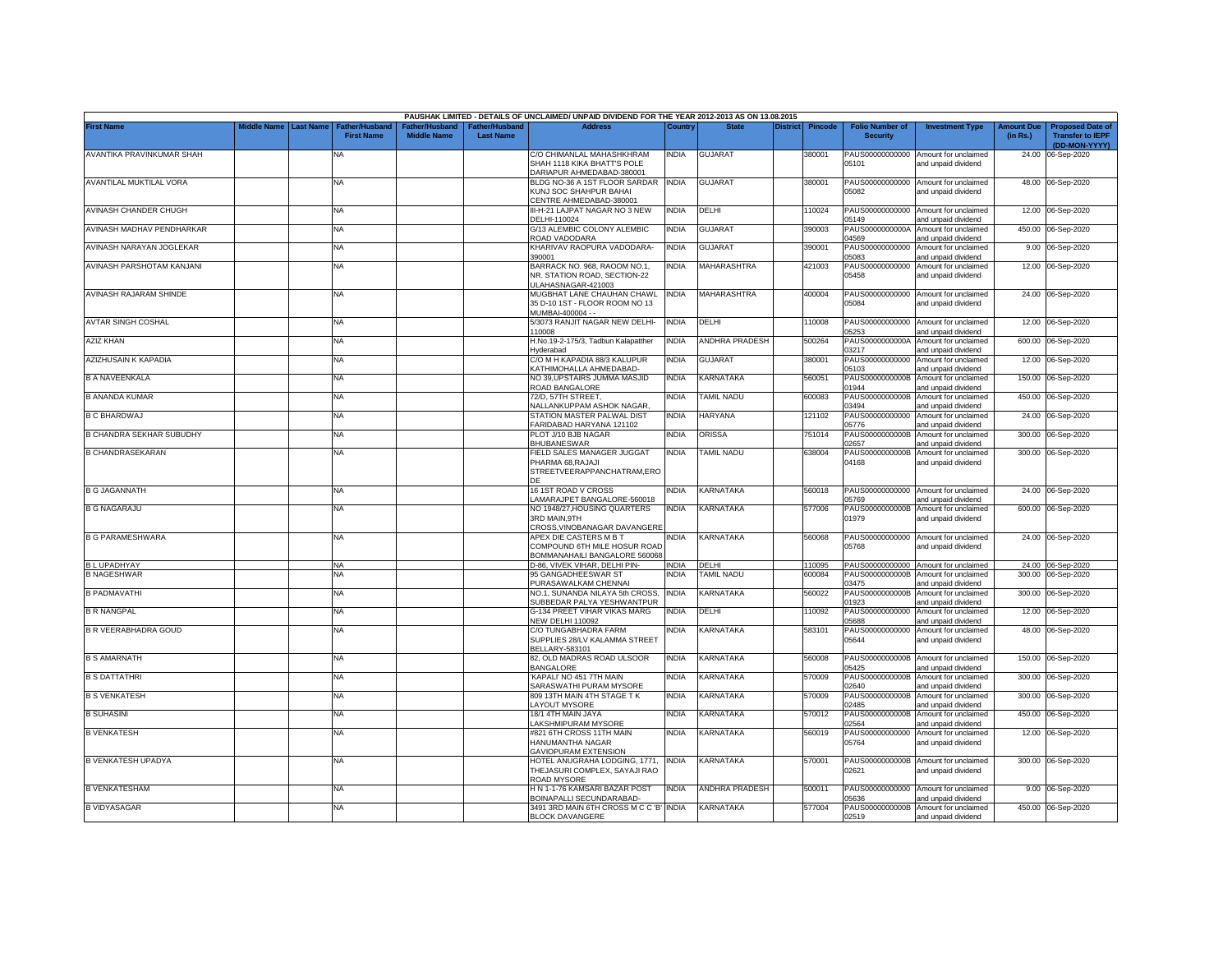|                                 |                       |                                     |                                      |                                    | PAUSHAK LIMITED - DETAILS OF UNCLAIMED/ UNPAID DIVIDEND FOR THE YEAR 2012-2013 AS ON 13.08.2015 |              |                       |          |                |                                           |                                                             |                               |                                                                     |
|---------------------------------|-----------------------|-------------------------------------|--------------------------------------|------------------------------------|-------------------------------------------------------------------------------------------------|--------------|-----------------------|----------|----------------|-------------------------------------------|-------------------------------------------------------------|-------------------------------|---------------------------------------------------------------------|
| <b>First Name</b>               | Middle Name Last Name | Father/Husband<br><b>First Name</b> | Father/Husband<br><b>Middle Name</b> | Father/Husband<br><b>Last Name</b> | <b>Address</b>                                                                                  | Country      | <b>State</b>          | District | <b>Pincode</b> | <b>Folio Number of</b><br><b>Security</b> | <b>Investment Type</b>                                      | <b>Amount Due</b><br>(in Rs.) | <b>Proposed Date of</b><br><b>Transfer to IEPF</b><br>(DD-MON-YYYY) |
| AVANTIKA PRAVINKUMAR SHAH       |                       | NA                                  |                                      |                                    | C/O CHIMANLAL MAHASHKHRAM<br>SHAH 1118 KIKA BHATT'S POLE<br>DARIAPUR AHMEDABAD-380001           | <b>INDIA</b> | <b>GUJARAT</b>        |          | 380001         | 05101                                     | PAUS00000000000 Amount for unclaimed<br>and unpaid dividend |                               | 24.00 06-Sep-2020                                                   |
| AVANTILAL MUKTILAL VORA         |                       | NA                                  |                                      |                                    | BLDG NO-36 A 1ST FLOOR SARDAR INDIA<br>KUNJ SOC SHAHPUR BAHAI<br>CENTRE AHMEDABAD-380001        |              | <b>GUJARAT</b>        |          | 380001         | 05082                                     | PAUS00000000000 Amount for unclaimed<br>and unpaid dividend |                               | 48.00 06-Sep-2020                                                   |
| AVINASH CHANDER CHUGH           |                       | NA                                  |                                      |                                    | III-H-21 LAJPAT NAGAR NO 3 NEW<br>DELHI-110024                                                  | <b>INDIA</b> | DELHI                 |          | 110024         | PAUS00000000000<br>05149                  | Amount for unclaimed<br>and unpaid dividend                 |                               | 12.00 06-Sep-2020                                                   |
| AVINASH MADHAV PENDHARKAR       |                       | <b>NA</b>                           |                                      |                                    | G/13 ALEMBIC COLONY ALEMBIC<br>ROAD VADODARA                                                    | INDIA        | <b>GUJARAT</b>        |          | 390003         | PAUS0000000000A<br>04569                  | Amount for unclaimed<br>and unpaid dividend                 |                               | 450.00 06-Sep-2020                                                  |
| AVINASH NARAYAN JOGLEKAR        |                       | NA                                  |                                      |                                    | KHARIVAV RAOPURA VADODARA-<br>390001                                                            | <b>INDIA</b> | <b>GUJARAT</b>        |          | 390001         | PAUS00000000000<br>05083                  | Amount for unclaimed<br>and unpaid dividend                 |                               | 9.00 06-Sep-2020                                                    |
| AVINASH PARSHOTAM KANJANI       |                       | <b>NA</b>                           |                                      |                                    | BARRACK NO. 968, RAOOM NO.1,<br>NR. STATION ROAD, SECTION-22<br>JLAHASNAGAR-421003              | <b>INDIA</b> | MAHARASHTRA           |          | 421003         | PAUS00000000000<br>05458                  | Amount for unclaimed<br>and unpaid dividend                 |                               | 12.00 06-Sep-2020                                                   |
| AVINASH RAJARAM SHINDE          |                       | <b>NA</b>                           |                                      |                                    | MUGBHAT LANE CHAUHAN CHAWL<br>35 D-10 1ST - FLOOR ROOM NO 13<br>MUMBAI-400004 - -               | <b>INDIA</b> | <b>MAHARASHTRA</b>    |          | 400004         | 05084                                     | PAUS00000000000 Amount for unclaimed<br>and unpaid dividend |                               | 24.00 06-Sep-2020                                                   |
| <b>AVTAR SINGH COSHAL</b>       |                       | <b>NA</b>                           |                                      |                                    | 5/3073 RANJIT NAGAR NEW DELHI-<br>110008                                                        | <b>INDIA</b> | DELHI                 |          | 110008         | 05253                                     | PAUS00000000000 Amount for unclaimed<br>and unpaid dividend |                               | 12.00 06-Sep-2020                                                   |
| AZIZ KHAN                       |                       | NA                                  |                                      |                                    | H.No.19-2-175/3, Tadbun Kalapatther<br><b>Hyderabad</b>                                         | <b>INDIA</b> | <b>ANDHRA PRADESH</b> |          | 500264         | PAUS0000000000A<br>03217                  | Amount for unclaimed<br>and unpaid dividend                 |                               | 600.00 06-Sep-2020                                                  |
| AZIZHUSAIN K KAPADIA            |                       | NA                                  |                                      |                                    | C/O M H KAPADIA 88/3 KALUPUR<br><b>ATHIMOHALLA AHMEDABAD-</b>                                   | <b>INDIA</b> | <b>GUJARAT</b>        |          | 380001         | PAUS00000000000<br>05103                  | Amount for unclaimed<br>and unpaid dividend                 | 12.00                         | 06-Sep-2020                                                         |
| <b>B A NAVEENKALA</b>           |                       | <b>NA</b>                           |                                      |                                    | <b>NO 39,UPSTAIRS JUMMA MASJID</b><br><b>COAD BANGALORE</b>                                     | <b>INDIA</b> | KARNATAKA             |          | 560051         | PAUS0000000000B<br>01944                  | Amount for unclaimed<br>and unpaid dividend                 | 150.00                        | 06-Sep-2020                                                         |
| <b>B ANANDA KUMAR</b>           |                       | <b>NA</b>                           |                                      |                                    | 72/D. 57TH STREET.<br><b>JALLANKUPPAM ASHOK NAGAR.</b>                                          | <b>INDIA</b> | TAMIL NADU            |          | 600083         | PAUS0000000000B<br>03494                  | Amount for unclaimed<br>and unpaid dividend                 | 450.00                        | 06-Sep-2020                                                         |
| <b>B C BHARDWAJ</b>             |                       | <b>NA</b>                           |                                      |                                    | STATION MASTER PALWAL DIST<br>ARIDABAD HARYANA 121102                                           | <b>INDIA</b> | <b>HARYANA</b>        |          | 121102         | PAUS00000000000<br>05776                  | Amount for unclaimed<br>and unpaid dividend                 |                               | 24.00 06-Sep-2020                                                   |
| <b>B CHANDRA SEKHAR SUBUDHY</b> |                       | NA                                  |                                      |                                    | PLOT J/10 BJB NAGAR<br><b>BHUBANESWAR</b>                                                       | <b>INDIA</b> | <b>ORISSA</b>         |          | 751014         | PAUS0000000000B<br>2657                   | Amount for unclaimed<br>nd unpaid dividend                  |                               | 300.00 06-Sep-2020                                                  |
| <b>B CHANDRASEKARAN</b>         |                       | NA                                  |                                      |                                    | FIELD SALES MANAGER JUGGAT<br>PHARMA 68, RAJAJI<br>STREETVEERAPPANCHATRAM,ERO                   | <b>INDIA</b> | <b>TAMIL NADU</b>     |          | 638004         | PAUS0000000000B<br>04168                  | Amount for unclaimed<br>and unpaid dividend                 |                               | 300.00 06-Sep-2020                                                  |
| <b>B G JAGANNATH</b>            |                       | NA                                  |                                      |                                    | 16 1ST ROAD V CROSS<br>AMARAJPET BANGALORE-560018                                               | <b>INDIA</b> | KARNATAKA             |          | 560018         | 05769                                     | PAUS00000000000 Amount for unclaimed<br>and unpaid dividend |                               | 24.00 06-Sep-2020                                                   |
| <b>B G NAGARAJU</b>             |                       | <b>NA</b>                           |                                      |                                    | NO 1948/27, HOUSING QUARTERS<br>3RD MAIN, 9TH<br>CROSS, VINOBANAGAR DAVANGERE                   | <b>INDIA</b> | KARNATAKA             |          | 577006         | 01979                                     | PAUS0000000000B Amount for unclaimed<br>and unpaid dividend |                               | 600.00 06-Sep-2020                                                  |
| <b>B G PARAMESHWARA</b>         |                       | NA                                  |                                      |                                    | APEX DIE CASTERS M B T<br>COMPOUND 6TH MILE HOSUR ROAD<br>BOMMANAHAILI BANGALORE 560068         | <b>INDIA</b> | <b>KARNATAKA</b>      |          | 560068         | 05768                                     | PAUS00000000000 Amount for unclaimed<br>and unpaid dividend |                               | 24.00 06-Sep-2020                                                   |
| <b>BLUPADHYAY</b>               |                       | NA                                  |                                      |                                    | D-86. VIVEK VIHAR, DELHI PIN-                                                                   | <b>INDIA</b> | DELHI                 |          | 110095         |                                           | PAUS00000000000 Amount for unclaimed                        |                               | 24.00 06-Sep-2020                                                   |
| <b>B NAGESHWAR</b>              |                       | <b>NA</b>                           |                                      |                                    | 95 GANGADHEESWAR ST<br>URASAWALKAM CHENNAI                                                      | <b>INDIA</b> | TAMIL NADU            |          | 600084         | PAUS0000000000B<br>03475                  | Amount for unclaimed<br>and unpaid dividend                 |                               | 300.00 06-Sep-2020                                                  |
| <b>B PADMAVATHI</b>             |                       | <b>NA</b>                           |                                      |                                    | NO.1. SUNANDA NILAYA 5th CROSS.<br>SUBBEDAR PALYA YESHWANTPUR                                   | <b>INDIA</b> | KARNATAKA             |          | 560022         | PAUS0000000000B<br>01923                  | Amount for unclaimed<br>and unpaid dividend                 | 300.00                        | 06-Sep-2020                                                         |
| <b>B R NANGPAL</b>              |                       | NA                                  |                                      |                                    | G-134 PREET VIHAR VIKAS MARG<br><b>NEW DELHI 110092</b>                                         | <b>INDIA</b> | DELHI                 |          | 110092         | PAUS00000000000<br>05688                  | Amount for unclaimed<br>and unpaid dividend                 | 12.00                         | 06-Sep-2020                                                         |
| <b>B R VEERABHADRA GOUD</b>     |                       | <b>NA</b>                           |                                      |                                    | C/O TUNGABHADRA FARM<br>SUPPLIES 28/LV KALAMMA STREET<br><b>BELLARY-583101</b>                  | INDIA        | KARNATAKA             |          | 583101         | PAUS00000000000<br>05644                  | Amount for unclaimed<br>and unpaid dividend                 | 48.00                         | 06-Sep-2020                                                         |
| <b>B S AMARNATH</b>             |                       | <b>NA</b>                           |                                      |                                    | 82, OLD MADRAS ROAD ULSOOR<br><b>BANGALORE</b>                                                  | <b>INDIA</b> | KARNATAKA             |          | 560008         | 05425                                     | PAUS0000000000B Amount for unclaimed<br>and unpaid dividend |                               | 150.00 06-Sep-2020                                                  |
| <b>B S DATTATHRI</b>            |                       | <b>NA</b>                           |                                      |                                    | KAPALI' NO 451 7TH MAIN<br>SARASWATHI PURAM MYSORE                                              | <b>INDIA</b> | KARNATAKA             |          | 570009         | PAUS0000000000B<br>02640                  | Amount for unclaimed<br>and unpaid dividend                 | 300.00                        | 06-Sep-2020                                                         |
| <b>B S VENKATESH</b>            |                       | NA                                  |                                      |                                    | 809 13TH MAIN 4TH STAGE TK<br><b>AYOUT MYSORE</b>                                               | <b>INDIA</b> | KARNATAKA             |          | 570009         | PAUS0000000000B<br>02485                  | Amount for unclaimed<br>and unpaid dividend                 | 300.00                        | 06-Sep-2020                                                         |
| <b>B SUHASINI</b>               |                       | NA                                  |                                      |                                    | 18/1 4TH MAIN JAYA<br>AKSHMIPURAM MYSORE                                                        | <b>INDIA</b> | <b>KARNATAKA</b>      |          | 570012         | PAUS0000000000B<br>02564                  | Amount for unclaimed<br>and unpaid dividend                 | 450.00                        | 06-Sep-2020                                                         |
| <b>B VENKATESH</b>              |                       | <b>NA</b>                           |                                      |                                    | #821 6TH CROSS 11TH MAIN<br>HANUMANTHA NAGAR<br><b>GAVIOPURAM EXTENSION</b>                     | <b>INDIA</b> | KARNATAKA             |          | 560019         | PAUS00000000000<br>05764                  | Amount for unclaimed<br>and unpaid dividend                 | 12.00                         | 06-Sep-2020                                                         |
| <b>B VENKATESH UPADYA</b>       |                       | <b>NA</b>                           |                                      |                                    | <b>IOTEL ANUGRAHA LODGING, 1771,</b><br>THEJASURI COMPLEX, SAYAJI RAO<br><b>ROAD MYSORE</b>     | <b>INDIA</b> | KARNATAKA             |          | 570001         | 02621                                     | PAUS0000000000B Amount for unclaimed<br>and unpaid dividend |                               | 300.00 06-Sep-2020                                                  |
| <b>B VENKATESHAM</b>            |                       | NA                                  |                                      |                                    | H N 1-1-76 KAMSARI BAZAR POST<br>BOINAPALLI SECUNDARABAD-                                       | <b>INDIA</b> | ANDHRA PRADESH        |          | 500011         | 05636                                     | PAUS00000000000 Amount for unclaimed<br>and unpaid dividend |                               | 9.00 06-Sep-2020                                                    |
| <b>B VIDYASAGAR</b>             |                       | <b>NA</b>                           |                                      |                                    | 3491 3RD MAIN 6TH CROSS M C C 'B' INDIA<br><b>BLOCK DAVANGERE</b>                               |              | KARNATAKA             |          | 577004         | 02519                                     | PAUS0000000000B Amount for unclaimed<br>and unpaid dividend |                               | 450.00 06-Sep-2020                                                  |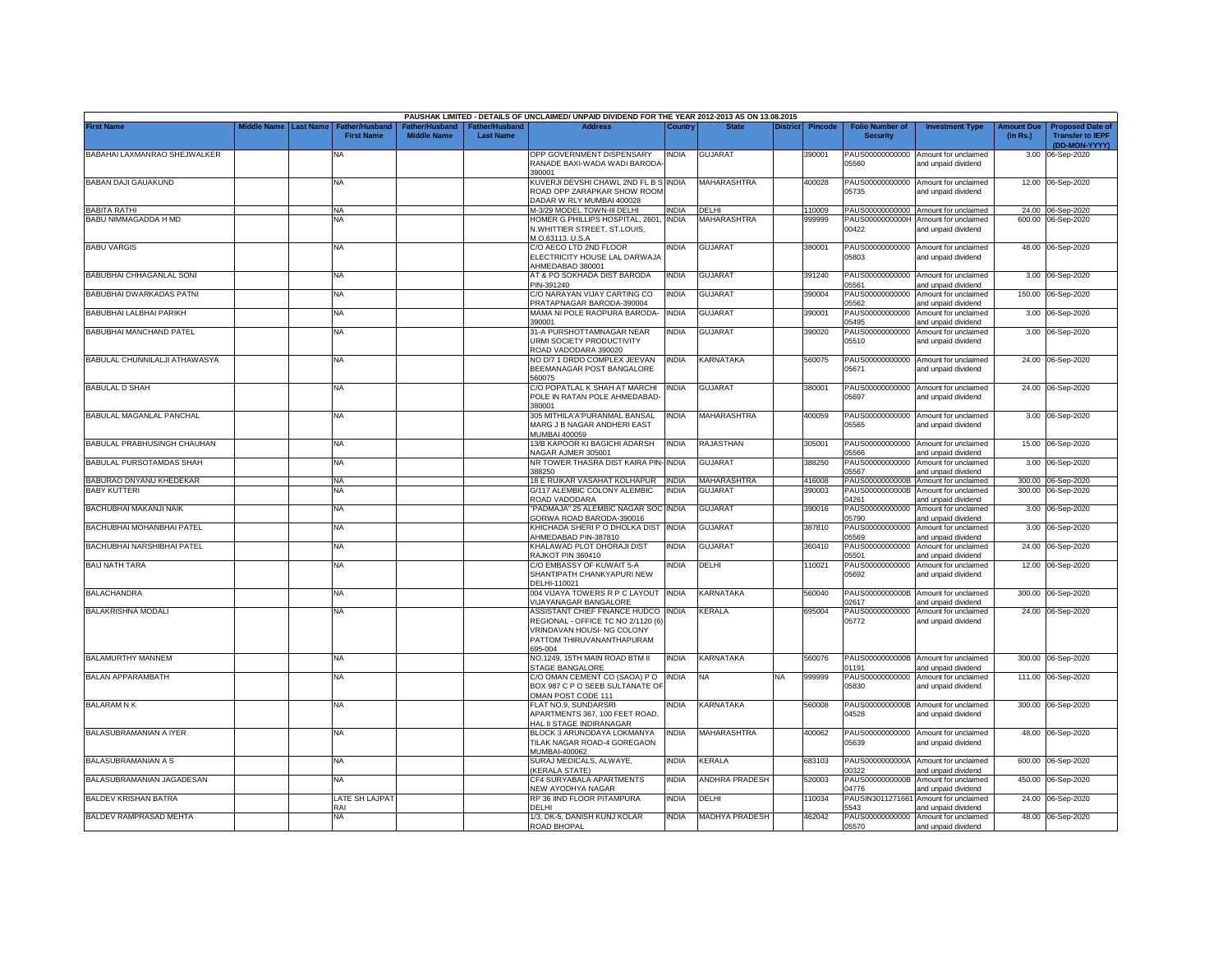|                               |             |                  |                                            |                                                  |                                   | PAUSHAK LIMITED - DETAILS OF UNCLAIMED/ UNPAID DIVIDEND FOR THE YEAR 2012-2013 AS ON 13.08.2015                                           |              |                    |                 |                |                                           |                                                             |                               |                                                                     |
|-------------------------------|-------------|------------------|--------------------------------------------|--------------------------------------------------|-----------------------------------|-------------------------------------------------------------------------------------------------------------------------------------------|--------------|--------------------|-----------------|----------------|-------------------------------------------|-------------------------------------------------------------|-------------------------------|---------------------------------------------------------------------|
| <b>First Name</b>             | Middle Name | <b>Last Name</b> | <b>Father/Husband</b><br><b>First Name</b> | ather/Husband <sup>:</sup><br><b>Middle Name</b> | ather/Husband<br><b>Last Name</b> | <b>Address</b>                                                                                                                            | Country      | <b>State</b>       | <b>District</b> | <b>Pincode</b> | <b>Folio Number of</b><br><b>Security</b> | <b>Investment Type</b>                                      | <b>Amount Due</b><br>(in Rs.) | <b>Proposed Date of</b><br><b>Transfer to IEPF</b><br>(DD-MON-YYYY) |
| BABAHAI LAXMANRAO SHEJWALKER  |             |                  | NA                                         |                                                  |                                   | OPP GOVERNMENT DISPENSARY<br>RANADE BAXI-WADA WADI BARODA<br>390001                                                                       | INDIA        | <b>GUJARAT</b>     |                 | 390001         | PAUS00000000000<br>05560                  | Amount for unclaimed<br>and unpaid dividend                 | 3.00                          | 06-Sep-2020                                                         |
| <b>BABAN DAJI GAUAKUND</b>    |             |                  | <b>NA</b>                                  |                                                  |                                   | KUVERJI DEVSHI CHAWL 2ND FL B S INDIA<br>ROAD OPP ZARAPKAR SHOW ROOM<br>DADAR W RLY MUMBAI 400028                                         |              | MAHARASHTRA        |                 | 400028         | PAUS00000000000<br>05735                  | Amount for unclaimed<br>and unpaid dividend                 |                               | 12.00 06-Sep-2020                                                   |
| <b>BABITA RATHI</b>           |             |                  | <b>NA</b>                                  |                                                  |                                   | M-3/29 MODEL TOWN-III DELHI                                                                                                               | <b>INDIA</b> | <b>DELHI</b>       |                 | 110009         |                                           | PAUS00000000000 Amount for unclaimed                        |                               | 24.00 06-Sep-2020                                                   |
| BABU NIMMAGADDA H MD          |             |                  | <b>NA</b>                                  |                                                  |                                   | HOMER G.PHILLIPS HOSPITAL, 2601,<br>N.WHITTIER STREET, ST.LOUIS,<br>M.O.63113, U.S.A                                                      | <b>INDIA</b> | <b>MAHARASHTRA</b> |                 | 999999         | PAUS0000000000H<br>00422                  | Amount for unclaimed<br>and unpaid dividend                 |                               | 600.00 06-Sep-2020                                                  |
| <b>BABU VARGIS</b>            |             |                  | <b>NA</b>                                  |                                                  |                                   | C/O AECO LTD 2ND FLOOR<br>ELECTRICITY HOUSE LAL DARWAJA<br>HMEDABAD 380001                                                                | india        | <b>GUJARAT</b>     |                 | 380001         | 05803                                     | PAUS00000000000 Amount for unclaimed<br>and unpaid dividend |                               | 48.00 06-Sep-2020                                                   |
| BABUBHAI CHHAGANLAL SONI      |             |                  | <b>NA</b>                                  |                                                  |                                   | AT & PO SOKHADA DIST BARODA<br>PIN-391240                                                                                                 | INDIA        | <b>GUJARAT</b>     |                 | 391240         | 05561                                     | PAUS00000000000 Amount for unclaimed<br>and unpaid dividend |                               | 3.00 06-Sep-2020                                                    |
| BABUBHAI DWARKADAS PATNI      |             |                  | <b>NA</b>                                  |                                                  |                                   | C/O NARAYAN VIJAY CARTING CO<br>PRATAPNAGAR BARODA-390004                                                                                 | INDIA        | <b>GUJARAT</b>     |                 | 390004         | PAUS00000000000<br>05562                  | Amount for unclaimed<br>and unpaid dividend                 |                               | 150.00 06-Sep-2020                                                  |
| BABUBHAI LALBHAI PARIKH       |             |                  | <b>NA</b>                                  |                                                  |                                   | MAMA NI POLE RAOPURA BARODA-<br>390001                                                                                                    | <b>INDIA</b> | <b>GUJARAT</b>     |                 | 390001         | PAUS00000000000<br>05495                  | Amount for unclaimed<br>and unpaid dividend                 |                               | 3.00 06-Sep-2020                                                    |
| BABUBHAI MANCHAND PATEL       |             |                  | NA                                         |                                                  |                                   | 31-A PURSHOTTAMNAGAR NEAR<br>URMI SOCIETY PRODUCTIVITY<br>ROAD VADODARA 390020                                                            | <b>INDIA</b> | <b>GUJARAT</b>     |                 | 390020         | PAUS00000000000<br>05510                  | Amount for unclaimed<br>and unpaid dividend                 |                               | 3.00 06-Sep-2020                                                    |
| BABULAL CHUNNILALJI ATHAWASYA |             |                  | <b>NA</b>                                  |                                                  |                                   | NO D/7 1 DRDO COMPLEX JEEVAN<br>BEEMANAGAR POST BANGALORE<br>560075                                                                       | INDIA        | KARNATAKA          |                 | 560075         | PAUS00000000000<br>05671                  | Amount for unclaimed<br>and unpaid dividend                 |                               | 24.00 06-Sep-2020                                                   |
| <b>BABULAL D SHAH</b>         |             |                  | <b>NA</b>                                  |                                                  |                                   | C/O POPATLAL K SHAH AT MARCHI<br>POLE IN RATAN POLE AHMEDABAD-<br>380001                                                                  | <b>INDIA</b> | <b>GUJARAT</b>     |                 | 380001         | PAUS00000000000<br>05697                  | Amount for unclaimed<br>and unpaid dividend                 |                               | 24.00 06-Sep-2020                                                   |
| BABULAL MAGANLAL PANCHAL      |             |                  | <b>NA</b>                                  |                                                  |                                   | 305 MITHILA'A'PURANMAL BANSAL<br>MARG J B NAGAR ANDHERI EAST<br>MUMBAI 400059                                                             | india        | MAHARASHTRA        |                 | 400059         | PAUS00000000000<br>05565                  | Amount for unclaimed<br>and unpaid dividend                 |                               | 3.00 06-Sep-2020                                                    |
| BABULAL PRABHUSINGH CHAUHAN   |             |                  | <b>NA</b>                                  |                                                  |                                   | 13/B KAPOOR KI BAGICHI ADARSH<br>NAGAR AJMER 305001                                                                                       | INDIA        | RAJASTHAN          |                 | 305001         | PAUS00000000000<br>05566                  | Amount for unclaimed<br>and unpaid dividend                 |                               | 15.00 06-Sep-2020                                                   |
| BABULAL PURSOTAMDAS SHAH      |             |                  | <b>NA</b>                                  |                                                  |                                   | NR TOWER THASRA DIST KAIRA PIN-INDIA<br>388250                                                                                            |              | GUJARAT            |                 | 388250         | PAUS00000000000<br>05567                  | Amount for unclaimed<br>and unpaid dividend                 |                               | 3.00 06-Sep-2020                                                    |
| BABURAO DNYANU KHEDEKAR       |             |                  | <b>NA</b>                                  |                                                  |                                   | 18 E RUIKAR VASAHAT KOLHAPUR                                                                                                              | <b>INDIA</b> | MAHARASHTRA        |                 | 416008         | PAUS0000000000B                           | Amount for unclaimed                                        |                               | 300.00 06-Sep-2020                                                  |
| <b>BABY KUTTERI</b>           |             |                  | <b>NA</b>                                  |                                                  |                                   | G/117 ALEMBIC COLONY ALEMBIC<br>ROAD VADODARA                                                                                             | INDIA        | <b>GUJARAT</b>     |                 | 390003         | PAUS0000000000B<br>04261                  | Amount for unclaimed<br>and unpaid dividend                 |                               | 300.00 06-Sep-2020                                                  |
| BACHUBHAI MAKANJI NAIK        |             |                  | <b>NA</b>                                  |                                                  |                                   | PADMAJA" 25 ALEMBIC NAGAR SOC<br>GORWA ROAD BARODA-390016                                                                                 | <b>INDIA</b> | <b>GUJARAT</b>     |                 | 390016         | PAUS00000000000<br>05790                  | Amount for unclaimed<br>and unpaid dividend                 |                               | 3.00 06-Sep-2020                                                    |
| BACHUBHAI MOHANBHAI PATEL     |             |                  | <b>NA</b>                                  |                                                  |                                   | KHICHADA SHERI P O DHOLKA DIST<br>HMEDABAD PIN-387810                                                                                     | <b>INDIA</b> | <b>GUJARAT</b>     |                 | 387810         | PAUS00000000000<br>05569                  | Amount for unclaimed<br>and unpaid dividend                 |                               | 3.00 06-Sep-2020                                                    |
| BACHUBHAI NARSHIBHAI PATEL    |             |                  | <b>NA</b>                                  |                                                  |                                   | KHALAWAD PLOT DHORAJI DIST<br>RAJKOT PIN 360410                                                                                           | INDIA        | <b>GUJARAT</b>     |                 | 360410         | PAUS00000000000<br>05501                  | Amount for unclaimed<br>and unpaid dividend                 |                               | 24.00 06-Sep-2020                                                   |
| <b>BAIJ NATH TARA</b>         |             |                  | <b>NA</b>                                  |                                                  |                                   | C/O EMBASSY OF KUWAIT 5-A<br>SHANTIPATH CHANKYAPURI NEW<br>DELHI-110021                                                                   | india        | DELHI              |                 | 110021         | PAUS00000000000<br>05692                  | Amount for unclaimed<br>and unpaid dividend                 |                               | 12.00 06-Sep-2020                                                   |
| <b>BALACHANDRA</b>            |             |                  | <b>NA</b>                                  |                                                  |                                   | 004 VIJAYA TOWERS R P C LAYOUT<br>/IJAYANAGAR BANGALORE                                                                                   | <b>INDIA</b> | KARNATAKA          |                 | 560040         | PAUS0000000000B<br>02617                  | Amount for unclaimed<br>and unpaid dividend                 | 300.00                        | 06-Sep-2020                                                         |
| <b>BALAKRISHNA MODALI</b>     |             |                  | NA                                         |                                                  |                                   | ASSISTANT CHIEF FINANCE HUDCO<br>REGIONAL - OFFICE TC NO 2/1120 (6)<br>VRINDAVAN HOUSI- NG COLONY<br>PATTOM THIRUVANANTHAPURAM<br>695-004 | <b>INDIA</b> | KERALA             |                 | 695004         | PAUS00000000000<br>05772                  | Amount for unclaimed<br>and unpaid dividend                 |                               | 24.00 06-Sep-2020                                                   |
| <b>BALAMURTHY MANNEM</b>      |             |                  | <b>NA</b>                                  |                                                  |                                   | NO.1249, 15TH MAIN ROAD BTM II<br>STAGE BANGALORE                                                                                         | <b>INDIA</b> | KARNATAKA          |                 | 560076         | 01191                                     | PAUS0000000000B Amount for unclaimed<br>and unpaid dividend |                               | 300.00 06-Sep-2020                                                  |
| BALAN APPARAMBATH             |             |                  | <b>NA</b>                                  |                                                  |                                   | C/O OMAN CEMENT CO (SAOA) P O<br>BOX 987 C P O SEEB SULTANATE OF<br>OMAN POST CODE 111                                                    | <b>INDIA</b> | NA                 | NA              | 999999         | PAUS00000000000<br>05830                  | Amount for unclaimed<br>and unpaid dividend                 |                               | 111.00 06-Sep-2020                                                  |
| <b>BALARAM N K</b>            |             |                  | <b>NA</b>                                  |                                                  |                                   | FLAT NO.9, SUNDARSRI<br>APARTMENTS 367, 100 FEET ROAD,<br>HAL II STAGE INDIRANAGAR                                                        | NDIA         | KARNATAKA          |                 | 560008         | 04528                                     | PAUS0000000000B Amount for unclaimed<br>and unpaid dividend |                               | 300.00 06-Sep-2020                                                  |
| BALASUBRAMANIAN A IYER        |             |                  | <b>NA</b>                                  |                                                  |                                   | BLOCK 3 ARUNODAYA LOKMANYA<br>TILAK NAGAR ROAD-4 GOREGAON<br>MUMBAI-400062                                                                | india        | <b>MAHARASHTRA</b> |                 | 400062         | PAUS00000000000<br>05639                  | Amount for unclaimed<br>and unpaid dividend                 |                               | 48.00 06-Sep-2020                                                   |
| <b>BALASUBRAMANIAN A S</b>    |             |                  | <b>NA</b>                                  |                                                  |                                   | SURAJ MEDICALS, ALWAYE,<br><b>KERALA STATE)</b>                                                                                           | india        | KERALA             |                 | 683103         | PAUS0000000000A<br>00322                  | Amount for unclaimed<br>and unpaid dividend                 | 600.00                        | 06-Sep-2020                                                         |
| BALASUBRAMANIAN JAGADESAN     |             |                  | NA                                         |                                                  |                                   | CF4 SURYABALA APARTMENTS<br><b>VEW AYODHYA NAGAR</b>                                                                                      | India        | ANDHRA PRADESH     |                 | 520003         | PAUS0000000000B<br>4776                   | Amount for unclaimed<br>and unpaid dividend                 | 450.00                        | 06-Sep-2020                                                         |
| <b>BALDEV KRISHAN BATRA</b>   |             |                  | LATE SH LAJPAT<br>RAI                      |                                                  |                                   | RP 36 IIND FLOOR PITAMPURA<br>DELHI                                                                                                       | NDIA         | DELHI              |                 | 10034          | PAUSIN3011271661<br>5543                  | Amount for unclaimed<br>and unpaid dividend                 |                               | 24.00 06-Sep-2020                                                   |
| BALDEV RAMPRASAD MEHTA        |             |                  | <b>NA</b>                                  |                                                  |                                   | 1/3, DK-5, DANISH KUNJ KOLAR<br>ROAD BHOPAL                                                                                               | <b>INDIA</b> | MADHYA PRADESH     |                 | 462042         | 05570                                     | PAUS00000000000 Amount for unclaimed<br>and unpaid dividend |                               | 48.00 06-Sep-2020                                                   |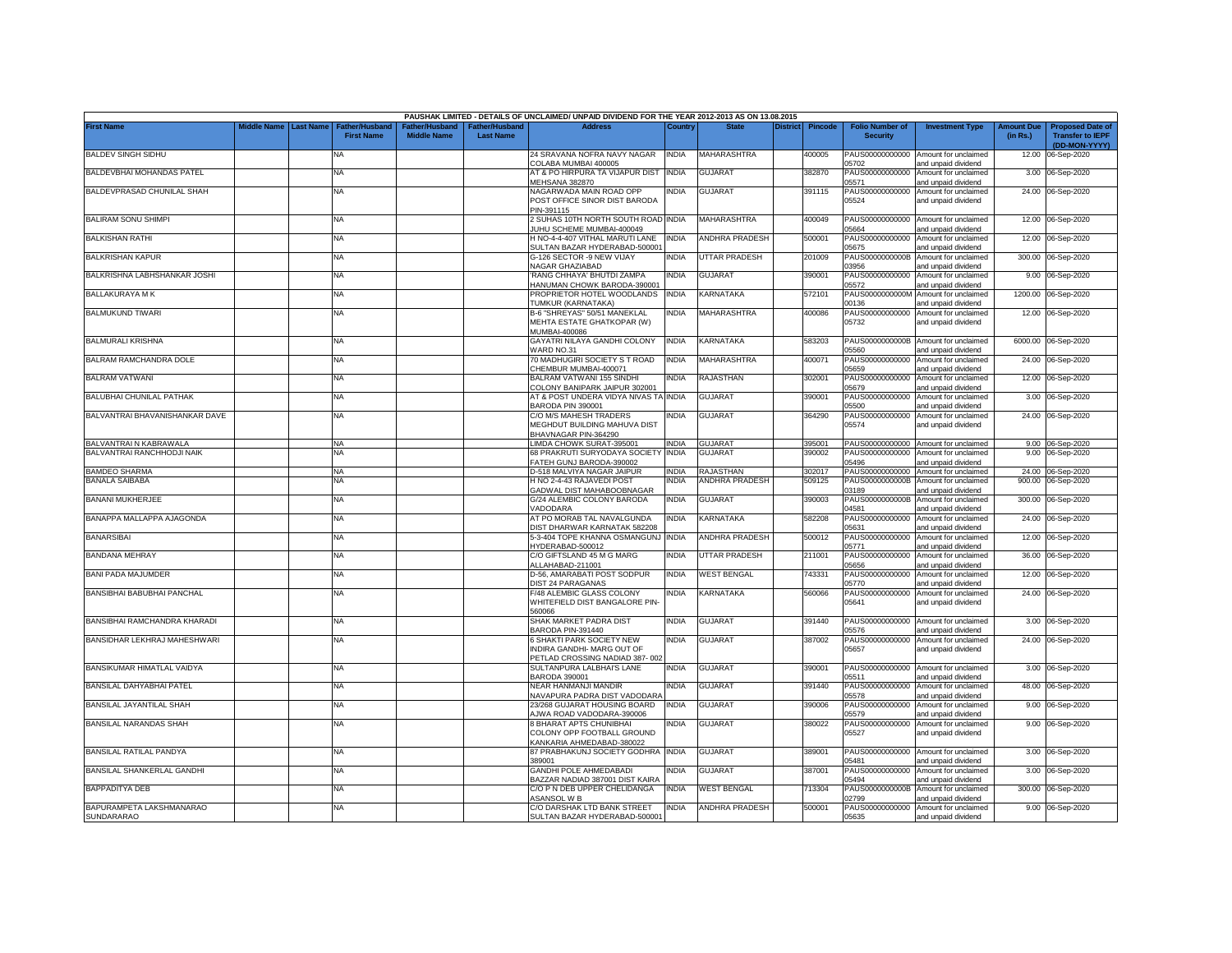|                                               |             |                  |                                     |                                      |                                    | PAUSHAK LIMITED - DETAILS OF UNCLAIMED/ UNPAID DIVIDEND FOR THE YEAR 2012-2013 AS ON 13.08.2015 |              |                       |                 |                |                                           |                                                             |                               |                                                                     |
|-----------------------------------------------|-------------|------------------|-------------------------------------|--------------------------------------|------------------------------------|-------------------------------------------------------------------------------------------------|--------------|-----------------------|-----------------|----------------|-------------------------------------------|-------------------------------------------------------------|-------------------------------|---------------------------------------------------------------------|
| <b>First Name</b>                             | liddle Name | <b>Last Name</b> | Father/Husband<br><b>First Name</b> | Father/Husband<br><b>Middle Name</b> | Father/Husband<br><b>Last Name</b> | <b>Address</b>                                                                                  | Country      | <b>State</b>          | <b>District</b> | <b>Pincode</b> | <b>Folio Number of</b><br><b>Security</b> | <b>Investment Type</b>                                      | <b>Amount Due</b><br>(in Rs.) | <b>Proposed Date of</b><br><b>Transfer to IEPF</b><br>(DD-MON-YYYY) |
| <b>BALDEV SINGH SIDHU</b>                     |             |                  | <b>NA</b>                           |                                      |                                    | 24 SRAVANA NOFRA NAVY NAGAR<br>COLABA MUMBAI 400005                                             | <b>INDIA</b> | MAHARASHTRA           |                 | 400005         | 05702                                     | PAUS00000000000 Amount for unclaimed<br>and unpaid dividend | 12.00                         | 06-Sep-2020                                                         |
| BALDEVBHAI MOHANDAS PATEL                     |             |                  | NA                                  |                                      |                                    | AT & PO HIRPURA TA VIJAPUR DIST INDIA<br>MEHSANA 382870                                         |              | GUJARAT               |                 | 382870         | 05571                                     | PAUS00000000000 Amount for unclaimed<br>and unpaid dividend |                               | 3.00 06-Sep-2020                                                    |
| BALDEVPRASAD CHUNILAL SHAH                    |             |                  | <b>NA</b>                           |                                      |                                    | NAGARWADA MAIN ROAD OPP<br>POST OFFICE SINOR DIST BARODA<br>PIN-391115                          | INDIA        | <b>GUJARAT</b>        |                 | 391115         | 05524                                     | PAUS00000000000 Amount for unclaimed<br>and unpaid dividend |                               | 24.00 06-Sep-2020                                                   |
| <b>BALIRAM SONU SHIMPI</b>                    |             |                  | NA                                  |                                      |                                    | 2 SUHAS 10TH NORTH SOUTH ROAD INDIA<br>JUHU SCHEME MUMBAI-400049                                |              | MAHARASHTRA           |                 | 400049         | PAUS00000000000<br>05664                  | Amount for unclaimed<br>and unpaid dividend                 |                               | 12.00 06-Sep-2020                                                   |
| <b>BALKISHAN RATHI</b>                        |             |                  | <b>NA</b>                           |                                      |                                    | H NO-4-4-407 VITHAL MARUTI LANE<br>SULTAN BAZAR HYDERABAD-500001                                | <b>INDIA</b> | <b>ANDHRA PRADESH</b> |                 | 500001         | PAUS00000000000<br>05675                  | Amount for unclaimed<br>and unpaid dividend                 |                               | 12.00 06-Sep-2020                                                   |
| <b>BALKRISHAN KAPUR</b>                       |             |                  | <b>NA</b>                           |                                      |                                    | G-126 SECTOR -9 NEW VIJAY<br>NAGAR GHAZIABAD                                                    | <b>INDIA</b> | UTTAR PRADESH         |                 | 201009         | PAUS0000000000B<br>03956                  | Amount for unclaimed<br>and unpaid dividend                 |                               | 300.00 06-Sep-2020                                                  |
| BALKRISHNA LABHSHANKAR JOSHI                  |             |                  | <b>NA</b>                           |                                      |                                    | RANG CHHAYA' BHUTDI ZAMPA<br>HANUMAN CHOWK BARODA-390001                                        | <b>INDIA</b> | GUJARAT               |                 | 390001         | 05572                                     | PAUS00000000000 Amount for unclaimed<br>ind unpaid dividend |                               | 9.00 06-Sep-2020                                                    |
| BALLAKURAYA M K                               |             |                  | <b>NA</b>                           |                                      |                                    | PROPRIETOR HOTEL WOODLANDS<br>TUMKUR (KARNATAKA)                                                | <b>INDIA</b> | KARNATAKA             |                 | 572101         | PAUS0000000000M<br>00136                  | Amount for unclaimed<br>and unpaid dividend                 |                               | 1200.00 06-Sep-2020                                                 |
| <b>BALMUKUND TIWARI</b>                       |             |                  | <b>NA</b>                           |                                      |                                    | B-6 "SHREYAS" 50/51 MANEKLAL<br>MEHTA ESTATE GHATKOPAR (W)<br>MUMBAI-400086                     | <b>INDIA</b> | MAHARASHTRA           |                 | 400086         | 05732                                     | PAUS00000000000 Amount for unclaimed<br>and unpaid dividend |                               | 12.00 06-Sep-2020                                                   |
| <b>BALMURALI KRISHNA</b>                      |             |                  | NA                                  |                                      |                                    | GAYATRI NILAYA GANDHI COLONY<br>VARD NO.31                                                      | <b>INDIA</b> | KARNATAKA             |                 | 583203         | PAUS0000000000B<br>5560                   | Amount for unclaimed<br>and unpaid dividend                 |                               | 6000.00 06-Sep-2020                                                 |
| BALRAM RAMCHANDRA DOLE                        |             |                  | NA                                  |                                      |                                    | 70 MADHUGIRI SOCIETY S T ROAD<br><b>CHEMBUR MUMBAI-400071</b>                                   | <b>INDIA</b> | MAHARASHTRA           |                 | 400071         | PAUS00000000000<br>05659                  | Amount for unclaimed<br>ind unpaid dividend                 | 24.00                         | 06-Sep-2020                                                         |
| <b>BALRAM VATWANI</b>                         |             |                  | <b>NA</b>                           |                                      |                                    | BALRAM VATWANI 155 SINDHI<br>COLONY BANIPARK JAIPUR 302001                                      | <b>INDIA</b> | RAJASTHAN             |                 | 302001         | PAUS00000000000<br>05679                  | Amount for unclaimed<br>and unpaid dividend                 |                               | 12.00 06-Sep-2020                                                   |
| BALUBHAI CHUNILAL PATHAK                      |             |                  | <b>NA</b>                           |                                      |                                    | AT & POST UNDERA VIDYA NIVAS TA INDIA<br>BARODA PIN 390001                                      |              | <b>GUJARAT</b>        |                 | 390001         | PAUS00000000000<br>5500                   | Amount for unclaimed<br>and unpaid dividend                 |                               | 3.00 06-Sep-2020                                                    |
| BALVANTRAI BHAVANISHANKAR DAVE                |             |                  | NA                                  |                                      |                                    | C/O M/S MAHESH TRADERS<br>MEGHDUT BUILDING MAHUVA DIST<br>BHAVNAGAR PIN-364290                  | INDIA        | <b>GUJARAT</b>        |                 | 364290         | PAUS00000000000<br>05574                  | Amount for unclaimed<br>and unpaid dividend                 |                               | 24.00 06-Sep-2020                                                   |
| BALVANTRAI N KABRAWALA                        |             |                  | <b>NA</b>                           |                                      |                                    | LIMDA CHOWK SURAT-395001                                                                        | <b>INDIA</b> | <b>GUJARAT</b>        |                 | 395001         |                                           | PAUS00000000000 Amount for unclaimed                        |                               | 9.00 06-Sep-2020                                                    |
| BALVANTRAI RANCHHODJI NAIK                    |             |                  | <b>NA</b>                           |                                      |                                    | 68 PRAKRUTI SURYODAYA SOCIETY<br>FATEH GUNJ BARODA-390002                                       | <b>INDIA</b> | <b>GUJARAT</b>        |                 | 390002         | PAUS00000000000<br>05496                  | Amount for unclaimed<br>and unpaid dividend                 |                               | 9.00 06-Sep-2020                                                    |
| <b>BAMDEO SHARMA</b>                          |             |                  | <b>NA</b>                           |                                      |                                    | D-518 MALVIYA NAGAR JAIPUR                                                                      | <b>INDIA</b> | RAJASTHAN             |                 | 302017         |                                           | PAUS00000000000 Amount for unclaimed                        |                               | 24.00 06-Sep-2020                                                   |
| <b>BANALA SAIBABA</b>                         |             |                  | <b>NA</b>                           |                                      |                                    | H NO 2-4-43 RAJAVEDI POST<br>GADWAL DIST MAHABOOBNAGAR                                          | <b>INDIA</b> | <b>ANDHRA PRADESH</b> |                 | 509125         | PAUS0000000000B<br>03189                  | Amount for unclaimed<br>and unpaid dividend                 |                               | 900.00 06-Sep-2020                                                  |
| <b>BANANI MUKHERJEE</b>                       |             |                  | <b>NA</b>                           |                                      |                                    | G/24 ALEMBIC COLONY BARODA<br>VADODARA                                                          | <b>INDIA</b> | <b>GUJARAT</b>        |                 | 390003         | PAUS0000000000B<br>04581                  | Amount for unclaimed<br>and unpaid dividend                 |                               | 300.00 06-Sep-2020                                                  |
| BANAPPA MALLAPPA AJAGONDA                     |             |                  | <b>NA</b>                           |                                      |                                    | AT PO MORAB TAL NAVALGUNDA<br>DIST DHARWAR KARNATAK 582208                                      | <b>INDIA</b> | KARNATAKA             |                 | 582208         | PAUS00000000000<br>05631                  | Amount for unclaimed<br>and unpaid dividend                 | 24.00                         | 06-Sep-2020                                                         |
| <b>BANARSIBAI</b>                             |             |                  | <b>NA</b>                           |                                      |                                    | 5-3-404 TOPE KHANNA OSMANGUNJ INDIA<br>HYDERABAD-500012                                         |              | ANDHRA PRADESH        |                 | 500012         | PAUS00000000000<br>05771                  | Amount for unclaimed<br>and unpaid dividend                 | 12.00                         | 06-Sep-2020                                                         |
| <b>BANDANA MEHRAY</b>                         |             |                  | <b>NA</b>                           |                                      |                                    | C/O GIFTSLAND 45 M G MARG<br>ALLAHABAD-211001                                                   | <b>INDIA</b> | UTTAR PRADESH         |                 | 211001         | PAUS00000000000<br>05656                  | Amount for unclaimed<br>and unpaid dividend                 | 36.00                         | 06-Sep-2020                                                         |
| <b>BANI PADA MAJUMDER</b>                     |             |                  | <b>NA</b>                           |                                      |                                    | D-56, AMARABATI POST SODPUR<br>DIST 24 PARAGANAS                                                | <b>INDIA</b> | <b>WEST BENGAL</b>    |                 | 743331         | PAUS00000000000<br>05770                  | Amount for unclaimed<br>and unpaid dividend                 | 12.00                         | 06-Sep-2020                                                         |
| BANSIBHAI BABUBHAI PANCHAL                    |             |                  | <b>NA</b>                           |                                      |                                    | F/48 ALEMBIC GLASS COLONY<br>WHITEFIELD DIST BANGALORE PIN-<br>560066                           | <b>INDIA</b> | KARNATAKA             |                 | 560066         | 05641                                     | PAUS00000000000 Amount for unclaimed<br>and unpaid dividend |                               | 24.00 06-Sep-2020                                                   |
| BANSIBHAI RAMCHANDRA KHARADI                  |             |                  | <b>NA</b>                           |                                      |                                    | SHAK MARKET PADRA DIST<br>BARODA PIN-391440                                                     | <b>INDIA</b> | <b>GUJARAT</b>        |                 | 391440         | 05576                                     | PAUS00000000000 Amount for unclaimed<br>and unpaid dividend |                               | 3.00 06-Sep-2020                                                    |
| BANSIDHAR LEKHRAJ MAHESHWARI                  |             |                  | <b>NA</b>                           |                                      |                                    | 6 SHAKTI PARK SOCIETY NEW<br>INDIRA GANDHI- MARG OUT OF<br>PETLAD CROSSING NADIAD 387-002       | <b>INDIA</b> | GUJARAT               |                 | 387002         | PAUS00000000000<br>05657                  | Amount for unclaimed<br>and unpaid dividend                 |                               | 24.00 06-Sep-2020                                                   |
| BANSIKUMAR HIMATLAL VAIDYA                    |             |                  | <b>NA</b>                           |                                      |                                    | SULTANPURA LALBHAI'S LANE<br><b>BARODA 390001</b>                                               | <b>INDIA</b> | <b>GUJARAT</b>        |                 | 390001         | 05511                                     | PAUS00000000000 Amount for unclaimed<br>and unpaid dividend |                               | 3.00 06-Sep-2020                                                    |
| BANSILAL DAHYABHAI PATEL                      |             |                  | NA                                  |                                      |                                    | NEAR HANMANJI MANDIR<br>NAVAPURA PADRA DIST VADODARA                                            | NDIA         | GUJARAT               |                 | 391440         | PAUS00000000000<br>05578                  | Amount for unclaimed<br>and unpaid dividend                 |                               | 48.00 06-Sep-2020                                                   |
| BANSILAL JAYANTILAL SHAH                      |             |                  | <b>NA</b>                           |                                      |                                    | 23/268 GUJARAT HOUSING BOARD<br>JWA ROAD VADODARA-390006                                        | <b>INDIA</b> | <b>GUJARAT</b>        |                 | 390006         | 05579                                     | PAUS00000000000 Amount for unclaimed<br>and unpaid dividend |                               | 9.00 06-Sep-2020                                                    |
| BANSILAL NARANDAS SHAH                        |             |                  | <b>NA</b>                           |                                      |                                    | 8 BHARAT APTS CHUNIBHAI<br>COLONY OPP FOOTBALL GROUND<br>KANKARIA AHMEDABAD-380022              | NDIA         | GUJARAT               |                 | 380022         | 05527                                     | PAUS00000000000 Amount for unclaimed<br>and unpaid dividend |                               | 9.00 06-Sep-2020                                                    |
| BANSILAL RATILAL PANDYA                       |             |                  | NA                                  |                                      |                                    | 87 PRABHAKUNJ SOCIETY GODHRA INDIA<br>389001                                                    |              | <b>GUJARAT</b>        |                 | 389001         | 05481                                     | PAUS00000000000 Amount for unclaimed<br>and unpaid dividend |                               | 3.00 06-Sep-2020                                                    |
| BANSILAL SHANKERLAL GANDHI                    |             |                  | <b>NA</b>                           |                                      |                                    | <b>GANDHI POLE AHMEDABADI</b><br>BAZZAR NADIAD 387001 DIST KAIRA                                | <b>INDIA</b> | <b>GUJARAT</b>        |                 | 387001         | 15494                                     | PAUS00000000000 Amount for unclaimed<br>and unpaid dividend |                               | 3.00 06-Sep-2020                                                    |
| BAPPADITYA DEB                                |             |                  | NA                                  |                                      |                                    | C/O P N DEB UPPER CHELIDANGA<br><b>ASANSOL W B</b>                                              | <b>INDIA</b> | <b>WEST BENGAL</b>    |                 | 713304         | PAUS0000000000B<br>2799                   | Amount for unclaimed<br>and unpaid dividend                 |                               | 300.00 06-Sep-2020                                                  |
| BAPURAMPETA LAKSHMANARAO<br><b>SUNDARARAO</b> |             |                  | <b>NA</b>                           |                                      |                                    | C/O DARSHAK LTD BANK STREET<br>SULTAN BAZAR HYDERABAD-500001                                    | <b>INDIA</b> | <b>ANDHRA PRADESH</b> |                 | 500001         | 05635                                     | PAUS00000000000 Amount for unclaimed<br>and unpaid dividend |                               | 9.00 06-Sep-2020                                                    |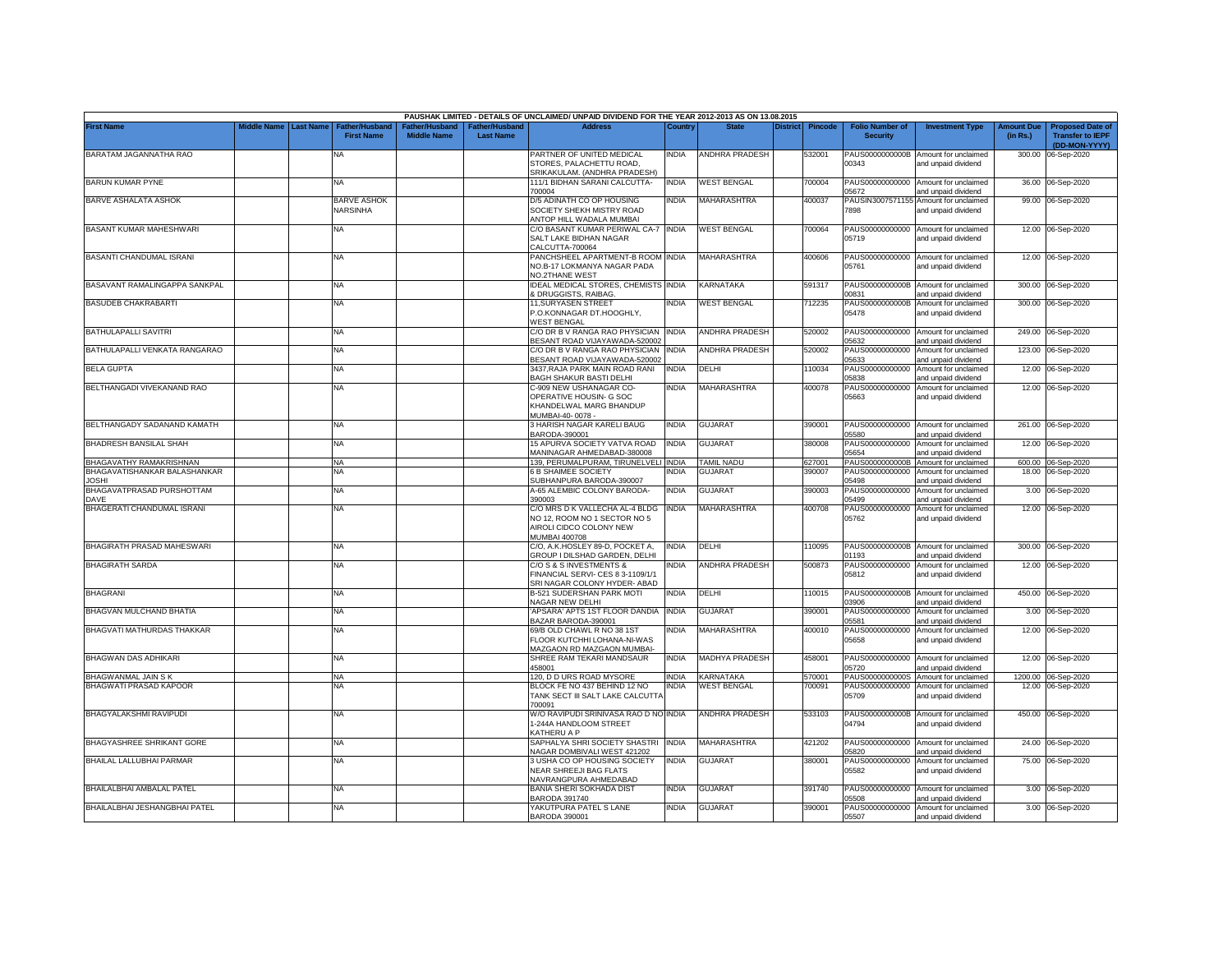|                                              |                                 |                                       |                    |                                   | PAUSHAK LIMITED - DETAILS OF UNCLAIMED/ UNPAID DIVIDEND FOR THE YEAR 2012-2013 AS ON 13.08.2015            |              |                       |         |                                           |                                                             |                               |                                                                     |
|----------------------------------------------|---------------------------------|---------------------------------------|--------------------|-----------------------------------|------------------------------------------------------------------------------------------------------------|--------------|-----------------------|---------|-------------------------------------------|-------------------------------------------------------------|-------------------------------|---------------------------------------------------------------------|
| <b>First Name</b>                            | liddle Name<br><b>Last Name</b> | Father/Husban<br><b>First Name</b>    | <b>Middle Name</b> | ither/Husbanc<br><b>Last Name</b> | Address                                                                                                    | Country      | District              | Pincode | <b>Folio Number of</b><br><b>Security</b> | <b>Investment Type</b>                                      | <b>Amount Due</b><br>(in Rs.) | <b>Proposed Date of</b><br><b>Transfer to IEPF</b><br>(DD-MON-YYYY) |
| BARATAM JAGANNATHA RAO                       |                                 | ΝA                                    |                    |                                   | PARTNER OF UNITED MEDICAL<br>STORES, PALACHETTU ROAD.<br>SRIKAKULAM, (ANDHRA PRADESH)                      | NDIA         | ANDHRA PRADESH        | 532001  | PAUS0000000000B<br>00343                  | Amount for unclaimed<br>and unpaid dividend                 | 300.00                        | 06-Sep-2020                                                         |
| <b>BARUN KUMAR PYNE</b>                      |                                 | <b>NA</b>                             |                    |                                   | 111/1 BIDHAN SARANI CALCUTTA-<br>700004                                                                    | India        | <b>WEST BENGAL</b>    | 700004  | PAUS00000000000<br>05672                  | Amount for unclaimed<br>and unpaid dividend                 |                               | 36.00 06-Sep-2020                                                   |
| <b>BARVE ASHALATA ASHOK</b>                  |                                 | <b>BARVE ASHOK</b><br><b>NARSINHA</b> |                    |                                   | D/5 ADINATH CO OP HOUSING<br>SOCIETY SHEKH MISTRY ROAD<br><b>INTOP HILL WADALA MUMBAI</b>                  | NDIA         | <b>MAHARASHTRA</b>    | 400037  | PAUSIN3007571155<br>7898                  | Amount for unclaimed<br>and unpaid dividend                 |                               | 99.00 06-Sep-2020                                                   |
| BASANT KUMAR MAHESHWARI                      |                                 | <b>NA</b>                             |                    |                                   | C/O BASANT KUMAR PERIWAL CA-7<br>SALT LAKE BIDHAN NAGAR<br>CALCUTTA-700064                                 | <b>INDIA</b> | <b>WEST BENGAL</b>    | 700064  | 05719                                     | PAUS00000000000 Amount for unclaimed<br>and unpaid dividend |                               | 12.00 06-Sep-2020                                                   |
| BASANTI CHANDUMAL ISRANI                     |                                 | <b>NA</b>                             |                    |                                   | PANCHSHEEL APARTMENT-B ROOM INDIA<br>NO.B-17 LOKMANYA NAGAR PADA<br><b>VO.2THANE WEST</b>                  |              | <b>MAHARASHTRA</b>    | 400606  | PAUS00000000000<br>05761                  | Amount for unclaimed<br>and unpaid dividend                 |                               | 12.00 06-Sep-2020                                                   |
| BASAVANT RAMALINGAPPA SANKPAL                |                                 | NA                                    |                    |                                   | <b>IDEAL MEDICAL STORES, CHEMISTS INDIA</b><br><b>DRUGGISTS, RAIBAG.</b>                                   |              | KARNATAKA             | 591317  | PAUS0000000000B<br>00831                  | Amount for unclaimed<br>and unpaid dividend                 | 300.00                        | 06-Sep-2020                                                         |
| <b>BASUDEB CHAKRABARTI</b>                   |                                 | <b>NA</b>                             |                    |                                   | 11, SURYASEN STREET<br>.O.KONNAGAR DT.HOOGHLY,<br><b>VEST BENGAL</b>                                       | INDIA        | <b>WEST BENGAL</b>    | 12235   | PAUS0000000000B<br>05478                  | Amount for unclaimed<br>and unpaid dividend                 | 300.00                        | 06-Sep-2020                                                         |
| BATHULAPALLI SAVITRI                         |                                 | <b>NA</b>                             |                    |                                   | C/O DR B V RANGA RAO PHYSICIAN<br>BESANT ROAD VIJAYAWADA-520002                                            | INDIA        | ANDHRA PRADESH        | 520002  | PAUS00000000000<br>05632                  | Amount for unclaimed<br>and unpaid dividend                 | 249.00                        | 06-Sep-2020                                                         |
| BATHULAPALLI VENKATA RANGARAO                |                                 | NA                                    |                    |                                   | C/O DR B V RANGA RAO PHYSICIAN<br>BESANT ROAD VIJAYAWADA-520002                                            | <b>INDIA</b> | <b>ANDHRA PRADESH</b> | 520002  | PAUS00000000000<br>05633                  | Amount for unclaimed<br>and unpaid dividend                 |                               | 123.00 06-Sep-2020                                                  |
| <b>BELA GUPTA</b>                            |                                 | ΝA                                    |                    |                                   | 3437, RAJA PARK MAIN ROAD RANI<br><b>BAGH SHAKUR BASTI DELHI</b>                                           | NDIA         | DELHI                 | 10034   | PAUS00000000000<br>5838                   | Amount for unclaimed<br>ind unpaid dividend                 |                               | 12.00 06-Sep-2020                                                   |
| BELTHANGADI VIVEKANAND RAO                   |                                 | ΝA                                    |                    |                                   | C-909 NEW USHANAGAR CO-<br>OPERATIVE HOUSIN- G SOC<br>KHANDELWAL MARG BHANDUP<br>MUMBAI-40-0078 -          | <b>NDIA</b>  | <b>MAHARASHTRA</b>    | 400078  | PAUS00000000000<br>05663                  | Amount for unclaimed<br>and unpaid dividend                 |                               | 12.00 06-Sep-2020                                                   |
| BELTHANGADY SADANAND KAMATH                  |                                 | <b>NA</b>                             |                    |                                   | 3 HARISH NAGAR KARELI BAUG<br>BARODA-390001                                                                | INDIA        | <b>GUJARAT</b>        | 390001  | PAUS00000000000<br>05580                  | Amount for unclaimed<br>and unpaid dividend                 |                               | 261.00 06-Sep-2020                                                  |
| BHADRESH BANSILAL SHAH                       |                                 | <b>NA</b>                             |                    |                                   | 15 APURVA SOCIETY VATVA ROAD<br>MANINAGAR AHMEDABAD-380008                                                 | <b>INDIA</b> | <b>GUJARAT</b>        | 380008  | PAUS00000000000<br>05654                  | Amount for unclaimed<br>and unpaid dividend                 | 12.00                         | 06-Sep-2020                                                         |
| BHAGAVATHY RAMAKRISHNAN                      |                                 | <b>NA</b>                             |                    |                                   | 139, PERUMALPURAM, TIRUNELVELI INDIA                                                                       |              | <b>TAMIL NADU</b>     | 627001  |                                           | PAUS0000000000B Amount for unclaimed                        |                               | 600.00 06-Sep-2020                                                  |
| BHAGAVATISHANKAR BALASHANKAR<br><b>JOSHI</b> |                                 | <b>NA</b>                             |                    |                                   | 6 B SHAIMEE SOCIETY<br>SUBHANPURA BARODA-390007                                                            | NDIA         | <b>GUJARAT</b>        | 390007  | PAUS00000000000<br>05498                  | Amount for unclaimed<br>and unpaid dividend                 | 18.00                         | 06-Sep-2020                                                         |
| BHAGAVATPRASAD PURSHOTTAM<br><b>DAVE</b>     |                                 | NA                                    |                    |                                   | A-65 ALEMBIC COLONY BARODA<br>390003                                                                       | India        | <b>GUJARAT</b>        | 390003  | PAUS00000000000<br>05499                  | Amount for unclaimed<br>and unpaid dividend                 | 3.00                          | 06-Sep-2020                                                         |
| BHAGERATI CHANDUMAL ISRANI                   |                                 | <b>NA</b>                             |                    |                                   | C/O MRS D K VALLECHA AL-4 BLDG<br>NO 12, ROOM NO 1 SECTOR NO 5<br>AIROLI CIDCO COLONY NEW<br>MUMBAI 400708 | INDIA        | MAHARASHTRA           | 400708  | PAUS00000000000<br>05762                  | Amount for unclaimed<br>and unpaid dividend                 |                               | 12.00 06-Sep-2020                                                   |
| BHAGIRATH PRASAD MAHESWARI                   |                                 | <b>NA</b>                             |                    |                                   | C/O, A.K.HOSLEY 89-D, POCKET A,<br>GROUP I DILSHAD GARDEN, DELHI                                           | INDIA        | DELHI                 | 10095   | 01193                                     | PAUS0000000000B Amount for unclaimed<br>and unpaid dividend | 300.00                        | 06-Sep-2020                                                         |
| <b>BHAGIRATH SARDA</b>                       |                                 | <b>NA</b>                             |                    |                                   | C/O S & S INVESTMENTS &<br>FINANCIAL SERVI- CES 8 3-1109/1/1<br>SRI NAGAR COLONY HYDER- ABAD               | NDIA         | ANDHRA PRADESH        | 500873  | PAUS00000000000<br>05812                  | Amount for unclaimed<br>and unpaid dividend                 | 12.00                         | 06-Sep-2020                                                         |
| <b>BHAGRANI</b>                              |                                 | <b>NA</b>                             |                    |                                   | B-521 SUDERSHAN PARK MOTI<br>NAGAR NEW DELHI                                                               | india        | DELHI                 | 110015  | 03906                                     | PAUS0000000000B Amount for unclaimed<br>and unpaid dividend |                               | 450.00 06-Sep-2020                                                  |
| BHAGVAN MULCHAND BHATIA                      |                                 | <b>NA</b>                             |                    |                                   | APSARA' APTS 1ST FLOOR DANDIA<br>BAZAR BARODA-390001                                                       | india        | GUJARAT               | 390001  | PAUS00000000000<br>05581                  | Amount for unclaimed<br>and unpaid dividend                 | 3.00                          | 06-Sep-2020                                                         |
| BHAGVATI MATHURDAS THAKKAR                   |                                 | <b>NA</b>                             |                    |                                   | 69/B OLD CHAWL R NO 38 1ST<br>FLOOR KUTCHHI LOHANA-NI-WAS<br>MAZGAON RD MAZGAON MUMBAI-                    | NDIA         | MAHARASHTRA           | 400010  | PAUS00000000000<br>05658                  | Amount for unclaimed<br>and unpaid dividend                 | 12.00                         | 06-Sep-2020                                                         |
| BHAGWAN DAS ADHIKARI                         |                                 | NA                                    |                    |                                   | SHREE RAM TEKARI MANDSAUR<br>158001                                                                        | India        | MADHYA PRADESH        | 158001  | PAUS00000000000<br>05720                  | Amount for unclaimed<br>and unpaid dividend                 |                               | 12.00 06-Sep-2020                                                   |
| <b>BHAGWANMAL JAIN S K</b>                   |                                 | <b>NA</b>                             |                    |                                   | 120. D D URS ROAD MYSORE                                                                                   | <b>INDIA</b> | <b>KARNATAKA</b>      | 570001  | PAUS0000000000S                           | Amount for unclaimed                                        |                               | 1200.00 06-Sep-2020                                                 |
| <b>BHAGWATI PRASAD KAPOOR</b>                |                                 | NA                                    |                    |                                   | BLOCK FE NO 437 BEHIND 12 NO<br>TANK SECT III SALT LAKE CALCUTTA<br>00091                                  | <b>INDIA</b> | <b>WEST BENGAL</b>    | 00091   | PAUS00000000000<br>05709                  | Amount for unclaimed<br>and unpaid dividend                 |                               | 12.00 06-Sep-2020                                                   |
| BHAGYALAKSHMI RAVIPUDI                       |                                 | <b>NA</b>                             |                    |                                   | W/O RAVIPUDI SRINIVASA RAO D NO INDIA<br>-244A HANDLOOM STREET<br><b>KATHERU A P</b>                       |              | ANDHRA PRADESH        | 533103  | 04794                                     | PAUS0000000000B Amount for unclaimed<br>and unpaid dividend |                               | 450.00 06-Sep-2020                                                  |
| BHAGYASHREE SHRIKANT GORE                    |                                 | <b>NA</b>                             |                    |                                   | SAPHALYA SHRI SOCIETY SHASTRI<br>NAGAR DOMBIVALI WEST 421202                                               | <b>INDIA</b> | MAHARASHTRA           | 421202  | PAUS00000000000<br>05820                  | Amount for unclaimed<br>and unpaid dividend                 |                               | 24.00 06-Sep-2020                                                   |
| BHAILAL LALLUBHAI PARMAR                     |                                 | <b>NA</b>                             |                    |                                   | 3 USHA CO OP HOUSING SOCIETY<br><b>NEAR SHREEJI BAG FLATS</b><br>NAVRANGPURA AHMEDABAD                     | <b>INDIA</b> | <b>GUJARAT</b>        | 380001  | PAUS00000000000<br>05582                  | Amount for unclaimed<br>and unpaid dividend                 |                               | 75.00 06-Sep-2020                                                   |
| BHAILALBHAI AMBALAL PATEL                    |                                 | <b>NA</b>                             |                    |                                   | BANIA SHERI SOKHADA DIST<br><b>BARODA 391740</b>                                                           | INDIA        | <b>GUJARAT</b>        | 391740  | PAUS00000000000<br>05508                  | Amount for unclaimed<br>and unpaid dividend                 |                               | 3.00 06-Sep-2020                                                    |
| BHAILALBHAI JESHANGBHAI PATEL                |                                 | <b>NA</b>                             |                    |                                   | YAKUTPURA PATEL S LANE<br><b>BARODA 390001</b>                                                             | <b>INDIA</b> | <b>GUJARAT</b>        | 390001  | 05507                                     | PAUS00000000000 Amount for unclaimed<br>and unpaid dividend |                               | 3.00 06-Sep-2020                                                    |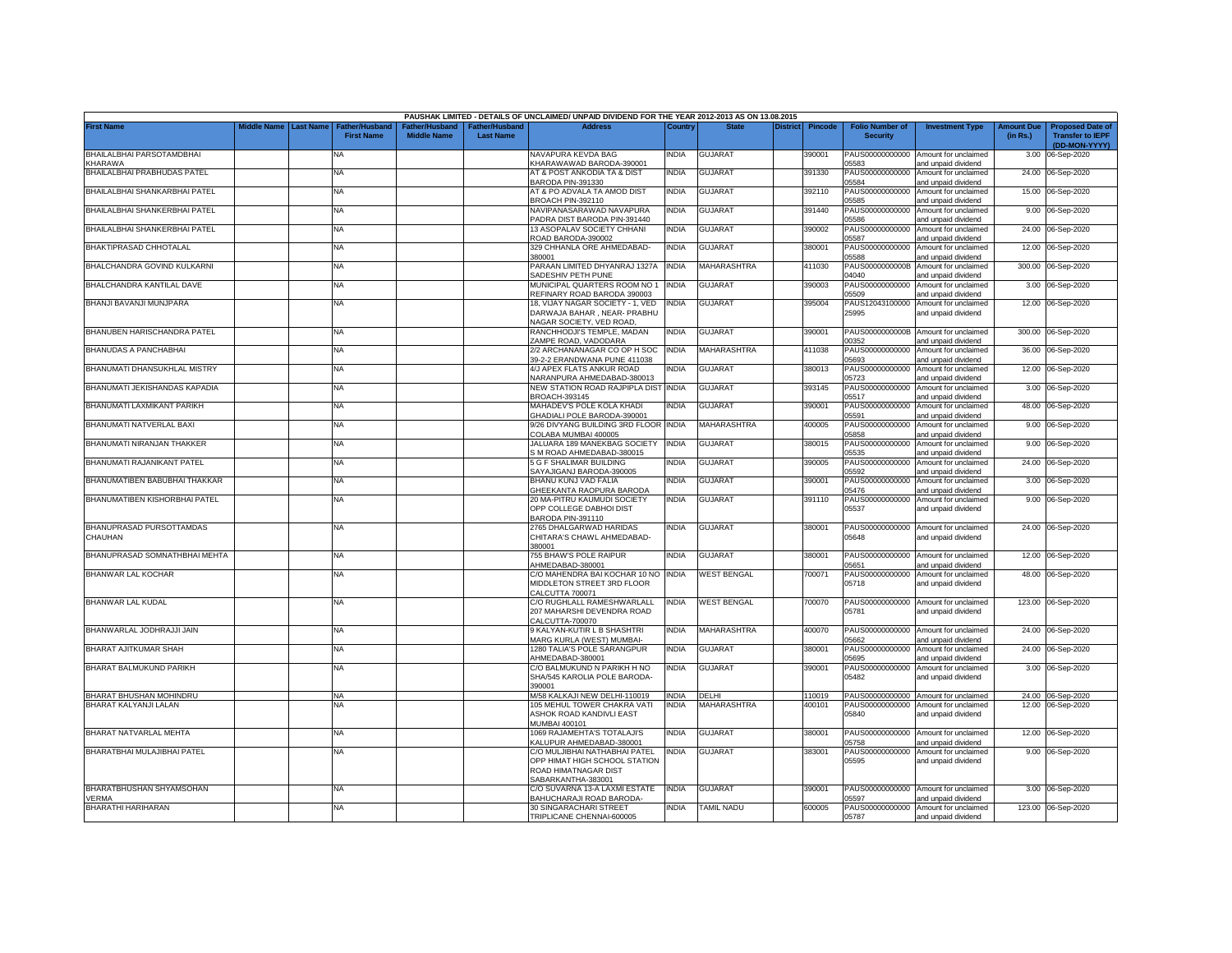|                                            |                         |                                            |                                      |                                                | PAUSHAK LIMITED - DETAILS OF UNCLAIMED/ UNPAID DIVIDEND FOR THE YEAR 2012-2013 AS ON 13.08.2015 |              |                    |          |                |                                           |                                                                                    |                               |                                                                     |
|--------------------------------------------|-------------------------|--------------------------------------------|--------------------------------------|------------------------------------------------|-------------------------------------------------------------------------------------------------|--------------|--------------------|----------|----------------|-------------------------------------------|------------------------------------------------------------------------------------|-------------------------------|---------------------------------------------------------------------|
| First Name                                 | Middle Name   Last Name | <b>Father/Husband</b><br><b>First Name</b> | Father/Husband<br><b>Middle Name</b> | <sup>-</sup> ather/Husband<br><b>Last Name</b> | <b>Address</b>                                                                                  | Country      | <b>State</b>       | District | <b>Pincode</b> | <b>Folio Number of</b><br><b>Security</b> | <b>Investment Type</b>                                                             | <b>Amount Due</b><br>(in Rs.) | <b>Proposed Date of</b><br><b>Transfer to IEPF</b><br>(DD-MON-YYYY) |
| BHAILALBHAI PARSOTAMDBHAI<br><b>HARAWA</b> |                         | ΝA                                         |                                      |                                                | NAVAPURA KEVDA BAG<br>KHARAWAWAD BARODA-390001                                                  | India        | <b>GUJARAT</b>     |          | 390001         | 05583                                     | PAUS00000000000 Amount for unclaimed<br>and unpaid dividend                        |                               | 3.00 06-Sep-2020                                                    |
| BHAILALBHAI PRABHUDAS PATEL                |                         | <b>NA</b>                                  |                                      |                                                | AT & POST ANKODIA TA & DIST<br>BARODA PIN-391330                                                | INDIA        | <b>GUJARAT</b>     |          | 391330         | 05584                                     | PAUS00000000000 Amount for unclaimed<br>and unpaid dividend                        |                               | 24.00 06-Sep-2020                                                   |
| BHAILALBHAI SHANKARBHAI PATEL              |                         | NA                                         |                                      |                                                | AT & PO ADVALA TA AMOD DIST<br>BROACH PIN-392110                                                | INDIA        | GUJARAT            |          | 392110         | PAUS00000000000<br>05585                  | Amount for unclaimed<br>and unpaid dividend                                        |                               | 15.00 06-Sep-2020                                                   |
| BHAILALBHAI SHANKERBHAI PATEL              |                         | NA                                         |                                      |                                                | NAVIPANASARAWAD NAVAPURA<br>PADRA DIST BARODA PIN-391440                                        | <b>INDIA</b> | <b>GUJARAT</b>     |          | 391440         | PAUS00000000000<br>05586                  | Amount for unclaimed<br>and unpaid dividend                                        |                               | 9.00 06-Sep-2020                                                    |
| BHAILALBHAI SHANKERBHAI PATEL              |                         | NA                                         |                                      |                                                | 13 ASOPALAV SOCIETY CHHANI<br>ROAD BARODA-390002                                                | NDIA         | <b>GUJARAT</b>     |          | 390002         | PAUS00000000000<br>05587                  | Amount for unclaimed<br>and unpaid dividend                                        |                               | 24.00 06-Sep-2020                                                   |
| BHAKTIPRASAD CHHOTALAL                     |                         | NA                                         |                                      |                                                | 329 CHHANLA ORE AHMEDABAD-<br>380001                                                            | INDIA        | <b>GUJARAT</b>     |          | 380001         | PAUS00000000000<br>05588                  | Amount for unclaimed<br>and unpaid dividend                                        |                               | 12.00 06-Sep-2020                                                   |
| BHALCHANDRA GOVIND KULKARNI                |                         | NA                                         |                                      |                                                | PARAAN LIMITED DHYANRAJ 1327A<br>SADESHIV PETH PUNE                                             | <b>INDIA</b> | <b>MAHARASHTRA</b> |          | 411030         | PAUS0000000000B<br>04040                  | Amount for unclaimed<br>and unpaid dividend                                        |                               | 300.00 06-Sep-2020                                                  |
| BHALCHANDRA KANTILAL DAVE                  |                         | NA                                         |                                      |                                                | MUNICIPAL QUARTERS ROOM NO 1<br>REFINARY ROAD BARODA 390003                                     | <b>INDIA</b> | GUJARAT            |          | 390003         | 05509                                     | PAUS00000000000 Amount for unclaimed                                               |                               | 3.00 06-Sep-2020                                                    |
| BHANJI BAVANJI MUNJPARA                    |                         | NA                                         |                                      |                                                | 18, VIJAY NAGAR SOCIETY - 1, VED<br>DARWAJA BAHAR, NEAR- PRABHU                                 | <b>INDIA</b> | <b>GUJARAT</b>     |          | 395004         | 25995                                     | and unpaid dividend<br>PAUS12043100000 Amount for unclaimed<br>and unpaid dividend |                               | 12.00 06-Sep-2020                                                   |
| BHANUBEN HARISCHANDRA PATEL                |                         | NA                                         |                                      |                                                | VAGAR SOCIETY, VED ROAD,<br>RANCHHODJI'S TEMPLE, MADAN                                          | <b>INDIA</b> | GUJARAT            |          | 390001         |                                           | PAUS0000000000B Amount for unclaimed                                               |                               | 300.00 06-Sep-2020                                                  |
| <b>BHANUDAS A PANCHABHAI</b>               |                         | NA                                         |                                      |                                                | ZAMPE ROAD, VADODARA<br>2/2 ARCHANANAGAR CO OP H SOC                                            | <b>INDIA</b> | MAHARASHTRA        |          | 411038         | 0352<br>PAUS00000000000                   | and unpaid dividend<br>Amount for unclaimed                                        |                               | 36.00 06-Sep-2020                                                   |
| BHANUMATI DHANSUKHLAL MISTRY               |                         | NA                                         |                                      |                                                | 39-2-2 ERANDWANA PUNE 411038<br>4/J APEX FLATS ANKUR ROAD                                       | NDIA         | GUJARAT            |          | 380013         | 5693<br>PAUS00000000000                   | and unpaid dividend<br>Amount for unclaimed                                        |                               | 12.00 06-Sep-2020                                                   |
| BHANUMATI JEKISHANDAS KAPADIA              |                         | NA                                         |                                      |                                                | VARANPURA AHMEDABAD-380013<br>NEW STATION ROAD RAJPIPLA DIST                                    | <b>INDIA</b> | <b>GUJARAT</b>     |          | 393145         | 05723<br>PAUS00000000000                  | and unpaid dividend<br>Amount for unclaimed                                        |                               | 3.00 06-Sep-2020                                                    |
| BHANUMATI LAXMIKANT PARIKH                 |                         | NA                                         |                                      |                                                | BROACH-393145<br>MAHADEV'S POLE KOLA KHADI                                                      | NDIA         | <b>GUJARAT</b>     |          | 390001         | 05517<br>PAUS00000000000                  | and unpaid dividend<br>Amount for unclaimed                                        |                               | 48.00 06-Sep-2020                                                   |
| BHANUMATI NATVERLAL BAXI                   |                         | NA                                         |                                      |                                                | <b>GHADIALI POLE BARODA-390001</b><br>9/26 DIVYANG BUILDING 3RD FLOOR                           | <b>INDIA</b> | <b>MAHARASHTRA</b> |          | 400005         | 15591<br>PAUS00000000000                  | and unpaid dividend<br>Amount for unclaimed                                        |                               | 9.00 06-Sep-2020                                                    |
| BHANUMATI NIRANJAN THAKKER                 |                         | <b>NA</b>                                  |                                      |                                                | COLABA MUMBAI 400005<br>JALUARA 189 MANEKBAG SOCIETY                                            | <b>INDIA</b> | <b>GUJARAT</b>     |          | 380015         | 5858<br>PAUS00000000000                   | nd unpaid dividend<br>Amount for unclaimed                                         |                               | 9.00 06-Sep-2020                                                    |
| BHANUMATI RAJANIKANT PATEL                 |                         | NA                                         |                                      |                                                | M ROAD AHMEDABAD-380015<br>5 G F SHALIMAR BUILDING                                              | INDIA        | GUJARAT            |          | 390005         | 15535<br>PAUS00000000000                  | and unpaid dividend<br>Amount for unclaimed                                        |                               | 24.00 06-Sep-2020                                                   |
| BHANUMATIBEN BABUBHAI THAKKAR              |                         | NA                                         |                                      |                                                | SAYAJIGANJ BARODA-390005<br>BHANU KUNJ VAD FALIA                                                | <b>INDIA</b> | <b>GUJARAT</b>     |          | 390001         | 05592<br>PAUS00000000000                  | and unpaid dividend<br>Amount for unclaimed                                        |                               | 3.00 06-Sep-2020                                                    |
| BHANUMATIBEN KISHORBHAI PATEL              |                         | NA                                         |                                      |                                                | GHEEKANTA RAOPURA BARODA<br>20 MA-PITRU KAUMUDI SOCIETY                                         | <b>INDIA</b> | <b>GUJARAT</b>     |          | 391110         | 05476<br>PAUS00000000000                  | and unpaid dividend<br>Amount for unclaimed                                        |                               | 9.00 06-Sep-2020                                                    |
| BHANUPRASAD PURSOTTAMDAS                   |                         | ΝA                                         |                                      |                                                | OPP COLLEGE DABHOI DIST<br>BARODA PIN-391110<br>2765 DHALGARWAD HARIDAS                         | india        | GUJARAT            |          | 380001         | 05537                                     | and unpaid dividend<br>PAUS00000000000 Amount for unclaimed                        |                               | 24.00 06-Sep-2020                                                   |
| CHAUHAN                                    |                         |                                            |                                      |                                                | CHITARA'S CHAWL AHMEDABAD-<br>380001                                                            |              |                    |          |                | 05648                                     | and unpaid dividend                                                                |                               |                                                                     |
| BHANUPRASAD SOMNATHBHAI MEHTA              |                         | NA                                         |                                      |                                                | 755 BHAW'S POLE RAIPUR<br>AHMEDABAD-380001                                                      | <b>INDIA</b> | GUJARAT            |          | 380001         | PAUS00000000000<br>05651                  | Amount for unclaimed<br>and unpaid dividend                                        | 12.00                         | 06-Sep-2020                                                         |
| BHANWAR LAL KOCHAR                         |                         | NA                                         |                                      |                                                | C/O MAHENDRA BAI KOCHAR 10 NO INDIA<br>MIDDLETON STREET 3RD FLOOR<br>CALCUTTA 700071            |              | <b>WEST BENGAL</b> |          | 700071         | PAUS00000000000<br>05718                  | Amount for unclaimed<br>and unpaid dividend                                        | 48.00                         | 06-Sep-2020                                                         |
| BHANWAR LAL KUDAL                          |                         | NA                                         |                                      |                                                | C/O RUGHLALL RAMESHWARLALL<br>207 MAHARSHI DEVENDRA ROAD<br>CALCUTTA-700070                     | <b>INDIA</b> | <b>WEST BENGAL</b> |          | 700070         | 05781                                     | PAUS00000000000 Amount for unclaimed<br>and unpaid dividend                        |                               | 123.00 06-Sep-2020                                                  |
| BHANWARLAL JODHRAJJI JAIN                  |                         | NA                                         |                                      |                                                | 9 KALYAN-KUTIR L B SHASHTRI<br>MARG KURLA (WEST) MUMBAI-                                        | <b>INDIA</b> | <b>MAHARASHTRA</b> |          | 400070         | 05662                                     | PAUS00000000000 Amount for unclaimed<br>and unpaid dividend                        |                               | 24.00 06-Sep-2020                                                   |
| BHARAT AJITKUMAR SHAH                      |                         | NA                                         |                                      |                                                | 1280 TALIA'S POLE SARANGPUR<br>AHMEDABAD-380001                                                 | <b>INDIA</b> | GUJARAT            |          | 380001         | PAUS00000000000<br>05695                  | Amount for unclaimed<br>and unpaid dividend                                        |                               | 24.00 06-Sep-2020                                                   |
| BHARAT BALMUKUND PARIKH                    |                         | NA                                         |                                      |                                                | C/O BALMUKUND N PARIKH H NO<br>SHA/545 KAROLIA POLE BARODA-<br>390001                           | India        | <b>GUJARAT</b>     |          | 390001         | PAUS00000000000<br>05482                  | Amount for unclaimed<br>and unpaid dividend                                        |                               | 3.00 06-Sep-2020                                                    |
| BHARAT BHUSHAN MOHINDRU                    |                         | <b>NA</b>                                  |                                      |                                                | M/58 KALKAJI NEW DELHI-110019                                                                   | <b>INDIA</b> | DELHI              |          | 110019         |                                           | PAUS00000000000 Amount for unclaimed                                               |                               | 24.00 06-Sep-2020                                                   |
| BHARAT KALYANJI LALAN                      |                         | NA                                         |                                      |                                                | 105 MEHUL TOWER CHAKRA VATI                                                                     | INDIA        | MAHARASHTRA        |          | 100101         | PAUS00000000000                           | Amount for unclaimed                                                               |                               | 12.00 06-Sep-2020                                                   |
|                                            |                         |                                            |                                      |                                                | ASHOK ROAD KANDIVLI EAST<br><b>MUMBAI 400101</b>                                                |              |                    |          |                | 05840                                     | and unpaid dividend                                                                |                               |                                                                     |
| BHARAT NATVARLAL MEHTA                     |                         | NA                                         |                                      |                                                | 1069 RAJAMEHTA'S TOTALAJI'S<br><b>KALUPUR AHMEDABAD-380001</b>                                  | India        | <b>GUJARAT</b>     |          | 380001         | 05758                                     | PAUS00000000000 Amount for unclaimed<br>and unpaid dividend                        |                               | 12.00 06-Sep-2020                                                   |
| BHARATBHAI MULAJIBHAI PATEL                |                         | NA                                         |                                      |                                                | C/O MULJIBHAI NATHABHAI PATEL<br>OPP HIMAT HIGH SCHOOL STATION                                  | <b>INDIA</b> | <b>GUJARAT</b>     |          | 383001         | PAUS00000000000<br>05595                  | Amount for unclaimed<br>and unpaid dividend                                        |                               | 9.00 06-Sep-2020                                                    |
|                                            |                         |                                            |                                      |                                                | ROAD HIMATNAGAR DIST<br>SABARKANTHA-383001                                                      |              |                    |          |                |                                           |                                                                                    |                               |                                                                     |
| BHARATBHUSHAN SHYAMSOHAN                   |                         | NA                                         |                                      |                                                | C/O SUVARNA 13-A LAXMI ESTATE                                                                   | <b>INDIA</b> | GUJARAT            |          | 390001         |                                           | PAUS00000000000 Amount for unclaimed                                               |                               | 3.00 06-Sep-2020                                                    |
| VERMA<br>BHARATHI HARIHARAN                |                         | <b>NA</b>                                  |                                      |                                                | BAHUCHARAJI ROAD BARODA-<br>30 SINGARACHARI STREET                                              | <b>INDIA</b> | <b>TAMIL NADU</b>  |          | 600005         | 05597                                     | and unpaid dividend<br>PAUS00000000000 Amount for unclaimed                        |                               | 123.00 06-Sep-2020                                                  |
|                                            |                         |                                            |                                      |                                                | TRIPLICANE CHENNAI-600005                                                                       |              |                    |          |                | 05787                                     | and unpaid dividend                                                                |                               |                                                                     |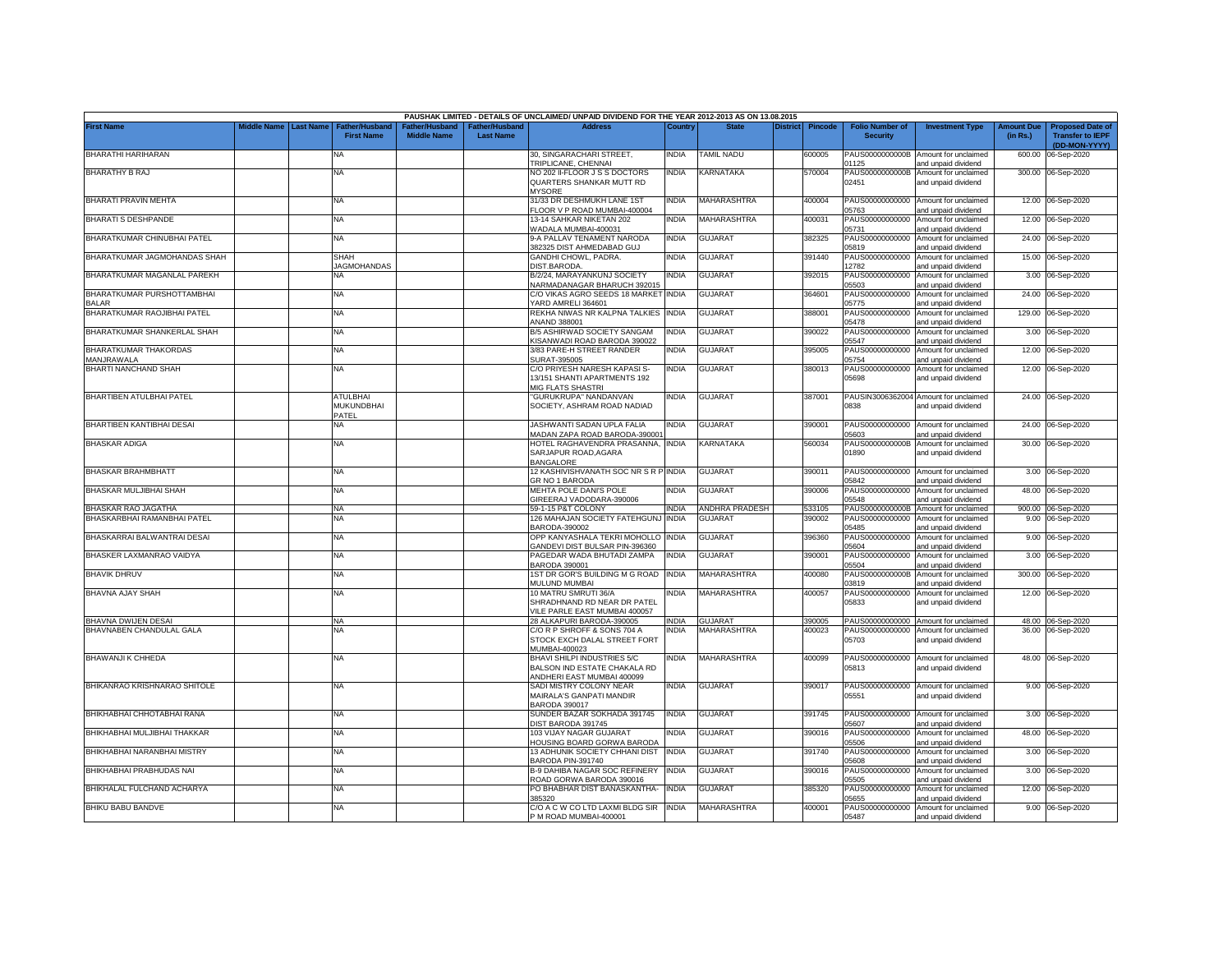|                                            |                       |                                               |                                      |                                                | PAUSHAK LIMITED - DETAILS OF UNCLAIMED/ UNPAID DIVIDEND FOR THE YEAR 2012-2013 AS ON 13.08.2015  |                |                       |                 |         |                                           |                                                              |                               |                                                                     |
|--------------------------------------------|-----------------------|-----------------------------------------------|--------------------------------------|------------------------------------------------|--------------------------------------------------------------------------------------------------|----------------|-----------------------|-----------------|---------|-------------------------------------------|--------------------------------------------------------------|-------------------------------|---------------------------------------------------------------------|
| <b>First Name</b>                          | Middle Name Last Name | Father/Husband<br><b>First Name</b>           | Father/Husband<br><b>Middle Name</b> | <sup>∶</sup> ather/Husbanc<br><b>Last Name</b> | <b>Address</b>                                                                                   | Country        | <b>State</b>          | <b>District</b> | Pincode | <b>Folio Number of</b><br><b>Security</b> | <b>Investment Type</b>                                       | <b>Amount Due</b><br>(in Rs.) | <b>Proposed Date of</b><br><b>Transfer to IEPF</b><br>(DD-MON-YYYY) |
| BHARATHI HARIHARAN                         |                       | NA                                            |                                      |                                                | 30, SINGARACHARI STREET,<br>TRIPLICANE, CHENNAI                                                  | India          | <b>TAMIL NADU</b>     |                 | 600005  | 01125                                     | PAUS0000000000B Amount for unclaimed<br>and unpaid dividend  | 600.00                        | 06-Sep-2020                                                         |
| <b>BHARATHY B RAJ</b>                      |                       | NA                                            |                                      |                                                | NO 202 II-FLOOR J S S DOCTORS<br>QUARTERS SHANKAR MUTT RD<br><b>MYSORE</b>                       | NDIA           | KARNATAKA             |                 | 570004  | PAUS0000000000B<br>02451                  | Amount for unclaimed<br>and unpaid dividend                  |                               | 300.00 06-Sep-2020                                                  |
| BHARATI PRAVIN MEHTA                       |                       | NA                                            |                                      |                                                | 31/33 DR DESHMUKH LANE 1ST<br>FLOOR V P ROAD MUMBAI-400004                                       | <b>INDIA</b>   | MAHARASHTRA           |                 | 400004  | 05763                                     | PAUS00000000000 Amount for unclaimed<br>and unpaid dividend  |                               | 12.00 06-Sep-2020                                                   |
| <b>BHARATI S DESHPANDE</b>                 |                       | NA                                            |                                      |                                                | 13-14 SAHKAR NIKETAN 202<br>WADALA MUMBAI-400031                                                 | NDIA           | MAHARASHTRA           |                 | 100031  | PAUS00000000000<br>05731                  | Amount for unclaimed<br>and unpaid dividend                  |                               | 12.00 06-Sep-2020                                                   |
| BHARATKUMAR CHINUBHAI PATEL                |                       | NA                                            |                                      |                                                | 9-A PALLAV TENAMENT NARODA<br>382325 DIST AHMEDABAD GUJ                                          | INDIA          | <b>GUJARAT</b>        |                 | 382325  | PAUS00000000000<br>05819                  | Amount for unclaimed<br>and unpaid dividend                  |                               | 24.00 06-Sep-2020                                                   |
| BHARATKUMAR JAGMOHANDAS SHAH               |                       | SHAH<br><b>AGMOHANDAS</b>                     |                                      |                                                | GANDHI CHOWL, PADRA.<br>DIST.BARODA                                                              | INDIA          | <b>GUJARAT</b>        |                 | 391440  | 2782                                      | PAUS00000000000 Amount for unclaimed<br>and unpaid dividend  |                               | 15.00 06-Sep-2020                                                   |
| BHARATKUMAR MAGANLAL PAREKH                |                       | NA                                            |                                      |                                                | B/2/24, MARAYANKUNJ SOCIETY<br>NARMADANAGAR BHARUCH 392015                                       | INDIA          | <b>GUJARAT</b>        |                 | 392015  | PAUS00000000000<br>05503                  | Amount for unclaimed<br>and unpaid dividend                  |                               | 3.00 06-Sep-2020                                                    |
| BHARATKUMAR PURSHOTTAMBHAI<br><b>BALAR</b> |                       | NA                                            |                                      |                                                | C/O VIKAS AGRO SEEDS 18 MARKET INDIA<br>YARD AMRELI 364601                                       |                | <b>GUJARAT</b>        |                 | 364601  | PAUS00000000000<br>05775                  | Amount for unclaimed<br>and unpaid dividend                  |                               | 24.00 06-Sep-2020                                                   |
| BHARATKUMAR RAOJIBHAI PATEL                |                       | NA.                                           |                                      |                                                | REKHA NIWAS NR KALPNA TALKIES<br><b>NAND 388001</b>                                              | <b>INDIA</b>   | <b>GUJARAT</b>        |                 | 388001  | PAUS00000000000<br>05478                  | Amount for unclaimed<br>and unpaid dividend                  |                               | 129.00 06-Sep-2020                                                  |
| BHARATKUMAR SHANKERLAL SHAH                |                       | NA.                                           |                                      |                                                | B/5 ASHIRWAD SOCIETY SANGAM<br><b>(ISANWADI ROAD BARODA 390022</b>                               | <b>INDIA</b>   | <b>GUJARAT</b>        |                 | 390022  | PAUS00000000000<br>15547                  | Amount for unclaimed<br>and unpaid dividend                  |                               | 3.00 06-Sep-2020                                                    |
| BHARATKUMAR THAKORDAS<br>MANJRAWALA        |                       | ΝA                                            |                                      |                                                | 3/83 PARE-H STREET RANDER<br>SURAT-395005                                                        | NDIA           | GUJARAT               |                 | 395005  | PAUS00000000000<br>5754                   | Amount for unclaimed<br>and unpaid dividend                  |                               | 12.00 06-Sep-2020                                                   |
| BHARTI NANCHAND SHAH                       |                       | NA                                            |                                      |                                                | C/O PRIYESH NARESH KAPASI S-<br>3/151 SHANTI APARTMENTS 192<br>MIG FLATS SHASTRI                 | INDIA          | GUJARAT               |                 | 380013  | PAUS00000000000<br>05698                  | Amount for unclaimed<br>and unpaid dividend                  |                               | 12.00 06-Sep-2020                                                   |
| BHARTIBEN ATULBHAI PATEL                   |                       | <b>ATULBHAI</b><br><b>MUKUNDBHAI</b><br>PATEL |                                      |                                                | 'GURUKRUPA" NANDANVAN<br>SOCIETY, ASHRAM ROAD NADIAD                                             | INDIA          | <b>GUJARAT</b>        |                 | 387001  | 3838                                      | PAUSIN3006362004 Amount for unclaimed<br>and unpaid dividend |                               | 24.00 06-Sep-2020                                                   |
| BHARTIBEN KANTIBHAI DESAI                  |                       | <b>NA</b>                                     |                                      |                                                | JASHWANTI SADAN UPLA FALIA<br>MADAN ZAPA ROAD BARODA-39000*                                      | <b>INDIA</b>   | GUJARAT               |                 | 390001  | 5603                                      | PAUS00000000000 Amount for unclaimed<br>and unpaid dividend  |                               | 24.00 06-Sep-2020                                                   |
| <b>BHASKAR ADIGA</b>                       |                       | <b>NA</b>                                     |                                      |                                                | HOTEL RAGHAVENDRA PRASANNA, INDIA<br>SARJAPUR ROAD, AGARA<br><b>BANGALORE</b>                    |                | KARNATAKA             |                 | 560034  | PAUS0000000000B<br>01890                  | Amount for unclaimed<br>and unpaid dividend                  |                               | 30.00 06-Sep-2020                                                   |
| BHASKAR BRAHMBHATT                         |                       | <b>NA</b>                                     |                                      |                                                | 12 KASHIVISHVANATH SOC NR S R P INDIA<br>GR NO 1 BARODA                                          |                | <b>GUJARAT</b>        |                 | 390011  | 05842                                     | PAUS00000000000 Amount for unclaimed<br>and unpaid dividend  |                               | 3.00 06-Sep-2020                                                    |
| BHASKAR MULJIBHAI SHAH                     |                       | NA                                            |                                      |                                                | MEHTA POLE DANI'S POLE<br>GIREERAJ VADODARA-390006                                               | INDIA          | <b>GUJARAT</b>        |                 | 390006  | PAUS00000000000<br>15548                  | Amount for unclaimed<br>and unpaid dividend                  |                               | 48.00 06-Sep-2020                                                   |
| BHASKAR RAO JAGATHA                        |                       | NA                                            |                                      |                                                | 59-1-15 P&T COLONY                                                                               | <b>INDIA</b>   | <b>ANDHRA PRADESH</b> |                 | 533105  | PAUS0000000000B                           | Amount for unclaimed                                         |                               | 900.00 06-Sep-2020                                                  |
| BHASKARBHAI RAMANBHAI PATEL                |                       | NA                                            |                                      |                                                | 126 MAHAJAN SOCIETY FATEHGUNJ INDIA<br>BARODA-390002                                             |                | <b>GUJARAT</b>        |                 | 390002  | PAUS00000000000<br>05485                  | Amount for unclaimed<br>and unpaid dividend                  |                               | 9.00 06-Sep-2020                                                    |
| BHASKARRAI BALWANTRAI DESAI                |                       | NA                                            |                                      |                                                | OPP KANYASHALA TEKRI MOHOLLO INDIA<br>GANDEVI DIST BULSAR PIN-396360                             |                | <b>GUJARAT</b>        |                 | 396360  | PAUS00000000000<br>05604                  | Amount for unclaimed<br>and unpaid dividend                  | 9.00                          | 06-Sep-2020                                                         |
| BHASKER LAXMANRAO VAIDYA                   |                       | NA                                            |                                      |                                                | PAGEDAR WADA BHUTADI ZAMPA<br>BARODA 390001                                                      | INDIA          | <b>GUJARAT</b>        |                 | 390001  | PAUS00000000000<br>05504                  | Amount for unclaimed<br>and unpaid dividend                  | 3.00                          | 06-Sep-2020                                                         |
| <b>BHAVIK DHRUV</b>                        |                       | NA                                            |                                      |                                                | 1ST DR GOR'S BUILDING M G ROAD<br>MULUND MUMBAI                                                  | <b>INDIA</b>   | MAHARASHTRA           |                 | 400080  | PAUS0000000000B<br>03819                  | Amount for unclaimed<br>and unpaid dividend                  | 300.00                        | 06-Sep-2020                                                         |
| BHAVNA AJAY SHAH                           |                       | NA                                            |                                      |                                                | 10 MATRU SMRUTI 36/A<br>SHRADHNAND RD NEAR DR PATEL                                              | NDIA           | MAHARASHTRA           |                 | 400057  | PAUS00000000000<br>05833                  | Amount for unclaimed<br>and unpaid dividend                  |                               | 12.00 06-Sep-2020                                                   |
| <b>BHAVNA DWIJEN DESAI</b>                 |                       |                                               |                                      |                                                | VILE PARLE EAST MUMBAI 400057<br>28 ALKAPURI BARODA-390005                                       |                | <b>GUJARAT</b>        |                 | 390005  |                                           | PAUS00000000000 Amount for unclaimed                         |                               |                                                                     |
| BHAVNABEN CHANDULAL GALA                   |                       | <b>NA</b><br>NA                               |                                      |                                                | C/O R P SHROFF & SONS 704 A                                                                      | INDIA<br>INDIA | MAHARASHTRA           |                 | 400023  | PAUS00000000000                           | Amount for unclaimed                                         |                               | 48.00 06-Sep-2020<br>36.00 06-Sep-2020                              |
|                                            |                       |                                               |                                      |                                                | STOCK EXCH DALAL STREET FORT<br>MUMBAI-400023                                                    |                |                       |                 |         | 05703                                     | and unpaid dividend                                          |                               |                                                                     |
| <b>BHAWANJI K CHHEDA</b>                   |                       | NA                                            |                                      |                                                | <b>BHAVI SHILPI INDUSTRIES 5/C</b><br>BALSON IND ESTATE CHAKALA RD<br>ANDHERI EAST MUMBAI 400099 | India          | MAHARASHTRA           |                 | 400099  | PAUS00000000000<br>05813                  | Amount for unclaimed<br>and unpaid dividend                  |                               | 48.00 06-Sep-2020                                                   |
| BHIKANRAO KRISHNARAO SHITOLE               |                       | NA                                            |                                      |                                                | SADI MISTRY COLONY NEAR<br>MAIRALA'S GANPATI MANDIR<br><b>BARODA 390017</b>                      | India          | <b>GUJARAT</b>        |                 | 390017  | 05551                                     | PAUS00000000000 Amount for unclaimed<br>and unpaid dividend  |                               | 9.00 06-Sep-2020                                                    |
| BHIKHABHAI CHHOTABHAI RANA                 |                       | <b>NA</b>                                     |                                      |                                                | SUNDER BAZAR SOKHADA 391745<br>DIST BARODA 391745                                                | INDIA          | <b>GUJARAT</b>        |                 | 391745  | 05607                                     | PAUS00000000000 Amount for unclaimed<br>and unpaid dividend  |                               | 3.00 06-Sep-2020                                                    |
| BHIKHABHAI MULJIBHAI THAKKAR               |                       | <b>NA</b>                                     |                                      |                                                | 103 VIJAY NAGAR GUJARAT<br>HOUSING BOARD GORWA BARODA                                            | NDIA           | <b>GUJARAT</b>        |                 | 390016  | 05506                                     | PAUS00000000000 Amount for unclaimed<br>and unpaid dividend  |                               | 48.00 06-Sep-2020                                                   |
| BHIKHABHAI NARANBHAI MISTRY                |                       | <b>NA</b>                                     |                                      |                                                | 13 ADHUNIK SOCIETY CHHANI DIST<br>BARODA PIN-391740                                              | <b>INDIA</b>   | GUJARAT               |                 | 391740  | 05608                                     | PAUS00000000000 Amount for unclaimed<br>and unpaid dividend  |                               | 3.00 06-Sep-2020                                                    |
| BHIKHABHAI PRABHUDAS NAI                   |                       | NA                                            |                                      |                                                | B-9 DAHIBA NAGAR SOC REFINERY<br>ROAD GORWA BARODA 390016                                        | INDIA          | <b>GUJARAT</b>        |                 | 390016  | 05505                                     | PAUS00000000000 Amount for unclaimed<br>and unpaid dividend  |                               | 3.00 06-Sep-2020                                                    |
| BHIKHALAL FULCHAND ACHARYA                 |                       | <b>NA</b>                                     |                                      |                                                | PO BHABHAR DIST BANASKANTHA-<br>385320                                                           | <b>INDIA</b>   | <b>GUJARAT</b>        |                 | 385320  | 05655                                     | PAUS00000000000 Amount for unclaimed<br>and unpaid dividend  |                               | 12.00 06-Sep-2020                                                   |
| <b>BHIKU BABU BANDVE</b>                   |                       | <b>NA</b>                                     |                                      |                                                | C/O A C W CO LTD LAXMI BLDG SIR INDIA<br>P M ROAD MUMBAI-400001                                  |                | <b>MAHARASHTRA</b>    |                 | 400001  | 05487                                     | PAUS00000000000 Amount for unclaimed<br>and unpaid dividend  |                               | 9.00 06-Sep-2020                                                    |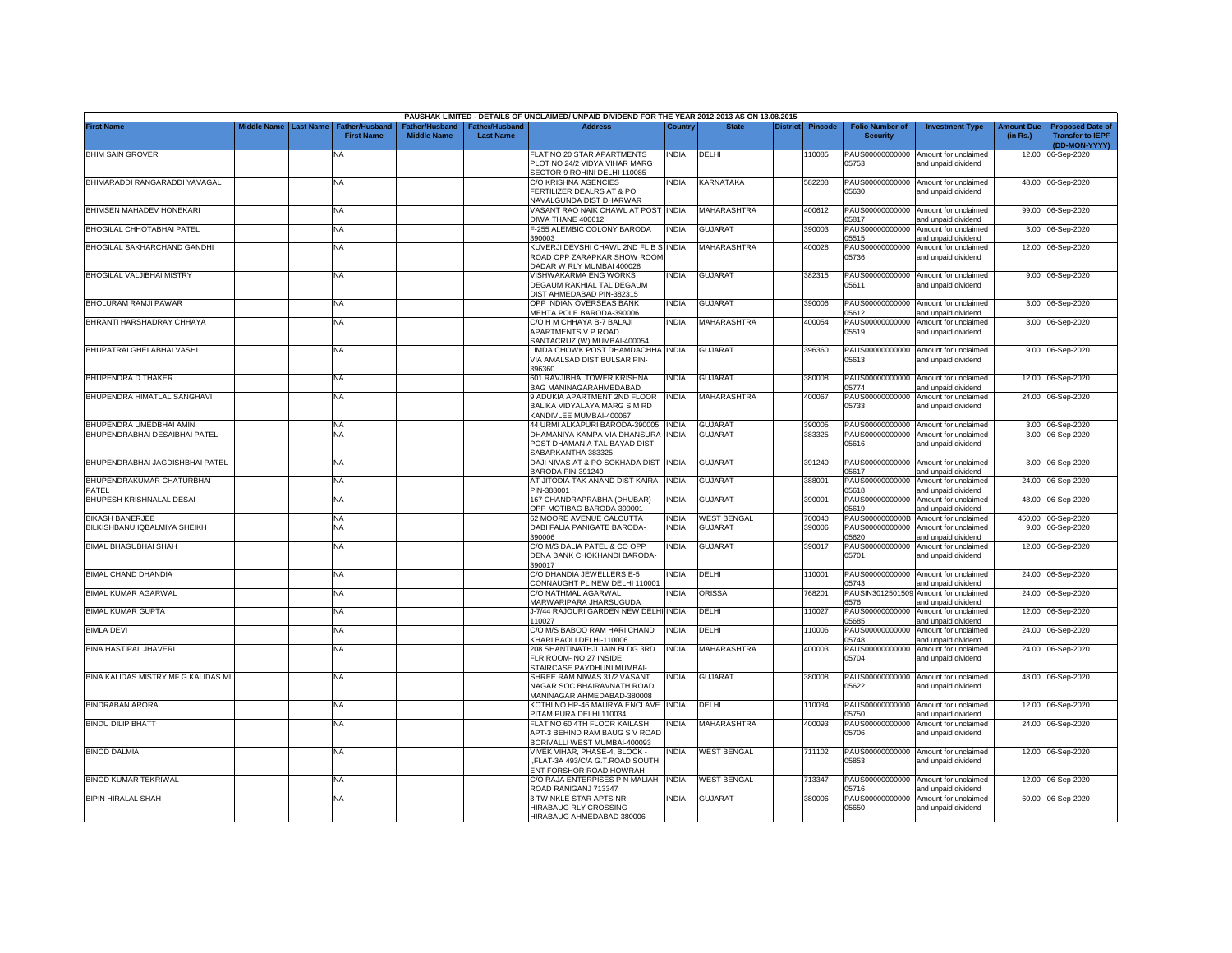|                                           |                         |                                            |                                      |                                                | PAUSHAK LIMITED - DETAILS OF UNCLAIMED/ UNPAID DIVIDEND FOR THE YEAR 2012-2013 AS ON 13.08.2015 |              |                    |          |                |                                           |                                                                    |                               |                                                                     |
|-------------------------------------------|-------------------------|--------------------------------------------|--------------------------------------|------------------------------------------------|-------------------------------------------------------------------------------------------------|--------------|--------------------|----------|----------------|-------------------------------------------|--------------------------------------------------------------------|-------------------------------|---------------------------------------------------------------------|
| First Name                                | Middle Name   Last Name | <b>Father/Husband</b><br><b>First Name</b> | Father/Husband<br><b>Middle Name</b> | ather/Husband <sup>-</sup><br><b>Last Name</b> | <b>Address</b>                                                                                  | ⊃ountr\      | <b>State</b>       | District | <b>Pincode</b> | <b>Folio Number of</b><br><b>Security</b> | <b>Investment Type</b>                                             | <b>Amount Due</b><br>(in Rs.) | <b>Proposed Date of</b><br><b>Transfer to IEPF</b><br>(DD-MON-YYYY) |
| <b>BHIM SAIN GROVER</b>                   |                         | NA                                         |                                      |                                                | FLAT NO 20 STAR APARTMENTS<br>PLOT NO 24/2 VIDYA VIHAR MARG                                     | india        | DELHI              |          | 10085          | 05753                                     | PAUS00000000000 Amount for unclaimed<br>and unpaid dividend        |                               | 12.00 06-Sep-2020                                                   |
| BHIMARADDI RANGARADDI YAVAGAL             |                         | NA                                         |                                      |                                                | SECTOR-9 ROHINI DELHI 110085<br>C/O KRISHNA AGENCIES<br>FERTILIZER DEALRS AT & PO               | INDIA        | KARNATAKA          |          | 582208         | PAUS00000000000<br>05630                  | Amount for unclaimed<br>and unpaid dividend                        |                               | 48.00 06-Sep-2020                                                   |
| BHIMSEN MAHADEV HONEKARI                  |                         | NA                                         |                                      |                                                | NAVALGUNDA DIST DHARWAR<br>VASANT RAO NAIK CHAWL AT POST INDIA<br><b>DIWA THANE 400612</b>      |              | <b>MAHARASHTRA</b> |          | 400612         | PAUS00000000000<br>05817                  | Amount for unclaimed<br>and unpaid dividend                        |                               | 99.00 06-Sep-2020                                                   |
| BHOGILAL CHHOTABHAI PATEL                 |                         | NA                                         |                                      |                                                | -255 ALEMBIC COLONY BARODA<br>390003                                                            | INDIA        | GUJARAT            |          | 390003         | PAUS00000000000<br>05515                  | Amount for unclaimed<br>and unpaid dividend                        |                               | 3.00 06-Sep-2020                                                    |
| BHOGILAL SAKHARCHAND GANDHI               |                         | ΝA                                         |                                      |                                                | KUVERJI DEVSHI CHAWL 2ND FL B S INDIA<br>ROAD OPP ZARAPKAR SHOW ROOM                            |              | <b>MAHARASHTRA</b> |          | 400028         | PAUS00000000000<br>05736                  | Amount for unclaimed<br>and unpaid dividend                        |                               | 12.00 06-Sep-2020                                                   |
| BHOGILAL VALJIBHAI MISTRY                 |                         | NA                                         |                                      |                                                | DADAR W RLY MUMBAI 400028<br>VISHWAKARMA ENG WORKS<br>DEGAUM RAKHIAL TAL DEGAUM                 | INDIA        | GUJARAT            |          | 382315         | 05611                                     | PAUS00000000000 Amount for unclaimed<br>and unpaid dividend        |                               | 9.00 06-Sep-2020                                                    |
| BHOLURAM RAMJI PAWAR                      |                         | NA                                         |                                      |                                                | DIST AHMEDABAD PIN-382315<br>OPP INDIAN OVERSEAS BANK<br>MEHTA POLE BARODA-390006               | <b>INDIA</b> | <b>GUJARAT</b>     |          | 390006         | 05612                                     | PAUS00000000000 Amount for unclaimed                               |                               | 3.00 06-Sep-2020                                                    |
| BHRANTI HARSHADRAY CHHAYA                 |                         | NA                                         |                                      |                                                | C/O H M CHHAYA B-7 BALAJI<br><b>APARTMENTS V P ROAD</b><br>SANTACRUZ (W) MUMBAI-400054          | INDIA        | <b>MAHARASHTRA</b> |          | 400054         | PAUS00000000000<br>05519                  | and unpaid dividend<br>Amount for unclaimed<br>and unpaid dividend |                               | 3.00 06-Sep-2020                                                    |
| BHUPATRAI GHELABHAI VASHI                 |                         | ΝA                                         |                                      |                                                | IMDA CHOWK POST DHAMDACHHA<br>VIA AMALSAD DIST BULSAR PIN-<br>396360                            | <b>INDIA</b> | GUJARAT            |          | 396360         | 05613                                     | PAUS00000000000 Amount for unclaimed<br>and unpaid dividend        |                               | 9.00 06-Sep-2020                                                    |
| <b>BHUPENDRA D THAKER</b>                 |                         | NA                                         |                                      |                                                | 601 RAVJIBHAI TOWER KRISHNA<br><b>3AG MANINAGARAHMEDABAD</b>                                    | <b>INDIA</b> | <b>GUJARAT</b>     |          | 380008         | 05774                                     | PAUS00000000000 Amount for unclaimed<br>and unpaid dividend        |                               | 12.00 06-Sep-2020                                                   |
| BHUPENDRA HIMATLAL SANGHAVI               |                         | NA                                         |                                      |                                                | 9 ADUKIA APARTMENT 2ND FLOOR<br>BALIKA VIDYALAYA MARG S M RD<br><b>KANDIVLEE MUMBAI-400067</b>  | <b>INDIA</b> | MAHARASHTRA        |          | 400067         | PAUS00000000000<br>05733                  | Amount for unclaimed<br>and unpaid dividend                        |                               | 24.00 06-Sep-2020                                                   |
| BHUPENDRA UMEDBHAI AMIN                   |                         | <b>NA</b>                                  |                                      |                                                | 44 URMI ALKAPURI BARODA-390005 INDIA                                                            |              | <b>GUJARAT</b>     |          | 390005         |                                           | PAUS00000000000 Amount for unclaimed                               |                               | 3.00 06-Sep-2020                                                    |
| 3HUPENDRABHAI DESAIBHAI PATEL             |                         | <b>NA</b>                                  |                                      |                                                | DHAMANIYA KAMPA VIA DHANSURA                                                                    | india        | GUJARA1            |          | 383325         | PAUS00000000000                           | Amount for unclaimed                                               |                               | 3.00 06-Sep-2020                                                    |
|                                           |                         |                                            |                                      |                                                | POST DHAMANIA TAL BAYAD DIST<br>SABARKANTHA 383325                                              |              |                    |          |                | 05616                                     | and unpaid dividend                                                |                               |                                                                     |
| BHUPENDRABHAI JAGDISHBHAI PATEL           |                         | NA                                         |                                      |                                                | DAJI NIVAS AT & PO SOKHADA DIST INDIA<br>BARODA PIN-391240                                      |              | <b>GUJARAT</b>     |          | 391240         | 05617                                     | PAUS00000000000 Amount for unclaimed<br>and unpaid dividend        |                               | 3.00 06-Sep-2020                                                    |
| BHUPENDRAKUMAR CHATURBHAI<br><b>PATEL</b> |                         | NA                                         |                                      |                                                | AT JITODIA TAK ANAND DIST KAIRA INDIA<br>PIN-388001                                             |              | <b>GUJARAT</b>     |          | 388001         | PAUS00000000000<br>05618                  | Amount for unclaimed<br>and unpaid dividend                        |                               | 24.00 06-Sep-2020                                                   |
| BHUPESH KRISHNALAL DESAI                  |                         | <b>NA</b>                                  |                                      |                                                | 167 CHANDRAPRABHA (DHUBAR)<br>OPP MOTIBAG BARODA-390001                                         | <b>INDIA</b> | <b>GUJARAT</b>     |          | 390001         | PAUS00000000000<br>05619                  | Amount for unclaimed<br>and unpaid dividend                        |                               | 48.00 06-Sep-2020                                                   |
| <b>BIKASH BANERJEE</b>                    |                         | <b>NA</b>                                  |                                      |                                                | 62 MOORE AVENUE CALCUTTA                                                                        | <b>INDIA</b> | <b>WEST BENGAL</b> |          | 700040         | PAUS0000000000B                           | Amount for unclaimed                                               | 450.00                        | 06-Sep-2020                                                         |
| <b>BILKISHBANU IQBALMIYA SHEIKH</b>       |                         | NA                                         |                                      |                                                | DABI FALIA PANIGATE BARODA-<br>390006                                                           | <b>INDIA</b> | <b>GUJARAT</b>     |          | 390006         | PAUS00000000000<br>05620                  | Amount for unclaimed<br>and unpaid dividend                        | 9.00                          | 06-Sep-2020                                                         |
| <b>BIMAL BHAGUBHAI SHAH</b>               |                         | NA                                         |                                      |                                                | C/O M/S DALIA PATEL & CO OPP<br>DENA BANK CHOKHANDI BARODA-<br>390017                           | India        | GUJARAT            |          | 390017         | PAUS00000000000<br>05701                  | Amount for unclaimed<br>and unpaid dividend                        | 12.00                         | 06-Sep-2020                                                         |
| <b>BIMAL CHAND DHANDIA</b>                |                         | NA                                         |                                      |                                                | C/O DHANDIA JEWELLERS E-5<br>CONNAUGHT PL NEW DELHI 110001                                      | INDIA        | DELHI              |          | 110001         | 05743                                     | PAUS00000000000 Amount for unclaimed<br>and unpaid dividend        |                               | 24.00 06-Sep-2020                                                   |
| <b>BIMAL KUMAR AGARWAL</b>                |                         | NA                                         |                                      |                                                | C/O NATHMAL AGARWAL<br>MARWARIPARA JHARSUGUDA                                                   | INDIA        | ORISSA             |          | 768201         | PAUSIN3012501509<br>6576                  | Amount for unclaimed<br>and unpaid dividend                        | 24.00                         | 06-Sep-2020                                                         |
| <b>BIMAL KUMAR GUPTA</b>                  |                         | NA                                         |                                      |                                                | J-7/44 RAJOURI GARDEN NEW DELHI-INDIA<br>110027                                                 |              | DELHI              |          | 110027         | PAUS00000000000<br>05685                  | Amount for unclaimed<br>and unpaid dividend                        | 12.00                         | 06-Sep-2020                                                         |
| <b>BIMLA DEVI</b>                         |                         | NA                                         |                                      |                                                | C/O M/S BABOO RAM HARI CHAND<br>KHARI BAOLI DELHI-110006                                        | INDIA        | DELHI              |          | 110006         | PAUS00000000000<br>05748                  | Amount for unclaimed<br>and unpaid dividend                        | 24.00                         | 06-Sep-2020                                                         |
| <b>BINA HASTIPAL JHAVERI</b>              |                         | NA                                         |                                      |                                                | 208 SHANTINATHJI JAIN BLDG 3RD<br>FLR ROOM- NO 27 INSIDE<br>STAIRCASE PAYDHUNI MUMBAI-          | INDIA        | MAHARASHTRA        |          | 400003         | PAUS00000000000<br>05704                  | Amount for unclaimed<br>and unpaid dividend                        |                               | 24.00 06-Sep-2020                                                   |
| BINA KALIDAS MISTRY MF G KALIDAS MI       |                         | NA                                         |                                      |                                                | SHREE RAM NIWAS 31/2 VASANT<br>NAGAR SOC BHAIRAVNATH ROAD<br>MANINAGAR AHMEDABAD-380008         | India        | <b>GUJARAT</b>     |          | 380008         | 05622                                     | PAUS00000000000 Amount for unclaimed<br>and unpaid dividend        |                               | 48.00 06-Sep-2020                                                   |
| <b>BINDRABAN ARORA</b>                    |                         | ΝA                                         |                                      |                                                | KOTHI NO HP-46 MAURYA ENCLAVE INDIA<br>PITAM PURA DELHI 110034                                  |              | DELHI              |          | 110034         | 05750                                     | PAUS00000000000 Amount for unclaimed<br>and unpaid dividend        |                               | 12.00 06-Sep-2020                                                   |
| <b>BINDU DILIP BHATT</b>                  |                         | NA                                         |                                      |                                                | FLAT NO 60 4TH FLOOR KAILASH<br>APT-3 BEHIND RAM BAUG S V ROAD<br>BORIVALLI WEST MUMBAI-400093  | NDIA         | <b>MAHARASHTRA</b> |          | 400093         | 05706                                     | PAUS00000000000 Amount for unclaimed<br>and unpaid dividend        |                               | 24.00 06-Sep-2020                                                   |
| <b>BINOD DALMIA</b>                       |                         | NA                                         |                                      |                                                | VIVEK VIHAR, PHASE-4, BLOCK -<br>I,FLAT-3A 493/C/A G.T.ROAD SOUTH<br>ENT FORSHOR ROAD HOWRAH    | INDIA        | <b>WEST BENGAL</b> |          | 711102         | 05853                                     | PAUS00000000000 Amount for unclaimed<br>and unpaid dividend        |                               | 12.00 06-Sep-2020                                                   |
| BINOD KUMAR TEKRIWAL                      |                         | NA                                         |                                      |                                                | C/O RAJA ENTERPISES P N MALIAH INDIA<br>ROAD RANIGANJ 713347                                    |              | <b>WEST BENGAL</b> |          | 713347         | 05716                                     | PAUS00000000000 Amount for unclaimed<br>and unpaid dividend        |                               | 12.00 06-Sep-2020                                                   |
| <b>BIPIN HIRALAL SHAH</b>                 |                         | <b>NA</b>                                  |                                      |                                                | 3 TWINKLE STAR APTS NR<br><b>HIRABAUG RLY CROSSING</b><br>HIRABAUG AHMEDABAD 380006             | <b>INDIA</b> | <b>GUJARAT</b>     |          | 380006         | 05650                                     | PAUS00000000000 Amount for unclaimed<br>and unpaid dividend        |                               | 60.00 06-Sep-2020                                                   |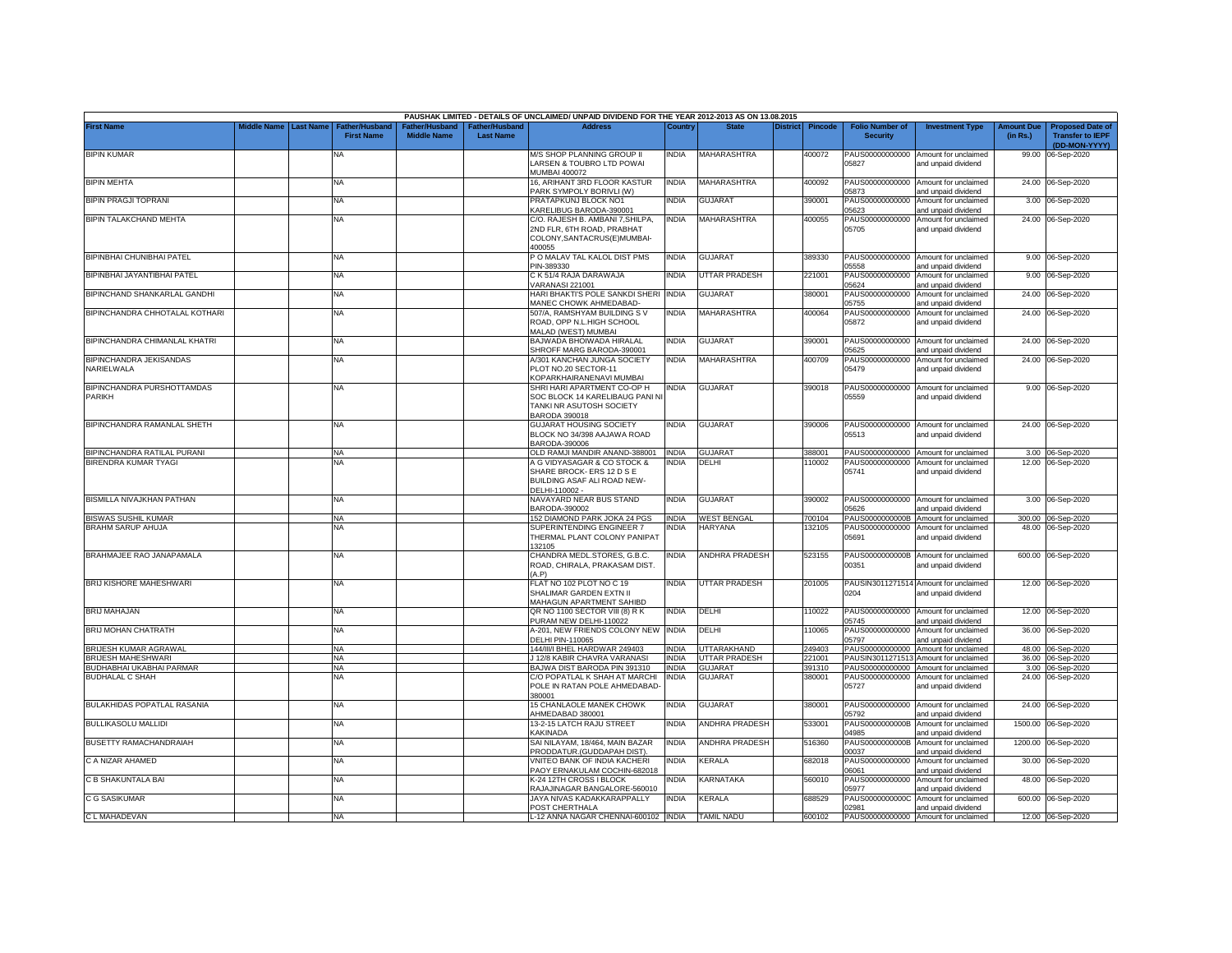|                                             |             |                  |                                            |                                      |                                    | PAUSHAK LIMITED - DETAILS OF UNCLAIMED/ UNPAID DIVIDEND FOR THE YEAR 2012-2013 AS ON 13.08.2015                    |              |                       |                 |                |                                           |                                                              |                               |                                                                     |
|---------------------------------------------|-------------|------------------|--------------------------------------------|--------------------------------------|------------------------------------|--------------------------------------------------------------------------------------------------------------------|--------------|-----------------------|-----------------|----------------|-------------------------------------------|--------------------------------------------------------------|-------------------------------|---------------------------------------------------------------------|
| <b>First Name</b>                           | Middle Name | <b>Last Name</b> | <b>Father/Husband</b><br><b>First Name</b> | Father/Husband<br><b>Middle Name</b> | Father/Husband<br><b>Last Name</b> | <b>Address</b>                                                                                                     | Country      | <b>State</b>          | <b>District</b> | <b>Pincode</b> | <b>Folio Number of</b><br><b>Security</b> | <b>Investment Type</b>                                       | <b>Amount Due</b><br>(in Rs.) | <b>Proposed Date of</b><br><b>Transfer to IEPF</b><br>(DD-MON-YYYY) |
| <b>BIPIN KUMAR</b>                          |             |                  | ΝA                                         |                                      |                                    | M/S SHOP PLANNING GROUP II<br>LARSEN & TOUBRO LTD POWAI                                                            | INDIA        | <b>MAHARASHTRA</b>    |                 | 400072         | 05827                                     | PAUS00000000000 Amount for unclaimed<br>and unpaid dividend  |                               | 99.00 06-Sep-2020                                                   |
| <b>BIPIN MEHTA</b>                          |             |                  | NA                                         |                                      |                                    | MUMBAI 400072<br>16, ARIHANT 3RD FLOOR KASTUR                                                                      | <b>INDIA</b> | <b>MAHARASHTRA</b>    |                 | 400092         |                                           | PAUS00000000000 Amount for unclaimed                         |                               | 24.00 06-Sep-2020                                                   |
| BIPIN PRAGJI TOPRANI                        |             |                  | NA                                         |                                      |                                    | PARK SYMPOLY BORIVLI (W)<br>PRATAPKUNJ BLOCK NO1                                                                   | NDIA         | GUJARAT               |                 | 390001         | 05873<br>PAUS00000000000                  | and unpaid dividend<br>Amount for unclaimed                  |                               | 3.00 06-Sep-2020                                                    |
| BIPIN TALAKCHAND MEHTA                      |             |                  | NA                                         |                                      |                                    | KARELIBUG BARODA-390001<br>C/O. RAJESH B. AMBANI 7, SHILPA,                                                        | <b>INDIA</b> | MAHARASHTRA           |                 | 400055         | 5623<br>PAUS00000000000                   | and unpaid dividend<br>Amount for unclaimed                  |                               | 24.00 06-Sep-2020                                                   |
|                                             |             |                  |                                            |                                      |                                    | 2ND FLR. 6TH ROAD, PRABHAT<br>COLONY, SANTACRUS(E) MUMBAI-<br>100055                                               |              |                       |                 |                | 05705                                     | and unpaid dividend                                          |                               |                                                                     |
| BIPINBHAI CHUNIBHAI PATEL                   |             |                  | <b>NA</b>                                  |                                      |                                    | PO MALAV TAL KALOL DIST PMS<br>PIN-389330                                                                          | <b>INDIA</b> | <b>GUJARAT</b>        |                 | 389330         | 5558                                      | PAUS00000000000 Amount for unclaimed<br>and unpaid dividend  |                               | 9.00 06-Sep-2020                                                    |
| BIPINBHAI JAYANTIBHAI PATEL                 |             |                  | NA                                         |                                      |                                    | C K 51/4 RAJA DARAWAJA<br>VARANASI 221001                                                                          | <b>INDIA</b> | UTTAR PRADESH         |                 | 221001         | 05624                                     | PAUS00000000000 Amount for unclaimed<br>and unpaid dividend  |                               | 9.00 06-Sep-2020                                                    |
| BIPINCHAND SHANKARLAL GANDHI                |             |                  | NA                                         |                                      |                                    | HARI BHAKTI'S POLE SANKDI SHERI INDIA<br>MANEC CHOWK AHMEDABAD-                                                    |              | GUJARAT               |                 | 380001         | PAUS00000000000<br>05755                  | Amount for unclaimed<br>and unpaid dividend                  |                               | 24.00 06-Sep-2020                                                   |
| BIPINCHANDRA CHHOTALAL KOTHARI              |             |                  | NA                                         |                                      |                                    | 507/A, RAMSHYAM BUILDING SV<br>ROAD, OPP N.L.HIGH SCHOOL<br><b>MALAD (WEST) MUMBAI</b>                             | <b>INDIA</b> | MAHARASHTRA           |                 | 400064         | PAUS00000000000<br>05872                  | Amount for unclaimed<br>and unpaid dividend                  |                               | 24.00 06-Sep-2020                                                   |
| BIPINCHANDRA CHIMANLAL KHATRI               |             |                  | ΝA                                         |                                      |                                    | BAJWADA BHOIWADA HIRALAL<br>SHROFF MARG BARODA-390001                                                              | NDIA         | GUJARAT               |                 | 390001         | PAUS00000000000                           | Amount for unclaimed                                         | 24.00                         | 06-Sep-2020                                                         |
| BIPINCHANDRA JEKISANDAS                     |             |                  | NA                                         |                                      |                                    | <b>V301 KANCHAN JUNGA SOCIETY</b>                                                                                  | <b>INDIA</b> | <b>MAHARASHTRA</b>    |                 | 400709         | 5625<br>PAUS00000000000                   | and unpaid dividend<br>Amount for unclaimed                  |                               | 24.00 06-Sep-2020                                                   |
| NARIELWALA                                  |             |                  |                                            |                                      |                                    | PLOT NO.20 SECTOR-11<br><b>KOPARKHAIRANENAVI MUMBAI</b>                                                            |              |                       |                 |                | 05479                                     | and unpaid dividend                                          |                               |                                                                     |
| BIPINCHANDRA PURSHOTTAMDAS<br><b>PARIKH</b> |             |                  | <b>NA</b>                                  |                                      |                                    | SHRI HARI APARTMENT CO-OP H<br>SOC BLOCK 14 KARELIBAUG PANI NI<br>TANKI NR ASUTOSH SOCIETY<br><b>BARODA 390018</b> | INDIA        | <b>GUJARAT</b>        |                 | 390018         | 05559                                     | PAUS00000000000 Amount for unclaimed<br>and unpaid dividend  |                               | 9.00 06-Sep-2020                                                    |
| BIPINCHANDRA RAMANLAL SHETH                 |             |                  | NA                                         |                                      |                                    | <b>GUJARAT HOUSING SOCIETY</b><br>BLOCK NO 34/398 AAJAWA ROAD<br>BARODA-390006                                     | INDIA        | <b>GUJARAT</b>        |                 | 390006         | 05513                                     | PAUS00000000000 Amount for unclaimed<br>and unpaid dividend  |                               | 24.00 06-Sep-2020                                                   |
| BIPINCHANDRA RATILAL PURANI                 |             |                  | <b>NA</b>                                  |                                      |                                    | OLD RAMJI MANDIR ANAND-388001  INDIA                                                                               |              | <b>GUJARAT</b>        |                 | 388001         |                                           | PAUS00000000000 Amount for unclaimed                         |                               | 3.00 06-Sep-2020                                                    |
| BIRENDRA KUMAR TYAGI                        |             |                  | <b>NA</b>                                  |                                      |                                    | A G VIDYASAGAR & CO STOCK &<br>SHARE BROCK- ERS 12 D S E<br>BUILDING ASAF ALI ROAD NEW-<br>DELHI-110002 -          | <b>INDIA</b> | DELHI                 |                 | 110002         | PAUS00000000000<br>05741                  | Amount for unclaimed<br>and unpaid dividend                  |                               | 12.00 06-Sep-2020                                                   |
| BISMILLA NIVAJKHAN PATHAN                   |             |                  | NA                                         |                                      |                                    | NAVAYARD NEAR BUS STAND<br>BARODA-390002                                                                           | <b>INDIA</b> | GUJARAT               |                 | 390002         | PAUS00000000000<br>05626                  | Amount for unclaimed<br>and unpaid dividend                  |                               | 3.00 06-Sep-2020                                                    |
| <b>BISWAS SUSHIL KUMAR</b>                  |             |                  | <b>NA</b>                                  |                                      |                                    | 152 DIAMOND PARK JOKA 24 PGS                                                                                       | <b>INDIA</b> | <b>WEST BENGAL</b>    |                 | 700104         | PAUS0000000000B                           | Amount for unclaimed                                         | 300.00                        | 06-Sep-2020                                                         |
| <b>BRAHM SARUP AHUJA</b>                    |             |                  | <b>NA</b>                                  |                                      |                                    | SUPERINTENDING ENGINEER 7<br>THERMAL PLANT COLONY PANIPAT<br>132105                                                | <b>INDIA</b> | <b>HARYANA</b>        |                 | 132105         | 05691                                     | PAUS00000000000 Amount for unclaimed<br>and unpaid dividend  |                               | 48.00 06-Sep-2020                                                   |
| BRAHMAJEE RAO JANAPAMALA                    |             |                  | NA                                         |                                      |                                    | CHANDRA MEDL.STORES, G.B.C.<br>ROAD, CHIRALA, PRAKASAM DIST<br>(A.P)                                               | India        | <b>ANDHRA PRADESH</b> |                 | 523155         | 00351                                     | PAUS0000000000B Amount for unclaimed<br>and unpaid dividend  |                               | 600.00 06-Sep-2020                                                  |
| BRIJ KISHORE MAHESHWARI                     |             |                  | NA                                         |                                      |                                    | FLAT NO 102 PLOT NO C 19<br>SHALIMAR GARDEN EXTN II<br><b>MAHAGUN APARTMENT SAHIBD</b>                             | <b>INDIA</b> | UTTAR PRADESH         |                 | 201005         | 0204                                      | PAUSIN3011271514 Amount for unclaimed<br>and unpaid dividend |                               | 12.00 06-Sep-2020                                                   |
| <b>BRIJ MAHAJAN</b>                         |             |                  | NA.                                        |                                      |                                    | QR NO 1100 SECTOR VIII (8) R K<br>PURAM NEW DELHI-110022                                                           | India        | DELHI                 |                 | 10022          | 05745                                     | PAUS00000000000 Amount for unclaimed<br>and unpaid dividend  |                               | 12.00 06-Sep-2020                                                   |
| BRIJ MOHAN CHATRATH                         |             |                  | ΝA                                         |                                      |                                    | 4-201, NEW FRIENDS COLONY NEW INDIA<br>DELHI PIN-110065                                                            |              | DELHI                 |                 | 110065         | 05797                                     | PAUS00000000000 Amount for unclaimed<br>and unpaid dividend  |                               | 36.00 06-Sep-2020                                                   |
| BRIJESH KUMAR AGRAWAL                       |             |                  | <b>NA</b>                                  |                                      |                                    | 144/III/I BHEL HARDWAR 249403                                                                                      | <b>INDIA</b> | UTTARAKHAND           |                 | 249403         |                                           | PAUS00000000000 Amount for unclaimed                         |                               | 48.00 06-Sep-2020                                                   |
| <b>BRIJESH MAHESHWARI</b>                   |             |                  | <b>NA</b>                                  |                                      |                                    | J 12/8 KABIR CHAVRA VARANASI                                                                                       | <b>INDIA</b> | UTTAR PRADESH         |                 | 21001          |                                           | PAUSIN3011271513 Amount for unclaimed                        |                               | 36.00 06-Sep-2020                                                   |
| BUDHABHAI UKABHAI PARMAR                    |             |                  | <b>NA</b>                                  |                                      |                                    | BAJWA DIST BARODA PIN 391310                                                                                       | <b>INDIA</b> | <b>GUJARAT</b>        |                 | 391310         |                                           | PAUS00000000000 Amount for unclaimed                         |                               | 3.00 06-Sep-2020                                                    |
| <b>BUDHALAL C SHAH</b>                      |             |                  | <b>NA</b>                                  |                                      |                                    | C/O POPATLAL K SHAH AT MARCHI<br>POLE IN RATAN POLE AHMEDABAD-<br>380001                                           | INDIA        | <b>GUJARAT</b>        |                 | 380001         | 05727                                     | PAUS00000000000 Amount for unclaimed<br>and unpaid dividend  |                               | 24.00 06-Sep-2020                                                   |
| <b>BULAKHIDAS POPATLAL RASANIA</b>          |             |                  | NA                                         |                                      |                                    | 15 CHANLAOLE MANEK CHOWK<br>AHMEDABAD 380001                                                                       | <b>INDIA</b> | <b>GUJARAT</b>        |                 | 380001         | 05792                                     | PAUS00000000000 Amount for unclaimed<br>and unpaid dividend  |                               | 24.00 06-Sep-2020                                                   |
| <b>BULLIKASOLU MALLIDI</b>                  |             |                  | NA                                         |                                      |                                    | 13-2-15 LATCH RAJU STREET<br><b>KAKINADA</b>                                                                       | <b>INDIA</b> | <b>ANDHRA PRADESH</b> |                 | 533001         | 14985                                     | PAUS0000000000B Amount for unclaimed<br>and unpaid dividend  |                               | 1500.00 06-Sep-2020                                                 |
| <b>BUSETTY RAMACHANDRAIAH</b>               |             |                  | NA                                         |                                      |                                    | SAI NILAYAM, 18/464, MAIN BAZAR<br>PRODDATUR.(GUDDAPAH DIST)                                                       | <b>INDIA</b> | <b>ANDHRA PRADESH</b> |                 | 516360         | PAUS0000000000B<br>00037                  | Amount for unclaimed<br>and unpaid dividend                  | 1200.00                       | 06-Sep-2020                                                         |
| C A NIZAR AHAMED                            |             |                  | NA                                         |                                      |                                    | VNITEO BANK OF INDIA KACHERI<br>PAOY ERNAKULAM COCHIN-682018                                                       | India        | KERALA                |                 | 682018         | PAUS00000000000<br>06061                  | Amount for unclaimed<br>and unpaid dividend                  |                               | 30.00 06-Sep-2020                                                   |
| C B SHAKUNTALA BAI                          |             |                  | <b>NA</b>                                  |                                      |                                    | K-24 12TH CROSS I BLOCK<br>RAJAJINAGAR BANGALORE-560010                                                            | <b>NDIA</b>  | KARNATAKA             |                 | 560010         | 5977                                      | PAUS00000000000 Amount for unclaimed<br>and unpaid dividend  |                               | 48.00 06-Sep-2020                                                   |
| C G SASIKUMAR                               |             |                  | NA                                         |                                      |                                    | JAYA NIVAS KADAKKARAPPALLY<br>POST CHERTHALA                                                                       | INDIA        | KERALA                |                 | 688529         | PAUS0000000000C<br>02981                  | Amount for unclaimed<br>and unpaid dividend                  |                               | 600.00 06-Sep-2020                                                  |
| C L MAHADEVAN                               |             |                  | <b>NA</b>                                  |                                      |                                    | L-12 ANNA NAGAR CHENNAI-600102 INDIA TAMIL NADU                                                                    |              |                       |                 | 600102         |                                           | PAUS00000000000 Amount for unclaimed                         |                               | 12.00 06-Sep-2020                                                   |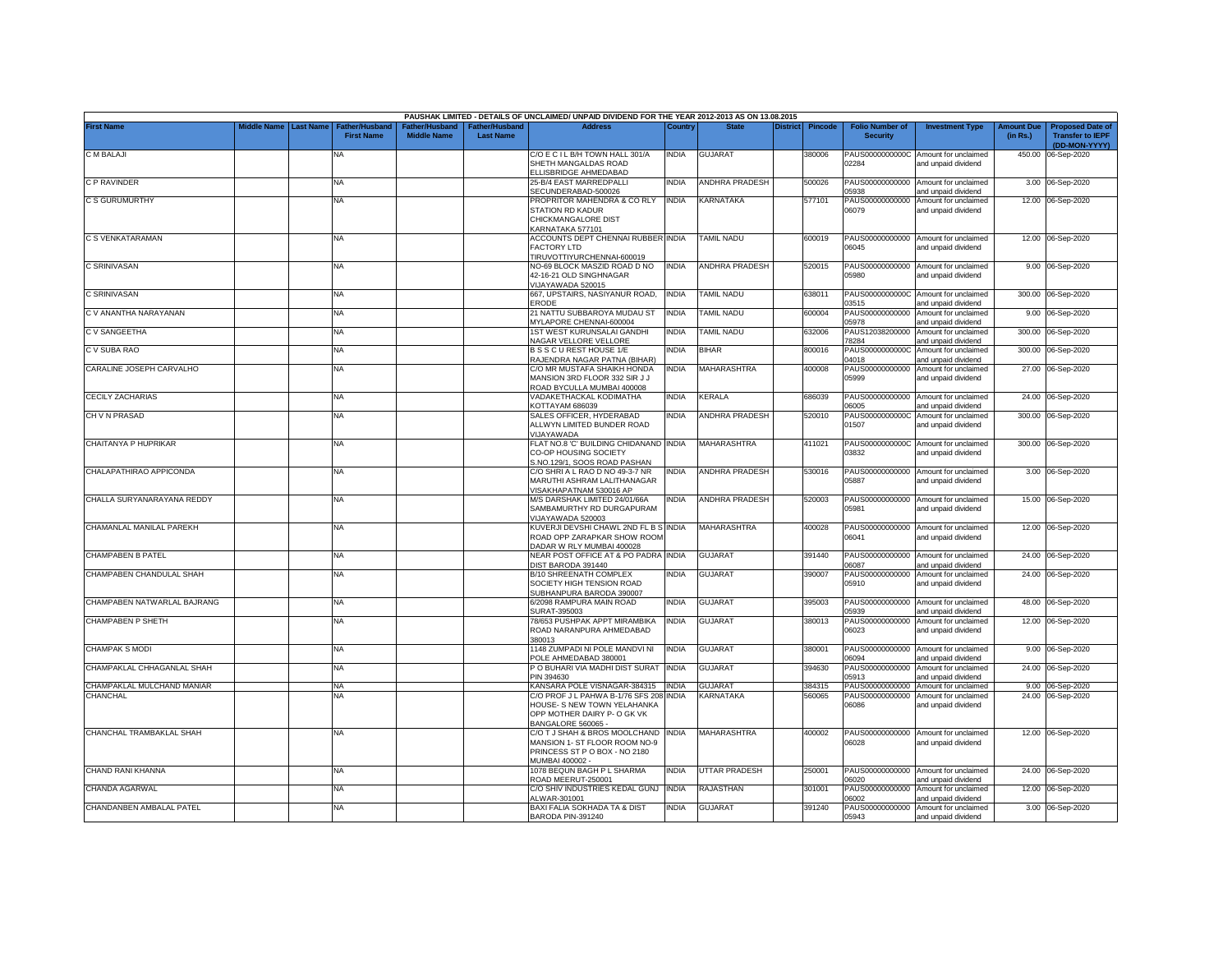|                             |             |                  |                                     |                                      |                                           | PAUSHAK LIMITED - DETAILS OF UNCLAIMED/ UNPAID DIVIDEND FOR THE YEAR 2012-2013 AS ON 13.08.2015                          |              |                       |                 |                |                                           |                                                                    |                               |                                                                     |
|-----------------------------|-------------|------------------|-------------------------------------|--------------------------------------|-------------------------------------------|--------------------------------------------------------------------------------------------------------------------------|--------------|-----------------------|-----------------|----------------|-------------------------------------------|--------------------------------------------------------------------|-------------------------------|---------------------------------------------------------------------|
| <b>First Name</b>           | liddle Name | <b>Last Name</b> | Father/Husband<br><b>First Name</b> | Father/Husband<br><b>Middle Name</b> | <b>Father/Husband</b><br><b>Last Name</b> | <b>Address</b>                                                                                                           | Country      | <b>State</b>          | <b>District</b> | <b>Pincode</b> | <b>Folio Number of</b><br><b>Security</b> | <b>Investment Type</b>                                             | <b>Amount Due</b><br>(in Rs.) | <b>Proposed Date of</b><br><b>Transfer to IEPF</b><br>(DD-MON-YYYY) |
| C M BALAJI                  |             |                  | ΝA                                  |                                      |                                           | C/O E C I L B/H TOWN HALL 301/A<br>SHETH MANGALDAS ROAD<br>ELLISBRIDGE AHMEDABAD                                         | INDIA        | <b>GUJARAT</b>        |                 | 380006         | PAUS0000000000C<br>02284                  | Amount for unclaimed<br>and unpaid dividend                        |                               | 450.00 06-Sep-2020                                                  |
| C P RAVINDER                |             |                  | <b>NA</b>                           |                                      |                                           | 25-B/4 EAST MARREDPALLI<br>SECUNDERABAD-500026                                                                           | India        | ANDHRA PRADESH        |                 | 500026         | 05938                                     | PAUS00000000000 Amount for unclaimed<br>and unpaid dividend        |                               | 3.00 06-Sep-2020                                                    |
| C S GURUMURTHY              |             |                  | <b>NA</b>                           |                                      |                                           | PROPRITOR MAHENDRA & CO RLY<br>STATION RD KADUR<br>CHICKMANGALORE DIST<br>KARNATAKA 577101                               | <b>INDIA</b> | KARNATAKA             |                 | 577101         | PAUS00000000000<br>06079                  | Amount for unclaimed<br>and unpaid dividend                        |                               | 12.00 06-Sep-2020                                                   |
| C S VENKATARAMAN            |             |                  | <b>NA</b>                           |                                      |                                           | ACCOUNTS DEPT CHENNAI RUBBER INDIA<br><b>FACTORY LTD</b><br>TIRUVOTTIYURCHENNAI-600019                                   |              | <b>TAMIL NADU</b>     |                 | 600019         | PAUS00000000000<br>06045                  | Amount for unclaimed<br>and unpaid dividend                        |                               | 12.00 06-Sep-2020                                                   |
| C SRINIVASAN                |             |                  | <b>NA</b>                           |                                      |                                           | NO-69 BLOCK MASZID ROAD D NO<br>42-16-21 OLD SINGHNAGAR<br>/IJAYAWADA 520015                                             | INDIA        | <b>ANDHRA PRADESH</b> |                 | 520015         | PAUS00000000000<br>05980                  | Amount for unclaimed<br>and unpaid dividend                        |                               | 9.00 06-Sep-2020                                                    |
| C SRINIVASAN                |             |                  | <b>NA</b>                           |                                      |                                           | 667, UPSTAIRS, NASIYANUR ROAD,<br>ERODE                                                                                  | <b>INDIA</b> | <b>TAMIL NADU</b>     |                 | 638011         | PAUS0000000000C<br>03515                  | Amount for unclaimed<br>and unpaid dividend                        |                               | 300.00 06-Sep-2020                                                  |
| C V ANANTHA NARAYANAN       |             |                  | <b>NA</b>                           |                                      |                                           | 21 NATTU SUBBAROYA MUDAU ST<br>MYLAPORE CHENNAI-600004                                                                   | <b>INDIA</b> | <b>TAMIL NADU</b>     |                 | 600004         | PAUS00000000000<br>05978                  | Amount for unclaimed<br>and unpaid dividend                        |                               | 9.00 06-Sep-2020                                                    |
| C V SANGEETHA               |             |                  | ΝA                                  |                                      |                                           | <b>1ST WEST KURUNSALAI GANDHI</b><br>VAGAR VELLORE VELLORE                                                               | INDIA        | TAMIL NADU            |                 | 632006         | PAUS12038200000<br>78284                  | Amount for unclaimed<br>and unpaid dividend                        |                               | 300.00 06-Sep-2020                                                  |
| C V SUBA RAO                |             |                  | <b>NA</b>                           |                                      |                                           | BSSCUREST HOUSE 1/E<br>RAJENDRA NAGAR PATNA (BIHAR)                                                                      | NDIA         | BIHAR                 |                 | 800016         | PAUS0000000000C<br>04018                  | Amount for unclaimed<br>and unpaid dividend                        | 300.00                        | 06-Sep-2020                                                         |
| CARALINE JOSEPH CARVALHO    |             |                  | ΝA                                  |                                      |                                           | C/O MR MUSTAFA SHAIKH HONDA<br>MANSION 3RD FLOOR 332 SIR J J<br>ROAD BYCULLA MUMBAI 400008                               | NDIA         | MAHARASHTRA           |                 | 400008         | PAUS00000000000<br>05999                  | Amount for unclaimed<br>and unpaid dividend                        |                               | 27.00 06-Sep-2020                                                   |
| <b>CECILY ZACHARIAS</b>     |             |                  | NA                                  |                                      |                                           | /ADAKETHACKAL KODIMATHA<br><b>COTTAYAM 686039</b>                                                                        | India        | KERALA                |                 | 686039         | PAUS00000000000<br>06005                  | Amount for unclaimed<br>and unpaid dividend                        | 24.00                         | 06-Sep-2020                                                         |
| CH V N PRASAD               |             |                  | ΝA                                  |                                      |                                           | SALES OFFICER, HYDERABAD<br><b>ALLWYN LIMITED BUNDER ROAD</b><br>/IJAYAWADA                                              | NDIA         | ANDHRA PRADESH        |                 | 520010         | PAUS0000000000C<br>01507                  | Amount for unclaimed<br>and unpaid dividend                        |                               | 300.00 06-Sep-2020                                                  |
| CHAITANYA P HUPRIKAR        |             |                  | <b>NA</b>                           |                                      |                                           | FLAT NO.8 'C' BUILDING CHIDANAND INDIA<br>CO-OP HOUSING SOCIETY<br>S.NO.129/1, SOOS ROAD PASHAN                          |              | MAHARASHTRA           |                 | 411021         | 03832                                     | PAUS0000000000C Amount for unclaimed<br>and unpaid dividend        |                               | 300.00 06-Sep-2020                                                  |
| CHALAPATHIRAO APPICONDA     |             |                  | <b>NA</b>                           |                                      |                                           | C/O SHRI A L RAO D NO 49-3-7 NR<br>MARUTHI ASHRAM LALITHANAGAR<br>/ISAKHAPATNAM 530016 AP                                | india        | <b>ANDHRA PRADESH</b> |                 | 530016         | 05887                                     | PAUS00000000000 Amount for unclaimed<br>and unpaid dividend        |                               | 3.00 06-Sep-2020                                                    |
| CHALLA SURYANARAYANA REDDY  |             |                  | NA                                  |                                      |                                           | M/S DARSHAK LIMITED 24/01/66A<br>SAMBAMURTHY RD DURGAPURAM<br>/IJAYAWADA 520003                                          | India        | <b>ANDHRA PRADESH</b> |                 | 520003         | PAUS00000000000<br>05981                  | Amount for unclaimed<br>and unpaid dividend                        |                               | 15.00 06-Sep-2020                                                   |
| CHAMANLAL MANILAL PAREKH    |             |                  | <b>NA</b>                           |                                      |                                           | KUVERJI DEVSHI CHAWL 2ND FL B S INDIA<br>ROAD OPP ZARAPKAR SHOW ROOM<br>DADAR W RLY MUMBAI 400028                        |              | MAHARASHTRA           |                 | 400028         | PAUS00000000000<br>06041                  | Amount for unclaimed<br>and unpaid dividend                        |                               | 12.00 06-Sep-2020                                                   |
| <b>CHAMPABEN B PATEL</b>    |             |                  | <b>NA</b>                           |                                      |                                           | NEAR POST OFFICE AT & PO PADRA INDIA<br>DIST BARODA 391440                                                               |              | <b>GUJARAT</b>        |                 | 391440         | PAUS00000000000<br>06087                  | Amount for unclaimed<br>and unpaid dividend                        | 24.00                         | 06-Sep-2020                                                         |
| CHAMPABEN CHANDULAL SHAH    |             |                  | <b>NA</b>                           |                                      |                                           | B/10 SHREENATH COMPLEX<br>SOCIETY HIGH TENSION ROAD<br>SUBHANPURA BARODA 390007                                          | INDIA        | GUJARAT               |                 | 390007         | PAUS00000000000<br>05910                  | Amount for unclaimed<br>and unpaid dividend                        | 24.00                         | 06-Sep-2020                                                         |
| CHAMPABEN NATWARLAL BAJRANG |             |                  | NA                                  |                                      |                                           | 6/2098 RAMPURA MAIN ROAD<br>SURAT-395003                                                                                 | india        | <b>GUJARAT</b>        |                 | 395003         | PAUS00000000000<br>05939                  | Amount for unclaimed<br>and unpaid dividend                        |                               | 48.00 06-Sep-2020                                                   |
| CHAMPABEN P SHETH           |             |                  | <b>NA</b>                           |                                      |                                           | 78/653 PUSHPAK APPT MIRAMBIKA<br>ROAD NARANPURA AHMEDABAD<br>380013                                                      | India        | GUJARAT               |                 | 380013         | PAUS00000000000<br>06023                  | Amount for unclaimed<br>and unpaid dividend                        | 12.00                         | 06-Sep-2020                                                         |
| <b>CHAMPAK S MODI</b>       |             |                  | NA                                  |                                      |                                           | 1148 ZUMPADI NI POLE MANDVI NI<br>OLE AHMEDABAD 380001                                                                   | India        | GUJARAT               |                 | 380001         | PAUS00000000000<br>06094                  | Amount for unclaimed<br>and unpaid dividend                        |                               | 9.00 06-Sep-2020                                                    |
| CHAMPAKLAL CHHAGANLAL SHAH  |             |                  | <b>NA</b>                           |                                      |                                           | P O BUHARI VIA MADHI DIST SURAT<br>PIN 394630                                                                            | <b>INDIA</b> | <b>GUJARAT</b>        |                 | 394630         | PAUS00000000000<br>05913                  | Amount for unclaimed<br>and unpaid dividend                        |                               | 24.00 06-Sep-2020                                                   |
| CHAMPAKLAL MULCHAND MANIAR  |             |                  | <b>NA</b>                           |                                      |                                           | KANSARA POLE VISNAGAR-384315                                                                                             | <b>INDIA</b> | GUJARAT               |                 | 384315         | PAUS00000000000                           | Amount for unclaimed                                               |                               | 9.00 06-Sep-2020                                                    |
| <b>CHANCHAL</b>             |             |                  | NA                                  |                                      |                                           | C/O PROF J L PAHWA B-1/76 SFS 208<br>HOUSE- S NEW TOWN YELAHANKA<br>OPP MOTHER DAIRY P- O GK VK<br>BANGALORE 560065      | <b>INDIA</b> | KARNATAKA             |                 | 560065         | PAUS00000000000<br>06086                  | Amount for unclaimed<br>and unpaid dividend                        |                               | 24.00 06-Sep-2020                                                   |
| CHANCHAL TRAMBAKLAL SHAH    |             |                  | <b>NA</b>                           |                                      |                                           | C/O T J SHAH & BROS MOOLCHAND INDIA<br>MANSION 1- ST FLOOR ROOM NO-9<br>PRINCESS ST P O BOX - NO 2180<br>MUMBAI 400002 - |              | MAHARASHTRA           |                 | 400002         | 06028                                     | PAUS00000000000 Amount for unclaimed<br>and unpaid dividend        |                               | 12.00 06-Sep-2020                                                   |
| CHAND RANI KHANNA           |             |                  | <b>NA</b>                           |                                      |                                           | 1078 BEQUN BAGH P L SHARMA<br>ROAD MEERUT-250001                                                                         | INDIA        | <b>UTTAR PRADESH</b>  |                 | 250001         | 06020                                     | PAUS00000000000 Amount for unclaimed<br>and unpaid dividend        |                               | 24.00 06-Sep-2020                                                   |
| CHANDA AGARWAL              |             |                  | NA                                  |                                      |                                           | C/O SHIV INDUSTRIES KEDAL GUNJ<br>ALWAR-301001                                                                           | <b>INDIA</b> | RAJASTHAN             |                 | 301001         | PAUS00000000000<br>06002                  | Amount for unclaimed                                               |                               | 12.00 06-Sep-2020                                                   |
| CHANDANBEN AMBALAL PATEL    |             |                  | NA                                  |                                      |                                           | BAXI FALIA SOKHADA TA & DIST<br>BARODA PIN-391240                                                                        | NDIA         | <b>GUJARAT</b>        |                 | 391240         | PAUS00000000000<br>05943                  | and unpaid dividend<br>Amount for unclaimed<br>and unpaid dividend |                               | 3.00 06-Sep-2020                                                    |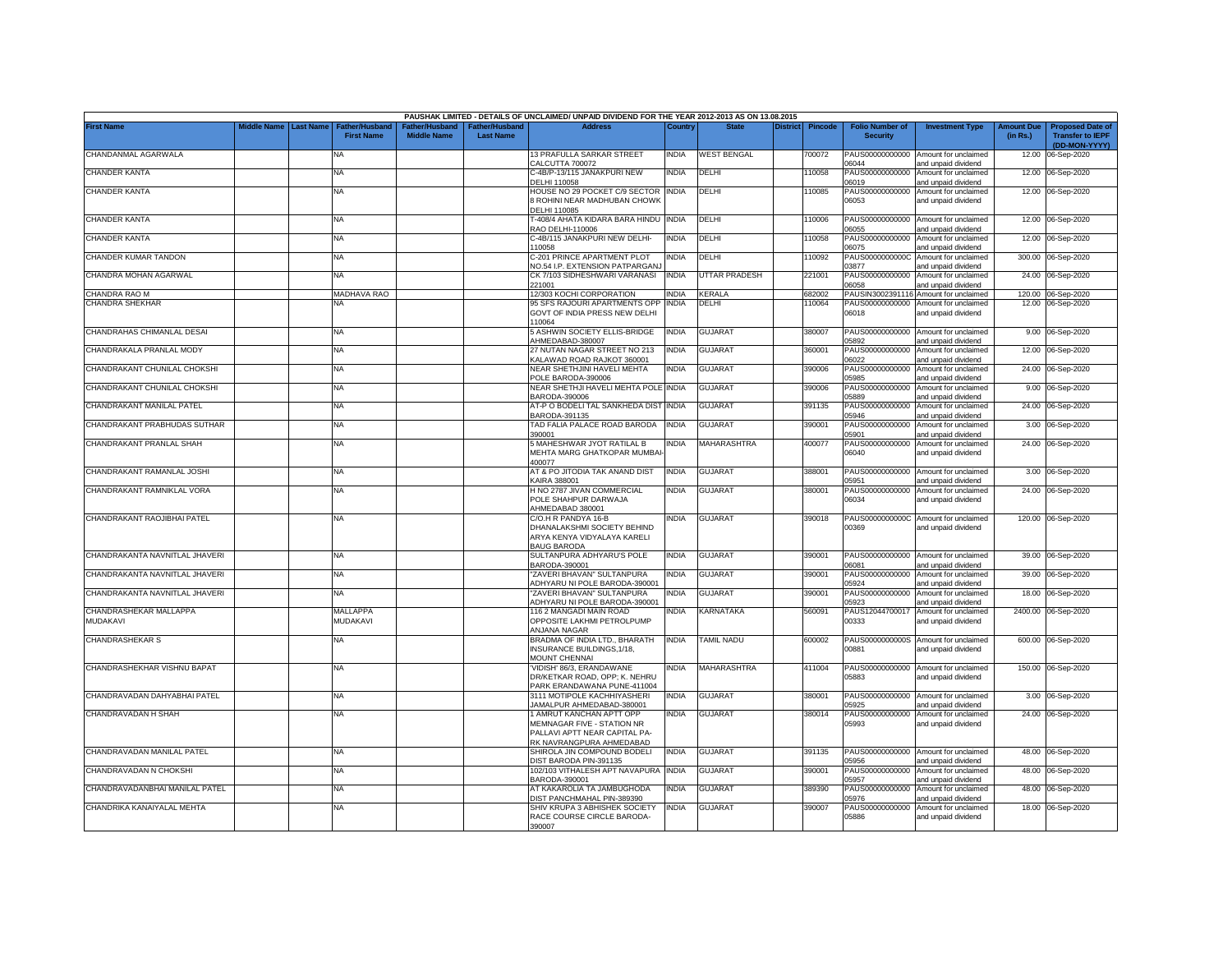|                                    |                         |                                            |                                                  |                                                | PAUSHAK LIMITED - DETAILS OF UNCLAIMED/ UNPAID DIVIDEND FOR THE YEAR 2012-2013 AS ON 13.08.2015         |              |                      |                 |         |                                           |                                                             |                               |                                                                     |
|------------------------------------|-------------------------|--------------------------------------------|--------------------------------------------------|------------------------------------------------|---------------------------------------------------------------------------------------------------------|--------------|----------------------|-----------------|---------|-------------------------------------------|-------------------------------------------------------------|-------------------------------|---------------------------------------------------------------------|
| <b>First Name</b>                  | Middle Name   Last Name | <b>Father/Husband</b><br><b>First Name</b> | ather/Husband <sup>:</sup><br><b>Middle Name</b> | <sup>∶</sup> ather/Husband<br><b>Last Name</b> | <b>Address</b>                                                                                          | Country      | <b>State</b>         | <b>District</b> | Pincode | <b>Folio Number of</b><br><b>Security</b> | <b>Investment Type</b>                                      | <b>Amount Due</b><br>(in Rs.) | <b>Proposed Date of</b><br><b>Transfer to IEPF</b><br>(DD-MON-YYYY) |
| CHANDANMAL AGARWALA                |                         | NA                                         |                                                  |                                                | 13 PRAFULLA SARKAR STREET<br>CALCUTTA 700072                                                            | INDIA        | <b>WEST BENGAL</b>   |                 | 700072  | 06044                                     | PAUS00000000000 Amount for unclaimed<br>and unpaid dividend | 12.00                         | 06-Sep-2020                                                         |
| CHANDER KANTA                      |                         | NA                                         |                                                  |                                                | C-4B/P-13/115 JANAKPURI NEW<br>DELHI 110058                                                             | INDIA        | DELHI                |                 | 10058   | PAUS00000000000<br>06019                  | Amount for unclaimed<br>and unpaid dividend                 |                               | 12.00 06-Sep-2020                                                   |
| <b>CHANDER KANTA</b>               |                         | NA                                         |                                                  |                                                | HOUSE NO 29 POCKET C/9 SECTOR INDIA<br>ROHINI NEAR MADHUBAN CHOWK                                       |              | DELHI                |                 | 110085  | 06053                                     | PAUS00000000000 Amount for unclaimed<br>and unpaid dividend |                               | 12.00 06-Sep-2020                                                   |
| CHANDER KANTA                      |                         | NA                                         |                                                  |                                                | DELHI 110085<br>F-408/4 AHATA KIDARA BARA HINDU<br>RAO DELHI-110006                                     | <b>INDIA</b> | DELHI                |                 | 110006  | 06055                                     | PAUS00000000000 Amount for unclaimed<br>and unpaid dividend |                               | 12.00 06-Sep-2020                                                   |
| CHANDER KANTA                      |                         | <b>NA</b>                                  |                                                  |                                                | C-4B/115 JANAKPURI NEW DELHI-<br>10058                                                                  | <b>INDIA</b> | DELHI                |                 | 10058   | PAUS00000000000<br>06075                  | Amount for unclaimed<br>and unpaid dividend                 |                               | 12.00 06-Sep-2020                                                   |
| CHANDER KUMAR TANDON               |                         | NA                                         |                                                  |                                                | C-201 PRINCE APARTMENT PLOT<br><b>VO.54 I.P. EXTENSION PATPARGAN.</b>                                   | <b>INDIA</b> | DELHI                |                 | 10092   | PAUS0000000000C<br>03877                  | Amount for unclaimed<br>and unpaid dividend                 |                               | 300.00 06-Sep-2020                                                  |
| CHANDRA MOHAN AGARWAL              |                         | ΝA                                         |                                                  |                                                | CK 7/103 SIDHESHWARI VARANASI<br>221001                                                                 | <b>INDIA</b> | <b>UTTAR PRADESH</b> |                 | 221001  | PAUS00000000000<br>6058                   | Amount for unclaimed<br>and unpaid dividend                 |                               | 24.00 06-Sep-2020                                                   |
| CHANDRA RAO M                      |                         | <b>MADHAVA RAO</b>                         |                                                  |                                                | 12/303 KOCHI CORPORATION                                                                                | <b>INDIA</b> | <b>KERALA</b>        |                 | 682002  |                                           | PAUSIN3002391116 Amount for unclaimed                       |                               | 120.00 06-Sep-2020                                                  |
| CHANDRA SHEKHAR                    |                         | <b>NA</b>                                  |                                                  |                                                | 95 SFS RAJOURI APARTMENTS OPF<br>GOVT OF INDIA PRESS NEW DELHI<br>110064                                | INDIA        | DELHI                |                 | 110064  | PAUS00000000000<br>06018                  | Amount for unclaimed<br>and unpaid dividend                 |                               | 12.00 06-Sep-2020                                                   |
| CHANDRAHAS CHIMANLAL DESAI         |                         | ΝA                                         |                                                  |                                                | 5 ASHWIN SOCIETY ELLIS-BRIDGE<br>AHMEDABAD-380007                                                       | <b>INDIA</b> | <b>GUJARAT</b>       |                 | 380007  | PAUS00000000000<br>05892                  | Amount for unclaimed<br>and unpaid dividend                 |                               | 9.00 06-Sep-2020                                                    |
| CHANDRAKALA PRANLAL MODY           |                         | NA                                         |                                                  |                                                | 27 NUTAN NAGAR STREET NO 213<br>KALAWAD ROAD RAJKOT 360001                                              | INDIA        | GUJARAT              |                 | 360001  | PAUS00000000000<br>06022                  | Amount for unclaimed<br>and unpaid dividend                 | 12.00                         | 06-Sep-2020                                                         |
| CHANDRAKANT CHUNILAL CHOKSHI       |                         | <b>NA</b>                                  |                                                  |                                                | NEAR SHETHJINI HAVELI MEHTA<br>POLE BARODA-390006                                                       | <b>INDIA</b> | <b>GUJARAT</b>       |                 | 390006  | PAUS00000000000<br>05985                  | Amount for unclaimed<br>and unpaid dividend                 | 24.00                         | 06-Sep-2020                                                         |
| CHANDRAKANT CHUNILAL CHOKSHI       |                         | NA                                         |                                                  |                                                | NEAR SHETHJI HAVELI MEHTA POLE INDIA<br>BARODA-390006                                                   |              | GUJARAT              |                 | 390006  | PAUS00000000000<br>05889                  | Amount for unclaimed<br>and unpaid dividend                 |                               | 9.00 06-Sep-2020                                                    |
| CHANDRAKANT MANILAL PATEL          |                         | NA                                         |                                                  |                                                | AT-P O BODELI TAL SANKHEDA DIST INDIA<br>BARODA-391135                                                  |              | GUJARAT              |                 | 391135  | PAUS00000000000<br>05946                  | Amount for unclaimed<br>and unpaid dividend                 |                               | 24.00 06-Sep-2020                                                   |
| CHANDRAKANT PRABHUDAS SUTHAR       |                         | NA                                         |                                                  |                                                | TAD FALIA PALACE ROAD BARODA<br>390001                                                                  | <b>INDIA</b> | GUJARAT              |                 | 390001  | PAUS00000000000<br>05901                  | Amount for unclaimed<br>and unpaid dividend                 |                               | 3.00 06-Sep-2020                                                    |
| CHANDRAKANT PRANLAL SHAH           |                         | NA                                         |                                                  |                                                | 5 MAHESHWAR JYOT RATILAL B<br>MEHTA MARG GHATKOPAR MUMBAI<br>400077                                     | NDIA         | <b>MAHARASHTRA</b>   |                 | 400077  | PAUS00000000000<br>06040                  | Amount for unclaimed<br>and unpaid dividend                 |                               | 24.00 06-Sep-2020                                                   |
| CHANDRAKANT RAMANLAL JOSHI         |                         | NA                                         |                                                  |                                                | AT & PO JITODIA TAK ANAND DIST<br><b>KAIRA 388001</b>                                                   | <b>INDIA</b> | <b>GUJARAT</b>       |                 | 388001  | 05951                                     | PAUS00000000000 Amount for unclaimed<br>and unpaid dividend |                               | 3.00 06-Sep-2020                                                    |
| CHANDRAKANT RAMNIKLAL VORA         |                         | NA                                         |                                                  |                                                | H NO 2787 JIVAN COMMERCIAL<br>POLE SHAHPUR DARWAJA<br>AHMEDABAD 380001                                  | <b>INDIA</b> | <b>GUJARAT</b>       |                 | 380001  | 06034                                     | PAUS00000000000 Amount for unclaimed<br>and unpaid dividend |                               | 24.00 06-Sep-2020                                                   |
| CHANDRAKANT RAOJIBHAI PATEL        |                         | NA.                                        |                                                  |                                                | C/O.H R PANDYA 16-B<br>DHANALAKSHMI SOCIETY BEHIND<br>ARYA KENYA VIDYALAYA KARELI<br><b>BAUG BARODA</b> | NDIA         | <b>GUJARAT</b>       |                 | 390018  | PAUS0000000000C<br>00369                  | Amount for unclaimed<br>and unpaid dividend                 |                               | 120.00 06-Sep-2020                                                  |
| CHANDRAKANTA NAVNITLAL JHAVERI     |                         | NA                                         |                                                  |                                                | SULTANPURA ADHYARU'S POLE<br>BARODA-390001                                                              | <b>INDIA</b> | GUJARAT              |                 | 390001  | 06081                                     | PAUS00000000000 Amount for unclaimed<br>and unpaid dividend |                               | 39.00 06-Sep-2020                                                   |
| CHANDRAKANTA NAVNITLAL JHAVERI     |                         | NA                                         |                                                  |                                                | "ZAVERI BHAVAN" SULTANPURA<br>ADHYARU NI POLE BARODA-390001                                             | INDIA        | GUJARAT              |                 | 390001  | PAUS00000000000<br>05924                  | Amount for unclaimed<br>and unpaid dividend                 |                               | 39.00 06-Sep-2020                                                   |
| CHANDRAKANTA NAVNITLAL JHAVERI     |                         | ΝA                                         |                                                  |                                                | "ZAVERI BHAVAN" SULTANPURA<br>ADHYARU NI POLE BARODA-390001                                             | NDIA         | GUJARAT              |                 | 390001  | PAUS00000000000<br>05923                  | Amount for unclaimed<br>and unpaid dividend                 | 18.00                         | 06-Sep-2020                                                         |
| CHANDRASHEKAR MALLAPPA<br>MUDAKAVI |                         | MALLAPPA<br>MUDAKAVI                       |                                                  |                                                | 116 2 MANGADI MAIN ROAD<br>OPPOSITE LAKHMI PETROLPUMP<br><b>NJANA NAGAR</b>                             | NDIA         | KARNATAKA            |                 | 560091  | PAUS12044700017<br>00333                  | Amount for unclaimed<br>and unpaid dividend                 |                               | 2400.00 06-Sep-2020                                                 |
| CHANDRASHEKAR S                    |                         | NA                                         |                                                  |                                                | BRADMA OF INDIA LTD., BHARATH<br>INSURANCE BUILDINGS, 1/18,                                             | <b>INDIA</b> | TAMIL NADU           |                 | 600002  | 00881                                     | PAUS0000000000S Amount for unclaimed<br>and unpaid dividend |                               | 600.00 06-Sep-2020                                                  |
| CHANDRASHEKHAR VISHNU BAPAT        |                         | NA                                         |                                                  |                                                | MOUNT CHENNAI<br>'VIDISH' 86/3, ERANDAWANE<br>DR/KETKAR ROAD, OPP; K. NEHRU                             | <b>INDIA</b> | <b>MAHARASHTRA</b>   |                 | 411004  | 05883                                     | PAUS00000000000 Amount for unclaimed<br>and unpaid dividend |                               | 150.00 06-Sep-2020                                                  |
| CHANDRAVADAN DAHYABHAI PATEL       |                         | NA                                         |                                                  |                                                | PARK ERANDAWANA PUNE-411004<br>3111 MOTIPOLE KACHHIYASHERI<br>JAMALPUR AHMEDABAD-380001                 | <b>INDIA</b> | GUJARAT              |                 | 380001  | PAUS00000000000<br>05925                  | Amount for unclaimed<br>and unpaid dividend                 |                               | 3.00 06-Sep-2020                                                    |
| CHANDRAVADAN H SHAH                |                         | <b>NA</b>                                  |                                                  |                                                | 1 AMRUT KANCHAN APTT OPP<br>MEMNAGAR FIVE - STATION NR<br>PALLAVI APTT NEAR CAPITAL PA-                 | <b>INDIA</b> | <b>GUJARAT</b>       |                 | 380014  | PAUS00000000000<br>05993                  | Amount for unclaimed<br>and unpaid dividend                 |                               | 24.00 06-Sep-2020                                                   |
| CHANDRAVADAN MANILAL PATEL         |                         | NA                                         |                                                  |                                                | RK NAVRANGPURA AHMEDABAD<br>SHIROLA JIN COMPOUND BODELI                                                 | <b>INDIA</b> | <b>GUJARAT</b>       |                 | 391135  |                                           | PAUS00000000000 Amount for unclaimed                        |                               | 48.00 06-Sep-2020                                                   |
| CHANDRAVADAN N CHOKSHI             |                         | NA                                         |                                                  |                                                | DIST BARODA PIN-391135<br>102/103 VITHALESH APT NAVAPURA INDIA                                          |              | GUJARAT              |                 | 390001  | 05956<br>PAUS00000000000                  | and unpaid dividend<br>Amount for unclaimed                 |                               | 48.00 06-Sep-2020                                                   |
| CHANDRAVADANBHAI MANILAL PATEL     |                         | ΝA                                         |                                                  |                                                | BARODA-390001<br>AT KAKAROLIA TA JAMBUGHODA                                                             | NDIA         | GUJARAT              |                 | 389390  | 05957<br>PAUS00000000000                  | and unpaid dividend<br>Amount for unclaimed                 |                               | 48.00 06-Sep-2020                                                   |
| CHANDRIKA KANAIYALAL MEHTA         |                         | NA                                         |                                                  |                                                | DIST PANCHMAHAL PIN-389390<br>SHIV KRUPA 3 ABHISHEK SOCIETY                                             | <b>INDIA</b> | <b>GUJARAT</b>       |                 | 390007  | 05976                                     | and unpaid dividend<br>PAUS00000000000 Amount for unclaimed |                               | 18.00 06-Sep-2020                                                   |
|                                    |                         |                                            |                                                  |                                                | RACE COURSE CIRCLE BARODA-<br>390007                                                                    |              |                      |                 |         | 05886                                     | and unpaid dividend                                         |                               |                                                                     |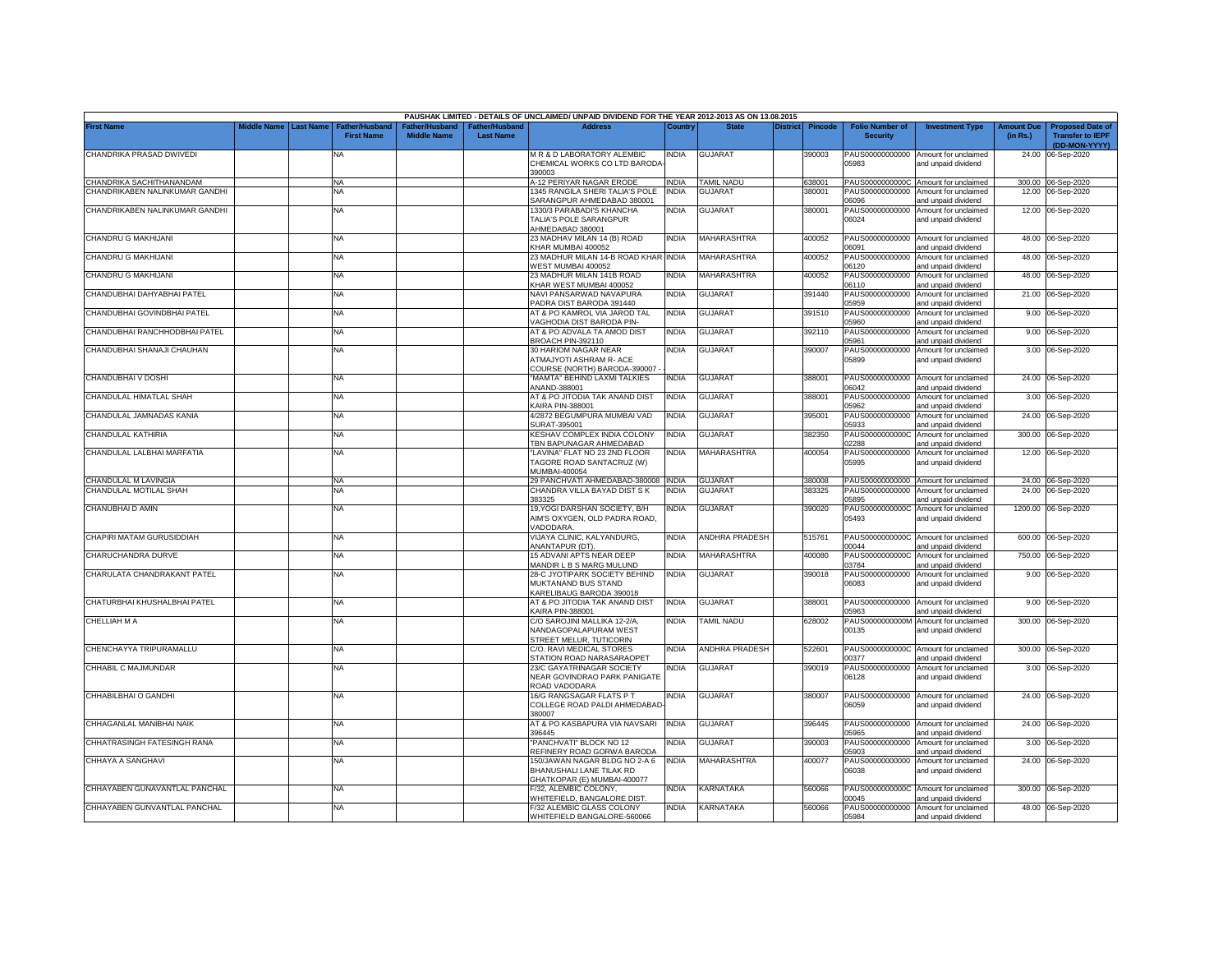|                                |             |                                                                    |                                     |                                  | PAUSHAK LIMITED - DETAILS OF UNCLAIMED/ UNPAID DIVIDEND FOR THE YEAR 2012-2013 AS ON 13.08.2015 |              |                          |          |                |                                           |                                                             |                        |                                                                     |
|--------------------------------|-------------|--------------------------------------------------------------------|-------------------------------------|----------------------------------|-------------------------------------------------------------------------------------------------|--------------|--------------------------|----------|----------------|-------------------------------------------|-------------------------------------------------------------|------------------------|---------------------------------------------------------------------|
| <b>First Name</b>              | liddle Name | <b>Last Name</b><br>ather/Husban <sup>:</sup><br><b>First Name</b> | ither/Husband<br><b>Middle Name</b> | ther/Husbanc<br><b>Last Name</b> | <b>Address</b>                                                                                  | Countr       |                          | District | <b>Pincode</b> | <b>Folio Number of</b><br><b>Security</b> | <b>Investment Type</b>                                      | Amount Due<br>(in Rs.) | <b>Proposed Date of</b><br><b>Transfer to IEPF</b><br>(DD-MON-YYYY) |
| CHANDRIKA PRASAD DWIVEDI       |             | NA                                                                 |                                     |                                  | M R & D LABORATORY ALEMBIC<br>CHEMICAL WORKS CO LTD BARODA                                      | india        | <b>GUJARAT</b>           |          | 390003         | 05983                                     | PAUS00000000000 Amount for unclaimed<br>and unpaid dividend | 24.00                  | 06-Sep-2020                                                         |
| CHANDRIKA SACHITHANANDAM       |             | <b>NA</b>                                                          |                                     |                                  | 390003<br>4-12 PERIYAR NAGAR ERODE                                                              | <b>INDIA</b> | <b>TAMIL NADU</b>        |          | 638001         | PAUS0000000000C                           | Amount for unclaimed                                        |                        | 300.00 06-Sep-2020                                                  |
| CHANDRIKABEN NALINKUMAR GANDHI |             | <b>NA</b>                                                          |                                     |                                  | 345 RANGILA SHERI TALIA'S POLE                                                                  | <b>INDIA</b> | GUJARAT                  |          | 380001         | PAUS00000000000                           | Amount for unclaimed                                        |                        | 12.00 06-Sep-2020                                                   |
|                                |             |                                                                    |                                     |                                  | SARANGPUR AHMEDABAD 380001                                                                      |              |                          |          |                | 06096                                     | and unpaid dividend                                         |                        |                                                                     |
| CHANDRIKABEN NALINKUMAR GANDHI |             | <b>NA</b>                                                          |                                     |                                  | 1330/3 PARABADI'S KHANCHA<br>TALIA'S POLE SARANGPUR<br>AHMEDABAD 380001                         | INDIA        | <b>GUJARAT</b>           |          | 380001         | PAUS00000000000<br>06024                  | Amount for unclaimed<br>and unpaid dividend                 |                        | 12.00 06-Sep-2020                                                   |
| CHANDRU G MAKHIJANI            |             | <b>NA</b>                                                          |                                     |                                  | 23 MADHAV MILAN 14 (B) ROAD<br>KHAR MUMBAI 400052                                               | <b>INDIA</b> | <b>MAHARASHTRA</b>       |          | 400052         | 06091                                     | PAUS00000000000 Amount for unclaimed<br>ind unpaid dividend |                        | 48.00 06-Sep-2020                                                   |
| CHANDRU G MAKHIJANI            |             | <b>NA</b>                                                          |                                     |                                  | 23 MADHUR MILAN 14-B ROAD KHAR INDIA<br>WEST MUMBAI 400052                                      |              | MAHARASHTRA              |          | 400052         | 06120                                     | PAUS00000000000 Amount for unclaimed<br>and unpaid dividend |                        | 48.00 06-Sep-2020                                                   |
| CHANDRU G MAKHIJANI            |             | <b>NA</b>                                                          |                                     |                                  | 23 MADHUR MILAN 141B ROAD<br>KHAR WEST MUMBAI 400052                                            | <b>INDIA</b> | <b>MAHARASHTRA</b>       |          | 400052         | PAUS00000000000<br>06110                  | Amount for unclaimed<br>and unpaid dividend                 |                        | 48.00 06-Sep-2020                                                   |
| CHANDUBHAI DAHYABHAI PATEL     |             | ΝA                                                                 |                                     |                                  | NAVI PANSARWAD NAVAPURA<br>PADRA DIST BARODA 391440                                             | <b>INDIA</b> | <b>GUJARAT</b>           |          | 391440         | PAUS00000000000<br>05959                  | Amount for unclaimed<br>and unpaid dividend                 |                        | 21.00 06-Sep-2020                                                   |
| CHANDUBHAI GOVINDBHAI PATEL    |             | NA                                                                 |                                     |                                  | AT & PO KAMROL VIA JAROD TAL<br><b>AGHODIA DIST BARODA PIN-</b>                                 | <b>INDIA</b> | <b>GUJARAT</b>           |          | 391510         | PAUS00000000000<br>05960                  | Amount for unclaimed<br>and unpaid dividend                 |                        | 9.00 06-Sep-2020                                                    |
| CHANDUBHAI RANCHHODBHAI PATEL  |             | NA                                                                 |                                     |                                  | AT & PO ADVALA TA AMOD DIST<br>BROACH PIN-392110                                                | <b>INDIA</b> | GUJARAT                  |          | 392110         | PAUS00000000000<br>05961                  | Amount for unclaimed<br>and unpaid dividend                 |                        | 9.00 06-Sep-2020                                                    |
| CHANDUBHAI SHANAJI CHAUHAN     |             | <b>NA</b>                                                          |                                     |                                  | <b>30 HARIOM NAGAR NEAR</b><br>ATMAJYOTI ASHRAM R- ACE<br>COURSE (NORTH) BARODA-390007          | <b>INDIA</b> | <b>GUJARAT</b>           |          | 390007         | PAUS00000000000<br>05899                  | Amount for unclaimed<br>and unpaid dividend                 |                        | 3.00 06-Sep-2020                                                    |
| CHANDUBHAI V DOSHI             |             | <b>NA</b>                                                          |                                     |                                  | 'MAMTA" BEHIND LAXMI TALKIES<br>ANAND-388001                                                    | <b>INDIA</b> | <b>GUJARAT</b>           |          | 388001         | PAUS00000000000<br>06042                  | Amount for unclaimed<br>ind unpaid dividend                 |                        | 24.00 06-Sep-2020                                                   |
| CHANDULAL HIMATLAL SHAH        |             | NA                                                                 |                                     |                                  | AT & PO JITODIA TAK ANAND DIST<br><b>KAIRA PIN-388001</b>                                       | <b>INDIA</b> | <b>GUJARAT</b>           |          | 388001         | PAUS00000000000<br>5962                   | Amount for unclaimed<br>ind unpaid dividend                 |                        | 3.00 06-Sep-2020                                                    |
| CHANDULAL JAMNADAS KANIA       |             | NA                                                                 |                                     |                                  | 4/2872 BEGUMPURA MUMBAI VAD<br>SURAT-395001                                                     | <b>INDIA</b> | <b>GUJARAT</b>           |          | 395001         | PAUS00000000000<br>15933                  | Amount for unclaimed<br>and unpaid dividend                 | 24.00                  | 06-Sep-2020                                                         |
| CHANDULAL KATHIRIA             |             | NA                                                                 |                                     |                                  | KESHAV COMPLEX INDIA COLONY<br>TBN BAPUNAGAR AHMEDABAD                                          | <b>INDIA</b> | GUJARAT                  |          | 382350         | PAUS0000000000C<br>)2288                  | Amount for unclaimed<br>and unpaid dividend                 | 300.00                 | 06-Sep-2020                                                         |
| CHANDULAL LALBHAI MARFATIA     |             | <b>NA</b>                                                          |                                     |                                  | "LAVINA" FLAT NO 23 2ND FLOOR<br>TAGORE ROAD SANTACRUZ (W)<br>MUMBAI-400054                     | <b>INDIA</b> | <b>MAHARASHTRA</b>       |          | 400054         | PAUS00000000000<br>05995                  | Amount for unclaimed<br>and unpaid dividend                 |                        | 12.00 06-Sep-2020                                                   |
| CHANDULAL M LAVINGIA           |             | <b>NA</b>                                                          |                                     |                                  | 29 PANCHVATI AHMEDABAD-380008 INDIA                                                             |              | <b>GUJARAT</b>           |          | 380008         |                                           | PAUS00000000000 Amount for unclaimed                        |                        | 24.00 06-Sep-2020                                                   |
| CHANDULAL MOTILAL SHAH         |             | <b>NA</b>                                                          |                                     |                                  | CHANDRA VILLA BAYAD DIST S K<br>383325                                                          | <b>INDIA</b> | <b>GUJARAT</b>           |          | 383325         | PAUS00000000000<br>05895                  | Amount for unclaimed<br>and unpaid dividend                 |                        | 24.00 06-Sep-2020                                                   |
| CHANUBHAI D AMIN               |             | NA                                                                 |                                     |                                  | 19, YOGI DARSHAN SOCIETY, B/H<br>AIM'S OXYGEN, OLD PADRA ROAD<br>VADODARA.                      | <b>INDIA</b> | <b>GUJARAT</b>           |          | 390020         | PAUS0000000000C<br>05493                  | Amount for unclaimed<br>and unpaid dividend                 |                        | 1200.00 06-Sep-2020                                                 |
| CHAPIRI MATAM GURUSIDDIAH      |             | <b>NA</b>                                                          |                                     |                                  | VIJAYA CLINIC, KALYANDURG,<br>ANANTAPUR (DT).                                                   | <b>INDIA</b> | <b>ANDHRA PRADESH</b>    |          | 515761         | PAUS0000000000C<br>00044                  | Amount for unclaimed<br>and unpaid dividend                 | 600.00                 | 06-Sep-2020                                                         |
| CHARUCHANDRA DURVE             |             | <b>NA</b>                                                          |                                     |                                  | 15 ADVANI APTS NEAR DEEP<br>MANDIR L B S MARG MULUND                                            | <b>INDIA</b> | MAHARASHTRA              |          | 400080         | PAUS0000000000C<br>03784                  | Amount for unclaimed<br>and unpaid dividend                 | 750.00                 | 06-Sep-2020                                                         |
| CHARULATA CHANDRAKANT PATEL    |             | <b>NA</b>                                                          |                                     |                                  | 28-C JYOTIPARK SOCIETY BEHIND<br>MUKTANAND BUS STAND<br>KARELIBAUG BARODA 390018                | <b>INDIA</b> | <b>GUJARAT</b>           |          | 390018         | PAUS00000000000<br>06083                  | Amount for unclaimed<br>and unpaid dividend                 |                        | 9.00 06-Sep-2020                                                    |
| CHATURBHAI KHUSHALBHAI PATEL   |             | <b>NA</b>                                                          |                                     |                                  | AT & PO JITODIA TAK ANAND DIST<br><b>KAIRA PIN-388001</b>                                       | <b>INDIA</b> | <b>GUJARAT</b>           |          | 388001         | 05963                                     | PAUS00000000000 Amount for unclaimed<br>and unpaid dividend |                        | 9.00 06-Sep-2020                                                    |
| CHELLIAH M A                   |             | <b>NA</b>                                                          |                                     |                                  | C/O SAROJINI MALLIKA 12-2/A,<br>NANDAGOPALAPURAM WEST<br>STREET MELUR, TUTICORIN                | <b>INDIA</b> | <b><i>FAMIL NADU</i></b> |          | 628002         | PAUS0000000000M<br>00135                  | Amount for unclaimed<br>and unpaid dividend                 |                        | 300.00 06-Sep-2020                                                  |
| CHENCHAYYA TRIPURAMALLU        |             | <b>NA</b>                                                          |                                     |                                  | C/O. RAVI MEDICAL STORES<br>STATION ROAD NARASARAOPET                                           | <b>INDIA</b> | ANDHRA PRADESH           |          | 522601         | 00377                                     | PAUS0000000000C Amount for unclaimed<br>and unpaid dividend |                        | 300.00 06-Sep-2020                                                  |
| CHHABIL C MAJMUNDAR            |             | NA                                                                 |                                     |                                  | 23/C GAYATRINAGAR SOCIETY<br>NEAR GOVINDRAO PARK PANIGATE<br>ROAD VADODARA                      | india        | <b>GUJARAT</b>           |          | 390019         | PAUS00000000000<br>06128                  | Amount for unclaimed<br>and unpaid dividend                 |                        | 3.00 06-Sep-2020                                                    |
| CHHABILBHAI O GANDHI           |             | <b>NA</b>                                                          |                                     |                                  | 16/G RANGSAGAR FLATS P T<br>COLLEGE ROAD PALDI AHMEDABAD<br>380007                              | INDIA        | <b>GUJARAT</b>           |          | 380007         | 06059                                     | PAUS00000000000 Amount for unclaimed<br>and unpaid dividend |                        | 24.00 06-Sep-2020                                                   |
| CHHAGANLAL MANIBHAI NAIK       |             | <b>NA</b>                                                          |                                     |                                  | AT & PO KASBAPURA VIA NAVSARI<br>396445                                                         | <b>INDIA</b> | <b>GUJARAT</b>           |          | 396445         | 05965                                     | PAUS00000000000 Amount for unclaimed<br>and unpaid dividend |                        | 24.00 06-Sep-2020                                                   |
| CHHATRASINGH FATESINGH RANA    |             | <b>NA</b>                                                          |                                     |                                  | "PANCHVATI" BLOCK NO 12<br>REFINERY ROAD GORWA BARODA                                           | NDIA         | GUJARAT                  |          | 390003         | PAUS00000000000<br>05903                  | Amount for unclaimed<br>and unpaid dividend                 |                        | 3.00 06-Sep-2020                                                    |
| CHHAYA A SANGHAVI              |             | <b>NA</b>                                                          |                                     |                                  | 150/JAWAN NAGAR BLDG NO 2-A 6                                                                   | <b>INDIA</b> | <b>MAHARASHTRA</b>       |          | 400077         |                                           | PAUS00000000000 Amount for unclaimed                        |                        | 24.00 06-Sep-2020                                                   |
|                                |             |                                                                    |                                     |                                  | BHANUSHALI LANE TILAK RD<br>GHATKOPAR (E) MUMBAI-400077                                         |              |                          |          |                | 06038                                     | and unpaid dividend                                         |                        |                                                                     |
| CHHAYABEN GUNAVANTLAL PANCHAL  |             | <b>NA</b>                                                          |                                     |                                  | F/32, ALEMBIC COLONY,<br>WHITEFIELD, BANGALORE DIST                                             | <b>INDIA</b> | KARNATAKA                |          | 560066         | 00045                                     | PAUS0000000000C Amount for unclaimed<br>and unpaid dividend |                        | 300.00 06-Sep-2020                                                  |
| CHHAYABEN GUNVANTLAL PANCHAL   |             | <b>NA</b>                                                          |                                     |                                  | F/32 ALEMBIC GLASS COLONY                                                                       | <b>INDIA</b> | KARNATAKA                |          | 560066         |                                           | PAUS00000000000 Amount for unclaimed                        |                        | 48.00 06-Sep-2020                                                   |
|                                |             |                                                                    |                                     |                                  | WHITEFIELD BANGALORE-560066                                                                     |              |                          |          |                | 05984                                     | and unpaid dividend                                         |                        |                                                                     |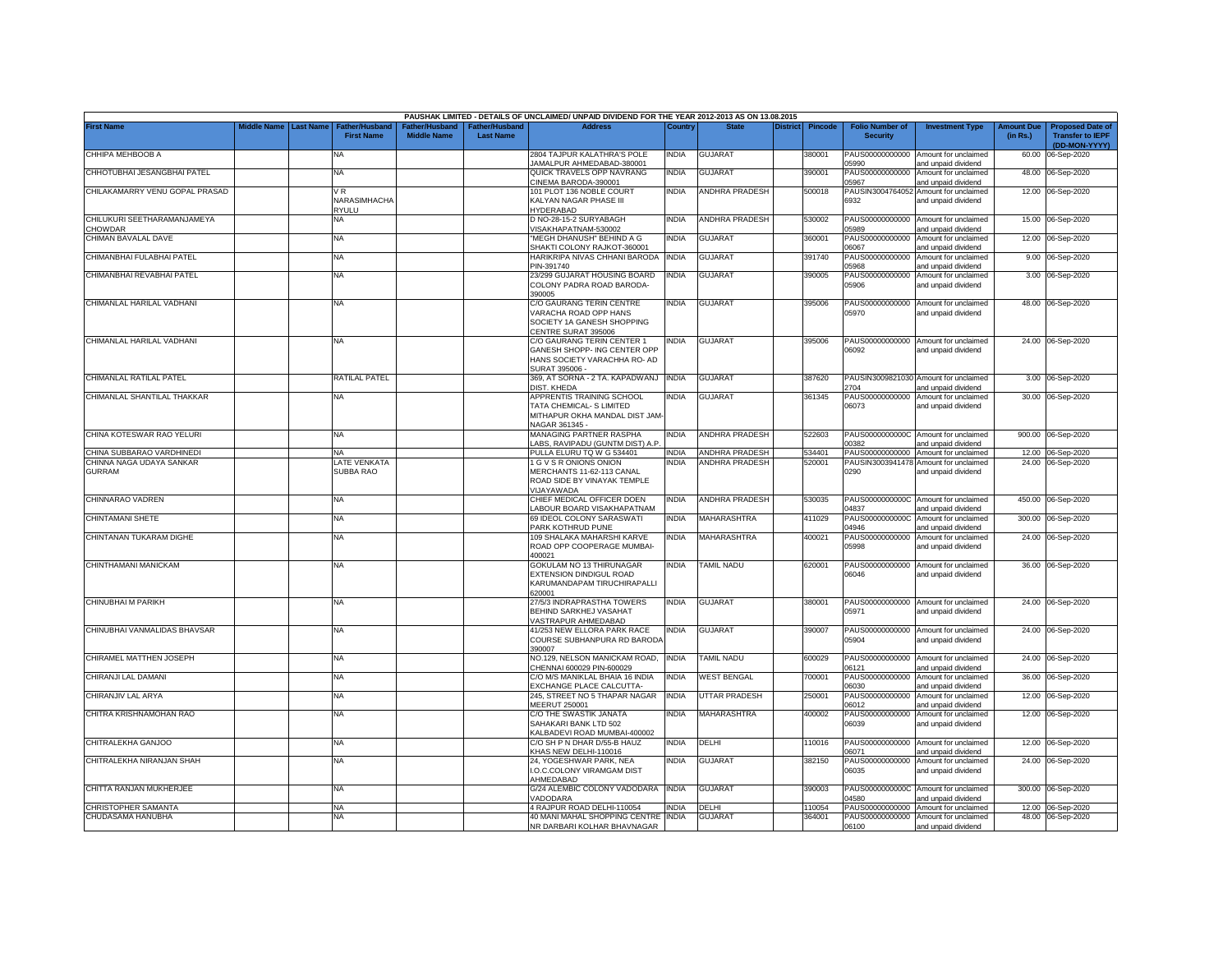|                                               |                         |                                            |                                     |                                   | PAUSHAK LIMITED - DETAILS OF UNCLAIMED/ UNPAID DIVIDEND FOR THE YEAR 2012-2013 AS ON 13.08.2015              |              |                       |                 |         |                                           |                                                              |                               |                                                                     |
|-----------------------------------------------|-------------------------|--------------------------------------------|-------------------------------------|-----------------------------------|--------------------------------------------------------------------------------------------------------------|--------------|-----------------------|-----------------|---------|-------------------------------------------|--------------------------------------------------------------|-------------------------------|---------------------------------------------------------------------|
| <b>First Name</b>                             | Middle Name   Last Name | <b>Father/Husband</b><br><b>First Name</b> | ather/Husband<br><b>Middle Name</b> | ather/Husband<br><b>Last Name</b> | <b>Address</b>                                                                                               | Country      | <b>State</b>          | <b>District</b> | Pincode | <b>Folio Number of</b><br><b>Security</b> | <b>Investment Type</b>                                       | <b>Amount Due</b><br>(in Rs.) | <b>Proposed Date of</b><br><b>Transfer to IEPF</b><br>(DD-MON-YYYY) |
| CHHIPA MEHBOOB A                              |                         | ΝA                                         |                                     |                                   | 2804 TAJPUR KALATHRA'S POLE<br>JAMALPUR AHMEDABAD-380001                                                     | India        | <b>GUJARAT</b>        |                 | 380001  | 05990                                     | PAUS00000000000 Amount for unclaimed<br>and unpaid dividend  | 60.00                         | 06-Sep-2020                                                         |
| CHHOTUBHAI JESANGBHAI PATEL                   |                         | NA                                         |                                     |                                   | QUICK TRAVELS OPP NAVRANG<br>CINEMA BARODA-390001                                                            | NDIA         | GUJARAT               |                 | 390001  | PAUS00000000000<br>15967                  | Amount for unclaimed<br>and unpaid dividend                  |                               | 48.00 06-Sep-2020                                                   |
| CHILAKAMARRY VENU GOPAL PRASAD                |                         | √R<br>NARASIMHACHA                         |                                     |                                   | 101 PLOT 136 NOBLE COURT<br>KALYAN NAGAR PHASE III                                                           | <b>INDIA</b> | <b>ANDHRA PRADESH</b> |                 | 500018  | 6932                                      | PAUSIN3004764052 Amount for unclaimed<br>and unpaid dividend |                               | 12.00 06-Sep-2020                                                   |
| CHILUKURI SEETHARAMANJAMEYA<br><b>CHOWDAR</b> |                         | RYULU<br>NA                                |                                     |                                   | HYDERABAD<br>D NO-28-15-2 SURYABAGH<br>/ISAKHAPATNAM-530002                                                  | <b>INDIA</b> | <b>ANDHRA PRADESH</b> |                 | 530002  | 05989                                     | PAUS00000000000 Amount for unclaimed<br>and unpaid dividend  |                               | 15.00 06-Sep-2020                                                   |
| CHIMAN BAVALAL DAVE                           |                         | NA                                         |                                     |                                   | "MEGH DHANUSH" BEHIND A G<br>SHAKTI COLONY RAJKOT-360001                                                     | <b>INDIA</b> | <b>GUJARAT</b>        |                 | 360001  | PAUS00000000000<br>06067                  | Amount for unclaimed<br>and unpaid dividend                  |                               | 12.00 06-Sep-2020                                                   |
| CHIMANBHAI FULABHAI PATEL                     |                         | NA                                         |                                     |                                   | HARIKRIPA NIVAS CHHANI BARODA<br>PIN-391740                                                                  | <b>INDIA</b> | <b>GUJARAT</b>        |                 | 391740  | PAUS00000000000<br>5968                   | Amount for unclaimed<br>and unpaid dividend                  |                               | 9.00 06-Sep-2020                                                    |
| CHIMANBHAI REVABHAI PATEL                     |                         | <b>NA</b>                                  |                                     |                                   | 23/299 GUJARAT HOUSING BOARD<br>COLONY PADRA ROAD BARODA-<br>390005                                          | INDIA        | <b>GUJARAT</b>        |                 | 390005  | PAUS00000000000<br>05906                  | Amount for unclaimed<br>and unpaid dividend                  |                               | 3.00 06-Sep-2020                                                    |
| CHIMANLAL HARILAL VADHANI                     |                         | <b>NA</b>                                  |                                     |                                   | C/O GAURANG TERIN CENTRE<br>VARACHA ROAD OPP HANS<br>SOCIETY 1A GANESH SHOPPING<br>CENTRE SURAT 395006       | <b>INDIA</b> | <b>GUJARAT</b>        |                 | 395006  | 05970                                     | PAUS00000000000 Amount for unclaimed<br>and unpaid dividend  |                               | 48.00 06-Sep-2020                                                   |
| CHIMANLAL HARILAL VADHANI                     |                         | NA                                         |                                     |                                   | C/O GAURANG TERIN CENTER 1<br>GANESH SHOPP- ING CENTER OPP<br>HANS SOCIETY VARACHHA RO- AD<br>SURAT 395006 - | INDIA        | <b>GUJARAT</b>        |                 | 395006  | 06092                                     | PAUS00000000000 Amount for unclaimed<br>and unpaid dividend  |                               | 24.00 06-Sep-2020                                                   |
| CHIMANLAL RATILAL PATEL                       |                         | RATILAL PATEL                              |                                     |                                   | 369, AT SORNA - 2 TA. KAPADWANJ INDIA<br>DIST. KHEDA                                                         |              | <b>GUJARAT</b>        |                 | 387620  | 2704                                      | PAUSIN3009821030 Amount for unclaimed<br>and unpaid dividend |                               | 3.00 06-Sep-2020                                                    |
| CHIMANLAL SHANTILAL THAKKAR                   |                         | NA                                         |                                     |                                   | APPRENTIS TRAINING SCHOOL<br>TATA CHEMICAL- S LIMITED<br>MITHAPUR OKHA MANDAL DIST JAM<br>NAGAR 361345 -     | <b>INDIA</b> | GUJARAT               |                 | 361345  | 06073                                     | PAUS00000000000 Amount for unclaimed<br>and unpaid dividend  |                               | 30.00 06-Sep-2020                                                   |
| CHINA KOTESWAR RAO YELURI                     |                         | NA                                         |                                     |                                   | <b>MANAGING PARTNER RASPHA</b><br>ABS, RAVIPADU (GUNTM DIST) A.P                                             | NDIA         | ANDHRA PRADESH        |                 | 522603  | 00382                                     | PAUS0000000000C Amount for unclaimed<br>and unpaid dividend  |                               | 900.00 06-Sep-2020                                                  |
| HINA SUBBARAO VARDHINEDI                      |                         | NA                                         |                                     |                                   | PULLA ELURU TQ W G 534401                                                                                    | NDIA         | ANDHRA PRADESH        |                 | 534401  |                                           | PAUS00000000000 Amount for unclaimed                         |                               | 12.00 06-Sep-2020                                                   |
| CHINNA NAGA UDAYA SANKAR<br><b>GURRAM</b>     |                         | LATE VENKATA<br>SUBBA RAO                  |                                     |                                   | I G V S R ONIONS ONION<br>MERCHANTS 11-62-113 CANAL<br>ROAD SIDE BY VINAYAK TEMPLE<br>VIJAYAWADA             | <b>INDIA</b> | <b>ANDHRA PRADESH</b> |                 | 520001  | 0290                                      | PAUSIN3003941478 Amount for unclaimed<br>and unpaid dividend |                               | 24.00 06-Sep-2020                                                   |
| CHINNARAO VADREN                              |                         | NA                                         |                                     |                                   | CHIEF MEDICAL OFFICER DOEN<br>LABOUR BOARD VISAKHAPATNAM                                                     | <b>INDIA</b> | <b>ANDHRA PRADESH</b> |                 | 530035  | 14837                                     | PAUS0000000000C Amount for unclaimed<br>and unpaid dividend  |                               | 450.00 06-Sep-2020                                                  |
| CHINTAMANI SHETE                              |                         | ΝA                                         |                                     |                                   | 69 IDEOL COLONY SARASWATI<br>PARK KOTHRUD PUNE                                                               | <b>INDIA</b> | MAHARASHTRA           |                 | 411029  | 04946                                     | PAUS0000000000C Amount for unclaimed<br>and unpaid dividend  |                               | 300.00 06-Sep-2020                                                  |
| CHINTANAN TUKARAM DIGHE                       |                         | NA                                         |                                     |                                   | 109 SHALAKA MAHARSHI KARVE<br>ROAD OPP COOPERAGE MUMBAI-<br>100021                                           | India        | MAHARASHTRA           |                 | 400021  | PAUS00000000000<br>05998                  | Amount for unclaimed<br>and unpaid dividend                  |                               | 24.00 06-Sep-2020                                                   |
| CHINTHAMANI MANICKAM                          |                         | NA                                         |                                     |                                   | GOKULAM NO 13 THIRUNAGAR<br>EXTENSION DINDIGUL ROAD<br>KARUMANDAPAM TIRUCHIRAPALLI<br>320001                 | <b>INDIA</b> | <b>TAMIL NADU</b>     |                 | 620001  | 06046                                     | PAUS00000000000 Amount for unclaimed<br>and unpaid dividend  |                               | 36.00 06-Sep-2020                                                   |
| <b>CHINUBHAI M PARIKH</b>                     |                         | <b>NA</b>                                  |                                     |                                   | 27/5/3 INDRAPRASTHA TOWERS<br>BEHIND SARKHEJ VASAHAT<br><b>/ASTRAPUR AHMEDABAD</b>                           | <b>INDIA</b> | <b>GUJARAT</b>        |                 | 380001  | 05971                                     | PAUS00000000000 Amount for unclaimed<br>and unpaid dividend  |                               | 24.00 06-Sep-2020                                                   |
| CHINUBHAI VANMALIDAS BHAVSAR                  |                         | ΝA                                         |                                     |                                   | 41/253 NEW ELLORA PARK RACE<br>COURSE SUBHANPURA RD BARODA<br>390007                                         | India        | <b>GUJARAT</b>        |                 | 390007  | 05904                                     | PAUS00000000000 Amount for unclaimed<br>and unpaid dividend  |                               | 24.00 06-Sep-2020                                                   |
| CHIRAMEL MATTHEN JOSEPH                       |                         | NA                                         |                                     |                                   | NO.129, NELSON MANICKAM ROAD,<br>CHENNAI 600029 PIN-600029                                                   | <b>INDIA</b> | <b>TAMIL NADU</b>     |                 | 600029  | 06121                                     | PAUS00000000000 Amount for unclaimed<br>and unpaid dividend  |                               | 24.00 06-Sep-2020                                                   |
| CHIRANJI LAL DAMANI                           |                         | ΝA                                         |                                     |                                   | C/O M/S MANIKLAL BHAIA 16 INDIA<br>EXCHANGE PLACE CALCUTTA-                                                  | <b>INDIA</b> | <b>WEST BENGAL</b>    |                 | 700001  | PAUS00000000000<br>06030                  | Amount for unclaimed<br>and unpaid dividend                  |                               | 36.00 06-Sep-2020                                                   |
| CHIRANJIV LAL ARYA                            |                         | ΝA                                         |                                     |                                   | 245, STREET NO 5 THAPAR NAGAR<br>MEERUT 250001                                                               | <b>INDIA</b> | <b>UTTAR PRADESH</b>  |                 | 250001  | PAUS00000000000<br>06012                  | Amount for unclaimed<br>and unpaid dividend                  |                               | 12.00 06-Sep-2020                                                   |
| CHITRA KRISHNAMOHAN RAO                       |                         | NA.                                        |                                     |                                   | C/O THE SWASTIK JANATA<br>SAHAKARI BANK LTD 502<br>KALBADEVI ROAD MUMBAI-400002                              | INDIA        | MAHARASHTRA           |                 | 400002  | PAUS00000000000<br>06039                  | Amount for unclaimed<br>and unpaid dividend                  | 12.00                         | 06-Sep-2020                                                         |
| CHITRALEKHA GANJOO                            |                         | NA                                         |                                     |                                   | C/O SH P N DHAR D/55-B HAUZ<br>KHAS NEW DELHI-110016                                                         | India        | DELHI                 |                 | 110016  | 06071                                     | PAUS00000000000 Amount for unclaimed<br>and unpaid dividend  |                               | 12.00 06-Sep-2020                                                   |
| CHITRALEKHA NIRANJAN SHAH                     |                         | NA                                         |                                     |                                   | 24, YOGESHWAR PARK, NEA<br>I.O.C.COLONY VIRAMGAM DIST<br>AHMEDABAD                                           | <b>INDIA</b> | GUJARAT               |                 | 382150  | PAUS00000000000<br>06035                  | Amount for unclaimed<br>and unpaid dividend                  |                               | 24.00 06-Sep-2020                                                   |
| CHITTA RANJAN MUKHERJEE                       |                         | NA                                         |                                     |                                   | G/24 ALEMBIC COLONY VADODARA INDIA<br><b>ADODARA</b>                                                         |              | GUJARAT               |                 | 390003  | 04580                                     | PAUS0000000000C Amount for unclaimed<br>and unpaid dividend  |                               | 300.00 06-Sep-2020                                                  |
| CHRISTOPHER SAMANTA                           |                         | <b>NA</b>                                  |                                     |                                   | 4 RAJPUR ROAD DELHI-110054                                                                                   | INDIA        | DELHI                 |                 | 110054  | PAUS00000000000                           | Amount for unclaimed                                         |                               | 12.00 06-Sep-2020                                                   |
| CHUDASAMA HANUBHA                             |                         | NA                                         |                                     |                                   | 40 MANI MAHAL SHOPPING CENTRE INDIA<br>NR DARBARI KOLHAR BHAVNAGAR                                           |              | <b>GUJARAT</b>        |                 | 364001  | 06100                                     | PAUS00000000000 Amount for unclaimed<br>and unpaid dividend  |                               | 48.00 06-Sep-2020                                                   |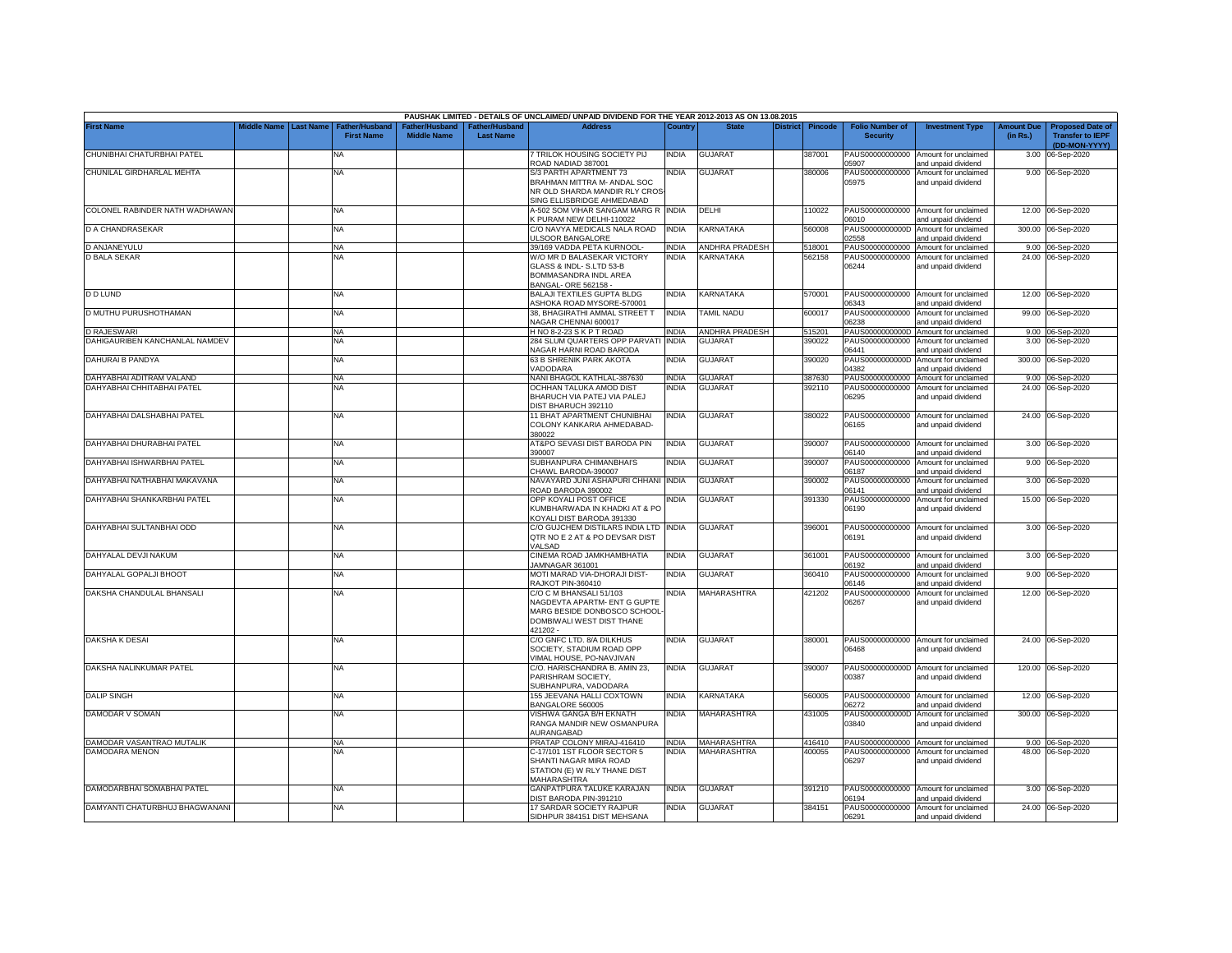|                                |             |                  |                                     |                                      |                                           | PAUSHAK LIMITED - DETAILS OF UNCLAIMED/ UNPAID DIVIDEND FOR THE YEAR 2012-2013 AS ON 13.08.2015                                 |              |                       |                 |                |                                           |                                                             |                               |                                                                     |
|--------------------------------|-------------|------------------|-------------------------------------|--------------------------------------|-------------------------------------------|---------------------------------------------------------------------------------------------------------------------------------|--------------|-----------------------|-----------------|----------------|-------------------------------------------|-------------------------------------------------------------|-------------------------------|---------------------------------------------------------------------|
| <b>First Name</b>              | Middle Name | <b>Last Name</b> | Father/Husband<br><b>First Name</b> | Father/Husband<br><b>Middle Name</b> | <b>Father/Husband</b><br><b>Last Name</b> | <b>Address</b>                                                                                                                  | Country      | <b>State</b>          | <b>District</b> | <b>Pincode</b> | <b>Folio Number of</b><br><b>Security</b> | <b>Investment Type</b>                                      | <b>Amount Due</b><br>(in Rs.) | <b>Proposed Date of</b><br><b>Transfer to IEPF</b><br>(DD-MON-YYYY) |
| CHUNIBHAI CHATURBHAI PATEL     |             |                  | <b>NA</b>                           |                                      |                                           | 7 TRILOK HOUSING SOCIETY PIJ<br>ROAD NADIAD 387001                                                                              | India        | GUJARAT               |                 | 387001         | PAUS00000000000<br>15907                  | Amount for unclaimed<br>and unpaid dividend                 | 3.00                          | 06-Sep-2020                                                         |
| CHUNILAL GIRDHARLAL MEHTA      |             |                  | <b>NA</b>                           |                                      |                                           | S/3 PARTH APARTMENT 73<br>BRAHMAN MITTRA M- ANDAL SOC<br>NR OLD SHARDA MANDIR RLY CROS<br>SING ELLISBRIDGE AHMEDABAD            | india        | <b>GUJARAT</b>        |                 | 380006         | PAUS00000000000<br>05975                  | Amount for unclaimed<br>and unpaid dividend                 |                               | 9.00 06-Sep-2020                                                    |
| COLONEL RABINDER NATH WADHAWAN |             |                  | <b>NA</b>                           |                                      |                                           | A-502 SOM VIHAR SANGAM MARG R INDIA<br><b>CPURAM NEW DELHI-110022</b>                                                           |              | DELHI                 |                 | 110022         | 06010                                     | PAUS00000000000 Amount for unclaimed<br>and unpaid dividend |                               | 12.00 06-Sep-2020                                                   |
| D A CHANDRASEKAR               |             |                  | NA                                  |                                      |                                           | C/O NAVYA MEDICALS NALA ROAD<br><b>JLSOOR BANGALORE</b>                                                                         | <b>INDIA</b> | KARNATAKA             |                 | 560008         | PAUS0000000000D<br>02558                  | Amount for unclaimed<br>and unpaid dividend                 |                               | 300.00 06-Sep-2020                                                  |
| D ANJANEYULU                   |             |                  | <b>NA</b>                           |                                      |                                           | 9/169 VADDA PETA KURNOOL-                                                                                                       | <b>INDIA</b> | ANDHRA PRADESH        |                 | 518001         | PAUS00000000000                           | Amount for unclaimed                                        |                               | 9.00 06-Sep-2020                                                    |
| <b>D BALA SEKAR</b>            |             |                  | <b>NA</b>                           |                                      |                                           | W/O MR D BALASEKAR VICTORY<br>GLASS & INDL-S.LTD 53-B<br>BOMMASANDRA INDL AREA<br>BANGAL-ORE 562158                             | <b>INDIA</b> | KARNATAKA             |                 | 562158         | PAUS00000000000<br>06244                  | Amount for unclaimed<br>and unpaid dividend                 |                               | 24.00 06-Sep-2020                                                   |
| <b>D D LUND</b>                |             |                  | <b>NA</b>                           |                                      |                                           | <b>BALAJI TEXTILES GUPTA BLDG</b><br>SHOKA ROAD MYSORE-570001                                                                   | <b>INDIA</b> | KARNATAKA             |                 | 570001         | PAUS00000000000<br>06343                  | Amount for unclaimed<br>and unpaid dividend                 |                               | 12.00 06-Sep-2020                                                   |
| D MUTHU PURUSHOTHAMAN          |             |                  | <b>NA</b>                           |                                      |                                           | 38, BHAGIRATHI AMMAL STREET T<br>VAGAR CHENNAI 600017                                                                           | INDIA        | <b>TAMIL NADU</b>     |                 | 600017         | PAUS00000000000<br>06238                  | Amount for unclaimed<br>and unpaid dividend                 |                               | 99.00 06-Sep-2020                                                   |
| <b>D RAJESWARI</b>             |             |                  | <b>NA</b>                           |                                      |                                           | H NO 8-2-23 S K P T ROAD                                                                                                        | <b>INDIA</b> | <b>ANDHRA PRADESH</b> |                 | 515201         | PAUS0000000000D                           | Amount for unclaimed                                        |                               | 9.00 06-Sep-2020                                                    |
| DAHIGAURIBEN KANCHANLAL NAMDEV |             |                  | <b>NA</b>                           |                                      |                                           | 284 SLUM QUARTERS OPP PARVATI<br><b>VAGAR HARNI ROAD BARODA</b>                                                                 | <b>INDIA</b> | <b>GUJARAT</b>        |                 | 390022         | PAUS00000000000<br>06441                  | Amount for unclaimed<br>and unpaid dividend                 |                               | 3.00 06-Sep-2020                                                    |
| DAHURAI B PANDYA               |             |                  | <b>NA</b>                           |                                      |                                           | 63 B SHRENIK PARK AKOTA<br>/ADODARA                                                                                             | INDIA        | <b>GUJARAT</b>        |                 | 390020         | PAUS0000000000D<br>04382                  | Amount for unclaimed<br>and unpaid dividend                 |                               | 300.00 06-Sep-2020                                                  |
| DAHYABHAI ADITRAM VALAND       |             |                  | NA                                  |                                      |                                           | NANI BHAGOL KATHLAL-387630                                                                                                      | NDIA         | <b>GUJARA</b>         |                 | 387630         | PAUS00000000000                           | Amount for unclaimed                                        |                               | 9.00 06-Sep-2020                                                    |
| DAHYABHAI CHHITABHAI PATEL     |             |                  | NA                                  |                                      |                                           | OCHHAN TALUKA AMOD DIST<br>BHARUCH VIA PATEJ VIA PALEJ<br>DIST BHARUCH 392110                                                   | NDIA         | <b>GUJARAT</b>        |                 | 392110         | PAUS00000000000<br>06295                  | Amount for unclaimed<br>and unpaid dividend                 |                               | 24.00 06-Sep-2020                                                   |
| DAHYABHAI DALSHABHAI PATEL     |             |                  | <b>NA</b>                           |                                      |                                           | 11 BHAT APARTMENT CHUNIBHAI<br>COLONY KANKARIA AHMEDABAD-<br>880022                                                             | india        | <b>GUJARAT</b>        |                 | 380022         | PAUS00000000000<br>06165                  | Amount for unclaimed<br>and unpaid dividend                 |                               | 24.00 06-Sep-2020                                                   |
| DAHYABHAI DHURABHAI PATEL      |             |                  | <b>NA</b>                           |                                      |                                           | <b>AT&amp;PO SEVASI DIST BARODA PIN</b><br>390007                                                                               | INDIA        | <b>GUJARAT</b>        |                 | 390007         | PAUS00000000000<br>06140                  | Amount for unclaimed<br>and unpaid dividend                 |                               | 3.00 06-Sep-2020                                                    |
| DAHYABHAI ISHWARBHAI PATEL     |             |                  | NA                                  |                                      |                                           | SUBHANPURA CHIMANBHAI'S<br>CHAWL BARODA-390007                                                                                  | <b>INDIA</b> | <b>GUJARAT</b>        |                 | 390007         | PAUS00000000000<br>06187                  | Amount for unclaimed<br>and unpaid dividend                 | 9.00                          | 06-Sep-2020                                                         |
| DAHYABHAI NATHABHAI MAKAVANA   |             |                  | <b>NA</b>                           |                                      |                                           | NAVAYARD JUNI ASHAPURI CHHANI<br>ROAD BARODA 390002                                                                             | <b>INDIA</b> | <b>GUJARAT</b>        |                 | 390002         | PAUS00000000000<br>06141                  | Amount for unclaimed<br>and unpaid dividend                 | 3.00                          | 06-Sep-2020                                                         |
| DAHYABHAI SHANKARBHAI PATEL    |             |                  | <b>NA</b>                           |                                      |                                           | OPP KOYALI POST OFFICE<br>KUMBHARWADA IN KHADKI AT & PO<br>KOYALI DIST BARODA 391330                                            | INDIA        | <b>GUJARAT</b>        |                 | 391330         | PAUS00000000000<br>06190                  | Amount for unclaimed<br>and unpaid dividend                 |                               | 15.00 06-Sep-2020                                                   |
| DAHYABHAI SULTANBHAI ODD       |             |                  | <b>NA</b>                           |                                      |                                           | C/O GUJCHEM DISTILARS INDIA LTD INDIA<br>QTR NO E 2 AT & PO DEVSAR DIST<br>/ALSAD                                               |              | <b>GUJARAT</b>        |                 | 396001         | 06191                                     | PAUS00000000000 Amount for unclaimed<br>and unpaid dividend |                               | 3.00 06-Sep-2020                                                    |
| DAHYALAL DEVJI NAKUM           |             |                  | <b>NA</b>                           |                                      |                                           | CINEMA ROAD JAMKHAMBHATIA<br>JAMNAGAR 361001                                                                                    | india        | <b>GUJARAT</b>        |                 | 361001         | PAUS00000000000<br>06192                  | Amount for unclaimed<br>and unpaid dividend                 |                               | 3.00 06-Sep-2020                                                    |
| DAHYALAL GOPALJI BHOOT         |             |                  | <b>NA</b>                           |                                      |                                           | MOTI MARAD VIA-DHORAJI DIST-<br>RAJKOT PIN-360410                                                                               | INDIA        | <b>GUJARAT</b>        |                 | 360410         | PAUS00000000000<br>06146                  | Amount for unclaimed<br>and unpaid dividend                 | 9.00                          | 06-Sep-2020                                                         |
| DAKSHA CHANDULAL BHANSALI      |             |                  | <b>NA</b>                           |                                      |                                           | C/O C M BHANSALI 51/103<br>NAGDEVTA APARTM- ENT G GUPTE<br>MARG BESIDE DONBOSCO SCHOOL<br>DOMBIWALI WEST DIST THANE<br>421202 - | NDIA         | MAHARASHTRA           |                 | 421202         | PAUS00000000000<br>06267                  | Amount for unclaimed<br>and unpaid dividend                 |                               | 12.00 06-Sep-2020                                                   |
| DAKSHA K DESAI                 |             |                  | <b>NA</b>                           |                                      |                                           | C/O GNFC LTD. 8/A DILKHUS<br>SOCIETY, STADIUM ROAD OPP<br>/IMAL HOUSE, PO-NAVJIVAN                                              | india        | <b>GUJARAT</b>        |                 | 380001         | 06468                                     | PAUS00000000000 Amount for unclaimed<br>and unpaid dividend |                               | 24.00 06-Sep-2020                                                   |
| DAKSHA NALINKUMAR PATEL        |             |                  | NA                                  |                                      |                                           | C/O. HARISCHANDRA B. AMIN 23,<br>PARISHRAM SOCIETY,<br>SUBHANPURA, VADODARA                                                     | india        | <b>GUJARAT</b>        |                 | 390007         | PAUS0000000000D<br>00387                  | Amount for unclaimed<br>and unpaid dividend                 |                               | 120.00 06-Sep-2020                                                  |
| <b>DALIP SINGH</b>             |             |                  | <b>NA</b>                           |                                      |                                           | 155 JEEVANA HALLI COXTOWN<br>BANGALORE 560005                                                                                   | India        | KARNATAKA             |                 | 560005         | PAUS00000000000<br>06272                  | Amount for unclaimed<br>and unpaid dividend                 |                               | 12.00 06-Sep-2020                                                   |
| DAMODAR V SOMAN                |             |                  | NA                                  |                                      |                                           | VISHWA GANGA B/H EKNATH<br>RANGA MANDIR NEW OSMANPURA<br><b>NURANGABAD</b>                                                      | india        | MAHARASHTRA           |                 | 431005         | PAUS0000000000D<br>03840                  | Amount for unclaimed<br>and unpaid dividend                 |                               | 300.00 06-Sep-2020                                                  |
| DAMODAR VASANTRAO MUTALIK      |             |                  | NA                                  |                                      |                                           | PRATAP COLONY MIRAJ-416410                                                                                                      | <b>INDIA</b> | MAHARASHTRA           |                 | 416410         | PAUS00000000000                           | Amount for unclaimed                                        |                               | 9.00 06-Sep-2020                                                    |
| DAMODARA MENON                 |             |                  | NA                                  |                                      |                                           | C-17/101 1ST FLOOR SECTOR 5<br>SHANTI NAGAR MIRA ROAD<br>STATION (E) W RLY THANE DIST<br>MAHARASHTRA                            | INDIA        | MAHARASHTRA           |                 | 100055         | PAUS00000000000<br>06297                  | Amount for unclaimed<br>and unpaid dividend                 |                               | 48.00 06-Sep-2020                                                   |
| DAMODARBHAI SOMABHAI PATEL     |             |                  | <b>NA</b>                           |                                      |                                           | GANPATPURA TALUKE KARAJAN<br>DIST BARODA PIN-391210                                                                             | INDIA        | GUJARAT               |                 | 391210         | 06194                                     | PAUS00000000000 Amount for unclaimed<br>and unpaid dividend |                               | 3.00 06-Sep-2020                                                    |
| DAMYANTI CHATURBHUJ BHAGWANANI |             |                  | <b>NA</b>                           |                                      |                                           | 17 SARDAR SOCIETY RAJPUR<br>SIDHPUR 384151 DIST MEHSANA                                                                         | india        | <b>GUJARAT</b>        |                 | 384151         | 06291                                     | PAUS00000000000 Amount for unclaimed<br>and unpaid dividend |                               | 24.00 06-Sep-2020                                                   |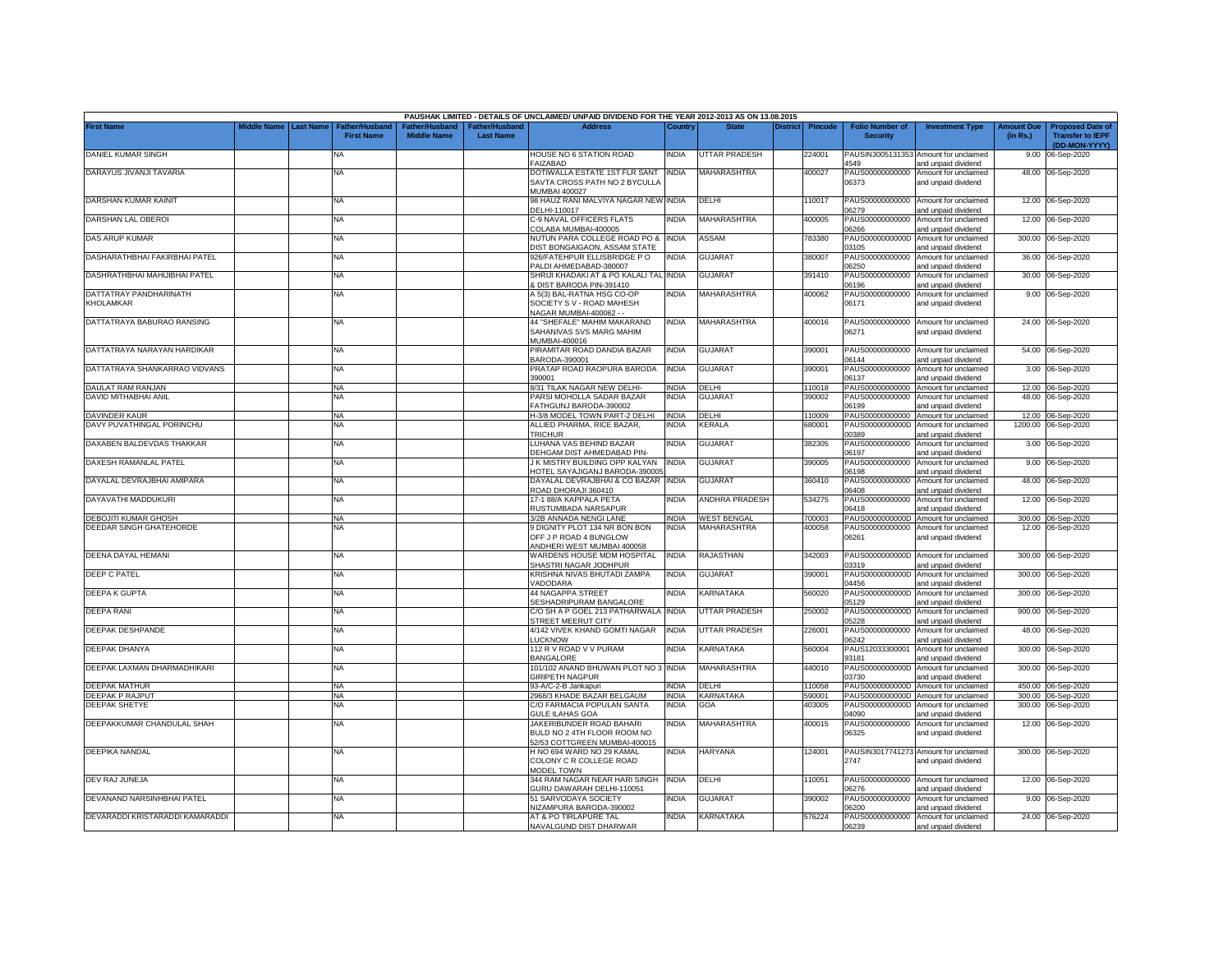|                                                               |                    |                  |                                            |                                      |                                    | PAUSHAK LIMITED - DETAILS OF UNCLAIMED/ UNPAID DIVIDEND FOR THE YEAR 2012-2013 AS ON 13.08.2015 |                              |                       |                 |                  |                                           |                                                              |                               |                                                                     |
|---------------------------------------------------------------|--------------------|------------------|--------------------------------------------|--------------------------------------|------------------------------------|-------------------------------------------------------------------------------------------------|------------------------------|-----------------------|-----------------|------------------|-------------------------------------------|--------------------------------------------------------------|-------------------------------|---------------------------------------------------------------------|
| <b>First Name</b>                                             | <b>Aiddle Name</b> | <b>Last Name</b> | <b>Father/Husband</b><br><b>First Name</b> | Father/Husband<br><b>Middle Name</b> | Father/Husband<br><b>Last Name</b> | <b>Address</b>                                                                                  | Country                      | <b>State</b>          | <b>District</b> | Pincode          | <b>Folio Number of</b><br><b>Security</b> | <b>Investment Type</b>                                       | <b>Amount Due</b><br>(in Rs.) | <b>Proposed Date of</b><br><b>Transfer to IEPF</b><br>(DD-MON-YYYY) |
| DANIEL KUMAR SINGH                                            |                    |                  | NA                                         |                                      |                                    | HOUSE NO 6 STATION ROAD<br>FAIZABAD                                                             | <b>INDIA</b>                 | <b>UTTAR PRADESH</b>  |                 | 224001           | 4549                                      | PAUSIN3005131353 Amount for unclaimed<br>and unpaid dividend |                               | 9.00 06-Sep-2020                                                    |
| DARAYUS JIVANJI TAVARIA                                       |                    |                  | NA                                         |                                      |                                    | DOTIWALLA ESTATE 1ST FLR SANT INDIA<br>SAVTA CROSS PATH NO 2 BYCULLA<br><b>MUMBAI 400027</b>    |                              | <b>MAHARASHTRA</b>    |                 | 400027           | PAUS00000000000<br>06373                  | Amount for unclaimed<br>and unpaid dividend                  |                               | 48.00 06-Sep-2020                                                   |
| DARSHAN KUMAR KAINIT                                          |                    |                  | NA                                         |                                      |                                    | 98 HAUZ RANI MALVIYA NAGAR NEW INDIA<br>DELHI-110017                                            |                              | DELHI                 |                 | 110017           | 6279                                      | PAUS00000000000 Amount for unclaimed<br>and unpaid dividend  |                               | 12.00 06-Sep-2020                                                   |
| DARSHAN LAL OBEROI                                            |                    |                  | NA                                         |                                      |                                    | C-9 NAVAL OFFICERS FLATS<br>COLABA MUMBAI-400005                                                | <b>INDIA</b>                 | <b>MAHARASHTRA</b>    |                 | 400005           | PAUS00000000000<br>06266                  | Amount for unclaimed<br>and unpaid dividend                  |                               | 12.00 06-Sep-2020                                                   |
| DAS ARUP KUMAR                                                |                    |                  | NA                                         |                                      |                                    | NUTUN PARA COLLEGE ROAD PO &<br><b>DIST BONGAIGAON, ASSAM STATE</b>                             | <b>INDIA</b>                 | ASSAM                 |                 | 783380           | PAUS0000000000D<br>3105                   | Amount for unclaimed<br>and unpaid dividend                  |                               | 300.00 06-Sep-2020                                                  |
| DASHARATHBHAI FAKIRBHAI PATEL                                 |                    |                  | NA.                                        |                                      |                                    | 926/FATEHPUR ELLISBRIDGE PO<br>ALDI AHMEDABAD-380007                                            | NDIA                         | <b>GUJARAT</b>        |                 | 380007           | PAUS00000000000<br>06250                  | Amount for unclaimed<br>and unpaid dividend                  | 36.00                         | 06-Sep-2020                                                         |
| DASHRATHBHAI MAHIJIBHAI PATEL                                 |                    |                  | NA                                         |                                      |                                    | SHRIJI KHADAKI AT & PO KALALI TAL INDIA<br>DIST BARODA PIN-391410                               |                              | GUJARAT               |                 | 391410           | PAUS00000000000<br>6196                   | Amount for unclaimed<br>and unpaid dividend                  |                               | 30.00 06-Sep-2020                                                   |
| DATTATRAY PANDHARINATH<br><b><holamkar< b=""></holamkar<></b> |                    |                  | <b>NA</b>                                  |                                      |                                    | 4 5(3) BAL-RATNA HSG CO-OF<br>SOCIETY S V - ROAD MAHESH<br>NAGAR MUMBAI-400062 - -              | INDIA                        | MAHARASHTRA           |                 | 400062           | PAUS00000000000<br>06171                  | Amount for unclaimed<br>and unpaid dividend                  |                               | 9.00 06-Sep-2020                                                    |
| DATTATRAYA BABURAO RANSING                                    |                    |                  | NA                                         |                                      |                                    | 44 "SHEFALE" MAHIM MAKARAND<br>SAHANIVAS SVS MARG MAHIM<br>MUMBAI-400016                        | <b>INDIA</b>                 | <b>MAHARASHTRA</b>    |                 | 400016           | 06271                                     | PAUS00000000000 Amount for unclaimed<br>and unpaid dividend  |                               | 24.00 06-Sep-2020                                                   |
| DATTATRAYA NARAYAN HARDIKAR                                   |                    |                  | NA                                         |                                      |                                    | PIRAMITAR ROAD DANDIA BAZAR<br>BARODA-390001                                                    | <b>INDIA</b>                 | GUJARAT               |                 | 390001           | PAUS00000000000<br>06144                  | Amount for unclaimed<br>and unpaid dividend                  |                               | 54.00 06-Sep-2020                                                   |
| DATTATRAYA SHANKARRAO VIDVANS                                 |                    |                  | NA                                         |                                      |                                    | PRATAP ROAD RAOPURA BARODA<br>390001                                                            | <b>INDIA</b>                 | <b>GUJARAT</b>        |                 | 390001           | PAUS00000000000<br>06137                  | Amount for unclaimed<br>and unpaid dividend                  |                               | 3.00 06-Sep-2020                                                    |
| DAULAT RAM RANJAN                                             |                    |                  | <b>NA</b>                                  |                                      |                                    | 8/31 TILAK NAGAR NEW DELHI-                                                                     | <b>INDIA</b>                 | DELHI                 |                 | 110018           |                                           | PAUS00000000000 Amount for unclaimed                         |                               | 12.00 06-Sep-2020                                                   |
| DAVID MITHABHAI ANIL                                          |                    |                  | NA                                         |                                      |                                    | PARSI MOHOLLA SADAR BAZAR<br>FATHGUNJ BARODA-390002                                             | <b>INDIA</b>                 | <b>GUJARAT</b>        |                 | 390002           | PAUS00000000000<br>06199                  | Amount for unclaimed                                         | 48.00                         | 06-Sep-2020                                                         |
| <b>DAVINDER KAUR</b>                                          |                    |                  | NA                                         |                                      |                                    | H-3/8 MODEL TOWN PART-2 DELHI                                                                   | <b>INDIA</b>                 | <b>DELHI</b>          |                 | 110009           | PAUS00000000000                           | and unpaid dividend<br>Amount for unclaimed                  |                               | 12.00 06-Sep-2020                                                   |
| DAVY PUVATHINGAL PORINCHU                                     |                    |                  | NA                                         |                                      |                                    | ALLIED PHARMA, RICE BAZAR,<br><b>TRICHUR</b>                                                    | NDIA                         | <b>CERALA</b>         |                 | 680001           | PAUS0000000000D<br>00389                  | Amount for unclaimed<br>and unpaid dividend                  | 1200.00                       | 06-Sep-2020                                                         |
| DAXABEN BALDEVDAS THAKKAR                                     |                    |                  | <b>NA</b>                                  |                                      |                                    | LUHANA VAS BEHIND BAZAR<br>DEHGAM DIST AHMEDABAD PIN-                                           | INDIA                        | <b>GUJARAT</b>        |                 | 382305           | PAUS00000000000<br>06197                  | Amount for unclaimed<br>and unpaid dividend                  |                               | 3.00 06-Sep-2020                                                    |
| DAXESH RAMANLAL PATEL                                         |                    |                  | NA                                         |                                      |                                    | J K MISTRY BUILDING OPP KALYAN INDIA<br>HOTEL SAYAJIGANJ BARODA-390005                          |                              | GUJARAT               |                 | 390005           | 06198                                     | PAUS00000000000 Amount for unclaimed<br>and unpaid dividend  |                               | 9.00 06-Sep-2020                                                    |
| DAYALAL DEVRAJBHAI AMIPARA                                    |                    |                  | NA                                         |                                      |                                    | DAYALAL DEVRAJBHAI & CO BAZAR INDIA<br>ROAD DHORAJI 360410                                      |                              | <b>GUJARAT</b>        |                 | 360410           | 06408                                     | PAUS00000000000 Amount for unclaimed<br>and unpaid dividend  |                               | 48.00 06-Sep-2020                                                   |
| DAYAVATHI MADDUKURI                                           |                    |                  | NA                                         |                                      |                                    | 17-188/A KAPPALA PETA<br>RUSTUMBADA NARSAPUR                                                    | <b>INDIA</b>                 | <b>ANDHRA PRADESH</b> |                 | 534275           | PAUS00000000000<br>06418                  | Amount for unclaimed<br>and unpaid dividend                  |                               | 12.00 06-Sep-2020                                                   |
| DEBOJITI KUMAR GHOSH                                          |                    |                  | NA                                         |                                      |                                    | 3/2B ANNADA NENGI LANE                                                                          | <b>INDIA</b>                 | <b>WEST BENGAL</b>    |                 | 700003           | PAUS0000000000D                           | Amount for unclaimed                                         |                               | 300.00 06-Sep-2020                                                  |
| DEEDAR SINGH GHATEHORDE                                       |                    |                  | NA.                                        |                                      |                                    | 9 DIGNITY PLOT 134 NR BON BON<br>OFF J P ROAD 4 BUNGLOW<br>ANDHERI WEST MUMBAI 400058           | <b>INDIA</b>                 | <b>MAHARASHTRA</b>    |                 | 400058           | 06261                                     | PAUS00000000000 Amount for unclaimed<br>and unpaid dividend  |                               | 12.00 06-Sep-2020                                                   |
| DEENA DAYAL HEMANI                                            |                    |                  | NA                                         |                                      |                                    | WARDENS HOUSE MDM HOSPITAL<br>SHASTRI NAGAR JODHPUR                                             | <b>INDIA</b>                 | RAJASTHAN             |                 | 342003           | PAUS0000000000D<br>03319                  | Amount for unclaimed<br>and unpaid dividend                  |                               | 300.00 06-Sep-2020                                                  |
| <b>DEEP C PATEL</b>                                           |                    |                  | ΝA                                         |                                      |                                    | KRISHNA NIVAS BHUTADI ZAMPA<br><b>ADODARA</b>                                                   | <b>INDIA</b>                 | GUJARAT               |                 | 390001           | PAUS0000000000D<br>04456                  | Amount for unclaimed<br>and unpaid dividend                  | 300.00                        | 06-Sep-2020                                                         |
| <b>DEEPA K GUPTA</b>                                          |                    |                  | <b>NA</b>                                  |                                      |                                    | 44 NAGAPPA STREET<br>SESHADRIPURAM BANGALORE                                                    | NDIA                         | KARNATAKA             |                 | 560020           | PAUS0000000000D<br>5129                   | Amount for unclaimed<br>and unpaid dividend                  |                               | 300.00 06-Sep-2020                                                  |
| DEEPA RANI                                                    |                    |                  | <b>NA</b>                                  |                                      |                                    | C/O SH A P GOEL 213 PATHARWALA<br>STREET MEERUT CITY                                            | <b>INDIA</b>                 | <b>UTTAR PRADESH</b>  |                 | 250002           | PAUS0000000000D<br>05228                  | Amount for unclaimed<br>and unpaid dividend                  |                               | 900.00 06-Sep-2020                                                  |
| DEEPAK DESHPANDE                                              |                    |                  | NA                                         |                                      |                                    | 4/142 VIVEK KHAND GOMTI NAGAR<br>LUCKNOW                                                        | <b>INDIA</b>                 | <b>UTTAR PRADESH</b>  |                 | 226001           | PAUS00000000000<br>06242                  | Amount for unclaimed<br>and unpaid dividend                  | 48.00                         | 06-Sep-2020                                                         |
| DEEPAK DHANYA                                                 |                    |                  | NA                                         |                                      |                                    | 112 R V ROAD V V PURAM<br><b>BANGALORE</b>                                                      | <b>INDIA</b>                 | KARNATAKA             |                 | 560004           | PAUS12033300001<br>93181                  | Amount for unclaimed<br>and unpaid dividend                  | 300.00                        | 06-Sep-2020                                                         |
| DEEPAK LAXMAN DHARMADHIKARI                                   |                    |                  | NA                                         |                                      |                                    | 101/102 ANAND BHUWAN PLOT NO 3 INDIA<br><b>GIRIPETH NAGPUR</b>                                  |                              | MAHARASHTRA           |                 | 440010           | PAUS0000000000D<br>03730                  | Amount for unclaimed<br>and unpaid dividend                  | 300.00                        | 06-Sep-2020                                                         |
| <b>DEEPAK MATHUR</b>                                          |                    |                  | <b>NA</b>                                  |                                      |                                    | 93-A/C-2-B Jankapuri                                                                            | <b>INDIA</b>                 | DELHI                 |                 | 110058           | PAUS0000000000D                           | Amount for unclaimed                                         | 450.00                        | 06-Sep-2020                                                         |
| EEPAK P RAJPUT<br>DEEPAK SHETYE                               |                    |                  | NA<br>NA                                   |                                      |                                    | 2968/3 KHADE BAZAR BELGAUM<br>C/O FARMACIA POPULAN SANTA                                        | <b>INDIA</b><br><b>INDIA</b> | KARNATAKA<br>GOA      |                 | 590001<br>403005 | PAUS0000000000D                           | PAUS0000000000D Amount for unclaimed<br>Amount for unclaimed |                               | 300.00 06-Sep-2020<br>300.00 06-Sep-2020                            |
|                                                               |                    |                  |                                            |                                      |                                    | <b>GULE ILAHAS GOA</b>                                                                          |                              |                       |                 |                  | 04090                                     | and unpaid dividend                                          |                               |                                                                     |
| DEEPAKKUMAR CHANDULAL SHAH                                    |                    |                  | <b>NA</b>                                  |                                      |                                    | JAKERIBUNDER ROAD BAHARI<br>BULD NO 2 4TH FLOOR ROOM NO<br>52/53 COTTGREEN MUMBAI-400015        | INDIA                        | MAHARASHTRA           |                 | 400015           | PAUS00000000000<br>06325                  | Amount for unclaimed<br>and unpaid dividend                  |                               | 12.00 06-Sep-2020                                                   |
| <b>DEEPIKA NANDAL</b>                                         |                    |                  | NA                                         |                                      |                                    | H NO 694 WARD NO 29 KAMAL<br>COLONY C R COLLEGE ROAD<br><b>MODEL TOWN</b>                       | NDIA                         | <b>HARYANA</b>        |                 | 124001           | 2747                                      | PAUSIN3017741273 Amount for unclaimed<br>and unpaid dividend |                               | 300.00 06-Sep-2020                                                  |
| DEV RAJ JUNEJA                                                |                    |                  | NA                                         |                                      |                                    | 344 RAM NAGAR NEAR HARI SINGH INDIA<br>GURU DAWARAH DELHI-110051                                |                              | DELHI                 |                 | 110051           | 06276                                     | PAUS00000000000 Amount for unclaimed<br>and unpaid dividend  |                               | 12.00 06-Sep-2020                                                   |
| DEVANAND NARSINHBHAI PATEL                                    |                    |                  | NA                                         |                                      |                                    | 51 SARVODAYA SOCIETY<br>NIZAMPURA BARODA-390002                                                 | NDIA                         | <b>GUJARAT</b>        |                 | 390002           | 06200                                     | PAUS00000000000 Amount for unclaimed<br>and unpaid dividend  |                               | 9.00 06-Sep-2020                                                    |
| DEVARADDI KRISTARADDI KAMARADDI                               |                    |                  | NA                                         |                                      |                                    | AT & PO TIRLAPURE TAL<br>NAVALGUND DIST DHARWAR                                                 | <b>INDIA</b>                 | KARNATAKA             |                 | 576224           | 06239                                     | PAUS00000000000 Amount for unclaimed<br>and unpaid dividend  |                               | 24.00 06-Sep-2020                                                   |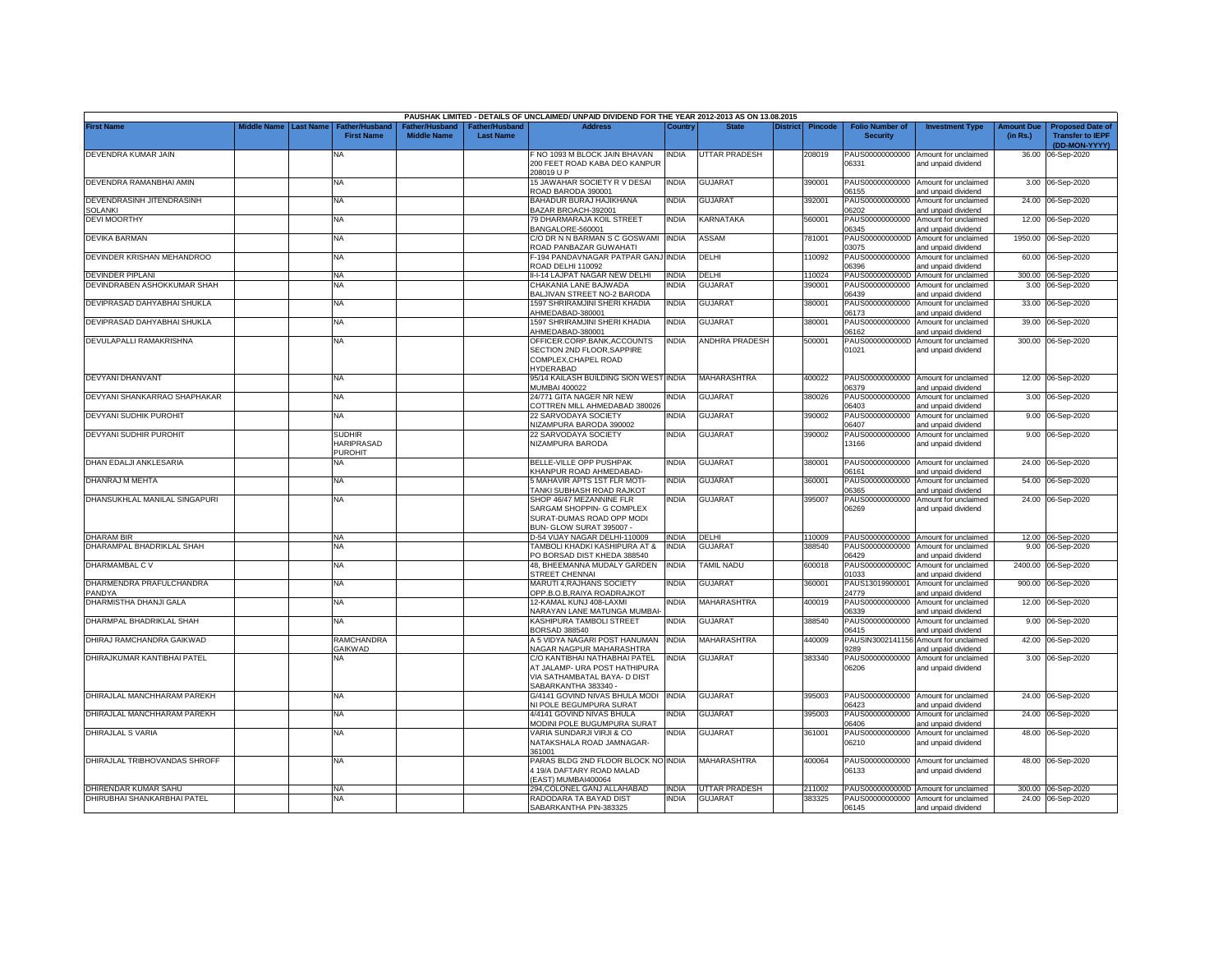|                                           |             |                  |                                            |                                      |                                    | PAUSHAK LIMITED - DETAILS OF UNCLAIMED/ UNPAID DIVIDEND FOR THE YEAR 2012-2013 AS ON 13.08.2015 |              |                      |                 |         |                                           |                                                              |                               |                                                                     |
|-------------------------------------------|-------------|------------------|--------------------------------------------|--------------------------------------|------------------------------------|-------------------------------------------------------------------------------------------------|--------------|----------------------|-----------------|---------|-------------------------------------------|--------------------------------------------------------------|-------------------------------|---------------------------------------------------------------------|
| <b>First Name</b>                         | Middle Name | <b>Last Name</b> | <b>Father/Husband</b><br><b>First Name</b> | Father/Husband<br><b>Middle Name</b> | Father/Husband<br><b>Last Name</b> | <b>Address</b>                                                                                  | Country      | <b>State</b>         | <b>District</b> | Pincode | <b>Folio Number of</b><br><b>Security</b> | <b>Investment Type</b>                                       | <b>Amount Due</b><br>(in Rs.) | <b>Proposed Date of</b><br><b>Transfer to IEPF</b><br>(DD-MON-YYYY) |
| DEVENDRA KUMAR JAIN                       |             |                  | NA                                         |                                      |                                    | F NO 1093 M BLOCK JAIN BHAVAN<br>200 FEET ROAD KABA DEO KANPUR                                  | <b>INDIA</b> | <b>UTTAR PRADESH</b> |                 | 208019  | 06331                                     | PAUS00000000000 Amount for unclaimed<br>and unpaid dividend  |                               | 36.00 06-Sep-2020                                                   |
| DEVENDRA RAMANBHAI AMIN                   |             |                  | <b>NA</b>                                  |                                      |                                    | 208019 U P<br>15 JAWAHAR SOCIETY R V DESAI                                                      | <b>INDIA</b> | <b>GUJARAT</b>       |                 | 390001  |                                           | PAUS00000000000 Amount for unclaimed                         |                               | 3.00 06-Sep-2020                                                    |
| DEVENDRASINH JITENDRASINH                 |             |                  | <b>NA</b>                                  |                                      |                                    | ROAD BARODA 390001<br>BAHADUR BURAJ HAJIKHANA                                                   | NDIA         | GUJARAT              |                 | 392001  | 06155                                     | and unpaid dividend<br>PAUS00000000000 Amount for unclaimed  |                               | 24.00 06-Sep-2020                                                   |
| SOLANKI                                   |             |                  |                                            |                                      |                                    | BAZAR BROACH-392001                                                                             |              |                      |                 |         | 06202                                     | and unpaid dividend                                          |                               |                                                                     |
| <b>DEVIMOORTHY</b>                        |             |                  | <b>NA</b>                                  |                                      |                                    | 79 DHARMARAJA KOIL STREET<br>BANGALORE-560001                                                   | NDIA         | KARNATAKA            |                 | 560001  | 06345                                     | PAUS00000000000 Amount for unclaimed<br>and unpaid dividend  |                               | 12.00 06-Sep-2020                                                   |
| DEVIKA BARMAN                             |             |                  | <b>NA</b>                                  |                                      |                                    | C/O DR N N BARMAN S C GOSWAMI<br>ROAD PANBAZAR GUWAHATI                                         | <b>INDIA</b> | ASSAM                |                 | 781001  | PAUS0000000000D<br>3075                   | Amount for unclaimed<br>and unpaid dividend                  |                               | 1950.00 06-Sep-2020                                                 |
| DEVINDER KRISHAN MEHANDROO                |             |                  | <b>NA</b>                                  |                                      |                                    | F-194 PANDAVNAGAR PATPAR GANJ INDIA<br>ROAD DELHI 110092                                        |              | DELHI                |                 | 110092  | 06396                                     | PAUS00000000000 Amount for unclaimed<br>and unpaid dividend  |                               | 60.00 06-Sep-2020                                                   |
| EVINDER PIPLANI                           |             |                  | <b>NA</b>                                  |                                      |                                    | II-I-14 LAJPAT NAGAR NEW DELHI                                                                  | NDIA         | DELHI                |                 | 110024  | PAUS0000000000D                           | Amount for unclaimed                                         |                               | 300.00 06-Sep-2020                                                  |
| DEVINDRABEN ASHOKKUMAR SHAH               |             |                  | NA                                         |                                      |                                    | CHAKANIA LANE BAJWADA<br>BALJIVAN STREET NO-2 BARODA                                            | NDIA         | <b>GUJARAT</b>       |                 | 390001  | PAUS00000000000<br>06439                  | Amount for unclaimed<br>and unpaid dividend                  |                               | 3.00 06-Sep-2020                                                    |
| DEVIPRASAD DAHYABHAI SHUKLA               |             |                  | <b>NA</b>                                  |                                      |                                    | 1597 SHRIRAMJINI SHERI KHADIA<br>HMEDABAD-380001                                                | <b>INDIA</b> | <b>GUJARAT</b>       |                 | 380001  | 06173                                     | PAUS00000000000 Amount for unclaimed<br>and unpaid dividend  |                               | 33.00 06-Sep-2020                                                   |
| DEVIPRASAD DAHYABHAI SHUKLA               |             |                  | <b>NA</b>                                  |                                      |                                    | 1597 SHRIRAMJINI SHERI KHADIA                                                                   | <b>INDIA</b> | GUJARAT              |                 | 380001  |                                           | PAUS00000000000 Amount for unclaimed                         |                               | 39.00 06-Sep-2020                                                   |
| DEVULAPALLI RAMAKRISHNA                   |             |                  | <b>NA</b>                                  |                                      |                                    | HMEDABAD-380001<br>OFFICER.CORP.BANK,ACCOUNTS                                                   | INDIA        | ANDHRA PRADESH       |                 | 500001  | 06162<br>PAUS0000000000D                  | and unpaid dividend<br>Amount for unclaimed                  |                               | 300.00 06-Sep-2020                                                  |
|                                           |             |                  |                                            |                                      |                                    | SECTION 2ND FLOOR, SAPPIRE<br>COMPLEX, CHAPEL ROAD<br><b>HYDERABAD</b>                          |              |                      |                 |         | 01021                                     | and unpaid dividend                                          |                               |                                                                     |
| DEVYANI DHANVANT                          |             |                  | <b>NA</b>                                  |                                      |                                    | 95/14 KAILASH BUILDING SION WEST INDIA<br><b>MUMBAI 400022</b>                                  |              | <b>MAHARASHTRA</b>   |                 | 400022  | 6379                                      | PAUS00000000000 Amount for unclaimed<br>and unpaid dividend  |                               | 12.00 06-Sep-2020                                                   |
| DEVYANI SHANKARRAO SHAPHAKAR              |             |                  | <b>NA</b>                                  |                                      |                                    | 24/771 GITA NAGER NR NEW<br>COTTREN MILL AHMEDABAD 380026                                       | NDIA         | <b>GUJARAT</b>       |                 | 380026  | 06403                                     | PAUS00000000000 Amount for unclaimed<br>and unpaid dividend  |                               | 3.00 06-Sep-2020                                                    |
| DEVYANI SUDHIK PUROHIT                    |             |                  | NA.                                        |                                      |                                    | 22 SARVODAYA SOCIETY<br><b>VIZAMPURA BARODA 390002</b>                                          | <b>NDIA</b>  | <b>GUJARAT</b>       |                 | 390002  | PAUS00000000000<br>06407                  | Amount for unclaimed<br>and unpaid dividend                  |                               | 9.00 06-Sep-2020                                                    |
| DEVYANI SUDHIR PUROHIT                    |             |                  | SUDHIR<br>HARIPRASAD<br><b>PUROHIT</b>     |                                      |                                    | 22 SARVODAYA SOCIETY<br><b>NIZAMPURA BARODA</b>                                                 | INDIA        | <b>GUJARAT</b>       |                 | 390002  | 13166                                     | PAUS00000000000 Amount for unclaimed<br>and unpaid dividend  |                               | 9.00 06-Sep-2020                                                    |
| DHAN EDALJI ANKLESARIA                    |             |                  | NΑ                                         |                                      |                                    | BELLE-VILLE OPP PUSHPAK<br><b>KHANPUR ROAD AHMEDABAD-</b>                                       | <b>INDIA</b> | <b>GUJARAT</b>       |                 | 380001  | 06161                                     | PAUS00000000000 Amount for unclaimed<br>and unpaid dividend  |                               | 24.00 06-Sep-2020                                                   |
| DHANRAJ M MEHTA                           |             |                  | NA                                         |                                      |                                    | 5 MAHAVIR APTS 1ST FLR MOTI-                                                                    | INDIA        | <b>GUJARAT</b>       |                 | 360001  |                                           | PAUS00000000000 Amount for unclaimed                         |                               | 54.00 06-Sep-2020                                                   |
| DHANSUKHLAL MANILAL SINGAPURI             |             |                  | NA                                         |                                      |                                    | TANKI SUBHASH ROAD RAJKOT<br>SHOP 46/47 MEZANNINE FLR                                           | NDIA         | <b>GUJARAT</b>       |                 | 395007  | 06365<br>PAUS00000000000                  | and unpaid dividend<br>Amount for unclaimed                  |                               | 24.00 06-Sep-2020                                                   |
|                                           |             |                  |                                            |                                      |                                    | SARGAM SHOPPIN- G COMPLEX<br>SURAT-DUMAS ROAD OPP MODI<br>BUN- GLOW SURAT 395007 -              |              |                      |                 |         | 06269                                     | and unpaid dividend                                          |                               |                                                                     |
| <b>DHARAM BIR</b>                         |             |                  | <b>NA</b>                                  |                                      |                                    | D-54 VIJAY NAGAR DELHI-110009                                                                   | <b>INDIA</b> | DELHI                |                 | 110009  |                                           | PAUS00000000000 Amount for unclaimed                         |                               | 12.00 06-Sep-2020                                                   |
| DHARAMPAL BHADRIKLAL SHAH                 |             |                  | NА                                         |                                      |                                    | TAMBOLI KHADKI KASHIPURA AT &<br>PO BORSAD DIST KHEDA 388540                                    | INDIA        | <b>GUJARAT</b>       |                 | 388540  | PAUS00000000000<br>06429                  | Amount for unclaimed<br>and unpaid dividend                  |                               | 9.00 06-Sep-2020                                                    |
| DHARMAMBAL C V                            |             |                  | <b>NA</b>                                  |                                      |                                    | 48, BHEEMANNA MUDALY GARDEN<br>STREET CHENNAI                                                   | <b>INDIA</b> | <b>TAMIL NADU</b>    |                 | 600018  | PAUS0000000000C<br>01033                  | Amount for unclaimed<br>and unpaid dividend                  | 2400.00                       | 06-Sep-2020                                                         |
| DHARMENDRA PRAFULCHANDRA<br><b>PANDYA</b> |             |                  | <b>NA</b>                                  |                                      |                                    | <b>MARUTI 4, RAJHANS SOCIETY</b><br>OPP.B.O.B,RAIYA ROADRAJKOT                                  | NDIA         | <b>GUJARAT</b>       |                 | 360001  | PAUS13019900001<br>24779                  | Amount for unclaimed<br>and unpaid dividend                  |                               | 900.00 06-Sep-2020                                                  |
| DHARMISTHA DHANJI GALA                    |             |                  | <b>NA</b>                                  |                                      |                                    | 12-KAMAL KUNJ 408-LAXMI                                                                         | NDIA         | MAHARASHTRA          |                 | 400019  | PAUS00000000000                           | Amount for unclaimed                                         |                               | 12.00 06-Sep-2020                                                   |
| DHARMPAL BHADRIKLAL SHAH                  |             |                  | ΝA                                         |                                      |                                    | <b>NARAYAN LANE MATUNGA MUMBAI-</b><br>KASHIPURA TAMBOLI STREET                                 | NDIA         | <b>GUJARAT</b>       |                 | 388540  | 06339<br>PAUS00000000000                  | and unpaid dividend<br>Amount for unclaimed                  |                               | 9.00 06-Sep-2020                                                    |
| DHIRAJ RAMCHANDRA GAIKWAD                 |             |                  | RAMCHANDRA                                 |                                      |                                    | BORSAD 388540<br>A 5 VIDYA NAGARI POST HANUMAN                                                  | <b>INDIA</b> | <b>MAHARASHTRA</b>   |                 | 440009  | 06415                                     | and unpaid dividend<br>PAUSIN3002141156 Amount for unclaimed |                               | 42.00 06-Sep-2020                                                   |
| DHIRAJKUMAR KANTIBHAI PATEL               |             |                  | GAIKWAD<br>NA                              |                                      |                                    | <b>VAGAR NAGPUR MAHARASHTRA</b><br>C/O KANTIBHAI NATHABHAI PATEL                                | <b>INDIA</b> | <b>GUJARAT</b>       |                 | 383340  | 9289<br>PAUS00000000000                   | and unpaid dividend<br>Amount for unclaimed                  |                               | 3.00 06-Sep-2020                                                    |
|                                           |             |                  |                                            |                                      |                                    | AT JALAMP- URA POST HATHIPURA<br>VIA SATHAMBATAL BAYA- D DIST<br>SABARKANTHA 383340             |              |                      |                 |         | 06206                                     | and unpaid dividend                                          |                               |                                                                     |
| DHIRAJLAL MANCHHARAM PAREKH               |             |                  | NA                                         |                                      |                                    | G/4141 GOVIND NIVAS BHULA MODI                                                                  | <b>INDIA</b> | <b>GUJARAT</b>       |                 | 395003  |                                           | PAUS00000000000 Amount for unclaimed                         |                               | 24.00 06-Sep-2020                                                   |
| DHIRAJLAL MANCHHARAM PAREKH               |             |                  | NA                                         |                                      |                                    | NI POLE BEGUMPURA SURAT<br>4/4141 GOVIND NIVAS BHULA                                            | NDIA         | GUJARAT              |                 | 395003  | 06423<br>PAUS00000000000                  | and unpaid dividend<br>Amount for unclaimed                  |                               | 24.00 06-Sep-2020                                                   |
| DHIRAJLAL S VARIA                         |             |                  | <b>NA</b>                                  |                                      |                                    | <b>MODINI POLE BUGUMPURA SURAT</b><br>VARIA SUNDARJI VIRJI & CO                                 | NDIA         | <b>GUJARAT</b>       |                 | 361001  | 06406<br>PAUS00000000000                  | and unpaid dividend<br>Amount for unclaimed                  |                               | 48.00 06-Sep-2020                                                   |
|                                           |             |                  |                                            |                                      |                                    | NATAKSHALA ROAD JAMNAGAR-<br>361001                                                             |              |                      |                 |         | 06210                                     | and unpaid dividend                                          |                               |                                                                     |
| DHIRAJLAL TRIBHOVANDAS SHROFF             |             |                  | NA                                         |                                      |                                    | PARAS BLDG 2ND FLOOR BLOCK NO INDIA<br>4 19/A DAFTARY ROAD MALAD<br>EAST) MUMBAI400064          |              | <b>MAHARASHTRA</b>   |                 | 400064  | 06133                                     | PAUS00000000000 Amount for unclaimed<br>and unpaid dividend  |                               | 48.00 06-Sep-2020                                                   |
| DHIRENDAR KUMAR SAHU                      |             |                  | NA                                         |                                      |                                    | 294, COLONEL GANJ ALLAHABAD                                                                     | INDIA        | UTTAR PRADESH        |                 | 211002  | PAUS0000000000D                           | Amount for unclaimed                                         |                               | 300.00 06-Sep-2020                                                  |
| DHIRUBHAI SHANKARBHAI PATEL               |             |                  | NA                                         |                                      |                                    | RADODARA TA BAYAD DIST<br>SABARKANTHA PIN-383325                                                | NDIA         | GUJARAT              |                 | 383325  | PAUS00000000000<br>06145                  | Amount for unclaimed<br>and unpaid dividend                  |                               | 24.00 06-Sep-2020                                                   |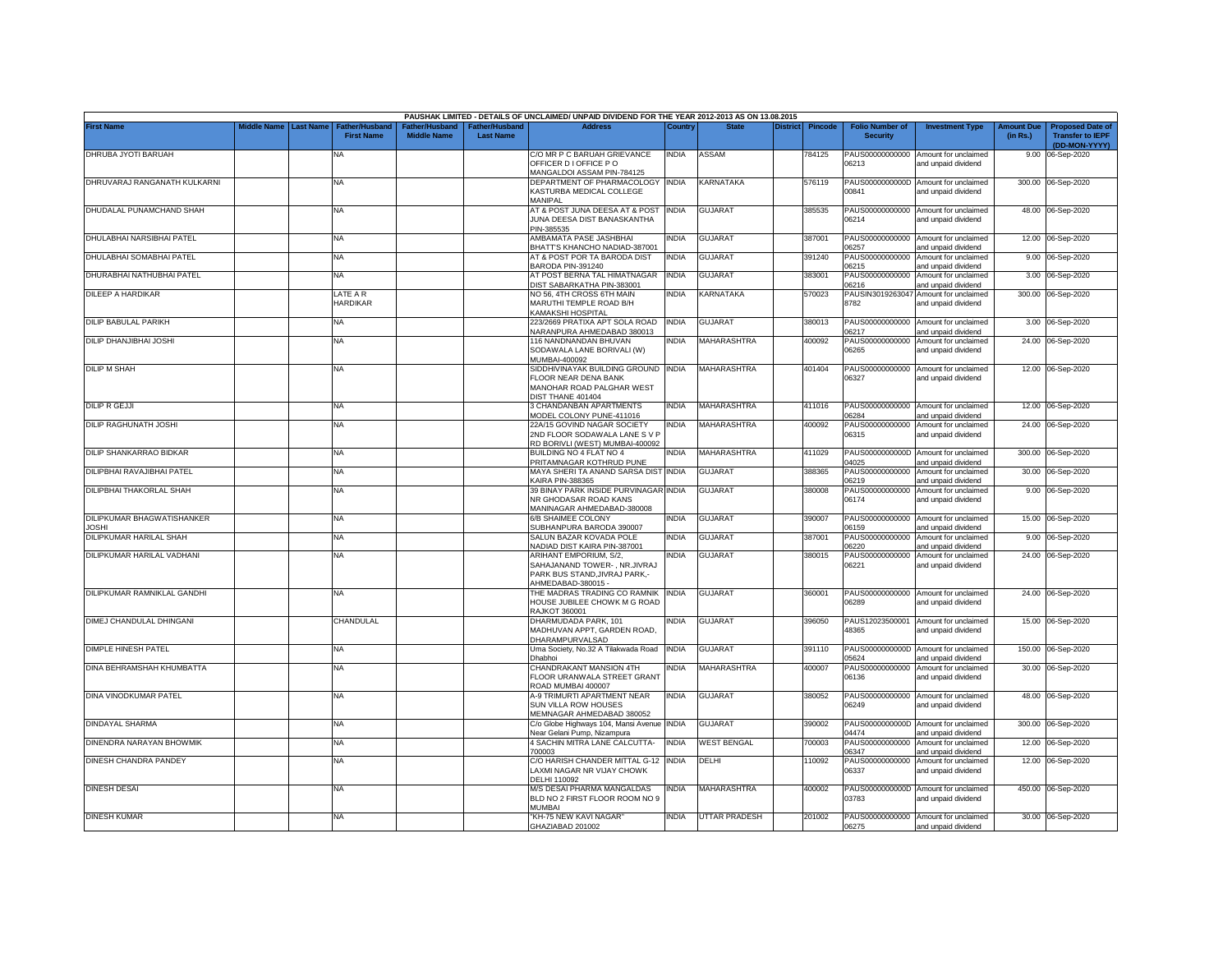|                                         |             |                  |                                            |                                      |                                   | PAUSHAK LIMITED - DETAILS OF UNCLAIMED/ UNPAID DIVIDEND FOR THE YEAR 2012-2013 AS ON 13.08.2015 |              |                      |                 |                |                                           |                                                                    |                               |                                                    |
|-----------------------------------------|-------------|------------------|--------------------------------------------|--------------------------------------|-----------------------------------|-------------------------------------------------------------------------------------------------|--------------|----------------------|-----------------|----------------|-------------------------------------------|--------------------------------------------------------------------|-------------------------------|----------------------------------------------------|
| <b>First Name</b>                       | Middle Name | <b>Last Name</b> | <b>Father/Husband</b><br><b>First Name</b> | Father/Husband<br><b>Middle Name</b> | ather/Husband<br><b>Last Name</b> | <b>Address</b>                                                                                  | Country      | <b>State</b>         | <b>District</b> | <b>Pincode</b> | <b>Folio Number of</b><br><b>Security</b> | <b>Investment Type</b>                                             | <b>Amount Due</b><br>(in Rs.) | <b>Proposed Date of</b><br><b>Transfer to IEPF</b> |
| DHRUBA JYOTI BARUAH                     |             |                  | <b>NA</b>                                  |                                      |                                   | C/O MR P C BARUAH GRIEVANCE<br>OFFICER D I OFFICE P O                                           | <b>INDIA</b> | ASSAM                |                 | 784125         | 06213                                     | PAUS00000000000 Amount for unclaimed<br>and unpaid dividend        |                               | (DD-MON-YYYY)<br>9.00 06-Sep-2020                  |
|                                         |             |                  |                                            |                                      |                                   | MANGALDOI ASSAM PIN-784125                                                                      |              |                      |                 |                |                                           |                                                                    |                               |                                                    |
| DHRUVARAJ RANGANATH KULKARNI            |             |                  | <b>NA</b>                                  |                                      |                                   | DEPARTMENT OF PHARMACOLOGY INDIA<br>KASTURBA MEDICAL COLLEGE<br>MANIPAL                         |              | KARNATAKA            |                 | 576119         | 00841                                     | PAUS0000000000D Amount for unclaimed<br>and unpaid dividend        |                               | 300.00 06-Sep-2020                                 |
| DHUDALAL PUNAMCHAND SHAH                |             |                  | <b>NA</b>                                  |                                      |                                   | AT & POST JUNA DEESA AT & POST INDIA<br>JUNA DEESA DIST BANASKANTHA                             |              | <b>GUJARAT</b>       |                 | 385535         | 06214                                     | PAUS00000000000 Amount for unclaimed<br>and unpaid dividend        |                               | 48.00 06-Sep-2020                                  |
| DHULABHAI NARSIBHAI PATEL               |             |                  | NA                                         |                                      |                                   | PIN-385535<br>AMBAMATA PASE JASHBHAI                                                            | INDIA        | <b>GUJARAT</b>       |                 | 387001         | PAUS00000000000                           | Amount for unclaimed                                               |                               | 12.00 06-Sep-2020                                  |
| DHULABHAI SOMABHAI PATEL                |             |                  | NA                                         |                                      |                                   | BHATT'S KHANCHO NADIAD-387001<br>AT & POST POR TA BARODA DIST                                   | <b>INDIA</b> | <b>GUJARAT</b>       |                 | 391240         | 06257<br>PAUS00000000000                  | ind unpaid dividend<br>Amount for unclaimed                        |                               | 9.00 06-Sep-2020                                   |
| DHURABHAI NATHUBHAI PATEL               |             |                  | NA                                         |                                      |                                   | BARODA PIN-391240<br>AT POST BERNA TAL HIMATNAGAR                                               | <b>INDIA</b> | <b>GUJARAT</b>       |                 | 383001         | 06215<br>PAUS00000000000                  | and unpaid dividend<br>Amount for unclaimed                        |                               | 3.00 06-Sep-2020                                   |
| DILEEP A HARDIKAR                       |             |                  | LATE A R                                   |                                      |                                   | DIST SABARKATHA PIN-383001<br>NO 56, 4TH CROSS 6TH MAIN                                         | <b>INDIA</b> | KARNATAKA            |                 | 570023         | 06216<br>PAUSIN3019263047                 | ind unpaid dividend<br>Amount for unclaimed                        |                               | 300.00 06-Sep-2020                                 |
|                                         |             |                  | <b>HARDIKAR</b>                            |                                      |                                   | MARUTHI TEMPLE ROAD B/H<br>KAMAKSHI HOSPITAL                                                    |              |                      |                 |                | 8782                                      | and unpaid dividend                                                |                               |                                                    |
| DILIP BABULAL PARIKH                    |             |                  | <b>NA</b>                                  |                                      |                                   | 223/2669 PRATIXA APT SOLA ROAD<br>NARANPURA AHMEDABAD 380013                                    | <b>INDIA</b> | <b>GUJARAT</b>       |                 | 380013         | 06217                                     | PAUS00000000000 Amount for unclaimed<br>and unpaid dividend        |                               | 3.00 06-Sep-2020                                   |
| DILIP DHANJIBHAI JOSHI                  |             |                  | <b>NA</b>                                  |                                      |                                   | 116 NANDNANDAN BHUVAN<br>SODAWALA LANE BORIVALI (W)<br>MUMBAI-400092                            | <b>INDIA</b> | <b>MAHARASHTRA</b>   |                 | 400092         | PAUS00000000000<br>06265                  | Amount for unclaimed<br>and unpaid dividend                        | 24.00                         | 06-Sep-2020                                        |
| <b>DILIP M SHAH</b>                     |             |                  | <b>NA</b>                                  |                                      |                                   | SIDDHIVINAYAK BUILDING GROUND INDIA<br>FLOOR NEAR DENA BANK<br>MANOHAR ROAD PALGHAR WEST        |              | <b>MAHARASHTRA</b>   |                 | 401404         | 06327                                     | PAUS00000000000 Amount for unclaimed<br>and unpaid dividend        |                               | 12.00 06-Sep-2020                                  |
| <b>DILIP R GEJJI</b>                    |             |                  | <b>NA</b>                                  |                                      |                                   | DIST THANE 401404<br>3 CHANDANBAN APARTMENTS<br>MODEL COLONY PUNE-411016                        | <b>INDIA</b> | MAHARASHTRA          |                 | 411016         | 06284                                     | PAUS00000000000 Amount for unclaimed                               |                               | 12.00 06-Sep-2020                                  |
| DILIP RAGHUNATH JOSHI                   |             |                  | <b>NA</b>                                  |                                      |                                   | 22A/15 GOVIND NAGAR SOCIETY<br>2ND FLOOR SODAWALA LANE S V P                                    | <b>INDIA</b> | MAHARASHTRA          |                 | 400092         | PAUS00000000000<br>06315                  | and unpaid dividend<br>Amount for unclaimed<br>and unpaid dividend |                               | 24.00 06-Sep-2020                                  |
| DILIP SHANKARRAO BIDKAR                 |             |                  | <b>NA</b>                                  |                                      |                                   | RD BORIVLI (WEST) MUMBAI-400092<br>BUILDING NO 4 FLAT NO 4<br>PRITAMNAGAR KOTHRUD PUNE          | <b>INDIA</b> | <b>MAHARASHTRA</b>   |                 | 411029         | 14025                                     | PAUS0000000000D Amount for unclaimed<br>and unpaid dividend        |                               | 300.00 06-Sep-2020                                 |
| DILIPBHAI RAVAJIBHAI PATEL              |             |                  | <b>NA</b>                                  |                                      |                                   | MAYA SHERI TA ANAND SARSA DIST INDIA<br><b>KAIRA PIN-388365</b>                                 |              | GUJARAT              |                 | 388365         | 06219                                     | PAUS00000000000 Amount for unclaimed<br>and unpaid dividend        |                               | 30.00 06-Sep-2020                                  |
| DILIPBHAI THAKORLAL SHAH                |             |                  | NA                                         |                                      |                                   | 39 BINAY PARK INSIDE PURVINAGAR INDIA<br>NR GHODASAR ROAD KANS                                  |              | <b>GUJARAT</b>       |                 | 380008         | 06174                                     | PAUS00000000000 Amount for unclaimed<br>and unpaid dividend        |                               | 9.00 06-Sep-2020                                   |
| DILIPKUMAR BHAGWATISHANKER              |             |                  | <b>NA</b>                                  |                                      |                                   | MANINAGAR AHMEDABAD-380008<br>6/B SHAIMEE COLONY                                                | India        | GUJARAT              |                 | 390007         | PAUS00000000000                           | Amount for unclaimed                                               |                               | 15.00 06-Sep-2020                                  |
| <b>JOSHI</b><br>DILIPKUMAR HARILAL SHAH |             |                  | NA                                         |                                      |                                   | SUBHANPURA BARODA 390007<br>SALUN BAZAR KOVADA POLE                                             | <b>INDIA</b> | <b>GUJARAT</b>       |                 | 387001         | 06159<br>PAUS00000000000                  | and unpaid dividend<br>Amount for unclaimed                        |                               | 9.00 06-Sep-2020                                   |
| DILIPKUMAR HARILAL VADHANI              |             |                  | <b>NA</b>                                  |                                      |                                   | NADIAD DIST KAIRA PIN-387001<br>ARIHANT EMPORIUM, S/2,                                          | INDIA        | <b>GUJARAT</b>       |                 | 380015         | 06220                                     | ind unpaid dividend<br>PAUS00000000000 Amount for unclaimed        |                               | 24.00 06-Sep-2020                                  |
|                                         |             |                  |                                            |                                      |                                   | SAHAJANAND TOWER-, NR.JIVRAJ<br>PARK BUS STAND, JIVRAJ PARK,-<br>AHMEDABAD-380015 -             |              |                      |                 |                | 06221                                     | and unpaid dividend                                                |                               |                                                    |
| DILIPKUMAR RAMNIKLAL GANDHI             |             |                  | <b>NA</b>                                  |                                      |                                   | THE MADRAS TRADING CO RAMNIK<br>HOUSE JUBILEE CHOWK M G ROAD<br><b>RAJKOT 360001</b>            | <b>INDIA</b> | <b>GUJARAT</b>       |                 | 360001         | 06289                                     | PAUS00000000000 Amount for unclaimed<br>and unpaid dividend        |                               | 24.00 06-Sep-2020                                  |
| DIMEJ CHANDULAL DHINGANI                |             |                  | CHANDULAL                                  |                                      |                                   | DHARMUDADA PARK, 101<br>MADHUVAN APPT, GARDEN ROAD,                                             | INDIA        | <b>GUJARAT</b>       |                 | 396050         | PAUS12023500001<br>48365                  | Amount for unclaimed<br>and unpaid dividend                        |                               | 15.00 06-Sep-2020                                  |
| DIMPLE HINESH PATEL                     |             |                  | <b>NA</b>                                  |                                      |                                   | DHARAMPURVALSAD<br>Uma Society, No.32 A Tilakwada Road                                          | <b>INDIA</b> | <b>GUJARAT</b>       |                 | 391110         |                                           | PAUS0000000000D Amount for unclaimed                               | 150.00                        | 06-Sep-2020                                        |
| DINA BEHRAMSHAH KHUMBATTA               |             |                  | <b>NA</b>                                  |                                      |                                   | Dhabhoi<br>CHANDRAKANT MANSION 4TH<br>FLOOR URANWALA STREET GRANT                               | <b>INDIA</b> | MAHARASHTRA          |                 | 400007         | 05624<br>PAUS00000000000<br>06136         | and unpaid dividend<br>Amount for unclaimed<br>and unpaid dividend |                               | 30.00 06-Sep-2020                                  |
| DINA VINODKUMAR PATEL                   |             |                  | <b>NA</b>                                  |                                      |                                   | ROAD MUMBAI 400007<br>A-9 TRIMURTI APARTMENT NEAR<br>SUN VILLA ROW HOUSES                       | <b>INDIA</b> | GUJARAT              |                 | 380052         | PAUS00000000000<br>06249                  | Amount for unclaimed<br>and unpaid dividend                        |                               | 48.00 06-Sep-2020                                  |
| DINDAYAL SHARMA                         |             |                  | <b>NA</b>                                  |                                      |                                   | MEMNAGAR AHMEDABAD 380052<br>C/o Globe Highways 104, Mansi Avenue INDIA                         |              | GUJARAT              |                 | 390002         |                                           | PAUS0000000000D Amount for unclaimed                               |                               | 300.00 06-Sep-2020                                 |
| DINENDRA NARAYAN BHOWMIK                |             |                  | NA                                         |                                      |                                   | Near Gelani Pump, Nizampura<br>4 SACHIN MITRA LANE CALCUTTA-                                    | <b>INDIA</b> | <b>WEST BENGAL</b>   |                 | 700003         | 04474<br>PAUS00000000000                  | and unpaid dividend<br>Amount for unclaimed                        | 12.00                         | 06-Sep-2020                                        |
| DINESH CHANDRA PANDEY                   |             |                  | <b>NA</b>                                  |                                      |                                   | 700003<br>C/O HARISH CHANDER MITTAL G-12 INDIA                                                  |              | DELHI                |                 | 110092         | 06347<br>PAUS00000000000                  | and unpaid dividend<br>Amount for unclaimed                        |                               | 12.00 06-Sep-2020                                  |
|                                         |             |                  |                                            |                                      |                                   | LAXMI NAGAR NR VIJAY CHOWK<br>DELHI 110092                                                      |              |                      |                 |                | 06337                                     | and unpaid dividend                                                |                               |                                                    |
| <b>DINESH DESAI</b>                     |             |                  | NA                                         |                                      |                                   | M/S DESAI PHARMA MANGALDAS<br>BLD NO 2 FIRST FLOOR ROOM NO 9<br>MUMBAI                          | india        | MAHARASHTRA          |                 | 400002         | 03783                                     | PAUS0000000000D Amount for unclaimed<br>and unpaid dividend        |                               | 450.00 06-Sep-2020                                 |
| <b>DINESH KUMAR</b>                     |             |                  | <b>NA</b>                                  |                                      |                                   | "KH-75 NEW KAVI NAGAR"<br>GHAZIABAD 201002                                                      | <b>INDIA</b> | <b>UTTAR PRADESH</b> |                 | 201002         | 06275                                     | PAUS00000000000 Amount for unclaimed<br>and unpaid dividend        |                               | 30.00 06-Sep-2020                                  |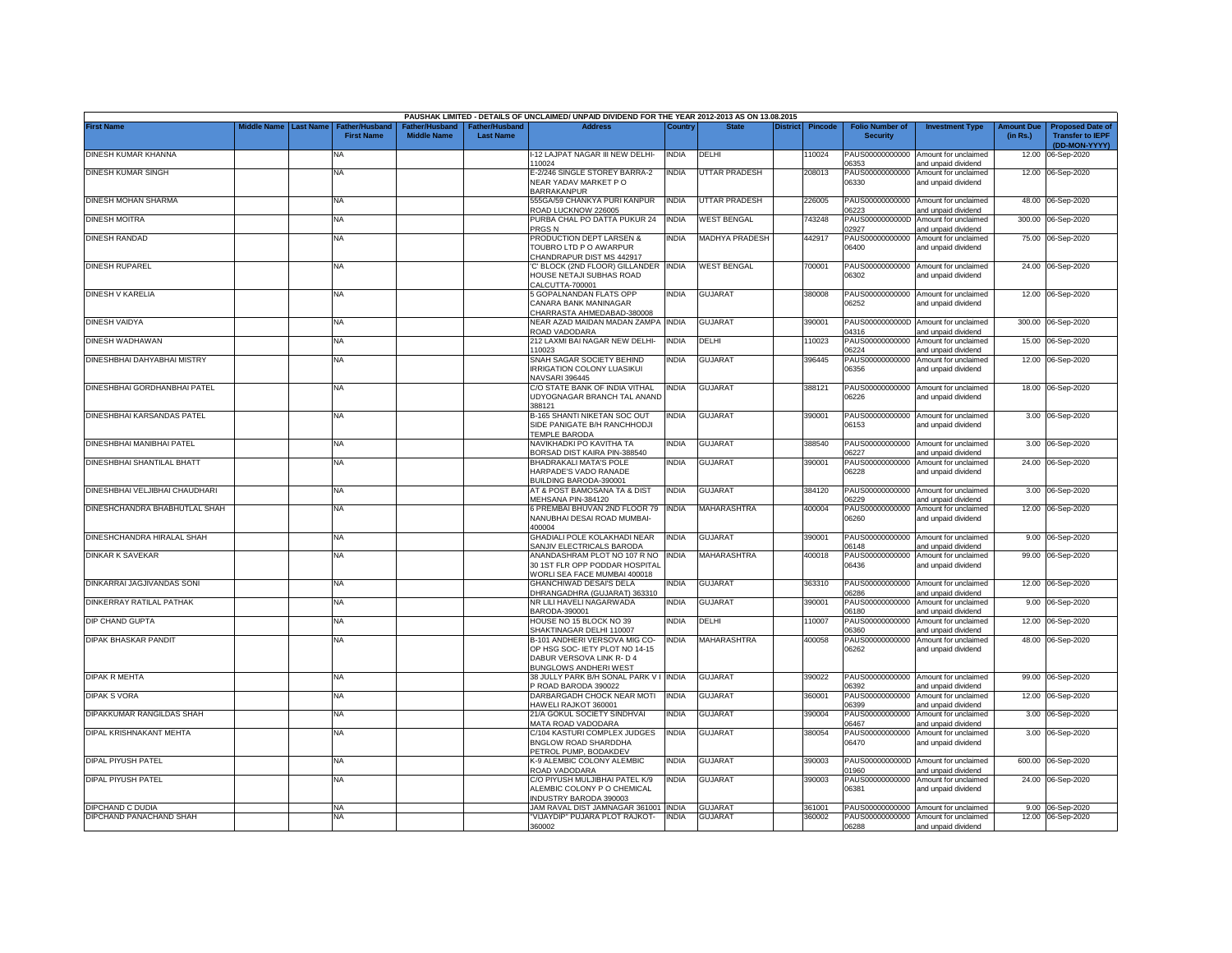|                                |                    |                  |                                            |                                      |                                    | PAUSHAK LIMITED - DETAILS OF UNCLAIMED/ UNPAID DIVIDEND FOR THE YEAR 2012-2013 AS ON 13.08.2015                             |              |                       |                 |                |                                           |                                                             |                               |                                                                     |
|--------------------------------|--------------------|------------------|--------------------------------------------|--------------------------------------|------------------------------------|-----------------------------------------------------------------------------------------------------------------------------|--------------|-----------------------|-----------------|----------------|-------------------------------------------|-------------------------------------------------------------|-------------------------------|---------------------------------------------------------------------|
| <b>First Name</b>              | <b>Middle Name</b> | <b>Last Name</b> | <b>Father/Husband</b><br><b>First Name</b> | Father/Husband<br><b>Middle Name</b> | Father/Husband<br><b>Last Name</b> | <b>Address</b>                                                                                                              | Country      | <b>State</b>          | <b>District</b> | <b>Pincode</b> | <b>Folio Number of</b><br><b>Security</b> | <b>Investment Type</b>                                      | <b>Amount Due</b><br>(in Rs.) | <b>Proposed Date of</b><br><b>Transfer to IEPF</b><br>(DD-MON-YYYY) |
| DINESH KUMAR KHANNA            |                    |                  | NA                                         |                                      |                                    | I-12 LAJPAT NAGAR III NEW DELHI-<br>110024                                                                                  | <b>INDIA</b> | DELHI                 |                 | 10024          | PAUS00000000000<br>06353                  | Amount for unclaimed<br>and unpaid dividend                 | 12.00                         | 06-Sep-2020                                                         |
| DINESH KUMAR SINGH             |                    |                  | ΝA                                         |                                      |                                    | E-2/246 SINGLE STOREY BARRA-2<br>NEAR YADAV MARKET PO<br><b>BARRAKANPUR</b>                                                 | <b>INDIA</b> | UTTAR PRADESH         |                 | 208013         | PAUS00000000000<br>06330                  | Amount for unclaimed<br>and unpaid dividend                 |                               | 12.00 06-Sep-2020                                                   |
| DINESH MOHAN SHARMA            |                    |                  | <b>NA</b>                                  |                                      |                                    | 555GA/59 CHANKYA PURI KANPUR<br>ROAD LUCKNOW 226005                                                                         | <b>INDIA</b> | UTTAR PRADESH         |                 | 226005         | PAUS00000000000<br>06223                  | Amount for unclaimed<br>and unpaid dividend                 |                               | 48.00 06-Sep-2020                                                   |
| DINESH MOITRA                  |                    |                  | NA                                         |                                      |                                    | PURBA CHAL PO DATTA PUKUR 24<br>PRGS <sub>N</sub>                                                                           | <b>INDIA</b> | WEST BENGAL           |                 | 743248         | PAUS0000000000D<br>02927                  | Amount for unclaimed<br>and unpaid dividend                 |                               | 300.00 06-Sep-2020                                                  |
| DINESH RANDAD                  |                    |                  | ΝA                                         |                                      |                                    | PRODUCTION DEPT LARSEN &<br>TOUBRO LTD P O AWARPUR<br>CHANDRAPUR DIST MS 442917                                             | <b>INDIA</b> | <b>MADHYA PRADESH</b> |                 | 442917         | PAUS00000000000<br>06400                  | Amount for unclaimed<br>and unpaid dividend                 |                               | 75.00 06-Sep-2020                                                   |
| <b>DINESH RUPAREL</b>          |                    |                  | <b>NA</b>                                  |                                      |                                    | C' BLOCK (2ND FLOOR) GILLANDER INDIA<br>HOUSE NETAJI SUBHAS ROAD<br>CALCUTTA-700001                                         |              | <b>WEST BENGAL</b>    |                 | 700001         | PAUS00000000000<br>06302                  | Amount for unclaimed<br>and unpaid dividend                 |                               | 24.00 06-Sep-2020                                                   |
| DINESH V KARELIA               |                    |                  | <b>NA</b>                                  |                                      |                                    | 5 GOPALNANDAN FLATS OPP<br>CANARA BANK MANINAGAR<br>CHARRASTA AHMEDABAD-380008                                              | <b>INDIA</b> | <b>GUJARAT</b>        |                 | 380008         | 06252                                     | PAUS00000000000 Amount for unclaimed<br>and unpaid dividend | 12.00                         | 06-Sep-2020                                                         |
| DINESH VAIDYA                  |                    |                  | <b>NA</b>                                  |                                      |                                    | NEAR AZAD MAIDAN MADAN ZAMPA INDIA<br>ROAD VADODARA                                                                         |              | <b>GUJARAT</b>        |                 | 390001         | 04316                                     | PAUS0000000000D Amount for unclaimed<br>and unpaid dividend |                               | 300.00 06-Sep-2020                                                  |
| DINESH WADHAWAN                |                    |                  | <b>NA</b>                                  |                                      |                                    | 212 LAXMI BAI NAGAR NEW DELHI-<br>110023                                                                                    | <b>INDIA</b> | DELHI                 |                 | 10023          | PAUS00000000000<br>06224                  | Amount for unclaimed<br>and unpaid dividend                 | 15.00                         | 06-Sep-2020                                                         |
| DINESHBHAI DAHYABHAI MISTRY    |                    |                  | NA                                         |                                      |                                    | SNAH SAGAR SOCIETY BEHIND<br><b>IRRIGATION COLONY LUASIKUI</b><br>NAVSARI 396445                                            | <b>INDIA</b> | <b>GUJARAT</b>        |                 | 396445         | PAUS00000000000<br>06356                  | Amount for unclaimed<br>and unpaid dividend                 | 12.00                         | 06-Sep-2020                                                         |
| DINESHBHAI GORDHANBHAI PATEL   |                    |                  | <b>NA</b>                                  |                                      |                                    | C/O STATE BANK OF INDIA VITHAL<br>UDYOGNAGAR BRANCH TAL ANAND<br>388121                                                     | <b>INDIA</b> | <b>GUJARAT</b>        |                 | 388121         | PAUS00000000000<br>06226                  | Amount for unclaimed<br>and unpaid dividend                 |                               | 18.00 06-Sep-2020                                                   |
| DINESHBHAI KARSANDAS PATEL     |                    |                  | ΝA                                         |                                      |                                    | B-165 SHANTI NIKETAN SOC OUT<br>SIDE PANIGATE B/H RANCHHODJI<br>TEMPLE BARODA                                               | <b>INDIA</b> | <b>GUJARAT</b>        |                 | 390001         | PAUS00000000000<br>06153                  | Amount for unclaimed<br>and unpaid dividend                 |                               | 3.00 06-Sep-2020                                                    |
| DINESHBHAI MANIBHAI PATEL      |                    |                  | <b>NA</b>                                  |                                      |                                    | NAVIKHADKI PO KAVITHA TA<br>BORSAD DIST KAIRA PIN-388540                                                                    | <b>INDIA</b> | <b>GUJARAT</b>        |                 | 388540         | PAUS00000000000<br>06227                  | Amount for unclaimed<br>and unpaid dividend                 |                               | 3.00 06-Sep-2020                                                    |
| DINESHBHAI SHANTILAL BHATT     |                    |                  | <b>NA</b>                                  |                                      |                                    | BHADRAKALI MATA'S POLE<br>HARPADE'S VADO RANADE<br>BUILDING BARODA-390001                                                   | <b>INDIA</b> | <b>GUJARAT</b>        |                 | 390001         | PAUS00000000000<br>06228                  | Amount for unclaimed<br>and unpaid dividend                 |                               | 24.00 06-Sep-2020                                                   |
| DINESHBHAI VELJIBHAI CHAUDHARI |                    |                  | <b>NA</b>                                  |                                      |                                    | AT & POST BAMOSANA TA & DIST<br>MEHSANA PIN-384120                                                                          | <b>INDIA</b> | <b>GUJARAT</b>        |                 | 384120         | 06229                                     | PAUS00000000000 Amount for unclaimed<br>and unpaid dividend |                               | 3.00 06-Sep-2020                                                    |
| DINESHCHANDRA BHABHUTLAL SHAH  |                    |                  | NA                                         |                                      |                                    | 6 PREMBAI BHUVAN 2ND FLOOR 79<br>NANUBHAI DESAI ROAD MUMBAI-<br>400004                                                      | <b>INDIA</b> | MAHARASHTRA           |                 | 400004         | PAUS00000000000<br>06260                  | Amount for unclaimed<br>and unpaid dividend                 |                               | 12.00 06-Sep-2020                                                   |
| DINESHCHANDRA HIRALAL SHAH     |                    |                  | <b>NA</b>                                  |                                      |                                    | GHADIALI POLE KOLAKHADI NEAR<br>SANJIV ELECTRICALS BARODA                                                                   | <b>INDIA</b> | GUJARAT               |                 | 390001         | PAUS00000000000<br>06148                  | Amount for unclaimed<br>and unpaid dividend                 |                               | 9.00 06-Sep-2020                                                    |
| <b>DINKAR K SAVEKAR</b>        |                    |                  | <b>NA</b>                                  |                                      |                                    | ANANDASHRAM PLOT NO 107 R NO<br>30 1ST FLR OPP PODDAR HOSPITAL<br>WORLI SEA FACE MUMBAI 400018                              | <b>INDIA</b> | MAHARASHTRA           |                 | 400018         | PAUS00000000000<br>06436                  | Amount for unclaimed<br>and unpaid dividend                 |                               | 99.00 06-Sep-2020                                                   |
| DINKARRAI JAGJIVANDAS SONI     |                    |                  | <b>NA</b>                                  |                                      |                                    | <b>GHANCHIWAD DESAI'S DELA</b><br>DHRANGADHRA (GUJARAT) 363310                                                              | <b>INDIA</b> | <b>GUJARAT</b>        |                 | 363310         | PAUS00000000000<br>06286                  | Amount for unclaimed<br>and unpaid dividend                 |                               | 12.00 06-Sep-2020                                                   |
| DINKERRAY RATILAL PATHAK       |                    |                  | NA                                         |                                      |                                    | NR LILI HAVELI NAGARWADA<br>BARODA-390001                                                                                   | <b>NDIA</b>  | <b>GUJARAT</b>        |                 | 390001         | PAUS00000000000<br>06180                  | Amount for unclaimed<br>and unpaid dividend                 |                               | 9.00 06-Sep-2020                                                    |
| DIP CHAND GUPTA                |                    |                  | NA                                         |                                      |                                    | HOUSE NO 15 BLOCK NO 39<br>SHAKTINAGAR DELHI 110007                                                                         | <b>INDIA</b> | DELHI                 |                 | 10007          | PAUS00000000000<br>06360                  | Amount for unclaimed<br>and unpaid dividend                 | 12.00                         | 06-Sep-2020                                                         |
| DIPAK BHASKAR PANDIT           |                    |                  | <b>NA</b>                                  |                                      |                                    | B-101 ANDHERI VERSOVA MIG CO-<br>OP HSG SOC- IETY PLOT NO 14-15<br>DABUR VERSOVA LINK R-D 4<br><b>BUNGLOWS ANDHERI WEST</b> | <b>INDIA</b> | MAHARASHTRA           |                 | 400058         | PAUS00000000000<br>06262                  | Amount for unclaimed<br>and unpaid dividend                 |                               | 48.00 06-Sep-2020                                                   |
| <b>DIPAK R MEHTA</b>           |                    |                  | NA                                         |                                      |                                    | 38 JULLY PARK B/H SONAL PARK V I<br>P ROAD BARODA 390022                                                                    | <b>INDIA</b> | <b>GUJARAT</b>        |                 | 390022         | PAUS00000000000<br>06392                  | Amount for unclaimed<br>and unpaid dividend                 |                               | 99.00 06-Sep-2020                                                   |
| <b>DIPAK S VORA</b>            |                    |                  | <b>NA</b>                                  |                                      |                                    | DARBARGADH CHOCK NEAR MOTI<br>HAWELI RAJKOT 360001                                                                          | <b>INDIA</b> | <b>GUJARAT</b>        |                 | 360001         | PAUS00000000000<br>06399                  | Amount for unclaimed<br>and unpaid dividend                 | 12.00                         | 06-Sep-2020                                                         |
| DIPAKKUMAR RANGILDAS SHAH      |                    |                  | NA                                         |                                      |                                    | 21/A GOKUL SOCIETY SINDHVAI<br>MATA ROAD VADODARA                                                                           | <b>INDIA</b> | <b>GUJARAT</b>        |                 | 390004         | PAUS00000000000<br>06467                  | Amount for unclaimed<br>and unpaid dividend                 | 3.00                          | 06-Sep-2020                                                         |
| DIPAL KRISHNAKANT MEHTA        |                    |                  | NA                                         |                                      |                                    | C/104 KASTURI COMPLEX JUDGES<br>BNGLOW ROAD SHARDDHA<br>PETROL PUMP, BODAKDEV                                               | <b>INDIA</b> | <b>GUJARAT</b>        |                 | 380054         | PAUS00000000000<br>06470                  | Amount for unclaimed<br>and unpaid dividend                 | 3.00                          | 06-Sep-2020                                                         |
| DIPAL PIYUSH PATEL             |                    |                  | <b>NA</b>                                  |                                      |                                    | K-9 ALEMBIC COLONY ALEMBIC<br>ROAD VADODARA                                                                                 | <b>INDIA</b> | <b>GUJARAT</b>        |                 | 390003         | 1960                                      | PAUS0000000000D Amount for unclaimed<br>and unpaid dividend |                               | 600.00 06-Sep-2020                                                  |
| DIPAL PIYUSH PATEL             |                    |                  | NA                                         |                                      |                                    | C/O PIYUSH MULJIBHAI PATEL K/9<br>ALEMBIC COLONY P O CHEMICAL<br>INDUSTRY BARODA 390003                                     | <b>INDIA</b> | <b>GUJARAT</b>        |                 | 390003         | PAUS00000000000<br>06381                  | Amount for unclaimed<br>and unpaid dividend                 |                               | 24.00 06-Sep-2020                                                   |
| DIPCHAND C DUDIA               |                    |                  | <b>NA</b>                                  |                                      |                                    | JAM RAVAL DIST JAMNAGAR 361001 INDIA                                                                                        |              | <b>GUJARAT</b>        |                 | 361001         | PAUS00000000000                           | Amount for unclaimed                                        |                               | 9.00 06-Sep-2020                                                    |
| DIPCHAND PANACHAND SHAH        |                    |                  | NA                                         |                                      |                                    | 'VIJAYDIP" PUJARA PLOT RAJKOT-<br>360002                                                                                    | <b>INDIA</b> | <b>GUJARAT</b>        |                 | 360002         | PAUS00000000000<br>06288                  | Amount for unclaimed<br>and unpaid dividend                 |                               | 12.00 06-Sep-2020                                                   |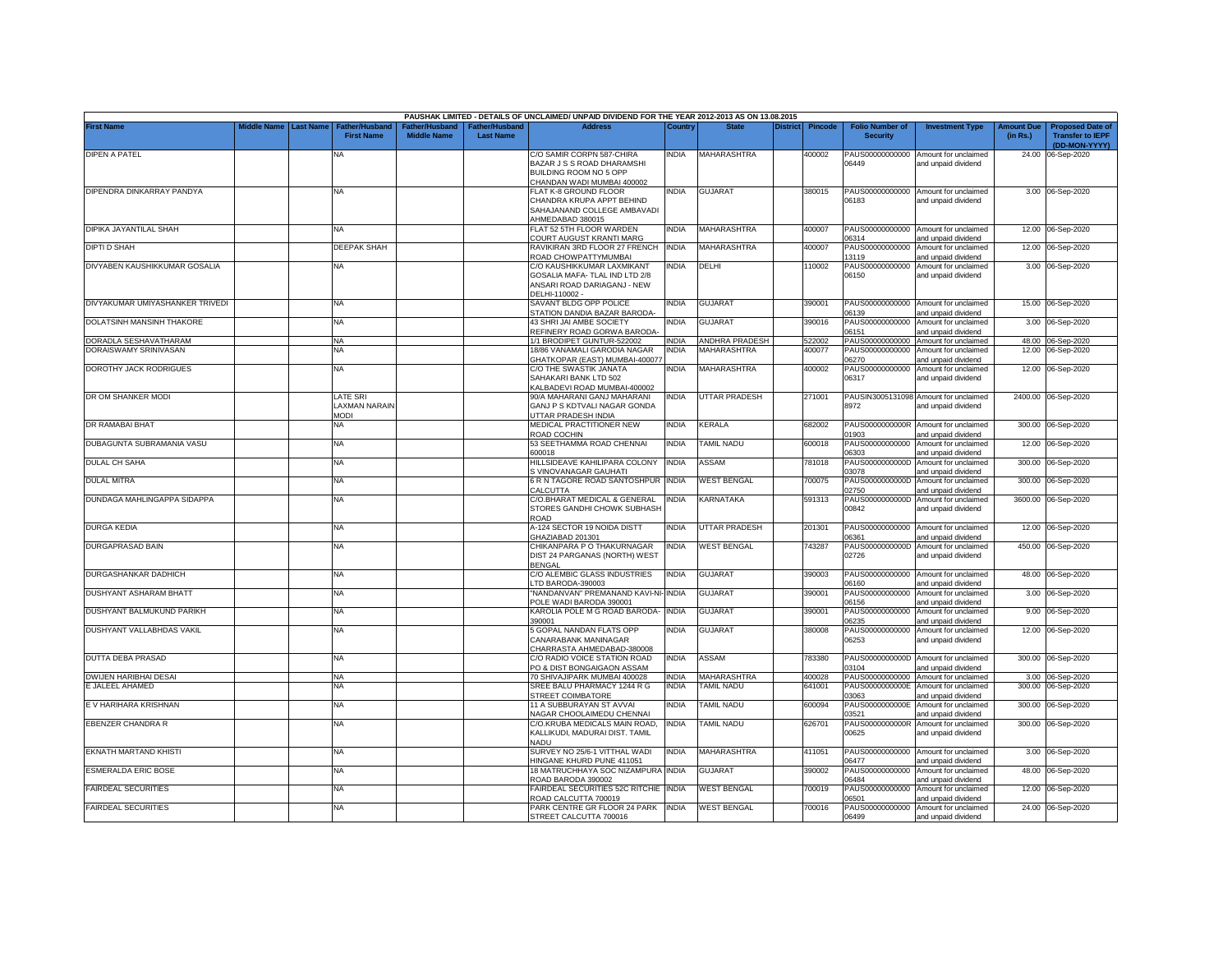|                                          |                       |                                            |                                      |                                    | PAUSHAK LIMITED - DETAILS OF UNCLAIMED/ UNPAID DIVIDEND FOR THE YEAR 2012-2013 AS ON 13.08.2015 |                       |                      |          |                  |                                           |                                                             |                               |                                                                     |
|------------------------------------------|-----------------------|--------------------------------------------|--------------------------------------|------------------------------------|-------------------------------------------------------------------------------------------------|-----------------------|----------------------|----------|------------------|-------------------------------------------|-------------------------------------------------------------|-------------------------------|---------------------------------------------------------------------|
| <b>First Name</b>                        | Middle Name Last Name | <b>Father/Husband</b><br><b>First Name</b> | Father/Husband<br><b>Middle Name</b> | Father/Husband<br><b>Last Name</b> | <b>Address</b>                                                                                  | Country               | <b>State</b>         | District | <b>Pincode</b>   | <b>Folio Number of</b><br><b>Security</b> | <b>Investment Type</b>                                      | <b>Amount Due</b><br>(in Rs.) | <b>Proposed Date of</b><br><b>Transfer to IEPF</b><br>(DD-MON-YYYY) |
| DIPEN A PATEL                            |                       | NA                                         |                                      |                                    | C/O SAMIR CORPN 587-CHIRA                                                                       | <b>INDIA</b>          | <b>MAHARASHTRA</b>   |          | 400002           |                                           | PAUS00000000000 Amount for unclaimed                        |                               | 24.00 06-Sep-2020                                                   |
|                                          |                       |                                            |                                      |                                    | BAZAR J S S ROAD DHARAMSHI                                                                      |                       |                      |          |                  | 06449                                     | and unpaid dividend                                         |                               |                                                                     |
|                                          |                       |                                            |                                      |                                    | BUILDING ROOM NO 5 OPP                                                                          |                       |                      |          |                  |                                           |                                                             |                               |                                                                     |
|                                          |                       |                                            |                                      |                                    | CHANDAN WADI MUMBAI 400002                                                                      |                       |                      |          |                  |                                           |                                                             |                               |                                                                     |
| DIPENDRA DINKARRAY PANDYA                |                       | <b>NA</b>                                  |                                      |                                    | <b>FLAT K-8 GROUND FLOOR</b>                                                                    | INDIA                 | <b>GUJARAT</b>       |          | 380015           |                                           | PAUS00000000000 Amount for unclaimed                        |                               | 3.00 06-Sep-2020                                                    |
|                                          |                       |                                            |                                      |                                    | CHANDRA KRUPA APPT BEHIND                                                                       |                       |                      |          |                  | 06183                                     | and unpaid dividend                                         |                               |                                                                     |
|                                          |                       |                                            |                                      |                                    | SAHAJANAND COLLEGE AMBAVADI<br>AHMEDABAD 380015                                                 |                       |                      |          |                  |                                           |                                                             |                               |                                                                     |
| DIPIKA JAYANTILAL SHAH                   |                       | <b>NA</b>                                  |                                      |                                    | FLAT 52 5TH FLOOR WARDEN                                                                        | NDIA                  | MAHARASHTRA          |          | 400007           | PAUS00000000000                           | Amount for unclaimed                                        |                               | 12.00 06-Sep-2020                                                   |
|                                          |                       |                                            |                                      |                                    | COURT AUGUST KRANTI MARG                                                                        |                       |                      |          |                  | 06314                                     | and unpaid dividend                                         |                               |                                                                     |
| <b>DIPTI D SHAH</b>                      |                       | <b>DEEPAK SHAH</b>                         |                                      |                                    | RAVIKIRAN 3RD FLOOR 27 FRENCH                                                                   | <b>INDIA</b>          | <b>MAHARASHTRA</b>   |          | 400007           | PAUS00000000000                           | Amount for unclaimed                                        |                               | 12.00 06-Sep-2020                                                   |
|                                          |                       |                                            |                                      |                                    | ROAD CHOWPATTYMUMBAI                                                                            |                       |                      |          |                  | 13119                                     | and unpaid dividend                                         |                               |                                                                     |
| DIVYABEN KAUSHIKKUMAR GOSALIA            |                       | NA                                         |                                      |                                    | C/O KAUSHIKKUMAR LAXMIKANT                                                                      | <b>INDIA</b>          | DELHI                |          | 110002           | PAUS00000000000                           | Amount for unclaimed                                        |                               | 3.00 06-Sep-2020                                                    |
|                                          |                       |                                            |                                      |                                    | GOSALIA MAFA-TLAL IND LTD 2/8                                                                   |                       |                      |          |                  | 06150                                     | and unpaid dividend                                         |                               |                                                                     |
|                                          |                       |                                            |                                      |                                    | ANSARI ROAD DARIAGANJ - NEW<br>DELHI-110002 -                                                   |                       |                      |          |                  |                                           |                                                             |                               |                                                                     |
| DIVYAKUMAR UMIYASHANKER TRIVEDI          |                       | <b>NA</b>                                  |                                      |                                    | SAVANT BLDG OPP POLICE                                                                          | NDIA                  | <b>GUJARAT</b>       |          | 390001           |                                           | PAUS00000000000 Amount for unclaimed                        |                               | 15.00 06-Sep-2020                                                   |
|                                          |                       |                                            |                                      |                                    | STATION DANDIA BAZAR BARODA-                                                                    |                       |                      |          |                  | 06139                                     | and unpaid dividend                                         |                               |                                                                     |
| DOLATSINH MANSINH THAKORE                |                       | NA                                         |                                      |                                    | 43 SHRI JAI AMBE SOCIETY                                                                        | NDIA                  | <b>GUJARAT</b>       |          | 390016           | PAUS00000000000                           | Amount for unclaimed                                        |                               | 3.00 06-Sep-2020                                                    |
|                                          |                       |                                            |                                      |                                    | REFINERY ROAD GORWA BARODA                                                                      |                       |                      |          |                  | 06151                                     | and unpaid dividend                                         |                               |                                                                     |
| DORADLA SESHAVATHARAM                    |                       | NA                                         |                                      |                                    | 1/1 BRODIPET GUNTUR-522002                                                                      | <b>INDIA</b>          | ANDHRA PRADESH       |          | 522002           | PAUS00000000000                           | Amount for unclaimed                                        |                               | 48.00 06-Sep-2020                                                   |
| DORAISWAMY SRINIVASAN                    |                       | NA                                         |                                      |                                    | 18/86 VANAMALI GARODIA NAGAR                                                                    | INDIA                 | <b>MAHARASHTRA</b>   |          | 400077           | PAUS00000000000                           | Amount for unclaimed                                        |                               | 12.00 06-Sep-2020                                                   |
| DOROTHY JACK RODRIGUES                   |                       |                                            |                                      |                                    | HATKOPAR (EAST) MUMBAI-400077                                                                   | NDIA                  | MAHARASHTRA          |          |                  | 06270                                     | and unpaid dividend                                         |                               |                                                                     |
|                                          |                       | NA                                         |                                      |                                    | C/O THE SWASTIK JANATA<br>SAHAKARI BANK LTD 502                                                 |                       |                      |          | 400002           | PAUS00000000000<br>06317                  | Amount for unclaimed<br>and unpaid dividend                 |                               | 12.00 06-Sep-2020                                                   |
|                                          |                       |                                            |                                      |                                    | ALBADEVI ROAD MUMBAI-400002                                                                     |                       |                      |          |                  |                                           |                                                             |                               |                                                                     |
| DR OM SHANKER MODI                       |                       | <b>LATE SRI</b>                            |                                      |                                    | 90/A MAHARANI GANJ MAHARANI                                                                     | India                 | <b>UTTAR PRADESH</b> |          | 271001           |                                           | PAUSIN3005131098 Amount for unclaimed                       |                               | 2400.00 06-Sep-2020                                                 |
|                                          |                       | LAXMAN NARAIN                              |                                      |                                    | GANJ P S KDTVALI NAGAR GONDA                                                                    |                       |                      |          |                  | 8972                                      | and unpaid dividend                                         |                               |                                                                     |
|                                          |                       | <b>MODI</b>                                |                                      |                                    | <b>JTTAR PRADESH INDIA</b>                                                                      |                       |                      |          |                  |                                           |                                                             |                               |                                                                     |
| DR RAMABAI BHAT                          |                       | ΝA                                         |                                      |                                    | MEDICAL PRACTITIONER NEW                                                                        | <b>INDIA</b>          | KERALA               |          | 682002           |                                           | PAUS0000000000R Amount for unclaimed                        |                               | 300.00 06-Sep-2020                                                  |
|                                          |                       |                                            |                                      |                                    | ROAD COCHIN                                                                                     |                       |                      |          |                  | 01903                                     | and unpaid dividend                                         |                               |                                                                     |
| DUBAGUNTA SUBRAMANIA VASU                |                       | NA                                         |                                      |                                    | 53 SEETHAMMA ROAD CHENNAI<br>600018                                                             | <b>INDIA</b>          | <b>TAMIL NADU</b>    |          | 600018           | PAUS00000000000<br>06303                  | Amount for unclaimed                                        |                               | 12.00 06-Sep-2020                                                   |
| DULAL CH SAHA                            |                       | NA                                         |                                      |                                    | HILLSIDEAVE KAHILIPARA COLONY                                                                   | <b>INDIA</b>          | ASSAM                |          | 781018           | PAUS0000000000D                           | and unpaid dividend<br>Amount for unclaimed                 | 300.00                        | 06-Sep-2020                                                         |
|                                          |                       |                                            |                                      |                                    | S VINOVANAGAR GAUHATI                                                                           |                       |                      |          |                  | 03078                                     | and unpaid dividend                                         |                               |                                                                     |
| <b>DULAL MITRA</b>                       |                       | NA                                         |                                      |                                    | 6 R N TAGORE ROAD SANTOSHPUR INDIA                                                              |                       | <b>WEST BENGAL</b>   |          | 700075           | PAUS0000000000D                           | Amount for unclaimed                                        | 300.00                        | 06-Sep-2020                                                         |
|                                          |                       |                                            |                                      |                                    | CALCUTTA                                                                                        |                       |                      |          |                  | 02750                                     | and unpaid dividend                                         |                               |                                                                     |
| DUNDAGA MAHLINGAPPA SIDAPPA              |                       | NA                                         |                                      |                                    | C/O.BHARAT MEDICAL & GENERAL                                                                    | <b>INDIA</b>          | KARNATAKA            |          | 591313           | PAUS0000000000D                           | Amount for unclaimed                                        |                               | 3600.00 06-Sep-2020                                                 |
|                                          |                       |                                            |                                      |                                    | STORES GANDHI CHOWK SUBHASH<br>ROAD                                                             |                       |                      |          |                  | 00842                                     | and unpaid dividend                                         |                               |                                                                     |
| <b>DURGA KEDIA</b>                       |                       | NA                                         |                                      |                                    | A-124 SECTOR 19 NOIDA DISTT                                                                     | INDIA                 | <b>UTTAR PRADESH</b> |          | 201301           | PAUS00000000000                           | Amount for unclaimed                                        |                               | 12.00 06-Sep-2020                                                   |
|                                          |                       |                                            |                                      |                                    | GHAZIABAD 201301                                                                                |                       |                      |          |                  | 06361                                     | and unpaid dividend                                         |                               |                                                                     |
| <b>DURGAPRASAD BAIN</b>                  |                       | <b>NA</b>                                  |                                      |                                    | CHIKANPARA P O THAKURNAGAR                                                                      | <b>INDIA</b>          | <b>WEST BENGAL</b>   |          | 743287           | PAUS0000000000D                           | Amount for unclaimed                                        |                               | 450.00 06-Sep-2020                                                  |
|                                          |                       |                                            |                                      |                                    | DIST 24 PARGANAS (NORTH) WEST                                                                   |                       |                      |          |                  | 02726                                     | and unpaid dividend                                         |                               |                                                                     |
|                                          |                       |                                            |                                      |                                    | BENGAL                                                                                          |                       |                      |          |                  |                                           |                                                             |                               |                                                                     |
| DURGASHANKAR DADHICH                     |                       | NA                                         |                                      |                                    | C/O ALEMBIC GLASS INDUSTRIES                                                                    | <b>INDIA</b>          | <b>GUJARAT</b>       |          | 390003           | PAUS00000000000                           | Amount for unclaimed                                        |                               | 48.00 06-Sep-2020                                                   |
|                                          |                       |                                            |                                      |                                    | TD BARODA-390003                                                                                |                       |                      |          |                  | 06160                                     | and unpaid dividend                                         |                               |                                                                     |
| DUSHYANT ASHARAM BHATT                   |                       | NA                                         |                                      |                                    | "NANDANVAN" PREMANAND KAVI-NI-<br>POLE WADI BARODA 390001                                       | <b>INDIA</b>          | <b>GUJARAT</b>       |          | 390001           | PAUS00000000000<br>06156                  | Amount for unclaimed<br>and unpaid dividend                 | 3.00                          | 06-Sep-2020                                                         |
| DUSHYANT BALMUKUND PARIKH                |                       | <b>NA</b>                                  |                                      |                                    | KAROLIA POLE M G ROAD BARODA-                                                                   | <b>INDIA</b>          | <b>GUJARAT</b>       |          | 390001           | PAUS00000000000                           | Amount for unclaimed                                        | 9.00                          | 06-Sep-2020                                                         |
|                                          |                       |                                            |                                      |                                    | 390001                                                                                          |                       |                      |          |                  | 06235                                     | and unpaid dividend                                         |                               |                                                                     |
| DUSHYANT VALLABHDAS VAKIL                |                       | <b>NA</b>                                  |                                      |                                    | 5 GOPAL NANDAN FLATS OPP                                                                        | <b>INDIA</b>          | <b>GUJARAT</b>       |          | 380008           | PAUS00000000000                           | Amount for unclaimed                                        |                               | 12.00 06-Sep-2020                                                   |
|                                          |                       |                                            |                                      |                                    | CANARABANK MANINAGAR                                                                            |                       |                      |          |                  | 06253                                     | and unpaid dividend                                         |                               |                                                                     |
|                                          |                       |                                            |                                      |                                    | HARRASTA AHMEDABAD-380008                                                                       |                       |                      |          |                  |                                           |                                                             |                               |                                                                     |
| <b>DUTTA DEBA PRASAD</b>                 |                       | NA                                         |                                      |                                    | C/O RADIO VOICE STATION ROAD                                                                    | INDIA                 | ASSAM                |          | 783380           |                                           | PAUS0000000000D Amount for unclaimed                        |                               | 300.00 06-Sep-2020                                                  |
|                                          |                       |                                            |                                      |                                    | PO & DIST BONGAIGAON ASSAM                                                                      |                       | MAHARASHTRA          |          |                  | 03104                                     | and unpaid dividend                                         |                               |                                                                     |
| DWIJEN HARIBHAI DESAI<br>E JALEEL AHAMED |                       | NA<br><b>NA</b>                            |                                      |                                    | 70 SHIVAJIPARK MUMBAI 400028<br>SREE BALU PHARMACY 1244 R G                                     | <b>INDIA</b><br>INDIA | <b>TAMIL NADU</b>    |          | 400028<br>641001 | PAUS00000000000<br>PAUS0000000000E        | Amount for unclaimed<br>Amount for unclaimed                | 300.00                        | 3.00 06-Sep-2020<br>06-Sep-2020                                     |
|                                          |                       |                                            |                                      |                                    | <b>STREET COIMBATORE</b>                                                                        |                       |                      |          |                  | 03063                                     | and unpaid dividend                                         |                               |                                                                     |
| E V HARIHARA KRISHNAN                    |                       | NA                                         |                                      |                                    | 11 A SUBBURAYAN ST AVVAI                                                                        | <b>INDIA</b>          | <b>TAMIL NADU</b>    |          | 600094           | PAUS0000000000E                           | Amount for unclaimed                                        | 300.00                        | 06-Sep-2020                                                         |
|                                          |                       |                                            |                                      |                                    | <b>JAGAR CHOOLAIMEDU CHENNAI</b>                                                                |                       |                      |          |                  | 03521                                     | and unpaid dividend                                         |                               |                                                                     |
| <b>EBENZER CHANDRA R</b>                 |                       | <b>NA</b>                                  |                                      |                                    | C/O.KRUBA MEDICALS MAIN ROAD,                                                                   | <b>INDIA</b>          | <b>TAMIL NADU</b>    |          | 626701           | PAUS0000000000R                           | Amount for unclaimed                                        |                               | 300.00 06-Sep-2020                                                  |
|                                          |                       |                                            |                                      |                                    | KALLIKUDI, MADURAI DIST, TAMIL                                                                  |                       |                      |          |                  | 00625                                     | and unpaid dividend                                         |                               |                                                                     |
|                                          |                       |                                            |                                      |                                    | NADU                                                                                            |                       |                      |          |                  |                                           |                                                             |                               |                                                                     |
| EKNATH MARTAND KHISTI                    |                       | NA                                         |                                      |                                    | SURVEY NO 25/6-1 VITTHAL WADI<br>INGANE KHURD PUNE 411051                                       | <b>INDIA</b>          | MAHARASHTRA          |          | 411051           | 06477                                     | PAUS00000000000 Amount for unclaimed<br>and unpaid dividend |                               | 3.00 06-Sep-2020                                                    |
| <b>ESMERALDA ERIC BOSE</b>               |                       | NA                                         |                                      |                                    | 18 MATRUCHHAYA SOC NIZAMPURA INDIA                                                              |                       | <b>GUJARAT</b>       |          | 390002           | PAUS00000000000                           | Amount for unclaimed                                        |                               | 48.00 06-Sep-2020                                                   |
|                                          |                       |                                            |                                      |                                    | ROAD BARODA 390002                                                                              |                       |                      |          |                  | 06484                                     | and unpaid dividend                                         |                               |                                                                     |
| <b>FAIRDEAL SECURITIES</b>               |                       | <b>NA</b>                                  |                                      |                                    | FAIRDEAL SECURITIES 52C RITCHIE INDIA                                                           |                       | <b>WEST BENGAL</b>   |          | 700019           | PAUS00000000000                           | Amount for unclaimed                                        |                               | 12.00 06-Sep-2020                                                   |
|                                          |                       |                                            |                                      |                                    | ROAD CALCUTTA 700019                                                                            |                       |                      |          |                  | 06501                                     | and unpaid dividend                                         |                               |                                                                     |
| <b>FAIRDEAL SECURITIES</b>               |                       | NA                                         |                                      |                                    | PARK CENTRE GR FLOOR 24 PARK INDIA                                                              |                       | <b>WEST BENGAL</b>   |          | 700016           |                                           | PAUS00000000000 Amount for unclaimed                        |                               | 24.00 06-Sep-2020                                                   |
|                                          |                       |                                            |                                      |                                    | STREET CALCUTTA 700016                                                                          |                       |                      |          |                  | 06499                                     | and unpaid dividend                                         |                               |                                                                     |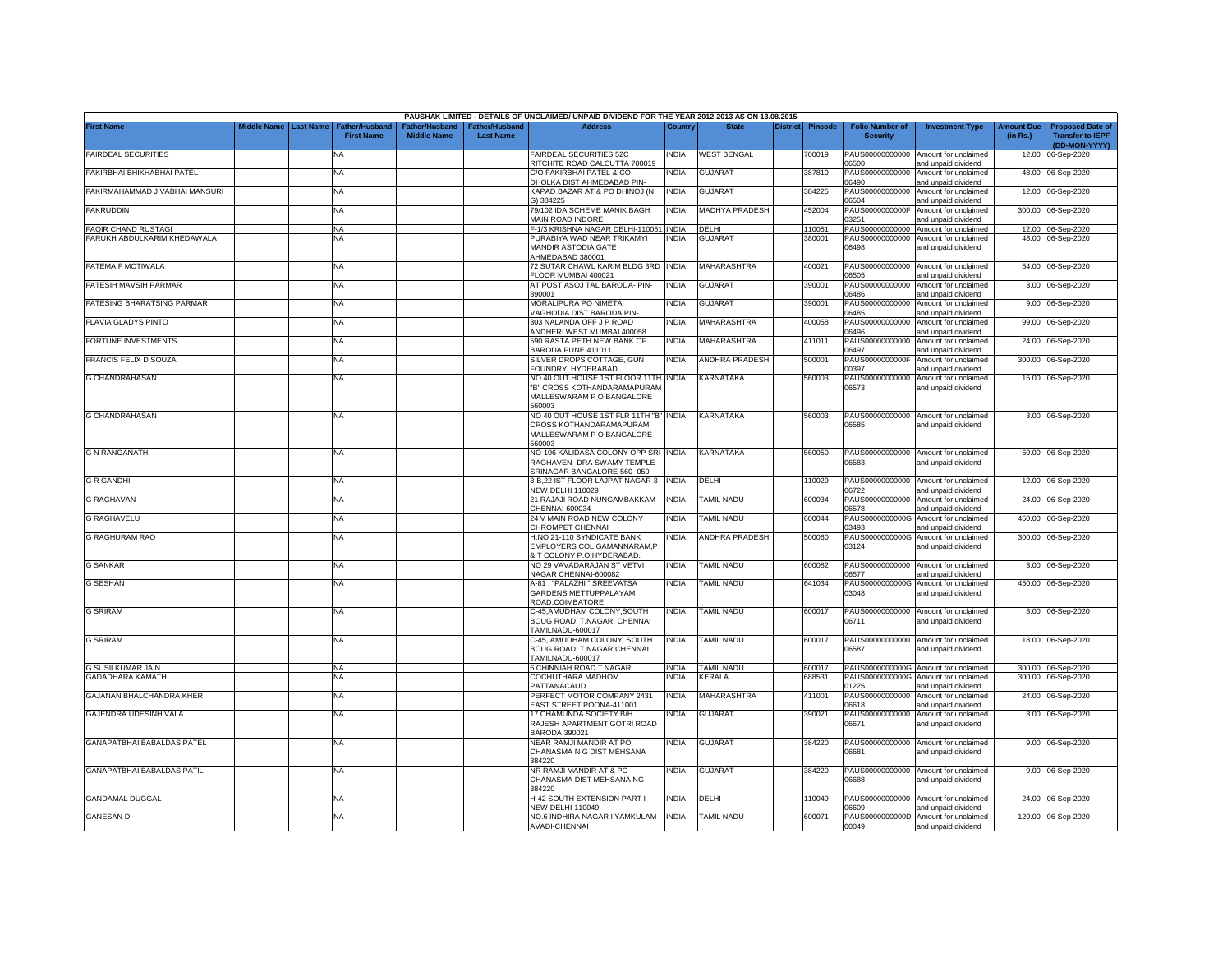|                                   |                       |                                    |                    |                                   | PAUSHAK LIMITED - DETAILS OF UNCLAIMED/ UNPAID DIVIDEND FOR THE YEAR 2012-2013 AS ON 13.08.2015            |              |                       |                 |                |                                           |                                                                    |                               |                                                                     |
|-----------------------------------|-----------------------|------------------------------------|--------------------|-----------------------------------|------------------------------------------------------------------------------------------------------------|--------------|-----------------------|-----------------|----------------|-------------------------------------------|--------------------------------------------------------------------|-------------------------------|---------------------------------------------------------------------|
| <b>First Name</b>                 | Middle Name Last Name | Father/Husban<br><b>First Name</b> | <b>Middle Name</b> | ather/Husband<br><b>Last Name</b> | <b>Address</b>                                                                                             | Country      | <b>State</b>          | <b>District</b> | <b>Pincode</b> | <b>Folio Number of</b><br><b>Security</b> | <b>Investment Type</b>                                             | <b>Amount Due</b><br>(in Rs.) | <b>Proposed Date of</b><br><b>Transfer to IEPF</b><br>(DD-MON-YYYY) |
| FAIRDEAL SECURITIES               |                       | <b>NA</b>                          |                    |                                   | FAIRDEAL SECURITIES 52C<br>RITCHITE ROAD CALCUTTA 700019                                                   | NDIA         | <b>WEST BENGAL</b>    |                 | 700019         | PAUS00000000000<br>06500                  | Amount for unclaimed<br>and unpaid dividend                        | 12.00                         | 06-Sep-2020                                                         |
| FAKIRBHAI BHIKHABHAI PATEL        |                       | <b>NA</b>                          |                    |                                   | C/O FAKIRBHAI PATEL & CO<br><b>DHOLKA DIST AHMEDABAD PIN-</b>                                              | INDIA        | <b>GUJARAT</b>        |                 | 387810         | PAUS00000000000<br>06490                  | Amount for unclaimed<br>and unpaid dividend                        |                               | 48.00 06-Sep-2020                                                   |
| FAKIRMAHAMMAD JIVABHAI MANSURI    |                       | NA                                 |                    |                                   | KAPAD BAZAR AT & PO DHINOJ (N<br>3) 384225                                                                 | <b>INDIA</b> | <b>GUJARAT</b>        |                 | 384225         | PAUS00000000000<br>06504                  | Amount for unclaimed<br>and unpaid dividend                        |                               | 12.00 06-Sep-2020                                                   |
| <b>FAKRUDDIN</b>                  |                       | NA                                 |                    |                                   | 79/102 IDA SCHEME MANIK BAGH<br>MAIN ROAD INDORE                                                           | <b>INDIA</b> | MADHYA PRADESH        |                 | 452004         | PAUS0000000000F<br>03251                  | Amount for unclaimed<br>and unpaid dividend                        |                               | 300.00 06-Sep-2020                                                  |
| <b>FAQIR CHAND RUSTAGI</b>        |                       | NA                                 |                    |                                   | -- 1/3 KRISHNA NAGAR DELHI-110051 INDIA                                                                    |              | DELHI                 |                 | 110051         |                                           | PAUS00000000000 Amount for unclaimed                               |                               | 12.00 06-Sep-2020                                                   |
| FARUKH ABDULKARIM KHEDAWALA       |                       | NA                                 |                    |                                   | PURABIYA WAD NEAR TRIKAMYI<br>MANDIR ASTODIA GATE<br>HMEDABAD 380001                                       | INDIA        | GUJARA1               |                 | 380001         | PAUS00000000000<br>06498                  | Amount for unclaimed<br>and unpaid dividend                        |                               | 48.00 06-Sep-2020                                                   |
| FATEMA F MOTIWALA                 |                       | <b>NA</b>                          |                    |                                   | 72 SUTAR CHAWL KARIM BLDG 3RD INDIA<br>LOOR MUMBAI 400021                                                  |              | <b>MAHARASHTRA</b>    |                 | 400021         | 06505                                     | PAUS00000000000 Amount for unclaimed<br>nd unpaid dividend         |                               | 54.00 06-Sep-2020                                                   |
| FATESIH MAVSIH PARMAR             |                       | NA                                 |                    |                                   | AT POST ASOJ TAL BARODA- PIN-<br>390001                                                                    | <b>INDIA</b> | <b>GUJARAT</b>        |                 | 390001         | PAUS00000000000<br>06486                  | Amount for unclaimed<br>and unpaid dividend                        | 3.00                          | 06-Sep-2020                                                         |
| <b>FATESING BHARATSING PARMAR</b> |                       | NA                                 |                    |                                   | MORALIPURA PO NIMETA<br>AGHODIA DIST BARODA PIN-                                                           | <b>INDIA</b> | <b>GUJARAT</b>        |                 | 390001         | PAUS00000000000<br>06485                  | Amount for unclaimed<br>and unpaid dividend                        | 9.00                          | 06-Sep-2020                                                         |
| <b>FLAVIA GLADYS PINTO</b>        |                       | NA                                 |                    |                                   | 303 NALANDA OFF J P ROAD<br>ANDHERI WEST MUMBAI 400058                                                     | <b>INDIA</b> | MAHARASHTRA           |                 | 400058         | PAUS00000000000<br>06496                  | Amount for unclaimed<br>and unpaid dividend                        | 99.00                         | 06-Sep-2020                                                         |
| FORTUNE INVESTMENTS               |                       | <b>NA</b>                          |                    |                                   | 590 RASTA PETH NEW BANK OF<br>BARODA PUNE 411011                                                           | <b>INDIA</b> | MAHARASHTRA           |                 | 411011         | PAUS00000000000<br>06497                  | Amount for unclaimed<br>and unpaid dividend                        | 24.00                         | 06-Sep-2020                                                         |
| FRANCIS FELIX D SOUZA             |                       | NA                                 |                    |                                   | SILVER DROPS COTTAGE, GUN<br>OUNDRY, HYDERABAD                                                             | <b>INDIA</b> | <b>ANDHRA PRADESH</b> |                 | 500001         | PAUS0000000000F<br>00397                  | Amount for unclaimed<br>and unpaid dividend                        | 300.00                        | 06-Sep-2020                                                         |
| <b>G CHANDRAHASAN</b>             |                       | NA                                 |                    |                                   | NO 40 OUT HOUSE 1ST FLOOR 11TH INDIA<br>"B" CROSS KOTHANDARAMAPURAM<br>MALLESWARAM P O BANGALORE<br>560003 |              | KARNATAKA             |                 | 560003         | PAUS00000000000<br>06573                  | Amount for unclaimed<br>and unpaid dividend                        | 15.00                         | 06-Sep-2020                                                         |
| <b>G CHANDRAHASAN</b>             |                       | <b>NA</b>                          |                    |                                   | NO 40 OUT HOUSE 1ST FLR 11TH "B" INDIA<br>CROSS KOTHANDARAMAPURAM<br>MALLESWARAM P O BANGALORE<br>560003   |              | KARNATAKA             |                 | 560003         | PAUS00000000000<br>06585                  | Amount for unclaimed<br>and unpaid dividend                        |                               | 3.00 06-Sep-2020                                                    |
| <b>G N RANGANATH</b>              |                       | NA                                 |                    |                                   | NO-106 KALIDASA COLONY OPP SRI INDIA<br>RAGHAVEN- DRA SWAMY TEMPLE<br>SRINAGAR BANGALORE-560-050 -         |              | KARNATAKA             |                 | 560050         | 06583                                     | PAUS00000000000 Amount for unclaimed<br>and unpaid dividend        |                               | 60.00 06-Sep-2020                                                   |
| <b>G R GANDHI</b>                 |                       | <b>NA</b>                          |                    |                                   | 3-B,22 IST FLOOR LAJPAT NAGAR-3 INDIA<br><b>NEW DELHI 110029</b>                                           |              | DELHI                 |                 | 110029         | 06722                                     | PAUS00000000000 Amount for unclaimed<br>and unpaid dividend        |                               | 12.00 06-Sep-2020                                                   |
| <b>G RAGHAVAN</b>                 |                       | <b>NA</b>                          |                    |                                   | 21 RAJAJI ROAD NUNGAMBAKKAM<br>CHENNAI-600034                                                              | <b>INDIA</b> | TAMIL NADU            |                 | 600034         | PAUS00000000000<br>06578                  | Amount for unclaimed<br>and unpaid dividend                        |                               | 24.00 06-Sep-2020                                                   |
| <b>G RAGHAVELU</b>                |                       | <b>NA</b>                          |                    |                                   | 24 V MAIN ROAD NEW COLONY<br>CHROMPET CHENNAI                                                              | INDIA        | <b>TAMIL NADU</b>     |                 | 600044         | 03493                                     | PAUS0000000000G Amount for unclaimed<br>and unpaid dividend        |                               | 450.00 06-Sep-2020                                                  |
| <b>G RAGHURAM RAO</b>             |                       | NA                                 |                    |                                   | H.NO 21-110 SYNDICATE BANK<br>EMPLOYERS COL GAMANNARAM,P<br>T COLONY P.O HYDERABAD.                        | NDIA         | ANDHRA PRADESH        |                 | 500060         | 03124                                     | PAUS0000000000G Amount for unclaimed<br>and unpaid dividend        |                               | 300.00 06-Sep-2020                                                  |
| <b>G SANKAR</b>                   |                       | <b>NA</b>                          |                    |                                   | NO 29 VAVADARAJAN ST VETVI<br>VAGAR CHENNAI-600082                                                         | INDIA        | <b>TAMIL NADU</b>     |                 | 600082         | 06577                                     | PAUS00000000000 Amount for unclaimed<br>and unpaid dividend        |                               | 3.00 06-Sep-2020                                                    |
| <b>G SESHAN</b>                   |                       | NA                                 |                    |                                   | A-81, "PALAZHI " SREEVATSA<br>GARDENS METTUPPALAYAM<br><b>ROAD, COIMBATORE</b>                             | INDIA        | <b>TAMIL NADU</b>     |                 | 641034         | PAUS0000000000G<br>03048                  | Amount for unclaimed<br>and unpaid dividend                        |                               | 450.00 06-Sep-2020                                                  |
| <b>G SRIRAM</b>                   |                       | <b>NA</b>                          |                    |                                   | C-45, AMUDHAM COLONY, SOUTH<br>BOUG ROAD, T.NAGAR, CHENNAI<br>AMILNADU-600017                              | india        | <b>TAMIL NADU</b>     |                 | 600017         | 06711                                     | PAUS00000000000 Amount for unclaimed<br>and unpaid dividend        |                               | 3.00 06-Sep-2020                                                    |
| <b>G SRIRAM</b>                   |                       | ΝA                                 |                    |                                   | C-45, AMUDHAM COLONY, SOUTH<br>BOUG ROAD, T.NAGAR, CHENNAI<br>TAMILNADU-600017                             | <b>INDIA</b> | <b>TAMIL NADU</b>     |                 | 600017         | 06587                                     | PAUS00000000000 Amount for unclaimed<br>and unpaid dividend        |                               | 18.00 06-Sep-2020                                                   |
| <b>G SUSILKUMAR JAIN</b>          |                       | NA.                                |                    |                                   | 6 CHINNIAH ROAD T NAGAR                                                                                    | <b>INDIA</b> | <b>TAMIL NADU</b>     |                 | 600017         |                                           | PAUS0000000000G Amount for unclaimed                               |                               | 300.00 06-Sep-2020                                                  |
| GADADHARA KAMATH                  |                       | <b>NA</b>                          |                    |                                   | COCHUTHARA MADHOM<br>PATTANACAUD                                                                           | <b>INDIA</b> | KERALA                |                 | 688531         | 01225                                     | PAUS0000000000G Amount for unclaimed<br>and unpaid dividend        |                               | 300.00 06-Sep-2020                                                  |
| GAJANAN BHALCHANDRA KHER          |                       | <b>NA</b>                          |                    |                                   | PERFECT MOTOR COMPANY 2431                                                                                 | <b>INDIA</b> | MAHARASHTRA           |                 | 411001         | PAUS00000000000                           | Amount for unclaimed                                               |                               | 24.00 06-Sep-2020                                                   |
| GAJENDRA UDESINH VALA             |                       | NA                                 |                    |                                   | EAST STREET POONA-411001<br>17 CHAMUNDA SOCIETY B/H<br>RAJESH APARTMENT GOTRI ROAD                         | INDIA        | <b>GUJARAT</b>        |                 | 390021         | 06618<br>PAUS00000000000<br>06671         | and unpaid dividend<br>Amount for unclaimed<br>and unpaid dividend |                               | 3.00 06-Sep-2020                                                    |
| GANAPATBHAI BABALDAS PATEL        |                       | <b>NA</b>                          |                    |                                   | 3ARODA 390021<br>VEAR RAMJI MANDIR AT PO<br>CHANASMA N G DIST MEHSANA                                      | INDIA        | <b>GUJARAT</b>        |                 | 384220         | 06681                                     | PAUS00000000000 Amount for unclaimed<br>and unpaid dividend        |                               | 9.00 06-Sep-2020                                                    |
| <b>GANAPATBHAI BABALDAS PATIL</b> |                       | NA                                 |                    |                                   | 384220<br>VR RAMJI MANDIR AT & PO<br>CHANASMA DIST MEHSANA NG<br>384220                                    | <b>INDIA</b> | GUJARAT               |                 | 384220         | 88600                                     | PAUS00000000000 Amount for unclaimed<br>and unpaid dividend        |                               | 9.00 06-Sep-2020                                                    |
| <b>GANDAMAL DUGGAL</b>            |                       | NA                                 |                    |                                   | 1-42 SOUTH EXTENSION PART I<br><b>VEW DELHI-110049</b>                                                     | <b>INDIA</b> | DELHI                 |                 | 10049          | PAUS00000000000<br>06609                  | Amount for unclaimed<br>and unpaid dividend                        |                               | 24.00 06-Sep-2020                                                   |
| <b>GANESAN D</b>                  |                       | NA                                 |                    |                                   | NO.6 INDHIRA NAGAR I YAMKULAM<br>AVADI-CHENNAI                                                             | <b>INDIA</b> | TAMIL NADU            |                 | 600071         | 00049                                     | PAUS0000000000D Amount for unclaimed<br>and unpaid dividend        |                               | 120.00 06-Sep-2020                                                  |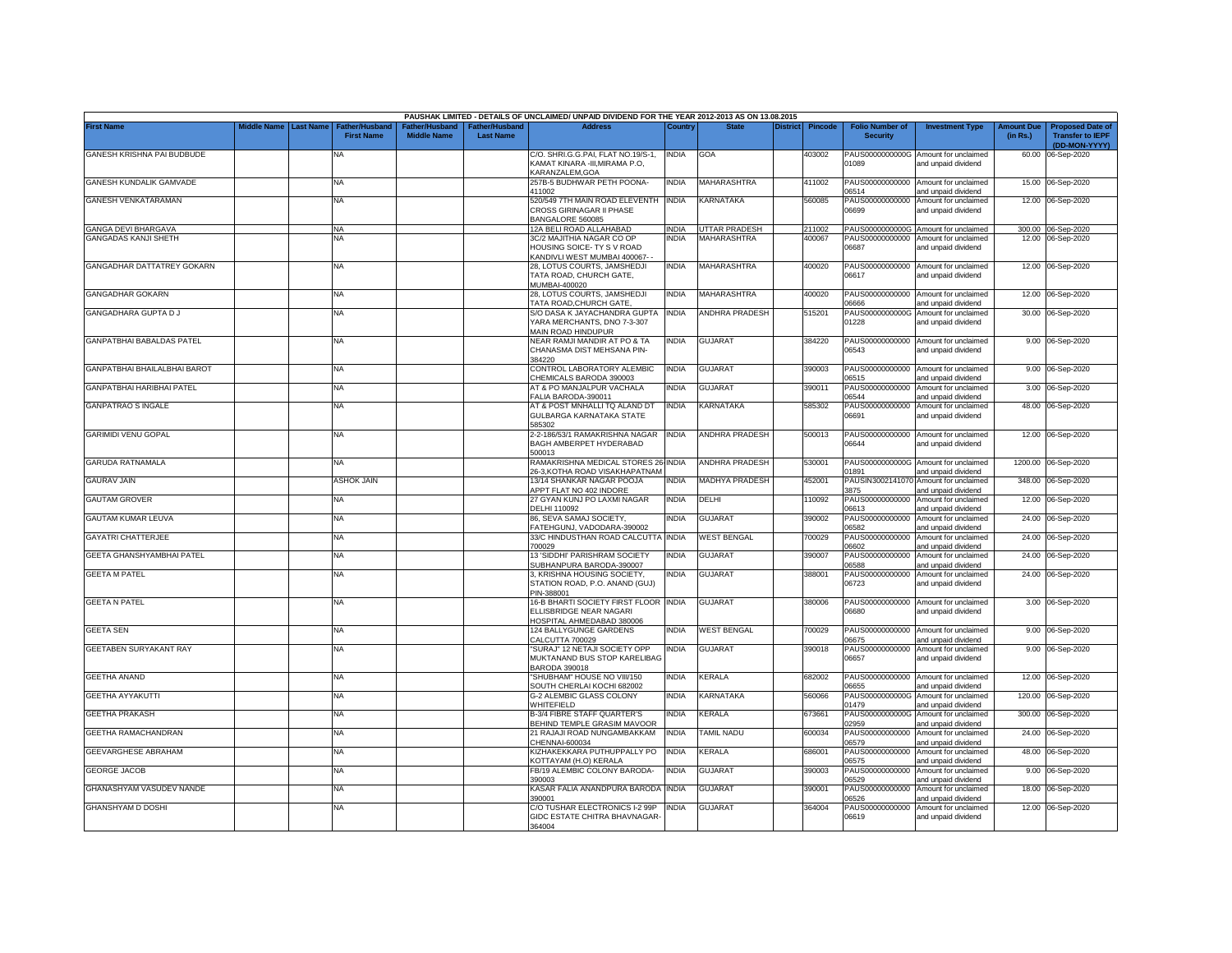|                                   |             |                  |                                            |                                      |                                   | PAUSHAK LIMITED - DETAILS OF UNCLAIMED/ UNPAID DIVIDEND FOR THE YEAR 2012-2013 AS ON 13.08.2015      |              |                       |                 |                |                                           |                                                              |                               |                                                                     |
|-----------------------------------|-------------|------------------|--------------------------------------------|--------------------------------------|-----------------------------------|------------------------------------------------------------------------------------------------------|--------------|-----------------------|-----------------|----------------|-------------------------------------------|--------------------------------------------------------------|-------------------------------|---------------------------------------------------------------------|
| <b>First Name</b>                 | Middle Name | <b>Last Name</b> | <b>Father/Husband</b><br><b>First Name</b> | Father/Husband<br><b>Middle Name</b> | ather/Husband<br><b>Last Name</b> | <b>Address</b>                                                                                       | Country      | <b>State</b>          | <b>District</b> | <b>Pincode</b> | <b>Folio Number of</b><br><b>Security</b> | <b>Investment Type</b>                                       | <b>Amount Due</b><br>(in Rs.) | <b>Proposed Date of</b><br><b>Transfer to IEPF</b><br>(DD-MON-YYYY) |
| GANESH KRISHNA PAI BUDBUDE        |             |                  | <b>NA</b>                                  |                                      |                                   | C/O. SHRI.G.G.PAI, FLAT NO.19/S-1,<br>KAMAT KINARA -III, MIRAMA P.O,<br>KARANZALEM.GOA               | <b>INDIA</b> | GOA                   |                 | 403002         | 01089                                     | PAUS0000000000G Amount for unclaimed<br>and unpaid dividend  |                               | 60.00 06-Sep-2020                                                   |
| GANESH KUNDALIK GAMVADE           |             |                  | <b>NA</b>                                  |                                      |                                   | 257B-5 BUDHWAR PETH POONA-<br>411002                                                                 | <b>INDIA</b> | MAHARASHTRA           |                 | 411002         | 06514                                     | PAUS00000000000 Amount for unclaimed<br>and unpaid dividend  |                               | 15.00 06-Sep-2020                                                   |
| GANESH VENKATARAMAN               |             |                  | <b>NA</b>                                  |                                      |                                   | 520/549 7TH MAIN ROAD ELEVENTH<br>CROSS GIRINAGAR II PHASE<br>BANGALORE 560085                       | <b>INDIA</b> | KARNATAKA             |                 | 560085         | 06699                                     | PAUS00000000000 Amount for unclaimed<br>and unpaid dividend  |                               | 12.00 06-Sep-2020                                                   |
| <b>GANGA DEVI BHARGAVA</b>        |             |                  | <b>NA</b>                                  |                                      |                                   | 12A BELI ROAD ALLAHABAD                                                                              | <b>INDIA</b> | <b>UTTAR PRADESH</b>  |                 | 211002         |                                           | PAUS0000000000G Amount for unclaimed                         |                               | 300.00 06-Sep-2020                                                  |
| <b>GANGADAS KANJI SHETH</b>       |             |                  | NA                                         |                                      |                                   | 3C/2 MAJITHIA NAGAR CO OP<br>HOUSING SOICE- TY S V ROAD<br><b>KANDIVLI WEST MUMBAI 400067-</b>       | <b>INDIA</b> | MAHARASHTRA           |                 | 400067         | PAUS00000000000<br>06687                  | Amount for unclaimed<br>and unpaid dividend                  |                               | 12.00 06-Sep-2020                                                   |
| <b>GANGADHAR DATTATREY GOKARN</b> |             |                  | <b>NA</b>                                  |                                      |                                   | 28. LOTUS COURTS, JAMSHEDJI<br>TATA ROAD, CHURCH GATE,<br>MUMBAI-400020                              | <b>INDIA</b> | MAHARASHTRA           |                 | 400020         | 06617                                     | PAUS00000000000 Amount for unclaimed<br>and unpaid dividend  |                               | 12.00 06-Sep-2020                                                   |
| <b>GANGADHAR GOKARN</b>           |             |                  | <b>NA</b>                                  |                                      |                                   | 28, LOTUS COURTS, JAMSHEDJI<br>TATA ROAD, CHURCH GATE,                                               | <b>INDIA</b> | <b>MAHARASHTRA</b>    |                 | 400020         | 36660                                     | PAUS00000000000 Amount for unclaimed<br>and unpaid dividend  |                               | 12.00 06-Sep-2020                                                   |
| GANGADHARA GUPTA D J              |             |                  | NA                                         |                                      |                                   | S/O DASA K JAYACHANDRA GUPTA INDIA<br>YARA MERCHANTS, DNO 7-3-307<br>MAIN ROAD HINDUPUR              |              | <b>ANDHRA PRADESH</b> |                 | 515201         | PAUS0000000000G<br>01228                  | Amount for unclaimed<br>and unpaid dividend                  |                               | 30.00 06-Sep-2020                                                   |
| GANPATBHAI BABALDAS PATEL         |             |                  | <b>NA</b>                                  |                                      |                                   | NEAR RAMJI MANDIR AT PO & TA<br>CHANASMA DIST MEHSANA PIN-<br>384220                                 | <b>INDIA</b> | <b>GUJARAT</b>        |                 | 384220         | 06543                                     | PAUS00000000000 Amount for unclaimed<br>and unpaid dividend  |                               | 9.00 06-Sep-2020                                                    |
| GANPATBHAI BHAILALBHAI BAROT      |             |                  | <b>NA</b>                                  |                                      |                                   | CONTROL LABORATORY ALEMBIC<br>CHEMICALS BARODA 390003                                                | <b>INDIA</b> | GUJARAT               |                 | 390003         | 06515                                     | PAUS00000000000 Amount for unclaimed<br>and unpaid dividend  |                               | 9.00 06-Sep-2020                                                    |
| GANPATBHAI HARIBHAI PATEL         |             |                  | <b>NA</b>                                  |                                      |                                   | AT & PO MANJALPUR VACHALA<br>FALIA BARODA-390011                                                     | <b>INDIA</b> | GUJARAT               |                 | 390011         | PAUS00000000000<br>06544                  | Amount for unclaimed<br>and unpaid dividend                  |                               | 3.00 06-Sep-2020                                                    |
| <b>GANPATRAO S INGALE</b>         |             |                  | NA                                         |                                      |                                   | AT & POST MNHALLI TQ ALAND DT<br>GULBARGA KARNATAKA STATE<br>585302                                  | <b>INDIA</b> | KARNATAKA             |                 | 585302         | PAUS00000000000<br>06691                  | Amount for unclaimed<br>and unpaid dividend                  |                               | 48.00 06-Sep-2020                                                   |
| <b>GARIMIDI VENU GOPAL</b>        |             |                  | NA                                         |                                      |                                   | 2-2-186/53/1 RAMAKRISHNA NAGAR<br>BAGH AMBERPET HYDERABAD<br>500013                                  | <b>INDIA</b> | <b>ANDHRA PRADESH</b> |                 | 500013         | 06644                                     | PAUS00000000000 Amount for unclaimed<br>and unpaid dividend  |                               | 12.00 06-Sep-2020                                                   |
| <b>GARUDA RATNAMALA</b>           |             |                  | <b>NA</b>                                  |                                      |                                   | RAMAKRISHNA MEDICAL STORES 26-INDIA<br>26-3, KOTHA ROAD VISAKHAPATNAM                                |              | <b>ANDHRA PRADESH</b> |                 | 530001         | 01891                                     | PAUS0000000000G Amount for unclaimed<br>and unpaid dividend  |                               | 1200.00 06-Sep-2020                                                 |
| <b>GAURAV JAIN</b>                |             |                  | ASHOK JAIN                                 |                                      |                                   | 13/14 SHANKAR NAGAR POOJA<br>APPT FLAT NO 402 INDORE                                                 | <b>INDIA</b> | <b>MADHYA PRADESH</b> |                 | 452001         | 3875                                      | PAUSIN3002141070 Amount for unclaimed<br>and unpaid dividend |                               | 348.00 06-Sep-2020                                                  |
| <b>GAUTAM GROVER</b>              |             |                  | NA                                         |                                      |                                   | 27 GYAN KUNJ PO LAXMI NAGAR<br>DELHI 110092                                                          | <b>INDIA</b> | DELHI                 |                 | 110092         | 06613                                     | PAUS00000000000 Amount for unclaimed<br>and unpaid dividend  |                               | 12.00 06-Sep-2020                                                   |
| <b>GAUTAM KUMAR LEUVA</b>         |             |                  | NA                                         |                                      |                                   | 86, SEVA SAMAJ SOCIETY,<br>FATEHGUNJ, VADODARA-390002                                                | <b>INDIA</b> | GUJARAT               |                 | 390002         | PAUS00000000000<br>06582                  | Amount for unclaimed<br>and unpaid dividend                  |                               | 24.00 06-Sep-2020                                                   |
| <b>GAYATRI CHATTERJEE</b>         |             |                  | <b>NA</b>                                  |                                      |                                   | 33/C HINDUSTHAN ROAD CALCUTTA INDIA<br>700029                                                        |              | <b>WEST BENGAL</b>    |                 | 700029         | PAUS00000000000<br>06602                  | Amount for unclaimed<br>and unpaid dividend                  |                               | 24.00 06-Sep-2020                                                   |
| GEETA GHANSHYAMBHAI PATEL         |             |                  | <b>NA</b>                                  |                                      |                                   | 13 'SIDDHI' PARISHRAM SOCIETY<br>SUBHANPURA BARODA-390007                                            | <b>INDIA</b> | <b>GUJARAT</b>        |                 | 390007         | 06588                                     | PAUS00000000000 Amount for unclaimed<br>and unpaid dividend  |                               | 24.00 06-Sep-2020                                                   |
| <b>GEETA M PATEL</b>              |             |                  | <b>NA</b>                                  |                                      |                                   | 3, KRISHNA HOUSING SOCIETY,<br>STATION ROAD, P.O. ANAND (GUJ)<br>PIN-388001                          | <b>INDIA</b> | <b>GUJARAT</b>        |                 | 388001         | 06723                                     | PAUS00000000000 Amount for unclaimed<br>and unpaid dividend  |                               | 24.00 06-Sep-2020                                                   |
| <b>GEETA N PATEL</b>              |             |                  | <b>NA</b>                                  |                                      |                                   | 16-B BHARTI SOCIETY FIRST FLOOR INDIA<br>ELLISBRIDGE NEAR NAGARI<br><b>IOSPITAL AHMEDABAD 380006</b> |              | <b>GUJARAT</b>        |                 | 380006         | 06680                                     | PAUS00000000000 Amount for unclaimed<br>and unpaid dividend  |                               | 3.00 06-Sep-2020                                                    |
| <b>GEETA SEN</b>                  |             |                  | NA                                         |                                      |                                   | 124 BALLYGUNGE GARDENS<br>CALCUTTA 700029                                                            | India        | <b>WEST BENGAL</b>    |                 | 700029         | 6675                                      | PAUS00000000000 Amount for unclaimed<br>and unpaid dividend  |                               | 9.00 06-Sep-2020                                                    |
| GEETABEN SURYAKANT RAY            |             |                  | <b>NA</b>                                  |                                      |                                   | "SURAJ" 12 NETAJI SOCIETY OPP<br>MUKTANAND BUS STOP KARELIBAG<br><b>BARODA 390018</b>                | <b>INDIA</b> | <b>GUJARAT</b>        |                 | 390018         | PAUS00000000000<br>06657                  | Amount for unclaimed<br>and unpaid dividend                  |                               | 9.00 06-Sep-2020                                                    |
| <b>GEETHA ANAND</b>               |             |                  | <b>NA</b>                                  |                                      |                                   | "SHUBHAM" HOUSE NO VIII/150<br>SOUTH CHERLAI KOCHI 682002                                            | <b>INDIA</b> | KERALA                |                 | 682002         | 06655                                     | PAUS00000000000 Amount for unclaimed<br>and unpaid dividend  | 12.00                         | 06-Sep-2020                                                         |
| <b>GEETHA AYYAKUTTI</b>           |             |                  | <b>NA</b>                                  |                                      |                                   | <b>G-2 ALEMBIC GLASS COLONY</b><br>WHITEFIELD                                                        | <b>INDIA</b> | KARNATAKA             |                 | 560066         | PAUS0000000000G<br>01479                  | Amount for unclaimed<br>and unpaid dividend                  | 120.00                        | 06-Sep-2020                                                         |
| <b>GEETHA PRAKASH</b>             |             |                  | <b>NA</b>                                  |                                      |                                   | <b>B-3/4 FIBRE STAFF QUARTER'S</b><br>BEHIND TEMPLE GRASIM MAVOOR                                    | <b>INDIA</b> | <b>CERALA</b>         |                 | 673661         | PAUS0000000000G<br>02959                  | Amount for unclaimed<br>and unpaid dividend                  | 300.00                        | 06-Sep-2020                                                         |
| GEETHA RAMACHANDRAN               |             |                  | <b>NA</b>                                  |                                      |                                   | 21 RAJAJI ROAD NUNGAMBAKKAM<br>CHENNAI-600034                                                        | <b>INDIA</b> | <b>TAMIL NADU</b>     |                 | 600034         | PAUS00000000000<br>06579                  | Amount for unclaimed<br>and unpaid dividend                  | 24.00                         | 06-Sep-2020                                                         |
| GEEVARGHESE ABRAHAM               |             |                  | <b>NA</b>                                  |                                      |                                   | KIZHAKEKKARA PUTHUPPALLY PO<br>KOTTAYAM (H.O) KERALA                                                 | <b>INDIA</b> | KERALA                |                 | 686001         | PAUS00000000000<br>06575                  | Amount for unclaimed<br>and unpaid dividend                  | 48.00                         | 06-Sep-2020                                                         |
| <b>GEORGE JACOB</b>               |             |                  | <b>NA</b>                                  |                                      |                                   | FB/19 ALEMBIC COLONY BARODA-<br>390003                                                               | <b>INDIA</b> | GUJARAT               |                 | 390003         | PAUS00000000000<br>06529                  | Amount for unclaimed<br>and unpaid dividend                  |                               | 9.00 06-Sep-2020                                                    |
| GHANASHYAM VASUDEV NANDE          |             |                  | NA                                         |                                      |                                   | KASAR FALIA ANANDPURA BARODA<br>390001                                                               | <b>INDIA</b> | GUJARAT               |                 | 390001         | PAUS00000000000<br>06526                  | Amount for unclaimed<br>and unpaid dividend                  | 18.00                         | 06-Sep-2020                                                         |
| GHANSHYAM D DOSHI                 |             |                  | <b>NA</b>                                  |                                      |                                   | C/O TUSHAR ELECTRONICS I-2 99P<br>GIDC ESTATE CHITRA BHAVNAGAR-<br>364004                            | <b>INDIA</b> | GUJARAT               |                 | 364004         | PAUS00000000000<br>06619                  | Amount for unclaimed<br>and unpaid dividend                  |                               | 12.00 06-Sep-2020                                                   |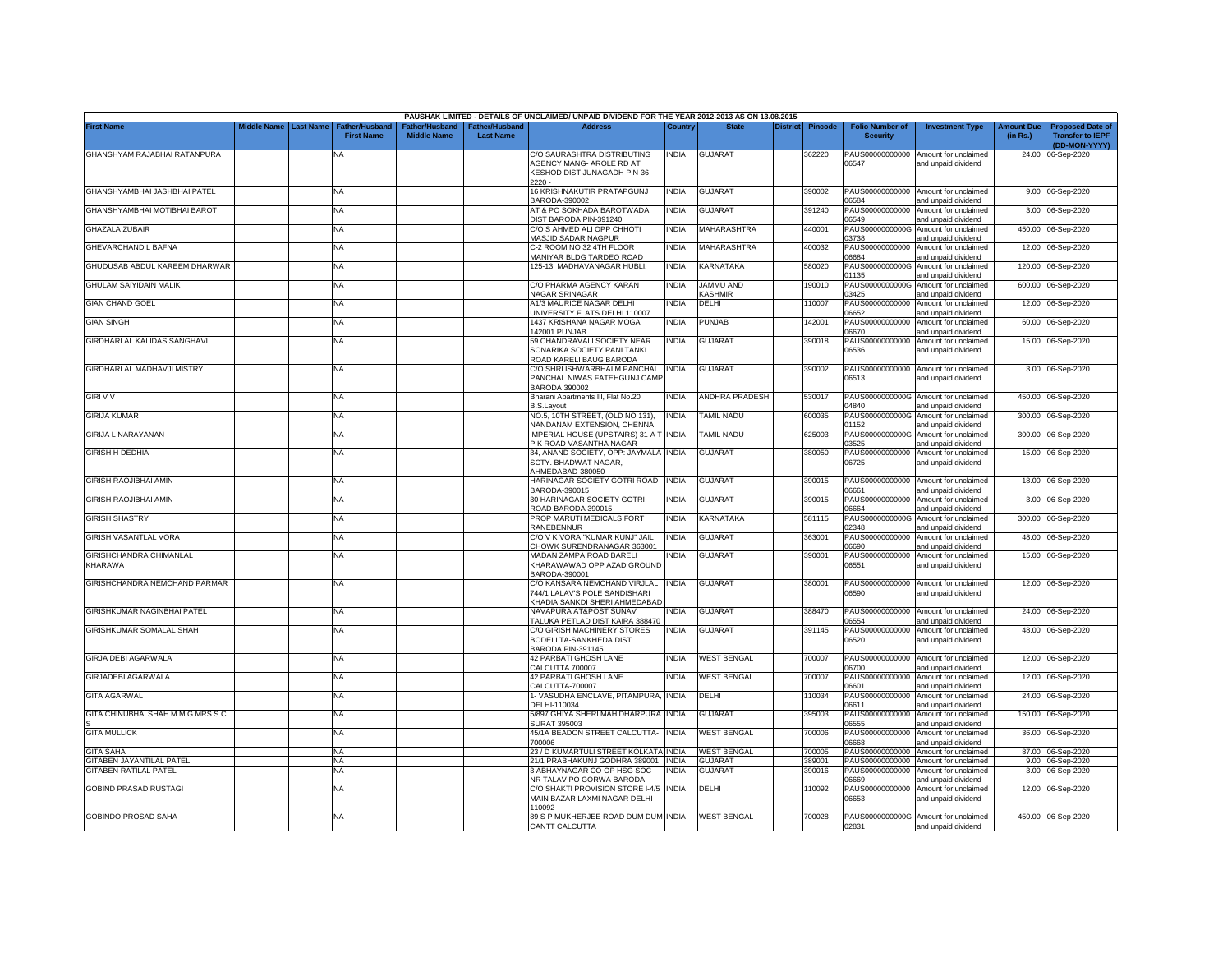|                                    |             |                  |                                    |                                     |                                   | PAUSHAK LIMITED - DETAILS OF UNCLAIMED/ UNPAID DIVIDEND FOR THE YEAR 2012-2013 AS ON 13.08.2015     |              |                          |          |                |                                           |                                                             |                               |                                                                     |
|------------------------------------|-------------|------------------|------------------------------------|-------------------------------------|-----------------------------------|-----------------------------------------------------------------------------------------------------|--------------|--------------------------|----------|----------------|-------------------------------------------|-------------------------------------------------------------|-------------------------------|---------------------------------------------------------------------|
| <b>First Name</b>                  | Middle Name | <b>Last Name</b> | Father/Husban<br><b>First Name</b> | ather/Hushanc<br><b>Middle Name</b> | ather/Husbanc<br><b>Last Name</b> | <b>Address</b>                                                                                      | Countr       | <b>State</b>             | District | <b>Pincode</b> | <b>Folio Number of</b><br><b>Security</b> | <b>Investment Type</b>                                      | <b>Amount Due</b><br>(in Rs.) | <b>Proposed Date of</b><br><b>Transfer to IEPF</b><br>(DD-MON-YYYY) |
| GHANSHYAM RAJABHAI RATANPURA       |             |                  | <b>NA</b>                          |                                     |                                   | C/O SAURASHTRA DISTRIBUTING<br>AGENCY MANG- AROLE RD AT<br>KESHOD DIST JUNAGADH PIN-36-<br>$2220 -$ | <b>INDIA</b> | <b>GUJARAT</b>           |          | 362220         | PAUS00000000000<br>06547                  | Amount for unclaimed<br>and unpaid dividend                 |                               | 24.00 06-Sep-2020                                                   |
| GHANSHYAMBHAI JASHBHAI PATEL       |             |                  | <b>NA</b>                          |                                     |                                   | 16 KRISHNAKUTIR PRATAPGUNJ<br>BARODA-390002                                                         | <b>INDIA</b> | GUJARAT                  |          | 390002         | 06584                                     | PAUS00000000000 Amount for unclaimed<br>and unpaid dividend |                               | 9.00 06-Sep-2020                                                    |
| GHANSHYAMBHAI MOTIBHAI BAROT       |             |                  | <b>NA</b>                          |                                     |                                   | AT & PO SOKHADA BAROTWADA<br>DIST BARODA PIN-391240                                                 | <b>INDIA</b> | <b>GUJARAT</b>           |          | 391240         | PAUS00000000000<br>6549                   | Amount for unclaimed<br>and unpaid dividend                 |                               | 3.00 06-Sep-2020                                                    |
| <b>GHAZALA ZUBAIR</b>              |             |                  | <b>NA</b>                          |                                     |                                   | C/O S AHMED ALI OPP CHHOTI<br>MASJID SADAR NAGPUR                                                   | India        | <b>MAHARASHTRA</b>       |          | 440001         | PAUS0000000000G<br>03738                  | Amount for unclaimed<br>and unpaid dividend                 |                               | 450.00 06-Sep-2020                                                  |
| GHEVARCHAND L BAFNA                |             |                  | <b>NA</b>                          |                                     |                                   | C-2 ROOM NO 32 4TH FLOOR<br><b>MANIYAR BLDG TARDEO ROAD</b>                                         | India        | <b>MAHARASHTRA</b>       |          | 400032         | PAUS00000000000<br>06684                  | Amount for unclaimed<br>and unpaid dividend                 |                               | 12.00 06-Sep-2020                                                   |
| GHUDUSAB ABDUL KAREEM DHARWAR      |             |                  | <b>NA</b>                          |                                     |                                   | 125-13, MADHAVANAGAR HUBLI.                                                                         | <b>INDIA</b> | <b>KARNATAKA</b>         |          | 580020         | PAUS0000000000G<br>1135                   | Amount for unclaimed<br>and unpaid dividend                 | 120.00                        | 06-Sep-2020                                                         |
| <b>GHULAM SAIYIDAIN MALIK</b>      |             |                  | <b>NA</b>                          |                                     |                                   | C/O PHARMA AGENCY KARAN<br>NAGAR SRINAGAR                                                           | <b>INDIA</b> | JAMMU AND<br>KASHMIR     |          | 190010         | PAUS0000000000G<br>03425                  | Amount for unclaimed<br>and unpaid dividend                 | 600.00                        | 06-Sep-2020                                                         |
| <b>GIAN CHAND GOEL</b>             |             |                  | <b>NA</b>                          |                                     |                                   | A1/3 MAURICE NAGAR DELHI<br>UNIVERSITY FLATS DELHI 110007                                           | <b>INDIA</b> | DELHI                    |          | 110007         | PAUS00000000000<br>06652                  | Amount for unclaimed<br>and unpaid dividend                 |                               | 12.00 06-Sep-2020                                                   |
| <b>GIAN SINGH</b>                  |             |                  | <b>NA</b>                          |                                     |                                   | 1437 KRISHANA NAGAR MOGA<br>142001 PUNJAB                                                           | <b>INDIA</b> | PUNJAB                   |          | 142001         | PAUS00000000000<br>06670                  | Amount for unclaimed<br>and unpaid dividend                 | 60.00                         | 06-Sep-2020                                                         |
| GIRDHARLAL KALIDAS SANGHAVI        |             |                  | <b>NA</b>                          |                                     |                                   | 59 CHANDRAVALI SOCIETY NEAR<br>SONARIKA SOCIETY PANI TANKI<br>ROAD KARELI BAUG BARODA               | <b>INDIA</b> | GUJARAT                  |          | 390018         | PAUS00000000000<br>06536                  | Amount for unclaimed<br>and unpaid dividend                 | 15.00                         | 06-Sep-2020                                                         |
| GIRDHARLAL MADHAVJI MISTRY         |             |                  | <b>NA</b>                          |                                     |                                   | C/O SHRI ISHWARBHAI M PANCHAL<br>PANCHAL NIWAS FATEHGUNJ CAMP<br>BARODA 390002                      | <b>INDIA</b> | GUJARAT                  |          | 390002         | 06513                                     | PAUS00000000000 Amount for unclaimed<br>and unpaid dividend |                               | 3.00 06-Sep-2020                                                    |
| <b>GIRI V V</b>                    |             |                  | <b>NA</b>                          |                                     |                                   | Bharani Apartments III, Flat No.20<br>3.S.Layout                                                    | <b>INDIA</b> | ANDHRA PRADESH           |          | 530017         | PAUS0000000000G<br>14840                  | Amount for unclaimed<br>and unpaid dividend                 |                               | 450.00 06-Sep-2020                                                  |
| <b>GIRIJA KUMAR</b>                |             |                  | NA.                                |                                     |                                   | NO.5, 10TH STREET, (OLD NO 131),<br>NANDANAM EXTENSION, CHENNAI                                     | <b>INDIA</b> | <b><i>FAMIL NADU</i></b> |          | 600035         | PAUS0000000000G<br>01152                  | Amount for unclaimed<br>and unpaid dividend                 | 300.00                        | 06-Sep-2020                                                         |
| <b>GIRIJA L NARAYANAN</b>          |             |                  | <b>NA</b>                          |                                     |                                   | <b>IMPERIAL HOUSE (UPSTAIRS) 31-A T</b><br>P K ROAD VASANTHA NAGAR                                  | <b>INDIA</b> | <b>TAMIL NADU</b>        |          | 625003         | 3525                                      | PAUS0000000000G Amount for unclaimed<br>and unpaid dividend | 300.00                        | 06-Sep-2020                                                         |
| <b>GIRISH H DEDHIA</b>             |             |                  | <b>NA</b>                          |                                     |                                   | 34, ANAND SOCIETY, OPP: JAYMALA INDIA<br>SCTY. BHADWAT NAGAR,<br>AHMEDABAD-380050                   |              | <b>GUJARAT</b>           |          | 380050         | PAUS00000000000<br>06725                  | Amount for unclaimed<br>and unpaid dividend                 |                               | 15.00 06-Sep-2020                                                   |
| <b>GIRISH RAOJIBHAI AMIN</b>       |             |                  | <b>NA</b>                          |                                     |                                   | HARINAGAR SOCIETY GOTRI ROAD INDIA<br>BARODA-390015                                                 |              | <b>GUJARAT</b>           |          | 390015         | 06661                                     | PAUS00000000000 Amount for unclaimed<br>and unpaid dividend |                               | 18.00 06-Sep-2020                                                   |
| <b>GIRISH RAOJIBHAI AMIN</b>       |             |                  | <b>NA</b>                          |                                     |                                   | <b>30 HARINAGAR SOCIETY GOTRI</b><br>ROAD BARODA 390015                                             | <b>INDIA</b> | GUJARAT                  |          | 390015         | PAUS00000000000<br>06664                  | Amount for unclaimed<br>and unpaid dividend                 |                               | 3.00 06-Sep-2020                                                    |
| <b>GIRISH SHASTRY</b>              |             |                  | <b>NA</b>                          |                                     |                                   | PROP MARUTI MEDICALS FORT<br>RANEBENNUR                                                             | <b>INDIA</b> | KARNATAKA                |          | 581115         | PAUS0000000000G<br>02348                  | Amount for unclaimed<br>and unpaid dividend                 |                               | 300.00 06-Sep-2020                                                  |
| GIRISH VASANTLAL VORA              |             |                  | NA                                 |                                     |                                   | C/O V K VORA "KUMAR KUNJ" JAIL<br>CHOWK SURENDRANAGAR 363001                                        | <b>INDIA</b> | <b>GUJARAT</b>           |          | 363001         | PAUS00000000000<br>16690                  | Amount for unclaimed<br>and unpaid dividend                 |                               | 48.00 06-Sep-2020                                                   |
| GIRISHCHANDRA CHIMANLAL<br>KHARAWA |             |                  | <b>NA</b>                          |                                     |                                   | MADAN ZAMPA ROAD BARELI<br>KHARAWAWAD OPP AZAD GROUND<br>BARODA-390001                              | INDIA        | <b>GUJARAT</b>           |          | 390001         | 06551                                     | PAUS00000000000 Amount for unclaimed<br>and unpaid dividend |                               | 15.00 06-Sep-2020                                                   |
| GIRISHCHANDRA NEMCHAND PARMAR      |             |                  | ΝA                                 |                                     |                                   | C/O KANSARA NEMCHAND VIRJLAL<br>744/1 LALAV'S POLE SANDISHARI<br>KHADIA SANKDI SHERI AHMEDABAD      | <b>INDIA</b> | GUJARAT                  |          | 380001         | PAUS00000000000<br>06590                  | Amount for unclaimed<br>and unpaid dividend                 |                               | 12.00 06-Sep-2020                                                   |
| GIRISHKUMAR NAGINBHAI PATEL        |             |                  | <b>NA</b>                          |                                     |                                   | NAVAPURA AT&POST SUNAV<br>TALUKA PETLAD DIST KAIRA 388470                                           | NDIA         | <b>GUJARAT</b>           |          | 388470         | PAUS00000000000<br>06554                  | Amount for unclaimed<br>and unpaid dividend                 |                               | 24.00 06-Sep-2020                                                   |
| <b>GIRISHKUMAR SOMALAL SHAH</b>    |             |                  | NA                                 |                                     |                                   | C/O GIRISH MACHINERY STORES<br>BODELI TA-SANKHEDA DIST<br>BARODA PIN-391145                         | <b>INDIA</b> | <b>GUJARAT</b>           |          | 391145         | PAUS00000000000<br>06520                  | Amount for unclaimed<br>and unpaid dividend                 |                               | 48.00 06-Sep-2020                                                   |
| <b>GIRJA DEBI AGARWALA</b>         |             |                  | <b>NA</b>                          |                                     |                                   | 42 PARBATI GHOSH LANE<br>CALCUTTA 700007                                                            | <b>INDIA</b> | <b>WEST BENGAL</b>       |          | 700007         | 06700                                     | PAUS00000000000 Amount for unclaimed<br>and unpaid dividend |                               | 12.00 06-Sep-2020                                                   |
| <b>GIRJADEBI AGARWALA</b>          |             |                  | NA                                 |                                     |                                   | 42 PARBATI GHOSH LANE<br>CALCUTTA-700007                                                            | <b>INDIA</b> | <b>WEST BENGAL</b>       |          | 700007         | PAUS00000000000<br>06601                  | Amount for unclaimed<br>and unpaid dividend                 | 12.00                         | 06-Sep-2020                                                         |
| <b>GITA AGARWAL</b>                |             |                  | <b>NA</b>                          |                                     |                                   | 1- VASUDHA ENCLAVE, PITAMPURA,<br>DELHI-110034                                                      | <b>INDIA</b> | DELHI                    |          | 10034          | PAUS00000000000<br>06611                  | Amount for unclaimed<br>and unpaid dividend                 | 24.00                         | 06-Sep-2020                                                         |
| GITA CHINUBHAI SHAH M M G MRS S C  |             |                  | <b>NA</b>                          |                                     |                                   | 5/897 GHIYA SHERI MAHIDHARPURA<br>SURAT 395003                                                      | <b>INDIA</b> | <b>GUJARAT</b>           |          | 395003         | PAUS00000000000<br>06555                  | Amount for unclaimed<br>and unpaid dividend                 | 150.00                        | 06-Sep-2020                                                         |
| <b>GITA MULLICK</b>                |             |                  | <b>NA</b>                          |                                     |                                   | 45/1A BEADON STREET CALCUTTA-<br>700006                                                             | <b>INDIA</b> | <b>WEST BENGAL</b>       |          | 700006         | PAUS00000000000<br>06668                  | Amount for unclaimed<br>and unpaid dividend                 |                               | 36.00 06-Sep-2020                                                   |
| <b>GITA SAHA</b>                   |             |                  | <b>NA</b>                          |                                     |                                   | 23 / D KUMARTULI STREET KOLKATA INDIA                                                               |              | <b>WEST BENGAL</b>       |          | 700005         | PAUS00000000000                           | Amount for unclaimed                                        |                               | 87.00 06-Sep-2020                                                   |
| <b>GITABEN JAYANTILAL PATEL</b>    |             |                  | <b>NA</b>                          |                                     |                                   | 21/1 PRABHAKUNJ GODHRA 389001                                                                       | <b>INDIA</b> | GUJARAT                  |          | 389001         | PAUS00000000000                           | Amount for unclaimed                                        | 9.00                          | 06-Sep-2020                                                         |
| <b>GITABEN RATILAL PATEL</b>       |             |                  | ΝA                                 |                                     |                                   | 3 ABHAYNAGAR CO-OP HSG SOC                                                                          | NDIA         | <b>GUJARAT</b>           |          | 390016         | PAUS00000000000                           | Amount for unclaimed                                        |                               | 3.00 06-Sep-2020                                                    |
|                                    |             |                  |                                    |                                     |                                   | NR TALAV PO GORWA BARODA-                                                                           |              |                          |          |                | 06669                                     | and unpaid dividend                                         |                               |                                                                     |
| <b>GOBIND PRASAD RUSTAGI</b>       |             |                  | <b>NA</b>                          |                                     |                                   | C/O SHAKTI PROVISION STORE I-4/5<br>MAIN BAZAR LAXMI NAGAR DELHI-<br>110092                         | <b>INDIA</b> | DELHI                    |          | 10092          | PAUS00000000000<br>06653                  | Amount for unclaimed<br>and unpaid dividend                 |                               | 12.00 06-Sep-2020                                                   |
| <b>GOBINDO PROSAD SAHA</b>         |             |                  | <b>NA</b>                          |                                     |                                   | 89 S P MUKHERJEE ROAD DUM DUM INDIA<br>CANTT CALCUTTA                                               |              | <b>WEST BENGAL</b>       |          | 700028         | 02831                                     | PAUS0000000000G Amount for unclaimed<br>and unpaid dividend |                               | 450.00 06-Sep-2020                                                  |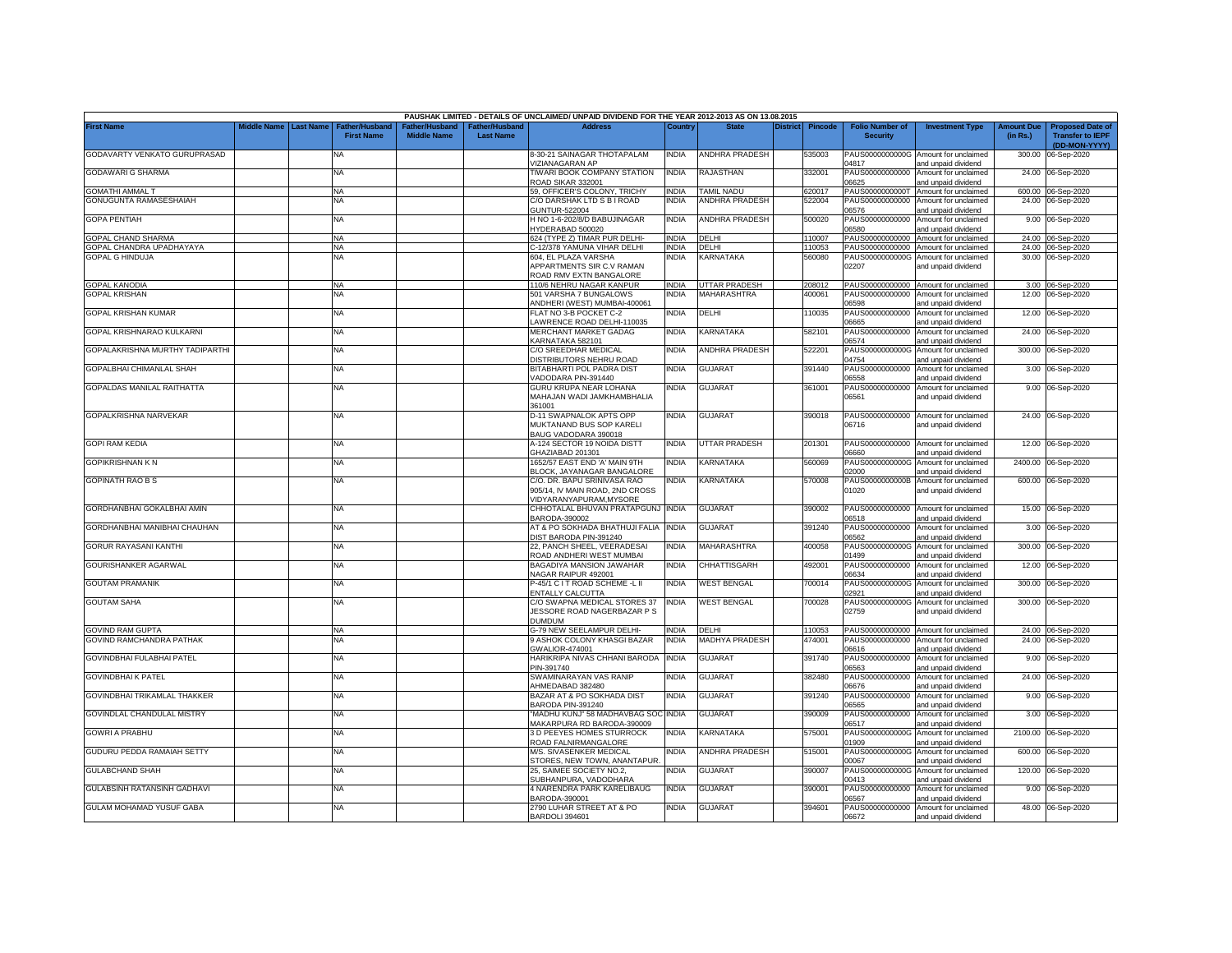|                                 |                         |                                            |                                      |                                    | PAUSHAK LIMITED - DETAILS OF UNCLAIMED/ UNPAID DIVIDEND FOR THE YEAR 2012-2013 AS ON 13.08.2015 |              |                       |          |                |                                           |                                                                    |                               |                                                    |
|---------------------------------|-------------------------|--------------------------------------------|--------------------------------------|------------------------------------|-------------------------------------------------------------------------------------------------|--------------|-----------------------|----------|----------------|-------------------------------------------|--------------------------------------------------------------------|-------------------------------|----------------------------------------------------|
| <b>First Name</b>               | Middle Name   Last Name | <b>Father/Husband</b><br><b>First Name</b> | Father/Husband<br><b>Middle Name</b> | Father/Husband<br><b>Last Name</b> | <b>Address</b>                                                                                  | Country      | <b>State</b>          | District | <b>Pincode</b> | <b>Folio Number of</b><br><b>Security</b> | <b>Investment Type</b>                                             | <b>Amount Due</b><br>(in Rs.) | <b>Proposed Date of</b><br><b>Transfer to IEPF</b> |
| GODAVARTY VENKATO GURUPRASAD    |                         | NA                                         |                                      |                                    | 8-30-21 SAINAGAR THOTAPALAM<br>VIZIANAGARAN AP                                                  | <b>INDIA</b> | ANDHRA PRADESH        |          | 535003         | 04817                                     | PAUS0000000000G Amount for unclaimed<br>and unpaid dividend        | 300.00                        | (DD-MON-YYYY)<br>06-Sep-2020                       |
| <b>GODAWARI G SHARMA</b>        |                         | <b>NA</b>                                  |                                      |                                    | TIWARI BOOK COMPANY STATION<br>ROAD SIKAR 332001                                                | <b>INDIA</b> | RAJASTHAN             |          | 332001         | PAUS00000000000<br>16625                  | Amount for unclaimed<br>and unpaid dividend                        |                               | 24.00 06-Sep-2020                                  |
| <b>GOMATHI AMMAL T</b>          |                         | <b>NA</b>                                  |                                      |                                    | 59, OFFICER'S COLONY, TRICHY                                                                    | <b>INDIA</b> | TAMIL NADU            |          | 620017         | PAUS0000000000T                           | Amount for unclaimed                                               |                               | 600.00 06-Sep-2020                                 |
| GONUGUNTA RAMASESHAIAH          |                         | <b>NA</b>                                  |                                      |                                    | C/O DARSHAK LTD S B I ROAD                                                                      | <b>INDIA</b> | ANDHRA PRADESH        |          | 522004         | PAUS00000000000                           | Amount for unclaimed                                               |                               | 24.00 06-Sep-2020                                  |
| GOPA PENTIAH                    |                         | <b>NA</b>                                  |                                      |                                    | <b>GUNTUR-522004</b><br>H NO 1-6-202/8/D BABUJINAGAR                                            | <b>INDIA</b> | <b>ANDHRA PRADESH</b> |          | 500020         | 06576<br>PAUS00000000000                  | and unpaid dividend<br>Amount for unclaimed                        |                               | 9.00 06-Sep-2020                                   |
|                                 |                         |                                            |                                      |                                    | YDERABAD 500020                                                                                 |              |                       |          |                | 06580                                     | and unpaid dividend                                                |                               |                                                    |
| <b>GOPAL CHAND SHARMA</b>       |                         | <b>NA</b>                                  |                                      |                                    | 624 (TYPE Z) TIMAR PUR DELHI-                                                                   | <b>INDIA</b> | DELHI                 |          | 110007         | PAUS00000000000                           | Amount for unclaimed                                               |                               | 24.00 06-Sep-2020                                  |
| GOPAL CHANDRA UPADHAYAYA        |                         | <b>NA</b>                                  |                                      |                                    | C-12/378 YAMUNA VIHAR DELHI                                                                     | <b>INDIA</b> | DELHI                 |          | 110053         |                                           | PAUS00000000000 Amount for unclaimed                               |                               | 24.00 06-Sep-2020                                  |
| <b>GOPAL G HINDUJA</b>          |                         | NA                                         |                                      |                                    | 604, EL PLAZA VARSHA<br>APPARTMENTS SIR C.V RAMAN<br>ROAD RMV EXTN BANGALORE                    | INDIA        | KARNATAKA             |          | 560080         | 02207                                     | PAUS0000000000G Amount for unclaimed<br>and unpaid dividend        |                               | 30.00 06-Sep-2020                                  |
| GOPAL KANODIA                   |                         | <b>NA</b>                                  |                                      |                                    | 110/6 NEHRU NAGAR KANPUR                                                                        | <b>INDIA</b> | UTTAR PRADESH         |          | 208012         |                                           | PAUS00000000000 Amount for unclaimed                               |                               | 3.00 06-Sep-2020                                   |
| GOPAL KRISHAN                   |                         | <b>NA</b>                                  |                                      |                                    | 501 VARSHA 7 BUNGALOWS<br>ANDHERI (WEST) MUMBAI-400061                                          | <b>INDIA</b> | <b>MAHARASHTRA</b>    |          | 400061         | 06598                                     | PAUS00000000000 Amount for unclaimed<br>and unpaid dividend        |                               | 12.00 06-Sep-2020                                  |
| <b>GOPAL KRISHAN KUMAR</b>      |                         | <b>NA</b>                                  |                                      |                                    | FLAT NO 3-B POCKET C-2<br>AWRENCE ROAD DELHI-110035                                             | <b>INDIA</b> | DELHI                 |          | 110035         | PAUS00000000000<br>06665                  | Amount for unclaimed<br>and unpaid dividend                        |                               | 12.00 06-Sep-2020                                  |
| GOPAL KRISHNARAO KULKARNI       |                         | NA                                         |                                      |                                    | MERCHANT MARKET GADAG<br><b>KARNATAKA 582101</b>                                                | <b>INDIA</b> | KARNATAKA             |          | 582101         | PAUS00000000000<br>6574                   | Amount for unclaimed<br>and unpaid dividend                        |                               | 24.00 06-Sep-2020                                  |
| GOPALAKRISHNA MURTHY TADIPARTHI |                         | NA                                         |                                      |                                    | C/O SREEDHAR MEDICAL<br><b>DISTRIBUTORS NEHRU ROAD</b>                                          | <b>INDIA</b> | ANDHRA PRADESH        |          | 522201         | PAUS0000000000G<br>14754                  | Amount for unclaimed<br>ind unpaid dividend                        |                               | 300.00 06-Sep-2020                                 |
| GOPALBHAI CHIMANLAL SHAH        |                         | NA                                         |                                      |                                    | BITABHARTI POL PADRA DIST<br>VADODARA PIN-391440                                                | <b>INDIA</b> | GUJARAT               |          | 391440         | PAUS00000000000<br>06558                  | Amount for unclaimed<br>ind unpaid dividend                        |                               | 3.00 06-Sep-2020                                   |
| GOPALDAS MANILAL RAITHATTA      |                         | <b>NA</b>                                  |                                      |                                    | GURU KRUPA NEAR LOHANA                                                                          | <b>INDIA</b> | GUJARAT               |          | 361001         | PAUS00000000000                           | Amount for unclaimed                                               |                               | 9.00 06-Sep-2020                                   |
|                                 |                         |                                            |                                      |                                    | MAHAJAN WADI JAMKHAMBHALIA<br>361001                                                            |              |                       |          |                | 06561                                     | and unpaid dividend                                                |                               |                                                    |
| GOPALKRISHNA NARVEKAR           |                         | <b>NA</b>                                  |                                      |                                    | D-11 SWAPNALOK APTS OPP<br>MUKTANAND BUS SOP KARELI<br>BAUG VADODARA 390018                     | <b>INDIA</b> | <b>GUJARAT</b>        |          | 390018         | 06716                                     | PAUS00000000000 Amount for unclaimed<br>and unpaid dividend        |                               | 24.00 06-Sep-2020                                  |
| <b>GOPI RAM KEDIA</b>           |                         | <b>NA</b>                                  |                                      |                                    | A-124 SECTOR 19 NOIDA DISTT<br>GHAZIABAD 201301                                                 | <b>INDIA</b> | UTTAR PRADESH         |          | 201301         | 06660                                     | PAUS00000000000 Amount for unclaimed<br>ind unpaid dividend        |                               | 12.00 06-Sep-2020                                  |
| <b>GOPIKRISHNAN K N</b>         |                         | <b>NA</b>                                  |                                      |                                    | 1652/57 EAST END 'A' MAIN 9TH                                                                   | <b>INDIA</b> | KARNATAKA             |          | 560069         | PAUS0000000000G                           | Amount for unclaimed                                               |                               | 2400.00 06-Sep-2020                                |
| <b>GOPINATH RAO B S</b>         |                         | <b>NA</b>                                  |                                      |                                    | BLOCK, JAYANAGAR BANGALORE<br>C/O. DR. BAPU SRINIVASA RAO<br>905/14, IV MAIN ROAD, 2ND CROSS    | <b>INDIA</b> | KARNATAKA             |          | 570008         | 02000<br>PAUS0000000000B<br>01020         | and unpaid dividend<br>Amount for unclaimed<br>and unpaid dividend |                               | 600.00 06-Sep-2020                                 |
| GORDHANBHAI GOKALBHAI AMIN      |                         | <b>NA</b>                                  |                                      |                                    | VIDYARANYAPURAM, MYSORE<br>CHHOTALAL BHUVAN PRATAPGUNJ INDIA                                    |              | <b>GUJARAT</b>        |          | 390002         | PAUS00000000000                           | Amount for unclaimed                                               |                               | 15.00 06-Sep-2020                                  |
| GORDHANBHAI MANIBHAI CHAUHAN    |                         | <b>NA</b>                                  |                                      |                                    | BARODA-390002<br>AT & PO SOKHADA BHATHUJI FALIA                                                 | <b>INDIA</b> | <b>GUJARAT</b>        |          | 391240         | 06518<br>PAUS00000000000                  | and unpaid dividend<br>Amount for unclaimed                        | 3.00                          | 06-Sep-2020                                        |
| GORUR RAYASANI KANTHI           |                         | <b>NA</b>                                  |                                      |                                    | DIST BARODA PIN-391240<br>22. PANCH SHEEL, VEERADESAI                                           | <b>INDIA</b> | MAHARASHTRA           |          | 400058         | 06562<br>PAUS0000000000G                  | and unpaid dividend<br>Amount for unclaimed                        | 300.00                        | 06-Sep-2020                                        |
|                                 |                         |                                            |                                      |                                    | ROAD ANDHERI WEST MUMBAI                                                                        |              |                       |          |                | 01499                                     | and unpaid dividend                                                |                               |                                                    |
| GOURISHANKER AGARWAL            |                         | <b>NA</b>                                  |                                      |                                    | <b>BAGADIYA MANSION JAWAHAR</b><br>NAGAR RAIPUR 492001                                          | <b>INDIA</b> | CHHATTISGARH          |          | 492001         | PAUS00000000000<br>06634                  | Amount for unclaimed<br>and unpaid dividend                        | 12.00                         | 06-Sep-2020                                        |
| <b>GOUTAM PRAMANIK</b>          |                         | <b>NA</b>                                  |                                      |                                    | P-45/1 C I T ROAD SCHEME -L II<br>ENTALLY CALCUTTA                                              | <b>INDIA</b> | <b>WEST BENGAL</b>    |          | 700014         | PAUS0000000000G<br>02921                  | Amount for unclaimed<br>and unpaid dividend                        | 300.00                        | 06-Sep-2020                                        |
| <b>GOUTAM SAHA</b>              |                         | <b>NA</b>                                  |                                      |                                    | C/O SWAPNA MEDICAL STORES 37<br>JESSORE ROAD NAGERBAZAR P S                                     | <b>INDIA</b> | <b>WEST BENGAL</b>    |          | 700028         | PAUS0000000000G<br>02759                  | Amount for unclaimed<br>and unpaid dividend                        | 300.00                        | 06-Sep-2020                                        |
| <b>GOVIND RAM GUPTA</b>         |                         | <b>NA</b>                                  |                                      |                                    | <b>DUMDUM</b><br>G-79 NEW SEELAMPUR DELHI-                                                      | <b>INDIA</b> | DELHI                 |          | 110053         |                                           | PAUS00000000000 Amount for unclaimed                               |                               | 24.00 06-Sep-2020                                  |
| GOVIND RAMCHANDRA PATHAK        |                         | <b>NA</b>                                  |                                      |                                    | 9 ASHOK COLONY KHASGI BAZAR                                                                     | <b>INDIA</b> | MADHYA PRADESH        |          | 474001         |                                           | PAUS00000000000 Amount for unclaimed                               |                               | 24.00 06-Sep-2020                                  |
|                                 |                         |                                            |                                      |                                    | GWALIOR-474001                                                                                  |              |                       |          |                | 06616                                     | and unpaid dividend                                                |                               |                                                    |
| GOVINDBHAI FULABHAI PATEL       |                         | NA                                         |                                      |                                    | HARIKRIPA NIVAS CHHANI BARODA<br>PIN-391740                                                     | <b>INDIA</b> | <b>GUJARAT</b>        |          | 391740         | PAUS00000000000<br>06563                  | Amount for unclaimed<br>and unpaid dividend                        |                               | 9.00 06-Sep-2020                                   |
| <b>GOVINDBHAI K PATEL</b>       |                         | NA                                         |                                      |                                    | SWAMINARAYAN VAS RANIP<br>AHMEDABAD 382480                                                      | <b>INDIA</b> | <b>GUJARAT</b>        |          | 382480         | PAUS00000000000<br>06676                  | Amount for unclaimed<br>and unpaid dividend                        |                               | 24.00 06-Sep-2020                                  |
| GOVINDBHAI TRIKAMLAL THAKKER    |                         | <b>NA</b>                                  |                                      |                                    | BAZAR AT & PO SOKHADA DIST<br>BARODA PIN-391240                                                 | <b>INDIA</b> | GUJARAT               |          | 391240         | PAUS00000000000<br>06565                  | Amount for unclaimed<br>and unpaid dividend                        |                               | 9.00 06-Sep-2020                                   |
| GOVINDLAL CHANDULAL MISTRY      |                         | <b>NA</b>                                  |                                      |                                    | "MADHU KUNJ" 58 MADHAVBAG SOC<br>MAKARPURA RD BARODA-390009                                     | <b>INDIA</b> | GUJARAT               |          | 390009         | PAUS00000000000<br>06517                  | Amount for unclaimed<br>and unpaid dividend                        |                               | 3.00 06-Sep-2020                                   |
| GOWRI A PRABHU                  |                         | <b>NA</b>                                  |                                      |                                    | 3 D PEEYES HOMES STURROCK<br>ROAD FALNIRMANGALORE                                               | India        | KARNATAKA             |          | 575001         | PAUS0000000000G<br>01909                  | Amount for unclaimed<br>and unpaid dividend                        |                               | 2100.00 06-Sep-2020                                |
| GUDURU PEDDA RAMAIAH SETTY      |                         | <b>NA</b>                                  |                                      |                                    | M/S. SIVASENKER MEDICAL<br>STORES, NEW TOWN, ANANTAPUR                                          | <b>NDIA</b>  | ANDHRA PRADESH        |          | 515001         | PAUS0000000000G<br>00067                  | Amount for unclaimed<br>and unpaid dividend                        |                               | 600.00 06-Sep-2020                                 |
| <b>GULABCHAND SHAH</b>          |                         | <b>NA</b>                                  |                                      |                                    | 25. SAIMEE SOCIETY NO.2.                                                                        | <b>INDIA</b> | <b>GUJARAT</b>        |          | 390007         | PAUS0000000000G                           | Amount for unclaimed                                               |                               | 120.00 06-Sep-2020                                 |
| GULABSINH RATANSINH GADHAVI     |                         | <b>NA</b>                                  |                                      |                                    | SUBHANPURA, VADODHARA<br>4 NARENDRA PARK KARELIBAUG                                             | <b>INDIA</b> | GUJARAT               |          | 390001         | 0413<br>PAUS00000000000                   | and unpaid dividend<br>Amount for unclaimed                        |                               | 9.00 06-Sep-2020                                   |
| GULAM MOHAMAD YUSUF GABA        |                         | <b>NA</b>                                  |                                      |                                    | BARODA-390001<br>2790 LUHAR STREET AT & PO                                                      | <b>INDIA</b> | <b>GUJARAT</b>        |          | 394601         | 06567                                     | and unpaid dividend<br>PAUS00000000000 Amount for unclaimed        |                               | 48.00 06-Sep-2020                                  |
|                                 |                         |                                            |                                      |                                    | BARDOLI 394601                                                                                  |              |                       |          |                | 06672                                     | and unpaid dividend                                                |                               |                                                    |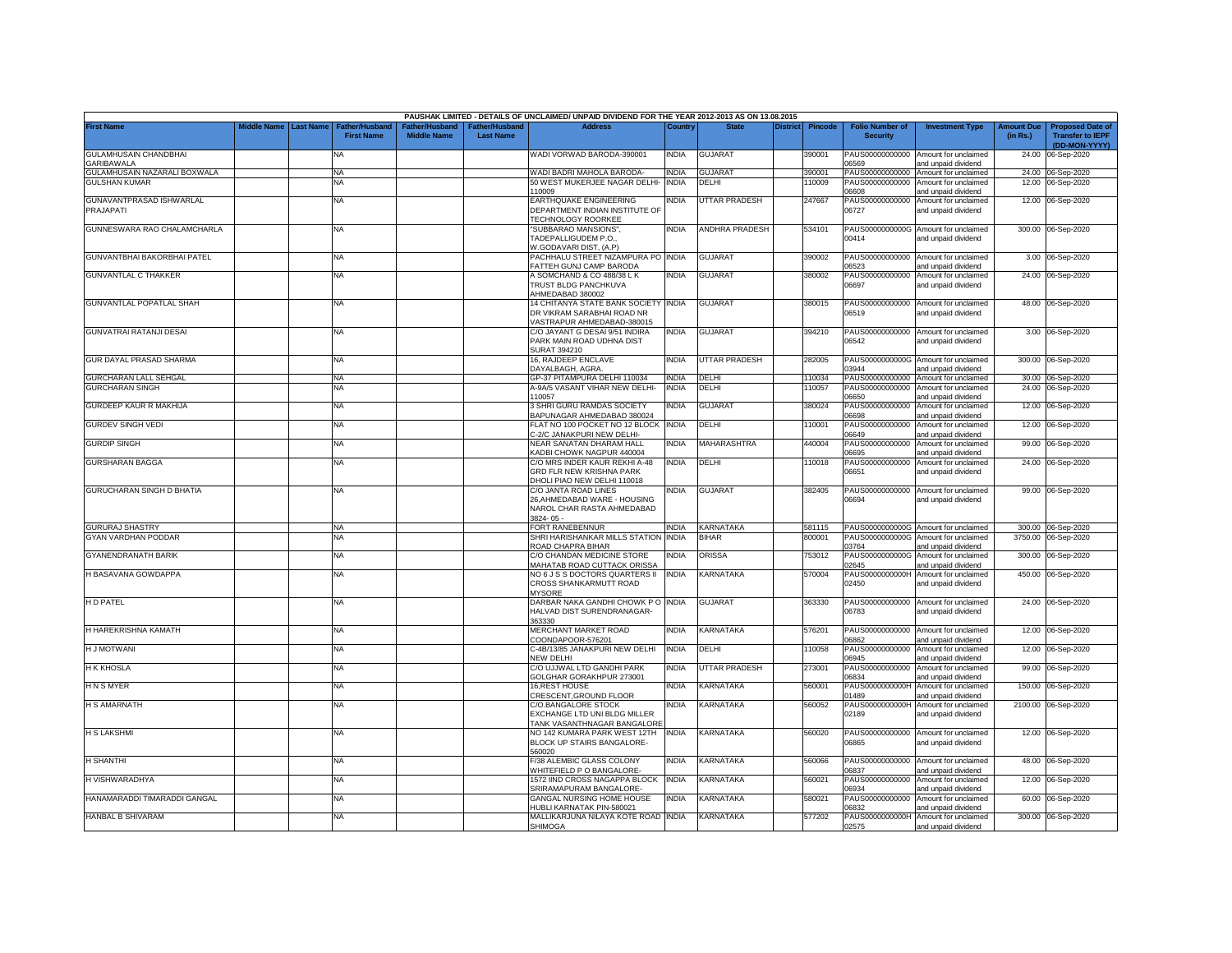|                                     |             |                  |                                            |                                                  |                                   | PAUSHAK LIMITED - DETAILS OF UNCLAIMED/ UNPAID DIVIDEND FOR THE YEAR 2012-2013 AS ON 13.08.2015 |              |                      |                 |                |                                           |                                                             |                               |                                                                     |
|-------------------------------------|-------------|------------------|--------------------------------------------|--------------------------------------------------|-----------------------------------|-------------------------------------------------------------------------------------------------|--------------|----------------------|-----------------|----------------|-------------------------------------------|-------------------------------------------------------------|-------------------------------|---------------------------------------------------------------------|
| <b>First Name</b>                   | Middle Name | <b>Last Name</b> | <b>Father/Husband</b><br><b>First Name</b> | ather/Husband <sup>:</sup><br><b>Middle Name</b> | ather/Husbanc<br><b>Last Name</b> | Address                                                                                         | Country      | <b>State</b>         | <b>District</b> | <b>Pincode</b> | <b>Folio Number of</b><br><b>Security</b> | <b>Investment Type</b>                                      | <b>Amount Due</b><br>(in Rs.) | <b>Proposed Date of</b><br><b>Transfer to IEPF</b><br>(DD-MON-YYYY) |
| GULAMHUSAIN CHANDBHAI<br>GARIBAWALA |             |                  | NA                                         |                                                  |                                   | WADI VORWAD BARODA-390001                                                                       | India        | <b>GUJARAT</b>       |                 | 390001         | PAUS00000000000<br>06569                  | Amount for unclaimed<br>and unpaid dividend                 | 24.00                         | 06-Sep-2020                                                         |
| GULAMHUSAIN NAZARALI BOXWALA        |             |                  | <b>NA</b>                                  |                                                  |                                   | WADI BADRI MAHOLA BARODA-                                                                       | <b>INDIA</b> | <b>GUJARA1</b>       |                 | 390001         | PAUS00000000000                           | Amount for unclaimed                                        |                               | 24.00 06-Sep-2020                                                   |
| <b>GULSHAN KUMAR</b>                |             |                  | <b>NA</b>                                  |                                                  |                                   | 50 WEST MUKERJEE NAGAR DELHI-<br>10009                                                          | <b>INDIA</b> | DELHI                |                 | 10009          | PAUS00000000000<br>80660                  | Amount for unclaimed<br>and unpaid dividend                 |                               | 12.00 06-Sep-2020                                                   |
| GUNAVANTPRASAD ISHWARLAL            |             |                  | <b>NA</b>                                  |                                                  |                                   | EARTHQUAKE ENGINEERING                                                                          | NDIA         | UTTAR PRADESH        |                 | 247667         | PAUS00000000000                           | Amount for unclaimed                                        |                               | 12.00 06-Sep-2020                                                   |
| PRAJAPATI                           |             |                  |                                            |                                                  |                                   | DEPARTMENT INDIAN INSTITUTE OF<br><b>ECHNOLOGY ROORKEE</b>                                      |              |                      |                 |                | 06727                                     | and unpaid dividend                                         |                               |                                                                     |
| GUNNESWARA RAO CHALAMCHARLA         |             |                  | <b>NA</b>                                  |                                                  |                                   | "SUBBARAO MANSIONS",                                                                            | INDIA        | ANDHRA PRADESH       |                 | 534101         |                                           | PAUS0000000000G Amount for unclaimed                        |                               | 300.00 06-Sep-2020                                                  |
|                                     |             |                  |                                            |                                                  |                                   | TADEPALLIGUDEM P.O.,<br><b>N.GODAVARI DIST. (A.P)</b>                                           |              |                      |                 |                | 00414                                     | and unpaid dividend                                         |                               |                                                                     |
| GUNVANTBHAI BAKORBHAI PATEL         |             |                  | NA                                         |                                                  |                                   | PACHHALU STREET NIZAMPURA POLINDIA<br>ATTEH GUNJ CAMP BARODA                                    |              | <b>GUJARAT</b>       |                 | 390002         | PAUS00000000000<br>6523                   | Amount for unclaimed<br>and unpaid dividend                 |                               | 3.00 06-Sep-2020                                                    |
| <b>GUNVANTLAL C THAKKER</b>         |             |                  | NA                                         |                                                  |                                   | A SOMCHAND & CO 488/38 L K                                                                      | INDIA        | <b>GUJARAT</b>       |                 | 380002         | PAUS00000000000                           | Amount for unclaimed                                        |                               | 24.00 06-Sep-2020                                                   |
|                                     |             |                  |                                            |                                                  |                                   | TRUST BLDG PANCHKUVA<br>AHMEDABAD 380002                                                        |              |                      |                 |                | 06697                                     | and unpaid dividend                                         |                               |                                                                     |
| <b>GUNVANTLAL POPATLAL SHAH</b>     |             |                  | <b>NA</b>                                  |                                                  |                                   | 14 CHITANYA STATE BANK SOCIETY INDIA                                                            |              | GUJARAT              |                 | 380015         | PAUS00000000000                           | Amount for unclaimed                                        |                               | 48.00 06-Sep-2020                                                   |
|                                     |             |                  |                                            |                                                  |                                   | DR VIKRAM SARABHAI ROAD NR<br>/ASTRAPUR AHMEDABAD-380015                                        |              |                      |                 |                | 06519                                     | and unpaid dividend                                         |                               |                                                                     |
| GUNVATRAI RATANJI DESAI             |             |                  | <b>NA</b>                                  |                                                  |                                   | C/O JAYANT G DESAI 9/51 INDIRA                                                                  | <b>INDIA</b> | <b>GUJARAT</b>       |                 | 394210         | PAUS00000000000                           | Amount for unclaimed                                        |                               | 3.00 06-Sep-2020                                                    |
|                                     |             |                  |                                            |                                                  |                                   | PARK MAIN ROAD UDHNA DIST<br>SURAT 394210                                                       |              |                      |                 |                | 06542                                     | and unpaid dividend                                         |                               |                                                                     |
| GUR DAYAL PRASAD SHARMA             |             |                  | <b>NA</b>                                  |                                                  |                                   | 16. RAJDEEP ENCLAVE<br>DAYALBAGH, AGRA                                                          | INDIA        | UTTAR PRADESH        |                 | 282005         | 03944                                     | PAUS0000000000G Amount for unclaimed<br>and unpaid dividend |                               | 300.00 06-Sep-2020                                                  |
| GURCHARAN LALL SEHGAL               |             |                  | <b>NA</b>                                  |                                                  |                                   | GP-37 PITAMPURA DELHI 110034                                                                    | <b>INDIA</b> | DELHI                |                 | 110034         | PAUS00000000000                           | Amount for unclaimed                                        |                               | 30.00 06-Sep-2020                                                   |
| <b>GURCHARAN SINGH</b>              |             |                  | <b>NA</b>                                  |                                                  |                                   | A-9A/5 VASANT VIHAR NEW DELHI-<br>10057                                                         | INDIA        | DELHI                |                 | 110057         | PAUS00000000000<br>06650                  | Amount for unclaimed                                        |                               | 24.00 06-Sep-2020                                                   |
| <b>GURDEEP KAUR R MAKHIJA</b>       |             |                  | NA                                         |                                                  |                                   | <b>SHRI GURU RAMDAS SOCIETY</b>                                                                 | ndia         | <b>GUJARA</b> T      |                 | 380024         | PAUS00000000000                           | and unpaid dividend<br>Amount for unclaimed                 | 12.00                         | 06-Sep-2020                                                         |
|                                     |             |                  |                                            |                                                  |                                   | <b>BAPUNAGAR AHMEDABAD 380024</b>                                                               |              |                      |                 |                | 06698                                     | and unpaid dividend                                         |                               |                                                                     |
| <b>GURDEV SINGH VEDI</b>            |             |                  | NA                                         |                                                  |                                   | LAT NO 100 POCKET NO 12 BLOCK<br>-2/C JANAKPURI NEW DELHI-                                      | <b>INDIA</b> | DELHI                |                 | 10001          | PAUS00000000000<br>06649                  | Amount for unclaimed<br>and unpaid dividend                 |                               | 12.00 06-Sep-2020                                                   |
| <b>GURDIP SINGH</b>                 |             |                  | <b>NA</b>                                  |                                                  |                                   | NEAR SANATAN DHARAM HALL<br>KADBI CHOWK NAGPUR 440004                                           | <b>INDIA</b> | MAHARASHTRA          |                 | 140004         | PAUS00000000000<br>06695                  | Amount for unclaimed<br>and unpaid dividend                 |                               | 99.00 06-Sep-2020                                                   |
| <b>GURSHARAN BAGGA</b>              |             |                  | <b>NA</b>                                  |                                                  |                                   | C/O MRS INDER KAUR REKHI A-48                                                                   | <b>INDIA</b> | DELHI                |                 | 110018         | PAUS00000000000                           | Amount for unclaimed                                        |                               | 24.00 06-Sep-2020                                                   |
|                                     |             |                  |                                            |                                                  |                                   | GRD FLR NEW KRISHNA PARK<br>DHOLI PIAO NEW DELHI 110018                                         |              |                      |                 |                | 06651                                     | and unpaid dividend                                         |                               |                                                                     |
| <b>GURUCHARAN SINGH D BHATIA</b>    |             |                  | NΑ                                         |                                                  |                                   | C/O JANTA ROAD LINES<br>26.AHMEDABAD WARE - HOUSING                                             | India        | <b>GUJARAT</b>       |                 | 382405         | PAUS00000000000<br>06694                  | Amount for unclaimed<br>and unpaid dividend                 |                               | 99.00 06-Sep-2020                                                   |
|                                     |             |                  |                                            |                                                  |                                   | NAROL CHAR RASTA AHMEDABAD<br>8824-05-                                                          |              |                      |                 |                |                                           |                                                             |                               |                                                                     |
| <b>GURURAJ SHASTRY</b>              |             |                  | <b>NA</b>                                  |                                                  |                                   | FORT RANEBENNUR                                                                                 | <b>INDIA</b> | <b>KARNATAKA</b>     |                 | 581115         |                                           | PAUS0000000000G Amount for unclaimed                        |                               | 300.00 06-Sep-2020                                                  |
| GYAN VARDHAN PODDAR                 |             |                  | <b>NA</b>                                  |                                                  |                                   | SHRI HARISHANKAR MILLS STATION                                                                  | <b>INDIA</b> | <b>BIHAR</b>         |                 | 800001         | PAUS0000000000G                           | Amount for unclaimed                                        |                               | 3750.00 06-Sep-2020                                                 |
|                                     |             |                  |                                            |                                                  |                                   | ROAD CHAPRA BIHAR                                                                               |              |                      |                 |                | 03764                                     | and unpaid dividend                                         |                               |                                                                     |
| <b>GYANENDRANATH BARIK</b>          |             |                  | <b>NA</b>                                  |                                                  |                                   | C/O CHANDAN MEDICINE STORE<br>MAHATAB ROAD CUTTACK ORISSA                                       | india        | ORISSA               |                 | 753012         | PAUS0000000000G<br>02645                  | Amount for unclaimed<br>and unpaid dividend                 |                               | 300.00 06-Sep-2020                                                  |
| H BASAVANA GOWDAPPA                 |             |                  | ΝA                                         |                                                  |                                   | NO 6 J S S DOCTORS QUARTERS II                                                                  | <b>INDIA</b> | KARNATAKA            |                 | 570004         | PAUS0000000000H                           | Amount for unclaimed                                        |                               | 450.00 06-Sep-2020                                                  |
|                                     |             |                  |                                            |                                                  |                                   | CROSS SHANKARMUTT ROAD<br><b>MYSORE</b>                                                         |              |                      |                 |                | 02450                                     | and unpaid dividend                                         |                               |                                                                     |
| H D PATEL                           |             |                  | NA                                         |                                                  |                                   | DARBAR NAKA GANDHI CHOWK P O INDIA                                                              |              | <b>GUJARAT</b>       |                 | 363330         |                                           | PAUS00000000000 Amount for unclaimed                        |                               | 24.00 06-Sep-2020                                                   |
|                                     |             |                  |                                            |                                                  |                                   | <b>HALVAD DIST SURENDRANAGAR-</b><br>363330                                                     |              |                      |                 |                | 06783                                     | and unpaid dividend                                         |                               |                                                                     |
| H HAREKRISHNA KAMATH                |             |                  | <b>NA</b>                                  |                                                  |                                   | MERCHANT MARKET ROAD<br>COONDAPOOR-576201                                                       | INDIA        | KARNATAKA            |                 | 576201         | 06862                                     | PAUS00000000000 Amount for unclaimed<br>and unpaid dividend | 12.00                         | 06-Sep-2020                                                         |
| <b>H J MOTWANI</b>                  |             |                  | <b>NA</b>                                  |                                                  |                                   | C-4B/13/85 JANAKPURI NEW DELHI<br>NEW DELHI                                                     | <b>INDIA</b> | DELHI                |                 | 10058          | PAUS00000000000<br>06945                  | Amount for unclaimed<br>and unpaid dividend                 | 12.00                         | 06-Sep-2020                                                         |
| <b>H K KHOSLA</b>                   |             |                  | <b>NA</b>                                  |                                                  |                                   | C/O UJJWAL LTD GANDHI PARK<br>GOLGHAR GORAKHPUR 273001                                          | INDIA        | <b>UTTAR PRADESH</b> |                 | 273001         | PAUS00000000000<br>06834                  | Amount for unclaimed<br>and unpaid dividend                 | 99.00                         | 06-Sep-2020                                                         |
| <b>HNSMYER</b>                      |             |                  | <b>NA</b>                                  |                                                  |                                   | <b>16, REST HOUSE</b><br>CRESCENT, GROUND FLOOR                                                 | NDIA         | KARNATAKA            |                 | 560001         | PAUS0000000000H<br>01489                  | Amount for unclaimed<br>and unpaid dividend                 | 150.00                        | 06-Sep-2020                                                         |
| <b>H S AMARNATH</b>                 |             |                  | <b>NA</b>                                  |                                                  |                                   | C/O.BANGALORE STOCK                                                                             | INDIA        | KARNATAKA            |                 | 560052         | PAUS0000000000H                           | Amount for unclaimed                                        | 2100.00                       | 06-Sep-2020                                                         |
|                                     |             |                  |                                            |                                                  |                                   | EXCHANGE LTD UNI BLDG MILLER<br>TANK VASANTHNAGAR BANGALORE                                     |              |                      |                 |                | 02189                                     | and unpaid dividend                                         |                               |                                                                     |
| <b>H S LAKSHMI</b>                  |             |                  | <b>NA</b>                                  |                                                  |                                   | NO 142 KUMARA PARK WEST 12TH                                                                    | <b>INDIA</b> | KARNATAKA            |                 | 560020         | PAUS00000000000                           | Amount for unclaimed                                        |                               | 12.00 06-Sep-2020                                                   |
|                                     |             |                  |                                            |                                                  |                                   | <b>BLOCK UP STAIRS BANGALORE-</b><br>560020                                                     |              |                      |                 |                | 06865                                     | and unpaid dividend                                         |                               |                                                                     |
| H SHANTHI                           |             |                  | <b>NA</b>                                  |                                                  |                                   | /38 ALEMBIC GLASS COLONY<br><b><i>NHITEFIELD P O BANGALORE-</i></b>                             | India        | KARNATAKA            |                 | 560066         | PAUS00000000000<br>06837                  | Amount for unclaimed<br>and unpaid dividend                 |                               | 48.00 06-Sep-2020                                                   |
| H VISHWARADHYA                      |             |                  | <b>NA</b>                                  |                                                  |                                   | 1572 IIND CROSS NAGAPPA BLOCK                                                                   | <b>INDIA</b> | KARNATAKA            |                 | 560021         | PAUS00000000000<br>06934                  | Amount for unclaimed                                        |                               | 12.00 06-Sep-2020                                                   |
| HANAMARADDI TIMARADDI GANGAL        |             |                  | <b>NA</b>                                  |                                                  |                                   | SRIRAMAPURAM BANGALORE-<br>GANGAL NURSING HOME HOUSE                                            | INDIA        | KARNATAKA            |                 | 580021         | PAUS00000000000                           | and unpaid dividend<br>Amount for unclaimed                 |                               | 60.00 06-Sep-2020                                                   |
|                                     |             |                  |                                            |                                                  |                                   | HUBLI KARNATAK PIN-580021                                                                       |              |                      |                 |                | 06832                                     | and unpaid dividend                                         |                               |                                                                     |
| HANBAL B SHIVARAM                   |             |                  | <b>NA</b>                                  |                                                  |                                   | MALLIKARJUNA NILAYA KOTE ROAD INDIA                                                             |              | KARNATAKA            |                 | 577202         | PAUS0000000000H                           | Amount for unclaimed                                        |                               | 300.00 06-Sep-2020                                                  |
|                                     |             |                  |                                            |                                                  |                                   | <b>SHIMOGA</b>                                                                                  |              |                      |                 |                | 02575                                     | and unpaid dividend                                         |                               |                                                                     |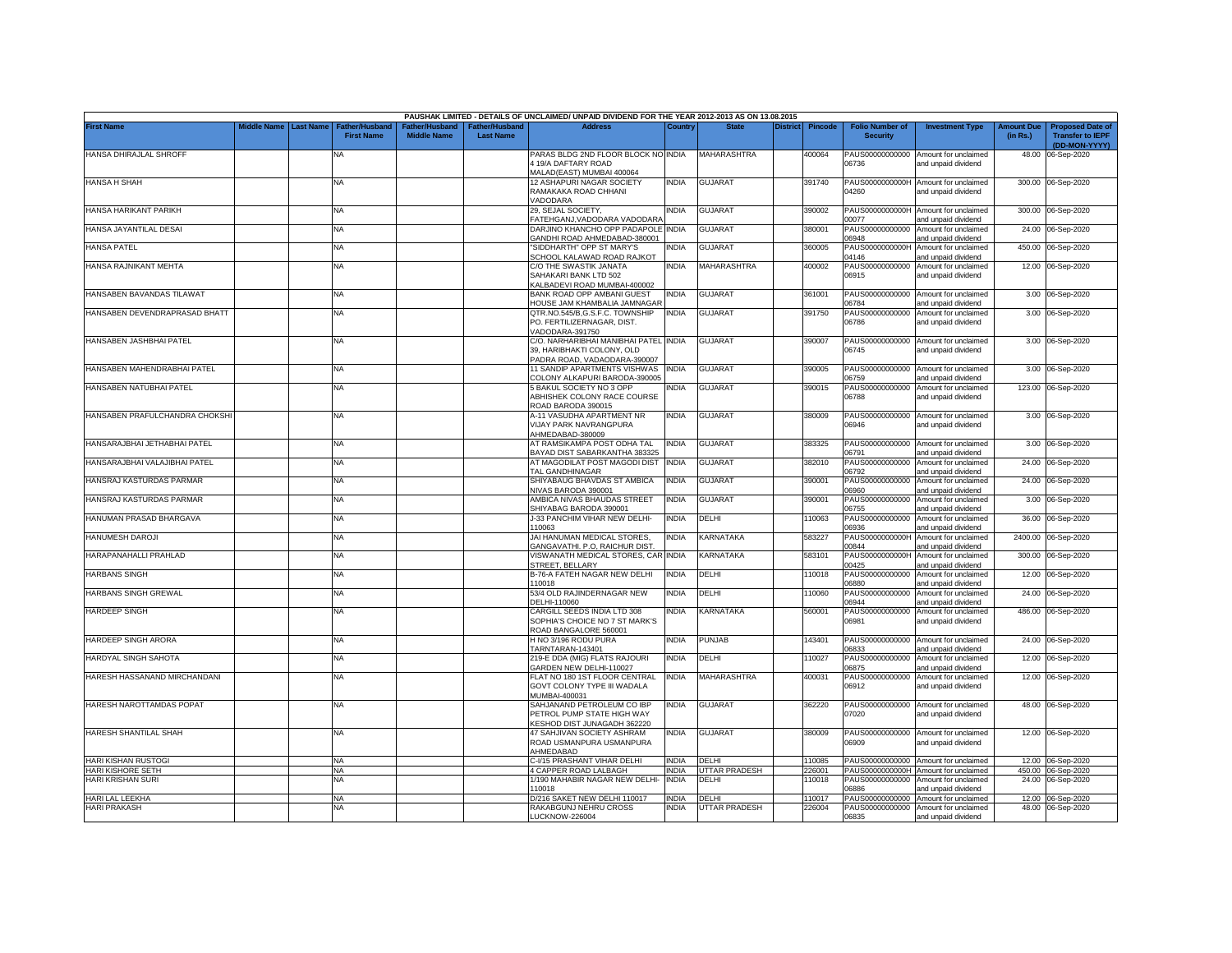|                                        |             |                  |                                            |                                      |                                    | PAUSHAK LIMITED - DETAILS OF UNCLAIMED/ UNPAID DIVIDEND FOR THE YEAR 2012-2013 AS ON 13.08.2015 |               |                               |          |                  |                                           |                                                              |                               |                                                                     |
|----------------------------------------|-------------|------------------|--------------------------------------------|--------------------------------------|------------------------------------|-------------------------------------------------------------------------------------------------|---------------|-------------------------------|----------|------------------|-------------------------------------------|--------------------------------------------------------------|-------------------------------|---------------------------------------------------------------------|
| <b>First Name</b>                      | Middle Name | <b>Last Name</b> | <b>Father/Husband</b><br><b>First Name</b> | Father/Husband<br><b>Middle Name</b> | Father/Husband<br><b>Last Name</b> | <b>Address</b>                                                                                  | Country       | <b>State</b>                  | District | <b>Pincode</b>   | <b>Folio Number of</b><br><b>Security</b> | <b>Investment Type</b>                                       | <b>Amount Due</b><br>(in Rs.) | <b>Proposed Date of</b><br><b>Transfer to IEPF</b><br>(DD-MON-YYYY) |
| HANSA DHIRAJLAL SHROFF                 |             |                  | NA                                         |                                      |                                    | PARAS BLDG 2ND FLOOR BLOCK NO INDIA<br>4 19/A DAFTARY ROAD                                      |               | MAHARASHTRA                   |          | 400064           | 06736                                     | PAUS00000000000 Amount for unclaimed<br>and unpaid dividend  |                               | 48.00 06-Sep-2020                                                   |
|                                        |             |                  |                                            |                                      |                                    | MALAD(EAST) MUMBAI 400064                                                                       |               |                               |          |                  |                                           |                                                              |                               |                                                                     |
| HANSA H SHAH                           |             |                  | NA                                         |                                      |                                    | 12 ASHAPURI NAGAR SOCIETY<br>RAMAKAKA ROAD CHHANI<br>/ADODARA                                   | INDIA         | <b>GUJARAT</b>                |          | 391740           | PAUS0000000000H<br>04260                  | Amount for unclaimed<br>and unpaid dividend                  |                               | 300.00 06-Sep-2020                                                  |
| HANSA HARIKANT PARIKH                  |             |                  | <b>NA</b>                                  |                                      |                                    | 29, SEJAL SOCIETY,<br><b>FATEHGANJ.VADODARA VADODARA</b>                                        | NDIA          | <b>GUJARAT</b>                |          | 390002           | PAUS0000000000H<br>00077                  | Amount for unclaimed<br>and unpaid dividend                  |                               | 300.00 06-Sep-2020                                                  |
| HANSA JAYANTILAL DESAI                 |             |                  | <b>NA</b>                                  |                                      |                                    | DARJINO KHANCHO OPP PADAPOLE INDIA<br>GANDHI ROAD AHMEDABAD-380001                              |               | <b>GUJARAT</b>                |          | 380001           | PAUS00000000000<br>06948                  | Amount for unclaimed<br>and unpaid dividend                  |                               | 24.00 06-Sep-2020                                                   |
| <b>HANSA PATEL</b>                     |             |                  | <b>NA</b>                                  |                                      |                                    | SIDDHARTH" OPP ST MARY'S<br>SCHOOL KALAWAD ROAD RAJKOT                                          | NDIA          | <b>GUJARAT</b>                |          | 360005           | PAUS0000000000H<br>04146                  | Amount for unclaimed<br>and unpaid dividend                  |                               | 450.00 06-Sep-2020                                                  |
| HANSA RAJNIKANT MEHTA                  |             |                  | <b>NA</b>                                  |                                      |                                    | C/O THE SWASTIK JANATA<br>SAHAKARI BANK LTD 502<br><b>KALBADEVI ROAD MUMBAI-400002</b>          | <b>INDIA</b>  | <b>MAHARASHTRA</b>            |          | 400002           | PAUS00000000000<br>06915                  | Amount for unclaimed<br>and unpaid dividend                  |                               | 12.00 06-Sep-2020                                                   |
| HANSABEN BAVANDAS TILAWAT              |             |                  | <b>NA</b>                                  |                                      |                                    | BANK ROAD OPP AMBANI GUEST<br><b>IOUSE JAM KHAMBALIA JAMNAGAR</b>                               | NDIA          | <b>GUJARAT</b>                |          | 361001           | PAUS00000000000<br>06784                  | Amount for unclaimed<br>and unpaid dividend                  |                               | 3.00 06-Sep-2020                                                    |
| HANSABEN DEVENDRAPRASAD BHATT          |             |                  | <b>NA</b>                                  |                                      |                                    | QTR.NO.545/B,G.S.F.C. TOWNSHIP                                                                  | india         | <b>GUJARAT</b>                |          | 391750           | PAUS00000000000                           | Amount for unclaimed                                         |                               | 3.00 06-Sep-2020                                                    |
|                                        |             |                  |                                            |                                      |                                    | PO. FERTILIZERNAGAR, DIST.<br>/ADODARA-391750                                                   |               |                               |          |                  | 06786                                     | and unpaid dividend                                          |                               |                                                                     |
| HANSABEN JASHBHAI PATEL                |             |                  | <b>NA</b>                                  |                                      |                                    | C/O. NARHARIBHAI MANIBHAI PATEL INDIA<br>39. HARIBHAKTI COLONY, OLD                             |               | <b>GUJARAT</b>                |          | 390007           | 06745                                     | PAUS00000000000 Amount for unclaimed<br>and unpaid dividend  |                               | 3.00 06-Sep-2020                                                    |
| HANSABEN MAHENDRABHAI PATEL            |             |                  | ΝA                                         |                                      |                                    | ADRA ROAD, VADAODARA-390007<br><b>11 SANDIP APARTMENTS VISHWAS</b>                              | <b>INDIA</b>  | <b>GUJARAT</b>                |          | 390005           | PAUS00000000000                           | Amount for unclaimed                                         |                               | 3.00 06-Sep-2020                                                    |
| HANSABEN NATUBHAI PATEL                |             |                  | NA                                         |                                      |                                    | COLONY ALKAPURI BARODA-390005<br>5 BAKUL SOCIETY NO 3 OPP                                       | NDIA          | <b>GUJARAT</b>                |          | 390015           | 06759<br>PAUS00000000000                  | and unpaid dividend<br>Amount for unclaimed                  |                               | 123.00 06-Sep-2020                                                  |
|                                        |             |                  |                                            |                                      |                                    | ABHISHEK COLONY RACE COURSE<br>ROAD BARODA 390015                                               |               |                               |          |                  | 06788                                     | and unpaid dividend                                          |                               |                                                                     |
| HANSABEN PRAFULCHANDRA CHOKSHI         |             |                  | <b>NA</b>                                  |                                      |                                    | <b>A-11 VASUDHA APARTMENT NR</b><br>VIJAY PARK NAVRANGPURA<br>HMEDABAD-380009                   | INDIA         | <b>GUJARAT</b>                |          | 380009           | 06946                                     | PAUS00000000000 Amount for unclaimed<br>and unpaid dividend  |                               | 3.00 06-Sep-2020                                                    |
| HANSARAJBHAI JETHABHAI PATEL           |             |                  | <b>NA</b>                                  |                                      |                                    | AT RAMSIKAMPA POST ODHA TAL<br>BAYAD DIST SABARKANTHA 383325                                    | <b>INDIA</b>  | GUJARAT                       |          | 383325           | 06791                                     | PAUS00000000000 Amount for unclaimed<br>and unpaid dividend  | 3.00                          | 06-Sep-2020                                                         |
| HANSARAJBHAI VALAJIBHAI PATEL          |             |                  | <b>NA</b>                                  |                                      |                                    | AT MAGODILAT POST MAGODI DIST<br>TAL GANDHINAGAR                                                | <b>INDIA</b>  | <b>GUJARAT</b>                |          | 382010           | PAUS00000000000<br>06792                  | Amount for unclaimed<br>and unpaid dividend                  |                               | 24.00 06-Sep-2020                                                   |
| HANSRAJ KASTURDAS PARMAR               |             |                  | <b>NA</b>                                  |                                      |                                    | SHIYABAUG BHAVDAS ST AMBICA<br>NIVAS BARODA 390001                                              | <b>INDIA</b>  | <b>GUJARAT</b>                |          | 390001           | PAUS00000000000<br>06960                  | Amount for unclaimed<br>and unpaid dividend                  | 24.00                         | 06-Sep-2020                                                         |
| HANSRAJ KASTURDAS PARMAR               |             |                  | <b>NA</b>                                  |                                      |                                    | AMBICA NIVAS BHAUDAS STREET<br>SHIYABAG BARODA 390001                                           | <b>INDIA</b>  | <b>GUJARAT</b>                |          | 390001           | PAUS00000000000<br>06755                  | Amount for unclaimed<br>and unpaid dividend                  | 3.00                          | 06-Sep-2020                                                         |
| HANUMAN PRASAD BHARGAVA                |             |                  | <b>NA</b>                                  |                                      |                                    | J-33 PANCHIM VIHAR NEW DELHI-<br>10063                                                          | <b>INDIA</b>  | DELHI                         |          | 10063            | PAUS00000000000<br>06936                  | Amount for unclaimed<br>and unpaid dividend                  | 36.00                         | 06-Sep-2020                                                         |
| HANUMESH DAROJI                        |             |                  | <b>NA</b>                                  |                                      |                                    | JAI HANUMAN MEDICAL STORES.<br>GANGAVATHI, P.O. RAICHUR DIST.                                   | INDIA         | KARNATAKA                     |          | 583227           | PAUS0000000000H<br>00844                  | Amount for unclaimed<br>and unpaid dividend                  | 2400.00                       | 06-Sep-2020                                                         |
| HARAPANAHALLI PRAHLAD                  |             |                  | <b>NA</b>                                  |                                      |                                    | <b>/ISWANATH MEDICAL STORES, CAR INDIA</b><br>STREET, BELLARY                                   |               | KARNATAKA                     |          | 583101           | PAUS0000000000H<br>00425                  | Amount for unclaimed<br>and unpaid dividend                  | 300.00                        | 06-Sep-2020                                                         |
| <b>HARBANS SINGH</b>                   |             |                  | <b>NA</b>                                  |                                      |                                    | B-76-A FATEH NAGAR NEW DELHI<br>110018                                                          | INDIA         | DELHI                         |          | 10018            | PAUS00000000000<br>06880                  | Amount for unclaimed<br>and unpaid dividend                  | 12.00                         | 06-Sep-2020                                                         |
| HARBANS SINGH GREWAL                   |             |                  | <b>NA</b>                                  |                                      |                                    | 53/4 OLD RAJINDERNAGAR NEW<br>DELHI-110060                                                      | INDIA         | DELHI                         |          | 110060           | PAUS00000000000<br>06944                  | Amount for unclaimed<br>and unpaid dividend                  | 24.00                         | 06-Sep-2020                                                         |
| <b>HARDEEP SINGH</b>                   |             |                  | <b>NA</b>                                  |                                      |                                    | CARGILL SEEDS INDIA LTD 308<br>SOPHIA'S CHOICE NO 7 ST MARK'S<br>ROAD BANGALORE 560001          | INDIA         | KARNATAKA                     |          | 560001           | PAUS00000000000<br>06981                  | Amount for unclaimed<br>and unpaid dividend                  | 486.00                        | 06-Sep-2020                                                         |
| HARDEEP SINGH ARORA                    |             |                  | <b>NA</b>                                  |                                      |                                    | H NO 3/196 RODU PURA<br>TARNTARAN-143401                                                        | india         | PUNJAB                        |          | 143401           | PAUS00000000000<br>06833                  | Amount for unclaimed<br>and unpaid dividend                  |                               | 24.00 06-Sep-2020                                                   |
| HARDYAL SINGH SAHOTA                   |             |                  | <b>NA</b>                                  |                                      |                                    | 219-E DDA (MIG) FLATS RAJOURI<br>GARDEN NEW DELHI-110027                                        | INDIA         | DELHI                         |          | 10027            | PAUS00000000000<br>06875                  | Amount for unclaimed<br>and unpaid dividend                  | 12.00                         | 06-Sep-2020                                                         |
| HARESH HASSANAND MIRCHANDANI           |             |                  | <b>NA</b>                                  |                                      |                                    | FLAT NO 180 1ST FLOOR CENTRAL<br>GOVT COLONY TYPE III WADALA<br>MUMBAI-400031                   | India         | MAHARASHTRA                   |          | 400031           | PAUS00000000000<br>06912                  | Amount for unclaimed<br>and unpaid dividend                  | 12.00                         | 06-Sep-2020                                                         |
| HARESH NAROTTAMDAS POPAT               |             |                  | NA                                         |                                      |                                    | SAHJANAND PETROLEUM CO IBP<br>PETROL PUMP STATE HIGH WAY<br><b>(ESHOD DIST JUNAGADH 362220</b>  | india         | <b>GUJARAT</b>                |          | 362220           | PAUS00000000000<br>07020                  | Amount for unclaimed<br>and unpaid dividend                  |                               | 48.00 06-Sep-2020                                                   |
| HARESH SHANTILAL SHAH                  |             |                  | <b>NA</b>                                  |                                      |                                    | 47 SAHJIVAN SOCIETY ASHRAM<br>ROAD USMANPURA USMANPURA<br><b>HMEDABAD</b>                       | INDIA         | <b>GUJARAT</b>                |          | 380009           | 06909                                     | PAUS00000000000 Amount for unclaimed<br>and unpaid dividend  |                               | 12.00 06-Sep-2020                                                   |
| HARI KISHAN RUSTOGI                    |             |                  | <b>NA</b>                                  |                                      |                                    | C-I/15 PRASHANT VIHAR DELHI                                                                     | <b>INDIA</b>  | DELHI                         |          | 110085           |                                           | PAUS00000000000 Amount for unclaimed                         |                               | 12.00 06-Sep-2020                                                   |
| HARI KISHORE SETH                      |             |                  | ΝA                                         |                                      |                                    | <b>I CAPPER ROAD LALBAGH</b>                                                                    | <b>INDIA</b>  | <b>JTTAR PRADESH</b>          |          | 226001           |                                           | PAUS0000000000H Amount for unclaimed                         |                               | 450.00 06-Sep-2020                                                  |
| HARI KRISHAN SURI                      |             |                  | NA                                         |                                      |                                    | 1/190 MAHABIR NAGAR NEW DELHI-<br>10018                                                         | <b>INDIA</b>  | <b>DELHI</b>                  |          | 10018            | PAUS00000000000<br>6886                   | Amount for unclaimed<br>and unpaid dividend                  |                               | 24.00 06-Sep-2020                                                   |
| HARI LAL LEEKHA<br><b>HARI PRAKASH</b> |             |                  | <b>NA</b><br>NA                            |                                      |                                    | D/216 SAKET NEW DELHI 110017<br>RAKABGUNJ NEHRU CROSS                                           | INDIA<br>NDIA | DELHI<br><b>UTTAR PRADESH</b> |          | 110017<br>226004 | PAUS00000000000                           | Amount for unclaimed<br>PAUS00000000000 Amount for unclaimed |                               | 12.00 06-Sep-2020<br>48.00 06-Sep-2020                              |
|                                        |             |                  |                                            |                                      |                                    | LUCKNOW-226004                                                                                  |               |                               |          |                  | 06835                                     | and unpaid dividend                                          |                               |                                                                     |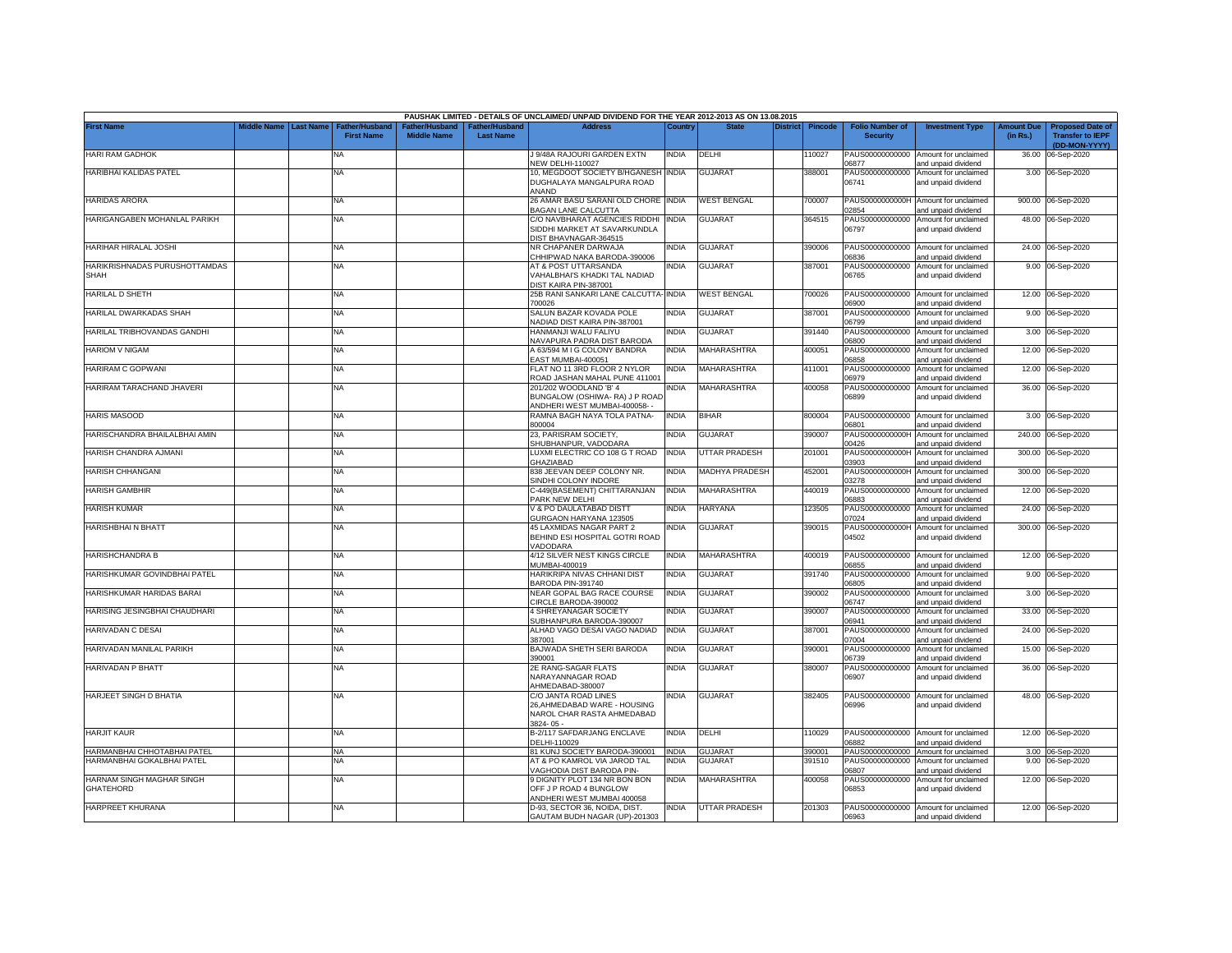|                                               |             |                  |                                     |                                      |                                    | PAUSHAK LIMITED - DETAILS OF UNCLAIMED/ UNPAID DIVIDEND FOR THE YEAR 2012-2013 AS ON 13.08.2015 |              |                      |                 |         |                                           |                                                             |                               |                                                                     |
|-----------------------------------------------|-------------|------------------|-------------------------------------|--------------------------------------|------------------------------------|-------------------------------------------------------------------------------------------------|--------------|----------------------|-----------------|---------|-------------------------------------------|-------------------------------------------------------------|-------------------------------|---------------------------------------------------------------------|
| <b>First Name</b>                             | liddle Name | <b>Last Name</b> | Father/Husband<br><b>First Name</b> | Father/Husband<br><b>Middle Name</b> | Father/Husband<br><b>Last Name</b> | <b>Address</b>                                                                                  | Country      | <b>State</b>         | <b>District</b> | Pincode | <b>Folio Number of</b><br><b>Security</b> | <b>Investment Type</b>                                      | <b>Amount Due</b><br>(in Rs.) | <b>Proposed Date of</b><br><b>Transfer to IEPF</b><br>(DD-MON-YYYY) |
| HARI RAM GADHOK                               |             |                  | <b>NA</b>                           |                                      |                                    | J 9/48A RAJOURI GARDEN EXTN<br>NEW DELHI-110027                                                 | NDIA         | DELHI                |                 | 10027   | 06877                                     | PAUS00000000000 Amount for unclaimed<br>and unpaid dividend | 36.00                         | 06-Sep-2020                                                         |
| HARIBHAI KALIDAS PATEL                        |             |                  | NA                                  |                                      |                                    | 10, MEGDOOT SOCIETY B/HGANESH INDIA<br>DUGHALAYA MANGALPURA ROAD<br>ANAND                       |              | <b>GUJARAT</b>       |                 | 388001  | PAUS00000000000<br>06741                  | Amount for unclaimed<br>and unpaid dividend                 |                               | 3.00 06-Sep-2020                                                    |
| <b>HARIDAS ARORA</b>                          |             |                  | NA                                  |                                      |                                    | 26 AMAR BASU SARANI OLD CHORE INDIA<br>BAGAN LANE CALCUTTA                                      |              | <b>WEST BENGAL</b>   |                 | 700007  | PAUS0000000000H<br>02854                  | Amount for unclaimed<br>and unpaid dividend                 |                               | 900.00 06-Sep-2020                                                  |
| HARIGANGABEN MOHANLAL PARIKH                  |             |                  | <b>NA</b>                           |                                      |                                    | C/O NAVBHARAT AGENCIES RIDDHI<br>SIDDHI MARKET AT SAVARKUNDLA<br>DIST BHAVNAGAR-364515          | INDIA        | <b>GUJARAT</b>       |                 | 364515  | PAUS00000000000<br>06797                  | Amount for unclaimed<br>and unpaid dividend                 |                               | 48.00 06-Sep-2020                                                   |
| HARIHAR HIRALAL JOSHI                         |             |                  | <b>NA</b>                           |                                      |                                    | NR CHAPANER DARWAJA<br>CHHIPWAD NAKA BARODA-390006                                              | <b>NDIA</b>  | <b>GUJARAT</b>       |                 | 390006  | PAUS00000000000<br>06836                  | Amount for unclaimed<br>and unpaid dividend                 |                               | 24.00 06-Sep-2020                                                   |
| HARIKRISHNADAS PURUSHOTTAMDAS<br>SHAH         |             |                  | <b>NA</b>                           |                                      |                                    | AT & POST UTTARSANDA<br>VAHALBHAI'S KHADKI TAL NADIAD<br>DIST KAIRA PIN-387001                  | NDIA         | <b>GUJARAT</b>       |                 | 387001  | PAUS00000000000<br>06765                  | Amount for unclaimed<br>and unpaid dividend                 |                               | 9.00 06-Sep-2020                                                    |
| HARILAL D SHETH                               |             |                  | <b>NA</b>                           |                                      |                                    | 25B RANI SANKARI LANE CALCUTTA- INDIA<br>700026                                                 |              | <b>WEST BENGAL</b>   |                 | 700026  | 6900                                      | PAUS00000000000 Amount for unclaimed<br>and unpaid dividend |                               | 12.00 06-Sep-2020                                                   |
| HARILAL DWARKADAS SHAH                        |             |                  | NA                                  |                                      |                                    | SALUN BAZAR KOVADA POLE<br>NADIAD DIST KAIRA PIN-387001                                         | INDIA        | GUJARAT              |                 | 387001  | PAUS00000000000<br>06799                  | Amount for unclaimed<br>and unpaid dividend                 |                               | 9.00 06-Sep-2020                                                    |
| HARILAL TRIBHOVANDAS GANDHI                   |             |                  | NA                                  |                                      |                                    | HANMANJI WALU FALIYU<br>NAVAPURA PADRA DIST BARODA                                              | NDIA         | GUJARAT              |                 | 391440  | PAUS00000000000<br>06800                  | Amount for unclaimed<br>and unpaid dividend                 |                               | 3.00 06-Sep-2020                                                    |
| <b>HARIOM V NIGAM</b>                         |             |                  | NA                                  |                                      |                                    | A 63/594 M I G COLONY BANDRA<br>EAST MUMBAI-400051                                              | NDIA         | MAHARASHTRA          |                 | 400051  | PAUS00000000000<br>06858                  | Amount for unclaimed<br>and unpaid dividend                 |                               | 12.00 06-Sep-2020                                                   |
| HARIRAM C GOPWANI                             |             |                  | NA                                  |                                      |                                    | FLAT NO 11 3RD FLOOR 2 NYLOR<br>ROAD JASHAN MAHAL PUNE 411001                                   | INDIA        | <b>MAHARASHTRA</b>   |                 | 411001  | PAUS00000000000<br>06979                  | Amount for unclaimed<br>and unpaid dividend                 |                               | 12.00 06-Sep-2020                                                   |
| HARIRAM TARACHAND JHAVERI                     |             |                  | NA                                  |                                      |                                    | 201/202 WOODLAND 'B' 4<br>BUNGALOW (OSHIWA- RA) J P ROAD<br>NDHERI WEST MUMBAI-400058-          | NDIA         | MAHARASHTRA          |                 | 400058  | PAUS00000000000<br>06899                  | Amount for unclaimed<br>and unpaid dividend                 |                               | 36.00 06-Sep-2020                                                   |
| <b>HARIS MASOOD</b>                           |             |                  | <b>NA</b>                           |                                      |                                    | RAMNA BAGH NAYA TOLA PATNA-<br>300004                                                           | NDIA         | <b>BIHAR</b>         |                 | 800004  | PAUS00000000000<br>06801                  | Amount for unclaimed<br>and unpaid dividend                 |                               | 3.00 06-Sep-2020                                                    |
| HARISCHANDRA BHAILALBHAI AMIN                 |             |                  | NA                                  |                                      |                                    | 23, PARISRAM SOCIETY,<br>SHUBHANPUR, VADODARA                                                   | NDIA         | <b>GUJARAT</b>       |                 | 390007  | PAUS0000000000H<br>00426                  | Amount for unclaimed<br>and unpaid dividend                 |                               | 240.00 06-Sep-2020                                                  |
| HARISH CHANDRA AJMANI                         |             |                  | NA                                  |                                      |                                    | LUXMI ELECTRIC CO 108 G T ROAD<br><b>GHAZIABAD</b>                                              | <b>INDIA</b> | <b>UTTAR PRADESH</b> |                 | 201001  | PAUS0000000000H<br>3903                   | Amount for unclaimed<br>and unpaid dividend                 | 300.00                        | 06-Sep-2020                                                         |
| HARISH CHHANGANI                              |             |                  | NA                                  |                                      |                                    | 838 JEEVAN DEEP COLONY NR.<br>SINDHI COLONY INDORE                                              | NDIA         | MADHYA PRADESH       |                 | 452001  | PAUS0000000000H<br>03278                  | Amount for unclaimed<br>and unpaid dividend                 | 300.00                        | 06-Sep-2020                                                         |
| <b>HARISH GAMBHIR</b>                         |             |                  | NA                                  |                                      |                                    | C-449(BASEMENT) CHITTARANJAN<br>PARK NEW DELHI                                                  | <b>INDIA</b> | <b>MAHARASHTRA</b>   |                 | 440019  | PAUS00000000000<br>06883                  | Amount for unclaimed<br>and unpaid dividend                 | 12.00                         | 06-Sep-2020                                                         |
| HARISH KUMAR                                  |             |                  | <b>NA</b>                           |                                      |                                    | V & PO DAULATABAD DISTT<br>GURGAON HARYANA 123505                                               | NDIA         | <b>HARYANA</b>       |                 | 123505  | PAUS00000000000<br>07024                  | Amount for unclaimed<br>and unpaid dividend                 | 24.00                         | 06-Sep-2020                                                         |
| <b>HARISHBHAIN BHATT</b>                      |             |                  | <b>NA</b>                           |                                      |                                    | 45 LAXMIDAS NAGAR PART 2<br>BEHIND ESI HOSPITAL GOTRI ROAD<br>VADODARA                          | NDIA         | <b>GUJARAT</b>       |                 | 390015  | PAUS0000000000H<br>04502                  | Amount for unclaimed<br>and unpaid dividend                 |                               | 300.00 06-Sep-2020                                                  |
| HARISHCHANDRA B                               |             |                  | <b>NA</b>                           |                                      |                                    | 4/12 SILVER NEST KINGS CIRCLE<br>MUMBAI-400019                                                  | <b>INDIA</b> | MAHARASHTRA          |                 | 400019  | PAUS00000000000<br>06855                  | Amount for unclaimed<br>and unpaid dividend                 | 12.00                         | 06-Sep-2020                                                         |
| HARISHKUMAR GOVINDBHAI PATEL                  |             |                  | <b>NA</b>                           |                                      |                                    | <b>HARIKRIPA NIVAS CHHANI DIST</b><br>BARODA PIN-391740                                         | <b>INDIA</b> | <b>GUJARAT</b>       |                 | 391740  | PAUS00000000000<br>06805                  | Amount for unclaimed<br>and unpaid dividend                 | 9.00                          | 06-Sep-2020                                                         |
| HARISHKUMAR HARIDAS BARAI                     |             |                  | NA                                  |                                      |                                    | NEAR GOPAL BAG RACE COURSE<br>CIRCLE BARODA-390002                                              | INDIA        | GUJARAT              |                 | 390002  | PAUS00000000000<br>06747                  | Amount for unclaimed<br>and unpaid dividend                 | 3.00                          | 06-Sep-2020                                                         |
| HARISING JESINGBHAI CHAUDHARI                 |             |                  | <b>NA</b>                           |                                      |                                    | 4 SHREYANAGAR SOCIETY<br>SUBHANPURA BARODA-390007                                               | INDIA        | <b>GUJARAT</b>       |                 | 390007  | PAUS00000000000<br>06941                  | Amount for unclaimed<br>and unpaid dividend                 | 33.00                         | 06-Sep-2020                                                         |
| HARIVADAN C DESAI                             |             |                  | NA                                  |                                      |                                    | ALHAD VAGO DESAI VAGO NADIAD<br>387001                                                          | <b>INDIA</b> | GUJARAT              |                 | 387001  | PAUS00000000000<br>07004                  | Amount for unclaimed<br>and unpaid dividend                 | 24.00                         | 06-Sep-2020                                                         |
| HARIVADAN MANILAL PARIKH                      |             |                  | NA                                  |                                      |                                    | BAJWADA SHETH SERI BARODA<br>390001                                                             | <b>INDIA</b> | <b>GUJARAT</b>       |                 | 390001  | PAUS00000000000<br>06739                  | Amount for unclaimed<br>and unpaid dividend                 | 15.00                         | 06-Sep-2020                                                         |
| HARIVADAN P BHATT                             |             |                  | NA                                  |                                      |                                    | <b>2E RANG-SAGAR FLATS</b><br>NARAYANNAGAR ROAD<br>AHMEDABAD-380007                             | india        | GUJARAT              |                 | 380007  | PAUS00000000000<br>06907                  | Amount for unclaimed<br>and unpaid dividend                 |                               | 36.00 06-Sep-2020                                                   |
| HARJEET SINGH D BHATIA                        |             |                  | <b>NA</b>                           |                                      |                                    | C/O JANTA ROAD LINES<br>26, AHMEDABAD WARE - HOUSING<br>NAROL CHAR RASTA AHMEDABAD<br>3824-05-  | NDIA         | <b>GUJARAT</b>       |                 | 382405  | PAUS00000000000<br>06996                  | Amount for unclaimed<br>and unpaid dividend                 |                               | 48.00 06-Sep-2020                                                   |
| <b>HARJIT KAUR</b>                            |             |                  | NA                                  |                                      |                                    | B-2/117 SAFDARJANG ENCLAVE<br>DELHI-110029                                                      | NDIA         | <b>DELHI</b>         |                 | 10029   | 06882                                     | PAUS00000000000 Amount for unclaimed<br>and unpaid dividend |                               | 12.00 06-Sep-2020                                                   |
| HARMANBHAI CHHOTABHAI PATEL                   |             |                  | <b>NA</b>                           |                                      |                                    | 81 KUNJ SOCIETY BARODA-390001                                                                   | NDIA         | <b>GUJARAT</b>       |                 | 390001  |                                           | PAUS00000000000 Amount for unclaimed                        |                               | 3.00 06-Sep-2020                                                    |
| HARMANBHAI GOKALBHAI PATEL                    |             |                  | NΑ                                  |                                      |                                    | <b>AT &amp; PO KAMROL VIA JAROD TAL</b>                                                         | NDIA         | <b>GUJARAT</b>       |                 | 391510  | PAUS00000000000                           | Amount for unclaimed                                        | 9.00                          | 06-Sep-2020                                                         |
|                                               |             |                  |                                     |                                      |                                    | VAGHODIA DIST BARODA PIN-                                                                       |              |                      |                 |         | 06807                                     | and unpaid dividend                                         |                               |                                                                     |
| HARNAM SINGH MAGHAR SINGH<br><b>GHATEHORD</b> |             |                  | <b>NA</b>                           |                                      |                                    | 9 DIGNITY PLOT 134 NR BON BON<br>OFF J P ROAD 4 BUNGLOW<br>ANDHERI WEST MUMBAI 400058           | NDIA         | MAHARASHTRA          |                 | 400058  | PAUS00000000000<br>06853                  | Amount for unclaimed<br>and unpaid dividend                 |                               | 12.00 06-Sep-2020                                                   |
| HARPREET KHURANA                              |             |                  | NA                                  |                                      |                                    | D-93, SECTOR 36, NOIDA, DIST.<br>GAUTAM BUDH NAGAR (UP)-201303                                  | NDIA         | <b>UTTAR PRADESH</b> |                 | 201303  | 06963                                     | PAUS00000000000 Amount for unclaimed<br>and unpaid dividend |                               | 12.00 06-Sep-2020                                                   |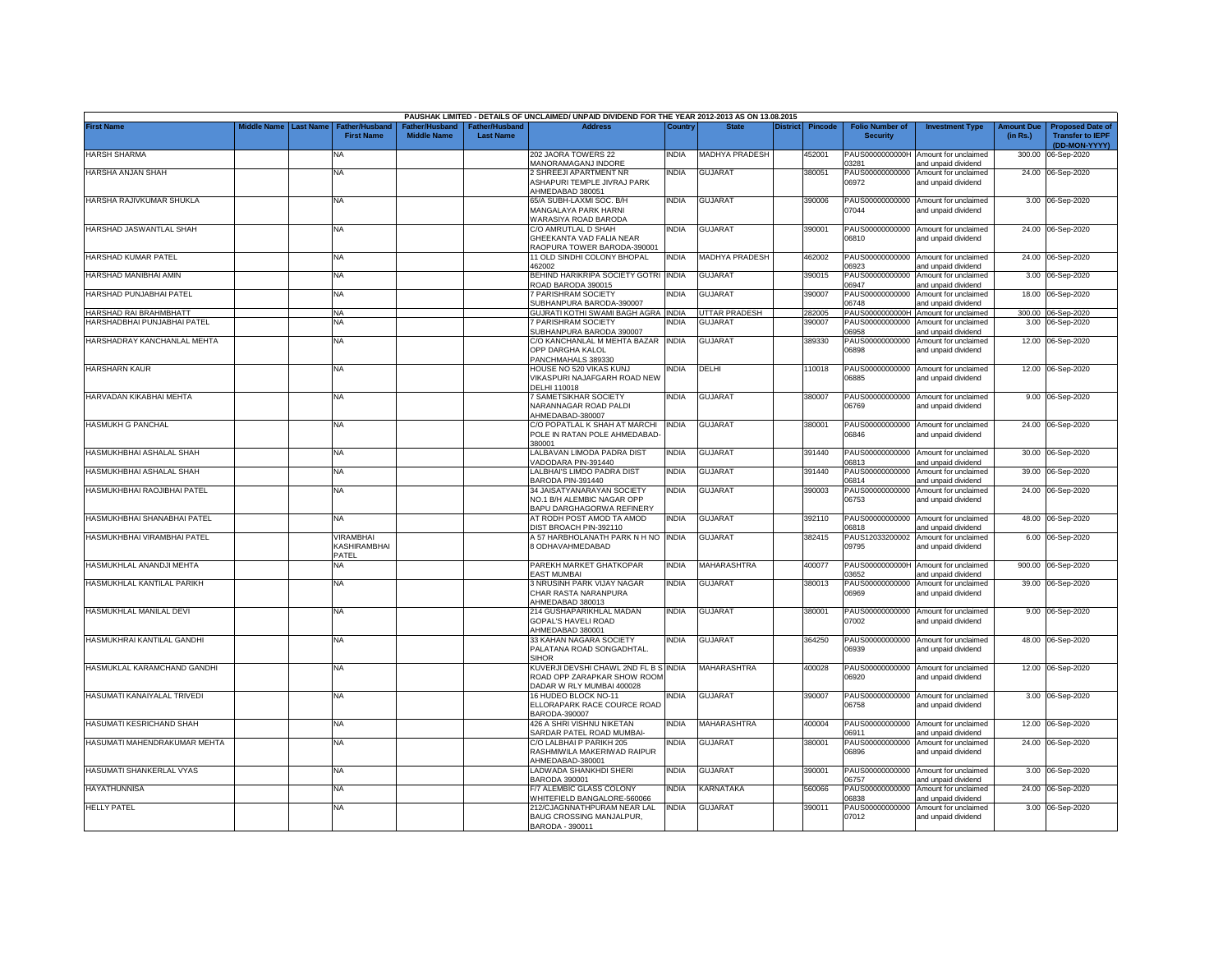|                              |                         |                                            |                                     |                                   | PAUSHAK LIMITED - DETAILS OF UNCLAIMED/ UNPAID DIVIDEND FOR THE YEAR 2012-2013 AS ON 13.08.2015 |              |                       |                 |                |                                           |                                                                    |                               |                                                                     |
|------------------------------|-------------------------|--------------------------------------------|-------------------------------------|-----------------------------------|-------------------------------------------------------------------------------------------------|--------------|-----------------------|-----------------|----------------|-------------------------------------------|--------------------------------------------------------------------|-------------------------------|---------------------------------------------------------------------|
| <b>First Name</b>            | Middle Name   Last Name | <b>Father/Husband</b><br><b>First Name</b> | ather/Husband<br><b>Middle Name</b> | ather/Husband<br><b>Last Name</b> | <b>Address</b>                                                                                  | Country      | <b>State</b>          | <b>District</b> | <b>Pincode</b> | <b>Folio Number of</b><br><b>Security</b> | <b>Investment Type</b>                                             | <b>Amount Due</b><br>(in Rs.) | <b>Proposed Date of</b><br><b>Transfer to IEPF</b><br>(DD-MON-YYYY) |
| HARSH SHARMA                 |                         | NΑ                                         |                                     |                                   | 202 JAORA TOWERS 22<br><b>MANORAMAGANJ INDORE</b>                                               | NDIA         | <b>MADHYA PRADESH</b> |                 | 452001         | PAUS0000000000H<br>03281                  | Amount for unclaimed<br>and unpaid dividend                        | 300.00                        | 06-Sep-2020                                                         |
| HARSHA ANJAN SHAH            |                         | NA                                         |                                     |                                   | 2 SHREEJI APARTMENT NR<br>ASHAPURI TEMPLE JIVRAJ PARK<br>AHMEDABAD 380051                       | <b>NDIA</b>  | <b>GUJARAT</b>        |                 | 380051         | PAUS00000000000<br>06972                  | Amount for unclaimed<br>and unpaid dividend                        |                               | 24.00 06-Sep-2020                                                   |
| HARSHA RAJIVKUMAR SHUKLA     |                         | <b>NA</b>                                  |                                     |                                   | 65/A SUBH-LAXMI SOC. B/H<br>MANGALAYA PARK HARNI<br>WARASIYA ROAD BARODA                        | INDIA        | <b>GUJARAT</b>        |                 | 390006         | 07044                                     | PAUS00000000000 Amount for unclaimed<br>and unpaid dividend        |                               | 3.00 06-Sep-2020                                                    |
| HARSHAD JASWANTLAL SHAH      |                         | NA                                         |                                     |                                   | C/O AMRUTLAL D SHAH<br>GHEEKANTA VAD FALIA NEAR<br>RAOPURA TOWER BARODA-390001                  | INDIA        | <b>GUJARAT</b>        |                 | 390001         | 06810                                     | PAUS00000000000 Amount for unclaimed<br>and unpaid dividend        |                               | 24.00 06-Sep-2020                                                   |
| HARSHAD KUMAR PATEL          |                         | <b>NA</b>                                  |                                     |                                   | 11 OLD SINDHI COLONY BHOPAL<br>162002                                                           | <b>NDIA</b>  | <b>MADHYA PRADESH</b> |                 | 462002         | 6923                                      | PAUS00000000000 Amount for unclaimed<br>and unpaid dividend        |                               | 24.00 06-Sep-2020                                                   |
| HARSHAD MANIBHAI AMIN        |                         | NA                                         |                                     |                                   | BEHIND HARIKRIPA SOCIETY GOTRI<br>ROAD BARODA 390015                                            | <b>INDIA</b> | <b>GUJARAT</b>        |                 | 390015         | PAUS00000000000<br>6947                   | Amount for unclaimed<br>and unpaid dividend                        |                               | 3.00 06-Sep-2020                                                    |
| HARSHAD PUNJABHAI PATEL      |                         | NA                                         |                                     |                                   | 7 PARISHRAM SOCIETY<br>SUBHANPURA BARODA-390007                                                 | NDIA         | GUJARAT               |                 | 390007         | PAUS00000000000<br>06748                  | Amount for unclaimed<br>and unpaid dividend                        |                               | 18.00 06-Sep-2020                                                   |
| HARSHAD RAI BRAHMBHATT       |                         | <b>NA</b>                                  |                                     |                                   | GUJRATI KOTHI SWAMI BAGH AGRA INDIA                                                             |              | <b>UTTAR PRADESH</b>  |                 | 282005         | PAUS0000000000H                           | Amount for unclaimed                                               |                               | 300.00 06-Sep-2020                                                  |
| HARSHADBHAI PUNJABHAI PATEL  |                         | <b>NA</b>                                  |                                     |                                   | 7 PARISHRAM SOCIETY<br>SUBHANPURA BARODA 390007                                                 | NDIA         | <b>GUJARAT</b>        |                 | 390007         | PAUS00000000000<br>06958                  | Amount for unclaimed<br>and unpaid dividend                        |                               | 3.00 06-Sep-2020                                                    |
| HARSHADRAY KANCHANLAL MEHTA  |                         | <b>NA</b>                                  |                                     |                                   | C/O KANCHANLAL M MEHTA BAZAR INDIA<br>OPP DARGHA KALOL<br>PANCHMAHALS 389330                    |              | <b>GUJARAT</b>        |                 | 389330         | PAUS00000000000<br>06898                  | Amount for unclaimed<br>and unpaid dividend                        |                               | 12.00 06-Sep-2020                                                   |
| <b>HARSHARN KAUR</b>         |                         | <b>NA</b>                                  |                                     |                                   | HOUSE NO 520 VIKAS KUNJ<br>VIKASPURI NAJAFGARH ROAD NEW<br>DELHI 110018                         | INDIA        | DELHI                 |                 | 10018          | 06885                                     | PAUS00000000000 Amount for unclaimed<br>and unpaid dividend        |                               | 12.00 06-Sep-2020                                                   |
| HARVADAN KIKABHAI MEHTA      |                         | NA                                         |                                     |                                   | <b>SAMETSIKHAR SOCIETY</b><br>NARANNAGAR ROAD PALDI<br>HMEDABAD-380007                          | india        | <b>GUJARAT</b>        |                 | 380007         | 06769                                     | PAUS00000000000 Amount for unclaimed<br>and unpaid dividend        |                               | 9.00 06-Sep-2020                                                    |
| <b>HASMUKH G PANCHAL</b>     |                         | NA                                         |                                     |                                   | C/O POPATLAL K SHAH AT MARCHI<br>POLE IN RATAN POLE AHMEDABAD<br>380001                         | INDIA        | <b>GUJARAT</b>        |                 | 380001         | PAUS00000000000<br>06846                  | Amount for unclaimed<br>and unpaid dividend                        |                               | 24.00 06-Sep-2020                                                   |
| HASMUKHBHAI ASHALAL SHAH     |                         | <b>NA</b>                                  |                                     |                                   | LALBAVAN LIMODA PADRA DIST<br>VADODARA PIN-391440                                               | NDIA         | <b>GUJARAT</b>        |                 | 391440         | 06813                                     | PAUS00000000000 Amount for unclaimed<br>and unpaid dividend        |                               | 30.00 06-Sep-2020                                                   |
| HASMUKHBHAI ASHALAL SHAH     |                         | NA                                         |                                     |                                   | LALBHAI'S LIMDO PADRA DIST<br>BARODA PIN-391440                                                 | NDIA         | GUJARAT               |                 | 391440         | PAUS00000000000<br>06814                  | Amount for unclaimed                                               |                               | 39.00 06-Sep-2020                                                   |
| HASMUKHBHAI RAOJIBHAI PATEL  |                         | <b>NA</b>                                  |                                     |                                   | 34 JAISATYANARAYAN SOCIETY<br>NO.1 B/H ALEMBIC NAGAR OPP<br>BAPU DARGHAGORWA REFINERY           | NDIA         | <b>GUJARAT</b>        |                 | 390003         | PAUS00000000000<br>06753                  | and unpaid dividend<br>Amount for unclaimed<br>and unpaid dividend |                               | 24.00 06-Sep-2020                                                   |
| HASMUKHBHAI SHANABHAI PATEL  |                         | <b>NA</b>                                  |                                     |                                   | AT RODH POST AMOD TA AMOD<br>DIST BROACH PIN-392110                                             | NDIA         | <b>GUJARAT</b>        |                 | 392110         | PAUS00000000000<br>06818                  | Amount for unclaimed<br>and unpaid dividend                        |                               | 48.00 06-Sep-2020                                                   |
| HASMUKHBHAI VIRAMBHAI PATEL  |                         | VIRAMBHAI<br>KASHIRAMBHAI<br>PATEL         |                                     |                                   | A 57 HARBHOLANATH PARK N H NO INDIA<br>3 ODHAVAHMEDABAD                                         |              | <b>GUJARAT</b>        |                 | 382415         | PAUS12033200002<br>09795                  | Amount for unclaimed<br>and unpaid dividend                        |                               | 6.00 06-Sep-2020                                                    |
| HASMUKHLAL ANANDJI MEHTA     |                         | NA                                         |                                     |                                   | PAREKH MARKET GHATKOPAR<br>EAST MUMBAI                                                          | <b>INDIA</b> | <b>MAHARASHTRA</b>    |                 | 400077         | 03652                                     | PAUS0000000000H Amount for unclaimed<br>and unpaid dividend        |                               | 900.00 06-Sep-2020                                                  |
| HASMUKHLAL KANTILAL PARIKH   |                         | ΝA                                         |                                     |                                   | 3 NRUSINH PARK VIJAY NAGAR<br>CHAR RASTA NARANPURA<br>HMEDABAD 380013                           | NDIA         | <b>GUJARAT</b>        |                 | 380013         | PAUS00000000000<br>06969                  | Amount for unclaimed<br>and unpaid dividend                        |                               | 39.00 06-Sep-2020                                                   |
| HASMUKHLAL MANILAL DEVI      |                         | <b>NA</b>                                  |                                     |                                   | 214 GUSHAPARIKHLAL MADAN<br><b>GOPAL'S HAVELI ROAD</b>                                          | NDIA         | <b>GUJARAT</b>        |                 | 380001         | PAUS00000000000<br>07002                  | Amount for unclaimed<br>and unpaid dividend                        |                               | 9.00 06-Sep-2020                                                    |
| HASMUKHRAI KANTILAL GANDHI   |                         | NA                                         |                                     |                                   | AHMEDABAD 380001<br>33 KAHAN NAGARA SOCIETY<br>PALATANA ROAD SONGADHTAL.                        | NDIA         | <b>GUJARAT</b>        |                 | 364250         | 06939                                     | PAUS00000000000 Amount for unclaimed<br>and unpaid dividend        |                               | 48.00 06-Sep-2020                                                   |
| HASMUKLAL KARAMCHAND GANDHI  |                         | <b>NA</b>                                  |                                     |                                   | <b>SIHOR</b><br>KUVERJI DEVSHI CHAWL 2ND FL B S INDIA<br>ROAD OPP ZARAPKAR SHOW ROOM            |              | <b>MAHARASHTRA</b>    |                 | 400028         | 06920                                     | PAUS00000000000 Amount for unclaimed<br>and unpaid dividend        |                               | 12.00 06-Sep-2020                                                   |
| HASUMATI KANAIYALAL TRIVEDI  |                         | <b>NA</b>                                  |                                     |                                   | DADAR W RLY MUMBAI 400028<br>16 HUDEO BLOCK NO-11<br>ELLORAPARK RACE COURCE ROAD                | NDIA         | <b>GUJARAT</b>        |                 | 390007         | PAUS00000000000<br>06758                  | Amount for unclaimed<br>and unpaid dividend                        |                               | 3.00 06-Sep-2020                                                    |
| HASUMATI KESRICHAND SHAH     |                         | <b>NA</b>                                  |                                     |                                   | BARODA-390007<br>426 A SHRI VISHNU NIKETAN                                                      | India        | MAHARASHTRA           |                 | 400004         |                                           | PAUS00000000000 Amount for unclaimed                               |                               | 12.00 06-Sep-2020                                                   |
| HASUMATI MAHENDRAKUMAR MEHTA |                         | NA                                         |                                     |                                   | SARDAR PATEL ROAD MUMBAI-<br>C/O LALBHAI P PARIKH 205<br>RASHMIWILA MAKERIWAD RAIPUR            | india        | <b>GUJARAT</b>        |                 | 380001         | 06911<br>PAUS00000000000<br>06896         | and unpaid dividend<br>Amount for unclaimed<br>and unpaid dividend |                               | 24.00 06-Sep-2020                                                   |
| HASUMATI SHANKERLAL VYAS     |                         | <b>NA</b>                                  |                                     |                                   | AHMEDABAD-380001<br>LADWADA SHANKHDI SHERI                                                      | NDIA         | GUJARAT               |                 | 390001         | PAUS00000000000                           | Amount for unclaimed                                               |                               | 3.00 06-Sep-2020                                                    |
| <b>HAYATHUNNISA</b>          |                         | <b>NA</b>                                  |                                     |                                   | BARODA 390001<br>F/7 ALEMBIC GLASS COLONY                                                       | NDIA         | <b>KARNATAKA</b>      |                 | 560066         | 06757<br>PAUS00000000000                  | and unpaid dividend<br>Amount for unclaimed                        |                               | 24.00 06-Sep-2020                                                   |
| <b>HELLY PATEL</b>           |                         | <b>NA</b>                                  |                                     |                                   | VHITEFIELD BANGALORE-560066<br>212/CJAGNNATHPURAM NEAR LAL                                      | <b>INDIA</b> | <b>GUJARAT</b>        |                 | 390011         | 06838<br>PAUS00000000000                  | and unpaid dividend<br>Amount for unclaimed                        |                               | 3.00 06-Sep-2020                                                    |
|                              |                         |                                            |                                     |                                   | BAUG CROSSING MANJALPUR,<br>BARODA - 390011                                                     |              |                       |                 |                | 07012                                     | and unpaid dividend                                                |                               |                                                                     |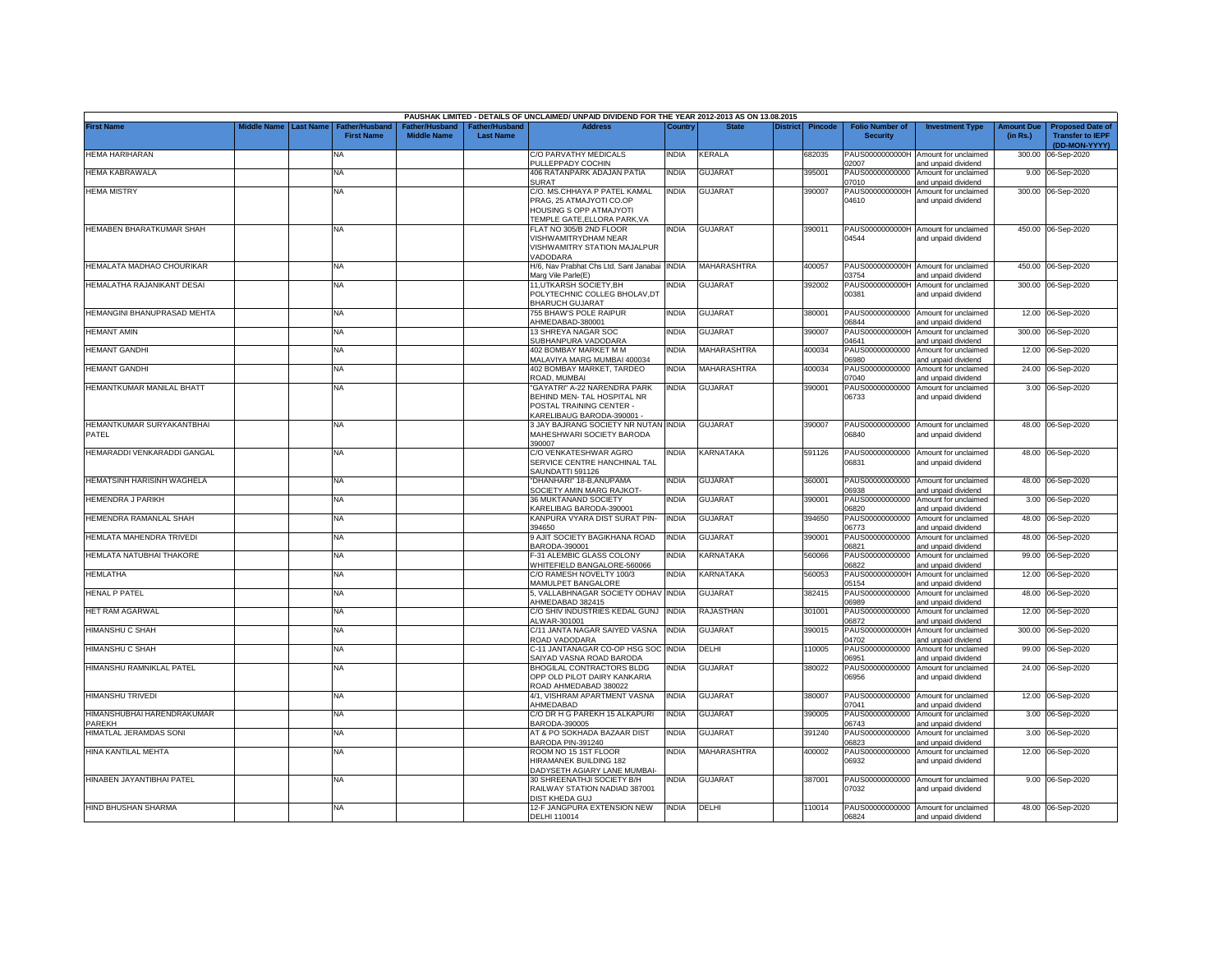|                                      |                    |                  |                                     |                                                  |                                    | PAUSHAK LIMITED - DETAILS OF UNCLAIMED/ UNPAID DIVIDEND FOR THE YEAR 2012-2013 AS ON 13.08.2015                                 |              |                    |                 |                |                                           |                                                             |                               |                                                                     |
|--------------------------------------|--------------------|------------------|-------------------------------------|--------------------------------------------------|------------------------------------|---------------------------------------------------------------------------------------------------------------------------------|--------------|--------------------|-----------------|----------------|-------------------------------------------|-------------------------------------------------------------|-------------------------------|---------------------------------------------------------------------|
| <b>First Name</b>                    | <b>Middle Name</b> | <b>Last Name</b> | Father/Husband<br><b>First Name</b> | ather/Husband <sup>-</sup><br><b>Middle Name</b> | Father/Husband<br><b>Last Name</b> | <b>Address</b>                                                                                                                  | Country      | <b>State</b>       | <b>District</b> | <b>Pincode</b> | <b>Folio Number of</b><br><b>Security</b> | <b>Investment Type</b>                                      | <b>Amount Due</b><br>(in Rs.) | <b>Proposed Date of</b><br><b>Transfer to IEPF</b><br>(DD-MON-YYYY) |
| <b>HEMA HARIHARAN</b>                |                    |                  | <b>NA</b>                           |                                                  |                                    | C/O PARVATHY MEDICALS<br>PULLEPPADY COCHIN                                                                                      | <b>INDIA</b> | KERALA             |                 | 682035         | PAUS0000000000H<br>02007                  | Amount for unclaimed<br>and unpaid dividend                 | 300.00                        | 06-Sep-2020                                                         |
| <b>HEMA KABRAWALA</b>                |                    |                  | NA                                  |                                                  |                                    | 406 RATANPARK ADAJAN PATIA<br>SURAT                                                                                             | <b>INDIA</b> | <b>GUJARAT</b>     |                 | 395001         | PAUS00000000000<br>07010                  | Amount for unclaimed<br>and unpaid dividend                 | 9.00                          | 06-Sep-2020                                                         |
| <b>HEMA MISTRY</b>                   |                    |                  | NA                                  |                                                  |                                    | C/O. MS.CHHAYA P PATEL KAMAL<br>PRAG, 25 ATMAJYOTI CO.OP<br><b>HOUSING S OPP ATMAJYOTI</b><br>TEMPLE GATE.ELLORA PARK.VA        | <b>INDIA</b> | <b>GUJARAT</b>     |                 | 390007         | PAUS0000000000H<br>04610                  | Amount for unclaimed<br>and unpaid dividend                 |                               | 300.00 06-Sep-2020                                                  |
| HEMABEN BHARATKUMAR SHAH             |                    |                  | <b>NA</b>                           |                                                  |                                    | FLAT NO 305/B 2ND FLOOR<br>VISHWAMITRYDHAM NEAR<br><b>VISHWAMITRY STATION MAJALPUR</b><br>/ADODARA                              | <b>INDIA</b> | <b>GUJARAT</b>     |                 | 390011         | 04544                                     | PAUS0000000000H Amount for unclaimed<br>and unpaid dividend |                               | 450.00 06-Sep-2020                                                  |
| HEMALATA MADHAO CHOURIKAR            |                    |                  | NA                                  |                                                  |                                    | H/6, Nav Prabhat Chs Ltd. Sant Janabai<br>Marg Vile Parle(E)                                                                    | <b>INDIA</b> | <b>MAHARASHTRA</b> |                 | 400057         | 03754                                     | PAUS0000000000H Amount for unclaimed<br>and unpaid dividend |                               | 450.00 06-Sep-2020                                                  |
| HEMALATHA RAJANIKANT DESAI           |                    |                  | <b>NA</b>                           |                                                  |                                    | 11, UTKARSH SOCIETY, BH<br>POLYTECHNIC COLLEG BHOLAV,DT<br><b>BHARUCH GUJARAT</b>                                               | NDIA         | <b>GUJARAT</b>     |                 | 392002         | PAUS0000000000H<br>00381                  | Amount for unclaimed<br>and unpaid dividend                 |                               | 300.00 06-Sep-2020                                                  |
| HEMANGINI BHANUPRASAD MEHTA          |                    |                  | <b>NA</b>                           |                                                  |                                    | 755 BHAW'S POLE RAIPUR<br>AHMEDABAD-380001                                                                                      | <b>INDIA</b> | <b>GUJARAT</b>     |                 | 380001         | 06844                                     | PAUS00000000000 Amount for unclaimed<br>and unpaid dividend |                               | 12.00 06-Sep-2020                                                   |
| <b>HEMANT AMIN</b>                   |                    |                  | NA                                  |                                                  |                                    | 13 SHREYA NAGAR SOC<br>SUBHANPURA VADODARA                                                                                      | <b>INDIA</b> | <b>GUJARAT</b>     |                 | 390007         | PAUS0000000000H<br>04641                  | Amount for unclaimed<br>and unpaid dividend                 |                               | 300.00 06-Sep-2020                                                  |
| <b>HEMANT GANDHI</b>                 |                    |                  | NA                                  |                                                  |                                    | 402 BOMBAY MARKET M M<br>MALAVIYA MARG MUMBAI 400034                                                                            | NDIA         | MAHARASHTRA        |                 | 400034         | PAUS00000000000<br>06980                  | Amount for unclaimed<br>and unpaid dividend                 | 12.00                         | 06-Sep-2020                                                         |
| <b>HEMANT GANDHI</b>                 |                    |                  | <b>NA</b>                           |                                                  |                                    | 402 BOMBAY MARKET, TARDEO<br><b>COAD, MUMBAI</b>                                                                                | <b>INDIA</b> | MAHARASHTRA        |                 | 400034         | PAUS00000000000<br>07040                  | Amount for unclaimed<br>and unpaid dividend                 | 24.00                         | 06-Sep-2020                                                         |
| HEMANTKUMAR MANILAL BHATT            |                    |                  | NA                                  |                                                  |                                    | GAYATRI" A-22 NARENDRA PARK<br><b>BEHIND MEN-TAL HOSPITAL NR</b><br>POSTAL TRAINING CENTER -<br><b>KARELIBAUG BARODA-390001</b> | INDIA        | <b>GUJARAT</b>     |                 | 390001         | PAUS00000000000<br>06733                  | Amount for unclaimed<br>and unpaid dividend                 |                               | 3.00 06-Sep-2020                                                    |
| HEMANTKUMAR SURYAKANTBHAI<br>PATEL   |                    |                  | NA                                  |                                                  |                                    | 3 JAY BAJRANG SOCIETY NR NUTAN INDIA<br><b>MAHESHWARI SOCIETY BARODA</b><br>390007                                              |              | <b>GUJARAT</b>     |                 | 390007         | 06840                                     | PAUS00000000000 Amount for unclaimed<br>and unpaid dividend |                               | 48.00 06-Sep-2020                                                   |
| HEMARADDI VENKARADDI GANGAL          |                    |                  | NA                                  |                                                  |                                    | C/O VENKATESHWAR AGRO<br>SERVICE CENTRE HANCHINAL TAL<br>SAUNDATTI 591126                                                       | INDIA        | KARNATAKA          |                 | 591126         | 06831                                     | PAUS00000000000 Amount for unclaimed<br>and unpaid dividend |                               | 48.00 06-Sep-2020                                                   |
| HEMATSINH HARISINH WAGHELA           |                    |                  | NA                                  |                                                  |                                    | "DHANHARI" 18-B.ANUPAMA<br>SOCIETY AMIN MARG RAJKOT-                                                                            | <b>INDIA</b> | <b>GUJARAT</b>     |                 | 360001         | PAUS00000000000<br>06938                  | Amount for unclaimed<br>and unpaid dividend                 | 48.00                         | 06-Sep-2020                                                         |
| <b>HEMENDRA J PARIKH</b>             |                    |                  | NA                                  |                                                  |                                    | 36 MUKTANAND SOCIETY<br><b>KARELIBAG BARODA-390001</b>                                                                          | <b>INDIA</b> | <b>GUJARAT</b>     |                 | 390001         | PAUS00000000000<br>06820                  | Amount for unclaimed<br>and unpaid dividend                 | 3.00                          | 06-Sep-2020                                                         |
| HEMENDRA RAMANLAL SHAH               |                    |                  | <b>NA</b>                           |                                                  |                                    | KANPURA VYARA DIST SURAT PIN-<br>394650                                                                                         | <b>INDIA</b> | <b>GUJARAT</b>     |                 | 394650         | PAUS00000000000<br>06773                  | Amount for unclaimed<br>and unpaid dividend                 | 48.00                         | 06-Sep-2020                                                         |
| HEMLATA MAHENDRA TRIVEDI             |                    |                  | <b>NA</b>                           |                                                  |                                    | 9 AJIT SOCIETY BAGIKHANA ROAD<br>BARODA-390001                                                                                  | <b>INDIA</b> | <b>GUJARAT</b>     |                 | 390001         | PAUS00000000000<br>06821                  | Amount for unclaimed<br>and unpaid dividend                 | 48.00                         | 06-Sep-2020                                                         |
| HEMLATA NATUBHAI THAKORE             |                    |                  | <b>NA</b>                           |                                                  |                                    | -31 ALEMBIC GLASS COLONY<br><b>NHITEFIELD BANGALORE-560066</b>                                                                  | <b>INDIA</b> | KARNATAKA          |                 | 560066         | PAUS00000000000<br>06822                  | Amount for unclaimed<br>and unpaid dividend                 | 99.00                         | 06-Sep-2020                                                         |
| <b>HEMLATHA</b>                      |                    |                  | NA                                  |                                                  |                                    | C/O RAMESH NOVELTY 100/3<br>MAMULPET BANGALORE                                                                                  | <b>INDIA</b> | KARNATAKA          |                 | 560053         | PAUS0000000000H<br>05154                  | Amount for unclaimed<br>and unpaid dividend                 | 12.00                         | 06-Sep-2020                                                         |
| <b>HENAL P PATEL</b>                 |                    |                  | NA                                  |                                                  |                                    | 5, VALLABHNAGAR SOCIETY ODHAV<br>AHMEDABAD 382415                                                                               | <b>INDIA</b> | GUJARAT            |                 | 382415         | PAUS00000000000<br>06989                  | Amount for unclaimed<br>and unpaid dividend                 | 48.00                         | 06-Sep-2020                                                         |
| HET RAM AGARWAL                      |                    |                  | <b>NA</b>                           |                                                  |                                    | C/O SHIV INDUSTRIES KEDAL GUNJ<br>ALWAR-301001                                                                                  | <b>INDIA</b> | RAJASTHAN          |                 | 301001         | PAUS00000000000<br>06872                  | Amount for unclaimed<br>and unpaid dividend                 | 12.00                         | 06-Sep-2020                                                         |
| HIMANSHU C SHAH                      |                    |                  | NA                                  |                                                  |                                    | C/11 JANTA NAGAR SAIYED VASNA<br>ROAD VADODARA                                                                                  | <b>INDIA</b> | <b>GUJARAT</b>     |                 | 390015         | PAUS0000000000H<br>04702                  | Amount for unclaimed<br>and unpaid dividend                 | 300.00                        | 06-Sep-2020                                                         |
| HIMANSHU C SHAH                      |                    |                  | NA                                  |                                                  |                                    | C-11 JANTANAGAR CO-OP HSG SOC<br>SAIYAD VASNA ROAD BARODA                                                                       | <b>INDIA</b> | DELHI              |                 | 10005          | PAUS00000000000<br>06951                  | Amount for unclaimed<br>and unpaid dividend                 | 99.00                         | 06-Sep-2020                                                         |
| HIMANSHU RAMNIKLAL PATEL             |                    |                  | <b>NA</b>                           |                                                  |                                    | <b>BHOGILAL CONTRACTORS BLDG</b><br>OPP OLD PILOT DAIRY KANKARIA<br>ROAD AHMEDABAD 380022                                       | India        | GUJARAT            |                 | 380022         | PAUS00000000000<br>06956                  | Amount for unclaimed<br>and unpaid dividend                 | 24.00                         | 06-Sep-2020                                                         |
| HIMANSHU TRIVEDI                     |                    |                  | <b>NA</b>                           |                                                  |                                    | 4/1, VISHRAM APARTMENT VASNA<br>AHMEDABAD                                                                                       | <b>INDIA</b> | <b>GUJARAT</b>     |                 | 380007         | 07041                                     | PAUS00000000000 Amount for unclaimed<br>and unpaid dividend |                               | 12.00 06-Sep-2020                                                   |
| HIMANSHUBHAI HARENDRAKUMAR<br>PAREKH |                    |                  | NA                                  |                                                  |                                    | C/O DR H G PAREKH 15 ALKAPURI<br>BARODA-390005                                                                                  | India        | GUJARAT            |                 | 390005         | PAUS00000000000<br>06743                  | Amount for unclaimed<br>and unpaid dividend                 |                               | 3.00 06-Sep-2020                                                    |
| HIMATLAL JERAMDAS SONI               |                    |                  | NA                                  |                                                  |                                    | AT & PO SOKHADA BAZAAR DIST<br><b>BARODA PIN-391240</b>                                                                         | INDIA        | <b>GUJARAT</b>     |                 | 391240         | PAUS00000000000<br>06823                  | Amount for unclaimed<br>and unpaid dividend                 |                               | 3.00 06-Sep-2020                                                    |
| HINA KANTILAL MEHTA                  |                    |                  | NA                                  |                                                  |                                    | ROOM NO 15 1ST FLOOR<br>HIRAMANEK BUILDING 182<br>DADYSETH AGIARY LANE MUMBAI-                                                  | <b>INDIA</b> | MAHARASHTRA        |                 | 400002         | PAUS00000000000<br>06932                  | Amount for unclaimed<br>and unpaid dividend                 |                               | 12.00 06-Sep-2020                                                   |
| HINABEN JAYANTIBHAI PATEL            |                    |                  | NA                                  |                                                  |                                    | 30 SHREENATHJI SOCIETY B/H<br>RAILWAY STATION NADIAD 387001<br>DIST KHEDA GUJ                                                   | NDIA         | <b>GUJARAT</b>     |                 | 387001         | PAUS00000000000<br>07032                  | Amount for unclaimed<br>and unpaid dividend                 |                               | 9.00 06-Sep-2020                                                    |
| HIND BHUSHAN SHARMA                  |                    |                  | <b>NA</b>                           |                                                  |                                    | 12-F JANGPURA EXTENSION NEW<br>DELHI 110014                                                                                     | <b>INDIA</b> | DELHI              |                 | 110014         | 06824                                     | PAUS00000000000 Amount for unclaimed<br>and unpaid dividend |                               | 48.00 06-Sep-2020                                                   |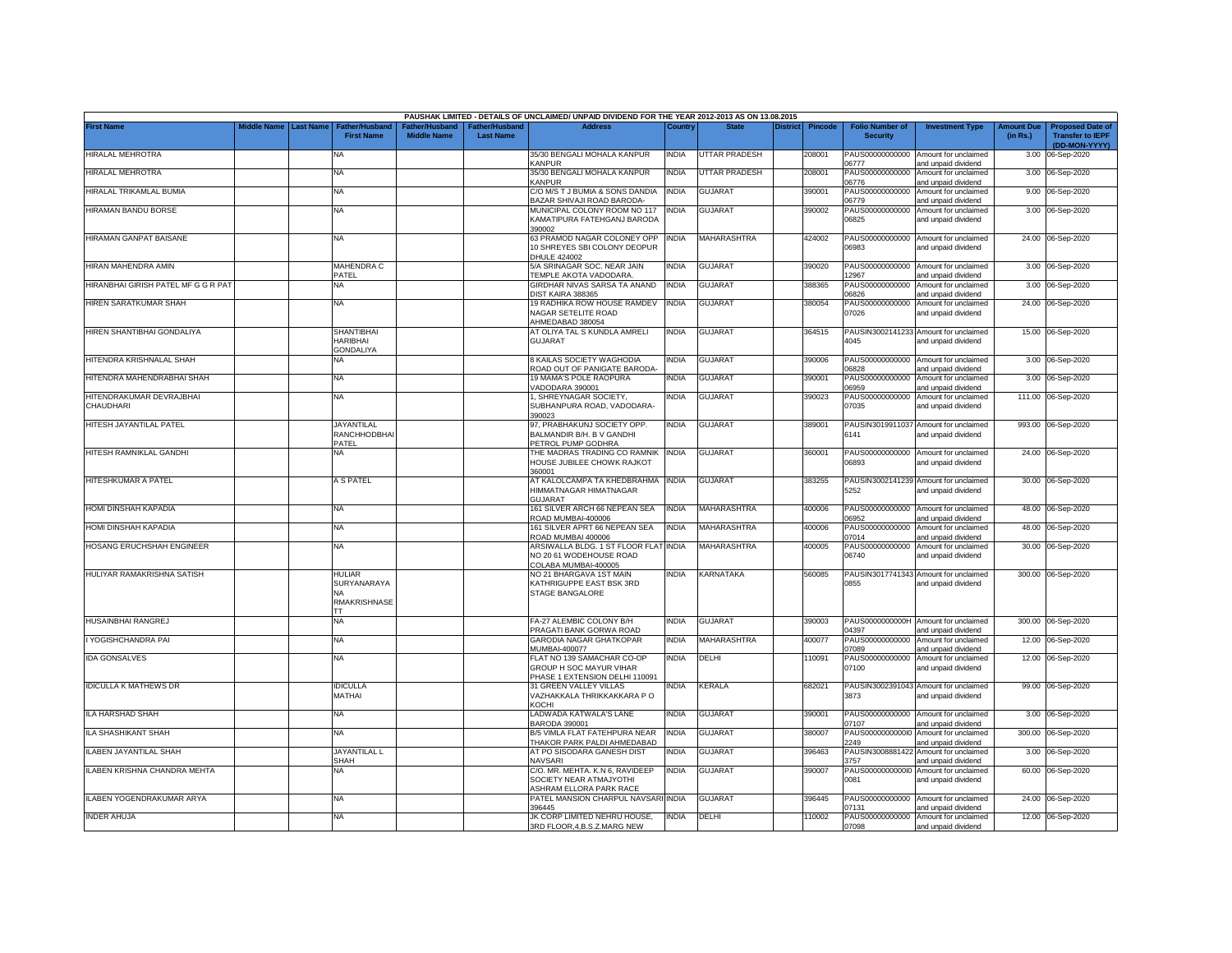|                                       |             |                  |                                                           |                                      |                                    | PAUSHAK LIMITED - DETAILS OF UNCLAIMED/ UNPAID DIVIDEND FOR THE YEAR 2012-2013 AS ON 13.08.2015 |              |                      |                 |         |                                           |                                                              |                               |                                                                     |
|---------------------------------------|-------------|------------------|-----------------------------------------------------------|--------------------------------------|------------------------------------|-------------------------------------------------------------------------------------------------|--------------|----------------------|-----------------|---------|-------------------------------------------|--------------------------------------------------------------|-------------------------------|---------------------------------------------------------------------|
| <b>First Name</b>                     | Middle Name | <b>Last Name</b> | <b>Father/Husband</b><br><b>First Name</b>                | Father/Husband<br><b>Middle Name</b> | Father/Husband<br><b>Last Name</b> | <b>Address</b>                                                                                  | Country      | <b>State</b>         | <b>District</b> | Pincode | <b>Folio Number of</b><br><b>Security</b> | <b>Investment Type</b>                                       | <b>Amount Due</b><br>(in Rs.) | <b>Proposed Date of</b><br><b>Transfer to IEPF</b><br>(DD-MON-YYYY) |
| HIRALAL MEHROTRA                      |             |                  | NA                                                        |                                      |                                    | 35/30 BENGALI MOHALA KANPUR<br><b>KANPUR</b>                                                    | <b>INDIA</b> | <b>UTTAR PRADESH</b> |                 | 208001  | PAUS00000000000<br>06777                  | Amount for unclaimed<br>and unpaid dividend                  |                               | 3.00 06-Sep-2020                                                    |
| HIRALAL MEHROTRA                      |             |                  | ΝA                                                        |                                      |                                    | 35/30 BENGALI MOHALA KANPUR<br><b>KANPUR</b>                                                    | <b>INDIA</b> | UTTAR PRADESH        |                 | 208001  | PAUS00000000000<br>06776                  | Amount for unclaimed<br>and unpaid dividend                  |                               | 3.00 06-Sep-2020                                                    |
| HIRALAL TRIKAMLAL BUMIA               |             |                  | <b>NA</b>                                                 |                                      |                                    | C/O M/S T J BUMIA & SONS DANDIA<br>BAZAR SHIVAJI ROAD BARODA-                                   | <b>INDIA</b> | <b>GUJARAT</b>       |                 | 390001  | PAUS00000000000<br>06779                  | Amount for unclaimed<br>and unpaid dividend                  |                               | 9.00 06-Sep-2020                                                    |
| HIRAMAN BANDU BORSE                   |             |                  | <b>NA</b>                                                 |                                      |                                    | MUNICIPAL COLONY ROOM NO 117<br>KAMATIPURA FATEHGANJ BARODA<br>390002                           | <b>INDIA</b> | <b>GUJARAT</b>       |                 | 390002  | PAUS00000000000<br>06825                  | Amount for unclaimed<br>and unpaid dividend                  |                               | 3.00 06-Sep-2020                                                    |
| HIRAMAN GANPAT BAISANE                |             |                  | NA                                                        |                                      |                                    | 63 PRAMOD NAGAR COLONEY OPP<br>10 SHREYES SBI COLONY DEOPUR<br><b>DHULE 424002</b>              | <b>INDIA</b> | MAHARASHTRA          |                 | 424002  | PAUS00000000000<br>06983                  | Amount for unclaimed<br>and unpaid dividend                  |                               | 24.00 06-Sep-2020                                                   |
| HIRAN MAHENDRA AMIN                   |             |                  | <b>MAHENDRA C</b><br>PATEL                                |                                      |                                    | 5/A SRINAGAR SOC. NEAR JAIN<br>TEMPLE AKOTA VADODARA                                            | <b>INDIA</b> | <b>GUJARAT</b>       |                 | 390020  | PAUS00000000000<br>12967                  | Amount for unclaimed<br>and unpaid dividend                  |                               | 3.00 06-Sep-2020                                                    |
| HIRANBHAI GIRISH PATEL MF G G R PAT   |             |                  | NA                                                        |                                      |                                    | GIRDHAR NIVAS SARSA TA ANAND<br>DIST KAIRA 388365                                               | <b>INDIA</b> | <b>GUJARAT</b>       |                 | 388365  | PAUS00000000000<br>6826                   | Amount for unclaimed<br>and unpaid dividend                  |                               | 3.00 06-Sep-2020                                                    |
| HIREN SARATKUMAR SHAH                 |             |                  | <b>NA</b>                                                 |                                      |                                    | 19 RADHIKA ROW HOUSE RAMDEV<br>NAGAR SETELITE ROAD<br>AHMEDABAD 380054                          | <b>INDIA</b> | <b>GUJARAT</b>       |                 | 380054  | PAUS00000000000<br>07026                  | Amount for unclaimed<br>and unpaid dividend                  |                               | 24.00 06-Sep-2020                                                   |
| HIREN SHANTIBHAI GONDALIYA            |             |                  | <b>SHANTIBHAI</b><br><b>HARIBHAI</b><br><b>GONDALIYA</b>  |                                      |                                    | AT OLIYA TAL S KUNDLA AMRELI<br><b>GUJARAT</b>                                                  | <b>INDIA</b> | <b>GUJARAT</b>       |                 | 364515  | 4045                                      | PAUSIN3002141233 Amount for unclaimed<br>and unpaid dividend |                               | 15.00 06-Sep-2020                                                   |
| HITENDRA KRISHNALAL SHAH              |             |                  | NA.                                                       |                                      |                                    | 8 KAILAS SOCIETY WAGHODIA<br>ROAD OUT OF PANIGATE BARODA-                                       | <b>INDIA</b> | GUJARAT              |                 | 390006  | PAUS00000000000<br>06828                  | Amount for unclaimed<br>and unpaid dividend                  |                               | 3.00 06-Sep-2020                                                    |
| HITENDRA MAHENDRABHAI SHAH            |             |                  | <b>NA</b>                                                 |                                      |                                    | 19 MAMA'S POLE RAOPURA<br>VADODARA 390001                                                       | <b>INDIA</b> | <b>GUJARAT</b>       |                 | 390001  | PAUS00000000000<br>06959                  | Amount for unclaimed<br>and unpaid dividend                  | 3.00                          | 06-Sep-2020                                                         |
| HITENDRAKUMAR DEVRAJBHAI<br>CHAUDHARI |             |                  | NA                                                        |                                      |                                    | 1, SHREYNAGAR SOCIETY,<br>SUBHANPURA ROAD, VADODARA-<br>390023                                  | <b>INDIA</b> | GUJARAT              |                 | 390023  | PAUS00000000000<br>07035                  | Amount for unclaimed<br>and unpaid dividend                  |                               | 111.00 06-Sep-2020                                                  |
| HITESH JAYANTILAL PATEL               |             |                  | <b>JAYANTILAL</b><br>RANCHHODBHAI<br>PATEL                |                                      |                                    | 97, PRABHAKUNJ SOCIETY OPP.<br>BALMANDIR B/H, B V GANDHI<br>PETROL PUMP GODHRA                  | <b>INDIA</b> | <b>GUJARAT</b>       |                 | 389001  | 6141                                      | PAUSIN3019911037 Amount for unclaimed<br>and unpaid dividend |                               | 993.00 06-Sep-2020                                                  |
| HITESH RAMNIKLAL GANDHI               |             |                  | NA                                                        |                                      |                                    | THE MADRAS TRADING CO RAMNIK INDIA<br>HOUSE JUBILEE CHOWK RAJKOT<br>360001                      |              | <b>GUJARAT</b>       |                 | 360001  | PAUS00000000000<br>06893                  | Amount for unclaimed<br>and unpaid dividend                  |                               | 24.00 06-Sep-2020                                                   |
| HITESHKUMAR A PATEL                   |             |                  | A S PATEL                                                 |                                      |                                    | AT KALOLCAMPA TA KHEDBRAHMA INDIA<br>HIMMATNAGAR HIMATNAGAR<br><b>GUJARAT</b>                   |              | GUJARAT              |                 | 383255  | 5252                                      | PAUSIN3002141239 Amount for unclaimed<br>and unpaid dividend |                               | 30.00 06-Sep-2020                                                   |
| HOMI DINSHAH KAPADIA                  |             |                  | NA                                                        |                                      |                                    | 161 SILVER ARCH 66 NEPEAN SEA<br>ROAD MUMBAI-400006                                             | <b>INDIA</b> | MAHARASHTRA          |                 | 400006  | 06952                                     | PAUS00000000000 Amount for unclaimed<br>and unpaid dividend  |                               | 48.00 06-Sep-2020                                                   |
| <b>HOMI DINSHAH KAPADIA</b>           |             |                  | <b>NA</b>                                                 |                                      |                                    | 161 SILVER APRT 66 NEPEAN SEA<br>ROAD MUMBAI 400006                                             | <b>INDIA</b> | <b>MAHARASHTRA</b>   |                 | 400006  | PAUS00000000000<br>07014                  | Amount for unclaimed<br>and unpaid dividend                  |                               | 48.00 06-Sep-2020                                                   |
| HOSANG ERUCHSHAH ENGINEER             |             |                  | NA                                                        |                                      |                                    | ARSIWALLA BLDG. 1 ST FLOOR FLAT<br>NO 20 61 WODEHOUSE ROAD<br>COLABA MUMBAI-400005              | <b>INDIA</b> | MAHARASHTRA          |                 | 400005  | PAUS00000000000<br>06740                  | Amount for unclaimed<br>and unpaid dividend                  |                               | 30.00 06-Sep-2020                                                   |
| HULIYAR RAMAKRISHNA SATISH            |             |                  | HULIAR<br>SURYANARAYA<br><b>NA</b><br><b>RMAKRISHNASE</b> |                                      |                                    | NO 21 BHARGAVA 1ST MAIN<br>KATHRIGUPPE EAST BSK 3RD<br>STAGE BANGALORE                          | <b>INDIA</b> | KARNATAKA            |                 | 560085  | 0855                                      | PAUSIN3017741343 Amount for unclaimed<br>and unpaid dividend |                               | 300.00 06-Sep-2020                                                  |
| HUSAINBHAI RANGREJ                    |             |                  | ТT<br><b>NA</b>                                           |                                      |                                    | FA-27 ALEMBIC COLONY B/H<br>PRAGATI BANK GORWA ROAD                                             | <b>INDIA</b> | <b>GUJARAT</b>       |                 | 390003  | PAUS0000000000H<br>04397                  | Amount for unclaimed<br>and unpaid dividend                  |                               | 300.00 06-Sep-2020                                                  |
| YOGISHCHANDRA PAI                     |             |                  | <b>NA</b>                                                 |                                      |                                    | <b>GARODIA NAGAR GHATKOPAR</b><br>MUMBAI-400077                                                 | <b>INDIA</b> | MAHARASHTRA          |                 | 400077  | PAUS00000000000<br>07089                  | Amount for unclaimed<br>and unpaid dividend                  |                               | 12.00 06-Sep-2020                                                   |
| <b>IDA GONSALVES</b>                  |             |                  | <b>NA</b>                                                 |                                      |                                    | FLAT NO 139 SAMACHAR CO-OP<br>GROUP H SOC MAYUR VIHAR<br>PHASE 1 EXTENSION DELHI 110091         | <b>INDIA</b> | DELHI                |                 | 10091   | PAUS00000000000<br>07100                  | Amount for unclaimed<br>and unpaid dividend                  |                               | 12.00 06-Sep-2020                                                   |
| <b>IDICULLA K MATHEWS DR</b>          |             |                  | <b>IDICULLA</b><br><b>MATHAI</b>                          |                                      |                                    | 31 GREEN VALLEY VILLAS<br>VAZHAKKALA THRIKKAKKARA P O<br>KOCHI                                  | <b>INDIA</b> | KERALA               |                 | 682021  | 3873                                      | PAUSIN3002391043 Amount for unclaimed<br>and unpaid dividend |                               | 99.00 06-Sep-2020                                                   |
| LA HARSHAD SHAH                       |             |                  | NA                                                        |                                      |                                    | LADWADA KATWALA'S LANE<br>BARODA 390001                                                         | <b>INDIA</b> | <b>GUJARAT</b>       |                 | 390001  | PAUS00000000000<br>07107                  | Amount for unclaimed<br>and unpaid dividend                  |                               | 3.00 06-Sep-2020                                                    |
| ILA SHASHIKANT SHAH                   |             |                  | NA                                                        |                                      |                                    | B/5 VIMLA FLAT FATEHPURA NEAR<br>THAKOR PARK PALDI AHMEDABAD                                    | <b>INDIA</b> | <b>GUJARAT</b>       |                 | 380007  | PAUS00000000000<br>2249                   | Amount for unclaimed<br>and unpaid dividend                  | 300.00                        | 06-Sep-2020                                                         |
| LABEN JAYANTILAL SHAH                 |             |                  | <b>JAYANTILAL L</b><br>SHAH                               |                                      |                                    | AT PO SISODARA GANESH DIST<br><b>NAVSARI</b>                                                    | <b>INDIA</b> | GUJARAT              |                 | 396463  | PAUSIN3008881422<br>3757                  | Amount for unclaimed<br>and unpaid dividend                  |                               | 3.00 06-Sep-2020                                                    |
| ILABEN KRISHNA CHANDRA MEHTA          |             |                  | NA                                                        |                                      |                                    | C/O. MR. MEHTA. K.N 6, RAVIDEEP<br>SOCIETY NEAR ATMAJYOTHI<br>ASHRAM ELLORA PARK RACE           | <b>INDIA</b> | GUJARAT              |                 | 390007  | PAUS00000000000<br>0081                   | Amount for unclaimed<br>and unpaid dividend                  |                               | 60.00 06-Sep-2020                                                   |
| ILABEN YOGENDRAKUMAR ARYA             |             |                  | NA                                                        |                                      |                                    | PATEL MANSION CHARPUL NAVSARI INDIA<br>396445                                                   |              | <b>GUJARAT</b>       |                 | 396445  | PAUS00000000000<br>07131                  | Amount for unclaimed<br>and unpaid dividend                  |                               | 24.00 06-Sep-2020                                                   |
| <b>INDER AHUJA</b>                    |             |                  | NA                                                        |                                      |                                    | JK CORP LIMITED NEHRU HOUSE,<br>3RD FLOOR, 4, B.S.Z.MARG NEW                                    | <b>INDIA</b> | DELHI                |                 | 110002  | 07098                                     | PAUS00000000000 Amount for unclaimed<br>and unpaid dividend  |                               | 12.00 06-Sep-2020                                                   |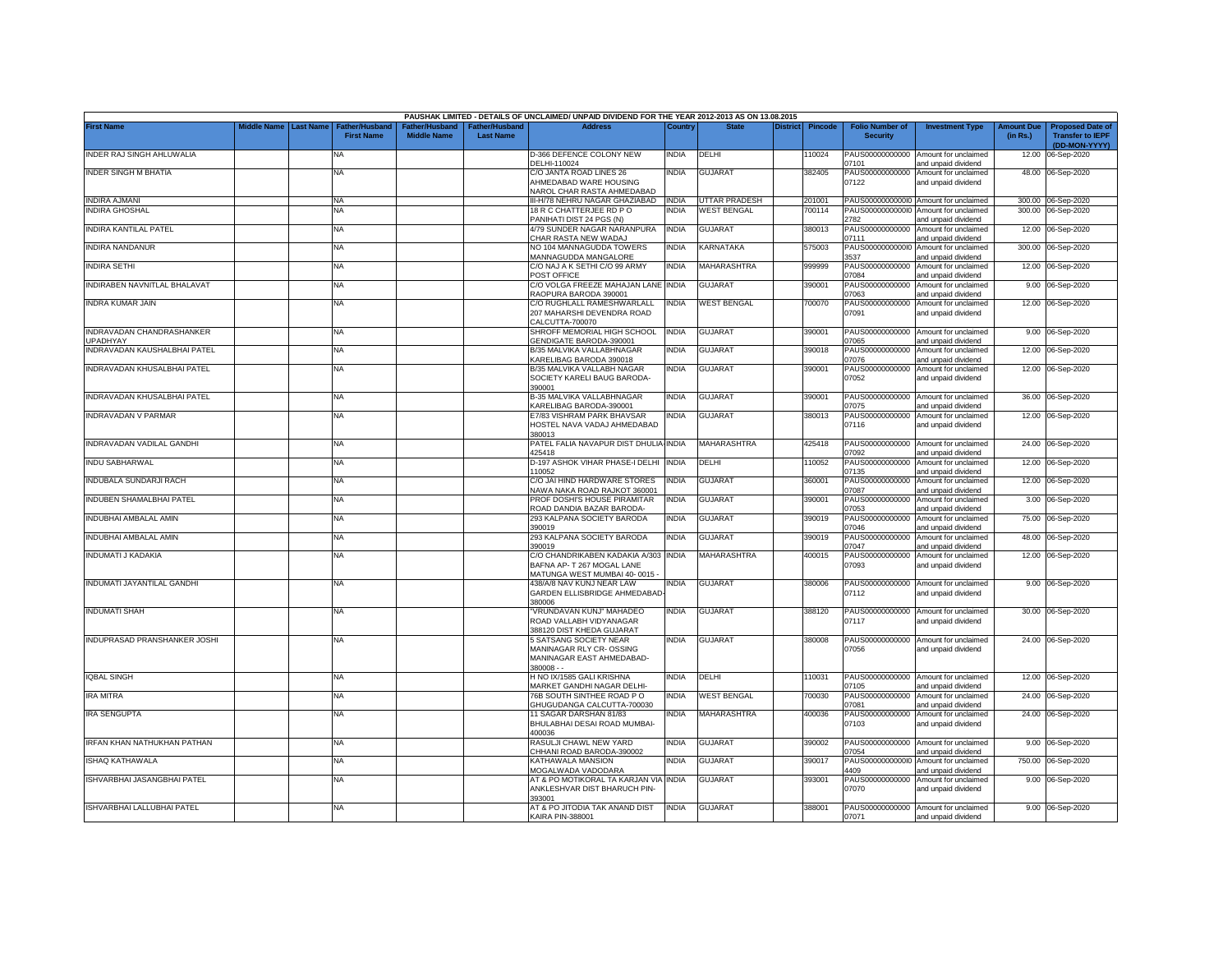|                                                 |             |                  |                                            |                                      |                                    | PAUSHAK LIMITED - DETAILS OF UNCLAIMED/ UNPAID DIVIDEND FOR THE YEAR 2012-2013 AS ON 13.08.2015      |              |                    |          |                |                                           |                                                                    |                               |                                                                     |
|-------------------------------------------------|-------------|------------------|--------------------------------------------|--------------------------------------|------------------------------------|------------------------------------------------------------------------------------------------------|--------------|--------------------|----------|----------------|-------------------------------------------|--------------------------------------------------------------------|-------------------------------|---------------------------------------------------------------------|
| <b>First Name</b>                               | Middle Name | <b>Last Name</b> | <b>Father/Husband</b><br><b>First Name</b> | Father/Husband<br><b>Middle Name</b> | Father/Husband<br><b>Last Name</b> | <b>Address</b>                                                                                       | Country      | <b>State</b>       | District | <b>Pincode</b> | <b>Folio Number of</b><br><b>Security</b> | <b>Investment Type</b>                                             | <b>Amount Due</b><br>(in Rs.) | <b>Proposed Date of</b><br><b>Transfer to IEPF</b><br>(DD-MON-YYYY) |
| INDER RAJ SINGH AHLUWALIA                       |             |                  | NA                                         |                                      |                                    | D-366 DEFENCE COLONY NEW<br>DELHI-110024                                                             | <b>INDIA</b> | DELHI              |          | 110024         | 07101                                     | PAUS00000000000 Amount for unclaimed<br>and unpaid dividend        | 12.00                         | 06-Sep-2020                                                         |
| INDER SINGH M BHATIA                            |             |                  | <b>NA</b>                                  |                                      |                                    | C/O JANTA ROAD LINES 26<br>AHMEDABAD WARE HOUSING<br>NAROL CHAR RASTA AHMEDABAD                      | <b>INDIA</b> | <b>GUJARAT</b>     |          | 382405         | PAUS00000000000<br>07122                  | Amount for unclaimed<br>and unpaid dividend                        |                               | 48.00 06-Sep-2020                                                   |
| <b>INDIRA AJMANI</b>                            |             |                  | <b>NA</b>                                  |                                      |                                    | III-H/78 NEHRU NAGAR GHAZIABAD INDIA                                                                 |              | UTTAR PRADESH      |          | 201001         | PAUS00000000000                           | Amount for unclaimed                                               |                               | 300.00 06-Sep-2020                                                  |
| <b>INDIRA GHOSHAL</b>                           |             |                  | <b>NA</b>                                  |                                      |                                    | 18 R C CHATTERJEE RD P O<br>PANIHATI DIST 24 PGS (N)                                                 | <b>INDIA</b> | <b>WEST BENGAL</b> |          | 700114         | 2782                                      | PAUS00000000000 Amount for unclaimed<br>and unpaid dividend        |                               | 300.00 06-Sep-2020                                                  |
| INDIRA KANTILAL PATEL                           |             |                  | <b>NA</b>                                  |                                      |                                    | 4/79 SUNDER NAGAR NARANPURA<br>CHAR RASTA NEW WADAJ                                                  | <b>INDIA</b> | GUJARAT            |          | 380013         | PAUS00000000000<br>07111                  | Amount for unclaimed<br>and unpaid dividend                        | 12.00                         | 06-Sep-2020                                                         |
| INDIRA NANDANUR                                 |             |                  | <b>NA</b>                                  |                                      |                                    | NO 104 MANNAGUDDA TOWERS<br>MANNAGUDDA MANGALORE                                                     | INDIA        | <b>CARNATAKA</b>   |          | 575003         | 3537                                      | PAUS00000000000 Amount for unclaimed<br>and unpaid dividend        |                               | 300.00 06-Sep-2020                                                  |
| <b>INDIRA SETHI</b>                             |             |                  | <b>NA</b>                                  |                                      |                                    | C/O NAJ A K SETHI C/O 99 ARMY<br>POST OFFICE                                                         | <b>INDIA</b> | <b>MAHARASHTRA</b> |          | 999999         | 07084                                     | PAUS00000000000 Amount for unclaimed<br>and unpaid dividend        |                               | 12.00 06-Sep-2020                                                   |
| INDIRABEN NAVNITLAL BHALAVAT                    |             |                  | <b>NA</b>                                  |                                      |                                    | C/O VOLGA FREEZE MAHAJAN LANE INDIA<br>RAOPURA BARODA 390001                                         |              | GUJARAT            |          | 390001         | 07063                                     | PAUS00000000000 Amount for unclaimed<br>and unpaid dividend        |                               | 9.00 06-Sep-2020                                                    |
| INDRA KUMAR JAIN                                |             |                  | <b>NA</b>                                  |                                      |                                    | C/O RUGHLALL RAMESHWARLALL<br>207 MAHARSHI DEVENDRA ROAD                                             | <b>INDIA</b> | <b>WEST BENGAL</b> |          | 700070         | 07091                                     | PAUS00000000000 Amount for unclaimed<br>and unpaid dividend        |                               | 12.00 06-Sep-2020                                                   |
| INDRAVADAN CHANDRASHANKER                       |             |                  | NA                                         |                                      |                                    | CALCUTTA-700070<br>SHROFF MEMORIAL HIGH SCHOOL                                                       | <b>INDIA</b> | GUJARAT            |          | 390001         |                                           | PAUS00000000000 Amount for unclaimed                               |                               | 9.00 06-Sep-2020                                                    |
| <b>JPADHYAY</b><br>INDRAVADAN KAUSHALBHAI PATEL |             |                  | NA                                         |                                      |                                    | <b>GENDIGATE BARODA-390001</b><br>B/35 MALVIKA VALLABHNAGAR                                          | <b>INDIA</b> | <b>GUJARAT</b>     |          | 390018         | 07065<br>PAUS00000000000                  | ind unpaid dividend<br>Amount for unclaimed                        |                               | 12.00 06-Sep-2020                                                   |
| INDRAVADAN KHUSALBHAI PATEL                     |             |                  | ΝA                                         |                                      |                                    | <b>KARELIBAG BARODA 390018</b><br>B/35 MALVIKA VALLABH NAGAR<br>SOCIETY KARELI BAUG BARODA-          | INDIA        | GUJARAT            |          | 390001         | 7076<br>PAUS00000000000<br>07052          | ind unpaid dividend<br>Amount for unclaimed<br>and unpaid dividend |                               | 12.00 06-Sep-2020                                                   |
| INDRAVADAN KHUSALBHAI PATEL                     |             |                  | NA                                         |                                      |                                    | 390001<br><b>B-35 MALVIKA VALLABHNAGAR</b>                                                           | <b>INDIA</b> | <b>GUJARAT</b>     |          | 390001         | PAUS00000000000                           | Amount for unclaimed                                               |                               | 36.00 06-Sep-2020                                                   |
| INDRAVADAN V PARMAR                             |             |                  | <b>NA</b>                                  |                                      |                                    | <b>KARELIBAG BARODA-390001</b><br>E7/83 VISHRAM PARK BHAVSAR<br>HOSTEL NAVA VADAJ AHMEDABAD          | <b>INDIA</b> | <b>GUJARAT</b>     |          | 380013         | 7075<br>PAUS00000000000<br>07116          | and unpaid dividend<br>Amount for unclaimed<br>and unpaid dividend |                               | 12.00 06-Sep-2020                                                   |
| INDRAVADAN VADILAL GANDHI                       |             |                  | <b>NA</b>                                  |                                      |                                    | 380013<br>PATEL FALIA NAVAPUR DIST DHULIA-INDIA<br>425418                                            |              | MAHARASHTRA        |          | 425418         | 17092                                     | PAUS00000000000 Amount for unclaimed<br>ind unpaid dividend        |                               | 24.00 06-Sep-2020                                                   |
| INDU SABHARWAL                                  |             |                  | <b>NA</b>                                  |                                      |                                    | D-197 ASHOK VIHAR PHASE-I DELHI INDIA<br>110052                                                      |              | DELHI              |          | 110052         | PAUS00000000000<br>07135                  | Amount for unclaimed<br>and unpaid dividend                        | 12.00                         | 06-Sep-2020                                                         |
| INDUBALA SUNDARJI RACH                          |             |                  | <b>NA</b>                                  |                                      |                                    | C/O JAI HIND HARDWARE STORES<br>NAWA NAKA ROAD RAJKOT 360001                                         | <b>INDIA</b> | <b>GUJARAT</b>     |          | 360001         | PAUS00000000000<br>07087                  | Amount for unclaimed<br>and unpaid dividend                        | 12.00                         | 06-Sep-2020                                                         |
| INDUBEN SHAMALBHAI PATEL                        |             |                  | <b>NA</b>                                  |                                      |                                    | PROF DOSHI'S HOUSE PIRAMITAR<br>ROAD DANDIA BAZAR BARODA-                                            | <b>INDIA</b> | <b>GUJARAT</b>     |          | 390001         | PAUS00000000000<br>)7053                  | Amount for unclaimed                                               | 3.00                          | 06-Sep-2020                                                         |
| INDUBHAI AMBALAL AMIN                           |             |                  | <b>NA</b>                                  |                                      |                                    | 293 KALPANA SOCIETY BARODA<br>390019                                                                 | <b>INDIA</b> | <b>GUJARAT</b>     |          | 390019         | PAUS00000000000<br>07046                  | and unpaid dividend<br>Amount for unclaimed                        | 75.00                         | 06-Sep-2020                                                         |
| INDUBHAI AMBALAL AMIN                           |             |                  | <b>NA</b>                                  |                                      |                                    | 293 KALPANA SOCIETY BARODA<br>390019                                                                 | <b>INDIA</b> | <b>GUJARAT</b>     |          | 390019         | PAUS00000000000<br>07047                  | and unpaid dividend<br>Amount for unclaimed                        | 48.00                         | 06-Sep-2020                                                         |
| INDUMATI J KADAKIA                              |             |                  | <b>NA</b>                                  |                                      |                                    | C/O CHANDRIKABEN KADAKIA A/303 INDIA<br>BAFNA AP- T 267 MOGAL LANE                                   |              | MAHARASHTRA        |          | 400015         | PAUS00000000000<br>07093                  | and unpaid dividend<br>Amount for unclaimed<br>and unpaid dividend | 12.00                         | 06-Sep-2020                                                         |
| INDUMATI JAYANTILAL GANDHI                      |             |                  | <b>NA</b>                                  |                                      |                                    | MATUNGA WEST MUMBAI 40-0015 -<br>438/A/8 NAV KUNJ NEAR LAW<br>GARDEN ELLISBRIDGE AHMEDABAD<br>380006 | <b>INDIA</b> | <b>GUJARAT</b>     |          | 380006         | 07112                                     | PAUS00000000000 Amount for unclaimed<br>and unpaid dividend        |                               | 9.00 06-Sep-2020                                                    |
| <b>INDUMATI SHAH</b>                            |             |                  | <b>NA</b>                                  |                                      |                                    | 'VRUNDAVAN KUNJ" MAHADEO<br>ROAD VALLABH VIDYANAGAR<br>388120 DIST KHEDA GUJARAT                     | <b>INDIA</b> | GUJARAT            |          | 388120         | 07117                                     | PAUS00000000000 Amount for unclaimed<br>and unpaid dividend        |                               | 30.00 06-Sep-2020                                                   |
| INDUPRASAD PRANSHANKER JOSHI                    |             |                  | <b>NA</b>                                  |                                      |                                    | 5 SATSANG SOCIETY NEAR<br>MANINAGAR RLY CR-OSSING<br>MANINAGAR EAST AHMEDABAD-<br>$380008 -$         | <b>INDIA</b> | <b>GUJARAT</b>     |          | 380008         | 07056                                     | PAUS00000000000 Amount for unclaimed<br>and unpaid dividend        |                               | 24.00 06-Sep-2020                                                   |
| <b>IQBAL SINGH</b>                              |             |                  | NA                                         |                                      |                                    | H NO IX/1585 GALI KRISHNA<br>MARKET GANDHI NAGAR DELHI-                                              | <b>INDIA</b> | DELHI              |          | 110031         | 07105                                     | PAUS00000000000 Amount for unclaimed<br>and unpaid dividend        |                               | 12.00 06-Sep-2020                                                   |
| IRA MITRA                                       |             |                  | <b>NA</b>                                  |                                      |                                    | 76B SOUTH SINTHEE ROAD PO<br>GHUGUDANGA CALCUTTA-700030                                              | india        | WEST BENGAL        |          | 700030         | PAUS00000000000<br>07081                  | Amount for unclaimed                                               | 24.00                         | 06-Sep-2020                                                         |
| <b>IRA SENGUPTA</b>                             |             |                  | <b>NA</b>                                  |                                      |                                    | 11 SAGAR DARSHAN 81/83<br>BHULABHAI DESAI ROAD MUMBAI-<br>400036                                     | NDIA         | MAHARASHTRA        |          | 400036         | PAUS00000000000<br>07103                  | and unpaid dividend<br>Amount for unclaimed<br>and unpaid dividend |                               | 24.00 06-Sep-2020                                                   |
| IRFAN KHAN NATHUKHAN PATHAN                     |             |                  | <b>NA</b>                                  |                                      |                                    | RASULJI CHAWL NEW YARD<br>CHHANI ROAD BARODA-390002                                                  | India        | GUJARAT            |          | 390002         | PAUS00000000000<br>07054                  | Amount for unclaimed<br>and unpaid dividend                        |                               | 9.00 06-Sep-2020                                                    |
| <b>ISHAQ KATHAWALA</b>                          |             |                  | <b>NA</b>                                  |                                      |                                    | KATHAWALA MANSION<br>MOGALWADA VADODARA                                                              | <b>INDIA</b> | GUJARAT            |          | 390017         | 1409                                      | PAUS00000000000 Amount for unclaimed<br>and unpaid dividend        | 750.00                        | 06-Sep-2020                                                         |
| ISHVARBHAI JASANGBHAI PATEL                     |             |                  | <b>NA</b>                                  |                                      |                                    | AT & PO MOTIKORAL TA KARJAN VIA INDIA<br>ANKLESHVAR DIST BHARUCH PIN-                                |              | GUJARAT            |          | 393001         | PAUS00000000000<br>07070                  | Amount for unclaimed<br>and unpaid dividend                        |                               | 9.00 06-Sep-2020                                                    |
| <b>ISHVARBHAI LALLUBHAI PATEL</b>               |             |                  | NA                                         |                                      |                                    | 393001<br>AT & PO JITODIA TAK ANAND DIST<br>KAIRA PIN-388001                                         | <b>INDIA</b> | <b>GUJARAT</b>     |          | 388001         | 07071                                     | PAUS00000000000 Amount for unclaimed<br>and unpaid dividend        |                               | 9.00 06-Sep-2020                                                    |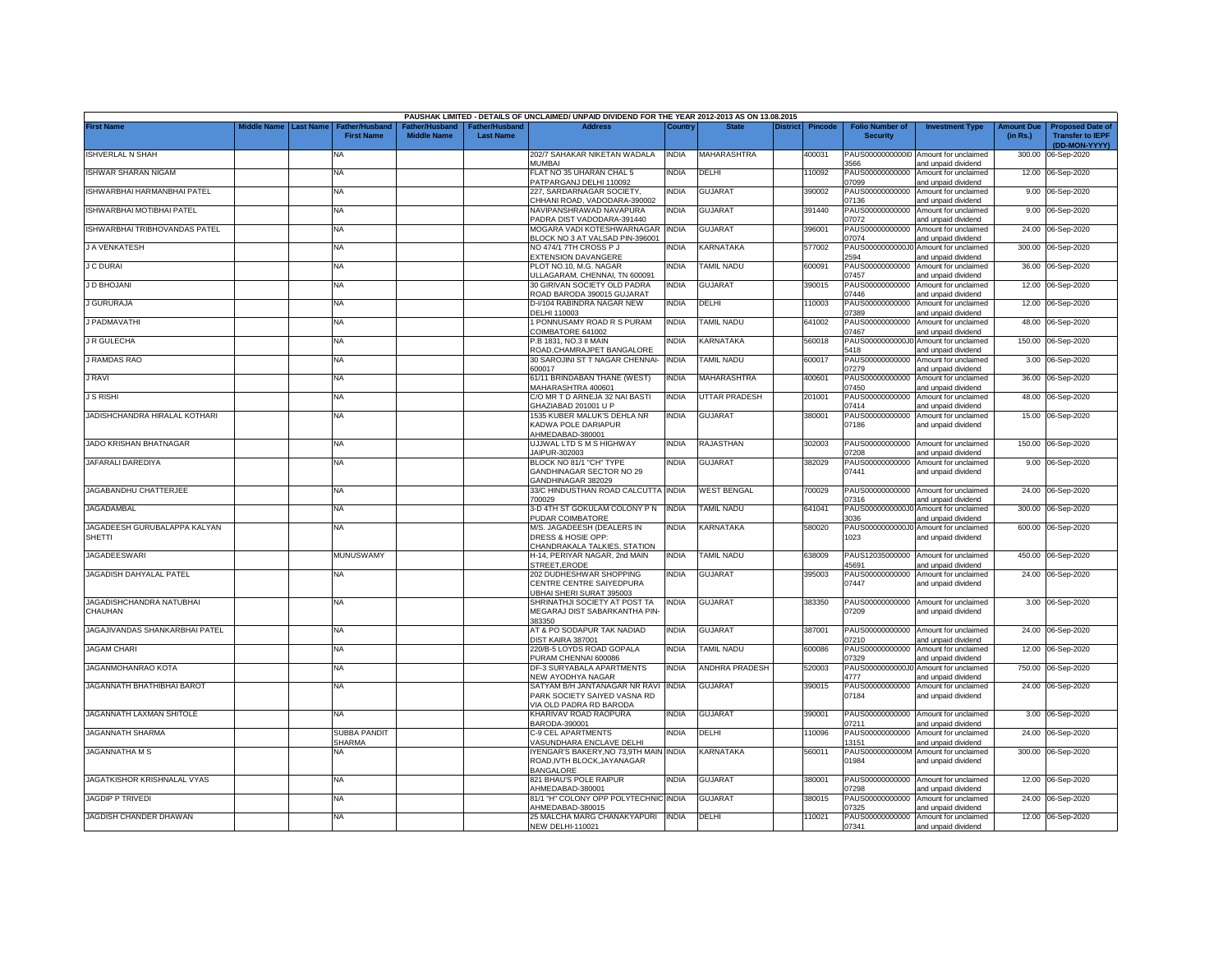|                                        |                       |                                            |                                      |                                   | PAUSHAK LIMITED - DETAILS OF UNCLAIMED/ UNPAID DIVIDEND FOR THE YEAR 2012-2013 AS ON 13.08.2015 |              |                          |                 |                |                                           |                                                             |                               |                                                                     |
|----------------------------------------|-----------------------|--------------------------------------------|--------------------------------------|-----------------------------------|-------------------------------------------------------------------------------------------------|--------------|--------------------------|-----------------|----------------|-------------------------------------------|-------------------------------------------------------------|-------------------------------|---------------------------------------------------------------------|
| <b>First Name</b>                      | Middle Name Last Name | <b>Father/Husband</b><br><b>First Name</b> | Father/Husband<br><b>Middle Name</b> | ather/Husband<br><b>Last Name</b> | <b>Address</b>                                                                                  | Country      | <b>State</b>             | <b>District</b> | <b>Pincode</b> | <b>Folio Number of</b><br><b>Security</b> | <b>Investment Type</b>                                      | <b>Amount Due</b><br>(in Rs.) | <b>Proposed Date of</b><br><b>Transfer to IEPF</b><br>(DD-MON-YYYY) |
| <b>ISHVERLAL N SHAH</b>                |                       | <b>NA</b>                                  |                                      |                                   | 202/7 SAHAKAR NIKETAN WADALA<br>MUMBAI                                                          | <b>INDIA</b> | MAHARASHTRA              |                 | 400031         | 3566                                      | PAUS00000000000 Amount for unclaimed<br>and unpaid dividend | 300.00                        | 06-Sep-2020                                                         |
| ISHWAR SHARAN NIGAM                    |                       | <b>NA</b>                                  |                                      |                                   | FLAT NO 35 UHARAN CHAL 5<br>PATPARGANJ DELHI 110092                                             | <b>INDIA</b> | DELHI                    |                 | 10092          | PAUS00000000000<br>07099                  | Amount for unclaimed<br>and unpaid dividend                 |                               | 12.00 06-Sep-2020                                                   |
| ISHWARBHAI HARMANBHAI PATEL            |                       | <b>NA</b>                                  |                                      |                                   | 227, SARDARNAGAR SOCIETY,<br>CHHANI ROAD, VADODARA-390002                                       | <b>INDIA</b> | <b>GUJARAT</b>           |                 | 390002         | 07136                                     | PAUS00000000000 Amount for unclaimed<br>and unpaid dividend |                               | 9.00 06-Sep-2020                                                    |
| ISHWARBHAI MOTIBHAI PATEL              |                       | <b>NA</b>                                  |                                      |                                   | NAVIPANSHRAWAD NAVAPURA<br>PADRA DIST VADODARA-391440                                           | <b>INDIA</b> | GUJARAT                  |                 | 391440         | 07072                                     | PAUS00000000000 Amount for unclaimed<br>and unpaid dividend |                               | 9.00 06-Sep-2020                                                    |
| ISHWARBHAI TRIBHOVANDAS PATEL          |                       | <b>NA</b>                                  |                                      |                                   | MOGARA VADI KOTESHWARNAGAR<br>BLOCK NO 3 AT VALSAD PIN-396001                                   | <b>INDIA</b> | <b>GUJARAT</b>           |                 | 396001         | PAUS00000000000<br>17074                  | Amount for unclaimed<br>and unpaid dividend                 |                               | 24.00 06-Sep-2020                                                   |
| J A VENKATESH                          |                       | NA                                         |                                      |                                   | NO 474/1 7TH CROSS P J<br><b>EXTENSION DAVANGERE</b>                                            | <b>NDIA</b>  | KARNATAKA                |                 | 577002         | PAUS0000000000J<br>2594                   | Amount for unclaimed<br>and unpaid dividend                 |                               | 300.00 06-Sep-2020                                                  |
| <b>J C DURAI</b>                       |                       | <b>NA</b>                                  |                                      |                                   | PLOT NO.10, M.G. NAGAR<br>JLLAGARAM, CHENNAI, TN 600091                                         | India        | TAMIL NADU               |                 | 600091         | PAUS00000000000<br>07457                  | Amount for unclaimed<br>and unpaid dividend                 |                               | 36.00 06-Sep-2020                                                   |
| J D BHOJANI                            |                       | <b>NA</b>                                  |                                      |                                   | 30 GIRIVAN SOCIETY OLD PADRA<br>ROAD BARODA 390015 GUJARAT                                      | INDIA        | <b>GUJARAT</b>           |                 | 390015         | PAUS00000000000<br>07446                  | Amount for unclaimed<br>and unpaid dividend                 |                               | 12.00 06-Sep-2020                                                   |
| <b>J GURURAJA</b>                      |                       | NA                                         |                                      |                                   | D-I/104 RABINDRA NAGAR NEW<br>DELHI 110003                                                      | <b>INDIA</b> | DELHI                    |                 | 110003         | PAUS00000000000<br>)7389                  | Amount for unclaimed<br>and unpaid dividend                 | 12.00                         | 06-Sep-2020                                                         |
| <b>J PADMAVATHI</b>                    |                       | <b>NA</b>                                  |                                      |                                   | 1 PONNUSAMY ROAD R S PURAM<br>COIMBATORE 641002                                                 | <b>INDIA</b> | TAMIL NADU               |                 | 641002         | PAUS00000000000<br>07467                  | Amount for unclaimed<br>and unpaid dividend                 | 48.00                         | 06-Sep-2020                                                         |
| <b>J R GULECHA</b>                     |                       | <b>NA</b>                                  |                                      |                                   | P.B 1831, NO.3 II MAIN<br>ROAD, CHAMRAJPET BANGALORE                                            | <b>INDIA</b> | KARNATAKA                |                 | 560018         | PAUS0000000000J<br>5418                   | Amount for unclaimed<br>and unpaid dividend                 | 150.00                        | 06-Sep-2020                                                         |
| <b>J RAMDAS RAO</b>                    |                       | <b>NA</b>                                  |                                      |                                   | 30 SAROJINI ST T NAGAR CHENNAI-<br>600017                                                       | <b>INDIA</b> | <b>TAMIL NADU</b>        |                 | 600017         | PAUS00000000000<br>07279                  | Amount for unclaimed<br>and unpaid dividend                 | 3.00                          | 06-Sep-2020                                                         |
| J RAVI                                 |                       | <b>NA</b>                                  |                                      |                                   | 61/11 BRINDABAN THANE (WEST)<br>MAHARASHTRA 400601                                              | <b>INDIA</b> | MAHARASHTRA              |                 | 400601         | PAUS00000000000<br>07450                  | Amount for unclaimed<br>and unpaid dividend                 | 36.00                         | 06-Sep-2020                                                         |
| <b>J S RISHI</b>                       |                       | <b>NA</b>                                  |                                      |                                   | C/O MR T D ARNEJA 32 NAI BASTI<br>GHAZIABAD 201001 U P                                          | <b>INDIA</b> | <b>UTTAR PRADESH</b>     |                 | 201001         | PAUS00000000000<br>07414                  | Amount for unclaimed<br>and unpaid dividend                 | 48.00                         | 06-Sep-2020                                                         |
| JADISHCHANDRA HIRALAL KOTHARI          |                       | NA                                         |                                      |                                   | 1535 KUBER MALUK'S DEHLA NR<br>KADWA POLE DARIAPUR<br>AHMEDABAD-380001                          | <b>INDIA</b> | GUJARAT                  |                 | 380001         | PAUS00000000000<br>07186                  | Amount for unclaimed<br>and unpaid dividend                 |                               | 15.00 06-Sep-2020                                                   |
| JADO KRISHAN BHATNAGAR                 |                       | NA                                         |                                      |                                   | UJJWAL LTD S M S HIGHWAY<br>JAIPUR-302003                                                       | <b>INDIA</b> | RAJASTHAN                |                 | 302003         | )7208                                     | PAUS00000000000 Amount for unclaimed<br>and unpaid dividend |                               | 150.00 06-Sep-2020                                                  |
| JAFARALI DAREDIYA                      |                       | <b>NA</b>                                  |                                      |                                   | BLOCK NO 81/1 "CH" TYPE<br>GANDHINAGAR SECTOR NO 29<br>GANDHINAGAR 382029                       | <b>INDIA</b> | <b>GUJARAT</b>           |                 | 382029         | 07441                                     | PAUS00000000000 Amount for unclaimed<br>and unpaid dividend |                               | 9.00 06-Sep-2020                                                    |
| JAGABANDHU CHATTERJEE                  |                       | <b>NA</b>                                  |                                      |                                   | 33/C HINDUSTHAN ROAD CALCUTTA INDIA<br>700029                                                   |              | <b>WEST BENGAL</b>       |                 | 700029         | 07316                                     | PAUS00000000000 Amount for unclaimed<br>and unpaid dividend |                               | 24.00 06-Sep-2020                                                   |
| <b>JAGADAMBAL</b>                      |                       | <b>NA</b>                                  |                                      |                                   | 3-D 4TH ST GOKULAM COLONY P N<br>PUDAR COIMBATORE                                               | <b>INDIA</b> | <b><i>FAMIL NADU</i></b> |                 | 641041         | PAUS0000000000J0<br>3036                  | Amount for unclaimed<br>and unpaid dividend                 |                               | 300.00 06-Sep-2020                                                  |
| JAGADEESH GURUBALAPPA KALYAN<br>SHETTI |                       | NA                                         |                                      |                                   | M/S. JAGADEESH (DEALERS IN<br>DRESS & HOSIE OPP:<br>CHANDRAKALA TALKIES, STATION                | India        | KARNATAKA                |                 | 580020         | PAUS0000000000J0<br>1023                  | Amount for unclaimed<br>and unpaid dividend                 |                               | 600.00 06-Sep-2020                                                  |
| JAGADEESWARI                           |                       | <b>MUNUSWAMY</b>                           |                                      |                                   | H-14, PERIYAR NAGAR, 2nd MAIN<br>STREET.ERODE                                                   | <b>INDIA</b> | <b>TAMIL NADU</b>        |                 | 638009         | 45691                                     | PAUS12035000000 Amount for unclaimed<br>and unpaid dividend |                               | 450.00 06-Sep-2020                                                  |
| JAGADISH DAHYALAL PATEL                |                       | NA                                         |                                      |                                   | 202 DUDHESHWAR SHOPPING<br>CENTRE CENTRE SAIYEDPURA<br>JBHAI SHERI SURAT 395003                 | <b>INDIA</b> | <b>GUJARAT</b>           |                 | 395003         | 07447                                     | PAUS00000000000 Amount for unclaimed<br>and unpaid dividend |                               | 24.00 06-Sep-2020                                                   |
| JAGADISHCHANDRA NATUBHAI<br>CHAUHAN    |                       | <b>NA</b>                                  |                                      |                                   | SHRINATHJI SOCIETY AT POST TA<br>MEGARAJ DIST SABARKANTHA PIN-<br>383350                        | <b>INDIA</b> | GUJARAT                  |                 | 383350         | 07209                                     | PAUS00000000000 Amount for unclaimed<br>and unpaid dividend |                               | 3.00 06-Sep-2020                                                    |
| JAGAJIVANDAS SHANKARBHAI PATEL         |                       | <b>NA</b>                                  |                                      |                                   | AT & PO SODAPUR TAK NADIAD<br><b>DIST KAIRA 387001</b>                                          | <b>INDIA</b> | <b>GUJARAT</b>           |                 | 387001         | )7210                                     | PAUS00000000000 Amount for unclaimed<br>and unpaid dividend |                               | 24.00 06-Sep-2020                                                   |
| <b>JAGAM CHARI</b>                     |                       | <b>NA</b>                                  |                                      |                                   | 220/B-5 LOYDS ROAD GOPALA<br>PURAM CHENNAI 600086                                               | <b>INDIA</b> | <b>TAMIL NADU</b>        |                 | 600086         | PAUS00000000000<br>07329                  | Amount for unclaimed<br>and unpaid dividend                 | 12.00                         | 06-Sep-2020                                                         |
| JAGANMOHANRAO KOTA                     |                       | <b>NA</b>                                  |                                      |                                   | DF-3 SURYABALA APARTMENTS<br>NEW AYODHYA NAGAR                                                  | <b>INDIA</b> | <b>ANDHRA PRADESH</b>    |                 | 520003         | PAUS0000000000J0<br>4777                  | Amount for unclaimed<br>and unpaid dividend                 | 750.00                        | 06-Sep-2020                                                         |
| <b>JAGANNATH BHATHIBHAI BAROT</b>      |                       | <b>NA</b>                                  |                                      |                                   | SATYAM B/H JANTANAGAR NR RAVI<br>PARK SOCIETY SAIYED VASNA RD<br>VIA OLD PADRA RD BARODA        | <b>INDIA</b> | <b>GUJARAT</b>           |                 | 390015         | PAUS00000000000<br>07184                  | Amount for unclaimed<br>and unpaid dividend                 |                               | 24.00 06-Sep-2020                                                   |
| JAGANNATH LAXMAN SHITOLE               |                       | <b>NA</b>                                  |                                      |                                   | KHARIVAV ROAD RAOPURA<br>BARODA-390001                                                          | <b>INDIA</b> | <b>GUJARAT</b>           |                 | 390001         | 07211                                     | PAUS00000000000 Amount for unclaimed<br>and unpaid dividend |                               | 3.00 06-Sep-2020                                                    |
| <b>JAGANNATH SHARMA</b>                |                       | <b>SUBBA PANDIT</b><br><b>SHARMA</b>       |                                      |                                   | C-9 CEL APARTMENTS<br>VASUNDHARA ENCLAVE DELHI                                                  | <b>INDIA</b> | DELHI                    |                 | 110096         | PAUS00000000000<br>13151                  | Amount for unclaimed<br>and unpaid dividend                 | 24.00                         | 06-Sep-2020                                                         |
| <b>JAGANNATHA M S</b>                  |                       | NA                                         |                                      |                                   | YENGAR'S BAKERY, NO 73, 9TH MAIN INDIA<br>ROAD, IVTH BLOCK, JAYANAGAR<br><b>BANGALORE</b>       |              | KARNATAKA                |                 | 560011         | PAUS0000000000M<br>01984                  | Amount for unclaimed<br>and unpaid dividend                 |                               | 300.00 06-Sep-2020                                                  |
| JAGATKISHOR KRISHNALAL VYAS            |                       | NA                                         |                                      |                                   | 821 BHAU'S POLE RAIPUR<br>AHMEDABAD-380001                                                      | <b>INDIA</b> | <b>GUJARAT</b>           |                 | 380001         | 7298                                      | PAUS00000000000 Amount for unclaimed<br>and unpaid dividend |                               | 12.00 06-Sep-2020                                                   |
| <b>JAGDIP P TRIVEDI</b>                |                       | NA                                         |                                      |                                   | 81/1 "H" COLONY OPP POLYTECHNIC INDIA<br>AHMEDABAD-380015                                       |              | <b>GUJARAT</b>           |                 | 380015         | PAUS00000000000<br>)7325                  | Amount for unclaimed<br>and unpaid dividend                 |                               | 24.00 06-Sep-2020                                                   |
| JAGDISH CHANDER DHAWAN                 |                       | NA                                         |                                      |                                   | 25 MALCHA MARG CHANAKYAPURI INDIA<br><b>NEW DELHI-110021</b>                                    |              | DELHI                    |                 | 110021         | 07341                                     | PAUS00000000000 Amount for unclaimed<br>and unpaid dividend |                               | 12.00 06-Sep-2020                                                   |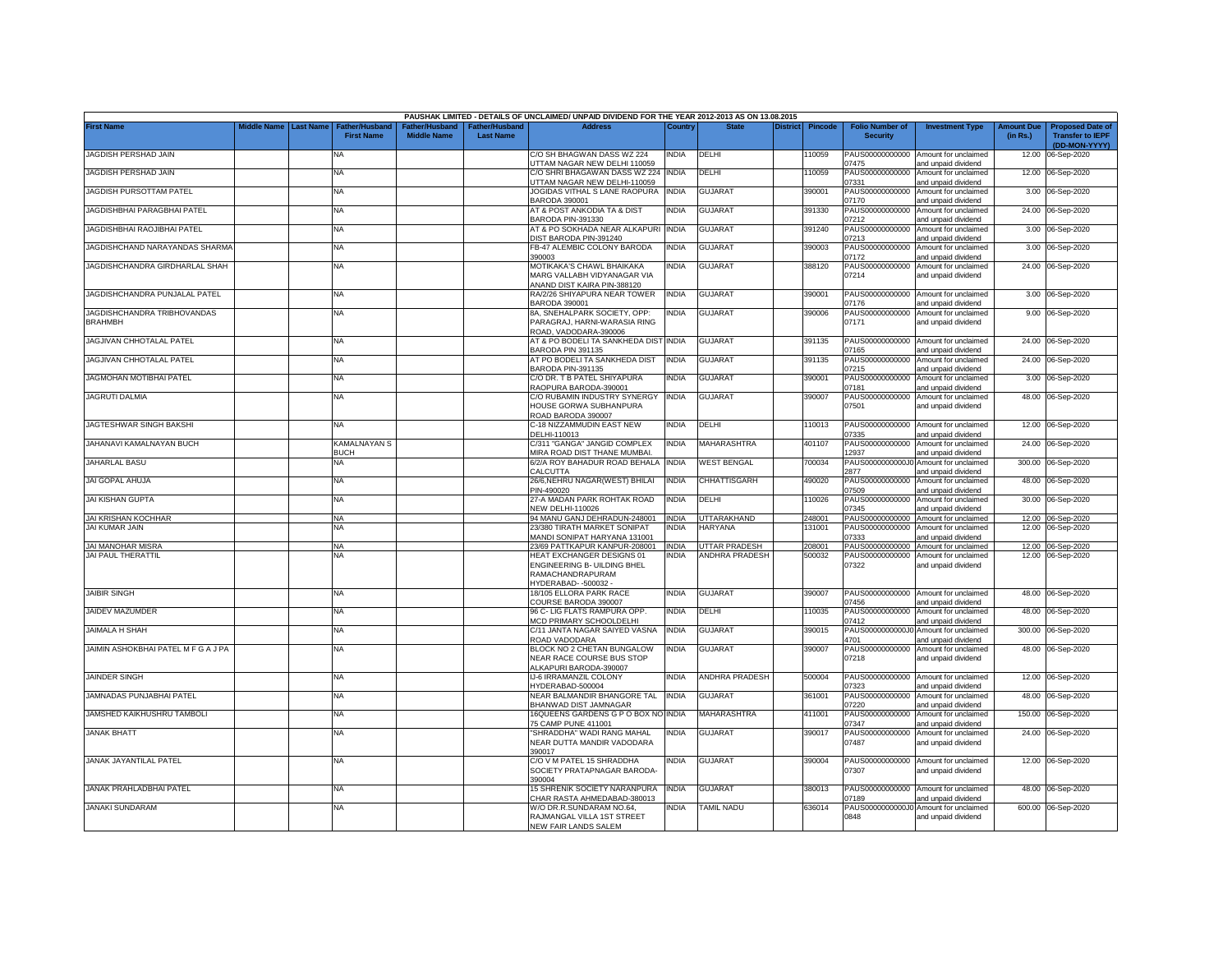|                                     |                         |                                            |                                     |                                   | PAUSHAK LIMITED - DETAILS OF UNCLAIMED/ UNPAID DIVIDEND FOR THE YEAR 2012-2013 AS ON 13.08.2015 |              |                       |                 |                |                                           |                                                                    |                               |                                                                     |
|-------------------------------------|-------------------------|--------------------------------------------|-------------------------------------|-----------------------------------|-------------------------------------------------------------------------------------------------|--------------|-----------------------|-----------------|----------------|-------------------------------------------|--------------------------------------------------------------------|-------------------------------|---------------------------------------------------------------------|
| <b>First Name</b>                   | Middle Name   Last Name | <b>Father/Husband</b><br><b>First Name</b> | ather/Husband<br><b>Middle Name</b> | ather/Husband<br><b>Last Name</b> | <b>Address</b>                                                                                  | Country      | <b>State</b>          | <b>District</b> | <b>Pincode</b> | <b>Folio Number of</b><br><b>Security</b> | <b>Investment Type</b>                                             | <b>Amount Due</b><br>(in Rs.) | <b>Proposed Date of</b><br><b>Transfer to IEPF</b><br>(DD-MON-YYYY) |
| JAGDISH PERSHAD JAIN                |                         | NA                                         |                                     |                                   | C/O SH BHAGWAN DASS WZ 224<br>UTTAM NAGAR NEW DELHI 110059                                      | NDIA         | DELHI                 |                 | 10059          | PAUS00000000000<br>07475                  | Amount for unclaimed<br>and unpaid dividend                        | 12.00                         | 06-Sep-2020                                                         |
| JAGDISH PERSHAD JAIN                |                         | <b>NA</b>                                  |                                     |                                   | C/O SHRI BHAGAWAN DASS WZ 224<br>JTTAM NAGAR NEW DELHI-110059                                   | <b>INDIA</b> | DELHI                 |                 | 10059          | PAUS00000000000<br>07331                  | Amount for unclaimed<br>and unpaid dividend                        |                               | 12.00 06-Sep-2020                                                   |
| JAGDISH PURSOTTAM PATEL             |                         | NA                                         |                                     |                                   | JOGIDAS VITHAL S LANE RAOPURA                                                                   | <b>INDIA</b> | <b>GUJARAT</b>        |                 | 390001         | PAUS00000000000                           | Amount for unclaimed                                               |                               | 3.00 06-Sep-2020                                                    |
| JAGDISHBHAI PARAGBHAI PATEL         |                         | NA                                         |                                     |                                   | BARODA 390001<br>AT & POST ANKODIA TA & DIST                                                    | INDIA        | <b>GUJARAT</b>        |                 | 391330         | 07170<br>PAUS00000000000                  | and unpaid dividend<br>Amount for unclaimed                        |                               | 24.00 06-Sep-2020                                                   |
| JAGDISHBHAI RAOJIBHAI PATEL         |                         | NA                                         |                                     |                                   | BARODA PIN-391330<br>AT & PO SOKHADA NEAR ALKAPURI                                              | <b>INDIA</b> | <b>GUJARAT</b>        |                 | 391240         | 07212<br>PAUS00000000000                  | and unpaid dividend<br>Amount for unclaimed                        |                               | 3.00 06-Sep-2020                                                    |
| JAGDISHCHAND NARAYANDAS SHARMA      |                         | NA                                         |                                     |                                   | DIST BARODA PIN-391240<br>FB-47 ALEMBIC COLONY BARODA                                           | NDIA         | GUJARAT               |                 | 390003         | 07213<br>PAUS00000000000                  | and unpaid dividend<br>Amount for unclaimed                        |                               | 3.00 06-Sep-2020                                                    |
| JAGDISHCHANDRA GIRDHARLAL SHAH      |                         | <b>NA</b>                                  |                                     |                                   | 390003<br>MOTIKAKA'S CHAWL BHAIKAKA<br>MARG VALLABH VIDYANAGAR VIA                              | NDIA         | <b>GUJARAT</b>        |                 | 388120         | 07172<br>PAUS00000000000<br>07214         | and unpaid dividend<br>Amount for unclaimed<br>and unpaid dividend |                               | 24.00 06-Sep-2020                                                   |
| JAGDISHCHANDRA PUNJALAL PATEL       |                         | NA                                         |                                     |                                   | ANAND DIST KAIRA PIN-388120<br>RA/2/26 SHIYAPURA NEAR TOWER                                     | <b>INDIA</b> | GUJARAT               |                 | 390001         |                                           | PAUS00000000000 Amount for unclaimed                               |                               | 3.00 06-Sep-2020                                                    |
| JAGDISHCHANDRA TRIBHOVANDAS         |                         | NA                                         |                                     |                                   | BARODA 390001<br>8A, SNEHALPARK SOCIETY, OPP:                                                   | NDIA         | <b>GUJARAT</b>        |                 | 390006         | 07176<br>PAUS00000000000                  | and unpaid dividend<br>Amount for unclaimed                        |                               | 9.00 06-Sep-2020                                                    |
| <b>BRAHMBH</b>                      |                         |                                            |                                     |                                   | PARAGRAJ, HARNI-WARASIA RING<br>ROAD, VADODARA-390006                                           |              |                       |                 |                | 07171                                     | and unpaid dividend                                                |                               |                                                                     |
| JAGJIVAN CHHOTALAL PATEL            |                         | <b>NA</b>                                  |                                     |                                   | AT & PO BODELI TA SANKHEDA DIST INDIA<br>BARODA PIN 391135                                      |              | <b>GUJARAT</b>        |                 | 391135         | PAUS00000000000<br>07165                  | Amount for unclaimed<br>and unpaid dividend                        |                               | 24.00 06-Sep-2020                                                   |
| JAGJIVAN CHHOTALAL PATEL            |                         | NA                                         |                                     |                                   | AT PO BODELI TA SANKHEDA DIST<br>BARODA PIN-391135                                              | INDIA        | <b>GUJARAT</b>        |                 | 391135         | PAUS00000000000<br>07215                  | Amount for unclaimed<br>and unpaid dividend                        | 24.00                         | 06-Sep-2020                                                         |
| JAGMOHAN MOTIBHAI PATEL             |                         | NA                                         |                                     |                                   | C/O DR. T B PATEL SHIYAPURA<br>RAOPURA BARODA-390001                                            | INDIA        | GUJARAT               |                 | 390001         | PAUS00000000000<br>07181                  | Amount for unclaimed<br>and unpaid dividend                        |                               | 3.00 06-Sep-2020                                                    |
| <b>JAGRUTI DALMIA</b>               |                         | NA                                         |                                     |                                   | C/O RUBAMIN INDUSTRY SYNERGY<br>HOUSE GORWA SUBHANPURA<br>ROAD BARODA 390007                    | <b>INDIA</b> | <b>GUJARAT</b>        |                 | 390007         | PAUS00000000000<br>07501                  | Amount for unclaimed<br>and unpaid dividend                        |                               | 48.00 06-Sep-2020                                                   |
| JAGTESHWAR SINGH BAKSHI             |                         | NA                                         |                                     |                                   | C-18 NIZZAMMUDIN EAST NEW<br>DELHI-110013                                                       | NDIA         | DELHI                 |                 | 10013          | PAUS00000000000<br>07335                  | Amount for unclaimed<br>and unpaid dividend                        |                               | 12.00 06-Sep-2020                                                   |
| JAHANAVI KAMALNAYAN BUCH            |                         | KAMALNAYAN S<br>BUCH                       |                                     |                                   | C/311 "GANGA" JANGID COMPLEX<br><b>MIRA ROAD DIST THANE MUMBAI</b>                              | INDIA        | MAHARASHTRA           |                 | 401107         | PAUS00000000000<br>12937                  | Amount for unclaimed<br>and unpaid dividend                        |                               | 24.00 06-Sep-2020                                                   |
| JAHARLAL BASU                       |                         | <b>NA</b>                                  |                                     |                                   | 6/2/A ROY BAHADUR ROAD BEHALA<br>CALCUTTA                                                       | <b>INDIA</b> | <b>WEST BENGAL</b>    |                 | 700034         | 2877                                      | PAUS0000000000J0 Amount for unclaimed<br>and unpaid dividend       | 300.00                        | 06-Sep-2020                                                         |
| <b>JAI GOPAL AHUJA</b>              |                         | NA                                         |                                     |                                   | 26/6, NEHRU NAGAR (WEST) BHILAI<br>PIN-490020                                                   | <b>INDIA</b> | CHHATTISGARH          |                 | 490020         | 07509                                     | PAUS00000000000 Amount for unclaimed<br>and unpaid dividend        |                               | 48.00 06-Sep-2020                                                   |
| <b>JAI KISHAN GUPTA</b>             |                         | <b>NA</b>                                  |                                     |                                   | 27-A MADAN PARK ROHTAK ROAD                                                                     | INDIA        | DELHI                 |                 | 10026          | PAUS00000000000<br>07345                  | Amount for unclaimed                                               |                               | 30.00 06-Sep-2020                                                   |
| <b>JAI KRISHAN KOCHHAR</b>          |                         | <b>NA</b>                                  |                                     |                                   | <b>NEW DELHI-110026</b><br>94 MANU GANJ DEHRADUN-248001                                         | <b>INDIA</b> | UTTARAKHAND           |                 | 248001         | PAUS00000000000                           | and unpaid dividend<br>Amount for unclaimed                        |                               | 12.00 06-Sep-2020                                                   |
| JAI KUMAR JAIN                      |                         | <b>NA</b>                                  |                                     |                                   | 23/380 TIRATH MARKET SONIPAT<br><b>MANDI SONIPAT HARYANA 131001</b>                             | NDIA         | <b>HARYANA</b>        |                 | 131001         | PAUS00000000000<br>07333                  | Amount for unclaimed<br>and unpaid dividend                        |                               | 12.00 06-Sep-2020                                                   |
| <b>JAI MANOHAR MISRA</b>            |                         | <b>NA</b>                                  |                                     |                                   | 23/69 PATTKAPUR KANPUR-208001                                                                   | <b>INDIA</b> | <b>UTTAR PRADESH</b>  |                 | 208001         |                                           | PAUS00000000000 Amount for unclaimed                               |                               | 12.00 06-Sep-2020                                                   |
| JAI PAUL THERATTIL                  |                         | NA                                         |                                     |                                   | HEAT EXCHANGER DESIGNS 01                                                                       | INDIA        | ANDHRA PRADESH        |                 | 500032         | PAUS00000000000                           | Amount for unclaimed                                               |                               | 12.00 06-Sep-2020                                                   |
|                                     |                         |                                            |                                     |                                   | ENGINEERING B- UILDING BHEL<br>RAMACHANDRAPURAM<br>HYDERABAD--500032-                           |              |                       |                 |                | 07322                                     | and unpaid dividend                                                |                               |                                                                     |
| <b>JAIBIR SINGH</b>                 |                         | NA                                         |                                     |                                   | 18/105 ELLORA PARK RACE<br>COURSE BARODA 390007                                                 | NDIA         | <b>GUJARAT</b>        |                 | 390007         | PAUS00000000000<br>07456                  | Amount for unclaimed<br>and unpaid dividend                        |                               | 48.00 06-Sep-2020                                                   |
| JAIDEV MAZUMDER                     |                         | NA                                         |                                     |                                   | 96 C- LIG FLATS RAMPURA OPP.<br><b>MCD PRIMARY SCHOOLDELHI</b>                                  | NDIA         | DELHI                 |                 | 10035          | PAUS00000000000<br>07412                  | Amount for unclaimed<br>and unpaid dividend                        |                               | 48.00 06-Sep-2020                                                   |
| <b>JAIMALA H SHAH</b>               |                         | NA                                         |                                     |                                   | C/11 JANTA NAGAR SAIYED VASNA<br>ROAD VADODARA                                                  | <b>INDIA</b> | <b>GUJARAT</b>        |                 | 390015         | 4701                                      | PAUS0000000000J0 Amount for unclaimed<br>and unpaid dividend       | 300.00                        | 06-Sep-2020                                                         |
| JAIMIN ASHOKBHAI PATEL M F G A J PA |                         | NA                                         |                                     |                                   | BLOCK NO 2 CHETAN BUNGALOW<br>NEAR RACE COURSE BUS STOP                                         | <b>INDIA</b> | <b>GUJARAT</b>        |                 | 390007         | PAUS00000000000<br>07218                  | Amount for unclaimed<br>and unpaid dividend                        |                               | 48.00 06-Sep-2020                                                   |
| <b>JAINDER SINGH</b>                |                         | <b>NA</b>                                  |                                     |                                   | ALKAPURI BARODA-390007<br><b>IJ-6 IRRAMANZIL COLONY</b>                                         | NDIA         | <b>ANDHRA PRADESH</b> |                 | 500004         | PAUS00000000000                           | Amount for unclaimed                                               |                               | 12.00 06-Sep-2020                                                   |
| JAMNADAS PUNJABHAI PATEL            |                         | <b>NA</b>                                  |                                     |                                   | HYDERABAD-500004<br>NEAR BALMANDIR BHANGORE TAL                                                 | <b>INDIA</b> | <b>GUJARAT</b>        |                 | 361001         | 07323<br>PAUS00000000000                  | and unpaid dividend<br>Amount for unclaimed                        | 48.00                         | 06-Sep-2020                                                         |
| JAMSHED KAIKHUSHRU TAMBOLI          |                         | NA                                         |                                     |                                   | BHANWAD DIST JAMNAGAR<br>16QUEENS GARDENS G P O BOX NO INDIA                                    |              | MAHARASHTRA           |                 | 411001         | 07220<br>PAUS00000000000                  | and unpaid dividend<br>Amount for unclaimed                        | 150.00                        | 06-Sep-2020                                                         |
| <b>JANAK BHATT</b>                  |                         | NA                                         |                                     |                                   | 75 CAMP PUNE 411001<br>"SHRADDHA" WADI RANG MAHAL                                               | NDIA         | <b>GUJARAT</b>        |                 | 390017         | 07347<br>PAUS00000000000                  | and unpaid dividend<br>Amount for unclaimed                        |                               | 24.00 06-Sep-2020                                                   |
|                                     |                         |                                            |                                     |                                   | NEAR DUTTA MANDIR VADODARA<br>390017                                                            |              |                       |                 |                | 07487                                     | and unpaid dividend                                                |                               |                                                                     |
| <b>JANAK JAYANTILAL PATEL</b>       |                         | <b>NA</b>                                  |                                     |                                   | C/O V M PATEL 15 SHRADDHA<br>SOCIETY PRATAPNAGAR BARODA-<br>390004                              | NDIA         | <b>GUJARAT</b>        |                 | 390004         | PAUS00000000000<br>07307                  | Amount for unclaimed<br>and unpaid dividend                        |                               | 12.00 06-Sep-2020                                                   |
| JANAK PRAHLADBHAI PATEL             |                         | NA                                         |                                     |                                   | 15 SHRENIK SOCIETY NARANPURA<br>CHAR RASTA AHMEDABAD-380013                                     | India        | <b>GUJARAT</b>        |                 | 380013         | PAUS00000000000<br>07189                  | Amount for unclaimed<br>and unpaid dividend                        |                               | 48.00 06-Sep-2020                                                   |
| <b>JANAKI SUNDARAM</b>              |                         | <b>NA</b>                                  |                                     |                                   | W/O DR.R.SUNDARAM NO.64,<br>RAJMANGAL VILLA 1ST STREET<br>NEW FAIR LANDS SALEM                  | NDIA         | <b>TAMIL NADU</b>     |                 | 636014         | 0848                                      | PAUS0000000000J0 Amount for unclaimed<br>and unpaid dividend       |                               | 600.00 06-Sep-2020                                                  |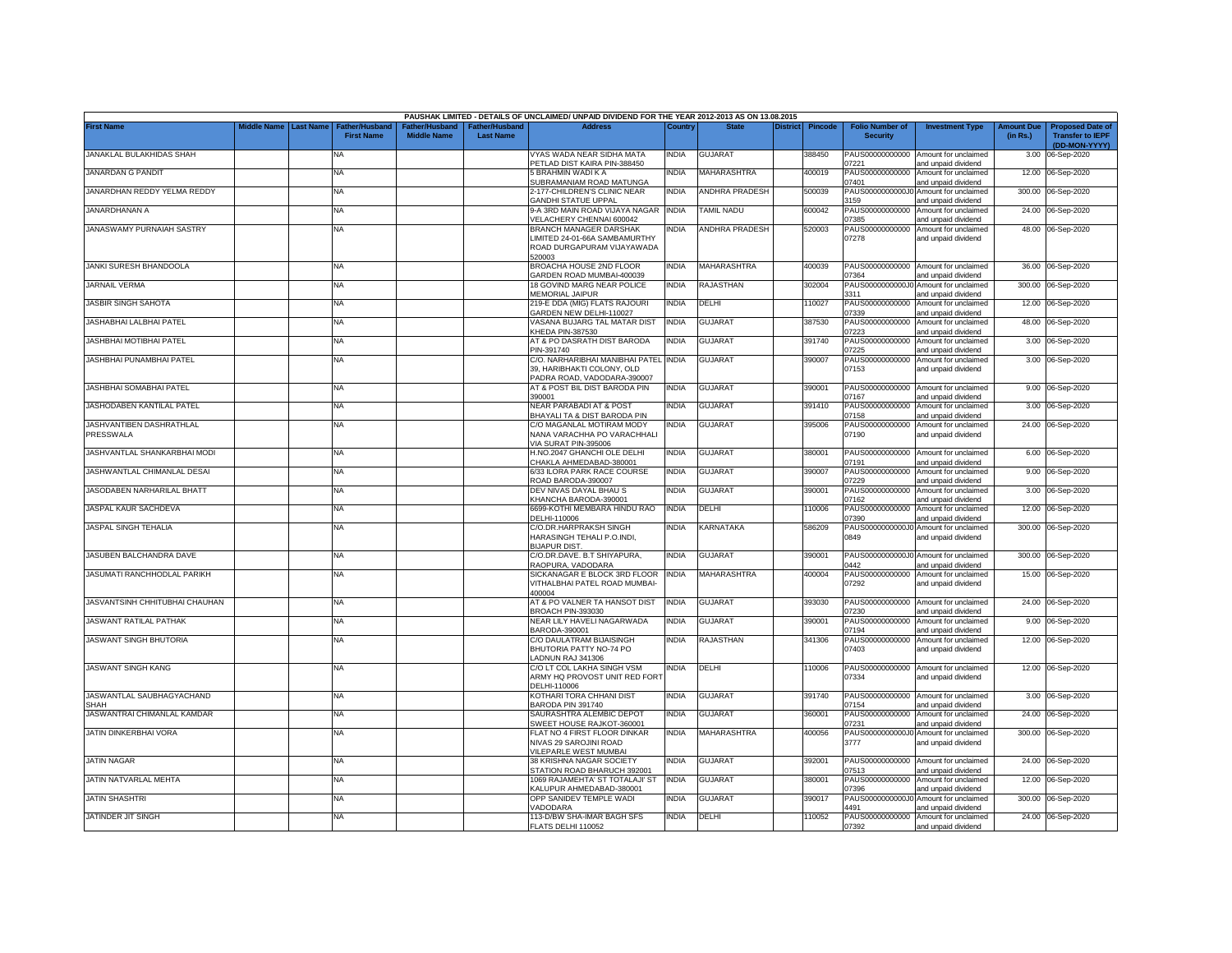|                                       |             |                  |                                     |                                      |                                    | PAUSHAK LIMITED - DETAILS OF UNCLAIMED/ UNPAID DIVIDEND FOR THE YEAR 2012-2013 AS ON 13.08.2015 |              |                       |                 |                |                                           |                                                                                    |                               |                                                                     |
|---------------------------------------|-------------|------------------|-------------------------------------|--------------------------------------|------------------------------------|-------------------------------------------------------------------------------------------------|--------------|-----------------------|-----------------|----------------|-------------------------------------------|------------------------------------------------------------------------------------|-------------------------------|---------------------------------------------------------------------|
| <b>First Name</b>                     | liddle Name | <b>Last Name</b> | Father/Husband<br><b>First Name</b> | Father/Husband<br><b>Middle Name</b> | Father/Husband<br><b>Last Name</b> | <b>Address</b>                                                                                  | Country      | <b>State</b>          | <b>District</b> | <b>Pincode</b> | <b>Folio Number of</b><br><b>Security</b> | <b>Investment Type</b>                                                             | <b>Amount Due</b><br>(in Rs.) | <b>Proposed Date of</b><br><b>Transfer to IEPF</b><br>(DD-MON-YYYY) |
| JANAKLAL BULAKHIDAS SHAH              |             |                  | NA                                  |                                      |                                    | VYAS WADA NEAR SIDHA MATA<br>PETLAD DIST KAIRA PIN-388450                                       | <b>INDIA</b> | <b>GUJARAT</b>        |                 | 388450         | 7221                                      | PAUS00000000000 Amount for unclaimed<br>and unpaid dividend                        |                               | 3.00 06-Sep-2020                                                    |
| <b>JANARDAN G PANDIT</b>              |             |                  | <b>NA</b>                           |                                      |                                    | 5 BRAHMIN WADI K A<br>SUBRAMANIAM ROAD MATUNGA                                                  | <b>INDIA</b> | MAHARASHTRA           |                 | 400019         | PAUS00000000000<br>07401                  | Amount for unclaimed<br>and unpaid dividend                                        |                               | 12.00 06-Sep-2020                                                   |
| JANARDHAN REDDY YELMA REDDY           |             |                  | <b>NA</b>                           |                                      |                                    | 2-177-CHILDREN'S CLINIC NEAR<br><b>GANDHI STATUE UPPAL</b>                                      | <b>INDIA</b> | <b>ANDHRA PRADESH</b> |                 | 500039         | PAUS0000000000J0<br>3159                  | Amount for unclaimed<br>and unpaid dividend                                        |                               | 300.00 06-Sep-2020                                                  |
| JANARDHANAN A                         |             |                  | <b>NA</b>                           |                                      |                                    | 9-A 3RD MAIN ROAD VIJAYA NAGAR<br>VELACHERY CHENNAI 600042                                      | <b>INDIA</b> | <b>TAMIL NADU</b>     |                 | 600042         | PAUS00000000000<br>07385                  | Amount for unclaimed<br>ind unpaid dividend                                        |                               | 24.00 06-Sep-2020                                                   |
| JANASWAMY PURNAIAH SASTRY             |             |                  | <b>NA</b>                           |                                      |                                    | BRANCH MANAGER DARSHAK<br>LIMITED 24-01-66A SAMBAMURTHY                                         | <b>INDIA</b> | <b>ANDHRA PRADESH</b> |                 | 520003         | 07278                                     | PAUS00000000000 Amount for unclaimed<br>and unpaid dividend                        |                               | 48.00 06-Sep-2020                                                   |
|                                       |             |                  |                                     |                                      |                                    | ROAD DURGAPURAM VIJAYAWADA<br>520003                                                            |              |                       |                 |                |                                           |                                                                                    |                               |                                                                     |
| JANKI SURESH BHANDOOLA                |             |                  | <b>NA</b>                           |                                      |                                    | BROACHA HOUSE 2ND FLOOR<br>GARDEN ROAD MUMBAI-400039                                            | India        | MAHARASHTRA           |                 | 400039         | PAUS00000000000<br>07364                  | Amount for unclaimed<br>and unpaid dividend                                        |                               | 36.00 06-Sep-2020                                                   |
| <b>JARNAIL VERMA</b>                  |             |                  | NA                                  |                                      |                                    | 18 GOVIND MARG NEAR POLICE<br>MEMORIAL JAIPUR                                                   | <b>INDIA</b> | <b>RAJASTHAN</b>      |                 | 302004         | PAUS0000000000J0<br>3311                  | Amount for unclaimed<br>and unpaid dividend                                        |                               | 300.00 06-Sep-2020                                                  |
| <b>JASBIR SINGH SAHOTA</b>            |             |                  | NA                                  |                                      |                                    | 219-E DDA (MIG) FLATS RAJOURI<br>GARDEN NEW DELHI-110027                                        | <b>INDIA</b> | DELHI                 |                 | 110027         | PAUS00000000000<br>07339                  | Amount for unclaimed<br>and unpaid dividend                                        |                               | 12.00 06-Sep-2020                                                   |
| JASHABHAI LALBHAI PATEL               |             |                  | <b>NA</b>                           |                                      |                                    | VASANA BUJARG TAL MATAR DIST<br>KHEDA PIN-387530                                                | <b>INDIA</b> | <b>GUJARAT</b>        |                 | 387530         | PAUS00000000000<br>)7223                  | Amount for unclaimed<br>and unpaid dividend                                        |                               | 48.00 06-Sep-2020                                                   |
| JASHBHAI MOTIBHAI PATEL               |             |                  | NA                                  |                                      |                                    | AT & PO DASRATH DIST BARODA<br>PIN-391740                                                       | <b>INDIA</b> | <b>GUJARAT</b>        |                 | 391740         | PAUS00000000000<br>)7225                  | Amount for unclaimed<br>and unpaid dividend                                        |                               | 3.00 06-Sep-2020                                                    |
| JASHBHAI PUNAMBHAI PATEL              |             |                  | <b>NA</b>                           |                                      |                                    | C/O. NARHARIBHAI MANIBHAI PATEL INDIA<br>39. HARIBHAKTI COLONY, OLD                             |              | GUJARAT               |                 | 390007         | PAUS00000000000<br>07153                  | Amount for unclaimed<br>and unpaid dividend                                        |                               | 3.00 06-Sep-2020                                                    |
| JASHBHAI SOMABHAI PATEL               |             |                  | <b>NA</b>                           |                                      |                                    | PADRA ROAD, VADODARA-390007<br>AT & POST BIL DIST BARODA PIN                                    | <b>INDIA</b> | <b>GUJARAT</b>        |                 | 390001         |                                           | PAUS00000000000 Amount for unclaimed                                               |                               | 9.00 06-Sep-2020                                                    |
|                                       |             |                  |                                     |                                      |                                    | 390001                                                                                          |              |                       |                 |                | 07167                                     | and unpaid dividend                                                                |                               |                                                                     |
| JASHODABEN KANTILAL PATEL             |             |                  | <b>NA</b>                           |                                      |                                    | <b>NEAR PARABADI AT &amp; POST</b><br>BHAYALI TA & DIST BARODA PIN                              | <b>INDIA</b> | <b>GUJARAT</b>        |                 | 391410         | PAUS00000000000<br>07158                  | Amount for unclaimed<br>and unpaid dividend                                        |                               | 3.00 06-Sep-2020                                                    |
| JASHVANTIBEN DASHRATHLAL<br>PRESSWALA |             |                  | NA                                  |                                      |                                    | C/O MAGANLAL MOTIRAM MODY<br>NANA VARACHHA PO VARACHHALI<br>VIA SURAT PIN-395006                | <b>INDIA</b> | <b>GUJARAT</b>        |                 | 395006         | PAUS00000000000<br>07190                  | Amount for unclaimed<br>and unpaid dividend                                        |                               | 24.00 06-Sep-2020                                                   |
| JASHVANTLAL SHANKARBHAI MODI          |             |                  | NA                                  |                                      |                                    | H.NO.2047 GHANCHI OLE DELHI<br>CHAKLA AHMEDABAD-380001                                          | <b>INDIA</b> | <b>GUJARAT</b>        |                 | 380001         | 07191                                     | PAUS00000000000 Amount for unclaimed<br>and unpaid dividend                        |                               | 6.00 06-Sep-2020                                                    |
| JASHWANTLAL CHIMANLAL DESAI           |             |                  | <b>NA</b>                           |                                      |                                    | 6/33 ILORA PARK RACE COURSE<br>ROAD BARODA-390007                                               | <b>INDIA</b> | <b>GUJARAT</b>        |                 | 390007         | )7229                                     | PAUS00000000000 Amount for unclaimed<br>and unpaid dividend                        |                               | 9.00 06-Sep-2020                                                    |
| JASODABEN NARHARILAL BHATT            |             |                  | <b>NA</b>                           |                                      |                                    | DEV NIVAS DAYAL BHAU S<br>KHANCHA BARODA-390001                                                 | <b>INDIA</b> | GUJARAT               |                 | 390001         | 07162                                     | PAUS00000000000 Amount for unclaimed<br>and unpaid dividend                        |                               | 3.00 06-Sep-2020                                                    |
| JASPAL KAUR SACHDEVA                  |             |                  | NA                                  |                                      |                                    | 6699-KOTHI MEMBARA HINDU RAO<br>DELHI-110006                                                    | <b>INDIA</b> | DELHI                 |                 | 110006         | 07390                                     | PAUS00000000000 Amount for unclaimed<br>and unpaid dividend                        |                               | 12.00 06-Sep-2020                                                   |
| JASPAL SINGH TEHALIA                  |             |                  | <b>NA</b>                           |                                      |                                    | C/O.DR.HARPRAKSH SINGH<br>HARASINGH TEHALI P.O.INDI.<br><b>BIJAPUR DIST</b>                     | <b>INDIA</b> | KARNATAKA             |                 | 586209         | PAUS0000000000J0<br>0849                  | Amount for unclaimed<br>and unpaid dividend                                        |                               | 300.00 06-Sep-2020                                                  |
| JASUBEN BALCHANDRA DAVE               |             |                  | <b>NA</b>                           |                                      |                                    | C/O.DR.DAVE. B.T SHIYAPURA,                                                                     | <b>INDIA</b> | <b>GUJARAT</b>        |                 | 390001         |                                           | PAUS0000000000J0 Amount for unclaimed                                              |                               | 300.00 06-Sep-2020                                                  |
| JASUMATI RANCHHODLAL PARIKH           |             |                  | <b>NA</b>                           |                                      |                                    | RAOPURA, VADODARA<br>SICKANAGAR E BLOCK 3RD FLOOR<br>VITHALBHAI PATEL ROAD MUMBAI-              | <b>INDIA</b> | MAHARASHTRA           |                 | 400004         | )442<br>07292                             | and unpaid dividend<br>PAUS00000000000 Amount for unclaimed<br>and unpaid dividend |                               | 15.00 06-Sep-2020                                                   |
|                                       |             |                  |                                     |                                      |                                    | 400004                                                                                          | <b>INDIA</b> |                       |                 |                |                                           |                                                                                    |                               |                                                                     |
| JASVANTSINH CHHITUBHAI CHAUHAN        |             |                  | <b>NA</b>                           |                                      |                                    | AT & PO VALNER TA HANSOT DIST<br><b>BROACH PIN-393030</b>                                       |              | <b>GUJARAT</b>        |                 | 393030         | 7230                                      | PAUS00000000000 Amount for unclaimed<br>and unpaid dividend                        |                               | 24.00 06-Sep-2020                                                   |
| JASWANT RATILAL PATHAK                |             |                  | <b>NA</b>                           |                                      |                                    | <b>NEAR LILY HAVELI NAGARWADA</b><br>BARODA-390001                                              | <b>INDIA</b> | GUJARAT               |                 | 390001         | PAUS00000000000<br>07194                  | Amount for unclaimed<br>ind unpaid dividend                                        |                               | 9.00 06-Sep-2020                                                    |
| <b>JASWANT SINGH BHUTORIA</b>         |             |                  | NA                                  |                                      |                                    | C/O DAULATRAM BIJAISINGH<br>BHUTORIA PATTY NO-74 PO<br>ADNUN RAJ 341306                         | <b>INDIA</b> | <b>RAJASTHAN</b>      |                 | 341306         | PAUS00000000000<br>07403                  | Amount for unclaimed<br>and unpaid dividend                                        |                               | 12.00 06-Sep-2020                                                   |
| JASWANT SINGH KANG                    |             |                  | <b>NA</b>                           |                                      |                                    | C/O LT COL LAKHA SINGH VSM<br>ARMY HQ PROVOST UNIT RED FORT                                     | <b>INDIA</b> | DELHI                 |                 | 110006         | 07334                                     | PAUS00000000000 Amount for unclaimed<br>and unpaid dividend                        |                               | 12.00 06-Sep-2020                                                   |
| JASWANTLAL SAUBHAGYACHAND<br>SHAH     |             |                  | <b>NA</b>                           |                                      |                                    | DELHI-110006<br>KOTHARI TORA CHHANI DIST<br>BARODA PIN 391740                                   | <b>INDIA</b> | <b>GUJARAT</b>        |                 | 391740         | 07154                                     | PAUS00000000000 Amount for unclaimed                                               |                               | 3.00 06-Sep-2020                                                    |
| JASWANTRAI CHIMANLAL KAMDAR           |             |                  | <b>NA</b>                           |                                      |                                    | SAURASHTRA ALEMBIC DEPOT                                                                        | <b>INDIA</b> | GUJARAT               |                 | 360001         | PAUS00000000000                           | and unpaid dividend<br>Amount for unclaimed                                        | 24.00                         | 06-Sep-2020                                                         |
| JATIN DINKERBHAI VORA                 |             |                  | <b>NA</b>                           |                                      |                                    | SWEET HOUSE RAJKOT-360001<br>FLAT NO 4 FIRST FLOOR DINKAR<br>NIVAS 29 SAROJINI ROAD             | <b>INDIA</b> | <b>MAHARASHTRA</b>    |                 | 400056         | )7231<br>PAUS0000000000J0<br>3777         | and unpaid dividend<br>Amount for unclaimed<br>and unpaid dividend                 | 300.00                        | 06-Sep-2020                                                         |
| <b>JATIN NAGAR</b>                    |             |                  | <b>NA</b>                           |                                      |                                    | VILEPARLE WEST MUMBAI<br>38 KRISHNA NAGAR SOCIETY                                               | <b>INDIA</b> | <b>GUJARAT</b>        |                 | 392001         |                                           | PAUS00000000000 Amount for unclaimed                                               |                               | 24.00 06-Sep-2020                                                   |
| JATIN NATVARLAL MEHTA                 |             |                  | <b>NA</b>                           |                                      |                                    | STATION ROAD BHARUCH 392001<br>1069 RAJAMEHTA' ST TOTALAJI' ST                                  | <b>INDIA</b> | <b>GUJARAT</b>        |                 | 380001         | 07513<br>PAUS00000000000                  | and unpaid dividend<br>Amount for unclaimed                                        |                               | 12.00 06-Sep-2020                                                   |
|                                       |             |                  |                                     |                                      |                                    | <b>KALUPUR AHMEDABAD-380001</b>                                                                 |              |                       |                 |                | 07396                                     | bnebivib bironu bne                                                                |                               |                                                                     |
| <b>JATIN SHASHTRI</b>                 |             |                  | <b>NA</b>                           |                                      |                                    | OPP SANIDEV TEMPLE WADI<br>VADODARA                                                             | <b>INDIA</b> | GUJARAT               |                 | 390017         | PAUS0000000000J0<br>1491                  | Amount for unclaimed<br>and unpaid dividend                                        | 300.00                        | 06-Sep-2020                                                         |
| JATINDER JIT SINGH                    |             |                  | NA                                  |                                      |                                    | 113-D/BW SHA-IMAR BAGH SFS<br>FLATS DELHI 110052                                                | <b>INDIA</b> | DELHI                 |                 | 110052         | 07392                                     | PAUS00000000000 Amount for unclaimed<br>and unpaid dividend                        |                               | 24.00 06-Sep-2020                                                   |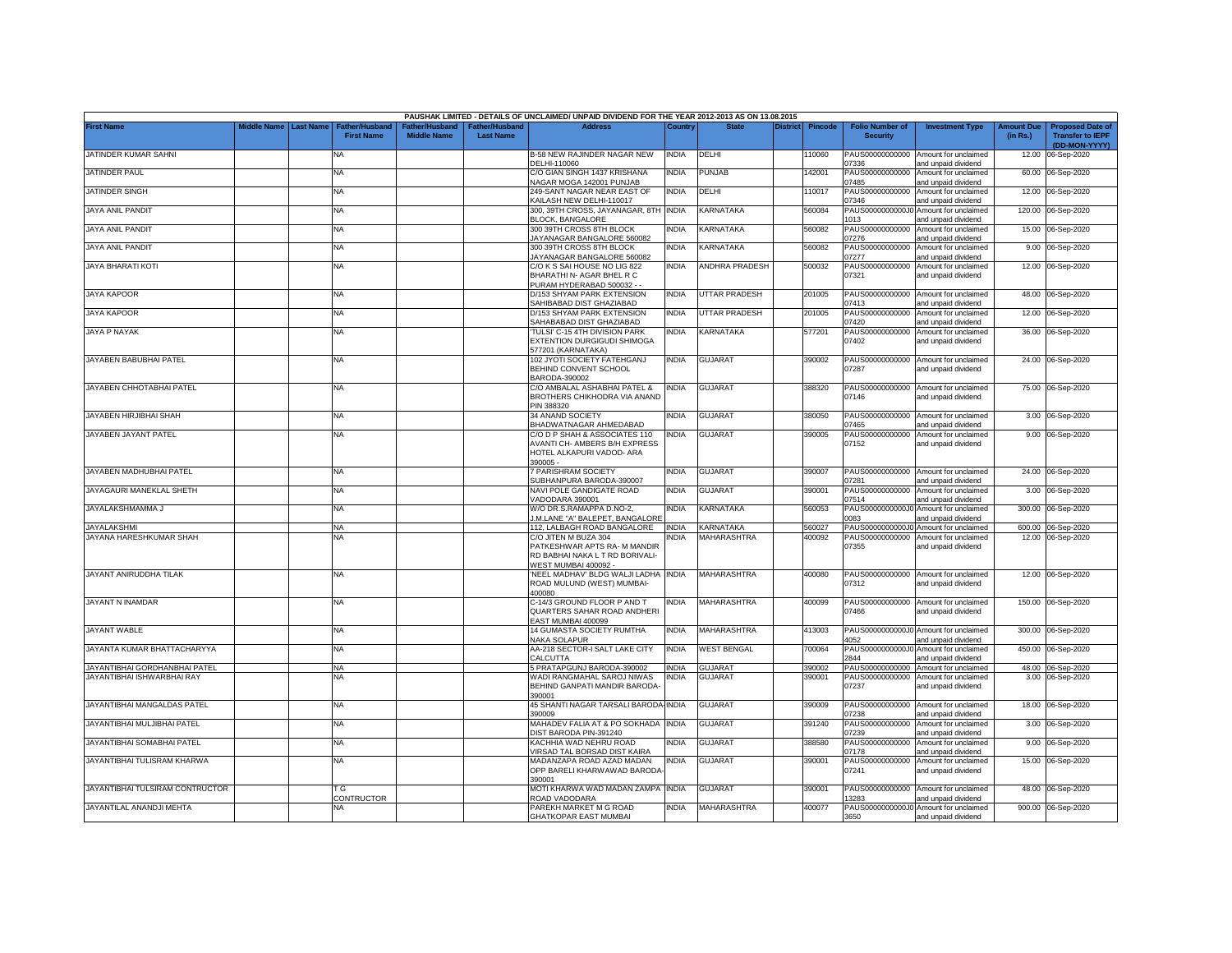|                                 |                    |                  |                                     |                                      |                                           | PAUSHAK LIMITED - DETAILS OF UNCLAIMED/ UNPAID DIVIDEND FOR THE YEAR 2012-2013 AS ON 13.08.2015               |              |                         |                 |         |                                           |                                                              |                               |                                                                     |
|---------------------------------|--------------------|------------------|-------------------------------------|--------------------------------------|-------------------------------------------|---------------------------------------------------------------------------------------------------------------|--------------|-------------------------|-----------------|---------|-------------------------------------------|--------------------------------------------------------------|-------------------------------|---------------------------------------------------------------------|
| <b>First Name</b>               | <b>Middle Name</b> | <b>Last Name</b> | Father/Husband<br><b>First Name</b> | Father/Husband<br><b>Middle Name</b> | <b>Father/Husband</b><br><b>Last Name</b> | <b>Address</b>                                                                                                | Country      | <b>State</b>            | <b>District</b> | Pincode | <b>Folio Number of</b><br><b>Security</b> | <b>Investment Type</b>                                       | <b>Amount Due</b><br>(in Rs.) | <b>Proposed Date of</b><br><b>Transfer to IEPF</b><br>(DD-MON-YYYY) |
| JATINDER KUMAR SAHNI            |                    |                  | <b>NA</b>                           |                                      |                                           | <b>B-58 NEW RAJINDER NAGAR NEW</b><br>DELHI-110060                                                            | <b>INDIA</b> | DELHI                   |                 | 10060   | 7336                                      | PAUS00000000000 Amount for unclaimed<br>and unpaid dividend  |                               | 12.00 06-Sep-2020                                                   |
| JATINDER PAUL                   |                    |                  | <b>NA</b>                           |                                      |                                           | C/O GIAN SINGH 1437 KRISHANA<br>NAGAR MOGA 142001 PUNJAB                                                      | <b>INDIA</b> | <b>PUNJAB</b>           |                 | 142001  | PAUS00000000000<br>07485                  | Amount for unclaimed<br>and unpaid dividend                  |                               | 60.00 06-Sep-2020                                                   |
| JATINDER SINGH                  |                    |                  | <b>NA</b>                           |                                      |                                           | 249-SANT NAGAR NEAR EAST OF<br>KAILASH NEW DELHI-110017                                                       | <b>INDIA</b> | DELHI                   |                 | 110017  | PAUS00000000000<br>07346                  | Amount for unclaimed<br>and unpaid dividend                  |                               | 12.00 06-Sep-2020                                                   |
| <b>JAYA ANIL PANDIT</b>         |                    |                  | <b>NA</b>                           |                                      |                                           | 300, 39TH CROSS, JAYANAGAR, 8TH INDIA<br><b>BLOCK, BANGALORE</b>                                              |              | KARNATAKA               |                 | 560084  | PAUS0000000000J0<br>013                   | Amount for unclaimed<br>and unpaid dividend                  |                               | 120.00 06-Sep-2020                                                  |
| <b>JAYA ANIL PANDIT</b>         |                    |                  | <b>NA</b>                           |                                      |                                           | 300 39TH CROSS 8TH BLOCK<br>JAYANAGAR BANGALORE 560082                                                        | <b>INDIA</b> | <b>KARNATAKA</b>        |                 | 560082  | PAUS00000000000<br>)7276                  | Amount for unclaimed<br>and unpaid dividend                  |                               | 15.00 06-Sep-2020                                                   |
| <b>JAYA ANIL PANDIT</b>         |                    |                  | <b>NA</b>                           |                                      |                                           | 300 39TH CROSS 8TH BLOCK<br>JAYANAGAR BANGALORE 560082                                                        | NDIA         | <b><i>KARNATAKA</i></b> |                 | 560082  | PAUS00000000000<br>)7277                  | Amount for unclaimed<br>and unpaid dividend                  |                               | 9.00 06-Sep-2020                                                    |
| <b>JAYA BHARATI KOTI</b>        |                    |                  | <b>NA</b>                           |                                      |                                           | C/O K S SAI HOUSE NO LIG 822<br>BHARATHI N- AGAR BHEL R C<br>PURAM HYDERABAD 500032 - -                       | INDIA        | <b>ANDHRA PRADESH</b>   |                 | 500032  | PAUS00000000000<br>07321                  | Amount for unclaimed<br>and unpaid dividend                  |                               | 12.00 06-Sep-2020                                                   |
| <b>JAYA KAPOOR</b>              |                    |                  | <b>NA</b>                           |                                      |                                           | D/153 SHYAM PARK EXTENSION<br>SAHIBABAD DIST GHAZIABAD                                                        | <b>INDIA</b> | UTTAR PRADESH           |                 | 201005  | )7413                                     | PAUS00000000000 Amount for unclaimed<br>and unpaid dividend  |                               | 48.00 06-Sep-2020                                                   |
| <b>JAYA KAPOOR</b>              |                    |                  | <b>NA</b>                           |                                      |                                           | D/153 SHYAM PARK EXTENSION<br>SAHABABAD DIST GHAZIABAD                                                        | <b>INDIA</b> | <b>UTTAR PRADESH</b>    |                 | 201005  | PAUS00000000000<br>07420                  | Amount for unclaimed<br>and unpaid dividend                  |                               | 12.00 06-Sep-2020                                                   |
| JAYA P NAYAK                    |                    |                  | NA.                                 |                                      |                                           | TULSI' C-15 4TH DIVISION PARK<br>EXTENTION DURGIGUDI SHIMOGA<br>77201 (KARNATAKA)                             | <b>INDIA</b> | KARNATAKA               |                 | 577201  | PAUS00000000000<br>07402                  | Amount for unclaimed<br>and unpaid dividend                  |                               | 36.00 06-Sep-2020                                                   |
| JAYABEN BABUBHAI PATEL          |                    |                  | NA                                  |                                      |                                           | 102 JYOTI SOCIETY FATEHGANJ<br>BEHIND CONVENT SCHOOL<br>BARODA-390002                                         | <b>INDIA</b> | <b>GUJARAT</b>          |                 | 390002  | PAUS00000000000<br>07287                  | Amount for unclaimed<br>and unpaid dividend                  |                               | 24.00 06-Sep-2020                                                   |
| JAYABEN CHHOTABHAI PATEL        |                    |                  | <b>NA</b>                           |                                      |                                           | C/O AMBALAL ASHABHAI PATEL &<br>BROTHERS CHIKHODRA VIA ANAND<br>PIN 388320                                    | INDIA        | <b>GUJARAT</b>          |                 | 388320  | 07146                                     | PAUS00000000000 Amount for unclaimed<br>and unpaid dividend  |                               | 75.00 06-Sep-2020                                                   |
| JAYABEN HIRJIBHAI SHAH          |                    |                  | <b>NA</b>                           |                                      |                                           | 34 ANAND SOCIETY<br><b>BHADWATNAGAR AHMEDABAD</b>                                                             | <b>INDIA</b> | <b>GUJARAT</b>          |                 | 380050  | 7465                                      | PAUS00000000000 Amount for unclaimed<br>and unpaid dividend  |                               | 3.00 06-Sep-2020                                                    |
| JAYABEN JAYANT PATEL            |                    |                  | NA                                  |                                      |                                           | C/O D P SHAH & ASSOCIATES 110<br>AVANTI CH- AMBERS B/H EXPRESS<br>HOTEL ALKAPURI VADOD- ARA<br>390005 -       | INDIA        | <b>GUJARAT</b>          |                 | 390005  | PAUS00000000000<br>07152                  | Amount for unclaimed<br>and unpaid dividend                  |                               | 9.00 06-Sep-2020                                                    |
| JAYABEN MADHUBHAI PATEL         |                    |                  | <b>NA</b>                           |                                      |                                           | 7 PARISHRAM SOCIETY<br>SUBHANPURA BARODA-390007                                                               | <b>INDIA</b> | <b>GUJARAT</b>          |                 | 390007  | 07281                                     | PAUS00000000000 Amount for unclaimed<br>and unpaid dividend  |                               | 24.00 06-Sep-2020                                                   |
| JAYAGAURI MANEKLAL SHETH        |                    |                  | <b>NA</b>                           |                                      |                                           | NAVI POLE GANDIGATE ROAD<br>VADODARA 390001                                                                   | <b>INDIA</b> | <b>GUJARAT</b>          |                 | 390001  | PAUS00000000000<br>07514                  | Amount for unclaimed<br>and unpaid dividend                  |                               | 3.00 06-Sep-2020                                                    |
| JAYALAKSHMAMMA J                |                    |                  | <b>NA</b>                           |                                      |                                           | W/O DR.S.RAMAPPA D.NO-2,<br>I.M.LANE "A" BALEPET, BANGALORE                                                   | <b>INDIA</b> | <b>KARNATAKA</b>        |                 | 560053  | PAUS0000000000J<br>0083                   | Amount for unclaimed<br>and unpaid dividend                  | 300.00                        | 06-Sep-2020                                                         |
| <b>JAYALAKSHMI</b>              |                    |                  | <b>NA</b>                           |                                      |                                           | 112. LALBAGH ROAD BANGALORE                                                                                   | <b>INDIA</b> | KARNATAKA               |                 | 560027  | PAUS0000000000J0                          | Amount for unclaimed                                         | 600.00                        | 06-Sep-2020                                                         |
| JAYANA HARESHKUMAR SHAH         |                    |                  | <b>NA</b>                           |                                      |                                           | C/O JITEN M BUZA 304<br>PATKESHWAR APTS RA- M MANDIR<br>RD BABHAI NAKA L T RD BORIVALI-<br>WEST MUMBAI 400092 | NDIA         | MAHARASHTRA             |                 | 400092  | PAUS00000000000<br>07355                  | Amount for unclaimed<br>and unpaid dividend                  |                               | 12.00 06-Sep-2020                                                   |
| JAYANT ANIRUDDHA TILAK          |                    |                  | NA                                  |                                      |                                           | NEEL MADHAV' BLDG WALJI LADHA INDIA<br>ROAD MULUND (WEST) MUMBAI-<br>400080                                   |              | <b>MAHARASHTRA</b>      |                 | 400080  | 07312                                     | PAUS00000000000 Amount for unclaimed<br>and unpaid dividend  |                               | 12.00 06-Sep-2020                                                   |
| JAYANT N INAMDAR                |                    |                  | <b>NA</b>                           |                                      |                                           | C-14/3 GROUND FLOOR P AND T<br>QUARTERS SAHAR ROAD ANDHERI<br>EAST MUMBAI 400099                              | <b>INDIA</b> | <b>MAHARASHTRA</b>      |                 | 400099  | 07466                                     | PAUS00000000000 Amount for unclaimed<br>and unpaid dividend  |                               | 150.00 06-Sep-2020                                                  |
| JAYANT WABLE                    |                    |                  | <b>NA</b>                           |                                      |                                           | 14 GUMASTA SOCIETY RUMTHA<br><b>NAKA SOLAPUR</b>                                                              | <b>INDIA</b> | MAHARASHTRA             |                 | 413003  | 4052                                      | PAUS0000000000J0 Amount for unclaimed<br>and unpaid dividend |                               | 300.00 06-Sep-2020                                                  |
| JAYANTA KUMAR BHATTACHARYYA     |                    |                  | ΝA                                  |                                      |                                           | AA-218 SECTOR-I SALT LAKE CITY<br>CALCUTTA                                                                    | India        | <b>WEST BENGAL</b>      |                 | 700064  | PAUS0000000000J0<br>2844                  | Amount for unclaimed<br>and unpaid dividend                  |                               | 450.00 06-Sep-2020                                                  |
| JAYANTIBHAI GORDHANBHAI PATEL   |                    |                  | <b>NA</b>                           |                                      |                                           | 5 PRATAPGUNJ BARODA-390002                                                                                    | <b>INDIA</b> | <b>GUJARAT</b>          |                 | 390002  | PAUS00000000000                           | Amount for unclaimed                                         |                               | 48.00 06-Sep-2020                                                   |
| JAYANTIBHAI ISHWARBHAI RAY      |                    |                  | NA                                  |                                      |                                           | WADI RANGMAHAL SAROJ NIWAS<br>BEHIND GANPATI MANDIR BARODA<br>390001                                          | India        | GUJARAT                 |                 | 390001  | PAUS00000000000<br>07237                  | Amount for unclaimed<br>and unpaid dividend                  |                               | 3.00 06-Sep-2020                                                    |
| JAYANTIBHAI MANGALDAS PATEL     |                    |                  | <b>NA</b>                           |                                      |                                           | 45 SHANTI NAGAR TARSALI BARODA-INDIA<br>390009                                                                |              | <b>GUJARAT</b>          |                 | 390009  | 07238                                     | PAUS00000000000 Amount for unclaimed<br>and unpaid dividend  |                               | 18.00 06-Sep-2020                                                   |
| JAYANTIBHAI MULJIBHAI PATEL     |                    |                  | <b>NA</b>                           |                                      |                                           | MAHADEV FALIA AT & PO SOKHADA INDIA<br>DIST BARODA PIN-391240                                                 |              | <b>GUJARAT</b>          |                 | 391240  | PAUS00000000000<br>07239                  | Amount for unclaimed<br>and unpaid dividend                  |                               | 3.00 06-Sep-2020                                                    |
| JAYANTIBHAI SOMABHAI PATEL      |                    |                  | <b>NA</b>                           |                                      |                                           | KACHHIA WAD NEHRU ROAD<br>VIRSAD TAL BORSAD DIST KAIRA                                                        | <b>INDIA</b> | GUJARAT                 |                 | 388580  | PAUS00000000000<br>07178                  | Amount for unclaimed<br>and unpaid dividend                  |                               | 9.00 06-Sep-2020                                                    |
| JAYANTIBHAI TULISRAM KHARWA     |                    |                  | <b>NA</b>                           |                                      |                                           | MADANZAPA ROAD AZAD MADAN<br>OPP BARELI KHARWAWAD BARODA<br>390001                                            | <b>INDIA</b> | <b>GUJARAT</b>          |                 | 390001  | 07241                                     | PAUS00000000000 Amount for unclaimed<br>and unpaid dividend  |                               | 15.00 06-Sep-2020                                                   |
| JAYANTIBHAI TULSIRAM CONTRUCTOR |                    |                  | ГG<br>CONTRUCTOR                    |                                      |                                           | MOTI KHARWA WAD MADAN ZAMPA INDIA<br>ROAD VADODARA                                                            |              | GUJARAT                 |                 | 390001  | PAUS00000000000<br>3283                   | Amount for unclaimed<br>and unpaid dividend                  |                               | 48.00 06-Sep-2020                                                   |
| JAYANTILAL ANANDJI MEHTA        |                    |                  | NA                                  |                                      |                                           | PAREKH MARKET M G ROAD<br><b>GHATKOPAR EAST MUMBAI</b>                                                        | <b>NDIA</b>  | <b>MAHARASHTRA</b>      |                 | 100077  | 3650                                      | PAUS0000000000J0 Amount for unclaimed<br>and unpaid dividend |                               | 900.00 06-Sep-2020                                                  |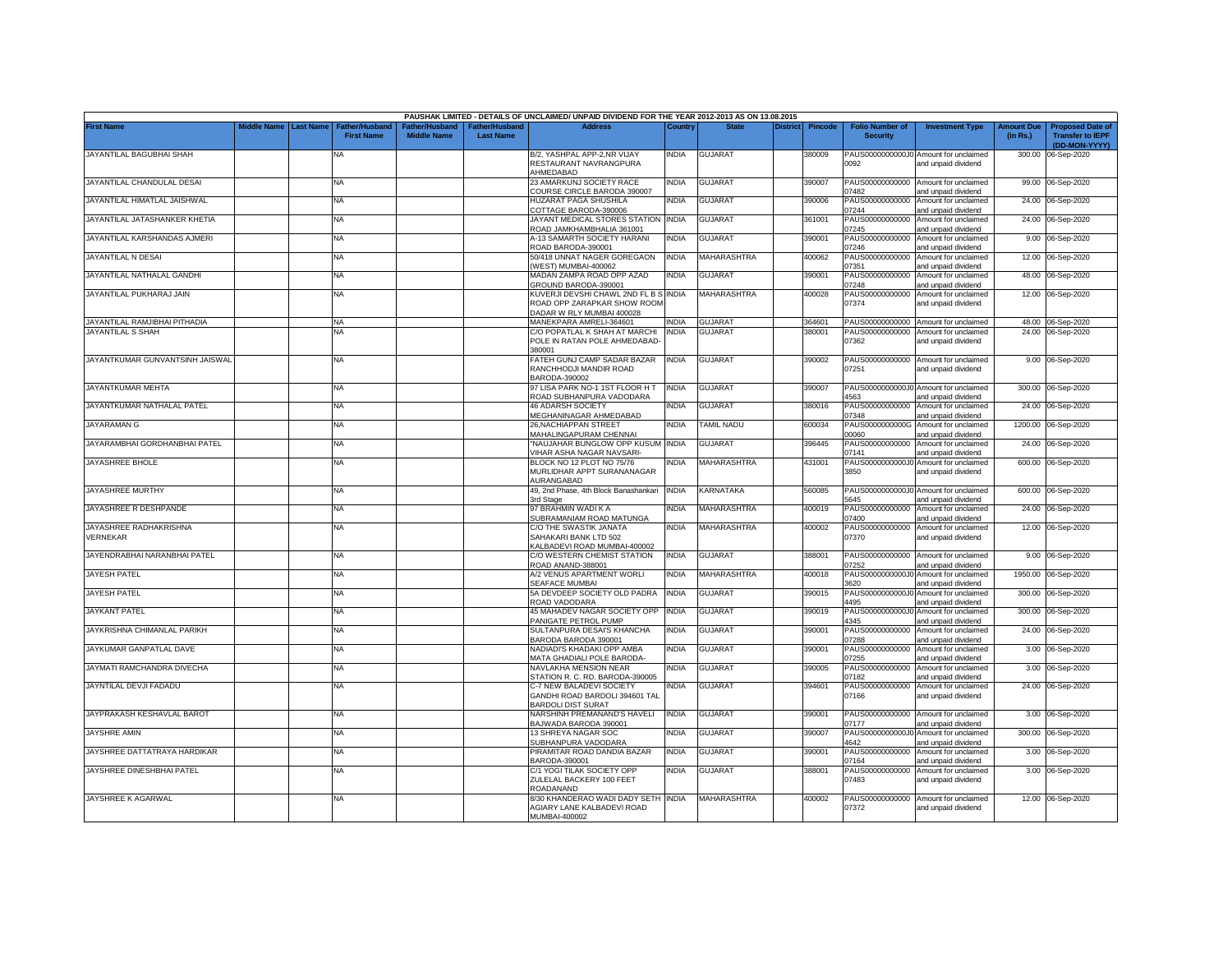|                                                    |             |                  |                                            |                                      |                                    | PAUSHAK LIMITED - DETAILS OF UNCLAIMED/ UNPAID DIVIDEND FOR THE YEAR 2012-2013 AS ON 13.08.2015 |                              |                                  |          |                |                                           |                                                                                    |                               |                                                                     |
|----------------------------------------------------|-------------|------------------|--------------------------------------------|--------------------------------------|------------------------------------|-------------------------------------------------------------------------------------------------|------------------------------|----------------------------------|----------|----------------|-------------------------------------------|------------------------------------------------------------------------------------|-------------------------------|---------------------------------------------------------------------|
| <b>First Name</b>                                  | Middle Name | <b>Last Name</b> | <b>Father/Husband</b><br><b>First Name</b> | Father/Husband<br><b>Middle Name</b> | Father/Husband<br><b>Last Name</b> | <b>Address</b>                                                                                  | Country                      | <b>State</b>                     | District | <b>Pincode</b> | <b>Folio Number of</b><br><b>Security</b> | <b>Investment Type</b>                                                             | <b>Amount Due</b><br>(in Rs.) | <b>Proposed Date of</b><br><b>Transfer to IEPF</b><br>(DD-MON-YYYY) |
| JAYANTILAL BAGUBHAI SHAH                           |             |                  | NA                                         |                                      |                                    | B/2, YASHPAL APP-2,NR VIJAY<br>RESTAURANT NAVRANGPURA                                           | <b>INDIA</b>                 | <b>GUJARAT</b>                   |          | 380009         | 0092                                      | PAUS0000000000J0 Amount for unclaimed<br>and unpaid dividend                       |                               | 300.00 06-Sep-2020                                                  |
| JAYANTILAL CHANDULAL DESAI                         |             |                  | <b>NA</b>                                  |                                      |                                    | AHMEDABAD<br>23 AMARKUNJ SOCIETY RACE                                                           | <b>INDIA</b>                 | <b>GUJARAT</b>                   |          | 390007         |                                           | PAUS00000000000 Amount for unclaimed                                               |                               | 99.00 06-Sep-2020                                                   |
| JAYANTILAL HIMATLAL JAISHWAL                       |             |                  | <b>NA</b>                                  |                                      |                                    | COURSE CIRCLE BARODA 390007<br>HUZARAT PAGA SHUSHILA                                            | <b>INDIA</b>                 | <b>GUJARAT</b>                   |          | 390006         | 17482<br>PAUS00000000000                  | and unpaid dividend<br>Amount for unclaimed                                        |                               | 24.00 06-Sep-2020                                                   |
| JAYANTILAL JATASHANKER KHETIA                      |             |                  | <b>NA</b>                                  |                                      |                                    | COTTAGE BARODA-390006<br>JAYANT MEDICAL STORES STATION                                          | <b>INDIA</b>                 | GUJARAT                          |          | 361001         | 07244<br>PAUS00000000000                  | and unpaid dividend<br>Amount for unclaimed                                        |                               | 24.00 06-Sep-2020                                                   |
| JAYANTILAL KARSHANDAS AJMERI                       |             |                  | NA                                         |                                      |                                    | ROAD JAMKHAMBHALIA 361001<br><b>A-13 SAMARTH SOCIETY HARANI</b>                                 | <b>INDIA</b>                 | GUJARAT                          |          | 390001         | )7245<br>PAUS00000000000                  | and unpaid dividend<br>Amount for unclaimed                                        |                               | 9.00 06-Sep-2020                                                    |
| JAYANTILAL N DESAI                                 |             |                  | <b>NA</b>                                  |                                      |                                    | ROAD BARODA-390001<br>50/418 UNNAT NAGER GOREGAON                                               | <b>INDIA</b>                 | <b>MAHARASHTRA</b>               |          | 400062         | )7246                                     | and unpaid dividend<br>PAUS00000000000 Amount for unclaimed                        |                               | 12.00 06-Sep-2020                                                   |
| JAYANTILAL NATHALAL GANDHI                         |             |                  | <b>NA</b>                                  |                                      |                                    | WEST) MUMBAI-400062<br>MADAN ZAMPA ROAD OPP AZAD                                                | <b>INDIA</b>                 | <b>GUJARAT</b>                   |          | 390001         | 07351                                     | and unpaid dividend<br>PAUS00000000000 Amount for unclaimed                        |                               | 48.00 06-Sep-2020                                                   |
| JAYANTILAL PUKHARAJ JAIN                           |             |                  | <b>NA</b>                                  |                                      |                                    | GROUND BARODA-390001<br>KUVERJI DEVSHI CHAWL 2ND FL B S INDIA<br>ROAD OPP ZARAPKAR SHOW ROOM    |                              | MAHARASHTRA                      |          | 400028         | 07248<br>07374                            | and unpaid dividend<br>PAUS00000000000 Amount for unclaimed<br>and unpaid dividend |                               | 12.00 06-Sep-2020                                                   |
|                                                    |             |                  |                                            |                                      |                                    | DADAR W RLY MUMBAI 400028                                                                       |                              |                                  |          |                |                                           |                                                                                    |                               |                                                                     |
| JAYANTILAL RAMJIBHAI PITHADIA<br>JAYANTILAL S SHAH |             |                  | <b>NA</b><br>NA                            |                                      |                                    | MANEKPARA AMRELI-364601<br>C/O POPATLAL K SHAH AT MARCHI                                        | <b>INDIA</b><br><b>INDIA</b> | <b>GUJARAT</b><br><b>GUJARAT</b> |          | 364601         | PAUS00000000000                           | PAUS00000000000 Amount for unclaimed<br>Amount for unclaimed                       |                               | 48.00 06-Sep-2020<br>24.00 06-Sep-2020                              |
|                                                    |             |                  |                                            |                                      |                                    | POLE IN RATAN POLE AHMEDABAD-<br>380001                                                         |                              |                                  |          | 380001         | 07362                                     | and unpaid dividend                                                                |                               |                                                                     |
| JAYANTKUMAR GUNVANTSINH JAISWAL                    |             |                  | <b>NA</b>                                  |                                      |                                    | FATEH GUNJ CAMP SADAR BAZAR<br>RANCHHODJI MANDIR ROAD<br>BARODA-390002                          | <b>INDIA</b>                 | <b>GUJARAT</b>                   |          | 390002         | 07251                                     | PAUS00000000000 Amount for unclaimed<br>and unpaid dividend                        |                               | 9.00 06-Sep-2020                                                    |
| JAYANTKUMAR MEHTA                                  |             |                  | NA                                         |                                      |                                    | 97 LISA PARK NO-1 1ST FLOOR H T<br>ROAD SUBHANPURA VADODARA                                     | <b>INDIA</b>                 | <b>GUJARAT</b>                   |          | 390007         | 4563                                      | PAUS0000000000J0 Amount for unclaimed<br>ind unpaid dividend                       |                               | 300.00 06-Sep-2020                                                  |
| JAYANTKUMAR NATHALAL PATEL                         |             |                  | <b>NA</b>                                  |                                      |                                    | <b>46 ADARSH SOCIETY</b><br>MEGHANINAGAR AHMEDABAD                                              | India                        | <b>GUJARAT</b>                   |          | 380016         | PAUS00000000000<br>)7348                  | Amount for unclaimed<br>and unpaid dividend                                        |                               | 24.00 06-Sep-2020                                                   |
| JAYARAMAN G                                        |             |                  | NA                                         |                                      |                                    | 26, NACHIAPPAN STREET<br>MAHALINGAPURAM CHENNAI                                                 | <b>INDIA</b>                 | <b>TAMIL NADU</b>                |          | 600034         | PAUS0000000000G<br>00000                  | Amount for unclaimed<br>nd unpaid dividend                                         |                               | 1200.00 06-Sep-2020                                                 |
| JAYARAMBHAI GORDHANBHAI PATEL                      |             |                  | <b>NA</b>                                  |                                      |                                    | 'NAUJAHAR BUNGLOW OPP KUSUM INDIA<br>VIHAR ASHA NAGAR NAVSARI-                                  |                              | <b>GUJARAT</b>                   |          | 396445         | PAUS00000000000<br>07141                  | Amount for unclaimed<br>and unpaid dividend                                        |                               | 24.00 06-Sep-2020                                                   |
| JAYASHREE BHOLE                                    |             |                  | <b>NA</b>                                  |                                      |                                    | BLOCK NO 12 PLOT NO 75/76<br>MURLIDHAR APPT SURANANAGAR<br>AURANGABAD                           | <b>INDIA</b>                 | MAHARASHTRA                      |          | 431001         | PAUS0000000000J0<br>3850                  | Amount for unclaimed<br>and unpaid dividend                                        |                               | 600.00 06-Sep-2020                                                  |
| JAYASHREE MURTHY                                   |             |                  | NA                                         |                                      |                                    | 49, 2nd Phase, 4th Block Banashankari<br>3rd Stage                                              | <b>INDIA</b>                 | KARNATAKA                        |          | 560085         | 5645                                      | PAUS0000000000J0 Amount for unclaimed<br>and unpaid dividend                       |                               | 600.00 06-Sep-2020                                                  |
| JAYASHREE R DESHPANDE                              |             |                  | <b>NA</b>                                  |                                      |                                    | 97 BRAHMIN WADI K A<br>SUBRAMANIAM ROAD MATUNGA                                                 | <b>INDIA</b>                 | MAHARASHTRA                      |          | 400019         | PAUS00000000000<br>07400                  | Amount for unclaimed<br>and unpaid dividend                                        | 24.00                         | 06-Sep-2020                                                         |
| JAYASHREE RADHAKRISHNA<br>VERNEKAR                 |             |                  | NA                                         |                                      |                                    | C/O THE SWASTIK JANATA<br>SAHAKARI BANK LTD 502<br><b>KALBADEVI ROAD MUMBAI-400002</b>          | <b>INDIA</b>                 | MAHARASHTRA                      |          | 400002         | PAUS00000000000<br>07370                  | Amount for unclaimed<br>and unpaid dividend                                        |                               | 12.00 06-Sep-2020                                                   |
| JAYENDRABHAI NARANBHAI PATEL                       |             |                  | <b>NA</b>                                  |                                      |                                    | C/O WESTERN CHEMIST STATION<br>ROAD ANAND-388001                                                | <b>INDIA</b>                 | <b>GUJARAT</b>                   |          | 388001         | PAUS00000000000<br>07252                  | Amount for unclaimed<br>and unpaid dividend                                        | 9.00                          | 06-Sep-2020                                                         |
| <b>JAYESH PATEL</b>                                |             |                  | NA                                         |                                      |                                    | A/2 VENUS APARTMENT WORLI<br>SEAFACE MUMBAI                                                     | <b>INDIA</b>                 | MAHARASHTRA                      |          | 400018         | PAUS0000000000J<br>3620                   | Amount for unclaimed<br>and unpaid dividend                                        | 1950.00                       | 06-Sep-2020                                                         |
| <b>JAYESH PATEL</b>                                |             |                  | <b>NA</b>                                  |                                      |                                    | 5A DEVDEEP SOCIETY OLD PADRA<br>ROAD VADODARA                                                   | <b>INDIA</b>                 | <b>GUJARAT</b>                   |          | 390015         | PAUS0000000000J0<br>4495                  | Amount for unclaimed<br>and unpaid dividend                                        | 300.00                        | 06-Sep-2020                                                         |
| <b>JAYKANT PATEL</b>                               |             |                  | <b>NA</b>                                  |                                      |                                    | 45 MAHADEV NAGAR SOCIETY OPP<br>PANIGATE PETROL PUMP                                            | <b>INDIA</b>                 | GUJARAT                          |          | 390019         | PAUS0000000000J0<br>4345                  | Amount for unclaimed<br>and unpaid dividend                                        | 300.00                        | 06-Sep-2020                                                         |
| JAYKRISHNA CHIMANLAL PARIKH                        |             |                  | <b>NA</b>                                  |                                      |                                    | SULTANPURA DESAI'S KHANCHA<br>BARODA BARODA 390001                                              | <b>INDIA</b>                 | GUJARAT                          |          | 390001         | PAUS00000000000<br>07288                  | Amount for unclaimed<br>and unpaid dividend                                        | 24.00                         | 06-Sep-2020                                                         |
| JAYKUMAR GANPATLAL DAVE                            |             |                  | NA                                         |                                      |                                    | NADIADI'S KHADAKI OPP AMBA<br>MATA GHADIALI POLE BARODA-                                        | <b>INDIA</b>                 | GUJARAT                          |          | 390001         | PAUS00000000000<br>07255                  | Amount for unclaimed<br>and unpaid dividend                                        |                               | 3.00 06-Sep-2020                                                    |
| JAYMATI RAMCHANDRA DIVECHA                         |             |                  | NA                                         |                                      |                                    | NAVLAKHA MENSION NEAR<br>STATION R. C. RD. BARODA-390005                                        | <b>INDIA</b>                 | <b>GUJARAT</b>                   |          | 390005         | PAUS00000000000<br>07182                  | Amount for unclaimed<br>and unpaid dividend                                        |                               | 3.00 06-Sep-2020                                                    |
| JAYNTILAL DEVJI FADADU                             |             |                  | NA                                         |                                      |                                    | C-7 NEW BALADEVI SOCIETY<br>GANDHI ROAD BARDOLI 394601 TAL<br><b>BARDOLI DIST SURAT</b>         | india                        | GUJARAT                          |          | 394601         | PAUS00000000000<br>07166                  | Amount for unclaimed<br>and unpaid dividend                                        |                               | 24.00 06-Sep-2020                                                   |
| JAYPRAKASH KESHAVLAL BAROT                         |             |                  | NA                                         |                                      |                                    | NARSHINH PREMANAND'S HAVELI<br>BAJWADA BARODA 390001                                            | <b>INDIA</b>                 | <b>GUJARAT</b>                   |          | 390001         | 07177                                     | PAUS00000000000 Amount for unclaimed<br>and unpaid dividend                        |                               | 3.00 06-Sep-2020                                                    |
| <b>JAYSHRE AMIN</b>                                |             |                  | <b>NA</b>                                  |                                      |                                    | 13 SHREYA NAGAR SOC<br>SUBHANPURA VADODARA                                                      | NDIA                         | GUJARAT                          |          | 390007         | PAUS0000000000J0<br>4642                  | Amount for unclaimed<br>and unpaid dividend                                        |                               | 300.00 06-Sep-2020                                                  |
| JAYSHREE DATTATRAYA HARDIKAR                       |             |                  | NA                                         |                                      |                                    | PIRAMITAR ROAD DANDIA BAZAR<br>BARODA-390001                                                    | <b>INDIA</b>                 | <b>GUJARAT</b>                   |          | 390001         | PAUS00000000000<br>07164                  | Amount for unclaimed<br>and unpaid dividend                                        |                               | 3.00 06-Sep-2020                                                    |
| JAYSHREE DINESHBHAI PATEL                          |             |                  | <b>NA</b>                                  |                                      |                                    | C/1 YOGI TILAK SOCIETY OPP<br>ZULELAL BACKERY 100 FEET<br>ROADANAND                             | <b>INDIA</b>                 | <b>GUJARAT</b>                   |          | 388001         | 07483                                     | PAUS00000000000 Amount for unclaimed<br>and unpaid dividend                        |                               | 3.00 06-Sep-2020                                                    |
| JAYSHREE K AGARWAL                                 |             |                  | <b>NA</b>                                  |                                      |                                    | 8/30 KHANDERAO WADI DADY SETH INDIA<br>AGIARY LANE KALBADEVI ROAD<br>MUMBAI-400002              |                              | MAHARASHTRA                      |          | 400002         | 07372                                     | PAUS00000000000 Amount for unclaimed<br>and unpaid dividend                        |                               | 12.00 06-Sep-2020                                                   |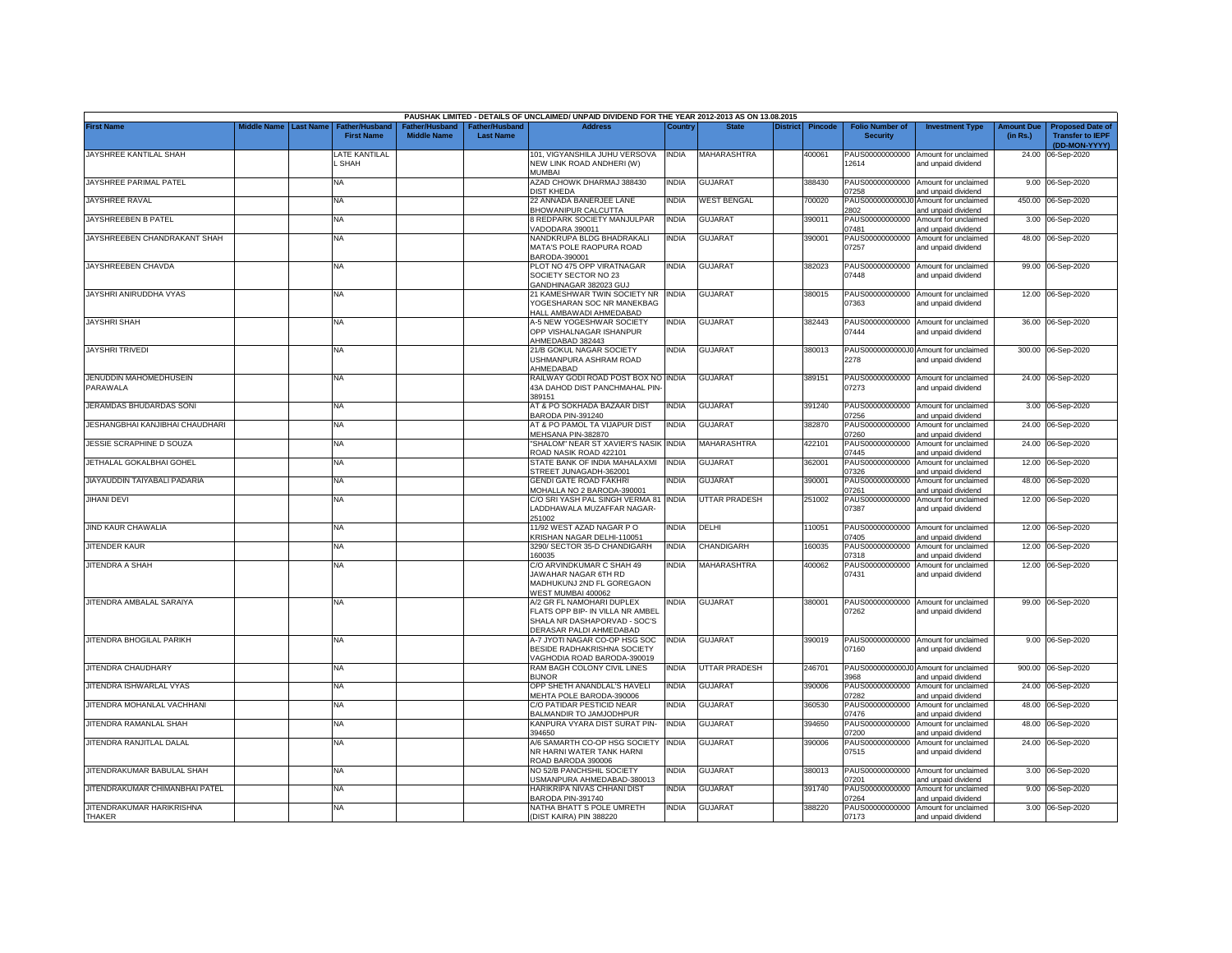|                                            |                         |                                            |                                      |                                                | PAUSHAK LIMITED - DETAILS OF UNCLAIMED/ UNPAID DIVIDEND FOR THE YEAR 2012-2013 AS ON 13.08.2015                          |              |                      |          |                |                                           |                                                              |                               |                                                                     |
|--------------------------------------------|-------------------------|--------------------------------------------|--------------------------------------|------------------------------------------------|--------------------------------------------------------------------------------------------------------------------------|--------------|----------------------|----------|----------------|-------------------------------------------|--------------------------------------------------------------|-------------------------------|---------------------------------------------------------------------|
| First Name                                 | Middle Name   Last Name | <b>Father/Husband</b><br><b>First Name</b> | Father/Husband<br><b>Middle Name</b> | ather/Husband <sup>-</sup><br><b>Last Name</b> | <b>Address</b>                                                                                                           | Country      | <b>State</b>         | District | <b>Pincode</b> | <b>Folio Number of</b><br><b>Security</b> | <b>Investment Type</b>                                       | <b>Amount Due</b><br>(in Rs.) | <b>Proposed Date of</b><br><b>Transfer to IEPF</b><br>(DD-MON-YYYY) |
| JAYSHREE KANTILAL SHAH                     |                         | LATE KANTILAL<br><b>SHAH</b>               |                                      |                                                | 101, VIGYANSHILA JUHU VERSOVA   INDIA<br>NEW LINK ROAD ANDHERI (W)<br>MUMBAI                                             |              | MAHARASHTRA          |          | 400061         | 12614                                     | PAUS00000000000 Amount for unclaimed<br>and unpaid dividend  |                               | 24.00 06-Sep-2020                                                   |
| JAYSHREE PARIMAL PATEL                     |                         | NA                                         |                                      |                                                | AZAD CHOWK DHARMAJ 388430<br><b>DIST KHEDA</b>                                                                           | <b>INDIA</b> | <b>GUJARAT</b>       |          | 388430         | PAUS00000000000<br>7258                   | Amount for unclaimed<br>and unpaid dividend                  |                               | 9.00 06-Sep-2020                                                    |
| JAYSHREE RAVAL                             |                         | NA                                         |                                      |                                                | 22 ANNADA BANERJEE LANE<br><b>BHOWANIPUR CALCUTTA</b>                                                                    | <b>INDIA</b> | <b>WEST BENGAL</b>   |          | 700020         | PAUS0000000000J0<br>2802                  | Amount for unclaimed<br>and unpaid dividend                  |                               | 450.00 06-Sep-2020                                                  |
| JAYSHREEBEN B PATEL                        |                         | NA                                         |                                      |                                                | 8 REDPARK SOCIETY MANJULPAR<br>/ADODARA 390011                                                                           | INDIA        | GUJARAT              |          | 390011         | PAUS00000000000<br>07481                  | Amount for unclaimed<br>and unpaid dividend                  |                               | 3.00 06-Sep-2020                                                    |
| JAYSHREEBEN CHANDRAKANT SHAH               |                         | NA                                         |                                      |                                                | NANDKRUPA BLDG BHADRAKALI<br>MATA'S POLE RAOPURA ROAD                                                                    | INDIA        | <b>GUJARAT</b>       |          | 390001         | PAUS00000000000<br>07257                  | Amount for unclaimed<br>and unpaid dividend                  |                               | 48.00 06-Sep-2020                                                   |
| JAYSHREEBEN CHAVDA                         |                         | NA                                         |                                      |                                                | BARODA-390001<br>PLOT NO 475 OPP VIRATNAGAR<br>SOCIETY SECTOR NO 23                                                      | <b>INDIA</b> | <b>GUJARAT</b>       |          | 382023         | 07448                                     | PAUS00000000000 Amount for unclaimed<br>and unpaid dividend  |                               | 99.00 06-Sep-2020                                                   |
| JAYSHRI ANIRUDDHA VYAS                     |                         | NA                                         |                                      |                                                | GANDHINAGAR 382023 GUJ<br>21 KAMESHWAR TWIN SOCIETY NR INDIA<br>YOGESHARAN SOC NR MANEKBAG                               |              | GUJARAT              |          | 380015         | 07363                                     | PAUS00000000000 Amount for unclaimed<br>and unpaid dividend  |                               | 12.00 06-Sep-2020                                                   |
| <b>JAYSHRI SHAH</b>                        |                         | NA                                         |                                      |                                                | HALL AMBAWADI AHMEDABAD<br>A-5 NEW YOGESHWAR SOCIETY<br>OPP VISHALNAGAR ISHANPUR<br>HMEDABAD 382443                      | <b>INDIA</b> | <b>GUJARAT</b>       |          | 382443         | 07444                                     | PAUS00000000000 Amount for unclaimed<br>and unpaid dividend  |                               | 36.00 06-Sep-2020                                                   |
| <b>JAYSHRITRIVEDI</b>                      |                         | ΝA                                         |                                      |                                                | 21/B GOKUL NAGAR SOCIETY<br>JSHMANPURA ASHRAM ROAD<br><b>HMEDABAD</b>                                                    | INDIA        | GUJARAT              |          | 380013         | 2278                                      | PAUS0000000000J0 Amount for unclaimed<br>and unpaid dividend |                               | 300.00 06-Sep-2020                                                  |
| JENUDDIN MAHOMEDHUSEIN<br><b>PARAWALA</b>  |                         | NA                                         |                                      |                                                | RAILWAY GODI ROAD POST BOX NO INDIA<br><b>43A DAHOD DIST PANCHMAHAL PIN-</b><br>389151                                   |              | <b>GUJARAT</b>       |          | 389151         | 07273                                     | PAUS00000000000 Amount for unclaimed<br>and unpaid dividend  |                               | 24.00 06-Sep-2020                                                   |
| JERAMDAS BHUDARDAS SONI                    |                         | NA                                         |                                      |                                                | AT & PO SOKHADA BAZAAR DIST<br><b>BARODA PIN-391240</b>                                                                  | <b>INDIA</b> | <b>GUJARAT</b>       |          | 391240         | 7256                                      | PAUS00000000000 Amount for unclaimed<br>and unpaid dividend  |                               | 3.00 06-Sep-2020                                                    |
| JESHANGBHAI KANJIBHAI CHAUDHARI            |                         | <b>NA</b>                                  |                                      |                                                | AT & PO PAMOL TA VIJAPUR DIST<br>MEHSANA PIN-382870                                                                      | <b>INDIA</b> | <b>GUJARAT</b>       |          | 382870         | PAUS00000000000<br>)7260                  | Amount for unclaimed<br>and unpaid dividend                  |                               | 24.00 06-Sep-2020                                                   |
| JESSIE SCRAPHINE D SOUZA                   |                         | NA                                         |                                      |                                                | "SHALOM" NEAR ST XAVIER'S NASIK INDIA<br>ROAD NASIK ROAD 422101                                                          |              | <b>MAHARASHTRA</b>   |          | 422101         | PAUS00000000000<br>07445                  | Amount for unclaimed<br>and unpaid dividend                  |                               | 24.00 06-Sep-2020                                                   |
| JETHALAL GOKALBHAI GOHEL                   |                         | NA                                         |                                      |                                                | STATE BANK OF INDIA MAHALAXMI<br>STREET JUNAGADH-362001                                                                  | <b>INDIA</b> | <b>GUJARAT</b>       |          | 362001         | 07326                                     | PAUS00000000000 Amount for unclaimed<br>and unpaid dividend  |                               | 12.00 06-Sep-2020                                                   |
| JIAYAUDDIN TAIYABALI PADARIA               |                         | NA                                         |                                      |                                                | <b>GENDI GATE ROAD FAKHRI</b><br>MOHALLA NO 2 BARODA-390001                                                              | <b>INDIA</b> | <b>GUJARAT</b>       |          | 390001         | PAUS00000000000<br>07261                  | Amount for unclaimed<br>and unpaid dividend                  |                               | 48.00 06-Sep-2020                                                   |
| <b>JIHANI DEVI</b>                         |                         | NA                                         |                                      |                                                | C/O SRI YASH PAL SINGH VERMA 81 INDIA<br>LADDHAWALA MUZAFFAR NAGAR-<br>251002                                            |              | <b>UTTAR PRADESH</b> |          | 251002         | PAUS00000000000<br>07387                  | Amount for unclaimed<br>and unpaid dividend                  |                               | 12.00 06-Sep-2020                                                   |
| JIND KAUR CHAWALIA                         |                         | NA                                         |                                      |                                                | 11/92 WEST AZAD NAGAR P O<br>KRISHAN NAGAR DELHI-110051                                                                  | INDIA        | DELHI                |          | 10051          | PAUS00000000000<br>07405                  | Amount for unclaimed<br>and unpaid dividend                  |                               | 12.00 06-Sep-2020                                                   |
| JITENDER KAUR                              |                         | NA                                         |                                      |                                                | 3290/ SECTOR 35-D CHANDIGARH<br>160035                                                                                   | INDIA        | CHANDIGARH           |          | 160035         | PAUS00000000000<br>07318                  | Amount for unclaimed<br>and unpaid dividend                  | 12.00                         | 06-Sep-2020                                                         |
| JITENDRA A SHAH                            |                         | <b>NA</b>                                  |                                      |                                                | C/O ARVINDKUMAR C SHAH 49<br>JAWAHAR NAGAR 6TH RD<br>MADHUKUNJ 2ND FL GOREGAON<br>WEST MUMBAI 400062                     | <b>INDIA</b> | MAHARASHTRA          |          | 400062         | PAUS00000000000<br>07431                  | Amount for unclaimed<br>and unpaid dividend                  | 12.00                         | 06-Sep-2020                                                         |
| JITENDRA AMBALAL SARAIYA                   |                         | NA                                         |                                      |                                                | A/2 GR FL NAMOHARI DUPLEX<br>FLATS OPP BIP- IN VILLA NR AMBEL<br>SHALA NR DASHAPORVAD - SOC'S<br>DERASAR PALDI AHMEDABAD | india        | <b>GUJARAT</b>       |          | 380001         | 07262                                     | PAUS00000000000 Amount for unclaimed<br>and unpaid dividend  |                               | 99.00 06-Sep-2020                                                   |
| JITENDRA BHOGILAL PARIKH                   |                         | NA                                         |                                      |                                                | A-7 JYOTI NAGAR CO-OP HSG SOC<br>BESIDE RADHAKRISHNA SOCIETY<br>/AGHODIA ROAD BARODA-390019                              | <b>INDIA</b> | <b>GUJARAT</b>       |          | 390019         | 07160                                     | PAUS00000000000 Amount for unclaimed<br>and unpaid dividend  |                               | 9.00 06-Sep-2020                                                    |
| JITENDRA CHAUDHARY                         |                         | ΝA                                         |                                      |                                                | RAM BAGH COLONY CIVIL LINES<br><b>BIJNOR</b>                                                                             | INDIA        | UTTAR PRADESH        |          | 246701         | 3968                                      | PAUS0000000000J0 Amount for unclaimed<br>and unpaid dividend |                               | 900.00 06-Sep-2020                                                  |
| JITENDRA ISHWARLAL VYAS                    |                         | ΝA                                         |                                      |                                                | OPP SHETH ANANDLAL'S HAVELI<br>MEHTA POLE BARODA-390006                                                                  | India        | GUJARAT              |          | 390006         | 07282                                     | PAUS00000000000 Amount for unclaimed<br>and unpaid dividend  |                               | 24.00 06-Sep-2020                                                   |
| JITENDRA MOHANLAL VACHHANI                 |                         | ΝA                                         |                                      |                                                | C/O PATIDAR PESTICID NEAR<br>BALMANDIR TO JAMJODHPUR                                                                     | INDIA        | GUJARAT              |          | 360530         | PAUS00000000000<br>07476                  | Amount for unclaimed<br>and unpaid dividend                  |                               | 48.00 06-Sep-2020                                                   |
| JITENDRA RAMANLAL SHAH                     |                         | <b>NA</b>                                  |                                      |                                                | KANPURA VYARA DIST SURAT PIN-<br>394650                                                                                  | <b>INDIA</b> | <b>GUJARAT</b>       |          | 394650         | 07200                                     | PAUS00000000000 Amount for unclaimed<br>and unpaid dividend  |                               | 48.00 06-Sep-2020                                                   |
| JITENDRA RANJITLAL DALAL                   |                         | <b>NA</b>                                  |                                      |                                                | A/6 SAMARTH CO-OP HSG SOCIETY<br>NR HARNI WATER TANK HARNI<br>ROAD BARODA 390006                                         | <b>INDIA</b> | <b>GUJARAT</b>       |          | 390006         | 07515                                     | PAUS00000000000 Amount for unclaimed<br>and unpaid dividend  |                               | 24.00 06-Sep-2020                                                   |
| JITENDRAKUMAR BABULAL SHAH                 |                         | NA                                         |                                      |                                                | NO 52/B PANCHSHIL SOCIETY<br>JSMANPURA AHMEDABAD-380013                                                                  | INDIA        | <b>GUJARAT</b>       |          | 380013         | 07201                                     | PAUS00000000000 Amount for unclaimed<br>and unpaid dividend  |                               | 3.00 06-Sep-2020                                                    |
| JITENDRAKUMAR CHIMANBHAI PATEL             |                         | NA                                         |                                      |                                                | HARIKRIPA NIVAS CHHANI DIST<br>BARODA PIN-391740                                                                         | INDIA        | <b>GUJARAT</b>       |          | 391740         | 07264                                     | PAUS00000000000 Amount for unclaimed<br>and unpaid dividend  |                               | 9.00 06-Sep-2020                                                    |
| JITENDRAKUMAR HARIKRISHNA<br><b>THAKER</b> |                         | NA                                         |                                      |                                                | NATHA BHATT S POLE UMRETH<br>(DIST KAIRA) PIN 388220                                                                     | <b>INDIA</b> | <b>GUJARAT</b>       |          | 388220         | 07173                                     | PAUS00000000000 Amount for unclaimed<br>and unpaid dividend  |                               | 3.00 06-Sep-2020                                                    |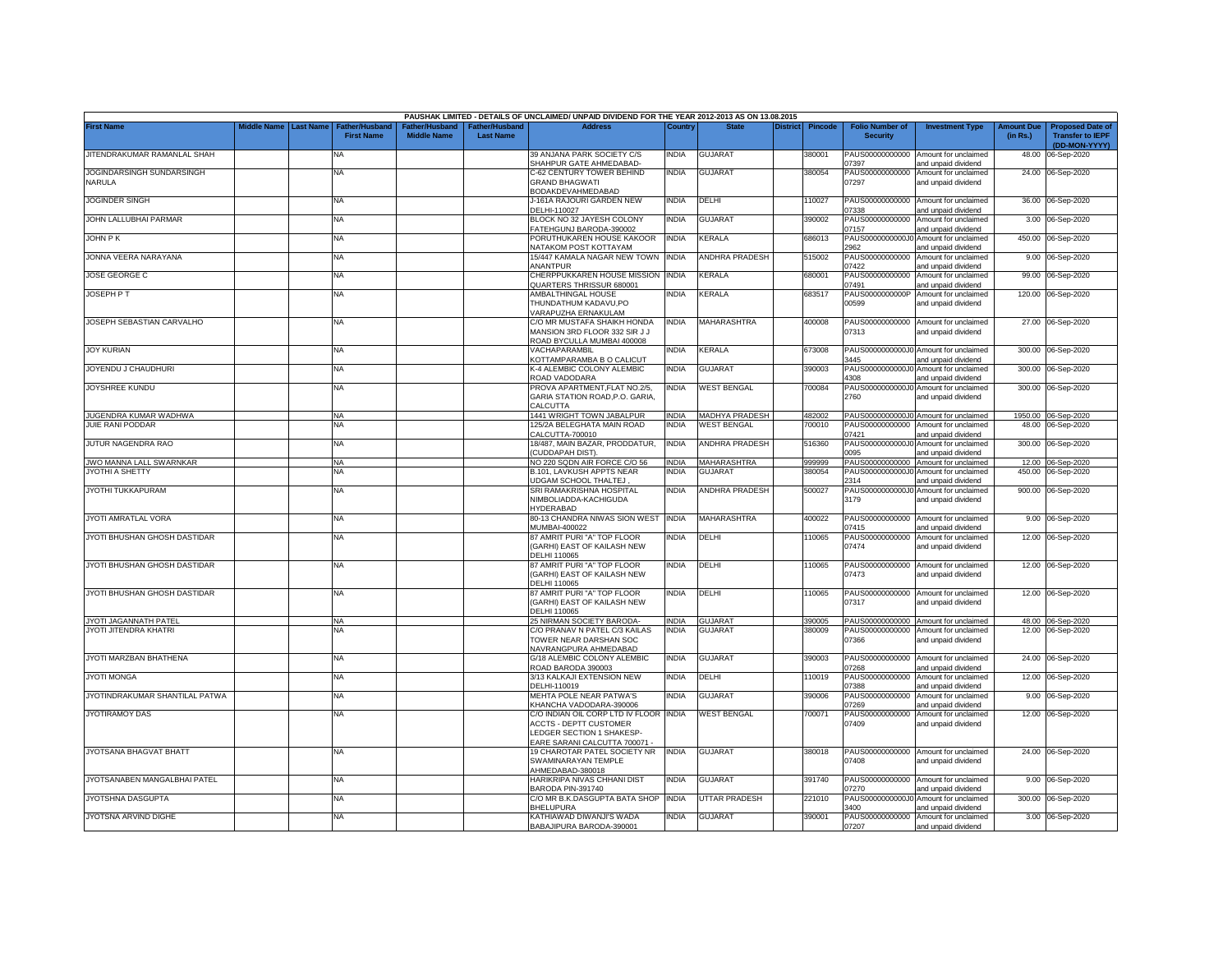|                                     |                    |                  |                                            |                                      |                                    | PAUSHAK LIMITED - DETAILS OF UNCLAIMED/ UNPAID DIVIDEND FOR THE YEAR 2012-2013 AS ON 13.08.2015                                    |              |                       |                 |         |                                           |                                                              |                               |                                                                     |
|-------------------------------------|--------------------|------------------|--------------------------------------------|--------------------------------------|------------------------------------|------------------------------------------------------------------------------------------------------------------------------------|--------------|-----------------------|-----------------|---------|-------------------------------------------|--------------------------------------------------------------|-------------------------------|---------------------------------------------------------------------|
| <b>First Name</b>                   | <b>Middle Name</b> | <b>Last Name</b> | <b>Father/Husband</b><br><b>First Name</b> | Father/Husband<br><b>Middle Name</b> | Father/Husband<br><b>Last Name</b> | <b>Address</b>                                                                                                                     | Countrv      | <b>State</b>          | <b>District</b> | Pincode | <b>Folio Number of</b><br><b>Security</b> | <b>Investment Type</b>                                       | <b>Amount Due</b><br>(in Rs.) | <b>Proposed Date of</b><br><b>Transfer to IEPF</b><br>(DD-MON-YYYY) |
| JITENDRAKUMAR RAMANLAL SHAH         |                    |                  | NA                                         |                                      |                                    | 39 ANJANA PARK SOCIETY C/S<br>SHAHPUR GATE AHMEDABAD-                                                                              | India        | <b>GUJARAT</b>        |                 | 380001  | 7397                                      | PAUS00000000000 Amount for unclaimed<br>and unpaid dividend  |                               | 48.00 06-Sep-2020                                                   |
| JOGINDARSINGH SUNDARSINGH<br>NARULA |                    |                  | NA                                         |                                      |                                    | C-62 CENTURY TOWER BEHIND<br><b>GRAND BHAGWATI</b><br>BODAKDEVAHMEDABAD                                                            | <b>INDIA</b> | <b>GUJARAT</b>        |                 | 380054  | 07297                                     | PAUS00000000000 Amount for unclaimed<br>and unpaid dividend  |                               | 24.00 06-Sep-2020                                                   |
| <b>JOGINDER SINGH</b>               |                    |                  | NA                                         |                                      |                                    | J-161A RAJOURI GARDEN NEW<br>DELHI-110027                                                                                          | <b>INDIA</b> | DELHI                 |                 | 110027  | 7338                                      | PAUS00000000000 Amount for unclaimed<br>and unpaid dividend  |                               | 36.00 06-Sep-2020                                                   |
| JOHN LALLUBHAI PARMAR               |                    |                  | NA                                         |                                      |                                    | BLOCK NO 32 JAYESH COLONY<br>FATEHGUNJ BARODA-390002                                                                               | INDIA        | GUJARAT               |                 | 390002  | 07157                                     | PAUS00000000000 Amount for unclaimed<br>and unpaid dividend  |                               | 3.00 06-Sep-2020                                                    |
| JOHN P K                            |                    |                  | NA                                         |                                      |                                    | PORUTHUKAREN HOUSE KAKOOR<br><b>VATAKOM POST KOTTAYAM</b>                                                                          | <b>INDIA</b> | KERALA                |                 | 686013  | PAUS0000000000J0<br>2962                  | Amount for unclaimed<br>and unpaid dividend                  |                               | 450.00 06-Sep-2020                                                  |
| JONNA VEERA NARAYANA                |                    |                  | NA.                                        |                                      |                                    | 15/447 KAMALA NAGAR NEW TOWN<br><b>NANTPUR</b>                                                                                     | <b>INDIA</b> | ANDHRA PRADESH        |                 | 515002  | PAUS00000000000<br>07422                  | Amount for unclaimed<br>and unpaid dividend                  |                               | 9.00 06-Sep-2020                                                    |
| JOSE GEORGE C                       |                    |                  | NA                                         |                                      |                                    | CHERPPUKKAREN HOUSE MISSION<br>QUARTERS THRISSUR 680001                                                                            | <b>INDIA</b> | KERALA                |                 | 680001  | PAUS00000000000<br>7491                   | Amount for unclaimed<br>and unpaid dividend                  |                               | 99.00 06-Sep-2020                                                   |
| JOSEPH PT                           |                    |                  | ΝA                                         |                                      |                                    | AMBALTHINGAL HOUSE<br>THUNDATHUM KADAVU,PO<br>VARAPUZHA ERNAKULAM                                                                  | NDIA         | <b>KERALA</b>         |                 | 683517  | PAUS0000000000P<br>00599                  | Amount for unclaimed<br>and unpaid dividend                  |                               | 120.00 06-Sep-2020                                                  |
| JOSEPH SEBASTIAN CARVALHO           |                    |                  | NΑ                                         |                                      |                                    | C/O MR MUSTAFA SHAIKH HONDA<br>MANSION 3RD FLOOR 332 SIR J J<br>ROAD BYCULLA MUMBAI 400008                                         | <b>INDIA</b> | MAHARASHTRA           |                 | 400008  | 07313                                     | PAUS00000000000 Amount for unclaimed<br>and unpaid dividend  |                               | 27.00 06-Sep-2020                                                   |
| <b>JOY KURIAN</b>                   |                    |                  | NA                                         |                                      |                                    | VACHAPARAMBIL<br>KOTTAMPARAMBA B O CALICUT                                                                                         | INDIA        | KERALA                |                 | 673008  | PAUS0000000000J0<br>3445                  | Amount for unclaimed<br>and unpaid dividend                  | 300.00                        | 06-Sep-2020                                                         |
| JOYENDU J CHAUDHURI                 |                    |                  | NA                                         |                                      |                                    | K-4 ALEMBIC COLONY ALEMBIC<br>ROAD VADODARA                                                                                        | <b>INDIA</b> | <b>GUJARAT</b>        |                 | 390003  | PAUS0000000000J0<br>4308                  | Amount for unclaimed<br>and unpaid dividend                  | 300.00                        | 06-Sep-2020                                                         |
| JOYSHREE KUNDU                      |                    |                  | NA                                         |                                      |                                    | PROVA APARTMENT, FLAT NO.2/5,<br>GARIA STATION ROAD, P.O. GARIA<br>CALCUTTA                                                        | INDIA        | <b>WEST BENGAL</b>    |                 | 700084  | PAUS0000000000J0<br>2760                  | Amount for unclaimed<br>and unpaid dividend                  | 300.00                        | 06-Sep-2020                                                         |
| JUGENDRA KUMAR WADHWA               |                    |                  | NA                                         |                                      |                                    | 1441 WRIGHT TOWN JABALPUR                                                                                                          | <b>INDIA</b> | <b>MADHYA PRADESH</b> |                 | 482002  |                                           | PAUS0000000000J0 Amount for unclaimed                        |                               | 1950.00 06-Sep-2020                                                 |
| <b>JUIE RANI PODDAR</b>             |                    |                  | NA                                         |                                      |                                    | 125/2A BELEGHATA MAIN ROAD<br>CALCUTTA-700010                                                                                      | INDIA        | WEST BENGAL           |                 | 700010  | PAUS00000000000<br>07421                  | Amount for unclaimed<br>and unpaid dividend                  |                               | 48.00 06-Sep-2020                                                   |
| JUTUR NAGENDRA RAO                  |                    |                  | NA                                         |                                      |                                    | 18/487, MAIN BAZAR, PRODDATUR,<br><b>CUDDAPAH DIST)</b>                                                                            | <b>INDIA</b> | <b>NNDHRA PRADESH</b> |                 | 516360  | PAUS0000000000J0<br>0095                  | Amount for unclaimed<br>and unpaid dividend                  |                               | 300.00 06-Sep-2020                                                  |
| JWO MANNA LALL SWARNKAR             |                    |                  | <b>NA</b>                                  |                                      |                                    | NO 220 SQDN AIR FORCE C/O 56                                                                                                       | NDIA         | MAHARASHTRA           |                 | 999999  |                                           | PAUS00000000000 Amount for unclaimed                         |                               | 12.00 06-Sep-2020                                                   |
| JYOTHI A SHETTY                     |                    |                  | NA                                         |                                      |                                    | <b>B.101, LAVKUSH APPTS NEAR</b><br>JDGAM SCHOOL THALTEJ                                                                           | NDIA         | <b>GUJARAT</b>        |                 | 380054  | 2314                                      | PAUS0000000000J0 Amount for unclaimed<br>and unpaid dividend |                               | 450.00 06-Sep-2020                                                  |
| JYOTHI TUKKAPURAM                   |                    |                  | NA                                         |                                      |                                    | SRI RAMAKRISHNA HOSPITAL<br>NIMBOLIADDA-KACHIGUDA<br><b>HYDERABAD</b>                                                              | India        | ANDHRA PRADESH        |                 | 500027  | 3179                                      | PAUS0000000000J0 Amount for unclaimed<br>and unpaid dividend |                               | 900.00 06-Sep-2020                                                  |
| JYOTI AMRATLAL VORA                 |                    |                  | NA                                         |                                      |                                    | 80-13 CHANDRA NIWAS SION WEST INDIA<br><b>MUMBAI-400022</b>                                                                        |              | MAHARASHTRA           |                 | 400022  | PAUS00000000000<br>07415                  | Amount for unclaimed<br>and unpaid dividend                  |                               | 9.00 06-Sep-2020                                                    |
| JYOTI BHUSHAN GHOSH DASTIDAR        |                    |                  | NA                                         |                                      |                                    | 87 AMRIT PURI "A" TOP FLOOR<br><b>GARHI) EAST OF KAILASH NEW</b><br>DELHI 110065                                                   | NDIA         | DELHI                 |                 | 10065   | PAUS00000000000<br>07474                  | Amount for unclaimed<br>and unpaid dividend                  |                               | 12.00 06-Sep-2020                                                   |
| JYOTI BHUSHAN GHOSH DASTIDAR        |                    |                  | NA                                         |                                      |                                    | 87 AMRIT PURI "A" TOP FLOOR<br>(GARHI) EAST OF KAILASH NEW<br>DELHI 110065                                                         | <b>INDIA</b> | DELHI                 |                 | 110065  | 07473                                     | PAUS00000000000 Amount for unclaimed<br>and unpaid dividend  |                               | 12.00 06-Sep-2020                                                   |
| JYOTI BHUSHAN GHOSH DASTIDAR        |                    |                  | <b>NA</b>                                  |                                      |                                    | 87 AMRIT PURI "A" TOP FLOOR<br>GARHI) EAST OF KAILASH NEW<br>DELHI 110065                                                          | <b>INDIA</b> | DELHI                 |                 | 110065  | 07317                                     | PAUS00000000000 Amount for unclaimed<br>and unpaid dividend  |                               | 12.00 06-Sep-2020                                                   |
| JYOTI JAGANNATH PATEL               |                    |                  | <b>NA</b>                                  |                                      |                                    | 25 NIRMAN SOCIETY BARODA-                                                                                                          | <b>INDIA</b> | <b>GUJARAT</b>        |                 | 390005  |                                           | PAUS00000000000 Amount for unclaimed                         |                               | 48.00 06-Sep-2020                                                   |
| JYOTI JITENDRA KHATRI               |                    |                  | NA                                         |                                      |                                    | C/O PRANAV N PATEL C/3 KAILAS<br>TOWER NEAR DARSHAN SOC<br>NAVRANGPURA AHMEDABAD                                                   | INDIA        | <b>GUJARAT</b>        |                 | 380009  | PAUS00000000000<br>07366                  | Amount for unclaimed<br>and unpaid dividend                  |                               | 12.00 06-Sep-2020                                                   |
| JYOTI MARZBAN BHATHENA              |                    |                  | NA                                         |                                      |                                    | G/18 ALEMBIC COLONY ALEMBIC<br>ROAD BARODA 390003                                                                                  | <b>INDIA</b> | GUJARAT               |                 | 390003  | 07268                                     | PAUS00000000000 Amount for unclaimed<br>and unpaid dividend  |                               | 24.00 06-Sep-2020                                                   |
| <b>JYOTI MONGA</b>                  |                    |                  | NA                                         |                                      |                                    | 3/13 KALKAJI EXTENSION NEW<br>DELHI-110019                                                                                         | <b>INDIA</b> | DELHI                 |                 | 110019  | PAUS00000000000<br>07388                  | Amount for unclaimed<br>and unpaid dividend                  |                               | 12.00 06-Sep-2020                                                   |
| JYOTINDRAKUMAR SHANTILAL PATWA      |                    |                  | NA                                         |                                      |                                    | MEHTA POLE NEAR PATWA'S<br>KHANCHA VADODARA-390006                                                                                 | <b>INDIA</b> | GUJARAT               |                 | 390006  | PAUS00000000000<br>07269                  | Amount for unclaimed<br>and unpaid dividend                  | 9.00                          | 06-Sep-2020                                                         |
| JYOTIRAMOY DAS                      |                    |                  | ΝA                                         |                                      |                                    | C/O INDIAN OIL CORP LTD IV FLOOR INDIA<br><b>ACCTS - DEPTT CUSTOMER</b><br>LEDGER SECTION 1 SHAKESP<br>EARE SARANI CALCUTTA 700071 |              | <b>WEST BENGAL</b>    |                 | 700071  | PAUS00000000000<br>07409                  | Amount for unclaimed<br>and unpaid dividend                  | 12.00                         | 06-Sep-2020                                                         |
| JYOTSANA BHAGVAT BHATT              |                    |                  | NA                                         |                                      |                                    | 19 CHAROTAR PATEL SOCIETY NR<br>SWAMINARAYAN TEMPLE<br>AHMEDABAD-380018                                                            | <b>INDIA</b> | <b>GUJARAT</b>        |                 | 380018  | 07408                                     | PAUS00000000000 Amount for unclaimed<br>and unpaid dividend  |                               | 24.00 06-Sep-2020                                                   |
| JYOTSANABEN MANGALBHAI PATEL        |                    |                  | NA                                         |                                      |                                    | HARIKRIPA NIVAS CHHANI DIST<br>BARODA PIN-391740                                                                                   | INDIA        | <b>GUJARAT</b>        |                 | 391740  | 7270                                      | PAUS00000000000 Amount for unclaimed<br>and unpaid dividend  |                               | 9.00 06-Sep-2020                                                    |
| JYOTSHNA DASGUPTA                   |                    |                  | ΝA                                         |                                      |                                    | C/O MR B.K.DASGUPTA BATA SHOP<br><b>BHELUPURA</b>                                                                                  | <b>INDIA</b> | UTTAR PRADESH         |                 | 221010  | PAUS0000000000J0<br>3400                  | Amount for unclaimed<br>hnebivib biegnd bne                  |                               | 300.00 06-Sep-2020                                                  |
| JYOTSNA ARVIND DIGHE                |                    |                  | NA                                         |                                      |                                    | KATHIAWAD DIWANJI'S WADA<br>BABAJIPURA BARODA-390001                                                                               | NDIA         | GUJARAT               |                 | 390001  | 07207                                     | PAUS00000000000 Amount for unclaimed<br>and unpaid dividend  |                               | 3.00 06-Sep-2020                                                    |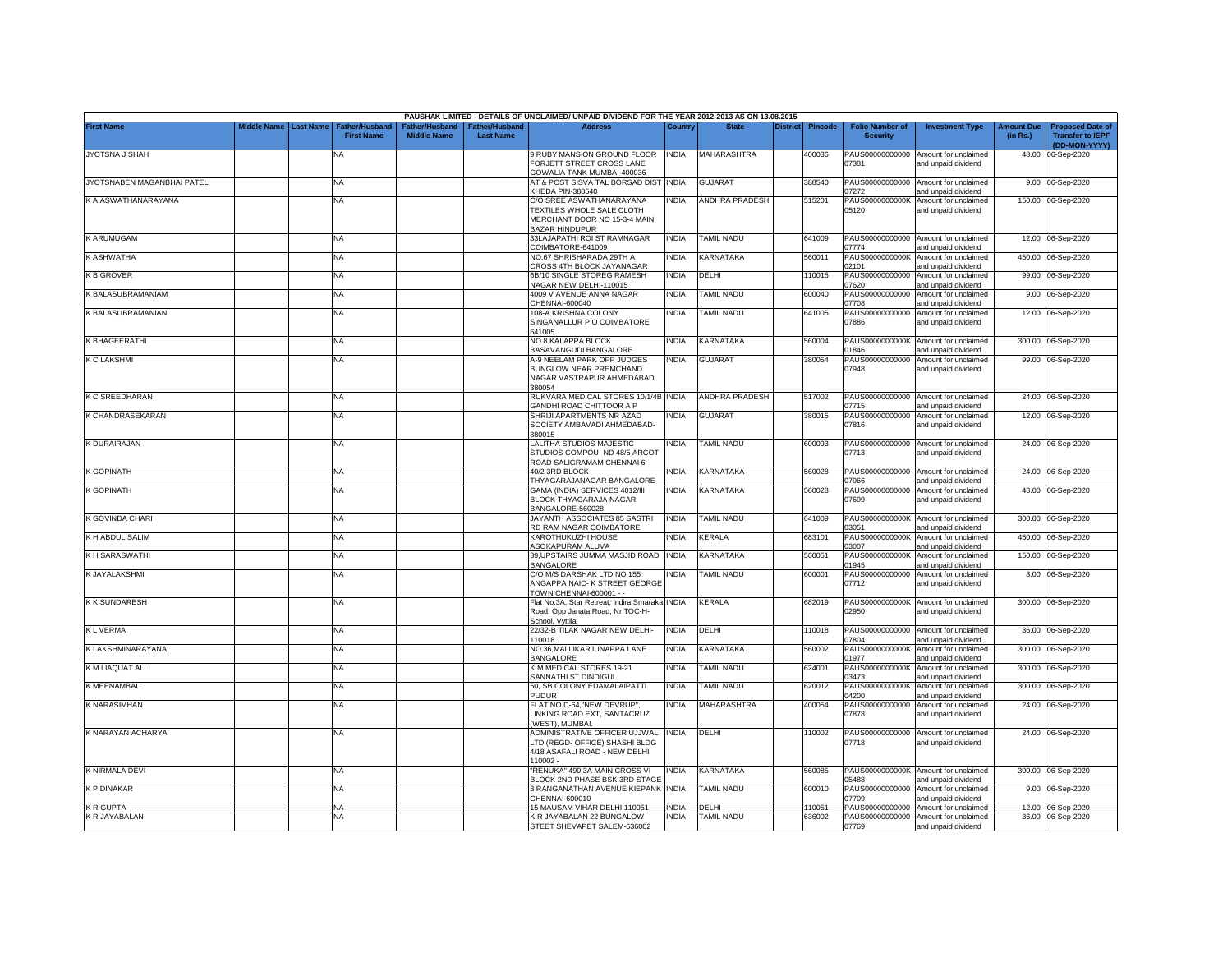|                            |             |                  |                                            |                                                  |                                   | PAUSHAK LIMITED - DETAILS OF UNCLAIMED/ UNPAID DIVIDEND FOR THE YEAR 2012-2013 AS ON 13.08.2015                |                       |                            |                 |                  |                                             |                                                                     |                               |                                                                     |
|----------------------------|-------------|------------------|--------------------------------------------|--------------------------------------------------|-----------------------------------|----------------------------------------------------------------------------------------------------------------|-----------------------|----------------------------|-----------------|------------------|---------------------------------------------|---------------------------------------------------------------------|-------------------------------|---------------------------------------------------------------------|
| <b>First Name</b>          | Middle Name | <b>Last Name</b> | <b>Father/Husband</b><br><b>First Name</b> | ather/Husband <sup>:</sup><br><b>Middle Name</b> | ather/Husband<br><b>Last Name</b> | <b>Address</b>                                                                                                 | Country               | <b>State</b>               | <b>District</b> | <b>Pincode</b>   | <b>Folio Number of</b><br><b>Security</b>   | <b>Investment Type</b>                                              | <b>Amount Due</b><br>(in Rs.) | <b>Proposed Date of</b><br><b>Transfer to IEPF</b><br>(DD-MON-YYYY) |
| JYOTSNA J SHAH             |             |                  | NA                                         |                                                  |                                   | 9 RUBY MANSION GROUND FLOOR<br>FORJETT STREET CROSS LANE<br>GOWALIA TANK MUMBAI-400036                         | INDIA                 | MAHARASHTRA                |                 | 400036           | PAUS00000000000<br>07381                    | Amount for unclaimed<br>and unpaid dividend                         |                               | 48.00 06-Sep-2020                                                   |
| JYOTSNABEN MAGANBHAI PATEL |             |                  | <b>NA</b>                                  |                                                  |                                   | AT & POST SISVA TAL BORSAD DIST<br><b>CHEDA PIN-388540</b>                                                     | <b>INDIA</b>          | <b>GUJARAT</b>             |                 | 388540           | PAUS00000000000<br>07272                    | Amount for unclaimed<br>and unpaid dividend                         |                               | 9.00 06-Sep-2020                                                    |
| K A ASWATHANARAYANA        |             |                  | <b>NA</b>                                  |                                                  |                                   | C/O SREE ASWATHANARAYANA<br>TEXTILES WHOLE SALE CLOTH<br>MERCHANT DOOR NO 15-3-4 MAIN<br><b>BAZAR HINDUPUR</b> | INDIA                 | ANDHRA PRADESH             |                 | 515201           | PAUS0000000000K<br>05120                    | Amount for unclaimed<br>and unpaid dividend                         |                               | 150.00 06-Sep-2020                                                  |
| K ARUMUGAM                 |             |                  | <b>NA</b>                                  |                                                  |                                   | 33LAJAPATHI ROI ST RAMNAGAR<br>COIMBATORE-641009                                                               | INDIA                 | TAMIL NADU                 |                 | 641009           | PAUS00000000000<br>07774                    | Amount for unclaimed<br>and unpaid dividend                         | 12.00                         | 06-Sep-2020                                                         |
| K ASHWATHA                 |             |                  | NA                                         |                                                  |                                   | <b>VO.67 SHRISHARADA 29TH A</b><br>CROSS 4TH BLOCK JAYANAGAR                                                   | <b>INDIA</b>          | KARNATAKA                  |                 | 560011           | PAUS0000000000K<br>2101                     | Amount for unclaimed<br>and unpaid dividend                         |                               | 450.00 06-Sep-2020                                                  |
| <b>K B GROVER</b>          |             |                  | ΝA                                         |                                                  |                                   | 6B/10 SINGLE STOREG RAMESH<br>NAGAR NEW DELHI-110015                                                           | INDIA                 | DELHI                      |                 | 10015            | PAUS00000000000<br>07620                    | Amount for unclaimed<br>and unpaid dividend                         |                               | 99.00 06-Sep-2020                                                   |
| K BALASUBRAMANIAM          |             |                  | <b>NA</b>                                  |                                                  |                                   | 4009 V AVENUE ANNA NAGAR<br>CHENNAI-600040                                                                     | INDIA                 | <b>TAMIL NADU</b>          |                 | 600040           | PAUS00000000000<br>07708                    | Amount for unclaimed<br>and unpaid dividend                         |                               | 9.00 06-Sep-2020                                                    |
| K BALASUBRAMANIAN          |             |                  | <b>NA</b>                                  |                                                  |                                   | 108-A KRISHNA COLONY<br>SINGANALLUR P O COIMBATORE<br>641005                                                   | INDIA                 | <b>TAMIL NADU</b>          |                 | 641005           | PAUS00000000000<br>07886                    | Amount for unclaimed<br>and unpaid dividend                         |                               | 12.00 06-Sep-2020                                                   |
| K BHAGEERATHI              |             |                  | <b>NA</b>                                  |                                                  |                                   | NO 8 KALAPPA BLOCK<br>BASAVANGUDI BANGALORE                                                                    | INDIA                 | KARNATAKA                  |                 | 560004           | PAUS0000000000K<br>01846                    | Amount for unclaimed<br>and unpaid dividend                         |                               | 300.00 06-Sep-2020                                                  |
| <b>K C LAKSHMI</b>         |             |                  | <b>NA</b>                                  |                                                  |                                   | A-9 NEELAM PARK OPP JUDGES<br>BUNGLOW NEAR PREMCHAND<br>NAGAR VASTRAPUR AHMEDABAD<br>380054                    | india                 | <b>GUJARAT</b>             |                 | 380054           | PAUS00000000000<br>07948                    | Amount for unclaimed<br>and unpaid dividend                         | 99.00                         | 06-Sep-2020                                                         |
| K C SREEDHARAN             |             |                  | <b>NA</b>                                  |                                                  |                                   | RUKVARA MEDICAL STORES 10/1/4B INDIA<br><b>GANDHI ROAD CHITTOOR A P</b>                                        |                       | ANDHRA PRADESH             |                 | 517002           | 07715                                       | PAUS00000000000 Amount for unclaimed<br>and unpaid dividend         |                               | 24.00 06-Sep-2020                                                   |
| K CHANDRASEKARAN           |             |                  | NA                                         |                                                  |                                   | SHRIJI APARTMENTS NR AZAD<br>SOCIETY AMBAVADI AHMEDABAD-<br>380015                                             | NDIA                  | <b>GUJARAT</b>             |                 | 380015           | PAUS00000000000<br>07816                    | Amount for unclaimed<br>and unpaid dividend                         |                               | 12.00 06-Sep-2020                                                   |
| K DURAIRAJAN               |             |                  | <b>NA</b>                                  |                                                  |                                   | LALITHA STUDIOS MAJESTIC<br>STUDIOS COMPOU- ND 48/5 ARCOT<br>ROAD SALIGRAMAM CHENNAI 6-                        | india                 | <b>TAMIL NADU</b>          |                 | 600093           | 07713                                       | PAUS00000000000 Amount for unclaimed<br>and unpaid dividend         |                               | 24.00 06-Sep-2020                                                   |
| K GOPINATH                 |             |                  | <b>NA</b>                                  |                                                  |                                   | 40/2 3RD BLOCK<br>THYAGARAJANAGAR BANGALORE                                                                    | India                 | KARNATAKA                  |                 | 560028           | 07966                                       | PAUS00000000000 Amount for unclaimed<br>and unpaid dividend         |                               | 24.00 06-Sep-2020                                                   |
| K GOPINATH                 |             |                  | NA                                         |                                                  |                                   | GAMA (INDIA) SERVICES 4012/III<br><b>BLOCK THYAGARAJA NAGAR</b><br>BANGALORE-560028                            | india                 | KARNATAKA                  |                 | 560028           | PAUS00000000000<br>07699                    | Amount for unclaimed<br>and unpaid dividend                         |                               | 48.00 06-Sep-2020                                                   |
| K GOVINDA CHARI            |             |                  | <b>NA</b>                                  |                                                  |                                   | JAYANTH ASSOCIATES 85 SASTRI<br>RD RAM NAGAR COIMBATORE                                                        | india                 | <b>TAMIL NADU</b>          |                 | 641009           | PAUS0000000000K<br>03051                    | Amount for unclaimed<br>and unpaid dividend                         |                               | 300.00 06-Sep-2020                                                  |
| K H ABDUL SALIM            |             |                  | <b>NA</b>                                  |                                                  |                                   | KAROTHUKUZHI HOUSE<br><b>ASOKAPURAM ALUVA</b>                                                                  | india                 | KERALA                     |                 | 683101           | PAUS0000000000K<br>03007                    | Amount for unclaimed<br>and unpaid dividend                         |                               | 450.00 06-Sep-2020                                                  |
| K H SARASWATHI             |             |                  | <b>NA</b>                                  |                                                  |                                   | 39, UPSTAIRS JUMMA MASJID ROAD INDIA<br><b>BANGALORE</b>                                                       |                       | KARNATAKA                  |                 | 560051           | PAUS0000000000K<br>01945                    | Amount for unclaimed<br>and unpaid dividend                         |                               | 150.00 06-Sep-2020                                                  |
| K JAYALAKSHMI              |             |                  | ΝA                                         |                                                  |                                   | C/O M/S DARSHAK LTD NO 155<br>ANGAPPA NAIC- K STREET GEORGE<br><b>TOWN CHENNAI-600001 - -</b>                  | NDIA                  | TAMIL NADU                 |                 | 600001           | PAUS00000000000<br>07712                    | Amount for unclaimed<br>and unpaid dividend                         |                               | 3.00 06-Sep-2020                                                    |
| K K SUNDARESH              |             |                  | NA                                         |                                                  |                                   | Flat No.3A, Star Retreat, Indira Smaraka INDIA<br>Road, Opp Janata Road, Nr TOC-H-<br>School, Vyttila          |                       | KERALA                     |                 | 682019           | 02950                                       | PAUS0000000000K Amount for unclaimed<br>and unpaid dividend         |                               | 300.00 06-Sep-2020                                                  |
| <b>KLVERMA</b>             |             |                  | <b>NA</b>                                  |                                                  |                                   | 22/32-B TILAK NAGAR NEW DELHI-<br>110018                                                                       | <b>INDIA</b>          | DELHI                      |                 | 110018           | 07804                                       | PAUS00000000000 Amount for unclaimed<br>and unpaid dividend         | 36.00                         | 06-Sep-2020                                                         |
| K LAKSHMINARAYANA          |             |                  | <b>NA</b>                                  |                                                  |                                   | NO 36, MALLIKARJUNAPPA LANE<br><b>BANGALORE</b>                                                                | <b>INDIA</b>          | KARNATAKA                  |                 | 560002           | PAUS0000000000K<br>01977                    | Amount for unclaimed<br>and unpaid dividend                         | 300.00                        | 06-Sep-2020                                                         |
| K M LIAQUAT ALI            |             |                  | <b>NA</b>                                  |                                                  |                                   | K M MEDICAL STORES 19-21<br>SANNATHI ST DINDIGUL                                                               | INDIA                 | TAMIL NADU                 |                 | 624001           | PAUS0000000000K<br>03473                    | Amount for unclaimed<br>and unpaid dividend                         | 300.00                        | 06-Sep-2020                                                         |
| K MEENAMBAL                |             |                  | <b>NA</b>                                  |                                                  |                                   | 50, SB COLONY EDAMALAIPATTI<br><b>PUDUR</b>                                                                    | india                 | <b>TAMIL NADU</b>          |                 | 620012           | PAUS0000000000K<br>04200                    | Amount for unclaimed<br>and unpaid dividend                         | 300.00                        | 06-Sep-2020                                                         |
| <b>K NARASIMHAN</b>        |             |                  | <b>NA</b>                                  |                                                  |                                   | FLAT NO.D-64,"NEW DEVRUP",<br>LINKING ROAD EXT, SANTACRUZ<br>WEST), MUMBAI.                                    | india                 | <b>MAHARASHTRA</b>         |                 | 400054           | PAUS00000000000<br>07878                    | Amount for unclaimed<br>and unpaid dividend                         | 24.00                         | 06-Sep-2020                                                         |
| K NARAYAN ACHARYA          |             |                  | <b>NA</b>                                  |                                                  |                                   | ADMINISTRATIVE OFFICER UJJWAL<br>LTD (REGD- OFFICE) SHASHI BLDG<br>4/18 ASAFALI ROAD - NEW DELHI<br>10002.     | INDIA                 | DELHI                      |                 | 110002           | PAUS00000000000<br>07718                    | Amount for unclaimed<br>and unpaid dividend                         |                               | 24.00 06-Sep-2020                                                   |
| K NIRMALA DEVI             |             |                  | NA                                         |                                                  |                                   | RENUKA" 490 3A MAIN CROSS VI<br>BLOCK 2ND PHASE BSK 3RD STAGE                                                  | india                 | KARNATAKA                  |                 | 560085           | 05488                                       | PAUS0000000000K Amount for unclaimed<br>and unpaid dividend         |                               | 300.00 06-Sep-2020                                                  |
| K P DINAKAR                |             |                  | <b>NA</b>                                  |                                                  |                                   | 3 RANGANATHAN AVENUE KIEPANK INDIA<br>CHENNAI-600010                                                           |                       | <b>TAMIL NADU</b>          |                 | 600010           | PAUS00000000000<br>07709                    | Amount for unclaimed<br>and unpaid dividend                         |                               | 9.00 06-Sep-2020                                                    |
| K R GUPTA<br>K R JAYABALAN |             |                  | <b>NA</b><br>NA                            |                                                  |                                   | 15 MAUSAM VIHAR DELHI 110051<br>K R JAYABALAN 22 BUNGALOW<br>STEET SHEVAPET SALEM-636002                       | <b>INDIA</b><br>INDIA | DELHI<br><b>TAMIL NADU</b> |                 | 110051<br>636002 | PAUS00000000000<br>PAUS00000000000<br>07769 | Amount for unclaimed<br>Amount for unclaimed<br>and unpaid dividend |                               | 12.00 06-Sep-2020<br>36.00 06-Sep-2020                              |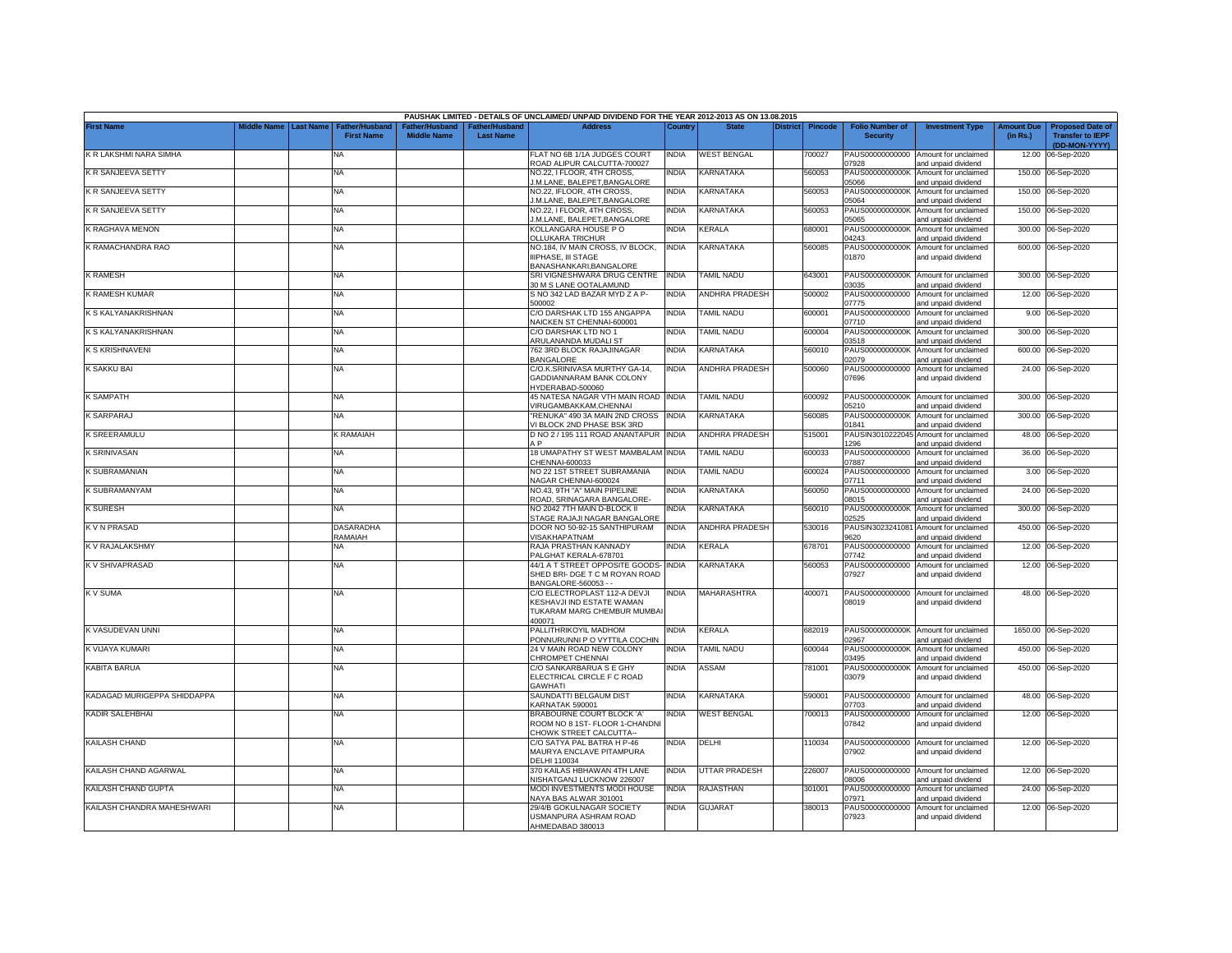|                             |             |                                       |                    |                                  | PAUSHAK LIMITED - DETAILS OF UNCLAIMED/ UNPAID DIVIDEND FOR THE YEAR 2012-2013 AS ON 13.08.2015           |              |                       |                                   |                                           |                                                             |                               |                                                                     |
|-----------------------------|-------------|---------------------------------------|--------------------|----------------------------------|-----------------------------------------------------------------------------------------------------------|--------------|-----------------------|-----------------------------------|-------------------------------------------|-------------------------------------------------------------|-------------------------------|---------------------------------------------------------------------|
| <b>First Name</b>           | Middle Name | <b>Last Name</b><br><b>First Name</b> | <b>Middle Name</b> | ther/Husband<br><b>Last Name</b> | <b>Address</b>                                                                                            | Country      |                       | <b>Pincode</b><br><b>District</b> | <b>Folio Number of</b><br><b>Security</b> | <b>Investment Type</b>                                      | <b>Amount Due</b><br>(in Rs.) | <b>Proposed Date of</b><br><b>Transfer to IEPF</b><br>(DD-MON-YYYY) |
| K R LAKSHMI NARA SIMHA      |             | <b>NA</b>                             |                    |                                  | FLAT NO 6B 1/1A JUDGES COURT<br>ROAD ALIPUR CALCUTTA-700027                                               | <b>INDIA</b> | <b>WEST BENGAL</b>    | 700027                            | PAUS00000000000<br>07928                  | Amount for unclaimed<br>and unpaid dividend                 | 12.00                         | 06-Sep-2020                                                         |
| K R SANJEEVA SETTY          |             | NA                                    |                    |                                  | NO.22, I FLOOR, 4TH CROSS,<br>.M.LANE, BALEPET, BANGALORE                                                 | <b>NDIA</b>  | KARNATAKA             | 560053                            | PAUS0000000000K<br>05066                  | Amount for unclaimed<br>and unpaid dividend                 |                               | 150.00 06-Sep-2020                                                  |
| K R SANJEEVA SETTY          |             | <b>NA</b>                             |                    |                                  | NO.22, IFLOOR, 4TH CROSS,<br>.M.LANE, BALEPET, BANGALORE                                                  | INDIA        | KARNATAKA             | 560053                            | PAUS0000000000K<br>05064                  | Amount for unclaimed<br>and unpaid dividend                 |                               | 150.00 06-Sep-2020                                                  |
| K R SANJEEVA SETTY          |             | NA                                    |                    |                                  | NO.22, I FLOOR, 4TH CROSS,<br>M.LANE. BALEPET.BANGALORE                                                   | NDIA         | KARNATAKA             | 560053                            | PAUS0000000000K<br>05065                  | Amount for unclaimed<br>and unpaid dividend                 | 150.00                        | 06-Sep-2020                                                         |
| K RAGHAVA MENON             |             | NA                                    |                    |                                  | KOLLANGARA HOUSE P O<br><b>OLLUKARA TRICHUR</b>                                                           | <b>INDIA</b> | KERALA                | 680001                            | PAUS0000000000K<br>04243                  | Amount for unclaimed<br>and unpaid dividend                 | 300.00                        | 06-Sep-2020                                                         |
| K RAMACHANDRA RAO           |             | <b>NA</b>                             |                    |                                  | NO.184, IV MAIN CROSS, IV BLOCK,<br>IIPHASE, III STAGE<br>BANASHANKARI, BANGALORE                         | <b>INDIA</b> | KARNATAKA             | 560085                            | PAUS0000000000K<br>01870                  | Amount for unclaimed<br>and unpaid dividend                 |                               | 600.00 06-Sep-2020                                                  |
| <b>K RAMESH</b>             |             | NA                                    |                    |                                  | SRI VIGNESHWARA DRUG CENTRE INDIA<br>30 M S LANE OOTALAMUND                                               |              | TAMIL NADU            | 643001                            | 03035                                     | PAUS0000000000K Amount for unclaimed<br>and unpaid dividend | 300.00                        | 06-Sep-2020                                                         |
| K RAMESH KUMAR              |             | NA                                    |                    |                                  | S NO 342 LAD BAZAR MYD Z A P-<br>500002                                                                   | <b>INDIA</b> | <b>ANDHRA PRADESH</b> | 500002                            | PAUS00000000000<br>07775                  | Amount for unclaimed<br>and unpaid dividend                 | 12.00                         | 06-Sep-2020                                                         |
| K S KALYANAKRISHNAN         |             | NA                                    |                    |                                  | C/O DARSHAK LTD 155 ANGAPPA<br>VAICKEN ST CHENNAI-600001                                                  | <b>INDIA</b> | <b>TAMIL NADU</b>     | 600001                            | PAUS00000000000<br>07710                  | Amount for unclaimed<br>and unpaid dividend                 | 9.00                          | 06-Sep-2020                                                         |
| K S KALYANAKRISHNAN         |             | <b>NA</b>                             |                    |                                  | C/O DARSHAK LTD NO 1<br>ARULANANDA MUDALI ST                                                              | <b>INDIA</b> | TAMIL NADU            | 600004                            | PAUS0000000000K<br>03518                  | Amount for unclaimed<br>and unpaid dividend                 | 300.00                        | 06-Sep-2020                                                         |
| <b>K S KRISHNAVENI</b>      |             | NA                                    |                    |                                  | 762 3RD BLOCK RAJAJINAGAR<br><b>BANGALORE</b>                                                             | <b>INDIA</b> | KARNATAKA             | 560010                            | PAUS0000000000K<br>02079                  | Amount for unclaimed<br>and unpaid dividend                 | 600.00                        | 06-Sep-2020                                                         |
| K SAKKU BAI                 |             | NA                                    |                    |                                  | C/O.K.SRINIVASA MURTHY GA-14,<br>GADDIANNARAM BANK COLONY<br>IYDERABAD-500060                             | <b>INDIA</b> | ANDHRA PRADESH        | 500060                            | PAUS00000000000<br>07696                  | Amount for unclaimed<br>and unpaid dividend                 |                               | 24.00 06-Sep-2020                                                   |
| <b>K SAMPATH</b>            |             | <b>NA</b>                             |                    |                                  | 45 NATESA NAGAR VTH MAIN ROAD INDIA<br>/IRUGAMBAKKAM.CHENNAI                                              |              | TAMIL NADU            | 600092                            | PAUS0000000000K<br>05210                  | Amount for unclaimed<br>bnebivib bironu bne                 | 300.00                        | 06-Sep-2020                                                         |
| <b>K SARPARAJ</b>           |             | <b>NA</b>                             |                    |                                  | RENUKA" 490 3A MAIN 2ND CROSS<br>I BLOCK 2ND PHASE BSK 3RD                                                | <b>INDIA</b> | <b>KARNATAKA</b>      | 60085                             | PAUS0000000000K<br>01841                  | Amount for unclaimed<br>and unpaid dividend                 | 300.00                        | 06-Sep-2020                                                         |
| <b>K SREERAMULU</b>         |             | K RAMAIAH                             |                    |                                  | D NO 2 / 195 111 ROAD ANANTAPUR INDIA<br>A P                                                              |              | ANDHRA PRADESH        | 515001                            | PAUSIN3010222045<br>1296                  | Amount for unclaimed<br>and unpaid dividend                 | 48.00                         | 06-Sep-2020                                                         |
| <b>K SRINIVASAN</b>         |             | NA                                    |                    |                                  | 18 UMAPATHY ST WEST MAMBALAM INDIA<br>CHENNAI-600033                                                      |              | TAMIL NADU            | 600033                            | PAUS00000000000<br>07887                  | Amount for unclaimed<br>and unpaid dividend                 |                               | 36.00 06-Sep-2020                                                   |
| K SUBRAMANIAN               |             | NA                                    |                    |                                  | NO 22 1ST STREET SUBRAMANIA<br>VAGAR CHENNAI-600024                                                       | <b>INDIA</b> | TAMIL NADU            | 600024                            | PAUS00000000000<br>07711                  | Amount for unclaimed<br>and unpaid dividend                 |                               | 3.00 06-Sep-2020                                                    |
| K SUBRAMANYAM               |             | NA                                    |                    |                                  | NO.43, 9TH "A" MAIN PIPELINE<br>ROAD, SRINAGARA BANGALORE-                                                | <b>INDIA</b> | KARNATAKA             | 560050                            | PAUS00000000000<br>08015                  | Amount for unclaimed<br>and unpaid dividend                 |                               | 24.00 06-Sep-2020                                                   |
| <b>K SURESH</b>             |             | <b>NA</b>                             |                    |                                  | <b>VO 2042 7TH MAIN D-BLOCK II</b><br>STAGE RAJAJI NAGAR BANGALORE                                        | <b>INDIA</b> | KARNATAKA             | 560010                            | PAUS0000000000K<br>02525                  | Amount for unclaimed<br>and unpaid dividend                 |                               | 300.00 06-Sep-2020                                                  |
| K V N PRASAD                |             | <b>DASARADHA</b><br>RAMAIAH           |                    |                                  | DOOR NO 50-92-15 SANTHIPURAM<br>/ISAKHAPATNAM                                                             | <b>INDIA</b> | <b>ANDHRA PRADESH</b> | 530016                            | PAUSIN3023241081<br>9620                  | Amount for unclaimed<br>and unpaid dividend                 |                               | 450.00 06-Sep-2020                                                  |
| K V RAJALAKSHMY             |             | NA                                    |                    |                                  | RAJA PRASTHAN KANNADY<br>ALGHAT KERALA-678701                                                             | <b>INDIA</b> | KERALA                | 678701                            | PAUS00000000000<br>07742                  | Amount for unclaimed<br>and unpaid dividend                 |                               | 12.00 06-Sep-2020                                                   |
| K V SHIVAPRASAD             |             | NA                                    |                    |                                  | 44/1 A T STREET OPPOSITE GOODS-<br>SHED BRI- DGE T C M ROYAN ROAD<br>BANGALORE-560053 - -                 | <b>INDIA</b> | KARNATAKA             | 560053                            | PAUS00000000000<br>07927                  | Amount for unclaimed<br>and unpaid dividend                 | 12.00                         | 06-Sep-2020                                                         |
| K V SUMA                    |             | NA                                    |                    |                                  | C/O ELECTROPLAST 112-A DEVJI<br><b>KESHAVJI IND ESTATE WAMAN</b><br>TUKARAM MARG CHEMBUR MUMBAI<br>100071 | <b>INDIA</b> | <b>MAHARASHTRA</b>    | 400071                            | 08019                                     | PAUS00000000000 Amount for unclaimed<br>and unpaid dividend |                               | 48.00 06-Sep-2020                                                   |
| K VASUDEVAN UNNI            |             | NA                                    |                    |                                  | <b>PALLITHRIKOYIL MADHOM</b><br>PONNURUNNI P O VYTTILA COCHIN                                             | <b>INDIA</b> | KERALA                | 682019                            | 02967                                     | PAUS0000000000K Amount for unclaimed<br>and unpaid dividend |                               | 1650.00 06-Sep-2020                                                 |
| K VIJAYA KUMARI             |             | NA                                    |                    |                                  | 24 V MAIN ROAD NEW COLONY<br>CHROMPET CHENNAI                                                             | India        | TAMIL NADU            | 600044                            | PAUS0000000000K<br>03495                  | Amount for unclaimed<br>and unpaid dividend                 | 450.00                        | 06-Sep-2020                                                         |
| KABITA BARUA                |             | <b>NA</b>                             |                    |                                  | C/O SANKARBARUA S E GHY<br>ELECTRICAL CIRCLE F C ROAD<br><b>GAWHATI</b>                                   | <b>INDIA</b> | ASSAM                 | 781001                            | PAUS0000000000K<br>03079                  | Amount for unclaimed<br>and unpaid dividend                 |                               | 450.00 06-Sep-2020                                                  |
| KADAGAD MURIGEPPA SHIDDAPPA |             | <b>NA</b>                             |                    |                                  | SAUNDATTI BELGAUM DIST<br><b>KARNATAK 590001</b>                                                          | <b>INDIA</b> | KARNATAKA             | 590001                            | PAUS00000000000<br>07703                  | Amount for unclaimed<br>and unpaid dividend                 | 48.00                         | 06-Sep-2020                                                         |
| <b>KADIR SALEHBHAI</b>      |             | NA                                    |                    |                                  | <b>BRABOURNE COURT BLOCK 'A'</b><br>ROOM NO 8 1ST- FLOOR 1-CHANDNI<br>CHOWK STREET CALCUTTA--             | INDIA        | <b>WEST BENGAL</b>    | 700013                            | PAUS00000000000<br>07842                  | Amount for unclaimed<br>and unpaid dividend                 |                               | 12.00 06-Sep-2020                                                   |
| KAILASH CHAND               |             | <b>NA</b>                             |                    |                                  | C/O SATYA PAL BATRA H P-46<br>MAURYA ENCLAVE PITAMPURA<br>DELHI 110034                                    | INDIA        | DELHI                 | 110034                            | 07902                                     | PAUS00000000000 Amount for unclaimed<br>and unpaid dividend |                               | 12.00 06-Sep-2020                                                   |
| KAILASH CHAND AGARWAL       |             | NA                                    |                    |                                  | 370 KAILAS HBHAWAN 4TH LANE<br><b>NISHATGANJ LUCKNOW 226007</b>                                           | <b>INDIA</b> | UTTAR PRADESH         | 226007                            | PAUS00000000000<br>08006                  | Amount for unclaimed<br>and unpaid dividend                 |                               | 12.00 06-Sep-2020                                                   |
| KAILASH CHAND GUPTA         |             | <b>NA</b>                             |                    |                                  | MODI INVESTMENTS MODI HOUSE<br>VAYA BAS ALWAR 301001                                                      | <b>INDIA</b> | RAJASTHAN             | 301001                            | PAUS00000000000<br>07971                  | Amount for unclaimed<br>and unpaid dividend                 |                               | 24.00 06-Sep-2020                                                   |
| KAILASH CHANDRA MAHESHWARI  |             | <b>NA</b>                             |                    |                                  | 29/4/B GOKULNAGAR SOCIETY<br>USMANPURA ASHRAM ROAD<br>AHMEDABAD 380013                                    | <b>INDIA</b> | <b>GUJARAT</b>        | 380013                            | PAUS00000000000<br>07923                  | Amount for unclaimed<br>and unpaid dividend                 |                               | 12.00 06-Sep-2020                                                   |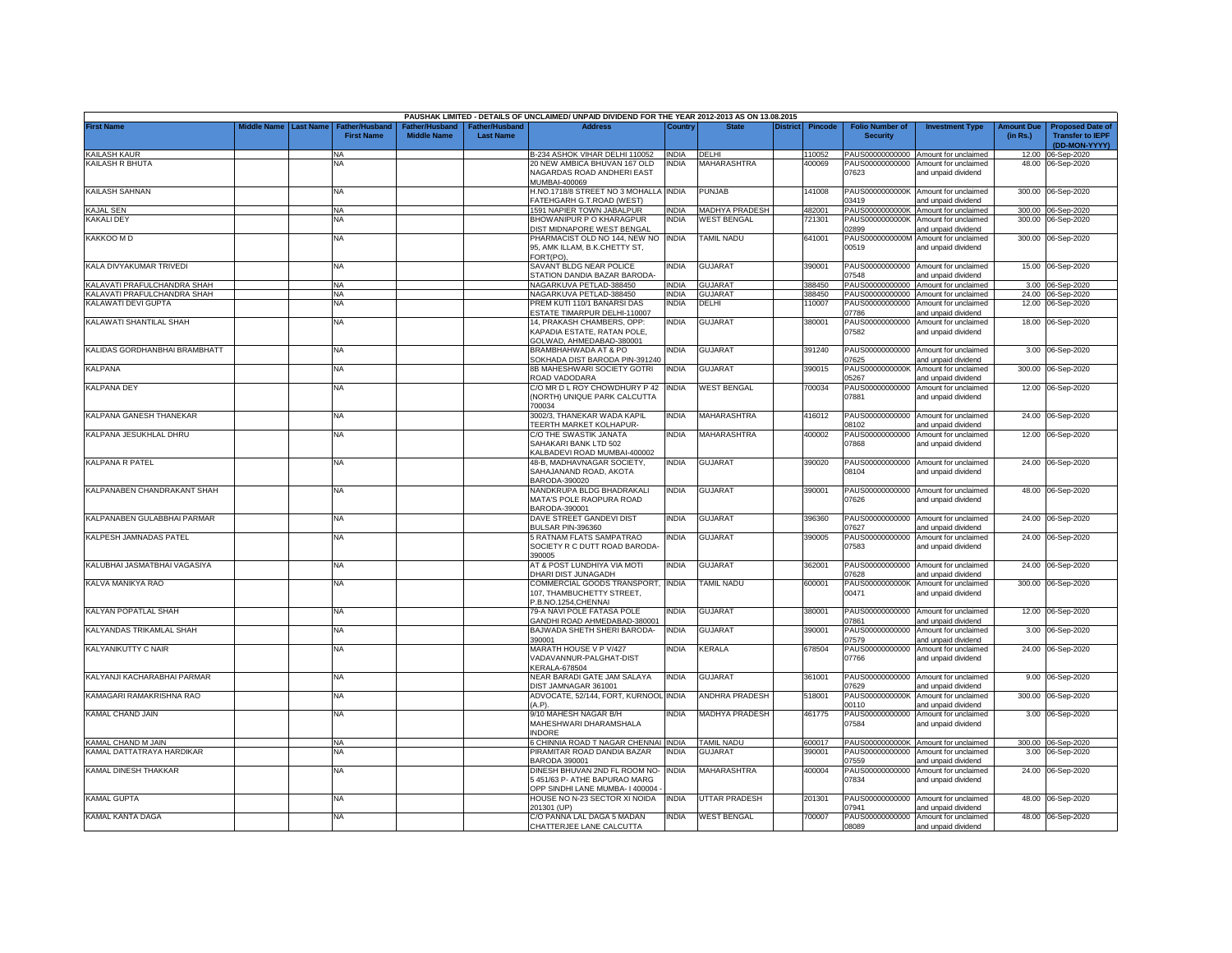|                               |                       |                                            |                                      |                                                | PAUSHAK LIMITED - DETAILS OF UNCLAIMED/ UNPAID DIVIDEND FOR THE YEAR 2012-2013 AS ON 13.08.2015 |              |                       |                 |                |                                           |                                                                    |                               |                                                                     |
|-------------------------------|-----------------------|--------------------------------------------|--------------------------------------|------------------------------------------------|-------------------------------------------------------------------------------------------------|--------------|-----------------------|-----------------|----------------|-------------------------------------------|--------------------------------------------------------------------|-------------------------------|---------------------------------------------------------------------|
| <b>First Name</b>             | Middle Name Last Name | <b>Father/Husband</b><br><b>First Name</b> | Father/Husband<br><b>Middle Name</b> | <sup>∶</sup> ather/Husband<br><b>Last Name</b> | <b>Address</b>                                                                                  | Country      | <b>State</b>          | <b>District</b> | <b>Pincode</b> | <b>Folio Number of</b><br><b>Security</b> | <b>Investment Type</b>                                             | <b>Amount Due</b><br>(in Rs.) | <b>Proposed Date of</b><br><b>Transfer to IEPF</b><br>(DD-MON-YYYY) |
| KAILASH KAUR                  |                       | NA                                         |                                      |                                                | B-234 ASHOK VIHAR DELHI 110052                                                                  | <b>INDIA</b> | <b>DFLHI</b>          |                 | 110052         | PAUS00000000000                           | Amount for unclaimed                                               |                               | 12.00 06-Sep-2020                                                   |
| KAILASH R BHUTA               |                       | NA                                         |                                      |                                                | 20 NEW AMBICA BHUVAN 167 OLD<br>NAGARDAS ROAD ANDHERI EAST<br>MUMBAI-400069                     | <b>INDIA</b> | <b>MAHARASHTRA</b>    |                 | 400069         | PAUS00000000000<br>07623                  | Amount for unclaimed<br>and unpaid dividend                        |                               | 48.00 06-Sep-2020                                                   |
| KAILASH SAHNAN                |                       | <b>NA</b>                                  |                                      |                                                | H.NO.1718/8 STREET NO 3 MOHALLA INDIA<br>ATEHGARH G.T.ROAD (WEST)                               |              | <b>PUNJAB</b>         |                 | 141008         | 03419                                     | PAUS0000000000K Amount for unclaimed<br>and unpaid dividend        |                               | 300.00 06-Sep-2020                                                  |
| KAJAL SEN                     |                       | <b>NA</b>                                  |                                      |                                                | 1591 NAPIER TOWN JABALPUR                                                                       | <b>INDIA</b> | MADHYA PRADESH        |                 | 482001         | PAUS0000000000K                           | Amount for unclaimed                                               |                               | 300.00 06-Sep-2020                                                  |
| <b>KAKALI DEY</b>             |                       | <b>NA</b>                                  |                                      |                                                | BHOWANIPUR P O KHARAGPUR<br>DIST MIDNAPORE WEST BENGAL                                          | <b>INDIA</b> | <b>WEST BENGAL</b>    |                 | 721301         | PAUS0000000000K<br>02899                  | Amount for unclaimed<br>and unpaid dividend                        |                               | 300.00 06-Sep-2020                                                  |
| KAKKOO M D                    |                       | NA                                         |                                      |                                                | PHARMACIST OLD NO 144, NEW NO<br>95, AMK ILLAM, B.K.CHETTY ST,<br>FORT(PO).                     | <b>INDIA</b> | TAMIL NADU            |                 | 641001         | PAUS0000000000M<br>00519                  | Amount for unclaimed<br>and unpaid dividend                        |                               | 300.00 06-Sep-2020                                                  |
| KALA DIVYAKUMAR TRIVEDI       |                       | NA                                         |                                      |                                                | SAVANT BLDG NEAR POLICE<br><b>TATION DANDIA BAZAR BARODA-</b>                                   | India        | <b>GUJARAT</b>        |                 | 390001         | PAUS00000000000<br>07548                  | Amount for unclaimed<br>and unpaid dividend                        |                               | 15.00 06-Sep-2020                                                   |
| KALAVATI PRAFULCHANDRA SHAH   |                       | <b>NA</b>                                  |                                      |                                                | NAGARKUVA PETLAD-388450                                                                         | INDIA        | <b>GUJARAT</b>        |                 | 388450         | PAUS00000000000                           | Amount for unclaimed                                               |                               | 3.00 06-Sep-2020                                                    |
| KALAVATI PRAFULCHANDRA SHAH   |                       | <b>NA</b>                                  |                                      |                                                | NAGARKUVA PETLAD-388450                                                                         | <b>INDIA</b> | <b>GUJARA1</b>        |                 | 388450         | PAUS00000000000                           | Amount for unclaimed                                               |                               | 24.00 06-Sep-2020                                                   |
| KALAWATI DEVI GUPTA           |                       | <b>NA</b>                                  |                                      |                                                | PREM KUTI 110/1 BANARSI DAS<br>ESTATE TIMARPUR DELHI-110007                                     | <b>INDIA</b> | DELHI                 |                 | 110007         | PAUS00000000000<br>07786                  | Amount for unclaimed<br>and unpaid dividend                        |                               | 12.00 06-Sep-2020                                                   |
| KALAWATI SHANTILAL SHAH       |                       | NA                                         |                                      |                                                | 14, PRAKASH CHAMBERS, OPP:<br>KAPADIA ESTATE, RATAN POLE,<br>GOLWAD, AHMEDABAD-380001           | <b>INDIA</b> | <b>GUJARAT</b>        |                 | 380001         | PAUS00000000000<br>07582                  | Amount for unclaimed<br>and unpaid dividend                        |                               | 18.00 06-Sep-2020                                                   |
| KALIDAS GORDHANBHAI BRAMBHATT |                       | NA                                         |                                      |                                                | BRAMBHAHWADA AT & PO<br>SOKHADA DIST BARODA PIN-391240                                          | India        | <b>GUJARAT</b>        |                 | 391240         | PAUS00000000000<br>07625                  | Amount for unclaimed<br>and unpaid dividend                        |                               | 3.00 06-Sep-2020                                                    |
| <b>KALPANA</b>                |                       | NA                                         |                                      |                                                | 8B MAHESHWARI SOCIETY GOTRI<br>ROAD VADODARA                                                    | <b>INDIA</b> | <b>GUJARAT</b>        |                 | 390015         | PAUS0000000000K<br>05267                  | Amount for unclaimed<br>and unpaid dividend                        | 300.00                        | 06-Sep-2020                                                         |
| <b>KALPANA DEY</b>            |                       | NA                                         |                                      |                                                | C/O MR D L ROY CHOWDHURY P 42<br>(NORTH) UNIQUE PARK CALCUTTA<br>200034                         | <b>INDIA</b> | <b>WEST BENGAL</b>    |                 | 700034         | PAUS00000000000<br>07881                  | Amount for unclaimed<br>and unpaid dividend                        |                               | 12.00 06-Sep-2020                                                   |
| KALPANA GANESH THANEKAR       |                       | NA                                         |                                      |                                                | 3002/3, THANEKAR WADA KAPIL<br><b>FEERTH MARKET KOLHAPUR-</b>                                   | india        | MAHARASHTRA           |                 | 416012         | PAUS00000000000<br>08102                  | Amount for unclaimed<br>and unpaid dividend                        |                               | 24.00 06-Sep-2020                                                   |
| KALPANA JESUKHLAL DHRU        |                       | NA                                         |                                      |                                                | C/O THE SWASTIK JANATA<br>SAHAKARI BANK LTD 502<br>KALBADEVI ROAD MUMBAI-400002                 | <b>INDIA</b> | MAHARASHTRA           |                 | 400002         | PAUS00000000000<br>07868                  | Amount for unclaimed<br>and unpaid dividend                        |                               | 12.00 06-Sep-2020                                                   |
| <b>KALPANA R PATEL</b>        |                       | NA                                         |                                      |                                                | 48-B, MADHAVNAGAR SOCIETY,<br>SAHAJANAND ROAD, AKOTA<br>BARODA-390020                           | NDIA         | <b>GUJARAT</b>        |                 | 390020         | 08104                                     | PAUS00000000000 Amount for unclaimed<br>and unpaid dividend        |                               | 24.00 06-Sep-2020                                                   |
| KALPANABEN CHANDRAKANT SHAH   |                       | <b>NA</b>                                  |                                      |                                                | NANDKRUPA BLDG BHADRAKALI<br>MATA'S POLE RAOPURA ROAD<br>BARODA-390001                          | <b>INDIA</b> | <b>GUJARAT</b>        |                 | 390001         | 07626                                     | PAUS00000000000 Amount for unclaimed<br>and unpaid dividend        |                               | 48.00 06-Sep-2020                                                   |
| KALPANABEN GULABBHAI PARMAR   |                       | NA                                         |                                      |                                                | DAVE STREET GANDEVI DIST<br>BULSAR PIN-396360                                                   | INDIA        | <b>GUJARAT</b>        |                 | 396360         | PAUS00000000000<br>07627                  | Amount for unclaimed<br>and unpaid dividend                        |                               | 24.00 06-Sep-2020                                                   |
| KALPESH JAMNADAS PATEL        |                       | NA                                         |                                      |                                                | 5 RATNAM FLATS SAMPATRAO<br>SOCIETY R C DUTT ROAD BARODA-<br>390005                             | INDIA        | <b>GUJARAT</b>        |                 | 390005         | PAUS00000000000<br>07583                  | Amount for unclaimed<br>and unpaid dividend                        |                               | 24.00 06-Sep-2020                                                   |
| KALUBHAI JASMATBHAI VAGASIYA  |                       | <b>NA</b>                                  |                                      |                                                | AT & POST LUNDHIYA VIA MOTI<br><b>DHARI DIST JUNAGADH</b>                                       | <b>INDIA</b> | GUJARAT               |                 | 362001         | 07628                                     | PAUS00000000000 Amount for unclaimed<br>and unpaid dividend        |                               | 24.00 06-Sep-2020                                                   |
| KALVA MANIKYA RAO             |                       | NA                                         |                                      |                                                | COMMERCIAL GOODS TRANSPORT, INDIA<br>107, THAMBUCHETTY STREET,                                  |              | TAMIL NADU            |                 | 600001         | PAUS0000000000K<br>00471                  | Amount for unclaimed<br>and unpaid dividend                        |                               | 300.00 06-Sep-2020                                                  |
| KALYAN POPATLAL SHAH          |                       | NA                                         |                                      |                                                | P.B.NO.1254.CHENNAI<br>79-A NAVI POLE FATASA POLE                                               | NDIA         | <b>GUJARAT</b>        |                 | 380001         | PAUS00000000000                           | Amount for unclaimed                                               |                               | 12.00 06-Sep-2020                                                   |
| KALYANDAS TRIKAMLAL SHAH      |                       | NA                                         |                                      |                                                | <b>GANDHI ROAD AHMEDABAD-380001</b><br>BAJWADA SHETH SHERI BARODA-<br>390001                    | INDIA        | <b>GUJARAT</b>        |                 | 390001         | 7861<br>PAUS00000000000                   | and unpaid dividend<br>Amount for unclaimed                        | 3.00                          | 06-Sep-2020                                                         |
| <b>KALYANIKUTTY C NAIR</b>    |                       | <b>NA</b>                                  |                                      |                                                | MARATH HOUSE V P V/427<br>VADAVANNUR-PALGHAT-DIST<br><b>KERALA-678504</b>                       | <b>INDIA</b> | <b>KERALA</b>         |                 | 678504         | 07579<br>PAUS00000000000<br>07766         | and unpaid dividend<br>Amount for unclaimed<br>and unpaid dividend |                               | 24.00 06-Sep-2020                                                   |
| KALYANJI KACHARABHAI PARMAR   |                       | NA                                         |                                      |                                                | NEAR BARADI GATE JAM SALAYA<br>DIST JAMNAGAR 361001                                             | <b>INDIA</b> | <b>GUJARAT</b>        |                 | 361001         | PAUS00000000000<br>07629                  | Amount for unclaimed<br>and unpaid dividend                        |                               | 9.00 06-Sep-2020                                                    |
| KAMAGARI RAMAKRISHNA RAO      |                       | NA                                         |                                      |                                                | ADVOCATE, 52/144, FORT, KURNOOL INDIA<br>(A.P).                                                 |              | <b>ANDHRA PRADESH</b> |                 | 518001         | PAUS0000000000K<br>00110                  | Amount for unclaimed                                               | 300.00                        | 06-Sep-2020                                                         |
| KAMAL CHAND JAIN              |                       | NA                                         |                                      |                                                | 9/10 MAHESH NAGAR B/H<br>MAHESHWARI DHARAMSHALA                                                 | <b>INDIA</b> | MADHYA PRADESH        |                 | 461775         | PAUS00000000000<br>07584                  | and unpaid dividend<br>Amount for unclaimed<br>and unpaid dividend |                               | 3.00 06-Sep-2020                                                    |
| KAMAL CHAND M JAIN            |                       | NA                                         |                                      |                                                | <b>INDORE</b><br>6 CHINNIA ROAD T NAGAR CHENNAI INDIA                                           |              | <b>TAMIL NADU</b>     |                 | 600017         |                                           | PAUS0000000000K Amount for unclaimed                               |                               | 300.00 06-Sep-2020                                                  |
| KAMAL DATTATRAYA HARDIKAR     |                       | NA                                         |                                      |                                                | PIRAMITAR ROAD DANDIA BAZAR<br><b>BARODA 390001</b>                                             | <b>INDIA</b> | GUJARAT               |                 | 390001         | PAUS00000000000<br>07559                  | Amount for unclaimed                                               |                               | 3.00 06-Sep-2020                                                    |
| KAMAL DINESH THAKKAR          |                       | NA                                         |                                      |                                                | DINESH BHUVAN 2ND FL ROOM NO-                                                                   | <b>INDIA</b> | MAHARASHTRA           |                 | 400004         | PAUS00000000000                           | and unpaid dividend<br>Amount for unclaimed                        |                               | 24.00 06-Sep-2020                                                   |
|                               |                       |                                            |                                      |                                                | 451/63 P- ATHE BAPURAO MARG<br>OPP SINDHI LANE MUMBA- I 400004                                  |              |                       |                 |                | 07834                                     | and unpaid dividend                                                |                               |                                                                     |
| <b>KAMAL GUPTA</b>            |                       | NA                                         |                                      |                                                | HOUSE NO N-23 SECTOR XI NOIDA<br>201301 (UP)                                                    | <b>INDIA</b> | UTTAR PRADESH         |                 | 201301         | PAUS00000000000<br>07941                  | Amount for unclaimed<br>and unpaid dividend                        |                               | 48.00 06-Sep-2020                                                   |
| KAMAL KANTA DAGA              |                       | NA                                         |                                      |                                                | C/O PANNA LAL DAGA 5 MADAN<br>CHATTERJEE LANE CALCUTTA                                          | INDIA        | <b>WEST BENGAL</b>    |                 | 700007         | 08089                                     | PAUS00000000000 Amount for unclaimed<br>and unpaid dividend        |                               | 48.00 06-Sep-2020                                                   |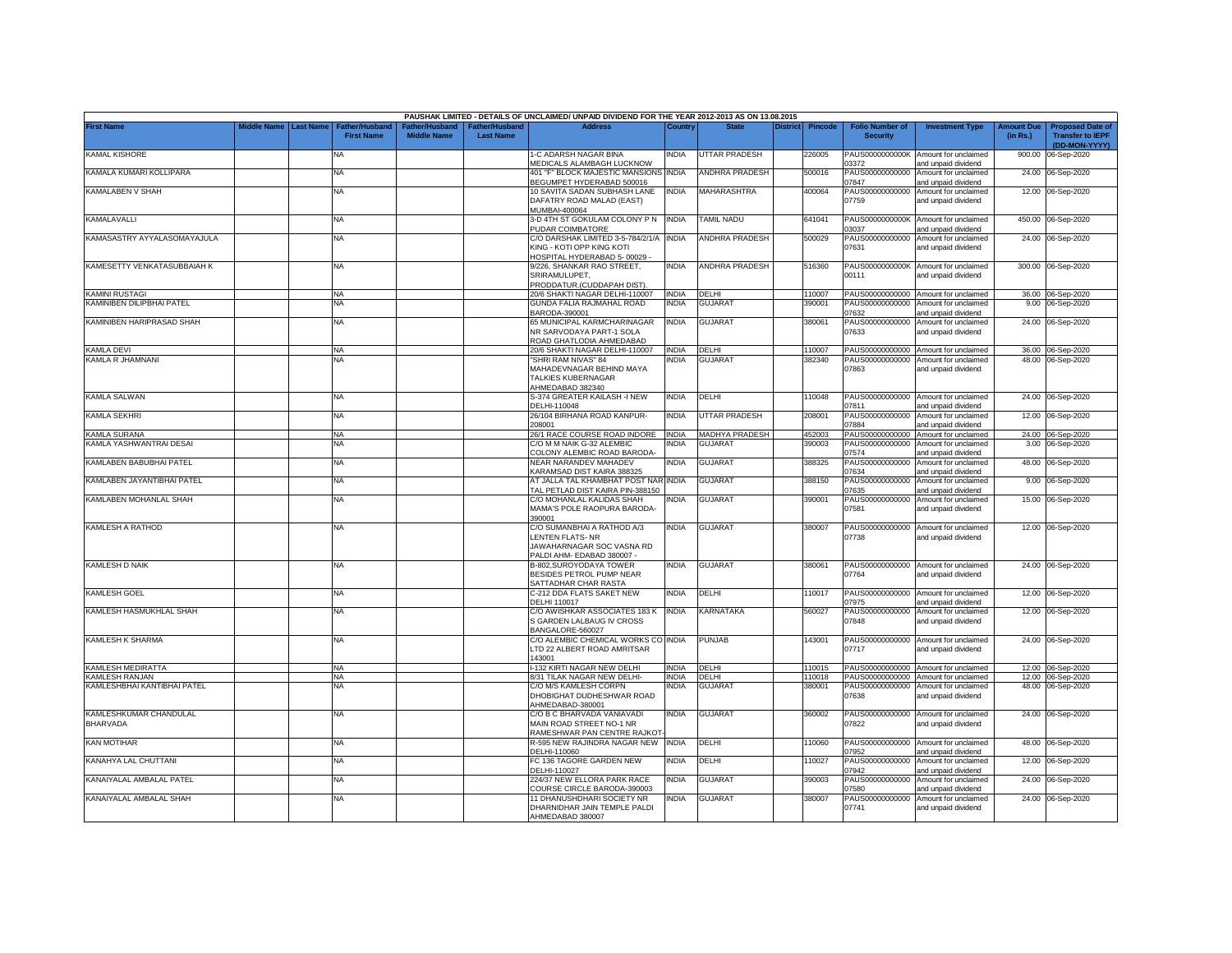|                                    |             |                  |                                     |                                      |                                           | PAUSHAK LIMITED - DETAILS OF UNCLAIMED/ UNPAID DIVIDEND FOR THE YEAR 2012-2013 AS ON 13.08.2015                 |              |                       |                 |                |                                           |                                                             |                               |                                                                     |
|------------------------------------|-------------|------------------|-------------------------------------|--------------------------------------|-------------------------------------------|-----------------------------------------------------------------------------------------------------------------|--------------|-----------------------|-----------------|----------------|-------------------------------------------|-------------------------------------------------------------|-------------------------------|---------------------------------------------------------------------|
| <b>First Name</b>                  | liddle Name | <b>Last Name</b> | Father/Husband<br><b>First Name</b> | Father/Husband<br><b>Middle Name</b> | <b>Father/Husband</b><br><b>Last Name</b> | <b>Address</b>                                                                                                  | Country      | <b>State</b>          | <b>District</b> | <b>Pincode</b> | <b>Folio Number of</b><br><b>Security</b> | <b>Investment Type</b>                                      | <b>Amount Due</b><br>(in Rs.) | <b>Proposed Date of</b><br><b>Transfer to IEPF</b><br>(DD-MON-YYYY) |
| <b>KAMAL KISHORE</b>               |             |                  | <b>NA</b>                           |                                      |                                           | 1-C ADARSH NAGAR BINA<br>MEDICALS ALAMBAGH LUCKNOW                                                              | NDIA         | UTTAR PRADESH         |                 | 226005         | PAUS0000000000K<br>03372                  | Amount for unclaimed<br>and unpaid dividend                 | 900.00                        | 06-Sep-2020                                                         |
| KAMALA KUMARI KOLLIPARA            |             |                  | <b>NA</b>                           |                                      |                                           | 401 "F" BLOCK MAJESTIC MANSIONS INDIA<br>BEGUMPET HYDERABAD 500016                                              |              | ANDHRA PRADESH        |                 | 500016         | PAUS00000000000<br>07847                  | Amount for unclaimed<br>and unpaid dividend                 |                               | 24.00 06-Sep-2020                                                   |
| KAMALABEN V SHAH                   |             |                  | <b>NA</b>                           |                                      |                                           | 10 SAVITA SADAN SUBHASH LANE<br>DAFATRY ROAD MALAD (EAST)<br>MUMBAI-400064                                      | INDIA        | <b>MAHARASHTRA</b>    |                 | 400064         | PAUS00000000000<br>07759                  | Amount for unclaimed<br>and unpaid dividend                 |                               | 12.00 06-Sep-2020                                                   |
| KAMALAVALLI                        |             |                  | NA                                  |                                      |                                           | 3-D 4TH ST GOKULAM COLONY P N<br>PUDAR COIMBATORE                                                               | <b>INDIA</b> | TAMIL NADU            |                 | 641041         | PAUS0000000000K<br>03037                  | Amount for unclaimed<br>and unpaid dividend                 |                               | 450.00 06-Sep-2020                                                  |
| KAMASASTRY AYYALASOMAYAJULA        |             |                  | <b>NA</b>                           |                                      |                                           | C/O DARSHAK LIMITED 3-5-784/2/1/A<br>KING - KOTI OPP KING KOTI<br><b>HOSPITAL HYDERABAD 5-00029</b>             | <b>INDIA</b> | <b>ANDHRA PRADESH</b> |                 | 500029         | PAUS00000000000<br>07631                  | Amount for unclaimed<br>and unpaid dividend                 |                               | 24.00 06-Sep-2020                                                   |
| KAMESETTY VENKATASUBBAIAH K        |             |                  | <b>NA</b>                           |                                      |                                           | 9/226, SHANKAR RAO STREET,<br>SRIRAMULUPET,<br><b>PRODDATUR.(CUDDAPAH DIST).</b>                                | INDIA        | <b>ANDHRA PRADESH</b> |                 | 516360         | PAUS0000000000K<br>00111                  | Amount for unclaimed<br>and unpaid dividend                 |                               | 300.00 06-Sep-2020                                                  |
| KAMINI RUSTAGI                     |             |                  | <b>NA</b>                           |                                      |                                           | 20/6 SHAKTI NAGAR DELHI-110007                                                                                  | <b>INDIA</b> | DELHI                 |                 | 110007         |                                           | PAUS00000000000 Amount for unclaimed                        |                               | 36.00 06-Sep-2020                                                   |
| KAMINIBEN DILIPBHAI PATEL          |             |                  | <b>NA</b>                           |                                      |                                           | GUNDA FALIA RAJMAHAL ROAD<br>BARODA-390001                                                                      | INDIA        | <b>GUJARAT</b>        |                 | 390001         | PAUS00000000000<br>07632                  | Amount for unclaimed<br>and unpaid dividend                 |                               | 9.00 06-Sep-2020                                                    |
| KAMINIBEN HARIPRASAD SHAH          |             |                  | <b>NA</b>                           |                                      |                                           | 65 MUNICIPAL KARMCHARINAGAR<br>NR SARVODAYA PART-1 SOLA<br>ROAD GHATLODIA AHMEDABAD                             | <b>INDIA</b> | GUJARAT               |                 | 380061         | PAUS00000000000<br>07633                  | Amount for unclaimed<br>and unpaid dividend                 |                               | 24.00 06-Sep-2020                                                   |
| <b>KAMLA DEVI</b>                  |             |                  | <b>NA</b>                           |                                      |                                           | 20/6 SHAKTI NAGAR DELHI-110007                                                                                  | <b>INDIA</b> | DELHI                 |                 | 110007         |                                           | PAUS00000000000 Amount for unclaimed                        |                               | 36.00 06-Sep-2020                                                   |
| KAMLA R JHAMNANI                   |             |                  | NA                                  |                                      |                                           | 'SHRI RAM NIVAS" 84<br>MAHADEVNAGAR BEHIND MAYA<br>TALKIES KUBERNAGAR<br>HMEDABAD 382340                        | NDIA         | <b>GUJARA</b>         |                 | 382340         | PAUS00000000000<br>07863                  | Amount for unclaimed<br>and unpaid dividend                 |                               | 48.00 06-Sep-2020                                                   |
| KAMLA SALWAN                       |             |                  | NA                                  |                                      |                                           | S-374 GREATER KAILASH -I NEW<br>DELHI-110048                                                                    | India        | DELHI                 |                 | 10048          | 07811                                     | PAUS00000000000 Amount for unclaimed<br>and unpaid dividend |                               | 24.00 06-Sep-2020                                                   |
| KAMLA SEKHRI                       |             |                  | <b>NA</b>                           |                                      |                                           | 26/104 BIRHANA ROAD KANPUR-<br>208001                                                                           | INDIA        | UTTAR PRADESH         |                 | 208001         | PAUS00000000000<br>07884                  | Amount for unclaimed<br>and unpaid dividend                 |                               | 12.00 06-Sep-2020                                                   |
| KAMLA SURANA                       |             |                  | <b>NA</b>                           |                                      |                                           | 26/1 RACE COURSE ROAD INDORE                                                                                    | <b>INDIA</b> | <b>MADHYA PRADESH</b> |                 | 452003         | PAUS00000000000                           | Amount for unclaimed                                        |                               | 24.00 06-Sep-2020                                                   |
| KAMLA YASHWANTRAI DESAI            |             |                  | ΝA                                  |                                      |                                           | C/O M M NAIK G-32 ALEMBIC<br>COLONY ALEMBIC ROAD BARODA-                                                        | NDIA         | <b>GUJARAT</b>        |                 | 390003         | PAUS00000000000<br>07574                  | Amount for unclaimed<br>and unpaid dividend                 | 3.00                          | 06-Sep-2020                                                         |
| KAMLABEN BABUBHAI PATEL            |             |                  | <b>NA</b>                           |                                      |                                           | NEAR NARANDEV MAHADEV<br>KARAMSAD DIST KAIRA 388325                                                             | India        | <b>GUJARAT</b>        |                 | 388325         | PAUS00000000000<br>07634                  | Amount for unclaimed<br>and unpaid dividend                 | 48.00                         | 06-Sep-2020                                                         |
| KAMLABEN JAYANTIBHAI PATEL         |             |                  | <b>NA</b>                           |                                      |                                           | AT JALLA TAL KHAMBHAT POST NAR INDIA<br>TAL PETLAD DIST KAIRA PIN-388150                                        |              | <b>GUJARAT</b>        |                 | 388150         | PAUS00000000000<br>07635                  | Amount for unclaimed<br>and unpaid dividend                 |                               | 9.00 06-Sep-2020                                                    |
| KAMLABEN MOHANLAL SHAH             |             |                  | NA                                  |                                      |                                           | C/O MOHANLAL KALIDAS SHAH<br>MAMA'S POLE RAOPURA BARODA-<br>390001                                              | India        | <b>GUJARAT</b>        |                 | 390001         | PAUS00000000000<br>07581                  | Amount for unclaimed<br>and unpaid dividend                 | 15.00                         | 06-Sep-2020                                                         |
| KAMLESH A RATHOD                   |             |                  | <b>NA</b>                           |                                      |                                           | C/O SUMANBHAI A RATHOD A/3<br><b>LENTEN FLATS-NR</b><br>JAWAHARNAGAR SOC VASNA RD<br>PALDI AHM- EDABAD 380007 - | india        | <b>GUJARAT</b>        |                 | 380007         | PAUS00000000000<br>07738                  | Amount for unclaimed<br>and unpaid dividend                 |                               | 12.00 06-Sep-2020                                                   |
| <b>KAMLESH D NAIK</b>              |             |                  | <b>NA</b>                           |                                      |                                           | B-802.SUROYODAYA TOWER<br>BESIDES PETROL PUMP NEAR<br>SATTADHAR CHAR RASTA                                      | <b>INDIA</b> | <b>GUJARAT</b>        |                 | 380061         | 07764                                     | PAUS00000000000 Amount for unclaimed<br>and unpaid dividend |                               | 24.00 06-Sep-2020                                                   |
| <b>KAMLESH GOEL</b>                |             |                  | <b>NA</b>                           |                                      |                                           | C-212 DDA FLATS SAKET NEW<br>DELHI 110017                                                                       | INDIA        | DELHI                 |                 | 110017         | PAUS00000000000<br>07975                  | Amount for unclaimed<br>and unpaid dividend                 |                               | 12.00 06-Sep-2020                                                   |
| KAMLESH HASMUKHLAL SHAH            |             |                  | <b>NA</b>                           |                                      |                                           | C/O AWISHKAR ASSOCIATES 183 K<br>S GARDEN LALBAUG IV CROSS<br>BANGALORE-560027                                  | <b>INDIA</b> | KARNATAKA             |                 | 560027         | PAUS00000000000<br>07848                  | Amount for unclaimed<br>and unpaid dividend                 |                               | 12.00 06-Sep-2020                                                   |
| KAMLESH K SHARMA                   |             |                  | NA                                  |                                      |                                           | C/O ALEMBIC CHEMICAL WORKS CO INDIA<br>LTD 22 ALBERT ROAD AMRITSAR<br>143001                                    |              | <b>PUNJAB</b>         |                 | 43001          | PAUS00000000000<br>07717                  | Amount for unclaimed<br>and unpaid dividend                 |                               | 24.00 06-Sep-2020                                                   |
| KAMLESH MEDIRATTA                  |             |                  | <b>NA</b>                           |                                      |                                           | 132 KIRTI NAGAR NEW DELHI                                                                                       | <b>INDIA</b> | DELHI                 |                 | 10015          | PAUS00000000000                           | Amount for unclaimed                                        |                               | 12.00 06-Sep-2020                                                   |
| KAMLESH RANJAN                     |             |                  | NA                                  |                                      |                                           | 3/31 TILAK NAGAR NEW DELHI-                                                                                     | <b>INDIA</b> | DELHI                 |                 | 10018          | PAUS00000000000                           | Amount for unclaimed                                        |                               | 12.00 06-Sep-2020                                                   |
| KAMLESHBHAI KANTIBHAI PATEL        |             |                  | ΝA                                  |                                      |                                           | C/O M/S KAMLESH CORPN<br>DHOBIGHAT DUDHESHWAR ROAD<br>HMEDABAD-380001                                           | NDIA         | <b>GUJARAT</b>        |                 | 380001         | PAUS00000000000<br>07638                  | Amount for unclaimed<br>and unpaid dividend                 |                               | 48.00 06-Sep-2020                                                   |
| KAMLESHKUMAR CHANDULAL<br>BHARVADA |             |                  | <b>NA</b>                           |                                      |                                           | C/O B C BHARVADA VANIAVADI<br>MAIN ROAD STREET NO-1 NR<br>RAMESHWAR PAN CENTRE RAJKOT                           | india        | <b>GUJARAT</b>        |                 | 360002         | 07822                                     | PAUS00000000000 Amount for unclaimed<br>and unpaid dividend |                               | 24.00 06-Sep-2020                                                   |
| <b>KAN MOTIHAR</b>                 |             |                  | <b>NA</b>                           |                                      |                                           | R-595 NEW RAJINDRA NAGAR NEW<br>DELHI-110060                                                                    | <b>INDIA</b> | DELHI                 |                 | 10060          | PAUS00000000000<br>07952                  | Amount for unclaimed<br>and unpaid dividend                 |                               | 48.00 06-Sep-2020                                                   |
| KANAHYA LAL CHUTTANI               |             |                  | <b>NA</b>                           |                                      |                                           | FC 136 TAGORE GARDEN NEW<br>DELHI-110027                                                                        | INDIA        | DELHI                 |                 | 10027          | PAUS00000000000<br>07942                  | Amount for unclaimed<br>and unpaid dividend                 |                               | 12.00 06-Sep-2020                                                   |
| KANAIYALAL AMBALAL PATEL           |             |                  | <b>NA</b>                           |                                      |                                           | 224/37 NEW ELLORA PARK RACE<br>COURSE CIRCLE BARODA-390003                                                      | <b>INDIA</b> | <b>GUJARAT</b>        |                 | 390003         | PAUS00000000000<br>07580                  | Amount for unclaimed<br>and unpaid dividend                 |                               | 24.00 06-Sep-2020                                                   |
| KANAIYALAL AMBALAL SHAH            |             |                  | <b>NA</b>                           |                                      |                                           | 11 DHANUSHDHARI SOCIETY NR<br>DHARNIDHAR JAIN TEMPLE PALDI<br>AHMEDABAD 380007                                  | india        | <b>GUJARAT</b>        |                 | 380007         | PAUS00000000000<br>07741                  | Amount for unclaimed<br>and unpaid dividend                 |                               | 24.00 06-Sep-2020                                                   |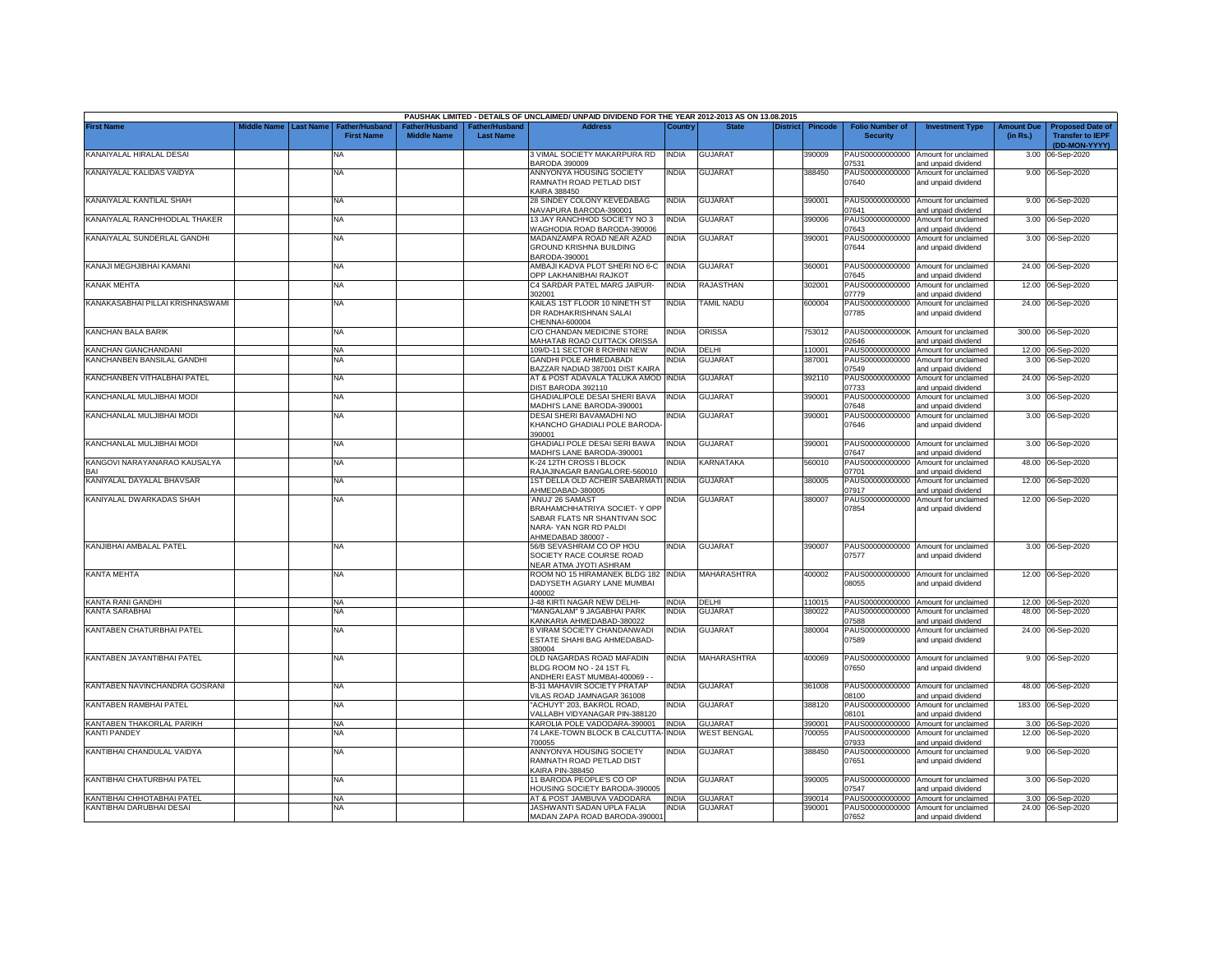|                                  |                         |                                            |                                      |                                                | PAUSHAK LIMITED - DETAILS OF UNCLAIMED/ UNPAID DIVIDEND FOR THE YEAR 2012-2013 AS ON 13.08.2015                                 |              |                    |          |                |                                           |                                                             |                               |                                                                     |
|----------------------------------|-------------------------|--------------------------------------------|--------------------------------------|------------------------------------------------|---------------------------------------------------------------------------------------------------------------------------------|--------------|--------------------|----------|----------------|-------------------------------------------|-------------------------------------------------------------|-------------------------------|---------------------------------------------------------------------|
| First Name                       | Middle Name   Last Name | <b>Father/Husband</b><br><b>First Name</b> | Father/Husband<br><b>Middle Name</b> | <sup>-</sup> ather/Husband<br><b>Last Name</b> | <b>Address</b>                                                                                                                  | Country      | <b>State</b>       | District | <b>Pincode</b> | <b>Folio Number of</b><br><b>Security</b> | <b>Investment Type</b>                                      | <b>Amount Due</b><br>(in Rs.) | <b>Proposed Date of</b><br><b>Transfer to IEPF</b><br>(DD-MON-YYYY) |
| KANAIYALAL HIRALAL DESAI         |                         | NA                                         |                                      |                                                | 3 VIMAL SOCIETY MAKARPURA RD<br><b>BARODA 390009</b>                                                                            | <b>INDIA</b> | <b>GUJARAT</b>     |          | 390009         | 07531                                     | PAUS00000000000 Amount for unclaimed<br>and unpaid dividend |                               | 3.00 06-Sep-2020                                                    |
| KANAIYALAL KALIDAS VAIDYA        |                         | <b>NA</b>                                  |                                      |                                                | ANNYONYA HOUSING SOCIETY<br>RAMNATH ROAD PETLAD DIST<br>KAIRA 388450                                                            | India        | <b>GUJARAT</b>     |          | 388450         | PAUS00000000000<br>07640                  | Amount for unclaimed<br>and unpaid dividend                 |                               | 9.00 06-Sep-2020                                                    |
| KANAIYALAL KANTILAL SHAH         |                         | NA                                         |                                      |                                                | 28 SINDEY COLONY KEVEDABAG<br>NAVAPURA BARODA-390001                                                                            | <b>INDIA</b> | <b>GUJARAT</b>     |          | 390001         | 07641                                     | PAUS00000000000 Amount for unclaimed<br>and unpaid dividend |                               | 9.00 06-Sep-2020                                                    |
| KANAIYALAL RANCHHODLAL THAKER    |                         | NA                                         |                                      |                                                | 13 JAY RANCHHOD SOCIETY NO 3<br><b>WAGHODIA ROAD BARODA-390006</b>                                                              | NDIA         | GUJARAT            |          | 390006         | PAUS00000000000<br>17643                  | Amount for unclaimed<br>and unpaid dividend                 |                               | 3.00 06-Sep-2020                                                    |
| KANAIYALAL SUNDERLAL GANDHI      |                         | NA                                         |                                      |                                                | MADANZAMPA ROAD NEAR AZAD<br>GROUND KRISHNA BUILDING<br>BARODA-390001                                                           | <b>INDIA</b> | <b>GUJARAT</b>     |          | 390001         | PAUS00000000000<br>07644                  | Amount for unclaimed<br>and unpaid dividend                 |                               | 3.00 06-Sep-2020                                                    |
| KANAJI MEGHJIBHAI KAMANI         |                         | <b>NA</b>                                  |                                      |                                                | AMBAJI KADVA PLOT SHERI NO 6-C INDIA<br>OPP LAKHANIBHAI RAJKOT                                                                  |              | <b>GUJARAT</b>     |          | 360001         | )7645                                     | PAUS00000000000 Amount for unclaimed<br>and unpaid dividend |                               | 24.00 06-Sep-2020                                                   |
| KANAK MEHTA                      |                         | NA                                         |                                      |                                                | C4 SARDAR PATEL MARG JAIPUR-<br>302001                                                                                          | <b>INDIA</b> | RAJASTHAN          |          | 302001         | 07779                                     | PAUS00000000000 Amount for unclaimed<br>and unpaid dividend |                               | 12.00 06-Sep-2020                                                   |
| KANAKASABHAI PILLAI KRISHNASWAMI |                         | NA                                         |                                      |                                                | KAILAS 1ST FLOOR 10 NINETH ST<br>DR RADHAKRISHNAN SALAI<br>CHENNAI-600004                                                       | <b>INDIA</b> | TAMIL NADU         |          | 600004         | 07785                                     | PAUS00000000000 Amount for unclaimed<br>and unpaid dividend |                               | 24.00 06-Sep-2020                                                   |
| KANCHAN BALA BARIK               |                         | NA                                         |                                      |                                                | C/O CHANDAN MEDICINE STORE<br>MAHATAB ROAD CUTTACK ORISSA                                                                       | INDIA        | ORISSA             |          | 753012         | 12646                                     | PAUS0000000000K Amount for unclaimed<br>and unpaid dividend |                               | 300.00 06-Sep-2020                                                  |
| <b>KANCHAN GIANCHANDANI</b>      |                         | NA                                         |                                      |                                                | 109/D-11 SECTOR 8 ROHINI NEW                                                                                                    | NDIA         | DELHI              |          | 10001          | PAUS00000000000                           | Amount for unclaimed                                        |                               | 12.00 06-Sep-2020                                                   |
| ANCHANBEN BANSILAL GANDHI        |                         | NA                                         |                                      |                                                | <b>GANDHI POLE AHMEDABADI</b><br>BAZZAR NADIAD 387001 DIST KAIRA                                                                | NDIA         | <b>GUJARAT</b>     |          | 387001         | PAUS00000000000<br>07549                  | Amount for unclaimed<br>and unpaid dividend                 | 3.00                          | 06-Sep-2020                                                         |
| KANCHANBEN VITHALBHAI PATEL      |                         | NA                                         |                                      |                                                | AT & POST ADAVALA TALUKA AMOD<br><b>JIST BARODA 392110</b>                                                                      | <b>INDIA</b> | <b>GUJARAT</b>     |          | 392110         | PAUS00000000000<br>7733                   | Amount for unclaimed<br>and unpaid dividend                 |                               | 24.00 06-Sep-2020                                                   |
| KANCHANLAL MULJIBHAI MODI        |                         | NA                                         |                                      |                                                | GHADIALIPOLE DESAI SHERI BAVA<br>MADHI'S LANE BARODA-390001                                                                     | <b>INDIA</b> | <b>GUJARAT</b>     |          | 390001         | PAUS00000000000<br>7648                   | Amount for unclaimed<br>and unpaid dividend                 |                               | 3.00 06-Sep-2020                                                    |
| KANCHANLAL MULJIBHAI MODI        |                         | <b>NA</b>                                  |                                      |                                                | DESAI SHERI BAVAMADHI NO<br>KHANCHO GHADIALI POLE BARODA-<br>390001                                                             | NDIA         | <b>GUJARAT</b>     |          | 390001         | PAUS00000000000<br>07646                  | Amount for unclaimed<br>and unpaid dividend                 |                               | 3.00 06-Sep-2020                                                    |
| KANCHANLAL MULJIBHAI MODI        |                         | <b>NA</b>                                  |                                      |                                                | GHADIALI POLE DESAI SERI BAWA<br>MADHI'S LANE BARODA-390001                                                                     | <b>INDIA</b> | GUJARAT            |          | 390001         | 07647                                     | PAUS00000000000 Amount for unclaimed<br>and unpaid dividend |                               | 3.00 06-Sep-2020                                                    |
| KANGOVI NARAYANARAO KAUSALYA     |                         | NA                                         |                                      |                                                | K-24 12TH CROSS I BLOCK<br>RAJAJINAGAR BANGALORE-560010                                                                         | <b>INDIA</b> | KARNATAKA          |          | 560010         | 07701                                     | PAUS00000000000 Amount for unclaimed<br>and unpaid dividend | 48.00                         | 06-Sep-2020                                                         |
| KANIYALAL DAYALAL BHAVSAR        |                         | NA                                         |                                      |                                                | 1ST DELLA OLD ACHEIR SABARMATI INDIA<br>AHMEDABAD-380005                                                                        |              | <b>GUJARAT</b>     |          | 380005         | PAUS00000000000<br>)7917                  | Amount for unclaimed<br>and unpaid dividend                 |                               | 12.00 06-Sep-2020                                                   |
| KANIYALAL DWARKADAS SHAH         |                         | NA                                         |                                      |                                                | 'ANUJ' 26 SAMAST<br>BRAHAMCHHATRIYA SOCIET- Y OPP<br>SABAR FLATS NR SHANTIVAN SOC<br>NARA- YAN NGR RD PALDI<br>AHMEDABAD 380007 | <b>INDIA</b> | <b>GUJARAT</b>     |          | 380007         | PAUS00000000000<br>07854                  | Amount for unclaimed<br>and unpaid dividend                 |                               | 12.00 06-Sep-2020                                                   |
| KANJIBHAI AMBALAL PATEL          |                         | NA                                         |                                      |                                                | 56/B SEVASHRAM CO OP HOU<br>SOCIETY RACE COURSE ROAD<br><b>VEAR ATMA JYOTI ASHRAM</b>                                           | India        | <b>GUJARAT</b>     |          | 390007         | 07577                                     | PAUS00000000000 Amount for unclaimed<br>and unpaid dividend |                               | 3.00 06-Sep-2020                                                    |
| KANTA MEHTA                      |                         | NA                                         |                                      |                                                | ROOM NO 15 HIRAMANEK BLDG 182 INDIA<br>DADYSETH AGIARY LANE MUMBAI<br>400002                                                    |              | MAHARASHTRA        |          | 400002         | 08055                                     | PAUS00000000000 Amount for unclaimed<br>and unpaid dividend |                               | 12.00 06-Sep-2020                                                   |
| KANTA RANI GANDHI                |                         | <b>NA</b>                                  |                                      |                                                | J-48 KIRTI NAGAR NEW DELHI-                                                                                                     | <b>INDIA</b> | DELHI              |          | 110015         |                                           | PAUS00000000000 Amount for unclaimed                        |                               | 12.00 06-Sep-2020                                                   |
| KANTA SARABHAI                   |                         | NA                                         |                                      |                                                | "MANGALAM" 9 JAGABHAI PARK<br>KANKARIA AHMEDABAD-380022                                                                         | <b>INDIA</b> | <b>GUJARAT</b>     |          | 380022         | 07588                                     | PAUS00000000000 Amount for unclaimed<br>and unpaid dividend |                               | 48.00 06-Sep-2020                                                   |
| KANTABEN CHATURBHAI PATEL        |                         | NA                                         |                                      |                                                | 8 VIRAM SOCIETY CHANDANWADI<br>ESTATE SHAHI BAG AHMEDABAD-<br>380004                                                            | <b>INDIA</b> | GUJARAT            |          | 380004         | PAUS00000000000<br>07589                  | Amount for unclaimed<br>and unpaid dividend                 |                               | 24.00 06-Sep-2020                                                   |
| KANTABEN JAYANTIBHAI PATEL       |                         | NA                                         |                                      |                                                | OLD NAGARDAS ROAD MAFADIN<br>BLDG ROOM NO - 24 1ST FL<br>ANDHERI EAST MUMBAI-400069 -                                           | INDIA        | MAHARASHTRA        |          | 400069         | 07650                                     | PAUS00000000000 Amount for unclaimed<br>and unpaid dividend |                               | 9.00 06-Sep-2020                                                    |
| KANTABEN NAVINCHANDRA GOSRANI    |                         | NA                                         |                                      |                                                | <b>B-31 MAHAVIR SOCIETY PRATAP</b><br>VILAS ROAD JAMNAGAR 361008                                                                | <b>INDIA</b> | <b>GUJARAT</b>     |          | 361008         | 08100                                     | PAUS00000000000 Amount for unclaimed<br>and unpaid dividend |                               | 48.00 06-Sep-2020                                                   |
| KANTABEN RAMBHAI PATEL           |                         | ΝA                                         |                                      |                                                | "ACHUYT' 203, BAKROL ROAD,<br>/ALLABH VIDYANAGAR PIN-388120                                                                     | NDIA         | GUJARAT            |          | 388120         | PAUS00000000000<br>08101                  | Amount for unclaimed<br>and unpaid dividend                 |                               | 183.00 06-Sep-2020                                                  |
| <b>KANTABEN THAKORLAL PARIKH</b> |                         | <b>NA</b>                                  |                                      |                                                | KAROLIA POLE VADODARA-390001                                                                                                    | <b>INDIA</b> | GUJARAT            |          | 390001         |                                           | PAUS00000000000 Amount for unclaimed                        |                               | 3.00 06-Sep-2020                                                    |
| <b>CANTI PANDEY</b>              |                         | NA                                         |                                      |                                                | 74 LAKE-TOWN BLOCK B CALCUTTA-<br>700055                                                                                        | INDIA        | <b>WEST BENGAL</b> |          | 700055         | PAUS00000000000<br>07933                  | Amount for unclaimed<br>and unpaid dividend                 |                               | 12.00 06-Sep-2020                                                   |
| KANTIBHAI CHANDULAL VAIDYA       |                         | NA                                         |                                      |                                                | ANNYONYA HOUSING SOCIETY<br>RAMNATH ROAD PETLAD DIST<br>KAIRA PIN-388450                                                        | INDIA        | GUJARAT            |          | 388450         | 07651                                     | PAUS00000000000 Amount for unclaimed<br>and unpaid dividend |                               | 9.00 06-Sep-2020                                                    |
| KANTIBHAI CHATURBHAI PATEL       |                         | NA                                         |                                      |                                                | 11 BARODA PEOPLE'S CO OP<br>HOUSING SOCIETY BARODA-390005                                                                       | NDIA         | <b>GUJARAT</b>     |          | 390005         | )7547                                     | PAUS00000000000 Amount for unclaimed<br>and unpaid dividend |                               | 3.00 06-Sep-2020                                                    |
| KANTIBHAI CHHOTABHAI PATEL       |                         | <b>NA</b>                                  |                                      |                                                | AT & POST JAMBUVA VADODARA                                                                                                      | <b>INDIA</b> | <b>GUJARAT</b>     |          | 390014         |                                           | PAUS00000000000 Amount for unclaimed                        |                               | 3.00 06-Sep-2020                                                    |
| KANTIBHAI DARUBHAI DESAI         |                         | NA                                         |                                      |                                                | JASHWANTI SADAN UPLA FALIA<br>MADAN ZAPA ROAD BARODA-390001                                                                     | INDIA        | <b>GUJARAT</b>     |          | 390001         | 07652                                     | PAUS00000000000 Amount for unclaimed<br>and unpaid dividend |                               | 24.00 06-Sep-2020                                                   |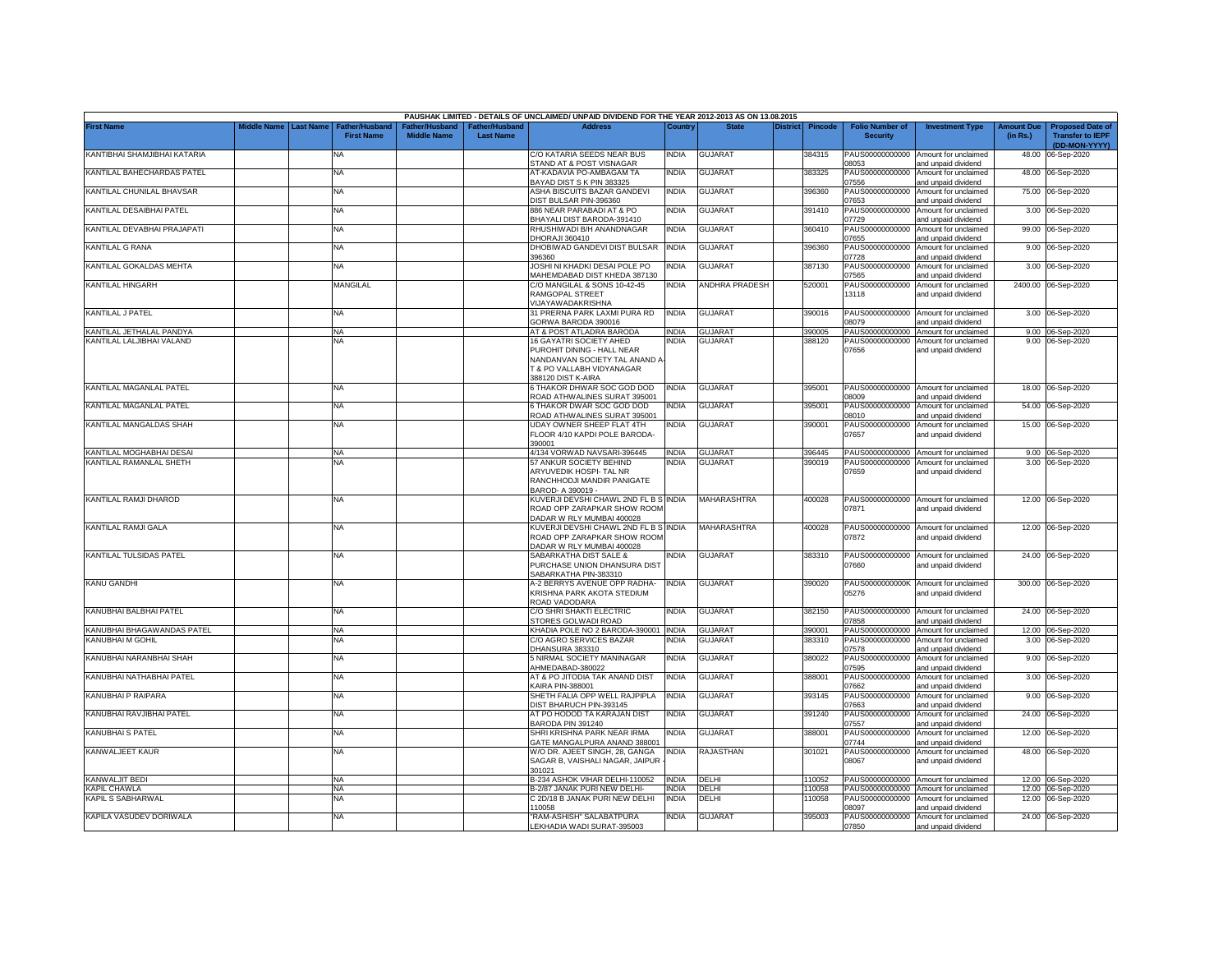|                              |                         |                                            |                    |                                   | PAUSHAK LIMITED - DETAILS OF UNCLAIMED/ UNPAID DIVIDEND FOR THE YEAR 2012-2013 AS ON 13.08.2015                                                      |              |                       |                 |                |                                           |                                                             |                               |                                                                     |
|------------------------------|-------------------------|--------------------------------------------|--------------------|-----------------------------------|------------------------------------------------------------------------------------------------------------------------------------------------------|--------------|-----------------------|-----------------|----------------|-------------------------------------------|-------------------------------------------------------------|-------------------------------|---------------------------------------------------------------------|
| <b>First Name</b>            | Middle Name   Last Name | <b>Father/Husband</b><br><b>First Name</b> | <b>Middle Name</b> | ather/Husband<br><b>Last Name</b> | <b>Address</b>                                                                                                                                       | Country      | <b>State</b>          | <b>District</b> | <b>Pincode</b> | <b>Folio Number of</b><br><b>Security</b> | <b>Investment Type</b>                                      | <b>Amount Due</b><br>(in Rs.) | <b>Proposed Date of</b><br><b>Transfer to IEPF</b><br>(DD-MON-YYYY) |
| KANTIBHAI SHAMJIBHAI KATARIA |                         | <b>NA</b>                                  |                    |                                   | C/O KATARIA SEEDS NEAR BUS<br>STAND AT & POST VISNAGAR                                                                                               | <b>INDIA</b> | <b>GUJARAT</b>        |                 | 384315         | PAUS00000000000<br>08053                  | Amount for unclaimed<br>and unpaid dividend                 | 48.00                         | 06-Sep-2020                                                         |
| KANTILAL BAHECHARDAS PATEL   |                         | <b>NA</b>                                  |                    |                                   | AT-KADAVIA PO-AMBAGAM TA<br>BAYAD DIST S K PIN 383325                                                                                                | India        | <b>GUJARAT</b>        |                 | 383325         | PAUS00000000000<br>07556                  | Amount for unclaimed<br>and unpaid dividend                 |                               | 48.00 06-Sep-2020                                                   |
| KANTILAL CHUNILAL BHAVSAR    |                         | NA                                         |                    |                                   | ASHA BISCUITS BAZAR GANDEVI<br>DIST BULSAR PIN-396360                                                                                                | <b>INDIA</b> | <b>GUJARAT</b>        |                 | 396360         | PAUS00000000000<br>07653                  | Amount for unclaimed<br>and unpaid dividend                 |                               | 75.00 06-Sep-2020                                                   |
| KANTILAL DESAIBHAI PATEL     |                         | NA                                         |                    |                                   | 886 NEAR PARABADI AT & PO<br>BHAYALI DIST BARODA-391410                                                                                              | <b>INDIA</b> | <b>GUJARAT</b>        |                 | 391410         | PAUS00000000000<br>07729                  | Amount for unclaimed<br>and unpaid dividend                 |                               | 3.00 06-Sep-2020                                                    |
| KANTILAL DEVABHAI PRAJAPATI  |                         | NA                                         |                    |                                   | RHUSHIWADI B/H ANANDNAGAR<br>HORAJI 360410                                                                                                           | <b>INDIA</b> | <b>GUJARA1</b>        |                 | 360410         | PAUS00000000000<br>07655                  | Amount for unclaimed<br>and unpaid dividend                 | 99.00                         | 06-Sep-2020                                                         |
| KANTILAL G RANA              |                         | <b>NA</b>                                  |                    |                                   | DHOBIWAD GANDEVI DIST BULSAR<br>96360                                                                                                                | <b>INDIA</b> | GUJARAT               |                 | 396360         | PAUS00000000000<br>07728                  | Amount for unclaimed<br>nd unpaid dividend                  | 9.00                          | 06-Sep-2020                                                         |
| KANTILAL GOKALDAS MEHTA      |                         | NA                                         |                    |                                   | JOSHI NI KHADKI DESAI POLE PO<br><b>MAHEMDABAD DIST KHEDA 387130</b>                                                                                 | <b>INDIA</b> | <b>GUJARAT</b>        |                 | 387130         | PAUS00000000000<br>07565                  | Amount for unclaimed<br>and unpaid dividend                 | 3.00                          | 06-Sep-2020                                                         |
| <b>KANTILAL HINGARH</b>      |                         | <b>MANGILAL</b>                            |                    |                                   | C/O MANGILAL & SONS 10-42-45<br>RAMGOPAL STREET<br>/IJAYAWADAKRISHNA                                                                                 | <b>INDIA</b> | <b>ANDHRA PRADESH</b> |                 | 520001         | PAUS00000000000<br>13118                  | Amount for unclaimed<br>and unpaid dividend                 |                               | 2400.00 06-Sep-2020                                                 |
| KANTILAL J PATEL             |                         | NA                                         |                    |                                   | 31 PRERNA PARK LAXMI PURA RD<br>GORWA BARODA 390016                                                                                                  | <b>INDIA</b> | <b>GUJARAT</b>        |                 | 390016         | PAUS00000000000<br>08079                  | Amount for unclaimed<br>and unpaid dividend                 | 3.00                          | 06-Sep-2020                                                         |
| KANTILAL JETHALAL PANDYA     |                         | <b>NA</b>                                  |                    |                                   | AT & POST ATLADRA BARODA                                                                                                                             | <b>INDIA</b> | <b>GUJARAT</b>        |                 | 390005         | PAUS00000000000                           | Amount for unclaimed                                        |                               | 9.00 06-Sep-2020                                                    |
| KANTILAL LALJIBHAI VALAND    |                         | <b>NA</b>                                  |                    |                                   | 16 GAYATRI SOCIETY AHED<br>PUROHIT DINING - HALL NEAR<br>NANDANVAN SOCIETY TAL ANAND A<br><b>F &amp; PO VALLABH VIDYANAGAR</b><br>388120 DIST K-AIRA | <b>INDIA</b> | <b>GUJARAT</b>        |                 | 388120         | PAUS00000000000<br>07656                  | Amount for unclaimed<br>and unpaid dividend                 |                               | 9.00 06-Sep-2020                                                    |
| KANTILAL MAGANLAL PATEL      |                         | NA                                         |                    |                                   | <b>STHAKOR DHWAR SOC GOD DOD</b><br><b>COAD ATHWALINES SURAT 395001</b>                                                                              | <b>INDIA</b> | <b>GUJARAT</b>        |                 | 395001         | 08009                                     | PAUS00000000000 Amount for unclaimed<br>and unpaid dividend |                               | 18.00 06-Sep-2020                                                   |
| KANTILAL MAGANLAL PATEL      |                         | NA.                                        |                    |                                   | <b>THAKOR DWAR SOC GOD DOD</b>                                                                                                                       | NDIA         | <b>GUJARAT</b>        |                 | 395001         | PAUS00000000000                           | Amount for unclaimed                                        | 54.00                         | 06-Sep-2020                                                         |
| KANTILAL MANGALDAS SHAH      |                         | NA                                         |                    |                                   | ROAD ATHWALINES SURAT 395001<br>JDAY OWNER SHEEP FLAT 4TH                                                                                            | india        | <b>GUJARAT</b>        |                 | 390001         | 08010<br>PAUS00000000000                  | and unpaid dividend<br>Amount for unclaimed                 |                               | 15.00 06-Sep-2020                                                   |
|                              |                         |                                            |                    |                                   | FLOOR 4/10 KAPDI POLE BARODA-<br>390001                                                                                                              |              |                       |                 |                | 07657                                     | and unpaid dividend                                         |                               |                                                                     |
| KANTILAL MOGHABHAI DESAI     |                         | <b>NA</b>                                  |                    |                                   | 4/134 VORWAD NAVSARI-396445                                                                                                                          | <b>INDIA</b> | <b>GUJARAT</b>        |                 | 396445         |                                           | PAUS00000000000 Amount for unclaimed                        |                               | 9.00 06-Sep-2020                                                    |
| KANTILAL RAMANLAL SHETH      |                         | <b>NA</b>                                  |                    |                                   | 57 ANKUR SOCIETY BEHIND<br>ARYUVEDIK HOSPI- TAL NR<br>RANCHHODJI MANDIR PANIGATE<br>BAROD- A 390019 -                                                | India        | <b>GUJARAT</b>        |                 | 390019         | PAUS00000000000<br>07659                  | Amount for unclaimed<br>and unpaid dividend                 |                               | 3.00 06-Sep-2020                                                    |
| KANTILAL RAMJI DHAROD        |                         | <b>NA</b>                                  |                    |                                   | (UVERJI DEVSHI CHAWL 2ND FL B S INDIA<br>ROAD OPP ZARAPKAR SHOW ROOM<br>ADAR W RLY MUMBAI 400028                                                     |              | <b>MAHARASHTRA</b>    |                 | 400028         | PAUS00000000000<br>07871                  | Amount for unclaimed<br>and unpaid dividend                 |                               | 12.00 06-Sep-2020                                                   |
| KANTILAL RAMJI GALA          |                         | NA                                         |                    |                                   | KUVERJI DEVSHI CHAWL 2ND FL B S INDIA<br>ROAD OPP ZARAPKAR SHOW ROOM<br>ADAR W RLY MUMBAI 400028                                                     |              | <b>MAHARASHTRA</b>    |                 | 400028         | 07872                                     | PAUS00000000000 Amount for unclaimed<br>and unpaid dividend |                               | 12.00 06-Sep-2020                                                   |
| KANTILAL TULSIDAS PATEL      |                         | NA                                         |                    |                                   | SABARKATHA DIST SALE &<br>PURCHASE UNION DHANSURA DIST<br>ABARKATHA PIN-383310                                                                       | NDIA         | <b>GUJARAT</b>        |                 | 383310         | 07660                                     | PAUS00000000000 Amount for unclaimed<br>and unpaid dividend |                               | 24.00 06-Sep-2020                                                   |
| <b>KANU GANDHI</b>           |                         | <b>NA</b>                                  |                    |                                   | 4-2 BERRYS AVENUE OPP RADHA-<br>KRISHNA PARK AKOTA STEDIUM<br><b>ROAD VADODARA</b>                                                                   | <b>INDIA</b> | <b>GUJARAT</b>        |                 | 390020         | 05276                                     | PAUS0000000000K Amount for unclaimed<br>and unpaid dividend |                               | 300.00 06-Sep-2020                                                  |
| KANUBHAI BALBHAI PATEL       |                         | NA                                         |                    |                                   | C/O SHRI SHAKTI ELECTRIC<br>STORES GOLWADI ROAD                                                                                                      | <b>INDIA</b> | GUJARAT               |                 | 382150         | 07858                                     | PAUS00000000000 Amount for unclaimed<br>and unpaid dividend | 24.00                         | 06-Sep-2020                                                         |
| KANUBHAI BHAGAWANDAS PATEL   |                         | NA.                                        |                    |                                   | KHADIA POLE NO 2 BARODA-390001 INDIA                                                                                                                 |              | <b>GUJARAT</b>        |                 | 390001         | PAUS00000000000                           | Amount for unclaimed                                        |                               | 12.00 06-Sep-2020                                                   |
| KANUBHAI M GOHIL             |                         | <b>NA</b>                                  |                    |                                   | C/O AGRO SERVICES BAZAR<br>DHANSURA 383310                                                                                                           | <b>INDIA</b> | <b>GUJARAT</b>        |                 | 383310         | PAUS00000000000<br>07578                  | Amount for unclaimed<br>and unpaid dividend                 | 3.00                          | 06-Sep-2020                                                         |
| KANUBHAI NARANBHAI SHAH      |                         | <b>NA</b>                                  |                    |                                   | 5 NIRMAL SOCIETY MANINAGAR<br>AHMEDABAD-380022                                                                                                       | <b>INDIA</b> | <b>GUJARAT</b>        |                 | 380022         | PAUS00000000000<br>07595                  | Amount for unclaimed<br>and unpaid dividend                 | 9.00                          | 06-Sep-2020                                                         |
| KANUBHAI NATHABHAI PATEL     |                         | NA                                         |                    |                                   | AT & PO JITODIA TAK ANAND DIST<br><b>KAIRA PIN-388001</b>                                                                                            | <b>INDIA</b> | <b>GUJARAT</b>        |                 | 388001         | PAUS00000000000<br>07662                  | Amount for unclaimed<br>and unpaid dividend                 | 3.00                          | 06-Sep-2020                                                         |
| KANUBHAI P RAIPARA           |                         | NA                                         |                    |                                   | SHETH FALIA OPP WELL RAJPIPLA<br>DIST BHARUCH PIN-393145                                                                                             | <b>INDIA</b> | <b>GUJARAT</b>        |                 | 393145         | PAUS00000000000<br>07663                  | Amount for unclaimed<br>and unpaid dividend                 | 9.00                          | 06-Sep-2020                                                         |
| KANUBHAI RAVJIBHAI PATEL     |                         | NA                                         |                    |                                   | AT PO HODOD TA KARAJAN DIST<br>BARODA PIN 391240                                                                                                     | <b>INDIA</b> | GUJARAT               |                 | 391240         | PAUS00000000000<br>07557                  | Amount for unclaimed<br>and unpaid dividend                 | 24.00                         | 06-Sep-2020                                                         |
| KANUBHAI S PATEL             |                         | <b>NA</b>                                  |                    |                                   | SHRI KRISHNA PARK NEAR IRMA<br><b>GATE MANGALPURA ANAND 388001</b>                                                                                   | NDIA         | GUJARAT               |                 | 88001          | PAUS00000000000<br>07744                  | Amount for unclaimed<br>and unpaid dividend                 | 12.00                         | 06-Sep-2020                                                         |
| KANWALJEET KAUR              |                         | <b>NA</b>                                  |                    |                                   | N/O DR. AJEET SINGH, 28, GANGA<br>SAGAR B, VAISHALI NAGAR, JAIPUR<br>301021                                                                          | india        | RAJASTHAN             |                 | 301021         | PAUS00000000000<br>08067                  | Amount for unclaimed<br>and unpaid dividend                 |                               | 48.00 06-Sep-2020                                                   |
| KANWALJIT BEDI               |                         | <b>NA</b>                                  |                    |                                   | 3-234 ASHOK VIHAR DELHI-110052                                                                                                                       | <b>INDIA</b> | DELHI                 |                 | 110052         |                                           | PAUS00000000000 Amount for unclaimed                        |                               | 12.00 06-Sep-2020                                                   |
| <b>KAPIL CHAWLA</b>          |                         | <b>NA</b>                                  |                    |                                   | B-2/87 JANAK PURI NEW DELHI-                                                                                                                         | <b>INDIA</b> | DELHI                 |                 | 110058         |                                           | PAUS00000000000 Amount for unclaimed                        |                               | 12.00 06-Sep-2020                                                   |
| KAPIL S SABHARWAL            |                         | NA                                         |                    |                                   | C 2D/18 B JANAK PURI NEW DELHI<br>10058                                                                                                              | <b>INDIA</b> | DELHI                 |                 | 10058          | PAUS00000000000<br>08097                  | Amount for unclaimed<br>and unpaid dividend                 | 12.00                         | 06-Sep-2020                                                         |
| KAPILA VASUDEV DORIWALA      |                         | NA.                                        |                    |                                   | RAM-ASHISH" SALABATPURA<br>LEKHADIA WADI SURAT-395003                                                                                                | INDIA        | <b>GUJARAT</b>        |                 | 395003         | PAUS00000000000<br>07850                  | Amount for unclaimed<br>and unpaid dividend                 |                               | 24.00 06-Sep-2020                                                   |
|                              |                         |                                            |                    |                                   |                                                                                                                                                      |              |                       |                 |                |                                           |                                                             |                               |                                                                     |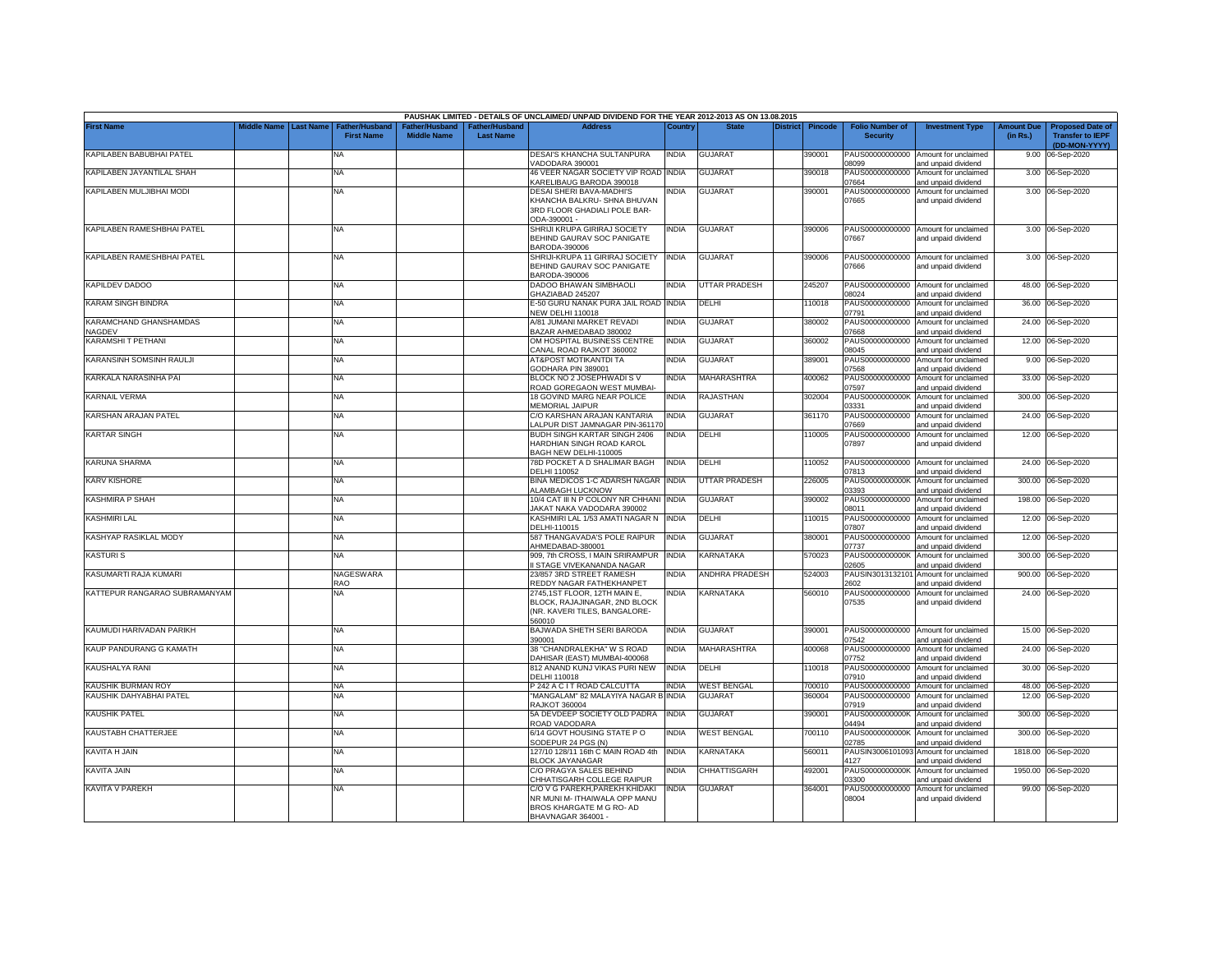|                                  |                       |                                            |                                      |                                    | PAUSHAK LIMITED - DETAILS OF UNCLAIMED/ UNPAID DIVIDEND FOR THE YEAR 2012-2013 AS ON 13.08.2015 |              |                      |          |                |                                           |                                                             |                               |                                                                     |
|----------------------------------|-----------------------|--------------------------------------------|--------------------------------------|------------------------------------|-------------------------------------------------------------------------------------------------|--------------|----------------------|----------|----------------|-------------------------------------------|-------------------------------------------------------------|-------------------------------|---------------------------------------------------------------------|
| <b>First Name</b>                | Middle Name Last Name | <b>Father/Husband</b><br><b>First Name</b> | Father/Husband<br><b>Middle Name</b> | Father/Husband<br><b>Last Name</b> | <b>Address</b>                                                                                  | Countrv      | <b>State</b>         | District | <b>Pincode</b> | <b>Folio Number of</b><br><b>Security</b> | <b>Investment Type</b>                                      | <b>Amount Due</b><br>(in Rs.) | <b>Proposed Date of</b><br><b>Transfer to IEPF</b><br>(DD-MON-YYYY) |
| KAPILABEN BABUBHAI PATEL         |                       | NA                                         |                                      |                                    | DESAI'S KHANCHA SULTANPURA<br>VADODARA 390001                                                   | <b>INDIA</b> | <b>GUJARAT</b>       |          | 390001         | 08099                                     | PAUS00000000000 Amount for unclaimed<br>and unpaid dividend |                               | 9.00 06-Sep-2020                                                    |
| KAPILABEN JAYANTILAL SHAH        |                       | <b>NA</b>                                  |                                      |                                    | 46 VEER NAGAR SOCIETY VIP ROAD INDIA<br>KARELIBAUG BARODA 390018                                |              | <b>GUJARAT</b>       |          | 390018         | PAUS00000000000<br>07664                  | Amount for unclaimed<br>and unpaid dividend                 |                               | 3.00 06-Sep-2020                                                    |
| KAPILABEN MULJIBHAI MODI         |                       | <b>NA</b>                                  |                                      |                                    | <b>DESAI SHERI BAVA-MADHI'S</b>                                                                 | India        | <b>GUJARAT</b>       |          | 390001         | PAUS00000000000                           | Amount for unclaimed                                        |                               | 3.00 06-Sep-2020                                                    |
|                                  |                       |                                            |                                      |                                    | KHANCHA BALKRU- SHNA BHUVAN<br>3RD FLOOR GHADIALI POLE BAR-<br>ODA-390001 -                     |              |                      |          |                | 07665                                     | and unpaid dividend                                         |                               |                                                                     |
| KAPILABEN RAMESHBHAI PATEL       |                       | <b>NA</b>                                  |                                      |                                    | SHRIJI KRUPA GIRIRAJ SOCIETY                                                                    | India        | <b>GUJARAT</b>       |          | 390006         |                                           | PAUS00000000000 Amount for unclaimed                        |                               | 3.00 06-Sep-2020                                                    |
|                                  |                       |                                            |                                      |                                    | BEHIND GAURAV SOC PANIGATE<br>BARODA-390006                                                     |              |                      |          |                | 07667                                     | and unpaid dividend                                         |                               |                                                                     |
| KAPILABEN RAMESHBHAI PATEL       |                       | <b>NA</b>                                  |                                      |                                    | SHRIJI-KRUPA 11 GIRIRAJ SOCIETY<br>BEHIND GAURAV SOC PANIGATE<br>BARODA-390006                  | <b>INDIA</b> | <b>GUJARAT</b>       |          | 390006         | 07666                                     | PAUS00000000000 Amount for unclaimed<br>and unpaid dividend |                               | 3.00 06-Sep-2020                                                    |
| KAPILDEV DADOO                   |                       | <b>NA</b>                                  |                                      |                                    | DADOO BHAWAN SIMBHAOLI<br>GHAZIABAD 245207                                                      | <b>INDIA</b> | UTTAR PRADESH        |          | 245207         | 18024                                     | PAUS00000000000 Amount for unclaimed<br>and unpaid dividend |                               | 48.00 06-Sep-2020                                                   |
| KARAM SINGH BINDRA               |                       | <b>NA</b>                                  |                                      |                                    | E-50 GURU NANAK PURA JAIL ROAD INDIA<br><b>NEW DELHI 110018</b>                                 |              | DELHI                |          | 110018         | 07791                                     | PAUS00000000000 Amount for unclaimed<br>and unpaid dividend |                               | 36.00 06-Sep-2020                                                   |
| KARAMCHAND GHANSHAMDAS<br>NAGDEV |                       | <b>NA</b>                                  |                                      |                                    | A/81 JUMANI MARKET REVADI<br>BAZAR AHMEDABAD 380002                                             | <b>INDIA</b> | <b>GUJARAT</b>       |          | 380002         | PAUS00000000000<br>07668                  | Amount for unclaimed<br>and unpaid dividend                 |                               | 24.00 06-Sep-2020                                                   |
| KARAMSHIT PETHANI                |                       | <b>NA</b>                                  |                                      |                                    | OM HOSPITAL BUSINESS CENTRE                                                                     | <b>INDIA</b> | <b>GUJARAT</b>       |          | 360002         | PAUS00000000000<br>18045                  | Amount for unclaimed                                        |                               | 12.00 06-Sep-2020                                                   |
| KARANSINH SOMSINH RAULJI         |                       | NA                                         |                                      |                                    | CANAL ROAD RAJKOT 360002<br>AT&POST MOTIKANTDI TA                                               | India        | GUJARAT              |          | 389001         | PAUS00000000000                           | and unpaid dividend<br>Amount for unclaimed                 |                               | 9.00 06-Sep-2020                                                    |
| KARKALA NARASINHA PAI            |                       | <b>NA</b>                                  |                                      |                                    | GODHARA PIN 389001<br>BLOCK NO 2 JOSEPHWADI S V                                                 | <b>INDIA</b> | MAHARASHTRA          |          | 400062         | 7568<br>PAUS00000000000                   | and unpaid dividend<br>Amount for unclaimed                 | 33.00                         | 06-Sep-2020                                                         |
|                                  |                       |                                            |                                      |                                    | ROAD GOREGAON WEST MUMBAI-                                                                      |              |                      |          |                | 07597                                     | ind unpaid dividend                                         |                               |                                                                     |
| <b>KARNAIL VERMA</b>             |                       | <b>NA</b>                                  |                                      |                                    | 18 GOVIND MARG NEAR POLICE<br>MEMORIAL JAIPUR                                                   | India        | <b>RAJASTHAN</b>     |          | 302004         | PAUS0000000000K<br>03331                  | Amount for unclaimed<br>and unpaid dividend                 |                               | 300.00 06-Sep-2020                                                  |
| KARSHAN ARAJAN PATEL             |                       | <b>NA</b>                                  |                                      |                                    | C/O KARSHAN ARAJAN KANTARIA<br>ALPUR DIST JAMNAGAR PIN-361170                                   | <b>INDIA</b> | <b>GUJARAT</b>       |          | 361170         | PAUS00000000000<br>7669                   | Amount for unclaimed<br>nd unpaid dividend                  |                               | 24.00 06-Sep-2020                                                   |
| <b>KARTAR SINGH</b>              |                       | <b>NA</b>                                  |                                      |                                    | BUDH SINGH KARTAR SINGH 2406<br>HARDHIAN SINGH ROAD KAROL<br>BAGH NEW DELHI-110005              | <b>INDIA</b> | <b>DELHI</b>         |          | 110005         | PAUS00000000000<br>07897                  | Amount for unclaimed<br>and unpaid dividend                 |                               | 12.00 06-Sep-2020                                                   |
| <b>KARUNA SHARMA</b>             |                       | <b>NA</b>                                  |                                      |                                    | 78D POCKET A D SHALIMAR BAGH<br>DELHI 110052                                                    | <b>INDIA</b> | DELHI                |          | 110052         | 07813                                     | PAUS00000000000 Amount for unclaimed<br>and unpaid dividend |                               | 24.00 06-Sep-2020                                                   |
| <b>KARV KISHORE</b>              |                       | <b>NA</b>                                  |                                      |                                    | BINA MEDICOS 1-C ADARSH NAGAR INDIA<br>ALAMBAGH LUCKNOW                                         |              | <b>UTTAR PRADESH</b> |          | 226005         | PAUS0000000000K<br>03393                  | Amount for unclaimed<br>and unpaid dividend                 | 300.00                        | 06-Sep-2020                                                         |
| <b>KASHMIRA P SHAH</b>           |                       | <b>NA</b>                                  |                                      |                                    | 10/4 CAT III N P COLONY NR CHHANI INDIA<br>JAKAT NAKA VADODARA 390002                           |              | <b>GUJARAT</b>       |          | 390002         | PAUS00000000000<br>08011                  | Amount for unclaimed<br>and unpaid dividend                 | 198.00                        | 06-Sep-2020                                                         |
| KASHMIRI LAL                     |                       | <b>NA</b>                                  |                                      |                                    | KASHMIRI LAL 1/53 AMATI NAGAR N<br>DELHI-110015                                                 | <b>INDIA</b> | DELHI                |          | 110015         | PAUS00000000000<br>07807                  | Amount for unclaimed<br>and unpaid dividend                 | 12.00                         | 06-Sep-2020                                                         |
| KASHYAP RASIKLAL MODY            |                       | <b>NA</b>                                  |                                      |                                    | 587 THANGAVADA'S POLE RAIPUR<br>AHMEDABAD-380001                                                | <b>INDIA</b> | <b>GUJARAT</b>       |          | 380001         | PAUS00000000000<br>07737                  | Amount for unclaimed<br>and unpaid dividend                 | 12.00                         | 06-Sep-2020                                                         |
| <b>KASTURIS</b>                  |                       | <b>NA</b>                                  |                                      |                                    | 909, 7th CROSS, I MAIN SRIRAMPUR<br>I STAGE VIVEKANANDA NAGAR                                   | <b>INDIA</b> | <b>KARNATAKA</b>     |          | 570023         | PAUS0000000000K<br>02605                  | Amount for unclaimed<br>and unpaid dividend                 | 300.00                        | 06-Sep-2020                                                         |
| KASUMARTI RAJA KUMARI            |                       | <b>NAGESWARA</b><br>RAO                    |                                      |                                    | 23/857 3RD STREET RAMESH<br>REDDY NAGAR FATHEKHANPET                                            | <b>INDIA</b> | ANDHRA PRADESH       |          | 524003         | PAUSIN301313210<br>2602                   | Amount for unclaimed<br>and unpaid dividend                 | 900.00                        | 06-Sep-2020                                                         |
| KATTEPUR RANGARAO SUBRAMANYAM    |                       | <b>NA</b>                                  |                                      |                                    | 2745,1ST FLOOR, 12TH MAIN E,                                                                    | <b>INDIA</b> | KARNATAKA            |          | 560010         | PAUS00000000000                           | Amount for unclaimed                                        | 24.00                         | 06-Sep-2020                                                         |
|                                  |                       |                                            |                                      |                                    | BLOCK, RAJAJINAGAR, 2ND BLOCK<br>(NR. KAVERI TILES, BANGALORE-<br>560010                        |              |                      |          |                | 07535                                     | and unpaid dividend                                         |                               |                                                                     |
| KAUMUDI HARIVADAN PARIKH         |                       | <b>NA</b>                                  |                                      |                                    | BAJWADA SHETH SERI BARODA<br>390001                                                             | <b>INDIA</b> | <b>GUJARAT</b>       |          | 390001         | 07542                                     | PAUS00000000000 Amount for unclaimed<br>and unpaid dividend |                               | 15.00 06-Sep-2020                                                   |
| KAUP PANDURANG G KAMATH          |                       | NA                                         |                                      |                                    | 38 "CHANDRALEKHA" W S ROAD<br>DAHISAR (EAST) MUMBAI-400068                                      | <b>INDIA</b> | MAHARASHTRA          |          | 400068         | 07752                                     | PAUS00000000000 Amount for unclaimed<br>and unpaid dividend | 24.00                         | 06-Sep-2020                                                         |
| KAUSHALYA RANI                   |                       | <b>NA</b>                                  |                                      |                                    | 812 ANAND KUNJ VIKAS PURI NEW<br>DELHI 110018                                                   | <b>INDIA</b> | DELHI                |          | 110018         | PAUS00000000000<br>07910                  | Amount for unclaimed<br>and unpaid dividend                 | 30.00                         | 06-Sep-2020                                                         |
| KAUSHIK BURMAN ROY               |                       | <b>NA</b>                                  |                                      |                                    | P 242 A C I T ROAD CALCUTTA                                                                     | <b>INDIA</b> | <b>WEST BENGAL</b>   |          | 700010         | PAUS00000000000                           | Amount for unclaimed                                        | 48.00                         | 06-Sep-2020                                                         |
| KAUSHIK DAHYABHAI PATEL          |                       | NA                                         |                                      |                                    | "MANGALAM" 82 MALAYIYA NAGAR B<br><b>RAJKOT 360004</b>                                          | <b>INDIA</b> | <b>GUJARAT</b>       |          | 360004         | PAUS00000000000<br>07919                  | Amount for unclaimed<br>and unpaid dividend                 | 12.00                         | 06-Sep-2020                                                         |
| KAUSHIK PATEL                    |                       | <b>NA</b>                                  |                                      |                                    | 5A DEVDEEP SOCIETY OLD PADRA<br>ROAD VADODARA                                                   | <b>INDIA</b> | <b>GUJARAT</b>       |          | 390001         | PAUS0000000000K<br>04494                  | Amount for unclaimed<br>and unpaid dividend                 | 300.00                        | 06-Sep-2020                                                         |
| KAUSTABH CHATTERJEE              |                       | <b>NA</b>                                  |                                      |                                    | 6/14 GOVT HOUSING STATE PO<br>SODEPUR 24 PGS (N)                                                | India        | WEST BENGAL          |          | 700110         | PAUS0000000000K<br>02785                  | Amount for unclaimed<br>and unpaid dividend                 | 300.00                        | 06-Sep-2020                                                         |
| KAVITA H JAIN                    |                       | NA                                         |                                      |                                    | 127/10 128/11 16th C MAIN ROAD 4th<br><b>BLOCK JAYANAGAR</b>                                    | <b>INDIA</b> | KARNATAKA            |          | 560011         | PAUSIN3006101093<br>1127                  | Amount for unclaimed<br>and unpaid dividend                 |                               | 1818.00 06-Sep-2020                                                 |
| KAVITA JAIN                      |                       | <b>NA</b>                                  |                                      |                                    | C/O PRAGYA SALES BEHIND<br>CHHATISGARH COLLEGE RAIPUR                                           | <b>INDIA</b> | CHHATTISGARH         |          | 492001         | PAUS0000000000K<br>03300                  | Amount for unclaimed<br>and unpaid dividend                 | 1950.00                       | 06-Sep-2020                                                         |
| <b>KAVITA V PAREKH</b>           |                       | <b>NA</b>                                  |                                      |                                    | C/O V G PAREKH,PAREKH KHIDAKI                                                                   | <b>INDIA</b> | GUJARAT              |          | 364001         |                                           | PAUS00000000000 Amount for unclaimed                        |                               | 99.00 06-Sep-2020                                                   |
|                                  |                       |                                            |                                      |                                    | NR MUNI M- ITHAIWALA OPP MANU<br>BROS KHARGATE M G RO- AD<br>BHAVNAGAR 364001 -                 |              |                      |          |                | 08004                                     | and unpaid dividend                                         |                               |                                                                     |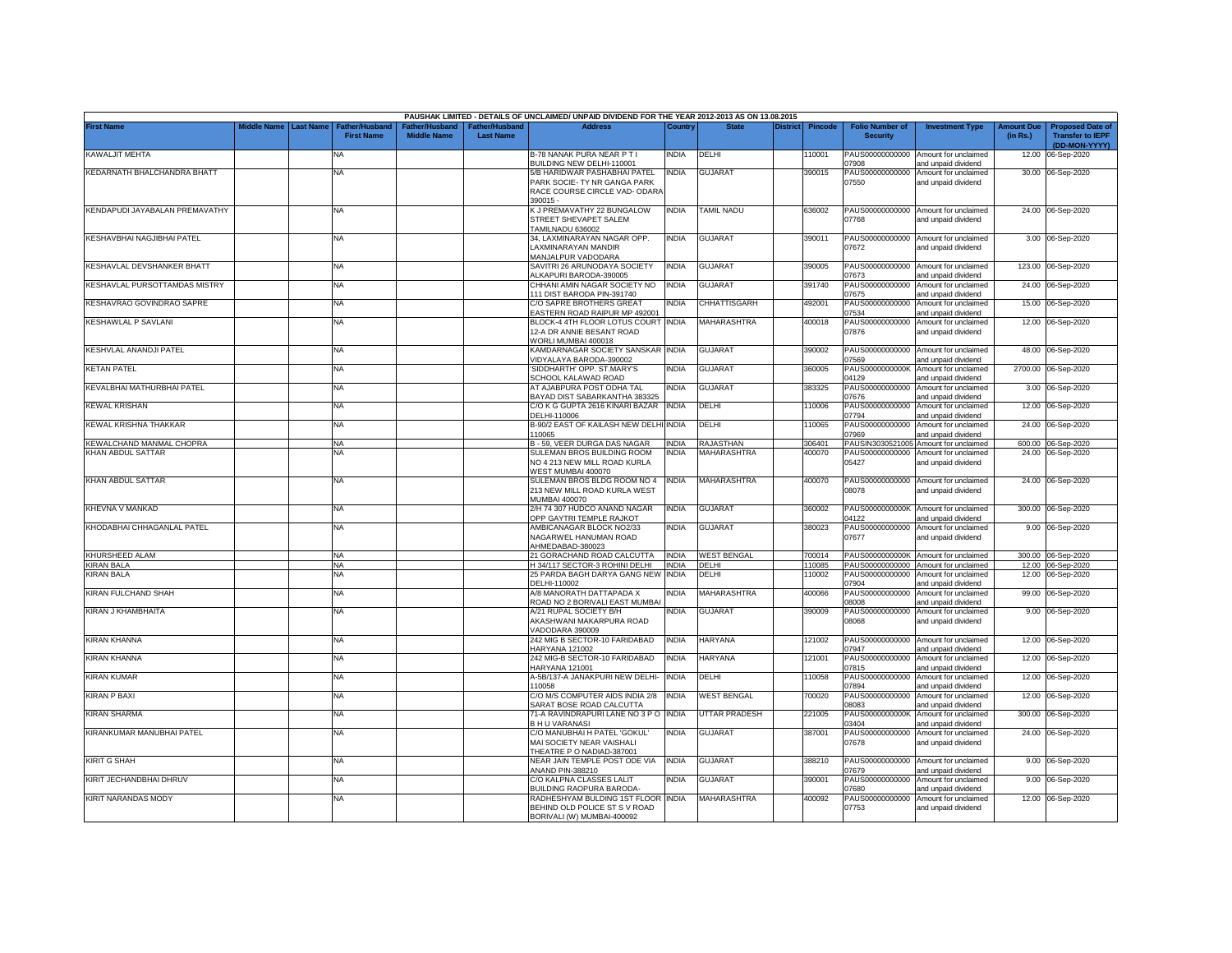|                                |             |                  |                                     |                                      |                                           | PAUSHAK LIMITED - DETAILS OF UNCLAIMED/ UNPAID DIVIDEND FOR THE YEAR 2012-2013 AS ON 13.08.2015          |              |                      |                 |                |                                           |                                                             |                               |                                                                     |
|--------------------------------|-------------|------------------|-------------------------------------|--------------------------------------|-------------------------------------------|----------------------------------------------------------------------------------------------------------|--------------|----------------------|-----------------|----------------|-------------------------------------------|-------------------------------------------------------------|-------------------------------|---------------------------------------------------------------------|
| <b>First Name</b>              | liddle Name | <b>Last Name</b> | Father/Husband<br><b>First Name</b> | Father/Husband<br><b>Middle Name</b> | <b>Father/Husband</b><br><b>Last Name</b> | <b>Address</b>                                                                                           | Country      | <b>State</b>         | <b>District</b> | <b>Pincode</b> | <b>Folio Number of</b><br><b>Security</b> | <b>Investment Type</b>                                      | <b>Amount Due</b><br>(in Rs.) | <b>Proposed Date of</b><br><b>Transfer to IEPF</b><br>(DD-MON-YYYY) |
| KAWALJIT MEHTA                 |             |                  | <b>NA</b>                           |                                      |                                           | B-78 NANAK PURA NEAR P T I<br>BUILDING NEW DELHI-110001                                                  | INDIA        | DELHI                |                 | 10001          | PAUS00000000000<br>7908                   | Amount for unclaimed<br>and unpaid dividend                 | 12.00                         | 06-Sep-2020                                                         |
| KEDARNATH BHALCHANDRA BHATT    |             |                  | <b>NA</b>                           |                                      |                                           | 5/B HARIDWAR PASHABHAI PATEL<br>PARK SOCIE- TY NR GANGA PARK<br>RACE COURSE CIRCLE VAD-ODARA<br>390015 - | INDIA        | <b>GUJARAT</b>       |                 | 390015         | PAUS00000000000<br>07550                  | Amount for unclaimed<br>and unpaid dividend                 |                               | 30.00 06-Sep-2020                                                   |
| KENDAPUDI JAYABALAN PREMAVATHY |             |                  | NA                                  |                                      |                                           | K J PREMAVATHY 22 BUNGALOW<br>STREET SHEVAPET SALEM<br>FAMILNADU 636002                                  | INDIA        | TAMIL NADU           |                 | 636002         | 07768                                     | PAUS00000000000 Amount for unclaimed<br>and unpaid dividend |                               | 24.00 06-Sep-2020                                                   |
| KESHAVBHAI NAGJIBHAI PATEL     |             |                  | <b>NA</b>                           |                                      |                                           | 34. LAXMINARAYAN NAGAR OPP.<br>LAXMINARAYAN MANDIR<br>MANJALPUR VADODARA                                 | India        | GUJARAT              |                 | 390011         | PAUS00000000000<br>07672                  | Amount for unclaimed<br>and unpaid dividend                 |                               | 3.00 06-Sep-2020                                                    |
| KESHAVLAL DEVSHANKER BHATT     |             |                  | <b>NA</b>                           |                                      |                                           | SAVITRI 26 ARUNODAYA SOCIETY<br>LKAPURI BARODA-390005                                                    | INDIA        | <b>GUJARAT</b>       |                 | 390005         | PAUS00000000000<br>07673                  | Amount for unclaimed<br>and unpaid dividend                 |                               | 123.00 06-Sep-2020                                                  |
| KESHAVLAL PURSOTTAMDAS MISTRY  |             |                  | <b>NA</b>                           |                                      |                                           | CHHANI AMIN NAGAR SOCIETY NO<br>111 DIST BARODA PIN-391740                                               | <b>INDIA</b> | <b>GUJARAT</b>       |                 | 391740         | PAUS00000000000<br>07675                  | Amount for unclaimed<br>and unpaid dividend                 |                               | 24.00 06-Sep-2020                                                   |
| KESHAVRAO GOVINDRAO SAPRE      |             |                  | <b>NA</b>                           |                                      |                                           | C/O SAPRE BROTHERS GREAT<br>EASTERN ROAD RAIPUR MP 492001                                                | NDIA         | CHHATTISGARH         |                 | 492001         | PAUS00000000000<br>07534                  | Amount for unclaimed<br>and unpaid dividend                 |                               | 15.00 06-Sep-2020                                                   |
| KESHAWLAL P SAVLANI            |             |                  | <b>NA</b>                           |                                      |                                           | BLOCK-4 4TH FLOOR LOTUS COURT INDIA<br>12-A DR ANNIE BESANT ROAD<br>VORLI MUMBAI 400018                  |              | MAHARASHTRA          |                 | 400018         | PAUS00000000000<br>07876                  | Amount for unclaimed<br>and unpaid dividend                 |                               | 12.00 06-Sep-2020                                                   |
| KESHVLAL ANANDJI PATEL         |             |                  | <b>NA</b>                           |                                      |                                           | KAMDARNAGAR SOCIETY SANSKAR<br>/IDYALAYA BARODA-390002                                                   | <b>INDIA</b> | <b>GUJARAT</b>       |                 | 390002         | PAUS00000000000<br>07569                  | Amount for unclaimed<br>and unpaid dividend                 | 48.00                         | 06-Sep-2020                                                         |
| <b>KETAN PATEL</b>             |             |                  | ΝA                                  |                                      |                                           | SIDDHARTH' OPP, ST.MARY'S<br><b>SCHOOL KALAWAD ROAD</b>                                                  | NDIA         | <b>GUJARAT</b>       |                 | 360005         | PAUS0000000000K<br>04129                  | Amount for unclaimed<br>and unpaid dividend                 |                               | 2700.00 06-Sep-2020                                                 |
| KEVALBHAI MATHURBHAI PATEL     |             |                  | NA                                  |                                      |                                           | AT AJABPURA POST ODHA TAL<br><b>BAYAD DIST SABARKANTHA 383325</b>                                        | NDIA         | <b>GUJARAT</b>       |                 | 383325         | PAUS00000000000<br>07676                  | Amount for unclaimed<br>and unpaid dividend                 |                               | 3.00 06-Sep-2020                                                    |
| <b>KEWAL KRISHAN</b>           |             |                  | ΝA                                  |                                      |                                           | C/O K G GUPTA 2616 KINARI BAZAR<br>DELHI-110006                                                          | <b>INDIA</b> | DELHI                |                 | 10006          | PAUS00000000000<br>7794                   | Amount for unclaimed<br>and unpaid dividend                 |                               | 12.00 06-Sep-2020                                                   |
| KEWAL KRISHNA THAKKAR          |             |                  | NA                                  |                                      |                                           | B-90/2 EAST OF KAILASH NEW DELHI<br>10065                                                                | <b>INDIA</b> | DELHI                |                 | 10065          | PAUS00000000000<br>07969                  | Amount for unclaimed<br>and unpaid dividend                 | 24.00                         | 06-Sep-2020                                                         |
| KEWALCHAND MANMAL CHOPRA       |             |                  | <b>NA</b>                           |                                      |                                           | B - 59, VEER DURGA DAS NAGAR                                                                             | <b>INDIA</b> | <b>RAJASTHAN</b>     |                 | 306401         | PAUSIN3030521005                          | Amount for unclaimed                                        |                               | 600.00 06-Sep-2020                                                  |
| KHAN ABDUL SATTAR              |             |                  | <b>NA</b>                           |                                      |                                           | SULEMAN BROS BUILDING ROOM<br>NO 4 213 NEW MILL ROAD KURLA<br>WEST MUMBAI 400070                         | NDIA         | MAHARASHTRA          |                 | 400070         | PAUS00000000000<br>05427                  | Amount for unclaimed<br>and unpaid dividend                 |                               | 24.00 06-Sep-2020                                                   |
| <b>KHAN ABDUL SATTAR</b>       |             |                  | <b>NA</b>                           |                                      |                                           | SULEMAN BROS BLDG ROOM NO 4<br>213 NEW MILL ROAD KURLA WEST<br>MUMBAI 400070                             | <b>INDIA</b> | <b>MAHARASHTRA</b>   |                 | 400070         | 08078                                     | PAUS00000000000 Amount for unclaimed<br>and unpaid dividend |                               | 24.00 06-Sep-2020                                                   |
| KHEVNA V MANKAD                |             |                  | <b>NA</b>                           |                                      |                                           | 2/H 74 307 HUDCO ANAND NAGAR<br>OPP GAYTRI TEMPLE RAJKOT                                                 | INDIA        | <b>GUJARAT</b>       |                 | 360002         | PAUS0000000000K<br>04122                  | Amount for unclaimed<br>and unpaid dividend                 | 300.00                        | 06-Sep-2020                                                         |
| KHODABHAI CHHAGANLAL PATEL     |             |                  | <b>NA</b>                           |                                      |                                           | AMBICANAGAR BLOCK NO2/33<br>NAGARWEL HANUMAN ROAD<br>AHMEDABAD-380023                                    | INDIA        | <b>GUJARAT</b>       |                 | 380023         | PAUS00000000000<br>07677                  | Amount for unclaimed<br>and unpaid dividend                 |                               | 9.00 06-Sep-2020                                                    |
| KHURSHEED ALAM                 |             |                  | <b>NA</b>                           |                                      |                                           | 21 GORACHAND ROAD CALCUTTA                                                                               | <b>INDIA</b> | <b>WEST BENGAL</b>   |                 | 700014         |                                           | PAUS0000000000K Amount for unclaimed                        |                               | 300.00 06-Sep-2020                                                  |
| <b>KIRAN BALA</b>              |             |                  | <b>NA</b>                           |                                      |                                           | H 34/117 SECTOR-3 ROHINI DELHI                                                                           | <b>INDIA</b> | DELHI                |                 | 110085         | PAUS00000000000                           | Amount for unclaimed                                        |                               | 12.00 06-Sep-2020                                                   |
| <b>KIRAN BALA</b>              |             |                  | <b>NA</b>                           |                                      |                                           | 25 PARDA BAGH DARYA GANG NEW<br>DELHI-110002                                                             | INDIA        | DELHI                |                 | 110002         | PAUS00000000000<br>07904                  | Amount for unclaimed<br>and unpaid dividend                 | 12.00                         | 06-Sep-2020                                                         |
| KIRAN FULCHAND SHAH            |             |                  | <b>NA</b>                           |                                      |                                           | A/8 MANORATH DATTAPADA X<br>ROAD NO 2 BORIVALI EAST MUMBAI                                               | INDIA        | MAHARASHTRA          |                 | 400066         | PAUS00000000000<br>08008                  | Amount for unclaimed<br>and unpaid dividend                 | 99.00                         | 06-Sep-2020                                                         |
| KIRAN J KHAMBHAITA             |             |                  | <b>NA</b>                           |                                      |                                           | A/21 RUPAL SOCIETY B/H<br>AKASHWANI MAKARPURA ROAD<br>VADODARA 390009                                    | NDIA         | <b>GUJARAT</b>       |                 | 390009         | PAUS00000000000<br>08068                  | Amount for unclaimed<br>and unpaid dividend                 |                               | 9.00 06-Sep-2020                                                    |
| KIRAN KHANNA                   |             |                  | <b>NA</b>                           |                                      |                                           | 242 MIG B SECTOR-10 FARIDABAD<br><b>HARYANA 121002</b>                                                   | India        | HARYANA              |                 | 121002         | PAUS00000000000<br>07947                  | Amount for unclaimed<br>and unpaid dividend                 | 12.00                         | 06-Sep-2020                                                         |
| KIRAN KHANNA                   |             |                  | NA                                  |                                      |                                           | 242 MIG-B SECTOR-10 FARIDABAD<br><b>HARYANA 121001</b>                                                   | NDIA         | <b>HARYANA</b>       |                 | 121001         | PAUS00000000000<br>07815                  | Amount for unclaimed<br>and unpaid dividend                 | 12.00                         | 06-Sep-2020                                                         |
| <b>KIRAN KUMAR</b>             |             |                  | <b>NA</b>                           |                                      |                                           | A-5B/137-A JANAKPURI NEW DELHI-<br>10058                                                                 | India        | DELHI                |                 | 10058          | PAUS00000000000<br>07894                  | Amount for unclaimed<br>and unpaid dividend                 |                               | 12.00 06-Sep-2020                                                   |
| <b>KIRAN P BAXI</b>            |             |                  | <b>NA</b>                           |                                      |                                           | C/O M/S COMPUTER AIDS INDIA 2/8<br>SARAT BOSE ROAD CALCUTTA                                              | <b>INDIA</b> | <b>WEST BENGAL</b>   |                 | 700020         | PAUS00000000000<br>08083                  | Amount for unclaimed<br>and unpaid dividend                 |                               | 12.00 06-Sep-2020                                                   |
| <b>KIRAN SHARMA</b>            |             |                  | <b>NA</b>                           |                                      |                                           | 71-A RAVINDRAPURI LANE NO 3 P O<br><b>BHU VARANASI</b>                                                   | <b>INDIA</b> | <b>JTTAR PRADESH</b> |                 | 221005         | PAUS0000000000K<br>03404                  | Amount for unclaimed<br>and unpaid dividend                 | 300.00                        | 06-Sep-2020                                                         |
| KIRANKUMAR MANUBHAI PATEL      |             |                  | <b>NA</b>                           |                                      |                                           | C/O MANUBHAI H PATEL 'GOKUL'<br>MAI SOCIETY NEAR VAISHALI<br>THEATRE P O NADIAD-387001                   | INDIA        | <b>GUJARAT</b>       |                 | 387001         | PAUS00000000000<br>07678                  | Amount for unclaimed<br>and unpaid dividend                 |                               | 24.00 06-Sep-2020                                                   |
| <b>KIRIT G SHAH</b>            |             |                  | <b>NA</b>                           |                                      |                                           | NEAR JAIN TEMPLE POST ODE VIA<br>ANAND PIN-388210                                                        | <b>INDIA</b> | <b>GUJARAT</b>       |                 | 388210         | PAUS00000000000<br>07679                  | Amount for unclaimed<br>and unpaid dividend                 |                               | 9.00 06-Sep-2020                                                    |
| KIRIT JECHANDBHAI DHRUV        |             |                  | <b>NA</b>                           |                                      |                                           | C/O KALPNA CLASSES LALIT<br>BUILDING RAOPURA BARODA-                                                     | <b>INDIA</b> | <b>GUJARAT</b>       |                 | 390001         | PAUS00000000000<br>07680                  | Amount for unclaimed<br>and unpaid dividend                 |                               | 9.00 06-Sep-2020                                                    |
| KIRIT NARANDAS MODY            |             |                  | <b>NA</b>                           |                                      |                                           | RADHESHYAM BULDING 1ST FLOOR<br>BEHIND OLD POLICE ST S V ROAD<br>BORIVALI (W) MUMBAI-400092              | <b>INDIA</b> | <b>MAHARASHTRA</b>   |                 | 400092         | PAUS00000000000<br>07753                  | Amount for unclaimed<br>and unpaid dividend                 |                               | 12.00 06-Sep-2020                                                   |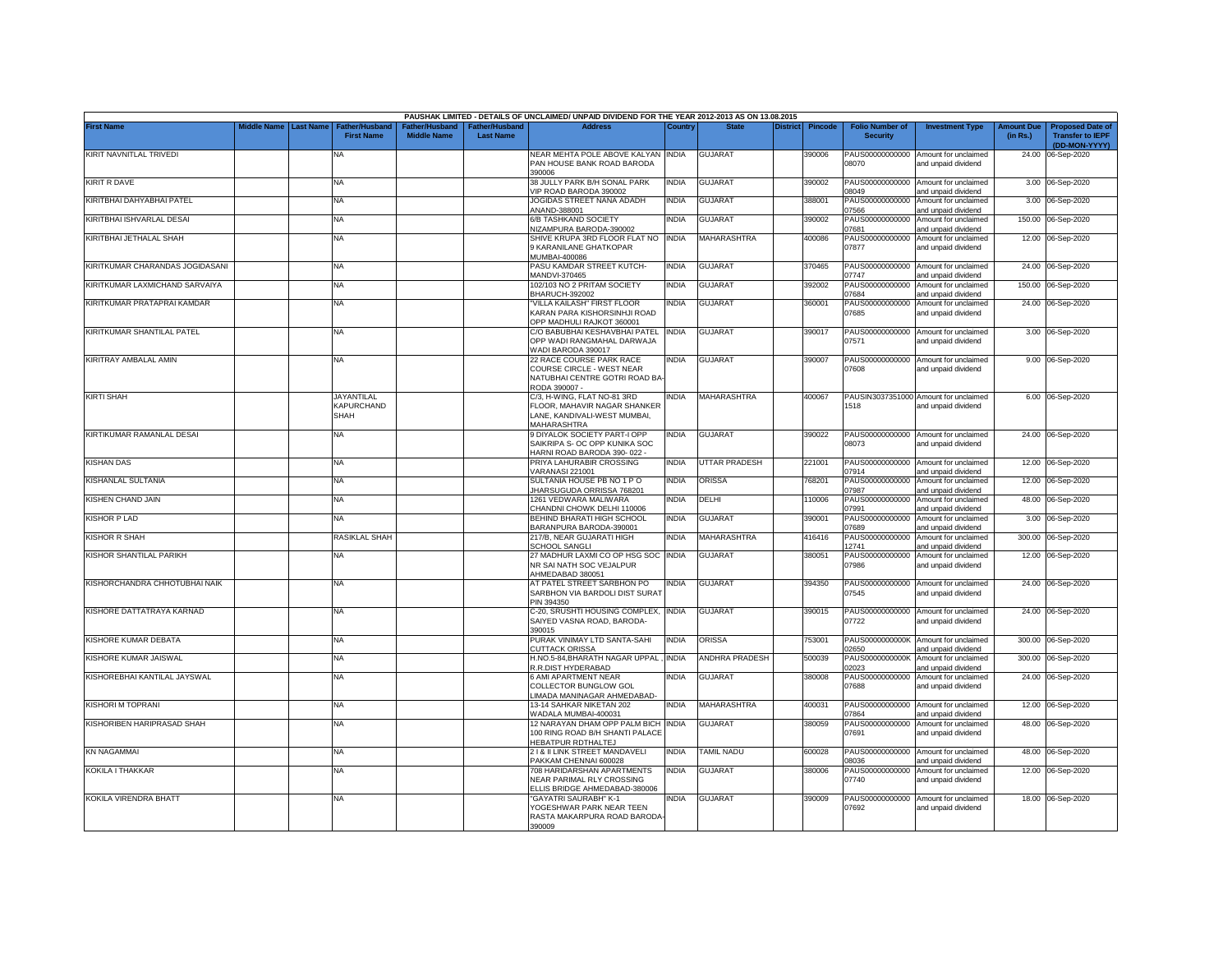|                                 |                         |                                            |                                     |                                   | PAUSHAK LIMITED - DETAILS OF UNCLAIMED/ UNPAID DIVIDEND FOR THE YEAR 2012-2013 AS ON 13.08.2015                |              |                       |                 |                |                                           |                                                                    |                               |                                                                     |
|---------------------------------|-------------------------|--------------------------------------------|-------------------------------------|-----------------------------------|----------------------------------------------------------------------------------------------------------------|--------------|-----------------------|-----------------|----------------|-------------------------------------------|--------------------------------------------------------------------|-------------------------------|---------------------------------------------------------------------|
| First Name                      | Middle Name   Last Name | <b>Father/Husband</b><br><b>First Name</b> | ather/Husband<br><b>Middle Name</b> | ather/Husband<br><b>Last Name</b> | <b>Address</b>                                                                                                 | Country      | <b>State</b>          | <b>District</b> | <b>Pincode</b> | <b>Folio Number of</b><br><b>Security</b> | <b>Investment Type</b>                                             | <b>Amount Due</b><br>(in Rs.) | <b>Proposed Date of</b><br><b>Transfer to IEPF</b><br>(DD-MON-YYYY) |
| KIRIT NAVNITLAL TRIVEDI         |                         | NΑ                                         |                                     |                                   | NEAR MEHTA POLE ABOVE KALYAN INDIA<br>PAN HOUSE BANK ROAD BARODA<br>390006                                     |              | <b>GUJARAT</b>        |                 | 390006         | 08070                                     | PAUS00000000000 Amount for unclaimed<br>and unpaid dividend        |                               | 24.00 06-Sep-2020                                                   |
| <b>KIRIT R DAVE</b>             |                         | NA                                         |                                     |                                   | 38 JULLY PARK B/H SONAL PARK<br>/IP ROAD BARODA 390002                                                         | India        | <b>GUJARAT</b>        |                 | 390002         | PAUS00000000000<br>08049                  | Amount for unclaimed<br>and unpaid dividend                        |                               | 3.00 06-Sep-2020                                                    |
| KIRITBHAI DAHYABHAI PATEL       |                         | NA                                         |                                     |                                   | JOGIDAS STREET NANA ADADH<br>ANAND-388001                                                                      | <b>INDIA</b> | <b>GUJARAT</b>        |                 | 388001         | PAUS00000000000<br>07566                  | Amount for unclaimed<br>and unpaid dividend                        |                               | 3.00 06-Sep-2020                                                    |
| KIRITBHAI ISHVARLAL DESAI       |                         | NA                                         |                                     |                                   | 6/B TASHKAND SOCIETY<br><b>NIZAMPURA BARODA-390002</b>                                                         | <b>INDIA</b> | <b>GUJARAT</b>        |                 | 390002         | PAUS00000000000<br>07681                  | Amount for unclaimed<br>and unpaid dividend                        |                               | 150.00 06-Sep-2020                                                  |
| KIRITBHAI JETHALAL SHAH         |                         | NA.                                        |                                     |                                   | SHIVE KRUPA 3RD FLOOR FLAT NO<br><b>KARANILANE GHATKOPAR</b>                                                   | INDIA        | <b>MAHARASHTRA</b>    |                 | 400086         | PAUS00000000000<br>07877                  | Amount for unclaimed<br>and unpaid dividend                        |                               | 12.00 06-Sep-2020                                                   |
| KIRITKUMAR CHARANDAS JOGIDASANI |                         | NA                                         |                                     |                                   | MUMBAI-400086<br>PASU KAMDAR STREET KUTCH-                                                                     | <b>INDIA</b> | <b>GUJARAT</b>        |                 | 370465         | PAUS00000000000                           | Amount for unclaimed                                               |                               | 24.00 06-Sep-2020                                                   |
| KIRITKUMAR LAXMICHAND SARVAIYA  |                         | NA                                         |                                     |                                   | MANDVI-370465<br>102/103 NO 2 PRITAM SOCIETY                                                                   | INDIA        | <b>GUJARAT</b>        |                 | 392002         | 07747<br>PAUS00000000000                  | and unpaid dividend<br>Amount for unclaimed                        | 150.00                        | 06-Sep-2020                                                         |
| KIRITKUMAR PRATAPRAI KAMDAR     |                         | <b>NA</b>                                  |                                     |                                   | BHARUCH-392002<br>'VILLA KAILASH" FIRST FLOOR<br>KARAN PARA KISHORSINHJI ROAD                                  | NDIA         | <b>GUJARAT</b>        |                 | 360001         | 07684<br>PAUS00000000000<br>07685         | and unpaid dividend<br>Amount for unclaimed<br>and unpaid dividend |                               | 24.00 06-Sep-2020                                                   |
| KIRITKUMAR SHANTILAL PATEL      |                         | <b>NA</b>                                  |                                     |                                   | OPP MADHULI RAJKOT 360001<br>C/O BABUBHAI KESHAVBHAI PATEL<br>OPP WADI RANGMAHAL DARWAJA<br>WADI BARODA 390017 | INDIA        | <b>GUJARAT</b>        |                 | 390017         | 07571                                     | PAUS00000000000 Amount for unclaimed<br>and unpaid dividend        |                               | 3.00 06-Sep-2020                                                    |
| KIRITRAY AMBALAL AMIN           |                         | NA                                         |                                     |                                   | 22 RACE COURSE PARK RACE<br>COURSE CIRCLE - WEST NEAR<br>NATUBHAI CENTRE GOTRI ROAD BA-<br>RODA 390007 -       | india        | <b>GUJARAT</b>        |                 | 390007         | PAUS00000000000<br>07608                  | Amount for unclaimed<br>and unpaid dividend                        |                               | 9.00 06-Sep-2020                                                    |
| <b>KIRTI SHAH</b>               |                         | <b>JAYANTILAL</b><br>KAPURCHAND<br>SHAH    |                                     |                                   | C/3, H-WING, FLAT NO-81 3RD<br>FLOOR, MAHAVIR NAGAR SHANKER<br>LANE, KANDIVALI-WEST MUMBAI,<br>MAHARASHTRA     | INDIA        | MAHARASHTRA           |                 | 400067         | 1518                                      | PAUSIN3037351000 Amount for unclaimed<br>and unpaid dividend       |                               | 6.00 06-Sep-2020                                                    |
| KIRTIKUMAR RAMANLAL DESAI       |                         | NA                                         |                                     |                                   | 9 DIYALOK SOCIETY PART-I OPP<br>SAIKRIPA S- OC OPP KUNIKA SOC<br>HARNI ROAD BARODA 390-022 -                   | NDIA         | <b>GUJARAT</b>        |                 | 390022         | PAUS00000000000<br>08073                  | Amount for unclaimed<br>and unpaid dividend                        |                               | 24.00 06-Sep-2020                                                   |
| KISHAN DAS                      |                         | NA                                         |                                     |                                   | PRIYA LAHURABIR CROSSING<br>VARANASI 221001                                                                    | NDIA         | UTTAR PRADESH         |                 | 221001         | 07914                                     | PAUS00000000000 Amount for unclaimed<br>and unpaid dividend        |                               | 12.00 06-Sep-2020                                                   |
| KISHANLAL SULTANIA              |                         | NA                                         |                                     |                                   | SULTANIA HOUSE PB NO 1 P O<br>IHARSUGUDA ORRISSA 768201                                                        | NDIA         | ORISSA                |                 | 768201         | 07987                                     | PAUS00000000000 Amount for unclaimed<br>and unpaid dividend        |                               | 12.00 06-Sep-2020                                                   |
| KISHEN CHAND JAIN               |                         | NA                                         |                                     |                                   | 1261 VEDWARA MALIWARA<br>CHANDNI CHOWK DELHI 110006                                                            | NDIA         | DELHI                 |                 | 110006         | 07991                                     | PAUS00000000000 Amount for unclaimed<br>and unpaid dividend        |                               | 48.00 06-Sep-2020                                                   |
| KISHOR P LAD                    |                         | NA                                         |                                     |                                   | BEHIND BHARATI HIGH SCHOOL<br>BARANPURA BARODA-390001                                                          | India        | <b>GUJARAT</b>        |                 | 390001         | PAUS00000000000<br>07689                  | Amount for unclaimed<br>and unpaid dividend                        |                               | 3.00 06-Sep-2020                                                    |
| <b>(ISHOR R SHAH</b>            |                         | RASIKLAL SHAH                              |                                     |                                   | 217/B, NEAR GUJARATI HIGH<br><b>SCHOOL SANGLI</b>                                                              | NDIA         | MAHARASHTRA           |                 | 16416          | PAUS00000000000<br>12741                  | Amount for unclaimed<br>and unpaid dividend                        |                               | 300.00 06-Sep-2020                                                  |
| KISHOR SHANTILAL PARIKH         |                         | NA                                         |                                     |                                   | 27 MADHUR LAXMI CO OP HSG SOC INDIA<br>NR SAI NATH SOC VEJALPUR<br>AHMEDABAD 380051                            |              | <b>GUJARAT</b>        |                 | 380051         | PAUS00000000000<br>07986                  | Amount for unclaimed<br>and unpaid dividend                        |                               | 12.00 06-Sep-2020                                                   |
| KISHORCHANDRA CHHOTUBHAI NAIK   |                         | <b>NA</b>                                  |                                     |                                   | AT PATEL STREET SARBHON PO<br>SARBHON VIA BARDOLI DIST SURAT<br>PIN 394350                                     | INDIA        | <b>GUJARAT</b>        |                 | 394350         | 07545                                     | PAUS00000000000 Amount for unclaimed<br>and unpaid dividend        |                               | 24.00 06-Sep-2020                                                   |
| KISHORE DATTATRAYA KARNAD       |                         | NA                                         |                                     |                                   | C-20, SRUSHTI HOUSING COMPLEX, INDIA<br>SAIYED VASNA ROAD, BARODA-<br>390015                                   |              | <b>GUJARAT</b>        |                 | 390015         | PAUS00000000000<br>07722                  | Amount for unclaimed<br>and unpaid dividend                        |                               | 24.00 06-Sep-2020                                                   |
| KISHORE KUMAR DEBATA            |                         | NA                                         |                                     |                                   | PURAK VINIMAY LTD SANTA-SAHI<br><b>UTTACK ORISSA</b>                                                           | <b>INDIA</b> | <b>ORISSA</b>         |                 | 753001         | PAUS0000000000K<br>02650                  | Amount for unclaimed<br>and unpaid dividend                        |                               | 300.00 06-Sep-2020                                                  |
| KISHORE KUMAR JAISWAL           |                         | NA                                         |                                     |                                   | H.NO.5-84, BHARATH NAGAR UPPAL<br>R.R.DIST HYDERABAD                                                           | <b>INDIA</b> | <b>ANDHRA PRADESH</b> |                 | 500039         | PAUS0000000000K<br>)2023                  | Amount for unclaimed<br>and unpaid dividend                        |                               | 300.00 06-Sep-2020                                                  |
| KISHOREBHAI KANTILAL JAYSWAL    |                         | <b>NA</b>                                  |                                     |                                   | 6 AMI APARTMENT NEAR<br>COLLECTOR BUNGLOW GOL<br>LIMADA MANINAGAR AHMEDABAD-                                   | NDIA         | <b>GUJARAT</b>        |                 | 380008         | PAUS00000000000<br>07688                  | Amount for unclaimed<br>and unpaid dividend                        |                               | 24.00 06-Sep-2020                                                   |
| KISHORI M TOPRANI               |                         | NA                                         |                                     |                                   | 13-14 SAHKAR NIKETAN 202<br>WADALA MUMBAI-400031                                                               | NDIA         | MAHARASHTRA           |                 | 400031         | PAUS00000000000<br>07864                  | Amount for unclaimed<br>and unpaid dividend                        |                               | 12.00 06-Sep-2020                                                   |
| KISHORIBEN HARIPRASAD SHAH      |                         | NA                                         |                                     |                                   | 12 NARAYAN DHAM OPP PALM BICH<br>100 RING ROAD B/H SHANTI PALACE<br>HEBATPUR RDTHALTEJ                         | INDIA        | <b>GUJARAT</b>        |                 | 380059         | PAUS00000000000<br>07691                  | Amount for unclaimed<br>and unpaid dividend                        |                               | 48.00 06-Sep-2020                                                   |
| KN NAGAMMAI                     |                         | NA                                         |                                     |                                   | 21& II LINK STREET MANDAVELI<br>PAKKAM CHENNAI 600028                                                          | <b>INDIA</b> | <b>TAMIL NADU</b>     |                 | 600028         | 08036                                     | PAUS00000000000 Amount for unclaimed<br>and unpaid dividend        | 48.00                         | 06-Sep-2020                                                         |
| KOKILA I THAKKAR                |                         | NA                                         |                                     |                                   | 708 HARIDARSHAN APARTMENTS<br>NEAR PARIMAL RLY CROSSING<br>ELLIS BRIDGE AHMEDABAD-380006                       | INDIA        | <b>GUJARAT</b>        |                 | 380006         | PAUS00000000000<br>07740                  | Amount for unclaimed<br>and unpaid dividend                        |                               | 12.00 06-Sep-2020                                                   |
| KOKILA VIRENDRA BHATT           |                         | NA                                         |                                     |                                   | "GAYATRI SAURABH" K-1<br>YOGESHWAR PARK NEAR TEEN<br>RASTA MAKARPURA ROAD BARODA<br>390009                     | NDIA         | <b>GUJARAT</b>        |                 | 390009         | PAUS00000000000<br>07692                  | Amount for unclaimed<br>and unpaid dividend                        |                               | 18.00 06-Sep-2020                                                   |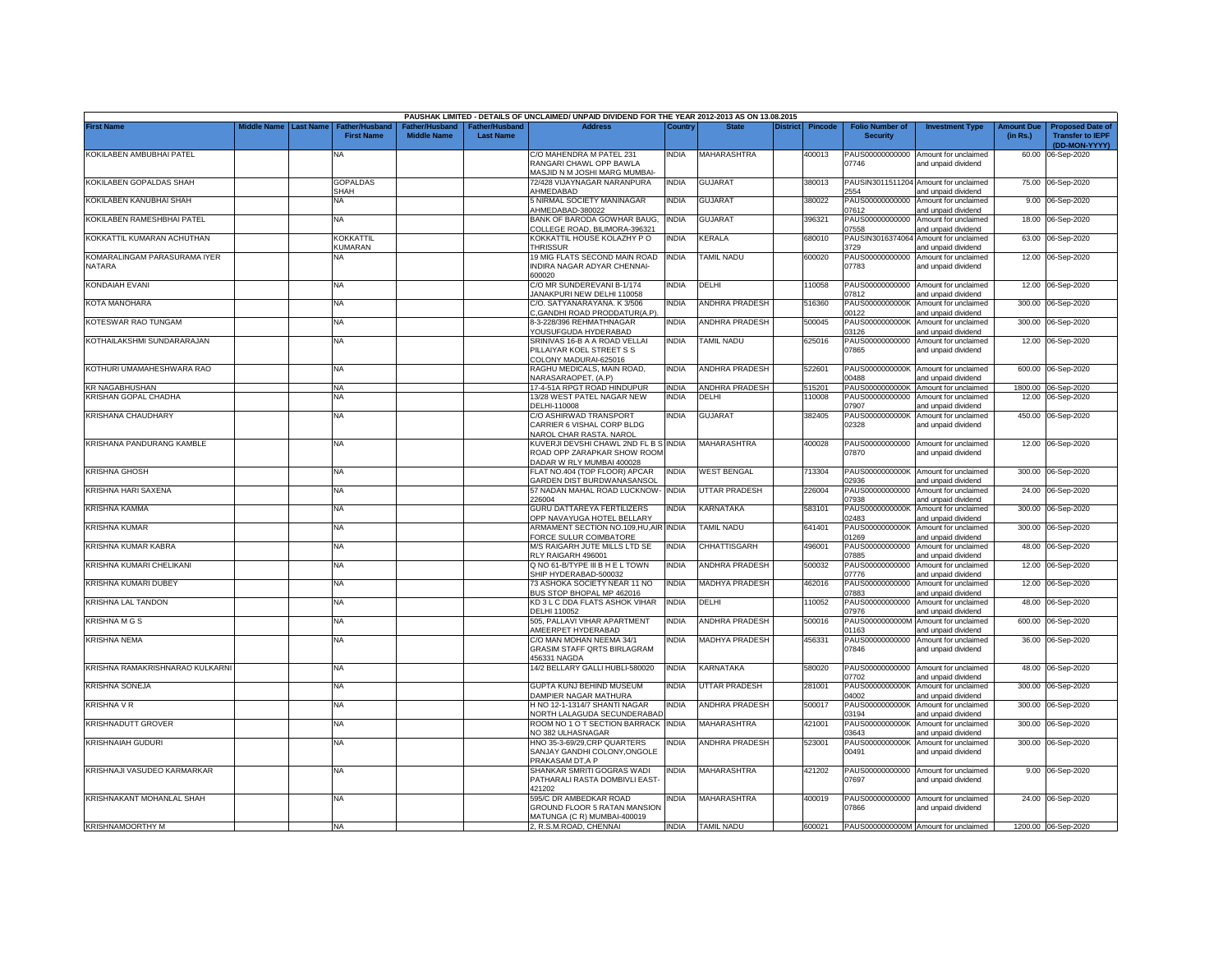|                                        |                    |                                                         |                                     |                                  | PAUSHAK LIMITED - DETAILS OF UNCLAIMED/ UNPAID DIVIDEND FOR THE YEAR 2012-2013 AS ON 13.08.2015   |              |                       |          |         |                                           |                                                                    |                               |                                                                     |
|----------------------------------------|--------------------|---------------------------------------------------------|-------------------------------------|----------------------------------|---------------------------------------------------------------------------------------------------|--------------|-----------------------|----------|---------|-------------------------------------------|--------------------------------------------------------------------|-------------------------------|---------------------------------------------------------------------|
| <b>First Name</b>                      | <b>fiddle Name</b> | <b>Last Name</b><br>Father/Hushanı<br><b>First Name</b> | ather/Hushand<br><b>Middle Name</b> | ther/Husband<br><b>Last Name</b> | <b>Address</b>                                                                                    | Countr       | <b>State</b>          | District | Pincode | <b>Folio Number of</b><br><b>Security</b> | <b>Investment Type</b>                                             | <b>Amount Due</b><br>(in Rs.) | <b>Proposed Date of</b><br><b>Transfer to IEPF</b><br>(DD-MON-YYYY) |
| KOKILABEN AMBUBHAI PATEL               |                    | NA                                                      |                                     |                                  | C/O MAHENDRA M PATEL 231<br>RANGARI CHAWL OPP BAWLA<br>MASJID N M JOSHI MARG MUMBAI-              | India        | <b>MAHARASHTRA</b>    |          | 400013  | 07746                                     | PAUS00000000000 Amount for unclaimed<br>and unpaid dividend        | 60.00                         | 06-Sep-2020                                                         |
| KOKILABEN GOPALDAS SHAH                |                    | GOPALDAS<br>SHAH                                        |                                     |                                  | 72/428 VIJAYNAGAR NARANPURA<br><b>HMEDABAD</b>                                                    | <b>INDIA</b> | GUJARAT               |          | 380013  | 2554                                      | PAUSIN3011511204 Amount for unclaimed<br>and unpaid dividend       |                               | 75.00 06-Sep-2020                                                   |
| KOKILABEN KANUBHAI SHAH                |                    | NA                                                      |                                     |                                  | 5 NIRMAL SOCIETY MANINAGAR<br>HMEDABAD-380022                                                     | INDIA        | <b>GUJARAT</b>        |          | 380022  | PAUS00000000000<br>07612                  | Amount for unclaimed<br>and unpaid dividend                        |                               | 9.00 06-Sep-2020                                                    |
| KOKILABEN RAMESHBHAI PATEL             |                    | NA                                                      |                                     |                                  | BANK OF BARODA GOWHAR BAUG,<br>COLLEGE ROAD, BILIMORA-396321                                      | <b>INDIA</b> | GUJARAT               |          | 396321  | PAUS00000000000<br>7558                   | Amount for unclaimed<br>and unpaid dividend                        | 18.00                         | 06-Sep-2020                                                         |
| KOKKATTIL KUMARAN ACHUTHAN             |                    | KOKKATTIL<br><b>KUMARAN</b>                             |                                     |                                  | KOKKATTIL HOUSE KOLAZHY P O<br><b>THRISSUR</b>                                                    | NDIA         | <b>KERALA</b>         |          | 680010  | PAUSIN3016374064<br>3729                  | Amount for unclaimed<br>and unpaid dividend                        |                               | 63.00 06-Sep-2020                                                   |
| KOMARALINGAM PARASURAMA IYER<br>NATARA |                    | NA                                                      |                                     |                                  | 19 MIG FLATS SECOND MAIN ROAD<br>INDIRA NAGAR ADYAR CHENNAI-<br>600020                            | <b>INDIA</b> | <b>TAMIL NADU</b>     |          | 600020  | PAUS00000000000<br>07783                  | Amount for unclaimed<br>and unpaid dividend                        |                               | 12.00 06-Sep-2020                                                   |
| <b>KONDAIAH EVANI</b>                  |                    | ΝA                                                      |                                     |                                  | C/O MR SUNDEREVANI B-1/174<br>JANAKPURI NEW DELHI 110058                                          | INDIA        | DELHI                 |          | 110058  | PAUS00000000000<br>07812                  | Amount for unclaimed<br>and unpaid dividend                        | 12.00                         | 06-Sep-2020                                                         |
| KOTA MANOHARA                          |                    | NA                                                      |                                     |                                  | C/O. SATYANARAYANA. K 3/506<br>C, GANDHI ROAD PRODDATUR(A.P).                                     | NDIA         | <b>ANDHRA PRADESH</b> |          | 516360  | PAUS0000000000K<br>00122                  | Amount for unclaimed<br>and unpaid dividend                        | 300.00                        | 06-Sep-2020                                                         |
| KOTESWAR RAO TUNGAM                    |                    | <b>NA</b>                                               |                                     |                                  | 8-3-228/396 REHMATHNAGAR<br>YOUSUFGUDA HYDERABAD                                                  | INDIA        | ANDHRA PRADESH        |          | 500045  | PAUS0000000000K<br>03126                  | Amount for unclaimed<br>and unpaid dividend                        | 300.00                        | 06-Sep-2020                                                         |
| KOTHAILAKSHMI SUNDARARAJAN             |                    | NA                                                      |                                     |                                  | SRINIVAS 16-B A A ROAD VELLAI<br>PILLAIYAR KOEL STREET S S                                        | <b>INDIA</b> | <b>TAMIL NADU</b>     |          | 625016  | PAUS00000000000<br>07865                  | Amount for unclaimed<br>and unpaid dividend                        | 12.00                         | 06-Sep-2020                                                         |
| KOTHURI UMAMAHESHWARA RAO              |                    | NA                                                      |                                     |                                  | COLONY MADURAI-625016<br>RAGHU MEDICALS, MAIN ROAD,<br>VARASARAOPET, (A.P)                        | <b>INDIA</b> | <b>ANDHRA PRADESH</b> |          | 522601  | PAUS0000000000K<br>00488                  | Amount for unclaimed<br>and unpaid dividend                        |                               | 600.00 06-Sep-2020                                                  |
| R NAGABHUSHAN)                         |                    | NA                                                      |                                     |                                  | 17-4-51A RPGT ROAD HINDUPUR                                                                       | INDIA        | ANDHRA PRADESH        |          | 515201  | PAUS0000000000K                           | Amount for unclaimed                                               |                               | 1800.00 06-Sep-2020                                                 |
| KRISHAN GOPAL CHADHA                   |                    | NA                                                      |                                     |                                  | 13/28 WEST PATEL NAGAR NEW<br>DELHI-110008                                                        | NDIA         | DELHI                 |          | 110008  | PAUS00000000000<br>)7907                  | Amount for unclaimed<br>and unpaid dividend                        | 12.00                         | 06-Sep-2020                                                         |
| KRISHANA CHAUDHARY                     |                    | NΑ                                                      |                                     |                                  | C/O ASHIRWAD TRANSPORT<br>CARRIER 6 VISHAL CORP BLDG<br>NAROL CHAR RASTA. NAROL                   | india        | <b>GUJARAT</b>        |          | 382405  | PAUS0000000000K<br>02328                  | Amount for unclaimed<br>and unpaid dividend                        |                               | 450.00 06-Sep-2020                                                  |
| KRISHANA PANDURANG KAMBLE              |                    | NA                                                      |                                     |                                  | KUVERJI DEVSHI CHAWL 2ND FL B S INDIA<br>ROAD OPP ZARAPKAR SHOW ROOM<br>DADAR W RLY MUMBAI 400028 |              | <b>MAHARASHTRA</b>    |          | 400028  | 07870                                     | PAUS00000000000 Amount for unclaimed<br>and unpaid dividend        |                               | 12.00 06-Sep-2020                                                   |
| <b>KRISHNA GHOSH</b>                   |                    | <b>NA</b>                                               |                                     |                                  | FLAT NO.404 (TOP FLOOR) APCAR<br>GARDEN DIST BURDWANASANSOL                                       | INDIA        | <b>WEST BENGAL</b>    |          | 713304  | 12936                                     | PAUS0000000000K Amount for unclaimed<br>and unpaid dividend        |                               | 300.00 06-Sep-2020                                                  |
| KRISHNA HARI SAXENA                    |                    | NA                                                      |                                     |                                  | 57 NADAN MAHAL ROAD LUCKNOW- INDIA<br>226004                                                      |              | <b>UTTAR PRADESH</b>  |          | 226004  | )7938                                     | PAUS00000000000 Amount for unclaimed<br>and unpaid dividend        |                               | 24.00 06-Sep-2020                                                   |
| KRISHNA KAMMA                          |                    | NA                                                      |                                     |                                  | <b>GURU DATTAREYA FERTILIZERS</b><br><b>OPP NAVAYUGA HOTEL BELLARY</b>                            | NDIA         | KARNATAKA             |          | 583101  | PAUS0000000000K<br>2483                   | Amount for unclaimed<br>and unpaid dividend                        |                               | 300.00 06-Sep-2020                                                  |
| KRISHNA KUMAR                          |                    | NA                                                      |                                     |                                  | ARMAMENT SECTION NO.109.HU.AIR INDIA<br>FORCE SULUR COIMBATORE                                    |              | <b>TAMIL NADU</b>     |          | 641401  | PAUS0000000000K<br>1269                   | Amount for unclaimed<br>nd unpaid dividend                         | 300.00                        | 06-Sep-2020                                                         |
| KRISHNA KUMAR KABRA                    |                    | NA                                                      |                                     |                                  | M/S RAIGARH JUTE MILLS LTD SE<br>RLY RAIGARH 496001                                               | <b>INDIA</b> | CHHATTISGARH          |          | 496001  | PAUS00000000000<br>)7885                  | Amount for unclaimed<br>and unpaid dividend                        | 48.00                         | 06-Sep-2020                                                         |
| KRISHNA KUMARI CHELIKANI               |                    | NA                                                      |                                     |                                  | Q NO 61-B/TYPE III B H E L TOWN<br>SHIP HYDERABAD-500032                                          | <b>INDIA</b> | ANDHRA PRADESH        |          | 500032  | PAUS00000000000<br>)7776                  | Amount for unclaimed                                               | 12.00                         | 06-Sep-2020                                                         |
| KRISHNA KUMARI DUBEY                   |                    | <b>NA</b>                                               |                                     |                                  | 73 ASHOKA SOCIETY NEAR 11 NO<br>BUS STOP BHOPAL MP 462016                                         | <b>INDIA</b> | <b>MADHYA PRADESH</b> |          | 462016  | PAUS00000000000<br>07883                  | and unpaid dividend<br>Amount for unclaimed                        | 12.00                         | 06-Sep-2020                                                         |
| <b><i>KRISHNA LAL TANDON</i></b>       |                    | NA                                                      |                                     |                                  | KD 3 L C DDA FLATS ASHOK VIHAR<br>DELHI 110052                                                    | <b>INDIA</b> | DELHI                 |          | 10052   | PAUS00000000000<br>)7976                  | and unpaid dividend<br>Amount for unclaimed<br>and unpaid dividend | 48.00                         | 06-Sep-2020                                                         |
| <b>KRISHNA M G S</b>                   |                    | NA.                                                     |                                     |                                  | 505, PALLAVI VIHAR APARTMENT<br>AMEERPET HYDERABAD                                                | <b>INDIA</b> | ANDHRA PRADESH        |          | 500016  | PAUS0000000000M<br>01163                  | Amount for unclaimed<br>and unpaid dividend                        | 600.00                        | 06-Sep-2020                                                         |
| KRISHNA NEMA                           |                    | NA                                                      |                                     |                                  | C/O MAN MOHAN NEEMA 34/1<br><b>GRASIM STAFF QRTS BIRLAGRAM</b>                                    | INDIA        | MADHYA PRADESH        |          | 456331  | PAUS00000000000<br>07846                  | Amount for unclaimed<br>and unpaid dividend                        | 36.00                         | 06-Sep-2020                                                         |
| KRISHNA RAMAKRISHNARAO KULKARNI        |                    | ΝA                                                      |                                     |                                  | 456331 NAGDA<br>14/2 BELLARY GALLI HUBLI-580020                                                   | INDIA        | KARNATAKA             |          | 580020  | PAUS00000000000                           | Amount for unclaimed                                               |                               | 48.00 06-Sep-2020                                                   |
| KRISHNA SONEJA                         |                    | ΝA                                                      |                                     |                                  | GUPTA KUNJ BEHIND MUSEUM                                                                          | NDIA         | UTTAR PRADESH         |          | 281001  | 07702<br>PAUS0000000000K                  | and unpaid dividend<br>Amount for unclaimed                        | 300.00                        | 06-Sep-2020                                                         |
| <b>KRISHNA V R</b>                     |                    | NA                                                      |                                     |                                  | DAMPIER NAGAR MATHURA<br>H NO 12-1-1314/7 SHANTI NAGAR                                            | INDIA        | ANDHRA PRADESH        |          | 500017  | 04002<br>PAUS0000000000K                  | and unpaid dividend<br>Amount for unclaimed                        | 300.00                        | 06-Sep-2020                                                         |
| KRISHNADUTT GROVER                     |                    | NA                                                      |                                     |                                  | NORTH LALAGUDA SECUNDERABAD<br>ROOM NO 1 O T SECTION BARRACK INDIA                                |              | MAHARASHTRA           |          | 421001  | 03194<br>PAUS0000000000K                  | and unpaid dividend<br>Amount for unclaimed                        |                               | 300.00 06-Sep-2020                                                  |
| <b>KRISHNAIAH GUDURI</b>               |                    | NA                                                      |                                     |                                  | NO 382 ULHASNAGAR<br>HNO 35-3-69/29, CRP QUARTERS                                                 | NDIA         | ANDHRA PRADESH        |          | 523001  | 03643<br>PAUS0000000000K                  | and unpaid dividend<br>Amount for unclaimed                        |                               | 300.00 06-Sep-2020                                                  |
|                                        |                    |                                                         |                                     |                                  | SANJAY GANDHI COLONY, ONGOLE<br>PRAKASAM DT, A P                                                  |              |                       |          |         | 00491                                     | and unpaid dividend                                                |                               |                                                                     |
| KRISHNAJI VASUDEO KARMARKAR            |                    | <b>NA</b>                                               |                                     |                                  | SHANKAR SMRITI GOGRAS WADI<br>PATHARALI RASTA DOMBIVLI EAST-<br>121202                            | NDIA         | <b>MAHARASHTRA</b>    |          | 421202  | 07697                                     | PAUS00000000000 Amount for unclaimed<br>and unpaid dividend        |                               | 9.00 06-Sep-2020                                                    |
| KRISHNAKANT MOHANLAL SHAH              |                    | <b>NA</b>                                               |                                     |                                  | 595/C DR AMBEDKAR ROAD<br>GROUND FLOOR 5 RATAN MANSION                                            | india        | MAHARASHTRA           |          | 400019  | 07866                                     | PAUS00000000000 Amount for unclaimed<br>and unpaid dividend        |                               | 24.00 06-Sep-2020                                                   |
| <b>KRISHNAMOORTHY M</b>                |                    | <b>NA</b>                                               |                                     |                                  | MATUNGA (C R) MUMBAI-400019<br>2. R.S.M.ROAD, CHENNAI                                             |              | INDIA TAMIL NADU      |          | 600021  |                                           | PAUS0000000000M Amount for unclaimed                               |                               | 1200.00 06-Sep-2020                                                 |
|                                        |                    |                                                         |                                     |                                  |                                                                                                   |              |                       |          |         |                                           |                                                                    |                               |                                                                     |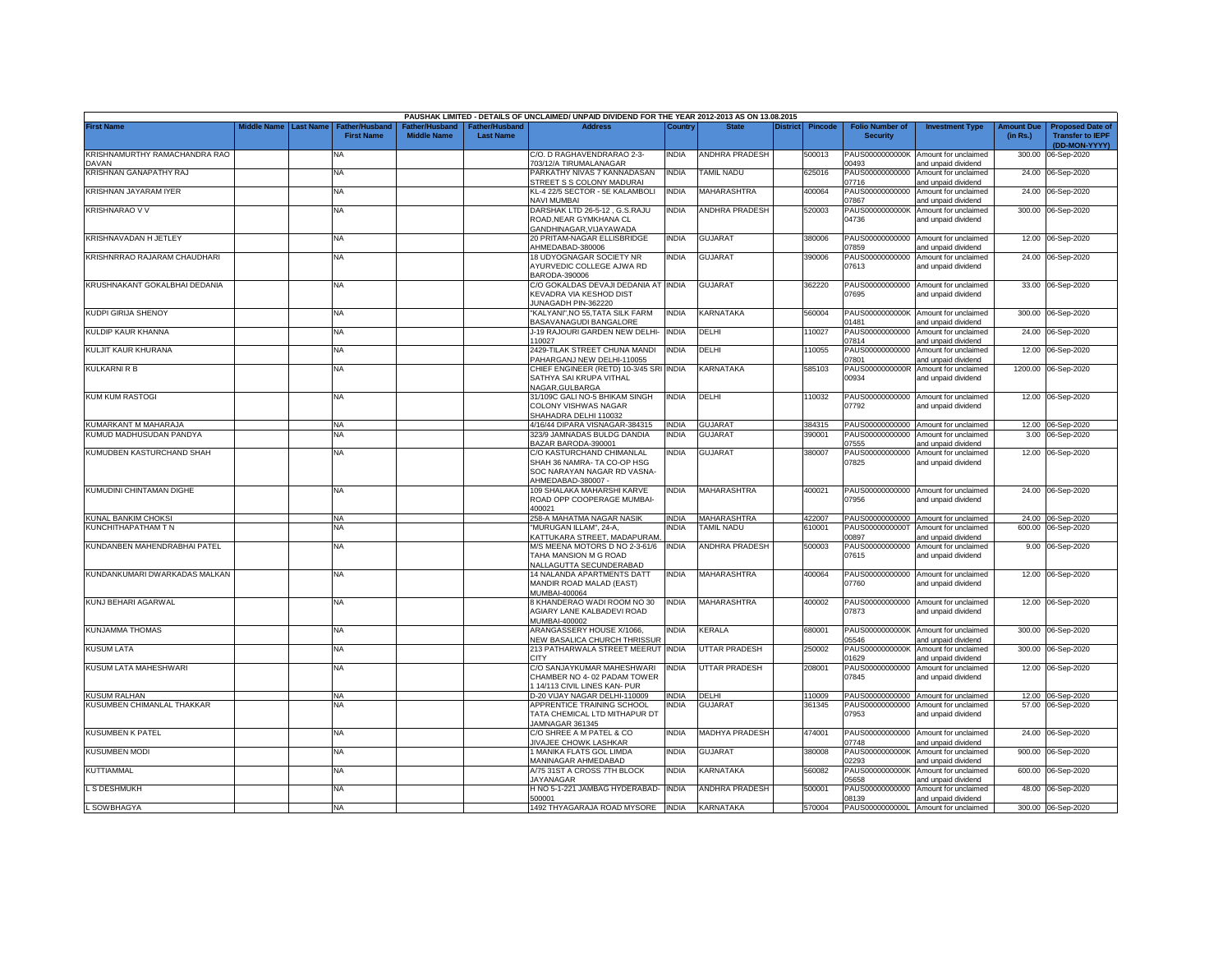|                                        |                    |                  |                                            |                                      |                                    | PAUSHAK LIMITED - DETAILS OF UNCLAIMED/ UNPAID DIVIDEND FOR THE YEAR 2012-2013 AS ON 13.08.2015             |              |                       |          |         |                                           |                                                                    |                               |                                                                     |
|----------------------------------------|--------------------|------------------|--------------------------------------------|--------------------------------------|------------------------------------|-------------------------------------------------------------------------------------------------------------|--------------|-----------------------|----------|---------|-------------------------------------------|--------------------------------------------------------------------|-------------------------------|---------------------------------------------------------------------|
| <b>First Name</b>                      | <b>Middle Name</b> | <b>Last Name</b> | <b>Father/Husband</b><br><b>First Name</b> | Father/Husband<br><b>Middle Name</b> | Father/Husband<br><b>Last Name</b> | <b>Address</b>                                                                                              | Country      | <b>State</b>          | District | Pincode | <b>Folio Number of</b><br><b>Security</b> | <b>Investment Type</b>                                             | <b>Amount Due</b><br>(in Rs.) | <b>Proposed Date of</b><br><b>Transfer to IEPF</b><br>(DD-MON-YYYY) |
| KRISHNAMURTHY RAMACHANDRA RAO<br>DAVAN |                    |                  | NA                                         |                                      |                                    | C/O. D RAGHAVENDRARAO 2-3-<br>703/12/A TIRUMALANAGAR                                                        | INDIA        | <b>ANDHRA PRADESH</b> |          | 500013  | PAUS0000000000K<br>00493                  | Amount for unclaimed<br>and unpaid dividend                        | 300.00                        | 06-Sep-2020                                                         |
| KRISHNAN GANAPATHY RAJ                 |                    |                  | NA                                         |                                      |                                    | PARKATHY NIVAS 7 KANNADASAN<br>STREET S S COLONY MADURAI                                                    | <b>INDIA</b> | <b>TAMIL NADU</b>     |          | 625016  | PAUS00000000000<br>07716                  | Amount for unclaimed<br>and unpaid dividend                        |                               | 24.00 06-Sep-2020                                                   |
| KRISHNAN JAYARAM IYER                  |                    |                  | <b>NA</b>                                  |                                      |                                    | KL-4 22/5 SECTOR - 5E KALAMBOLI<br>NAVI MUMBAI                                                              | <b>INDIA</b> | MAHARASHTRA           |          | 400064  | PAUS00000000000<br>07867                  | Amount for unclaimed<br>and unpaid dividend                        |                               | 24.00 06-Sep-2020                                                   |
| <b>KRISHNARAO V V</b>                  |                    |                  | NA                                         |                                      |                                    | DARSHAK LTD 26-5-12, G.S.RAJU<br>ROAD, NEAR GYMKHANA CL<br>GANDHINAGAR, VIJAYAWADA                          | <b>INDIA</b> | ANDHRA PRADESH        |          | 520003  | PAUS0000000000K<br>04736                  | Amount for unclaimed<br>and unpaid dividend                        |                               | 300.00 06-Sep-2020                                                  |
| KRISHNAVADAN H JETLEY                  |                    |                  | NA                                         |                                      |                                    | 20 PRITAM-NAGAR ELLISBRIDGE<br>AHMEDABAD-380006                                                             | <b>INDIA</b> | <b>GUJARAT</b>        |          | 380006  | PAUS00000000000<br>07859                  | Amount for unclaimed<br>and unpaid dividend                        |                               | 12.00 06-Sep-2020                                                   |
| KRISHNRRAO RAJARAM CHAUDHARI           |                    |                  | NA                                         |                                      |                                    | 18 UDYOGNAGAR SOCIETY NR<br>AYURVEDIC COLLEGE AJWA RD<br>BARODA-390006                                      | <b>INDIA</b> | <b>GUJARAT</b>        |          | 390006  | PAUS00000000000<br>07613                  | Amount for unclaimed<br>and unpaid dividend                        |                               | 24.00 06-Sep-2020                                                   |
| KRUSHNAKANT GOKALBHAI DEDANIA          |                    |                  | <b>NA</b>                                  |                                      |                                    | C/O GOKALDAS DEVAJI DEDANIA AT INDIA<br>KEVADRA VIA KESHOD DIST<br>JUNAGADH PIN-362220                      |              | <b>GUJARAT</b>        |          | 362220  | 07695                                     | PAUS00000000000 Amount for unclaimed<br>and unpaid dividend        |                               | 33.00 06-Sep-2020                                                   |
| <b>KUDPI GIRIJA SHENOY</b>             |                    |                  | NA                                         |                                      |                                    | "KALYANI", NO 55, TATA SILK FARM<br><b>BASAVANAGUDI BANGALORE</b>                                           | <b>INDIA</b> | KARNATAKA             |          | 560004  | 01481                                     | PAUS0000000000K Amount for unclaimed<br>and unpaid dividend        |                               | 300.00 06-Sep-2020                                                  |
| KULDIP KAUR KHANNA                     |                    |                  | <b>NA</b>                                  |                                      |                                    | J-19 RAJOURI GARDEN NEW DELHI-<br>10027                                                                     | <b>INDIA</b> | DELHI                 |          | 110027  | PAUS00000000000<br>07814                  | Amount for unclaimed<br>and unpaid dividend                        |                               | 24.00 06-Sep-2020                                                   |
| KULJIT KAUR KHURANA                    |                    |                  | <b>NA</b>                                  |                                      |                                    | 2429-TILAK STREET CHUNA MANDI<br>AHARGANJ NEW DELHI-110055                                                  | <b>INDIA</b> | DELHI                 |          | 110055  | PAUS00000000000<br>07801                  | Amount for unclaimed<br>and unpaid dividend                        |                               | 12.00 06-Sep-2020                                                   |
| KULKARNI R B                           |                    |                  | <b>NA</b>                                  |                                      |                                    | CHIEF ENGINEER (RETD) 10-3/45 SRI INDIA<br>SATHYA SAI KRUPA VITHAL<br><b>VAGAR.GULBARGA</b>                 |              | KARNATAKA             |          | 585103  | PAUS0000000000R<br>00934                  | Amount for unclaimed<br>and unpaid dividend                        |                               | 1200.00 06-Sep-2020                                                 |
| <b>KUM KUM RASTOGI</b>                 |                    |                  | ΝA                                         |                                      |                                    | 31/109C GALI NO-5 BHIKAM SINGH<br>COLONY VISHWAS NAGAR<br>SHAHADRA DELHI 110032                             | <b>INDIA</b> | DELHI                 |          | 110032  | PAUS00000000000<br>07792                  | Amount for unclaimed<br>and unpaid dividend                        |                               | 12.00 06-Sep-2020                                                   |
| KUMARKANT M MAHARAJA                   |                    |                  | <b>NA</b>                                  |                                      |                                    | 4/16/44 DIPARA VISNAGAR-384315                                                                              | <b>INDIA</b> | <b>GUJARAT</b>        |          | 384315  |                                           | PAUS00000000000 Amount for unclaimed                               |                               | 12.00 06-Sep-2020                                                   |
| KUMUD MADHUSUDAN PANDYA                |                    |                  | <b>NA</b>                                  |                                      |                                    | 323/9 JAMNADAS BULDG DANDIA<br>BAZAR BARODA-390001                                                          | <b>INDIA</b> | <b>GUJARAT</b>        |          | 390001  | PAUS00000000000<br>07555                  | Amount for unclaimed<br>and unpaid dividend                        |                               | 3.00 06-Sep-2020                                                    |
| KUMUDBEN KASTURCHAND SHAH              |                    |                  | <b>NA</b>                                  |                                      |                                    | C/O KASTURCHAND CHIMANLAL<br>SHAH 36 NAMRA- TA CO-OP HSG<br>SOC NARAYAN NAGAR RD VASNA-<br>AHMEDABAD-380007 | INDIA        | <b>GUJARAT</b>        |          | 380007  | PAUS00000000000<br>07825                  | Amount for unclaimed<br>and unpaid dividend                        |                               | 12.00 06-Sep-2020                                                   |
| KUMUDINI CHINTAMAN DIGHE               |                    |                  | <b>NA</b>                                  |                                      |                                    | 109 SHALAKA MAHARSHI KARVE<br>ROAD OPP COOPERAGE MUMBAI-<br>100021                                          | NDIA         | MAHARASHTRA           |          | 400021  | PAUS00000000000<br>07956                  | Amount for unclaimed<br>and unpaid dividend                        |                               | 24.00 06-Sep-2020                                                   |
| <b>KUNAL BANKIM CHOKSI</b>             |                    |                  | <b>NA</b>                                  |                                      |                                    | 258-A MAHATMA NAGAR NASIK                                                                                   | <b>INDIA</b> | MAHARASHTRA           |          | 422007  |                                           | PAUS00000000000 Amount for unclaimed                               |                               | 24.00 06-Sep-2020                                                   |
| KUNCHITHAPATHAM TN                     |                    |                  | <b>NA</b>                                  |                                      |                                    | 'MURUGAN ILLAM", 24-A<br><b>KATTUKARA STREET, MADAPURAM.</b>                                                | <b>NDIA</b>  | <b>TAMIL NADU</b>     |          | 610001  | PAUS0000000000T<br>00897                  | Amount for unclaimed<br>and unpaid dividend                        |                               | 600.00 06-Sep-2020                                                  |
| KUNDANBEN MAHENDRABHAI PATEL           |                    |                  | NA                                         |                                      |                                    | M/S MEENA MOTORS D NO 2-3-61/6<br>TAHA MANSION M G ROAD<br><b>VALLAGUTTA SECUNDERABAD</b>                   | <b>INDIA</b> | ANDHRA PRADESH        |          | 500003  | PAUS00000000000<br>07615                  | Amount for unclaimed<br>and unpaid dividend                        |                               | 9.00 06-Sep-2020                                                    |
| KUNDANKUMARI DWARKADAS MALKAN          |                    |                  | NA                                         |                                      |                                    | 14 NALANDA APARTMENTS DATT<br>MANDIR ROAD MALAD (EAST)<br>MUMBAI-400064                                     | <b>INDIA</b> | MAHARASHTRA           |          | 400064  | 07760                                     | PAUS00000000000 Amount for unclaimed<br>and unpaid dividend        |                               | 12.00 06-Sep-2020                                                   |
| KUNJ BEHARI AGARWAL                    |                    |                  | NA                                         |                                      |                                    | 8 KHANDERAO WADI ROOM NO 30<br>AGIARY LANE KALBADEVI ROAD                                                   | INDIA        | MAHARASHTRA           |          | 400002  | 07873                                     | PAUS00000000000 Amount for unclaimed<br>and unpaid dividend        |                               | 12.00 06-Sep-2020                                                   |
| <b>KUNJAMMA THOMAS</b>                 |                    |                  | <b>NA</b>                                  |                                      |                                    | MUMBAI-400002<br>ARANGASSERY HOUSE X/1066,                                                                  | INDIA        | KERALA                |          | 680001  |                                           | PAUS0000000000K Amount for unclaimed                               |                               | 300.00 06-Sep-2020                                                  |
| <b>KUSUM LATA</b>                      |                    |                  | <b>NA</b>                                  |                                      |                                    | <b>NEW BASALICA CHURCH THRISSUR</b><br>213 PATHARWALA STREET MEERUT INDIA                                   |              | UTTAR PRADESH         |          | 250002  | 05546<br>PAUS0000000000K                  | and unpaid dividend<br>Amount for unclaimed                        |                               | 300.00 06-Sep-2020                                                  |
| KUSUM LATA MAHESHWARI                  |                    |                  | <b>NA</b>                                  |                                      |                                    | CITY<br>C/O SANJAYKUMAR MAHESHWARI<br>CHAMBER NO 4-02 PADAM TOWER<br>14/113 CIVIL LINES KAN- PUR            | INDIA        | UTTAR PRADESH         |          | 208001  | 01629<br>PAUS00000000000<br>07845         | and unpaid dividend<br>Amount for unclaimed<br>and unpaid dividend |                               | 12.00 06-Sep-2020                                                   |
| <b>KUSUM RALHAN</b>                    |                    |                  | <b>NA</b>                                  |                                      |                                    | D-20 VIJAY NAGAR DELHI-110009                                                                               | <b>INDIA</b> | DELHI                 |          | 110009  |                                           | PAUS00000000000 Amount for unclaimed                               |                               | 12.00 06-Sep-2020                                                   |
| KUSUMBEN CHIMANLAL THAKKAR             |                    |                  | NA                                         |                                      |                                    | APPRENTICE TRAINING SCHOOL<br>TATA CHEMICAL LTD MITHAPUR DT<br>JAMNAGAR 361345                              | NDIA         | GUJARAT               |          | 361345  | PAUS00000000000<br>07953                  | Amount for unclaimed<br>and unpaid dividend                        |                               | 57.00 06-Sep-2020                                                   |
| <b>KUSUMBEN K PATEL</b>                |                    |                  | <b>NA</b>                                  |                                      |                                    | C/O SHREE A M PATEL & CO<br><b>JIVAJEE CHOWK LASHKAR</b>                                                    | <b>INDIA</b> | MADHYA PRADESH        |          | 474001  | PAUS00000000000<br>07748                  | Amount for unclaimed<br>and unpaid dividend                        |                               | 24.00 06-Sep-2020                                                   |
| <b>KUSUMBEN MODI</b>                   |                    |                  | <b>NA</b>                                  |                                      |                                    | 1 MANIKA FLATS GOL LIMDA<br><b>MANINAGAR AHMEDABAD</b>                                                      | INDIA        | <b>GUJARAT</b>        |          | 380008  | PAUS0000000000K<br>02293                  | Amount for unclaimed<br>and unpaid dividend                        |                               | 900.00 06-Sep-2020                                                  |
| <b>KUTTIAMMAL</b>                      |                    |                  | <b>NA</b>                                  |                                      |                                    | A/75 31ST A CROSS 7TH BLOCK<br><b>JAYANAGAR</b>                                                             | INDIA        | KARNATAKA             |          | 560082  | PAUS0000000000K<br>05658                  | Amount for unclaimed<br>and unpaid dividend                        | 600.00                        | 06-Sep-2020                                                         |
| L S DESHMUKH                           |                    |                  | <b>NA</b>                                  |                                      |                                    | H NO 5-1-221 JAMBAG HYDERABAD-<br>500001                                                                    | <b>INDIA</b> | ANDHRA PRADESH        |          | 500001  | PAUS00000000000<br>08139                  | Amount for unclaimed<br>and unpaid dividend                        | 48.00                         | 06-Sep-2020                                                         |
| L SOWBHAGYA                            |                    |                  | <b>NA</b>                                  |                                      |                                    | 1492 THYAGARAJA ROAD MYSORE INDIA                                                                           |              | KARNATAKA             |          | 570004  |                                           | PAUS0000000000L Amount for unclaimed                               |                               | 300.00 06-Sep-2020                                                  |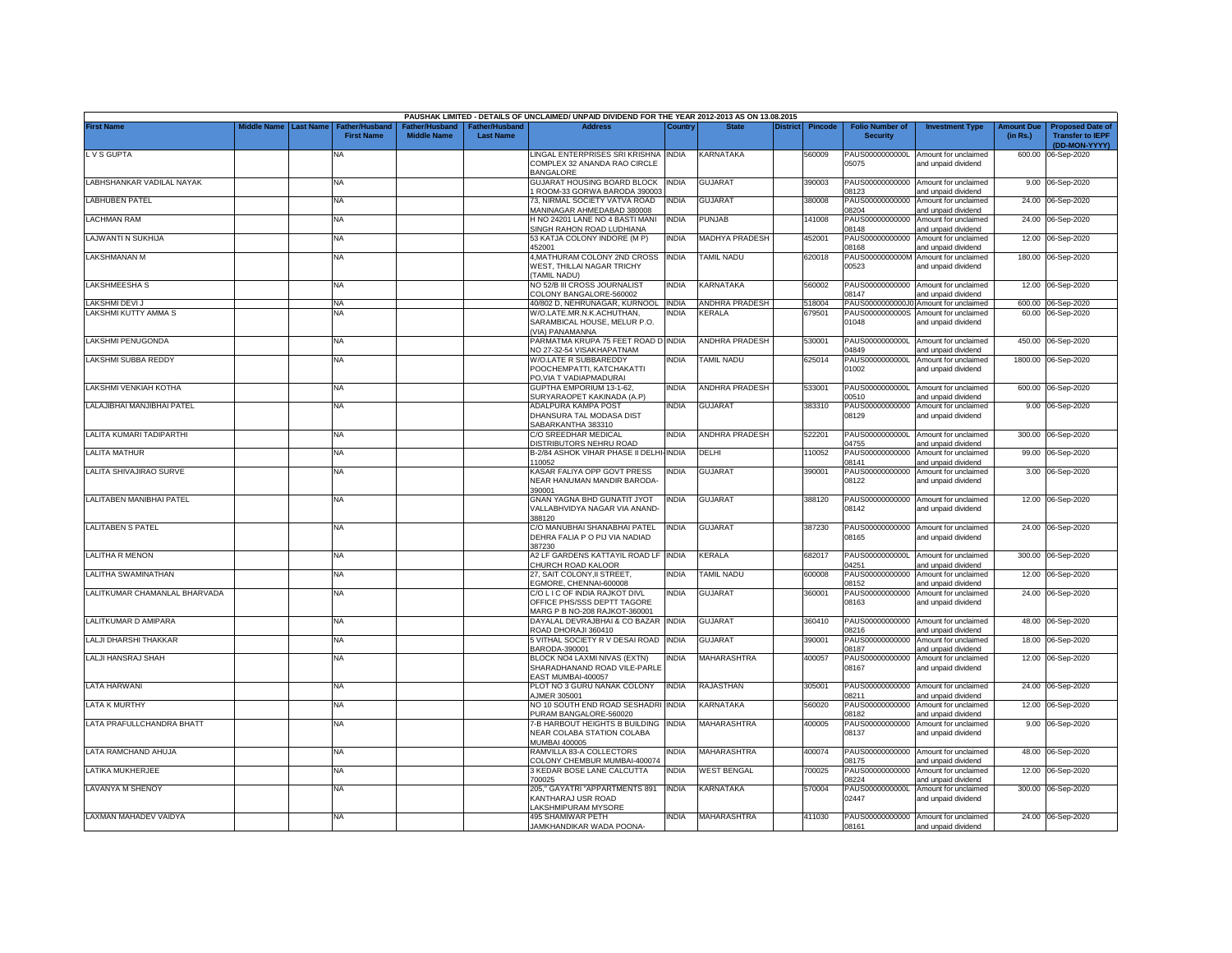|                                 |             |                  |                                     |                                      |                                           | PAUSHAK LIMITED - DETAILS OF UNCLAIMED/ UNPAID DIVIDEND FOR THE YEAR 2012-2013 AS ON 13.08.2015 |              |                       |                 |                |                                           |                                                                    |                               |                                                                     |
|---------------------------------|-------------|------------------|-------------------------------------|--------------------------------------|-------------------------------------------|-------------------------------------------------------------------------------------------------|--------------|-----------------------|-----------------|----------------|-------------------------------------------|--------------------------------------------------------------------|-------------------------------|---------------------------------------------------------------------|
| <b>First Name</b>               | liddle Name | <b>Last Name</b> | Father/Husband<br><b>First Name</b> | Father/Husband<br><b>Middle Name</b> | <b>Father/Husband</b><br><b>Last Name</b> | <b>Address</b>                                                                                  | Country      | <b>State</b>          | <b>District</b> | <b>Pincode</b> | <b>Folio Number of</b><br><b>Security</b> | <b>Investment Type</b>                                             | <b>Amount Due</b><br>(in Rs.) | <b>Proposed Date of</b><br><b>Transfer to IEPF</b><br>(DD-MON-YYYY) |
| L V S GUPTA                     |             |                  | <b>NA</b>                           |                                      |                                           | LINGAL ENTERPRISES SRI KRISHNA INDIA<br>COMPLEX 32 ANANDA RAO CIRCLE                            |              | KARNATAKA             |                 | 560009         | PAUS0000000000L<br>05075                  | Amount for unclaimed<br>and unpaid dividend                        |                               | 600.00 06-Sep-2020                                                  |
| LABHSHANKAR VADILAL NAYAK       |             |                  | <b>NA</b>                           |                                      |                                           | BANGALORE<br>GUJARAT HOUSING BOARD BLOCK                                                        | <b>INDIA</b> | <b>GUJARAT</b>        |                 | 390003         | PAUS00000000000                           | Amount for unclaimed                                               |                               | 9.00 06-Sep-2020                                                    |
| <b>LABHUBEN PATEL</b>           |             |                  | <b>NA</b>                           |                                      |                                           | ROOM-33 GORWA BARODA 390003<br>73, NIRMAL SOCIETY VATVA ROAD<br>MANINAGAR AHMEDABAD 380008      | <b>INDIA</b> | <b>GUJARAT</b>        |                 | 380008         | 08123<br>PAUS00000000000<br>08204         | and unpaid dividend<br>Amount for unclaimed<br>and unpaid dividend |                               | 24.00 06-Sep-2020                                                   |
| LACHMAN RAM                     |             |                  | <b>NA</b>                           |                                      |                                           | H NO 24201 LANE NO 4 BASTI MANI<br>SINGH RAHON ROAD LUDHIANA                                    | INDIA        | PUNJAB                |                 | 141008         | PAUS00000000000<br>08148                  | Amount for unclaimed<br>and unpaid dividend                        |                               | 24.00 06-Sep-2020                                                   |
| LAJWANTI N SUKHIJA              |             |                  | <b>NA</b>                           |                                      |                                           | 53 KATJA COLONY INDORE (M P)<br>152001                                                          | INDIA        | <b>MADHYA PRADESH</b> |                 | 452001         | PAUS00000000000<br>08168                  | Amount for unclaimed<br>and unpaid dividend                        |                               | 12.00 06-Sep-2020                                                   |
| <b>LAKSHMANAN M</b>             |             |                  | ΝA                                  |                                      |                                           | 4, MATHURAM COLONY 2ND CROSS<br>WEST. THILLAI NAGAR TRICHY<br>TAMIL NADU)                       | <b>INDIA</b> | <b>AMIL NADU</b>      |                 | 620018         | PAUS0000000000M<br>00523                  | Amount for unclaimed<br>and unpaid dividend                        | 180.00                        | 06-Sep-2020                                                         |
| LAKSHMEESHA S                   |             |                  | <b>NA</b>                           |                                      |                                           | NO 52/B III CROSS JOURNALIST<br>COLONY BANGALORE-560002                                         | INDIA        | KARNATAKA             |                 | 560002         | 08147                                     | PAUS00000000000 Amount for unclaimed<br>and unpaid dividend        |                               | 12.00 06-Sep-2020                                                   |
| LAKSHMI DEVI J                  |             |                  | <b>NA</b>                           |                                      |                                           | 40/802 D, NEHRUNAGAR, KURNOOL INDIA                                                             |              | <b>ANDHRA PRADESH</b> |                 | 518004         | PAUS0000000000J0                          | Amount for unclaimed                                               |                               | 600.00 06-Sep-2020                                                  |
| LAKSHMI KUTTY AMMA S            |             |                  | <b>NA</b>                           |                                      |                                           | W/O.LATE.MR.N.K.ACHUTHAN,<br>SARAMBICAL HOUSE, MELUR P.O.<br>VIA) PANAMANNA                     | NDIA         | KERALA                |                 | 679501         | PAUS0000000000S<br>01048                  | Amount for unclaimed<br>and unpaid dividend                        |                               | 60.00 06-Sep-2020                                                   |
| LAKSHMI PENUGONDA               |             |                  | <b>NA</b>                           |                                      |                                           | PARMATMA KRUPA 75 FEET ROAD D<br>NO 27-32-54 VISAKHAPATNAM                                      | <b>INDIA</b> | <b>ANDHRA PRADESH</b> |                 | 530001         | PAUS0000000000L<br>04849                  | Amount for unclaimed<br>and unpaid dividend                        | 450.00                        | 06-Sep-2020                                                         |
| LAKSHMI SUBBA REDDY             |             |                  | <b>NA</b>                           |                                      |                                           | W/O.LATE R SUBBAREDDY<br>POOCHEMPATTI, KATCHAKATTI<br>PO, VIA T VADIAPMADURAI                   | NDIA         | <b>TAMIL NADU</b>     |                 | 625014         | PAUS0000000000L<br>01002                  | Amount for unclaimed<br>and unpaid dividend                        | 1800.00                       | 06-Sep-2020                                                         |
| LAKSHMI VENKIAH KOTHA           |             |                  | <b>NA</b>                           |                                      |                                           | GUPTHA EMPORIUM 13-1-62,<br>SURYARAOPET KAKINADA (A.P)                                          | INDIA        | ANDHRA PRADESH        |                 | 533001         | PAUS0000000000L<br>00510                  | Amount for unclaimed<br>and unpaid dividend                        | 600.00                        | 06-Sep-2020                                                         |
| LALAJIBHAI MANJIBHAI PATEL      |             |                  | <b>NA</b>                           |                                      |                                           | ADALPURA KAMPA POST<br>DHANSURA TAL MODASA DIST<br>SABARKANTHA 383310                           | NDIA         | <b>GUJARAT</b>        |                 | 383310         | PAUS00000000000<br>08129                  | Amount for unclaimed<br>and unpaid dividend                        |                               | 9.00 06-Sep-2020                                                    |
| LALITA KUMARI TADIPARTHI        |             |                  | <b>NA</b>                           |                                      |                                           | C/O SREEDHAR MEDICAL<br>DISTRIBUTORS NEHRU ROAD                                                 | India        | ANDHRA PRADESH        |                 | 522201         | PAUS0000000000L<br>04755                  | Amount for unclaimed<br>and unpaid dividend                        |                               | 300.00 06-Sep-2020                                                  |
| <b>LALITA MATHUR</b>            |             |                  | <b>NA</b>                           |                                      |                                           | B-2/84 ASHOK VIHAR PHASE II DELHI-<br>10052                                                     | <b>INDIA</b> | DELHI                 |                 | 10052          | PAUS00000000000<br>08141                  | Amount for unclaimed<br>and unpaid dividend                        | 99.00                         | 06-Sep-2020                                                         |
| LALITA SHIVAJIRAO SURVE         |             |                  | <b>NA</b>                           |                                      |                                           | KASAR FALIYA OPP GOVT PRESS<br>NEAR HANUMAN MANDIR BARODA-<br>390001                            | india        | GUJARAT               |                 | 390001         | PAUS00000000000<br>08122                  | Amount for unclaimed<br>and unpaid dividend                        |                               | 3.00 06-Sep-2020                                                    |
| <b>LALITABEN MANIBHAI PATEL</b> |             |                  | <b>NA</b>                           |                                      |                                           | GNAN YAGNA BHD GUNATIT JYOT<br>VALLABHVIDYA NAGAR VIA ANAND-<br>388120                          | <b>INDIA</b> | <b>GUJARAT</b>        |                 | 388120         | PAUS00000000000<br>08142                  | Amount for unclaimed<br>and unpaid dividend                        |                               | 12.00 06-Sep-2020                                                   |
| <b>LALITABEN S PATEL</b>        |             |                  | <b>NA</b>                           |                                      |                                           | C/O MANUBHAI SHANABHAI PATEL<br>DEHRA FALIA P O PIJ VIA NADIAD<br>387230                        | INDIA        | <b>GUJARAT</b>        |                 | 387230         | 08165                                     | PAUS00000000000 Amount for unclaimed<br>and unpaid dividend        |                               | 24.00 06-Sep-2020                                                   |
| LALITHA R MENON                 |             |                  | <b>NA</b>                           |                                      |                                           | A2 LF GARDENS KATTAYIL ROAD LF<br>CHURCH ROAD KALOOR                                            | <b>INDIA</b> | KERALA                |                 | 682017         | PAUS0000000000L<br>04251                  | Amount for unclaimed<br>and unpaid dividend                        | 300.00                        | 06-Sep-2020                                                         |
| LALITHA SWAMINATHAN             |             |                  | <b>NA</b>                           |                                      |                                           | 27, SAIT COLONY, II STREET.<br>GMORE, CHENNAI-600008                                            | <b>NDIA</b>  | <b>TAMIL NADU</b>     |                 | 600008         | PAUS00000000000<br>08152                  | Amount for unclaimed<br>and unpaid dividend                        | 12.00                         | 06-Sep-2020                                                         |
| LALITKUMAR CHAMANLAL BHARVADA   |             |                  | <b>NA</b>                           |                                      |                                           | C/O L I C OF INDIA RAJKOT DIVL<br>OFFICE PHS/SSS DEPTT TAGORE<br>MARG P B NO-208 RAJKOT-360001  | NDIA         | <b>GUJARAT</b>        |                 | 360001         | PAUS00000000000<br>08163                  | Amount for unclaimed<br>and unpaid dividend                        |                               | 24.00 06-Sep-2020                                                   |
| LALITKUMAR D AMIPARA            |             |                  | <b>NA</b>                           |                                      |                                           | DAYALAL DEVRAJBHAI & CO BAZAR<br>ROAD DHORAJI 360410                                            | <b>INDIA</b> | GUJARAT               |                 | 360410         | PAUS00000000000<br>08216                  | Amount for unclaimed<br>and unpaid dividend                        | 48.00                         | 06-Sep-2020                                                         |
| LALJI DHARSHI THAKKAR           |             |                  | <b>NA</b>                           |                                      |                                           | 5 VITHAL SOCIETY R V DESAI ROAD INDIA<br>BARODA-390001                                          |              | <b>GUJARAT</b>        |                 | 390001         | PAUS00000000000<br>08187                  | Amount for unclaimed<br>and unpaid dividend                        | 18.00                         | 06-Sep-2020                                                         |
| LALJI HANSRAJ SHAH              |             |                  | <b>NA</b>                           |                                      |                                           | BLOCK NO4 LAXMI NIVAS (EXTN)<br>SHARADHANAND ROAD VILE-PARLE<br>EAST MUMBAI-400057              | INDIA        | MAHARASHTRA           |                 | 400057         | PAUS00000000000<br>08167                  | Amount for unclaimed<br>and unpaid dividend                        |                               | 12.00 06-Sep-2020                                                   |
| LATA HARWANI                    |             |                  | <b>NA</b>                           |                                      |                                           | PLOT NO 3 GURU NANAK COLONY<br><b>NJMER 305001</b>                                              | <b>INDIA</b> | RAJASTHAN             |                 | 305001         | PAUS00000000000<br>08211                  | Amount for unclaimed<br>and unpaid dividend                        | 24.00                         | 06-Sep-2020                                                         |
| LATA K MURTHY                   |             |                  | <b>NA</b>                           |                                      |                                           | NO 10 SOUTH END ROAD SESHADRI<br>PURAM BANGALORE-560020                                         | <b>INDIA</b> | KARNATAKA             |                 | 560020         | PAUS00000000000<br>08182                  | Amount for unclaimed<br>and unpaid dividend                        | 12.00                         | 06-Sep-2020                                                         |
| LATA PRAFULLCHANDRA BHATT       |             |                  | <b>NA</b>                           |                                      |                                           | 7-B HARBOUT HEIGHTS B BUILDING<br>NEAR COLABA STATION COLABA<br>MUMBAI 400005                   | <b>INDIA</b> | MAHARASHTRA           |                 | 400005         | PAUS00000000000<br>08137                  | Amount for unclaimed<br>and unpaid dividend                        |                               | 9.00 06-Sep-2020                                                    |
| LATA RAMCHAND AHUJA             |             |                  | NA                                  |                                      |                                           | RAMVILLA 83-A COLLECTORS<br>COLONY CHEMBUR MUMBAI-400074                                        | India        | MAHARASHTRA           |                 | 400074         | PAUS00000000000<br>08175                  | Amount for unclaimed<br>and unpaid dividend                        |                               | 48.00 06-Sep-2020                                                   |
| LATIKA MUKHERJEE                |             |                  | <b>NA</b>                           |                                      |                                           | 3 KEDAR BOSE LANE CALCUTTA<br>700025                                                            | INDIA        | <b>WEST BENGAL</b>    |                 | 700025         | PAUS00000000000<br>08224                  | Amount for unclaimed<br>and unpaid dividend                        | 12.00                         | 06-Sep-2020                                                         |
| <b>LAVANYA M SHENOY</b>         |             |                  | <b>NA</b>                           |                                      |                                           | 205," GAYATRI "APPARTMENTS 891<br>KANTHARAJ USR ROAD<br>AKSHMIPURAM MYSORE                      | <b>INDIA</b> | KARNATAKA             |                 | 570004         | PAUS0000000000L<br>02447                  | Amount for unclaimed<br>and unpaid dividend                        |                               | 300.00 06-Sep-2020                                                  |
| <b>LAXMAN MAHADEV VAIDYA</b>    |             |                  | NA                                  |                                      |                                           | 495 SHAMIWAR PETH<br>JAMKHANDIKAR WADA POONA-                                                   | <b>INDIA</b> | MAHARASHTRA           |                 | 411030         | PAUS00000000000<br>08161                  | Amount for unclaimed<br>and unpaid dividend                        |                               | 24.00 06-Sep-2020                                                   |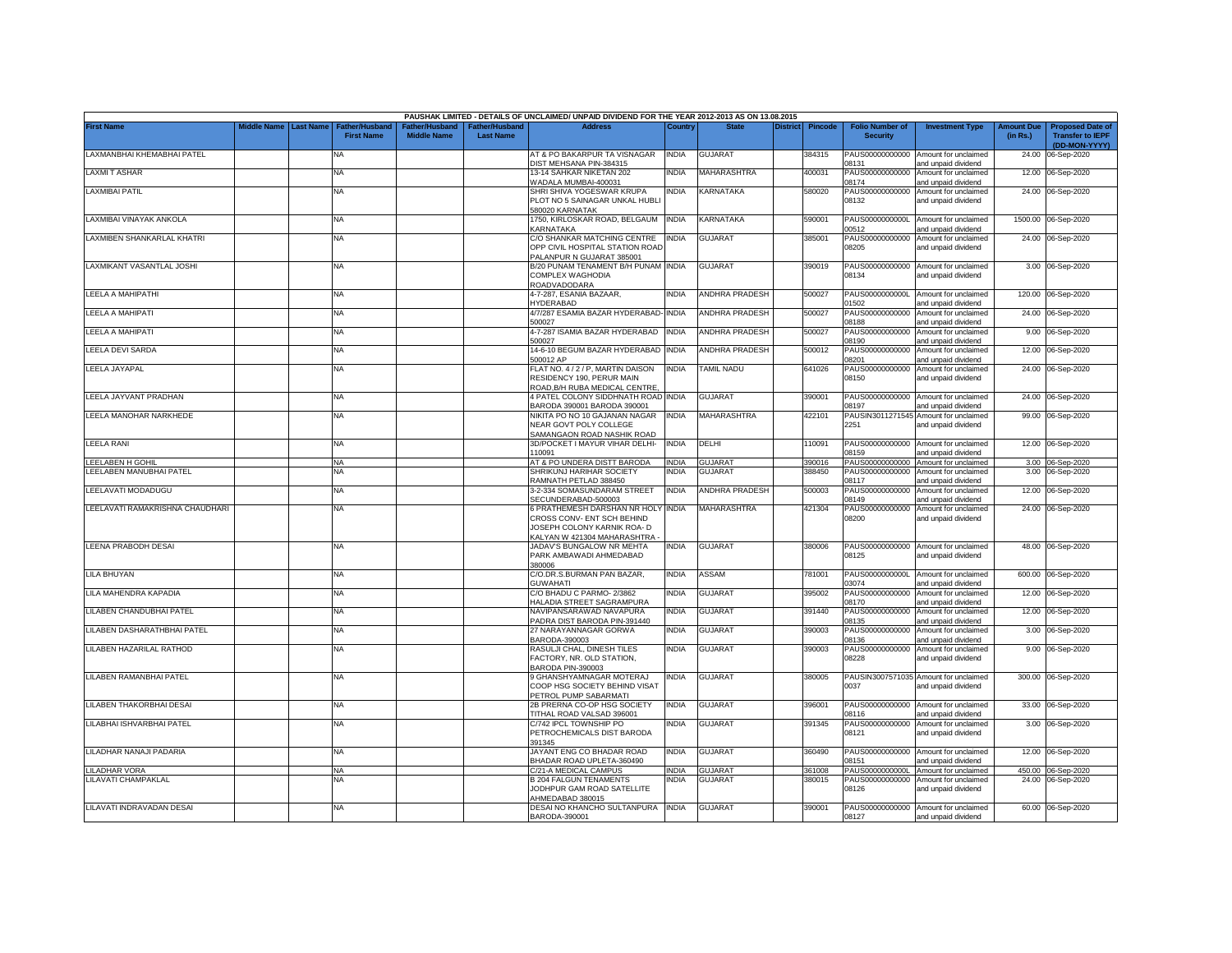|                                 |             |                  |                                     |                                      |                                           | PAUSHAK LIMITED - DETAILS OF UNCLAIMED/ UNPAID DIVIDEND FOR THE YEAR 2012-2013 AS ON 13.08.2015                                |              |                       |                 |                |                                           |                                                              |                               |                                                                     |
|---------------------------------|-------------|------------------|-------------------------------------|--------------------------------------|-------------------------------------------|--------------------------------------------------------------------------------------------------------------------------------|--------------|-----------------------|-----------------|----------------|-------------------------------------------|--------------------------------------------------------------|-------------------------------|---------------------------------------------------------------------|
| <b>First Name</b>               | Middle Name | <b>Last Name</b> | Father/Husband<br><b>First Name</b> | Father/Husband<br><b>Middle Name</b> | <b>Father/Husband</b><br><b>Last Name</b> | <b>Address</b>                                                                                                                 | Country      | <b>State</b>          | <b>District</b> | <b>Pincode</b> | <b>Folio Number of</b><br><b>Security</b> | <b>Investment Type</b>                                       | <b>Amount Due</b><br>(in Rs.) | <b>Proposed Date of</b><br><b>Transfer to IEPF</b><br>(DD-MON-YYYY) |
| LAXMANBHAI KHEMABHAI PATEL      |             |                  | <b>NA</b>                           |                                      |                                           | AT & PO BAKARPUR TA VISNAGAR<br>DIST MEHSANA PIN-384315                                                                        | <b>INDIA</b> | <b>GUJARAT</b>        |                 | 384315         | PAUS00000000000<br>08131                  | Amount for unclaimed<br>and unpaid dividend                  | 24.00                         | 06-Sep-2020                                                         |
| <b>LAXMIT ASHAR</b>             |             |                  | <b>NA</b>                           |                                      |                                           | 13-14 SAHKAR NIKETAN 202<br>WADALA MUMBAI-400031                                                                               | India        | MAHARASHTRA           |                 | 400031         | PAUS00000000000<br>08174                  | Amount for unclaimed<br>and unpaid dividend                  |                               | 12.00 06-Sep-2020                                                   |
| <b>LAXMIBAI PATIL</b>           |             |                  | <b>NA</b>                           |                                      |                                           | SHRI SHIVA YOGESWAR KRUPA<br>PLOT NO 5 SAINAGAR UNKAL HUBLI<br>580020 KARNATAK                                                 | india        | KARNATAKA             |                 | 580020         | PAUS00000000000<br>08132                  | Amount for unclaimed<br>and unpaid dividend                  |                               | 24.00 06-Sep-2020                                                   |
| LAXMIBAI VINAYAK ANKOLA         |             |                  | <b>NA</b>                           |                                      |                                           | 1750, KIRLOSKAR ROAD, BELGAUM<br>KARNATAKA                                                                                     | <b>INDIA</b> | KARNATAKA             |                 | 590001         | PAUS0000000000L<br>00512                  | Amount for unclaimed<br>and unpaid dividend                  |                               | 1500.00 06-Sep-2020                                                 |
| LAXMIBEN SHANKARLAL KHATRI      |             |                  | <b>NA</b>                           |                                      |                                           | C/O SHANKAR MATCHING CENTRE<br>OPP CIVIL HOSPITAL STATION ROAD<br>ALANPUR N GUJARAT 385001                                     | <b>INDIA</b> | <b>GUJARAT</b>        |                 | 385001         | PAUS00000000000<br>08205                  | Amount for unclaimed<br>and unpaid dividend                  |                               | 24.00 06-Sep-2020                                                   |
| LAXMIKANT VASANTLAL JOSHI       |             |                  | <b>NA</b>                           |                                      |                                           | B/20 PUNAM TENAMENT B/H PUNAM INDIA<br>COMPLEX WAGHODIA<br>ROADVADODARA                                                        |              | <b>GUJARAT</b>        |                 | 390019         | PAUS00000000000<br>08134                  | Amount for unclaimed<br>and unpaid dividend                  |                               | 3.00 06-Sep-2020                                                    |
| LEELA A MAHIPATHI               |             |                  | <b>NA</b>                           |                                      |                                           | 4-7-287, ESANIA BAZAAR,<br><b>IYDERABAD</b>                                                                                    | <b>INDIA</b> | ANDHRA PRADESH        |                 | 500027         | 01502                                     | PAUS0000000000L Amount for unclaimed<br>and unpaid dividend  |                               | 120.00 06-Sep-2020                                                  |
| LEELA A MAHIPATI                |             |                  | <b>NA</b>                           |                                      |                                           | 4/7/287 ESAMIA BAZAR HYDERABAD- INDIA<br>500027                                                                                |              | ANDHRA PRADESH        |                 | 500027         | PAUS00000000000<br>08188                  | Amount for unclaimed<br>and unpaid dividend                  |                               | 24.00 06-Sep-2020                                                   |
| LEELA A MAHIPATI                |             |                  | <b>NA</b>                           |                                      |                                           | 4-7-287 ISAMIA BAZAR HYDERABAD<br>500027                                                                                       | <b>INDIA</b> | <b>ANDHRA PRADESH</b> |                 | 500027         | PAUS00000000000<br>08190                  | Amount for unclaimed<br>and unpaid dividend                  |                               | 9.00 06-Sep-2020                                                    |
| LEELA DEVI SARDA                |             |                  | <b>NA</b>                           |                                      |                                           | 14-6-10 BEGUM BAZAR HYDERABAD<br>500012 AP                                                                                     | <b>INDIA</b> | ANDHRA PRADESH        |                 | 500012         | PAUS00000000000<br>08201                  | Amount for unclaimed<br>and unpaid dividend                  |                               | 12.00 06-Sep-2020                                                   |
| LEELA JAYAPAL                   |             |                  | <b>NA</b>                           |                                      |                                           | FLAT NO. 4 / 2 / P, MARTIN DAISON<br>RESIDENCY 190, PERUR MAIN<br>ROAD, B/H RUBA MEDICAL CENTRE                                | INDIA        | <b>TAMIL NADU</b>     |                 | 641026         | PAUS00000000000<br>08150                  | Amount for unclaimed<br>and unpaid dividend                  |                               | 24.00 06-Sep-2020                                                   |
| LEELA JAYVANT PRADHAN           |             |                  | <b>NA</b>                           |                                      |                                           | 4 PATEL COLONY SIDDHNATH ROAD<br>BARODA 390001 BARODA 390001                                                                   | <b>INDIA</b> | <b>GUJARAT</b>        |                 | 390001         | PAUS00000000000<br>08197                  | Amount for unclaimed<br>and unpaid dividend                  | 24.00                         | 06-Sep-2020                                                         |
| LEELA MANOHAR NARKHEDE          |             |                  | NA                                  |                                      |                                           | NIKITA PO NO 10 GAJANAN NAGAR<br>NEAR GOVT POLY COLLEGE<br>SAMANGAON ROAD NASHIK ROAD                                          | <b>INDIA</b> | <b>MAHARASHTRA</b>    |                 | 422101         | PAUSIN3011271545<br>2251                  | Amount for unclaimed<br>and unpaid dividend                  |                               | 99.00 06-Sep-2020                                                   |
| <b>LEELA RANI</b>               |             |                  | <b>NA</b>                           |                                      |                                           | 3D/POCKET I MAYUR VIHAR DELHI-<br>10091                                                                                        | <b>INDIA</b> | DELHI                 |                 | 10091          | 08159                                     | PAUS00000000000 Amount for unclaimed<br>and unpaid dividend  |                               | 12.00 06-Sep-2020                                                   |
| LEELABEN H GOHIL                |             |                  | NA                                  |                                      |                                           | <b>AT &amp; PO UNDERA DISTT BARODA</b>                                                                                         | INDIA        | <b>GUJARAT</b>        |                 | 390016         | PAUS00000000000                           | Amount for unclaimed                                         | 3.00                          | 06-Sep-2020                                                         |
| LEELABEN MANUBHAI PATEL         |             |                  | NA                                  |                                      |                                           | SHRIKUNJ HARIHAR SOCIETY<br>RAMNATH PETLAD 388450                                                                              | NDIA         | <b>GUJARAT</b>        |                 | 88450          | PAUS00000000000<br>08117                  | Amount for unclaimed<br>and unpaid dividend                  | 3.00                          | 06-Sep-2020                                                         |
| LEELAVATI MODADUGU              |             |                  | <b>NA</b>                           |                                      |                                           | 3-2-334 SOMASUNDARAM STREET<br>SECUNDERABAD-500003                                                                             | <b>INDIA</b> | <b>ANDHRA PRADESH</b> |                 | 500003         | PAUS00000000000<br>08149                  | Amount for unclaimed<br>and unpaid dividend                  | 12.00                         | 06-Sep-2020                                                         |
| LEELAVATI RAMAKRISHNA CHAUDHARI |             |                  | <b>NA</b>                           |                                      |                                           | 6 PRATHEMESH DARSHAN NR HOLY INDIA<br>CROSS CONV- ENT SCH BEHIND<br>JOSEPH COLONY KARNIK ROA- D<br>KALYAN W 421304 MAHARASHTRA |              | MAHARASHTRA           |                 | 421304         | PAUS00000000000<br>08200                  | Amount for unclaimed<br>and unpaid dividend                  |                               | 24.00 06-Sep-2020                                                   |
| <b>LEENA PRABODH DESAI</b>      |             |                  | NA                                  |                                      |                                           | JADAV'S BUNGALOW NR MEHTA<br>PARK AMBAWADI AHMEDABAD<br>380006                                                                 | india        | <b>GUJARAT</b>        |                 | 380006         | 08125                                     | PAUS00000000000 Amount for unclaimed<br>and unpaid dividend  |                               | 48.00 06-Sep-2020                                                   |
| LILA BHUYAN                     |             |                  | <b>NA</b>                           |                                      |                                           | C/O.DR.S.BURMAN PAN BAZAR.<br><b>GUWAHATI</b>                                                                                  | india        | ASSAM                 |                 | 781001         | PAUS0000000000L<br>03074                  | Amount for unclaimed<br>and unpaid dividend                  | 600.00                        | 06-Sep-2020                                                         |
| LILA MAHENDRA KAPADIA           |             |                  | <b>NA</b>                           |                                      |                                           | C/O BHADU C PARMO-2/3862<br><b>HALADIA STREET SAGRAMPURA</b>                                                                   | INDIA        | <b>GUJARAT</b>        |                 | 395002         | PAUS00000000000<br>08170                  | Amount for unclaimed<br>and unpaid dividend                  | 12.00                         | 06-Sep-2020                                                         |
| LILABEN CHANDUBHAI PATEL        |             |                  | <b>NA</b>                           |                                      |                                           | NAVIPANSARAWAD NAVAPURA<br>PADRA DIST BARODA PIN-391440                                                                        | INDIA        | <b>GUJARAT</b>        |                 | 391440         | PAUS00000000000<br>08135                  | Amount for unclaimed<br>and unpaid dividend                  | 12.00                         | 06-Sep-2020                                                         |
| LILABEN DASHARATHBHAI PATEL     |             |                  | <b>NA</b>                           |                                      |                                           | 27 NARAYANNAGAR GORWA<br>BARODA-390003                                                                                         | INDIA        | <b>GUJARAT</b>        |                 | 390003         | PAUS00000000000<br>08136                  | Amount for unclaimed<br>and unpaid dividend                  | 3.00                          | 06-Sep-2020                                                         |
| LILABEN HAZARILAL RATHOD        |             |                  | <b>NA</b>                           |                                      |                                           | RASULJI CHAL, DINESH TILES<br>FACTORY, NR. OLD STATION,<br>BARODA PIN-390003                                                   | INDIA        | <b>GUJARAT</b>        |                 | 390003         | PAUS00000000000<br>08228                  | Amount for unclaimed<br>and unpaid dividend                  |                               | 9.00 06-Sep-2020                                                    |
| LILABEN RAMANBHAI PATEL         |             |                  | <b>NA</b>                           |                                      |                                           | 9 GHANSHYAMNAGAR MOTERAJ<br>COOP HSG SOCIETY BEHIND VISAT<br><b>PETROL PUMP SABARMATI</b>                                      | India        | <b>GUJARAT</b>        |                 | 380005         | 0037                                      | PAUSIN3007571035 Amount for unclaimed<br>and unpaid dividend |                               | 300.00 06-Sep-2020                                                  |
| LILABEN THAKORBHAI DESAI        |             |                  | <b>NA</b>                           |                                      |                                           | 2B PRERNA CO-OP HSG SOCIETY<br><b>TITHAL ROAD VALSAD 396001</b>                                                                | India        | GUJARAT               |                 | 396001         | PAUS00000000000<br>08116                  | Amount for unclaimed<br>and unpaid dividend                  |                               | 33.00 06-Sep-2020                                                   |
| LILABHAI ISHVARBHAI PATEL       |             |                  | NA                                  |                                      |                                           | C/742 IPCL TOWNSHIP PO<br>PETROCHEMICALS DIST BARODA<br>391345                                                                 | ndia         | <b>GUJARAT</b>        |                 | 391345         | PAUS00000000000<br>08121                  | Amount for unclaimed<br>and unpaid dividend                  |                               | 3.00 06-Sep-2020                                                    |
| LILADHAR NANAJI PADARIA         |             |                  | <b>NA</b>                           |                                      |                                           | JAYANT ENG CO BHADAR ROAD<br>BHADAR ROAD UPLETA-360490                                                                         | INDIA        | <b>GUJARAT</b>        |                 | 360490         | 08151                                     | PAUS00000000000 Amount for unclaimed<br>and unpaid dividend  |                               | 12.00 06-Sep-2020                                                   |
| <b>LILADHAR VORA</b>            |             |                  | ΝA                                  |                                      |                                           | C/21-A MEDICAL CAMPUS                                                                                                          | INDIA        | <b>GUJARAT</b>        |                 | 361008         | PAUS0000000000L                           | Amount for unclaimed                                         |                               | 450.00 06-Sep-2020                                                  |
| LILAVATI CHAMPAKLAL             |             |                  | NA                                  |                                      |                                           | <b>B 204 FALGUN TENAMENTS</b><br>JODHPUR GAM ROAD SATELLITE<br>AHMEDABAD 380015                                                | NDIA         | <b>GUJARAT</b>        |                 | 380015         | PAUS00000000000<br>08126                  | Amount for unclaimed<br>and unpaid dividend                  |                               | 24.00 06-Sep-2020                                                   |
| LILAVATI INDRAVADAN DESAI       |             |                  | <b>NA</b>                           |                                      |                                           | DESAI NO KHANCHO SULTANPURA INDIA<br>BARODA-390001                                                                             |              | <b>GUJARAT</b>        |                 | 390001         | 08127                                     | PAUS00000000000 Amount for unclaimed<br>and unpaid dividend  |                               | 60.00 06-Sep-2020                                                   |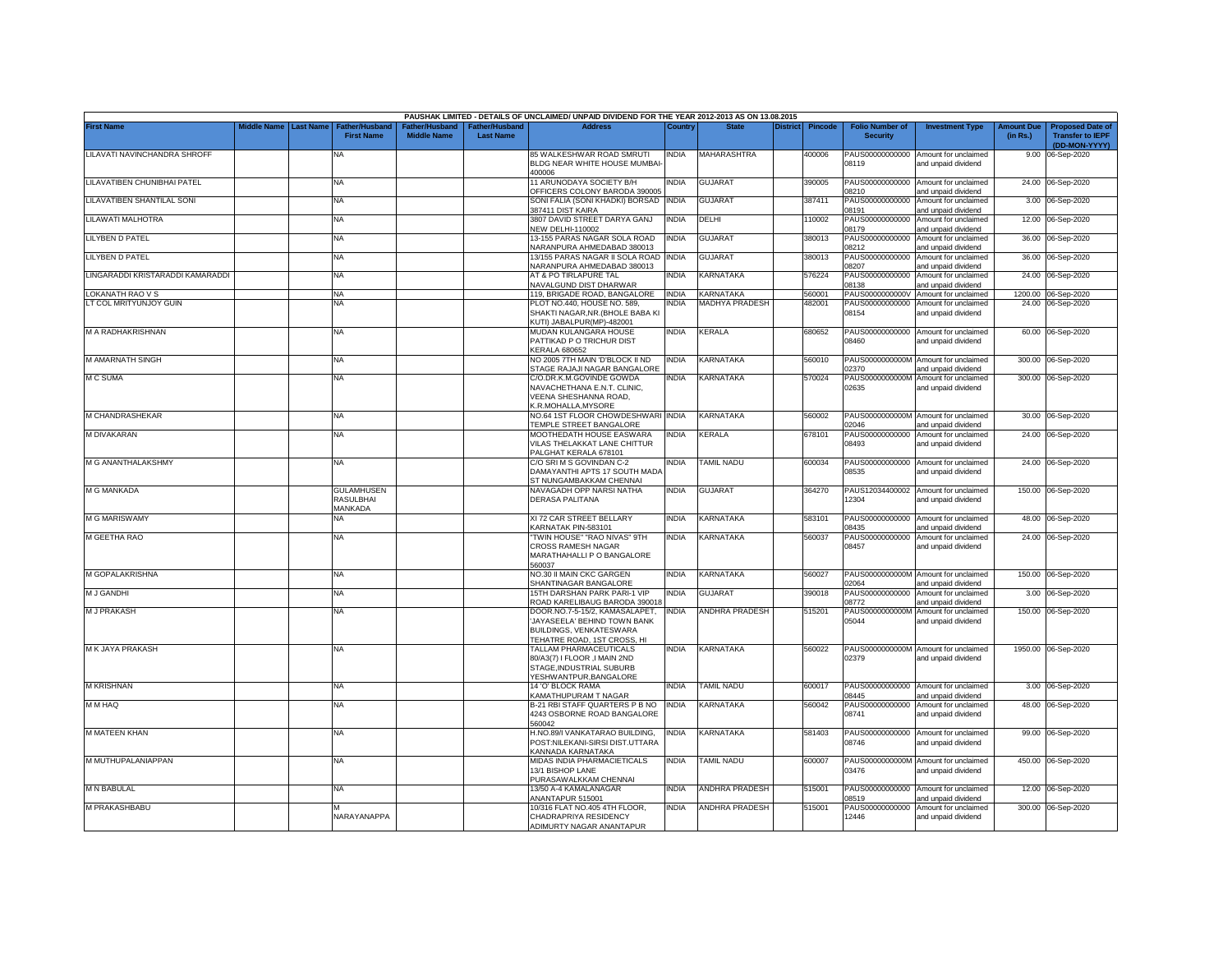|                                 |                    |                  |                                            |                                      |                                    | PAUSHAK LIMITED - DETAILS OF UNCLAIMED/ UNPAID DIVIDEND FOR THE YEAR 2012-2013 AS ON 13.08.2015                         |              |                       |                 |                |                                           |                                                                    |                               |                                                                     |
|---------------------------------|--------------------|------------------|--------------------------------------------|--------------------------------------|------------------------------------|-------------------------------------------------------------------------------------------------------------------------|--------------|-----------------------|-----------------|----------------|-------------------------------------------|--------------------------------------------------------------------|-------------------------------|---------------------------------------------------------------------|
| <b>First Name</b>               | <b>Middle Name</b> | <b>Last Name</b> | <b>Father/Husband</b><br><b>First Name</b> | Father/Husband<br><b>Middle Name</b> | Father/Husband<br><b>Last Name</b> | <b>Address</b>                                                                                                          | Country      | <b>State</b>          | <b>District</b> | <b>Pincode</b> | <b>Folio Number of</b><br><b>Security</b> | <b>Investment Type</b>                                             | <b>Amount Due</b><br>(in Rs.) | <b>Proposed Date of</b><br><b>Transfer to IEPF</b><br>(DD-MON-YYYY) |
| LILAVATI NAVINCHANDRA SHROFF    |                    |                  | NA                                         |                                      |                                    | 85 WALKESHWAR ROAD SMRUTI<br>BLDG NEAR WHITE HOUSE MUMBAI                                                               | <b>INDIA</b> | MAHARASHTRA           |                 | 400006         | 08119                                     | PAUS00000000000 Amount for unclaimed<br>and unpaid dividend        |                               | 9.00 06-Sep-2020                                                    |
| LILAVATIBEN CHUNIBHAI PATEL     |                    |                  | NA                                         |                                      |                                    | 400006<br>11 ARUNODAYA SOCIETY B/H                                                                                      | <b>INDIA</b> | <b>GUJARAT</b>        |                 | 390005         |                                           | PAUS00000000000 Amount for unclaimed                               |                               | 24.00 06-Sep-2020                                                   |
| LILAVATIBEN SHANTILAL SONI      |                    |                  | NA                                         |                                      |                                    | OFFICERS COLONY BARODA 390005<br>SONI FALIA (SONI KHADKI) BORSAD INDIA                                                  |              | <b>GUJARAT</b>        |                 | 387411         | 08210<br>PAUS00000000000                  | and unpaid dividend<br>Amount for unclaimed                        |                               | 3.00 06-Sep-2020                                                    |
| <b>ILAWATI MALHOTRA</b>         |                    |                  | NA                                         |                                      |                                    | 387411 DIST KAIRA<br>3807 DAVID STREET DARYA GANJ                                                                       | <b>INDIA</b> | DELHI                 |                 | 110002         | 8191                                      | and unpaid dividend<br>PAUS00000000000 Amount for unclaimed        |                               | 12.00 06-Sep-2020                                                   |
| LILYBEN D PATEL                 |                    |                  | NΑ                                         |                                      |                                    | <b>NEW DELHI-110002</b><br>13-155 PARAS NAGAR SOLA ROAD<br>VARANPURA AHMEDABAD 380013                                   | INDIA        | <b>GUJARAT</b>        |                 | 380013         | 08179<br>08212                            | and unpaid dividend<br>PAUS00000000000 Amount for unclaimed        |                               | 36.00 06-Sep-2020                                                   |
| <b>ILYBEN D PATEL</b>           |                    |                  | NA.                                        |                                      |                                    | 3/155 PARAS NAGAR II SOLA ROAD<br>NARANPURA AHMEDABAD 380013                                                            | NDIA         | <b>GUJARAT</b>        |                 | 380013         | PAUS00000000000<br>08207                  | and unpaid dividend<br>Amount for unclaimed<br>and unpaid dividend |                               | 36.00 06-Sep-2020                                                   |
| INGARADDI KRISTARADDI KAMARADDI |                    |                  | NA                                         |                                      |                                    | AT & PO TIRLAPURE TAL<br><b>VAVALGUND DIST DHARWAR</b>                                                                  | <b>NDIA</b>  | KARNATAKA             |                 | 576224         | PAUS00000000000<br>8138                   | Amount for unclaimed<br>nd unpaid dividend                         |                               | 24.00 06-Sep-2020                                                   |
| OKANATH RAO V S                 |                    |                  | NA                                         |                                      |                                    | 119, BRIGADE ROAD, BANGALORE                                                                                            | <b>INDIA</b> | KARNATAKA             |                 | 560001         |                                           | PAUS0000000000V Amount for unclaimed                               |                               | 1200.00 06-Sep-2020                                                 |
| T COL MRITYUNJOY GUIN           |                    |                  | NA                                         |                                      |                                    | PLOT NO.440, HOUSE NO. 589<br>SHAKTI NAGAR, NR. (BHOLE BABA KI<br>KUTI) JABALPUR(MP)-482001                             | ndia         | <b>MADHYA PRADESH</b> |                 | 482001         | PAUS00000000000<br>08154                  | Amount for unclaimed<br>and unpaid dividend                        |                               | 24.00 06-Sep-2020                                                   |
| M A RADHAKRISHNAN               |                    |                  | NA                                         |                                      |                                    | MUDAN KULANGARA HOUSE<br>PATTIKAD P O TRICHUR DIST<br><b>KERALA 680652</b>                                              | India        | <b>KERALA</b>         |                 | 680652         | 08460                                     | PAUS00000000000 Amount for unclaimed<br>and unpaid dividend        |                               | 60.00 06-Sep-2020                                                   |
| M AMARNATH SINGH                |                    |                  | NA                                         |                                      |                                    | NO 2005 7TH MAIN 'D'BLOCK II ND<br>STAGE RAJAJI NAGAR BANGALORE                                                         | <b>INDIA</b> | KARNATAKA             |                 | 560010         | PAUS0000000000M<br>02370                  | Amount for unclaimed<br>and unpaid dividend                        | 300.00                        | 06-Sep-2020                                                         |
| M C SUMA                        |                    |                  | <b>NA</b>                                  |                                      |                                    | C/O.DR.K.M.GOVINDE GOWDA<br>NAVACHETHANA E.N.T. CLINIC,<br>VEENA SHESHANNA ROAD,<br>K.R.MOHALLA, MYSORE                 | INDIA        | KARNATAKA             |                 | 570024         | PAUS0000000000M<br>02635                  | Amount for unclaimed<br>and unpaid dividend                        | 300.00                        | 06-Sep-2020                                                         |
| M CHANDRASHEKAR                 |                    |                  | NA                                         |                                      |                                    | NO.64 1ST FLOOR CHOWDESHWARI INDIA<br><b>TEMPLE STREET BANGALORE</b>                                                    |              | KARNATAKA             |                 | 560002         | 02046                                     | PAUS0000000000M Amount for unclaimed<br>and unpaid dividend        |                               | 30.00 06-Sep-2020                                                   |
| M DIVAKARAN                     |                    |                  | NA                                         |                                      |                                    | <b>MOOTHEDATH HOUSE EASWARA</b><br>VILAS THELAKKAT LANE CHITTUR<br>PALGHAT KERALA 678101                                | NDIA         | <b>CERALA</b>         |                 | 678101         | PAUS00000000000<br>08493                  | Amount for unclaimed<br>and unpaid dividend                        |                               | 24.00 06-Sep-2020                                                   |
| M G ANANTHALAKSHMY              |                    |                  | <b>NA</b>                                  |                                      |                                    | C/O SRI M S GOVINDAN C-2<br>DAMAYANTHI APTS 17 SOUTH MADA<br>ST NUNGAMBAKKAM CHENNAI                                    | NDIA         | <b>TAMIL NADU</b>     |                 | 600034         | 08535                                     | PAUS00000000000 Amount for unclaimed<br>and unpaid dividend        |                               | 24.00 06-Sep-2020                                                   |
| M G MANKADA                     |                    |                  | <b>GULAMHUSEN</b><br>RASULBHAI<br>MANKADA  |                                      |                                    | NAVAGADH OPP NARSI NATHA<br><b>DERASA PALITANA</b>                                                                      | <b>INDIA</b> | <b>GUJARAT</b>        |                 | 364270         | 12304                                     | PAUS12034400002 Amount for unclaimed<br>and unpaid dividend        |                               | 150.00 06-Sep-2020                                                  |
| <b>M G MARISWAMY</b>            |                    |                  | NA                                         |                                      |                                    | XI 72 CAR STREET BELLARY<br>KARNATAK PIN-583101                                                                         | NDIA         | KARNATAKA             |                 | 583101         | PAUS00000000000<br>08435                  | Amount for unclaimed<br>and unpaid dividend                        |                               | 48.00 06-Sep-2020                                                   |
| M GEETHA RAO                    |                    |                  | NA                                         |                                      |                                    | TWIN HOUSE" "RAO NIVAS" 9TH<br>CROSS RAMESH NAGAR<br>MARATHAHALLI P O BANGALORE<br>560037                               | India        | KARNATAKA             |                 | 560037         | PAUS00000000000<br>08457                  | Amount for unclaimed<br>and unpaid dividend                        |                               | 24.00 06-Sep-2020                                                   |
| M GOPALAKRISHNA                 |                    |                  | NA                                         |                                      |                                    | NO.30 II MAIN CKC GARGEN<br>SHANTINAGAR BANGALORE                                                                       | <b>INDIA</b> | KARNATAKA             |                 | 560027         | 02064                                     | PAUS0000000000M Amount for unclaimed<br>and unpaid dividend        |                               | 150.00 06-Sep-2020                                                  |
| <b>M J GANDHI</b>               |                    |                  | NA.                                        |                                      |                                    | 15TH DARSHAN PARK PARI-1 VIP<br>ROAD KARELIBAUG BARODA 390018                                                           | <b>NDIA</b>  | GUJARAT               |                 | 390018         | PAUS00000000000<br>8772                   | Amount for unclaimed<br>and unpaid dividend                        |                               | 3.00 06-Sep-2020                                                    |
| <b>M J PRAKASH</b>              |                    |                  | NA                                         |                                      |                                    | DOOR.NO.7-5-15/2, KAMASALAPET.<br>JAYASEELA' BEHIND TOWN BANK<br>BUILDINGS, VENKATESWARA<br>TEHATRE ROAD, 1ST CROSS, HI | NDIA         | <b>ANDHRA PRADESH</b> |                 | 515201         | PAUS0000000000M<br>05044                  | Amount for unclaimed<br>and unpaid dividend                        |                               | 150.00 06-Sep-2020                                                  |
| M K JAYA PRAKASH                |                    |                  | <b>NA</b>                                  |                                      |                                    | TALLAM PHARMACEUTICALS<br>80/A3(7) I FLOOR ,I MAIN 2ND<br>STAGE, INDUSTRIAL SUBURB<br>YESHWANTPUR, BANGALORE            | INDIA        | <b>KARNATAKA</b>      |                 | 560022         | 02379                                     | PAUS0000000000M Amount for unclaimed<br>and unpaid dividend        |                               | 1950.00 06-Sep-2020                                                 |
| <b>M KRISHNAN</b>               |                    |                  | ΝA                                         |                                      |                                    | 14 'O' BLOCK RAMA<br>KAMATHUPURAM T NAGAR                                                                               | <b>INDIA</b> | TAMIL NADU            |                 | 600017         | 08445                                     | PAUS00000000000 Amount for unclaimed<br>and unpaid dividend        |                               | 3.00 06-Sep-2020                                                    |
| M M HAQ                         |                    |                  | NA                                         |                                      |                                    | B-21 RBI STAFF QUARTERS P B NO<br>4243 OSBORNE ROAD BANGALORE<br>560042                                                 | <b>INDIA</b> | KARNATAKA             |                 | 560042         | PAUS00000000000<br>08741                  | Amount for unclaimed<br>and unpaid dividend                        | 48.00                         | 06-Sep-2020                                                         |
| <b>M MATEEN KHAN</b>            |                    |                  | NA                                         |                                      |                                    | H.NO.89/I VANKATARAO BUILDING,<br>POST:NILEKANI-SIRSI DIST.UTTARA<br>KANNADA KARNATAKA                                  | INDIA        | KARNATAKA             |                 | 581403         | 08746                                     | PAUS00000000000 Amount for unclaimed<br>and unpaid dividend        |                               | 99.00 06-Sep-2020                                                   |
| M MUTHUPALANIAPPAN              |                    |                  | NA                                         |                                      |                                    | MIDAS INDIA PHARMACIETICALS<br>13/1 BISHOP LANE<br>PURASAWALKKAM CHENNAI                                                | India        | TAMIL NADU            |                 | 600007         | 03476                                     | PAUS0000000000M Amount for unclaimed<br>and unpaid dividend        |                               | 450.00 06-Sep-2020                                                  |
| M N BABULAL                     |                    |                  | NA                                         |                                      |                                    | 13/50 A-4 KAMALANAGAR<br>NANTAPUR 515001                                                                                | INDIA        | ANDHRA PRADESH        |                 | 515001         | 08519                                     | PAUS00000000000 Amount for unclaimed<br>nd unpaid dividend         |                               | 12.00 06-Sep-2020                                                   |
| M PRAKASHBABU                   |                    |                  | NARAYANAPPA                                |                                      |                                    | 10/316 FLAT NO.405 4TH FLOOR,<br>CHADRAPRIYA RESIDENCY<br>ADIMURTY NAGAR ANANTAPUR                                      | INDIA        | ANDHRA PRADESH        |                 | 515001         | 12446                                     | PAUS00000000000 Amount for unclaimed<br>and unpaid dividend        |                               | 300.00 06-Sep-2020                                                  |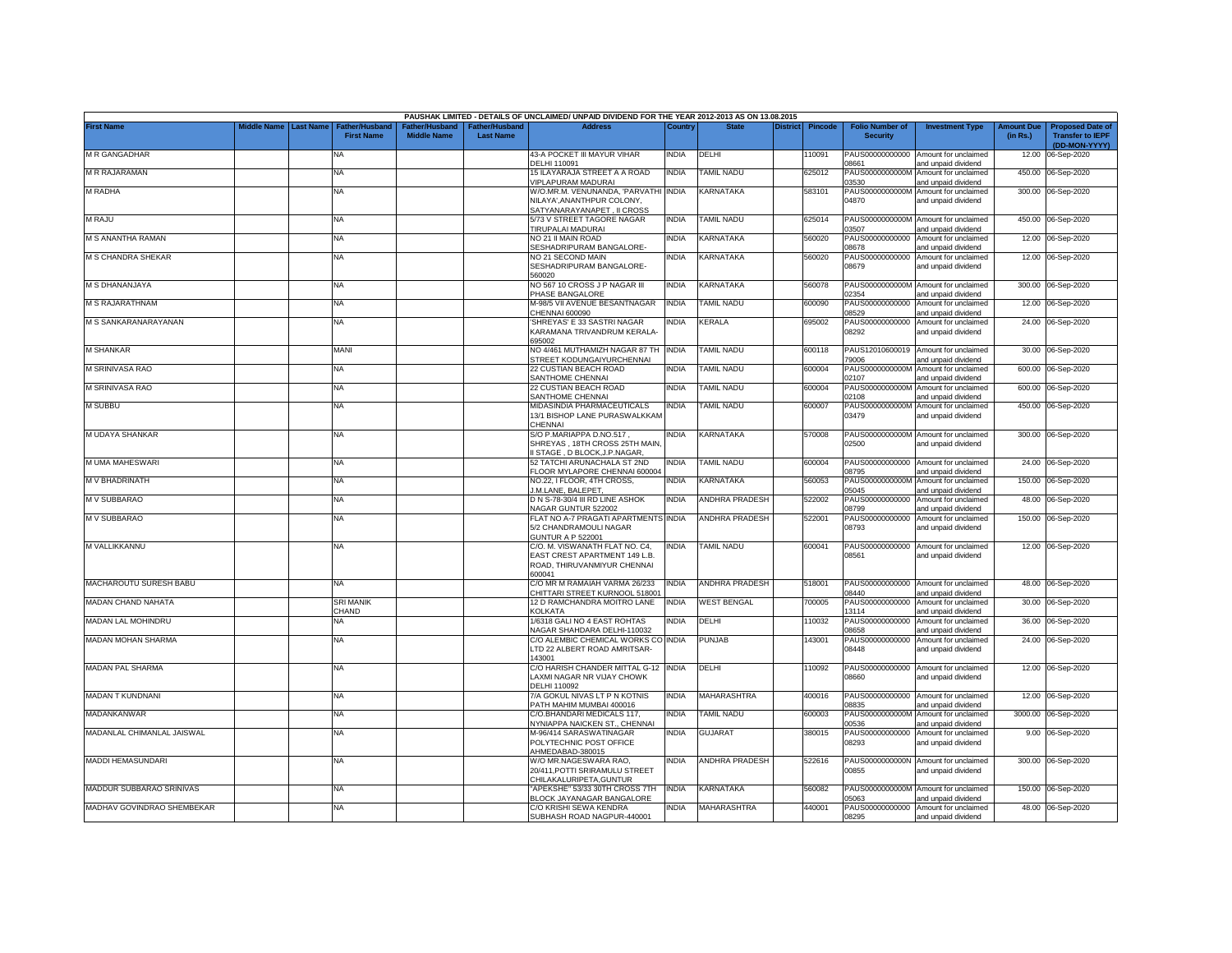|                            |                       |                                            |                                      |                                    | PAUSHAK LIMITED - DETAILS OF UNCLAIMED/ UNPAID DIVIDEND FOR THE YEAR 2012-2013 AS ON 13.08.2015          |              |                          |          |                |                                           |                                                             |                               |                                                                     |
|----------------------------|-----------------------|--------------------------------------------|--------------------------------------|------------------------------------|----------------------------------------------------------------------------------------------------------|--------------|--------------------------|----------|----------------|-------------------------------------------|-------------------------------------------------------------|-------------------------------|---------------------------------------------------------------------|
| <b>First Name</b>          | Middle Name Last Name | <b>Father/Husband</b><br><b>First Name</b> | Father/Husband<br><b>Middle Name</b> | Father/Husband<br><b>Last Name</b> | <b>Address</b>                                                                                           | Country      | <b>State</b>             | District | <b>Pincode</b> | <b>Folio Number of</b><br><b>Security</b> | <b>Investment Type</b>                                      | <b>Amount Due</b><br>(in Rs.) | <b>Proposed Date of</b><br><b>Transfer to IEPF</b><br>(DD-MON-YYYY) |
| M R GANGADHAR              |                       | NA                                         |                                      |                                    | 43-A POCKET III MAYUR VIHAR<br>DELHI 110091                                                              | <b>INDIA</b> | DELHI                    |          | 10091          | PAUS00000000000<br>08661                  | Amount for unclaimed<br>and unpaid dividend                 |                               | 12.00 06-Sep-2020                                                   |
| <b>M R RAJARAMAN</b>       |                       | <b>NA</b>                                  |                                      |                                    | 15 ILAYARAJA STREET A A ROAD<br>VIPLAPURAM MADURAI                                                       | <b>INDIA</b> | <b>TAMIL NADU</b>        |          | 625012         | PAUS0000000000M<br>03530                  | Amount for unclaimed<br>and unpaid dividend                 |                               | 450.00 06-Sep-2020                                                  |
| M RADHA                    |                       | NA                                         |                                      |                                    | W/O.MR.M. VENUNANDA, 'PARVATHI INDIA<br>NILAYA', ANANTHPUR COLONY,<br>SATYANARAYANAPET, II CROSS         |              | KARNATAKA                |          | 583101         | PAUS0000000000M<br>04870                  | Amount for unclaimed<br>and unpaid dividend                 |                               | 300.00 06-Sep-2020                                                  |
| <b>M RAJU</b>              |                       | <b>NA</b>                                  |                                      |                                    | 5/73 V STREET TAGORE NAGAR<br>TIRUPALAI MADURAI                                                          | <b>INDIA</b> | <b><i>FAMIL NADU</i></b> |          | 625014         | PAUS0000000000M<br>3507                   | Amount for unclaimed<br>and unpaid dividend                 |                               | 450.00 06-Sep-2020                                                  |
| M S ANANTHA RAMAN          |                       | NA                                         |                                      |                                    | NO 21 II MAIN ROAD<br>SESHADRIPURAM BANGALORE-                                                           | INDIA        | <b>KARNATAKA</b>         |          | 560020         | PAUS00000000000<br>3678                   | Amount for unclaimed<br>and unpaid dividend                 |                               | 12.00 06-Sep-2020                                                   |
| <b>M S CHANDRA SHEKAR</b>  |                       | <b>NA</b>                                  |                                      |                                    | NO 21 SECOND MAIN<br>SESHADRIPURAM BANGALORE-<br>560020                                                  | INDIA        | KARNATAKA                |          | 560020         | PAUS00000000000<br>08679                  | Amount for unclaimed<br>and unpaid dividend                 |                               | 12.00 06-Sep-2020                                                   |
| M S DHANANJAYA             |                       | <b>NA</b>                                  |                                      |                                    | NO 567 10 CROSS J P NAGAR III<br>PHASE BANGALORE                                                         | <b>INDIA</b> | KARNATAKA                |          | 560078         | PAUS0000000000M<br>02354                  | Amount for unclaimed<br>and unpaid dividend                 |                               | 300.00 06-Sep-2020                                                  |
| <b>M S RAJARATHNAM</b>     |                       | <b>NA</b>                                  |                                      |                                    | M-98/5 VII AVENUE BESANTNAGAR<br>CHENNAI 600090                                                          | <b>INDIA</b> | <b>TAMIL NADU</b>        |          | 600090         | PAUS00000000000<br>08529                  | Amount for unclaimed<br>and unpaid dividend                 |                               | 12.00 06-Sep-2020                                                   |
| M S SANKARANARAYANAN       |                       | NA                                         |                                      |                                    | 'SHREYAS' E 33 SASTRI NAGAR<br>KARAMANA TRIVANDRUM KERALA-<br>695002                                     | INDIA        | KERALA                   |          | 695002         | PAUS00000000000<br>08292                  | Amount for unclaimed<br>and unpaid dividend                 |                               | 24.00 06-Sep-2020                                                   |
| <b>M SHANKAR</b>           |                       | <b>MANI</b>                                |                                      |                                    | NO 4/461 MUTHAMIZH NAGAR 87 TH<br>STREET KODUNGAIYURCHENNAI                                              | <b>INDIA</b> | <b><i>FAMIL NADU</i></b> |          | 600118         | PAUS12010600019<br>3006                   | Amount for unclaimed<br>and unpaid dividend                 |                               | 30.00 06-Sep-2020                                                   |
| M SRINIVASA RAO            |                       | <b>NA</b>                                  |                                      |                                    | 22 CUSTIAN BEACH ROAD<br>SANTHOME CHENNAI                                                                | <b>INDIA</b> | <b>TAMIL NADU</b>        |          | 600004         | PAUS0000000000M<br>02107                  | Amount for unclaimed<br>and unpaid dividend                 |                               | 600.00 06-Sep-2020                                                  |
| M SRINIVASA RAO            |                       | <b>NA</b>                                  |                                      |                                    | 22 CUSTIAN BEACH ROAD<br>SANTHOME CHENNAI                                                                | <b>INDIA</b> | <b>TAMIL NADU</b>        |          | 600004         | PAUS0000000000M<br>02108                  | Amount for unclaimed<br>and unpaid dividend                 |                               | 600.00 06-Sep-2020                                                  |
| M SUBBU                    |                       | <b>NA</b>                                  |                                      |                                    | MIDASINDIA PHARMACEUTICALS<br>13/1 BISHOP LANE PURASWALKKAM<br>CHENNAI                                   | <b>INDIA</b> | TAMIL NADU               |          | 600007         | PAUS0000000000M<br>03479                  | Amount for unclaimed<br>and unpaid dividend                 |                               | 450.00 06-Sep-2020                                                  |
| M UDAYA SHANKAR            |                       | <b>NA</b>                                  |                                      |                                    | S/O P.MARIAPPA D.NO.517,<br>SHREYAS, 18TH CROSS 25TH MAIN<br>I STAGE, D BLOCK, J.P. NAGAR,               | <b>INDIA</b> | KARNATAKA                |          | 570008         | 02500                                     | PAUS0000000000M Amount for unclaimed<br>and unpaid dividend |                               | 300.00 06-Sep-2020                                                  |
| M UMA MAHESWARI            |                       | <b>NA</b>                                  |                                      |                                    | 52 TATCHI ARUNACHALA ST 2ND<br>FLOOR MYLAPORE CHENNAI 600004                                             | <b>INDIA</b> | <b>TAMIL NADU</b>        |          | 600004         | 08795                                     | PAUS00000000000 Amount for unclaimed<br>and unpaid dividend |                               | 24.00 06-Sep-2020                                                   |
| M V BHADRINATH             |                       | <b>NA</b>                                  |                                      |                                    | NO.22, I FLOOR, 4TH CROSS,<br>J.M.LANE, BALEPET,                                                         | <b>INDIA</b> | KARNATAKA                |          | 560053         | PAUS0000000000M<br>05045                  | Amount for unclaimed<br>and unpaid dividend                 |                               | 150.00 06-Sep-2020                                                  |
| M V SUBBARAO               |                       | <b>NA</b>                                  |                                      |                                    | D N S-78-30/4 III RD LINE ASHOK<br>NAGAR GUNTUR 522002                                                   | <b>INDIA</b> | <b>ANDHRA PRADESH</b>    |          | 522002         | PAUS00000000000<br>08799                  | Amount for unclaimed<br>and unpaid dividend                 |                               | 48.00 06-Sep-2020                                                   |
| M V SUBBARAO               |                       | <b>NA</b>                                  |                                      |                                    | FLAT NO A-7 PRAGATI APARTMENTS INDIA<br>5/2 CHANDRAMOULI NAGAR<br><b>GUNTUR A P 522001</b>               |              | ANDHRA PRADESH           |          | 522001         | PAUS00000000000<br>08793                  | Amount for unclaimed<br>and unpaid dividend                 |                               | 150.00 06-Sep-2020                                                  |
| M VALLIKKANNU              |                       | NA                                         |                                      |                                    | C/O. M. VISWANATH FLAT NO. C4,<br>EAST CREST APARTMENT 149 L.B.<br>ROAD, THIRUVANMIYUR CHENNAI<br>600041 | <b>INDIA</b> | TAMIL NADU               |          | 600041         | 08561                                     | PAUS00000000000 Amount for unclaimed<br>and unpaid dividend |                               | 12.00 06-Sep-2020                                                   |
| MACHAROUTU SURESH BABU     |                       | NA                                         |                                      |                                    | C/O MR M RAMAIAH VARMA 26/233<br>CHITTARI STREET KURNOOL 518001                                          | <b>INDIA</b> | <b>ANDHRA PRADESH</b>    |          | 518001         | PAUS00000000000<br>08440                  | Amount for unclaimed<br>and unpaid dividend                 |                               | 48.00 06-Sep-2020                                                   |
| MADAN CHAND NAHATA         |                       | <b>SRI MANIK</b><br>CHAND                  |                                      |                                    | 12 D RAMCHANDRA MOITRO LANE<br><b>KOLKATA</b>                                                            | <b>INDIA</b> | <b>WEST BENGAL</b>       |          | 700005         | PAUS00000000000<br>13114                  | Amount for unclaimed<br>and unpaid dividend                 | 30.00                         | 06-Sep-2020                                                         |
| <b>MADAN LAL MOHINDRU</b>  |                       | ΝA                                         |                                      |                                    | 1/6318 GALI NO 4 EAST ROHTAS<br>NAGAR SHAHDARA DELHI-110032                                              | <b>INDIA</b> | DELHI                    |          | 110032         | PAUS00000000000<br>08658                  | Amount for unclaimed<br>and unpaid dividend                 | 36.00                         | 06-Sep-2020                                                         |
| MADAN MOHAN SHARMA         |                       | NA                                         |                                      |                                    | C/O ALEMBIC CHEMICAL WORKS CO INDIA<br>LTD 22 ALBERT ROAD AMRITSAR-<br>143001                            |              | PUNJAB                   |          | 43001          | PAUS00000000000<br>08448                  | Amount for unclaimed<br>and unpaid dividend                 |                               | 24.00 06-Sep-2020                                                   |
| <b>MADAN PAL SHARMA</b>    |                       | <b>NA</b>                                  |                                      |                                    | C/O HARISH CHANDER MITTAL G-12 INDIA<br>LAXMI NAGAR NR VIJAY CHOWK<br>DELHI 110092                       |              | DELHI                    |          | 10092          | PAUS00000000000<br>08660                  | Amount for unclaimed<br>and unpaid dividend                 |                               | 12.00 06-Sep-2020                                                   |
| <b>MADAN T KUNDNANI</b>    |                       | ΝA                                         |                                      |                                    | 7/A GOKUL NIVAS LT P N KOTNIS<br>PATH MAHIM MUMBAI 400016                                                | <b>INDIA</b> | MAHARASHTRA              |          | 400016         | PAUS00000000000<br>08835                  | Amount for unclaimed<br>and unpaid dividend                 |                               | 12.00 06-Sep-2020                                                   |
| MADANKANWAR                |                       | NA                                         |                                      |                                    | C/O.BHANDARI MEDICALS 117,<br>NYNIAPPA NAICKEN ST., CHENNAI                                              | India        | <b><i>FAMIL NADU</i></b> |          | 600003         | PAUS0000000000M<br>00536                  | Amount for unclaimed<br>and unpaid dividend                 |                               | 3000.00 06-Sep-2020                                                 |
| MADANLAL CHIMANLAL JAISWAL |                       | <b>NA</b>                                  |                                      |                                    | M-96/414 SARASWATINAGAR<br>POLYTECHNIC POST OFFICE<br>AHMEDABAD-380015                                   | India        | <b>GUJARAT</b>           |          | 380015         | PAUS00000000000<br>08293                  | Amount for unclaimed<br>and unpaid dividend                 |                               | 9.00 06-Sep-2020                                                    |
| <b>MADDI HEMASUNDARI</b>   |                       | <b>NA</b>                                  |                                      |                                    | W/O MR.NAGESWARA RAO,<br>20/411, POTTI SRIRAMULU STREET<br>CHILAKALURIPETA, GUNTUR                       | INDIA        | ANDHRA PRADESH           |          | 522616         | 00855                                     | PAUS0000000000N Amount for unclaimed<br>and unpaid dividend |                               | 300.00 06-Sep-2020                                                  |
| MADDUR SUBBARAO SRINIVAS   |                       | NA                                         |                                      |                                    | 'APEKSHE" 53/33 30TH CROSS 7TH<br>BLOCK JAYANAGAR BANGALORE                                              | <b>INDIA</b> | KARNATAKA                |          | 560082         | 05063                                     | PAUS0000000000M Amount for unclaimed<br>and unpaid dividend |                               | 150.00 06-Sep-2020                                                  |
| MADHAV GOVINDRAO SHEMBEKAR |                       | <b>NA</b>                                  |                                      |                                    | C/O KRISHI SEWA KENDRA<br>SUBHASH ROAD NAGPUR-440001                                                     | <b>INDIA</b> | MAHARASHTRA              |          | 440001         | 08295                                     | PAUS00000000000 Amount for unclaimed<br>and unpaid dividend |                               | 48.00 06-Sep-2020                                                   |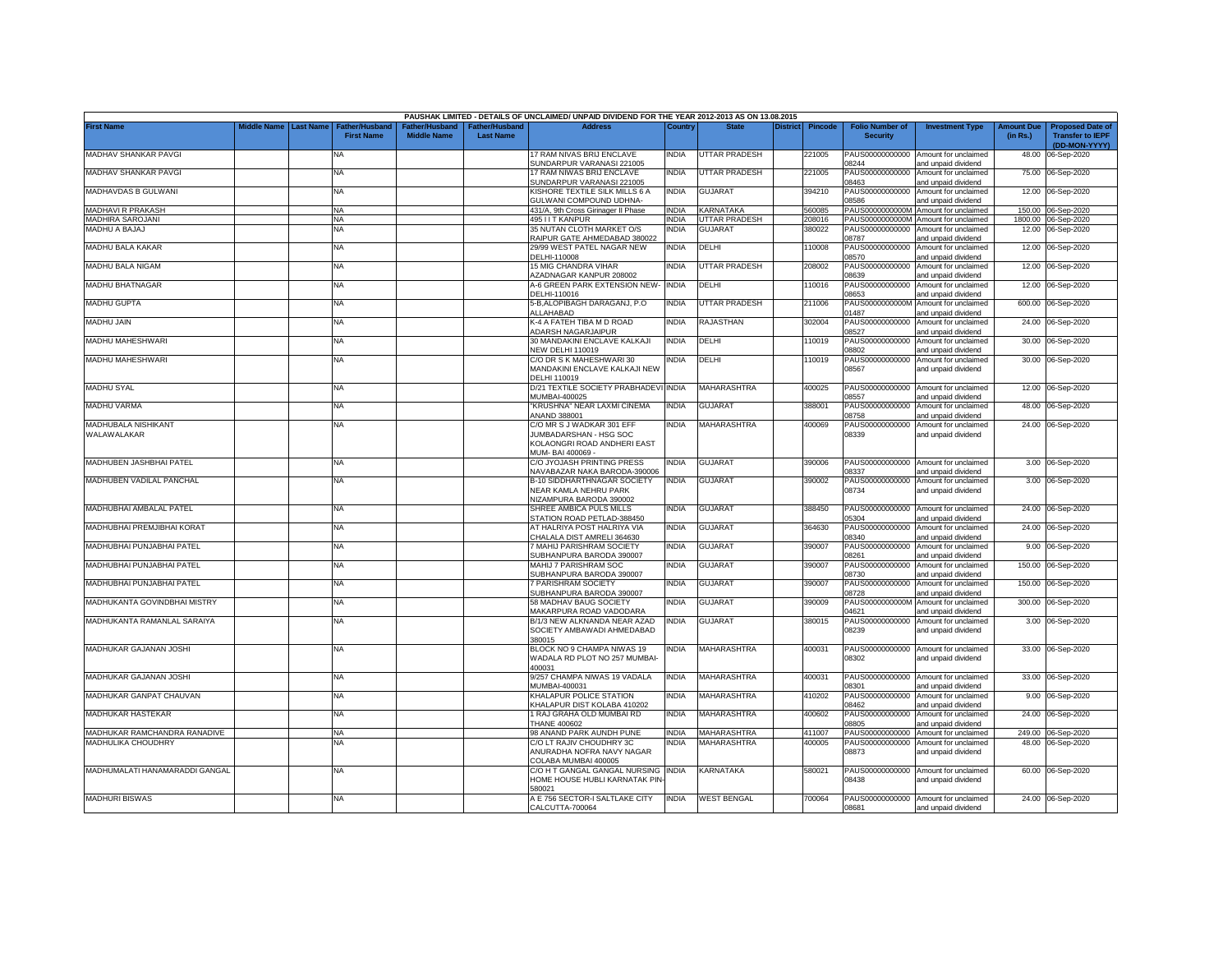|                                |             |                  |                                            |                                             |                                           | PAUSHAK LIMITED - DETAILS OF UNCLAIMED/ UNPAID DIVIDEND FOR THE YEAR 2012-2013 AS ON 13.08.2015 |              |                         |                 |                |                                           |                                             |                               |                                                                     |
|--------------------------------|-------------|------------------|--------------------------------------------|---------------------------------------------|-------------------------------------------|-------------------------------------------------------------------------------------------------|--------------|-------------------------|-----------------|----------------|-------------------------------------------|---------------------------------------------|-------------------------------|---------------------------------------------------------------------|
| <b>First Name</b>              | Middle Name | <b>Last Name</b> | <b>Father/Husband</b><br><b>First Name</b> | <b>Father/Husband</b><br><b>Middle Name</b> | <b>Father/Husband</b><br><b>Last Name</b> | <b>Address</b>                                                                                  | Country      | <b>State</b>            | <b>District</b> | <b>Pincode</b> | <b>Folio Number of</b><br><b>Security</b> | <b>Investment Type</b>                      | <b>Amount Due</b><br>(in Rs.) | <b>Proposed Date of</b><br><b>Transfer to IEPF</b><br>(DD-MON-YYYY) |
| MADHAV SHANKAR PAVGI           |             |                  | <b>NA</b>                                  |                                             |                                           | 17 RAM NIVAS BRIJ ENCLAVE<br>SUNDARPUR VARANASI 221005                                          | <b>INDIA</b> | UTTAR PRADESH           |                 | 221005         | PAUS00000000000<br>08244                  | Amount for unclaimed<br>and unpaid dividend | 48.00                         | 06-Sep-2020                                                         |
| MADHAV SHANKAR PAVGI           |             |                  | <b>NA</b>                                  |                                             |                                           | 17 RAM NIWAS BRIJ ENCLAVE<br>SUNDARPUR VARANASI 221005                                          | India        | <b>JTTAR PRADESH</b>    |                 | 221005         | PAUS00000000000<br>8463                   | Amount for unclaimed<br>and unpaid dividend | 75.00                         | 06-Sep-2020                                                         |
| MADHAVDAS B GULWANI            |             |                  | <b>NA</b>                                  |                                             |                                           | <b>KISHORE TEXTILE SILK MILLS 6 A</b><br><b>GULWANI COMPOUND UDHNA-</b>                         | <b>INDIA</b> | <b>GUJARAT</b>          |                 | 394210         | PAUS00000000000<br>08586                  | Amount for unclaimed<br>and unpaid dividend |                               | 12.00 06-Sep-2020                                                   |
| MADHAVI R PRAKASH              |             |                  | <b>NA</b>                                  |                                             |                                           | 431/A, 9th Cross Girinager II Phase                                                             | INDIA        | <b><i>CARNATAKA</i></b> |                 | 560085         | PAUS0000000000M                           | Amount for unclaimed                        |                               | 150.00 06-Sep-2020                                                  |
| MADHIRA SAROJANI               |             |                  | NA                                         |                                             |                                           | 495 I I T KANPUR                                                                                | INDIA        | <b>JTTAR PRADESH</b>    |                 | 208016         | PAUS0000000000M                           | Amount for unclaimed                        |                               | 1800.00 06-Sep-2020                                                 |
| MADHU A BAJAJ                  |             |                  | NA                                         |                                             |                                           | 35 NUTAN CLOTH MARKET O/S<br>RAIPUR GATE AHMEDABAD 380022                                       | INDIA        | <b>GUJARAT</b>          |                 | 880022         | PAUS00000000000<br>08787                  | Amount for unclaimed<br>and unpaid dividend |                               | 12.00 06-Sep-2020                                                   |
| MADHU BALA KAKAR               |             |                  | <b>NA</b>                                  |                                             |                                           | 29/99 WEST PATEL NAGAR NEW<br>DELHI-110008                                                      | <b>INDIA</b> | DELHI                   |                 | 110008         | PAUS00000000000<br>08570                  | Amount for unclaimed<br>and unpaid dividend |                               | 12.00 06-Sep-2020                                                   |
| MADHU BALA NIGAM               |             |                  | <b>NA</b>                                  |                                             |                                           | <b>15 MIG CHANDRA VIHAR</b><br><b>ZADNAGAR KANPUR 208002</b>                                    | INDIA        | <b>JTTAR PRADESH</b>    |                 | 208002         | PAUS00000000000<br>08639                  | Amount for unclaimed<br>and unpaid dividend | 12.00                         | 06-Sep-2020                                                         |
| MADHU BHATNAGAR                |             |                  | <b>NA</b>                                  |                                             |                                           | A-6 GREEN PARK EXTENSION NEW- INDIA<br>DELHI-110016                                             |              | DELHI                   |                 | 110016         | PAUS00000000000<br>08653                  | Amount for unclaimed<br>and unpaid dividend |                               | 12.00 06-Sep-2020                                                   |
| <b>MADHU GUPTA</b>             |             |                  | <b>NA</b>                                  |                                             |                                           | 5-B, ALOPIBAGH DARAGANJ, P.O<br><b>ALLAHABAD</b>                                                | <b>INDIA</b> | <b>JTTAR PRADESH</b>    |                 | 211006         | PAUS0000000000M<br>1487                   | Amount for unclaimed<br>and unpaid dividend | 600.00                        | 06-Sep-2020                                                         |
| MADHU JAIN                     |             |                  | <b>NA</b>                                  |                                             |                                           | K-4 A FATEH TIBA M D ROAD<br><b>IDARSH NAGARJAIPUR</b>                                          | <b>INDIA</b> | RAJASTHAN               |                 | 302004         | PAUS00000000000<br>08527                  | Amount for unclaimed<br>and unpaid dividend |                               | 24.00 06-Sep-2020                                                   |
| MADHU MAHESHWARI               |             |                  | <b>NA</b>                                  |                                             |                                           | 30 MANDAKINI ENCLAVE KALKAJI<br><b>VEW DELHI 110019</b>                                         | INDIA        | DELHI                   |                 | 10019          | PAUS00000000000<br>08802                  | Amount for unclaimed<br>and unpaid dividend | 30.00                         | 06-Sep-2020                                                         |
| MADHU MAHESHWARI               |             |                  | <b>NA</b>                                  |                                             |                                           | C/O DR S K MAHESHWARI 30<br>MANDAKINI ENCLAVE KALKAJI NEW<br>DELHI 110019                       | NDIA         | DELHI                   |                 | 10019          | PAUS00000000000<br>08567                  | Amount for unclaimed<br>and unpaid dividend |                               | 30.00 06-Sep-2020                                                   |
| <b>MADHU SYAL</b>              |             |                  | <b>NA</b>                                  |                                             |                                           | D/21 TEXTILE SOCIETY PRABHADEVI<br><b>MUMBAI-400025</b>                                         | <b>INDIA</b> | MAHARASHTRA             |                 | 400025         | PAUS00000000000<br>8557                   | Amount for unclaimed<br>and unpaid dividend |                               | 12.00 06-Sep-2020                                                   |
| <b>MADHU VARMA</b>             |             |                  | <b>NA</b>                                  |                                             |                                           | KRUSHNA" NEAR LAXMI CINEMA<br><b>NAND 388001</b>                                                | INDIA        | <b>GUJARAT</b>          |                 | 388001         | PAUS00000000000<br>08758                  | Amount for unclaimed<br>and unpaid dividend |                               | 48.00 06-Sep-2020                                                   |
| MADHUBALA NISHIKANT            |             |                  | <b>NA</b>                                  |                                             |                                           | C/O MR S J WADKAR 301 EFF                                                                       | <b>INDIA</b> | MAHARASHTRA             |                 | 400069         | PAUS00000000000                           | Amount for unclaimed                        |                               | 24.00 06-Sep-2020                                                   |
| WALAWALAKAR                    |             |                  |                                            |                                             |                                           | JUMBADARSHAN - HSG SOC<br>KOLAONGRI ROAD ANDHERI EAST<br>MUM-BAI 400069 -                       |              |                         |                 |                | 08339                                     | and unpaid dividend                         |                               |                                                                     |
| MADHUBEN JASHBHAI PATEL        |             |                  | <b>NA</b>                                  |                                             |                                           | C/O JYOJASH PRINTING PRESS                                                                      | NDIA         | <b>GUJARAT</b>          |                 | 390006         |                                           | PAUS00000000000 Amount for unclaimed        |                               | 3.00 06-Sep-2020                                                    |
| MADHUBEN VADILAL PANCHAL       |             |                  | <b>NA</b>                                  |                                             |                                           | VAVABAZAR NAKA BARODA-390006<br><b>B-10 SIDDHARTHNAGAR SOCIETY</b>                              | INDIA        | <b>GUJARAT</b>          |                 | 390002         | 8337<br>PAUS00000000000                   | and unpaid dividend<br>Amount for unclaimed |                               | 3.00 06-Sep-2020                                                    |
|                                |             |                  |                                            |                                             |                                           | NEAR KAMLA NEHRU PARK<br><b>VIZAMPURA BARODA 390002</b>                                         |              |                         |                 |                | 08734                                     | and unpaid dividend                         |                               |                                                                     |
| MADHUBHAI AMBALAL PATEL        |             |                  | <b>NA</b>                                  |                                             |                                           | SHREE AMBICA PULS MILLS<br><b>STATION ROAD PETLAD-388450</b>                                    | INDIA        | <b>GUJARAT</b>          |                 | 388450         | PAUS00000000000<br>5304                   | Amount for unclaimed<br>and unpaid dividend |                               | 24.00 06-Sep-2020                                                   |
| MADHUBHAI PREMJIBHAI KORAT     |             |                  | <b>NA</b>                                  |                                             |                                           | AT HALRIYA POST HALRIYA VIA<br>CHALALA DIST AMRELI 364630                                       | INDIA        | GUJARAT                 |                 | 364630         | PAUS00000000000<br>08340                  | Amount for unclaimed<br>and unpaid dividend |                               | 24.00 06-Sep-2020                                                   |
| MADHUBHAI PUNJABHAI PATEL      |             |                  | <b>NA</b>                                  |                                             |                                           | MAHIJ PARISHRAM SOCIETY<br>SUBHANPURA BARODA 390007                                             | INDIA        | <b>GUJARAT</b>          |                 | 390007         | PAUS00000000000<br>08261                  | Amount for unclaimed<br>and unpaid dividend |                               | 9.00 06-Sep-2020                                                    |
| MADHUBHAI PUNJABHAI PATEL      |             |                  | <b>NA</b>                                  |                                             |                                           | MAHIJ 7 PARISHRAM SOC<br>SUBHANPURA BARODA 390007                                               | INDIA        | <b>GUJARAT</b>          |                 | 390007         | PAUS00000000000<br>08730                  | Amount for unclaimed<br>and unpaid dividend | 150.00                        | 06-Sep-2020                                                         |
| MADHUBHAI PUNJABHAI PATEL      |             |                  | <b>NA</b>                                  |                                             |                                           | <b>PARISHRAM SOCIETY</b><br>SUBHANPURA BARODA 390007                                            | INDIA        | <b>GUJARAT</b>          |                 | 390007         | PAUS00000000000<br>08728                  | Amount for unclaimed<br>and unpaid dividend | 150.00                        | 06-Sep-2020                                                         |
| MADHUKANTA GOVINDBHAI MISTRY   |             |                  | <b>NA</b>                                  |                                             |                                           | 58 MADHAV BAUG SOCIETY<br>MAKARPURA ROAD VADODARA                                               | INDIA        | <b>GUJARAT</b>          |                 | 390009         | PAUS0000000000M<br>04621                  | Amount for unclaimed<br>and unpaid dividend | 300.00                        | 06-Sep-2020                                                         |
| MADHUKANTA RAMANLAL SARAIYA    |             |                  | <b>NA</b>                                  |                                             |                                           | B/1/3 NEW ALKNANDA NEAR AZAD<br>SOCIETY AMBAWADI AHMEDABAD                                      | INDIA        | <b>GUJARAT</b>          |                 | 380015         | PAUS00000000000<br>08239                  | Amount for unclaimed<br>and unpaid dividend |                               | 3.00 06-Sep-2020                                                    |
| MADHUKAR GAJANAN JOSHI         |             |                  | <b>NA</b>                                  |                                             |                                           | 380015<br>BLOCK NO 9 CHAMPA NIWAS 19<br>WADALA RD PLOT NO 257 MUMBAI-                           | INDIA        | <b>MAHARASHTRA</b>      |                 | 400031         | PAUS00000000000<br>08302                  | Amount for unclaimed<br>and unpaid dividend |                               | 33.00 06-Sep-2020                                                   |
| MADHUKAR GAJANAN JOSHI         |             |                  | <b>NA</b>                                  |                                             |                                           | 400031<br>9/257 CHAMPA NIWAS 19 VADALA                                                          | INDIA        | MAHARASHTRA             |                 | 400031         | PAUS00000000000                           | Amount for unclaimed                        |                               | 33.00 06-Sep-2020                                                   |
| MADHUKAR GANPAT CHAUVAN        |             |                  | <b>NA</b>                                  |                                             |                                           | MUMBAI-400031<br>KHALAPUR POLICE STATION                                                        | INDIA        | MAHARASHTRA             |                 | 410202         | 08301<br>PAUS00000000000                  | and unpaid dividend<br>Amount for unclaimed |                               | 9.00 06-Sep-2020                                                    |
| MADHUKAR HASTEKAR              |             |                  | <b>NA</b>                                  |                                             |                                           | KHALAPUR DIST KOLABA 410202<br>I RAJ GRAHA OLD MUMBAI RD                                        | INDIA        | MAHARASHTRA             |                 | 400602         | 08462<br>PAUS00000000000                  | and unpaid dividend<br>Amount for unclaimed |                               | 24.00 06-Sep-2020                                                   |
|                                |             |                  |                                            |                                             |                                           | <b>THANE 400602</b>                                                                             |              |                         |                 |                | 08805                                     | and unpaid dividend                         |                               |                                                                     |
| MADHUKAR RAMCHANDRA RANADIVE   |             |                  | <b>NA</b>                                  |                                             |                                           | 98 ANAND PARK AUNDH PUNE                                                                        | <b>INDIA</b> | MAHARASHTRA             |                 | 411007         | PAUS00000000000                           | Amount for unclaimed                        |                               | 249.00 06-Sep-2020                                                  |
| MADHULIKA CHOUDHRY             |             |                  | NA                                         |                                             |                                           | C/O LT RAJIV CHOUDHRY 3C<br>ANURADHA NOFRA NAVY NAGAR<br>COLABA MUMBAI 400005                   | NDIA         | MAHARASHTRA             |                 | 100005         | PAUS00000000000<br>08873                  | Amount for unclaimed<br>and unpaid dividend |                               | 48.00 06-Sep-2020                                                   |
| MADHUMALATI HANAMARADDI GANGAL |             |                  | <b>NA</b>                                  |                                             |                                           | C/O H T GANGAL GANGAL NURSING INDIA<br><b>IOME HOUSE HUBLI KARNATAK PIN</b><br>580021           |              | KARNATAKA               |                 | 580021         | PAUS00000000000<br>08438                  | Amount for unclaimed<br>and unpaid dividend |                               | 60.00 06-Sep-2020                                                   |
| <b>MADHURI BISWAS</b>          |             |                  | ΝA                                         |                                             |                                           | A E 756 SECTOR-I SALTLAKE CITY<br>CALCUTTA-700064                                               | INDIA        | <b>WEST BENGAL</b>      |                 | '00064         | PAUS00000000000<br>08681                  | Amount for unclaimed<br>and unpaid dividend |                               | 24.00 06-Sep-2020                                                   |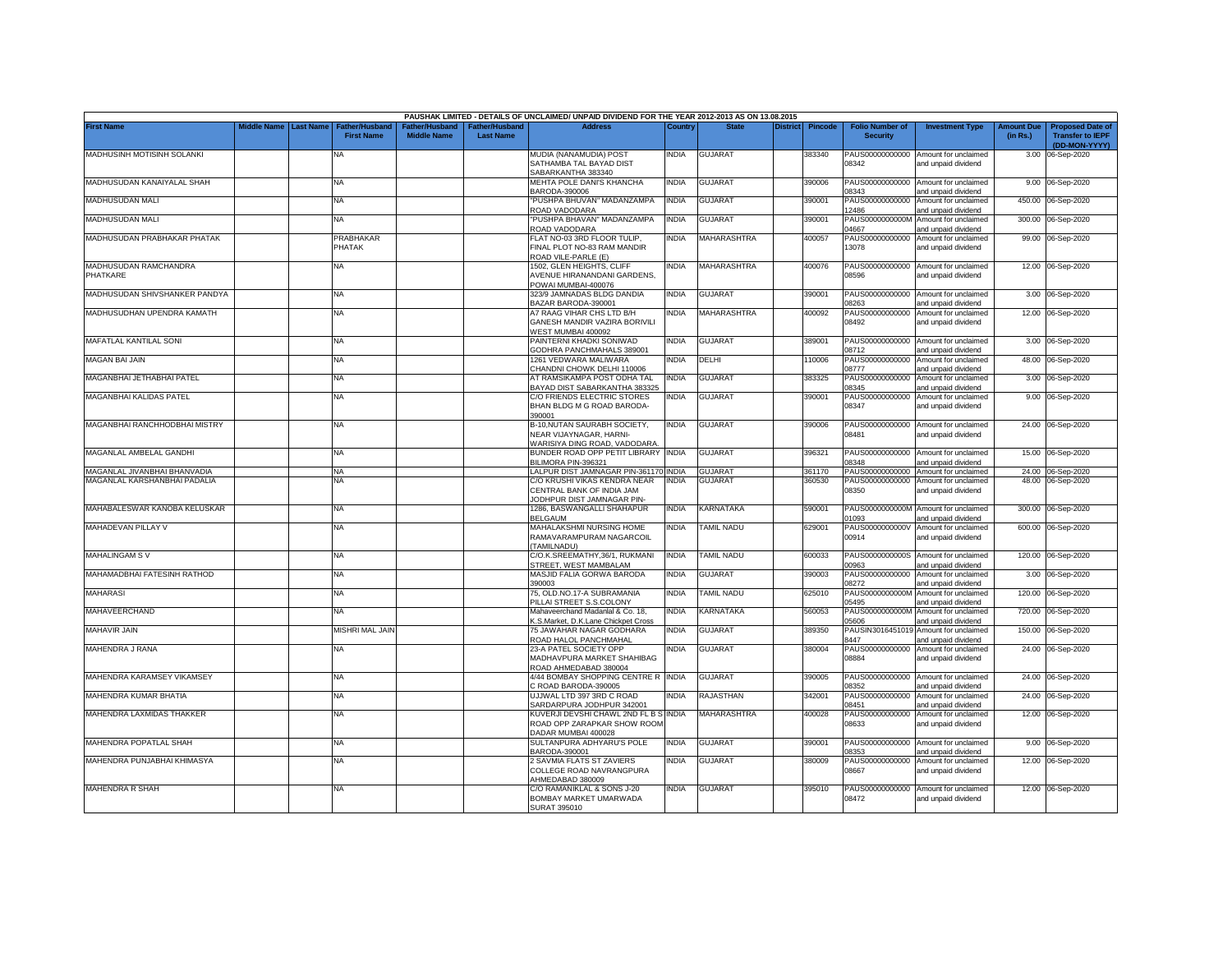|                                   |                    |                  |                                            |                                      |                                    | PAUSHAK LIMITED - DETAILS OF UNCLAIMED/ UNPAID DIVIDEND FOR THE YEAR 2012-2013 AS ON 13.08.2015 |              |                          |                 |                |                                           |                                                             |                               |                                                                     |
|-----------------------------------|--------------------|------------------|--------------------------------------------|--------------------------------------|------------------------------------|-------------------------------------------------------------------------------------------------|--------------|--------------------------|-----------------|----------------|-------------------------------------------|-------------------------------------------------------------|-------------------------------|---------------------------------------------------------------------|
| <b>First Name</b>                 | <b>Middle Name</b> | <b>Last Name</b> | <b>Father/Husband</b><br><b>First Name</b> | Father/Husband<br><b>Middle Name</b> | Father/Husband<br><b>Last Name</b> | <b>Address</b>                                                                                  | Country      | <b>State</b>             | <b>District</b> | <b>Pincode</b> | <b>Folio Number of</b><br><b>Security</b> | <b>Investment Type</b>                                      | <b>Amount Due</b><br>(in Rs.) | <b>Proposed Date of</b><br><b>Transfer to IEPF</b><br>(DD-MON-YYYY) |
| MADHUSINH MOTISINH SOLANKI        |                    |                  | NA                                         |                                      |                                    | MUDIA (NANAMUDIA) POST<br>SATHAMBA TAL BAYAD DIST<br>SABARKANTHA 383340                         | NDIA         | <b>GUJARAT</b>           |                 | 383340         | 08342                                     | PAUS00000000000 Amount for unclaimed<br>and unpaid dividend |                               | 3.00 06-Sep-2020                                                    |
| MADHUSUDAN KANAIYALAL SHAH        |                    |                  | <b>NA</b>                                  |                                      |                                    | MEHTA POLE DANI'S KHANCHA<br>BARODA-390006                                                      | <b>INDIA</b> | <b>GUJARAT</b>           |                 | 390006         | 8343                                      | PAUS00000000000 Amount for unclaimed<br>and unpaid dividend |                               | 9.00 06-Sep-2020                                                    |
| MADHUSUDAN MALI                   |                    |                  | <b>NA</b>                                  |                                      |                                    | 'PUSHPA BHUVAN" MADANZAMPA<br>ROAD VADODARA                                                     | <b>INDIA</b> | <b>GUJARAT</b>           |                 | 390001         | 12486                                     | PAUS00000000000 Amount for unclaimed<br>and unpaid dividend |                               | 450.00 06-Sep-2020                                                  |
| MADHUSUDAN MALI                   |                    |                  | <b>NA</b>                                  |                                      |                                    | PUSHPA BHAVAN" MADANZAMPA<br>ROAD VADODARA                                                      | NDIA         | <b>GUJARAT</b>           |                 | 390001         | PAUS0000000000M<br>04667                  | Amount for unclaimed<br>and unpaid dividend                 |                               | 300.00 06-Sep-2020                                                  |
| MADHUSUDAN PRABHAKAR PHATAK       |                    |                  | PRABHAKAR<br>PHATAK                        |                                      |                                    | FLAT NO-03 3RD FLOOR TULIP,<br>FINAL PLOT NO-83 RAM MANDIR<br>ROAD VILE-PARLE (E)               | <b>NDIA</b>  | MAHARASHTRA              |                 | 400057         | 13078                                     | PAUS00000000000 Amount for unclaimed<br>and unpaid dividend |                               | 99.00 06-Sep-2020                                                   |
| MADHUSUDAN RAMCHANDRA<br>PHATKARE |                    |                  | NA                                         |                                      |                                    | 1502, GLEN HEIGHTS, CLIFF<br><b>AVENUE HIRANANDANI GARDENS</b><br>POWAI MUMBAI-400076           | <b>NDIA</b>  | <b>MAHARASHTRA</b>       |                 | 400076         | 08596                                     | PAUS00000000000 Amount for unclaimed<br>and unpaid dividend |                               | 12.00 06-Sep-2020                                                   |
| MADHUSUDAN SHIVSHANKER PANDYA     |                    |                  | NA                                         |                                      |                                    | 323/9 JAMNADAS BLDG DANDIA<br>BAZAR BARODA-390001                                               | <b>INDIA</b> | <b>GUJARAT</b>           |                 | 390001         | 8263                                      | PAUS00000000000 Amount for unclaimed<br>and unpaid dividend |                               | 3.00 06-Sep-2020                                                    |
| MADHUSUDHAN UPENDRA KAMATH        |                    |                  | <b>NA</b>                                  |                                      |                                    | A7 RAAG VIHAR CHS LTD B/H<br>GANESH MANDIR VAZIRA BORIVILI<br>VEST MUMBAI 400092                | NDIA         | <b>MAHARASHTRA</b>       |                 | 400092         | 08492                                     | PAUS00000000000 Amount for unclaimed<br>and unpaid dividend |                               | 12.00 06-Sep-2020                                                   |
| MAFATLAL KANTILAL SONI            |                    |                  | <b>NA</b>                                  |                                      |                                    | PAINTERNI KHADKI SONIWAD<br>GODHRA PANCHMAHALS 389001                                           | NDIA         | <b>GUJARAT</b>           |                 | 389001         | 08712                                     | PAUS00000000000 Amount for unclaimed<br>and unpaid dividend |                               | 3.00 06-Sep-2020                                                    |
| <b>MAGAN BAI JAIN</b>             |                    |                  | <b>NA</b>                                  |                                      |                                    | 1261 VEDWARA MALIWARA<br>CHANDNI CHOWK DELHI 110006                                             | INDIA        | DELHI                    |                 | 110006         | PAUS00000000000<br>08777                  | Amount for unclaimed<br>and unpaid dividend                 |                               | 48.00 06-Sep-2020                                                   |
| MAGANBHAI JETHABHAI PATEL         |                    |                  | NA                                         |                                      |                                    | AT RAMSIKAMPA POST ODHA TAL<br>BAYAD DIST SABARKANTHA 383325                                    | <b>INDIA</b> | <b>GUJARAT</b>           |                 | 383325         | PAUS00000000000<br>08345                  | Amount for unclaimed<br>and unpaid dividend                 |                               | 3.00 06-Sep-2020                                                    |
| MAGANBHAI KALIDAS PATEL           |                    |                  | <b>NA</b>                                  |                                      |                                    | C/O FRIENDS ELECTRIC STORES<br>BHAN BLDG M G ROAD BARODA-<br>390001                             | NDIA         | <b>GUJARAT</b>           |                 | 390001         | PAUS00000000000<br>08347                  | Amount for unclaimed<br>and unpaid dividend                 |                               | 9.00 06-Sep-2020                                                    |
| MAGANBHAI RANCHHODBHAI MISTRY     |                    |                  | NA                                         |                                      |                                    | B-10, NUTAN SAURABH SOCIETY,<br>NEAR VIJAYNAGAR, HARNI-<br>WARISIYA DING ROAD, VADODARA         | INDIA        | <b>GUJARAT</b>           |                 | 390006         | 08481                                     | PAUS00000000000 Amount for unclaimed<br>and unpaid dividend |                               | 24.00 06-Sep-2020                                                   |
| MAGANLAL AMBELAL GANDHI           |                    |                  | NA                                         |                                      |                                    | BUNDER ROAD OPP PETIT LIBRARY INDIA<br>BILIMORA PIN-396321                                      |              | <b>GUJARAT</b>           |                 | 396321         | 18348                                     | PAUS00000000000 Amount for unclaimed<br>and unpaid dividend |                               | 15.00 06-Sep-2020                                                   |
| MAGANLAL JIVANBHAI BHANVADIA      |                    |                  | <b>NA</b>                                  |                                      |                                    | LALPUR DIST JAMNAGAR PIN-361170 INDIA                                                           |              | GUJARAT                  |                 | 361170         | PAUS00000000000                           | Amount for unclaimed                                        |                               | 24.00 06-Sep-2020                                                   |
| MAGANLAL KARSHANBHAI PADALIA      |                    |                  | NA                                         |                                      |                                    | C/O KRUSHI VIKAS KENDRA NEAR<br>CENTRAL BANK OF INDIA JAM<br>JODHPUR DIST JAMNAGAR PIN-         | <b>INDIA</b> | GUJARAT                  |                 | 360530         | PAUS00000000000<br>08350                  | Amount for unclaimed<br>and unpaid dividend                 |                               | 48.00 06-Sep-2020                                                   |
| MAHABALESWAR KANOBA KELUSKAR      |                    |                  | NA                                         |                                      |                                    | 1286. BASWANGALLI SHAHAPUR<br><b>BELGAUM</b>                                                    | INDIA        | KARNATAKA                |                 | 590001         | 01093                                     | PAUS0000000000M Amount for unclaimed<br>and unpaid dividend |                               | 300.00 06-Sep-2020                                                  |
| <b>MAHADEVAN PILLAY V</b>         |                    |                  | NA                                         |                                      |                                    | MAHALAKSHMI NURSING HOME<br>RAMAVARAMPURAM NAGARCOIL<br>TAMILNADU)                              | NDIA         | <b><i>FAMIL NADU</i></b> |                 | 629001         | PAUS0000000000V<br>00914                  | Amount for unclaimed<br>and unpaid dividend                 |                               | 600.00 06-Sep-2020                                                  |
| <b>MAHALINGAM SV</b>              |                    |                  | NA                                         |                                      |                                    | C/O.K.SREEMATHY.36/1, RUKMANI<br>STREET, WEST MAMBALAM                                          | <b>INDIA</b> | TAMIL NADU               |                 | 600033         | 00963                                     | PAUS0000000000S Amount for unclaimed<br>and unpaid dividend |                               | 120.00 06-Sep-2020                                                  |
| MAHAMADBHAI FATESINH RATHOD       |                    |                  | NA                                         |                                      |                                    | MASJID FALIA GORWA BARODA<br>390003                                                             | NDIA         | GUJARAT                  |                 | 390003         | PAUS00000000000<br>08272                  | Amount for unclaimed<br>and unpaid dividend                 |                               | 3.00 06-Sep-2020                                                    |
| <b>MAHARASI</b>                   |                    |                  | NA                                         |                                      |                                    | 75. OLD.NO.17-A SUBRAMANIA<br>PILLAI STREET S.S.COLONY                                          | INDIA        | <b><i>FAMIL NADU</i></b> |                 | 625010         | PAUS0000000000M<br>05495                  | Amount for unclaimed<br>and unpaid dividend                 |                               | 120.00 06-Sep-2020                                                  |
| <b>MAHAVEERCHAND</b>              |                    |                  | NA                                         |                                      |                                    | Mahaveerchand Madanlal & Co. 18.<br><b>K.S.Market, D.K.Lane Chickpet Cross</b>                  | <b>INDIA</b> | <b>KARNATAKA</b>         |                 | 560053         | PAUS0000000000M<br>05606                  | Amount for unclaimed<br>and unpaid dividend                 | 720.00                        | 06-Sep-2020                                                         |
| <b>MAHAVIR JAIN</b>               |                    |                  | <b>MISHRI MAL JAIN</b>                     |                                      |                                    | 75 JAWAHAR NAGAR GODHARA<br>ROAD HALOL PANCHMAHAL                                               | NDIA         | <b>GUJARAT</b>           |                 | 389350         | PAUSIN3016451019<br>8447                  | Amount for unclaimed<br>and unpaid dividend                 |                               | 150.00 06-Sep-2020                                                  |
| MAHENDRA J RANA                   |                    |                  | NA                                         |                                      |                                    | 23-A PATEL SOCIETY OPP<br>MADHAVPURA MARKET SHAHIBAG<br>ROAD AHMEDABAD 380004                   | NDIA         | <b>GUJARAT</b>           |                 | 380004         | 08884                                     | PAUS00000000000 Amount for unclaimed<br>and unpaid dividend |                               | 24.00 06-Sep-2020                                                   |
| MAHENDRA KARAMSEY VIKAMSEY        |                    |                  | NA                                         |                                      |                                    | 4/44 BOMBAY SHOPPING CENTRE R INDIA<br>C ROAD BARODA-390005                                     |              | GUJARAT                  |                 | 390005         | 08352                                     | PAUS00000000000 Amount for unclaimed<br>and unpaid dividend |                               | 24.00 06-Sep-2020                                                   |
| MAHENDRA KUMAR BHATIA             |                    |                  | NA                                         |                                      |                                    | UJJWAL LTD 397 3RD C ROAD<br>SARDARPURA JODHPUR 342001                                          | NDIA         | RAJASTHAN                |                 | 342001         | PAUS00000000000<br>08451                  | Amount for unclaimed<br>and unpaid dividend                 |                               | 24.00 06-Sep-2020                                                   |
| MAHENDRA LAXMIDAS THAKKER         |                    |                  | NA                                         |                                      |                                    | KUVERJI DEVSHI CHAWL 2ND FL B S INDIA<br>ROAD OPP ZARAPKAR SHOW ROOM<br>DADAR MUMBAI 400028     |              | MAHARASHTRA              |                 | 400028         | PAUS00000000000<br>08633                  | Amount for unclaimed<br>and unpaid dividend                 |                               | 12.00 06-Sep-2020                                                   |
| MAHENDRA POPATLAL SHAH            |                    |                  | NA                                         |                                      |                                    | SULTANPURA ADHYARU'S POLE<br>BARODA-390001                                                      | India        | GUJARAT                  |                 | 390001         | 08353                                     | PAUS00000000000 Amount for unclaimed<br>and unpaid dividend |                               | 9.00 06-Sep-2020                                                    |
| MAHENDRA PUNJABHAI KHIMASYA       |                    |                  | NA                                         |                                      |                                    | 2 SAVMIA FLATS ST ZAVIERS<br>COLLEGE ROAD NAVRANGPURA<br>HMEDABAD 380009                        | NDIA         | <b>GUJARAT</b>           |                 | 380009         | PAUS00000000000<br>08667                  | Amount for unclaimed<br>and unpaid dividend                 |                               | 12.00 06-Sep-2020                                                   |
| MAHENDRA R SHAH                   |                    |                  | NA                                         |                                      |                                    | C/O RAMANIKLAL & SONS J-20<br>BOMBAY MARKET UMARWADA<br><b>SURAT 395010</b>                     | INDIA        | <b>GUJARAT</b>           |                 | 395010         | 08472                                     | PAUS00000000000 Amount for unclaimed<br>and unpaid dividend |                               | 12.00 06-Sep-2020                                                   |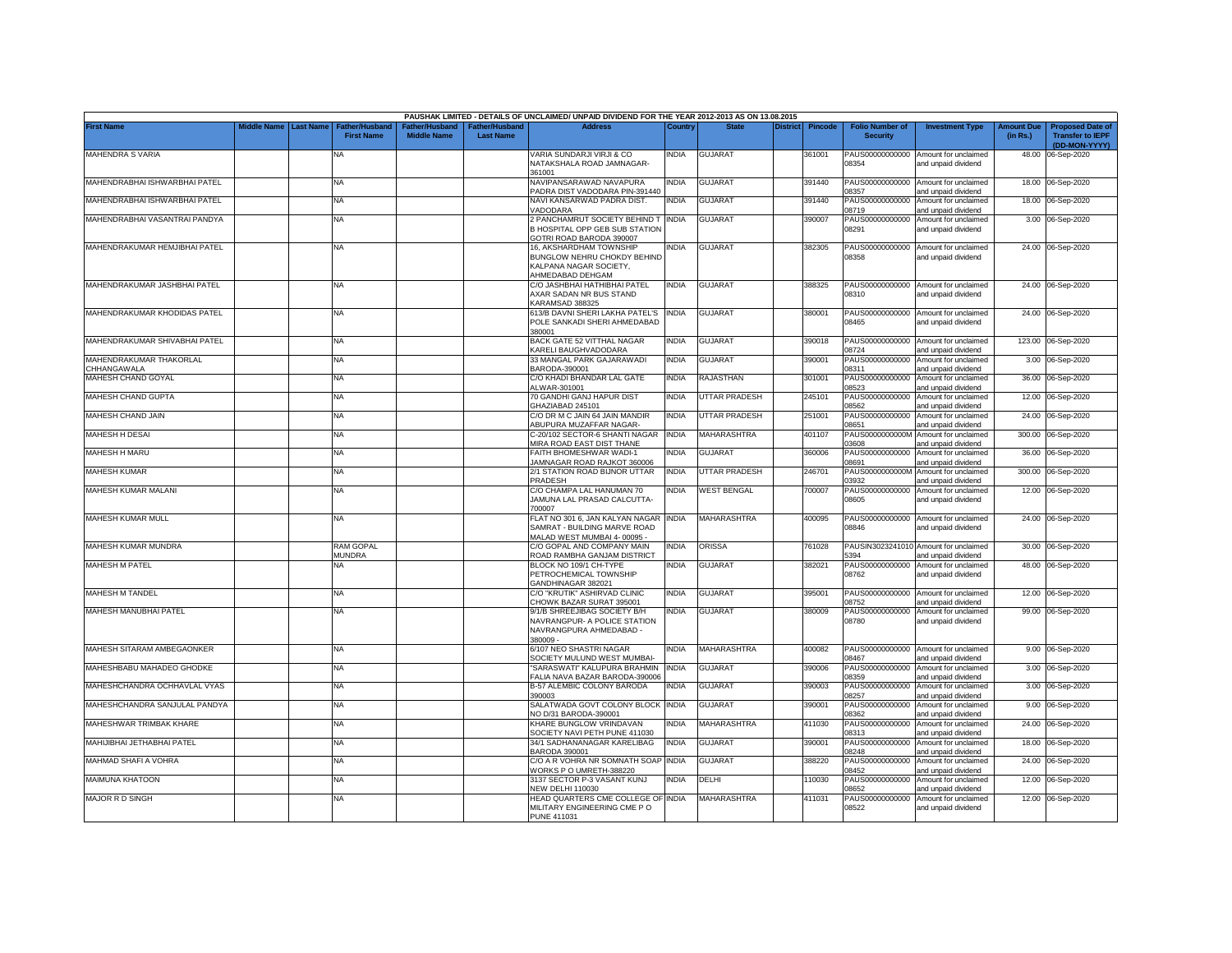|                                        |                       |                                            |                                      |                                                | PAUSHAK LIMITED - DETAILS OF UNCLAIMED/ UNPAID DIVIDEND FOR THE YEAR 2012-2013 AS ON 13.08.2015      |              |                      |          |                |                                           |                                                              |                               |                                                                     |
|----------------------------------------|-----------------------|--------------------------------------------|--------------------------------------|------------------------------------------------|------------------------------------------------------------------------------------------------------|--------------|----------------------|----------|----------------|-------------------------------------------|--------------------------------------------------------------|-------------------------------|---------------------------------------------------------------------|
| <b>First Name</b>                      | Middle Name Last Name | <b>Father/Husband</b><br><b>First Name</b> | Father/Husband<br><b>Middle Name</b> | <sup>-</sup> ather/Husband<br><b>Last Name</b> | <b>Address</b>                                                                                       | Country      | <b>State</b>         | District | <b>Pincode</b> | <b>Folio Number of</b><br><b>Security</b> | <b>Investment Type</b>                                       | <b>Amount Due</b><br>(in Rs.) | <b>Proposed Date of</b><br><b>Transfer to IEPF</b><br>(DD-MON-YYYY) |
| MAHENDRA S VARIA                       |                       | <b>NA</b>                                  |                                      |                                                | VARIA SUNDARJI VIRJI & CO<br>NATAKSHALA ROAD JAMNAGAR-<br>361001                                     | India        | <b>GUJARAT</b>       |          | 361001         | 08354                                     | PAUS00000000000 Amount for unclaimed<br>and unpaid dividend  |                               | 48.00 06-Sep-2020                                                   |
| MAHENDRABHAI ISHWARBHAI PATEL          |                       | <b>NA</b>                                  |                                      |                                                | NAVIPANSARAWAD NAVAPURA<br>ADRA DIST VADODARA PIN-391440                                             | <b>INDIA</b> | <b>GUJARAT</b>       |          | 391440         | PAUS00000000000<br>08357                  | Amount for unclaimed<br>and unpaid dividend                  |                               | 18.00 06-Sep-2020                                                   |
| MAHENDRABHAI ISHWARBHAI PATEL          |                       | <b>NA</b>                                  |                                      |                                                | VAVI KANSARWAD PADRA DIST.<br>/ADODARA                                                               | <b>INDIA</b> | <b>GUJARAT</b>       |          | 391440         | PAUS00000000000<br>08719                  | Amount for unclaimed<br>and unpaid dividend                  |                               | 18.00 06-Sep-2020                                                   |
| MAHENDRABHAI VASANTRAI PANDYA          |                       | <b>NA</b>                                  |                                      |                                                | 2 PANCHAMRUT SOCIETY BEHIND THINDIA<br>B HOSPITAL OPP GEB SUB STATION<br>GOTRI ROAD BARODA 390007    |              | <b>GUJARAT</b>       |          | 390007         | PAUS00000000000<br>08291                  | Amount for unclaimed<br>and unpaid dividend                  |                               | 3.00 06-Sep-2020                                                    |
| MAHENDRAKUMAR HEMJIBHAI PATEL          |                       | NA                                         |                                      |                                                | 16, AKSHARDHAM TOWNSHIP<br>BUNGLOW NEHRU CHOKDY BEHIND<br>KALPANA NAGAR SOCIETY,<br>AHMEDABAD DEHGAM | NDIA         | <b>GUJARAT</b>       |          | 382305         | 08358                                     | PAUS00000000000 Amount for unclaimed<br>and unpaid dividend  |                               | 24.00 06-Sep-2020                                                   |
| MAHENDRAKUMAR JASHBHAI PATEL           |                       | <b>NA</b>                                  |                                      |                                                | C/O JASHBHAI HATHIBHAI PATEL<br>AXAR SADAN NR BUS STAND<br><b>KARAMSAD 388325</b>                    | <b>INDIA</b> | <b>GUJARAT</b>       |          | 388325         | 08310                                     | PAUS00000000000 Amount for unclaimed<br>and unpaid dividend  |                               | 24.00 06-Sep-2020                                                   |
| MAHENDRAKUMAR KHODIDAS PATEL           |                       | NA                                         |                                      |                                                | 613/B DAVNI SHERI LAKHA PATEL'S<br>POLE SANKADI SHERI AHMEDABAD<br>380001                            | <b>INDIA</b> | <b>GUJARAT</b>       |          | 380001         | 08465                                     | PAUS00000000000 Amount for unclaimed<br>and unpaid dividend  |                               | 24.00 06-Sep-2020                                                   |
| MAHENDRAKUMAR SHIVABHAI PATEL          |                       | NA                                         |                                      |                                                | BACK GATE 52 VITTHAL NAGAR<br><b>ARELI BAUGHVADODARA</b>                                             | <b>INDIA</b> | <b>GUJARAT</b>       |          | 390018         | PAUS00000000000<br>08724                  | Amount for unclaimed<br>and unpaid dividend                  | 123.00                        | 06-Sep-2020                                                         |
| MAHENDRAKUMAR THAKORLAL<br>CHHANGAWALA |                       | <b>NA</b>                                  |                                      |                                                | 33 MANGAL PARK GAJARAWADI<br>3ARODA-390001                                                           | <b>INDIA</b> | GUJARAT              |          | 390001         | PAUS00000000000<br>08311                  | Amount for unclaimed<br>and unpaid dividend                  | 3.00                          | 06-Sep-2020                                                         |
| MAHESH CHAND GOYAL                     |                       | <b>NA</b>                                  |                                      |                                                | C/O KHADI BHANDAR LAL GATE<br>LWAR-301001                                                            | <b>INDIA</b> | RAJASTHAN            |          | 301001         | PAUS00000000000<br>08523                  | Amount for unclaimed<br>nd unpaid dividend                   | 36.00                         | 06-Sep-2020                                                         |
| MAHESH CHAND GUPTA                     |                       | NA                                         |                                      |                                                | 70 GANDHI GANJ HAPUR DIST<br>GHAZIABAD 245101                                                        | <b>INDIA</b> | <b>UTTAR PRADESH</b> |          | 245101         | PAUS00000000000<br>08562                  | Amount for unclaimed<br>nd unpaid dividend                   |                               | 12.00 06-Sep-2020                                                   |
| MAHESH CHAND JAIN                      |                       | NA                                         |                                      |                                                | C/O DR M C JAIN 64 JAIN MANDIR<br><b>ABUPURA MUZAFFAR NAGAR-</b>                                     | <b>INDIA</b> | <b>UTTAR PRADESH</b> |          | 251001         | PAUS00000000000<br>08651                  | Amount for unclaimed<br>and unpaid dividend                  | 24.00                         | 06-Sep-2020                                                         |
| MAHESH H DESAI                         |                       | <b>NA</b>                                  |                                      |                                                | C-20/102 SECTOR-6 SHANTI NAGAR<br>MIRA ROAD EAST DIST THANE                                          | <b>INDIA</b> | MAHARASHTRA          |          | 401107         | PAUS0000000000M<br>03608                  | Amount for unclaimed<br>and unpaid dividend                  | 300.00                        | 06-Sep-2020                                                         |
| MAHESH H MARU                          |                       | NA                                         |                                      |                                                | <b>FAITH BHOMESHWAR WADI-1</b><br><b>JAMNAGAR ROAD RAJKOT 360006</b>                                 | INDIA        | <b>GUJARAT</b>       |          | 360006         | PAUS00000000000<br>08691                  | Amount for unclaimed<br>and unpaid dividend                  | 36.00                         | 06-Sep-2020                                                         |
| <b>MAHESH KUMAR</b>                    |                       | NA                                         |                                      |                                                | 2/1 STATION ROAD BIJNOR UTTAR<br>PRADESH                                                             | INDIA        | <b>UTTAR PRADESH</b> |          | 246701         | PAUS0000000000M<br>03932                  | Amount for unclaimed<br>and unpaid dividend                  | 300.00                        | 06-Sep-2020                                                         |
| MAHESH KUMAR MALANI                    |                       | NA                                         |                                      |                                                | C/O CHAMPA LAL HANUMAN 70<br>JAMUNA LAL PRASAD CALCUTTA-<br>700007                                   | <b>INDIA</b> | <b>WEST BENGAL</b>   |          | 700007         | PAUS00000000000<br>08605                  | Amount for unclaimed<br>and unpaid dividend                  |                               | 12.00 06-Sep-2020                                                   |
| MAHESH KUMAR MULL                      |                       | <b>NA</b>                                  |                                      |                                                | FLAT NO 301 6, JAN KALYAN NAGAR<br>SAMRAT - BUILDING MARVE ROAD<br>MALAD WEST MUMBAI 4-00095 -       | <b>INDIA</b> | MAHARASHTRA          |          | 400095         | PAUS00000000000<br>08846                  | Amount for unclaimed<br>and unpaid dividend                  |                               | 24.00 06-Sep-2020                                                   |
| MAHESH KUMAR MUNDRA                    |                       | <b>RAM GOPAL</b><br><b>MUNDRA</b>          |                                      |                                                | C/O GOPAL AND COMPANY MAIN<br>ROAD RAMBHA GANJAM DISTRICT                                            | <b>INDIA</b> | ORISSA               |          | 761028         | 5394                                      | PAUSIN3023241010 Amount for unclaimed<br>and unpaid dividend |                               | 30.00 06-Sep-2020                                                   |
| <b>MAHESH M PATEL</b>                  |                       | NA                                         |                                      |                                                | BLOCK NO 109/1 CH-TYPE<br>PETROCHEMICAL TOWNSHIP<br>GANDHINAGAR 382021                               | NDIA         | <b>GUJARAT</b>       |          | 382021         | PAUS00000000000<br>08762                  | Amount for unclaimed<br>and unpaid dividend                  |                               | 48.00 06-Sep-2020                                                   |
| MAHESH M TANDEL                        |                       | <b>NA</b>                                  |                                      |                                                | C/O "KRUTIK" ASHIRVAD CLINIC<br>CHOWK BAZAR SURAT 395001                                             | <b>INDIA</b> | GUJARAT              |          | 395001         | PAUS00000000000<br>08752                  | Amount for unclaimed<br>and unpaid dividend                  |                               | 12.00 06-Sep-2020                                                   |
| MAHESH MANUBHAI PATEL                  |                       | NA                                         |                                      |                                                | 9/1/B SHREEJIBAG SOCIETY B/H<br>NAVRANGPUR- A POLICE STATION<br>NAVRANGPURA AHMEDABAD -<br>380009 -  | <b>INDIA</b> | <b>GUJARAT</b>       |          | 380009         | PAUS00000000000<br>08780                  | Amount for unclaimed<br>and unpaid dividend                  |                               | 99.00 06-Sep-2020                                                   |
| MAHESH SITARAM AMBEGAONKER             |                       | NA                                         |                                      |                                                | 6/107 NEO SHASTRI NAGAR<br>SOCIETY MULUND WEST MUMBAI-                                               | <b>INDIA</b> | MAHARASHTRA          |          | 400082         | PAUS00000000000<br>08467                  | Amount for unclaimed<br>and unpaid dividend                  |                               | 9.00 06-Sep-2020                                                    |
| MAHESHBABU MAHADEO GHODKE              |                       | NA                                         |                                      |                                                | 'SARASWATI" KALUPURA BRAHMIN<br>ALIA NAVA BAZAR BARODA-390006                                        | <b>INDIA</b> | GUJARAT              |          | 390006         | PAUS00000000000<br>08359                  | Amount for unclaimed<br>and unpaid dividend                  | 3.00                          | 06-Sep-2020                                                         |
| MAHESHCHANDRA OCHHAVLAL VYAS           |                       | <b>NA</b>                                  |                                      |                                                | <b>B-57 ALEMBIC COLONY BARODA</b><br>390003                                                          | India        | GUJARAT              |          | 390003         | PAUS00000000000<br>08257                  | Amount for unclaimed<br>and unpaid dividend                  |                               | 3.00 06-Sep-2020                                                    |
| MAHESHCHANDRA SANJULAL PANDYA          |                       | <b>NA</b>                                  |                                      |                                                | SALATWADA GOVT COLONY BLOCK<br>VO D/31 BARODA-390001                                                 | <b>INDIA</b> | GUJARAT              |          | 390001         | PAUS00000000000<br>08362                  | Amount for unclaimed<br>and unpaid dividend                  |                               | 9.00 06-Sep-2020                                                    |
| MAHESHWAR TRIMBAK KHARE                |                       | NA                                         |                                      |                                                | KHARE BUNGLOW VRINDAVAN<br>SOCIETY NAVI PETH PUNE 411030                                             | <b>INDIA</b> | MAHARASHTRA          |          | 411030         | PAUS00000000000<br>08313                  | Amount for unclaimed<br>and unpaid dividend                  |                               | 24.00 06-Sep-2020                                                   |
| MAHIJIBHAI JETHABHAI PATEL             |                       | <b>NA</b>                                  |                                      |                                                | 34/1 SADHANANAGAR KARELIBAG<br>BARODA 390001                                                         | <b>INDIA</b> | GUJARAT              |          | 390001         | PAUS00000000000<br>08248                  | Amount for unclaimed<br>and unpaid dividend                  |                               | 18.00 06-Sep-2020                                                   |
| MAHMAD SHAFI A VOHRA                   |                       | NA                                         |                                      |                                                | C/O A R VOHRA NR SOMNATH SOAP INDIA<br>WORKS P O UMRETH-388220                                       |              | <b>GUJARAT</b>       |          | 388220         | PAUS00000000000<br>08452                  | Amount for unclaimed<br>and unpaid dividend                  |                               | 24.00 06-Sep-2020                                                   |
| <b>MAIMUNA KHATOON</b>                 |                       | <b>NA</b>                                  |                                      |                                                | 3137 SECTOR P-3 VASANT KUNJ<br><b>NEW DELHI 110030</b>                                               | <b>INDIA</b> | DELHI                |          | 110030         | PAUS00000000000<br>08652                  | Amount for unclaimed<br>and unpaid dividend                  |                               | 12.00 06-Sep-2020                                                   |
| MAJOR R D SINGH                        |                       | NA                                         |                                      |                                                | HEAD QUARTERS CME COLLEGE OF INDIA<br>MILITARY ENGINEERING CME PO<br><b>PUNE 411031</b>              |              | <b>MAHARASHTRA</b>   |          | 411031         | PAUS00000000000<br>08522                  | Amount for unclaimed<br>and unpaid dividend                  |                               | 12.00 06-Sep-2020                                                   |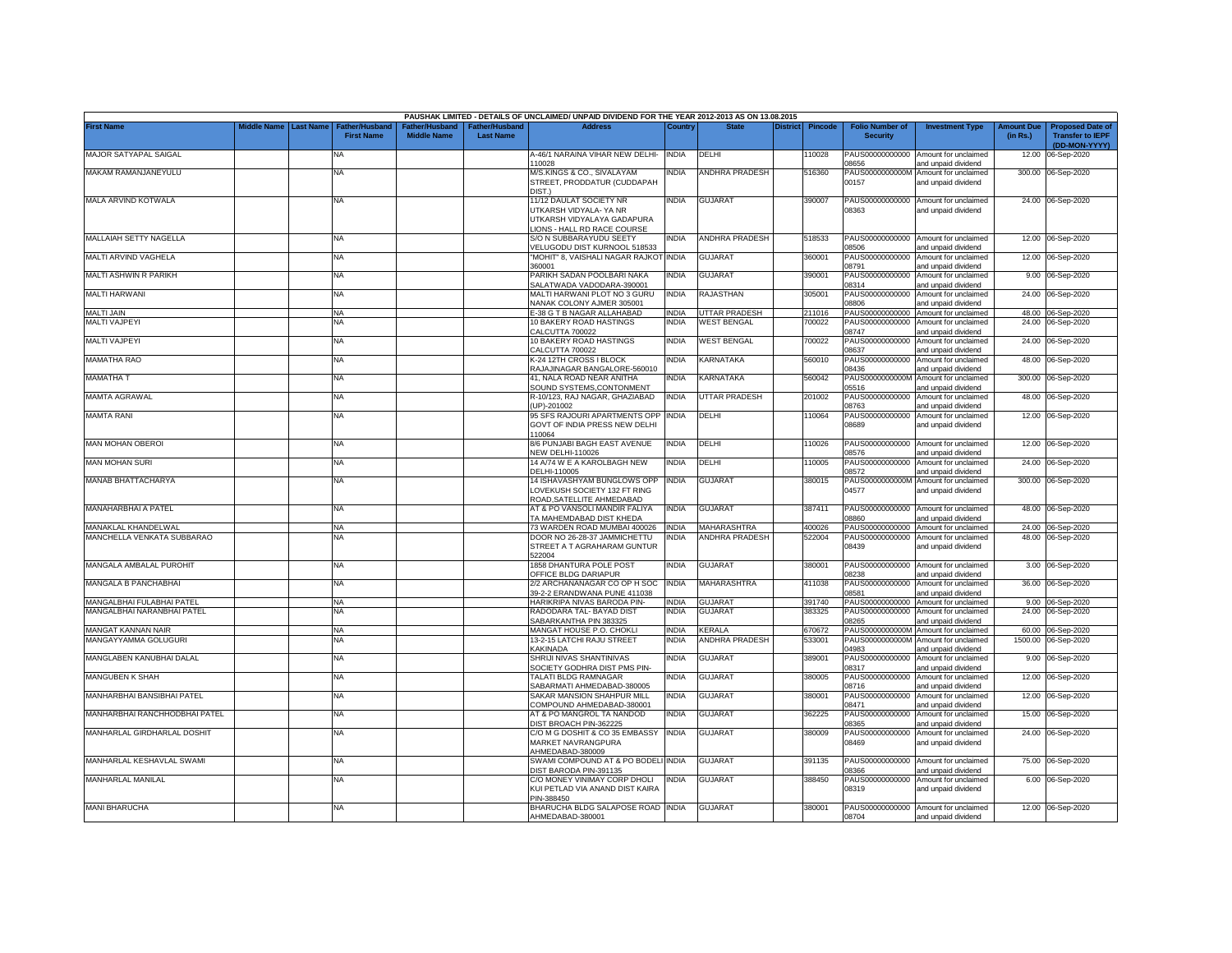|                                |                    |                  |                                            |                                      |                                           | PAUSHAK LIMITED - DETAILS OF UNCLAIMED/ UNPAID DIVIDEND FOR THE YEAR 2012-2013 AS ON 13.08.2015                |              |                       |                 |                |                                           |                                                             |                               |                                                                     |
|--------------------------------|--------------------|------------------|--------------------------------------------|--------------------------------------|-------------------------------------------|----------------------------------------------------------------------------------------------------------------|--------------|-----------------------|-----------------|----------------|-------------------------------------------|-------------------------------------------------------------|-------------------------------|---------------------------------------------------------------------|
| <b>First Name</b>              | <b>Middle Name</b> | <b>Last Name</b> | <b>Father/Husband</b><br><b>First Name</b> | Father/Husband<br><b>Middle Name</b> | <b>Father/Husband</b><br><b>Last Name</b> | <b>Address</b>                                                                                                 | Country      | <b>State</b>          | <b>District</b> | <b>Pincode</b> | <b>Folio Number of</b><br><b>Security</b> | <b>Investment Type</b>                                      | <b>Amount Due</b><br>(in Rs.) | <b>Proposed Date of</b><br><b>Transfer to IEPF</b><br>(DD-MON-YYYY) |
| MAJOR SATYAPAL SAIGAL          |                    |                  | <b>NA</b>                                  |                                      |                                           | A-46/1 NARAINA VIHAR NEW DELHI-<br>110028                                                                      | <b>INDIA</b> | DELHI                 |                 | 10028          | PAUS00000000000<br>08656                  | Amount for unclaimed<br>and unpaid dividend                 | 12.00                         | 06-Sep-2020                                                         |
| MAKAM RAMANJANEYULU            |                    |                  | NA                                         |                                      |                                           | M/S.KINGS & CO., SIVALAYAM<br>STREET, PRODDATUR (CUDDAPAH<br>DIST.)                                            | <b>INDIA</b> | ANDHRA PRADESH        |                 | 516360         | PAUS0000000000M<br>00157                  | Amount for unclaimed<br>and unpaid dividend                 |                               | 300.00 06-Sep-2020                                                  |
| MALA ARVIND KOTWALA            |                    |                  | <b>NA</b>                                  |                                      |                                           | 11/12 DAULAT SOCIETY NR<br>UTKARSH VIDYALA- YA NR<br>UTKARSH VIDYALAYA GADAPURA<br>LIONS - HALL RD RACE COURSE | <b>INDIA</b> | <b>GUJARAT</b>        |                 | 390007         | 08363                                     | PAUS00000000000 Amount for unclaimed<br>and unpaid dividend |                               | 24.00 06-Sep-2020                                                   |
| MALLAIAH SETTY NAGELLA         |                    |                  | <b>NA</b>                                  |                                      |                                           | S/O N SUBBARAYUDU SEETY<br>VELUGODU DIST KURNOOL 518533                                                        | <b>INDIA</b> | <b>ANDHRA PRADESH</b> |                 | 518533         | PAUS00000000000<br>08506                  | Amount for unclaimed<br>and unpaid dividend                 |                               | 12.00 06-Sep-2020                                                   |
| MALTI ARVIND VAGHELA           |                    |                  | <b>NA</b>                                  |                                      |                                           | "MOHIT" 8, VAISHALI NAGAR RAJKOT<br>360001                                                                     | <b>INDIA</b> | <b>GUJARAT</b>        |                 | 360001         | PAUS00000000000<br>08791                  | Amount for unclaimed<br>and unpaid dividend                 |                               | 12.00 06-Sep-2020                                                   |
| MALTI ASHWIN R PARIKH          |                    |                  | NA                                         |                                      |                                           | PARIKH SADAN POOLBARI NAKA<br>SALATWADA VADODARA-390001                                                        | <b>INDIA</b> | <b>GUJARAT</b>        |                 | 390001         | PAUS00000000000<br>08314                  | Amount for unclaimed<br>and unpaid dividend                 |                               | 9.00 06-Sep-2020                                                    |
| <b>MALTI HARWANI</b>           |                    |                  | <b>NA</b>                                  |                                      |                                           | MALTI HARWANI PLOT NO 3 GURU<br>NANAK COLONY AJMER 305001                                                      | <b>INDIA</b> | RAJASTHAN             |                 | 305001         | PAUS00000000000<br>8806                   | Amount for unclaimed<br>and unpaid dividend                 |                               | 24.00 06-Sep-2020                                                   |
| <b>MALTI JAIN</b>              |                    |                  | <b>NA</b>                                  |                                      |                                           | E-38 G T B NAGAR ALLAHABAD                                                                                     | <b>INDIA</b> | UTTAR PRADESH         |                 | 211016         | PAUS00000000000                           | Amount for unclaimed                                        |                               | 48.00 06-Sep-2020                                                   |
| MALTI VAJPEYI                  |                    |                  | NA                                         |                                      |                                           | 10 BAKERY ROAD HASTINGS<br>CALCUTTA 700022                                                                     | <b>INDIA</b> | WEST BENGAL           |                 | '00022         | PAUS00000000000<br>08747                  | Amount for unclaimed<br>and unpaid dividend                 |                               | 24.00 06-Sep-2020                                                   |
| <b>MALTI VAJPEYI</b>           |                    |                  | <b>NA</b>                                  |                                      |                                           | 10 BAKERY ROAD HASTINGS<br>CALCUTTA 700022                                                                     | <b>INDIA</b> | <b>WEST BENGAL</b>    |                 | 700022         | PAUS00000000000<br>08637                  | Amount for unclaimed<br>and unpaid dividend                 |                               | 24.00 06-Sep-2020                                                   |
| MAMATHA RAO                    |                    |                  | <b>NA</b>                                  |                                      |                                           | K-24 12TH CROSS I BLOCK<br>RAJAJINAGAR BANGALORE-560010                                                        | INDIA        | KARNATAKA             |                 | 560010         | PAUS00000000000<br>08436                  | Amount for unclaimed<br>and unpaid dividend                 |                               | 48.00 06-Sep-2020                                                   |
| MAMATHA T                      |                    |                  | <b>NA</b>                                  |                                      |                                           | 41. NALA ROAD NEAR ANITHA<br>SOUND SYSTEMS, CONTONMENT                                                         | <b>INDIA</b> | KARNATAKA             |                 | 560042         | PAUS0000000000M<br>05516                  | Amount for unclaimed<br>and unpaid dividend                 | 300.00                        | 06-Sep-2020                                                         |
| <b>MAMTA AGRAWAL</b>           |                    |                  | <b>NA</b>                                  |                                      |                                           | R-10/123, RAJ NAGAR, GHAZIABAD<br>UP)-201002                                                                   | <b>INDIA</b> | UTTAR PRADESH         |                 | 201002         | PAUS00000000000<br>08763                  | Amount for unclaimed<br>and unpaid dividend                 | 48.00                         | 06-Sep-2020                                                         |
| <b>MAMTA RANI</b>              |                    |                  | <b>NA</b>                                  |                                      |                                           | 95 SFS RAJOURI APARTMENTS OPP<br>GOVT OF INDIA PRESS NEW DELHI<br>110064                                       | <b>INDIA</b> | DELHI                 |                 | 10064          | PAUS00000000000<br>08689                  | Amount for unclaimed<br>and unpaid dividend                 |                               | 12.00 06-Sep-2020                                                   |
| <b>MAN MOHAN OBEROI</b>        |                    |                  | NA                                         |                                      |                                           | 8/6 PUNJABI BAGH EAST AVENUE<br><b>NEW DELHI-110026</b>                                                        | <b>INDIA</b> | DELHI                 |                 | 10026          | PAUS00000000000<br>8576                   | Amount for unclaimed<br>and unpaid dividend                 |                               | 12.00 06-Sep-2020                                                   |
| <b>MAN MOHAN SURI</b>          |                    |                  | <b>NA</b>                                  |                                      |                                           | 14 A/74 W E A KAROLBAGH NEW<br>DELHI-110005                                                                    | <b>INDIA</b> | DELHI                 |                 | 10005          | PAUS00000000000<br>08572                  | Amount for unclaimed<br>and unpaid dividend                 | 24.00                         | 06-Sep-2020                                                         |
| MANAB BHATTACHARYA             |                    |                  | <b>NA</b>                                  |                                      |                                           | 14 ISHAVASHYAM BUNGLOWS OPP<br>LOVEKUSH SOCIETY 132 FT RING<br>ROAD, SATELLITE AHMEDABAD                       | <b>INDIA</b> | GUJARAT               |                 | 380015         | PAUS0000000000M<br>04577                  | Amount for unclaimed<br>and unpaid dividend                 |                               | 300.00 06-Sep-2020                                                  |
| MANAHARBHAI A PATEL            |                    |                  | NA                                         |                                      |                                           | AT & PO VANSOLI MANDIR FALIYA<br>TA MAHEMDABAD DIST KHEDA                                                      | <b>INDIA</b> | <b>GUJARAT</b>        |                 | 387411         | PAUS00000000000<br>03860                  | Amount for unclaimed<br>and unpaid dividend                 |                               | 48.00 06-Sep-2020                                                   |
| MANAKLAL KHANDELWAL            |                    |                  | <b>NA</b>                                  |                                      |                                           | 73 WARDEN ROAD MUMBAI 400026                                                                                   | <b>INDIA</b> | MAHARASHTRA           |                 | 400026         |                                           | PAUS00000000000 Amount for unclaimed                        |                               | 24.00 06-Sep-2020                                                   |
| MANCHELLA VENKATA SUBBARAO     |                    |                  | NA                                         |                                      |                                           | DOOR NO 26-28-37 JAMMICHETTU<br>STREET A T AGRAHARAM GUNTUR<br>522004                                          | <b>INDIA</b> | <b>ANDHRA PRADESH</b> |                 | 522004         | PAUS00000000000<br>08439                  | Amount for unclaimed<br>and unpaid dividend                 |                               | 48.00 06-Sep-2020                                                   |
| <b>MANGALA AMBALAL PUROHIT</b> |                    |                  | <b>NA</b>                                  |                                      |                                           | 1858 DHANTURA POLE POST<br>OFFICE BLDG DARIAPUR                                                                | <b>INDIA</b> | <b>GUJARAT</b>        |                 | 380001         | PAUS00000000000<br>08238                  | Amount for unclaimed<br>and unpaid dividend                 |                               | 3.00 06-Sep-2020                                                    |
| MANGALA B PANCHABHAI           |                    |                  | <b>NA</b>                                  |                                      |                                           | 2/2 ARCHANANAGAR CO OP H SOC<br>39-2-2 ERANDWANA PUNE 411038                                                   | <b>INDIA</b> | MAHARASHTRA           |                 | 411038         | PAUS00000000000<br>08581                  | Amount for unclaimed<br>and unpaid dividend                 | 36.00                         | 06-Sep-2020                                                         |
| MANGALBHAI FULABHAI PATEL      |                    |                  | <b>NA</b>                                  |                                      |                                           | HARIKRIPA NIVAS BARODA PIN-                                                                                    | <b>INDIA</b> | <b>GUJARAT</b>        |                 | 391740         | PAUS00000000000                           | Amount for unclaimed                                        | 9.00                          | 06-Sep-2020                                                         |
| MANGALBHAI NARANBHAI PATEL     |                    |                  | <b>NA</b>                                  |                                      |                                           | RADODARA TAL- BAYAD DIST<br>SABARKANTHA PIN 383325                                                             | <b>INDIA</b> | <b>GUJARAT</b>        |                 | 383325         | PAUS00000000000<br>08265                  | Amount for unclaimed<br>and unpaid dividend                 | 24.00                         | 06-Sep-2020                                                         |
| MANGAT KANNAN NAIR             |                    |                  | <b>NA</b>                                  |                                      |                                           | MANGAT HOUSE P.O. CHOKLI                                                                                       | <b>INDIA</b> | <b>KERALA</b>         |                 | 670672         | PAUS0000000000M                           | Amount for unclaimed                                        | 60.00                         | 06-Sep-2020                                                         |
| MANGAYYAMMA GOLUGURI           |                    |                  | <b>NA</b>                                  |                                      |                                           | 13-2-15 LATCHI RAJU STREET<br>KAKINADA                                                                         | <b>INDIA</b> | ANDHRA PRADESH        |                 | 533001         | PAUS0000000000M<br>04983                  | Amount for unclaimed<br>and unpaid dividend                 | 1500.00                       | 06-Sep-2020                                                         |
| MANGLABEN KANUBHAI DALAL       |                    |                  | NA                                         |                                      |                                           | SHRIJI NIVAS SHANTINIVAS<br>SOCIETY GODHRA DIST PMS PIN-                                                       | <b>INDIA</b> | <b>GUJARAT</b>        |                 | 389001         | PAUS00000000000<br>08317                  | Amount for unclaimed<br>and unpaid dividend                 | 9.00                          | 06-Sep-2020                                                         |
| MANGUBEN K SHAH                |                    |                  | <b>NA</b>                                  |                                      |                                           | TALATI BLDG RAMNAGAR<br>SABARMATI AHMEDABAD-380005                                                             | <b>INDIA</b> | <b>GUJARAT</b>        |                 | 380005         | PAUS00000000000<br>08716                  | Amount for unclaimed<br>and unpaid dividend                 | 12.00                         | 06-Sep-2020                                                         |
| MANHARBHAI BANSIBHAI PATEL     |                    |                  | <b>NA</b>                                  |                                      |                                           | SAKAR MANSION SHAHPUR MILL<br>COMPOUND AHMEDABAD-380001                                                        | <b>INDIA</b> | <b>GUJARAT</b>        |                 | 380001         | PAUS00000000000<br>08471                  | Amount for unclaimed<br>and unpaid dividend                 | 12.00                         | 06-Sep-2020                                                         |
| MANHARBHAI RANCHHODBHAI PATEL  |                    |                  | <b>NA</b>                                  |                                      |                                           | AT & PO MANGROL TA NANDOD<br>DIST BROACH PIN-362225                                                            | <b>INDIA</b> | <b>GUJARAT</b>        |                 | 362225         | PAUS00000000000<br>08365                  | Amount for unclaimed<br>and unpaid dividend                 | 15.00                         | 06-Sep-2020                                                         |
| MANHARLAL GIRDHARLAL DOSHIT    |                    |                  | <b>NA</b>                                  |                                      |                                           | C/O M G DOSHIT & CO 35 EMBASSY<br>MARKET NAVRANGPURA<br>AHMEDABAD-380009                                       | <b>INDIA</b> | <b>GUJARAT</b>        |                 | 380009         | PAUS00000000000<br>08469                  | Amount for unclaimed<br>and unpaid dividend                 |                               | 24.00 06-Sep-2020                                                   |
| MANHARLAL KESHAVLAL SWAMI      |                    |                  | <b>NA</b>                                  |                                      |                                           | SWAMI COMPOUND AT & PO BODELI INDIA<br>DIST BARODA PIN-391135                                                  |              | <b>GUJARAT</b>        |                 | 391135         | PAUS00000000000<br>08366                  | Amount for unclaimed<br>and unpaid dividend                 |                               | 75.00 06-Sep-2020                                                   |
| MANHARLAL MANILAL              |                    |                  | <b>NA</b>                                  |                                      |                                           | C/O MONEY VINIMAY CORP DHOLI<br>KUI PETLAD VIA ANAND DIST KAIRA<br>PIN-388450                                  | <b>INDIA</b> | <b>GUJARAT</b>        |                 | 388450         | PAUS00000000000<br>08319                  | Amount for unclaimed<br>and unpaid dividend                 |                               | 6.00 06-Sep-2020                                                    |
| <b>MANI BHARUCHA</b>           |                    |                  | <b>NA</b>                                  |                                      |                                           | BHARUCHA BLDG SALAPOSE ROAD INDIA<br>AHMEDABAD-380001                                                          |              | <b>GUJARAT</b>        |                 | 380001         | 08704                                     | PAUS00000000000 Amount for unclaimed<br>and unpaid dividend |                               | 12.00 06-Sep-2020                                                   |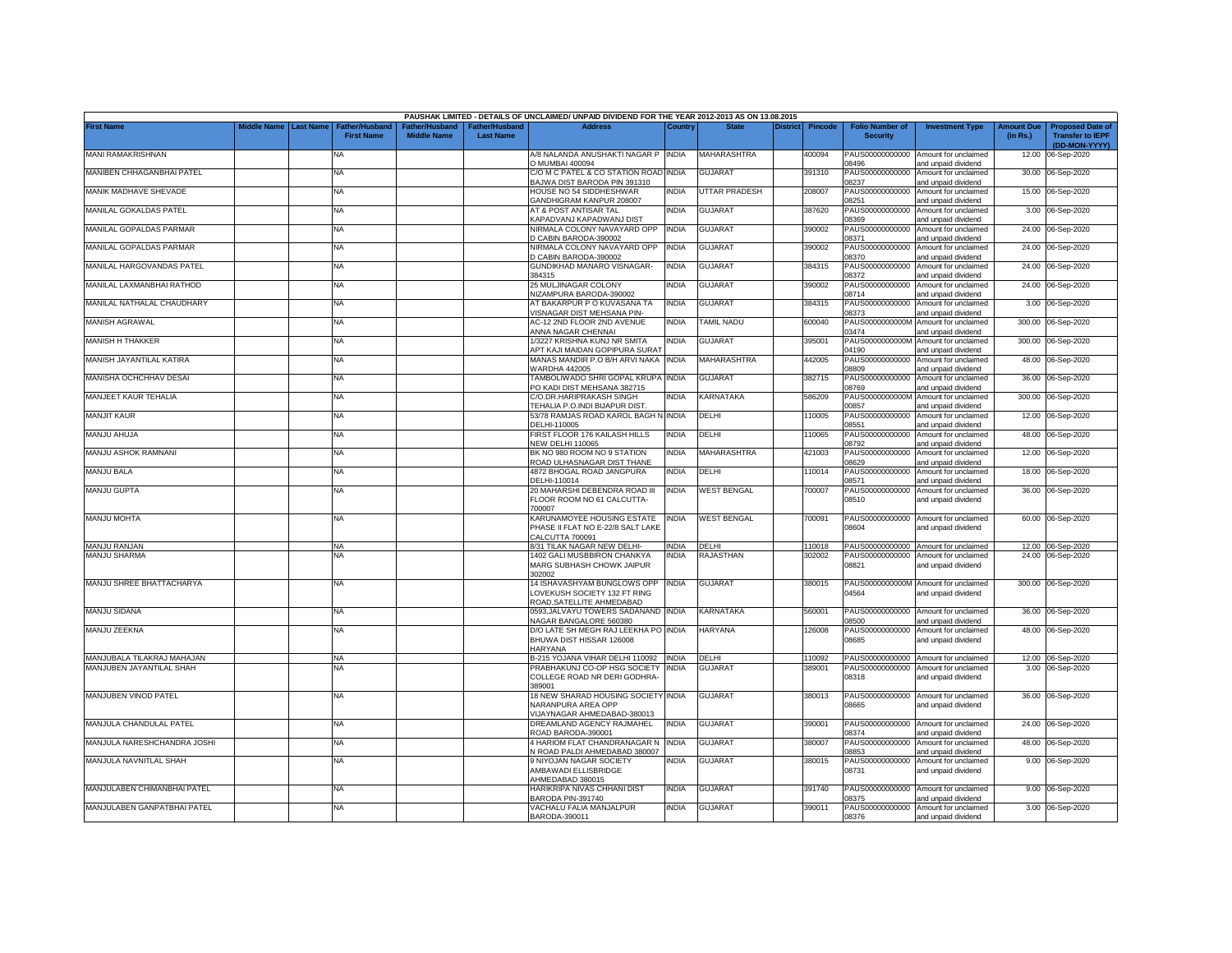|                             |             |                                                         |                                     |                                | PAUSHAK LIMITED - DETAILS OF UNCLAIMED/ UNPAID DIVIDEND FOR THE YEAR 2012-2013 AS ON 13.08.2015 |              |                      |          |                |                                           |                                                                                    |                               |                                                                     |
|-----------------------------|-------------|---------------------------------------------------------|-------------------------------------|--------------------------------|-------------------------------------------------------------------------------------------------|--------------|----------------------|----------|----------------|-------------------------------------------|------------------------------------------------------------------------------------|-------------------------------|---------------------------------------------------------------------|
| <b>First Name</b>           | liddle Name | <b>Last Name</b><br>Father/Husband<br><b>First Name</b> | ather/Husband<br><b>Middle Name</b> | her/Husban<br><b>Last Name</b> | <b>Address</b>                                                                                  | Country      | <b>State</b>         | District | <b>Pincode</b> | <b>Folio Number of</b><br><b>Security</b> | <b>Investment Type</b>                                                             | <b>Amount Due</b><br>(in Rs.) | <b>Proposed Date of</b><br><b>Transfer to IEPF</b><br>(DD-MON-YYYY) |
| <b>MANI RAMAKRISHNAN</b>    |             | NA                                                      |                                     |                                | A/8 NALANDA ANUSHAKTI NAGAR P INDIA<br>O MUMBAI 400094                                          |              | MAHARASHTRA          |          | 100094         | PAUS00000000000<br>8496                   | Amount for unclaimed<br>and unpaid dividend                                        | 12.00                         | 06-Sep-2020                                                         |
| MANIBEN CHHAGANBHAI PATEL   |             | <b>NA</b>                                               |                                     |                                | C/O M C PATEL & CO STATION ROAD INDIA<br>BAJWA DIST BARODA PIN 391310                           |              | <b>GUJARAT</b>       |          | 391310         | PAUS00000000000<br>08237                  | Amount for unclaimed<br>and unpaid dividend                                        |                               | 30.00 06-Sep-2020                                                   |
| MANIK MADHAVE SHEVADE       |             | NA                                                      |                                     |                                | HOUSE NO 54 SIDDHESHWAR<br>GANDHIGRAM KANPUR 208007                                             | NDIA         | <b>UTTAR PRADESH</b> |          | 208007         | PAUS00000000000<br>08251                  | Amount for unclaimed<br>and unpaid dividend                                        |                               | 15.00 06-Sep-2020                                                   |
| MANILAL GOKALDAS PATEL      |             | NA                                                      |                                     |                                | AT & POST ANTISAR TAL<br>KAPADVANJ KAPADWANJ DIST                                               | INDIA        | <b>GUJARAT</b>       |          | 387620         | PAUS00000000000<br>8369                   | Amount for unclaimed<br>and unpaid dividend                                        |                               | 3.00 06-Sep-2020                                                    |
| MANILAL GOPALDAS PARMAR     |             | <b>NA</b>                                               |                                     |                                | NIRMALA COLONY NAVAYARD OPP<br>D CABIN BARODA-390002                                            | <b>INDIA</b> | <b>GUJARAT</b>       |          | 390002         | PAUS00000000000<br>8371                   | Amount for unclaimed<br>and unpaid dividend                                        |                               | 24.00 06-Sep-2020                                                   |
| MANILAL GOPALDAS PARMAR     |             | <b>NA</b>                                               |                                     |                                | NIRMALA COLONY NAVAYARD OPP<br>D CABIN BARODA-390002                                            | <b>INDIA</b> | <b>GUJARAT</b>       |          | 390002         | PAUS00000000000<br>8370                   | Amount for unclaimed<br>and unpaid dividend                                        |                               | 24.00 06-Sep-2020                                                   |
| MANILAL HARGOVANDAS PATEL   |             | NA                                                      |                                     |                                | GUNDIKHAD MANARO VISNAGAR-<br>384315                                                            | <b>INDIA</b> | <b>GUJARAT</b>       |          | 384315         | PAUS00000000000<br>08372                  | Amount for unclaimed<br>and unpaid dividend                                        |                               | 24.00 06-Sep-2020                                                   |
| MANILAL LAXMANBHAI RATHOD   |             | NA                                                      |                                     |                                | 25 MULJINAGAR COLONY<br>VIZAMPURA BARODA-390002                                                 | <b>INDIA</b> | <b>GUJARAT</b>       |          | 390002         | PAUS00000000000<br>08714                  | Amount for unclaimed<br>and unpaid dividend                                        |                               | 24.00 06-Sep-2020                                                   |
| MANILAL NATHALAL CHAUDHARY  |             | NA                                                      |                                     |                                | AT BAKARPUR P O KUVASANA TA<br>/ISNAGAR DIST MEHSANA PIN-                                       | INDIA        | <b>GUJARAT</b>       |          | 384315         | PAUS00000000000<br>8373                   | Amount for unclaimed<br>and unpaid dividend                                        |                               | 3.00 06-Sep-2020                                                    |
| <b>MANISH AGRAWAL</b>       |             | NA                                                      |                                     |                                | <b>AC-12 2ND FLOOR 2ND AVENUE</b><br><b>NNNA NAGAR CHENNAI</b>                                  | INDIA        | TAMIL NADU           |          | 600040         | PAUS0000000000M<br>3474                   | Amount for unclaimed<br>and unpaid dividend                                        |                               | 300.00 06-Sep-2020                                                  |
| MANISH H THAKKER            |             | NA                                                      |                                     |                                | 1/3227 KRISHNA KUNJ NR SMITA<br>APT KAJI MAIDAN GOPIPURA SURAT                                  | NDIA         | <b>GUJARAT</b>       |          | 395001         | PAUS0000000000M<br>04190                  | Amount for unclaimed<br>and unpaid dividend                                        |                               | 300.00 06-Sep-2020                                                  |
| MANISH JAYANTILAL KATIRA    |             | <b>NA</b>                                               |                                     |                                | MANAS MANDIR P.O B/H ARVI NAKA<br>VARDHA 442005                                                 | <b>INDIA</b> | <b>MAHARASHTRA</b>   |          | 142005         | PAUS00000000000<br>08809                  | Amount for unclaimed<br>and unpaid dividend                                        |                               | 48.00 06-Sep-2020                                                   |
| MANISHA OCHCHHAV DESAI      |             | <b>NA</b>                                               |                                     |                                | <b>TAMBOLIWADO SHRI GOPAL KRUPA INDIA</b><br>O KADI DIST MEHSANA 382715                         |              | <b>GUJARAT</b>       |          | 382715         | PAUS00000000000<br>8769                   | Amount for unclaimed<br>and unpaid dividend                                        |                               | 36.00 06-Sep-2020                                                   |
| MANJEET KAUR TEHALIA        |             | NA                                                      |                                     |                                | C/O.DR.HARIPRAKASH SINGH<br>TEHALIA P.O.INDI BIJAPUR DIST.                                      | NDIA         | KARNATAKA            |          | 586209         | PAUS0000000000M<br>00857                  | Amount for unclaimed<br>and unpaid dividend                                        |                               | 300.00 06-Sep-2020                                                  |
| <b>MANJIT KAUR</b>          |             | <b>NA</b>                                               |                                     |                                | 53/78 RAMJAS ROAD KAROL BAGH N INDIA<br>DELHI-110005                                            |              | DELHI                |          | 10005          | PAUS00000000000<br>8551                   | Amount for unclaimed<br>and unpaid dividend                                        | 12.00                         | 06-Sep-2020                                                         |
| MANJU AHUJA                 |             | NA                                                      |                                     |                                | FIRST FLOOR 176 KAILASH HILLS<br><b>NEW DELHI 110065</b>                                        | INDIA        | DELHI                |          | 10065          | PAUS00000000000<br>08792                  | Amount for unclaimed<br>and unpaid dividend                                        | 48.00                         | 06-Sep-2020                                                         |
| MANJU ASHOK RAMNANI         |             | <b>NA</b>                                               |                                     |                                | BK NO 980 ROOM NO 9 STATION<br>ROAD ULHASNAGAR DIST THANE                                       | INDIA        | <b>MAHARASHTRA</b>   |          | 421003         | PAUS00000000000<br>08629                  | Amount for unclaimed<br>and unpaid dividend                                        |                               | 12.00 06-Sep-2020                                                   |
| <b>MANJU BALA</b>           |             | NA                                                      |                                     |                                | 4872 BHOGAL ROAD JANGPURA<br>DELHI-110014                                                       | INDIA        | DELHI                |          | 110014         | PAUS00000000000<br>08571                  | Amount for unclaimed<br>and unpaid dividend                                        | 18.00                         | 06-Sep-2020                                                         |
| <b>MANJU GUPTA</b>          |             | <b>NA</b>                                               |                                     |                                | 20 MAHARSHI DEBENDRA ROAD III<br>FLOOR ROOM NO 61 CALCUTTA-<br>700007                           | <b>INDIA</b> | <b>WEST BENGAL</b>   |          | 700007         | PAUS00000000000<br>08510                  | Amount for unclaimed<br>and unpaid dividend                                        |                               | 36.00 06-Sep-2020                                                   |
| <b>MANJU MOHTA</b>          |             | <b>NA</b>                                               |                                     |                                | KARUNAMOYEE HOUSING ESTATE<br>PHASE II FLAT NO E-22/8 SALT LAKE<br>CALCUTTA 700091              | <b>INDIA</b> | <b>WEST BENGAL</b>   |          | 700091         | 08604                                     | PAUS00000000000 Amount for unclaimed<br>and unpaid dividend                        |                               | 60.00 06-Sep-2020                                                   |
| <b>MANJU RANJAN</b>         |             | <b>NA</b>                                               |                                     |                                | 8/31 TILAK NAGAR NEW DELHI-                                                                     | INDIA        | <b>DELHI</b>         |          | 110018         |                                           | PAUS00000000000 Amount for unclaimed                                               |                               | 12.00 06-Sep-2020                                                   |
| <b>MANJU SHARMA</b>         |             | <b>NA</b>                                               |                                     |                                | 1402 GALI MUSBBIRON CHANKYA<br>MARG SUBHASH CHOWK JAIPUR<br>302002                              | INDIA        | RAJASTHAN            |          | 302002         | PAUS00000000000<br>08821                  | Amount for unclaimed<br>and unpaid dividend                                        |                               | 24.00 06-Sep-2020                                                   |
| MANJU SHREE BHATTACHARYA    |             | <b>NA</b>                                               |                                     |                                | 14 ISHAVASHYAM BUNGLOWS OPP<br>LOVEKUSH SOCIETY 132 FT RING<br>ROAD, SATELLITE AHMEDABAD        | <b>INDIA</b> | <b>GUJARAT</b>       |          | 380015         | 04564                                     | PAUS0000000000M Amount for unclaimed<br>and unpaid dividend                        |                               | 300.00 06-Sep-2020                                                  |
| MANJU SIDANA                |             | <b>NA</b>                                               |                                     |                                | 0593, JALVAYU TOWERS SADANAND INDIA<br>NAGAR BANGALORE 560380                                   |              | KARNATAKA            |          | 560001         | 08500                                     | PAUS00000000000 Amount for unclaimed<br>and unpaid dividend                        |                               | 36.00 06-Sep-2020                                                   |
| MANJU ZEEKNA                |             | NA                                                      |                                     |                                | D/O LATE SH MEGH RAJ LEEKHA PO INDIA<br>BHUWA DIST HISSAR 126008<br>HARYANA                     |              | <b>HARYANA</b>       |          | 126008         | PAUS00000000000<br>08685                  | Amount for unclaimed<br>and unpaid dividend                                        |                               | 48.00 06-Sep-2020                                                   |
| MANJUBALA TILAKRAJ MAHAJAN  |             | NA.                                                     |                                     |                                | B-215 YOJANA VIHAR DELHI 110092 INDIA                                                           |              | DELHI                |          | 110092         |                                           | PAUS00000000000 Amount for unclaimed                                               |                               | 12.00 06-Sep-2020                                                   |
| MANJUBEN JAYANTILAL SHAH    |             | ΝA                                                      |                                     |                                | PRABHAKUNJ CO-OP HSG SOCIETY<br>COLLEGE ROAD NR DERI GODHRA-<br>389001                          | <b>INDIA</b> | <b>GUJARA1</b>       |          | 389001         | PAUS00000000000<br>08318                  | Amount for unclaimed<br>and unpaid dividend                                        |                               | 3.00 06-Sep-2020                                                    |
| MANJUBEN VINOD PATEL        |             | <b>NA</b>                                               |                                     |                                | 18 NEW SHARAD HOUSING SOCIETY INDIA<br>NARANPURA AREA OPP<br>VIJAYNAGAR AHMEDABAD-380013        |              | <b>GUJARAT</b>       |          | 380013         | 08665                                     | PAUS00000000000 Amount for unclaimed<br>and unpaid dividend                        |                               | 36.00 06-Sep-2020                                                   |
| MANJULA CHANDULAL PATEL     |             | <b>NA</b>                                               |                                     |                                | DREAMLAND AGENCY RAJMAHEL<br>ROAD BARODA-390001                                                 | <b>INDIA</b> | <b>GUJARAT</b>       |          | 390001         | 08374                                     | PAUS00000000000 Amount for unclaimed<br>and unpaid dividend                        |                               | 24.00 06-Sep-2020                                                   |
| MANJULA NARESHCHANDRA JOSHI |             | NA                                                      |                                     |                                | 4 HARIOM FLAT CHANDRANAGAR N<br>N ROAD PALDI AHMEDABAD 380007                                   | <b>INDIA</b> | GUJARAT              |          | 380007         | PAUS00000000000<br>08853                  | Amount for unclaimed<br>and unpaid dividend                                        |                               | 48.00 06-Sep-2020                                                   |
| MANJULA NAVNITLAL SHAH      |             | <b>NA</b>                                               |                                     |                                | 9 NIYOJAN NAGAR SOCIETY<br>AMBAWADI ELLISBRIDGE                                                 | NDIA         | <b>GUJARAT</b>       |          | 380015         | 08731                                     | PAUS00000000000 Amount for unclaimed<br>and unpaid dividend                        |                               | 9.00 06-Sep-2020                                                    |
| MANJULABEN CHIMANBHAI PATEL |             | NA                                                      |                                     |                                | AHMEDABAD 380015<br>HARIKRIPA NIVAS CHHANI DIST                                                 | NDIA         | GUJARAT              |          | 391740         |                                           | PAUS00000000000 Amount for unclaimed                                               |                               | 9.00 06-Sep-2020                                                    |
| MANJULABEN GANPATBHAI PATEL |             | NA                                                      |                                     |                                | BARODA PIN-391740<br>VACHALU FALIA MANJALPUR<br>BARODA-390011                                   | NDIA         | <b>GUJARAT</b>       |          | 390011         | 08375<br>08376                            | and unpaid dividend<br>PAUS00000000000 Amount for unclaimed<br>and unpaid dividend |                               | 3.00 06-Sep-2020                                                    |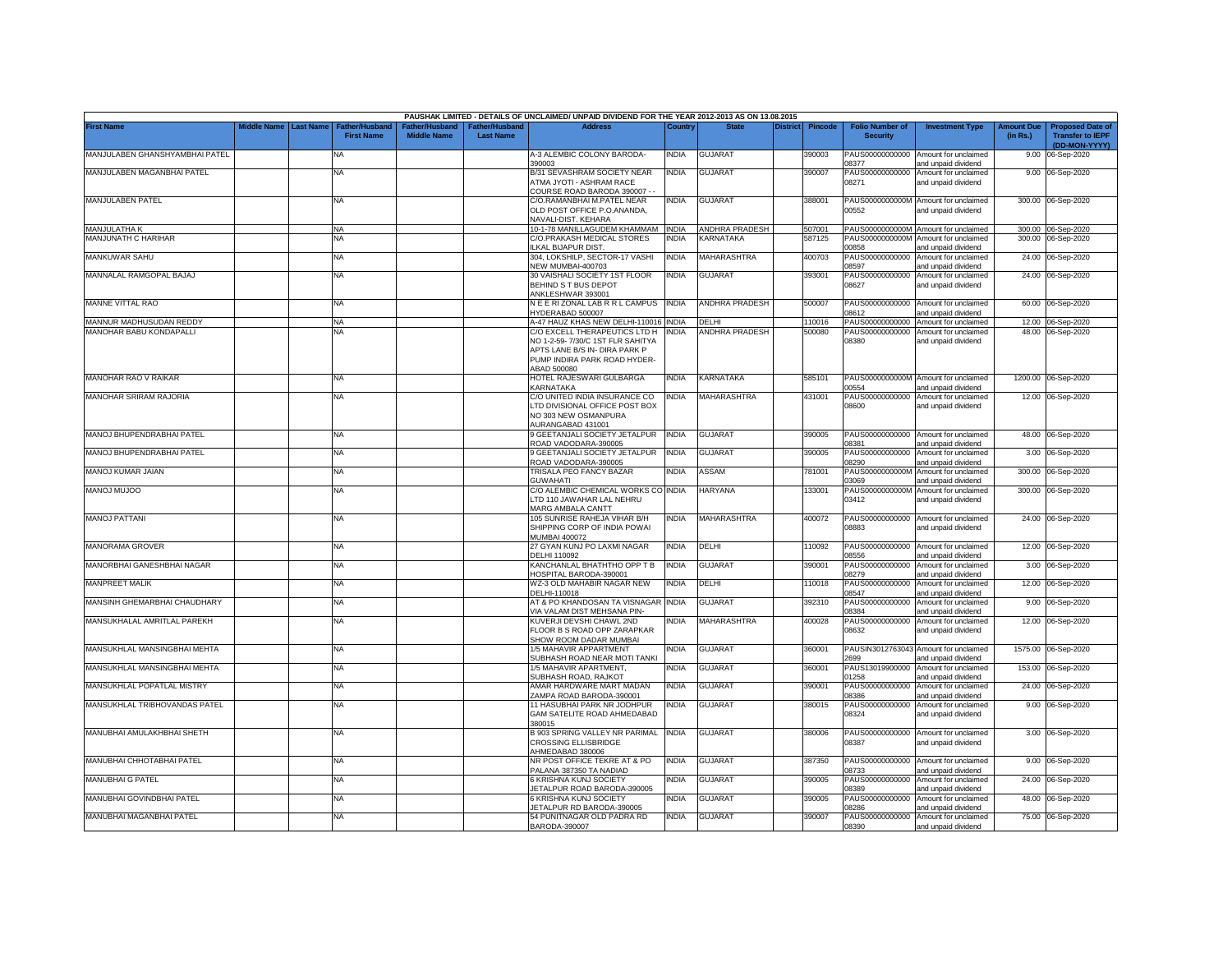|                                |             |                  |                                     |                                      |                                           | PAUSHAK LIMITED - DETAILS OF UNCLAIMED/ UNPAID DIVIDEND FOR THE YEAR 2012-2013 AS ON 13.08.2015                                                    |              |                       |                 |                |                                           |                                                              |                               |                                                                     |
|--------------------------------|-------------|------------------|-------------------------------------|--------------------------------------|-------------------------------------------|----------------------------------------------------------------------------------------------------------------------------------------------------|--------------|-----------------------|-----------------|----------------|-------------------------------------------|--------------------------------------------------------------|-------------------------------|---------------------------------------------------------------------|
| <b>First Name</b>              | liddle Name | <b>Last Name</b> | Father/Husband<br><b>First Name</b> | Father/Husband<br><b>Middle Name</b> | <b>Father/Husband</b><br><b>Last Name</b> | <b>Address</b>                                                                                                                                     | Country      | <b>State</b>          | <b>District</b> | <b>Pincode</b> | <b>Folio Number of</b><br><b>Security</b> | <b>Investment Type</b>                                       | <b>Amount Due</b><br>(in Rs.) | <b>Proposed Date of</b><br><b>Transfer to IEPF</b><br>(DD-MON-YYYY) |
| MANJULABEN GHANSHYAMBHAI PATEL |             |                  | NA                                  |                                      |                                           | A-3 ALEMBIC COLONY BARODA-<br>390003                                                                                                               | INDIA        | <b>GUJARAT</b>        |                 | 390003         | PAUS00000000000<br>08377                  | Amount for unclaimed<br>and unpaid dividend                  | 9.00                          | 06-Sep-2020                                                         |
| MANJULABEN MAGANBHAI PATEL     |             |                  | NA                                  |                                      |                                           | B/31 SEVASHRAM SOCIETY NEAR<br><b>ITMA JYOTI - ASHRAM RACE</b><br>COURSE ROAD BARODA 390007 -                                                      | India        | <b>GUJARAT</b>        |                 | 390007         | PAUS00000000000<br>08271                  | Amount for unclaimed<br>and unpaid dividend                  |                               | 9.00 06-Sep-2020                                                    |
| MANJULABEN PATEL               |             |                  | <b>NA</b>                           |                                      |                                           | C/O.RAMANBHAI M.PATEL NEAR<br>OLD POST OFFICE P.O.ANANDA,<br>NAVALI-DIST. KEHARA                                                                   | INDIA        | <b>GUJARAT</b>        |                 | 388001         | 00552                                     | PAUS0000000000M Amount for unclaimed<br>and unpaid dividend  |                               | 300.00 06-Sep-2020                                                  |
| <b>MANJULATHA K</b>            |             |                  | <b>NA</b>                           |                                      |                                           | 10-1-78 MANILLAGUDEM KHAMMAM INDIA                                                                                                                 |              | <b>ANDHRA PRADESH</b> |                 | 507001         |                                           | PAUS0000000000M Amount for unclaimed                         |                               | 300.00 06-Sep-2020                                                  |
| MANJUNATH C HARIHAR            |             |                  | <b>NA</b>                           |                                      |                                           | C/O.PRAKASH MEDICAL STORES<br>LKAL BIJAPUR DIST.                                                                                                   | india        | <b>KARNATAKA</b>      |                 | 587125         | PAUS0000000000M<br>00858                  | Amount for unclaimed<br>and unpaid dividend                  |                               | 300.00 06-Sep-2020                                                  |
| MANKUWAR SAHU                  |             |                  | NA                                  |                                      |                                           | 304, LOKSHILP, SECTOR-17 VASHI<br>VEW MUMBAI-400703                                                                                                | NDIA         | MAHARASHTRA           |                 | 100703         | PAUS00000000000<br>08597                  | Amount for unclaimed<br>and unpaid dividend                  | 24.00                         | 06-Sep-2020                                                         |
| MANNALAL RAMGOPAL BAJAJ        |             |                  | NA                                  |                                      |                                           | 30 VAISHALI SOCIETY 1ST FLOOR<br>BEHIND S T BUS DEPOT<br>ANKLESHWAR 393001                                                                         | INDIA        | <b>GUJARAT</b>        |                 | 393001         | PAUS00000000000<br>08627                  | Amount for unclaimed<br>and unpaid dividend                  |                               | 24.00 06-Sep-2020                                                   |
| MANNE VITTAL RAO               |             |                  | <b>NA</b>                           |                                      |                                           | N E E RIZONAL LAB R R L CAMPUS<br>HYDERABAD 500007                                                                                                 | <b>INDIA</b> | ANDHRA PRADESH        |                 | 500007         | PAUS00000000000<br>08612                  | Amount for unclaimed<br>and unpaid dividend                  | 60.00                         | 06-Sep-2020                                                         |
| MANNUR MADHUSUDAN REDDY        |             |                  | <b>NA</b>                           |                                      |                                           | A-47 HAUZ KHAS NEW DELHI-110016 INDIA                                                                                                              |              | <b>DELHI</b>          |                 | 110016         | PAUS00000000000                           | Amount for unclaimed                                         |                               | 12.00 06-Sep-2020                                                   |
| MANOHAR BABU KONDAPALLI        |             |                  | NΑ                                  |                                      |                                           | C/O EXCELL THERAPEUTICS LTD H<br>NO 1-2-59- 7/30/C 1ST FLR SAHITYA<br>APTS LANE B/S IN- DIRA PARK P<br>PUMP INDIRA PARK ROAD HYDER-<br>ABAD 500080 | <b>INDIA</b> | <b>ANDHRA PRADESH</b> |                 | 500080         | PAUS00000000000<br>08380                  | Amount for unclaimed<br>and unpaid dividend                  |                               | 48.00 06-Sep-2020                                                   |
| MANOHAR RAO V RAIKAR           |             |                  | <b>NA</b>                           |                                      |                                           | HOTEL RAJESWARI GULBARGA<br>KARNATAKA                                                                                                              | <b>INDIA</b> | KARNATAKA             |                 | 585101         | 00554                                     | PAUS0000000000M Amount for unclaimed<br>and unpaid dividend  |                               | 1200.00 06-Sep-2020                                                 |
| MANOHAR SRIRAM RAJORIA         |             |                  | <b>NA</b>                           |                                      |                                           | C/O UNITED INDIA INSURANCE CO<br>LTD DIVISIONAL OFFICE POST BOX<br>NO 303 NEW OSMANPURA<br><b>NURANGABAD 431001</b>                                | NDIA         | MAHARASHTRA           |                 | 431001         | PAUS00000000000<br>08600                  | Amount for unclaimed<br>and unpaid dividend                  |                               | 12.00 06-Sep-2020                                                   |
| MANOJ BHUPENDRABHAI PATEL      |             |                  | <b>NA</b>                           |                                      |                                           | 9 GEETANJALI SOCIETY JETALPUR<br>ROAD VADODARA-390005                                                                                              | <b>INDIA</b> | <b>GUJARAT</b>        |                 | 390005         | 8381                                      | PAUS00000000000 Amount for unclaimed<br>and unpaid dividend  |                               | 48.00 06-Sep-2020                                                   |
| MANOJ BHUPENDRABHAI PATEL      |             |                  | <b>NA</b>                           |                                      |                                           | 9 GEETANJALI SOCIETY JETALPUR<br>ROAD VADODARA-390005                                                                                              | INDIA        | <b>GUJARAT</b>        |                 | 390005         | PAUS00000000000<br>08290                  | Amount for unclaimed<br>and unpaid dividend                  |                               | 3.00 06-Sep-2020                                                    |
| MANOJ KUMAR JAIAN              |             |                  | <b>NA</b>                           |                                      |                                           | TRISALA PEO FANCY BAZAR<br>GUWAHATI                                                                                                                | NDIA         | ASSAM                 |                 | 781001         | PAUS0000000000M<br>03069                  | Amount for unclaimed<br>and unpaid dividend                  |                               | 300.00 06-Sep-2020                                                  |
| <b>MANOJ MUJOO</b>             |             |                  | <b>NA</b>                           |                                      |                                           | C/O ALEMBIC CHEMICAL WORKS CO INDIA<br>LTD 110 JAWAHAR LAL NEHRU<br>MARG AMBALA CANTT                                                              |              | <b>HARYANA</b>        |                 | 133001         | PAUS0000000000M<br>03412                  | Amount for unclaimed<br>and unpaid dividend                  |                               | 300.00 06-Sep-2020                                                  |
| <b>MANOJ PATTANI</b>           |             |                  | <b>NA</b>                           |                                      |                                           | 105 SUNRISE RAHEJA VIHAR B/H<br>SHIPPING CORP OF INDIA POWAI<br>MUMBAI 400072                                                                      | NDIA         | MAHARASHTRA           |                 | 400072         | PAUS00000000000<br>08883                  | Amount for unclaimed<br>and unpaid dividend                  |                               | 24.00 06-Sep-2020                                                   |
| MANORAMA GROVER                |             |                  | <b>NA</b>                           |                                      |                                           | 27 GYAN KUNJ PO LAXMI NAGAR<br>DELHI 110092                                                                                                        | india        | DELHI                 |                 | 110092         | PAUS00000000000<br>08556                  | Amount for unclaimed<br>and unpaid dividend                  |                               | 12.00 06-Sep-2020                                                   |
| MANORBHAI GANESHBHAI NAGAR     |             |                  | <b>NA</b>                           |                                      |                                           | KANCHANLAL BHATHTHO OPP T B<br><b>OSPITAL BARODA-390001</b>                                                                                        | NDIA         | <b>GUJARA1</b>        |                 | 390001         | PAUS00000000000<br>08279                  | Amount for unclaimed<br>and unpaid dividend                  |                               | 3.00 06-Sep-2020                                                    |
| MANPREET MALIK                 |             |                  | <b>NA</b>                           |                                      |                                           | WZ-3 OLD MAHABIR NAGAR NEW<br>DELHI-110018                                                                                                         | INDIA        | DELHI                 |                 | 10018          | PAUS00000000000<br>08547                  | Amount for unclaimed<br>and unpaid dividend                  | 12.00                         | 06-Sep-2020                                                         |
| MANSINH GHEMARBHAI CHAUDHARY   |             |                  | NA                                  |                                      |                                           | AT & PO KHANDOSAN TA VISNAGAR<br>IA VALAM DIST MEHSANA PIN-                                                                                        | <b>INDIA</b> | GUJARAT               |                 | 392310         | PAUS00000000000<br>08384                  | Amount for unclaimed<br>ind unpaid dividend                  |                               | 9.00 06-Sep-2020                                                    |
| MANSUKHALAL AMRITLAL PAREKH    |             |                  | NA                                  |                                      |                                           | KUVERJI DEVSHI CHAWL 2ND<br>FLOOR B S ROAD OPP ZARAPKAR<br>SHOW ROOM DADAR MUMBAI                                                                  | NDIA         | <b>MAHARASHTRA</b>    |                 | 400028         | PAUS00000000000<br>08632                  | Amount for unclaimed<br>and unpaid dividend                  |                               | 12.00 06-Sep-2020                                                   |
| MANSUKHLAL MANSINGBHAI MEHTA   |             |                  | <b>NA</b>                           |                                      |                                           | 1/5 MAHAVIR APPARTMENT<br>SUBHASH ROAD NEAR MOTI TANKI                                                                                             | india        | <b>GUJARAT</b>        |                 | 360001         | 2699                                      | PAUSIN3012763043 Amount for unclaimed<br>and unpaid dividend |                               | 1575.00 06-Sep-2020                                                 |
| MANSUKHLAL MANSINGBHAI MEHTA   |             |                  | NA                                  |                                      |                                           | 1/5 MAHAVIR APARTMENT,<br>SUBHASH ROAD, RAJKOT                                                                                                     | NDIA         | <b>GUJARAT</b>        |                 | 360001         | PAUS13019900000<br>01258                  | Amount for unclaimed<br>and unpaid dividend                  | 153.00                        | 06-Sep-2020                                                         |
| MANSUKHLAL POPATLAL MISTRY     |             |                  | <b>NA</b>                           |                                      |                                           | AMAR HARDWARE MART MADAN<br>ZAMPA ROAD BARODA-390001                                                                                               | INDIA        | <b>GUJARAT</b>        |                 | 390001         | PAUS00000000000<br>08386                  | Amount for unclaimed<br>and unpaid dividend                  | 24.00                         | 06-Sep-2020                                                         |
| MANSUKHLAL TRIBHOVANDAS PATEL  |             |                  | <b>NA</b>                           |                                      |                                           | 11 HASUBHAI PARK NR JODHPUR<br>GAM SATELITE ROAD AHMEDABAD<br>380015                                                                               | INDIA        | <b>GUJARAT</b>        |                 | 380015         | PAUS00000000000<br>08324                  | Amount for unclaimed<br>and unpaid dividend                  | 9.00                          | 06-Sep-2020                                                         |
| MANUBHAI AMULAKHBHAI SHETH     |             |                  | <b>NA</b>                           |                                      |                                           | B 903 SPRING VALLEY NR PARIMAL<br>CROSSING ELLISBRIDGE<br>HMEDABAD 380006                                                                          | <b>INDIA</b> | GUJARAT               |                 | 380006         | PAUS00000000000<br>08387                  | Amount for unclaimed<br>and unpaid dividend                  |                               | 3.00 06-Sep-2020                                                    |
| MANUBHAI CHHOTABHAI PATEL      |             |                  | <b>NA</b>                           |                                      |                                           | NR POST OFFICE TEKRE AT & PO<br>PALANA 387350 TA NADIAD                                                                                            | India        | <b>GUJARAT</b>        |                 | 387350         | PAUS00000000000<br>08733                  | Amount for unclaimed<br>and unpaid dividend                  |                               | 9.00 06-Sep-2020                                                    |
| MANUBHAI G PATEL               |             |                  | <b>NA</b>                           |                                      |                                           | 6 KRISHNA KUNJ SOCIETY<br>ETALPUR ROAD BARODA-390005                                                                                               | NDIA         | <b>GUJARAT</b>        |                 | 390005         | PAUS00000000000<br>8389                   | Amount for unclaimed<br>and unpaid dividend                  |                               | 24.00 06-Sep-2020                                                   |
| MANUBHAI GOVINDBHAI PATEL      |             |                  | <b>NA</b>                           |                                      |                                           | 6 KRISHNA KUNJ SOCIETY<br>JETALPUR RD BARODA-390005                                                                                                | NDIA         | GUJARAT               |                 | 390005         | PAUS00000000000<br>08286                  | Amount for unclaimed<br>and unpaid dividend                  |                               | 48.00 06-Sep-2020                                                   |
| MANUBHAI MAGANBHAI PATEL       |             |                  | <b>NA</b>                           |                                      |                                           | 54 PUNITNAGAR OLD PADRA RD<br>BARODA-390007                                                                                                        | INDIA        | <b>GUJARAT</b>        |                 | 390007         | PAUS00000000000<br>08390                  | Amount for unclaimed<br>and unpaid dividend                  |                               | 75.00 06-Sep-2020                                                   |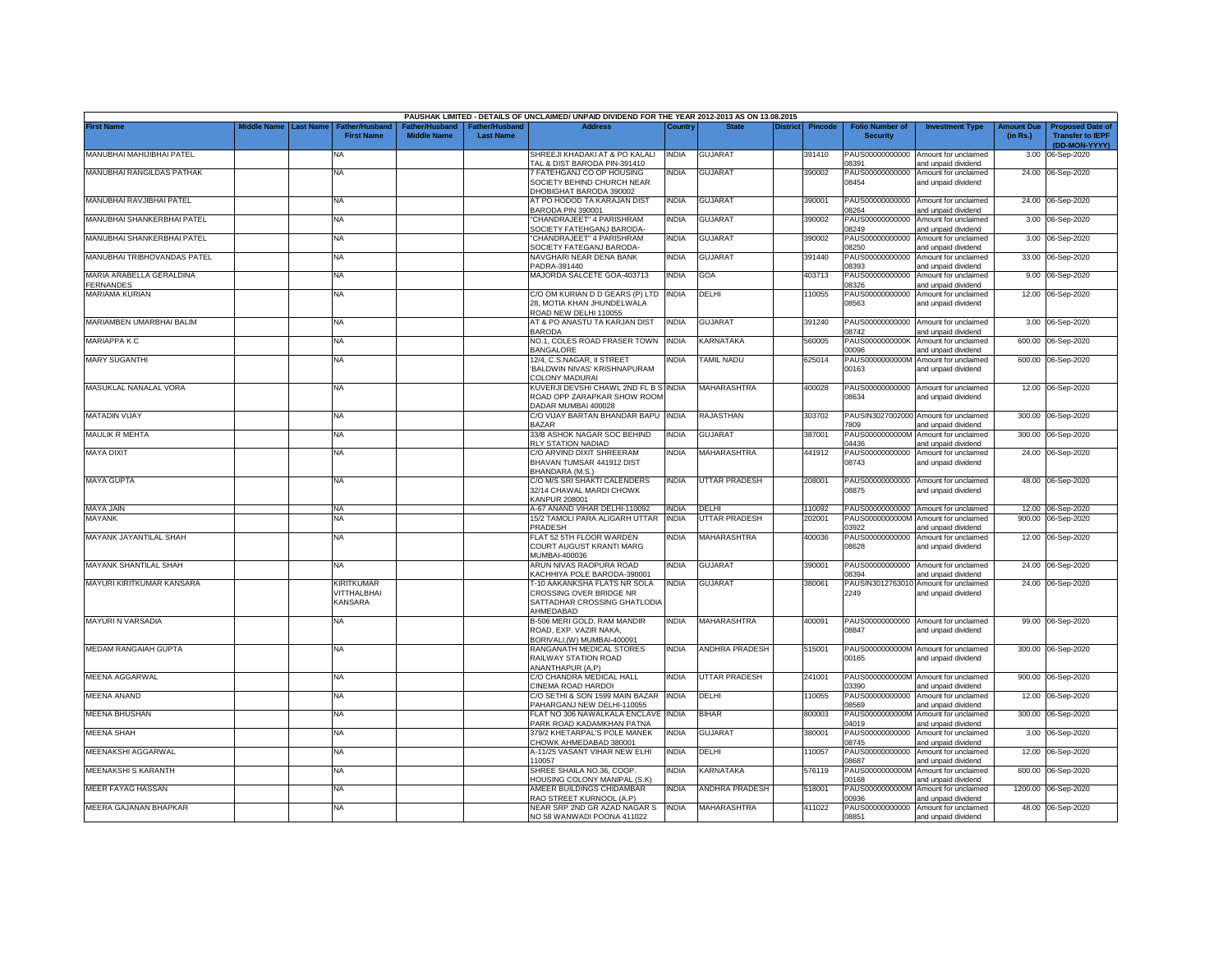|                                       |                         |                                            |                                                  |                                                | PAUSHAK LIMITED - DETAILS OF UNCLAIMED/ UNPAID DIVIDEND FOR THE YEAR 2012-2013 AS ON 13.08.2015      |              |                       |                 |         |                                           |                                                              |                               |                                                                     |
|---------------------------------------|-------------------------|--------------------------------------------|--------------------------------------------------|------------------------------------------------|------------------------------------------------------------------------------------------------------|--------------|-----------------------|-----------------|---------|-------------------------------------------|--------------------------------------------------------------|-------------------------------|---------------------------------------------------------------------|
| First Name                            | Middle Name   Last Name | <b>Father/Husband</b><br><b>First Name</b> | ather/Husband <sup>-</sup><br><b>Middle Name</b> | ather/Husband <sup>-</sup><br><b>Last Name</b> | <b>Address</b>                                                                                       | Country      | <b>State</b>          | <b>District</b> | Pincode | <b>Folio Number of</b><br><b>Security</b> | <b>Investment Type</b>                                       | <b>Amount Due</b><br>(in Rs.) | <b>Proposed Date of</b><br><b>Transfer to IEPF</b><br>(DD-MON-YYYY) |
| MANUBHAI MAHIJIBHAI PATEL             |                         | NA                                         |                                                  |                                                | SHREEJI KHADAKI AT & PO KALALI<br>TAL & DIST BARODA PIN-391410                                       | <b>INDIA</b> | <b>GUJARAT</b>        |                 | 391410  | 08391                                     | PAUS00000000000 Amount for unclaimed<br>and unpaid dividend  |                               | 3.00 06-Sep-2020                                                    |
| MANUBHAI RANGILDAS PATHAK             |                         | <b>NA</b>                                  |                                                  |                                                | 7 FATEHGANJ CO OP HOUSING<br>SOCIETY BEHIND CHURCH NEAR<br>DHOBIGHAT BARODA 390002                   | NDIA         | <b>GUJARAT</b>        |                 | 390002  | PAUS00000000000<br>08454                  | Amount for unclaimed<br>and unpaid dividend                  |                               | 24.00 06-Sep-2020                                                   |
| MANUBHAI RAVJIBHAI PATEL              |                         | NA                                         |                                                  |                                                | AT PO HODOD TA KARAJAN DIST<br>BARODA PIN 390001                                                     | <b>INDIA</b> | <b>GUJARAT</b>        |                 | 390001  | 08264                                     | PAUS00000000000 Amount for unclaimed<br>and unpaid dividend  |                               | 24.00 06-Sep-2020                                                   |
| MANUBHAI SHANKERBHAI PATEL            |                         | NA                                         |                                                  |                                                | 'CHANDRAJEET" 4 PARISHRAM<br>SOCIETY FATEHGANJ BARODA-                                               | <b>INDIA</b> | GUJARAT               |                 | 390002  | PAUS00000000000<br>08249                  | Amount for unclaimed<br>and unpaid dividend                  |                               | 3.00 06-Sep-2020                                                    |
| MANUBHAI SHANKERBHAI PATEL            |                         | NA                                         |                                                  |                                                | 'CHANDRAJEET" 4 PARISHRAM<br>SOCIETY FATEGANJ BARODA-                                                | INDIA        | GUJARAT               |                 | 390002  | PAUS00000000000<br>8250                   | Amount for unclaimed<br>and unpaid dividend                  |                               | 3.00 06-Sep-2020                                                    |
| MANUBHAI TRIBHOVANDAS PATEL           |                         | NA                                         |                                                  |                                                | NAVGHARI NEAR DENA BANK<br>PADRA-391440                                                              | <b>INDIA</b> | <b>GUJARAT</b>        |                 | 391440  | 8393                                      | PAUS00000000000 Amount for unclaimed<br>and unpaid dividend  |                               | 33.00 06-Sep-2020                                                   |
| MARIA ARABELLA GERALDINA<br>FERNANDES |                         | NA                                         |                                                  |                                                | MAJORDA SALCETE GOA-403713                                                                           | <b>INDIA</b> | GOA                   |                 | 403713  | 8326                                      | PAUS00000000000 Amount for unclaimed<br>and unpaid dividend  |                               | 9.00 06-Sep-2020                                                    |
| MARIAMA KURIAN                        |                         | NA                                         |                                                  |                                                | C/O OM KURIAN D D GEARS (P) LTD INDIA<br>28, MOTIA KHAN JHUNDELWALA<br>ROAD NEW DELHI 110055         |              | DELHI                 |                 | 110055  | 08563                                     | PAUS00000000000 Amount for unclaimed<br>and unpaid dividend  |                               | 12.00 06-Sep-2020                                                   |
| MARIAMBEN UMARBHAI BALIM              |                         | NΑ                                         |                                                  |                                                | AT & PO ANASTU TA KARJAN DIST<br><b>BARODA</b>                                                       | <b>INDIA</b> | GUJARAT               |                 | 391240  | 08742                                     | PAUS00000000000 Amount for unclaimed<br>and unpaid dividend  |                               | 3.00 06-Sep-2020                                                    |
| <b>MARIAPPA K C</b>                   |                         | <b>NA</b>                                  |                                                  |                                                | NO.1, COLES ROAD FRASER TOWN INDIA<br><b>BANGALORE</b>                                               |              | KARNATAKA             |                 | 560005  | PAUS0000000000K<br>00096                  | Amount for unclaimed<br>and unpaid dividend                  |                               | 600.00 06-Sep-2020                                                  |
| <b>MARY SUGANTHI</b>                  |                         | NA                                         |                                                  |                                                | 12/4, C.S.NAGAR, II STREET<br>BALDWIN NIVAS' KRISHNAPURAM<br>COLONY MADURAI                          | NDIA         | TAMIL NADU            |                 | 625014  | PAUS0000000000M<br>00163                  | Amount for unclaimed<br>and unpaid dividend                  |                               | 600.00 06-Sep-2020                                                  |
| MASUKLAL NANALAL VORA                 |                         | NA                                         |                                                  |                                                | KUVERJI DEVSHI CHAWL 2ND FL B S INDIA<br>ROAD OPP ZARAPKAR SHOW ROOM<br>DADAR MUMBAI 400028          |              | <b>MAHARASHTRA</b>    |                 | 400028  | 08634                                     | PAUS00000000000 Amount for unclaimed<br>and unpaid dividend  |                               | 12.00 06-Sep-2020                                                   |
| <b>MATADIN VIJAY</b>                  |                         | NA                                         |                                                  |                                                | C/O VIJAY BARTAN BHANDAR BAPU<br><b>BAZAR</b>                                                        | <b>INDIA</b> | <b>RAJASTHAN</b>      |                 | 303702  | 7809                                      | PAUSIN3027002000 Amount for unclaimed<br>and unpaid dividend |                               | 300.00 06-Sep-2020                                                  |
| <b>MAULIK R MEHTA</b>                 |                         | <b>NA</b>                                  |                                                  |                                                | 33/B ASHOK NAGAR SOC BEHIND<br>RLY STATION NADIAD                                                    | <b>INDIA</b> | <b>GUJARAT</b>        |                 | 387001  | PAUS0000000000M<br>04436                  | Amount for unclaimed<br>and unpaid dividend                  |                               | 300.00 06-Sep-2020                                                  |
| <b>MAYA DIXIT</b>                     |                         | NA                                         |                                                  |                                                | C/O ARVIND DIXIT SHREERAM<br>BHAVAN TUMSAR 441912 DIST<br>BHANDARA (M.S.)                            | INDIA        | <b>MAHARASHTRA</b>    |                 | 441912  | PAUS00000000000<br>08743                  | Amount for unclaimed<br>and unpaid dividend                  |                               | 24.00 06-Sep-2020                                                   |
| <b>MAYA GUPTA</b>                     |                         | NA                                         |                                                  |                                                | C/O M/S SRI SHAKTI CALENDERS<br>32/14 CHAWAL MARDI CHOWK<br>KANPUR 208001                            | <b>INDIA</b> | <b>UTTAR PRADESH</b>  |                 | 208001  | 08875                                     | PAUS00000000000 Amount for unclaimed<br>and unpaid dividend  |                               | 48.00 06-Sep-2020                                                   |
| MAYA JAIN                             |                         | <b>NA</b>                                  |                                                  |                                                | A-67 ANAND VIHAR DELHI-110092                                                                        | <b>INDIA</b> | DELHI                 |                 | 110092  |                                           | PAUS00000000000 Amount for unclaimed                         |                               | 12.00 06-Sep-2020                                                   |
| <b>MAYANK</b>                         |                         | NA                                         |                                                  |                                                | 15/2 TAMOLI PARA ALIGARH UTTAR<br>PRADESH                                                            | <b>INDIA</b> | <b>UTTAR PRADESH</b>  |                 | 202001  | PAUS0000000000M<br>03922                  | Amount for unclaimed<br>and unpaid dividend                  |                               | 900.00 06-Sep-2020                                                  |
| MAYANK JAYANTILAL SHAH                |                         | NA                                         |                                                  |                                                | FLAT 52 5TH FLOOR WARDEN<br><b>COURT AUGUST KRANTI MARG</b><br>MUMBAI-400036                         | <b>INDIA</b> | MAHARASHTRA           |                 | 400036  | PAUS00000000000<br>08628                  | Amount for unclaimed<br>and unpaid dividend                  |                               | 12.00 06-Sep-2020                                                   |
| MAYANK SHANTILAL SHAH                 |                         | NA                                         |                                                  |                                                | ARUN NIVAS RAOPURA ROAD<br>KACHHIYA POLE BARODA-390001                                               | INDIA        | GUJARAT               |                 | 390001  | PAUS00000000000<br>08394                  | Amount for unclaimed<br>and unpaid dividend                  |                               | 24.00 06-Sep-2020                                                   |
| MAYURI KIRITKUMAR KANSARA             |                         | KIRITKUMAR<br>VITTHALBHAI<br>KANSARA       |                                                  |                                                | T-10 AAKANKSHA FLATS NR SOLA<br>CROSSING OVER BRIDGE NR<br>SATTADHAR CROSSING GHATLODIA<br>AHMEDABAD | INDIA        | <b>GUJARAT</b>        |                 | 380061  | PAUSIN3012763010<br>2249                  | Amount for unclaimed<br>and unpaid dividend                  |                               | 24.00 06-Sep-2020                                                   |
| <b>MAYURI N VARSADIA</b>              |                         | NA                                         |                                                  |                                                | B-506 MERI GOLD, RAM MANDIR<br>ROAD, EXP. VAZIR NAKA,<br>BORIVALI, (W) MUMBAI-400091                 | <b>INDIA</b> | <b>MAHARASHTRA</b>    |                 | 400091  | 08847                                     | PAUS00000000000 Amount for unclaimed<br>and unpaid dividend  |                               | 99.00 06-Sep-2020                                                   |
| MEDAM RANGAIAH GUPTA                  |                         | NA                                         |                                                  |                                                | RANGANATH MEDICAL STORES<br>RAILWAY STATION ROAD<br>ANANTHAPUR (A.P)                                 | <b>INDIA</b> | <b>ANDHRA PRADESH</b> |                 | 515001  | 00165                                     | PAUS0000000000M Amount for unclaimed<br>and unpaid dividend  |                               | 300.00 06-Sep-2020                                                  |
| MEENA AGGARWAL                        |                         | <b>NA</b>                                  |                                                  |                                                | C/O CHANDRA MEDICAL HALL<br>CINEMA ROAD HARDOI                                                       | INDIA        | UTTAR PRADESH         |                 | 241001  | PAUS0000000000M<br>03390                  | Amount for unclaimed<br>and unpaid dividend                  |                               | 900.00 06-Sep-2020                                                  |
| MEENA ANAND                           |                         | ΝA                                         |                                                  |                                                | C/O SETHI & SON 1599 MAIN BAZAR<br>PAHARGANJ NEW DELHI-110055                                        | <b>INDIA</b> | DELHI                 |                 | 10055   | PAUS00000000000<br>08569                  | Amount for unclaimed<br>and unpaid dividend                  |                               | 12.00 06-Sep-2020                                                   |
| <b>MEENA BHUSHAN</b>                  |                         | NA                                         |                                                  |                                                | FLAT NO 306 NAWALKALA ENCLAVE INDIA<br>PARK ROAD KADAMKHAN PATNA                                     |              | BIHAR                 |                 | 800003  | PAUS0000000000M<br>04019                  | Amount for unclaimed<br>and unpaid dividend                  |                               | 300.00 06-Sep-2020                                                  |
| MEENA SHAH                            |                         | NA                                         |                                                  |                                                | 379/2 KHETARPAL'S POLE MANEK<br>CHOWK AHMEDABAD 380001                                               | INDIA        | GUJARAT               |                 | 380001  | PAUS00000000000<br>08745                  | Amount for unclaimed<br>and unpaid dividend                  |                               | 3.00 06-Sep-2020                                                    |
| MEENAKSHI AGGARWAL                    |                         | NA                                         |                                                  |                                                | 4-11/25 VASANT VIHAR NEW ELHI<br>110057                                                              | INDIA        | DELHI                 |                 | 110057  | PAUS00000000000<br>08687                  | Amount for unclaimed<br>and unpaid dividend                  |                               | 12.00 06-Sep-2020                                                   |
| MEENAKSHI S KARANTH                   |                         | NA                                         |                                                  |                                                | SHREE SHAILA NO.36, COOP.<br><b>HOUSING COLONY MANIPAL (S.K)</b>                                     | INDIA        | KARNATAKA             |                 | 576119  | 0168                                      | PAUS0000000000M Amount for unclaimed<br>and unpaid dividend  |                               | 600.00 06-Sep-2020                                                  |
| <b>MEER FAYAG HASSAN</b>              |                         | NA                                         |                                                  |                                                | AMEER BUILDINGS CHIDAMBAR<br>RAO STREET KURNOOL (A.P)                                                | INDIA        | ANDHRA PRADESH        |                 | 518001  | 00936                                     | PAUS0000000000M Amount for unclaimed<br>and unpaid dividend  |                               | 1200.00 06-Sep-2020                                                 |
| MEERA GAJANAN BHAPKAR                 |                         | NA                                         |                                                  |                                                | NEAR SRP 2ND GR AZAD NAGAR S<br>NO 58 WANWADI POONA 411022                                           | <b>INDIA</b> | MAHARASHTRA           |                 | 411022  | 08851                                     | PAUS00000000000 Amount for unclaimed<br>and unpaid dividend  |                               | 48.00 06-Sep-2020                                                   |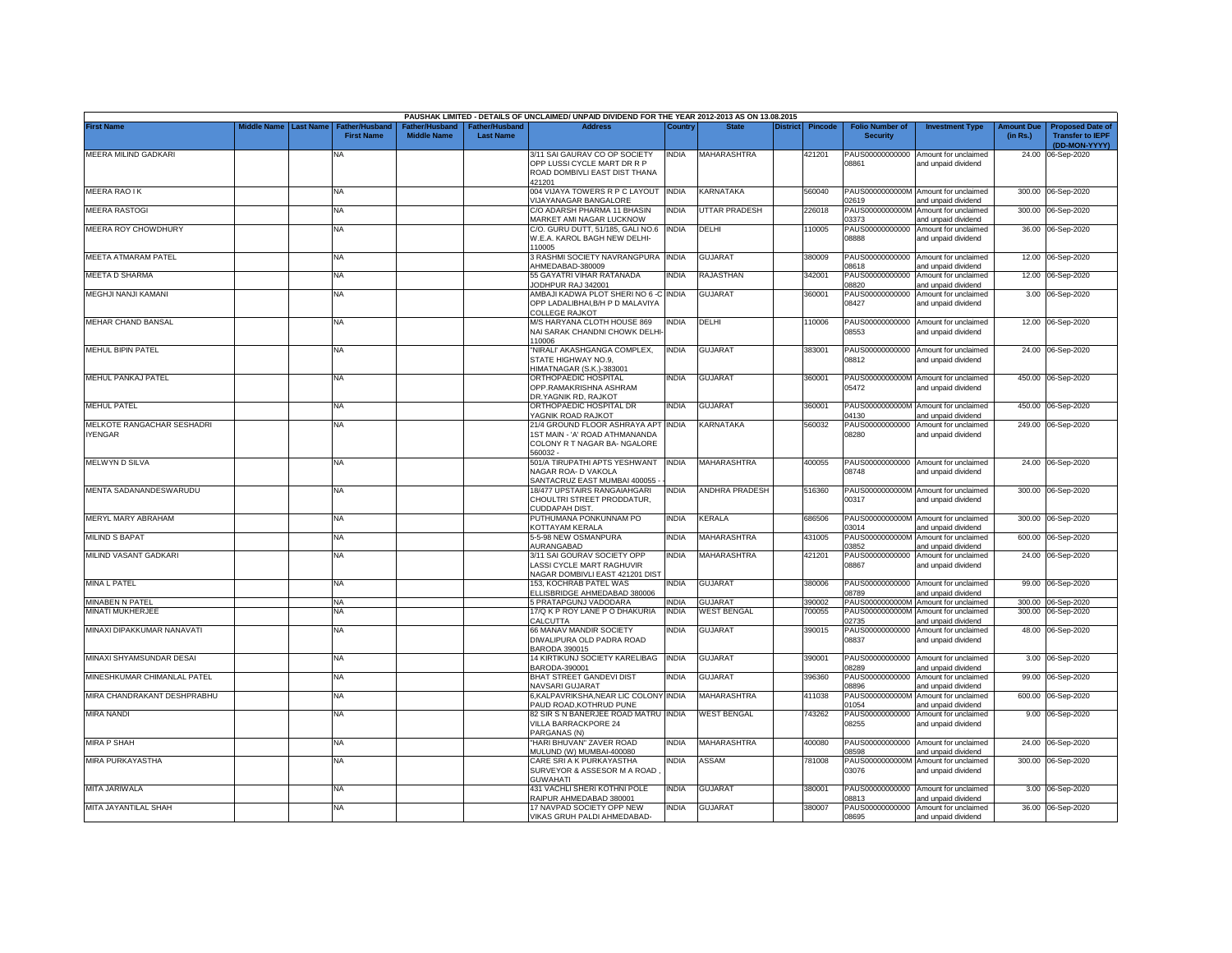|                                              |             |                  |                                            |                                      |                                           | PAUSHAK LIMITED - DETAILS OF UNCLAIMED/ UNPAID DIVIDEND FOR THE YEAR 2012-2013 AS ON 13.08.2015                   |              |                       |          |                |                                           |                                                             |                               |                                                                     |
|----------------------------------------------|-------------|------------------|--------------------------------------------|--------------------------------------|-------------------------------------------|-------------------------------------------------------------------------------------------------------------------|--------------|-----------------------|----------|----------------|-------------------------------------------|-------------------------------------------------------------|-------------------------------|---------------------------------------------------------------------|
| <b>First Name</b>                            | Middle Name | <b>Last Name</b> | <b>Father/Husband</b><br><b>First Name</b> | Father/Husband<br><b>Middle Name</b> | <b>Father/Husband</b><br><b>Last Name</b> | <b>Address</b>                                                                                                    | Country      | <b>State</b>          | District | <b>Pincode</b> | <b>Folio Number of</b><br><b>Security</b> | <b>Investment Type</b>                                      | <b>Amount Due</b><br>(in Rs.) | <b>Proposed Date of</b><br><b>Transfer to IEPF</b><br>(DD-MON-YYYY) |
| MEERA MILIND GADKARI                         |             |                  | <b>NA</b>                                  |                                      |                                           | 3/11 SAI GAURAV CO OP SOCIETY<br>OPP LUSSI CYCLE MART DR R P<br>ROAD DOMBIVLI EAST DIST THANA                     | <b>INDIA</b> | MAHARASHTRA           |          | 421201         | PAUS00000000000<br>08861                  | Amount for unclaimed<br>and unpaid dividend                 |                               | 24.00 06-Sep-2020                                                   |
| <b>MEERA RAO IK</b>                          |             |                  | <b>NA</b>                                  |                                      |                                           | 421201<br>004 VIJAYA TOWERS R P C LAYOUT INDIA                                                                    |              | KARNATAKA             |          | 560040         |                                           | PAUS0000000000M Amount for unclaimed                        |                               | 300.00 06-Sep-2020                                                  |
| <b>MEERA RASTOGI</b>                         |             |                  | <b>NA</b>                                  |                                      |                                           | /IJAYANAGAR BANGALORE<br>C/O ADARSH PHARMA 11 BHASIN                                                              | <b>INDIA</b> | UTTAR PRADESH         |          | 226018         | 02619<br>PAUS0000000000M                  | and unpaid dividend<br>Amount for unclaimed                 |                               | 300.00 06-Sep-2020                                                  |
| MEERA ROY CHOWDHURY                          |             |                  | <b>NA</b>                                  |                                      |                                           | MARKET AMI NAGAR LUCKNOW<br>C/O. GURU DUTT, 51/185, GALI NO.6                                                     | <b>INDIA</b> | DELHI                 |          | 110005         | 03373<br>PAUS00000000000                  | and unpaid dividend<br>Amount for unclaimed                 |                               | 36.00 06-Sep-2020                                                   |
|                                              |             |                  |                                            |                                      |                                           | W.E.A. KAROL BAGH NEW DELHI-<br>10005                                                                             |              |                       |          |                | 08888                                     | and unpaid dividend                                         |                               |                                                                     |
| MEETA ATMARAM PATEL                          |             |                  | <b>NA</b>                                  |                                      |                                           | 3 RASHMI SOCIETY NAVRANGPURA INDIA<br>AHMEDABAD-380009                                                            |              | <b>GUJARAT</b>        |          | 380009         | PAUS00000000000<br>08618                  | Amount for unclaimed<br>and unpaid dividend                 |                               | 12.00 06-Sep-2020                                                   |
| MEETA D SHARMA                               |             |                  | <b>NA</b>                                  |                                      |                                           | 55 GAYATRI VIHAR RATANADA<br>ODHPUR RAJ 342001                                                                    | INDIA        | RAJASTHAN             |          | 342001         | PAUS00000000000<br>08820                  | Amount for unclaimed<br>and unpaid dividend                 |                               | 12.00 06-Sep-2020                                                   |
| MEGHJI NANJI KAMANI                          |             |                  | <b>NA</b>                                  |                                      |                                           | AMBAJI KADWA PLOT SHERI NO 6 -C INDIA<br>OPP LADALIBHAI, B/H P D MALAVIYA<br>COLLEGE RAJKOT                       |              | <b>GUJARAT</b>        |          | 360001         | PAUS00000000000<br>08427                  | Amount for unclaimed<br>and unpaid dividend                 |                               | 3.00 06-Sep-2020                                                    |
| MEHAR CHAND BANSAL                           |             |                  | <b>NA</b>                                  |                                      |                                           | M/S HARYANA CLOTH HOUSE 869<br>NAI SARAK CHANDNI CHOWK DELHI<br>10006                                             | NDIA         | DELHI                 |          | 110006         | 08553                                     | PAUS00000000000 Amount for unclaimed<br>and unpaid dividend |                               | 12.00 06-Sep-2020                                                   |
| MEHUL BIPIN PATEL                            |             |                  | NA                                         |                                      |                                           | NIRALI' AKASHGANGA COMPLEX,<br>STATE HIGHWAY NO.9.<br><b>IMATNAGAR (S.K.)-383001</b>                              | INDIA        | <b>GUJARAT</b>        |          | 383001         | 08812                                     | PAUS00000000000 Amount for unclaimed<br>and unpaid dividend |                               | 24.00 06-Sep-2020                                                   |
| MEHUL PANKAJ PATEL                           |             |                  | <b>NA</b>                                  |                                      |                                           | ORTHOPAEDIC HOSPITAL<br>OPP.RAMAKRISHNA ASHRAM<br><b>DR.YAGNIK RD, RAJKOT</b>                                     | INDIA        | <b>GUJARAT</b>        |          | 360001         | 05472                                     | PAUS0000000000M Amount for unclaimed<br>and unpaid dividend |                               | 450.00 06-Sep-2020                                                  |
| <b>MEHUL PATEL</b>                           |             |                  | <b>NA</b>                                  |                                      |                                           | ORTHOPAEDIC HOSPITAL DR<br>YAGNIK ROAD RAJKOT                                                                     | INDIA        | <b>GUJARAT</b>        |          | 360001         | 04130                                     | PAUS0000000000M Amount for unclaimed<br>and unpaid dividend | 450.00                        | 06-Sep-2020                                                         |
| MELKOTE RANGACHAR SESHADRI<br><b>IYENGAR</b> |             |                  | <b>NA</b>                                  |                                      |                                           | 21/4 GROUND FLOOR ASHRAYA APT INDIA<br>1ST MAIN - 'A' ROAD ATHMANANDA<br>COLONY R T NAGAR BA- NGALORE<br>560032 - |              | KARNATAKA             |          | 560032         | PAUS00000000000<br>08280                  | Amount for unclaimed<br>and unpaid dividend                 |                               | 249.00 06-Sep-2020                                                  |
| MELWYN D SILVA                               |             |                  | <b>NA</b>                                  |                                      |                                           | 501/A TIRUPATHI APTS YESHWANT<br>NAGAR ROA- D VAKOLA<br>SANTACRUZ EAST MUMBAI 400055                              | <b>INDIA</b> | MAHARASHTRA           |          | 400055         | 08748                                     | PAUS00000000000 Amount for unclaimed<br>and unpaid dividend |                               | 24.00 06-Sep-2020                                                   |
| MENTA SADANANDESWARUDU                       |             |                  | NA                                         |                                      |                                           | 18/477 UPSTAIRS RANGAIAHGARI<br>CHOULTRI STREET PRODDATUR,<br>CUDDAPAH DIST.                                      | <b>INDIA</b> | <b>ANDHRA PRADESH</b> |          | 516360         | 00317                                     | PAUS0000000000M Amount for unclaimed<br>and unpaid dividend |                               | 300.00 06-Sep-2020                                                  |
| MERYL MARY ABRAHAM                           |             |                  | <b>NA</b>                                  |                                      |                                           | PUTHUMANA PONKUNNAM PO<br>KOTTAYAM KERALA                                                                         | <b>INDIA</b> | KERALA                |          | 686506         | PAUS0000000000M<br>03014                  | Amount for unclaimed<br>and unpaid dividend                 |                               | 300.00 06-Sep-2020                                                  |
| <b>MILIND S BAPAT</b>                        |             |                  | <b>NA</b>                                  |                                      |                                           | 5-5-98 NEW OSMANPURA<br>AURANGABAD                                                                                | INDIA        | MAHARASHTRA           |          | 431005         | PAUS0000000000M<br>03852                  | Amount for unclaimed<br>and unpaid dividend                 | 600.00                        | 06-Sep-2020                                                         |
| MILIND VASANT GADKARI                        |             |                  | <b>NA</b>                                  |                                      |                                           | 3/11 SAI GOURAV SOCIETY OPP<br>LASSI CYCLE MART RAGHUVIR<br>NAGAR DOMBIVLI EAST 421201 DIST                       | INDIA        | MAHARASHTRA           |          | 421201         | PAUS00000000000<br>08867                  | Amount for unclaimed<br>and unpaid dividend                 |                               | 24.00 06-Sep-2020                                                   |
| <b>MINA L PATEL</b>                          |             |                  | <b>NA</b>                                  |                                      |                                           | 153, KOCHRAB PATEL WAS<br>ELLISBRIDGE AHMEDABAD 380006                                                            | india        | <b>GUJARAT</b>        |          | 380006         | 08789                                     | PAUS00000000000 Amount for unclaimed<br>and unpaid dividend |                               | 99.00 06-Sep-2020                                                   |
| MINABEN N PATEL                              |             |                  | NA                                         |                                      |                                           | 5 PRATAPGUNJ VADODARA                                                                                             | <b>INDIA</b> | <b>GUJARAT</b>        |          | 390002         | PAUS0000000000M                           | Amount for unclaimed                                        |                               | 300.00 06-Sep-2020                                                  |
| MINATI MUKHERJEE                             |             |                  | <b>NA</b>                                  |                                      |                                           | 17/Q K P ROY LANE P O DHAKURIA<br>CALCUTTA                                                                        | INDIA        | <b>WEST BENGAL</b>    |          | 700055         | PAUS0000000000M<br>02735                  | Amount for unclaimed<br>and unpaid dividend                 |                               | 300.00 06-Sep-2020                                                  |
| MINAXI DIPAKKUMAR NANAVATI                   |             |                  | <b>NA</b>                                  |                                      |                                           | 66 MANAV MANDIR SOCIETY<br>DIWALIPURA OLD PADRA ROAD<br>BARODA 390015                                             | NDIA         | GUJARAT               |          | 390015         | PAUS00000000000<br>08837                  | Amount for unclaimed<br>and unpaid dividend                 | 48.00                         | 06-Sep-2020                                                         |
| MINAXI SHYAMSUNDAR DESAI                     |             |                  | <b>NA</b>                                  |                                      |                                           | 14 KIRTIKUNJ SOCIETY KARELIBAG<br>BARODA-390001                                                                   | <b>INDIA</b> | <b>GUJARAT</b>        |          | 390001         | PAUS00000000000<br>08289                  | Amount for unclaimed<br>and unpaid dividend                 |                               | 3.00 06-Sep-2020                                                    |
| MINESHKUMAR CHIMANLAL PATEL                  |             |                  | <b>NA</b>                                  |                                      |                                           | <b>BHAT STREET GANDEVI DIST</b><br>NAVSARI GUJARAT                                                                | NDIA         | <b>GUJARAT</b>        |          | 396360         | PAUS00000000000<br>38896                  | Amount for unclaimed<br>and unpaid dividend                 |                               | 99.00 06-Sep-2020                                                   |
| MIRA CHANDRAKANT DESHPRABHU                  |             |                  | <b>NA</b>                                  |                                      |                                           | 6, KALPAVRIKSHA, NEAR LIC COLONY INDIA<br>PAUD ROAD, KOTHRUD PUNE                                                 |              | MAHARASHTRA           |          | 411038         | PAUS0000000000M<br>01054                  | Amount for unclaimed<br>and unpaid dividend                 |                               | 600.00 06-Sep-2020                                                  |
| <b>MIRA NANDI</b>                            |             |                  | <b>NA</b>                                  |                                      |                                           | 82 SIR S N BANERJEE ROAD MATRU INDIA<br>VILLA BARRACKPORE 24<br>PARGANAS (N)                                      |              | <b>WEST BENGAL</b>    |          | 743262         | PAUS00000000000<br>08255                  | Amount for unclaimed<br>and unpaid dividend                 |                               | 9.00 06-Sep-2020                                                    |
| <b>MIRA P SHAH</b>                           |             |                  | <b>NA</b>                                  |                                      |                                           | "HARI BHUVAN" ZAVER ROAD<br>MULUND (W) MUMBAI-400080                                                              | India        | <b>MAHARASHTRA</b>    |          | 400080         | PAUS00000000000<br>08598                  | Amount for unclaimed<br>and unpaid dividend                 |                               | 24.00 06-Sep-2020                                                   |
| MIRA PURKAYASTHA                             |             |                  | <b>NA</b>                                  |                                      |                                           | CARE SRI A K PURKAYASTHA<br>SURVEYOR & ASSESOR M A ROAD<br><b>GUWAHATI</b>                                        | india        | ASSAM                 |          | 781008         | 03076                                     | PAUS0000000000M Amount for unclaimed<br>and unpaid dividend |                               | 300.00 06-Sep-2020                                                  |
| MITA JARIWALA                                |             |                  | NA                                         |                                      |                                           | 431 VACHLI SHERI KOTHNI POLE<br>RAIPUR AHMEDABAD 380001                                                           | India        | <b>GUJARAT</b>        |          | 380001         | PAUS00000000000<br>08813                  | Amount for unclaimed<br>and unpaid dividend                 |                               | 3.00 06-Sep-2020                                                    |
| MITA JAYANTILAL SHAH                         |             |                  | <b>NA</b>                                  |                                      |                                           | 17 NAVPAD SOCIETY OPP NEW<br>VIKAS GRUH PALDI AHMEDABAD-                                                          | NDIA         | <b>GUJARAT</b>        |          | 380007         | PAUS00000000000<br>08695                  | Amount for unclaimed<br>and unpaid dividend                 |                               | 36.00 06-Sep-2020                                                   |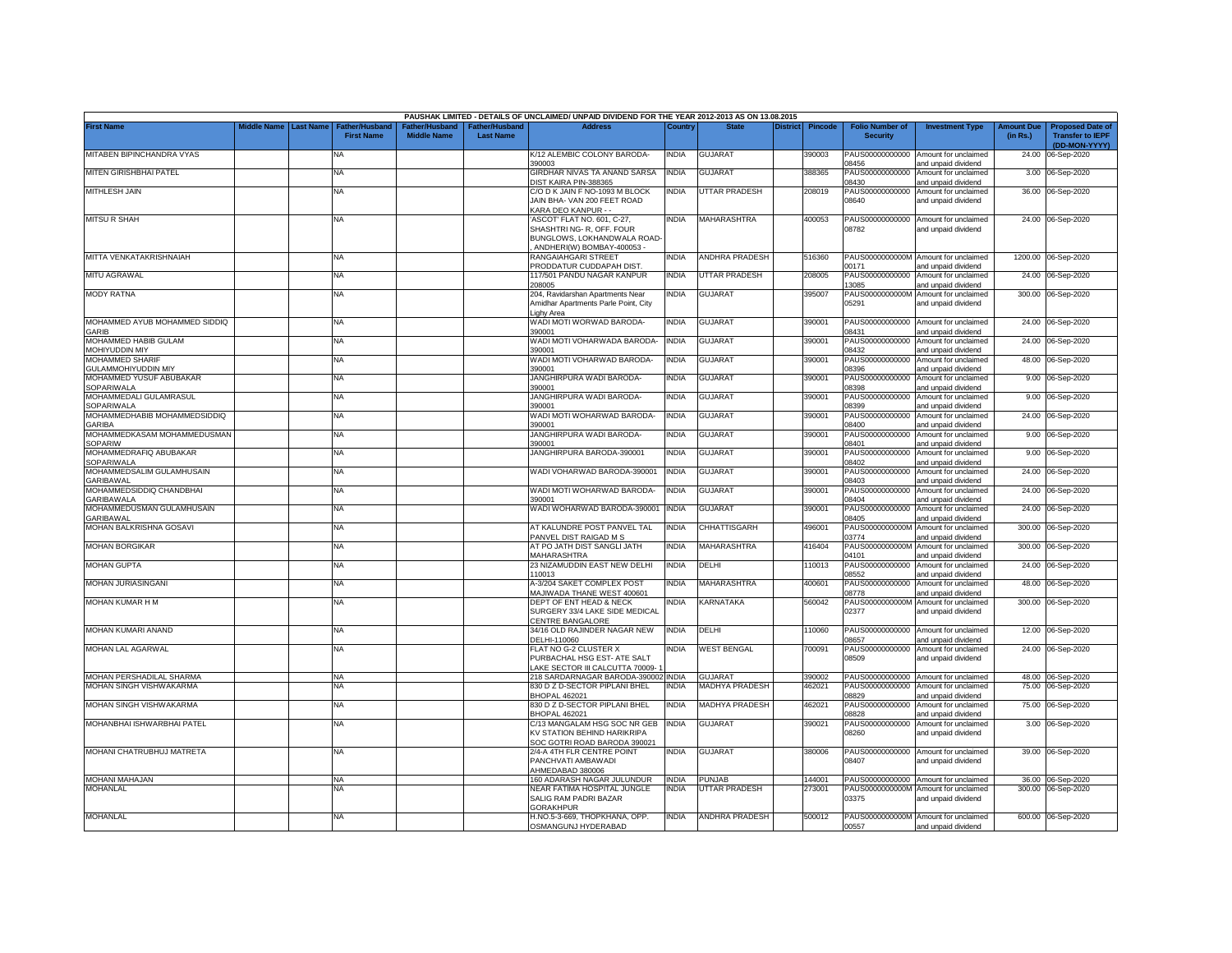|                                                      |             |                  |                                    |                                      |                                    | PAUSHAK LIMITED - DETAILS OF UNCLAIMED/ UNPAID DIVIDEND FOR THE YEAR 2012-2013 AS ON 13.08.2015                     |              |                         |                 |                |                                           |                                                             |                               |                                                                     |
|------------------------------------------------------|-------------|------------------|------------------------------------|--------------------------------------|------------------------------------|---------------------------------------------------------------------------------------------------------------------|--------------|-------------------------|-----------------|----------------|-------------------------------------------|-------------------------------------------------------------|-------------------------------|---------------------------------------------------------------------|
| <b>First Name</b>                                    | Middle Name | <b>Last Name</b> | Father/Husban<br><b>First Name</b> | Father/Husband<br><b>Middle Name</b> | Father/Husband<br><b>Last Name</b> | <b>Address</b>                                                                                                      | Country      | <b>State</b>            | <b>District</b> | <b>Pincode</b> | <b>Folio Number of</b><br><b>Security</b> | <b>Investment Type</b>                                      | <b>Amount Due</b><br>(in Rs.) | <b>Proposed Date of</b><br><b>Transfer to IEPF</b><br>(DD-MON-YYYY) |
| MITABEN BIPINCHANDRA VYAS                            |             |                  | <b>NA</b>                          |                                      |                                    | K/12 ALEMBIC COLONY BARODA-<br>390003                                                                               | <b>INDIA</b> | <b>GUJARAT</b>          |                 | 390003         | 08456                                     | PAUS00000000000 Amount for unclaimed<br>and unpaid dividend | 24.00                         | 06-Sep-2020                                                         |
| MITEN GIRISHBHAI PATEL                               |             |                  | <b>NA</b>                          |                                      |                                    | GIRDHAR NIVAS TA ANAND SARSA<br>DIST KAIRA PIN-388365                                                               | <b>INDIA</b> | <b>GUJARAT</b>          |                 | 388365         | PAUS00000000000<br>08430                  | Amount for unclaimed<br>and unpaid dividend                 | 3.00                          | 06-Sep-2020                                                         |
| MITHLESH JAIN                                        |             |                  | <b>NA</b>                          |                                      |                                    | C/O D K JAIN F NO-1093 M BLOCK<br>JAIN BHA-VAN 200 FEET ROAD<br><b>KARA DEO KANPUR - -</b>                          | <b>INDIA</b> | <b>UTTAR PRADESH</b>    |                 | 208019         | PAUS00000000000<br>08640                  | Amount for unclaimed<br>and unpaid dividend                 |                               | 36.00 06-Sep-2020                                                   |
| <b>MITSU R SHAH</b>                                  |             |                  | <b>NA</b>                          |                                      |                                    | ASCOT' FLAT NO. 601, C-27,<br>SHASHTRI NG-R, OFF. FOUR<br>BUNGLOWS, LOKHANDWALA ROAD-<br>ANDHERI(W) BOMBAY-400053 - | <b>INDIA</b> | MAHARASHTRA             |                 | 400053         | 08782                                     | PAUS00000000000 Amount for unclaimed<br>and unpaid dividend |                               | 24.00 06-Sep-2020                                                   |
| MITTA VENKATAKRISHNAIAH                              |             |                  | <b>NA</b>                          |                                      |                                    | RANGAIAHGARI STREET<br>PRODDATUR CUDDAPAH DIST                                                                      | <b>INDIA</b> | <b>ANDHRA PRADESH</b>   |                 | 516360         | PAUS0000000000M<br>00171                  | Amount for unclaimed<br>and unpaid dividend                 | 1200.00                       | 06-Sep-2020                                                         |
| <b>MITU AGRAWAL</b>                                  |             |                  | <b>NA</b>                          |                                      |                                    | 117/501 PANDU NAGAR KANPUR<br>'08005                                                                                | <b>INDIA</b> | <b>UTTAR PRADESH</b>    |                 | 208005         | PAUS00000000000<br>3085                   | Amount for unclaimed<br>nd unpaid dividend                  | 24.00                         | 06-Sep-2020                                                         |
| <b>MODY RATNA</b>                                    |             |                  | NA                                 |                                      |                                    | 204, Ravidarshan Apartments Near<br>Amidhar Apartments Parle Point, City<br>ighy Area                               | INDIA        | <b>GUJARAT</b>          |                 | 395007         | PAUS0000000000M<br>05291                  | Amount for unclaimed<br>and unpaid dividend                 |                               | 300.00 06-Sep-2020                                                  |
| MOHAMMED AYUB MOHAMMED SIDDIQ<br><b>GARIB</b>        |             |                  | NA                                 |                                      |                                    | WADI MOTI WORWAD BARODA-<br>390001                                                                                  | <b>INDIA</b> | <b>GUJARAT</b>          |                 | 390001         | PAUS00000000000<br>08431                  | Amount for unclaimed<br>and unpaid dividend                 | 24.00                         | 06-Sep-2020                                                         |
| MOHAMMED HABIB GULAM<br>MOHIYUDDIN MIY               |             |                  | <b>NA</b>                          |                                      |                                    | WADI MOTI VOHARWADA BARODA<br>390001                                                                                | <b>INDIA</b> | <b>GUJARAT</b>          |                 | 390001         | PAUS00000000000<br>08432                  | Amount for unclaimed<br>and unpaid dividend                 | 24.00                         | 06-Sep-2020                                                         |
| <b>MOHAMMED SHARIF</b><br><b>GULAMMOHIYUDDIN MIY</b> |             |                  | <b>NA</b>                          |                                      |                                    | WADI MOTI VOHARWAD BARODA-<br>390001                                                                                | <b>INDIA</b> | <b>GUJARAT</b>          |                 | 390001         | PAUS00000000000<br>08396                  | Amount for unclaimed<br>and unpaid dividend                 | 48.00                         | 06-Sep-2020                                                         |
| MOHAMMED YUSUF ABUBAKAR<br>SOPARIWALA                |             |                  | NA                                 |                                      |                                    | JANGHIRPURA WADI BARODA-<br>390001                                                                                  | <b>INDIA</b> | <b>GUJARAT</b>          |                 | 390001         | PAUS00000000000<br>08398                  | Amount for unclaimed<br>and unpaid dividend                 | 9.00                          | 06-Sep-2020                                                         |
| MOHAMMEDALI GULAMRASUL<br>SOPARIWALA                 |             |                  | NA                                 |                                      |                                    | JANGHIRPURA WADI BARODA-<br>390001                                                                                  | <b>INDIA</b> | GUJARAT                 |                 | 390001         | PAUS00000000000<br>08399                  | Amount for unclaimed<br>and unpaid dividend                 | 9.00                          | 06-Sep-2020                                                         |
| MOHAMMEDHABIB MOHAMMEDSIDDIQ<br><b>GARIBA</b>        |             |                  | NA                                 |                                      |                                    | WADI MOTI WOHARWAD BARODA<br>390001                                                                                 | <b>INDIA</b> | GUJARAT                 |                 | 390001         | PAUS00000000000<br>08400                  | Amount for unclaimed<br>and unpaid dividend                 | 24.00                         | 06-Sep-2020                                                         |
| MOHAMMEDKASAM MOHAMMEDUSMAN<br><b>SOPARIW</b>        |             |                  | NA.                                |                                      |                                    | <b>JANGHIRPURA WADI BARODA-</b><br>390001                                                                           | <b>INDIA</b> | <b>GUJARAT</b>          |                 | 390001         | PAUS00000000000<br>08401                  | Amount for unclaimed<br>and unpaid dividend                 | 9.00                          | 06-Sep-2020                                                         |
| MOHAMMEDRAFIQ ABUBAKAR<br>SOPARIWALA                 |             |                  | <b>NA</b>                          |                                      |                                    | JANGHIRPURA BARODA-390001                                                                                           | <b>INDIA</b> | GUJARAT                 |                 | 390001         | PAUS00000000000<br>08402                  | Amount for unclaimed<br>and unpaid dividend                 | 9.00                          | 06-Sep-2020                                                         |
| MOHAMMEDSALIM GULAMHUSAIN<br><b>GARIBAWAL</b>        |             |                  | <b>NA</b>                          |                                      |                                    | WADI VOHARWAD BARODA-390001                                                                                         | <b>INDIA</b> | GUJARAT                 |                 | 390001         | PAUS00000000000<br>08403                  | Amount for unclaimed<br>and unpaid dividend                 | 24.00                         | 06-Sep-2020                                                         |
| MOHAMMEDSIDDIQ CHANDBHAI<br>GARIBAWALA               |             |                  | NA                                 |                                      |                                    | WADI MOTI WOHARWAD BARODA-<br>390001                                                                                | <b>INDIA</b> | <b>GUJARAT</b>          |                 | 390001         | PAUS00000000000<br>08404                  | Amount for unclaimed<br>and unpaid dividend                 | 24.00                         | 06-Sep-2020                                                         |
| MOHAMMEDUSMAN GULAMHUSAIN<br><b>SARIBAWAL</b>        |             |                  | <b>NA</b>                          |                                      |                                    | WADI WOHARWAD BARODA-390001                                                                                         | <b>INDIA</b> | <b>GUJARAT</b>          |                 | 390001         | PAUS00000000000<br>08405                  | Amount for unclaimed<br>and unpaid dividend                 | 24.00                         | 06-Sep-2020                                                         |
| MOHAN BALKRISHNA GOSAVI                              |             |                  | <b>NA</b>                          |                                      |                                    | AT KALUNDRE POST PANVEL TAL<br>ANVEL DIST RAIGAD M S                                                                | <b>INDIA</b> | CHHATTISGARH            |                 | 196001         | PAUS0000000000M<br>03774                  | Amount for unclaimed<br>and unpaid dividend                 | 300.00                        | 06-Sep-2020                                                         |
| <b>MOHAN BORGIKAR</b>                                |             |                  | NA                                 |                                      |                                    | AT PO JATH DIST SANGLI JATH<br><b>MAHARASHTRA</b>                                                                   | <b>INDIA</b> | MAHARASHTRA             |                 | 416404         | PAUS0000000000M<br>04101                  | Amount for unclaimed<br>and unpaid dividend                 | 300.00                        | 06-Sep-2020                                                         |
| <b>MOHAN GUPTA</b>                                   |             |                  | <b>NA</b>                          |                                      |                                    | 23 NIZAMUDDIN EAST NEW DELHI<br>10013                                                                               | <b>INDIA</b> | DELHI                   |                 | 110013         | PAUS00000000000<br>08552                  | Amount for unclaimed<br>and unpaid dividend                 | 24.00                         | 06-Sep-2020                                                         |
| MOHAN JURIASINGANI                                   |             |                  | NA                                 |                                      |                                    | 4-3/204 SAKET COMPLEX POST<br>MAJIWADA THANE WEST 400601                                                            | <b>INDIA</b> | MAHARASHTRA             |                 | 400601         | PAUS00000000000<br>08778                  | Amount for unclaimed<br>and unpaid dividend                 | 48.00                         | 06-Sep-2020                                                         |
| MOHAN KUMAR H M                                      |             |                  | NA                                 |                                      |                                    | DEPT OF ENT HEAD & NECK<br>SURGERY 33/4 LAKE SIDE MEDICAL<br><b>ENTRE BANGALORE</b>                                 | ndia         | <b><i>CARNATAKA</i></b> |                 | 560042         | PAUS0000000000M<br>02377                  | Amount for unclaimed<br>and unpaid dividend                 | 300.00                        | 06-Sep-2020                                                         |
| MOHAN KUMARI ANAND                                   |             |                  | NA                                 |                                      |                                    | 34/16 OLD RAJINDER NAGAR NEW<br>ELHI-110060                                                                         | <b>INDIA</b> | DELHI                   |                 | 10060          | PAUS00000000000<br>08657                  | Amount for unclaimed<br>and unpaid dividend                 | 12.00                         | 06-Sep-2020                                                         |
| MOHAN LAL AGARWAL                                    |             |                  | NA                                 |                                      |                                    | FLAT NO G-2 CLUSTER X<br>PURBACHAL HSG EST- ATE SALT<br>AKE SECTOR III CALCUTTA 70009-1                             | <b>INDIA</b> | <b>WEST BENGAL</b>      |                 | 700091         | PAUS00000000000<br>08509                  | Amount for unclaimed<br>and unpaid dividend                 | 24.00                         | 06-Sep-2020                                                         |
| MOHAN PERSHADILAL SHARMA                             |             |                  | NA                                 |                                      |                                    | 218 SARDARNAGAR BARODA-390002 INDIA                                                                                 |              | <b>GUJARAT</b>          |                 | 390002         |                                           | PAUS00000000000 Amount for unclaimed                        |                               | 48.00 06-Sep-2020                                                   |
| MOHAN SINGH VISHWAKARMA                              |             |                  | ΝA                                 |                                      |                                    | 830 D Z D-SECTOR PIPLANI BHEL<br><b>BHOPAL 462021</b>                                                               | <b>INDIA</b> | <b>MADHYA PRADESH</b>   |                 | 462021         | PAUS00000000000<br>08829                  | Amount for unclaimed<br>and unpaid dividend                 | 75.00                         | 06-Sep-2020                                                         |
| MOHAN SINGH VISHWAKARMA                              |             |                  | <b>NA</b>                          |                                      |                                    | 830 D Z D-SECTOR PIPLANI BHEL<br><b>BHOPAL 462021</b>                                                               | <b>INDIA</b> | <b>MADHYA PRADESH</b>   |                 | 462021         | PAUS00000000000<br>08828                  | Amount for unclaimed<br>and unpaid dividend                 | 75.00                         | 06-Sep-2020                                                         |
| MOHANBHAI ISHWARBHAI PATEL                           |             |                  | NA                                 |                                      |                                    | C/13 MANGALAM HSG SOC NR GEB<br>KV STATION BEHIND HARIKRIPA<br>SOC GOTRI ROAD BARODA 390021                         | <b>INDIA</b> | GUJARAT                 |                 | 390021         | PAUS00000000000<br>08260                  | Amount for unclaimed<br>and unpaid dividend                 | 3.00                          | 06-Sep-2020                                                         |
| MOHANI CHATRUBHUJ MATRETA                            |             |                  | NA                                 |                                      |                                    | 2/4-A 4TH FLR CENTRE POINT<br>PANCHVATI AMBAWADI<br>HMEDABAD 380006                                                 | <b>INDIA</b> | <b>GUJARAT</b>          |                 | 380006         | PAUS00000000000<br>08407                  | Amount for unclaimed<br>and unpaid dividend                 |                               | 39.00 06-Sep-2020                                                   |
| <b>MOHANI MAHAJAN</b>                                |             |                  | <b>NA</b>                          |                                      |                                    | 160 ADARASH NAGAR JULUNDUR                                                                                          | <b>INDIA</b> | <b>UNJAB</b>            |                 | 144001         | PAUS00000000000                           | Amount for unclaimed                                        |                               | 36.00 06-Sep-2020                                                   |
| <b>MOHANLAL</b>                                      |             |                  | NA                                 |                                      |                                    | <b>JEAR FATIMA HOSPITAL JUNGLE</b><br>SALIG RAM PADRI BAZAR<br><b>GORAKHPUR</b>                                     | NDIA         | UTTAR PRADESH           |                 | 273001         | PAUS0000000000M<br>03375                  | Amount for unclaimed<br>and unpaid dividend                 | 300.00                        | 06-Sep-2020                                                         |
| <b>MOHANLAL</b>                                      |             |                  | NA                                 |                                      |                                    | H.NO.5-3-669, THOPKHANA, OPP.<br>OSMANGUNJ HYDERABAD                                                                | <b>INDIA</b> | <b>ANDHRA PRADESH</b>   |                 | 500012         | 00557                                     | PAUS0000000000M Amount for unclaimed<br>and unpaid dividend |                               | 600.00 06-Sep-2020                                                  |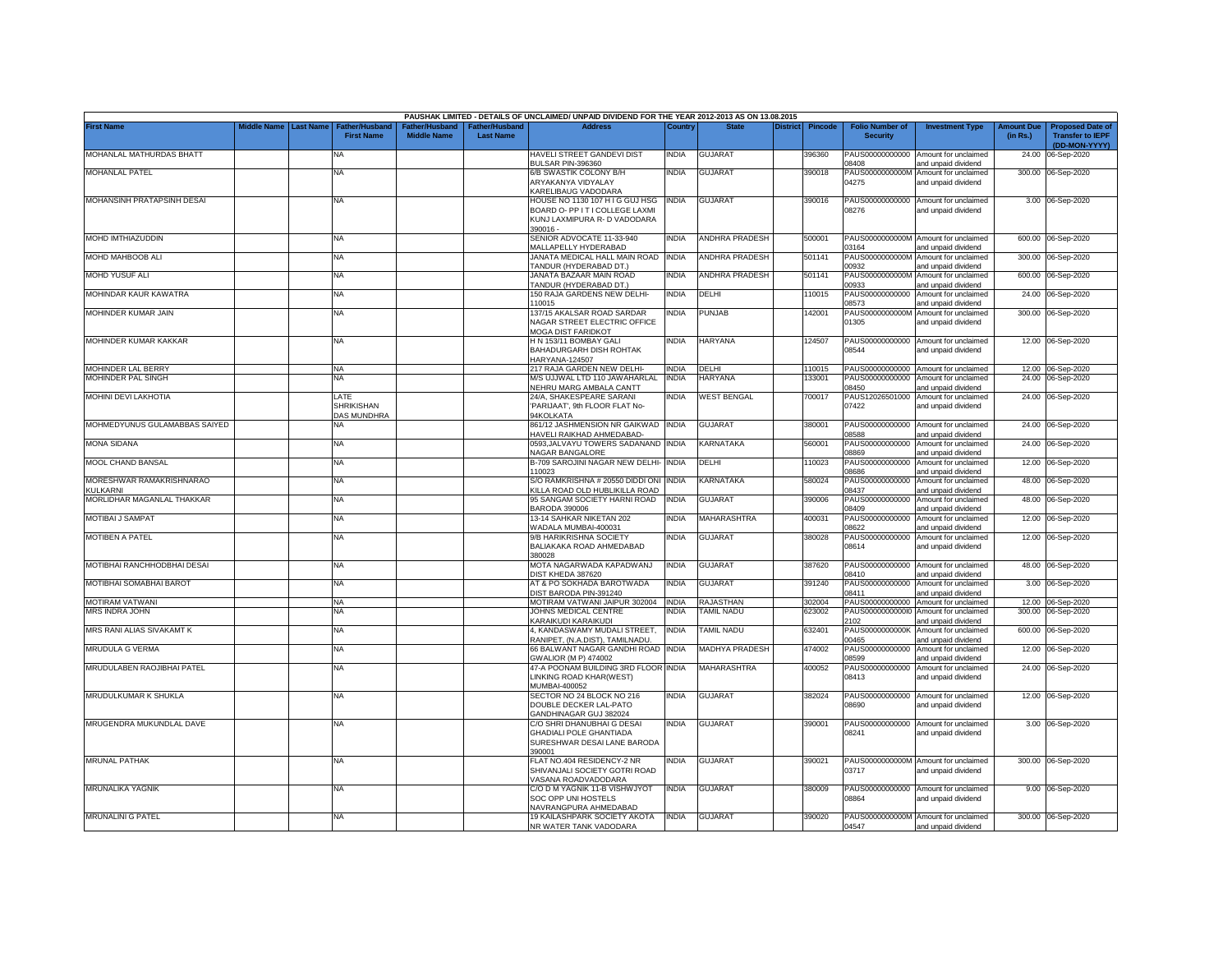|                                             |             |                  |                                                 |                                                  |                                   | PAUSHAK LIMITED - DETAILS OF UNCLAIMED/ UNPAID DIVIDEND FOR THE YEAR 2012-2013 AS ON 13.08.2015              |              |                       |                 |                |                                           |                                                             |                               |                                                                     |
|---------------------------------------------|-------------|------------------|-------------------------------------------------|--------------------------------------------------|-----------------------------------|--------------------------------------------------------------------------------------------------------------|--------------|-----------------------|-----------------|----------------|-------------------------------------------|-------------------------------------------------------------|-------------------------------|---------------------------------------------------------------------|
| <b>First Name</b>                           | Middle Name | <b>Last Name</b> | <b>Father/Husband</b><br><b>First Name</b>      | ather/Husband <sup>:</sup><br><b>Middle Name</b> | ather/Husband<br><b>Last Name</b> | <b>Address</b>                                                                                               | Country      | <b>State</b>          | <b>District</b> | <b>Pincode</b> | <b>Folio Number of</b><br><b>Security</b> | <b>Investment Type</b>                                      | <b>Amount Due</b><br>(in Rs.) | <b>Proposed Date of</b><br><b>Transfer to IEPF</b><br>(DD-MON-YYYY) |
| MOHANLAL MATHURDAS BHATT                    |             |                  | NA                                              |                                                  |                                   | HAVELI STREET GANDEVI DIST<br>BULSAR PIN-396360                                                              | India        | <b>GUJARAT</b>        |                 | 396360         | PAUS00000000000<br>08408                  | Amount for unclaimed<br>and unpaid dividend                 | 24.00                         | 06-Sep-2020                                                         |
| MOHANLAL PATEL                              |             |                  | <b>NA</b>                                       |                                                  |                                   | 6/B SWASTIK COLONY B/H<br>ARYAKANYA VIDYALAY<br><b>KARELIBAUG VADODARA</b>                                   | ndia         | <b>GUJARAT</b>        |                 | 390018         | PAUS0000000000M<br>04275                  | Amount for unclaimed<br>and unpaid dividend                 |                               | 300.00 06-Sep-2020                                                  |
| MOHANSINH PRATAPSINH DESAI                  |             |                  | <b>NA</b>                                       |                                                  |                                   | HOUSE NO 1130 107 H I G GUJ HSG<br>BOARD O- PP IT I COLLEGE LAXMI<br>KUNJ LAXMIPURA R- D VADODARA<br>890016- | <b>INDIA</b> | GUJARAT               |                 | 390016         | PAUS00000000000<br>08276                  | Amount for unclaimed<br>and unpaid dividend                 |                               | 3.00 06-Sep-2020                                                    |
| MOHD IMTHIAZUDDIN                           |             |                  | <b>NA</b>                                       |                                                  |                                   | SENIOR ADVOCATE 11-33-940<br>MALLAPELLY HYDERABAD                                                            | INDIA        | <b>ANDHRA PRADESH</b> |                 | 500001         | PAUS0000000000M<br>03164                  | Amount for unclaimed<br>and unpaid dividend                 | 600.00                        | 06-Sep-2020                                                         |
| MOHD MAHBOOB ALI                            |             |                  | NA                                              |                                                  |                                   | JANATA MEDICAL HALL MAIN ROAD<br>ANDUR (HYDERABAD DT.)                                                       | <b>INDIA</b> | <b>ANDHRA PRADESH</b> |                 | 501141         | PAUS0000000000M<br>0932                   | Amount for unclaimed<br>and unpaid dividend                 |                               | 300.00 06-Sep-2020                                                  |
| MOHD YUSUF ALI                              |             |                  | ΝA                                              |                                                  |                                   | JANATA BAZAAR MAIN ROAD<br>TANDUR (HYDERABAD DT.)                                                            | <b>INDIA</b> | <b>ANDHRA PRADESH</b> |                 | 501141         | PAUS0000000000M<br>00933                  | Amount for unclaimed<br>and unpaid dividend                 |                               | 600.00 06-Sep-2020                                                  |
| MOHINDAR KAUR KAWATRA                       |             |                  | <b>NA</b>                                       |                                                  |                                   | 150 RAJA GARDENS NEW DELHI-<br>10015                                                                         | INDIA        | DELHI                 |                 | 10015          | PAUS00000000000<br>08573                  | Amount for unclaimed<br>and unpaid dividend                 | 24.00                         | 06-Sep-2020                                                         |
| MOHINDER KUMAR JAIN                         |             |                  | <b>NA</b>                                       |                                                  |                                   | 137/15 AKALSAR ROAD SARDAR<br>NAGAR STREET ELECTRIC OFFICE<br><b>MOGA DIST FARIDKOT</b>                      | INDIA        | PUNJAB                |                 | 42001          | PAUS0000000000M<br>01305                  | Amount for unclaimed<br>and unpaid dividend                 |                               | 300.00 06-Sep-2020                                                  |
| MOHINDER KUMAR KAKKAR                       |             |                  | <b>NA</b>                                       |                                                  |                                   | H N 153/11 BOMBAY GALI<br>BAHADURGARH DISH ROHTAK<br>HARYANA-124507                                          | India        | <b>HARYANA</b>        |                 | 124507         | PAUS00000000000<br>08544                  | Amount for unclaimed<br>and unpaid dividend                 |                               | 12.00 06-Sep-2020                                                   |
| MOHINDER LAL BERRY                          |             |                  | <b>NA</b>                                       |                                                  |                                   | 217 RAJA GARDEN NEW DELHI-                                                                                   | <b>INDIA</b> | DELHI                 |                 | 110015         |                                           | PAUS00000000000 Amount for unclaimed                        |                               | 12.00 06-Sep-2020                                                   |
| MOHINDER PAL SINGH                          |             |                  | <b>NA</b>                                       |                                                  |                                   | M/S UJJWAL LTD 110 JAWAHARLAL<br>NEHRU MARG AMBALA CANTT                                                     | <b>INDIA</b> | <b>HARYANA</b>        |                 | 33001          | PAUS00000000000<br>08450                  | Amount for unclaimed<br>and unpaid dividend                 |                               | 24.00 06-Sep-2020                                                   |
| MOHINI DEVI LAKHOTIA                        |             |                  | LATE<br><b>SHRIKISHAN</b><br><b>DAS MUNDHRA</b> |                                                  |                                   | 24/A, SHAKESPEARE SARANI<br>PARIJAAT', 9th FLOOR FLAT No-<br>94KOLKATA                                       | India        | <b>WEST BENGAL</b>    |                 | 700017         | PAUS12026501000<br>07422                  | Amount for unclaimed<br>and unpaid dividend                 |                               | 24.00 06-Sep-2020                                                   |
| MOHMEDYUNUS GULAMABBAS SAIYED               |             |                  | NA                                              |                                                  |                                   | 861/12 JASHMENSION NR GAIKWAD INDIA<br><b>HAVELI RAIKHAD AHMEDABAD-</b>                                      |              | <b>GUJARAT</b>        |                 | 380001         | PAUS00000000000<br>08588                  | Amount for unclaimed<br>and unpaid dividend                 |                               | 24.00 06-Sep-2020                                                   |
| <b>MONA SIDANA</b>                          |             |                  | <b>NA</b>                                       |                                                  |                                   | 0593, JALVAYU TOWERS SADANAND INDIA<br><b>VAGAR BANGALORE</b>                                                |              | KARNATAKA             |                 | 560001         | PAUS00000000000<br>98869                  | Amount for unclaimed<br>and unpaid dividend                 | 24.00                         | 06-Sep-2020                                                         |
| MOOL CHAND BANSAL                           |             |                  | <b>NA</b>                                       |                                                  |                                   | B-709 SAROJINI NAGAR NEW DELHI- INDIA<br>10023                                                               |              | DELHI                 |                 | 10023          | PAUS00000000000<br>08686                  | Amount for unclaimed<br>and unpaid dividend                 |                               | 12.00 06-Sep-2020                                                   |
| MORESHWAR RAMAKRISHNARAO<br><b>KULKARNI</b> |             |                  | <b>NA</b>                                       |                                                  |                                   | S/O RAMKRISHNA # 20550 DIDDI ONI INDIA<br><b>KILLA ROAD OLD HUBLIKILLA ROAD</b>                              |              | <b>KARNATAKA</b>      |                 | 580024         | PAUS00000000000<br>08437                  | Amount for unclaimed<br>and unpaid dividend                 |                               | 48.00 06-Sep-2020                                                   |
| MORLIDHAR MAGANLAL THAKKAR                  |             |                  | <b>NA</b>                                       |                                                  |                                   | 95 SANGAM SOCIETY HARNI ROAD<br>BARODA 390006                                                                | <b>INDIA</b> | <b>GUJARAT</b>        |                 | 390006         | PAUS00000000000<br>08409                  | Amount for unclaimed<br>and unpaid dividend                 |                               | 48.00 06-Sep-2020                                                   |
| MOTIBAI J SAMPAT                            |             |                  | <b>NA</b>                                       |                                                  |                                   | 13-14 SAHKAR NIKETAN 202<br>VADALA MUMBAI-400031                                                             | NDIA         | MAHARASHTRA           |                 | 400031         | PAUS00000000000<br>08622                  | Amount for unclaimed<br>and unpaid dividend                 |                               | 12.00 06-Sep-2020                                                   |
| MOTIBEN A PATEL                             |             |                  | <b>NA</b>                                       |                                                  |                                   | 9/B HARIKRISHNA SOCIETY<br>BALIAKAKA ROAD AHMEDABAD<br>380028                                                | INDIA        | <b>GUJARAT</b>        |                 | 380028         | PAUS00000000000<br>08614                  | Amount for unclaimed<br>and unpaid dividend                 |                               | 12.00 06-Sep-2020                                                   |
| MOTIBHAI RANCHHODBHAI DESAI                 |             |                  | <b>NA</b>                                       |                                                  |                                   | MOTA NAGARWADA KAPADWANJ<br><b>DIST KHEDA 387620</b>                                                         | INDIA        | <b>GUJARAT</b>        |                 | 387620         | PAUS00000000000<br>08410                  | Amount for unclaimed<br>and unpaid dividend                 |                               | 48.00 06-Sep-2020                                                   |
| MOTIBHAI SOMABHAI BAROT                     |             |                  | NA                                              |                                                  |                                   | AT & PO SOKHADA BAROTWADA<br><b>JIST BARODA PIN-391240</b>                                                   | NDIA         | <b>GUJARAT</b>        |                 | 391240         | PAUS00000000000<br>08411                  | Amount for unclaimed<br>and unpaid dividend                 | 3.00                          | 06-Sep-2020                                                         |
| <b>MOTIRAM VATWANI</b>                      |             |                  | <b>NA</b>                                       |                                                  |                                   | MOTIRAM VATWANI JAIPUR 302004                                                                                | <b>INDIA</b> | RAJASTHAN             |                 | 302004         | PAUS00000000000                           | Amount for unclaimed                                        |                               | 12.00 06-Sep-2020                                                   |
| <b>MRS INDRA JOHN</b>                       |             |                  | NΑ                                              |                                                  |                                   | JOHNS MEDICAL CENTRE<br><b>KARAIKUDI KARAIKUDI</b>                                                           | NDIA         | <b>AMIL NADU</b>      |                 | 323002         | PAUS00000000000<br>2102                   | Amount for unclaimed<br>and unpaid dividend                 | 300.00                        | 06-Sep-2020                                                         |
| MRS RANI ALIAS SIVAKAMT K                   |             |                  | <b>NA</b>                                       |                                                  |                                   | 4, KANDASWAMY MUDALI STREET,<br>RANIPET, (N.A.DIST), TAMILNADU.                                              | <b>INDIA</b> | <b>TAMIL NADU</b>     |                 | 632401         | PAUS0000000000K<br>00465                  | Amount for unclaimed<br>and unpaid dividend                 |                               | 600.00 06-Sep-2020                                                  |
| MRUDULA G VERMA                             |             |                  | <b>NA</b>                                       |                                                  |                                   | 66 BALWANT NAGAR GANDHI ROAD<br>GWALIOR (M P) 474002                                                         | <b>INDIA</b> | <b>MADHYA PRADESH</b> |                 | 474002         | PAUS00000000000<br>08599                  | Amount for unclaimed<br>and unpaid dividend                 | 12.00                         | 06-Sep-2020                                                         |
| MRUDULABEN RAOJIBHAI PATEL                  |             |                  | <b>NA</b>                                       |                                                  |                                   | 47-A POONAM BUILDING 3RD FLOOR<br>LINKING ROAD KHAR(WEST)<br>MUMBAI-400052                                   | <b>INDIA</b> | MAHARASHTRA           |                 | 400052         | PAUS00000000000<br>08413                  | Amount for unclaimed<br>and unpaid dividend                 |                               | 24.00 06-Sep-2020                                                   |
| MRUDULKUMAR K SHUKLA                        |             |                  | <b>NA</b>                                       |                                                  |                                   | SECTOR NO 24 BLOCK NO 216<br>DOUBLE DECKER LAL-PATO<br>GANDHINAGAR GUJ 382024                                | INDIA        | <b>GUJARAT</b>        |                 | 382024         | PAUS00000000000<br>08690                  | Amount for unclaimed<br>and unpaid dividend                 |                               | 12.00 06-Sep-2020                                                   |
| MRUGENDRA MUKUNDLAL DAVE                    |             |                  | <b>NA</b>                                       |                                                  |                                   | C/O SHRI DHANUBHAI G DESAI<br><b>GHADIALI POLE GHANTIADA</b><br>SURESHWAR DESAI LANE BARODA<br>390001        | <b>INDIA</b> | GUJARAT               |                 | 390001         | 08241                                     | PAUS00000000000 Amount for unclaimed<br>and unpaid dividend |                               | 3.00 06-Sep-2020                                                    |
| <b>MRUNAL PATHAK</b>                        |             |                  | <b>NA</b>                                       |                                                  |                                   | LAT NO.404 RESIDENCY-2 NR<br>SHIVANJALI SOCIETY GOTRI ROAD<br>/ASANA ROADVADODARA                            | india        | <b>GUJARAT</b>        |                 | 390021         | 03717                                     | PAUS0000000000M Amount for unclaimed<br>and unpaid dividend |                               | 300.00 06-Sep-2020                                                  |
| <b>MRUNALIKA YAGNIK</b>                     |             |                  | NA                                              |                                                  |                                   | C/O D M YAGNIK 11-B VISHWJYOT<br>SOC OPP UNI HOSTELS<br>NAVRANGPURA AHMEDABAD                                | INDIA        | GUJARAT               |                 | 380009         | 08864                                     | PAUS00000000000 Amount for unclaimed<br>and unpaid dividend |                               | 9.00 06-Sep-2020                                                    |
| <b>MRUNALINI G PATEL</b>                    |             |                  | <b>NA</b>                                       |                                                  |                                   | 19 KAILASHPARK SOCIETY AKOTA<br>NR WATER TANK VADODARA                                                       | <b>INDIA</b> | <b>GUJARAT</b>        |                 | 390020         | 04547                                     | PAUS0000000000M Amount for unclaimed<br>and unpaid dividend |                               | 300.00 06-Sep-2020                                                  |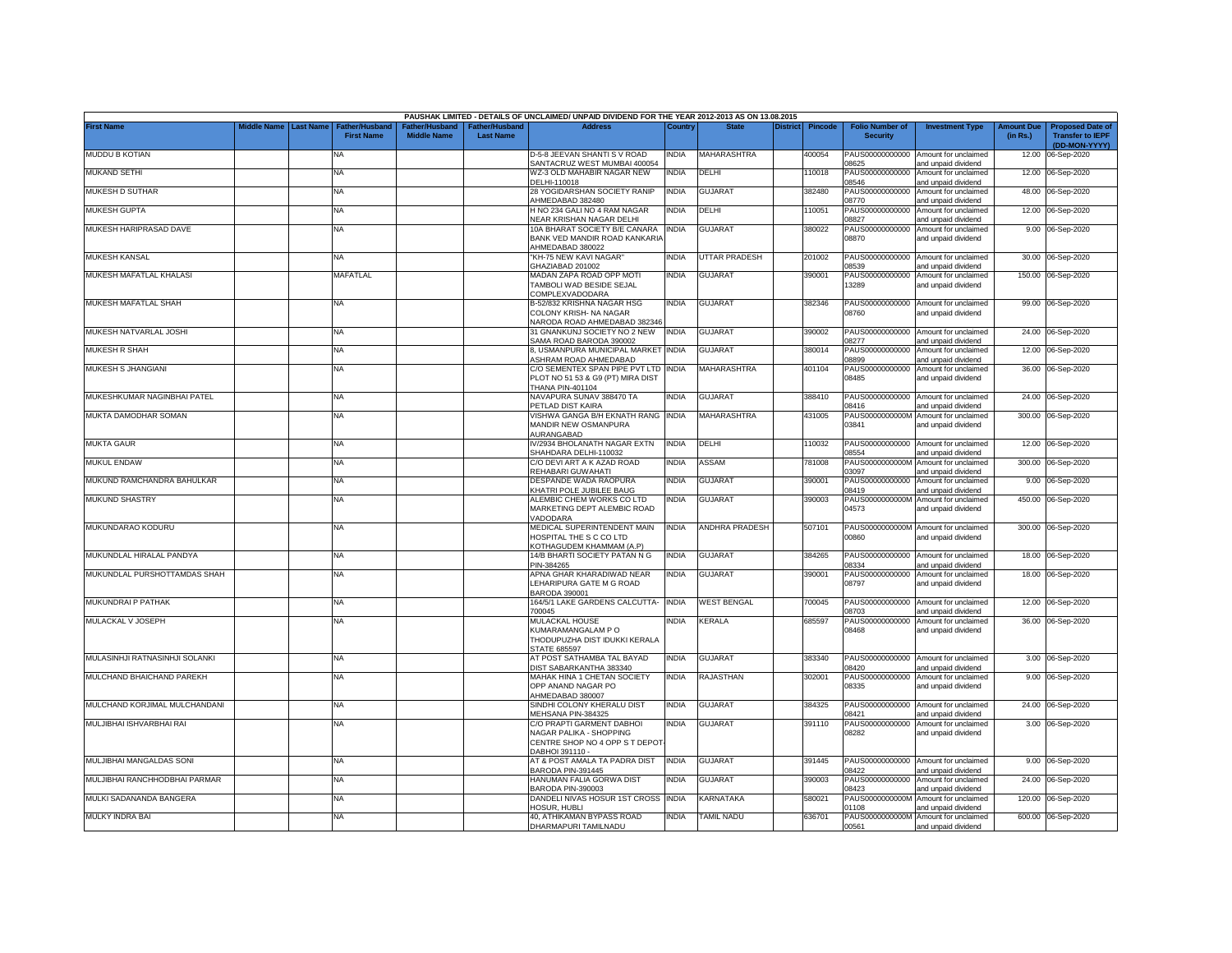|                                |             |                  |                                     |                                      |                                           | PAUSHAK LIMITED - DETAILS OF UNCLAIMED/ UNPAID DIVIDEND FOR THE YEAR 2012-2013 AS ON 13.08.2015           |              |                    |                 |                |                                           |                                                             |                               |                                                                     |
|--------------------------------|-------------|------------------|-------------------------------------|--------------------------------------|-------------------------------------------|-----------------------------------------------------------------------------------------------------------|--------------|--------------------|-----------------|----------------|-------------------------------------------|-------------------------------------------------------------|-------------------------------|---------------------------------------------------------------------|
| <b>First Name</b>              | liddle Name | <b>Last Name</b> | Father/Husband<br><b>First Name</b> | Father/Husband<br><b>Middle Name</b> | <b>Father/Husband</b><br><b>Last Name</b> | <b>Address</b>                                                                                            | Country      | <b>State</b>       | <b>District</b> | <b>Pincode</b> | <b>Folio Number of</b><br><b>Security</b> | <b>Investment Type</b>                                      | <b>Amount Due</b><br>(in Rs.) | <b>Proposed Date of</b><br><b>Transfer to IEPF</b><br>(DD-MON-YYYY) |
| MUDDU B KOTIAN                 |             |                  | NA                                  |                                      |                                           | D-5-8 JEEVAN SHANTI S V ROAD<br>SANTACRUZ WEST MUMBAI 400054                                              | INDIA        | <b>MAHARASHTRA</b> |                 | 400054         | PAUS00000000000<br>08625                  | Amount for unclaimed<br>and unpaid dividend                 | 12.00                         | 06-Sep-2020                                                         |
| MUKAND SETHI                   |             |                  | NA                                  |                                      |                                           | WZ-3 OLD MAHABIR NAGAR NEW<br>DELHI-110018                                                                | india        | DELHI              |                 | 10018          | PAUS00000000000<br>08546                  | Amount for unclaimed<br>and unpaid dividend                 |                               | 12.00 06-Sep-2020                                                   |
| MUKESH D SUTHAR                |             |                  | <b>NA</b>                           |                                      |                                           | 28 YOGIDARSHAN SOCIETY RANIP<br>HMEDABAD 382480                                                           | INDIA        | <b>GUJARAT</b>     |                 | 382480         | PAUS00000000000<br>08770                  | Amount for unclaimed<br>and unpaid dividend                 |                               | 48.00 06-Sep-2020                                                   |
| <b>MUKESH GUPTA</b>            |             |                  | <b>NA</b>                           |                                      |                                           | H NO 234 GALI NO 4 RAM NAGAR<br>VEAR KRISHAN NAGAR DELHI                                                  | INDIA        | DELHI              |                 | 110051         | PAUS00000000000<br>08827                  | Amount for unclaimed<br>and unpaid dividend                 |                               | 12.00 06-Sep-2020                                                   |
| MUKESH HARIPRASAD DAVE         |             |                  | <b>NA</b>                           |                                      |                                           | 10A BHARAT SOCIETY B/E CANARA<br>BANK VED MANDIR ROAD KANKARIA<br>HMEDABAD 380022                         | <b>INDIA</b> | <b>GUJARAT</b>     |                 | 380022         | PAUS0000000000<br>08870                   | Amount for unclaimed<br>and unpaid dividend                 |                               | 9.00 06-Sep-2020                                                    |
| <b>MUKESH KANSAL</b>           |             |                  | ΝA                                  |                                      |                                           | KH-75 NEW KAVI NAGAR"<br><b>SHAZIABAD 201002</b>                                                          | INDIA        | UTTAR PRADESH      |                 | 201002         | PAUS00000000000<br>08539                  | Amount for unclaimed<br>and unpaid dividend                 | 30.00                         | 06-Sep-2020                                                         |
| MUKESH MAFATLAL KHALASI        |             |                  | MAFATLAL                            |                                      |                                           | MADAN ZAPA ROAD OPP MOTI<br><b>TAMBOLI WAD BESIDE SEJAL</b><br>COMPLEXVADODARA                            | INDIA        | GUJARAT            |                 | 390001         | PAUS00000000000<br>13289                  | Amount for unclaimed<br>and unpaid dividend                 |                               | 150.00 06-Sep-2020                                                  |
| MUKESH MAFATLAL SHAH           |             |                  | <b>NA</b>                           |                                      |                                           | B-52/832 KRISHNA NAGAR HSG<br>COLONY KRISH- NA NAGAR<br>NARODA ROAD AHMEDABAD 382346                      | INDIA        | <b>GUJARAT</b>     |                 | 382346         | 08760                                     | PAUS00000000000 Amount for unclaimed<br>and unpaid dividend |                               | 99.00 06-Sep-2020                                                   |
| MUKESH NATVARLAL JOSHI         |             |                  | <b>NA</b>                           |                                      |                                           | 31 GNANKUNJ SOCIETY NO 2 NEW<br>SAMA ROAD BARODA 390002                                                   | INDIA        | <b>GUJARAT</b>     |                 | 390002         | PAUS00000000000<br>08277                  | Amount for unclaimed<br>and unpaid dividend                 | 24.00                         | 06-Sep-2020                                                         |
| MUKESH R SHAH                  |             |                  | <b>NA</b>                           |                                      |                                           | 8, USMANPURA MUNICIPAL MARKET<br><b>ASHRAM ROAD AHMEDABAD</b>                                             | <b>INDIA</b> | <b>GUJARAT</b>     |                 | 380014         | PAUS00000000000<br>08899                  | Amount for unclaimed<br>and unpaid dividend                 | 12.00                         | 06-Sep-2020                                                         |
| MUKESH S JHANGIANI             |             |                  | <b>NA</b>                           |                                      |                                           | C/O SEMENTEX SPAN PIPE PVT LTD INDIA<br>PLOT NO 51 53 & G9 (PT) MIRA DIST<br>THANA PIN-401104             |              | MAHARASHTRA        |                 | 401104         | PAUS00000000000<br>08485                  | Amount for unclaimed<br>and unpaid dividend                 | 36.00                         | 06-Sep-2020                                                         |
| MUKESHKUMAR NAGINBHAI PATEL    |             |                  | <b>NA</b>                           |                                      |                                           | NAVAPURA SUNAV 388470 TA<br><b>PETLAD DIST KAIRA</b>                                                      | india        | GUJARAT            |                 | 388410         | PAUS00000000000<br>08416                  | Amount for unclaimed<br>and unpaid dividend                 |                               | 24.00 06-Sep-2020                                                   |
| MUKTA DAMODHAR SOMAN           |             |                  | NA                                  |                                      |                                           | VISHWA GANGA B/H EKNATH RANG<br>MANDIR NEW OSMANPURA<br><b>NURANGABAD</b>                                 | <b>INDIA</b> | MAHARASHTRA        |                 | 431005         | PAUS0000000000M<br>03841                  | Amount for unclaimed<br>and unpaid dividend                 | 300.00                        | 06-Sep-2020                                                         |
| <b>MUKTA GAUR</b>              |             |                  | <b>NA</b>                           |                                      |                                           | V/2934 BHOLANATH NAGAR EXTN<br>SHAHDARA DELHI-110032                                                      | <b>INDIA</b> | DELHI              |                 | 10032          | PAUS00000000000<br>08554                  | Amount for unclaimed<br>and unpaid dividend                 |                               | 12.00 06-Sep-2020                                                   |
| <b>MUKUL ENDAW</b>             |             |                  | <b>NA</b>                           |                                      |                                           | C/O DEVI ART A K AZAD ROAD<br>REHABARI GUWAHATI                                                           | NDIA         | ASSAM              |                 | 781008         | PAUS0000000000M<br>03097                  | Amount for unclaimed<br>and unpaid dividend                 |                               | 300.00 06-Sep-2020                                                  |
| MUKUND RAMCHANDRA BAHULKAR     |             |                  | NA                                  |                                      |                                           | DESPANDE WADA RAOPURA<br><b>CHATRI POLE JUBILEE BAUG</b>                                                  | INDIA        | GUJARAT            |                 | 390001         | PAUS00000000000<br>08419                  | Amount for unclaimed<br>and unpaid dividend                 |                               | 9.00 06-Sep-2020                                                    |
| <b>MUKUND SHASTRY</b>          |             |                  | <b>NA</b>                           |                                      |                                           | ALEMBIC CHEM WORKS CO LTD<br>MARKETING DEPT ALEMBIC ROAD<br>/ADODARA                                      | india        | <b>GUJARAT</b>     |                 | 390003         | PAUS0000000000M<br>04573                  | Amount for unclaimed<br>and unpaid dividend                 |                               | 450.00 06-Sep-2020                                                  |
| MUKUNDARAO KODURU              |             |                  | <b>NA</b>                           |                                      |                                           | MEDICAL SUPERINTENDENT MAIN<br>HOSPITAL THE S C CO LTD<br><b>KOTHAGUDEM KHAMMAM (A.P)</b>                 | INDIA        | ANDHRA PRADESH     |                 | 507101         | 00860                                     | PAUS0000000000M Amount for unclaimed<br>and unpaid dividend |                               | 300.00 06-Sep-2020                                                  |
| MUKUNDLAL HIRALAL PANDYA       |             |                  | ΝA                                  |                                      |                                           | 14/B BHARTI SOCIETY PATAN N G<br>PIN-384265                                                               | INDIA        | GUJARAT            |                 | 384265         | PAUS00000000000<br>08334                  | Amount for unclaimed<br>and unpaid dividend                 | 18.00                         | 06-Sep-2020                                                         |
| MUKUNDLAL PURSHOTTAMDAS SHAH   |             |                  | <b>NA</b>                           |                                      |                                           | APNA GHAR KHARADIWAD NEAR<br>EHARIPURA GATE M G ROAD<br>BARODA 390001                                     | india        | GUJARAT            |                 | 390001         | PAUS00000000000<br>08797                  | Amount for unclaimed<br>and unpaid dividend                 |                               | 18.00 06-Sep-2020                                                   |
| MUKUNDRAI P PATHAK             |             |                  | <b>NA</b>                           |                                      |                                           | 164/5/1 LAKE GARDENS CALCUTTA-<br>700045                                                                  | <b>INDIA</b> | <b>WEST BENGAL</b> |                 | 700045         | PAUS00000000000<br>08703                  | Amount for unclaimed<br>and unpaid dividend                 |                               | 12.00 06-Sep-2020                                                   |
| MULACKAL V JOSEPH              |             |                  | NA                                  |                                      |                                           | MULACKAL HOUSE<br>KUMARAMANGALAM PO<br>THODUPUZHA DIST IDUKKI KERALA<br>STATE 685597                      | INDIA        | KERALA             |                 | 685597         | PAUS00000000000<br>08468                  | Amount for unclaimed<br>and unpaid dividend                 |                               | 36.00 06-Sep-2020                                                   |
| MULASINHJI RATNASINHJI SOLANKI |             |                  | <b>NA</b>                           |                                      |                                           | AT POST SATHAMBA TAL BAYAD<br>DIST SABARKANTHA 383340                                                     | <b>INDIA</b> | <b>GUJARAT</b>     |                 | 383340         | PAUS00000000000<br>08420                  | Amount for unclaimed<br>and unpaid dividend                 |                               | 3.00 06-Sep-2020                                                    |
| MULCHAND BHAICHAND PAREKH      |             |                  | <b>NA</b>                           |                                      |                                           | MAHAK HINA 1 CHETAN SOCIETY<br>OPP ANAND NAGAR PO<br>AHMEDABAD 380007                                     | india        | RAJASTHAN          |                 | 302001         | PAUS00000000000<br>08335                  | Amount for unclaimed<br>and unpaid dividend                 |                               | 9.00 06-Sep-2020                                                    |
| MULCHAND KORJIMAL MULCHANDANI  |             |                  | <b>NA</b>                           |                                      |                                           | SINDHI COLONY KHERALU DIST<br>MEHSANA PIN-384325                                                          | INDIA        | <b>GUJARAT</b>     |                 | 384325         | PAUS00000000000<br>08421                  | Amount for unclaimed<br>and unpaid dividend                 |                               | 24.00 06-Sep-2020                                                   |
| MULJIBHAI ISHVARBHAI RAI       |             |                  | <b>NA</b>                           |                                      |                                           | C/O PRAPTI GARMENT DABHOI<br>NAGAR PALIKA - SHOPPING<br>CENTRE SHOP NO 4 OPP S T DEPOT<br>DABHOI 391110 - | INDIA        | GUJARAT            |                 | 391110         | PAUS00000000000<br>08282                  | Amount for unclaimed<br>and unpaid dividend                 |                               | 3.00 06-Sep-2020                                                    |
| MULJIBHAI MANGALDAS SONI       |             |                  | <b>NA</b>                           |                                      |                                           | AT & POST AMALA TA PADRA DIST<br>BARODA PIN-391445                                                        | INDIA        | GUJARAT            |                 | 391445         | PAUS00000000000<br>8422                   | Amount for unclaimed<br>and unpaid dividend                 |                               | 9.00 06-Sep-2020                                                    |
| MULJIBHAI RANCHHODBHAI PARMAR  |             |                  | <b>NA</b>                           |                                      |                                           | HANUMAN FALIA GORWA DIST<br>BARODA PIN-390003                                                             | NDIA         | GUJARAT            |                 | 390003         | PAUS00000000000<br>08423                  | Amount for unclaimed<br>and unpaid dividend                 |                               | 24.00 06-Sep-2020                                                   |
| MULKI SADANANDA BANGERA        |             |                  | <b>NA</b>                           |                                      |                                           | DANDELI NIVAS HOSUR 1ST CROSS INDIA<br><b>HOSUR, HUBLI</b>                                                |              | KARNATAKA          |                 | 580021         | PAUS0000000000M<br>01108                  | Amount for unclaimed<br>and unpaid dividend                 |                               | 120.00 06-Sep-2020                                                  |
| MULKY INDRA BAI                |             |                  | NA                                  |                                      |                                           | 40, ATHIKAMAN BYPASS ROAD<br>DHARMAPURI TAMILNADU                                                         | NDIA         | <b>TAMIL NADU</b>  |                 | 636701         | PAUS0000000000M<br>00561                  | Amount for unclaimed<br>and unpaid dividend                 |                               | 600.00 06-Sep-2020                                                  |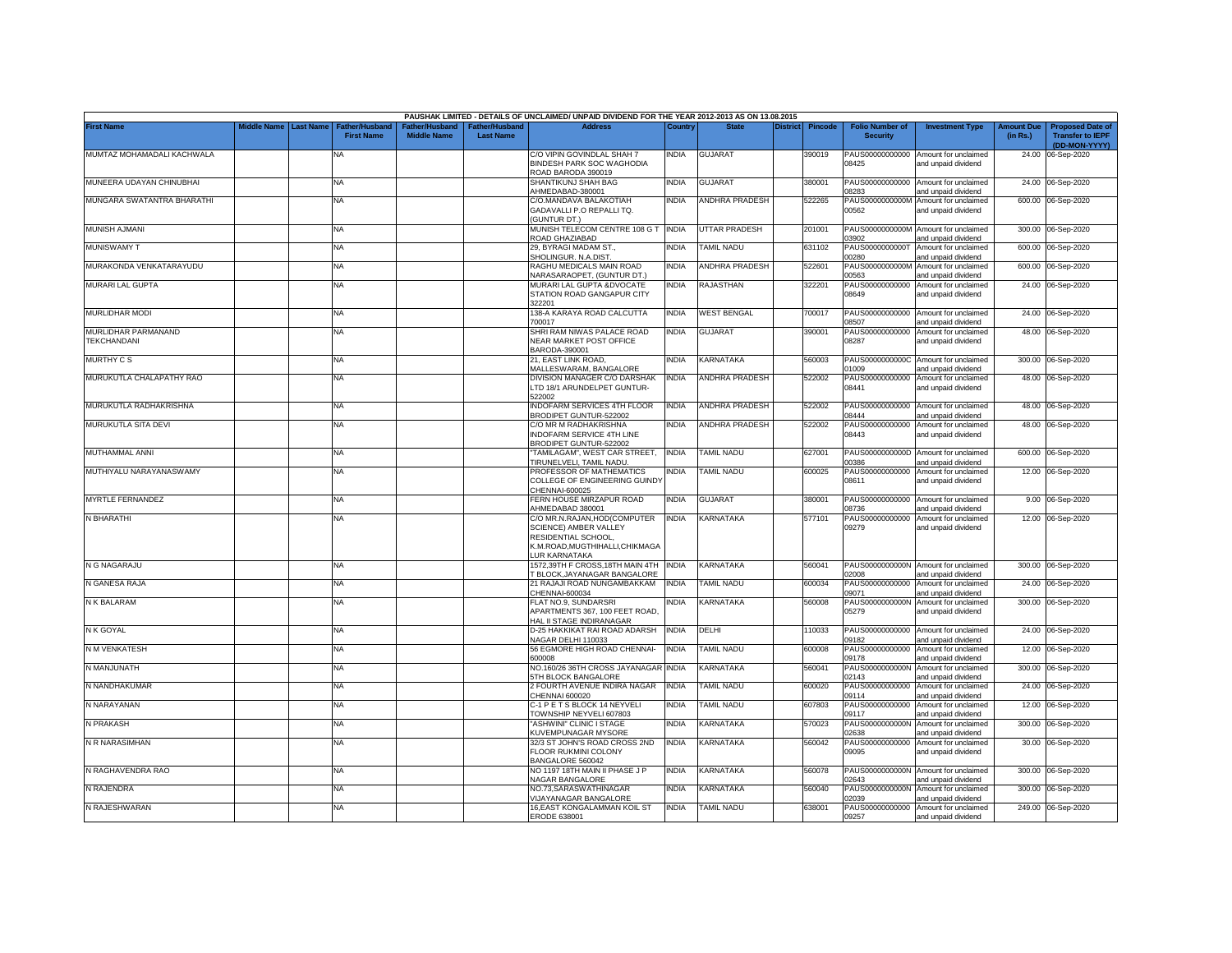|                                           |                       |                                     |                                      |                                                | PAUSHAK LIMITED - DETAILS OF UNCLAIMED/ UNPAID DIVIDEND FOR THE YEAR 2012-2013 AS ON 13.08.2015                                       |              |                       |          |                |                                           |                                                             |                               |                                                                     |
|-------------------------------------------|-----------------------|-------------------------------------|--------------------------------------|------------------------------------------------|---------------------------------------------------------------------------------------------------------------------------------------|--------------|-----------------------|----------|----------------|-------------------------------------------|-------------------------------------------------------------|-------------------------------|---------------------------------------------------------------------|
| <b>First Name</b>                         | Middle Name Last Name | Father/Husband<br><b>First Name</b> | Father/Husband<br><b>Middle Name</b> | ather/Husband <sup>-</sup><br><b>Last Name</b> | <b>Address</b>                                                                                                                        | Country      | <b>State</b>          | District | <b>Pincode</b> | <b>Folio Number of</b><br><b>Security</b> | <b>Investment Type</b>                                      | <b>Amount Due</b><br>(in Rs.) | <b>Proposed Date of</b><br><b>Transfer to IEPF</b><br>(DD-MON-YYYY) |
| MUMTAZ MOHAMADALI KACHWALA                |                       | NA                                  |                                      |                                                | C/O VIPIN GOVINDLAL SHAH 7<br>BINDESH PARK SOC WAGHODIA                                                                               | INDIA        | <b>GUJARAT</b>        |          | 390019         | 08425                                     | PAUS00000000000 Amount for unclaimed<br>and unpaid dividend |                               | 24.00 06-Sep-2020                                                   |
| MUNEERA UDAYAN CHINUBHAI                  |                       | NA.                                 |                                      |                                                | ROAD BARODA 390019<br>SHANTIKUNJ SHAH BAG<br>HMEDABAD-380001                                                                          | INDIA        | <b>GUJARAT</b>        |          | 380001         | PAUS00000000000<br>08283                  | Amount for unclaimed<br>and unpaid dividend                 |                               | 24.00 06-Sep-2020                                                   |
| MUNGARA SWATANTRA BHARATHI                |                       | <b>NA</b>                           |                                      |                                                | C/O.MANDAVA BALAKOTIAH<br>GADAVALLI P.O REPALLI TQ.                                                                                   | <b>INDIA</b> | <b>ANDHRA PRADESH</b> |          | 522265         | PAUS0000000000M<br>00562                  | Amount for unclaimed<br>and unpaid dividend                 |                               | 600.00 06-Sep-2020                                                  |
| <b>MUNISH AJMANI</b>                      |                       | NA                                  |                                      |                                                | <b>GUNTUR DT.)</b><br>MUNISH TELECOM CENTRE 108 G T INDIA<br>ROAD GHAZIABAD                                                           |              | UTTAR PRADESH         |          | 201001         | 03902                                     | PAUS0000000000M Amount for unclaimed<br>and unpaid dividend |                               | 300.00 06-Sep-2020                                                  |
| <b>MUNISWAMY T</b>                        |                       | NA                                  |                                      |                                                | 29, BYRAGI MADAM ST.,<br>SHOLINGUR. N.A.DIST                                                                                          | <b>INDIA</b> | <b>TAMIL NADU</b>     |          | 631102         | PAUS0000000000T<br>0280                   | Amount for unclaimed<br>and unpaid dividend                 |                               | 600.00 06-Sep-2020                                                  |
| MURAKONDA VENKATARAYUDU                   |                       | NA                                  |                                      |                                                | RAGHU MEDICALS MAIN ROAD<br>VARASARAOPET, (GUNTUR DT.)                                                                                | INDIA        | ANDHRA PRADESH        |          | 522601         | PAUS0000000000M<br>00563                  | Amount for unclaimed<br>and unpaid dividend                 |                               | 600.00 06-Sep-2020                                                  |
| MURARI LAL GUPTA                          |                       | NA                                  |                                      |                                                | MURARI LAL GUPTA &DVOCATE<br>STATION ROAD GANGAPUR CITY<br>322201                                                                     | india        | RAJASTHAN             |          | 322201         | PAUS00000000000<br>08649                  | Amount for unclaimed<br>and unpaid dividend                 |                               | 24.00 06-Sep-2020                                                   |
| <b>MURLIDHAR MODI</b>                     |                       | NA                                  |                                      |                                                | 138-A KARAYA ROAD CALCUTTA<br>700017                                                                                                  | INDIA        | <b>WEST BENGAL</b>    |          | 700017         | 08507                                     | PAUS00000000000 Amount for unclaimed<br>and unpaid dividend |                               | 24.00 06-Sep-2020                                                   |
| MURLIDHAR PARMANAND<br><b>TEKCHANDANI</b> |                       | NA                                  |                                      |                                                | SHRI RAM NIWAS PALACE ROAD<br><b>VEAR MARKET POST OFFICE</b><br>3ARODA-390001                                                         | <b>INDIA</b> | <b>GUJARAT</b>        |          | 390001         | PAUS00000000000<br>08287                  | Amount for unclaimed<br>and unpaid dividend                 |                               | 48.00 06-Sep-2020                                                   |
| <b>MURTHY CS</b>                          |                       | <b>NA</b>                           |                                      |                                                | 21. EAST LINK ROAD.<br>MALLESWARAM, BANGALORE                                                                                         | India        | KARNATAKA             |          | 560003         | 01009                                     | PAUS0000000000C Amount for unclaimed<br>and unpaid dividend |                               | 300.00 06-Sep-2020                                                  |
| MURUKUTLA CHALAPATHY RAO                  |                       | NA                                  |                                      |                                                | DIVISION MANAGER C/O DARSHAK<br>TD 18/1 ARUNDELPET GUNTUR-<br>22002                                                                   | <b>INDIA</b> | <b>ANDHRA PRADESH</b> |          | 522002         | PAUS00000000000<br>08441                  | Amount for unclaimed<br>and unpaid dividend                 |                               | 48.00 06-Sep-2020                                                   |
| MURUKUTLA RADHAKRISHNA                    |                       | NA                                  |                                      |                                                | <b>INDOFARM SERVICES 4TH FLOOR</b><br>BRODIPET GUNTUR-522002                                                                          | <b>INDIA</b> | ANDHRA PRADESH        |          | 522002         | 08444                                     | PAUS00000000000 Amount for unclaimed<br>and unpaid dividend |                               | 48.00 06-Sep-2020                                                   |
| MURUKUTLA SITA DEVI                       |                       | <b>NA</b>                           |                                      |                                                | C/O MR M RADHAKRISHNA<br>INDOFARM SERVICE 4TH LINE<br>BRODIPET GUNTUR-522002                                                          | INDIA        | <b>ANDHRA PRADESH</b> |          | 522002         | PAUS00000000000<br>08443                  | Amount for unclaimed<br>and unpaid dividend                 |                               | 48.00 06-Sep-2020                                                   |
| MUTHAMMAL ANNI                            |                       | NA                                  |                                      |                                                | 'TAMILAGAM", WEST CAR STREET,<br>TIRUNELVELI, TAMIL NADU.                                                                             | <b>INDIA</b> | <b>TAMIL NADU</b>     |          | 627001         | 00386                                     | PAUS0000000000D Amount for unclaimed<br>and unpaid dividend |                               | 600.00 06-Sep-2020                                                  |
| MUTHIYALU NARAYANASWAMY                   |                       | <b>NA</b>                           |                                      |                                                | PROFESSOR OF MATHEMATICS<br><b>COLLEGE OF ENGINEERING GUINDY</b><br>CHENNAI-600025                                                    | INDIA        | TAMIL NADU            |          | 600025         | PAUS00000000000<br>08611                  | Amount for unclaimed<br>and unpaid dividend                 |                               | 12.00 06-Sep-2020                                                   |
| MYRTLE FERNANDEZ                          |                       | <b>NA</b>                           |                                      |                                                | FERN HOUSE MIRZAPUR ROAD<br>AHMEDABAD 380001                                                                                          | <b>INDIA</b> | <b>GUJARAT</b>        |          | 380001         | PAUS00000000000<br>08736                  | Amount for unclaimed<br>and unpaid dividend                 |                               | 9.00 06-Sep-2020                                                    |
| N BHARATHI                                |                       | <b>NA</b>                           |                                      |                                                | C/O MR.N.RAJAN.HOD(COMPUTER<br>SCIENCE) AMBER VALLEY<br>RESIDENTIAL SCHOOL,<br>K.M.ROAD, MUGTHIHALLI, CHIKMAGA<br><b>UR KARNATAKA</b> | <b>INDIA</b> | KARNATAKA             |          | 577101         | PAUS00000000000<br>09279                  | Amount for unclaimed<br>and unpaid dividend                 | 12.00                         | 06-Sep-2020                                                         |
| N G NAGARAJU                              |                       | NA                                  |                                      |                                                | 1572,39TH F CROSS,18TH MAIN 4TH<br><b>BLOCK, JAYANAGAR BANGALORE</b>                                                                  | <b>INDIA</b> | KARNATAKA             |          | 560041         | 02008                                     | PAUS0000000000N Amount for unclaimed<br>and unpaid dividend |                               | 300.00 06-Sep-2020                                                  |
| N GANESA RAJA                             |                       | NA                                  |                                      |                                                | 21 RAJAJI ROAD NUNGAMBAKKAM<br>CHENNAI-600034                                                                                         | INDIA        | <b>TAMIL NADU</b>     |          | 600034         | 09071                                     | PAUS00000000000 Amount for unclaimed<br>and unpaid dividend | 24.00                         | 06-Sep-2020                                                         |
| N K BALARAM                               |                       | NA                                  |                                      |                                                | FLAT NO.9, SUNDARSRI<br>APARTMENTS 367, 100 FEET ROAD,<br><b>HAL II STAGE INDIRANAGAR</b>                                             | NDIA         | KARNATAKA             |          | 560008         | PAUS0000000000N<br>05279                  | Amount for unclaimed<br>and unpaid dividend                 |                               | 300.00 06-Sep-2020                                                  |
| N K GOYAL                                 |                       | NA                                  |                                      |                                                | D-25 HAKKIKAT RAI ROAD ADARSH<br>VAGAR DELHI 110033                                                                                   | INDIA        | DELHI                 |          | 110033         | PAUS00000000000<br>09182                  | Amount for unclaimed<br>and unpaid dividend                 |                               | 24.00 06-Sep-2020                                                   |
| N M VENKATESH                             |                       | <b>NA</b>                           |                                      |                                                | 56 EGMORE HIGH ROAD CHENNAI-<br><b>SOOOOR</b>                                                                                         | NDIA         | <b>TAMIL NADU</b>     |          | 600008         | PAUS00000000000<br>09178                  | Amount for unclaimed<br>and unpaid dividend                 |                               | 12.00 06-Sep-2020                                                   |
| N MANJUNATH                               |                       | <b>NA</b>                           |                                      |                                                | VO.160/26 36TH CROSS JAYANAGAR<br>5TH BLOCK BANGALORE                                                                                 | <b>INDIA</b> | <b>KARNATAKA</b>      |          | 560041         | PAUS0000000000N<br>02143                  | Amount for unclaimed<br>and unpaid dividend                 | 300.00                        | 06-Sep-2020                                                         |
| N NANDHAKUMAR                             |                       | NA                                  |                                      |                                                | 2 FOURTH AVENUE INDIRA NAGAR<br>CHENNAI 600020                                                                                        | <b>INDIA</b> | <b>TAMIL NADU</b>     |          | 600020         | PAUS00000000000<br>09114                  | Amount for unclaimed<br>and unpaid dividend                 |                               | 24.00 06-Sep-2020                                                   |
| N NARAYANAN                               |                       | <b>NA</b>                           |                                      |                                                | C-1 P E T S BLOCK 14 NEYVELI<br>FOWNSHIP NEYVELI 607803                                                                               | NDIA         | <b>TAMIL NADU</b>     |          | 607803         | 09117                                     | PAUS00000000000 Amount for unclaimed<br>and unpaid dividend |                               | 12.00 06-Sep-2020                                                   |
| N PRAKASH                                 |                       | NA                                  |                                      |                                                | ASHWINI" CLINIC I STAGE<br>KUVEMPUNAGAR MYSORE                                                                                        | <b>INDIA</b> | KARNATAKA             |          | 570023         | PAUS0000000000N<br>02638                  | Amount for unclaimed<br>and unpaid dividend                 |                               | 300.00 06-Sep-2020                                                  |
| N R NARASIMHAN                            |                       | <b>NA</b>                           |                                      |                                                | 32/3 ST JOHN'S ROAD CROSS 2ND<br>FLOOR RUKMINI COLONY<br>BANGALORE 560042                                                             | <b>INDIA</b> | KARNATAKA             |          | 560042         | PAUS00000000000<br>09095                  | Amount for unclaimed<br>and unpaid dividend                 |                               | 30.00 06-Sep-2020                                                   |
| N RAGHAVENDRA RAO                         |                       | NA                                  |                                      |                                                | NO 1197 18TH MAIN II PHASE J P<br><b>VAGAR BANGALORE</b>                                                                              | <b>INDIA</b> | KARNATAKA             |          | 560078         | 02643                                     | PAUS0000000000N Amount for unclaimed<br>and unpaid dividend |                               | 300.00 06-Sep-2020                                                  |
| N RAJENDRA                                |                       | <b>NA</b>                           |                                      |                                                | <b>VO.73,SARASWATHINAGAR</b><br>/IJAYANAGAR BANGALORE                                                                                 | India        | KARNATAKA             |          | 560040         | PAUS0000000000N<br>2039                   | Amount for unclaimed<br>and unpaid dividend                 |                               | 300.00 06-Sep-2020                                                  |
| N RAJESHWARAN                             |                       | <b>NA</b>                           |                                      |                                                | 16.EAST KONGALAMMAN KOIL ST<br>ERODE 638001                                                                                           | INDIA        | <b>TAMIL NADU</b>     |          | 638001         | 09257                                     | PAUS00000000000 Amount for unclaimed<br>and unpaid dividend |                               | 249.00 06-Sep-2020                                                  |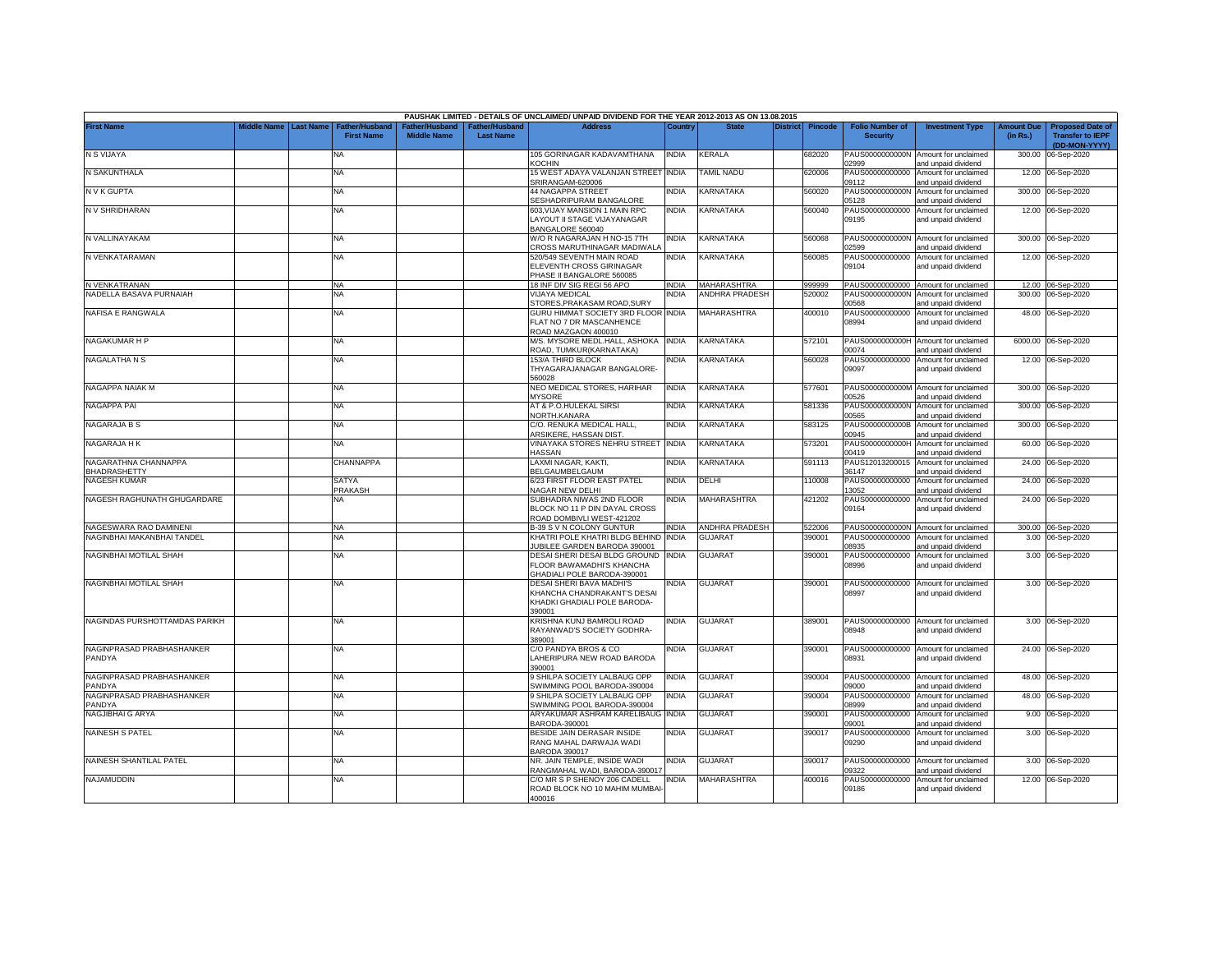|                                      |                    |                  |                                            |                                             |                                           | PAUSHAK LIMITED - DETAILS OF UNCLAIMED/ UNPAID DIVIDEND FOR THE YEAR 2012-2013 AS ON 13.08.2015   |                |                       |                 |                |                                           |                                                             |                               |                                                                     |
|--------------------------------------|--------------------|------------------|--------------------------------------------|---------------------------------------------|-------------------------------------------|---------------------------------------------------------------------------------------------------|----------------|-----------------------|-----------------|----------------|-------------------------------------------|-------------------------------------------------------------|-------------------------------|---------------------------------------------------------------------|
| <b>First Name</b>                    | <b>Middle Name</b> | <b>Last Name</b> | <b>Father/Husband</b><br><b>First Name</b> | <b>Father/Husband</b><br><b>Middle Name</b> | <b>Father/Husband</b><br><b>Last Name</b> | <b>Address</b>                                                                                    | <b>Country</b> | <b>State</b>          | <b>District</b> | <b>Pincode</b> | <b>Folio Number of</b><br><b>Security</b> | <b>Investment Type</b>                                      | <b>Amount Due</b><br>(in Rs.) | <b>Proposed Date of</b><br><b>Transfer to IEPF</b><br>(DD-MON-YYYY) |
| N S VIJAYA                           |                    |                  | NA                                         |                                             |                                           | 105 GORINAGAR KADAVAMTHANA<br><b>COCHIN</b>                                                       | NDIA           | <b>KERALA</b>         |                 | 682020         | PAUS0000000000N<br>02999                  | Amount for unclaimed<br>and unpaid dividend                 | 300.00                        | 06-Sep-2020                                                         |
| N SAKUNTHALA                         |                    |                  | NA                                         |                                             |                                           | 15 WEST ADAYA VALANJAN STREET<br>SRIRANGAM-620006                                                 | india          | <b>AMIL NADU</b>      |                 | 620006         | PAUS00000000000<br>09112                  | Amount for unclaimed<br>and unpaid dividend                 | 12.00                         | 06-Sep-2020                                                         |
| N V K GUPTA                          |                    |                  | <b>NA</b>                                  |                                             |                                           | 44 NAGAPPA STREET<br>SESHADRIPURAM BANGALORE                                                      | INDIA          | KARNATAKA             |                 | 560020         | PAUS0000000000N<br>05128                  | Amount for unclaimed<br>and unpaid dividend                 | 300.00                        | 06-Sep-2020                                                         |
| N V SHRIDHARAN                       |                    |                  | NA                                         |                                             |                                           | 603, VIJAY MANSION 1 MAIN RPC<br>LAYOUT II STAGE VIJAYANAGAR<br>BANGALORE 560040                  | INDIA          | KARNATAKA             |                 | 560040         | PAUS00000000000<br>09195                  | Amount for unclaimed<br>and unpaid dividend                 |                               | 12.00 06-Sep-2020                                                   |
| N VALLINAYAKAM                       |                    |                  | <b>NA</b>                                  |                                             |                                           | W/O R NAGARAJAN H NO-15 7TH<br>CROSS MARUTHINAGAR MADIWALA                                        | india          | KARNATAKA             |                 | 560068         | 02599                                     | PAUS0000000000N Amount for unclaimed<br>and unpaid dividend |                               | 300.00 06-Sep-2020                                                  |
| N VENKATARAMAN                       |                    |                  | <b>NA</b>                                  |                                             |                                           | 520/549 SEVENTH MAIN ROAD<br>ELEVENTH CROSS GIRINAGAR<br>PHASE II BANGALORE 560085                | INDIA          | KARNATAKA             |                 | 560085         | PAUS00000000000<br>09104                  | Amount for unclaimed<br>and unpaid dividend                 |                               | 12.00 06-Sep-2020                                                   |
| N VENKATRANAN                        |                    |                  | <b>NA</b>                                  |                                             |                                           | 18 INF DIV SIG REGI 56 APO                                                                        | <b>INDIA</b>   | MAHARASHTRA           |                 | 999999         | PAUS00000000000                           | Amount for unclaimed                                        |                               | 12.00 06-Sep-2020                                                   |
| NADELLA BASAVA PURNAIAH              |                    |                  | <b>NA</b>                                  |                                             |                                           | <b>VIJAYA MEDICAL</b><br>STORES, PRAKASAM ROAD, SURY                                              | <b>INDIA</b>   | <b>ANDHRA PRADESH</b> |                 | 520002         | PAUS0000000000N<br>00568                  | Amount for unclaimed<br>and unpaid dividend                 |                               | 300.00 06-Sep-2020                                                  |
| NAFISA E RANGWALA                    |                    |                  | <b>NA</b>                                  |                                             |                                           | GURU HIMMAT SOCIETY 3RD FLOOR INDIA<br>FLAT NO 7 DR MASCANHENCE<br>ROAD MAZGAON 400010            |                | MAHARASHTRA           |                 | 400010         | PAUS00000000000<br>08994                  | Amount for unclaimed<br>and unpaid dividend                 | 48.00                         | 06-Sep-2020                                                         |
| NAGAKUMAR H P                        |                    |                  | <b>NA</b>                                  |                                             |                                           | M/S. MYSORE MEDL.HALL, ASHOKA<br>ROAD, TUMKUR(KARNATAKA)                                          | <b>INDIA</b>   | KARNATAKA             |                 | 572101         | PAUS0000000000H<br>00074                  | Amount for unclaimed<br>and unpaid dividend                 | 6000.00                       | 06-Sep-2020                                                         |
| <b>NAGALATHA N S</b>                 |                    |                  | <b>NA</b>                                  |                                             |                                           | <b>153/A THIRD BLOCK</b><br>THYAGARAJANAGAR BANGALORE-<br>560028                                  | <b>INDIA</b>   | KARNATAKA             |                 | 560028         | PAUS00000000000<br>09097                  | Amount for unclaimed<br>and unpaid dividend                 |                               | 12.00 06-Sep-2020                                                   |
| NAGAPPA NAIAK M                      |                    |                  | <b>NA</b>                                  |                                             |                                           | NEO MEDICAL STORES, HARIHAR<br><b>MYSORE</b>                                                      | <b>INDIA</b>   | KARNATAKA             |                 | 577601         | PAUS0000000000M<br>00526                  | Amount for unclaimed<br>and unpaid dividend                 | 300.00                        | 06-Sep-2020                                                         |
| <b>NAGAPPA PAI</b>                   |                    |                  | <b>NA</b>                                  |                                             |                                           | AT & P.O.HULEKAL SIRSI<br>NORTH.KANARA                                                            | <b>INDIA</b>   | KARNATAKA             |                 | 581336         | PAUS0000000000N<br>00565                  | Amount for unclaimed<br>and unpaid dividend                 | 300.00                        | 06-Sep-2020                                                         |
| <b>NAGARAJA B S</b>                  |                    |                  | <b>NA</b>                                  |                                             |                                           | C/O. RENUKA MEDICAL HALL,<br>ARSIKERE, HASSAN DIST.                                               | INDIA          | KARNATAKA             |                 | 583125         | PAUS0000000000B<br>00945                  | Amount for unclaimed<br>and unpaid dividend                 | 300.00                        | 06-Sep-2020                                                         |
| NAGARAJA H K                         |                    |                  | <b>NA</b>                                  |                                             |                                           | VINAYAKA STORES NEHRU STREET INDIA<br><b>HASSAN</b>                                               |                | KARNATAKA             |                 | 573201         | PAUS0000000000H<br>00419                  | Amount for unclaimed<br>and unpaid dividend                 | 60.00                         | 06-Sep-2020                                                         |
| NAGARATHNA CHANNAPPA<br>BHADRASHETTY |                    |                  | <b>CHANNAPPA</b>                           |                                             |                                           | LAXMI NAGAR, KAKTI,<br>BELGAUMBELGAUM                                                             | <b>INDIA</b>   | KARNATAKA             |                 | 591113         | PAUS12013200015<br>36147                  | Amount for unclaimed<br>and unpaid dividend                 | 24.00                         | 06-Sep-2020                                                         |
| <b>NAGESH KUMAR</b>                  |                    |                  | SATYA<br>PRAKASH                           |                                             |                                           | 6/23 FIRST FLOOR EAST PATEL<br><b>VAGAR NEW DELHI</b>                                             | INDIA          | DELHI                 |                 | 10008          | PAUS00000000000<br>13052                  | Amount for unclaimed<br>and unpaid dividend                 | 24.00                         | 06-Sep-2020                                                         |
| NAGESH RAGHUNATH GHUGARDARE          |                    |                  | ΝA                                         |                                             |                                           | SUBHADRA NIWAS 2ND FLOOR<br>BLOCK NO 11 P DIN DAYAL CROSS<br>ROAD DOMBIVLI WEST-421202            | INDIA          | <b>MAHARASHTRA</b>    |                 | 421202         | PAUS00000000000<br>09164                  | Amount for unclaimed<br>and unpaid dividend                 |                               | 24.00 06-Sep-2020                                                   |
| NAGESWARA RAO DAMINENI               |                    |                  | <b>NA</b>                                  |                                             |                                           | 3-39 S V N COLONY GUNTUR                                                                          | <b>INDIA</b>   | ANDHRA PRADESH        |                 | 522006         |                                           | PAUS0000000000N Amount for unclaimed                        |                               | 300.00 06-Sep-2020                                                  |
| NAGINBHAI MAKANBHAI TANDEL           |                    |                  | NA                                         |                                             |                                           | KHATRI POLE KHATRI BLDG BEHIND<br><b>UBILEE GARDEN BARODA 390001</b>                              | INDIA          | <b>GUJARAT</b>        |                 | 390001         | PAUS00000000000<br>08935                  | Amount for unclaimed<br>and unpaid dividend                 | 3.00                          | 06-Sep-2020                                                         |
| NAGINBHAI MOTILAL SHAH               |                    |                  | <b>NA</b>                                  |                                             |                                           | DESAI SHERI DESAI BLDG GROUND<br><b>LOOR BAWAMADHI'S KHANCHA</b><br>GHADIALI POLE BARODA-390001   | <b>INDIA</b>   | <b>GUJARAT</b>        |                 | 390001         | PAUS00000000000<br>08996                  | Amount for unclaimed<br>and unpaid dividend                 | 3.00                          | 06-Sep-2020                                                         |
| NAGINBHAI MOTILAL SHAH               |                    |                  | <b>NA</b>                                  |                                             |                                           | DESAI SHERI BAVA MADHI'S<br>KHANCHA CHANDRAKANT'S DESAI<br>KHADKI GHADIALI POLE BARODA-<br>390001 | NDIA           | <b>GUJARAT</b>        |                 | 390001         | PAUS00000000000<br>08997                  | Amount for unclaimed<br>and unpaid dividend                 |                               | 3.00 06-Sep-2020                                                    |
| NAGINDAS PURSHOTTAMDAS PARIKH        |                    |                  | <b>NA</b>                                  |                                             |                                           | KRISHNA KUNJ BAMROLI ROAD<br>RAYANWAD'S SOCIETY GODHRA-<br>389001                                 | INDIA          | <b>GUJARAT</b>        |                 | 389001         | 08948                                     | PAUS00000000000 Amount for unclaimed<br>and unpaid dividend |                               | 3.00 06-Sep-2020                                                    |
| NAGINPRASAD PRABHASHANKER<br>PANDYA  |                    |                  | <b>NA</b>                                  |                                             |                                           | C/O PANDYA BROS & CO<br>LAHERIPURA NEW ROAD BARODA<br>390001                                      | india          | <b>GUJARAT</b>        |                 | 390001         | 08931                                     | PAUS00000000000 Amount for unclaimed<br>and unpaid dividend |                               | 24.00 06-Sep-2020                                                   |
| NAGINPRASAD PRABHASHANKER<br>PANDYA  |                    |                  | <b>NA</b>                                  |                                             |                                           | 9 SHILPA SOCIETY LALBAUG OPP<br>SWIMMING POOL BARODA-390004                                       | INDIA          | <b>GUJARAT</b>        |                 | 390004         | PAUS00000000000<br>09000                  | Amount for unclaimed<br>and unpaid dividend                 |                               | 48.00 06-Sep-2020                                                   |
| NAGINPRASAD PRABHASHANKER<br>PANDYA  |                    |                  | <b>NA</b>                                  |                                             |                                           | 9 SHILPA SOCIETY LALBAUG OPP<br>SWIMMING POOL BARODA-390004                                       | NDIA           | <b>GUJARAT</b>        |                 | 390004         | PAUS00000000000<br>08999                  | Amount for unclaimed<br>and unpaid dividend                 |                               | 48.00 06-Sep-2020                                                   |
| NAGJIBHAI G ARYA                     |                    |                  | <b>NA</b>                                  |                                             |                                           | ARYAKUMAR ASHRAM KARELIBAUG<br>BARODA-390001                                                      | <b>INDIA</b>   | <b>GUJARAT</b>        |                 | 390001         | PAUS00000000000<br>09001                  | Amount for unclaimed<br>and unpaid dividend                 |                               | 9.00 06-Sep-2020                                                    |
| <b>NAINESH S PATEL</b>               |                    |                  | <b>NA</b>                                  |                                             |                                           | BESIDE JAIN DERASAR INSIDE<br>RANG MAHAL DARWAJA WADI<br><b>BARODA 390017</b>                     | <b>INDIA</b>   | <b>GUJARAT</b>        |                 | 390017         | PAUS00000000000<br>09290                  | Amount for unclaimed<br>and unpaid dividend                 |                               | 3.00 06-Sep-2020                                                    |
| NAINESH SHANTILAL PATEL              |                    |                  | NA                                         |                                             |                                           | NR. JAIN TEMPLE, INSIDE WADI<br>RANGMAHAL WADI, BARODA-390017                                     | India          | <b>GUJARAT</b>        |                 | 390017         | PAUS00000000000<br>09322                  | Amount for unclaimed                                        |                               | 3.00 06-Sep-2020                                                    |
| NAJAMUDDIN                           |                    |                  | <b>NA</b>                                  |                                             |                                           | C/O MR S P SHENOY 206 CADELL                                                                      | <b>INDIA</b>   | <b>MAHARASHTRA</b>    |                 | 400016         | PAUS00000000000                           | and unpaid dividend<br>Amount for unclaimed                 |                               | 12.00 06-Sep-2020                                                   |
|                                      |                    |                  |                                            |                                             |                                           | ROAD BLOCK NO 10 MAHIM MUMBAI<br>400016                                                           |                |                       |                 |                | 09186                                     | and unpaid dividend                                         |                               |                                                                     |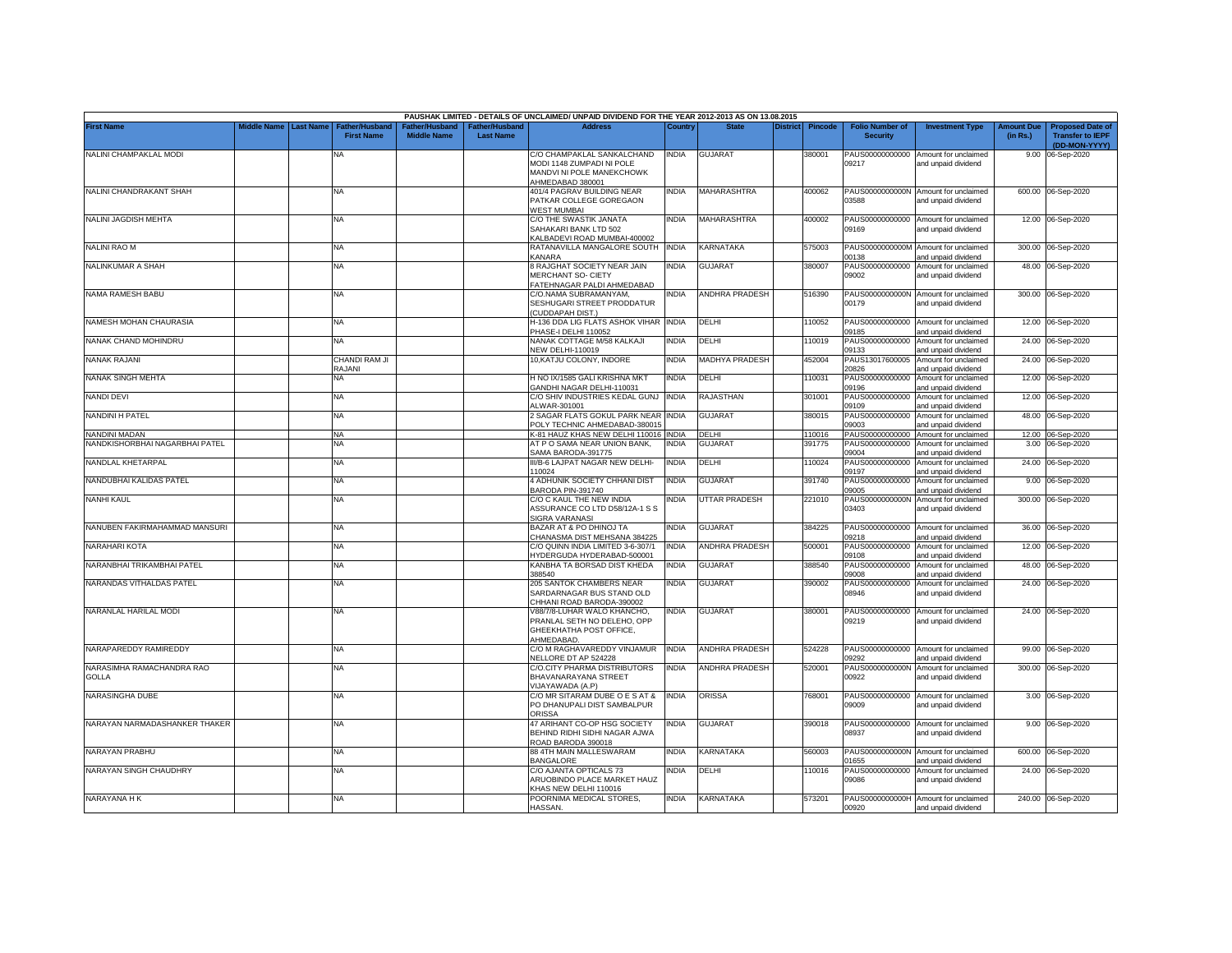|                                           |             |                  |                                            |                                      |                                    | PAUSHAK LIMITED - DETAILS OF UNCLAIMED/ UNPAID DIVIDEND FOR THE YEAR 2012-2013 AS ON 13.08.2015                                       |              |                      |                 |                |                                           |                                                                    |                               |                                                                     |
|-------------------------------------------|-------------|------------------|--------------------------------------------|--------------------------------------|------------------------------------|---------------------------------------------------------------------------------------------------------------------------------------|--------------|----------------------|-----------------|----------------|-------------------------------------------|--------------------------------------------------------------------|-------------------------------|---------------------------------------------------------------------|
| <b>First Name</b>                         | Middle Name | <b>Last Name</b> | <b>Father/Husband</b><br><b>First Name</b> | Father/Husband<br><b>Middle Name</b> | Father/Husband<br><b>Last Name</b> | <b>Address</b>                                                                                                                        | Country      | <b>State</b>         | <b>District</b> | <b>Pincode</b> | <b>Folio Number of</b><br><b>Security</b> | <b>Investment Type</b>                                             | <b>Amount Due</b><br>(in Rs.) | <b>Proposed Date of</b><br><b>Transfer to IEPF</b><br>(DD-MON-YYYY) |
| NALINI CHAMPAKLAL MODI                    |             |                  | <b>NA</b>                                  |                                      |                                    | C/O CHAMPAKLAL SANKALCHAND<br>MODI 1148 ZUMPADI NI POLE<br>MANDVI NI POLE MANEKCHOWK<br>AHMEDABAD 380001                              | <b>INDIA</b> | <b>GUJARAT</b>       |                 | 380001         | PAUS00000000000<br>09217                  | Amount for unclaimed<br>and unpaid dividend                        |                               | 9.00 06-Sep-2020                                                    |
| NALINI CHANDRAKANT SHAH                   |             |                  | <b>NA</b>                                  |                                      |                                    | 401/4 PAGRAV BUILDING NEAR<br>PATKAR COLLEGE GOREGAON<br><b><i>NEST MUMBAI</i></b>                                                    | <b>INDIA</b> | MAHARASHTRA          |                 | 400062         | 03588                                     | PAUS0000000000N Amount for unclaimed<br>and unpaid dividend        |                               | 600.00 06-Sep-2020                                                  |
| NALINI JAGDISH MEHTA                      |             |                  | <b>NA</b>                                  |                                      |                                    | C/O THE SWASTIK JANATA<br>SAHAKARI BANK LTD 502<br><b>KALBADEVI ROAD MUMBAI-400002</b>                                                | <b>INDIA</b> | MAHARASHTRA          |                 | 400002         | 09169                                     | PAUS00000000000 Amount for unclaimed<br>and unpaid dividend        |                               | 12.00 06-Sep-2020                                                   |
| NALINI RAO M                              |             |                  | <b>NA</b>                                  |                                      |                                    | RATANAVILLA MANGALORE SOUTH INDIA<br><b><i>CANARA</i></b>                                                                             |              | KARNATAKA            |                 | 575003         | 00138                                     | PAUS0000000000M Amount for unclaimed<br>and unpaid dividend        |                               | 300.00 06-Sep-2020                                                  |
| NALINKUMAR A SHAH                         |             |                  | <b>NA</b>                                  |                                      |                                    | 8 RAJGHAT SOCIETY NEAR JAIN<br><b>MERCHANT SO- CIETY</b><br>ATEHNAGAR PALDI AHMEDABAD                                                 | <b>INDIA</b> | GUJARAT              |                 | 380007         | PAUS00000000000<br>09002                  | Amount for unclaimed<br>and unpaid dividend                        |                               | 48.00 06-Sep-2020                                                   |
| NAMA RAMESH BABU                          |             |                  | <b>NA</b>                                  |                                      |                                    | C/O.NAMA SUBRAMANYAM,<br>SESHUGARI STREET PRODDATUR<br><b>CUDDAPAH DIST.)</b>                                                         | INDIA        | ANDHRA PRADESH       |                 | 516390         | 00179                                     | PAUS0000000000N Amount for unclaimed<br>and unpaid dividend        |                               | 300.00 06-Sep-2020                                                  |
| NAMESH MOHAN CHAURASIA                    |             |                  | <b>NA</b>                                  |                                      |                                    | 1-136 DDA LIG FLATS ASHOK VIHAR INDIA<br>HASE-I DELHI 110052                                                                          |              | DELHI                |                 | 10052          | 09185                                     | PAUS00000000000 Amount for unclaimed<br>and unpaid dividend        |                               | 12.00 06-Sep-2020                                                   |
| NANAK CHAND MOHINDRU                      |             |                  | <b>NA</b>                                  |                                      |                                    | NANAK COTTAGE M/58 KALKAJI<br><b>NEW DELHI-110019</b>                                                                                 | INDIA        | DELHI                |                 | 110019         | PAUS00000000000<br>09133                  | Amount for unclaimed<br>and unpaid dividend                        |                               | 24.00 06-Sep-2020                                                   |
| <b>NANAK RAJANI</b>                       |             |                  | CHANDI RAM JI<br>RAJANI                    |                                      |                                    | 10, KATJU COLONY, INDORE                                                                                                              | <b>INDIA</b> | MADHYA PRADESH       |                 | 452004         | PAUS13017600005<br>20826                  | Amount for unclaimed<br>and unpaid dividend                        | 24.00                         | 06-Sep-2020                                                         |
| NANAK SINGH MEHTA                         |             |                  | <b>NA</b>                                  |                                      |                                    | HNO IX/1585 GALI KRISHNA MKT<br><b>SANDHI NAGAR DELHI-110031</b>                                                                      | <b>INDIA</b> | DELHI                |                 | 110031         | PAUS00000000000<br>09196                  | Amount for unclaimed<br>and unpaid dividend                        |                               | 12.00 06-Sep-2020                                                   |
| <b>NANDI DEVI</b>                         |             |                  | <b>NA</b>                                  |                                      |                                    | C/O SHIV INDUSTRIES KEDAL GUNJ INDIA<br><b>ILWAR-301001</b>                                                                           |              | RAJASTHAN            |                 | 301001         | PAUS00000000000<br>09109                  | Amount for unclaimed<br>and unpaid dividend                        |                               | 12.00 06-Sep-2020                                                   |
| <b>NANDINI H PATEL</b>                    |             |                  | NA                                         |                                      |                                    | 2 SAGAR FLATS GOKUL PARK NEAR INDIA<br>POLY TECHNIC AHMEDABAD-380015                                                                  |              | GUJARAT              |                 | 380015         | PAUS00000000000<br>09003                  | Amount for unclaimed<br>and unpaid dividend                        |                               | 48.00 06-Sep-2020                                                   |
| NANDINI MADAN                             |             |                  | <b>NA</b>                                  |                                      |                                    | <b>&lt;-81 HAUZ KHAS NEW DELHI 110016 INDIA</b>                                                                                       |              | DELHI                |                 | 110016         | PAUS00000000000                           | Amount for unclaimed                                               |                               | 12.00 06-Sep-2020                                                   |
| NANDKISHORBHAI NAGARBHAI PATEL            |             |                  | ΝA                                         |                                      |                                    | AT P O SAMA NEAR UNION BANK,<br>SAMA BARODA-391775                                                                                    | NDIA         | <b>GUJARA1</b>       |                 | 391775         | PAUS00000000000<br>09004                  | Amount for unclaimed<br>and unpaid dividend                        |                               | 3.00 06-Sep-2020                                                    |
| NANDLAL KHETARPAL                         |             |                  | NA                                         |                                      |                                    | III/B-6 LAJPAT NAGAR NEW DELHI-                                                                                                       | <b>INDIA</b> | DELHI                |                 | 110024         | PAUS00000000000                           | Amount for unclaimed                                               |                               | 24.00 06-Sep-2020                                                   |
| NANDUBHAI KALIDAS PATEL                   |             |                  | NA                                         |                                      |                                    | 110024<br>4 ADHUNIK SOCIETY CHHANI DIST                                                                                               | <b>INDIA</b> | GUJARAT              |                 | 391740         | 09197<br>PAUS00000000000                  | and unpaid dividend<br>Amount for unclaimed                        |                               | 9.00 06-Sep-2020                                                    |
| <b>NANHI KAUL</b>                         |             |                  | NA                                         |                                      |                                    | <b>BARODA PIN-391740</b><br>C/O C KAUL THE NEW INDIA<br>ASSURANCE CO LTD D58/12A-1 S S<br>SIGRA VARANASI                              | INDIA        | <b>UTTAR PRADESH</b> |                 | 221010         | 09005<br>PAUS0000000000N<br>03403         | and unpaid dividend<br>Amount for unclaimed<br>and unpaid dividend |                               | 300.00 06-Sep-2020                                                  |
| NANUBEN FAKIRMAHAMMAD MANSURI             |             |                  | NA                                         |                                      |                                    | BAZAR AT & PO DHINOJ TA<br>CHANASMA DIST MEHSANA 384225                                                                               | NDIA         | <b>GUJARAT</b>       |                 | 384225         | PAUS00000000000<br>09218                  | Amount for unclaimed<br>and unpaid dividend                        |                               | 36.00 06-Sep-2020                                                   |
| NARAHARI KOTA                             |             |                  | NA                                         |                                      |                                    | C/O QUINN INDIA LIMITED 3-6-307/1<br>IYDERGUDA HYDERABAD-500001                                                                       | <b>INDIA</b> | ANDHRA PRADESH       |                 | 500001         | PAUS00000000000<br>09108                  | Amount for unclaimed<br>and unpaid dividend                        |                               | 12.00 06-Sep-2020                                                   |
| NARANBHAI TRIKAMBHAI PATEL                |             |                  | NA                                         |                                      |                                    | KANBHA TA BORSAD DIST KHEDA<br>388540                                                                                                 | INDIA        | <b>GUJARAT</b>       |                 | 388540         | PAUS00000000000<br>09008                  | Amount for unclaimed<br>and unpaid dividend                        |                               | 48.00 06-Sep-2020                                                   |
| NARANDAS VITHALDAS PATEL                  |             |                  | NA                                         |                                      |                                    | 205 SANTOK CHAMBERS NEAR<br>SARDARNAGAR BUS STAND OLD                                                                                 | INDIA        | <b>GUJARAT</b>       |                 | 390002         | PAUS00000000000<br>08946                  | Amount for unclaimed<br>and unpaid dividend                        |                               | 24.00 06-Sep-2020                                                   |
| NARANLAL HARILAL MODI                     |             |                  | NA                                         |                                      |                                    | HHANI ROAD BARODA-390002<br>/88/7/8-LUHAR WALO KHANCHO,<br>PRANLAL SETH NO DELEHO, OPP<br><b>GHEEKHATHA POST OFFICE,</b><br>HMEDABAD. | <b>INDIA</b> | <b>GUJARAT</b>       |                 | 380001         | PAUS00000000000<br>09219                  | Amount for unclaimed<br>and unpaid dividend                        |                               | 24.00 06-Sep-2020                                                   |
| NARAPAREDDY RAMIREDDY                     |             |                  | <b>NA</b>                                  |                                      |                                    | C/O M RAGHAVAREDDY VINJAMUR<br><b>NELLORE DT AP 524228</b>                                                                            | <b>INDIA</b> | ANDHRA PRADESH       |                 | 524228         | 09292                                     | PAUS00000000000 Amount for unclaimed<br>and unpaid dividend        |                               | 99.00 06-Sep-2020                                                   |
| NARASIMHA RAMACHANDRA RAO<br><b>GOLLA</b> |             |                  | NA                                         |                                      |                                    | C/O.CITY PHARMA DISTRIBUTORS<br>BHAVANARAYANA STREET<br>/IJAYAWADA (A.P)                                                              | <b>INDIA</b> | ANDHRA PRADESH       |                 | 520001         | PAUS0000000000N<br>00922                  | Amount for unclaimed<br>and unpaid dividend                        |                               | 300.00 06-Sep-2020                                                  |
| <b>NARASINGHA DUBE</b>                    |             |                  | NA                                         |                                      |                                    | C/O MR SITARAM DUBE O E S AT &<br>PO DHANUPALI DIST SAMBALPUR<br><b>ORISSA</b>                                                        | <b>INDIA</b> | <b>ORISSA</b>        |                 | 768001         | PAUS00000000000<br>09009                  | Amount for unclaimed<br>and unpaid dividend                        |                               | 3.00 06-Sep-2020                                                    |
| NARAYAN NARMADASHANKER THAKER             |             |                  | NA                                         |                                      |                                    | 47 ARIHANT CO-OP HSG SOCIETY<br>BEHIND RIDHI SIDHI NAGAR AJWA<br>ROAD BARODA 390018                                                   | <b>INDIA</b> | <b>GUJARAT</b>       |                 | 390018         | 08937                                     | PAUS00000000000 Amount for unclaimed<br>and unpaid dividend        |                               | 9.00 06-Sep-2020                                                    |
| NARAYAN PRABHU                            |             |                  | NA                                         |                                      |                                    | 88 4TH MAIN MALLESWARAM<br><b>BANGALORE</b>                                                                                           | INDIA        | KARNATAKA            |                 | 560003         | PAUS0000000000N<br>01655                  | Amount for unclaimed<br>and unpaid dividend                        |                               | 600.00 06-Sep-2020                                                  |
| NARAYAN SINGH CHAUDHRY                    |             |                  | NA                                         |                                      |                                    | C/O AJANTA OPTICALS 73<br>ARUOBINDO PLACE MARKET HAUZ<br>KHAS NEW DELHI 110016                                                        | India        | DELHI                |                 | 110016         | PAUS00000000000<br>09086                  | Amount for unclaimed<br>and unpaid dividend                        |                               | 24.00 06-Sep-2020                                                   |
| NARAYANA H K                              |             |                  | NA                                         |                                      |                                    | POORNIMA MEDICAL STORES,<br>HASSAN.                                                                                                   | <b>INDIA</b> | KARNATAKA            |                 | 573201         | 00920                                     | PAUS0000000000H Amount for unclaimed<br>and unpaid dividend        |                               | 240.00 06-Sep-2020                                                  |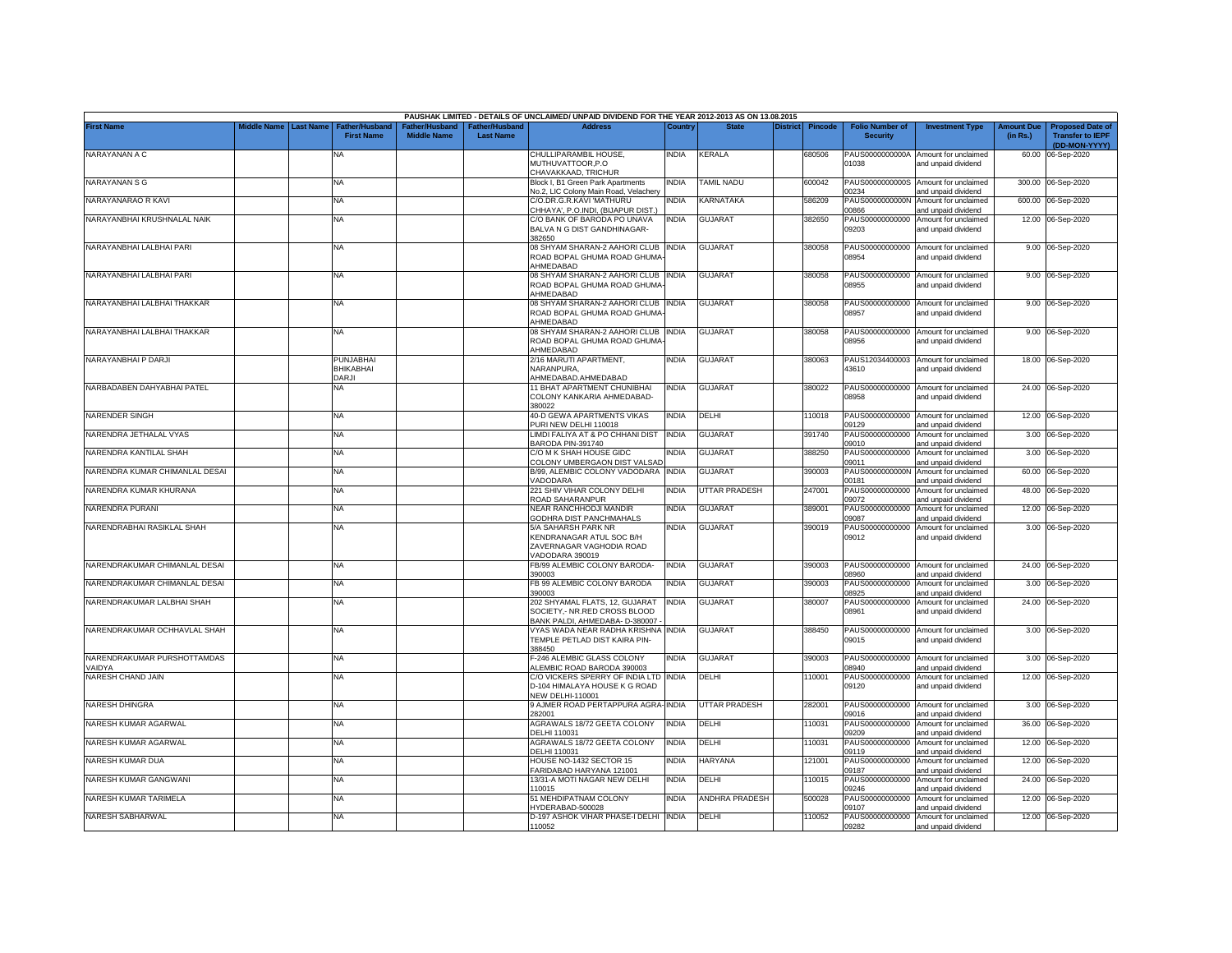|                                       |             |                  |                                            |                                     |                                   | PAUSHAK LIMITED - DETAILS OF UNCLAIMED/ UNPAID DIVIDEND FOR THE YEAR 2012-2013 AS ON 13.08.2015   |              |                      |          |                |                                           |                                                             |                               |                                                                     |
|---------------------------------------|-------------|------------------|--------------------------------------------|-------------------------------------|-----------------------------------|---------------------------------------------------------------------------------------------------|--------------|----------------------|----------|----------------|-------------------------------------------|-------------------------------------------------------------|-------------------------------|---------------------------------------------------------------------|
| <b>First Name</b>                     | Middle Name | <b>Last Name</b> | <b>Father/Husband</b><br><b>First Name</b> | ather/Husband<br><b>Middle Name</b> | ather/Husbanc<br><b>Last Name</b> | <b>Address</b>                                                                                    | Country      | <b>State</b>         | District | <b>Pincode</b> | <b>Folio Number of</b><br><b>Security</b> | <b>Investment Type</b>                                      | <b>Amount Due</b><br>(in Rs.) | <b>Proposed Date of</b><br><b>Transfer to IEPF</b><br>(DD-MON-YYYY) |
| NARAYANAN A C                         |             |                  | NA                                         |                                     |                                   | CHULLIPARAMBIL HOUSE,<br>MUTHUVATTOOR, P.O<br>CHAVAKKAAD, TRICHUR                                 | India        | KERALA               |          | 680506         | PAUS0000000000A<br>01038                  | Amount for unclaimed<br>and unpaid dividend                 |                               | 60.00 06-Sep-2020                                                   |
| NARAYANAN S G                         |             |                  | NA                                         |                                     |                                   | Block I, B1 Green Park Apartments<br>No.2, LIC Colony Main Road, Velachery                        | NDIA         | <b>TAMIL NADU</b>    |          | 600042         | 0234                                      | PAUS0000000000S Amount for unclaimed<br>and unpaid dividend |                               | 300.00 06-Sep-2020                                                  |
| NARAYANARAO R KAVI                    |             |                  | <b>NA</b>                                  |                                     |                                   | C/O.DR.G.R.KAVI 'MATHURU<br>CHHAYA', P.O.INDI, (BIJAPUR DIST.)                                    | NDIA         | KARNATAKA            |          | 586209         | PAUS0000000000N<br>28600                  | Amount for unclaimed<br>and unpaid dividend                 |                               | 600.00 06-Sep-2020                                                  |
| NARAYANBHAI KRUSHNALAL NAIK           |             |                  | NA                                         |                                     |                                   | C/O BANK OF BARODA PO UNAVA<br>BALVA N G DIST GANDHINAGAR-<br>382650                              | INDIA        | <b>GUJARAT</b>       |          | 382650         | PAUS00000000000<br>09203                  | Amount for unclaimed<br>and unpaid dividend                 |                               | 12.00 06-Sep-2020                                                   |
| NARAYANBHAI LALBHAI PARI              |             |                  | <b>NA</b>                                  |                                     |                                   | 08 SHYAM SHARAN-2 AAHORI CLUB<br>ROAD BOPAL GHUMA ROAD GHUMA<br><b>HMEDABAD</b>                   | INDIA        | <b>GUJARAT</b>       |          | 380058         | PAUS00000000000<br>08954                  | Amount for unclaimed<br>and unpaid dividend                 |                               | 9.00 06-Sep-2020                                                    |
| NARAYANBHAI LALBHAI PARI              |             |                  | NA                                         |                                     |                                   | 08 SHYAM SHARAN-2 AAHORI CLUB INDIA<br>ROAD BOPAL GHUMA ROAD GHUMA<br>AHMEDABAD                   |              | <b>GUJARAT</b>       |          | 380058         | 08955                                     | PAUS00000000000 Amount for unclaimed<br>and unpaid dividend |                               | 9.00 06-Sep-2020                                                    |
| NARAYANBHAI LALBHAI THAKKAR           |             |                  | <b>NA</b>                                  |                                     |                                   | 08 SHYAM SHARAN-2 AAHORI CLUB INDIA<br>ROAD BOPAL GHUMA ROAD GHUMA<br>AHMEDABAD                   |              | <b>GUJARAT</b>       |          | 380058         | 08957                                     | PAUS00000000000 Amount for unclaimed<br>and unpaid dividend |                               | 9.00 06-Sep-2020                                                    |
| NARAYANBHAI LALBHAI THAKKAR           |             |                  | NA                                         |                                     |                                   | 08 SHYAM SHARAN-2 AAHORI CLUB INDIA<br>ROAD BOPAL GHUMA ROAD GHUMA<br>AHMEDABAD                   |              | <b>GUJARAT</b>       |          | 380058         | PAUS00000000000<br>08956                  | Amount for unclaimed<br>and unpaid dividend                 |                               | 9.00 06-Sep-2020                                                    |
| NARAYANBHAI P DARJI                   |             |                  | <b>PUNJABHAI</b><br><b>BHIKABHAI</b>       |                                     |                                   | 2/16 MARUTI APARTMENT,<br>NARANPURA,                                                              | INDIA        | <b>GUJARAT</b>       |          | 380063         | 43610                                     | PAUS12034400003 Amount for unclaimed<br>and unpaid dividend |                               | 18.00 06-Sep-2020                                                   |
| NARBADABEN DAHYABHAI PATEL            |             |                  | DARJI<br>NA                                |                                     |                                   | AHMEDABAD.AHMEDABAD<br>11 BHAT APARTMENT CHUNIBHAI<br>COLONY KANKARIA AHMEDABAD-<br>380022        | <b>INDIA</b> | GUJARAT              |          | 380022         | 08958                                     | PAUS00000000000 Amount for unclaimed<br>and unpaid dividend |                               | 24.00 06-Sep-2020                                                   |
| NARENDER SINGH                        |             |                  | NA                                         |                                     |                                   | 40-D GEWA APARTMENTS VIKAS<br>PURI NEW DELHI 110018                                               | ndia         | DELHI                |          | 10018          | PAUS00000000000<br>09129                  | Amount for unclaimed<br>and unpaid dividend                 |                               | 12.00 06-Sep-2020                                                   |
| NARENDRA JETHALAL VYAS                |             |                  | NA                                         |                                     |                                   | LIMDI FALIYA AT & PO CHHANI DIST<br>BARODA PIN-391740                                             | INDIA        | GUJARAT              |          | 391740         | PAUS00000000000<br>09010                  | Amount for unclaimed<br>and unpaid dividend                 |                               | 3.00 06-Sep-2020                                                    |
| NARENDRA KANTILAL SHAH                |             |                  | <b>NA</b>                                  |                                     |                                   | C/O M K SHAH HOUSE GIDC<br>COLONY UMBERGAON DIST VALSAD                                           | NDIA         | <b>GUJARAT</b>       |          | 388250         | PAUS00000000000<br>09011                  | Amount for unclaimed<br>and unpaid dividend                 |                               | 3.00 06-Sep-2020                                                    |
| NARENDRA KUMAR CHIMANLAL DESAI        |             |                  | NA                                         |                                     |                                   | B/99, ALEMBIC COLONY VADODARA INDIA<br>VADODARA                                                   |              | <b>GUJARAT</b>       |          | 390003         | PAUS0000000000N<br>00181                  | Amount for unclaimed<br>and unpaid dividend                 |                               | 60.00 06-Sep-2020                                                   |
| NARENDRA KUMAR KHURANA                |             |                  | <b>NA</b>                                  |                                     |                                   | 221 SHIV VIHAR COLONY DELHI<br>ROAD SAHARANPUR                                                    | NDIA         | <b>UTTAR PRADESH</b> |          | 247001         | PAUS00000000000<br>09072                  | Amount for unclaimed<br>and unpaid dividend                 |                               | 48.00 06-Sep-2020                                                   |
| NARENDRA PURANI                       |             |                  | NA                                         |                                     |                                   | NEAR RANCHHODJI MANDIR<br>GODHRA DIST PANCHMAHALS                                                 | NDIA         | GUJARAT              |          | 389001         | PAUS00000000000<br>09087                  | Amount for unclaimed<br>and unpaid dividend                 |                               | 12.00 06-Sep-2020                                                   |
| NARENDRABHAI RASIKLAL SHAH            |             |                  | <b>NA</b>                                  |                                     |                                   | 5/A SAHARSH PARK NR<br>KENDRANAGAR ATUL SOC B/H<br>ZAVERNAGAR VAGHODIA ROAD<br>VADODARA 390019    | NDIA         | <b>GUJARAT</b>       |          | 390019         | PAUS00000000000<br>09012                  | Amount for unclaimed<br>and unpaid dividend                 |                               | 3.00 06-Sep-2020                                                    |
| NARENDRAKUMAR CHIMANLAL DESAI         |             |                  | NA                                         |                                     |                                   | FB/99 ALEMBIC COLONY BARODA-<br>390003                                                            | INDIA        | <b>GUJARAT</b>       |          | 390003         | 08960                                     | PAUS00000000000 Amount for unclaimed<br>and unpaid dividend |                               | 24.00 06-Sep-2020                                                   |
| NARENDRAKUMAR CHIMANLAL DESAI         |             |                  | ΝA                                         |                                     |                                   | FB 99 ALEMBIC COLONY BARODA<br>390003                                                             | NDIA         | GUJARAT              |          | 390003         | PAUS00000000000<br>8925                   | Amount for unclaimed<br>and unpaid dividend                 |                               | 3.00 06-Sep-2020                                                    |
| NARENDRAKUMAR LALBHAI SHAH            |             |                  | NA                                         |                                     |                                   | 202 SHYAMAL FLATS, 12, GUJARAT<br>SOCIETY,- NR.RED CROSS BLOOD<br>BANK PALDI, AHMEDABA- D-380007  | India        | <b>GUJARAT</b>       |          | 380007         | PAUS00000000000<br>08961                  | Amount for unclaimed<br>and unpaid dividend                 |                               | 24.00 06-Sep-2020                                                   |
| NARENDRAKUMAR OCHHAVLAL SHAH          |             |                  | <b>NA</b>                                  |                                     |                                   | VYAS WADA NEAR RADHA KRISHNA INDIA<br>TEMPLE PETLAD DIST KAIRA PIN-<br>388450                     |              | <b>GUJARAT</b>       |          | 388450         | 09015                                     | PAUS00000000000 Amount for unclaimed<br>and unpaid dividend |                               | 3.00 06-Sep-2020                                                    |
| NARENDRAKUMAR PURSHOTTAMDAS<br>VAIDYA |             |                  | NA                                         |                                     |                                   | F-246 ALEMBIC GLASS COLONY<br>ALEMBIC ROAD BARODA 390003                                          | NDIA         | <b>GUJARAT</b>       |          | 390003         | 08940                                     | PAUS00000000000 Amount for unclaimed<br>and unpaid dividend |                               | 3.00 06-Sep-2020                                                    |
| NARESH CHAND JAIN                     |             |                  | NA                                         |                                     |                                   | C/O VICKERS SPERRY OF INDIA LTD INDIA<br>D-104 HIMALAYA HOUSE K G ROAD<br><b>NEW DELHI-110001</b> |              | DELHI                |          | 10001          | PAUS00000000000<br>09120                  | Amount for unclaimed<br>and unpaid dividend                 |                               | 12.00 06-Sep-2020                                                   |
| <b>NARESH DHINGRA</b>                 |             |                  | NA                                         |                                     |                                   | 9 AJMER ROAD PERTAPPURA AGRA-INDIA<br>282001                                                      |              | UTTAR PRADESH        |          | 282001         | PAUS00000000000<br>09016                  | Amount for unclaimed<br>and unpaid dividend                 | 3.00                          | 06-Sep-2020                                                         |
| NARESH KUMAR AGARWAL                  |             |                  | <b>NA</b>                                  |                                     |                                   | AGRAWALS 18/72 GEETA COLONY<br>DELHI 110031                                                       | NDIA         | DELHI                |          | 110031         | PAUS00000000000<br>09209                  | Amount for unclaimed<br>and unpaid dividend                 | 36.00                         | 06-Sep-2020                                                         |
| NARESH KUMAR AGARWAL                  |             |                  | NA                                         |                                     |                                   | AGRAWALS 18/72 GEETA COLONY<br>DELHI 110031                                                       | INDIA        | DELHI                |          | 110031         | PAUS00000000000<br>09119                  | Amount for unclaimed<br>and unpaid dividend                 | 12.00                         | 06-Sep-2020                                                         |
| NARESH KUMAR DUA                      |             |                  | <b>NA</b>                                  |                                     |                                   | HOUSE NO-1432 SECTOR 15<br>FARIDABAD HARYANA 121001                                               | NDIA         | <b>HARYANA</b>       |          | 121001         | PAUS00000000000<br>09187                  | Amount for unclaimed<br>and unpaid dividend                 |                               | 12.00 06-Sep-2020                                                   |
| NARESH KUMAR GANGWANI                 |             |                  | <b>NA</b>                                  |                                     |                                   | 13/31-A MOTI NAGAR NEW DELHI<br>110015                                                            | INDIA        | DELHI                |          | 10015          | PAUS00000000000<br>09246                  | Amount for unclaimed<br>and unpaid dividend                 |                               | 24.00 06-Sep-2020                                                   |
| NARESH KUMAR TARIMELA                 |             |                  | NA                                         |                                     |                                   | 51 MEHDIPATNAM COLONY<br>HYDERABAD-500028                                                         | NDIA         | ANDHRA PRADESH       |          | 500028         | PAUS00000000000<br>09107                  | Amount for unclaimed<br>and unpaid dividend                 | 12.00                         | 06-Sep-2020                                                         |
| NARESH SABHARWAL                      |             |                  | ΝA                                         |                                     |                                   | D-197 ASHOK VIHAR PHASE-I DELHI INDIA<br>110052                                                   |              | DELHI                |          | 110052         | 09282                                     | PAUS00000000000 Amount for unclaimed<br>and unpaid dividend |                               | 12.00 06-Sep-2020                                                   |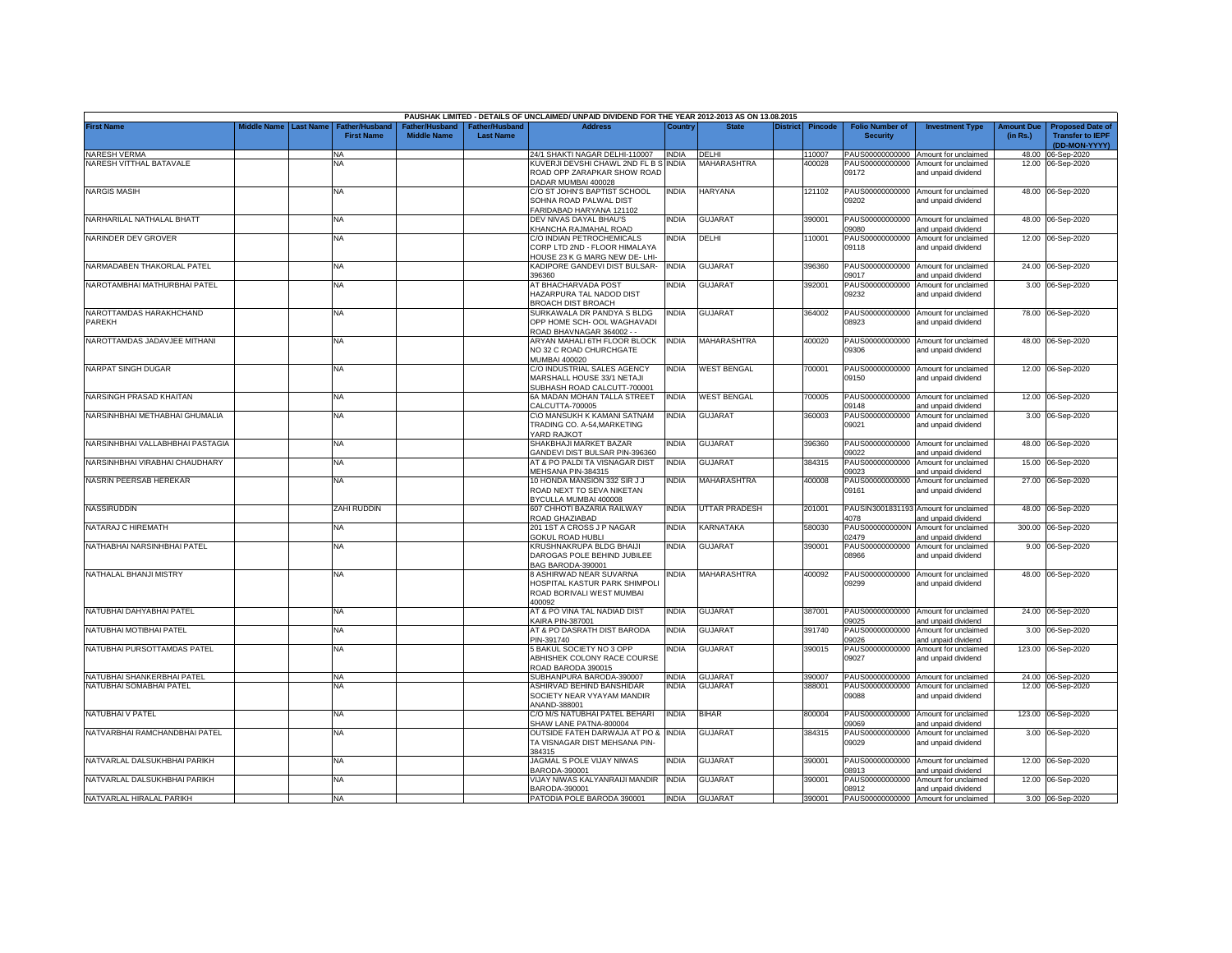|                                   |                         |                                            |                                             |                                           | PAUSHAK LIMITED - DETAILS OF UNCLAIMED/ UNPAID DIVIDEND FOR THE YEAR 2012-2013 AS ON 13.08.2015 |              |                    |                 |                |                                           |                                                              |                               |                                                                     |
|-----------------------------------|-------------------------|--------------------------------------------|---------------------------------------------|-------------------------------------------|-------------------------------------------------------------------------------------------------|--------------|--------------------|-----------------|----------------|-------------------------------------------|--------------------------------------------------------------|-------------------------------|---------------------------------------------------------------------|
| <b>First Name</b>                 | Middle Name   Last Name | <b>Father/Husband</b><br><b>First Name</b> | <b>Father/Husband</b><br><b>Middle Name</b> | <b>Father/Husband</b><br><b>Last Name</b> | <b>Address</b>                                                                                  | Country      | <b>State</b>       | <b>District</b> | <b>Pincode</b> | <b>Folio Number of</b><br><b>Security</b> | <b>Investment Type</b>                                       | <b>Amount Due</b><br>(in Rs.) | <b>Proposed Date of</b><br><b>Transfer to IEPF</b><br>(DD-MON-YYYY) |
| NARESH VERMA                      |                         | <b>NA</b>                                  |                                             |                                           | 24/1 SHAKTI NAGAR DELHI-110007                                                                  | <b>INDIA</b> | DELHI              |                 | 10007          | PAUS00000000000                           | Amount for unclaimed                                         | 48.00                         | 06-Sep-2020                                                         |
| NARESH VITTHAL BATAVALE           |                         | NA                                         |                                             |                                           | KUVERJI DEVSHI CHAWL 2ND FL B S<br>ROAD OPP ZARAPKAR SHOW ROAD<br>DADAR MUMBAI 400028           | <b>INDIA</b> | MAHARASHTRA        |                 | 400028         | PAUS00000000000<br>09172                  | Amount for unclaimed<br>and unpaid dividend                  | 12.00                         | 06-Sep-2020                                                         |
| <b>NARGIS MASIH</b>               |                         | ΝA                                         |                                             |                                           | C/O ST JOHN'S BAPTIST SCHOOL<br>SOHNA ROAD PALWAL DIST<br>FARIDABAD HARYANA 121102              | <b>INDIA</b> | HARYANA            |                 | 121102         | PAUS00000000000<br>09202                  | Amount for unclaimed<br>and unpaid dividend                  |                               | 48.00 06-Sep-2020                                                   |
| NARHARILAL NATHALAL BHATT         |                         | <b>NA</b>                                  |                                             |                                           | DEV NIVAS DAYAL BHAU'S<br>KHANCHA RAJMAHAL ROAD                                                 | <b>INDIA</b> | <b>GUJARAT</b>     |                 | 390001         | PAUS00000000000<br>09080                  | Amount for unclaimed<br>and unpaid dividend                  |                               | 48.00 06-Sep-2020                                                   |
| NARINDER DEV GROVER               |                         | NA                                         |                                             |                                           | C/O INDIAN PETROCHEMICALS<br>CORP LTD 2ND - FLOOR HIMALAYA<br>HOUSE 23 K G MARG NEW DE- LHI-    | INDIA        | DELHI              |                 | 10001          | PAUS00000000000<br>09118                  | Amount for unclaimed<br>and unpaid dividend                  |                               | 12.00 06-Sep-2020                                                   |
| NARMADABEN THAKORLAL PATEL        |                         | NA                                         |                                             |                                           | KADIPORE GANDEVI DIST BULSAR-<br>396360                                                         | <b>INDIA</b> | <b>GUJARAT</b>     |                 | 396360         | PAUS00000000000<br>09017                  | Amount for unclaimed<br>and unpaid dividend                  |                               | 24.00 06-Sep-2020                                                   |
| NAROTAMBHAI MATHURBHAI PATEL      |                         | NA                                         |                                             |                                           | AT BHACHARVADA POST<br>HAZARPURA TAL NADOD DIST<br><b>BROACH DIST BROACH</b>                    | <b>INDIA</b> | <b>GUJARAT</b>     |                 | 392001         | PAUS00000000000<br>09232                  | Amount for unclaimed<br>and unpaid dividend                  |                               | 3.00 06-Sep-2020                                                    |
| NAROTTAMDAS HARAKHCHAND<br>PAREKH |                         | <b>NA</b>                                  |                                             |                                           | SURKAWALA DR PANDYA S BLDG<br>OPP HOME SCH- OOL WAGHAVADI<br>ROAD BHAVNAGAR 364002 - -          | <b>INDIA</b> | <b>GUJARAT</b>     |                 | 364002         | 08923                                     | PAUS00000000000 Amount for unclaimed<br>and unpaid dividend  |                               | 78.00 06-Sep-2020                                                   |
| NAROTTAMDAS JADAVJEE MITHANI      |                         | <b>NA</b>                                  |                                             |                                           | ARYAN MAHALI 6TH FLOOR BLOCK<br>NO 32 C ROAD CHURCHGATE<br>MUMBAI 400020                        | <b>INDIA</b> | MAHARASHTRA        |                 | 400020         | 09306                                     | PAUS00000000000 Amount for unclaimed<br>and unpaid dividend  |                               | 48.00 06-Sep-2020                                                   |
| NARPAT SINGH DUGAR                |                         | <b>NA</b>                                  |                                             |                                           | C/O INDUSTRIAL SALES AGENCY<br>MARSHALL HOUSE 33/1 NETAJI<br>SUBHASH ROAD CALCUTT-700001        | <b>INDIA</b> | <b>WEST BENGAL</b> |                 | 700001         | 09150                                     | PAUS00000000000 Amount for unclaimed<br>and unpaid dividend  |                               | 12.00 06-Sep-2020                                                   |
| NARSINGH PRASAD KHAITAN           |                         | NA                                         |                                             |                                           | 6A MADAN MOHAN TALLA STREET<br>CALCUTTA-700005                                                  | <b>INDIA</b> | <b>WEST BENGAL</b> |                 | 00005          | PAUS00000000000<br>09148                  | Amount for unclaimed<br>and unpaid dividend                  |                               | 12.00 06-Sep-2020                                                   |
| NARSINHBHAI METHABHAI GHUMALIA    |                         | <b>NA</b>                                  |                                             |                                           | C\O MANSUKH K KAMANI SATNAM<br>TRADING CO. A-54, MARKETING<br>YARD RAJKOT                       | <b>INDIA</b> | <b>GUJARAT</b>     |                 | 360003         | PAUS00000000000<br>09021                  | Amount for unclaimed<br>and unpaid dividend                  |                               | 3.00 06-Sep-2020                                                    |
| NARSINHBHAI VALLABHBHAI PASTAGIA  |                         | NA                                         |                                             |                                           | SHAKBHAJI MARKET BAZAR<br>GANDEVI DIST BULSAR PIN-396360                                        | <b>INDIA</b> | <b>GUJARAT</b>     |                 | 396360         | PAUS00000000000<br>09022                  | Amount for unclaimed<br>and unpaid dividend                  |                               | 48.00 06-Sep-2020                                                   |
| NARSINHBHAI VIRABHAI CHAUDHARY    |                         | <b>NA</b>                                  |                                             |                                           | AT & PO PALDI TA VISNAGAR DIST<br>MEHSANA PIN-384315                                            | <b>INDIA</b> | <b>GUJARAT</b>     |                 | 384315         | PAUS00000000000<br>09023                  | Amount for unclaimed<br>and unpaid dividend                  | 15.00                         | 06-Sep-2020                                                         |
| NASRIN PEERSAB HEREKAR            |                         | <b>NA</b>                                  |                                             |                                           | 10 HONDA MANSION 332 SIR J J<br>ROAD NEXT TO SEVA NIKETAN<br>BYCULLA MUMBAI 400008              | <b>INDIA</b> | MAHARASHTRA        |                 | 400008         | PAUS00000000000<br>09161                  | Amount for unclaimed<br>and unpaid dividend                  |                               | 27.00 06-Sep-2020                                                   |
| NASSIRUDDIN                       |                         | ZAHI RUDDIN                                |                                             |                                           | 607 CHHOTI BAZARIA RAILWAY<br>ROAD GHAZIABAD                                                    | <b>INDIA</b> | UTTAR PRADESH      |                 | 201001         | 4078                                      | PAUSIN3001831193 Amount for unclaimed<br>and unpaid dividend |                               | 48.00 06-Sep-2020                                                   |
| NATARAJ C HIREMATH                |                         | <b>NA</b>                                  |                                             |                                           | 201 1ST A CROSS J P NAGAR<br><b>GOKUL ROAD HUBLI</b>                                            | <b>INDIA</b> | KARNATAKA          |                 | 580030         | PAUS0000000000N<br>02479                  | Amount for unclaimed<br>and unpaid dividend                  |                               | 300.00 06-Sep-2020                                                  |
| NATHABHAI NARSINHBHAI PATEL       |                         | <b>NA</b>                                  |                                             |                                           | KRUSHNAKRUPA BLDG BHAIJI<br>DAROGAS POLE BEHIND JUBILEE<br>BAG BARODA-390001                    | <b>INDIA</b> | <b>GUJARAT</b>     |                 | 390001         | PAUS00000000000<br>33966                  | Amount for unclaimed<br>and unpaid dividend                  |                               | 9.00 06-Sep-2020                                                    |
| NATHALAL BHANJI MISTRY            |                         | <b>NA</b>                                  |                                             |                                           | 8 ASHIRWAD NEAR SUVARNA<br>HOSPITAL KASTUR PARK SHIMPOLI<br>ROAD BORIVALI WEST MUMBAI<br>400092 | <b>INDIA</b> | MAHARASHTRA        |                 | 400092         | 09299                                     | PAUS00000000000 Amount for unclaimed<br>and unpaid dividend  |                               | 48.00 06-Sep-2020                                                   |
| NATUBHAI DAHYABHAI PATEL          |                         | <b>NA</b>                                  |                                             |                                           | AT & PO VINA TAL NADIAD DIST<br><b>KAIRA PIN-387001</b>                                         | <b>INDIA</b> | <b>GUJARAT</b>     |                 | 387001         | 09025                                     | PAUS00000000000 Amount for unclaimed<br>and unpaid dividend  |                               | 24.00 06-Sep-2020                                                   |
| NATUBHAI MOTIBHAI PATEL           |                         | <b>NA</b>                                  |                                             |                                           | AT & PO DASRATH DIST BARODA<br>PIN-391740                                                       | <b>INDIA</b> | <b>GUJARAT</b>     |                 | 391740         | PAUS00000000000<br>09026                  | Amount for unclaimed<br>and unpaid dividend                  |                               | 3.00 06-Sep-2020                                                    |
| NATUBHAI PURSOTTAMDAS PATEL       |                         | NA                                         |                                             |                                           | 5 BAKUL SOCIETY NO 3 OPP<br>ABHISHEK COLONY RACE COURSE<br>ROAD BARODA 390015                   | <b>INDIA</b> | <b>GUJARAT</b>     |                 | 390015         | PAUS00000000000<br>09027                  | Amount for unclaimed<br>and unpaid dividend                  |                               | 123.00 06-Sep-2020                                                  |
| NATUBHAI SHANKERBHAI PATEL        |                         | <b>NA</b>                                  |                                             |                                           | SUBHANPURA BARODA-390007                                                                        | <b>INDIA</b> | <b>GUJARAT</b>     |                 | 390007         |                                           | PAUS00000000000 Amount for unclaimed                         |                               | 24.00 06-Sep-2020                                                   |
| NATUBHAI SOMABHAI PATEL           |                         | NA.                                        |                                             |                                           | ASHIRVAD BEHIND BANSHIDAR<br>SOCIETY NEAR VYAYAM MANDIR<br>ANAND-388001                         | INDIA        | <b>GUJARAT</b>     |                 | 388001         | PAUS00000000000<br>09088                  | Amount for unclaimed<br>and unpaid dividend                  |                               | 12.00 06-Sep-2020                                                   |
| NATUBHAI V PATEL                  |                         | <b>NA</b>                                  |                                             |                                           | C/O M/S NATUBHAI PATEL BEHARI<br>SHAW LANE PATNA-800004                                         | <b>INDIA</b> | <b>BIHAR</b>       |                 | 800004         | PAUS00000000000<br>09069                  | Amount for unclaimed<br>and unpaid dividend                  |                               | 123.00 06-Sep-2020                                                  |
| NATVARBHAI RAMCHANDBHAI PATEL     |                         | <b>NA</b>                                  |                                             |                                           | OUTSIDE FATEH DARWAJA AT PO &<br>TA VISNAGAR DIST MEHSANA PIN-<br>384315                        | <b>INDIA</b> | <b>GUJARAT</b>     |                 | 384315         | PAUS00000000000<br>09029                  | Amount for unclaimed<br>and unpaid dividend                  |                               | 3.00 06-Sep-2020                                                    |
| NATVARLAL DALSUKHBHAI PARIKH      |                         | <b>NA</b>                                  |                                             |                                           | JAGMAL S POLE VIJAY NIWAS<br>BARODA-390001                                                      | <b>INDIA</b> | <b>GUJARAT</b>     |                 | 390001         | PAUS00000000000<br>08913                  | Amount for unclaimed<br>and unpaid dividend                  |                               | 12.00 06-Sep-2020                                                   |
| NATVARLAL DALSUKHBHAI PARIKH      |                         | <b>NA</b>                                  |                                             |                                           | VIJAY NIWAS KALYANRAIJI MANDIR<br>BARODA-390001                                                 | <b>INDIA</b> | GUJARAT            |                 | 390001         | PAUS00000000000<br>08912                  | Amount for unclaimed<br>and unpaid dividend                  |                               | 12.00 06-Sep-2020                                                   |
| NATVARLAL HIRALAL PARIKH          |                         | <b>NA</b>                                  |                                             |                                           | PATODIA POLE BARODA 390001                                                                      | <b>INDIA</b> | GUJARAT            |                 | 390001         |                                           | PAUS00000000000 Amount for unclaimed                         |                               | 3.00 06-Sep-2020                                                    |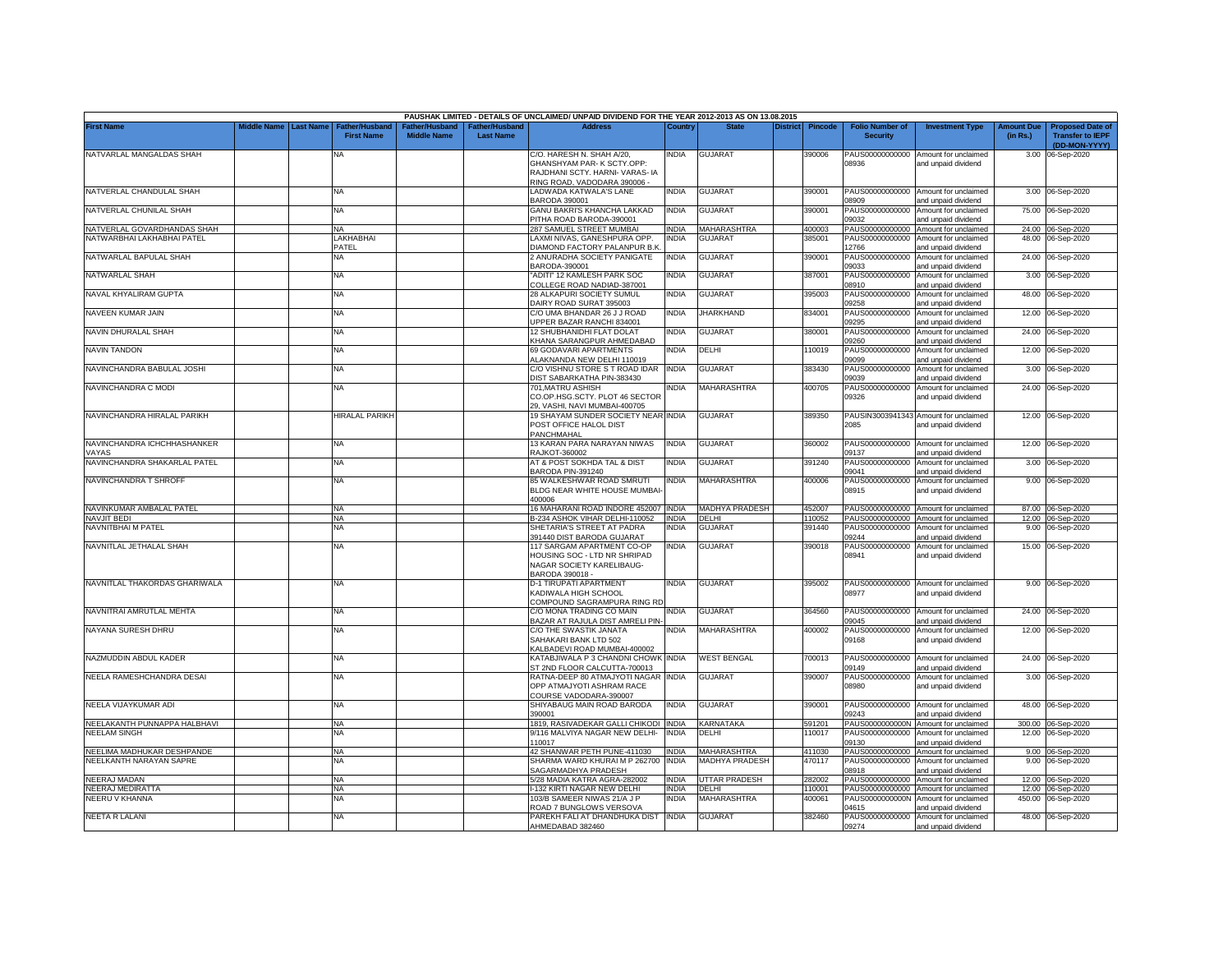|                                      |             |                  |                                            |                                                  |                                   | PAUSHAK LIMITED - DETAILS OF UNCLAIMED/ UNPAID DIVIDEND FOR THE YEAR 2012-2013 AS ON 13.08.2015                           |              |                       |                 |                |                                           |                                                              |                               |                                                                     |
|--------------------------------------|-------------|------------------|--------------------------------------------|--------------------------------------------------|-----------------------------------|---------------------------------------------------------------------------------------------------------------------------|--------------|-----------------------|-----------------|----------------|-------------------------------------------|--------------------------------------------------------------|-------------------------------|---------------------------------------------------------------------|
| <b>First Name</b>                    | Middle Name | <b>Last Name</b> | <b>Father/Husband</b><br><b>First Name</b> | ather/Husband <sup>:</sup><br><b>Middle Name</b> | ather/Husband<br><b>Last Name</b> | <b>Address</b>                                                                                                            | Country      | <b>State</b>          | <b>District</b> | <b>Pincode</b> | <b>Folio Number of</b><br><b>Security</b> | <b>Investment Type</b>                                       | <b>Amount Due</b><br>(in Rs.) | <b>Proposed Date of</b><br><b>Transfer to IEPF</b><br>(DD-MON-YYYY) |
| NATVARLAL MANGALDAS SHAH             |             |                  | NA                                         |                                                  |                                   | C/O. HARESH N. SHAH A/20,<br>GHANSHYAM PAR-K SCTY.OPP:<br>RAJDHANI SCTY, HARNI- VARAS- IA<br>RING ROAD, VADODARA 390006 - | india        | <b>GUJARAT</b>        |                 | 390006         | PAUS00000000000<br>08936                  | Amount for unclaimed<br>and unpaid dividend                  |                               | 3.00 06-Sep-2020                                                    |
| NATVERLAL CHANDULAL SHAH             |             |                  | <b>NA</b>                                  |                                                  |                                   | LADWADA KATWALA'S LANE<br>BARODA 390001                                                                                   | <b>INDIA</b> | <b>GUJARAT</b>        |                 | 390001         | PAUS00000000000<br>08909                  | Amount for unclaimed<br>and unpaid dividend                  |                               | 3.00 06-Sep-2020                                                    |
| NATVERLAL CHUNILAL SHAH              |             |                  | <b>NA</b>                                  |                                                  |                                   | <b>GANU BAKRI'S KHANCHA LAKKAD</b><br>PITHA ROAD BARODA-390001                                                            | india        | <b>GUJARAT</b>        |                 | 390001         | PAUS00000000000<br>09032                  | Amount for unclaimed<br>and unpaid dividend                  |                               | 75.00 06-Sep-2020                                                   |
| NATVERLAL GOVARDHANDAS SHAH          |             |                  | <b>NA</b>                                  |                                                  |                                   | 287 SAMUEL STREET MUMBAI                                                                                                  | <b>INDIA</b> | MAHARASHTRA           |                 | 400003         | PAUS00000000000                           | Amount for unclaimed                                         |                               | 24.00 06-Sep-2020                                                   |
| NATWARRHAI I AKHARHAI PATEI          |             |                  | LAKHABHAI                                  |                                                  |                                   | LAXMI NIVAS, GANESHPURA OPP.                                                                                              | NDIA         | <b>GUJARAT</b>        |                 | 385001         | PAUS00000000000                           | Amount for unclaimed                                         | 48.00                         | 06-Sep-2020                                                         |
|                                      |             |                  | PATEL                                      |                                                  |                                   | DIAMOND FACTORY PALANPUR B.K                                                                                              |              |                       |                 |                | 12766                                     | and unpaid dividend                                          |                               |                                                                     |
| NATWARLAL BAPULAL SHAH               |             |                  | NA                                         |                                                  |                                   | 2 ANURADHA SOCIETY PANIGATE<br>3ARODA-390001                                                                              | <b>INDIA</b> | <b>GUJARAT</b>        |                 | 390001         | PAUS00000000000<br>09033                  | Amount for unclaimed<br>and unpaid dividend                  |                               | 24.00 06-Sep-2020                                                   |
| NATWARLAL SHAH                       |             |                  | <b>NA</b>                                  |                                                  |                                   | ADITI" 12 KAMLESH PARK SOC<br>COLLEGE ROAD NADIAD-387001                                                                  | NDIA         | <b>GUJARAT</b>        |                 | 387001         | PAUS00000000000<br>08910                  | Amount for unclaimed<br>and unpaid dividend                  |                               | 3.00 06-Sep-2020                                                    |
| NAVAL KHYALIRAM GUPTA                |             |                  | <b>NA</b>                                  |                                                  |                                   | 28 ALKAPURI SOCIETY SUMUL<br>DAIRY ROAD SURAT 395003                                                                      | INDIA        | <b>GUJARAT</b>        |                 | 395003         | PAUS00000000000<br>09258                  | Amount for unclaimed<br>and unpaid dividend                  | 48.00                         | 06-Sep-2020                                                         |
| NAVEEN KUMAR JAIN                    |             |                  | <b>NA</b>                                  |                                                  |                                   | C/O UMA BHANDAR 26 J J ROAD<br>JPPER BAZAR RANCHI 834001                                                                  | <b>INDIA</b> | <b>JHARKHAND</b>      |                 | 834001         | PAUS00000000000<br>09295                  | Amount for unclaimed<br>and unpaid dividend                  | 12.00                         | 06-Sep-2020                                                         |
| NAVIN DHURALAL SHAH                  |             |                  | NA                                         |                                                  |                                   | <b>12 SHUBHANIDHI FLAT DOLAT</b><br>KHANA SARANGPUR AHMEDABAD                                                             | india        | <b>GUJARAT</b>        |                 | 380001         | PAUS00000000000<br>09260                  | Amount for unclaimed<br>and unpaid dividend                  | 24.00                         | 06-Sep-2020                                                         |
| <b>NAVIN TANDON</b>                  |             |                  | <b>NA</b>                                  |                                                  |                                   | 69 GODAVARI APARTMENTS<br>ALAKNANDA NEW DELHI 110019                                                                      | NDIA         | DELHI                 |                 | 10019          | PAUS00000000000<br>09099                  | Amount for unclaimed<br>and unpaid dividend                  | 12.00                         | 06-Sep-2020                                                         |
| NAVINCHANDRA BABULAL JOSHI           |             |                  | <b>NA</b>                                  |                                                  |                                   | C/O VISHNU STORE S T ROAD IDAR<br>DIST SABARKATHA PIN-383430                                                              | <b>INDIA</b> | <b>GUJARAT</b>        |                 | 383430         | PAUS00000000000<br>09039                  | Amount for unclaimed<br>and unpaid dividend                  | 3.00                          | 06-Sep-2020                                                         |
| NAVINCHANDRA C MODI                  |             |                  | <b>NA</b>                                  |                                                  |                                   | 701, MATRU ASHISH<br>CO.OP.HSG.SCTY. PLOT 46 SECTOR<br>29, VASHI, NAVI MUMBAI-400705                                      | NDIA         | MAHARASHTRA           |                 | 400705         | PAUS00000000000<br>09326                  | Amount for unclaimed<br>and unpaid dividend                  |                               | 24.00 06-Sep-2020                                                   |
| NAVINCHANDRA HIRALAL PARIKH          |             |                  | HIRALAL PARIKH                             |                                                  |                                   | 19 SHAYAM SUNDER SOCIETY NEAR INDIA<br>POST OFFICE HALOL DIST<br>PANCHMAHAL                                               |              | <b>GUJARAT</b>        |                 | 389350         | 2085                                      | PAUSIN3003941343 Amount for unclaimed<br>and unpaid dividend |                               | 12.00 06-Sep-2020                                                   |
| NAVINCHANDRA ICHCHHASHANKER<br>VAYAS |             |                  | <b>NA</b>                                  |                                                  |                                   | 13 KARAN PARA NARAYAN NIWAS<br><b>RAJKOT-360002</b>                                                                       | INDIA        | <b>GUJARAT</b>        |                 | 360002         | PAUS00000000000<br>09137                  | Amount for unclaimed<br>and unpaid dividend                  |                               | 12.00 06-Sep-2020                                                   |
| NAVINCHANDRA SHAKARLAL PATEL         |             |                  | <b>NA</b>                                  |                                                  |                                   | AT & POST SOKHDA TAL & DIST<br>BARODA PIN-391240                                                                          | INDIA        | <b>GUJARAT</b>        |                 | 391240         | PAUS00000000000<br>09041                  | Amount for unclaimed<br>and unpaid dividend                  |                               | 3.00 06-Sep-2020                                                    |
| NAVINCHANDRA T SHROFF                |             |                  | <b>NA</b>                                  |                                                  |                                   | 85 WALKESHWAR ROAD SMRUTI<br>BLDG NEAR WHITE HOUSE MUMBAI-<br>400006                                                      | <b>INDIA</b> | MAHARASHTRA           |                 | 400006         | PAUS00000000000<br>08915                  | Amount for unclaimed<br>and unpaid dividend                  |                               | 9.00 06-Sep-2020                                                    |
| NAVINKUMAR AMBALAL PATEL             |             |                  | <b>NA</b>                                  |                                                  |                                   | 16 MAHARANI ROAD INDORE 452007 INDIA                                                                                      |              | <b>MADHYA PRADESH</b> |                 | 452007         |                                           | PAUS00000000000 Amount for unclaimed                         |                               | 87.00 06-Sep-2020                                                   |
| <b>NAVJIT BEDI</b>                   |             |                  | <b>NA</b>                                  |                                                  |                                   | 3-234 ASHOK VIHAR DELHI-110052                                                                                            | <b>INDIA</b> | DELHI                 |                 | 110052         | PAUS00000000000                           | Amount for unclaimed                                         |                               | 12.00 06-Sep-2020                                                   |
| NAVNITBHAI M PATEL                   |             |                  | NA                                         |                                                  |                                   | SHETARIA'S STREET AT PADRA<br><b>391440 DIST BARODA GUJARAT</b>                                                           | India        | GUJARAT               |                 | 391440         | PAUS00000000000<br>09244                  | Amount for unclaimed<br>and unpaid dividend                  |                               | 9.00 06-Sep-2020                                                    |
| NAVNITLAL JETHALAL SHAH              |             |                  | <b>NA</b>                                  |                                                  |                                   | 117 SARGAM APARTMENT CO-OP<br>HOUSING SOC - LTD NR SHRIPAD<br>NAGAR SOCIETY KARELIBAUG-<br>BARODA 390018 -                | INDIA        | <b>GUJARAT</b>        |                 | 390018         | PAUS00000000000<br>08941                  | Amount for unclaimed<br>and unpaid dividend                  |                               | 15.00 06-Sep-2020                                                   |
| NAVNITLAL THAKORDAS GHARIWALA        |             |                  | <b>NA</b>                                  |                                                  |                                   | <b>D-1 TIRUPATI APARTMENT</b><br><b>KADIWALA HIGH SCHOOL</b><br>COMPOUND SAGRAMPURA RING RD                               | <b>INDIA</b> | <b>GUJARAT</b>        |                 | 395002         | 08977                                     | PAUS00000000000 Amount for unclaimed<br>and unpaid dividend  |                               | 9.00 06-Sep-2020                                                    |
| NAVNITRAI AMRUTLAL MEHTA             |             |                  | <b>NA</b>                                  |                                                  |                                   | C/O MONA TRADING CO MAIN<br><b>BAZAR AT RAJULA DIST AMRELI PIN-</b>                                                       | NDIA         | <b>GUJARAT</b>        |                 | 364560         | PAUS00000000000<br>09045                  | Amount for unclaimed<br>and unpaid dividend                  |                               | 24.00 06-Sep-2020                                                   |
| NAYANA SURESH DHRU                   |             |                  | <b>NA</b>                                  |                                                  |                                   | C/O THE SWASTIK JANATA<br>SAHAKARI BANK LTD 502<br>KALBADEVI ROAD MUMBAI-400002                                           | NDIA         | MAHARASHTRA           |                 | 400002         | PAUS00000000000<br>09168                  | Amount for unclaimed<br>and unpaid dividend                  |                               | 12.00 06-Sep-2020                                                   |
| NAZMUDDIN ABDUL KADER                |             |                  | <b>NA</b>                                  |                                                  |                                   | KATABJIWALA P 3 CHANDNI CHOWK INDIA<br>ST 2ND FLOOR CALCUTTA-700013                                                       |              | <b>WEST BENGAL</b>    |                 | 700013         | PAUS00000000000<br>09149                  | Amount for unclaimed<br>and unpaid dividend                  | 24.00                         | 06-Sep-2020                                                         |
| NEELA RAMESHCHANDRA DESAI            |             |                  | <b>NA</b>                                  |                                                  |                                   | RATNA-DEEP 80 ATMAJYOTI NAGAR<br>OPP ATMAJYOTI ASHRAM RACE<br>COURSE VADODARA-390007                                      | <b>INDIA</b> | <b>GUJARAT</b>        |                 | 390007         | PAUS00000000000<br>08980                  | Amount for unclaimed<br>and unpaid dividend                  |                               | 3.00 06-Sep-2020                                                    |
| NEELA VIJAYKUMAR ADI                 |             |                  | <b>NA</b>                                  |                                                  |                                   | SHIYABAUG MAIN ROAD BARODA<br>390001                                                                                      | INDIA        | <b>GUJARAT</b>        |                 | 390001         | PAUS00000000000<br>09243                  | Amount for unclaimed<br>and unpaid dividend                  |                               | 48.00 06-Sep-2020                                                   |
| NEELAKANTH PUNNAPPA HALBHAVI         |             |                  | <b>NA</b>                                  |                                                  |                                   | 1819, RASIVADEKAR GALLI CHIKODI INDIA                                                                                     |              | KARNATAKA             |                 | 591201         | PAUS0000000000N                           | Amount for unclaimed                                         |                               | 300.00 06-Sep-2020                                                  |
| NEELAM SINGH                         |             |                  | <b>NA</b>                                  |                                                  |                                   | 9/116 MALVIYA NAGAR NEW DELHI-<br>110017                                                                                  | <b>INDIA</b> | DELHI                 |                 | 110017         | PAUS00000000000<br>09130                  | Amount for unclaimed<br>and unpaid dividend                  |                               | 12.00 06-Sep-2020                                                   |
| NEELIMA MADHUKAR DESHPANDE           |             |                  | NA                                         |                                                  |                                   | 42 SHANWAR PETH PUNE-411030                                                                                               | <b>INDIA</b> | MAHARASHTRA           |                 | 411030         | PAUS00000000000                           | Amount for unclaimed                                         |                               | 9.00 06-Sep-2020                                                    |
| NEELKANTH NARAYAN SAPRE              |             |                  | <b>NA</b>                                  |                                                  |                                   | SHARMA WARD KHURAI M P 262700<br>SAGARMADHYA PRADESH                                                                      | <b>INDIA</b> | <b>MADHYA PRADESH</b> |                 | 470117         | PAUS00000000000<br>08918                  | Amount for unclaimed<br>and unpaid dividend                  | 9.00                          | 06-Sep-2020                                                         |
| NEERAJ MADAN                         |             |                  | <b>NA</b>                                  |                                                  |                                   | 5/28 MADIA KATRA AGRA-282002                                                                                              | <b>INDIA</b> | <b>JTTAR PRADESH</b>  |                 | 282002         | PAUS00000000000                           | Amount for unclaimed                                         |                               | 12.00 06-Sep-2020                                                   |
| NEERAJ MEDIRATTA                     |             |                  | NA                                         |                                                  |                                   | -132 KIRTI NAGAR NEW DELHI                                                                                                | INDIA        | DELHI                 |                 | 10001          | PAUS00000000000                           | Amount for unclaimed                                         |                               | 12.00 06-Sep-2020                                                   |
| NEERU V KHANNA                       |             |                  | NA                                         |                                                  |                                   | 103/B SAMEER NIWAS 21/A J P<br>ROAD 7 BUNGLOWS VERSOVA                                                                    | <b>NDIA</b>  | <b>MAHARASHTRA</b>    |                 | 100061         | PAUS0000000000N<br>04615                  | Amount for unclaimed<br>and unpaid dividend                  | 450.00                        | 06-Sep-2020                                                         |
| <b>NEETA R LALANI</b>                |             |                  | ΝA                                         |                                                  |                                   | PAREKH FALI AT DHANDHUKA DIST                                                                                             | <b>INDIA</b> | <b>GUJARAT</b>        |                 | 382460         | PAUS00000000000                           | Amount for unclaimed                                         |                               | 48.00 06-Sep-2020                                                   |
|                                      |             |                  |                                            |                                                  |                                   | AHMEDABAD 382460                                                                                                          |              |                       |                 |                | 09274                                     | and unpaid dividend                                          |                               |                                                                     |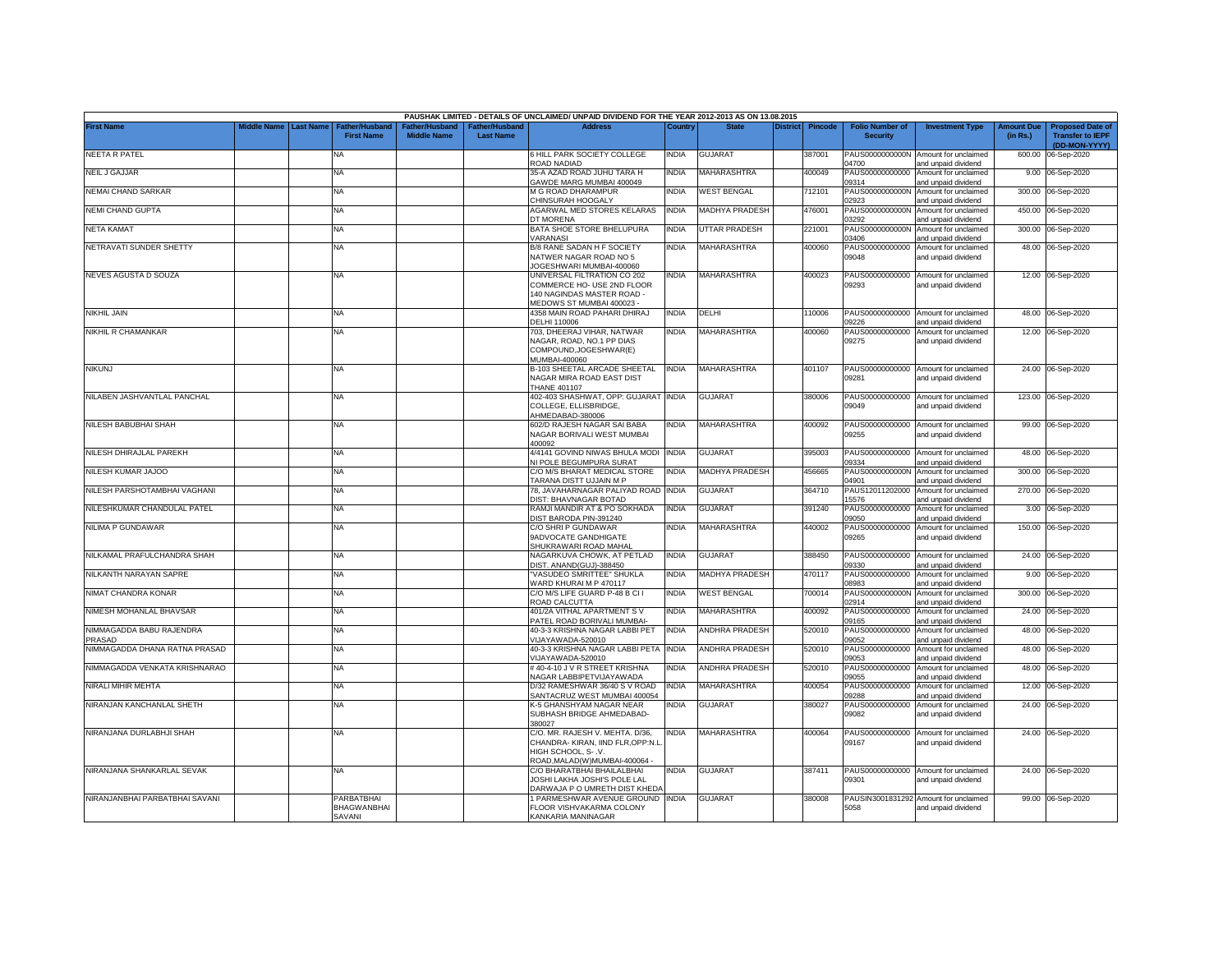|                                    |             |                  |                                            |                                      |                                    | PAUSHAK LIMITED - DETAILS OF UNCLAIMED/ UNPAID DIVIDEND FOR THE YEAR 2012-2013 AS ON 13.08.2015                             |              |                       |                 |         |                                           |                                                              |                               |                                                                     |
|------------------------------------|-------------|------------------|--------------------------------------------|--------------------------------------|------------------------------------|-----------------------------------------------------------------------------------------------------------------------------|--------------|-----------------------|-----------------|---------|-------------------------------------------|--------------------------------------------------------------|-------------------------------|---------------------------------------------------------------------|
| <b>First Name</b>                  | liddle Name | <b>Last Name</b> | Father/Husband<br><b>First Name</b>        | Father/Husband<br><b>Middle Name</b> | Father/Husband<br><b>Last Name</b> | <b>Address</b>                                                                                                              | Country      | <b>State</b>          | <b>District</b> | Pincode | <b>Folio Number of</b><br><b>Security</b> | <b>Investment Type</b>                                       | <b>Amount Due</b><br>(in Rs.) | <b>Proposed Date of</b><br><b>Transfer to IEPF</b><br>(DD-MON-YYYY) |
| <b>NEETA R PATEL</b>               |             |                  | NA                                         |                                      |                                    | 6 HILL PARK SOCIETY COLLEGE<br>ROAD NADIAD                                                                                  | NDIA         | <b>GUJARAT</b>        |                 | 387001  | 4700                                      | PAUS0000000000N Amount for unclaimed<br>and unpaid dividend  | 600.00                        | 06-Sep-2020                                                         |
| <b>NEIL J GAJJAR</b>               |             |                  | <b>NA</b>                                  |                                      |                                    | 35-A AZAD ROAD JUHU TARA H<br>GAWDE MARG MUMBAI 400049                                                                      | INDIA        | <b>MAHARASHTRA</b>    |                 | 400049  | PAUS00000000000<br>09314                  | Amount for unclaimed<br>and unpaid dividend                  |                               | 9.00 06-Sep-2020                                                    |
| NEMAI CHAND SARKAR                 |             |                  | NA                                         |                                      |                                    | M G ROAD DHARAMPUR<br>CHINSURAH HOOGALY                                                                                     | NDIA         | <b>WEST BENGAL</b>    |                 | 712101  | PAUS0000000000N<br>02923                  | Amount for unclaimed<br>and unpaid dividend                  |                               | 300.00 06-Sep-2020                                                  |
| <b>NEMI CHAND GUPTA</b>            |             |                  | <b>NA</b>                                  |                                      |                                    | AGARWAL MED STORES KELARAS<br>DT MORENA                                                                                     | <b>INDIA</b> | <b>MADHYA PRADESH</b> |                 | 476001  | PAUS0000000000N<br>03292                  | Amount for unclaimed<br>and unpaid dividend                  |                               | 450.00 06-Sep-2020                                                  |
| <b>NETA KAMAT</b>                  |             |                  | NA                                         |                                      |                                    | BATA SHOE STORE BHELUPURA<br>VARANASI                                                                                       | NDIA         | <b>UTTAR PRADESH</b>  |                 | 221001  | PAUS0000000000N<br>03406                  | Amount for unclaimed<br>and unpaid dividend                  |                               | 300.00 06-Sep-2020                                                  |
| NETRAVATI SUNDER SHETTY            |             |                  | <b>NA</b>                                  |                                      |                                    | <b>B/8 RANE SADAN H F SOCIETY</b><br>NATWER NAGAR ROAD NO 5<br>JOGESHWARI MUMBAI-400060                                     | <b>NDIA</b>  | MAHARASHTRA           |                 | 400060  | PAUS00000000000<br>09048                  | Amount for unclaimed<br>and unpaid dividend                  |                               | 48.00 06-Sep-2020                                                   |
| NEVES AGUSTA D SOUZA               |             |                  | NA                                         |                                      |                                    | UNIVERSAL FILTRATION CO 202<br>COMMERCE HO- USE 2ND FLOOR<br>140 NAGINDAS MASTER ROAD -<br>MEDOWS ST MUMBAI 400023 -        | NDIA         | MAHARASHTRA           |                 | 400023  | PAUS00000000000<br>09293                  | Amount for unclaimed<br>and unpaid dividend                  |                               | 12.00 06-Sep-2020                                                   |
| NIKHIL JAIN                        |             |                  | NA                                         |                                      |                                    | 4358 MAIN ROAD PAHARI DHIRAJ<br>DELHI 110006                                                                                | INDIA        | DELHI                 |                 | 110006  | 09226                                     | PAUS00000000000 Amount for unclaimed<br>and unpaid dividend  |                               | 48.00 06-Sep-2020                                                   |
| NIKHIL R CHAMANKAR                 |             |                  | NA                                         |                                      |                                    | 703, DHEERAJ VIHAR, NATWAR<br>NAGAR, ROAD, NO.1 PP DIAS<br>COMPOUND, JOGESHWAR(E)<br>MUMBAI-400060                          | INDIA        | <b>MAHARASHTRA</b>    |                 | 400060  | PAUS00000000000<br>09275                  | Amount for unclaimed<br>and unpaid dividend                  |                               | 12.00 06-Sep-2020                                                   |
| <b>NIKUNJ</b>                      |             |                  | NA                                         |                                      |                                    | B-103 SHEETAL ARCADE SHEETAL<br><b>NAGAR MIRA ROAD EAST DIST</b><br><b>THANE 401107</b>                                     | <b>INDIA</b> | <b>MAHARASHTRA</b>    |                 | 401107  | 09281                                     | PAUS00000000000 Amount for unclaimed<br>and unpaid dividend  |                               | 24.00 06-Sep-2020                                                   |
| NILABEN JASHVANTLAL PANCHAL        |             |                  | NA                                         |                                      |                                    | 402-403 SHASHWAT, OPP: GUJARAT INDIA<br>COLLEGE, ELLISBRIDGE,<br>HMEDABAD-380006                                            |              | <b>GUJARAT</b>        |                 | 380006  | PAUS00000000000<br>09049                  | Amount for unclaimed<br>and unpaid dividend                  |                               | 123.00 06-Sep-2020                                                  |
| NILESH BABUBHAI SHAH               |             |                  | NA                                         |                                      |                                    | 602/D RAJESH NAGAR SAI BABA<br>NAGAR BORIVALI WEST MUMBAI<br>400092                                                         | NDIA         | MAHARASHTRA           |                 | 400092  | PAUS00000000000<br>09255                  | Amount for unclaimed<br>and unpaid dividend                  |                               | 99.00 06-Sep-2020                                                   |
| NILESH DHIRAJLAL PAREKH            |             |                  | NA                                         |                                      |                                    | 4/4141 GOVIND NIWAS BHULA MODI INDIA<br><b>NI POLE BEGUMPURA SURAT</b>                                                      |              | <b>GUJARAT</b>        |                 | 395003  | 09334                                     | PAUS00000000000 Amount for unclaimed<br>and unpaid dividend  | 48.00                         | 06-Sep-2020                                                         |
| NILESH KUMAR JAJOO                 |             |                  | NA                                         |                                      |                                    | C/O M/S BHARAT MEDICAL STORE<br>TARANA DISTT UJJAIN M P                                                                     | INDIA        | MADHYA PRADESH        |                 | 456665  | PAUS0000000000N<br>04901                  | Amount for unclaimed<br>and unpaid dividend                  | 300.00                        | 06-Sep-2020                                                         |
| NILESH PARSHOTAMBHAI VAGHANI       |             |                  | NA                                         |                                      |                                    | 78, JAVAHARNAGAR PALIYAD ROAD INDIA<br>DIST: BHAVNAGAR BOTAD                                                                |              | <b>GUJARAT</b>        |                 | 364710  | PAUS12011202000<br>15576                  | Amount for unclaimed<br>and unpaid dividend                  | 270.00                        | 06-Sep-2020                                                         |
| NILESHKUMAR CHANDULAL PATEL        |             |                  | NA                                         |                                      |                                    | RAMJI MANDIR AT & PO SOKHADA<br>DIST BARODA PIN-391240                                                                      | INDIA        | <b>GUJARAT</b>        |                 | 391240  | PAUS00000000000<br>09050                  | Amount for unclaimed<br>and unpaid dividend                  | 3.00                          | 06-Sep-2020                                                         |
| NILIMA P GUNDAWAR                  |             |                  | <b>NA</b>                                  |                                      |                                    | C/O SHRI P GUNDAWAR<br>9ADVOCATE GANDHIGATE<br>SHUKRAWARI ROAD MAHAL                                                        | NDIA         | <b>MAHARASHTRA</b>    |                 | 440002  | PAUS00000000000<br>09265                  | Amount for unclaimed<br>and unpaid dividend                  |                               | 150.00 06-Sep-2020                                                  |
| NILKAMAL PRAFULCHANDRA SHAH        |             |                  | <b>NA</b>                                  |                                      |                                    | NAGARKUVA CHOWK, AT PETLAD<br>DIST, ANAND(GUJ)-388450                                                                       | <b>INDIA</b> | <b>GUJARAT</b>        |                 | 388450  | PAUS00000000000<br>09330                  | Amount for unclaimed<br>and unpaid dividend                  | 24.00                         | 06-Sep-2020                                                         |
| NILKANTH NARAYAN SAPRE             |             |                  | <b>NA</b>                                  |                                      |                                    | "VASUDEO SMRITTEE" SHUKLA<br>WARD KHURAI M P 470117                                                                         | <b>INDIA</b> | <b>MADHYA PRADESH</b> |                 | 470117  | PAUS00000000000<br>08983                  | Amount for unclaimed<br>and unpaid dividend                  | 9.00                          | 06-Sep-2020                                                         |
| NIMAT CHANDRA KONAR                |             |                  | NA                                         |                                      |                                    | C/O M/S LIFE GUARD P-48 B CI I<br>ROAD CALCUTTA                                                                             | <b>INDIA</b> | <b>WEST BENGAL</b>    |                 | 700014  | PAUS0000000000N<br>02914                  | Amount for unclaimed<br>and unpaid dividend                  | 300.00                        | 06-Sep-2020                                                         |
| NIMESH MOHANLAL BHAVSAR            |             |                  | <b>NA</b>                                  |                                      |                                    | 401/2A VITHAL APARTMENT S V<br>PATEL ROAD BORIVALI MUMBAI-                                                                  | <b>INDIA</b> | MAHARASHTRA           |                 | 400092  | PAUS00000000000<br>09165                  | Amount for unclaimed<br>and unpaid dividend                  | 24.00                         | 06-Sep-2020                                                         |
| NIMMAGADDA BABU RAJENDRA<br>PRASAD |             |                  | NA                                         |                                      |                                    | 40-3-3 KRISHNA NAGAR LABBI PET<br>VIJAYAWADA-520010                                                                         | <b>INDIA</b> | ANDHRA PRADESH        |                 | 520010  | PAUS00000000000<br>09052                  | Amount for unclaimed<br>and unpaid dividend                  | 48.00                         | 06-Sep-2020                                                         |
| NIMMAGADDA DHANA RATNA PRASAD      |             |                  | NA                                         |                                      |                                    | 40-3-3 KRISHNA NAGAR LABBI PETA INDIA<br>VIJAYAWADA-520010                                                                  |              | <b>ANDHRA PRADESH</b> |                 | 520010  | PAUS00000000000<br>09053                  | Amount for unclaimed<br>and unpaid dividend                  | 48.00                         | 06-Sep-2020                                                         |
| NIMMAGADDA VENKATA KRISHNARAO      |             |                  | NA                                         |                                      |                                    | #40-4-10 J V R STREET KRISHNA<br><b>NAGAR LABBIPETVIJAYAWADA</b>                                                            | INDIA        | ANDHRA PRADESH        |                 | 520010  | PAUS00000000000<br>09055                  | Amount for unclaimed<br>and unpaid dividend                  | 48.00                         | 06-Sep-2020                                                         |
| NIRALI MIHIR MEHTA                 |             |                  | NA                                         |                                      |                                    | D/32 RAMESHWAR 36/40 S V ROAD<br>SANTACRUZ WEST MUMBAI 400054                                                               | INDIA        | <b>MAHARASHTRA</b>    |                 | 400054  | PAUS00000000000<br>09288                  | Amount for unclaimed<br>and unpaid dividend                  | 12.00                         | 06-Sep-2020                                                         |
| NIRANJAN KANCHANLAL SHETH          |             |                  | NA                                         |                                      |                                    | K-5 GHANSHYAM NAGAR NEAR<br>SUBHASH BRIDGE AHMEDABAD-<br>380027                                                             | NDIA         | GUJARAT               |                 | 380027  | PAUS00000000000<br>09082                  | Amount for unclaimed<br>and unpaid dividend                  |                               | 24.00 06-Sep-2020                                                   |
| NIRANJANA DURLABHJI SHAH           |             |                  | <b>NA</b>                                  |                                      |                                    | C/O. MR. RAJESH V. MEHTA. D/36,<br>CHANDRA-KIRAN, IIND FLR, OPP:N.L<br>HIGH SCHOOL, S-.V.<br>ROAD, MALAD(W) MUMBAI-400064 - | NDIA         | <b>MAHARASHTRA</b>    |                 | 400064  | 09167                                     | PAUS00000000000 Amount for unclaimed<br>and unpaid dividend  |                               | 24.00 06-Sep-2020                                                   |
| NIRANJANA SHANKARLAL SEVAK         |             |                  | NA                                         |                                      |                                    | C/O BHARATBHAI BHAILALBHAI<br>JOSHI LAKHA JOSHI'S POLE LAL<br>DARWAJA P O UMRETH DIST KHEDA                                 | NDIA         | <b>GUJARAT</b>        |                 | 387411  | 09301                                     | PAUS00000000000 Amount for unclaimed<br>and unpaid dividend  |                               | 24.00 06-Sep-2020                                                   |
| NIRANJANBHAI PARBATBHAI SAVANI     |             |                  | PARBATBHAI<br><b>BHAGWANBHAI</b><br>SAVANI |                                      |                                    | 1 PARMESHWAR AVENUE GROUND INDIA<br>FLOOR VISHVAKARMA COLONY<br>KANKARIA MANINAGAR                                          |              | <b>GUJARAT</b>        |                 | 380008  | 5058                                      | PAUSIN3001831292 Amount for unclaimed<br>and unpaid dividend |                               | 99.00 06-Sep-2020                                                   |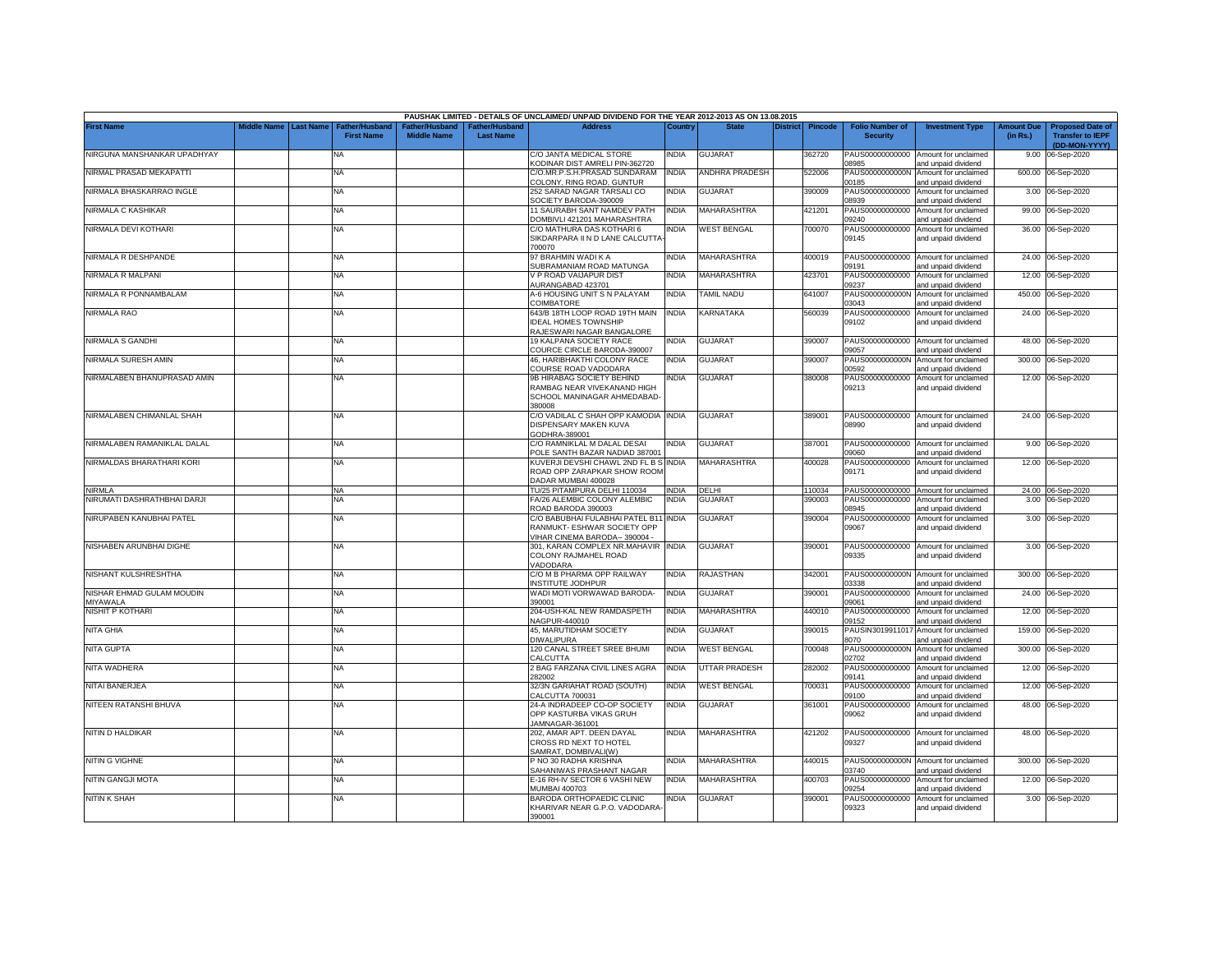|                                       |             |                  |                                     |                                      |                                    | PAUSHAK LIMITED - DETAILS OF UNCLAIMED/ UNPAID DIVIDEND FOR THE YEAR 2012-2013 AS ON 13.08.2015        |              |                       |                 |                |                                           |                                                             |                               |                                                                     |
|---------------------------------------|-------------|------------------|-------------------------------------|--------------------------------------|------------------------------------|--------------------------------------------------------------------------------------------------------|--------------|-----------------------|-----------------|----------------|-------------------------------------------|-------------------------------------------------------------|-------------------------------|---------------------------------------------------------------------|
| <b>First Name</b>                     | liddle Name | <b>Last Name</b> | Father/Husband<br><b>First Name</b> | Father/Husband<br><b>Middle Name</b> | Father/Husband<br><b>Last Name</b> | <b>Address</b>                                                                                         | Country      | <b>State</b>          | <b>District</b> | <b>Pincode</b> | <b>Folio Number of</b><br><b>Security</b> | <b>Investment Type</b>                                      | <b>Amount Due</b><br>(in Rs.) | <b>Proposed Date of</b><br><b>Transfer to IEPF</b><br>(DD-MON-YYYY) |
| NIRGUNA MANSHANKAR UPADHYAY           |             |                  | NA                                  |                                      |                                    | C/O JANTA MEDICAL STORE<br>KODINAR DIST AMRELI PIN-362720                                              | <b>INDIA</b> | GUJARAT               |                 | 362720         | 8985                                      | PAUS00000000000 Amount for unclaimed<br>and unpaid dividend | 9.00                          | 06-Sep-2020                                                         |
| NIRMAL PRASAD MEKAPATTI               |             |                  | NA                                  |                                      |                                    | C/O.MR.P.S.H.PRASAD SUNDARAM<br>COLONY, RING ROAD, GUNTUR                                              | <b>INDIA</b> | <b>ANDHRA PRADESH</b> |                 | 522006         | PAUS0000000000N<br>00185                  | Amount for unclaimed<br>and unpaid dividend                 |                               | 600.00 06-Sep-2020                                                  |
| NIRMALA BHASKARRAO INGLE              |             |                  | NA                                  |                                      |                                    | 252 SARAD NAGAR TARSALI CO<br>SOCIETY BARODA-390009                                                    | <b>INDIA</b> | <b>GUJARAT</b>        |                 | 390009         | 08939                                     | PAUS00000000000 Amount for unclaimed<br>and unpaid dividend |                               | 3.00 06-Sep-2020                                                    |
| NIRMALA C KASHIKAR                    |             |                  | <b>NA</b>                           |                                      |                                    | 11 SAURABH SANT NAMDEV PATH<br>DOMBIVLI 421201 MAHARASHTRA                                             | <b>INDIA</b> | MAHARASHTRA           |                 | 421201         | PAUS00000000000<br>09240                  | Amount for unclaimed<br>and unpaid dividend                 |                               | 99.00 06-Sep-2020                                                   |
| NIRMALA DEVI KOTHARI                  |             |                  | <b>NA</b>                           |                                      |                                    | C/O MATHURA DAS KOTHARI 6<br>SIKDARPARA II N D LANE CALCUTTA<br>700070                                 | <b>INDIA</b> | <b>WEST BENGAL</b>    |                 | 700070         | PAUS00000000000<br>09145                  | Amount for unclaimed<br>and unpaid dividend                 |                               | 36.00 06-Sep-2020                                                   |
| NIRMALA R DESHPANDE                   |             |                  | <b>NA</b>                           |                                      |                                    | 97 BRAHMIN WADI K A<br>SUBRAMANIAM ROAD MATUNGA                                                        | India        | MAHARASHTRA           |                 | 400019         | 9191                                      | PAUS00000000000 Amount for unclaimed<br>and unpaid dividend |                               | 24.00 06-Sep-2020                                                   |
| NIRMALA R MALPANI                     |             |                  | <b>NA</b>                           |                                      |                                    | V P ROAD VAIJAPUR DIST<br>AURANGABAD 423701                                                            | <b>INDIA</b> | MAHARASHTRA           |                 | 423701         | 09237                                     | PAUS00000000000 Amount for unclaimed<br>and unpaid dividend |                               | 12.00 06-Sep-2020                                                   |
| NIRMALA R PONNAMBALAM                 |             |                  | <b>NA</b>                           |                                      |                                    | A-6 HOUSING UNIT S N PALAYAM<br>COIMBATORE                                                             | <b>INDIA</b> | <b>TAMIL NADU</b>     |                 | 641007         | PAUS0000000000N<br>03043                  | Amount for unclaimed<br>and unpaid dividend                 |                               | 450.00 06-Sep-2020                                                  |
| NIRMALA RAO                           |             |                  | <b>NA</b>                           |                                      |                                    | 643/B 18TH LOOP ROAD 19TH MAIN<br><b>IDEAL HOMES TOWNSHIP</b><br>RAJESWARI NAGAR BANGALORE             | <b>INDIA</b> | KARNATAKA             |                 | 560039         | 09102                                     | PAUS00000000000 Amount for unclaimed<br>and unpaid dividend |                               | 24.00 06-Sep-2020                                                   |
| NIRMALA S GANDHI                      |             |                  | NA                                  |                                      |                                    | 19 KALPANA SOCIETY RACE<br>COURCE CIRCLE BARODA-390007                                                 | <b>INDIA</b> | <b>GUJARAT</b>        |                 | 390007         | 09057                                     | PAUS00000000000 Amount for unclaimed<br>and unpaid dividend |                               | 48.00 06-Sep-2020                                                   |
| NIRMALA SURESH AMIN                   |             |                  | NA                                  |                                      |                                    | 46, HARIBHAKTHI COLONY RACE<br>COURSE ROAD VADODARA                                                    | India        | GUJARAT               |                 | 390007         | PAUS0000000000N<br>0592                   | Amount for unclaimed<br>ind unpaid dividend                 |                               | 300.00 06-Sep-2020                                                  |
| NIRMALABEN BHANUPRASAD AMIN           |             |                  | <b>NA</b>                           |                                      |                                    | 9B HIRABAG SOCIETY BEHIND<br>RAMBAG NEAR VIVEKANAND HIGH<br>SCHOOL MANINAGAR AHMEDABAD-<br>380008      | <b>NDIA</b>  | <b>GUJARAT</b>        |                 | 380008         | PAUS00000000000<br>09213                  | Amount for unclaimed<br>and unpaid dividend                 |                               | 12.00 06-Sep-2020                                                   |
| NIRMALABEN CHIMANLAL SHAH             |             |                  | <b>NA</b>                           |                                      |                                    | C/O VADILAL C SHAH OPP KAMODIA INDIA<br>DISPENSARY MAKEN KUVA<br>GODHRA-389001                         |              | <b>GUJARAT</b>        |                 | 389001         | 08990                                     | PAUS00000000000 Amount for unclaimed<br>and unpaid dividend |                               | 24.00 06-Sep-2020                                                   |
| NIRMALABEN RAMANIKLAL DALAL           |             |                  | <b>NA</b>                           |                                      |                                    | C/O RAMNIKLAL M DALAL DESAI<br>POLE SANTH BAZAR NADIAD 387001                                          | <b>INDIA</b> | GUJARAT               |                 | 387001         | 09060                                     | PAUS00000000000 Amount for unclaimed<br>and unpaid dividend |                               | 9.00 06-Sep-2020                                                    |
| NIRMALDAS BHARATHARI KORI             |             |                  | <b>NA</b>                           |                                      |                                    | KUVERJI DEVSHI CHAWL 2ND FL B S INDIA<br>ROAD OPP ZARAPKAR SHOW ROOM<br>DADAR MUMBAI 400028            |              | <b>MAHARASHTRA</b>    |                 | 400028         | 09171                                     | PAUS00000000000 Amount for unclaimed<br>and unpaid dividend |                               | 12.00 06-Sep-2020                                                   |
| NIRMLA                                |             |                  | <b>NA</b>                           |                                      |                                    | TU/25 PITAMPURA DELHI 110034                                                                           | <b>INDIA</b> | DELHI                 |                 | 110034         |                                           | PAUS00000000000 Amount for unclaimed                        |                               | 24.00 06-Sep-2020                                                   |
| NIRUMATI DASHRATHBHAI DARJI           |             |                  | <b>NA</b>                           |                                      |                                    | FA/26 ALEMBIC COLONY ALEMBIC<br>ROAD BARODA 390003                                                     | <b>INDIA</b> | GUJARAT               |                 | 390003         | PAUS00000000000<br>08945                  | Amount for unclaimed<br>and unpaid dividend                 |                               | 3.00 06-Sep-2020                                                    |
| NIRUPABEN KANUBHAI PATEL              |             |                  | <b>NA</b>                           |                                      |                                    | C/O BABUBHAI FULABHAI PATEL B11 INDIA<br>RANMUKT- ESHWAR SOCIETY OPP<br>VIHAR CINEMA BARODA-- 390004 - |              | GUJARAT               |                 | 390004         | PAUS00000000000<br>09067                  | Amount for unclaimed<br>and unpaid dividend                 |                               | 3.00 06-Sep-2020                                                    |
| NISHABEN ARUNBHAI DIGHE               |             |                  | <b>NA</b>                           |                                      |                                    | 301, KARAN COMPLEX NR.MAHAVIR INDIA<br>COLONY RAJMAHEL ROAD<br>VADODARA                                |              | <b>GUJARAT</b>        |                 | 390001         | 09335                                     | PAUS00000000000 Amount for unclaimed<br>and unpaid dividend |                               | 3.00 06-Sep-2020                                                    |
| NISHANT KULSHRESHTHA                  |             |                  | <b>NA</b>                           |                                      |                                    | C/O M B PHARMA OPP RAILWAY<br><b>INSTITUTE JODHPUR</b>                                                 | <b>INDIA</b> | RAJASTHAN             |                 | 342001         | 03338                                     | PAUS0000000000N Amount for unclaimed<br>and unpaid dividend |                               | 300.00 06-Sep-2020                                                  |
| NISHAR EHMAD GULAM MOUDIN<br>MIYAWALA |             |                  | <b>NA</b>                           |                                      |                                    | WADI MOTI VORWAWAD BARODA-<br>390001                                                                   | <b>INDIA</b> | <b>GUJARAT</b>        |                 | 390001         | 09061                                     | PAUS00000000000 Amount for unclaimed<br>and unpaid dividend |                               | 24.00 06-Sep-2020                                                   |
| NISHIT P KOTHARI                      |             |                  | <b>NA</b>                           |                                      |                                    | 204-USH-KAL NEW RAMDASPETH<br>NAGPUR-440010                                                            | <b>INDIA</b> | MAHARASHTRA           |                 | 440010         | PAUS00000000000<br>09152                  | Amount for unclaimed<br>and unpaid dividend                 | 12.00                         | 06-Sep-2020                                                         |
| NITA GHIA                             |             |                  | NA                                  |                                      |                                    | 45. MARUTIDHAM SOCIETY<br><b>DIWALIPURA</b>                                                            | <b>INDIA</b> | <b>GUJARAT</b>        |                 | 390015         | PAUSIN3019911017<br>8070                  | Amount for unclaimed<br>and unpaid dividend                 | 159.00                        | 06-Sep-2020                                                         |
| NITA GUPTA                            |             |                  | NA                                  |                                      |                                    | 120 CANAL STREET SREE BHUMI<br>CALCUTTA                                                                | <b>INDIA</b> | <b>WEST BENGAL</b>    |                 | 700048         | PAUS0000000000N<br>02702                  | Amount for unclaimed<br>and unpaid dividend                 | 300.00                        | 06-Sep-2020                                                         |
| NITA WADHERA                          |             |                  | <b>NA</b>                           |                                      |                                    | 2 BAG FARZANA CIVIL LINES AGRA<br>282002                                                               | India        | UTTAR PRADESH         |                 | 282002         | PAUS00000000000<br>09141                  | Amount for unclaimed<br>and unpaid dividend                 |                               | 12.00 06-Sep-2020                                                   |
| NITAI BANERJEA                        |             |                  | NA                                  |                                      |                                    | 32/3N GARIAHAT ROAD (SOUTH)<br>CALCUTTA 700031                                                         | INDIA        | <b>WEST BENGAL</b>    |                 | 700031         | PAUS00000000000<br>0019                   | Amount for unclaimed<br>and unpaid dividend                 |                               | 12.00 06-Sep-2020                                                   |
| NITEEN RATANSHI BHUVA                 |             |                  | <b>NA</b>                           |                                      |                                    | 24-A INDRADEEP CO-OP SOCIETY<br>OPP KASTURBA VIKAS GRUH<br>JAMNAGAR-361001                             | <b>INDIA</b> | <b>GUJARAT</b>        |                 | 361001         | 09062                                     | PAUS00000000000 Amount for unclaimed<br>and unpaid dividend |                               | 48.00 06-Sep-2020                                                   |
| NITIN D HALDIKAR                      |             |                  | <b>NA</b>                           |                                      |                                    | 202, AMAR APT. DEEN DAYAL<br>CROSS RD NEXT TO HOTEL<br>SAMRAT, DOMBIVALI(W)                            | <b>INDIA</b> | MAHARASHTRA           |                 | 421202         | 09327                                     | PAUS00000000000 Amount for unclaimed<br>and unpaid dividend |                               | 48.00 06-Sep-2020                                                   |
| NITIN G VIGHNE                        |             |                  | NA                                  |                                      |                                    | P NO 30 RADHA KRISHNA<br>SAHANIWAS PRASHANT NAGAR                                                      | <b>INDIA</b> | MAHARASHTRA           |                 | 440015         | 03740                                     | PAUS0000000000N Amount for unclaimed<br>and unpaid dividend |                               | 300.00 06-Sep-2020                                                  |
| <b>NITIN GANGJI MOTA</b>              |             |                  | <b>NA</b>                           |                                      |                                    | E-16 RH-IV SECTOR 6 VASHI NEW<br>MUMBAI 400703                                                         | <b>INDIA</b> | <b>MAHARASHTRA</b>    |                 | 400703         | PAUS00000000000<br>09254                  | Amount for unclaimed<br>and unpaid dividend                 |                               | 12.00 06-Sep-2020                                                   |
| <b>NITIN K SHAH</b>                   |             |                  | <b>NA</b>                           |                                      |                                    | BARODA ORTHOPAEDIC CLINIC<br>KHARIVAR NEAR G.P.O. VADODARA-<br>390001                                  | <b>INDIA</b> | <b>GUJARAT</b>        |                 | 390001         | PAUS00000000000<br>09323                  | Amount for unclaimed<br>and unpaid dividend                 |                               | 3.00 06-Sep-2020                                                    |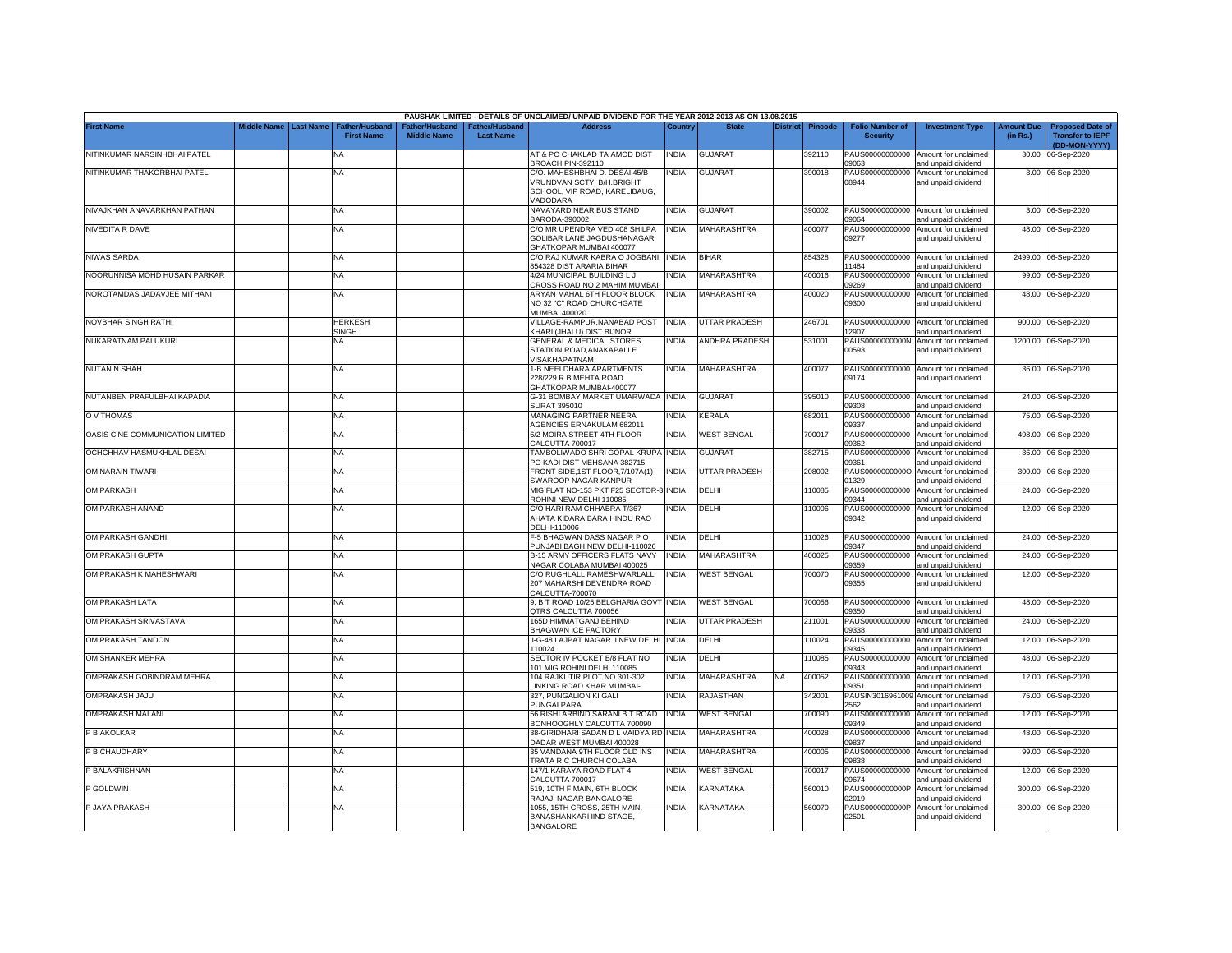|                                  |                       |                                            |                                      |                                   | PAUSHAK LIMITED - DETAILS OF UNCLAIMED/ UNPAID DIVIDEND FOR THE YEAR 2012-2013 AS ON 13.08.2015         |              |                       |                 |                |                                           |                                                             |                               |                                                                     |
|----------------------------------|-----------------------|--------------------------------------------|--------------------------------------|-----------------------------------|---------------------------------------------------------------------------------------------------------|--------------|-----------------------|-----------------|----------------|-------------------------------------------|-------------------------------------------------------------|-------------------------------|---------------------------------------------------------------------|
| <b>First Name</b>                | Middle Name Last Name | <b>Father/Husband</b><br><b>First Name</b> | Father/Husband<br><b>Middle Name</b> | ather/Husband<br><b>Last Name</b> | <b>Address</b>                                                                                          | Country      | <b>State</b>          | <b>District</b> | <b>Pincode</b> | <b>Folio Number of</b><br><b>Security</b> | <b>Investment Type</b>                                      | <b>Amount Due</b><br>(in Rs.) | <b>Proposed Date of</b><br><b>Transfer to IEPF</b><br>(DD-MON-YYYY) |
| NITINKUMAR NARSINHBHAI PATEL     |                       | <b>NA</b>                                  |                                      |                                   | AT & PO CHAKLAD TA AMOD DIST<br>BROACH PIN-392110                                                       | <b>INDIA</b> | <b>GUJARAT</b>        |                 | 392110         | 09063                                     | PAUS00000000000 Amount for unclaimed<br>and unpaid dividend | 30.00                         | 06-Sep-2020                                                         |
| NITINKUMAR THAKORBHAI PATEL      |                       | <b>NA</b>                                  |                                      |                                   | C/O. MAHESHBHAI D. DESAI 45/B<br>VRUNDVAN SCTY. B/H.BRIGHT<br>SCHOOL, VIP ROAD, KARELIBAUG,<br>VADODARA | <b>INDIA</b> | <b>GUJARAT</b>        |                 | 390018         | PAUS00000000000<br>08944                  | Amount for unclaimed<br>and unpaid dividend                 |                               | 3.00 06-Sep-2020                                                    |
| NIVAJKHAN ANAVARKHAN PATHAN      |                       | <b>NA</b>                                  |                                      |                                   | NAVAYARD NEAR BUS STAND<br>BARODA-390002                                                                | <b>INDIA</b> | GUJARAT               |                 | 390002         | 09064                                     | PAUS00000000000 Amount for unclaimed<br>and unpaid dividend |                               | 3.00 06-Sep-2020                                                    |
| NIVEDITA R DAVE                  |                       | NA                                         |                                      |                                   | C/O MR UPENDRA VED 408 SHILPA<br><b>GOLIBAR LANE JAGDUSHANAGAR</b><br><b>GHATKOPAR MUMBAI 400077</b>    | <b>INDIA</b> | MAHARASHTRA           |                 | 400077         | PAUS00000000000<br>09277                  | Amount for unclaimed<br>and unpaid dividend                 |                               | 48.00 06-Sep-2020                                                   |
| NIWAS SARDA                      |                       | <b>NA</b>                                  |                                      |                                   | C/O RAJ KUMAR KABRA O JOGBANI<br>354328 DIST ARARIA BIHAR                                               | <b>INDIA</b> | <b>BIHAR</b>          |                 | 854328         | 1484                                      | PAUS00000000000 Amount for unclaimed<br>ind unpaid dividend |                               | 2499.00 06-Sep-2020                                                 |
| NOORUNNISA MOHD HUSAIN PARKAR    |                       | <b>NA</b>                                  |                                      |                                   | 4/24 MUNICIPAL BUILDING L J<br>CROSS ROAD NO 2 MAHIM MUMBAI                                             | INDIA        | MAHARASHTRA           |                 | 400016         | PAUS00000000000<br>9269                   | Amount for unclaimed<br>and unpaid dividend                 |                               | 99.00 06-Sep-2020                                                   |
| NOROTAMDAS JADAVJEE MITHANI      |                       | <b>NA</b>                                  |                                      |                                   | ARYAN MAHAL 6TH FLOOR BLOCK<br>NO 32 "C" ROAD CHURCHGATE<br>MUMBAI 400020                               | <b>INDIA</b> | MAHARASHTRA           |                 | 400020         | PAUS00000000000<br>09300                  | Amount for unclaimed<br>and unpaid dividend                 |                               | 48.00 06-Sep-2020                                                   |
| NOVBHAR SINGH RATHI              |                       | <b>HERKESH</b><br>SINGH                    |                                      |                                   | VILLAGE-RAMPUR, NANABAD POST<br>KHARI (JHALU) DIST.BIJNOR                                               | <b>INDIA</b> | <b>UTTAR PRADESH</b>  |                 | 246701         | 12907                                     | PAUS00000000000 Amount for unclaimed<br>and unpaid dividend |                               | 900.00 06-Sep-2020                                                  |
| NUKARATNAM PALUKURI              |                       | NA                                         |                                      |                                   | <b>GENERAL &amp; MEDICAL STORES</b><br>STATION ROAD.ANAKAPALLE<br><b>VISAKHAPATNAM</b>                  | <b>INDIA</b> | <b>ANDHRA PRADESH</b> |                 | 531001         | PAUS0000000000N<br>00593                  | Amount for unclaimed<br>and unpaid dividend                 |                               | 1200.00 06-Sep-2020                                                 |
| <b>NUTAN N SHAH</b>              |                       | <b>NA</b>                                  |                                      |                                   | 1-B NEELDHARA APARTMENTS<br>228/229 R B MEHTA ROAD<br>GHATKOPAR MUMBAI-400077                           | <b>INDIA</b> | MAHARASHTRA           |                 | 400077         | 09174                                     | PAUS00000000000 Amount for unclaimed<br>and unpaid dividend |                               | 36.00 06-Sep-2020                                                   |
| NUTANBEN PRAFULBHAI KAPADIA      |                       | <b>NA</b>                                  |                                      |                                   | G-31 BOMBAY MARKET UMARWADA INDIA<br>SURAT 395010                                                       |              | <b>GUJARAT</b>        |                 | 395010         | 09308                                     | PAUS00000000000 Amount for unclaimed<br>and unpaid dividend |                               | 24.00 06-Sep-2020                                                   |
| O V THOMAS                       |                       | <b>NA</b>                                  |                                      |                                   | MANAGING PARTNER NEERA<br>AGENCIES ERNAKULAM 682011                                                     | <b>INDIA</b> | KERALA                |                 | 682011         | PAUS00000000000<br>09337                  | Amount for unclaimed<br>and unpaid dividend                 |                               | 75.00 06-Sep-2020                                                   |
| OASIS CINE COMMUNICATION LIMITED |                       | <b>NA</b>                                  |                                      |                                   | 6/2 MOIRA STREET 4TH FLOOR<br>CALCUTTA 700017                                                           | <b>INDIA</b> | <b>WEST BENGAL</b>    |                 | 700017         | PAUS00000000000<br>09362                  | Amount for unclaimed<br>and unpaid dividend                 | 498.00                        | 06-Sep-2020                                                         |
| OCHCHHAV HASMUKHLAL DESAI        |                       | ΝA                                         |                                      |                                   | TAMBOLIWADO SHRI GOPAL KRUPA INDIA<br>PO KADI DIST MEHSANA 382715                                       |              | GUJARAT               |                 | 382715         | PAUS00000000000<br>09361                  | Amount for unclaimed<br>and unpaid dividend                 |                               | 36.00 06-Sep-2020                                                   |
| OM NARAIN TIWARI                 |                       | <b>NA</b>                                  |                                      |                                   | FRONT SIDE, 1ST FLOOR, 7/107A(1)<br>SWAROOP NAGAR KANPUR                                                | <b>INDIA</b> | UTTAR PRADESH         |                 | 208002         | 01329                                     | PAUS00000000000 Amount for unclaimed<br>and unpaid dividend |                               | 300.00 06-Sep-2020                                                  |
| <b>OM PARKASH</b>                |                       | NA                                         |                                      |                                   | MIG FLAT NO-153 PKT F25 SECTOR-3 INDIA<br>ROHINI NEW DELHI 110085                                       |              | DELHI                 |                 | 110085         | 09344                                     | PAUS00000000000 Amount for unclaimed<br>and unpaid dividend |                               | 24.00 06-Sep-2020                                                   |
| OM PARKASH ANAND                 |                       | <b>NA</b>                                  |                                      |                                   | C/O HARI RAM CHHABRA T/367<br>AHATA KIDARA BARA HINDU RAO<br>DELHI-110006                               | <b>INDIA</b> | DELHI                 |                 | 110006         | 09342                                     | PAUS00000000000 Amount for unclaimed<br>and unpaid dividend |                               | 12.00 06-Sep-2020                                                   |
| OM PARKASH GANDHI                |                       | <b>NA</b>                                  |                                      |                                   | F-5 BHAGWAN DASS NAGAR P O<br>PUNJABI BAGH NEW DELHI-110026                                             | India        | DELHI                 |                 | 10026          | PAUS00000000000<br>09347                  | Amount for unclaimed<br>and unpaid dividend                 |                               | 24.00 06-Sep-2020                                                   |
| OM PRAKASH GUPTA                 |                       | <b>NA</b>                                  |                                      |                                   | B-15 ARMY OFFICERS FLATS NAVY<br>NAGAR COLABA MUMBAI 400025                                             | <b>INDIA</b> | <b>MAHARASHTRA</b>    |                 | 400025         | 19359                                     | PAUS00000000000 Amount for unclaimed<br>and unpaid dividend |                               | 24.00 06-Sep-2020                                                   |
| OM PRAKASH K MAHESHWARI          |                       | <b>NA</b>                                  |                                      |                                   | C/O RUGHLALL RAMESHWARLALL<br>207 MAHARSHI DEVENDRA ROAD<br>CALCUTTA-700070                             | <b>INDIA</b> | <b>WEST BENGAL</b>    |                 | 700070         | 09355                                     | PAUS00000000000 Amount for unclaimed<br>and unpaid dividend |                               | 12.00 06-Sep-2020                                                   |
| OM PRAKASH LATA                  |                       | <b>NA</b>                                  |                                      |                                   | 9, B T ROAD 10/25 BELGHARIA GOVT INDIA<br>QTRS CALCUTTA 700056                                          |              | <b>WEST BENGAL</b>    |                 | 700056         | PAUS00000000000<br>09350                  | Amount for unclaimed<br>ind unpaid dividend                 |                               | 48.00 06-Sep-2020                                                   |
| OM PRAKASH SRIVASTAVA            |                       | <b>NA</b>                                  |                                      |                                   | 165D HIMMATGANJ BEHIND<br><b>BHAGWAN ICE FACTORY</b>                                                    | <b>INDIA</b> | <b>UTTAR PRADESH</b>  |                 | 211001         | PAUS00000000000<br>9338                   | Amount for unclaimed<br>and unpaid dividend                 |                               | 24.00 06-Sep-2020                                                   |
| OM PRAKASH TANDON                |                       | NA                                         |                                      |                                   | II-G-48 LAJPAT NAGAR II NEW DELHI INDIA<br>110024                                                       |              | DELHI                 |                 | 110024         | PAUS00000000000<br>09345                  | Amount for unclaimed<br>and unpaid dividend                 |                               | 12.00 06-Sep-2020                                                   |
| OM SHANKER MEHRA                 |                       | NA                                         |                                      |                                   | SECTOR IV POCKET B/8 FLAT NO<br>101 MIG ROHINI DELHI 110085                                             | <b>INDIA</b> | DELHI                 |                 | 110085         | PAUS00000000000<br>09343                  | Amount for unclaimed<br>and unpaid dividend                 |                               | 48.00 06-Sep-2020                                                   |
| OMPRAKASH GOBINDRAM MEHRA        |                       | <b>NA</b>                                  |                                      |                                   | 104 RAJKUTIR PLOT NO 301-302<br>LINKING ROAD KHAR MUMBAI-                                               | <b>INDIA</b> | MAHARASHTRA           | NA              | 400052         | PAUS00000000000<br>09351                  | Amount for unclaimed<br>and unpaid dividend                 | 12.00                         | 06-Sep-2020                                                         |
| OMPRAKASH JAJU                   |                       | <b>NA</b>                                  |                                      |                                   | 327. PUNGALION KI GALI<br>PUNGALPARA                                                                    | <b>INDIA</b> | RAJASTHAN             |                 | 342001         | PAUSIN3016961009<br>2562                  | Amount for unclaimed<br>and unpaid dividend                 | 75.00                         | 06-Sep-2020                                                         |
| <b>OMPRAKASH MALANI</b>          |                       | <b>NA</b>                                  |                                      |                                   | 56 RISHI ARBIND SARANI B T ROAD<br>BONHOOGHLY CALCUTTA 700090                                           | <b>INDIA</b> | WEST BENGAL           |                 | 700090         | PAUS00000000000<br>09349                  | Amount for unclaimed<br>and unpaid dividend                 | 12.00                         | 06-Sep-2020                                                         |
| P B AKOLKAR                      |                       | <b>NA</b>                                  |                                      |                                   | 38-GIRIDHARI SADAN D L VAIDYA RD<br>DADAR WEST MUMBAI 400028                                            | <b>INDIA</b> | <b>MAHARASHTRA</b>    |                 | 400028         | PAUS00000000000<br>09837                  | Amount for unclaimed<br>and unpaid dividend                 | 48.00                         | 06-Sep-2020                                                         |
| P B CHAUDHARY                    |                       | <b>NA</b>                                  |                                      |                                   | 35 VANDANA 9TH FLOOR OLD INS<br>TRATA R C CHURCH COLABA                                                 | <b>INDIA</b> | <b>MAHARASHTRA</b>    |                 | 400005         | PAUS00000000000<br>09838                  | Amount for unclaimed<br>and unpaid dividend                 | 99.00                         | 06-Sep-2020                                                         |
| P BALAKRISHNAN                   |                       | <b>NA</b>                                  |                                      |                                   | 147/1 KARAYA ROAD FLAT 4<br>CALCUTTA 700017                                                             | <b>INDIA</b> | <b>WEST BENGAL</b>    |                 | 700017         | PAUS00000000000<br>09674                  | Amount for unclaimed<br>and unpaid dividend                 | 12.00                         | 06-Sep-2020                                                         |
| <b>GOLDWIN</b>                   |                       | NA                                         |                                      |                                   | 519, 10TH F MAIN, 6TH BLOCK<br>RAJAJI NAGAR BANGALORE                                                   | <b>INDIA</b> | KARNATAKA             |                 | 560010         | PAUS0000000000F<br>02019                  | Amount for unclaimed<br>and unpaid dividend                 | 300.00                        | 06-Sep-2020                                                         |
| P JAYA PRAKASH                   |                       | <b>NA</b>                                  |                                      |                                   | 1055, 15TH CROSS, 25TH MAIN,<br>BANASHANKARI IIND STAGE,<br><b>BANGALORE</b>                            | india        | KARNATAKA             |                 | 560070         | PAUS0000000000P<br>02501                  | Amount for unclaimed<br>and unpaid dividend                 |                               | 300.00 06-Sep-2020                                                  |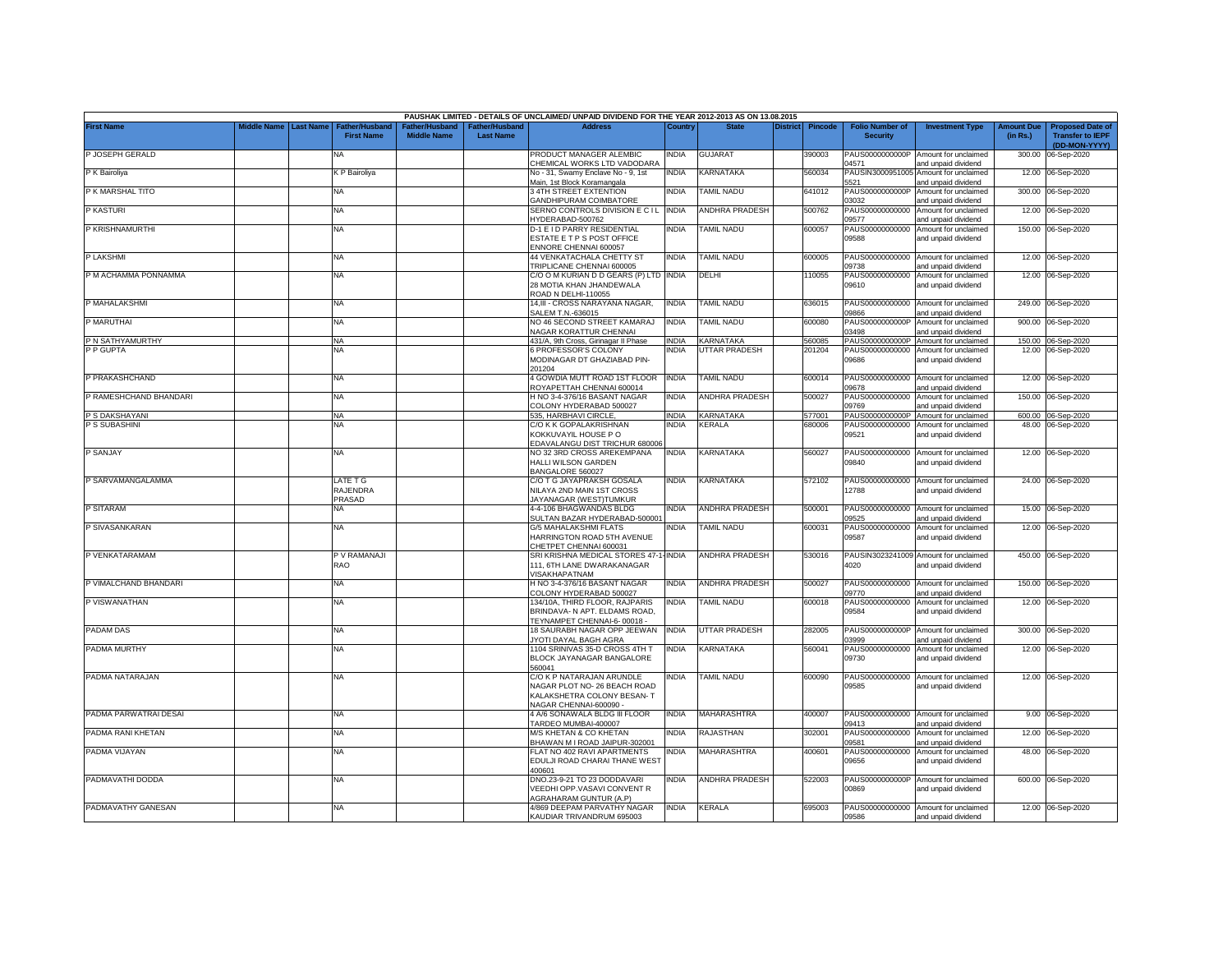|                        |             |                  |                                     |                                      |                                           | PAUSHAK LIMITED - DETAILS OF UNCLAIMED/ UNPAID DIVIDEND FOR THE YEAR 2012-2013 AS ON 13.08.2015                 |              |                       |                 |                |                                           |                                                             |                               |                                                                     |
|------------------------|-------------|------------------|-------------------------------------|--------------------------------------|-------------------------------------------|-----------------------------------------------------------------------------------------------------------------|--------------|-----------------------|-----------------|----------------|-------------------------------------------|-------------------------------------------------------------|-------------------------------|---------------------------------------------------------------------|
| <b>First Name</b>      | liddle Name | <b>Last Name</b> | Father/Husband<br><b>First Name</b> | Father/Husband<br><b>Middle Name</b> | <b>Father/Husband</b><br><b>Last Name</b> | <b>Address</b>                                                                                                  | Country      | <b>State</b>          | <b>District</b> | <b>Pincode</b> | <b>Folio Number of</b><br><b>Security</b> | <b>Investment Type</b>                                      | <b>Amount Due</b><br>(in Rs.) | <b>Proposed Date of</b><br><b>Transfer to IEPF</b><br>(DD-MON-YYYY) |
| P JOSEPH GERALD        |             |                  | NA                                  |                                      |                                           | PRODUCT MANAGER ALEMBIC<br>CHEMICAL WORKS LTD VADODARA                                                          | INDIA        | <b>GUJARAT</b>        |                 | 390003         | PAUS0000000000P<br>04571                  | Amount for unclaimed<br>and unpaid dividend                 | 300.00                        | 06-Sep-2020                                                         |
| P K Bairoliya          |             |                  | K P Bairoliya                       |                                      |                                           | No - 31, Swamy Enclave No - 9, 1st<br>Main, 1st Block Koramangala                                               | INDIA        | KARNATAKA             |                 | 560034         | PAUSIN3000951005<br>5521                  | Amount for unclaimed<br>and unpaid dividend                 |                               | 12.00 06-Sep-2020                                                   |
| P K MARSHAL TITO       |             |                  | NA                                  |                                      |                                           | 3 4TH STREET EXTENTION<br>GANDHIPURAM COIMBATORE                                                                | india        | TAMIL NADU            |                 | 641012         | PAUS0000000000P<br>03032                  | Amount for unclaimed<br>and unpaid dividend                 |                               | 300.00 06-Sep-2020                                                  |
| P KASTURI              |             |                  | <b>NA</b>                           |                                      |                                           | SERNO CONTROLS DIVISION E C I L INDIA<br>IYDERABAD-500762                                                       |              | <b>ANDHRA PRADESH</b> |                 | 500762         | PAUS00000000000<br>09577                  | Amount for unclaimed<br>and unpaid dividend                 |                               | 12.00 06-Sep-2020                                                   |
| P KRISHNAMURTHI        |             |                  | NA                                  |                                      |                                           | D-1 E I D PARRY RESIDENTIAL<br>ESTATE E T P S POST OFFICE<br>ENNORE CHENNAI 600057                              | india        | TAMIL NADU            |                 | 600057         | PAUS00000000000<br>09588                  | Amount for unclaimed<br>and unpaid dividend                 |                               | 150.00 06-Sep-2020                                                  |
| P LAKSHMI              |             |                  | <b>NA</b>                           |                                      |                                           | <b>44 VENKATACHALA CHETTY ST</b><br><b>TRIPLICANE CHENNAI 600005</b>                                            | NDIA         | <b>TAMIL NADU</b>     |                 | 600005         | PAUS00000000000<br>09738                  | Amount for unclaimed<br>and unpaid dividend                 |                               | 12.00 06-Sep-2020                                                   |
| P M ACHAMMA PONNAMMA   |             |                  | <b>NA</b>                           |                                      |                                           | C/O O M KURIAN D D GEARS (P) LTD<br>28 MOTIA KHAN JHANDEWALA<br>ROAD N DELHI-110055                             | <b>INDIA</b> | DELHI                 |                 | 10055          | PAUS00000000000<br>09610                  | Amount for unclaimed<br>and unpaid dividend                 |                               | 12.00 06-Sep-2020                                                   |
| P MAHALAKSHMI          |             |                  | <b>NA</b>                           |                                      |                                           | 14,III - CROSS NARAYANA NAGAR,<br>SALEM T.N.-636015                                                             | <b>INDIA</b> | <b>TAMIL NADU</b>     |                 | 636015         | PAUS00000000000<br>33866                  | Amount for unclaimed<br>and unpaid dividend                 |                               | 249.00 06-Sep-2020                                                  |
| P MARUTHAI             |             |                  | <b>NA</b>                           |                                      |                                           | NO 46 SECOND STREET KAMARAJ<br>NAGAR KORATTUR CHENNAI                                                           | INDIA        | <b>TAMIL NADU</b>     |                 | 600080         | PAUS0000000000P<br>03498                  | Amount for unclaimed<br>and unpaid dividend                 |                               | 900.00 06-Sep-2020                                                  |
| P N SATHYAMURTHY       |             |                  | <b>NA</b>                           |                                      |                                           | 431/A, 9th Cross, Girinagar II Phase                                                                            | <b>INDIA</b> | <b>KARNATAKA</b>      |                 | 560085         | PAUS0000000000P                           | Amount for unclaimed                                        |                               | 150.00 06-Sep-2020                                                  |
| P P GUPTA              |             |                  | <b>NA</b>                           |                                      |                                           | 6 PROFESSOR'S COLONY<br>MODINAGAR DT GHAZIABAD PIN-<br>201204                                                   | INDIA        | <b>UTTAR PRADESH</b>  |                 | 201204         | PAUS00000000000<br>09686                  | Amount for unclaimed<br>and unpaid dividend                 |                               | 12.00 06-Sep-2020                                                   |
| P PRAKASHCHAND         |             |                  | <b>NA</b>                           |                                      |                                           | 4 GOWDIA MUTT ROAD 1ST FLOOR<br>ROYAPETTAH CHENNAI 600014                                                       | <b>INDIA</b> | TAMIL NADU            |                 | 600014         | PAUS00000000000<br>09678                  | Amount for unclaimed<br>and unpaid dividend                 | 12.00                         | 06-Sep-2020                                                         |
| P RAMESHCHAND BHANDARI |             |                  | NA                                  |                                      |                                           | H NO 3-4-376/16 BASANT NAGAR<br>COLONY HYDERABAD 500027                                                         | INDIA        | ANDHRA PRADESH        |                 | 500027         | PAUS00000000000<br>09769                  | Amount for unclaimed<br>and unpaid dividend                 | 150.00                        | 06-Sep-2020                                                         |
| P S DAKSHAYANI         |             |                  | <b>NA</b>                           |                                      |                                           | 535. HARBHAVI CIRCLE.                                                                                           | <b>INDIA</b> | KARNATAKA             |                 | 577001         | PAUS0000000000P                           | Amount for unclaimed                                        |                               | 600.00 06-Sep-2020                                                  |
| P S SUBASHINI          |             |                  | NA                                  |                                      |                                           | C/O K K GOPALAKRISHNAN<br>(OKKUVAYIL HOUSE P O<br>EDAVALANGU DIST TRICHUR 680006                                | NDIA         | <b>CERALA</b>         |                 | 680006         | PAUS00000000000<br>09521                  | Amount for unclaimed<br>and unpaid dividend                 |                               | 48.00 06-Sep-2020                                                   |
| P SANJAY               |             |                  | <b>NA</b>                           |                                      |                                           | NO 32 3RD CROSS AREKEMPANA<br>HALLI WILSON GARDEN<br>BANGALORE 560027                                           | <b>INDIA</b> | KARNATAKA             |                 | 560027         | 09840                                     | PAUS00000000000 Amount for unclaimed<br>and unpaid dividend |                               | 12.00 06-Sep-2020                                                   |
| P SARVAMANGALAMMA      |             |                  | LATE T G<br>RAJENDRA<br>PRASAD      |                                      |                                           | C/O T G JAYAPRAKSH GOSALA<br>NILAYA 2ND MAIN 1ST CROSS<br>JAYANAGAR (WEST)TUMKUR                                | INDIA        | KARNATAKA             |                 | 572102         | 12788                                     | PAUS00000000000 Amount for unclaimed<br>and unpaid dividend |                               | 24.00 06-Sep-2020                                                   |
| P SITARAM              |             |                  | NA                                  |                                      |                                           | 4-4-106 BHAGWANDAS BLDG<br>SULTAN BAZAR HYDERABAD-500001                                                        | India        | ANDHRA PRADESH        |                 | 500001         | PAUS00000000000<br>09525                  | Amount for unclaimed<br>and unpaid dividend                 | 15.00                         | 06-Sep-2020                                                         |
| P SIVASANKARAN         |             |                  | <b>NA</b>                           |                                      |                                           | <b>G/5 MAHALAKSHMI FLATS</b><br>HARRINGTON ROAD 5TH AVENUE<br>CHETPET CHENNAI 600031                            | india        | <b>TAMIL NADU</b>     |                 | 600031         | PAUS00000000000<br>09587                  | Amount for unclaimed<br>and unpaid dividend                 |                               | 12.00 06-Sep-2020                                                   |
| P VENKATARAMAM         |             |                  | P V RAMANAJI<br><b>RAO</b>          |                                      |                                           | SRI KRISHNA MEDICAL STORES 47-1-<br>111. 6TH LANE DWARAKANAGAR<br>/ISAKHAPATNAM                                 | <b>INDIA</b> | ANDHRA PRADESH        |                 | 530016         | PAUSIN3023241009<br>4020                  | Amount for unclaimed<br>and unpaid dividend                 |                               | 450.00 06-Sep-2020                                                  |
| P VIMALCHAND BHANDARI  |             |                  | <b>NA</b>                           |                                      |                                           | H NO 3-4-376/16 BASANT NAGAR<br>COLONY HYDERABAD 500027                                                         | india        | <b>ANDHRA PRADESH</b> |                 | 500027         | PAUS00000000000<br>09770                  | Amount for unclaimed<br>and unpaid dividend                 | 150.00                        | 06-Sep-2020                                                         |
| P VISWANATHAN          |             |                  | <b>NA</b>                           |                                      |                                           | 134/10A, THIRD FLOOR, RAJPARIS<br>BRINDAVA- N APT. ELDAMS ROAD,<br>TEYNAMPET CHENNAI-6-00018 -                  | INDIA        | <b>TAMIL NADU</b>     |                 | 600018         | PAUS00000000000<br>09584                  | Amount for unclaimed<br>and unpaid dividend                 | 12.00                         | 06-Sep-2020                                                         |
| PADAM DAS              |             |                  | <b>NA</b>                           |                                      |                                           | 18 SAURABH NAGAR OPP JEEWAN<br>IYOTI DAYAL BAGH AGRA                                                            | <b>INDIA</b> | UTTAR PRADESH         |                 | 282005         | PAUS0000000000P<br>03999                  | Amount for unclaimed<br>and unpaid dividend                 | 300.00                        | 06-Sep-2020                                                         |
| PADMA MURTHY           |             |                  | <b>NA</b>                           |                                      |                                           | 1104 SRINIVAS 35-D CROSS 4TH T<br>BLOCK JAYANAGAR BANGALORE<br>560041                                           | india        | KARNATAKA             |                 | 560041         | PAUS00000000000<br>09730                  | Amount for unclaimed<br>and unpaid dividend                 |                               | 12.00 06-Sep-2020                                                   |
| PADMA NATARAJAN        |             |                  | <b>NA</b>                           |                                      |                                           | C/O K P NATARAJAN ARUNDLE<br>NAGAR PLOT NO- 26 BEACH ROAD<br>KALAKSHETRA COLONY BESAN-T<br>NAGAR CHENNAI-600090 | india        | <b>TAMIL NADU</b>     |                 | 600090         | PAUS00000000000<br>09585                  | Amount for unclaimed<br>and unpaid dividend                 |                               | 12.00 06-Sep-2020                                                   |
| PADMA PARWATRAI DESAI  |             |                  | <b>NA</b>                           |                                      |                                           | 4 A/6 SONAWALA BLDG III FLOOR<br>TARDEO MUMBAI-400007                                                           | india        | MAHARASHTRA           |                 | 400007         | 09413                                     | PAUS00000000000 Amount for unclaimed<br>and unpaid dividend |                               | 9.00 06-Sep-2020                                                    |
| PADMA RANI KHETAN      |             |                  | <b>NA</b>                           |                                      |                                           | <b>M/S KHETAN &amp; CO KHETAN</b><br>BHAWAN M I ROAD JAIPUR-302001                                              | NDIA         | RAJASTHAN             |                 | 302001         | PAUS00000000000<br>09581                  | Amount for unclaimed<br>and unpaid dividend                 |                               | 12.00 06-Sep-2020                                                   |
| PADMA VIJAYAN          |             |                  | <b>NA</b>                           |                                      |                                           | FLAT NO 402 RAVI APARTMENTS<br>EDULJI ROAD CHARAI THANE WEST<br>400601                                          | NDIA         | MAHARASHTRA           |                 | 400601         | PAUS00000000000<br>09656                  | Amount for unclaimed<br>and unpaid dividend                 |                               | 48.00 06-Sep-2020                                                   |
| PADMAVATHI DODDA       |             |                  | <b>NA</b>                           |                                      |                                           | DNO.23-9-21 TO 23 DODDAVARI<br>VEEDHI OPP.VASAVI CONVENT R<br><b>AGRAHARAM GUNTUR (A.P)</b>                     | india        | <b>ANDHRA PRADESH</b> |                 | 522003         | PAUS0000000000P<br>00869                  | Amount for unclaimed<br>and unpaid dividend                 |                               | 600.00 06-Sep-2020                                                  |
| PADMAVATHY GANESAN     |             |                  | <b>NA</b>                           |                                      |                                           | 4/869 DEEPAM PARVATHY NAGAR<br>KAUDIAR TRIVANDRUM 695003                                                        | <b>INDIA</b> | <b>KERALA</b>         |                 | 695003         | 09586                                     | PAUS00000000000 Amount for unclaimed<br>and unpaid dividend |                               | 12.00 06-Sep-2020                                                   |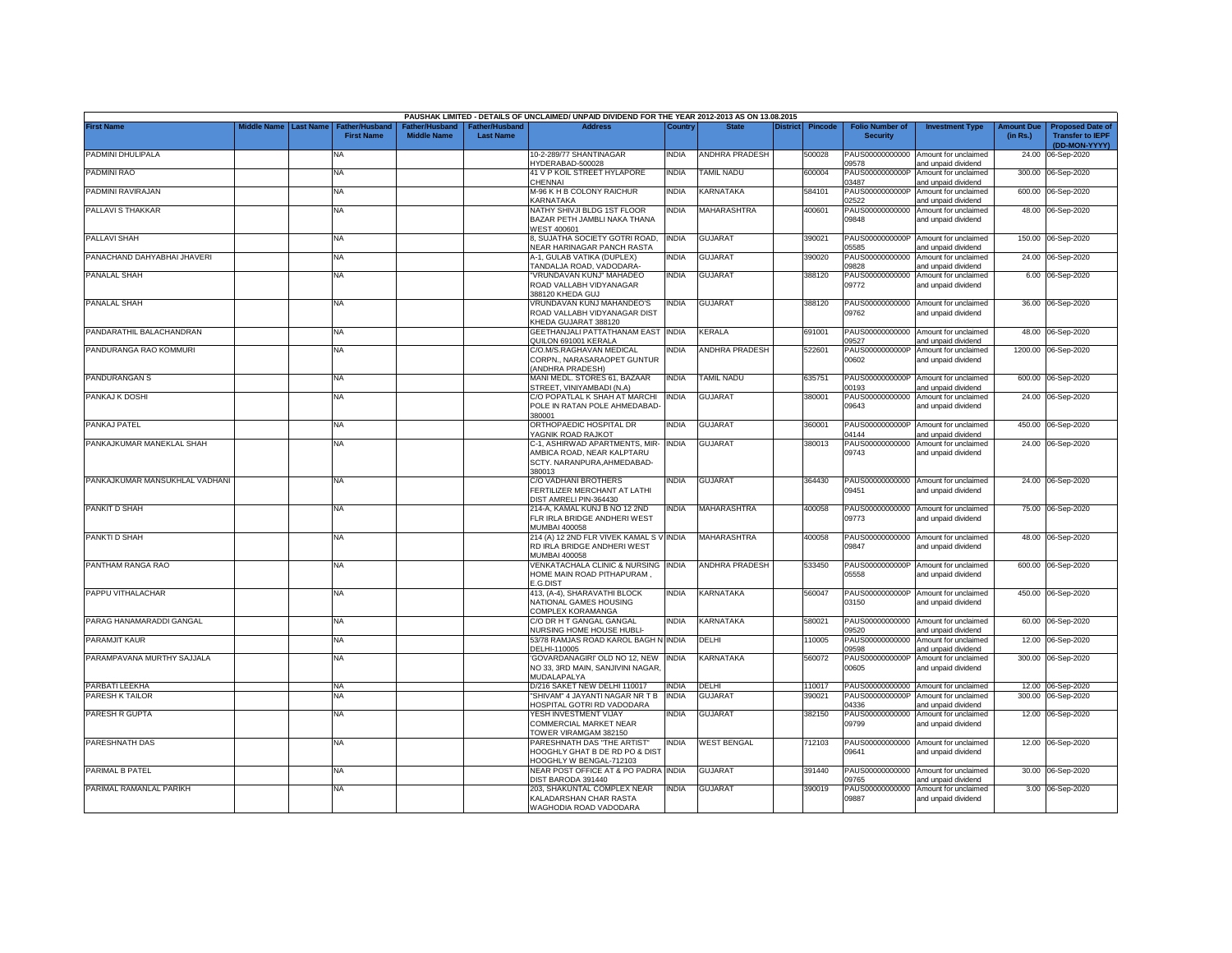|                                |                         |                                            |                                      |                                           | PAUSHAK LIMITED - DETAILS OF UNCLAIMED/ UNPAID DIVIDEND FOR THE YEAR 2012-2013 AS ON 13.08.2015       |              |                          |                 |                |                                           |                                                             |                               |                                                                     |
|--------------------------------|-------------------------|--------------------------------------------|--------------------------------------|-------------------------------------------|-------------------------------------------------------------------------------------------------------|--------------|--------------------------|-----------------|----------------|-------------------------------------------|-------------------------------------------------------------|-------------------------------|---------------------------------------------------------------------|
| <b>First Name</b>              | Middle Name   Last Name | <b>Father/Husband</b><br><b>First Name</b> | Father/Husband<br><b>Middle Name</b> | <b>Father/Husband</b><br><b>Last Name</b> | <b>Address</b>                                                                                        | Country      | <b>State</b>             | <b>District</b> | <b>Pincode</b> | <b>Folio Number of</b><br><b>Security</b> | <b>Investment Type</b>                                      | <b>Amount Due</b><br>(in Rs.) | <b>Proposed Date of</b><br><b>Transfer to IEPF</b><br>(DD-MON-YYYY) |
| PADMINI DHULIPALA              |                         | NA                                         |                                      |                                           | 10-2-289/77 SHANTINAGAR<br>HYDERABAD-500028                                                           | INDIA        | <b>ANDHRA PRADESH</b>    |                 | 500028         | 09578                                     | PAUS00000000000 Amount for unclaimed<br>and unpaid dividend | 24.00                         | 06-Sep-2020                                                         |
| PADMINI RAO                    |                         | NA                                         |                                      |                                           | 41 V P KOIL STREET HYLAPORE<br>CHENNAI                                                                | INDIA        | <b><i>FAMIL NADU</i></b> |                 | 600004         | PAUS0000000000P<br>03487                  | Amount for unclaimed<br>and unpaid dividend                 |                               | 300.00 06-Sep-2020                                                  |
| PADMINI RAVIRAJAN              |                         | NA                                         |                                      |                                           | M-96 K H B COLONY RAICHUR<br><b>KARNATAKA</b>                                                         | INDIA        | KARNATAKA                |                 | 584101         | PAUS0000000000P<br>02522                  | Amount for unclaimed<br>and unpaid dividend                 |                               | 600.00 06-Sep-2020                                                  |
| PALLAVI S THAKKAR              |                         | NA                                         |                                      |                                           | NATHY SHIVJI BLDG 1ST FLOOR<br>BAZAR PETH JAMBLI NAKA THANA<br><b>NEST 400601</b>                     | <b>INDIA</b> | MAHARASHTRA              |                 | 400601         | PAUS00000000000<br>09848                  | Amount for unclaimed<br>and unpaid dividend                 |                               | 48.00 06-Sep-2020                                                   |
| PALLAVI SHAH                   |                         | NA                                         |                                      |                                           | 8. SUJATHA SOCIETY GOTRI ROAD.<br><b>VEAR HARINAGAR PANCH RASTA</b>                                   | <b>INDIA</b> | <b>GUJARAT</b>           |                 | 390021         | 05585                                     | PAUS0000000000P Amount for unclaimed<br>and unpaid dividend |                               | 150.00 06-Sep-2020                                                  |
| PANACHAND DAHYABHAI JHAVERI    |                         | NA                                         |                                      |                                           | A-1. GULAB VATIKA (DUPLEX)<br>TANDALJA ROAD, VADODARA-                                                | NDIA         | GUJARAT                  |                 | 390020         | PAUS00000000000<br>09828                  | Amount for unclaimed<br>and unpaid dividend                 |                               | 24.00 06-Sep-2020                                                   |
| PANALAL SHAH                   |                         | NA                                         |                                      |                                           | VRUNDAVAN KUNJ" MAHADEO<br>ROAD VALLABH VIDYANAGAR<br>388120 KHEDA GUJ                                | <b>INDIA</b> | <b>GUJARAT</b>           |                 | 388120         | 09772                                     | PAUS00000000000 Amount for unclaimed<br>and unpaid dividend |                               | 6.00 06-Sep-2020                                                    |
| PANALAL SHAH                   |                         | NA                                         |                                      |                                           | VRUNDAVAN KUNJ MAHANDEO'S<br>ROAD VALLABH VIDYANAGAR DIST<br>KHEDA GUJARAT 388120                     | NDIA         | GUJARAT                  |                 | 388120         | 09762                                     | PAUS00000000000 Amount for unclaimed<br>and unpaid dividend |                               | 36.00 06-Sep-2020                                                   |
| PANDARATHIL BALACHANDRAN       |                         | NA                                         |                                      |                                           | GEETHANJALI PATTATHANAM EAST INDIA<br>QUILON 691001 KERALA                                            |              | KERALA                   |                 | 691001         | 09527                                     | PAUS00000000000 Amount for unclaimed<br>and unpaid dividend |                               | 48.00 06-Sep-2020                                                   |
| PANDURANGA RAO KOMMURI         |                         | NA                                         |                                      |                                           | C/O.M/S.RAGHAVAN MEDICAL<br>CORPN., NARASARAOPET GUNTUR<br><b>ANDHRA PRADESH)</b>                     | NDIA         | ANDHRA PRADESH           |                 | 522601         | PAUS0000000000P<br>00602                  | Amount for unclaimed<br>and unpaid dividend                 |                               | 1200.00 06-Sep-2020                                                 |
| PANDURANGAN S                  |                         | NA                                         |                                      |                                           | MANI MEDL. STORES 61. BAZAAR<br>STREET, VINIYAMBADI (N.A)                                             | NDIA         | TAMIL NADU               |                 | 635751         | PAUS0000000000P<br>00193                  | Amount for unclaimed<br>and unpaid dividend                 |                               | 600.00 06-Sep-2020                                                  |
| PANKAJ K DOSHI                 |                         | NA                                         |                                      |                                           | C/O POPATLAL K SHAH AT MARCHI<br>POLE IN RATAN POLE AHMEDABAD-<br>380001                              | <b>INDIA</b> | <b>GUJARAT</b>           |                 | 380001         | PAUS00000000000<br>09643                  | Amount for unclaimed<br>and unpaid dividend                 |                               | 24.00 06-Sep-2020                                                   |
| PANKAJ PATEL                   |                         | NA                                         |                                      |                                           | ORTHOPAEDIC HOSPITAL DR<br>YAGNIK ROAD RAJKOT                                                         | <b>INDIA</b> | GUJARAT                  |                 | 360001         | 04144                                     | PAUS0000000000P Amount for unclaimed<br>and unpaid dividend |                               | 450.00 06-Sep-2020                                                  |
| PANKAJKUMAR MANEKLAL SHAH      |                         | NA                                         |                                      |                                           | C-1. ASHIRWAD APARTMENTS, MIR-<br>AMBICA ROAD, NEAR KALPTARU<br>SCTY, NARANPURA, AHMEDABAD-<br>380013 | <b>INDIA</b> | <b>GUJARAT</b>           |                 | 380013         | 09743                                     | PAUS00000000000 Amount for unclaimed<br>and unpaid dividend |                               | 24.00 06-Sep-2020                                                   |
| PANKAJKUMAR MANSUKHLAL VADHANI |                         | NA                                         |                                      |                                           | C/O VADHANI BROTHERS<br>FERTILIZER MERCHANT AT LATHI<br>DIST AMRELI PIN-364430                        | india        | <b>GUJARAT</b>           |                 | 364430         | 09451                                     | PAUS00000000000 Amount for unclaimed<br>and unpaid dividend |                               | 24.00 06-Sep-2020                                                   |
| PANKIT D SHAH                  |                         | NA                                         |                                      |                                           | 214-A, KAMAL KUNJ B NO 12 2ND<br>FLR IRLA BRIDGE ANDHERI WEST<br>MUMBAI 400058                        | NDIA         | MAHARASHTRA              |                 | 400058         | 09773                                     | PAUS00000000000 Amount for unclaimed<br>and unpaid dividend |                               | 75.00 06-Sep-2020                                                   |
| PANKTI D SHAH                  |                         | NA                                         |                                      |                                           | 214 (A) 12 2ND FLR VIVEK KAMAL S V INDIA<br>RD IRLA BRIDGE ANDHERI WEST<br><b>MUMBAI 400058</b>       |              | MAHARASHTRA              |                 | 400058         | 09847                                     | PAUS00000000000 Amount for unclaimed<br>and unpaid dividend |                               | 48.00 06-Sep-2020                                                   |
| PANTHAM RANGA RAO              |                         | NA                                         |                                      |                                           | VENKATACHALA CLINIC & NURSING<br>HOME MAIN ROAD PITHAPURAM<br>E.G.DIST                                | <b>INDIA</b> | <b>ANDHRA PRADESH</b>    |                 | 533450         | PAUS0000000000P<br>05558                  | Amount for unclaimed<br>and unpaid dividend                 |                               | 600.00 06-Sep-2020                                                  |
| PAPPU VITHALACHAR              |                         | NA                                         |                                      |                                           | 413, (A-4), SHARAVATHI BLOCK<br>NATIONAL GAMES HOUSING<br>COMPLEX KORAMANGA                           | India        | KARNATAKA                |                 | 560047         | 03150                                     | PAUS0000000000P Amount for unclaimed<br>and unpaid dividend |                               | 450.00 06-Sep-2020                                                  |
| PARAG HANAMARADDI GANGAL       |                         | NA                                         |                                      |                                           | C/O DR H T GANGAL GANGAL<br><b>NURSING HOME HOUSE HUBLI-</b>                                          | India        | KARNATAKA                |                 | 580021         | 09520                                     | PAUS00000000000 Amount for unclaimed<br>and unpaid dividend |                               | 60.00 06-Sep-2020                                                   |
| PARAMJIT KAUR                  |                         | NA                                         |                                      |                                           | 53/78 RAMJAS ROAD KAROL BAGH N INDIA<br>DELHI-110005                                                  |              | DELHI                    |                 | 10005          | PAUS00000000000<br>09598                  | Amount for unclaimed<br>and unpaid dividend                 |                               | 12.00 06-Sep-2020                                                   |
| PARAMPAVANA MURTHY SAJJALA     |                         | NA                                         |                                      |                                           | 'GOVARDANAGIRI' OLD NO 12, NEW<br>NO 33, 3RD MAIN, SANJIVINI NAGAR,<br>MUDALAPALYA                    | <b>INDIA</b> | <b><i>KARNATAKA</i></b>  |                 | 560072         | PAUS0000000000P<br>00605                  | Amount for unclaimed<br>and unpaid dividend                 |                               | 300.00 06-Sep-2020                                                  |
| <b>PARBATI LEEKHA</b>          |                         | NA                                         |                                      |                                           | D/216 SAKET NEW DELHI 110017                                                                          | <b>INDIA</b> | DELHI                    |                 | 110017         |                                           | PAUS00000000000 Amount for unclaimed                        |                               | 12.00 06-Sep-2020                                                   |
| PARESH K TAILOR                |                         | NA                                         |                                      |                                           | 'SHIVAM" 4 JAYANTI NAGAR NR T B<br><b>IOSPITAL GOTRI RD VADODARA</b>                                  | <b>INDIA</b> | <b>GUJARAT</b>           |                 | 390021         | PAUS0000000000P<br>04336                  | Amount for unclaimed<br>and unpaid dividend                 | 300.00                        | 06-Sep-2020                                                         |
| PARESH R GUPTA                 |                         | NA                                         |                                      |                                           | YESH INVESTMENT VIJAY<br>COMMERCIAL MARKET NEAR<br>TOWER VIRAMGAM 382150                              | NDIA         | GUJARAT                  |                 | 382150         | PAUS00000000000<br>09799                  | Amount for unclaimed<br>and unpaid dividend                 |                               | 12.00 06-Sep-2020                                                   |
| PARESHNATH DAS                 |                         | NA                                         |                                      |                                           | PARESHNATH DAS "THE ARTIST"<br>HOOGHLY GHAT B DE RD PO & DIST<br>HOOGHLY W BENGAL-712103              | India        | <b>WEST BENGAL</b>       |                 | 712103         | 09641                                     | PAUS00000000000 Amount for unclaimed<br>and unpaid dividend |                               | 12.00 06-Sep-2020                                                   |
| PARIMAL B PATEL                |                         | NA                                         |                                      |                                           | <b>NEAR POST OFFICE AT &amp; PO PADRA INDIA</b><br>DIST BARODA 391440                                 |              | GUJARAT                  |                 | 391440         | PAUS00000000000<br>9765                   | Amount for unclaimed<br>and unpaid dividend                 |                               | 30.00 06-Sep-2020                                                   |
| PARIMAL RAMANLAL PARIKH        |                         | NA                                         |                                      |                                           | 203, SHAKUNTAL COMPLEX NEAR<br>KALADARSHAN CHAR RASTA<br>WAGHODIA ROAD VADODARA                       | <b>INDIA</b> | <b>GUJARAT</b>           |                 | 390019         | PAUS00000000000<br>09887                  | Amount for unclaimed<br>and unpaid dividend                 |                               | 3.00 06-Sep-2020                                                    |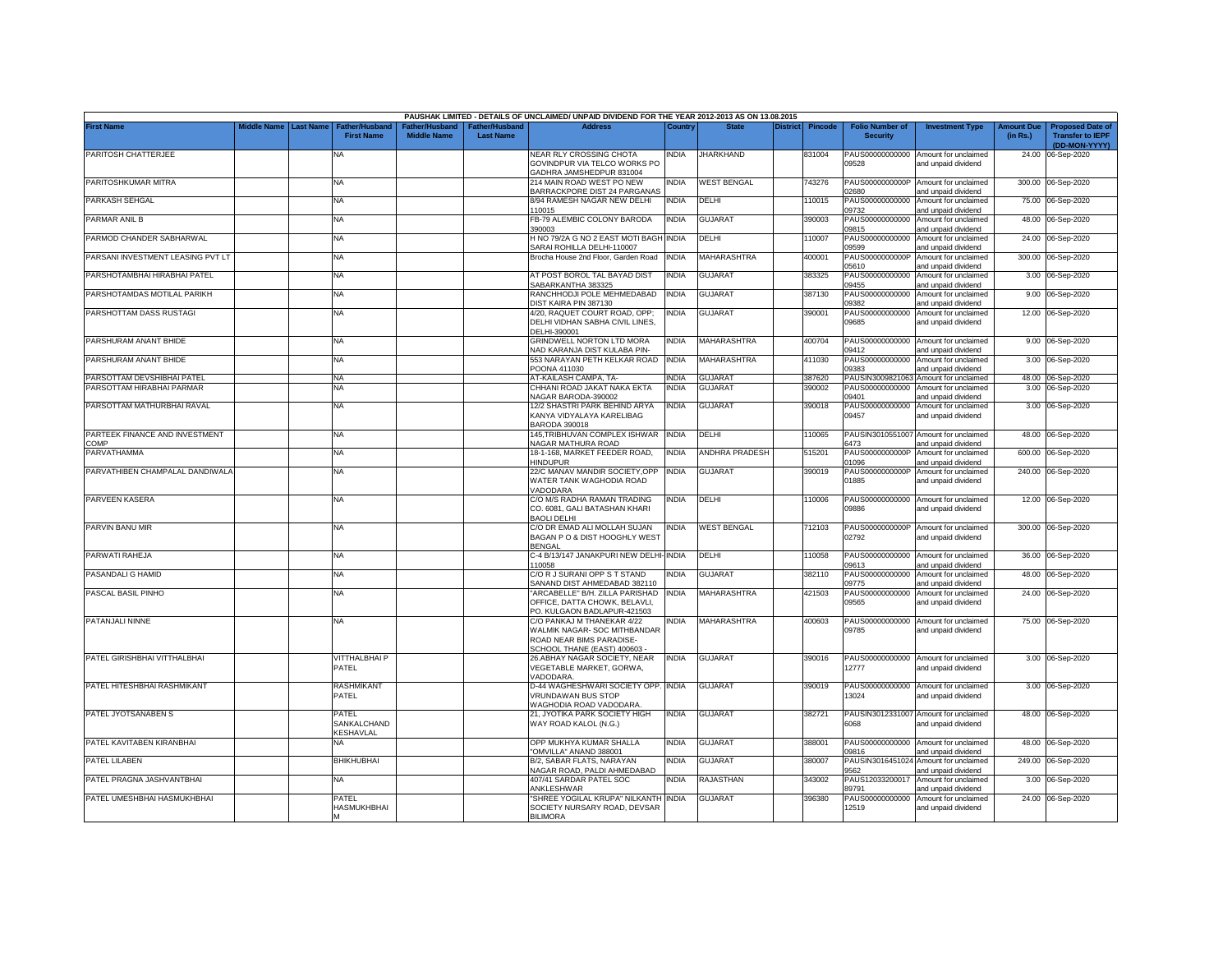|                                        |                       |                                            |                                      |                                                | PAUSHAK LIMITED - DETAILS OF UNCLAIMED/ UNPAID DIVIDEND FOR THE YEAR 2012-2013 AS ON 13.08.2015                      |              |                       |                 |         |                                           |                                                                    |                               |                                                                     |
|----------------------------------------|-----------------------|--------------------------------------------|--------------------------------------|------------------------------------------------|----------------------------------------------------------------------------------------------------------------------|--------------|-----------------------|-----------------|---------|-------------------------------------------|--------------------------------------------------------------------|-------------------------------|---------------------------------------------------------------------|
| <b>First Name</b>                      | Middle Name Last Name | <b>Father/Husband</b><br><b>First Name</b> | Father/Husband<br><b>Middle Name</b> | <sup>-</sup> ather/Husband<br><b>Last Name</b> | <b>Address</b>                                                                                                       | ⊃ountr\      | <b>State</b>          | <b>District</b> | Pincode | <b>Folio Number of</b><br><b>Security</b> | <b>Investment Type</b>                                             | <b>Amount Due</b><br>(in Rs.) | <b>Proposed Date of</b><br><b>Transfer to IEPF</b><br>(DD-MON-YYYY) |
| PARITOSH CHATTERJEE                    |                       | <b>NA</b>                                  |                                      |                                                | NEAR RLY CROSSING CHOTA<br>GOVINDPUR VIA TELCO WORKS PO                                                              | NDIA         | <b>JHARKHAND</b>      |                 | 831004  | 09528                                     | PAUS00000000000 Amount for unclaimed<br>and unpaid dividend        |                               | 24.00 06-Sep-2020                                                   |
| PARITOSHKUMAR MITRA                    |                       | <b>NA</b>                                  |                                      |                                                | GADHRA JAMSHEDPUR 831004<br>214 MAIN ROAD WEST PO NEW                                                                | NDIA         | <b>WEST BENGAL</b>    |                 | 743276  | PAUS0000000000P<br>2680                   | Amount for unclaimed                                               |                               | 300.00 06-Sep-2020                                                  |
| PARKASH SEHGAL                         |                       | <b>NA</b>                                  |                                      |                                                | BARRACKPORE DIST 24 PARGANAS<br>8/94 RAMESH NAGAR NEW DELHI<br>110015                                                | <b>INDIA</b> | DELHI                 |                 | 10015   | PAUS00000000000<br>09732                  | and unpaid dividend<br>Amount for unclaimed<br>and unpaid dividend |                               | 75.00 06-Sep-2020                                                   |
| PARMAR ANIL B                          |                       | <b>NA</b>                                  |                                      |                                                | FB-79 ALEMBIC COLONY BARODA<br>390003                                                                                | NDIA         | <b>GUJARAT</b>        |                 | 390003  | PAUS00000000000                           | Amount for unclaimed                                               |                               | 48.00 06-Sep-2020                                                   |
| PARMOD CHANDER SABHARWAL               |                       | NA                                         |                                      |                                                | H NO 79/2A G NO 2 EAST MOTI BAGH INDIA<br>SARAI ROHILLA DELHI-110007                                                 |              | DELHI                 |                 | 10007   | 09815<br>PAUS00000000000<br>09599         | and unpaid dividend<br>Amount for unclaimed<br>and unpaid dividend |                               | 24.00 06-Sep-2020                                                   |
| PARSANI INVESTMENT LEASING PVT LT      |                       | <b>NA</b>                                  |                                      |                                                | Brocha House 2nd Floor, Garden Road                                                                                  | <b>INDIA</b> | <b>MAHARASHTRA</b>    |                 | 400001  | PAUS0000000000P<br>05610                  | Amount for unclaimed<br>and unpaid dividend                        |                               | 300.00 06-Sep-2020                                                  |
| PARSHOTAMBHAI HIRABHAI PATEL           |                       | NA                                         |                                      |                                                | AT POST BOROL TAL BAYAD DIST<br>SABARKANTHA 383325                                                                   | INDIA        | GUJARAT               |                 | 383325  | PAUS00000000000<br>09455                  | Amount for unclaimed<br>and unpaid dividend                        |                               | 3.00 06-Sep-2020                                                    |
| PARSHOTAMDAS MOTILAL PARIKH            |                       | NA                                         |                                      |                                                | RANCHHODJI POLE MEHMEDABAD<br>DIST KAIRA PIN 387130                                                                  | <b>INDIA</b> | GUJARAT               |                 | 387130  | PAUS00000000000<br>09382                  | Amount for unclaimed<br>and unpaid dividend                        |                               | 9.00 06-Sep-2020                                                    |
| PARSHOTTAM DASS RUSTAGI                |                       | NA                                         |                                      |                                                | 4/20, RAQUET COURT ROAD, OPP;<br>DELHI VIDHAN SABHA CIVIL LINES,<br>DELHI-390001                                     | NDIA         | <b>GUJARAT</b>        |                 | 390001  | PAUS00000000000<br>09685                  | Amount for unclaimed<br>and unpaid dividend                        |                               | 12.00 06-Sep-2020                                                   |
| PARSHURAM ANANT BHIDE                  |                       | <b>NA</b>                                  |                                      |                                                | GRINDWELL NORTON LTD MORA<br><b>NAD KARANJA DIST KULABA PIN-</b>                                                     | <b>INDIA</b> | MAHARASHTRA           |                 | 400704  | PAUS00000000000<br>09412                  | Amount for unclaimed<br>and unpaid dividend                        |                               | 9.00 06-Sep-2020                                                    |
| PARSHURAM ANANT BHIDE                  |                       | <b>NA</b>                                  |                                      |                                                | 553 NARAYAN PETH KELKAR ROAD<br>POONA 411030                                                                         | <b>INDIA</b> | MAHARASHTRA           |                 | 411030  | PAUS00000000000<br>0383                   | Amount for unclaimed<br>and unpaid dividend                        |                               | 3.00 06-Sep-2020                                                    |
| PARSOTTAM DEVSHIBHAI PATEL             |                       | <b>NA</b>                                  |                                      |                                                | AT-KAILASH CAMPA, TA-                                                                                                | <b>NDIA</b>  | <b>GUJARAT</b>        |                 | 387620  | PAUSIN3009821063                          | Amount for unclaimed                                               |                               | 48.00 06-Sep-2020                                                   |
| PARSOTTAM HIRABHAI PARMAR              |                       | NA                                         |                                      |                                                | CHHANI ROAD JAKAT NAKA EKTA<br>VAGAR BARODA-390002                                                                   | NDIA         | <b>GUJARAT</b>        |                 | 390002  | PAUS00000000000<br>09401                  | Amount for unclaimed<br>and unpaid dividend                        | 3.00                          | 06-Sep-2020                                                         |
| PARSOTTAM MATHURBHAI RAVAL             |                       | NA                                         |                                      |                                                | 12/2 SHASTRI PARK BEHIND ARYA<br>KANYA VIDYALAYA KARELIBAG<br><b>BARODA 390018</b>                                   | INDIA        | <b>GUJARAT</b>        |                 | 390018  | PAUS00000000000<br>09457                  | Amount for unclaimed<br>and unpaid dividend                        |                               | 3.00 06-Sep-2020                                                    |
| PARTEEK FINANCE AND INVESTMENT<br>COMP |                       | NA                                         |                                      |                                                | 145,TRIBHUVAN COMPLEX ISHWAR<br>NAGAR MATHURA ROAD                                                                   | <b>INDIA</b> | DELHI                 |                 | 110065  | 6473                                      | PAUSIN3010551007 Amount for unclaimed<br>and unpaid dividend       |                               | 48.00 06-Sep-2020                                                   |
| PARVATHAMMA                            |                       | NA                                         |                                      |                                                | 18-1-168, MARKET FEEDER ROAD,<br><b>HINDUPUR</b>                                                                     | INDIA        | <b>ANDHRA PRADESH</b> |                 | 515201  | PAUS0000000000P<br>01096                  | Amount for unclaimed<br>and unpaid dividend                        | 600.00                        | 06-Sep-2020                                                         |
| PARVATHIBEN CHAMPALAL DANDIWALA        |                       | <b>NA</b>                                  |                                      |                                                | 22/C MANAV MANDIR SOCIETY, OPP<br>WATER TANK WAGHODIA ROAD<br>VADODARA                                               | <b>INDIA</b> | <b>GUJARAT</b>        |                 | 390019  | PAUS0000000000P<br>01885                  | Amount for unclaimed<br>and unpaid dividend                        |                               | 240.00 06-Sep-2020                                                  |
| PARVEEN KASERA                         |                       | <b>NA</b>                                  |                                      |                                                | C/O M/S RADHA RAMAN TRADING<br>CO. 6081, GALI BATASHAN KHARI<br><b>BAOLI DELHI</b>                                   | NDIA         | DELHI                 |                 | 10006   | PAUS00000000000<br>09886                  | Amount for unclaimed<br>and unpaid dividend                        |                               | 12.00 06-Sep-2020                                                   |
| PARVIN BANU MIR                        |                       | <b>NA</b>                                  |                                      |                                                | C/O DR EMAD ALI MOLLAH SUJAN<br>BAGAN P O & DIST HOOGHLY WEST<br><b>BENGAL</b>                                       | INDIA        | <b>WEST BENGAL</b>    |                 | 712103  | PAUS0000000000P<br>02792                  | Amount for unclaimed<br>and unpaid dividend                        |                               | 300.00 06-Sep-2020                                                  |
| PARWATI RAHEJA                         |                       | NA                                         |                                      |                                                | C-4 B/13/147 JANAKPURI NEW DELHI-INDIA<br>110058                                                                     |              | DELHI                 |                 | 10058   | PAUS00000000000<br>09613                  | Amount for unclaimed<br>and unpaid dividend                        | 36.00                         | 06-Sep-2020                                                         |
| PASANDALI G HAMID                      |                       | NA                                         |                                      |                                                | C/O R J SURANI OPP S T STAND<br>SANAND DIST AHMEDABAD 382110                                                         | INDIA        | <b>GUJARAT</b>        |                 | 382110  | PAUS00000000000<br>09775                  | Amount for unclaimed<br>and unpaid dividend                        | 48.00                         | 06-Sep-2020                                                         |
| PASCAL BASIL PINHO                     |                       | NA                                         |                                      |                                                | "ARCABELLE" B/H. ZILLA PARISHAD<br>OFFICE, DATTA CHOWK, BELAVLI,<br>PO. KULGAON BADLAPUR-421503                      | <b>INDIA</b> | MAHARASHTRA           |                 | 421503  | PAUS00000000000<br>09565                  | Amount for unclaimed<br>and unpaid dividend                        |                               | 24.00 06-Sep-2020                                                   |
| PATANJALI NINNE                        |                       | NA                                         |                                      |                                                | C/O PANKAJ M THANEKAR 4/22<br>WALMIK NAGAR- SOC MITHBANDAR<br>ROAD NEAR BIMS PARADISE-<br>SCHOOL THANE (EAST) 400603 | india        | MAHARASHTRA           |                 | 400603  | 09785                                     | PAUS00000000000 Amount for unclaimed<br>and unpaid dividend        |                               | 75.00 06-Sep-2020                                                   |
| PATEL GIRISHBHAI VITTHALBHAI           |                       | VITTHALBHAI P<br>PATEL                     |                                      |                                                | 26.ABHAY NAGAR SOCIETY, NEAR<br>VEGETABLE MARKET, GORWA,<br>VADODARA                                                 | India        | <b>GUJARAT</b>        |                 | 390016  | PAUS00000000000<br>12777                  | Amount for unclaimed<br>and unpaid dividend                        |                               | 3.00 06-Sep-2020                                                    |
| PATEL HITESHBHAI RASHMIKANT            |                       | RASHMIKANT<br>PATEL                        |                                      |                                                | D-44 WAGHESHWARI SOCIETY OPP. INDIA<br><b>VRUNDAWAN BUS STOP</b><br>WAGHODIA ROAD VADODARA                           |              | <b>GUJARAT</b>        |                 | 390019  | PAUS00000000000<br>13024                  | Amount for unclaimed<br>and unpaid dividend                        |                               | 3.00 06-Sep-2020                                                    |
| PATEL JYOTSANABEN S                    |                       | PATEL<br>SANKALCHAND<br>KESHAVLAL          |                                      |                                                | 21, JYOTIKA PARK SOCIETY HIGH<br>WAY ROAD KALOL (N.G.)                                                               | INDIA        | <b>GUJARAT</b>        |                 | 382721  | 6068                                      | PAUSIN3012331007 Amount for unclaimed<br>and unpaid dividend       |                               | 48.00 06-Sep-2020                                                   |
| PATEL KAVITABEN KIRANBHAI              |                       | NA                                         |                                      |                                                | OPP MUKHYA KUMAR SHALLA<br>'OMVILLA" ANAND 388001                                                                    | NDIA         | <b>GUJARAT</b>        |                 | 388001  | 09816                                     | PAUS00000000000 Amount for unclaimed<br>and unpaid dividend        |                               | 48.00 06-Sep-2020                                                   |
| PATEL LILABEN                          |                       | <b>BHIKHUBHAI</b>                          |                                      |                                                | B/2, SABAR FLATS, NARAYAN<br>NAGAR ROAD, PALDI AHMEDABAD                                                             | NDIA         | <b>GUJARAT</b>        |                 | 380007  | 9562                                      | PAUSIN3016451024 Amount for unclaimed<br>and unpaid dividend       |                               | 249.00 06-Sep-2020                                                  |
| PATEL PRAGNA JASHVANTBHAI              |                       | NA                                         |                                      |                                                | 407/41 SARDAR PATEL SOC<br>ANKLESHWAR                                                                                | NDIA         | RAJASTHAN             |                 | 343002  | PAUS12033200017<br>89791                  | Amount for unclaimed<br>and unpaid dividend                        |                               | 3.00 06-Sep-2020                                                    |
| PATEL UMESHBHAI HASMUKHBHAI            |                       | PATEL<br>HASMUKHBHAI                       |                                      |                                                | "SHREE YOGILAL KRUPA" NILKANTH INDIA<br>SOCIETY NURSARY ROAD, DEVSAR<br><b>BILIMORA</b>                              |              | <b>GUJARAT</b>        |                 | 396380  | PAUS00000000000<br>12519                  | Amount for unclaimed<br>and unpaid dividend                        |                               | 24.00 06-Sep-2020                                                   |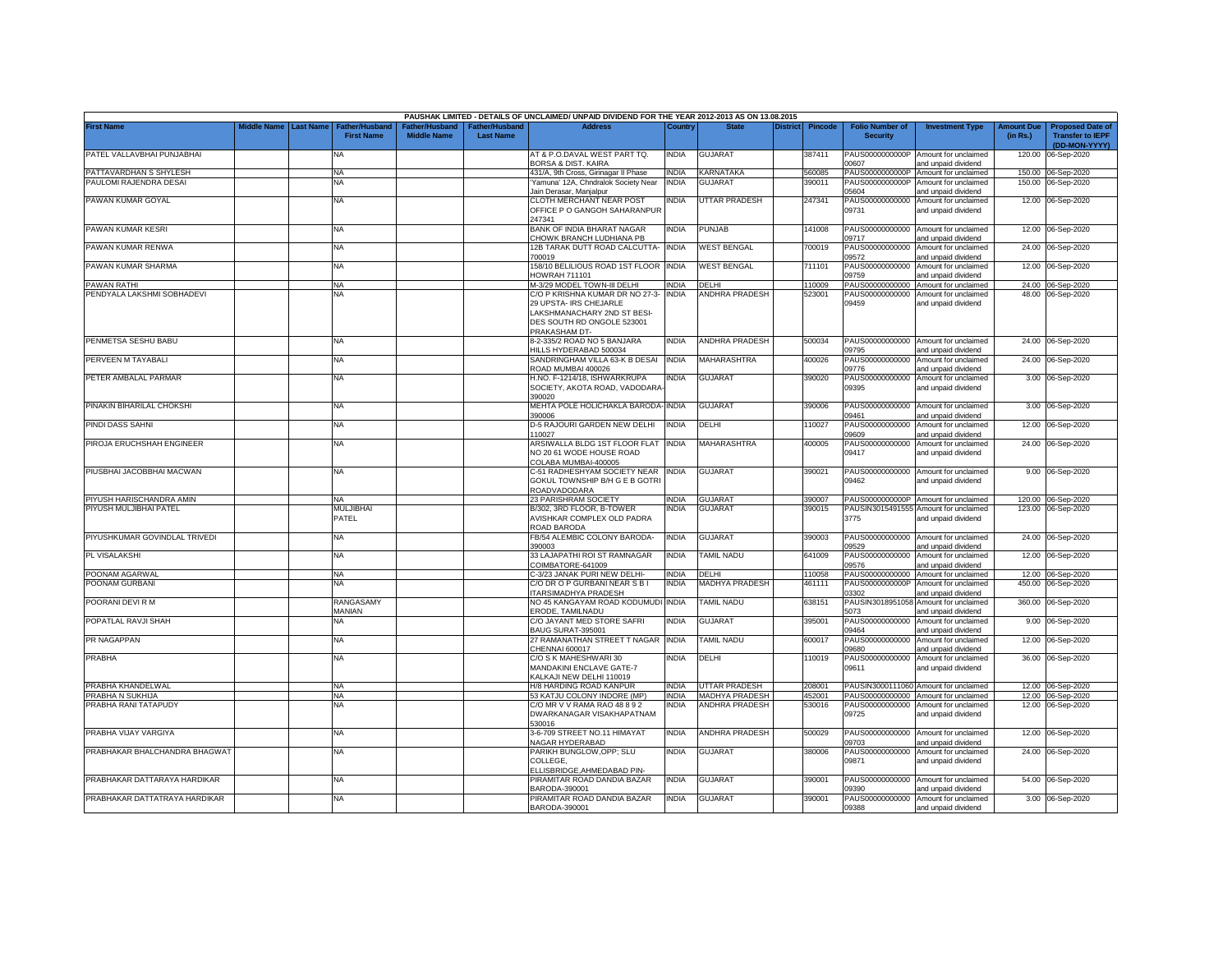|                               |                    |                  |                                            |                                      |                                           | PAUSHAK LIMITED - DETAILS OF UNCLAIMED/ UNPAID DIVIDEND FOR THE YEAR 2012-2013 AS ON 13.08.2015                                         |              |                          |                 |         |                                           |                                                             |                               |                                                                     |
|-------------------------------|--------------------|------------------|--------------------------------------------|--------------------------------------|-------------------------------------------|-----------------------------------------------------------------------------------------------------------------------------------------|--------------|--------------------------|-----------------|---------|-------------------------------------------|-------------------------------------------------------------|-------------------------------|---------------------------------------------------------------------|
| <b>First Name</b>             | <b>Middle Name</b> | <b>Last Name</b> | <b>Father/Husband</b><br><b>First Name</b> | Father/Husband<br><b>Middle Name</b> | <b>Father/Husband</b><br><b>Last Name</b> | <b>Address</b>                                                                                                                          | Country      | <b>State</b>             | <b>District</b> | Pincode | <b>Folio Number of</b><br><b>Security</b> | <b>Investment Type</b>                                      | <b>Amount Due</b><br>(in Rs.) | <b>Proposed Date of</b><br><b>Transfer to IEPF</b><br>(DD-MON-YYYY) |
| PATEL VALLAVBHAI PUNJABHAI    |                    |                  | NA                                         |                                      |                                           | AT & P.O.DAVAL WEST PART TO.<br>BORSA & DIST. KAIRA                                                                                     | INDIA        | GUJARAT                  |                 | 387411  | PAUS0000000000P<br>0607                   | Amount for unclaimed<br>and unpaid dividend                 | 120.00                        | 06-Sep-2020                                                         |
| PATTAVARDHAN S SHYLESH        |                    |                  | <b>NA</b>                                  |                                      |                                           | 431/A, 9th Cross, Girinagar II Phase                                                                                                    | <b>INDIA</b> | <b>CARNATAKA</b>         |                 | 560085  | PAUS0000000000P                           | Amount for unclaimed                                        | 150.00                        | 06-Sep-2020                                                         |
| PAULOMI RAJENDRA DESAI        |                    |                  | ΝA                                         |                                      |                                           | Yamuna' 12A, Chndralok Society Near<br>Jain Derasar, Manjalpur                                                                          | INDIA        | <b>GUJARAT</b>           |                 | 390011  | PAUS0000000000P<br>05604                  | Amount for unclaimed<br>and unpaid dividend                 | 150.00                        | 06-Sep-2020                                                         |
| PAWAN KUMAR GOYAL             |                    |                  | <b>NA</b>                                  |                                      |                                           | CLOTH MERCHANT NEAR POST<br>OFFICE P O GANGOH SAHARANPUR<br>247341                                                                      | <b>INDIA</b> | UTTAR PRADESH            |                 | 247341  | PAUS00000000000<br>09731                  | Amount for unclaimed<br>and unpaid dividend                 |                               | 12.00 06-Sep-2020                                                   |
| PAWAN KUMAR KESRI             |                    |                  | <b>NA</b>                                  |                                      |                                           | BANK OF INDIA BHARAT NAGAR<br>CHOWK BRANCH LUDHIANA PB                                                                                  | INDIA        | PUNJAB                   |                 | 141008  | PAUS00000000000<br>09717                  | Amount for unclaimed<br>and unpaid dividend                 |                               | 12.00 06-Sep-2020                                                   |
| PAWAN KUMAR RENWA             |                    |                  | <b>NA</b>                                  |                                      |                                           | 12B TARAK DUTT ROAD CALCUTTA-<br>700019                                                                                                 | <b>INDIA</b> | <b>WEST BENGAL</b>       |                 | 700019  | PAUS00000000000<br>09572                  | Amount for unclaimed<br>and unpaid dividend                 |                               | 24.00 06-Sep-2020                                                   |
| PAWAN KUMAR SHARMA            |                    |                  | <b>NA</b>                                  |                                      |                                           | 158/10 BELILIOUS ROAD 1ST FLOOR INDIA<br>HOWRAH 711101                                                                                  |              | <b>WEST BENGAL</b>       |                 | 711101  | PAUS00000000000<br>09759                  | Amount for unclaimed<br>and unpaid dividend                 |                               | 12.00 06-Sep-2020                                                   |
| PAWAN RATHI                   |                    |                  | <b>NA</b>                                  |                                      |                                           | M-3/29 MODEL TOWN-III DELHI                                                                                                             | INDIA        | DELHI                    |                 | 110009  | PAUS00000000000                           | Amount for unclaimed                                        |                               | 24.00 06-Sep-2020                                                   |
| PENDYALA LAKSHMI SOBHADEVI    |                    |                  | NA                                         |                                      |                                           | C/O P KRISHNA KUMAR DR NO 27-3-<br>29 UPSTA- IRS CHEJARLE<br>LAKSHMANACHARY 2ND ST BESI-<br>DES SOUTH RD ONGOLE 523001<br>PRAKASHAM DT- | <b>INDIA</b> | ANDHRA PRADESH           |                 | 523001  | PAUS00000000000<br>09459                  | Amount for unclaimed<br>and unpaid dividend                 |                               | 48.00 06-Sep-2020                                                   |
| PENMETSA SESHU BABU           |                    |                  | <b>NA</b>                                  |                                      |                                           | 8-2-335/2 ROAD NO 5 BANJARA<br>HILLS HYDERABAD 500034                                                                                   | INDIA        | <b>ANDHRA PRADESH</b>    |                 | 500034  | 09795                                     | PAUS00000000000 Amount for unclaimed<br>and unpaid dividend |                               | 24.00 06-Sep-2020                                                   |
| PERVEEN M TAYABALI            |                    |                  | NA                                         |                                      |                                           | SANDRINGHAM VILLA 63-K B DESAI<br>ROAD MUMBAI 400026                                                                                    | <b>INDIA</b> | MAHARASHTRA              |                 | 400026  | PAUS00000000000<br>09776                  | Amount for unclaimed<br>and unpaid dividend                 |                               | 24.00 06-Sep-2020                                                   |
| PETER AMBALAL PARMAR          |                    |                  | <b>NA</b>                                  |                                      |                                           | H.NO. F-1214/18, ISHWARKRUPA<br>SOCIETY, AKOTA ROAD, VADODARA<br>390020                                                                 | INDIA        | GUJARAT                  |                 | 390020  | PAUS00000000000<br>09395                  | Amount for unclaimed<br>and unpaid dividend                 |                               | 3.00 06-Sep-2020                                                    |
| PINAKIN BIHARILAL CHOKSHI     |                    |                  | NA                                         |                                      |                                           | MEHTA POLE HOLICHAKLA BARODA-INDIA<br>390006                                                                                            |              | GUJARAT                  |                 | 390006  | PAUS00000000000<br>09461                  | Amount for unclaimed<br>and unpaid dividend                 |                               | 3.00 06-Sep-2020                                                    |
| PINDI DASS SAHNI              |                    |                  | <b>NA</b>                                  |                                      |                                           | D-5 RAJOURI GARDEN NEW DELHI<br>110027                                                                                                  | INDIA        | DELHI                    |                 | 110027  | PAUS00000000000<br>09609                  | Amount for unclaimed<br>and unpaid dividend                 |                               | 12.00 06-Sep-2020                                                   |
| PIROJA ERUCHSHAH ENGINEER     |                    |                  | NA                                         |                                      |                                           | ARSIWALLA BLDG 1ST FLOOR FLAT<br>NO 20 61 WODE HOUSE ROAD<br>COLABA MUMBAI-400005                                                       | <b>INDIA</b> | MAHARASHTRA              |                 | 400005  | PAUS00000000000<br>09417                  | Amount for unclaimed<br>and unpaid dividend                 |                               | 24.00 06-Sep-2020                                                   |
| PIUSBHAI JACOBBHAI MACWAN     |                    |                  | <b>NA</b>                                  |                                      |                                           | C-51 RADHESHYAM SOCIETY NEAR INDIA<br>GOKUL TOWNSHIP B/H G E B GOTRI<br>ROADVADODARA                                                    |              | <b>GUJARAT</b>           |                 | 390021  | 09462                                     | PAUS00000000000 Amount for unclaimed<br>and unpaid dividend |                               | 9.00 06-Sep-2020                                                    |
| PIYUSH HARISCHANDRA AMIN      |                    |                  | <b>NA</b>                                  |                                      |                                           | 23 PARISHRAM SOCIETY                                                                                                                    | <b>INDIA</b> | <b>GUJARAT</b>           |                 | 390007  | PAUS0000000000P                           | Amount for unclaimed                                        |                               | 120.00 06-Sep-2020                                                  |
| PIYUSH MULJIBHAI PATEL        |                    |                  | <b>MULJIBHAI</b><br>PATEL                  |                                      |                                           | B/302, 3RD FLOOR, B-TOWER<br>AVISHKAR COMPLEX OLD PADRA<br>ROAD BARODA                                                                  | NDIA         | <b>GUJARAT</b>           |                 | 390015  | PAUSIN3015491555<br>3775                  | Amount for unclaimed<br>and unpaid dividend                 |                               | 123.00 06-Sep-2020                                                  |
| PIYUSHKUMAR GOVINDLAL TRIVEDI |                    |                  | NA                                         |                                      |                                           | FB/54 ALEMBIC COLONY BARODA-<br>390003                                                                                                  | INDIA        | GUJARAT                  |                 | 390003  | PAUS00000000000<br>09529                  | Amount for unclaimed<br>and unpaid dividend                 |                               | 24.00 06-Sep-2020                                                   |
| PL VISALAKSHI                 |                    |                  | <b>NA</b>                                  |                                      |                                           | 33 LAJAPATHI ROI ST RAMNAGAR<br>COIMBATORE-641009                                                                                       | INDIA        | TAMIL NADU               |                 | 641009  | PAUS00000000000<br>09576                  | Amount for unclaimed<br>and unpaid dividend                 |                               | 12.00 06-Sep-2020                                                   |
| POONAM AGARWAL                |                    |                  | <b>NA</b>                                  |                                      |                                           | C-3/23 JANAK PURI NEW DELHI-                                                                                                            | <b>INDIA</b> | DELHI                    |                 | 110058  | PAUS00000000000                           | Amount for unclaimed                                        |                               | 12.00 06-Sep-2020                                                   |
| POONAM GURBANI                |                    |                  | ΝA                                         |                                      |                                           | C/O DR O P GURBANI NEAR S B I<br>ITARSIMADHYA PRADESH                                                                                   | <b>INDIA</b> | MADHYA PRADESH           |                 | 461111  | PAUS0000000000P<br>03302                  | Amount for unclaimed<br>and unpaid dividend                 | 450.00                        | 06-Sep-2020                                                         |
| POORANI DEVI R M              |                    |                  | RANGASAMY<br>MANIAN                        |                                      |                                           | NO 45 KANGAYAM ROAD KODUMUDI INDIA<br>ERODE, TAMILNADU                                                                                  |              | <b>TAMIL NADU</b>        |                 | 638151  | PAUSIN3018951058<br>5073                  | Amount for unclaimed<br>and unpaid dividend                 | 360.00                        | 06-Sep-2020                                                         |
| POPATLAL RAVJI SHAH           |                    |                  | NA                                         |                                      |                                           | C/O JAYANT MED STORE SAFRI<br>BAUG SURAT-395001                                                                                         | INDIA        | GUJARAT                  |                 | 395001  | PAUS00000000000<br>09464                  | Amount for unclaimed<br>and unpaid dividend                 |                               | 9.00 06-Sep-2020                                                    |
| PR NAGAPPAN                   |                    |                  | <b>NA</b>                                  |                                      |                                           | 27 RAMANATHAN STREET T NAGAR<br>CHENNAI 600017                                                                                          | <b>INDIA</b> | <b><i>FAMIL NADU</i></b> |                 | 600017  | PAUS00000000000<br>0880                   | Amount for unclaimed<br>and unpaid dividend                 |                               | 12.00 06-Sep-2020                                                   |
| PRABHA                        |                    |                  | <b>NA</b>                                  |                                      |                                           | C/O S K MAHESHWARI 30<br>MANDAKINI ENCLAVE GATE-7<br>KALKAJI NEW DELHI 110019                                                           | INDIA        | DELHI                    |                 | 110019  | PAUS00000000000<br>09611                  | Amount for unclaimed<br>and unpaid dividend                 |                               | 36.00 06-Sep-2020                                                   |
| PRABHA KHANDELWAL             |                    |                  | <b>NA</b>                                  |                                      |                                           | H/8 HARDING ROAD KANPUR                                                                                                                 | <b>INDIA</b> | UTTAR PRADESH            |                 | 208001  |                                           | PAUSIN3000111060 Amount for unclaimed                       |                               | 12.00 06-Sep-2020                                                   |
| PRABHA N SUKHIJA              |                    |                  | <b>NA</b>                                  |                                      |                                           | 53 KATJU COLONY INDORE (MP)                                                                                                             | <b>INDIA</b> | MADHYA PRADESH           |                 | 452001  | PAUS00000000000                           | Amount for unclaimed                                        |                               | 12.00 06-Sep-2020                                                   |
| PRABHA RANI TATAPUDY          |                    |                  | ΝA                                         |                                      |                                           | C/O MR V V RAMA RAO 48 8 9 2<br>DWARKANAGAR VISAKHAPATNAM<br>530016                                                                     | NDIA         | <b>ANDHRA PRADESH</b>    |                 | 530016  | PAUS00000000000<br>09725                  | Amount for unclaimed<br>and unpaid dividend                 |                               | 12.00 06-Sep-2020                                                   |
| PRABHA VIJAY VARGIYA          |                    |                  | <b>NA</b>                                  |                                      |                                           | 3-6-709 STREET NO.11 HIMAYAT<br><b>NAGAR HYDERABAD</b>                                                                                  | <b>INDIA</b> | <b>ANDHRA PRADESH</b>    |                 | 500029  | 09703                                     | PAUS00000000000 Amount for unclaimed<br>and unpaid dividend |                               | 12.00 06-Sep-2020                                                   |
| PRABHAKAR BHALCHANDRA BHAGWAT |                    |                  | NA                                         |                                      |                                           | PARIKH BUNGLOW, OPP; SLU<br>COLLEGE,<br>ELLISBRIDGE, AHMEDABAD PIN-                                                                     | <b>INDIA</b> | GUJARAT                  |                 | 380006  | PAUS00000000000<br>09871                  | Amount for unclaimed<br>and unpaid dividend                 |                               | 24.00 06-Sep-2020                                                   |
| PRABHAKAR DATTARAYA HARDIKAR  |                    |                  | <b>NA</b>                                  |                                      |                                           | PIRAMITAR ROAD DANDIA BAZAR<br>BARODA-390001                                                                                            | <b>INDIA</b> | <b>GUJARAT</b>           |                 | 390001  | 09390                                     | PAUS00000000000 Amount for unclaimed<br>and unpaid dividend |                               | 54.00 06-Sep-2020                                                   |
| PRABHAKAR DATTATRAYA HARDIKAR |                    |                  | NA                                         |                                      |                                           | PIRAMITAR ROAD DANDIA BAZAR<br>BARODA-390001                                                                                            | INDIA        | GUJARAT                  |                 | 390001  | PAUS00000000000<br>09388                  | Amount for unclaimed<br>and unpaid dividend                 |                               | 3.00 06-Sep-2020                                                    |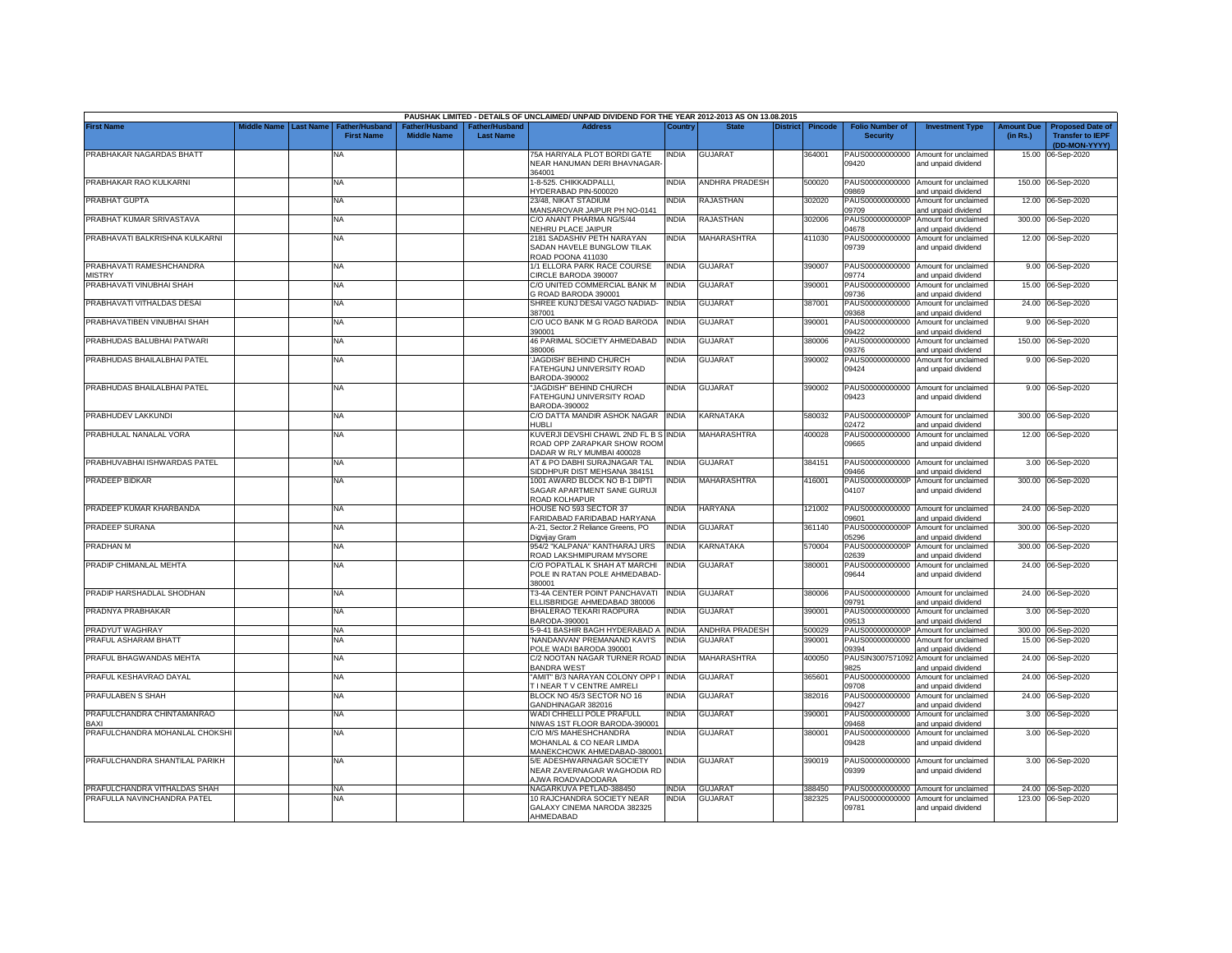|                                           |                    |                  |                                            |                                      |                                    | PAUSHAK LIMITED - DETAILS OF UNCLAIMED/ UNPAID DIVIDEND FOR THE YEAR 2012-2013 AS ON 13.08.2015 |              |                       |          |                |                                           |                                                                    |                               |                                                                     |
|-------------------------------------------|--------------------|------------------|--------------------------------------------|--------------------------------------|------------------------------------|-------------------------------------------------------------------------------------------------|--------------|-----------------------|----------|----------------|-------------------------------------------|--------------------------------------------------------------------|-------------------------------|---------------------------------------------------------------------|
| <b>First Name</b>                         | <b>Middle Name</b> | <b>Last Name</b> | <b>Father/Husband</b><br><b>First Name</b> | Father/Husband<br><b>Middle Name</b> | Father/Husband<br><b>Last Name</b> | <b>Address</b>                                                                                  | Country      | <b>State</b>          | District | <b>Pincode</b> | <b>Folio Number of</b><br><b>Security</b> | <b>Investment Type</b>                                             | <b>Amount Due</b><br>(in Rs.) | <b>Proposed Date of</b><br><b>Transfer to IEPF</b><br>(DD-MON-YYYY) |
| PRABHAKAR NAGARDAS BHATT                  |                    |                  | NA                                         |                                      |                                    | 75A HARIYALA PLOT BORDI GATE<br>NEAR HANUMAN DERI BHAVNAGAR-                                    | <b>INDIA</b> | <b>GUJARAT</b>        |          | 364001         | PAUS00000000000<br>09420                  | Amount for unclaimed<br>and unpaid dividend                        |                               | 15.00 06-Sep-2020                                                   |
| PRABHAKAR RAO KULKARNI                    |                    |                  | <b>NA</b>                                  |                                      |                                    | 364001<br>1-8-525. CHIKKADPALLI,<br>YDERABAD PIN-500020                                         | INDIA        | <b>ANDHRA PRADESH</b> |          | 500020         | PAUS00000000000<br>9869                   | Amount for unclaimed                                               |                               | 150.00 06-Sep-2020                                                  |
| PRABHAT GUPTA                             |                    |                  | <b>NA</b>                                  |                                      |                                    | 23/48. NIKAT STADIUM<br>MANSAROVAR JAIPUR PH NO-0141                                            | <b>INDIA</b> | RAJASTHAN             |          | 302020         | PAUS00000000000<br>09709                  | and unpaid dividend<br>Amount for unclaimed<br>and unpaid dividend |                               | 12.00 06-Sep-2020                                                   |
| PRABHAT KUMAR SRIVASTAVA                  |                    |                  | <b>NA</b>                                  |                                      |                                    | C/O ANANT PHARMA NG/S/44<br><b>VEHRU PLACE JAIPUR</b>                                           | NDIA         | RAJASTHAN             |          | 302006         | PAUS0000000000P<br>04678                  | Amount for unclaimed<br>and unpaid dividend                        |                               | 300.00 06-Sep-2020                                                  |
| PRABHAVATI BALKRISHNA KULKARNI            |                    |                  | <b>NA</b>                                  |                                      |                                    | 2181 SADASHIV PETH NARAYAN<br>SADAN HAVELE BUNGLOW TILAK<br><b>ROAD POONA 411030</b>            | NDIA         | MAHARASHTRA           |          | 411030         | PAUS00000000000<br>09739                  | Amount for unclaimed<br>and unpaid dividend                        |                               | 12.00 06-Sep-2020                                                   |
| PRABHAVATI RAMESHCHANDRA<br><b>MISTRY</b> |                    |                  | <b>NA</b>                                  |                                      |                                    | 1/1 ELLORA PARK RACE COURSE<br>CIRCLE BARODA 390007                                             | <b>INDIA</b> | <b>GUJARAT</b>        |          | 390007         | PAUS00000000000<br>09774                  | Amount for unclaimed<br>and unpaid dividend                        |                               | 9.00 06-Sep-2020                                                    |
| PRABHAVATI VINUBHAI SHAH                  |                    |                  | <b>NA</b>                                  |                                      |                                    | C/O UNITED COMMERCIAL BANK M<br>G ROAD BARODA 390001                                            | INDIA        | GUJARAT               |          | 390001         | PAUS00000000000<br>09736                  | Amount for unclaimed<br>and unpaid dividend                        |                               | 15.00 06-Sep-2020                                                   |
| PRABHAVATI VITHALDAS DESAI                |                    |                  | <b>NA</b>                                  |                                      |                                    | SHREE KUNJ DESAI VAGO NADIAD-<br>387001                                                         | INDIA        | <b>GUJARAT</b>        |          | 387001         | PAUS00000000000<br>09368                  | Amount for unclaimed<br>and unpaid dividend                        |                               | 24.00 06-Sep-2020                                                   |
| PRABHAVATIBEN VINUBHAI SHAH               |                    |                  | <b>NA</b>                                  |                                      |                                    | C/O UCO BANK M G ROAD BARODA<br>390001                                                          | <b>INDIA</b> | <b>GUJARAT</b>        |          | 390001         | PAUS00000000000<br>09422                  | Amount for unclaimed<br>and unpaid dividend                        |                               | 9.00 06-Sep-2020                                                    |
| PRABHUDAS BALUBHAI PATWARI                |                    |                  | <b>NA</b>                                  |                                      |                                    | 46 PARIMAL SOCIETY AHMEDABAD<br>80006                                                           | INDIA        | <b>GUJARAT</b>        |          | 380006         | PAUS00000000000<br>09376                  | Amount for unclaimed<br>and unpaid dividend                        | 150.00                        | 06-Sep-2020                                                         |
| PRABHUDAS BHAILALBHAI PATEL               |                    |                  | <b>NA</b>                                  |                                      |                                    | JAGDISH' BEHIND CHURCH<br>FATEHGUNJ UNIVERSITY ROAD<br>3ARODA-390002                            | NDIA         | GUJARAT               |          | 390002         | PAUS00000000000<br>09424                  | Amount for unclaimed<br>and unpaid dividend                        | 9.00                          | 06-Sep-2020                                                         |
| PRABHUDAS BHAILALBHAI PATEL               |                    |                  | NA                                         |                                      |                                    | 'JAGDISH'' BEHIND CHURCH<br><b>ATEHGUNJ UNIVERSITY ROAD</b><br>BARODA-390002                    | INDIA        | <b>GUJARAT</b>        |          | 390002         | PAUS00000000000<br>09423                  | Amount for unclaimed<br>and unpaid dividend                        |                               | 9.00 06-Sep-2020                                                    |
| PRABHUDEV LAKKUNDI                        |                    |                  | ΝA                                         |                                      |                                    | C/O DATTA MANDIR ASHOK NAGAR<br>HUBLI                                                           | <b>INDIA</b> | KARNATAKA             |          | 580032         | PAUS0000000000P<br>2472                   | Amount for unclaimed<br>and unpaid dividend                        |                               | 300.00 06-Sep-2020                                                  |
| PRABHULAL NANALAL VORA                    |                    |                  | ΝA                                         |                                      |                                    | KUVERJI DEVSHI CHAWL 2ND FL B S<br>ROAD OPP ZARAPKAR SHOW ROOM<br>DADAR W RLY MUMBAI 400028     | <b>INDIA</b> | <b>MAHARASHTRA</b>    |          | 400028         | PAUS00000000000<br>09665                  | Amount for unclaimed<br>and unpaid dividend                        |                               | 12.00 06-Sep-2020                                                   |
| PRABHUVABHAI ISHWARDAS PATEL              |                    |                  | <b>NA</b>                                  |                                      |                                    | AT & PO DABHI SURAJNAGAR TAL<br>SIDDHPUR DIST MEHSANA 384151                                    | <b>INDIA</b> | GUJARAT               |          | 384151         | PAUS00000000000<br>09466                  | Amount for unclaimed<br>and unpaid dividend                        | 3.00                          | 06-Sep-2020                                                         |
| PRADEEP BIDKAR                            |                    |                  | <b>NA</b>                                  |                                      |                                    | 1001 AWARD BLOCK NO B-1 DIPTI<br>SAGAR APARTMENT SANE GURUJI<br>ROAD KOLHAPUR                   | INDIA        | MAHARASHTRA           |          | 416001         | PAUS0000000000P<br>04107                  | Amount for unclaimed<br>and unpaid dividend                        |                               | 300.00 06-Sep-2020                                                  |
| PRADEEP KUMAR KHARBANDA                   |                    |                  | <b>NA</b>                                  |                                      |                                    | HOUSE NO 593 SECTOR 37<br>FARIDABAD FARIDABAD HARYANA                                           | INDIA        | <b>HARYANA</b>        |          | 121002         | PAUS00000000000<br>09601                  | Amount for unclaimed<br>and unpaid dividend                        | 24.00                         | 06-Sep-2020                                                         |
| PRADEEP SURANA                            |                    |                  | <b>NA</b>                                  |                                      |                                    | A-21, Sector.2 Reliance Greens, PO<br>Digvijav Gram                                             | India        | <b>GUJARAT</b>        |          | 361140         | PAUS0000000000F<br>05296                  | Amount for unclaimed<br>and unpaid dividend                        | 300.00                        | 06-Sep-2020                                                         |
| PRADHAN M                                 |                    |                  | <b>NA</b>                                  |                                      |                                    | 954/2 "KALPANA" KANTHARAJ URS<br>ROAD LAKSHMIPURAM MYSORE                                       | <b>INDIA</b> | KARNATAKA             |          | 570004         | PAUS0000000000F<br>02639                  | Amount for unclaimed<br>and unpaid dividend                        | 300.00                        | 06-Sep-2020                                                         |
| PRADIP CHIMANLAL MEHTA                    |                    |                  | <b>NA</b>                                  |                                      |                                    | C/O POPATLAL K SHAH AT MARCHI<br>POLE IN RATAN POLE AHMEDABAD-<br>380001                        | India        | <b>GUJARAT</b>        |          | 380001         | PAUS00000000000<br>09644                  | Amount for unclaimed<br>and unpaid dividend                        | 24.00                         | 06-Sep-2020                                                         |
| PRADIP HARSHADLAL SHODHAN                 |                    |                  | <b>NA</b>                                  |                                      |                                    | T3-4A CENTER POINT PANCHAVATI<br>ELLISBRIDGE AHMEDABAD 380006                                   | <b>INDIA</b> | <b>GUJARAT</b>        |          | 380006         | PAUS00000000000<br>09791                  | Amount for unclaimed<br>and unpaid dividend                        |                               | 24.00 06-Sep-2020                                                   |
| PRADNYA PRABHAKAR                         |                    |                  | <b>NA</b>                                  |                                      |                                    | BHALERAO TEKARI RAOPURA<br>BARODA-390001                                                        | INDIA        | GUJARAT               |          | 390001         | PAUS00000000000<br>09513                  | Amount for unclaimed<br>and unpaid dividend                        | 3.00                          | 06-Sep-2020                                                         |
| PRADYUT WAGHRAY                           |                    |                  | <b>NA</b>                                  |                                      |                                    | 5-9-41 BASHIR BAGH HYDERABAD A INDIA                                                            |              | ANDHRA PRADESH        |          | 500029         | PAUS0000000000P                           | Amount for unclaimed                                               |                               | 300.00 06-Sep-2020                                                  |
| PRAFUL ASHARAM BHATT                      |                    |                  | <b>NA</b>                                  |                                      |                                    | 'NANDANVAN' PREMANAND KAVI'S<br>POLE WADI BARODA 390001                                         | INDIA        | <b>GUJARAT</b>        |          | 390001         | PAUS00000000000<br>09394                  | Amount for unclaimed<br>and unpaid dividend                        |                               | 15.00 06-Sep-2020                                                   |
| PRAFUL BHAGWANDAS MEHTA                   |                    |                  | NA                                         |                                      |                                    | C/2 NOOTAN NAGAR TURNER ROAD<br><b>BANDRA WEST</b>                                              | <b>INDIA</b> | MAHARASHTRA           |          | 400050         | PAUSIN3007571092<br>9825                  | Amount for unclaimed<br>and unpaid dividend                        | 24.00                         | 06-Sep-2020                                                         |
| PRAFUL KESHAVRAO DAYAL                    |                    |                  | <b>NA</b>                                  |                                      |                                    | 'AMIT" B/3 NARAYAN COLONY OPP I<br>I NEAR TV CENTRE AMRELI                                      | <b>INDIA</b> | <b>GUJARAT</b>        |          | 365601         | PAUS00000000000<br>09708                  | Amount for unclaimed<br>and unpaid dividend                        | 24.00                         | 06-Sep-2020                                                         |
| PRAFULABEN S SHAH                         |                    |                  | NA                                         |                                      |                                    | BLOCK NO 45/3 SECTOR NO 16<br><b>GANDHINAGAR 382016</b>                                         | NDIA         | GUJARAT               |          | 382016         | PAUS00000000000<br>09427                  | Amount for unclaimed<br>and unpaid dividend                        | 24.00                         | 06-Sep-2020                                                         |
| PRAFULCHANDRA CHINTAMANRAO<br>BAXI        |                    |                  | NA                                         |                                      |                                    | WADI CHHELLI POLE PRAFULL<br>VIWAS 1ST FLOOR BARODA-390001                                      | INDIA        | <b>GUJARAT</b>        |          | 390001         | PAUS00000000000<br>09468                  | Amount for unclaimed<br>and unpaid dividend                        |                               | 3.00 06-Sep-2020                                                    |
| PRAFULCHANDRA MOHANLAL CHOKSHI            |                    |                  | <b>NA</b>                                  |                                      |                                    | C/O M/S MAHESHCHANDRA<br>MOHANLAL & CO NEAR LIMDA<br>MANEKCHOWK AHMEDABAD-380001                | NDIA         | <b>GUJARAT</b>        |          | 380001         | PAUS00000000000<br>09428                  | Amount for unclaimed<br>and unpaid dividend                        |                               | 3.00 06-Sep-2020                                                    |
| PRAFULCHANDRA SHANTILAL PARIKH            |                    |                  | <b>NA</b>                                  |                                      |                                    | 5/E ADESHWARNAGAR SOCIETY<br>NEAR ZAVERNAGAR WAGHODIA RD<br><b>JWA ROADVADODARA</b>             | NDIA         | <b>GUJARAT</b>        |          | 390019         | 09399                                     | PAUS00000000000 Amount for unclaimed<br>and unpaid dividend        |                               | 3.00 06-Sep-2020                                                    |
| PRAFULCHANDRA VITHALDAS SHAH              |                    |                  | <b>NA</b>                                  |                                      |                                    | NAGARKUVA PETLAD-388450                                                                         | <b>INDIA</b> | <b>GUJARAT</b>        |          | 388450         |                                           | PAUS00000000000 Amount for unclaimed                               |                               | 24.00 06-Sep-2020                                                   |
| PRAFULLA NAVINCHANDRA PATEL               |                    |                  | NA                                         |                                      |                                    | 10 RAJCHANDRA SOCIETY NEAR<br>GALAXY CINEMA NARODA 382325<br>AHMEDABAD                          | INDIA        | GUJARAT               |          | 382325         | PAUS00000000000<br>09781                  | Amount for unclaimed<br>and unpaid dividend                        |                               | 123.00 06-Sep-2020                                                  |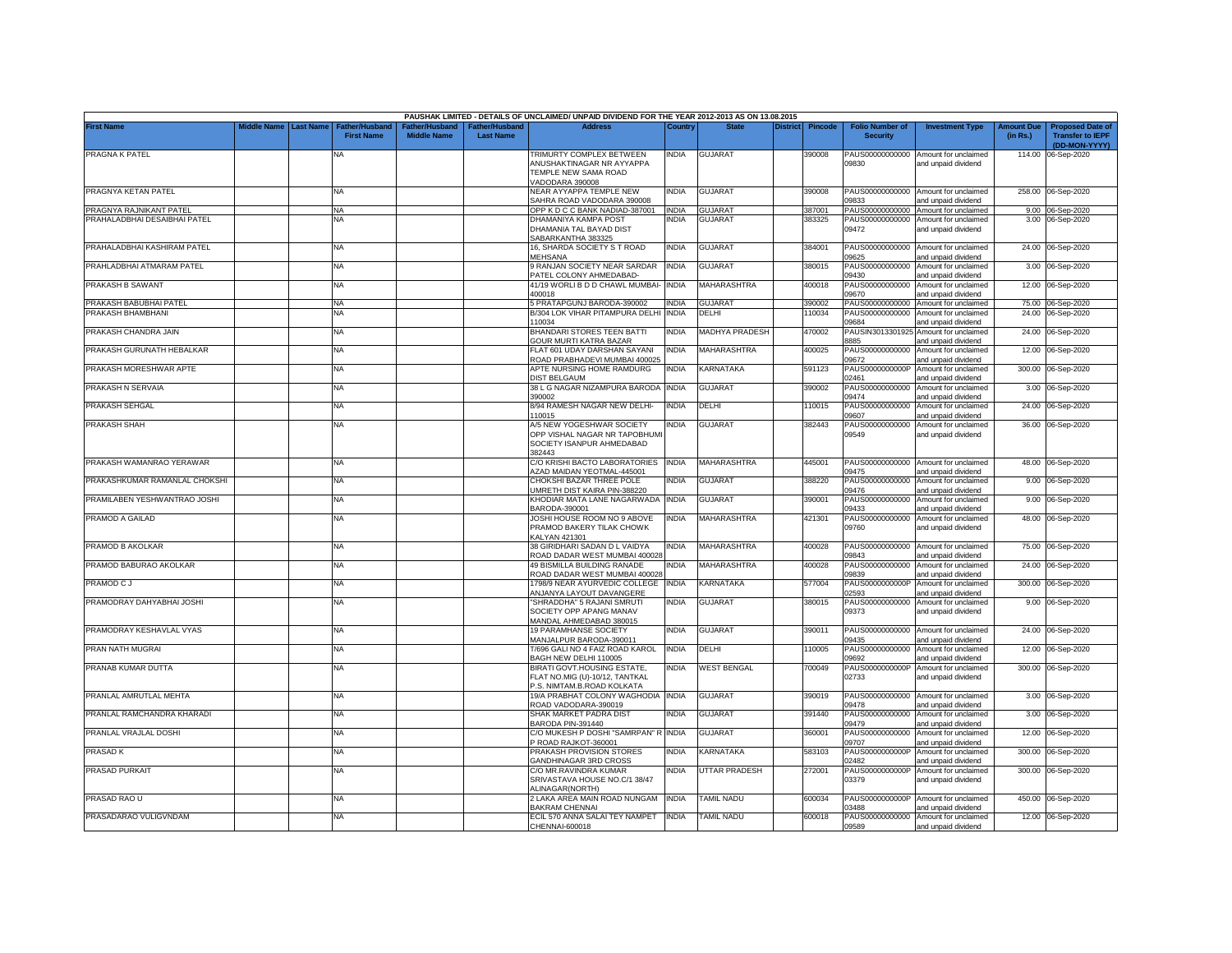|                               |             |                  |                                            |                                                  |                                   | PAUSHAK LIMITED - DETAILS OF UNCLAIMED/ UNPAID DIVIDEND FOR THE YEAR 2012-2013 AS ON 13.08.2015   |              |                       |                 |                |                                           |                                                             |                               |                                                                     |
|-------------------------------|-------------|------------------|--------------------------------------------|--------------------------------------------------|-----------------------------------|---------------------------------------------------------------------------------------------------|--------------|-----------------------|-----------------|----------------|-------------------------------------------|-------------------------------------------------------------|-------------------------------|---------------------------------------------------------------------|
| <b>First Name</b>             | Middle Name | <b>Last Name</b> | <b>Father/Husband</b><br><b>First Name</b> | ather/Husband <sup>:</sup><br><b>Middle Name</b> | ather/Husband<br><b>Last Name</b> | <b>Address</b>                                                                                    | Country      | <b>State</b>          | <b>District</b> | <b>Pincode</b> | <b>Folio Number of</b><br><b>Security</b> | <b>Investment Type</b>                                      | <b>Amount Due</b><br>(in Rs.) | <b>Proposed Date of</b><br><b>Transfer to IEPF</b><br>(DD-MON-YYYY) |
| PRAGNA K PATEL                |             |                  | ΝA                                         |                                                  |                                   | TRIMURTY COMPLEX BETWEEN<br>ANUSHAKTINAGAR NR AYYAPPA<br>TEMPLE NEW SAMA ROAD<br>/ADODARA 390008  | india        | <b>GUJARAT</b>        |                 | 390008         | PAUS00000000000<br>09830                  | Amount for unclaimed<br>and unpaid dividend                 |                               | 114.00 06-Sep-2020                                                  |
| PRAGNYA KETAN PATEL           |             |                  | <b>NA</b>                                  |                                                  |                                   | NEAR AYYAPPA TEMPLE NEW<br>SAHRA ROAD VADODARA 390008                                             | <b>INDIA</b> | <b>GUJARAT</b>        |                 | 390008         | PAUS00000000000<br>09833                  | Amount for unclaimed<br>and unpaid dividend                 |                               | 258.00 06-Sep-2020                                                  |
| PRAGNYA RAJNIKANT PATEL       |             |                  | <b>NA</b>                                  |                                                  |                                   | OPP K D C C BANK NADIAD-387001                                                                    | <b>INDIA</b> | <b>GUJARAT</b>        |                 | 387001         | PAUS00000000000                           | Amount for unclaimed                                        |                               | 9.00 06-Sep-2020                                                    |
| PRAHALADBHAI DESAIBHAI PATEL  |             |                  | <b>NA</b>                                  |                                                  |                                   | DHAMANIYA KAMPA POST<br>DHAMANIA TAL BAYAD DIST<br>SABARKANTHA 383325                             | india        | <b>GUJARA1</b>        |                 | 383325         | PAUS00000000000<br>09472                  | Amount for unclaimed<br>and unpaid dividend                 |                               | 3.00 06-Sep-2020                                                    |
| PRAHALADBHAI KASHIRAM PATEL   |             |                  | <b>NA</b>                                  |                                                  |                                   | 16, SHARDA SOCIETY S T ROAD<br><b>MEHSANA</b>                                                     | INDIA        | <b>GUJARAT</b>        |                 | 384001         | PAUS00000000000<br>09625                  | Amount for unclaimed<br>and unpaid dividend                 |                               | 24.00 06-Sep-2020                                                   |
| PRAHLADBHAI ATMARAM PATEL     |             |                  | <b>NA</b>                                  |                                                  |                                   | 9 RANJAN SOCIETY NEAR SARDAR<br>PATEL COLONY AHMEDABAD-                                           | <b>INDIA</b> | <b>GUJARAT</b>        |                 | 380015         | PAUS00000000000<br>09430                  | Amount for unclaimed<br>and unpaid dividend                 |                               | 3.00 06-Sep-2020                                                    |
| PRAKASH B SAWANT              |             |                  | <b>NA</b>                                  |                                                  |                                   | 41/19 WORLI B D D CHAWL MUMBAI-<br>400018                                                         | <b>INDIA</b> | MAHARASHTRA           |                 | 400018         | PAUS00000000000<br>09670                  | Amount for unclaimed<br>and unpaid dividend                 |                               | 12.00 06-Sep-2020                                                   |
| PRAKASH BABUBHAI PATEL        |             |                  | <b>NA</b>                                  |                                                  |                                   | 5 PRATAPGUNJ BARODA-390002                                                                        | <b>INDIA</b> | <b>GUJARAT</b>        |                 | 390002         | PAUS00000000000                           | Amount for unclaimed                                        |                               | 75.00 06-Sep-2020                                                   |
| PRAKASH BHAMBHANI             |             |                  | <b>NA</b>                                  |                                                  |                                   | B/304 LOK VIHAR PITAMPURA DELHI<br>10034                                                          | <b>INDIA</b> | DELHI                 |                 | 10034          | PAUS00000000000<br>09684                  | Amount for unclaimed<br>and unpaid dividend                 | 24.00                         | 06-Sep-2020                                                         |
| PRAKASH CHANDRA JAIN          |             |                  | NA                                         |                                                  |                                   | BHANDARI STORES TEEN BATTI<br>GOUR MURTI KATRA BAZAR                                              | <b>INDIA</b> | <b>MADHYA PRADESH</b> |                 | 470002         | PAUSIN3013301925<br>8885                  | Amount for unclaimed<br>and unpaid dividend                 |                               | 24.00 06-Sep-2020                                                   |
| PRAKASH GURUNATH HEBALKAR     |             |                  | <b>NA</b>                                  |                                                  |                                   | FLAT 601 UDAY DARSHAN SAYANI<br>ROAD PRABHADEVI MUMBAI 400025                                     | india        | MAHARASHTRA           |                 | 400025         | PAUS00000000000<br>09672                  | Amount for unclaimed<br>and unpaid dividend                 | 12.00                         | 06-Sep-2020                                                         |
| PRAKASH MORESHWAR APTE        |             |                  | <b>NA</b>                                  |                                                  |                                   | APTE NURSING HOME RAMDURG<br><b>DIST BELGAUM</b>                                                  | <b>INDIA</b> | KARNATAKA             |                 | 591123         | PAUS0000000000P<br>02461                  | Amount for unclaimed<br>and unpaid dividend                 | 300.00                        | 06-Sep-2020                                                         |
| PRAKASH N SERVAIA             |             |                  | <b>NA</b>                                  |                                                  |                                   | 38 L G NAGAR NIZAMPURA BARODA<br>390002                                                           | <b>INDIA</b> | <b>GUJARAT</b>        |                 | 390002         | PAUS00000000000<br>09474                  | Amount for unclaimed<br>and unpaid dividend                 |                               | 3.00 06-Sep-2020                                                    |
| PRAKASH SEHGAL                |             |                  | <b>NA</b>                                  |                                                  |                                   | 8/94 RAMESH NAGAR NEW DELHI-<br>10015                                                             | NDIA         | DELHI                 |                 | 10015          | PAUS00000000000<br>09607                  | Amount for unclaimed<br>and unpaid dividend                 | 24.00                         | 06-Sep-2020                                                         |
| PRAKASH SHAH                  |             |                  | NA                                         |                                                  |                                   | A/5 NEW YOGESHWAR SOCIETY<br>OPP VISHAL NAGAR NR TAPOBHUMI<br>SOCIETY ISANPUR AHMEDABAD<br>382443 | india        | <b>GUJARAT</b>        |                 | 382443         | PAUS00000000000<br>09549                  | Amount for unclaimed<br>and unpaid dividend                 |                               | 36.00 06-Sep-2020                                                   |
| PRAKASH WAMANRAO YERAWAR      |             |                  | <b>NA</b>                                  |                                                  |                                   | C/O KRISHI BACTO LABORATORIES<br><b>AZAD MAIDAN YEOTMAL-445001</b>                                | <b>INDIA</b> | <b>MAHARASHTRA</b>    |                 | 445001         | PAUS00000000000<br>09475                  | Amount for unclaimed<br>and unpaid dividend                 |                               | 48.00 06-Sep-2020                                                   |
| PRAKASHKUMAR RAMANLAL CHOKSHI |             |                  | <b>NA</b>                                  |                                                  |                                   | CHOKSHI BAZAR THREE POLE<br>JMRETH DIST KAIRA PIN-388220                                          | india        | <b>GUJARAT</b>        |                 | 388220         | PAUS00000000000<br>09476                  | Amount for unclaimed<br>and unpaid dividend                 |                               | 9.00 06-Sep-2020                                                    |
| PRAMILABEN YESHWANTRAO JOSHI  |             |                  | <b>NA</b>                                  |                                                  |                                   | KHODIAR MATA LANE NAGARWADA<br>BARODA-390001                                                      | <b>INDIA</b> | <b>GUJARAT</b>        |                 | 390001         | PAUS00000000000<br>09433                  | Amount for unclaimed<br>and unpaid dividend                 |                               | 9.00 06-Sep-2020                                                    |
| PRAMOD A GAILAD               |             |                  | <b>NA</b>                                  |                                                  |                                   | JOSHI HOUSE ROOM NO 9 ABOVE<br>PRAMOD BAKERY TILAK CHOWK<br>KALYAN 421301                         | <b>INDIA</b> | MAHARASHTRA           |                 | 421301         | PAUS00000000000<br>09760                  | Amount for unclaimed<br>and unpaid dividend                 |                               | 48.00 06-Sep-2020                                                   |
| PRAMOD B AKOLKAR              |             |                  | <b>NA</b>                                  |                                                  |                                   | 38 GIRIDHARI SADAN D L VAIDYA<br>ROAD DADAR WEST MUMBAI 400028                                    | india        | <b>MAHARASHTRA</b>    |                 | 400028         | PAUS00000000000<br>09843                  | Amount for unclaimed<br>and unpaid dividend                 |                               | 75.00 06-Sep-2020                                                   |
| PRAMOD BABURAO AKOLKAR        |             |                  | <b>NA</b>                                  |                                                  |                                   | 49 BISMILLA BUILDING RANADE<br>ROAD DADAR WEST MUMBAI 400028                                      | NDIA         | <b>MAHARASHTRA</b>    |                 | 400028         | PAUS00000000000<br>09839                  | Amount for unclaimed<br>and unpaid dividend                 |                               | 24.00 06-Sep-2020                                                   |
| PRAMOD CJ                     |             |                  | <b>NA</b>                                  |                                                  |                                   | 1798/9 NEAR AYURVEDIC COLLEGE<br><b>INJANYA LAYOUT DAVANGERE</b>                                  | <b>INDIA</b> | KARNATAKA             |                 | 577004         | PAUS0000000000P<br>02593                  | Amount for unclaimed<br>and unpaid dividend                 |                               | 300.00 06-Sep-2020                                                  |
| PRAMODRAY DAHYABHAI JOSHI     |             |                  | NA                                         |                                                  |                                   | 'SHRADDHA" 5 RAJANI SMRUTI<br>SOCIETY OPP APANG MANAV<br>MANDAL AHMEDABAD 380015                  | <b>INDIA</b> | <b>GUJARAT</b>        |                 | 380015         | PAUS00000000000<br>09373                  | Amount for unclaimed<br>and unpaid dividend                 |                               | 9.00 06-Sep-2020                                                    |
| PRAMODRAY KESHAVLAL VYAS      |             |                  | <b>NA</b>                                  |                                                  |                                   | <b>19 PARAMHANSE SOCIETY</b><br>MANJALPUR BARODA-390011                                           | <b>INDIA</b> | <b>GUJARAT</b>        |                 | 390011         | PAUS00000000000<br>09435                  | Amount for unclaimed<br>and unpaid dividend                 |                               | 24.00 06-Sep-2020                                                   |
| PRAN NATH MUGRAI              |             |                  | <b>NA</b>                                  |                                                  |                                   | T/696 GALI NO 4 FAIZ ROAD KAROL<br>BAGH NEW DELHI 110005                                          | <b>INDIA</b> | DELHI                 |                 | 10005          | PAUS00000000000<br>09692                  | Amount for unclaimed<br>and unpaid dividend                 | 12.00                         | 06-Sep-2020                                                         |
| PRANAB KUMAR DUTTA            |             |                  | <b>NA</b>                                  |                                                  |                                   | BIRATI GOVT.HOUSING ESTATE,<br>FLAT NO.MIG (U)-10/12, TANTKAL<br>P.S. NIMTAM.B.ROAD KOLKATA       | <b>INDIA</b> | <b>WEST BENGAL</b>    |                 | 700049         | PAUS0000000000P<br>02733                  | Amount for unclaimed<br>and unpaid dividend                 |                               | 300.00 06-Sep-2020                                                  |
| PRANLAL AMRUTLAL MEHTA        |             |                  | <b>NA</b>                                  |                                                  |                                   | 19/A PRABHAT COLONY WAGHODIA<br>ROAD VADODARA-390019                                              | <b>INDIA</b> | <b>GUJARAT</b>        |                 | 390019         | PAUS00000000000<br>09478                  | Amount for unclaimed<br>and unpaid dividend                 |                               | 3.00 06-Sep-2020                                                    |
| PRANLAL RAMCHANDRA KHARADI    |             |                  | <b>NA</b>                                  |                                                  |                                   | SHAK MARKET PADRA DIST<br>BARODA PIN-391440                                                       | NDIA         | <b>GUJARAT</b>        |                 | 391440         | PAUS00000000000<br>09479                  | Amount for unclaimed<br>and unpaid dividend                 | 3.00                          | 06-Sep-2020                                                         |
| PRANLAL VRAJLAL DOSHI         |             |                  | <b>NA</b>                                  |                                                  |                                   | C/O MUKESH P DOSHI "SAMRPAN" R<br>ROAD RAJKOT-360001                                              | <b>INDIA</b> | <b>GUJARAT</b>        |                 | 360001         | PAUS00000000000<br>09707                  | Amount for unclaimed<br>and unpaid dividend                 | 12.00                         | 06-Sep-2020                                                         |
| <b>PRASADK</b>                |             |                  | <b>NA</b>                                  |                                                  |                                   | PRAKASH PROVISION STORES<br><b>GANDHINAGAR 3RD CROSS</b>                                          | INDIA        | KARNATAKA             |                 | 583103         | PAUS0000000000P<br>02482                  | Amount for unclaimed<br>and unpaid dividend                 | 300.00                        | 06-Sep-2020                                                         |
| PRASAD PURKAIT                |             |                  | NA                                         |                                                  |                                   | C/O MR.RAVINDRA KUMAR<br>SRIVASTAVA HOUSE NO.C/1 38/47<br><b>ILINAGAR(NORTH)</b>                  | NDIA         | UTTAR PRADESH         |                 | 272001         | PAUS0000000000P<br>03379                  | Amount for unclaimed<br>and unpaid dividend                 | 300.00                        | 06-Sep-2020                                                         |
| PRASAD RAO U                  |             |                  | <b>NA</b>                                  |                                                  |                                   | 2 LAKA AREA MAIN ROAD NUNGAM<br>BAKRAM CHENNAI                                                    | <b>INDIA</b> | <b>TAMIL NADU</b>     |                 | 600034         | PAUS0000000000P<br>03488                  | Amount for unclaimed<br>and unpaid dividend                 |                               | 450.00 06-Sep-2020                                                  |
| PRASADARAO VULIGVNDAM         |             |                  | <b>NA</b>                                  |                                                  |                                   | ECIL 570 ANNA SALAI TEY NAMPET<br>CHENNAI-600018                                                  | <b>INDIA</b> | <b>TAMIL NADU</b>     |                 | 600018         | 09589                                     | PAUS00000000000 Amount for unclaimed<br>and unpaid dividend |                               | 12.00 06-Sep-2020                                                   |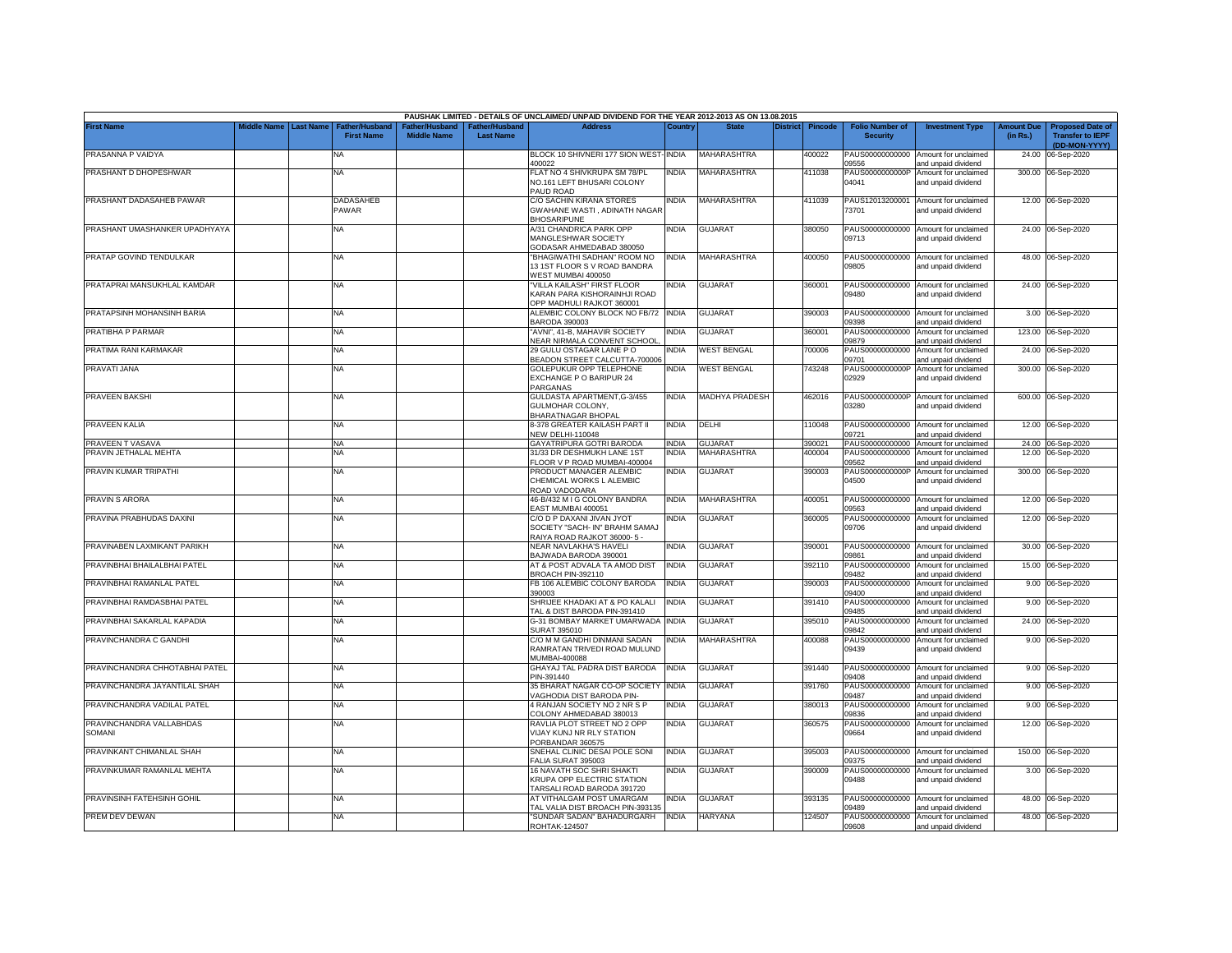|                                                              |                                 |                                    |                    |                                   | PAUSHAK LIMITED - DETAILS OF UNCLAIMED/ UNPAID DIVIDEND FOR THE YEAR 2012-2013 AS ON 13.08.2015   |                              |                                  |          |                  |                                             |                                                                     |                               |                                                                     |
|--------------------------------------------------------------|---------------------------------|------------------------------------|--------------------|-----------------------------------|---------------------------------------------------------------------------------------------------|------------------------------|----------------------------------|----------|------------------|---------------------------------------------|---------------------------------------------------------------------|-------------------------------|---------------------------------------------------------------------|
| <b>First Name</b>                                            | liddle Name<br><b>Last Name</b> | Father/Husban<br><b>First Name</b> | <b>Middle Name</b> | ither/Husbanc<br><b>Last Name</b> | <b>Address</b>                                                                                    | Countr                       |                                  | District | <b>Pincode</b>   | <b>Folio Number of</b><br><b>Security</b>   | <b>Investment Type</b>                                              | <b>Amount Due</b><br>(in Rs.) | <b>Proposed Date of</b><br><b>Transfer to IEPF</b><br>(DD-MON-YYYY) |
| PRASANNA P VAIDYA                                            |                                 | <b>NA</b>                          |                    |                                   | BLOCK 10 SHIVNERI 177 SION WEST-INDIA<br>400022                                                   |                              | MAHARASHTRA                      |          | 400022           | PAUS00000000000<br>9556                     | Amount for unclaimed<br>and unpaid dividend                         | 24.00                         | 06-Sep-2020                                                         |
| PRASHANT D DHOPESHWAR                                        |                                 | <b>NA</b>                          |                    |                                   | FLAT NO 4 SHIVKRUPA SM 78/PL<br>NO.161 LEFT BHUSARI COLONY<br>PAUD ROAD                           | <b>INDIA</b>                 | <b>MAHARASHTRA</b>               |          | 411038           | PAUS0000000000P<br>04041                    | Amount for unclaimed<br>and unpaid dividend                         |                               | 300.00 06-Sep-2020                                                  |
| PRASHANT DADASAHEB PAWAR                                     |                                 | DADASAHEB<br>PAWAR                 |                    |                                   | C/O SACHIN KIRANA STORES<br>GWAHANE WASTI, ADINATH NAGAR<br><b>BHOSARIPUNE</b>                    | NDIA                         | <b>MAHARASHTRA</b>               |          | 411039           | PAUS12013200001<br>73701                    | Amount for unclaimed<br>and unpaid dividend                         |                               | 12.00 06-Sep-2020                                                   |
| PRASHANT UMASHANKER UPADHYAYA                                |                                 | NA                                 |                    |                                   | A/31 CHANDRICA PARK OPP<br><b>MANGLESHWAR SOCIETY</b><br>GODASAR AHMEDABAD 380050                 | <b>INDIA</b>                 | <b>GUJARAT</b>                   |          | 380050           | 09713                                       | PAUS00000000000 Amount for unclaimed<br>and unpaid dividend         |                               | 24.00 06-Sep-2020                                                   |
| PRATAP GOVIND TENDULKAR                                      |                                 | <b>NA</b>                          |                    |                                   | "BHAGIWATHI SADHAN" ROOM NO<br>13 1ST FLOOR S V ROAD BANDRA<br>WEST MUMBAI 400050                 | INDIA                        | <b>MAHARASHTRA</b>               |          | 400050           | 09805                                       | PAUS00000000000 Amount for unclaimed<br>and unpaid dividend         |                               | 48.00 06-Sep-2020                                                   |
| PRATAPRAI MANSUKHLAL KAMDAR                                  |                                 | <b>NA</b>                          |                    |                                   | "VILLA KAILASH" FIRST FLOOR<br>KARAN PARA KISHORAINHJI ROAD<br>OPP MADHULI RAJKOT 360001          | india                        | <b>GUJARAT</b>                   |          | 360001           | 09480                                       | PAUS00000000000 Amount for unclaimed<br>and unpaid dividend         |                               | 24.00 06-Sep-2020                                                   |
| PRATAPSINH MOHANSINH BARIA                                   |                                 | NA                                 |                    |                                   | ALEMBIC COLONY BLOCK NO FB/72<br><b>BARODA 390003</b>                                             | <b>INDIA</b>                 | <b>GUJARAT</b>                   |          | 390003           | PAUS00000000000<br>09398                    | Amount for unclaimed<br>and unpaid dividend                         | 3.00                          | 06-Sep-2020                                                         |
| PRATIBHA P PARMAR                                            |                                 | <b>NA</b>                          |                    |                                   | AVNI", 41-B, MAHAVIR SOCIETY<br>NEAR NIRMALA CONVENT SCHOOL                                       | NDIA                         | GUJARAT<br><b>WEST BENGAL</b>    |          | 360001           | PAUS00000000000<br>09879                    | Amount for unclaimed<br>and unpaid dividend                         | 123.00                        | 06-Sep-2020                                                         |
| PRATIMA RANI KARMAKAR<br>PRAVATI JANA                        |                                 | <b>NA</b><br><b>NA</b>             |                    |                                   | 29 GULU OSTAGAR LANE PO<br>BEADON STREET CALCUTTA-700006<br>GOLEPUKUR OPP TELEPHONE               | INDIA<br>INDIA               | <b>WEST BENGAL</b>               |          | 700006<br>743248 | PAUS00000000000<br>09701<br>PAUS0000000000P | Amount for unclaimed<br>and unpaid dividend<br>Amount for unclaimed | 24.00<br>300.00               | 06-Sep-2020<br>06-Sep-2020                                          |
|                                                              |                                 |                                    |                    |                                   | EXCHANGE P O BARIPUR 24<br>PARGANAS                                                               |                              |                                  |          |                  | 02929                                       | and unpaid dividend                                                 |                               |                                                                     |
| PRAVEEN BAKSHI                                               |                                 | NA                                 |                    |                                   | GULDASTA APARTMENT, G-3/455<br>GULMOHAR COLONY.<br><b>BHARATNAGAR BHOPA</b>                       | India                        | <b>MADHYA PRADESH</b>            |          | 462016           | PAUS0000000000P<br>03280                    | Amount for unclaimed<br>and unpaid dividend                         |                               | 600.00 06-Sep-2020                                                  |
| PRAVEEN KALIA                                                |                                 | <b>NA</b>                          |                    |                                   | 8-378 GREATER KAILASH PART II<br><b>VEW DELHI-110048</b>                                          | INDIA                        | DELHI                            |          | 10048            | PAUS00000000000<br>09721                    | Amount for unclaimed<br>and unpaid dividend                         |                               | 12.00 06-Sep-2020                                                   |
| PRAVEEN T VASAVA                                             |                                 | <b>NA</b>                          |                    |                                   | <b>GAYATRIPURA GOTRI BARODA</b>                                                                   | INDIA                        | <b>GUJARAT</b>                   |          | 390021           | PAUS00000000000                             | Amount for unclaimed                                                | 24.00                         | 06-Sep-2020                                                         |
| PRAVIN JETHALAL MEHTA                                        |                                 | <b>NA</b>                          |                    |                                   | 31/33 DR DESHMUKH LANE 1ST<br>LOOR V P ROAD MUMBAI-400004                                         | INDIA                        | <b>MAHARASHTRA</b>               |          | 400004           | PAUS00000000000<br>09562                    | Amount for unclaimed<br>and unpaid dividend                         |                               | 12.00 06-Sep-2020                                                   |
| PRAVIN KUMAR TRIPATHI                                        |                                 | <b>NA</b>                          |                    |                                   | PRODUCT MANAGER ALEMBIC<br>CHEMICAL WORKS L ALEMBIC<br>ROAD VADODARA                              | india                        | <b>GUJARAT</b>                   |          | 390003           | PAUS0000000000P<br>04500                    | Amount for unclaimed<br>and unpaid dividend                         |                               | 300.00 06-Sep-2020                                                  |
| PRAVIN S ARORA                                               |                                 | <b>NA</b>                          |                    |                                   | 46-B/432 M I G COLONY BANDRA<br>EAST MUMBAI 400051                                                | India                        | MAHARASHTRA                      |          | 400051           | PAUS00000000000<br>09563                    | Amount for unclaimed<br>and unpaid dividend                         |                               | 12.00 06-Sep-2020                                                   |
| PRAVINA PRABHUDAS DAXINI                                     |                                 | <b>NA</b>                          |                    |                                   | C/O D P DAXANI JIVAN JYOT<br>SOCIETY "SACH- IN" BRAHM SAMAJ<br>RAIYA ROAD RAJKOT 36000-5 -        | NDIA                         | <b>GUJARAT</b>                   |          | 360005           | PAUS00000000000<br>09706                    | Amount for unclaimed<br>and unpaid dividend                         |                               | 12.00 06-Sep-2020                                                   |
| PRAVINABEN LAXMIKANT PARIKH                                  |                                 | <b>NA</b>                          |                    |                                   | NEAR NAVLAKHA'S HAVELI<br>BAJWADA BARODA 390001                                                   | INDIA                        | <b>GUJARAT</b>                   |          | 390001           | PAUS00000000000<br>09861                    | Amount for unclaimed<br>and unpaid dividend                         |                               | 30.00 06-Sep-2020                                                   |
| PRAVINBHAI BHAILALBHAI PATEL                                 |                                 | <b>NA</b>                          |                    |                                   | AT & POST ADVALA TA AMOD DIST<br><b>BROACH PIN-392110</b>                                         | <b>INDIA</b>                 | <b>GUJARAT</b>                   |          | 392110           | PAUS00000000000<br>09482                    | Amount for unclaimed<br>and unpaid dividend                         |                               | 15.00 06-Sep-2020                                                   |
| PRAVINBHAI RAMANLAL PATEL                                    |                                 | NA                                 |                    |                                   | <b>B 106 ALEMBIC COLONY BARODA</b><br>390003                                                      | <b>INDIA</b>                 | <b>GUJARAT</b>                   |          | 390003           | PAUS00000000000<br>09400                    | Amount for unclaimed<br>and unpaid dividend                         |                               | 9.00 06-Sep-2020                                                    |
| PRAVINBHAI RAMDASBHAI PATEL                                  |                                 | ΝA                                 |                    |                                   | SHRIJEE KHADAKI AT & PO KALALI<br><b>FAL &amp; DIST BARODA PIN-391410</b>                         | INDIA                        | <b>GUJARAT</b><br><b>GUJARAT</b> |          | 391410           | PAUS00000000000<br>09485                    | Amount for unclaimed<br>and unpaid dividend                         |                               | 9.00 06-Sep-2020                                                    |
| PRAVINBHAI SAKARLAL KAPADIA<br>PRAVINCHANDRA C GANDHI        |                                 | <b>NA</b><br><b>NA</b>             |                    |                                   | G-31 BOMBAY MARKET UMARWADA<br>SURAT 395010<br>C/O M M GANDHI DINMANI SADAN                       | <b>INDIA</b><br><b>INDIA</b> | MAHARASHTRA                      |          | 395010<br>400088 | PAUS00000000000<br>09842<br>PAUS00000000000 | Amount for unclaimed<br>and unpaid dividend<br>Amount for unclaimed |                               | 24.00 06-Sep-2020<br>9.00 06-Sep-2020                               |
|                                                              |                                 |                                    |                    |                                   | RAMRATAN TRIVEDI ROAD MULUND<br>MUMBAI-400088                                                     |                              |                                  |          |                  | 09439                                       | and unpaid dividend                                                 |                               |                                                                     |
| PRAVINCHANDRA CHHOTABHAI PATEL                               |                                 | <b>NA</b>                          |                    |                                   | GHAYAJ TAL PADRA DIST BARODA<br>PIN-391440                                                        | INDIA                        | <b>GUJARAT</b>                   |          | 391440           | PAUS00000000000<br>09408                    | Amount for unclaimed<br>and unpaid dividend                         |                               | 9.00 06-Sep-2020                                                    |
| PRAVINCHANDRA JAYANTILAL SHAH<br>PRAVINCHANDRA VADILAL PATEL |                                 | <b>NA</b>                          |                    |                                   | 35 BHARAT NAGAR CO-OP SOCIETY<br><b>/AGHODIA DIST BARODA PIN-</b><br>4 RANJAN SOCIETY NO 2 NR S P | <b>INDIA</b>                 | <b>GUJARAT</b><br>GUJARAT        |          | 391760           | PAUS00000000000<br>09487                    | Amount for unclaimed<br>and unpaid dividend                         | 9.00                          | 06-Sep-2020                                                         |
| PRAVINCHANDRA VALLABHDAS                                     |                                 | <b>NA</b><br><b>NA</b>             |                    |                                   | COLONY AHMEDABAD 380013<br>RAVLIA PLOT STREET NO 2 OPP                                            | INDIA<br>india               | <b>GUJARAT</b>                   |          | 380013<br>360575 | PAUS00000000000<br>09836<br>PAUS00000000000 | Amount for unclaimed<br>and unpaid dividend<br>Amount for unclaimed | 9.00<br>12.00                 | 06-Sep-2020<br>06-Sep-2020                                          |
| SOMANI                                                       |                                 |                                    |                    |                                   | VIJAY KUNJ NR RLY STATION<br>PORBANDAR 360575                                                     |                              |                                  |          |                  | 09664                                       | and unpaid dividend                                                 |                               |                                                                     |
| PRAVINKANT CHIMANLAL SHAH                                    |                                 | NA                                 |                    |                                   | SNEHAL CLINIC DESAI POLE SONI<br>ALIA SURAT 395003                                                | INDIA                        | <b>GUJARAT</b>                   |          | 395003           | PAUS00000000000<br>09375                    | Amount for unclaimed<br>and unpaid dividend                         | 150.00                        | 06-Sep-2020                                                         |
| PRAVINKUMAR RAMANLAL MEHTA                                   |                                 | ΝA                                 |                    |                                   | 16 NAVATH SOC SHRI SHAKTI<br>KRUPA OPP ELECTRIC STATION<br>TARSALI ROAD BARODA 391720             | NDIA                         | GUJARAT                          |          | 390009           | PAUS00000000000<br>09488                    | Amount for unclaimed<br>and unpaid dividend                         |                               | 3.00 06-Sep-2020                                                    |
| PRAVINSINH FATEHSINH GOHIL                                   |                                 | <b>NA</b>                          |                    |                                   | AT VITHALGAM POST UMARGAM<br>TAL VALIA DIST BROACH PIN-393135                                     | INDIA                        | <b>GUJARAT</b>                   |          | 393135           | PAUS00000000000<br>09489                    | Amount for unclaimed<br>and unpaid dividend                         |                               | 48.00 06-Sep-2020                                                   |
| PREM DEV DEWAN                                               |                                 | <b>NA</b>                          |                    |                                   | "SUNDAR SADAN" BAHADURGARH<br>ROHTAK-124507                                                       | <b>INDIA</b>                 | <b>HARYANA</b>                   |          | 124507           | PAUS00000000000<br>09608                    | Amount for unclaimed<br>and unpaid dividend                         |                               | 48.00 06-Sep-2020                                                   |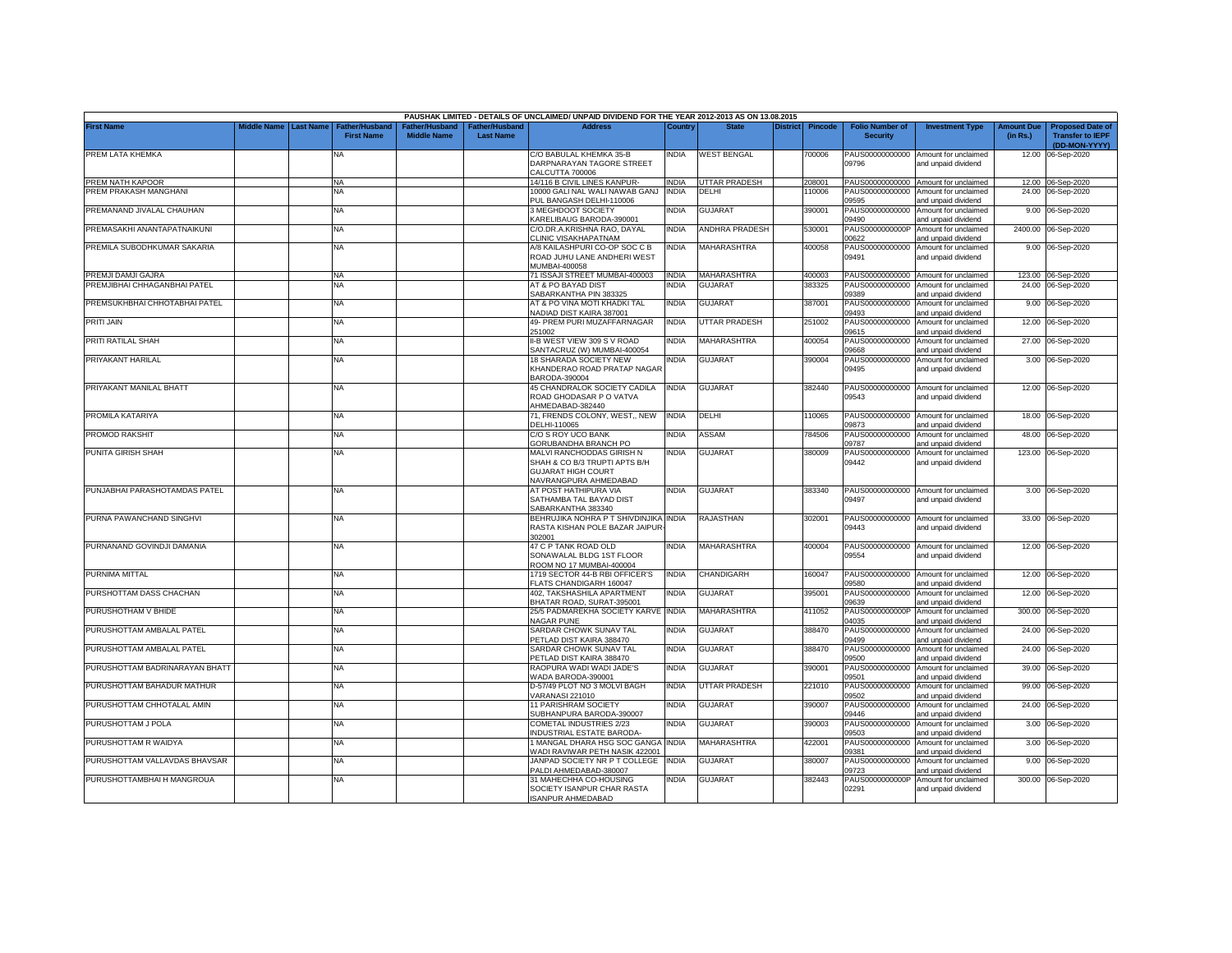|                                |             |                  |                                            |                                             |                                           | PAUSHAK LIMITED - DETAILS OF UNCLAIMED/ UNPAID DIVIDEND FOR THE YEAR 2012-2013 AS ON 13.08.2015                  |              |                      |                 |                |                                           |                                                             |                               |                                                                     |
|--------------------------------|-------------|------------------|--------------------------------------------|---------------------------------------------|-------------------------------------------|------------------------------------------------------------------------------------------------------------------|--------------|----------------------|-----------------|----------------|-------------------------------------------|-------------------------------------------------------------|-------------------------------|---------------------------------------------------------------------|
| <b>First Name</b>              | liddle Name | <b>Last Name</b> | <b>Father/Husband</b><br><b>First Name</b> | <b>Father/Husband</b><br><b>Middle Name</b> | <b>Father/Husband</b><br><b>Last Name</b> | <b>Address</b>                                                                                                   | Country      | <b>State</b>         | <b>District</b> | <b>Pincode</b> | <b>Folio Number of</b><br><b>Security</b> | <b>Investment Type</b>                                      | <b>Amount Due</b><br>(in Rs.) | <b>Proposed Date of</b><br><b>Transfer to IEPF</b><br>(DD-MON-YYYY) |
| PREM LATA KHEMKA               |             |                  | ΝA                                         |                                             |                                           | C/O BABULAL KHEMKA 35-B<br>DARPNARAYAN TAGORE STREET<br>CALCUTTA 700006                                          | NDIA         | <b>WEST BENGAL</b>   |                 | '00006         | PAUS00000000000<br>09796                  | Amount for unclaimed<br>and unpaid dividend                 | 12.00                         | 06-Sep-2020                                                         |
| PREM NATH KAPOOR               |             |                  | <b>NA</b>                                  |                                             |                                           | 14/116 B CIVIL LINES KANPUR-                                                                                     | <b>INDIA</b> | <b>JTTAR PRADESH</b> |                 | 208001         | PAUS00000000000                           | Amount for unclaimed                                        |                               | 12.00 06-Sep-2020                                                   |
| PREM PRAKASH MANGHANI          |             |                  | NA                                         |                                             |                                           | 10000 GALI NAL WALI NAWAB GANJ                                                                                   | <b>INDIA</b> | DELHI                |                 | 10006          | PAUS00000000000                           | Amount for unclaimed                                        | 24.00                         | 06-Sep-2020                                                         |
|                                |             |                  |                                            |                                             |                                           | PUL BANGASH DELHI-110006                                                                                         |              |                      |                 |                | 09595                                     | and unpaid dividend                                         |                               |                                                                     |
| PREMANAND JIVALAL CHAUHAN      |             |                  | <b>NA</b>                                  |                                             |                                           | 3 MEGHDOOT SOCIETY<br><b>KARELIBAUG BARODA-390001</b>                                                            | NDIA         | <b>GUJARAT</b>       |                 | 390001         | PAUS00000000000<br>09490                  | Amount for unclaimed<br>and unpaid dividend                 | 9.00                          | 06-Sep-2020                                                         |
| PREMASAKHI ANANTAPATNAIKUNI    |             |                  | <b>NA</b>                                  |                                             |                                           | C/O.DR.A.KRISHNA RAO, DAYAL                                                                                      | India        | ANDHRA PRADESH       |                 | 530001         | PAUS0000000000P                           | Amount for unclaimed                                        | 2400.00                       | 06-Sep-2020                                                         |
|                                |             |                  |                                            |                                             |                                           | CLINIC VISAKHAPATNAM                                                                                             |              |                      |                 |                | 00622                                     | and unpaid dividend                                         |                               |                                                                     |
| PREMILA SUBODHKUMAR SAKARIA    |             |                  | <b>NA</b>                                  |                                             |                                           | A/8 KAILASHPURI CO-OP SOC C B<br>ROAD JUHU LANE ANDHERI WEST<br>MUMBAI-400058                                    | INDIA        | <b>MAHARASHTRA</b>   |                 | 400058         | PAUS00000000000<br>09491                  | Amount for unclaimed<br>and unpaid dividend                 |                               | 9.00 06-Sep-2020                                                    |
| PREMJI DAMJI GAJRA             |             |                  | <b>NA</b>                                  |                                             |                                           | 71 ISSAJI STREET MUMBAI-400003                                                                                   | <b>INDIA</b> | MAHARASHTRA          |                 | 400003         |                                           | PAUS00000000000 Amount for unclaimed                        |                               | 123.00 06-Sep-2020                                                  |
| PREMJIBHAI CHHAGANBHAI PATEL   |             |                  | <b>NA</b>                                  |                                             |                                           | AT & PO BAYAD DIST                                                                                               | INDIA        | <b>GUJARAT</b>       |                 | 383325         | PAUS00000000000                           | Amount for unclaimed                                        |                               | 24.00 06-Sep-2020                                                   |
|                                |             |                  |                                            |                                             |                                           | SABARKANTHA PIN 383325                                                                                           |              |                      |                 |                | 09389                                     | and unpaid dividend                                         |                               |                                                                     |
| PREMSUKHBHAI CHHOTABHAI PATEL  |             |                  | <b>NA</b>                                  |                                             |                                           | AT & PO VINA MOTI KHADKI TAL<br>NADIAD DIST KAIRA 387001                                                         | INDIA        | <b>GUJARAT</b>       |                 | 387001         | PAUS00000000000<br>09493                  | Amount for unclaimed<br>and unpaid dividend                 | 9.00                          | 06-Sep-2020                                                         |
| <b>PRITI JAIN</b>              |             |                  | <b>NA</b>                                  |                                             |                                           | 49- PREM PURI MUZAFFARNAGAR<br>251002                                                                            | INDIA        | <b>JTTAR PRADESH</b> |                 | 251002         | PAUS00000000000<br>09615                  | Amount for unclaimed<br>and unpaid dividend                 | 12.00                         | 06-Sep-2020                                                         |
| PRITI RATILAL SHAH             |             |                  | <b>NA</b>                                  |                                             |                                           | II-B WEST VIEW 309 S V ROAD<br>SANTACRUZ (W) MUMBAI-400054                                                       | INDIA        | <b>MAHARASHTRA</b>   |                 | 400054         | PAUS00000000000<br>09668                  | Amount for unclaimed<br>and unpaid dividend                 | 27.00                         | 06-Sep-2020                                                         |
| PRIYAKANT HARILAL              |             |                  | <b>NA</b>                                  |                                             |                                           | <b>18 SHARADA SOCIETY NEW</b><br>KHANDERAO ROAD PRATAP NAGAR                                                     | <b>INDIA</b> | <b>GUJARAT</b>       |                 | 390004         | PAUS00000000000<br>09495                  | Amount for unclaimed<br>and unpaid dividend                 |                               | 3.00 06-Sep-2020                                                    |
| PRIYAKANT MANILAL BHATT        |             |                  | <b>NA</b>                                  |                                             |                                           | BARODA-390004<br>45 CHANDRALOK SOCIETY CADILA<br>ROAD GHODASAR P O VATVA                                         | <b>INDIA</b> | <b>GUJARAT</b>       |                 | 382440         | 09543                                     | PAUS00000000000 Amount for unclaimed<br>and unpaid dividend |                               | 12.00 06-Sep-2020                                                   |
| PROMILA KATARIYA               |             |                  | <b>NA</b>                                  |                                             |                                           | AHMEDABAD-382440<br>71, FRENDS COLONY, WEST., NEW                                                                | <b>INDIA</b> | DELHI                |                 | 10065          | PAUS00000000000                           | Amount for unclaimed                                        | 18.00                         | 06-Sep-2020                                                         |
|                                |             |                  |                                            |                                             |                                           | DELHI-110065                                                                                                     |              |                      |                 |                | 09873                                     | and unpaid dividend                                         |                               |                                                                     |
| PROMOD RAKSHIT                 |             |                  | <b>NA</b>                                  |                                             |                                           | C/O S ROY UCO BANK<br>GORUBANDHA BRANCH PO                                                                       | <b>INDIA</b> | ASSAM                |                 | 784506         | PAUS00000000000<br>09787                  | Amount for unclaimed<br>and unpaid dividend                 | 48.00                         | 06-Sep-2020                                                         |
| PUNITA GIRISH SHAH             |             |                  | <b>NA</b>                                  |                                             |                                           | MALVI RANCHODDAS GIRISH N<br>SHAH & CO B/3 TRUPTI APTS B/H<br><b>GUJARAT HIGH COURT</b><br>NAVRANGPURA AHMEDABAD | india        | <b>GUJARAT</b>       |                 | 380009         | PAUS00000000000<br>09442                  | Amount for unclaimed<br>and unpaid dividend                 |                               | 123.00 06-Sep-2020                                                  |
| PUNJABHAI PARASHOTAMDAS PATEL  |             |                  | <b>NA</b>                                  |                                             |                                           | AT POST HATHIPURA VIA<br>SATHAMBA TAL BAYAD DIST<br>SABARKANTHA 383340                                           | INDIA        | <b>GUJARAT</b>       |                 | 383340         | 09497                                     | PAUS00000000000 Amount for unclaimed<br>and unpaid dividend |                               | 3.00 06-Sep-2020                                                    |
| PURNA PAWANCHAND SINGHVI       |             |                  | <b>NA</b>                                  |                                             |                                           | BEHRUJIKA NOHRA P T SHIVDINJIKA INDIA<br>RASTA KISHAN POLE BAZAR JAIPUR<br>302001                                |              | RAJASTHAN            |                 | 302001         | 09443                                     | PAUS00000000000 Amount for unclaimed<br>and unpaid dividend |                               | 33.00 06-Sep-2020                                                   |
| PURNANAND GOVINDJI DAMANIA     |             |                  | <b>NA</b>                                  |                                             |                                           | 47 C P TANK ROAD OLD<br>SONAWALAL BLDG 1ST FLOOR<br><b>ROOM NO 17 MUMBAI-400004</b>                              | INDIA        | <b>MAHARASHTRA</b>   |                 | 400004         | 09554                                     | PAUS00000000000 Amount for unclaimed<br>and unpaid dividend |                               | 12.00 06-Sep-2020                                                   |
| PURNIMA MITTAL                 |             |                  | <b>NA</b>                                  |                                             |                                           | 1719 SECTOR 44-B RBI OFFICER'S<br>LATS CHANDIGARH 160047                                                         | <b>INDIA</b> | CHANDIGARH           |                 | 160047         | PAUS00000000000<br>09580                  | Amount for unclaimed<br>and unpaid dividend                 |                               | 12.00 06-Sep-2020                                                   |
| PURSHOTTAM DASS CHACHAN        |             |                  | <b>NA</b>                                  |                                             |                                           | 402. TAKSHASHILA APARTMENT<br>BHATAR ROAD, SURAT-395001                                                          | INDIA        | <b>GUJARAT</b>       |                 | 395001         | PAUS00000000000<br>09639                  | Amount for unclaimed<br>and unpaid dividend                 | 12.00                         | 06-Sep-2020                                                         |
| PURUSHOTHAM V BHIDE            |             |                  | <b>NA</b>                                  |                                             |                                           | 25/5 PADMAREKHA SOCIETY KARVE INDIA<br><b>VAGAR PUNE</b>                                                         |              | MAHARASHTRA          |                 | 411052         | PAUS0000000000P<br>04035                  | Amount for unclaimed<br>and unpaid dividend                 | 300.00                        | 06-Sep-2020                                                         |
| PURUSHOTTAM AMBALAL PATEL      |             |                  | <b>NA</b>                                  |                                             |                                           | SARDAR CHOWK SUNAV TAL<br><b>PETLAD DIST KAIRA 388470</b>                                                        | INDIA        | <b>GUJARAT</b>       |                 | 388470         | PAUS00000000000<br>09499                  | Amount for unclaimed<br>and unpaid dividend                 | 24.00                         | 06-Sep-2020                                                         |
| PURUSHOTTAM AMBALAL PATEL      |             |                  | NA                                         |                                             |                                           | SARDAR CHOWK SUNAV TAL<br><b>PETLAD DIST KAIRA 388470</b>                                                        | INDIA        | GUJARAT              |                 | 388470         | PAUS00000000000<br>09500                  | Amount for unclaimed<br>and unpaid dividend                 |                               | 24.00 06-Sep-2020                                                   |
| PURUSHOTTAM BADRINARAYAN BHATT |             |                  | <b>NA</b>                                  |                                             |                                           | RAOPURA WADI WADI JADE'S<br>WADA BARODA-390001                                                                   | INDIA        | <b>GUJARAT</b>       |                 | 390001         | PAUS00000000000<br>09501                  | Amount for unclaimed<br>and unpaid dividend                 |                               | 39.00 06-Sep-2020                                                   |
| PURUSHOTTAM BAHADUR MATHUR     |             |                  | <b>NA</b>                                  |                                             |                                           | D-57/49 PLOT NO 3 MOLVI BAGH<br>/ARANASI 221010                                                                  | INDIA        | UTTAR PRADESH        |                 | 221010         | PAUS00000000000<br>09502                  | Amount for unclaimed<br>and unpaid dividend                 |                               | 99.00 06-Sep-2020                                                   |
| PURUSHOTTAM CHHOTALAL AMIN     |             |                  | <b>NA</b>                                  |                                             |                                           | <b>11 PARISHRAM SOCIETY</b><br>SUBHANPURA BARODA-390007                                                          | <b>INDIA</b> | GUJARAT              |                 | 390007         | PAUS00000000000<br>09446                  | Amount for unclaimed<br>and unpaid dividend                 |                               | 24.00 06-Sep-2020                                                   |
| PURUSHOTTAM J POLA             |             |                  | <b>NA</b>                                  |                                             |                                           | COMETAL INDUSTRIES 2/23<br>NDUSTRIAL ESTATE BARODA-                                                              | NDIA         | <b>GUJARAT</b>       |                 | 390003         | PAUS00000000000<br>09503                  | Amount for unclaimed<br>and unpaid dividend                 |                               | 3.00 06-Sep-2020                                                    |
| PURUSHOTTAM R WAIDYA           |             |                  | <b>NA</b>                                  |                                             |                                           | MANGAL DHARA HSG SOC GANGA<br>VADI RAVIWAR PETH NASIK 422001                                                     | <b>INDIA</b> | <b>MAHARASHTRA</b>   |                 | 122001         | PAUS00000000000<br>09381                  | Amount for unclaimed<br>and unpaid dividend                 |                               | 3.00 06-Sep-2020                                                    |
| PURUSHOTTAM VALLAVDAS BHAVSAR  |             |                  | <b>NA</b>                                  |                                             |                                           | JANPAD SOCIETY NR P T COLLEGE<br>ALDI AHMEDABAD-380007                                                           | <b>INDIA</b> | <b>GUJARAT</b>       |                 | 380007         | PAUS00000000000<br>09723                  | Amount for unclaimed<br>and unpaid dividend                 |                               | 9.00 06-Sep-2020                                                    |
| PURUSHOTTAMBHAI H MANGROUA     |             |                  | <b>NA</b>                                  |                                             |                                           | 31 MAHECHHA CO-HOUSING<br>SOCIETY ISANPUR CHAR RASTA<br><b>ISANPUR AHMEDABAD</b>                                 | NDIA         | <b>GUJARAT</b>       |                 | 382443         | PAUS0000000000P<br>02291                  | Amount for unclaimed<br>and unpaid dividend                 |                               | 300.00 06-Sep-2020                                                  |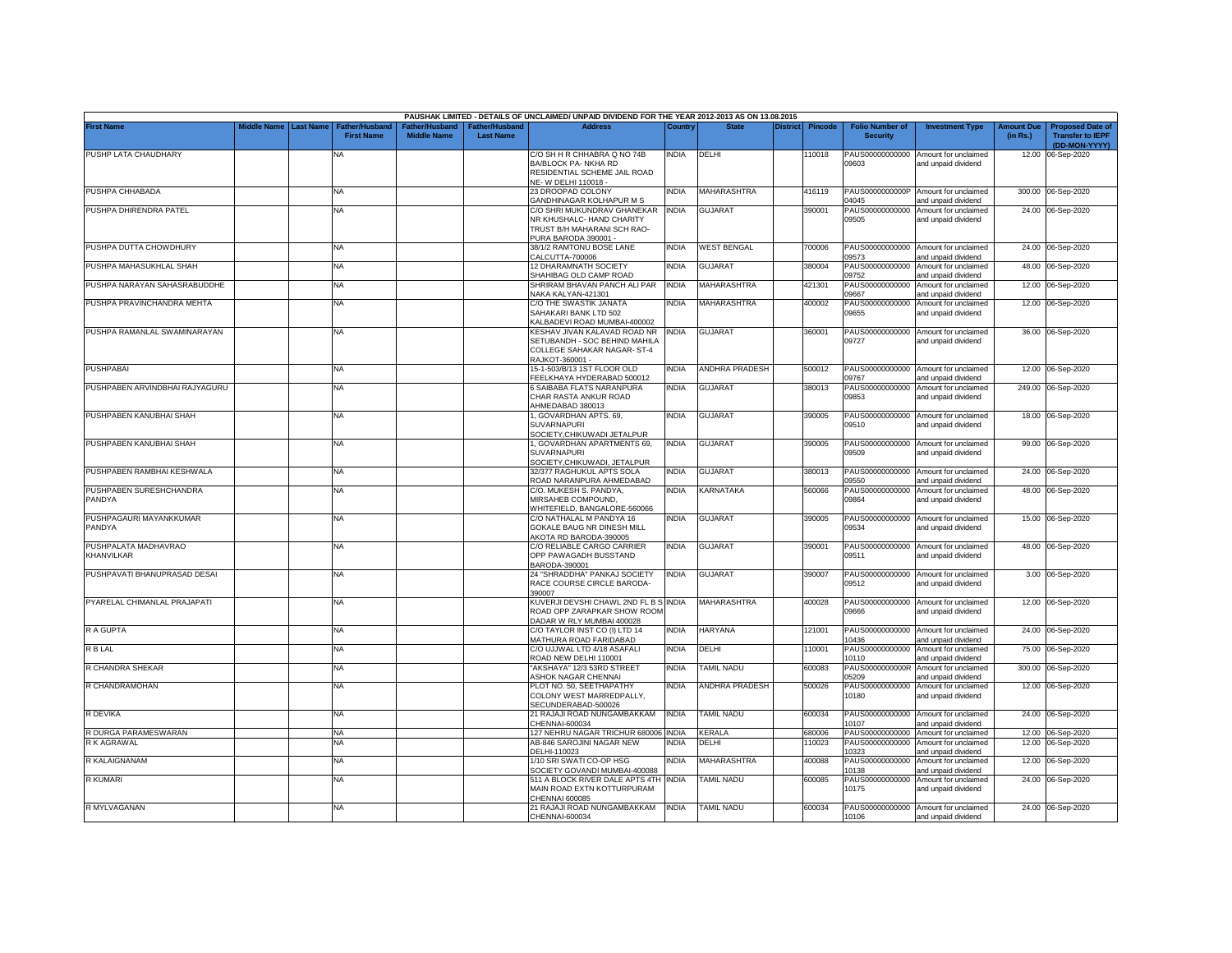|                                   |             |                  |                                            |                                      |                                    | PAUSHAK LIMITED - DETAILS OF UNCLAIMED/ UNPAID DIVIDEND FOR THE YEAR 2012-2013 AS ON 13.08.2015 |              |                    |          |                |                                           |                                                             |                               |                                                                     |
|-----------------------------------|-------------|------------------|--------------------------------------------|--------------------------------------|------------------------------------|-------------------------------------------------------------------------------------------------|--------------|--------------------|----------|----------------|-------------------------------------------|-------------------------------------------------------------|-------------------------------|---------------------------------------------------------------------|
| <b>First Name</b>                 | Middle Name | <b>Last Name</b> | <b>Father/Husband</b><br><b>First Name</b> | Father/Husband<br><b>Middle Name</b> | Father/Husband<br><b>Last Name</b> | <b>Address</b>                                                                                  | Country      | <b>State</b>       | District | <b>Pincode</b> | <b>Folio Number of</b><br><b>Security</b> | <b>Investment Type</b>                                      | <b>Amount Due</b><br>(in Rs.) | <b>Proposed Date of</b><br><b>Transfer to IEPF</b><br>(DD-MON-YYYY) |
| PUSHP LATA CHAUDHARY              |             |                  | NA                                         |                                      |                                    | C/O SH H R CHHABRA Q NO 74B<br>BA/BLOCK PA- NKHA RD                                             | india        | DELHI              |          | 110018         | PAUS00000000000<br>09603                  | Amount for unclaimed<br>and unpaid dividend                 |                               | 12.00 06-Sep-2020                                                   |
|                                   |             |                  |                                            |                                      |                                    | RESIDENTIAL SCHEME JAIL ROAD<br>NE-W DELHI 110018 -                                             |              |                    |          |                |                                           |                                                             |                               |                                                                     |
| PUSHPA CHHABADA                   |             |                  | NA                                         |                                      |                                    | 23 DROOPAD COLONY<br>GANDHINAGAR KOLHAPUR M S                                                   | <b>INDIA</b> | MAHARASHTRA        |          | 416119         | PAUS0000000000P<br>04045                  | Amount for unclaimed<br>and unpaid dividend                 |                               | 300.00 06-Sep-2020                                                  |
| PUSHPA DHIRENDRA PATEL            |             |                  | <b>NA</b>                                  |                                      |                                    | C/O SHRI MUKUNDRAV GHANEKAR                                                                     | INDIA        | <b>GUJARAT</b>     |          | 390001         | PAUS00000000000                           | Amount for unclaimed                                        |                               | 24.00 06-Sep-2020                                                   |
|                                   |             |                  |                                            |                                      |                                    | NR KHUSHALC- HAND CHARITY                                                                       |              |                    |          |                | 09505                                     | and unpaid dividend                                         |                               |                                                                     |
|                                   |             |                  |                                            |                                      |                                    | TRUST B/H MAHARANI SCH RAO-<br>PURA BARODA 390001 -                                             |              |                    |          |                |                                           |                                                             |                               |                                                                     |
| PUSHPA DUTTA CHOWDHURY            |             |                  | <b>NA</b>                                  |                                      |                                    | 38/1/2 RAMTONU BOSE LANE<br>CALCUTTA-700006                                                     | INDIA        | <b>WEST BENGAL</b> |          | 700006         | PAUS00000000000<br>09573                  | Amount for unclaimed<br>and unpaid dividend                 |                               | 24.00 06-Sep-2020                                                   |
| PUSHPA MAHASUKHLAL SHAH           |             |                  | <b>NA</b>                                  |                                      |                                    | 12 DHARAMNATH SOCIETY<br>SHAHIBAG OLD CAMP ROAD                                                 | <b>INDIA</b> | <b>GUJARAT</b>     |          | 380004         | PAUS00000000000<br>09752                  | Amount for unclaimed<br>and unpaid dividend                 |                               | 48.00 06-Sep-2020                                                   |
| PUSHPA NARAYAN SAHASRABUDDHE      |             |                  | <b>NA</b>                                  |                                      |                                    | SHRIRAM BHAVAN PANCH ALI PAR<br>NAKA KALYAN-421301                                              | <b>INDIA</b> | <b>MAHARASHTRA</b> |          | 421301         | PAUS00000000000<br>09667                  | Amount for unclaimed<br>and unpaid dividend                 |                               | 12.00 06-Sep-2020                                                   |
| PUSHPA PRAVINCHANDRA MEHTA        |             |                  | <b>NA</b>                                  |                                      |                                    | C/O THE SWASTIK JANATA                                                                          | india        | <b>MAHARASHTRA</b> |          | 400002         | PAUS00000000000                           | Amount for unclaimed                                        |                               | 12.00 06-Sep-2020                                                   |
|                                   |             |                  |                                            |                                      |                                    | SAHAKARI BANK LTD 502<br>ALBADEVI ROAD MUMBAI-400002                                            |              |                    |          |                | 09655                                     | and unpaid dividend                                         |                               |                                                                     |
| PUSHPA RAMANLAL SWAMINARAYAN      |             |                  | <b>NA</b>                                  |                                      |                                    | KESHAV JIVAN KALAVAD ROAD NR<br>SETUBANDH - SOC BEHIND MAHILA                                   | INDIA        | <b>GUJARAT</b>     |          | 360001         | PAUS00000000000<br>09727                  | Amount for unclaimed<br>and unpaid dividend                 |                               | 36.00 06-Sep-2020                                                   |
|                                   |             |                  |                                            |                                      |                                    | COLLEGE SAHAKAR NAGAR-ST-4                                                                      |              |                    |          |                |                                           |                                                             |                               |                                                                     |
| <b>PUSHPABAI</b>                  |             |                  | ΝA                                         |                                      |                                    | RAJKOT-360001 -<br>15-1-503/B/13 1ST FLOOR OLD                                                  | NDIA         | ANDHRA PRADESH     |          | 500012         | PAUS00000000000                           | Amount for unclaimed                                        | 12.00                         | 06-Sep-2020                                                         |
| PUSHPABEN ARVINDBHAI RAJYAGURU    |             |                  | NA                                         |                                      |                                    | EELKHAYA HYDERABAD 500012<br>6 SAIBABA FLATS NARANPURA                                          | India        | <b>GUJARAT</b>     |          |                | 09767<br>PAUS00000000000                  | and unpaid dividend<br>Amount for unclaimed                 |                               |                                                                     |
|                                   |             |                  |                                            |                                      |                                    | CHAR RASTA ANKUR ROAD                                                                           |              |                    |          | 380013         | 09853                                     | and unpaid dividend                                         |                               | 249.00 06-Sep-2020                                                  |
| PUSHPABEN KANUBHAI SHAH           |             |                  | <b>NA</b>                                  |                                      |                                    | HMEDABAD 380013<br>I, GOVARDHAN APTS. 69,                                                       | INDIA        | <b>GUJARAT</b>     |          | 390005         | PAUS00000000000                           | Amount for unclaimed                                        |                               | 18.00 06-Sep-2020                                                   |
|                                   |             |                  |                                            |                                      |                                    | SUVARNAPURI                                                                                     |              |                    |          |                | 09510                                     | and unpaid dividend                                         |                               |                                                                     |
| PUSHPABEN KANUBHAI SHAH           |             |                  | <b>NA</b>                                  |                                      |                                    | SOCIETY, CHIKUWADI JETALPUR<br>1, GOVARDHAN APARTMENTS 69,                                      | india        | <b>GUJARAT</b>     |          | 390005         |                                           | PAUS00000000000 Amount for unclaimed                        |                               | 99.00 06-Sep-2020                                                   |
|                                   |             |                  |                                            |                                      |                                    | <b>SUVARNAPURI</b><br>SOCIETY, CHIKUWADI, JETALPUR                                              |              |                    |          |                | 09509                                     | and unpaid dividend                                         |                               |                                                                     |
| PUSHPABEN RAMBHAI KESHWALA        |             |                  | <b>NA</b>                                  |                                      |                                    | 32/377 RAGHUKUL APTS SOLA                                                                       | INDIA        | <b>GUJARAT</b>     |          | 380013         | PAUS00000000000                           | Amount for unclaimed                                        |                               | 24.00 06-Sep-2020                                                   |
|                                   |             |                  |                                            |                                      |                                    | ROAD NARANPURA AHMEDABAD                                                                        |              |                    |          |                | 09550                                     | and unpaid dividend                                         |                               |                                                                     |
| PUSHPABEN SURESHCHANDRA<br>PANDYA |             |                  | <b>NA</b>                                  |                                      |                                    | C/O. MUKESH S. PANDYA,<br>MIRSAHEB COMPOUND,<br>WHITEFIELD, BANGALORE-560066                    | India        | KARNATAKA          |          | 560066         | PAUS00000000000<br>09864                  | Amount for unclaimed<br>and unpaid dividend                 |                               | 48.00 06-Sep-2020                                                   |
| PUSHPAGAURI MAYANKKUMAR           |             |                  | <b>NA</b>                                  |                                      |                                    | C/O NATHALAL M PANDYA 16                                                                        | India        | <b>GUJARAT</b>     |          | 390005         | PAUS00000000000                           | Amount for unclaimed                                        | 15.00                         | 06-Sep-2020                                                         |
| PANDYA                            |             |                  |                                            |                                      |                                    | GOKALE BAUG NR DINESH MILL<br>AKOTA RD BARODA-390005                                            |              |                    |          |                | 09534                                     | and unpaid dividend                                         |                               |                                                                     |
| PUSHPALATA MADHAVRAO              |             |                  | <b>NA</b>                                  |                                      |                                    | C/O RELIABLE CARGO CARRIER                                                                      | <b>INDIA</b> | <b>GUJARAT</b>     |          | 390001         | PAUS00000000000                           | Amount for unclaimed                                        |                               | 48.00 06-Sep-2020                                                   |
| KHANVILKAR                        |             |                  |                                            |                                      |                                    | OPP PAWAGADH BUSSTAND<br>BARODA-390001                                                          |              |                    |          |                | 09511                                     | and unpaid dividend                                         |                               |                                                                     |
| PUSHPAVATI BHANUPRASAD DESAI      |             |                  | <b>NA</b>                                  |                                      |                                    | 24 "SHRADDHA" PANKAJ SOCIETY                                                                    | India        | <b>GUJARAT</b>     |          | 390007         | PAUS00000000000                           | Amount for unclaimed                                        |                               | 3.00 06-Sep-2020                                                    |
|                                   |             |                  |                                            |                                      |                                    | RACE COURSE CIRCLE BARODA-<br>390007                                                            |              |                    |          |                | 09512                                     | and unpaid dividend                                         |                               |                                                                     |
| PYARELAL CHIMANLAL PRAJAPATI      |             |                  | <b>NA</b>                                  |                                      |                                    | KUVERJI DEVSHI CHAWL 2ND FL B S INDIA<br>ROAD OPP ZARAPKAR SHOW ROOM                            |              | MAHARASHTRA        |          | 400028         | 09666                                     | PAUS00000000000 Amount for unclaimed<br>and unpaid dividend |                               | 12.00 06-Sep-2020                                                   |
| R A GUPTA                         |             |                  | <b>NA</b>                                  |                                      |                                    | DADAR W RLY MUMBAI 400028<br>C/O TAYLOR INST CO (I) LTD 14                                      | india        | <b>HARYANA</b>     |          | 121001         | PAUS00000000000                           | Amount for unclaimed                                        |                               | 24.00 06-Sep-2020                                                   |
|                                   |             |                  |                                            |                                      |                                    | MATHURA ROAD FARIDABAD                                                                          |              |                    |          |                | 10436                                     | and unpaid dividend                                         |                               |                                                                     |
| R B LAL                           |             |                  | <b>NA</b>                                  |                                      |                                    | C/O UJJWAL LTD 4/18 ASAFALI<br>ROAD NEW DELHI 110001                                            | INDIA        | DELHI              |          | 110001         | PAUS00000000000<br>10110                  | Amount for unclaimed<br>and unpaid dividend                 | 75.00                         | 06-Sep-2020                                                         |
| R CHANDRA SHEKAR                  |             |                  | <b>NA</b>                                  |                                      |                                    | 'AKSHAYA" 12/3 53RD STREET<br><b><i>ASHOK NAGAR CHENNAI</i></b>                                 | INDIA        | <b>TAMIL NADU</b>  |          | 600083         | PAUS0000000000R<br>05209                  | Amount for unclaimed<br>and unpaid dividend                 | 300.00                        | 06-Sep-2020                                                         |
| R CHANDRAMOHAN                    |             |                  | NA                                         |                                      |                                    | PLOT NO. 50, SEETHAPATHY                                                                        | NDIA         | ANDHRA PRADESH     |          | 500026         | PAUS00000000000                           | Amount for unclaimed                                        | 12.00                         | 06-Sep-2020                                                         |
|                                   |             |                  |                                            |                                      |                                    | COLONY WEST MARREDPALLY,<br>SECUNDERABAD-500026                                                 |              |                    |          |                | 10180                                     | and unpaid dividend                                         |                               |                                                                     |
| R DEVIKA                          |             |                  | <b>NA</b>                                  |                                      |                                    | 21 RAJAJI ROAD NUNGAMBAKKAM<br>CHENNAI-600034                                                   | INDIA        | TAMIL NADU         |          | 600034         | 10107                                     | PAUS00000000000 Amount for unclaimed<br>and unpaid dividend |                               | 24.00 06-Sep-2020                                                   |
| R DURGA PARAMESWARAN              |             |                  | <b>NA</b>                                  |                                      |                                    | 127 NEHRU NAGAR TRICHUR 680006                                                                  | INDIA        | <b>CERALA</b>      |          | 680006         | PAUS00000000000                           | Amount for unclaimed                                        |                               | 12.00 06-Sep-2020                                                   |
| R K AGRAWAL                       |             |                  | ΝA                                         |                                      |                                    | AB-846 SAROJINI NAGAR NEW<br>DELHI-110023                                                       | NDIA         | DELHI              |          | 10023          | PAUS00000000000<br>10323                  | Amount for unclaimed<br>and unpaid dividend                 |                               | 12.00 06-Sep-2020                                                   |
| R KALAIGNANAM                     |             |                  | <b>NA</b>                                  |                                      |                                    | 1/10 SRI SWATI CO-OP HSG                                                                        | INDIA        | <b>MAHARASHTRA</b> |          | 400088         | PAUS00000000000                           | Amount for unclaimed                                        |                               | 12.00 06-Sep-2020                                                   |
| R KUMARI                          |             |                  | <b>NA</b>                                  |                                      |                                    | SOCIETY GOVANDI MUMBAI-400088<br>511 A BLOCK RIVER DALE APTS 4TH INDIA                          |              | TAMIL NADU         |          | 600085         | 10138<br>PAUS00000000000                  | and unpaid dividend<br>Amount for unclaimed                 |                               | 24.00 06-Sep-2020                                                   |
|                                   |             |                  |                                            |                                      |                                    | MAIN ROAD EXTN KOTTURPURAM<br>CHENNAI 600085                                                    |              |                    |          |                | 10175                                     | and unpaid dividend                                         |                               |                                                                     |
| R MYLVAGANAN                      |             |                  | <b>NA</b>                                  |                                      |                                    | 21 RAJAJI ROAD NUNGAMBAKKAM                                                                     | <b>INDIA</b> | <b>TAMIL NADU</b>  |          | 600034         |                                           | PAUS00000000000 Amount for unclaimed                        |                               | 24.00 06-Sep-2020                                                   |
|                                   |             |                  |                                            |                                      |                                    | CHENNAI-600034                                                                                  |              |                    |          |                | 10106                                     | and unpaid dividend                                         |                               |                                                                     |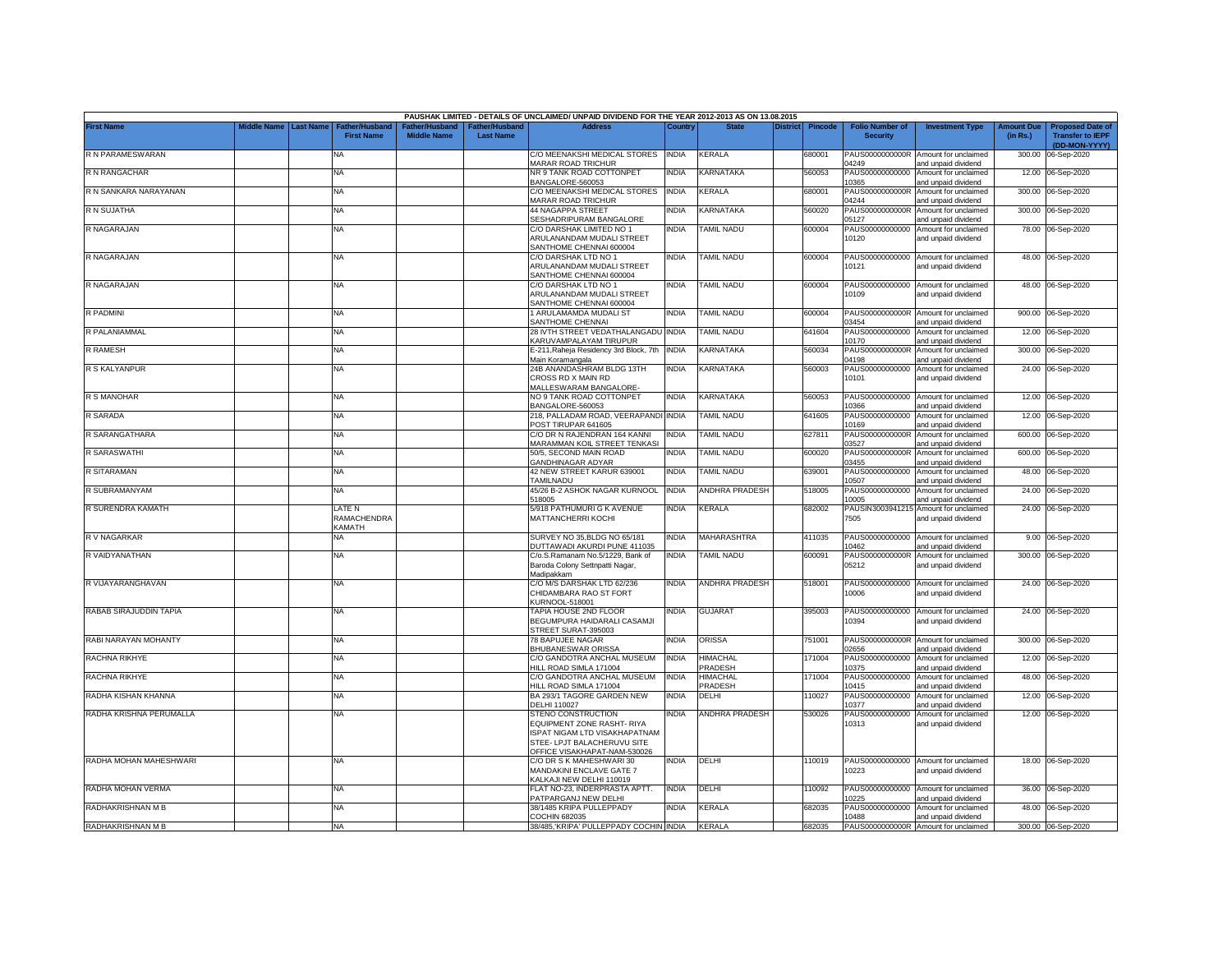|                         |             |                  |                                    |                    |                                   | PAUSHAK LIMITED - DETAILS OF UNCLAIMED/ UNPAID DIVIDEND FOR THE YEAR 2012-2013 AS ON 13.08.2015                                                         |              |                            |                 |                |                                           |                                                              |                               |                                                                     |
|-------------------------|-------------|------------------|------------------------------------|--------------------|-----------------------------------|---------------------------------------------------------------------------------------------------------------------------------------------------------|--------------|----------------------------|-----------------|----------------|-------------------------------------------|--------------------------------------------------------------|-------------------------------|---------------------------------------------------------------------|
| <b>First Name</b>       | Middle Name | <b>Last Name</b> | Father/Husban<br><b>First Name</b> | <b>Middle Name</b> | ather/Husband<br><b>Last Name</b> | <b>Address</b>                                                                                                                                          | Country      | <b>State</b>               | <b>District</b> | <b>Pincode</b> | <b>Folio Number of</b><br><b>Security</b> | <b>Investment Type</b>                                       | <b>Amount Due</b><br>(in Rs.) | <b>Proposed Date of</b><br><b>Transfer to IEPF</b><br>(DD-MON-YYYY) |
| R N PARAMESWARAN        |             |                  | ΝA                                 |                    |                                   | C/O MEENAKSHI MEDICAL STORES<br><b>MARAR ROAD TRICHUR</b>                                                                                               | <b>INDIA</b> | KERALA                     |                 | 680001         | PAUS0000000000R<br>04249                  | Amount for unclaimed<br>and unpaid dividend                  | 300.00                        | 06-Sep-2020                                                         |
| R N RANGACHAR           |             |                  | <b>NA</b>                          |                    |                                   | NR 9 TANK ROAD COTTONPET<br>BANGALORE-560053                                                                                                            | India        | KARNATAKA                  |                 | 560053         | PAUS00000000000<br>0365                   | Amount for unclaimed<br>and unpaid dividend                  |                               | 12.00 06-Sep-2020                                                   |
| R N SANKARA NARAYANAN   |             |                  | <b>NA</b>                          |                    |                                   | C/O MEENAKSHI MEDICAL STORES<br>MARAR ROAD TRICHUR                                                                                                      | <b>INDIA</b> | KERALA                     |                 | 680001         | PAUS0000000000R<br>04244                  | Amount for unclaimed<br>and unpaid dividend                  |                               | 300.00 06-Sep-2020                                                  |
| R N SUJATHA             |             |                  | NA                                 |                    |                                   | 44 NAGAPPA STREET<br><b>ESHADRIPURAM BANGALORE</b>                                                                                                      | india        | KARNATAKA                  |                 | 560020         | PAUS0000000000R<br>05127                  | Amount for unclaimed<br>and unpaid dividend                  |                               | 300.00 06-Sep-2020                                                  |
| R NAGARAJAN             |             |                  | <b>NA</b>                          |                    |                                   | C/O DARSHAK LIMITED NO 1<br>ARULANANDAM MUDALI STREET<br>SANTHOME CHENNAI 600004                                                                        | NDIA         | <b>TAMIL NADU</b>          |                 | 600004         | PAUS00000000000<br>10120                  | Amount for unclaimed<br>and unpaid dividend                  | 78.00                         | 06-Sep-2020                                                         |
| R NAGARAJAN             |             |                  | NA                                 |                    |                                   | C/O DARSHAK LTD NO 1<br>ARULANANDAM MUDALI STREET<br>SANTHOME CHENNAI 600004                                                                            | <b>INDIA</b> | <b>TAMIL NADU</b>          |                 | 600004         | PAUS00000000000<br>10121                  | Amount for unclaimed<br>and unpaid dividend                  |                               | 48.00 06-Sep-2020                                                   |
| R NAGARAJAN             |             |                  | NA                                 |                    |                                   | C/O DARSHAK LTD NO 1<br>ARULANANDAM MUDALI STREET<br>SANTHOME CHENNAI 600004                                                                            | INDIA        | <b>TAMIL NADU</b>          |                 | 600004         | 10109                                     | PAUS00000000000 Amount for unclaimed<br>and unpaid dividend  |                               | 48.00 06-Sep-2020                                                   |
| R PADMINI               |             |                  | NA                                 |                    |                                   | 1 ARULAMAMDA MUDALI ST<br>SANTHOME CHENNAI                                                                                                              | <b>INDIA</b> | <b>TAMIL NADU</b>          |                 | 600004         | PAUS0000000000R<br>03454                  | Amount for unclaimed<br>and unpaid dividend                  | 900.00                        | 06-Sep-2020                                                         |
| R PALANIAMMAL           |             |                  | NA                                 |                    |                                   | 28 IVTH STREET VEDATHALANGADU INDIA<br>KARUVAMPALAYAM TIRUPUR                                                                                           |              | <b>TAMIL NADU</b>          |                 | 641604         | PAUS00000000000<br>10170                  | Amount for unclaimed<br>and unpaid dividend                  | 12.00                         | 06-Sep-2020                                                         |
| R RAMESH                |             |                  | NA                                 |                    |                                   | E-211, Raheja Residency 3rd Block, 7th<br>Main Koramangala                                                                                              | <b>INDIA</b> | KARNATAKA                  |                 | 560034         | PAUS0000000000R<br>04198                  | Amount for unclaimed<br>and unpaid dividend                  | 300.00                        | 06-Sep-2020                                                         |
| R S KALYANPUR           |             |                  | NA                                 |                    |                                   | 24B ANANDASHRAM BLDG 13TH<br>CROSS RD X MAIN RD<br><b>MALLESWARAM BANGALORE-</b>                                                                        | <b>INDIA</b> | KARNATAKA                  |                 | 560003         | PAUS00000000000<br>10101                  | Amount for unclaimed<br>and unpaid dividend                  | 24.00                         | 06-Sep-2020                                                         |
| R S MANOHAR             |             |                  | <b>NA</b>                          |                    |                                   | <b>VO 9 TANK ROAD COTTONPET</b><br>BANGALORE-560053                                                                                                     | India        | <b>KARNATAKA</b>           |                 | 560053         | 0366                                      | PAUS00000000000 Amount for unclaimed<br>and unpaid dividend  |                               | 12.00 06-Sep-2020                                                   |
| R SARADA                |             |                  | NA                                 |                    |                                   | 218, PALLADAM ROAD, VEERAPANDI INDIA<br><b>POST TIRUPAR 641605</b>                                                                                      |              | <b>TAMIL NADU</b>          |                 | 641605         | PAUS00000000000<br>10169                  | Amount for unclaimed<br>and unpaid dividend                  |                               | 12.00 06-Sep-2020                                                   |
| R SARANGATHARA          |             |                  | NA                                 |                    |                                   | C/O DR N RAJENDRAN 164 KANNI<br><b>MARAMMAN KOIL STREET TENKASI</b>                                                                                     | <b>INDIA</b> | <b>TAMIL NADU</b>          |                 | 627811         | PAUS0000000000R<br>03527                  | Amount for unclaimed<br>and unpaid dividend                  | 600.00                        | 06-Sep-2020                                                         |
| R SARASWATHI            |             |                  | <b>NA</b>                          |                    |                                   | 50/5, SECOND MAIN ROAD<br>GANDHINAGAR ADYAR                                                                                                             | <b>INDIA</b> | <b>TAMIL NADU</b>          |                 | 600020         | PAUS0000000000R<br>03455                  | Amount for unclaimed<br>and unpaid dividend                  |                               | 600.00 06-Sep-2020                                                  |
| R SITARAMAN             |             |                  | <b>NA</b>                          |                    |                                   | 42 NEW STREET KARUR 639001<br><b>TAMILNADU</b>                                                                                                          | <b>INDIA</b> | <b>TAMIL NADU</b>          |                 | 639001         | PAUS00000000000<br>10507                  | Amount for unclaimed<br>and unpaid dividend                  |                               | 48.00 06-Sep-2020                                                   |
| R SUBRAMANYAM           |             |                  | NA                                 |                    |                                   | 45/26 B-2 ASHOK NAGAR KURNOOL<br>518005                                                                                                                 | <b>INDIA</b> | ANDHRA PRADESH             |                 | 518005         | PAUS00000000000<br>10005                  | Amount for unclaimed<br>and unpaid dividend                  |                               | 24.00 06-Sep-2020                                                   |
| R SURENDRA KAMATH       |             |                  | LATE N<br>RAMACHENDRA<br>KAMATH    |                    |                                   | 5/918 PATHUMURI G K AVENUE<br>MATTANCHERRI KOCHI                                                                                                        | INDIA        | KERALA                     |                 | 682002         | 7505                                      | PAUSIN3003941215 Amount for unclaimed<br>and unpaid dividend |                               | 24.00 06-Sep-2020                                                   |
| R V NAGARKAR            |             |                  | NA                                 |                    |                                   | SURVEY NO 35.BLDG NO 65/181<br><b>JUTTAWADI AKURDI PUNE 411035</b>                                                                                      | <b>NDIA</b>  | <b>MAHARASHTRA</b>         |                 | 411035         | PAUS00000000000<br>10462                  | Amount for unclaimed<br>and unpaid dividend                  | 9.00                          | 06-Sep-2020                                                         |
| R VAIDYANATHAN          |             |                  | <b>NA</b>                          |                    |                                   | C/o.S.Ramanam No.5/1229, Bank of<br>Baroda Colony Settnpatti Nagar,<br>Madipakkam                                                                       | <b>INDIA</b> | <b>TAMIL NADU</b>          |                 | 600091         | PAUS0000000000R<br>05212                  | Amount for unclaimed<br>and unpaid dividend                  |                               | 300.00 06-Sep-2020                                                  |
| R VIJAYARANGHAVAN       |             |                  | ΝA                                 |                    |                                   | C/O M/S DARSHAK LTD 62/236<br>CHIDAMBARA RAO ST FORT<br><b>KURNOOL-518001</b>                                                                           | <b>INDIA</b> | ANDHRA PRADESH             |                 | 518001         | 10006                                     | PAUS00000000000 Amount for unclaimed<br>and unpaid dividend  | 24.00                         | 06-Sep-2020                                                         |
| RABAB SIRAJUDDIN TAPIA  |             |                  | NA                                 |                    |                                   | TAPIA HOUSE 2ND FLOOR<br>BEGUMPURA HAIDARALI CASAMJI<br>STREET SURAT-395003                                                                             | <b>INDIA</b> | <b>GUJARAT</b>             |                 | 395003         | 10394                                     | PAUS00000000000 Amount for unclaimed<br>and unpaid dividend  |                               | 24.00 06-Sep-2020                                                   |
| RABI NARAYAN MOHANTY    |             |                  | <b>NA</b>                          |                    |                                   | 78 BAPUJEE NAGAR<br>BHUBANESWAR ORISSA                                                                                                                  | <b>INDIA</b> | ORISSA                     |                 | 751001         | PAUS0000000000R<br>02656                  | Amount for unclaimed<br>and unpaid dividend                  | 300.00                        | 06-Sep-2020                                                         |
| RACHNA RIKHYE           |             |                  | <b>NA</b>                          |                    |                                   | C/O GANDOTRA ANCHAL MUSEUM<br>HILL ROAD SIMLA 171004                                                                                                    | NDIA         | HIMACHAL<br>PRADESH        |                 | 171004         | PAUS00000000000<br>10375                  | Amount for unclaimed<br>and unpaid dividend                  | 12.00                         | 06-Sep-2020                                                         |
| RACHNA RIKHYE           |             |                  | NA                                 |                    |                                   | C/O GANDOTRA ANCHAL MUSEUM<br>HILL ROAD SIMLA 171004                                                                                                    | <b>INDIA</b> | <b>HIMACHAL</b><br>PRADESH |                 | 171004         | PAUS00000000000<br>10415                  | Amount for unclaimed<br>and unpaid dividend                  | 48.00                         | 06-Sep-2020                                                         |
| RADHA KISHAN KHANNA     |             |                  | <b>NA</b>                          |                    |                                   | BA 293/1 TAGORE GARDEN NEW<br><b>DELHI 110027</b>                                                                                                       | <b>INDIA</b> | DELHI                      |                 | 10027          | PAUS00000000000<br>10377                  | Amount for unclaimed<br>and unpaid dividend                  | 12.00                         | 06-Sep-2020                                                         |
| RADHA KRISHNA PERUMALLA |             |                  | <b>NA</b>                          |                    |                                   | <b>STENO CONSTRUCTION</b><br>EQUIPMENT ZONE RASHT- RIYA<br>ISPAT NIGAM LTD VISAKHAPATNAM<br>STEE- LPJT BALACHERUVU SITE<br>OFFICE VISAKHAPAT-NAM-530026 | india        | ANDHRA PRADESH             |                 | 530026         | PAUS00000000000<br>10313                  | Amount for unclaimed<br>and unpaid dividend                  |                               | 12.00 06-Sep-2020                                                   |
| RADHA MOHAN MAHESHWARI  |             |                  | <b>NA</b>                          |                    |                                   | C/O DR S K MAHESHWARI 30<br>MANDAKINI ENCLAVE GATE 7<br><b>KALKAJI NEW DELHI 110019</b>                                                                 | <b>INDIA</b> | DELHI                      |                 | 110019         | 10223                                     | PAUS00000000000 Amount for unclaimed<br>and unpaid dividend  |                               | 18.00 06-Sep-2020                                                   |
| RADHA MOHAN VERMA       |             |                  | <b>NA</b>                          |                    |                                   | FLAT NO-23. INDERPRASTA APTT.<br>ATPARGANJ NEW DELHI                                                                                                    | <b>INDIA</b> | DELHI                      |                 | 10092          | PAUS00000000000<br>0225                   | Amount for unclaimed<br>and unpaid dividend                  |                               | 36.00 06-Sep-2020                                                   |
| RADHAKRISHNAN M B       |             |                  | NA                                 |                    |                                   | 38/1485 KRIPA PULLEPPADY<br>COCHIN 682035                                                                                                               | NDIA         | KERALA                     |                 | 682035         | PAUS00000000000<br>10488                  | Amount for unclaimed<br>and unpaid dividend                  |                               | 48.00 06-Sep-2020                                                   |
| RADHAKRISHNAN M B       |             |                  | <b>NA</b>                          |                    |                                   | 38/485, KRIPA' PULLEPPADY COCHIN INDIA                                                                                                                  |              | <b>KERALA</b>              |                 | 682035         |                                           | PAUS0000000000R Amount for unclaimed                         |                               | 300.00 06-Sep-2020                                                  |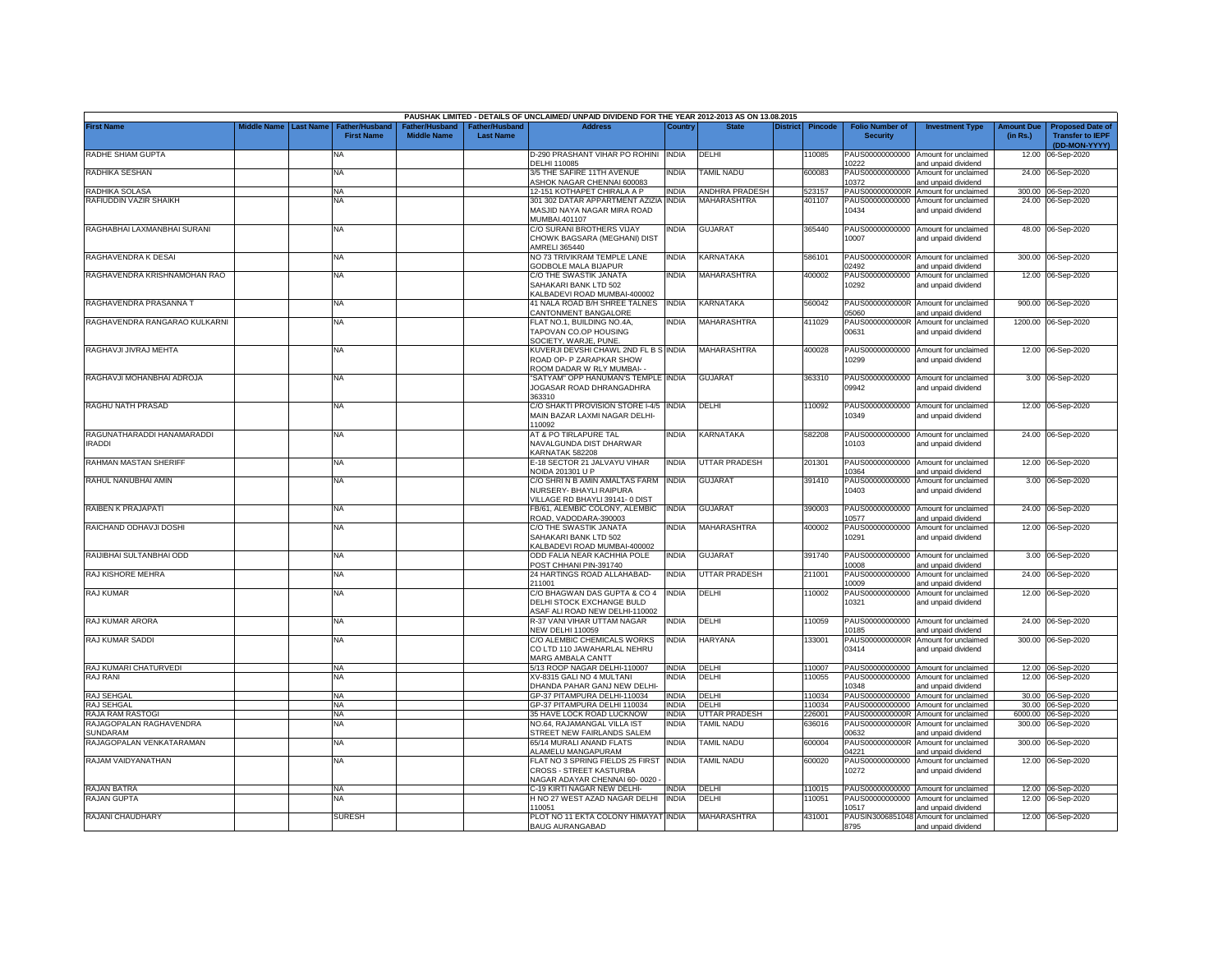|                                             |             |                  |                                     |                                      |                                    | PAUSHAK LIMITED - DETAILS OF UNCLAIMED/ UNPAID DIVIDEND FOR THE YEAR 2012-2013 AS ON 13.08.2015          |              |                          |                 |                |                                           |                                                              |                               |                                                                     |
|---------------------------------------------|-------------|------------------|-------------------------------------|--------------------------------------|------------------------------------|----------------------------------------------------------------------------------------------------------|--------------|--------------------------|-----------------|----------------|-------------------------------------------|--------------------------------------------------------------|-------------------------------|---------------------------------------------------------------------|
| <b>First Name</b>                           | liddle Name | <b>Last Name</b> | Father/Husband<br><b>First Name</b> | Father/Husband<br><b>Middle Name</b> | Father/Husband<br><b>Last Name</b> | <b>Address</b>                                                                                           | Country      | <b>State</b>             | <b>District</b> | <b>Pincode</b> | <b>Folio Number of</b><br><b>Security</b> | <b>Investment Type</b>                                       | <b>Amount Due</b><br>(in Rs.) | <b>Proposed Date of</b><br><b>Transfer to IEPF</b><br>(DD-MON-YYYY) |
| RADHE SHIAM GUPTA                           |             |                  | NA                                  |                                      |                                    | D-290 PRASHANT VIHAR PO ROHINI INDIA<br>DELHI 110085                                                     |              | DELHI                    |                 | 110085         | 0222                                      | PAUS00000000000 Amount for unclaimed<br>and unpaid dividend  | 12.00                         | 06-Sep-2020                                                         |
| RADHIKA SESHAN                              |             |                  | NA                                  |                                      |                                    | 3/5 THE SAFIRE 11TH AVENUE<br>ASHOK NAGAR CHENNAI 600083                                                 | <b>INDIA</b> | TAMIL NADU               |                 | 600083         | 10372                                     | PAUS00000000000 Amount for unclaimed<br>and unpaid dividend  |                               | 24.00 06-Sep-2020                                                   |
| RADHIKA SOLASA                              |             |                  | <b>NA</b>                           |                                      |                                    | 12-151 KOTHAPET CHIRALA A P                                                                              | <b>INDIA</b> | <b>ANDHRA PRADESH</b>    |                 | 523157         | PAUS0000000000R                           | Amount for unclaimed                                         |                               | 300.00 06-Sep-2020                                                  |
| RAFIUDDIN VAZIR SHAIKH                      |             |                  | <b>NA</b>                           |                                      |                                    | 301 302 DATAR APPARTMENT AZIZIA INDIA                                                                    |              | <b>MAHARASHTRA</b>       |                 | 401107         | PAUS00000000000                           | Amount for unclaimed                                         |                               | 24.00 06-Sep-2020                                                   |
|                                             |             |                  |                                     |                                      |                                    | MASJID NAYA NAGAR MIRA ROAD<br>MUMBAI.401107                                                             |              |                          |                 |                | 10434                                     | and unpaid dividend                                          |                               |                                                                     |
| RAGHABHAI LAXMANBHAI SURANI                 |             |                  | <b>NA</b>                           |                                      |                                    | C/O SURANI BROTHERS VIJAY<br>CHOWK BAGSARA (MEGHANI) DIST<br>AMRELI 365440                               | <b>INDIA</b> | <b>GUJARAT</b>           |                 | 365440         | 10007                                     | PAUS00000000000 Amount for unclaimed<br>and unpaid dividend  |                               | 48.00 06-Sep-2020                                                   |
| RAGHAVENDRA K DESAI                         |             |                  | <b>NA</b>                           |                                      |                                    | NO 73 TRIVIKRAM TEMPLE LANE<br><b>GODBOLE MALA BIJAPUR</b>                                               | <b>INDIA</b> | KARNATAKA                |                 | 586101         | PAUS0000000000R<br>2492                   | Amount for unclaimed<br>ind unpaid dividend                  | 300.00                        | 06-Sep-2020                                                         |
| RAGHAVENDRA KRISHNAMOHAN RAO                |             |                  | NA                                  |                                      |                                    | C/O THE SWASTIK JANATA<br>SAHAKARI BANK LTD 502<br>KALBADEVI ROAD MUMBAI-400002                          | <b>INDIA</b> | <b>MAHARASHTRA</b>       |                 | 400002         | PAUS00000000000<br>10292                  | Amount for unclaimed<br>and unpaid dividend                  |                               | 12.00 06-Sep-2020                                                   |
| RAGHAVENDRA PRASANNA T                      |             |                  | <b>NA</b>                           |                                      |                                    | 41 NALA ROAD B/H SHREE TALNES<br>CANTONMENT BANGALORE                                                    | <b>INDIA</b> | KARNATAKA                |                 | 560042         | 05060                                     | PAUS0000000000R Amount for unclaimed<br>and unpaid dividend  | 900.00                        | 06-Sep-2020                                                         |
| RAGHAVENDRA RANGARAO KULKARNI               |             |                  | NA                                  |                                      |                                    | FLAT NO.1, BUILDING NO.4A,<br>TAPOVAN CO.OP HOUSING<br>SOCIETY, WARJE, PUNE.                             | <b>INDIA</b> | MAHARASHTRA              |                 | 411029         | PAUS0000000000R<br>00631                  | Amount for unclaimed<br>and unpaid dividend                  |                               | 1200.00 06-Sep-2020                                                 |
| RAGHAVJI JIVRAJ MEHTA                       |             |                  | <b>NA</b>                           |                                      |                                    | KUVERJI DEVSHI CHAWL 2ND FL B S INDIA<br>ROAD OP- P ZARAPKAR SHOW<br>ROOM DADAR W RLY MUMBAI- -          |              | <b>MAHARASHTRA</b>       |                 | 400028         | PAUS00000000000<br>10299                  | Amount for unclaimed<br>and unpaid dividend                  |                               | 12.00 06-Sep-2020                                                   |
| RAGHAVJI MOHANBHAI ADROJA                   |             |                  | <b>NA</b>                           |                                      |                                    | "SATYAM" OPP HANUMAN'S TEMPLE INDIA<br>JOGASAR ROAD DHRANGADHRA<br>363310                                |              | <b>GUJARAT</b>           |                 | 363310         | 09942                                     | PAUS00000000000 Amount for unclaimed<br>and unpaid dividend  |                               | 3.00 06-Sep-2020                                                    |
| RAGHU NATH PRASAD                           |             |                  | NA                                  |                                      |                                    | C/O SHAKTI PROVISION STORE I-4/5 INDIA<br>MAIN BAZAR LAXMI NAGAR DELHI-<br>110092                        |              | DELHI                    |                 | 110092         | 10349                                     | PAUS00000000000 Amount for unclaimed<br>and unpaid dividend  |                               | 12.00 06-Sep-2020                                                   |
| RAGUNATHARADDI HANAMARADDI<br><b>IRADDI</b> |             |                  | <b>NA</b>                           |                                      |                                    | AT & PO TIRLAPURE TAL<br>NAVALGUNDA DIST DHARWAR<br>KARNATAK 582208                                      | <b>INDIA</b> | <b>KARNATAKA</b>         |                 | 582208         | 10103                                     | PAUS00000000000 Amount for unclaimed<br>and unpaid dividend  |                               | 24.00 06-Sep-2020                                                   |
| RAHMAN MASTAN SHERIFF                       |             |                  | NA                                  |                                      |                                    | E-18 SECTOR 21 JALVAYU VIHAR<br>NOIDA 201301 U P                                                         | <b>INDIA</b> | UTTAR PRADESH            |                 | 201301         | 10364                                     | PAUS00000000000 Amount for unclaimed<br>and unpaid dividend  |                               | 12.00 06-Sep-2020                                                   |
| RAHUL NANUBHAI AMIN                         |             |                  | <b>NA</b>                           |                                      |                                    | C/O SHRIN B AMIN AMALTAS FARM INDIA<br>NURSERY- BHAYLI RAIPURA<br>VILLAGE RD BHAYLI 39141-0 DIST         |              | GUJARAT                  |                 | 391410         | 10403                                     | PAUS00000000000 Amount for unclaimed<br>and unpaid dividend  |                               | 3.00 06-Sep-2020                                                    |
| RAIBEN K PRAJAPATI                          |             |                  | <b>NA</b>                           |                                      |                                    | FB/61, ALEMBIC COLONY, ALEMBIC<br>ROAD, VADODARA-390003                                                  | <b>INDIA</b> | <b>GUJARAT</b>           |                 | 390003         | 10577                                     | PAUS00000000000 Amount for unclaimed<br>and unpaid dividend  |                               | 24.00 06-Sep-2020                                                   |
| RAICHAND ODHAVJI DOSHI                      |             |                  | <b>NA</b>                           |                                      |                                    | C/O THE SWASTIK JANATA<br>SAHAKARI BANK LTD 502<br>KALBADEVI ROAD MUMBAI-400002                          | India        | MAHARASHTRA              |                 | 400002         | PAUS00000000000<br>10291                  | Amount for unclaimed<br>and unpaid dividend                  |                               | 12.00 06-Sep-2020                                                   |
| RAIJIBHAI SULTANBHAI ODD                    |             |                  | <b>NA</b>                           |                                      |                                    | ODD FALIA NEAR KACHHIA POLE<br>POST CHHANI PIN-391740                                                    | INDIA        | GUJARAT                  |                 | 391740         | 10008                                     | PAUS00000000000 Amount for unclaimed<br>and unpaid dividend  |                               | 3.00 06-Sep-2020                                                    |
| RAJ KISHORE MEHRA                           |             |                  | <b>NA</b>                           |                                      |                                    | 24 HARTINGS ROAD ALLAHABAD-<br>211001                                                                    | <b>INDIA</b> | <b>UTTAR PRADESH</b>     |                 | 211001         | 10009                                     | PAUS00000000000 Amount for unclaimed<br>and unpaid dividend  |                               | 24.00 06-Sep-2020                                                   |
| RAJ KUMAR                                   |             |                  | <b>NA</b>                           |                                      |                                    | C/O BHAGWAN DAS GUPTA & CO 4<br>DELHI STOCK EXCHANGE BULD<br>ASAF ALI ROAD NEW DELHI-110002              | <b>INDIA</b> | DELHI                    |                 | 110002         | PAUS00000000000<br>10321                  | Amount for unclaimed<br>and unpaid dividend                  |                               | 12.00 06-Sep-2020                                                   |
| RAJ KUMAR ARORA                             |             |                  | NA                                  |                                      |                                    | R-37 VANI VIHAR UTTAM NAGAR<br><b>NEW DELHI 110059</b>                                                   | India        | DELHI                    |                 | 110059         | 10185                                     | PAUS00000000000 Amount for unclaimed<br>nd unpaid dividend   |                               | 24.00 06-Sep-2020                                                   |
| RAJ KUMAR SADDI                             |             |                  | <b>NA</b>                           |                                      |                                    | C/O ALEMBIC CHEMICALS WORKS<br>CO LTD 110 JAWAHARLAL NEHRU<br>MARG AMBALA CANTT                          | <b>INDIA</b> | <b>HARYANA</b>           |                 | 133001         | PAUS0000000000R<br>03414                  | Amount for unclaimed<br>and unpaid dividend                  |                               | 300.00 06-Sep-2020                                                  |
|                                             |             |                  |                                     |                                      |                                    |                                                                                                          |              |                          |                 |                |                                           |                                                              |                               |                                                                     |
| RAJ KUMARI CHATURVEDI                       |             |                  | <b>NA</b>                           |                                      |                                    | 5/13 ROOP NAGAR DELHI-110007                                                                             | <b>INDIA</b> | DELHI                    |                 | 110007         |                                           | PAUS00000000000 Amount for unclaimed                         |                               | 12.00 06-Sep-2020                                                   |
| RAJ RANI                                    |             |                  | NA                                  |                                      |                                    | XV-8315 GALI NO 4 MULTANI<br>DHANDA PAHAR GANJ NEW DELHI-                                                | <b>INDIA</b> | DELHI                    |                 | 110055         | PAUS00000000000<br>10348                  | Amount for unclaimed<br>and unpaid dividend                  |                               | 12.00 06-Sep-2020                                                   |
| <b>RAJ SEHGAL</b>                           |             |                  | <b>NA</b>                           |                                      |                                    | GP-37 PITAMPURA DELHI-110034                                                                             | <b>INDIA</b> | DELHI                    |                 | 110034         | PAUS00000000000                           | Amount for unclaimed                                         | 30.00                         | 06-Sep-2020                                                         |
| RAJ SEHGAL                                  |             |                  | <b>NA</b>                           |                                      |                                    | GP-37 PITAMPURA DELHI 110034                                                                             | <b>INDIA</b> | DELHI                    |                 | 110034         | PAUS00000000000                           | Amount for unclaimed                                         | 30.00                         | 06-Sep-2020                                                         |
| RAJA RAM RASTOGI                            |             |                  | <b>NA</b>                           |                                      |                                    | 35 HAVE LOCK ROAD LUCKNOW                                                                                | <b>INDIA</b> | <b>JTTAR PRADESH</b>     |                 | 226001         |                                           | PAUS0000000000R Amount for unclaimed                         | 6000.00                       | 06-Sep-2020                                                         |
| RAJAGOPALAN RAGHAVENDRA<br>SUNDARAM         |             |                  | <b>NA</b>                           |                                      |                                    | NO.64, RAJAMANGAL VILLA IST<br>STREET NEW FAIRLANDS SALEM                                                | <b>INDIA</b> | <b><i>FAMIL NADU</i></b> |                 | 636016         | PAUS0000000000R<br>00632                  | Amount for unclaimed<br>and unpaid dividend                  | 300.00                        | 06-Sep-2020                                                         |
| RAJAGOPALAN VENKATARAMAN                    |             |                  | NA                                  |                                      |                                    | 65/14 MURALI ANAND FLATS<br>ALAMELU MANGAPURAM                                                           | <b>INDIA</b> | <b><i>FAMIL NADU</i></b> |                 | 600004         | PAUS0000000000R<br>04221                  | Amount for unclaimed<br>and unpaid dividend                  | 300.00                        | 06-Sep-2020                                                         |
| RAJAM VAIDYANATHAN                          |             |                  | <b>NA</b>                           |                                      |                                    | FLAT NO 3 SPRING FIELDS 25 FIRST INDIA<br><b>CROSS - STREET KASTURBA</b><br>NAGAR ADAYAR CHENNAI 60-0020 |              | <b>TAMIL NADU</b>        |                 | 600020         | PAUS00000000000<br>10272                  | Amount for unclaimed<br>and unpaid dividend                  |                               | 12.00 06-Sep-2020                                                   |
|                                             |             |                  |                                     |                                      |                                    |                                                                                                          |              |                          |                 |                |                                           |                                                              |                               |                                                                     |
| RAJAN BATRA                                 |             |                  | NA                                  |                                      |                                    | C-19 KIRTI NAGAR NEW DELHI-                                                                              | <b>INDIA</b> | DELHI                    |                 | 110015         |                                           | PAUS00000000000 Amount for unclaimed                         |                               | 12.00 06-Sep-2020                                                   |
| RAJAN GUPTA                                 |             |                  | NA                                  |                                      |                                    | HNO 27 WEST AZAD NAGAR DELHI<br>110051                                                                   | <b>INDIA</b> | DELHI                    |                 | 10051          | PAUS00000000000<br>10517                  | Amount for unclaimed<br>and unpaid dividend                  | 12.00                         | 06-Sep-2020                                                         |
| RAJANI CHAUDHARY                            |             |                  | <b>SURESH</b>                       |                                      |                                    | PLOT NO 11 EKTA COLONY HIMAYAT INDIA<br><b>BAUG AURANGABAD</b>                                           |              | <b>MAHARASHTRA</b>       |                 | 431001         | 8795                                      | PAUSIN3006851048 Amount for unclaimed<br>and unpaid dividend |                               | 12.00 06-Sep-2020                                                   |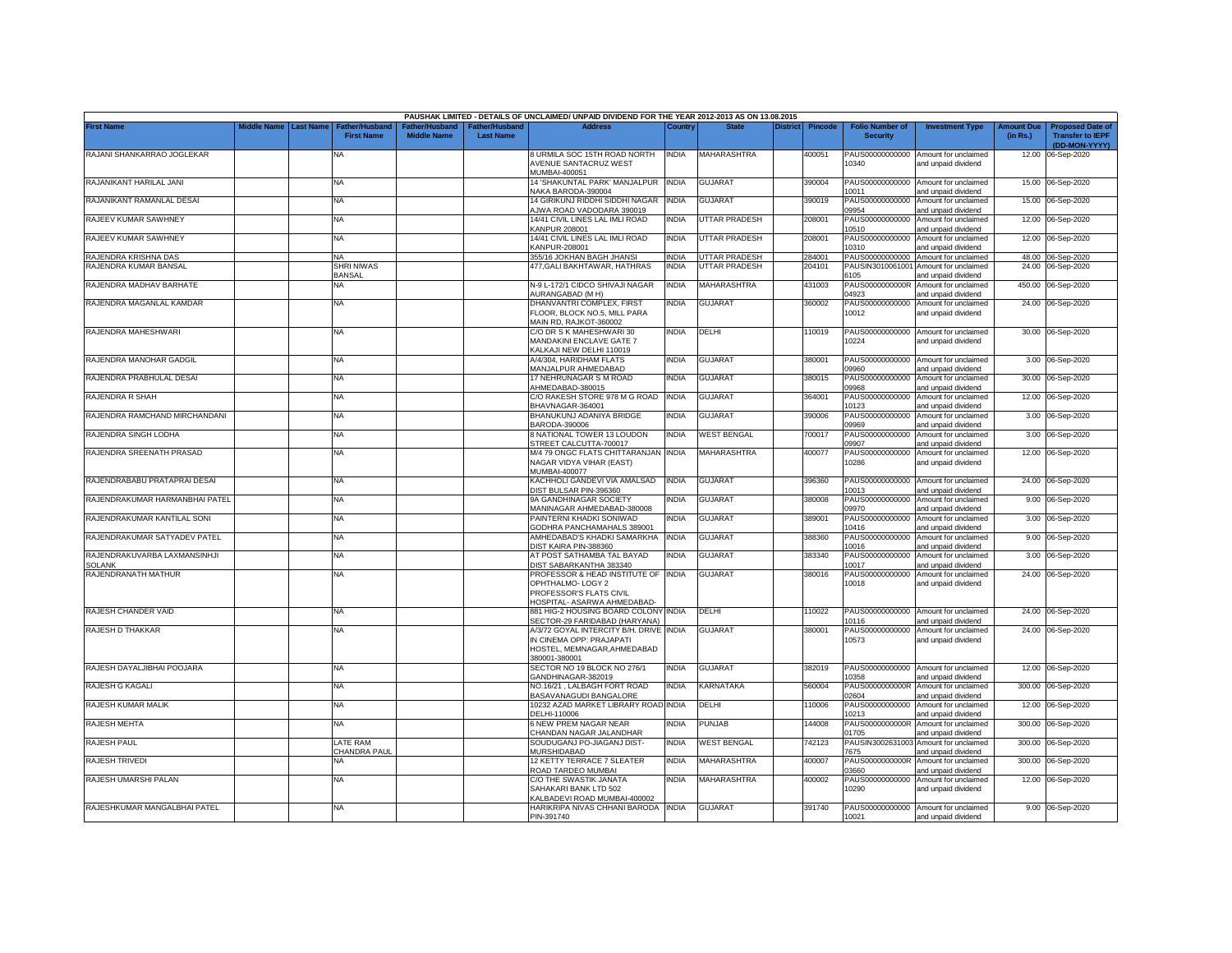|                                        |                    |                                                                |                                     |                                  | PAUSHAK LIMITED - DETAILS OF UNCLAIMED/ UNPAID DIVIDEND FOR THE YEAR 2012-2013 AS ON 13.08.2015                     |              |                    |          |         |                                           |                                                              |                               |                                                                     |
|----------------------------------------|--------------------|----------------------------------------------------------------|-------------------------------------|----------------------------------|---------------------------------------------------------------------------------------------------------------------|--------------|--------------------|----------|---------|-------------------------------------------|--------------------------------------------------------------|-------------------------------|---------------------------------------------------------------------|
| <b>First Name</b>                      | <b>Middle Name</b> | <b>Last Name</b><br><b>Father/Husband</b><br><b>First Name</b> | ather/Husband<br><b>Middle Name</b> | :her/Husband<br><b>Last Name</b> | <b>Address</b>                                                                                                      | Country      | State              | District | Pincode | <b>Folio Number of</b><br><b>Security</b> | <b>Investment Type</b>                                       | <b>Amount Due</b><br>(in Rs.) | <b>Proposed Date of</b><br><b>Transfer to IEPF</b><br>(DD-MON-YYYY) |
| RAJANI SHANKARRAO JOGLEKAR             |                    | NA                                                             |                                     |                                  | 8 URMILA SOC 15TH ROAD NORTH<br>AVENUE SANTACRUZ WEST<br>MUMBAI-400051                                              | <b>INDIA</b> | MAHARASHTRA        |          | 400051  | PAUS00000000000<br>10340                  | Amount for unclaimed<br>and unpaid dividend                  | 12.00                         | 06-Sep-2020                                                         |
| RAJANIKANT HARILAL JANI                |                    | NA.                                                            |                                     |                                  | 4 'SHAKUNTAL PARK' MANJALPUR INDIA<br>NAKA BARODA-390004                                                            |              | <b>GUJARAT</b>     |          | 390004  | PAUS00000000000<br>0011                   | Amount for unclaimed<br>and unpaid dividend                  |                               | 15.00 06-Sep-2020                                                   |
| RAJANIKANT RAMANLAL DESAI              |                    | NA                                                             |                                     |                                  | 14 GIRIKUNJ RIDDHI SIDDHI NAGAR<br>AJWA ROAD VADODARA 390019                                                        | <b>INDIA</b> | GUJARAT            |          | 390019  | PAUS00000000000<br>09954                  | Amount for unclaimed<br>and unpaid dividend                  |                               | 15.00 06-Sep-2020                                                   |
| RAJEEV KUMAR SAWHNEY                   |                    | NA                                                             |                                     |                                  | 14/41 CIVIL LINES LAL IMLI ROAD<br><b>KANPUR 208001</b>                                                             | <b>INDIA</b> | UTTAR PRADESH      |          | 208001  | PAUS00000000000<br>10510                  | Amount for unclaimed<br>and unpaid dividend                  |                               | 12.00 06-Sep-2020                                                   |
| RAJEEV KUMAR SAWHNEY                   |                    | <b>NA</b>                                                      |                                     |                                  | 14/41 CIVIL LINES LAL IMLI ROAD<br>KANPUR-208001                                                                    | <b>INDIA</b> | UTTAR PRADESH      |          | 208001  | 10310                                     | PAUS00000000000 Amount for unclaimed<br>and unpaid dividend  |                               | 12.00 06-Sep-2020                                                   |
| RAJENDRA KRISHNA DAS                   |                    | <b>NA</b>                                                      |                                     |                                  | 355/16 JOKHAN BAGH JHANSI                                                                                           | <b>INDIA</b> | UTTAR PRADESH      |          | 284001  |                                           | PAUS00000000000 Amount for unclaimed                         |                               | 48.00 06-Sep-2020                                                   |
| RAJENDRA KUMAR BANSAL                  |                    | SHRI NIWAS                                                     |                                     |                                  | 477, GALI BAKHTAWAR, HATHRAS                                                                                        | <b>INDIA</b> | UTTAR PRADESH      |          | 204101  |                                           | PAUSIN3010061001 Amount for unclaimed                        |                               | 24.00 06-Sep-2020                                                   |
|                                        |                    | <b>BANSAL</b>                                                  |                                     |                                  |                                                                                                                     | <b>INDIA</b> |                    |          |         | 6105                                      | and unpaid dividend                                          |                               |                                                                     |
| RAJENDRA MADHAV BARHATE                |                    | NA                                                             |                                     |                                  | N-9 L-172/1 CIDCO SHIVAJI NAGAR<br>AURANGABAD (M H)                                                                 |              | <b>MAHARASHTRA</b> |          | 431003  | PAUS0000000000R<br>04923                  | Amount for unclaimed<br>and unpaid dividend                  |                               | 450.00 06-Sep-2020                                                  |
| RAJENDRA MAGANLAL KAMDAR               |                    | NA                                                             |                                     |                                  | DHANVANTRI COMPLEX, FIRST<br>FLOOR, BLOCK NO.5, MILL PARA<br>MAIN RD. RAJKOT-360002                                 | INDIA        | <b>GUJARAT</b>     |          | 360002  | PAUS00000000000<br>10012                  | Amount for unclaimed<br>and unpaid dividend                  |                               | 24.00 06-Sep-2020                                                   |
| RAJENDRA MAHESHWARI                    |                    | ΝA                                                             |                                     |                                  | C/O DR S K MAHESHWARI 30<br><b>MANDAKINI ENCLAVE GATE 7</b><br><b>KALKAJI NEW DELHI 110019</b>                      | INDIA        | DELHI              |          | 10019   | PAUS00000000000<br>10224                  | Amount for unclaimed<br>and unpaid dividend                  |                               | 30.00 06-Sep-2020                                                   |
| RAJENDRA MANOHAR GADGIL                |                    | NA                                                             |                                     |                                  | V4/304. HARIDHAM FLATS<br><b>MANJALPUR AHMEDABAD</b>                                                                | <b>INDIA</b> | <b>GUJARAT</b>     |          | 380001  | 19960                                     | PAUS00000000000 Amount for unclaimed<br>and unpaid dividend  |                               | 3.00 06-Sep-2020                                                    |
| RAJENDRA PRABHULAL DESAI               |                    | ΝA                                                             |                                     |                                  | 17 NEHRUNAGAR S M ROAD<br>HMEDABAD-380015                                                                           | NDIA         | GUJARAT            |          | 380015  | PAUS00000000000<br>9968                   | Amount for unclaimed<br>and unpaid dividend                  |                               | 30.00 06-Sep-2020                                                   |
| RAJENDRA R SHAH                        |                    | <b>NA</b>                                                      |                                     |                                  | C/O RAKESH STORE 978 M G ROAD<br>BHAVNAGAR-364001                                                                   | <b>INDIA</b> | <b>GUJARAT</b>     |          | 364001  | PAUS00000000000<br>0123                   | Amount for unclaimed<br>and unpaid dividend                  |                               | 12.00 06-Sep-2020                                                   |
| RAJENDRA RAMCHAND MIRCHANDANI          |                    | <b>NA</b>                                                      |                                     |                                  | BHANUKUNJ ADANIYA BRIDGE<br>BARODA-390006                                                                           | NDIA         | <b>GUJARAT</b>     |          | 390006  | PAUS00000000000<br>19969                  | Amount for unclaimed<br>and unpaid dividend                  |                               | 3.00 06-Sep-2020                                                    |
| RAJENDRA SINGH LODHA                   |                    | NA                                                             |                                     |                                  | 8 NATIONAL TOWER 13 LOUDON<br>STREET CALCUTTA-700017                                                                | <b>INDIA</b> | <b>WEST BENGAL</b> |          | 700017  | PAUS00000000000<br>09907                  | Amount for unclaimed<br>and unpaid dividend                  | 3.00                          | 06-Sep-2020                                                         |
| RAJENDRA SREENATH PRASAD               |                    | <b>NA</b>                                                      |                                     |                                  | M/4 79 ONGC FLATS CHITTARANJAN INDIA<br>NAGAR VIDYA VIHAR (EAST)<br><b>MUMBAI-400077</b>                            |              | <b>MAHARASHTRA</b> |          | 400077  | PAUS00000000000<br>10286                  | Amount for unclaimed<br>and unpaid dividend                  |                               | 12.00 06-Sep-2020                                                   |
| RAJENDRABABU PRATAPRAI DESAI           |                    | NA                                                             |                                     |                                  | KACHHOLI GANDEVI VIA AMALSAD<br>DIST BULSAR PIN-396360                                                              | <b>INDIA</b> | <b>GUJARAT</b>     |          | 396360  | 10013                                     | PAUS00000000000 Amount for unclaimed<br>and unpaid dividend  |                               | 24.00 06-Sep-2020                                                   |
| RAJENDRAKUMAR HARMANBHAI PATEL         |                    | ΝA                                                             |                                     |                                  | 9A GANDHINAGAR SOCIETY<br>MANINAGAR AHMEDABAD-380008                                                                | INDIA        | <b>GUJARAT</b>     |          | 380008  | PAUS00000000000<br>09970                  | Amount for unclaimed<br>and unpaid dividend                  |                               | 9.00 06-Sep-2020                                                    |
| RAJENDRAKUMAR KANTILAL SONI            |                    | NA                                                             |                                     |                                  | PAINTERNI KHADKI SONIWAD<br>GODHRA PANCHAMAHALS 389001                                                              | INDIA        | GUJARAT            |          | 389001  | PAUS00000000000<br>10416                  | Amount for unclaimed<br>and unpaid dividend                  | 3.00                          | 06-Sep-2020                                                         |
| RAJENDRAKUMAR SATYADEV PATEL           |                    | NA                                                             |                                     |                                  | AMHEDABAD'S KHADKI SAMARKHA<br>DIST KAIRA PIN-388360                                                                | <b>INDIA</b> | GUJARAT            |          | 388360  | PAUS00000000000<br>10016                  | Amount for unclaimed<br>and unpaid dividend                  | 9.00                          | 06-Sep-2020                                                         |
| RAJENDRAKUVARBA LAXMANSINHJI<br>SOLANK |                    | NA                                                             |                                     |                                  | AT POST SATHAMBA TAL BAYAD<br>DIST SABARKANTHA 383340                                                               | INDIA        | GUJARAT            |          | 383340  | PAUS00000000000<br>10017                  | Amount for unclaimed<br>and unpaid dividend                  | 3.00                          | 06-Sep-2020                                                         |
| RAJENDRANATH MATHUR                    |                    | ΝA                                                             |                                     |                                  | PROFESSOR & HEAD INSTITUTE OF<br>OPHTHALMO-LOGY 2                                                                   | <b>INDIA</b> | <b>GUJARAT</b>     |          | 380016  | PAUS00000000000<br>10018                  | Amount for unclaimed<br>and unpaid dividend                  | 24.00                         | 06-Sep-2020                                                         |
|                                        |                    |                                                                |                                     |                                  | PROFESSOR'S FLATS CIVIL<br>HOSPITAL- ASARWA AHMEDABAD-                                                              |              |                    |          |         |                                           |                                                              |                               |                                                                     |
| RAJESH CHANDER VAID                    |                    | NA                                                             |                                     |                                  | 881 HIG-2 HOUSING BOARD COLONY INDIA<br>SECTOR-29 FARIDABAD (HARYANA)                                               |              | DELHI              |          | 110022  | 10116                                     | PAUS00000000000 Amount for unclaimed<br>and unpaid dividend  |                               | 24.00 06-Sep-2020                                                   |
| RAJESH D THAKKAR                       |                    | NA                                                             |                                     |                                  | A/3/72 GOYAL INTERCITY B/H. DRIVE INDIA<br>IN CINEMA OPP: PRAJAPATI<br>HOSTEL, MEMNAGAR, AHMEDABAD<br>380001-380001 |              | <b>GUJARA1</b>     |          | 380001  | 10573                                     | PAUS00000000000 Amount for unclaimed<br>and unpaid dividend  |                               | 24.00 06-Sep-2020                                                   |
| RAJESH DAYALJIBHAI POOJARA             |                    | <b>NA</b>                                                      |                                     |                                  | SECTOR NO 19 BLOCK NO 276/1<br>GANDHINAGAR-382019                                                                   | INDIA        | GUJARAT            |          | 382019  | 10358                                     | PAUS00000000000 Amount for unclaimed<br>and unpaid dividend  |                               | 12.00 06-Sep-2020                                                   |
| RAJESH G KAGALI                        |                    | ΝA                                                             |                                     |                                  | <b>VO.16/21, LALBAGH FORT ROAD</b><br>BASAVANAGUDI BANGALORE                                                        | NDIA         | <b>KARNATAKA</b>   |          | 560004  | PAUS0000000000R<br>02604                  | Amount for unclaimed<br>and unpaid dividend                  | 300.00                        | 06-Sep-2020                                                         |
| RAJESH KUMAR MALIK                     |                    | NA                                                             |                                     |                                  | 10232 AZAD MARKET LIBRARY ROAD INDIA<br>DELHI-110006                                                                |              | DELHI              |          | 10006   | PAUS00000000000<br>10213                  | Amount for unclaimed<br>and unpaid dividend                  |                               | 12.00 06-Sep-2020                                                   |
| <b>RAJESH MEHTA</b>                    |                    | NA                                                             |                                     |                                  | 6 NEW PREM NAGAR NEAR<br>CHANDAN NAGAR JALANDHAR                                                                    | NDIA         | PUNJAB             |          | 144008  | PAUS0000000000R<br>01705                  | Amount for unclaimed<br>and unpaid dividend                  | 300.00                        | 06-Sep-2020                                                         |
| <b>RAJESH PAUL</b>                     |                    | LATE RAM<br>CHANDRA PAUL                                       |                                     |                                  | SOUDUGANJ PO-JIAGANJ DIST-<br><b>MURSHIDABAD</b>                                                                    | INDIA        | <b>WEST BENGAL</b> |          | 742123  | 7675                                      | PAUSIN3002631003 Amount for unclaimed<br>and unpaid dividend |                               | 300.00 06-Sep-2020                                                  |
| RAJESH TRIVEDI                         |                    | NA                                                             |                                     |                                  | 12 KETTY TERRACE 7 SLEATER<br>ROAD TARDEO MUMBAI                                                                    | NDIA         | MAHARASHTRA        |          | 400007  | 03660                                     | PAUS0000000000R Amount for unclaimed<br>and unpaid dividend  |                               | 300.00 06-Sep-2020                                                  |
| RAJESH UMARSHI PALAN                   |                    | NA                                                             |                                     |                                  | C/O THE SWASTIK JANATA<br>SAHAKARI BANK LTD 502<br>KALBADEVI ROAD MUMBAI-400002                                     | India        | MAHARASHTRA        |          | 400002  | 10290                                     | PAUS00000000000 Amount for unclaimed<br>and unpaid dividend  |                               | 12.00 06-Sep-2020                                                   |
| RAJESHKUMAR MANGALBHAI PATEL           |                    | <b>NA</b>                                                      |                                     |                                  | HARIKRIPA NIVAS CHHANI BARODA INDIA<br>PIN-391740                                                                   |              | <b>GUJARAT</b>     |          | 391740  | 10021                                     | PAUS00000000000 Amount for unclaimed<br>and unpaid dividend  |                               | 9.00 06-Sep-2020                                                    |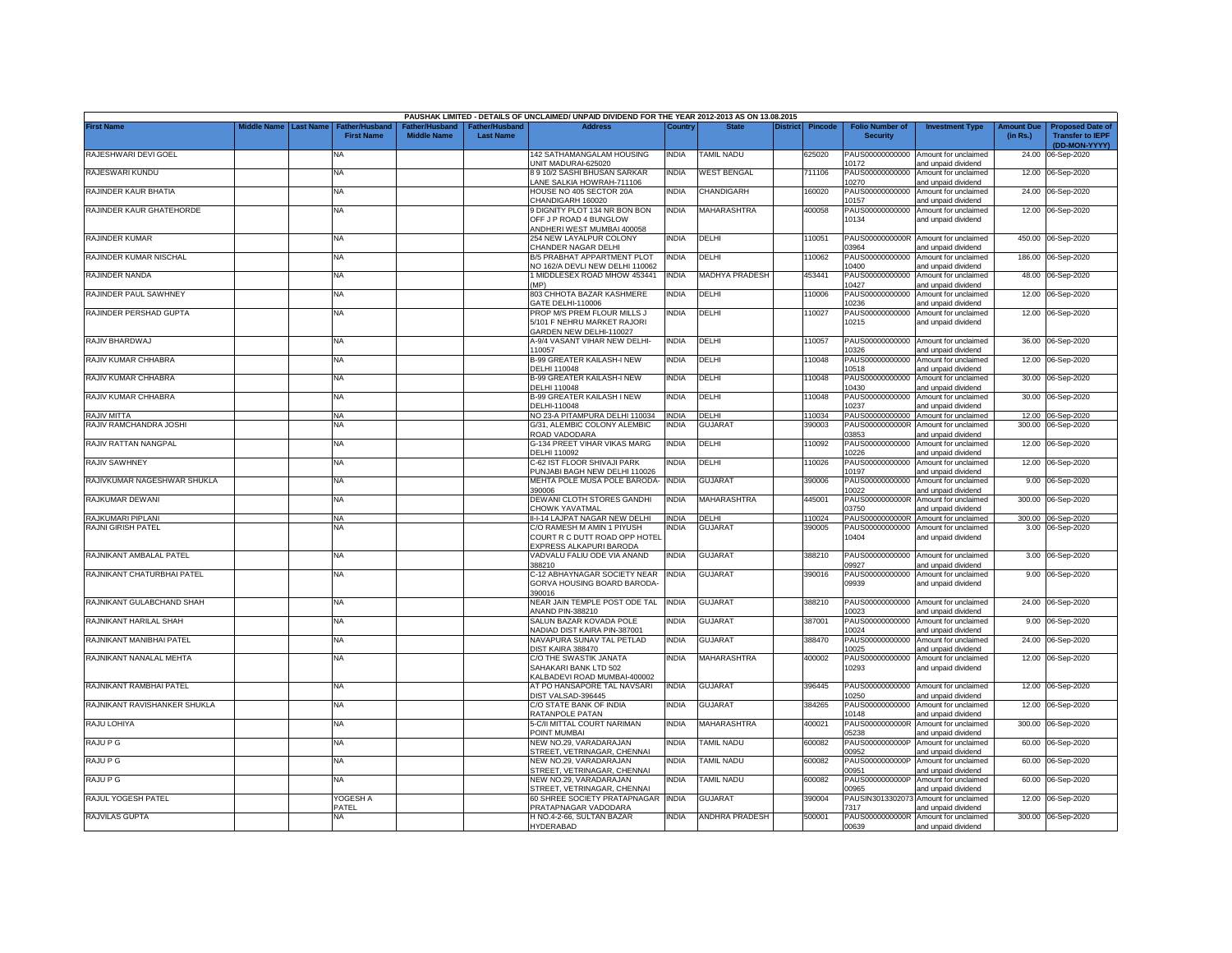|                              |                       |                                            |                                                  |                                   | PAUSHAK LIMITED - DETAILS OF UNCLAIMED/ UNPAID DIVIDEND FOR THE YEAR 2012-2013 AS ON 13.08.2015 |              |                    |                 |                |                                           |                                                             |                               |                                                                     |
|------------------------------|-----------------------|--------------------------------------------|--------------------------------------------------|-----------------------------------|-------------------------------------------------------------------------------------------------|--------------|--------------------|-----------------|----------------|-------------------------------------------|-------------------------------------------------------------|-------------------------------|---------------------------------------------------------------------|
| <b>First Name</b>            | Middle Name Last Name | <b>Father/Husband</b><br><b>First Name</b> | ather/Husband <sup>:</sup><br><b>Middle Name</b> | ather/Husband<br><b>Last Name</b> | <b>Address</b>                                                                                  | Country      | <b>State</b>       | <b>District</b> | <b>Pincode</b> | <b>Folio Number of</b><br><b>Security</b> | <b>Investment Type</b>                                      | <b>Amount Due</b><br>(in Rs.) | <b>Proposed Date of</b><br><b>Transfer to IEPF</b><br>(DD-MON-YYYY) |
| RAJESHWARI DEVI GOEL         |                       | NA                                         |                                                  |                                   | 142 SATHAMANGALAM HOUSING<br>UNIT MADURAI-625020                                                | INDIA        | <b>TAMIL NADU</b>  |                 | 625020         | PAUS00000000000<br>10172                  | Amount for unclaimed<br>and unpaid dividend                 | 24.00                         | 06-Sep-2020                                                         |
| RAJESWARI KUNDU              |                       | <b>NA</b>                                  |                                                  |                                   | <b>8 9 10/2 SASHI BHUSAN SARKAR</b><br>ANE SALKIA HOWRAH-711106                                 | India        | <b>WEST BENGAL</b> |                 | 711106         | PAUS00000000000<br>10270                  | Amount for unclaimed<br>and unpaid dividend                 |                               | 12.00 06-Sep-2020                                                   |
| RAJINDER KAUR BHATIA         |                       | <b>NA</b>                                  |                                                  |                                   | HOUSE NO 405 SECTOR 20A<br>CHANDIGARH 160020                                                    | <b>INDIA</b> | CHANDIGARH         |                 | 160020         | PAUS00000000000<br>10157                  | Amount for unclaimed<br>and unpaid dividend                 |                               | 24.00 06-Sep-2020                                                   |
| RAJINDER KAUR GHATEHORDE     |                       | <b>NA</b>                                  |                                                  |                                   | 9 DIGNITY PLOT 134 NR BON BON<br>OFF J P ROAD 4 BUNGLOW<br>ANDHERI WEST MUMBAI 400058           | india        | <b>MAHARASHTRA</b> |                 | 400058         | PAUS00000000000<br>10134                  | Amount for unclaimed<br>and unpaid dividend                 |                               | 12.00 06-Sep-2020                                                   |
| RAJINDER KUMAR               |                       | <b>NA</b>                                  |                                                  |                                   | 254 NEW LAYALPUR COLONY<br><b>CHANDER NAGAR DELHI</b>                                           | <b>INDIA</b> | DELHI              |                 | 110051         | PAUS0000000000R<br>03964                  | Amount for unclaimed<br>and unpaid dividend                 |                               | 450.00 06-Sep-2020                                                  |
| RAJINDER KUMAR NISCHAL       |                       | NA                                         |                                                  |                                   | <b>B/5 PRABHAT APPARTMENT PLOT</b><br>VO 162/A DEVLI NEW DELHI 110062                           | <b>INDIA</b> | DELHI              |                 | 10062          | PAUS00000000000<br>10400                  | Amount for unclaimed<br>and unpaid dividend                 |                               | 186.00 06-Sep-2020                                                  |
| RAJINDER NANDA               |                       | <b>NA</b>                                  |                                                  |                                   | 1 MIDDLESEX ROAD MHOW 453441<br>(MP)                                                            | INDIA        | MADHYA PRADESH     |                 | 453441         | PAUS00000000000<br>10427                  | Amount for unclaimed<br>and unpaid dividend                 |                               | 48.00 06-Sep-2020                                                   |
| RAJINDER PAUL SAWHNEY        |                       | <b>NA</b>                                  |                                                  |                                   | 803 CHHOTA BAZAR KASHMERE<br>GATE DELHI-110006                                                  | INDIA        | DELHI              |                 | 10006          | PAUS00000000000<br>10236                  | Amount for unclaimed<br>and unpaid dividend                 |                               | 12.00 06-Sep-2020                                                   |
| RAJINDER PERSHAD GUPTA       |                       | <b>NA</b>                                  |                                                  |                                   | PROP M/S PREM FLOUR MILLS J<br>5/101 F NEHRU MARKET RAJORI<br>GARDEN NEW DELHI-110027           | <b>INDIA</b> | DELHI              |                 | 10027          | PAUS00000000000<br>10215                  | Amount for unclaimed<br>and unpaid dividend                 |                               | 12.00 06-Sep-2020                                                   |
| RAJIV BHARDWAJ               |                       | <b>NA</b>                                  |                                                  |                                   | A-9/4 VASANT VIHAR NEW DELHI-<br>110057                                                         | <b>INDIA</b> | DELHI              |                 | 10057          | PAUS00000000000<br>10326                  | Amount for unclaimed<br>and unpaid dividend                 |                               | 36.00 06-Sep-2020                                                   |
| RAJIV KUMAR CHHABRA          |                       | <b>NA</b>                                  |                                                  |                                   | <b>B-99 GREATER KAILASH-I NEW</b><br>DELHI 110048                                               | INDIA        | DELHI              |                 | 10048          | PAUS00000000000<br>10518                  | Amount for unclaimed<br>and unpaid dividend                 | 12.00                         | 06-Sep-2020                                                         |
| RAJIV KUMAR CHHABRA          |                       | <b>NA</b>                                  |                                                  |                                   | <b>B-99 GREATER KAILASH-I NEW</b><br>DELHI 110048                                               | INDIA        | DELHI              |                 | 110048         | PAUS00000000000<br>10430                  | Amount for unclaimed<br>and unpaid dividend                 | 30.00                         | 06-Sep-2020                                                         |
| RAJIV KUMAR CHHABRA          |                       | <b>NA</b>                                  |                                                  |                                   | <b>B-99 GREATER KAILASH I NEW</b><br>DELHI-110048                                               | india        | DELHI              |                 | 10048          | PAUS00000000000<br>10237                  | Amount for unclaimed<br>and unpaid dividend                 | 30.00                         | 06-Sep-2020                                                         |
| RAJIV MITTA                  |                       | <b>NA</b>                                  |                                                  |                                   | NO 23-A PITAMPURA DELHI 110034                                                                  | india        | DELHI              |                 | 110034         | PAUS00000000000                           | Amount for unclaimed                                        |                               | 12.00 06-Sep-2020                                                   |
| RAJIV RAMCHANDRA JOSHI       |                       | NA                                         |                                                  |                                   | G/31, ALEMBIC COLONY ALEMBIC<br>ROAD VADODARA                                                   | NDIA         | <b>GUJARAT</b>     |                 | 390003         | PAUS0000000000R<br>03853                  | Amount for unclaimed<br>and unpaid dividend                 | 300.00                        | 06-Sep-2020                                                         |
| RAJIV RATTAN NANGPAL         |                       | <b>NA</b>                                  |                                                  |                                   | G-134 PREET VIHAR VIKAS MARG<br>DELHI 110092                                                    | INDIA        | DELHI              |                 | 10092          | PAUS00000000000<br>10226                  | Amount for unclaimed<br>and unpaid dividend                 |                               | 12.00 06-Sep-2020                                                   |
| RAJIV SAWHNEY                |                       | <b>NA</b>                                  |                                                  |                                   | C-62 IST FLOOR SHIVAJI PARK<br>PUNJABI BAGH NEW DELHI 110026                                    | India        | DELHI              |                 | 10026          | PAUS00000000000<br>10197                  | Amount for unclaimed<br>and unpaid dividend                 |                               | 12.00 06-Sep-2020                                                   |
| RAJIVKUMAR NAGESHWAR SHUKLA  |                       | <b>NA</b>                                  |                                                  |                                   | MEHTA POLE MUSA POLE BARODA-<br>390006                                                          | <b>INDIA</b> | <b>GUJARAT</b>     |                 | 390006         | PAUS00000000000<br>10022                  | Amount for unclaimed<br>and unpaid dividend                 |                               | 9.00 06-Sep-2020                                                    |
| RAJKUMAR DEWANI              |                       | <b>NA</b>                                  |                                                  |                                   | DEWANI CLOTH STORES GANDHI<br>CHOWK YAVATMAL                                                    | <b>INDIA</b> | <b>MAHARASHTRA</b> |                 | 445001         | PAUS0000000000R<br>03750                  | Amount for unclaimed<br>and unpaid dividend                 |                               | 300.00 06-Sep-2020                                                  |
| RAJKUMARI PIPLANI            |                       | <b>NA</b>                                  |                                                  |                                   | II-I-14 LAJPAT NAGAR NEW DELHI                                                                  | <b>INDIA</b> | DELHI              |                 | 110024         | PAUS0000000000R                           | Amount for unclaimed                                        |                               | 300.00 06-Sep-2020                                                  |
| RAJNI GIRISH PATEL           |                       | NA                                         |                                                  |                                   | C/O RAMESH M AMIN 1 PIYUSH<br>COURT R C DUTT ROAD OPP HOTEL<br><b>EXPRESS ALKAPURI BARODA</b>   | ndia         | <b>GUJARAT</b>     |                 | 390005         | PAUS00000000000<br>10404                  | Amount for unclaimed<br>and unpaid dividend                 |                               | 3.00 06-Sep-2020                                                    |
| RAJNIKANT AMBALAL PATEL      |                       | <b>NA</b>                                  |                                                  |                                   | VADVALU FALIU ODE VIA ANAND<br>388210                                                           | INDIA        | <b>GUJARAT</b>     |                 | 388210         | PAUS00000000000<br>09927                  | Amount for unclaimed<br>and unpaid dividend                 |                               | 3.00 06-Sep-2020                                                    |
| RAJNIKANT CHATURBHAI PATEL   |                       | <b>NA</b>                                  |                                                  |                                   | C-12 ABHAYNAGAR SOCIETY NEAR<br>GORVA HOUSING BOARD BARODA-<br>390016                           | INDIA        | <b>GUJARAT</b>     |                 | 390016         | PAUS00000000000<br>09939                  | Amount for unclaimed<br>and unpaid dividend                 |                               | 9.00 06-Sep-2020                                                    |
| RAJNIKANT GULABCHAND SHAH    |                       | NA                                         |                                                  |                                   | VEAR JAIN TEMPLE POST ODE TAL<br><b>NAND PIN-388210</b>                                         | <b>INDIA</b> | <b>GUJARAT</b>     |                 | 388210         | PAUS00000000000<br>10023                  | Amount for unclaimed<br>and unpaid dividend                 |                               | 24.00 06-Sep-2020                                                   |
| RAJNIKANT HARILAL SHAH       |                       | ΝA                                         |                                                  |                                   | SALUN BAZAR KOVADA POLE<br>VADIAD DIST KAIRA PIN-387001                                         | NDIA         | <b>GUJARAT</b>     |                 | 387001         | PAUS00000000000<br>10024                  | Amount for unclaimed<br>and unpaid dividend                 |                               | 9.00 06-Sep-2020                                                    |
| RAJNIKANT MANIBHAI PATEL     |                       | <b>NA</b>                                  |                                                  |                                   | NAVAPURA SUNAV TAL PETLAD<br>DIST KAIRA 388470                                                  | INDIA        | GUJARAT            |                 | 388470         | PAUS00000000000<br>10025                  | Amount for unclaimed<br>and unpaid dividend                 |                               | 24.00 06-Sep-2020                                                   |
| RAJNIKANT NANALAL MEHTA      |                       | <b>NA</b>                                  |                                                  |                                   | C/O THE SWASTIK JANATA<br>SAHAKARI BANK LTD 502<br>KALBADEVI ROAD MUMBAI-400002                 | <b>INDIA</b> | <b>MAHARASHTRA</b> |                 | 400002         | PAUS00000000000<br>10293                  | Amount for unclaimed<br>and unpaid dividend                 |                               | 12.00 06-Sep-2020                                                   |
| RAJNIKANT RAMBHAI PATEL      |                       | <b>NA</b>                                  |                                                  |                                   | AT PO HANSAPORE TAL NAVSARI<br>DIST VALSAD-396445                                               | <b>INDIA</b> | <b>GUJARAT</b>     |                 | 396445         | PAUS00000000000<br>10250                  | Amount for unclaimed<br>and unpaid dividend                 |                               | 12.00 06-Sep-2020                                                   |
| RAJNIKANT RAVISHANKER SHUKLA |                       | <b>NA</b>                                  |                                                  |                                   | C/O STATE BANK OF INDIA<br>RATANPOLE PATAN                                                      | INDIA        | <b>GUJARAT</b>     |                 | 384265         | PAUS00000000000<br>10148                  | Amount for unclaimed<br>and unpaid dividend                 | 12.00                         | 06-Sep-2020                                                         |
| RAJU LOHIYA                  |                       | <b>NA</b>                                  |                                                  |                                   | 5-C/II MITTAL COURT NARIMAN<br>POINT MUMBAI                                                     | INDIA        | MAHARASHTRA        |                 | 400021         | PAUS0000000000R                           | Amount for unclaimed                                        | 300.00                        | 06-Sep-2020                                                         |
| RAJU P G                     |                       | <b>NA</b>                                  |                                                  |                                   | NEW NO.29, VARADARAJAN                                                                          | india        | <b>TAMIL NADU</b>  |                 | 600082         | 05238<br>PAUS0000000000P                  | and unpaid dividend<br>Amount for unclaimed                 | 60.00                         | 06-Sep-2020                                                         |
| RAJU P G                     |                       | <b>NA</b>                                  |                                                  |                                   | STREET, VETRINAGAR, CHENNAI<br>NEW NO.29. VARADARAJAN                                           | india        | <b>TAMIL NADU</b>  |                 | 600082         | 00952<br>PAUS0000000000P                  | and unpaid dividend<br>Amount for unclaimed                 | 60.00                         | 06-Sep-2020                                                         |
| RAJU P G                     |                       | <b>NA</b>                                  |                                                  |                                   | STREET, VETRINAGAR, CHENNAI<br>VEW NO.29. VARADARAJAN                                           | india        | <b>TAMIL NADU</b>  |                 | 600082         | 00951<br>PAUS0000000000P                  | and unpaid dividend<br>Amount for unclaimed                 | 60.00                         | 06-Sep-2020                                                         |
| RAJUL YOGESH PATEL           |                       | YOGESH A                                   |                                                  |                                   | STREET, VETRINAGAR, CHENNAI<br>60 SHREE SOCIETY PRATAPNAGAR                                     | <b>INDIA</b> | <b>GUJARAT</b>     |                 | 390004         | 0965<br>PAUSIN3013302073                  | and unpaid dividend<br>Amount for unclaimed                 |                               | 12.00 06-Sep-2020                                                   |
| RAJVILAS GUPTA               |                       | PATEL<br>NA                                |                                                  |                                   | PRATAPNAGAR VADODARA<br>H NO.4-2-66, SULTAN BAZAR                                               | NDIA         | ANDHRA PRADESH     |                 | 500001         | 7317                                      | and unpaid dividend<br>PAUS0000000000R Amount for unclaimed |                               | 300.00 06-Sep-2020                                                  |
|                              |                       |                                            |                                                  |                                   | HYDERABAD                                                                                       |              |                    |                 |                | 00639                                     | and unpaid dividend                                         |                               |                                                                     |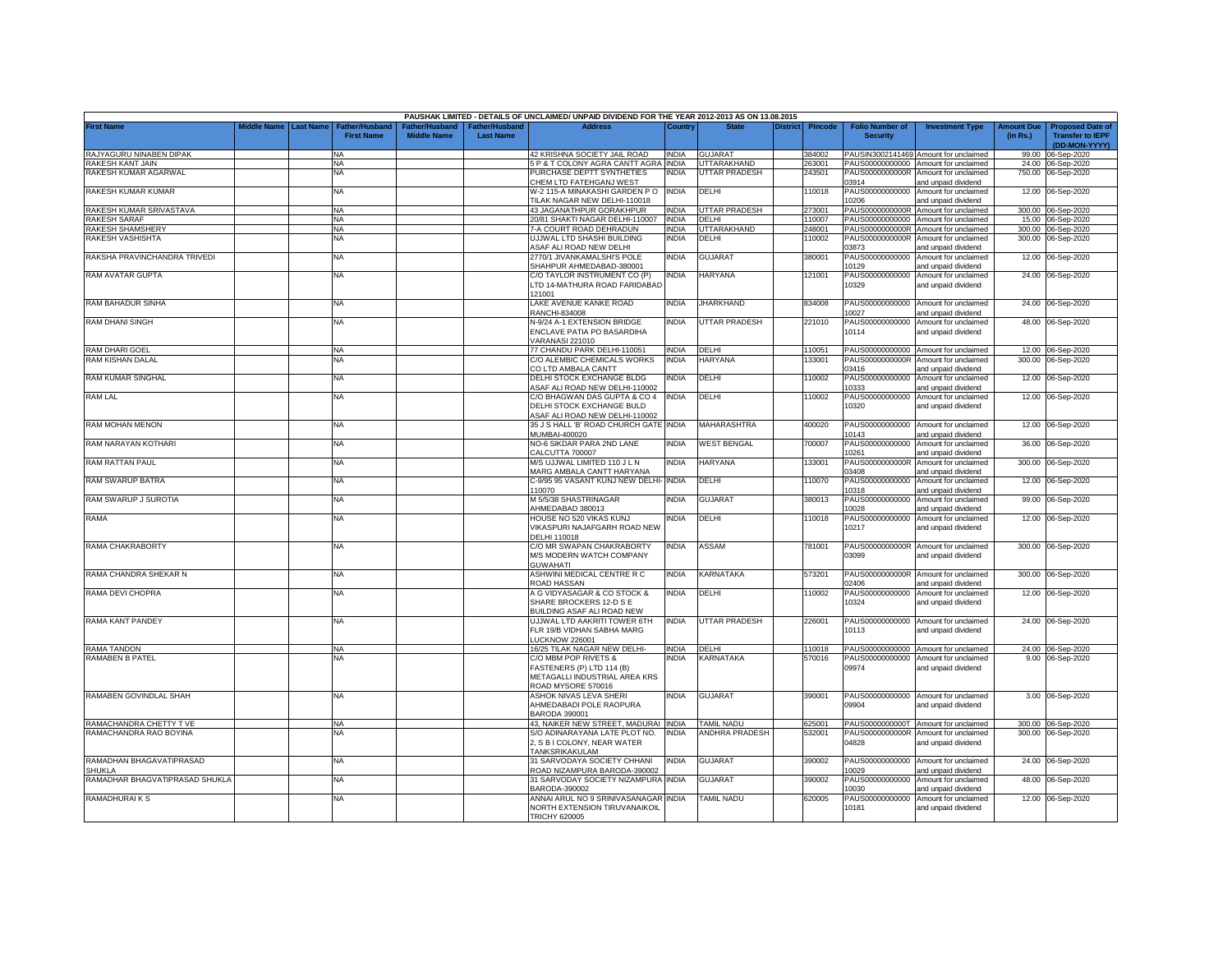|                                |             |                  |                       |                    |                       | PAUSHAK LIMITED - DETAILS OF UNCLAIMED/ UNPAID DIVIDEND FOR THE YEAR 2012-2013 AS ON 13.08.2015 |              |                       |                 |         |                          |                                             |                   |                         |
|--------------------------------|-------------|------------------|-----------------------|--------------------|-----------------------|-------------------------------------------------------------------------------------------------|--------------|-----------------------|-----------------|---------|--------------------------|---------------------------------------------|-------------------|-------------------------|
| <b>First Name</b>              | Middle Name | <b>Last Name</b> | <b>Father/Husband</b> | Father/Husband     | <b>Father/Husband</b> | <b>Address</b>                                                                                  | Countrv      | <b>State</b>          | <b>District</b> | Pincode | <b>Folio Number of</b>   | <b>Investment Type</b>                      | <b>Amount Due</b> | <b>Proposed Date of</b> |
|                                |             |                  | <b>First Name</b>     | <b>Middle Name</b> | <b>Last Name</b>      |                                                                                                 |              |                       |                 |         | <b>Security</b>          |                                             | (in Rs.)          | <b>Transfer to IEPF</b> |
|                                |             |                  |                       |                    |                       |                                                                                                 |              |                       |                 |         |                          |                                             |                   | (DD-MON-YYYY)           |
| RAJYAGURU NINABEN DIPAK        |             |                  | <b>NA</b>             |                    |                       | 42 KRISHNA SOCIETY JAIL ROAD                                                                    | <b>INDIA</b> | <b>GUJARAT</b>        |                 | 384002  |                          | PAUSIN3002141469 Amount for unclaimed       | 99.00             | 06-Sep-2020             |
| RAKESH KANT JAIN               |             |                  | <b>NA</b>             |                    |                       | 5 P & T COLONY AGRA CANTT AGRA INDIA                                                            |              | UTTARAKHAND           |                 | 263001  |                          | PAUS00000000000 Amount for unclaimed        |                   | 24.00 06-Sep-2020       |
| RAKESH KUMAR AGARWAL           |             |                  | <b>NA</b>             |                    |                       | PURCHASE DEPTT SYNTHETIES                                                                       | INDIA        | UTTAR PRADESH         |                 | 243501  |                          | PAUS0000000000R Amount for unclaimed        |                   | 750.00 06-Sep-2020      |
|                                |             |                  |                       |                    |                       | CHEM LTD FATEHGANJ WEST                                                                         |              |                       |                 |         | 03914                    | and unpaid dividend                         |                   |                         |
| RAKESH KUMAR KUMAR             |             |                  | NA                    |                    |                       | W-2 115-A MINAKASHI GARDEN PO INDIA                                                             |              | DELHI                 |                 | 110018  |                          | PAUS00000000000 Amount for unclaimed        |                   | 12.00 06-Sep-2020       |
|                                |             |                  |                       |                    |                       | TILAK NAGAR NEW DELHI-110018                                                                    |              |                       |                 |         | 10206                    | and unpaid dividend                         |                   |                         |
| RAKESH KUMAR SRIVASTAVA        |             |                  | NA                    |                    |                       | 43 JAGANATHPUR GORAKHPUR                                                                        | <b>INDIA</b> | UTTAR PRADESH         |                 | 273001  |                          | PAUS0000000000R Amount for unclaimed        |                   | 300.00 06-Sep-2020      |
| <b>RAKESH SARAF</b>            |             |                  | <b>NA</b>             |                    |                       | 20/81 SHAKTI NAGAR DELHI-110007                                                                 | <b>INDIA</b> | DELHI                 |                 | 110007  |                          | PAUS00000000000 Amount for unclaimed        |                   | 15.00 06-Sep-2020       |
| RAKESH SHAMSHERY               |             |                  | ΝA                    |                    |                       | 7-A COURT ROAD DEHRADUN                                                                         | <b>INDIA</b> | UTTARAKHAND           |                 | 248001  | PAUS0000000000R          | Amount for unclaimed                        |                   | 300.00 06-Sep-2020      |
| RAKESH VASHISHTA               |             |                  | NA.                   |                    |                       | UJJWAL LTD SHASHI BUILDING                                                                      | INDIA        | DELHI                 |                 | 110002  | PAUS0000000000R          | Amount for unclaimed                        |                   | 300.00 06-Sep-2020      |
|                                |             |                  |                       |                    |                       | ASAF ALI ROAD NEW DELHI                                                                         |              |                       |                 |         | 3873                     | and unpaid dividend                         |                   |                         |
| RAKSHA PRAVINCHANDRA TRIVEDI   |             |                  | NA                    |                    |                       | 2770/1 JIVANKAMALSHI'S POLE                                                                     | NDIA         | GUJARAT               |                 | 380001  | PAUS00000000000          | Amount for unclaimed                        |                   | 12.00 06-Sep-2020       |
|                                |             |                  |                       |                    |                       | SHAHPUR AHMEDABAD-380001                                                                        |              |                       |                 |         | 10129                    | and unpaid dividend                         |                   |                         |
| RAM AVATAR GUPTA               |             |                  | NA                    |                    |                       | C/O TAYLOR INSTRUMENT CO (P)                                                                    | NDIA         | <b>HARYANA</b>        |                 | 121001  | PAUS00000000000          | Amount for unclaimed                        |                   | 24.00 06-Sep-2020       |
|                                |             |                  |                       |                    |                       | LTD 14-MATHURA ROAD FARIDABAD                                                                   |              |                       |                 |         | 10329                    | and unpaid dividend                         |                   |                         |
|                                |             |                  |                       |                    |                       | 121001                                                                                          |              |                       |                 |         |                          |                                             |                   |                         |
| RAM BAHADUR SINHA              |             |                  | <b>NA</b>             |                    |                       | LAKE AVENUE KANKE ROAD                                                                          | <b>INDIA</b> | <b>JHARKHAND</b>      |                 | 834008  |                          | PAUS00000000000 Amount for unclaimed        |                   | 24.00 06-Sep-2020       |
|                                |             |                  |                       |                    |                       | RANCHI-834008                                                                                   |              |                       |                 |         | 10027                    | and unpaid dividend                         |                   |                         |
| <b>RAM DHANI SINGH</b>         |             |                  | NA                    |                    |                       | N-9/24 A-1 EXTENSION BRIDGE                                                                     | INDIA        | UTTAR PRADESH         |                 | 221010  |                          | PAUS00000000000 Amount for unclaimed        |                   | 48.00 06-Sep-2020       |
|                                |             |                  |                       |                    |                       | ENCLAVE PATIA PO BASARDIHA                                                                      |              |                       |                 |         | 10114                    | and unpaid dividend                         |                   |                         |
|                                |             |                  |                       |                    |                       | VARANASI 221010                                                                                 |              |                       |                 |         |                          |                                             |                   |                         |
| RAM DHARI GOEL                 |             |                  | <b>NA</b>             |                    |                       | 77 CHANDU PARK DELHI-110051                                                                     | <b>INDIA</b> | DELHI                 |                 | 110051  |                          | PAUS00000000000 Amount for unclaimed        |                   | 12.00 06-Sep-2020       |
| RAM KISHAN DALAL               |             |                  | NA                    |                    |                       | C/O ALEMBIC CHEMICALS WORKS                                                                     | INDIA        | HARYANA               |                 | 133001  | PAUS0000000000R          | Amount for unclaimed                        |                   | 300.00 06-Sep-2020      |
|                                |             |                  |                       |                    |                       | CO LTD AMBALA CANTT                                                                             |              |                       |                 |         | 03416                    | and unpaid dividend                         |                   |                         |
| RAM KUMAR SINGHAL              |             |                  | <b>NA</b>             |                    |                       | DELHI STOCK EXCHANGE BLDG                                                                       | NDIA         | DELHI                 |                 | 10002   | PAUS00000000000          | Amount for unclaimed                        |                   | 12.00 06-Sep-2020       |
|                                |             |                  |                       |                    |                       | <b>ASAF ALI ROAD NEW DELHI-110002</b>                                                           |              |                       |                 |         | 0333                     | and unpaid dividend                         |                   |                         |
| RAM LAL                        |             |                  | NA                    |                    |                       | C/O BHAGWAN DAS GUPTA & CO 4                                                                    | INDIA        | DELHI                 |                 | 10002   | PAUS00000000000          | Amount for unclaimed                        |                   | 12.00 06-Sep-2020       |
|                                |             |                  |                       |                    |                       | DELHI STOCK EXCHANGE BULD                                                                       |              |                       |                 |         | 10320                    | and unpaid dividend                         |                   |                         |
|                                |             |                  |                       |                    |                       | <b>ASAF ALI ROAD NEW DELHI-110002</b>                                                           |              |                       |                 |         |                          |                                             |                   |                         |
| RAM MOHAN MENON                |             |                  | NA                    |                    |                       | 35 J S HALL 'B' ROAD CHURCH GATE INDIA                                                          |              | <b>MAHARASHTRA</b>    |                 | 400020  | PAUS00000000000          | Amount for unclaimed                        |                   | 12.00 06-Sep-2020       |
|                                |             |                  |                       |                    |                       | MUMBAI-400020                                                                                   |              |                       |                 |         | 10143                    | and unpaid dividend                         |                   |                         |
| RAM NARAYAN KOTHARI            |             |                  | ΝA                    |                    |                       | NO-6 SIKDAR PARA 2ND LANE                                                                       | INDIA        | <b>WEST BENGAL</b>    |                 | 700007  | PAUS00000000000<br>0261  | Amount for unclaimed                        |                   | 36.00 06-Sep-2020       |
|                                |             |                  |                       |                    |                       | CALCUTTA 700007<br>M/S UJJWAL LIMITED 110 J L N                                                 | NDIA         |                       |                 |         | PAUS0000000000R          | nd unpaid dividend                          |                   |                         |
| RAM RATTAN PAUL                |             |                  | <b>NA</b>             |                    |                       |                                                                                                 |              | <b>HARYANA</b>        |                 | 133001  |                          | Amount for unclaimed                        |                   | 300.00 06-Sep-2020      |
|                                |             |                  |                       |                    |                       | MARG AMBALA CANTT HARYANA                                                                       |              |                       |                 |         | 03408                    | and unpaid dividend                         |                   |                         |
| RAM SWARUP BATRA               |             |                  | NA                    |                    |                       | C-9/95 95 VASANT KUNJ NEW DELHI- INDIA<br>110070                                                |              | DELHI                 |                 | 110070  | PAUS00000000000<br>10318 | Amount for unclaimed                        |                   | 12.00 06-Sep-2020       |
| RAM SWARUP J SUROTIA           |             |                  | NA                    |                    |                       | M 5/5/38 SHASTRINAGAR                                                                           | <b>INDIA</b> | <b>GUJARAT</b>        |                 | 380013  | PAUS00000000000          | and unpaid dividend<br>Amount for unclaimed | 99.00             |                         |
|                                |             |                  |                       |                    |                       | AHMEDABAD 380013                                                                                |              |                       |                 |         | 10028                    |                                             |                   | 06-Sep-2020             |
| RAMA                           |             |                  | <b>NA</b>             |                    |                       |                                                                                                 | <b>INDIA</b> | DELHI                 |                 | 110018  |                          | and unpaid dividend                         |                   | 12.00 06-Sep-2020       |
|                                |             |                  |                       |                    |                       | HOUSE NO 520 VIKAS KUNJ<br>VIKASPURI NAJAFGARH ROAD NEW                                         |              |                       |                 |         | PAUS00000000000<br>10217 | Amount for unclaimed<br>and unpaid dividend |                   |                         |
|                                |             |                  |                       |                    |                       | DELHI 110018                                                                                    |              |                       |                 |         |                          |                                             |                   |                         |
| RAMA CHAKRABORTY               |             |                  | ΝA                    |                    |                       | C/O MR SWAPAN CHAKRABORTY                                                                       | <b>INDIA</b> | ASSAM                 |                 | 781001  | PAUS0000000000R          | Amount for unclaimed                        |                   | 300.00 06-Sep-2020      |
|                                |             |                  |                       |                    |                       | M/S MODERN WATCH COMPANY                                                                        |              |                       |                 |         | 03099                    | and unpaid dividend                         |                   |                         |
|                                |             |                  |                       |                    |                       | <b>GUWAHATI</b>                                                                                 |              |                       |                 |         |                          |                                             |                   |                         |
| RAMA CHANDRA SHEKAR N          |             |                  | NA                    |                    |                       | ASHWINI MEDICAL CENTRE R C                                                                      | <b>INDIA</b> | KARNATAKA             |                 | 573201  | PAUS0000000000R          | Amount for unclaimed                        | 300.00            | 06-Sep-2020             |
|                                |             |                  |                       |                    |                       | ROAD HASSAN                                                                                     |              |                       |                 |         | 02406                    | and unpaid dividend                         |                   |                         |
| RAMA DEVI CHOPRA               |             |                  | NA                    |                    |                       | A G VIDYASAGAR & CO STOCK &                                                                     | <b>INDIA</b> | DELHI                 |                 | 110002  | PAUS00000000000          | Amount for unclaimed                        | 12.00             | 06-Sep-2020             |
|                                |             |                  |                       |                    |                       | SHARE BROCKERS 12-D S E                                                                         |              |                       |                 |         | 10324                    | and unpaid dividend                         |                   |                         |
|                                |             |                  |                       |                    |                       | BUILDING ASAF ALI ROAD NEW                                                                      |              |                       |                 |         |                          |                                             |                   |                         |
| RAMA KANT PANDEY               |             |                  | <b>NA</b>             |                    |                       | UJJWAL LTD AAKRITI TOWER 6TH                                                                    | <b>INDIA</b> | UTTAR PRADESH         |                 | 226001  |                          | PAUS00000000000 Amount for unclaimed        |                   | 24.00 06-Sep-2020       |
|                                |             |                  |                       |                    |                       | FLR 19/B VIDHAN SABHA MARG                                                                      |              |                       |                 |         | 10113                    | and unpaid dividend                         |                   |                         |
|                                |             |                  |                       |                    |                       | <b>LUCKNOW 226001</b>                                                                           |              |                       |                 |         |                          |                                             |                   |                         |
| RAMA TANDON                    |             |                  | <b>NA</b>             |                    |                       | 16/25 TILAK NAGAR NEW DELHI-                                                                    | <b>INDIA</b> | DELHI                 |                 | 110018  |                          | PAUS00000000000 Amount for unclaimed        |                   | 24.00 06-Sep-2020       |
| <b>RAMABEN B PATEL</b>         |             |                  | NA                    |                    |                       | C/O MBM POP RIVETS &                                                                            | <b>INDIA</b> | KARNATAKA             |                 | 570016  |                          | PAUS00000000000 Amount for unclaimed        |                   | 9.00 06-Sep-2020        |
|                                |             |                  |                       |                    |                       | FASTENERS (P) LTD 114 (B)                                                                       |              |                       |                 |         | 09974                    | and unpaid dividend                         |                   |                         |
|                                |             |                  |                       |                    |                       | METAGALLI INDUSTRIAL AREA KRS                                                                   |              |                       |                 |         |                          |                                             |                   |                         |
|                                |             |                  |                       |                    |                       | ROAD MYSORE 570016                                                                              |              |                       |                 |         |                          |                                             |                   |                         |
| RAMABEN GOVINDLAL SHAH         |             |                  | NA.                   |                    |                       | ASHOK NIVAS LEVA SHERI                                                                          | <b>INDIA</b> | GUJARAT               |                 | 390001  |                          | PAUS00000000000 Amount for unclaimed        |                   | 3.00 06-Sep-2020        |
|                                |             |                  |                       |                    |                       | AHMEDABADI POLE RAOPURA                                                                         |              |                       |                 |         | 09904                    | and unpaid dividend                         |                   |                         |
|                                |             |                  |                       |                    |                       | <b>BARODA 390001</b>                                                                            |              |                       |                 |         |                          |                                             |                   |                         |
| RAMACHANDRA CHETTY T VE        |             |                  | <b>NA</b>             |                    |                       | 43, NAIKER NEW STREET, MADURAI INDIA                                                            |              | <b>TAMIL NADU</b>     |                 | 625001  |                          | PAUS0000000000T Amount for unclaimed        |                   | 300.00 06-Sep-2020      |
| RAMACHANDRA RAO BOYINA         |             |                  | NA                    |                    |                       | S/O ADINARAYANA LATE PLOT NO.                                                                   | <b>INDIA</b> | <b>ANDHRA PRADESH</b> |                 | 532001  | PAUS0000000000R          | Amount for unclaimed                        |                   | 300.00 06-Sep-2020      |
|                                |             |                  |                       |                    |                       | 2, S B I COLONY, NEAR WATER                                                                     |              |                       |                 |         | 04828                    | and unpaid dividend                         |                   |                         |
|                                |             |                  |                       |                    |                       | TANKSRIKAKULAM                                                                                  |              |                       |                 |         |                          |                                             |                   |                         |
| RAMADHAN BHAGAVATIPRASAD       |             |                  | NA                    |                    |                       | 31 SARVODAYA SOCIETY CHHANI                                                                     | <b>INDIA</b> | <b>GUJARAT</b>        |                 | 390002  |                          | PAUS00000000000 Amount for unclaimed        |                   | 24.00 06-Sep-2020       |
| SHUKLA                         |             |                  |                       |                    |                       | ROAD NIZAMPURA BARODA-390002                                                                    |              |                       |                 |         | 0029                     | and unpaid dividend                         |                   |                         |
| RAMADHAR BHAGVATIPRASAD SHUKLA |             |                  | <b>NA</b>             |                    |                       | 31 SARVODAY SOCIETY NIZAMPURA INDIA                                                             |              | GUJARAT               |                 | 390002  |                          | PAUS00000000000 Amount for unclaimed        |                   | 48.00 06-Sep-2020       |
|                                |             |                  |                       |                    |                       | BARODA-390002                                                                                   |              |                       |                 |         | 0030                     | and unpaid dividend                         |                   |                         |
| RAMADHURAIKS                   |             |                  | NA                    |                    |                       | ANNAI ARUL NO 9 SRINIVASANAGAR INDIA                                                            |              | <b>TAMIL NADU</b>     |                 | 620005  |                          | PAUS00000000000 Amount for unclaimed        |                   | 12.00 06-Sep-2020       |
|                                |             |                  |                       |                    |                       | NORTH EXTENSION TIRUVANAIKOIL                                                                   |              |                       |                 |         | 10181                    | and unpaid dividend                         |                   |                         |
|                                |             |                  |                       |                    |                       | <b>TRICHY 620005</b>                                                                            |              |                       |                 |         |                          |                                             |                   |                         |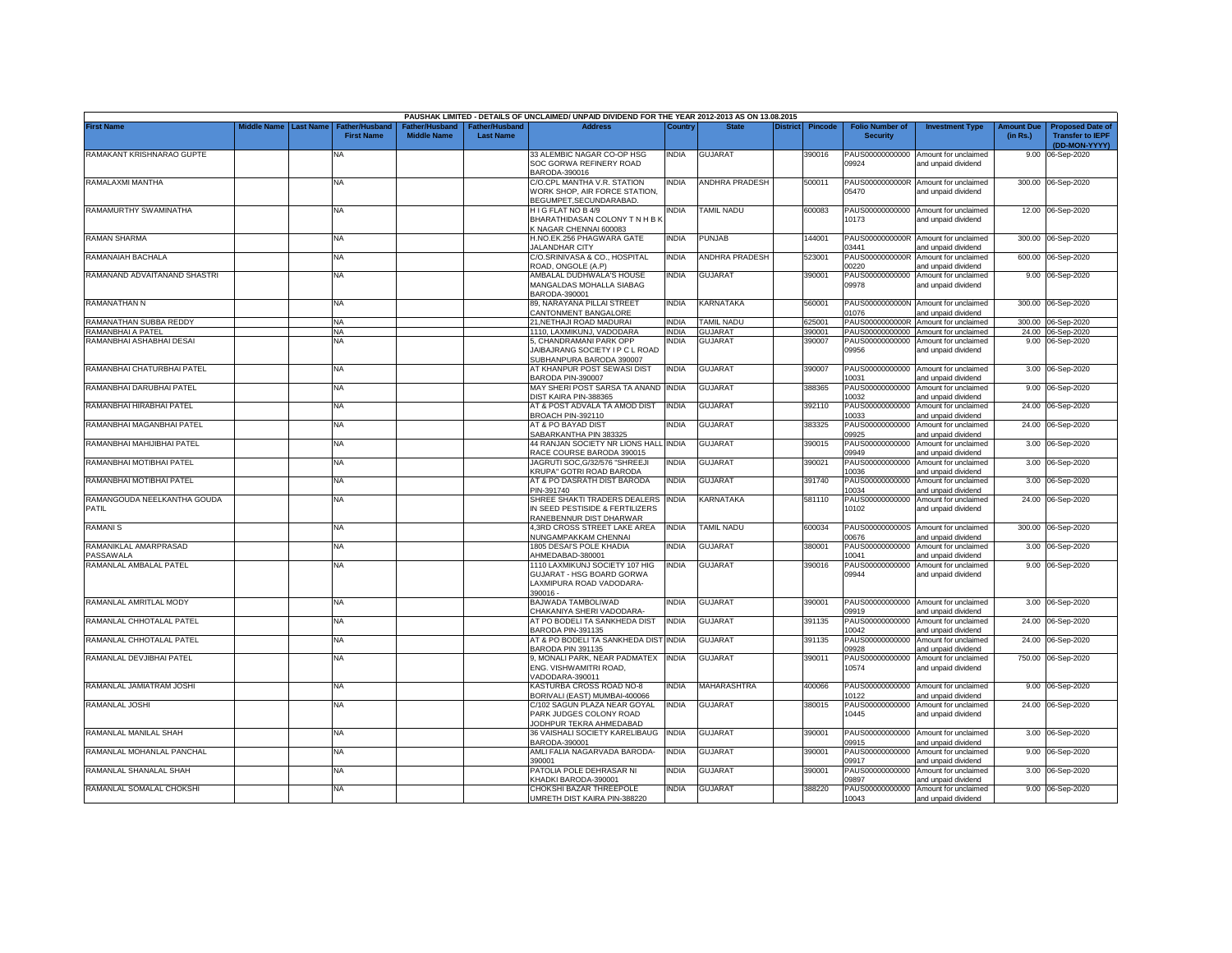|                                    |                              |                       |                    |                       | PAUSHAK LIMITED - DETAILS OF UNCLAIMED/ UNPAID DIVIDEND FOR THE YEAR 2012-2013 AS ON 13.08.2015 |              |                   |                 |         |                          |                                             |                   |                         |
|------------------------------------|------------------------------|-----------------------|--------------------|-----------------------|-------------------------------------------------------------------------------------------------|--------------|-------------------|-----------------|---------|--------------------------|---------------------------------------------|-------------------|-------------------------|
| <b>First Name</b>                  | <b>Middle Name Last Name</b> | <b>Father/Husband</b> | Father/Husband     | <b>Father/Husband</b> | <b>Address</b>                                                                                  | Country      | <b>State</b>      | <b>District</b> | Pincode | <b>Folio Number of</b>   | <b>Investment Type</b>                      | <b>Amount Due</b> | <b>Proposed Date of</b> |
|                                    |                              | <b>First Name</b>     | <b>Middle Name</b> | <b>Last Name</b>      |                                                                                                 |              |                   |                 |         | <b>Security</b>          |                                             | (in Rs.)          | <b>Transfer to IEPF</b> |
|                                    |                              |                       |                    |                       |                                                                                                 |              |                   |                 |         |                          |                                             |                   | (DD-MON-YYYY)           |
| RAMAKANT KRISHNARAO GUPTE          |                              | <b>NA</b>             |                    |                       | 33 ALEMBIC NAGAR CO-OP HSG                                                                      | <b>INDIA</b> | <b>GUJARAT</b>    |                 | 390016  | PAUS00000000000          | Amount for unclaimed                        | 9.00              | 06-Sep-2020             |
|                                    |                              |                       |                    |                       | SOC GORWA REFINERY ROAD                                                                         |              |                   |                 |         | 09924                    | and unpaid dividend                         |                   |                         |
|                                    |                              |                       |                    |                       | BARODA-390016                                                                                   |              |                   |                 |         |                          |                                             |                   |                         |
| RAMALAXMI MANTHA                   |                              | NA                    |                    |                       | C/O.CPL MANTHA V.R. STATION                                                                     | <b>INDIA</b> | ANDHRA PRADESH    |                 | 500011  |                          | PAUS0000000000R Amount for unclaimed        |                   | 300.00 06-Sep-2020      |
|                                    |                              |                       |                    |                       | WORK SHOP, AIR FORCE STATION,                                                                   |              |                   |                 |         | 05470                    | and unpaid dividend                         |                   |                         |
| RAMAMURTHY SWAMINATHA              |                              |                       |                    |                       | BEGUMPET, SECUNDARABAD.<br>HIG FLAT NO B 4/9                                                    | NDIA         | <b>TAMIL NADU</b> |                 | 600083  |                          | PAUS00000000000 Amount for unclaimed        |                   | 12.00 06-Sep-2020       |
|                                    |                              | NA                    |                    |                       | BHARATHIDASAN COLONY TN H B K                                                                   |              |                   |                 |         | 10173                    | and unpaid dividend                         |                   |                         |
|                                    |                              |                       |                    |                       | K NAGAR CHENNAI 600083                                                                          |              |                   |                 |         |                          |                                             |                   |                         |
| <b>RAMAN SHARMA</b>                |                              | <b>NA</b>             |                    |                       | H.NO.EK.256 PHAGWARA GATE                                                                       | <b>INDIA</b> | PUNJAB            |                 | 144001  |                          | PAUS0000000000R Amount for unclaimed        |                   | 300.00 06-Sep-2020      |
|                                    |                              |                       |                    |                       | <b>JALANDHAR CITY</b>                                                                           |              |                   |                 |         | 03441                    | and unpaid dividend                         |                   |                         |
| RAMANAIAH BACHALA                  |                              | <b>NA</b>             |                    |                       | C/O.SRINIVASA & CO., HOSPITAL                                                                   | <b>INDIA</b> | ANDHRA PRADESH    |                 | 523001  | PAUS0000000000R          | Amount for unclaimed                        | 600.00            | 06-Sep-2020             |
|                                    |                              |                       |                    |                       | ROAD, ONGOLE (A.P)                                                                              |              |                   |                 |         | 00220                    | and unpaid dividend                         |                   |                         |
| RAMANAND ADVAITANAND SHASTRI       |                              | <b>NA</b>             |                    |                       | AMBALAL DUDHWALA'S HOUSE                                                                        | <b>INDIA</b> | <b>GUJARAT</b>    |                 | 390001  | PAUS00000000000          | Amount for unclaimed                        |                   | 9.00 06-Sep-2020        |
|                                    |                              |                       |                    |                       | MANGALDAS MOHALLA SIABAG                                                                        |              |                   |                 |         | 09978                    | and unpaid dividend                         |                   |                         |
|                                    |                              |                       |                    |                       | BARODA-390001                                                                                   |              |                   |                 |         |                          |                                             |                   |                         |
| RAMANATHAN N                       |                              | <b>NA</b>             |                    |                       | 89, NARAYANA PILLAI STREET                                                                      | <b>INDIA</b> | KARNATAKA         |                 | 560001  |                          | PAUS0000000000N Amount for unclaimed        |                   | 300.00 06-Sep-2020      |
|                                    |                              |                       |                    |                       | CANTONMENT BANGALORE                                                                            |              |                   |                 |         | 01076                    | and unpaid dividend                         |                   |                         |
| RAMANATHAN SUBBA REDDY             |                              | <b>NA</b>             |                    |                       | 21.NETHAJI ROAD MADURAI                                                                         | <b>INDIA</b> | <b>TAMIL NADU</b> |                 | 625001  | PAUS0000000000R          | Amount for unclaimed                        |                   | 300.00 06-Sep-2020      |
| RAMANBHAI A PATEL                  |                              | <b>NA</b>             |                    |                       | 1110, LAXMIKUNJ, VADODARA                                                                       | <b>INDIA</b> | <b>GUJARAT</b>    |                 | 390001  | PAUS00000000000          | Amount for unclaimed                        |                   | 24.00 06-Sep-2020       |
| RAMANBHAI ASHABHAI DESAI           |                              | <b>NA</b>             |                    |                       | 5, CHANDRAMANI PARK OPP                                                                         | <b>INDIA</b> | GUJARAT           |                 | 390007  | PAUS00000000000          | Amount for unclaimed                        |                   | 9.00 06-Sep-2020        |
|                                    |                              |                       |                    |                       | JAIBAJRANG SOCIETY I P C L ROAD                                                                 |              |                   |                 |         | 09956                    | and unpaid dividend                         |                   |                         |
|                                    |                              |                       |                    |                       | SUBHANPURA BARODA 390007                                                                        |              |                   |                 |         |                          |                                             |                   |                         |
| RAMANBHAI CHATURBHAI PATEL         |                              | <b>NA</b>             |                    |                       | AT KHANPUR POST SEWASI DIST                                                                     | <b>INDIA</b> | <b>GUJARAT</b>    |                 | 390007  | PAUS00000000000          | Amount for unclaimed                        |                   | 3.00 06-Sep-2020        |
|                                    |                              |                       |                    |                       | BARODA PIN-390007                                                                               |              |                   |                 |         | 10031                    | and unpaid dividend                         |                   |                         |
| RAMANBHAI DARUBHAI PATEL           |                              | <b>NA</b>             |                    |                       | MAY SHERI POST SARSA TA ANAND                                                                   | <b>INDIA</b> | <b>GUJARAT</b>    |                 | 388365  | PAUS00000000000<br>10032 | Amount for unclaimed                        | 9.00              | 06-Sep-2020             |
| RAMANBHAI HIRABHAI PATEL           |                              | NA                    |                    |                       | DIST KAIRA PIN-388365<br>AT & POST ADVALA TA AMOD DIST                                          | <b>INDIA</b> | <b>GUJARAT</b>    |                 | 392110  | PAUS00000000000          | and unpaid dividend                         | 24.00             |                         |
|                                    |                              |                       |                    |                       | BROACH PIN-392110                                                                               |              |                   |                 |         | 10033                    | Amount for unclaimed<br>and unpaid dividend |                   | 06-Sep-2020             |
| RAMANBHAI MAGANBHAI PATEL          |                              | NA                    |                    |                       | AT & PO BAYAD DIST                                                                              | <b>INDIA</b> | <b>GUJARAT</b>    |                 | 383325  | PAUS00000000000          | Amount for unclaimed                        | 24.00             | 06-Sep-2020             |
|                                    |                              |                       |                    |                       | SABARKANTHA PIN 383325                                                                          |              |                   |                 |         | 09925                    | and unpaid dividend                         |                   |                         |
| RAMANBHAI MAHIJIBHAI PATEL         |                              | NA                    |                    |                       | 44 RANJAN SOCIETY NR LIONS HALL INDIA                                                           |              | <b>GUJARAT</b>    |                 | 390015  | PAUS00000000000          | Amount for unclaimed                        | 3.00              | 06-Sep-2020             |
|                                    |                              |                       |                    |                       | RACE COURSE BARODA 390015                                                                       |              |                   |                 |         | 09949                    | and unpaid dividend                         |                   |                         |
| RAMANBHAI MOTIBHAI PATEL           |                              | NA                    |                    |                       | JAGRUTI SOC.G/32/576 "SHREEJI                                                                   | <b>INDIA</b> | GUJARAT           |                 | 390021  | PAUS00000000000          | Amount for unclaimed                        | 3.00              | 06-Sep-2020             |
|                                    |                              |                       |                    |                       | <b>KRUPA" GOTRI ROAD BARODA</b>                                                                 |              |                   |                 |         | 0036                     | nd unpaid dividend                          |                   |                         |
| RAMANBHAI MOTIBHAI PATEL           |                              | NA                    |                    |                       | AT & PO DASRATH DIST BARODA                                                                     | <b>INDIA</b> | <b>GUJARAT</b>    |                 | 391740  | PAUS00000000000          | Amount for unclaimed                        | 3.00              | 06-Sep-2020             |
|                                    |                              |                       |                    |                       | PIN-391740                                                                                      |              |                   |                 |         | 0034                     | and unpaid dividend                         |                   |                         |
| RAMANGOUDA NEELKANTHA GOUDA        |                              | NA                    |                    |                       | SHREE SHAKTI TRADERS DEALERS                                                                    | <b>INDIA</b> | KARNATAKA         |                 | 581110  | PAUS00000000000          | Amount for unclaimed                        |                   | 24.00 06-Sep-2020       |
| PATIL                              |                              |                       |                    |                       | N SEED PESTISIDE & FERTILIZERS                                                                  |              |                   |                 |         | 10102                    | and unpaid dividend                         |                   |                         |
|                                    |                              |                       |                    |                       | RANEBENNUR DIST DHARWAR                                                                         |              |                   |                 |         |                          |                                             |                   |                         |
| <b>RAMANIS</b>                     |                              | <b>NA</b>             |                    |                       | <b>4.3RD CROSS STREET LAKE AREA</b>                                                             | <b>INDIA</b> | <b>TAMIL NADU</b> |                 | 600034  |                          | PAUS0000000000S Amount for unclaimed        |                   | 300.00 06-Sep-2020      |
|                                    |                              |                       |                    |                       | <b>NUNGAMPAKKAM CHENNAI</b>                                                                     |              |                   |                 |         | 00676                    | and unpaid dividend                         |                   |                         |
| RAMANIKLAL AMARPRASAD<br>PASSAWALA |                              | <b>NA</b>             |                    |                       | 1805 DESAI'S POLE KHADIA<br>HMEDABAD-380001                                                     | <b>INDIA</b> | GUJARAT           |                 | 380001  | PAUS00000000000<br>10041 | Amount for unclaimed<br>and unpaid dividend |                   | 3.00 06-Sep-2020        |
| RAMANLAL AMBALAL PATEL             |                              | NA                    |                    |                       | 1110 LAXMIKUNJ SOCIETY 107 HIG                                                                  | India        | <b>GUJARAT</b>    |                 | 390016  | PAUS00000000000          | Amount for unclaimed                        |                   | 9.00 06-Sep-2020        |
|                                    |                              |                       |                    |                       | <b>GUJARAT - HSG BOARD GORWA</b>                                                                |              |                   |                 |         | 09944                    | and unpaid dividend                         |                   |                         |
|                                    |                              |                       |                    |                       | AXMIPURA ROAD VADODARA-                                                                         |              |                   |                 |         |                          |                                             |                   |                         |
|                                    |                              |                       |                    |                       | 390016 -                                                                                        |              |                   |                 |         |                          |                                             |                   |                         |
| RAMANLAL AMRITLAL MODY             |                              | NA                    |                    |                       | BAJWADA TAMBOLIWAD                                                                              | <b>INDIA</b> | <b>GUJARAT</b>    |                 | 390001  | PAUS00000000000          | Amount for unclaimed                        |                   | 3.00 06-Sep-2020        |
|                                    |                              |                       |                    |                       | HAKANIYA SHERI VADODARA-                                                                        |              |                   |                 |         | 09919                    | and unpaid dividend                         |                   |                         |
| RAMANLAL CHHOTALAL PATEL           |                              | <b>NA</b>             |                    |                       | AT PO BODELI TA SANKHEDA DIST                                                                   | INDIA        | <b>GUJARAT</b>    |                 | 391135  | PAUS00000000000          | Amount for unclaimed                        |                   | 24.00 06-Sep-2020       |
|                                    |                              |                       |                    |                       | <b>BARODA PIN-391135</b>                                                                        |              |                   |                 |         | 10042                    | and unpaid dividend                         |                   |                         |
| RAMANLAL CHHOTALAL PATEL           |                              | <b>NA</b>             |                    |                       | AT & PO BODELI TA SANKHEDA DIST                                                                 | <b>INDIA</b> | <b>GUJARAT</b>    |                 | 391135  | PAUS00000000000          | Amount for unclaimed                        |                   | 24.00 06-Sep-2020       |
|                                    |                              |                       |                    |                       | BARODA PIN 391135                                                                               |              |                   |                 |         | 09928                    | and unpaid dividend                         |                   |                         |
| RAMANLAL DEVJIBHAI PATEL           |                              | <b>NA</b>             |                    |                       | 9, MONALI PARK, NEAR PADMATEX                                                                   | <b>INDIA</b> | GUJARAT           |                 | 390011  | PAUS00000000000          | Amount for unclaimed                        |                   | 750.00 06-Sep-2020      |
|                                    |                              |                       |                    |                       | ENG. VISHWAMITRI ROAD,                                                                          |              |                   |                 |         | 10574                    | and unpaid dividend                         |                   |                         |
|                                    |                              |                       |                    |                       | ADODARA-390011                                                                                  |              |                   |                 |         |                          |                                             |                   |                         |
| RAMANLAL JAMIATRAM JOSHI           |                              | <b>NA</b>             |                    |                       | <b>KASTURBA CROSS ROAD NO-8</b>                                                                 | INDIA        | MAHARASHTRA       |                 | 400066  | PAUS00000000000          | Amount for unclaimed                        |                   | 9.00 06-Sep-2020        |
|                                    |                              |                       |                    |                       | BORIVALI (EAST) MUMBAI-400066                                                                   |              |                   |                 |         | 10122                    | and unpaid dividend                         |                   |                         |
| RAMANLAL JOSHI                     |                              | <b>NA</b>             |                    |                       | C/102 SAGUN PLAZA NEAR GOYAL                                                                    | <b>INDIA</b> | <b>GUJARAT</b>    |                 | 380015  | PAUS00000000000          | Amount for unclaimed                        |                   | 24.00 06-Sep-2020       |
|                                    |                              |                       |                    |                       | PARK JUDGES COLONY ROAD                                                                         |              |                   |                 |         | 10445                    | and unpaid dividend                         |                   |                         |
|                                    |                              |                       |                    |                       | JODHPUR TEKRA AHMEDABAD                                                                         |              |                   |                 |         |                          |                                             |                   |                         |
| RAMANLAL MANILAL SHAH              |                              | <b>NA</b>             |                    |                       | 36 VAISHALI SOCIETY KARELIBAUG INDIA<br>3ARODA-390001                                           |              | <b>GUJARAT</b>    |                 | 390001  | PAUS00000000000<br>09915 | Amount for unclaimed<br>and unpaid dividend |                   | 3.00 06-Sep-2020        |
| RAMANLAL MOHANLAL PANCHAL          |                              | <b>NA</b>             |                    |                       | AMLI FALIA NAGARVADA BARODA-                                                                    | <b>INDIA</b> | <b>GUJARAT</b>    |                 | 390001  | PAUS00000000000          | Amount for unclaimed                        |                   | 9.00 06-Sep-2020        |
|                                    |                              |                       |                    |                       | 390001                                                                                          |              |                   |                 |         | 09917                    | and unpaid dividend                         |                   |                         |
| RAMANLAL SHANALAL SHAH             |                              | NA                    |                    |                       | PATOLIA POLE DEHRASAR NI                                                                        | <b>INDIA</b> | <b>GUJARAT</b>    |                 | 390001  | PAUS00000000000          | Amount for unclaimed                        |                   | 3.00 06-Sep-2020        |
|                                    |                              |                       |                    |                       | KHADKI BARODA-390001                                                                            |              |                   |                 |         | 09897                    | and unpaid dividend                         |                   |                         |
| RAMANLAL SOMALAL CHOKSHI           |                              | NA                    |                    |                       | CHOKSHI BAZAR THREEPOLE                                                                         | <b>INDIA</b> | <b>GUJARAT</b>    |                 | 388220  | PAUS00000000000          | Amount for unclaimed                        |                   | 9.00 06-Sep-2020        |
|                                    |                              |                       |                    |                       | UMRETH DIST KAIRA PIN-388220                                                                    |              |                   |                 |         | 10043                    | and unpaid dividend                         |                   |                         |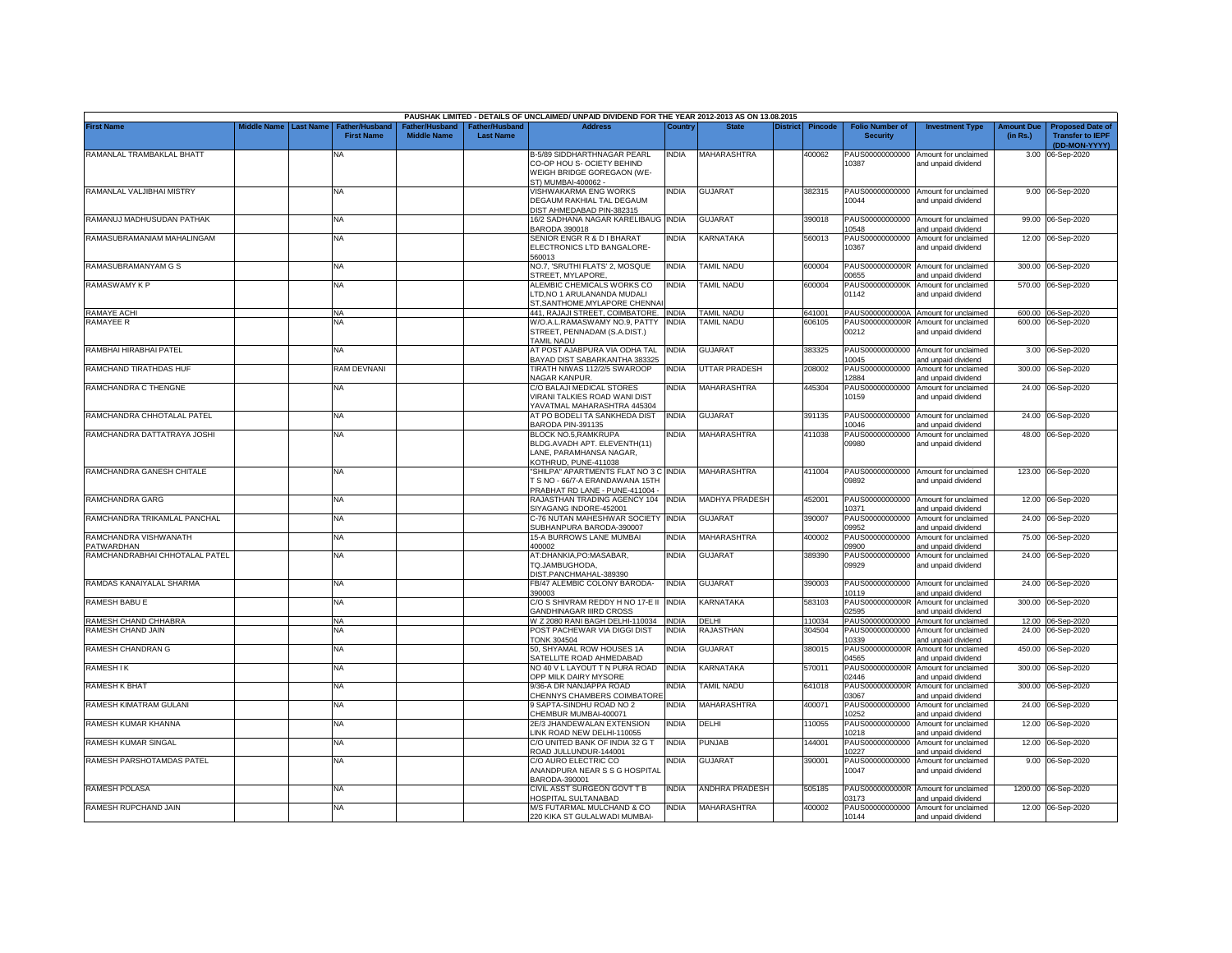|                                       |             |                  |                                            |                                      |                                    | PAUSHAK LIMITED - DETAILS OF UNCLAIMED/ UNPAID DIVIDEND FOR THE YEAR 2012-2013 AS ON 13.08.2015             |                       |                             |          |                  |                                             |                                                                     |                               |                                                                     |
|---------------------------------------|-------------|------------------|--------------------------------------------|--------------------------------------|------------------------------------|-------------------------------------------------------------------------------------------------------------|-----------------------|-----------------------------|----------|------------------|---------------------------------------------|---------------------------------------------------------------------|-------------------------------|---------------------------------------------------------------------|
| <b>First Name</b>                     | Middle Name | <b>Last Name</b> | <b>Father/Husband</b><br><b>First Name</b> | Father/Husband<br><b>Middle Name</b> | Father/Husband<br><b>Last Name</b> | <b>Address</b>                                                                                              | Country               | <b>State</b>                | District | <b>Pincode</b>   | <b>Folio Number of</b><br><b>Security</b>   | <b>Investment Type</b>                                              | <b>Amount Due</b><br>(in Rs.) | <b>Proposed Date of</b><br><b>Transfer to IEPF</b><br>(DD-MON-YYYY) |
| RAMANLAL TRAMBAKLAL BHATT             |             |                  | <b>NA</b>                                  |                                      |                                    | B-5/89 SIDDHARTHNAGAR PEARL<br>CO-OP HOU S- OCIETY BEHIND<br>WEIGH BRIDGE GOREGAON (WE-                     | <b>INDIA</b>          | MAHARASHTRA                 |          | 400062           | PAUS00000000000<br>10387                    | Amount for unclaimed<br>and unpaid dividend                         |                               | 3.00 06-Sep-2020                                                    |
| RAMANLAL VALJIBHAI MISTRY             |             |                  | <b>NA</b>                                  |                                      |                                    | ST) MUMBAI-400062 -<br>VISHWAKARMA ENG WORKS<br>DEGAUM RAKHIAL TAL DEGAUM<br>DIST AHMEDABAD PIN-382315      | india                 | <b>GUJARAT</b>              |          | 382315           | PAUS00000000000<br>10044                    | Amount for unclaimed<br>and unpaid dividend                         |                               | 9.00 06-Sep-2020                                                    |
| RAMANUJ MADHUSUDAN PATHAK             |             |                  | <b>NA</b>                                  |                                      |                                    | 16/2 SADHANA NAGAR KARELIBAUG<br>BARODA 390018                                                              | <b>INDIA</b>          | <b>GUJARAT</b>              |          | 390018           | PAUS00000000000<br>10548                    | Amount for unclaimed<br>and unpaid dividend                         |                               | 99.00 06-Sep-2020                                                   |
| RAMASUBRAMANIAM MAHALINGAM            |             |                  | <b>NA</b>                                  |                                      |                                    | SENIOR ENGR R & D I BHARAT<br>ELECTRONICS LTD BANGALORE-<br>60013                                           | NDIA                  | KARNATAKA                   |          | 560013           | PAUS00000000000<br>10367                    | Amount for unclaimed<br>and unpaid dividend                         |                               | 12.00 06-Sep-2020                                                   |
| RAMASUBRAMANYAM G S                   |             |                  | <b>NA</b>                                  |                                      |                                    | NO.7, 'SRUTHI FLATS' 2, MOSQUE<br>STREET, MYLAPORE.                                                         | india                 | TAMIL NADU                  |          | 600004           | PAUS0000000000R<br>00655                    | Amount for unclaimed<br>and unpaid dividend                         |                               | 300.00 06-Sep-2020                                                  |
| RAMASWAMY K P                         |             |                  | <b>NA</b>                                  |                                      |                                    | ALEMBIC CHEMICALS WORKS CO<br>TD, NO 1 ARULANANDA MUDALI<br>ST, SANTHOME, MYLAPORE CHENNAI                  | INDIA                 | <b>TAMIL NADU</b>           |          | 600004           | PAUS0000000000K<br>01142                    | Amount for unclaimed<br>and unpaid dividend                         |                               | 570.00 06-Sep-2020                                                  |
| <b>RAMAYE ACHI</b>                    |             |                  | <b>NA</b>                                  |                                      |                                    | 441, RAJAJI STREET, COIMBATORE. INDIA                                                                       |                       | <b>TAMIL NADU</b>           |          | 641001           |                                             | PAUS0000000000A Amount for unclaimed                                |                               | 600.00 06-Sep-2020                                                  |
| <b>RAMAYEE R</b>                      |             |                  | NA                                         |                                      |                                    | W/O.A.L.RAMASWAMY NO.9, PATTY<br>STREET, PENNADAM (S.A.DIST.)<br><b><i>FAMIL NADU</i></b>                   | <b>INDIA</b>          | <b>TAMIL NADU</b>           |          | 606105           | PAUS0000000000R<br>00212                    | Amount for unclaimed<br>and unpaid dividend                         |                               | 600.00 06-Sep-2020                                                  |
| RAMBHAI HIRABHAI PATEL                |             |                  | NA                                         |                                      |                                    | AT POST AJABPURA VIA ODHA TAL<br><b>BAYAD DIST SABARKANTHA 383325</b>                                       | <b>INDIA</b>          | <b>GUJARAT</b>              |          | 383325           | PAUS00000000000<br>10045                    | Amount for unclaimed<br>and unpaid dividend                         |                               | 3.00 06-Sep-2020                                                    |
| RAMCHAND TIRATHDAS HUF                |             |                  | RAM DEVNANI                                |                                      |                                    | <b>TIRATH NIWAS 112/2/5 SWAROOP</b><br><b>VAGAR KANPUR.</b>                                                 | <b>INDIA</b>          | <b>UTTAR PRADESH</b>        |          | 208002           | PAUS00000000000<br>12884                    | Amount for unclaimed<br>and unpaid dividend                         |                               | 300.00 06-Sep-2020                                                  |
| RAMCHANDRA C THENGNE                  |             |                  | ΝA                                         |                                      |                                    | C/O BALAJI MEDICAL STORES<br><b>/IRANI TALKIES ROAD WANI DIST</b><br>YAVATMAL MAHARASHTRA 445304            | NDIA                  | <b>MAHARASHTRA</b>          |          | 445304           | PAUS00000000000<br>10159                    | Amount for unclaimed<br>and unpaid dividend                         |                               | 24.00 06-Sep-2020                                                   |
| RAMCHANDRA CHHOTALAL PATEL            |             |                  | <b>NA</b>                                  |                                      |                                    | AT PO BODELI TA SANKHEDA DIST<br>BARODA PIN-391135                                                          | <b>INDIA</b>          | GUJARAT                     |          | 391135           | PAUS00000000000<br>10046                    | Amount for unclaimed<br>and unpaid dividend                         | 24.00                         | 06-Sep-2020                                                         |
| RAMCHANDRA DATTATRAYA JOSHI           |             |                  | <b>NA</b>                                  |                                      |                                    | BLOCK NO.5, RAMKRUPA<br>BLDG.AVADH APT. ELEVENTH(11)<br>LANE, PARAMHANSA NAGAR,<br>KOTHRUD, PUNE-411038     | INDIA                 | <b>MAHARASHTRA</b>          |          | 411038           | PAUS00000000000<br>09980                    | Amount for unclaimed<br>and unpaid dividend                         |                               | 48.00 06-Sep-2020                                                   |
| RAMCHANDRA GANESH CHITALE             |             |                  | <b>NA</b>                                  |                                      |                                    | "SHILPA" APARTMENTS FLAT NO 3 C INDIA<br>T S NO - 66/7-A ERANDAWANA 15TH<br>PRABHAT RD LANE - PUNE-411004 - |                       | MAHARASHTRA                 |          | 411004           | 09892                                       | PAUS00000000000 Amount for unclaimed<br>and unpaid dividend         |                               | 123.00 06-Sep-2020                                                  |
| RAMCHANDRA GARG                       |             |                  | <b>NA</b>                                  |                                      |                                    | RAJASTHAN TRADING AGENCY 104<br>SIYAGANG INDORE-452001                                                      | <b>INDIA</b>          | <b>MADHYA PRADESH</b>       |          | 452001           | PAUS00000000000<br>10371                    | Amount for unclaimed<br>and unpaid dividend                         | 12.00                         | 06-Sep-2020                                                         |
| RAMCHANDRA TRIKAMLAL PANCHAL          |             |                  | <b>NA</b>                                  |                                      |                                    | C-76 NUTAN MAHESHWAR SOCIETY<br>SUBHANPURA BARODA-390007                                                    | <b>INDIA</b>          | <b>GUJARAT</b>              |          | 390007           | PAUS00000000000<br>09952                    | Amount for unclaimed<br>and unpaid dividend                         | 24.00                         | 06-Sep-2020                                                         |
| RAMCHANDRA VISHWANATH<br>PATWARDHAN   |             |                  | <b>NA</b>                                  |                                      |                                    | 15-A BURROWS LANE MUMBAI<br>400002                                                                          | INDIA                 | <b>MAHARASHTRA</b>          |          | 400002           | PAUS00000000000<br>09900                    | Amount for unclaimed<br>and unpaid dividend                         | 75.00                         | 06-Sep-2020                                                         |
| RAMCHANDRABHAI CHHOTALAL PATEL        |             |                  | <b>NA</b>                                  |                                      |                                    | AT:DHANKIA,PO:MASABAR,<br>TQ.JAMBUGHODA,<br>DIST.PANCHMAHAL-389390                                          | <b>INDIA</b>          | <b>GUJARAT</b>              |          | 389390           | PAUS00000000000<br>09929                    | Amount for unclaimed<br>and unpaid dividend                         |                               | 24.00 06-Sep-2020                                                   |
| RAMDAS KANAIYALAL SHARMA              |             |                  | <b>NA</b>                                  |                                      |                                    | FB/47 ALEMBIC COLONY BARODA-<br>390003                                                                      | india                 | <b>GUJARAT</b>              |          | 390003           | PAUS00000000000<br>10119                    | Amount for unclaimed<br>and unpaid dividend                         |                               | 24.00 06-Sep-2020                                                   |
| RAMESH BABU E                         |             |                  | NA                                         |                                      |                                    | C/O S SHIVRAM REDDY H NO 17-E II INDIA<br>GANDHINAGAR IIIRD CROSS                                           |                       | KARNATAKA                   |          | 583103           | PAUS0000000000R<br>02595                    | Amount for unclaimed<br>and unpaid dividend                         | 300.00                        | 06-Sep-2020                                                         |
| RAMESH CHAND CHHABRA                  |             |                  | <b>NA</b>                                  |                                      |                                    | W Z 2080 RANI BAGH DELHI-110034                                                                             | <b>INDIA</b>          | DELHI                       |          | 110034           | PAUS00000000000                             | Amount for unclaimed                                                |                               | 12.00 06-Sep-2020                                                   |
| RAMESH CHAND JAIN                     |             |                  | <b>NA</b>                                  |                                      |                                    | POST PACHEWAR VIA DIGGI DIST<br><b>TONK 304504</b>                                                          | NDIA                  | RAJASTHAN                   |          | 304504           | PAUS00000000000<br>10339                    | Amount for unclaimed<br>and unpaid dividend                         | 24.00                         | 06-Sep-2020                                                         |
| RAMESH CHANDRAN G<br><b>RAMESH IK</b> |             |                  | <b>NA</b><br><b>NA</b>                     |                                      |                                    | 50, SHYAMAL ROW HOUSES 1A<br>SATELLITE ROAD AHMEDABAD<br>NO 40 V L LAYOUT T N PURA ROAD                     | INDIA<br><b>INDIA</b> | <b>GUJARAT</b><br>KARNATAKA |          | 380015<br>570011 | PAUS0000000000R<br>04565<br>PAUS0000000000R | Amount for unclaimed<br>and unpaid dividend<br>Amount for unclaimed | 450.00<br>300.00              | 06-Sep-2020                                                         |
|                                       |             |                  |                                            |                                      |                                    | OPP MILK DAIRY MYSORE                                                                                       |                       |                             |          |                  | 02446                                       | and unpaid dividend                                                 |                               | 06-Sep-2020                                                         |
| <b>RAMESH K BHAT</b>                  |             |                  | <b>NA</b>                                  |                                      |                                    | 9/36-A DR NANJAPPA ROAD<br>CHENNYS CHAMBERS COIMBATORE                                                      | NDIA                  | <b>TAMIL NADU</b>           |          | 641018           | PAUS0000000000R<br>03067                    | Amount for unclaimed<br>and unpaid dividend                         | 300.00                        | 06-Sep-2020                                                         |
| RAMESH KIMATRAM GULANI                |             |                  | <b>NA</b>                                  |                                      |                                    | 9 SAPTA-SINDHU ROAD NO 2<br>CHEMBUR MUMBAI-400071                                                           | NDIA                  | <b>MAHARASHTRA</b>          |          | 400071           | PAUS00000000000<br>10252                    | Amount for unclaimed<br>and unpaid dividend                         |                               | 24.00 06-Sep-2020                                                   |
| RAMESH KUMAR KHANNA                   |             |                  | <b>NA</b>                                  |                                      |                                    | 2E/3 JHANDEWALAN EXTENSION<br>INK ROAD NEW DELHI-110055                                                     | <b>INDIA</b>          | DELHI                       |          | 110055           | PAUS00000000000<br>10218                    | Amount for unclaimed<br>and unpaid dividend                         |                               | 12.00 06-Sep-2020                                                   |
| RAMESH KUMAR SINGAL                   |             |                  | <b>NA</b>                                  |                                      |                                    | C/O UNITED BANK OF INDIA 32 G T<br>ROAD JULLUNDUR-144001                                                    | <b>INDIA</b>          | PUNJAB                      |          | 44001            | PAUS00000000000<br>10227                    | Amount for unclaimed<br>and unpaid dividend                         |                               | 12.00 06-Sep-2020                                                   |
| RAMESH PARSHOTAMDAS PATEL             |             |                  | <b>NA</b>                                  |                                      |                                    | C/O AURO ELECTRIC CO<br>ANANDPURA NEAR S S G HOSPITAL<br>BARODA-390001                                      | india                 | <b>GUJARAT</b>              |          | 390001           | PAUS00000000000<br>10047                    | Amount for unclaimed<br>and unpaid dividend                         |                               | 9.00 06-Sep-2020                                                    |
| RAMESH POLASA                         |             |                  | NA                                         |                                      |                                    | CIVIL ASST SURGEON GOVT T B<br><b>OSPITAL SULTANABAD</b>                                                    | India                 | <b>ANDHRA PRADESH</b>       |          | 505185           | PAUS0000000000R<br>03173                    | Amount for unclaimed<br>and unpaid dividend                         |                               | 1200.00 06-Sep-2020                                                 |
| RAMESH RUPCHAND JAIN                  |             |                  | NA                                         |                                      |                                    | M/S FUTARMAL MULCHAND & CO<br>220 KIKA ST GULALWADI MUMBAI-                                                 | NDIA                  | MAHARASHTRA                 |          | 400002           | PAUS00000000000<br>10144                    | Amount for unclaimed<br>and unpaid dividend                         |                               | 12.00 06-Sep-2020                                                   |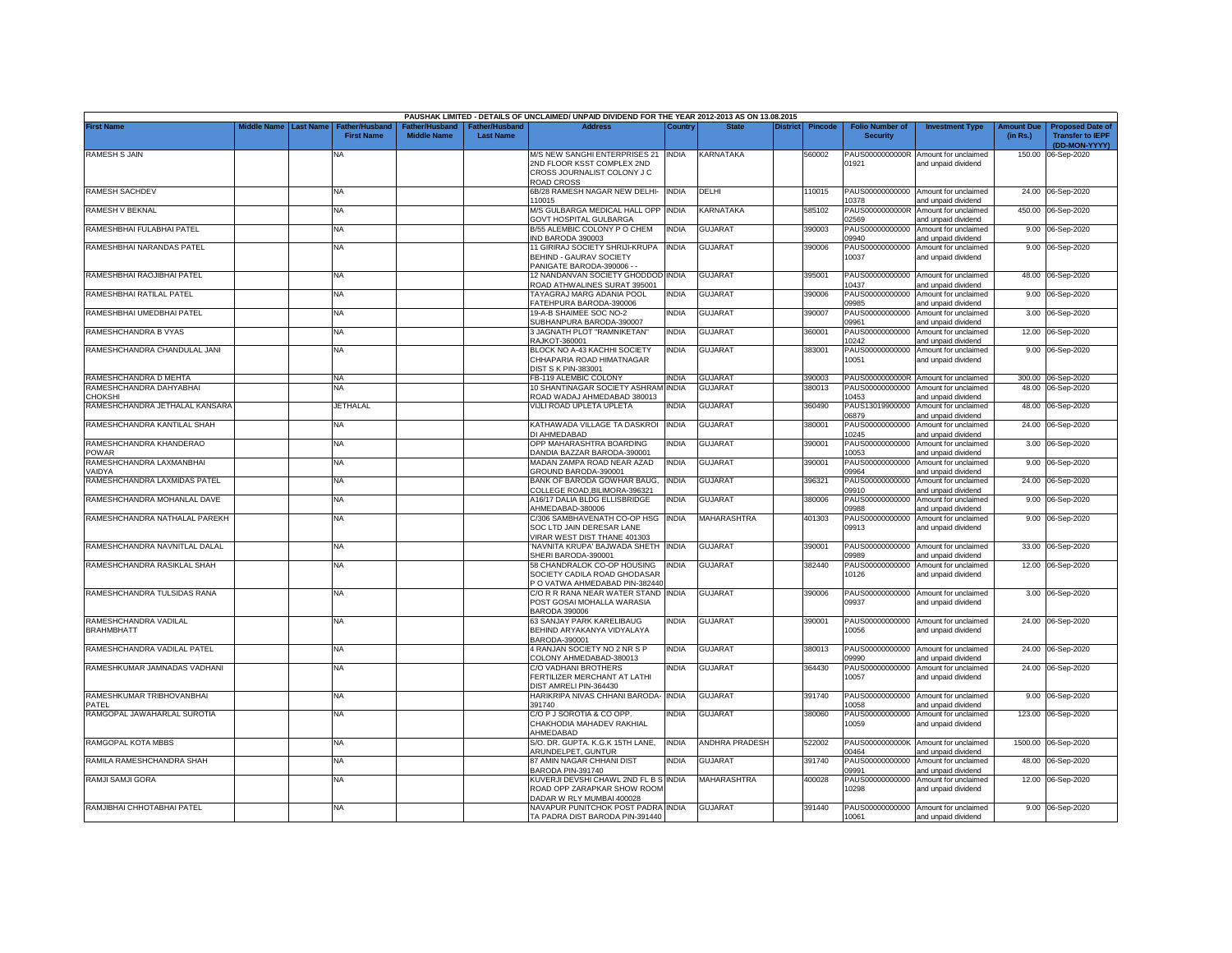|                                         |             |                  |                                            |                                      |                                    | PAUSHAK LIMITED - DETAILS OF UNCLAIMED/ UNPAID DIVIDEND FOR THE YEAR 2012-2013 AS ON 13.08.2015 |              |                    |          |                |                                           |                                                             |                               |                                                                     |
|-----------------------------------------|-------------|------------------|--------------------------------------------|--------------------------------------|------------------------------------|-------------------------------------------------------------------------------------------------|--------------|--------------------|----------|----------------|-------------------------------------------|-------------------------------------------------------------|-------------------------------|---------------------------------------------------------------------|
| <b>First Name</b>                       | Middle Name | <b>Last Name</b> | <b>Father/Husband</b><br><b>First Name</b> | Father/Husband<br><b>Middle Name</b> | Father/Husband<br><b>Last Name</b> | <b>Address</b>                                                                                  | Country      | <b>State</b>       | District | <b>Pincode</b> | <b>Folio Number of</b><br><b>Security</b> | <b>Investment Type</b>                                      | <b>Amount Due</b><br>(in Rs.) | <b>Proposed Date of</b><br><b>Transfer to IEPF</b><br>(DD-MON-YYYY) |
| <b>RAMESH S JAIN</b>                    |             |                  | NA                                         |                                      |                                    | M/S NEW SANGHI ENTERPRISES 21 INDIA                                                             |              | KARNATAKA          |          | 560002         | PAUS0000000000R                           | Amount for unclaimed                                        |                               | 150.00 06-Sep-2020                                                  |
|                                         |             |                  |                                            |                                      |                                    | 2ND FLOOR KSST COMPLEX 2ND<br>CROSS JOURNALIST COLONY J C                                       |              |                    |          |                | 01921                                     | and unpaid dividend                                         |                               |                                                                     |
|                                         |             |                  |                                            |                                      |                                    | ROAD CROSS                                                                                      |              |                    |          |                |                                           |                                                             |                               |                                                                     |
| <b>RAMESH SACHDEV</b>                   |             |                  | <b>NA</b>                                  |                                      |                                    | 6B/28 RAMESH NAGAR NEW DELHI-<br>10015                                                          | <b>INDIA</b> | DELHI              |          | 110015         | 10378                                     | PAUS00000000000 Amount for unclaimed<br>and unpaid dividend |                               | 24.00 06-Sep-2020                                                   |
| RAMESH V BEKNAL                         |             |                  | <b>NA</b>                                  |                                      |                                    | M/S GULBARGA MEDICAL HALL OPP                                                                   | <b>INDIA</b> | KARNATAKA          |          | 585102         | PAUS0000000000R                           | Amount for unclaimed                                        |                               | 450.00 06-Sep-2020                                                  |
| RAMESHBHAI FULABHAI PATEL               |             |                  | <b>NA</b>                                  |                                      |                                    | <b>GOVT HOSPITAL GULBARGA</b><br>B/55 ALEMBIC COLONY P O CHEM                                   | <b>INDIA</b> | <b>GUJARAT</b>     |          | 390003         | 02569<br>PAUS00000000000                  | and unpaid dividend<br>Amount for unclaimed                 |                               | 9.00 06-Sep-2020                                                    |
|                                         |             |                  |                                            |                                      |                                    | IND BARODA 390003                                                                               |              |                    |          |                | 09940                                     | and unpaid dividend                                         |                               |                                                                     |
| RAMESHBHAI NARANDAS PATEL               |             |                  | <b>NA</b>                                  |                                      |                                    | 11 GIRIRAJ SOCIETY SHRIJI-KRUPA<br><b>BEHIND - GAURAV SOCIETY</b><br>PANIGATE BARODA-390006 -   | <b>INDIA</b> | <b>GUJARAT</b>     |          | 390006         | PAUS00000000000<br>10037                  | Amount for unclaimed<br>and unpaid dividend                 |                               | 9.00 06-Sep-2020                                                    |
| RAMESHBHAI RAOJIBHAI PATEL              |             |                  | <b>NA</b>                                  |                                      |                                    | 12 NANDANVAN SOCIETY GHODDOD INDIA<br>ROAD ATHWALINES SURAT 395001                              |              | <b>GUJARAT</b>     |          | 395001         | PAUS00000000000<br>10437                  | Amount for unclaimed<br>and unpaid dividend                 |                               | 48.00 06-Sep-2020                                                   |
| RAMESHBHAI RATILAL PATEL                |             |                  | <b>NA</b>                                  |                                      |                                    | TAYAGRAJ MARG ADANIA POOL<br>ATEHPURA BARODA-390006                                             | india        | <b>GUJARAT</b>     |          | 390006         | PAUS00000000000<br>09985                  | Amount for unclaimed                                        |                               | 9.00 06-Sep-2020                                                    |
| RAMESHBHAI UMEDBHAI PATEL               |             |                  | <b>NA</b>                                  |                                      |                                    | 19-A-B SHAIMEE SOC NO-2                                                                         | INDIA        | <b>GUJARAT</b>     |          | 390007         | PAUS00000000000                           | and unpaid dividend<br>Amount for unclaimed                 |                               | 3.00 06-Sep-2020                                                    |
|                                         |             |                  |                                            |                                      |                                    | SUBHANPURA BARODA-390007                                                                        |              |                    |          |                | 09961                                     | and unpaid dividend                                         |                               |                                                                     |
| RAMESHCHANDRA B VYAS                    |             |                  | <b>NA</b>                                  |                                      |                                    | 3 JAGNATH PLOT "RAMNIKETAN"<br><b>RAJKOT-360001</b>                                             | INDIA        | <b>GUJARAT</b>     |          | 360001         | PAUS00000000000<br>10242                  | Amount for unclaimed<br>and unpaid dividend                 |                               | 12.00 06-Sep-2020                                                   |
| RAMESHCHANDRA CHANDULAL JANI            |             |                  | ΝA                                         |                                      |                                    | BLOCK NO A-43 KACHHI SOCIETY                                                                    | NDIA         | <b>GUJARAT</b>     |          | 383001         | PAUS00000000000                           | Amount for unclaimed                                        |                               | 9.00 06-Sep-2020                                                    |
|                                         |             |                  |                                            |                                      |                                    | CHHAPARIA ROAD HIMATNAGAR<br><b>DIST S K PIN-383001</b>                                         |              |                    |          |                | 10051                                     | and unpaid dividend                                         |                               |                                                                     |
| RAMESHCHANDRA D MEHTA                   |             |                  | <b>NA</b>                                  |                                      |                                    | B-119 ALEMBIC COLONY                                                                            | <b>INDIA</b> | GUJARAT            |          | 390003         |                                           | PAUS0000000000R Amount for unclaimed                        |                               | 300.00 06-Sep-2020                                                  |
| RAMESHCHANDRA DAHYABHAI                 |             |                  | NA                                         |                                      |                                    | 10 SHANTINAGAR SOCIETY ASHRAM                                                                   | <b>INDIA</b> | <b>GUJARAT</b>     |          | 880013         | PAUS00000000000                           | Amount for unclaimed                                        |                               | 48.00 06-Sep-2020                                                   |
| CHOKSHI                                 |             |                  |                                            |                                      |                                    | ROAD WADAJ AHMEDABAD 380013                                                                     |              |                    |          |                | 10453                                     | and unpaid dividend                                         |                               |                                                                     |
| RAMESHCHANDRA JETHALAL KANSARA          |             |                  | JETHALAL                                   |                                      |                                    | <b>/IJLI ROAD UPLETA UPLETA</b>                                                                 | NDIA         | GUJARAT            |          | 360490         | PAUS13019900000<br>06879                  | Amount for unclaimed<br>and unpaid dividend                 |                               | 48.00 06-Sep-2020                                                   |
| RAMESHCHANDRA KANTILAL SHAH             |             |                  | ΝA                                         |                                      |                                    | KATHAWADA VILLAGE TA DASKROI<br>DI AHMEDABAD                                                    | <b>INDIA</b> | <b>GUJARAT</b>     |          | 380001         | PAUS00000000000<br>10245                  | Amount for unclaimed<br>and unpaid dividend                 |                               | 24.00 06-Sep-2020                                                   |
| RAMESHCHANDRA KHANDERAO<br><b>POWAR</b> |             |                  | <b>NA</b>                                  |                                      |                                    | OPP MAHARASHTRA BOARDING<br>DANDIA BAZZAR BARODA-390001                                         | INDIA        | GUJARAT            |          | 390001         | PAUS00000000000<br>10053                  | Amount for unclaimed<br>and unpaid dividend                 | 3.00                          | 06-Sep-2020                                                         |
| RAMESHCHANDRA LAXMANBHAI                |             |                  | <b>NA</b>                                  |                                      |                                    | MADAN ZAMPA ROAD NEAR AZAD                                                                      | INDIA        | <b>GUJARAT</b>     |          | 390001         | PAUS00000000000                           | Amount for unclaimed                                        |                               | 9.00 06-Sep-2020                                                    |
| VAIDYA                                  |             |                  |                                            |                                      |                                    | GROUND BARODA-390001                                                                            |              |                    |          |                | 09964                                     | and unpaid dividend                                         |                               |                                                                     |
| RAMESHCHANDRA LAXMIDAS PATEL            |             |                  | <b>NA</b>                                  |                                      |                                    | BANK OF BARODA GOWHAR BAUG,<br>COLLEGE ROAD, BILIMORA-396321                                    | <b>INDIA</b> | <b>GUJARAT</b>     |          | 396321         | PAUS00000000000<br>09910                  | Amount for unclaimed<br>and unpaid dividend                 | 24.00                         | 06-Sep-2020                                                         |
| RAMESHCHANDRA MOHANLAL DAVE             |             |                  | <b>NA</b>                                  |                                      |                                    | A16/17 DALIA BLDG ELLISBRIDGE<br>AHMEDABAD-380006                                               | <b>INDIA</b> | <b>GUJARAT</b>     |          | 380006         | PAUS00000000000<br>09988                  | Amount for unclaimed<br>and unpaid dividend                 |                               | 9.00 06-Sep-2020                                                    |
| RAMESHCHANDRA NATHALAL PAREKH           |             |                  | <b>NA</b>                                  |                                      |                                    | C/306 SAMBHAVENATH CO-OP HSG                                                                    | <b>INDIA</b> | <b>MAHARASHTRA</b> |          | 401303         | PAUS00000000000                           | Amount for unclaimed                                        |                               | 9.00 06-Sep-2020                                                    |
|                                         |             |                  |                                            |                                      |                                    | SOC LTD JAIN DERESAR LANE<br>/IRAR WEST DIST THANE 401303                                       |              |                    |          |                | 09913                                     | and unpaid dividend                                         |                               |                                                                     |
| RAMESHCHANDRA NAVNITLAL DALAL           |             |                  | <b>NA</b>                                  |                                      |                                    | NAVNITA KRUPA' BAJWADA SHETH INDIA                                                              |              | <b>GUJARAT</b>     |          | 390001         | PAUS00000000000                           | Amount for unclaimed                                        |                               | 33.00 06-Sep-2020                                                   |
|                                         |             |                  |                                            |                                      |                                    | SHERI BARODA-390001                                                                             |              |                    |          |                | 09989                                     | and unpaid dividend                                         |                               |                                                                     |
| RAMESHCHANDRA RASIKLAL SHAH             |             |                  | <b>NA</b>                                  |                                      |                                    | 58 CHANDRALOK CO-OP HOUSING<br>SOCIETY CADILA ROAD GHODASAR                                     | NDIA         | <b>GUJARAT</b>     |          | 382440         | PAUS00000000000<br>10126                  | Amount for unclaimed<br>and unpaid dividend                 |                               | 12.00 06-Sep-2020                                                   |
|                                         |             |                  |                                            |                                      |                                    | O VATWA AHMEDABAD PIN-382440                                                                    |              |                    |          |                |                                           |                                                             |                               |                                                                     |
| RAMESHCHANDRA TULSIDAS RANA             |             |                  | <b>NA</b>                                  |                                      |                                    | C/O R R RANA NEAR WATER STAND<br>POST GOSAI MOHALLA WARASIA                                     | <b>INDIA</b> | <b>GUJARAT</b>     |          | 390006         | PAUS00000000000<br>09937                  | Amount for unclaimed<br>and unpaid dividend                 |                               | 3.00 06-Sep-2020                                                    |
|                                         |             |                  |                                            |                                      |                                    | <b>BARODA 390006</b>                                                                            |              |                    |          |                |                                           |                                                             |                               |                                                                     |
| RAMESHCHANDRA VADILAL                   |             |                  | <b>NA</b>                                  |                                      |                                    | 63 SANJAY PARK KARELIBAUG                                                                       | INDIA        | <b>GUJARAT</b>     |          | 390001         |                                           | PAUS00000000000 Amount for unclaimed                        |                               | 24.00 06-Sep-2020                                                   |
| <b>BRAHMBHATT</b>                       |             |                  |                                            |                                      |                                    | BEHIND ARYAKANYA VIDYALAYA<br>BARODA-390001                                                     |              |                    |          |                | 10056                                     | and unpaid dividend                                         |                               |                                                                     |
| RAMESHCHANDRA VADILAL PATEL             |             |                  | NA                                         |                                      |                                    | 4 RANJAN SOCIETY NO 2 NR S P                                                                    | india        | <b>GUJARAT</b>     |          | 380013         | PAUS00000000000                           | Amount for unclaimed                                        |                               | 24.00 06-Sep-2020                                                   |
|                                         |             |                  |                                            |                                      |                                    | COLONY AHMEDABAD-380013                                                                         |              |                    |          |                | 09990                                     | and unpaid dividend                                         |                               |                                                                     |
| RAMESHKUMAR JAMNADAS VADHANI            |             |                  | <b>NA</b>                                  |                                      |                                    | C/O VADHANI BROTHERS<br>FERTILIZER MERCHANT AT LATHI                                            | NDIA         | <b>GUJARAT</b>     |          | 364430         | PAUS00000000000<br>10057                  | Amount for unclaimed<br>and unpaid dividend                 |                               | 24.00 06-Sep-2020                                                   |
|                                         |             |                  |                                            |                                      |                                    | DIST AMRELI PIN-364430                                                                          |              |                    |          |                |                                           |                                                             |                               |                                                                     |
| RAMESHKUMAR TRIBHOVANBHAI<br>PATEL      |             |                  | <b>NA</b>                                  |                                      |                                    | HARIKRIPA NIVAS CHHANI BARODA-<br>391740                                                        | <b>INDIA</b> | GUJARAT            |          | 391740         | PAUS00000000000<br>10058                  | Amount for unclaimed<br>and unpaid dividend                 |                               | 9.00 06-Sep-2020                                                    |
| RAMGOPAL JAWAHARLAL SUROTIA             |             |                  | NA                                         |                                      |                                    | C/O P J SOROTIA & CO OPP.                                                                       | ndia         | <b>GUJARAT</b>     |          | 380060         | PAUS00000000000                           | Amount for unclaimed                                        |                               | 123.00 06-Sep-2020                                                  |
|                                         |             |                  |                                            |                                      |                                    | CHAKHODIA MAHADEV RAKHIAL<br><b>HMEDABAD</b>                                                    |              |                    |          |                | 10059                                     | and unpaid dividend                                         |                               |                                                                     |
| RAMGOPAL KOTA MBBS                      |             |                  | <b>NA</b>                                  |                                      |                                    | S/O. DR. GUPTA. K.G.K 15TH LANE,<br>ARUNDELPET, GUNTUR                                          | india        | ANDHRA PRADESH     |          | 522002         | PAUS0000000000K<br>00464                  | Amount for unclaimed<br>and unpaid dividend                 |                               | 1500.00 06-Sep-2020                                                 |
| RAMILA RAMESHCHANDRA SHAH               |             |                  | <b>NA</b>                                  |                                      |                                    | 87 AMIN NAGAR CHHANI DIST                                                                       | NDIA         | <b>GUJARAT</b>     |          | 391740         | PAUS00000000000                           | Amount for unclaimed                                        |                               | 48.00 06-Sep-2020                                                   |
|                                         |             |                  |                                            |                                      |                                    | BARODA PIN-391740                                                                               |              |                    |          |                | 09991                                     | and unpaid dividend                                         |                               |                                                                     |
| RAMJI SAMJI GORA                        |             |                  | <b>NA</b>                                  |                                      |                                    | KUVERJI DEVSHI CHAWL 2ND FL B S INDIA<br>ROAD OPP ZARAPKAR SHOW ROOM                            |              | MAHARASHTRA        |          | 400028         | PAUS00000000000<br>10298                  | Amount for unclaimed<br>and unpaid dividend                 |                               | 12.00 06-Sep-2020                                                   |
| RAMJIBHAI CHHOTABHAI PATEL              |             |                  | <b>NA</b>                                  |                                      |                                    | DADAR W RLY MUMBAI 400028<br>NAVAPUR PUNITCHOK POST PADRA INDIA                                 |              | <b>GUJARAT</b>     |          | 391440         |                                           | PAUS00000000000 Amount for unclaimed                        |                               | 9.00 06-Sep-2020                                                    |
|                                         |             |                  |                                            |                                      |                                    | TA PADRA DIST BARODA PIN-391440                                                                 |              |                    |          |                | 10061                                     | and unpaid dividend                                         |                               |                                                                     |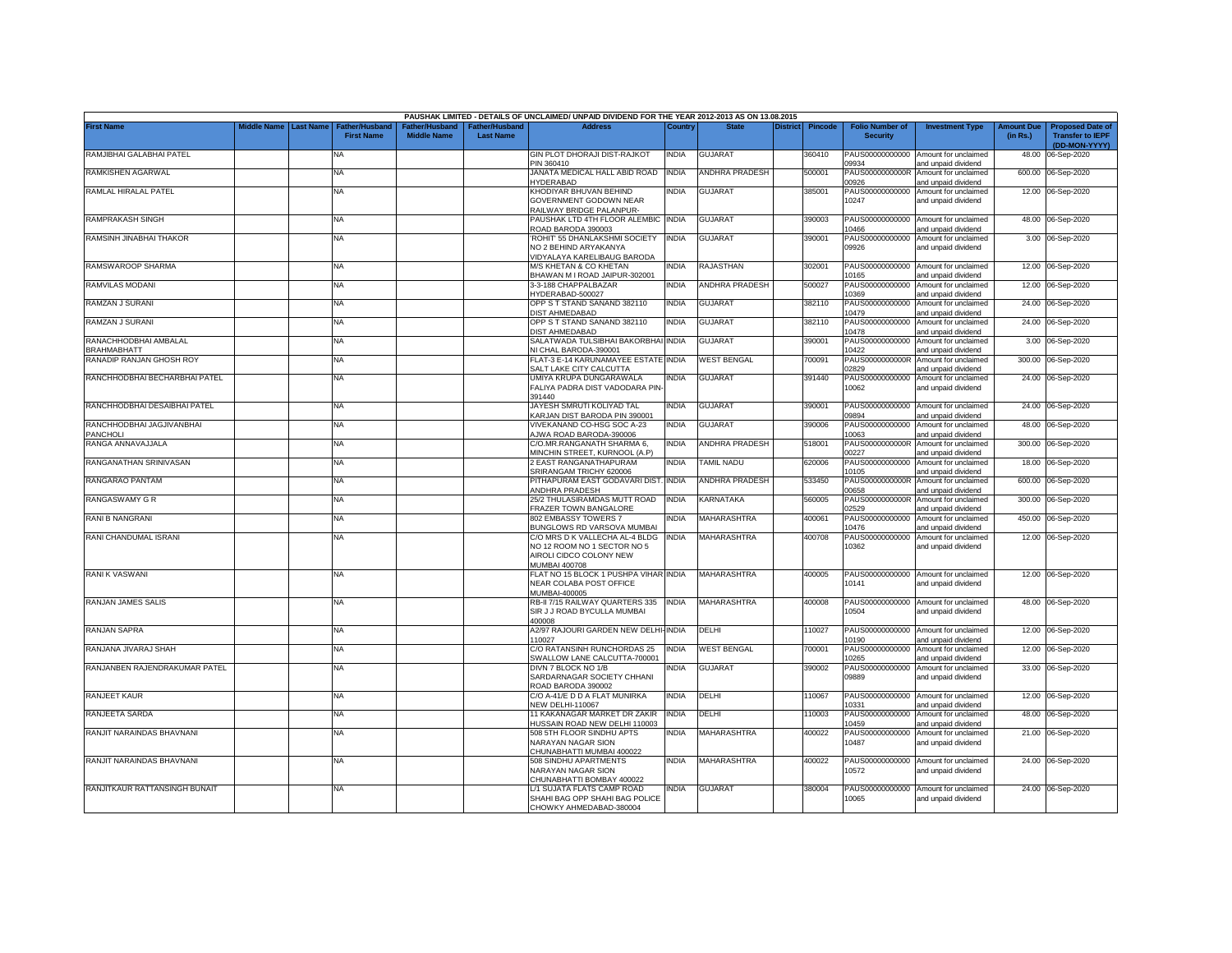|                                             |             |                  |                                     |                                      |                                           | PAUSHAK LIMITED - DETAILS OF UNCLAIMED/ UNPAID DIVIDEND FOR THE YEAR 2012-2013 AS ON 13.08.2015                  |              |                    |          |                |                                           |                                                             |                               |                                                                     |
|---------------------------------------------|-------------|------------------|-------------------------------------|--------------------------------------|-------------------------------------------|------------------------------------------------------------------------------------------------------------------|--------------|--------------------|----------|----------------|-------------------------------------------|-------------------------------------------------------------|-------------------------------|---------------------------------------------------------------------|
| <b>First Name</b>                           | Middle Name | <b>Last Name</b> | Father/Husband<br><b>First Name</b> | Father/Husband<br><b>Middle Name</b> | <b>Father/Husband</b><br><b>Last Name</b> | <b>Address</b>                                                                                                   | Country      | <b>State</b>       | District | <b>Pincode</b> | <b>Folio Number of</b><br><b>Security</b> | <b>Investment Type</b>                                      | <b>Amount Due</b><br>(in Rs.) | <b>Proposed Date of</b><br><b>Transfer to IEPF</b><br>(DD-MON-YYYY) |
| RAMJIBHAI GALABHAI PATEL                    |             |                  | <b>NA</b>                           |                                      |                                           | GIN PLOT DHORAJI DIST-RAJKOT<br>PIN 360410                                                                       | INDIA        | GUJARAT            |          | 360410         | PAUS00000000000<br>09934                  | Amount for unclaimed<br>and unpaid dividend                 | 48.00                         | 06-Sep-2020                                                         |
| RAMKISHEN AGARWAL                           |             |                  | <b>NA</b>                           |                                      |                                           | JANATA MEDICAL HALL ABID ROAD<br><b>IYDERABAD</b>                                                                | <b>INDIA</b> | ANDHRA PRADESH     |          | 500001         | PAUS0000000000R<br>00926                  | Amount for unclaimed<br>and unpaid dividend                 | 600.00                        | 06-Sep-2020                                                         |
| RAMLAL HIRALAL PATEL                        |             |                  | ΝA                                  |                                      |                                           | <b>KHODIYAR BHUVAN BEHIND</b><br>GOVERNMENT GODOWN NEAR<br>RAILWAY BRIDGE PALANPUR-                              | NDIA         | <b>GUJARAT</b>     |          | 385001         | PAUS00000000000<br>10247                  | Amount for unclaimed<br>and unpaid dividend                 |                               | 12.00 06-Sep-2020                                                   |
| RAMPRAKASH SINGH                            |             |                  | <b>NA</b>                           |                                      |                                           | PAUSHAK LTD 4TH FLOOR ALEMBIC INDIA<br>ROAD BARODA 390003                                                        |              | <b>GUJARAT</b>     |          | 390003         | PAUS00000000000<br>10466                  | Amount for unclaimed<br>and unpaid dividend                 |                               | 48.00 06-Sep-2020                                                   |
| RAMSINH JINABHAI THAKOR                     |             |                  | <b>NA</b>                           |                                      |                                           | ROHIT' 55 DHANLAKSHMI SOCIETY<br>NO 2 BEHIND ARYAKANYA<br><b>IDYALAYA KARELIBAUG BARODA</b>                      | <b>INDIA</b> | <b>GUJARAT</b>     |          | 390001         | PAUS00000000000<br>09926                  | Amount for unclaimed<br>and unpaid dividend                 |                               | 3.00 06-Sep-2020                                                    |
| RAMSWAROOP SHARMA                           |             |                  | <b>NA</b>                           |                                      |                                           | M/S KHETAN & CO KHETAN<br>BHAWAN M I ROAD JAIPUR-302001                                                          | NDIA         | RAJASTHAN          |          | 302001         | PAUS00000000000<br>10165                  | Amount for unclaimed<br>and unpaid dividend                 |                               | 12.00 06-Sep-2020                                                   |
| RAMVILAS MODANI                             |             |                  | <b>NA</b>                           |                                      |                                           | 3-3-188 CHAPPALBAZAR<br>IYDERABAD-500027                                                                         | NDIA         | ANDHRA PRADESH     |          | 500027         | PAUS00000000000<br>10369                  | Amount for unclaimed<br>and unpaid dividend                 |                               | 12.00 06-Sep-2020                                                   |
| RAMZAN J SURANI                             |             |                  | <b>NA</b>                           |                                      |                                           | OPP S T STAND SANAND 382110<br><b>JIST AHMEDABAD</b>                                                             | INDIA        | <b>GUJARAT</b>     |          | 382110         | PAUS00000000000<br>10479                  | Amount for unclaimed<br>and unpaid dividend                 |                               | 24.00 06-Sep-2020                                                   |
| RAMZAN J SURANI                             |             |                  | <b>NA</b>                           |                                      |                                           | OPP S T STAND SANAND 382110<br><b>JIST AHMEDABAD</b>                                                             | NDIA         | <b>GUJARAT</b>     |          | 382110         | PAUS00000000000<br>10478                  | Amount for unclaimed<br>and unpaid dividend                 |                               | 24.00 06-Sep-2020                                                   |
| RANACHHODBHAI AMBALAL<br><b>BRAHMABHATT</b> |             |                  | <b>NA</b>                           |                                      |                                           | SALATWADA TULSIBHAI BAKORBHAI INDIA<br>VI CHAL BARODA-390001                                                     |              | <b>GUJARAT</b>     |          | 390001         | PAUS00000000000<br>10422                  | Amount for unclaimed<br>and unpaid dividend                 |                               | 3.00 06-Sep-2020                                                    |
| RANADIP RANJAN GHOSH ROY                    |             |                  | <b>NA</b>                           |                                      |                                           | FLAT-3 E-14 KARUNAMAYEE ESTATE INDIA<br>SALT LAKE CITY CALCUTTA                                                  |              | <b>WEST BENGAL</b> |          | 700091         | PAUS0000000000R<br>02829                  | Amount for unclaimed<br>and unpaid dividend                 |                               | 300.00 06-Sep-2020                                                  |
| RANCHHODBHAI BECHARBHAI PATEL               |             |                  | <b>NA</b>                           |                                      |                                           | JMIYA KRUPA DUNGARAWALA<br>FALIYA PADRA DIST VADODARA PIN<br>391440                                              | NDIA         | <b>GUJARAT</b>     |          | 391440         | PAUS00000000000<br>10062                  | Amount for unclaimed<br>and unpaid dividend                 |                               | 24.00 06-Sep-2020                                                   |
| RANCHHODBHAI DESAIBHAI PATEL                |             |                  | <b>NA</b>                           |                                      |                                           | JAYESH SMRUTI KOLIYAD TAL<br>KARJAN DIST BARODA PIN 390001                                                       | INDIA        | <b>GUJARAT</b>     |          | 390001         | PAUS00000000000<br>09894                  | Amount for unclaimed<br>and unpaid dividend                 |                               | 24.00 06-Sep-2020                                                   |
| RANCHHODBHAI JAGJIVANBHAI<br>PANCHOLI       |             |                  | <b>NA</b>                           |                                      |                                           | VIVEKANAND CO-HSG SOC A-23<br>JWA ROAD BARODA-390006                                                             | NDIA         | <b>GUJARAT</b>     |          | 390006         | PAUS00000000000<br>10063                  | Amount for unclaimed<br>and unpaid dividend                 |                               | 48.00 06-Sep-2020                                                   |
| RANGA ANNAVAJJALA                           |             |                  | <b>NA</b>                           |                                      |                                           | C/O.MR.RANGANATH SHARMA 6,<br>MINCHIN STREET, KURNOOL (A.P)                                                      | INDIA        | ANDHRA PRADESH     |          | 518001         | PAUS0000000000R<br>00227                  | Amount for unclaimed<br>and unpaid dividend                 |                               | 300.00 06-Sep-2020                                                  |
| RANGANATHAN SRINIVASAN                      |             |                  | <b>NA</b>                           |                                      |                                           | 2 EAST RANGANATHAPURAM<br>SRIRANGAM TRICHY 620006                                                                | NDIA         | <b>TAMIL NADU</b>  |          | 620006         | PAUS00000000000<br>10105                  | Amount for unclaimed<br>and unpaid dividend                 |                               | 18.00 06-Sep-2020                                                   |
| RANGARAO PANTAM                             |             |                  | <b>NA</b>                           |                                      |                                           | PITHAPURAM EAST GODAVARI DIST.<br><b>NDHRA PRADESH</b>                                                           | <b>INDIA</b> | ANDHRA PRADESH     |          | 533450         | PAUS0000000000R<br>00658                  | Amount for unclaimed<br>and unpaid dividend                 |                               | 600.00 06-Sep-2020                                                  |
| RANGASWAMY G R                              |             |                  | <b>NA</b>                           |                                      |                                           | 25/2 THULASIRAMDAS MUTT ROAD<br>FRAZER TOWN BANGALORE                                                            | <b>INDIA</b> | KARNATAKA          |          | 560005         | PAUS0000000000R<br>2529                   | Amount for unclaimed<br>and unpaid dividend                 |                               | 300.00 06-Sep-2020                                                  |
| RANI B NANGRANI                             |             |                  | <b>NA</b>                           |                                      |                                           | 802 EMBASSY TOWERS 7<br><b>BUNGLOWS RD VARSOVA MUMBAI</b>                                                        | NDIA         | <b>MAHARASHTRA</b> |          | 400061         | PAUS00000000000<br>10476                  | Amount for unclaimed<br>and unpaid dividend                 |                               | 450.00 06-Sep-2020                                                  |
| RANI CHANDUMAL ISRANI                       |             |                  | <b>NA</b>                           |                                      |                                           | C/O MRS D K VALLECHA AL-4 BLDG<br>NO 12 ROOM NO 1 SECTOR NO 5<br>AIROLI CIDCO COLONY NEW<br><b>MUMBAI 400708</b> | <b>INDIA</b> | <b>MAHARASHTRA</b> |          | 400708         | PAUS00000000000<br>10362                  | Amount for unclaimed<br>and unpaid dividend                 |                               | 12.00 06-Sep-2020                                                   |
| <b>RANIK VASWANI</b>                        |             |                  | <b>NA</b>                           |                                      |                                           | FLAT NO 15 BLOCK 1 PUSHPA VIHAR INDIA<br>NEAR COLABA POST OFFICE<br>MUMBAI-400005                                |              | <b>MAHARASHTRA</b> |          | 400005         | 10141                                     | PAUS00000000000 Amount for unclaimed<br>and unpaid dividend |                               | 12.00 06-Sep-2020                                                   |
| RANJAN JAMES SALIS                          |             |                  | <b>NA</b>                           |                                      |                                           | RB-II 7/15 RAILWAY QUARTERS 335<br>SIR J J ROAD BYCULLA MUMBAI<br>400008                                         | <b>INDIA</b> | <b>MAHARASHTRA</b> |          | 400008         | 10504                                     | PAUS00000000000 Amount for unclaimed<br>and unpaid dividend |                               | 48.00 06-Sep-2020                                                   |
| RANJAN SAPRA                                |             |                  | <b>NA</b>                           |                                      |                                           | <b>12/97 RAJOURI GARDEN NEW DELHI-INDIA</b><br>110027                                                            |              | DELHI              |          | 10027          | 10190                                     | PAUS00000000000 Amount for unclaimed<br>and unpaid dividend |                               | 12.00 06-Sep-2020                                                   |
| RANJANA JIVARAJ SHAH                        |             |                  | <b>NA</b>                           |                                      |                                           | C/O RATANSINH RUNCHORDAS 25<br>SWALLOW LANE CALCUTTA-700001                                                      | <b>INDIA</b> | <b>WEST BENGAL</b> |          | 700001         | PAUS00000000000<br>10265                  | Amount for unclaimed<br>and unpaid dividend                 |                               | 12.00 06-Sep-2020                                                   |
| RANJANBEN RAJENDRAKUMAR PATEL               |             |                  | <b>NA</b>                           |                                      |                                           | DIVN 7 BLOCK NO 1/B<br>SARDARNAGAR SOCIETY CHHANI<br>ROAD BARODA 390002                                          | NDIA         | <b>GUJARAT</b>     |          | 390002         | PAUS00000000000<br>09889                  | Amount for unclaimed<br>and unpaid dividend                 |                               | 33.00 06-Sep-2020                                                   |
| RANJEET KAUR                                |             |                  | <b>NA</b>                           |                                      |                                           | C/O A-41/E D D A FLAT MUNIRKA<br><b>VEW DELHI-110067</b>                                                         | <b>INDIA</b> | DELHI              |          | 10067          | PAUS00000000000<br>10331                  | Amount for unclaimed<br>and unpaid dividend                 |                               | 12.00 06-Sep-2020                                                   |
| RANJEETA SARDA                              |             |                  | <b>NA</b>                           |                                      |                                           | 11 KAKANAGAR MARKET DR ZAKIR<br><b>HUSSAIN ROAD NEW DELHI 110003</b>                                             | <b>INDIA</b> | DELHI              |          | 10003          | PAUS00000000000<br>10459                  | Amount for unclaimed<br>and unpaid dividend                 |                               | 48.00 06-Sep-2020                                                   |
| RANJIT NARAINDAS BHAVNANI                   |             |                  | <b>NA</b>                           |                                      |                                           | 508 5TH FLOOR SINDHU APTS<br>NARAYAN NAGAR SION<br>CHUNABHATTI MUMBAI 400022                                     | NDIA         | <b>MAHARASHTRA</b> |          | 400022         | PAUS00000000000<br>10487                  | Amount for unclaimed<br>and unpaid dividend                 |                               | 21.00 06-Sep-2020                                                   |
| RANJIT NARAINDAS BHAVNANI                   |             |                  | <b>NA</b>                           |                                      |                                           | 508 SINDHU APARTMENTS<br>NARAYAN NAGAR SION<br>CHUNABHATTI BOMBAY 400022                                         | india        | <b>MAHARASHTRA</b> |          | 400022         | 10572                                     | PAUS00000000000 Amount for unclaimed<br>and unpaid dividend |                               | 24.00 06-Sep-2020                                                   |
| RANJITKAUR RATTANSINGH BUNAIT               |             |                  | <b>NA</b>                           |                                      |                                           | L/1 SUJATA FLATS CAMP ROAD<br>SHAHI BAG OPP SHAHI BAG POLICE<br>CHOWKY AHMEDABAD-380004                          | <b>INDIA</b> | <b>GUJARAT</b>     |          | 380004         | PAUS00000000000<br>10065                  | Amount for unclaimed<br>and unpaid dividend                 |                               | 24.00 06-Sep-2020                                                   |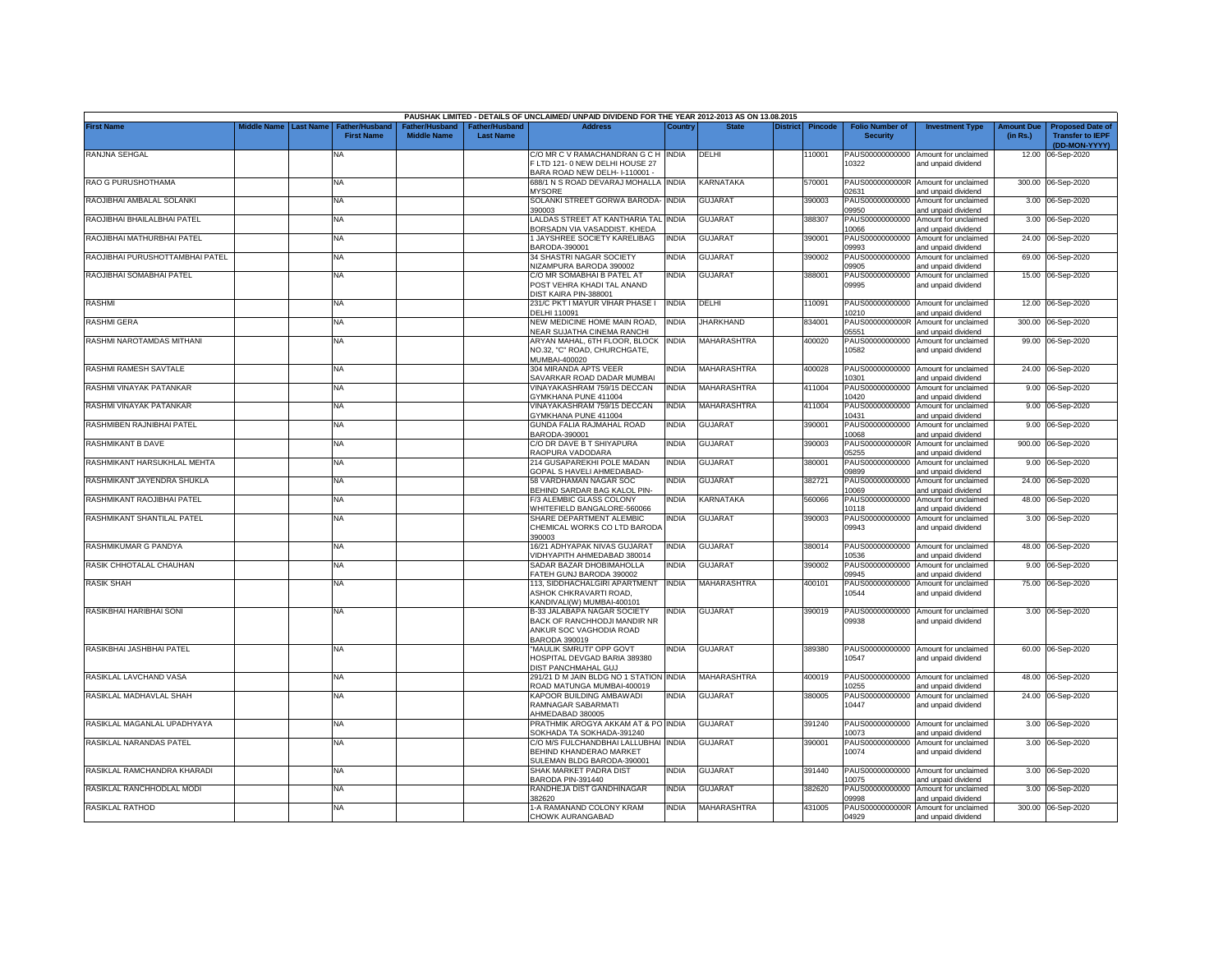|                                 |                         |                                            |                                      |                                                | PAUSHAK LIMITED - DETAILS OF UNCLAIMED/ UNPAID DIVIDEND FOR THE YEAR 2012-2013 AS ON 13.08.2015         |              |                    |          |         |                                           |                                                             |                               |                                                                     |
|---------------------------------|-------------------------|--------------------------------------------|--------------------------------------|------------------------------------------------|---------------------------------------------------------------------------------------------------------|--------------|--------------------|----------|---------|-------------------------------------------|-------------------------------------------------------------|-------------------------------|---------------------------------------------------------------------|
| First Name                      | Middle Name   Last Name | <b>Father/Husband</b><br><b>First Name</b> | Father/Husband<br><b>Middle Name</b> | ather/Husband <sup>-</sup><br><b>Last Name</b> | <b>Address</b>                                                                                          | Country      | <b>State</b>       | District | Pincode | <b>Folio Number of</b><br><b>Security</b> | <b>Investment Type</b>                                      | <b>Amount Due</b><br>(in Rs.) | <b>Proposed Date of</b><br><b>Transfer to IEPF</b><br>(DD-MON-YYYY) |
| RANJNA SEHGAL                   |                         | NA                                         |                                      |                                                | C/O MR C V RAMACHANDRAN G C H INDIA<br>F LTD 121-0 NEW DELHI HOUSE 27<br>BARA ROAD NEW DELH- I-110001 - |              | DELHI              |          | 10001   | 10322                                     | PAUS00000000000 Amount for unclaimed<br>and unpaid dividend |                               | 12.00 06-Sep-2020                                                   |
| RAO G PURUSHOTHAMA              |                         | ΝA                                         |                                      |                                                | 688/1 N S ROAD DEVARAJ MOHALLA INDIA<br><b>MYSORE</b>                                                   |              | KARNATAKA          |          | 570001  | PAUS0000000000R<br>2631                   | Amount for unclaimed<br>and unpaid dividend                 |                               | 300.00 06-Sep-2020                                                  |
| RAOJIBHAI AMBALAL SOLANKI       |                         | NA                                         |                                      |                                                | SOLANKI STREET GORWA BARODA- INDIA<br>390003                                                            |              | <b>GUJARAT</b>     |          | 390003  | PAUS00000000000<br>09950                  | Amount for unclaimed<br>and unpaid dividend                 |                               | 3.00 06-Sep-2020                                                    |
| RAOJIBHAI BHAILALBHAI PATEL     |                         | NA.                                        |                                      |                                                | LALDAS STREET AT KANTHARIA TAL INDIA<br>BORSADN VIA VASADDIST. KHEDA                                    |              | GUJARAT            |          | 388307  | PAUS00000000000<br>0066                   | Amount for unclaimed<br>and unpaid dividend                 |                               | 3.00 06-Sep-2020                                                    |
| RAOJIBHAI MATHURBHAI PATEL      |                         | NA                                         |                                      |                                                | 1 JAYSHREE SOCIETY KARELIBAG<br>BARODA-390001                                                           | INDIA        | <b>GUJARAT</b>     |          | 390001  | PAUS00000000000<br>09993                  | Amount for unclaimed<br>and unpaid dividend                 |                               | 24.00 06-Sep-2020                                                   |
| RAOJIBHAI PURUSHOTTAMBHAI PATEL |                         | <b>NA</b>                                  |                                      |                                                | 34 SHASTRI NAGAR SOCIETY<br><b>NIZAMPURA BARODA 390002</b>                                              | <b>INDIA</b> | <b>GUJARAT</b>     |          | 390002  | )9905                                     | PAUS00000000000 Amount for unclaimed<br>and unpaid dividend |                               | 69.00 06-Sep-2020                                                   |
| RAOJIBHAI SOMABHAI PATEL        |                         | NA                                         |                                      |                                                | C/O MR SOMABHAI B PATEL AT<br>POST VEHRA KHADI TAL ANAND<br>DIST KAIRA PIN-388001                       | INDIA        | GUJARAT            |          | 388001  | 09995                                     | PAUS00000000000 Amount for unclaimed<br>and unpaid dividend |                               | 15.00 06-Sep-2020                                                   |
| <b>RASHMI</b>                   |                         | NA                                         |                                      |                                                | 231/C PKT I MAYUR VIHAR PHASE I<br>DELHI 110091                                                         | <b>INDIA</b> | DELHI              |          | 110091  | 10210                                     | PAUS00000000000 Amount for unclaimed<br>and unpaid dividend |                               | 12.00 06-Sep-2020                                                   |
| <b>RASHMI GERA</b>              |                         | NA                                         |                                      |                                                | NEW MEDICINE HOME MAIN ROAD,<br><b>VEAR SUJATHA CINEMA RANCHI</b>                                       | <b>INDIA</b> | <b>JHARKHAND</b>   |          | 834001  | PAUS0000000000R<br>05551                  | Amount for unclaimed<br>and unpaid dividend                 |                               | 300.00 06-Sep-2020                                                  |
| RASHMI NAROTAMDAS MITHANI       |                         | NA                                         |                                      |                                                | ARYAN MAHAL, 6TH FLOOR, BLOCK<br>NO.32, "C" ROAD, CHURCHGATE,<br>MUMBAI-400020                          | <b>INDIA</b> | <b>MAHARASHTRA</b> |          | 400020  | PAUS00000000000<br>10582                  | Amount for unclaimed<br>and unpaid dividend                 |                               | 99.00 06-Sep-2020                                                   |
| RASHMI RAMESH SAVTALE           |                         | NA                                         |                                      |                                                | 304 MIRANDA APTS VEER<br>SAVARKAR ROAD DADAR MUMBAI                                                     | INDIA        | MAHARASHTRA        |          | 400028  | 10301                                     | PAUS00000000000 Amount for unclaimed<br>and unpaid dividend |                               | 24.00 06-Sep-2020                                                   |
| RASHMI VINAYAK PATANKAR         |                         | NA                                         |                                      |                                                | VINAYAKASHRAM 759/15 DECCAN<br>3YMKHANA PUNE 411004                                                     | NDIA         | <b>MAHARASHTRA</b> |          | 411004  | PAUS00000000000<br>10420                  | Amount for unclaimed<br>and unpaid dividend                 |                               | 9.00 06-Sep-2020                                                    |
| RASHMI VINAYAK PATANKAR         |                         | NA                                         |                                      |                                                | VINAYAKASHRAM 759/15 DECCAN<br><b>GYMKHANA PUNE 411004</b>                                              | <b>INDIA</b> | <b>MAHARASHTRA</b> |          | 411004  | PAUS00000000000<br>10431                  | Amount for unclaimed<br>nd unpaid dividend                  |                               | 9.00 06-Sep-2020                                                    |
| RASHMIBEN RAJNIBHAI PATEL       |                         | <b>NA</b>                                  |                                      |                                                | GUNDA FALIA RAJMAHAL ROAD<br>BARODA-390001                                                              | <b>INDIA</b> | <b>GUJARAT</b>     |          | 390001  | PAUS00000000000<br>10068                  | Amount for unclaimed<br>and unpaid dividend                 |                               | 9.00 06-Sep-2020                                                    |
| RASHMIKANT B DAVE               |                         | NA                                         |                                      |                                                | C/O DR DAVE B T SHIYAPURA<br>RAOPURA VADODARA                                                           | <b>INDIA</b> | <b>GUJARAT</b>     |          | 390003  | PAUS0000000000R<br>05255                  | Amount for unclaimed<br>and unpaid dividend                 |                               | 900.00 06-Sep-2020                                                  |
| RASHMIKANT HARSUKHLAL MEHTA     |                         | NA                                         |                                      |                                                | 214 GUSAPAREKHI POLE MADAN<br>GOPAL S HAVELI AHMEDABAD-                                                 | <b>INDIA</b> | GUJARAT            |          | 380001  | PAUS00000000000<br>09899                  | Amount for unclaimed<br>and unpaid dividend                 |                               | 9.00 06-Sep-2020                                                    |
| RASHMIKANT JAYENDRA SHUKLA      |                         | NA                                         |                                      |                                                | 58 VARDHAMAN NAGAR SOC<br>BEHIND SARDAR BAG KALOL PIN-                                                  | <b>INDIA</b> | <b>GUJARAT</b>     |          | 382721  | PAUS00000000000<br>10069                  | Amount for unclaimed<br>and unpaid dividend                 |                               | 24.00 06-Sep-2020                                                   |
| RASHMIKANT RAOJIBHAI PATEL      |                         | <b>NA</b>                                  |                                      |                                                | F/3 ALEMBIC GLASS COLONY<br>WHITEFIELD BANGALORE-560066                                                 | INDIA        | KARNATAKA          |          | 560066  | PAUS00000000000<br>10118                  | Amount for unclaimed<br>and unpaid dividend                 |                               | 48.00 06-Sep-2020                                                   |
| RASHMIKANT SHANTILAL PATEL      |                         | NA.                                        |                                      |                                                | SHARE DEPARTMENT ALEMBIC<br>CHEMICAL WORKS CO LTD BARODA<br>390003                                      | INDIA        | <b>GUJARAT</b>     |          | 390003  | PAUS00000000000<br>09943                  | Amount for unclaimed<br>and unpaid dividend                 |                               | 3.00 06-Sep-2020                                                    |
| RASHMIKUMAR G PANDYA            |                         | NA                                         |                                      |                                                | 16/21 ADHYAPAK NIVAS GUJARAT<br>VIDHYAPITH AHMEDABAD 380014                                             | <b>INDIA</b> | GUJARAT            |          | 380014  | PAUS00000000000<br>10536                  | Amount for unclaimed<br>and unpaid dividend                 |                               | 48.00 06-Sep-2020                                                   |
| RASIK CHHOTALAL CHAUHAN         |                         | NA                                         |                                      |                                                | SADAR BAZAR DHOBIMAHOLLA<br>FATEH GUNJ BARODA 390002                                                    | INDIA        | <b>GUJARAT</b>     |          | 390002  | PAUS00000000000<br>09945                  | Amount for unclaimed<br>and unpaid dividend                 | 9.00                          | 06-Sep-2020                                                         |
| <b>RASIK SHAH</b>               |                         | NA                                         |                                      |                                                | 113, SIDDHACHALGIRI APARTMENT<br>ASHOK CHKRAVARTI ROAD,<br>KANDIVALI(W) MUMBAI-400101                   | <b>INDIA</b> | MAHARASHTRA        |          | 400101  | PAUS00000000000<br>10544                  | Amount for unclaimed<br>and unpaid dividend                 |                               | 75.00 06-Sep-2020                                                   |
| RASIKBHAI HARIBHAI SONI         |                         | NA                                         |                                      |                                                | B-33 JALABAPA NAGAR SOCIETY<br>BACK OF RANCHHODJI MANDIR NR<br>ANKUR SOC VAGHODIA ROAD<br>BARODA 390019 | <b>INDIA</b> | <b>GUJARAT</b>     |          | 390019  | 09938                                     | PAUS00000000000 Amount for unclaimed<br>and unpaid dividend |                               | 3.00 06-Sep-2020                                                    |
| RASIKBHAI JASHBHAI PATEL        |                         | <b>NA</b>                                  |                                      |                                                | "MAULIK SMRUTI" OPP GOVT<br>HOSPITAL DEVGAD BARIA 389380<br>DIST PANCHMAHAL GUJ                         | NDIA         | <b>GUJARAT</b>     |          | 389380  | 10547                                     | PAUS00000000000 Amount for unclaimed<br>and unpaid dividend |                               | 60.00 06-Sep-2020                                                   |
| RASIKLAL LAVCHAND VASA          |                         | <b>NA</b>                                  |                                      |                                                | 291/21 D M JAIN BLDG NO 1 STATION INDIA<br>ROAD MATUNGA MUMBAI-400019                                   |              | MAHARASHTRA        |          | 400019  | 10255                                     | PAUS00000000000 Amount for unclaimed<br>and unpaid dividend |                               | 48.00 06-Sep-2020                                                   |
| RASIKLAL MADHAVLAL SHAH         |                         | NA                                         |                                      |                                                | KAPOOR BUILDING AMBAWADI<br>RAMNAGAR SABARMATI<br>HMEDABAD 380005                                       | NDIA         | GUJARAT            |          | 380005  | 10447                                     | PAUS00000000000 Amount for unclaimed<br>and unpaid dividend |                               | 24.00 06-Sep-2020                                                   |
| RASIKLAL MAGANLAL UPADHYAYA     |                         | NA                                         |                                      |                                                | PRATHMIK AROGYA AKKAM AT & PO INDIA<br>SOKHADA TA SOKHADA-391240                                        |              | <b>GUJARAT</b>     |          | 391240  | 10073                                     | PAUS00000000000 Amount for unclaimed<br>and unpaid dividend |                               | 3.00 06-Sep-2020                                                    |
| RASIKLAL NARANDAS PATEL         |                         | <b>NA</b>                                  |                                      |                                                | C/O M/S FULCHANDBHAI LALLUBHAI INDIA<br>BEHIND KHANDERAO MARKET<br>SULEMAN BLDG BARODA-390001           |              | <b>GUJARAT</b>     |          | 390001  | 10074                                     | PAUS00000000000 Amount for unclaimed<br>and unpaid dividend |                               | 3.00 06-Sep-2020                                                    |
| RASIKLAL RAMCHANDRA KHARADI     |                         | NA                                         |                                      |                                                | SHAK MARKET PADRA DIST<br>BARODA PIN-391440                                                             | INDIA        | <b>GUJARAT</b>     |          | 391440  | 10075                                     | PAUS00000000000 Amount for unclaimed<br>and unpaid dividend |                               | 3.00 06-Sep-2020                                                    |
| RASIKLAL RANCHHODLAL MODI       |                         | NA                                         |                                      |                                                | RANDHEJA DIST GANDHINAGAR<br>382620                                                                     | <b>INDIA</b> | <b>GUJARAT</b>     |          | 382620  | )9998                                     | PAUS00000000000 Amount for unclaimed<br>and unpaid dividend |                               | 3.00 06-Sep-2020                                                    |
| RASIKLAL RATHOD                 |                         | <b>NA</b>                                  |                                      |                                                | 1-A RAMANAND COLONY KRAM<br>CHOWK AURANGABAD                                                            | <b>INDIA</b> | MAHARASHTRA        |          | 431005  | 04929                                     | PAUS0000000000R Amount for unclaimed<br>and unpaid dividend |                               | 300.00 06-Sep-2020                                                  |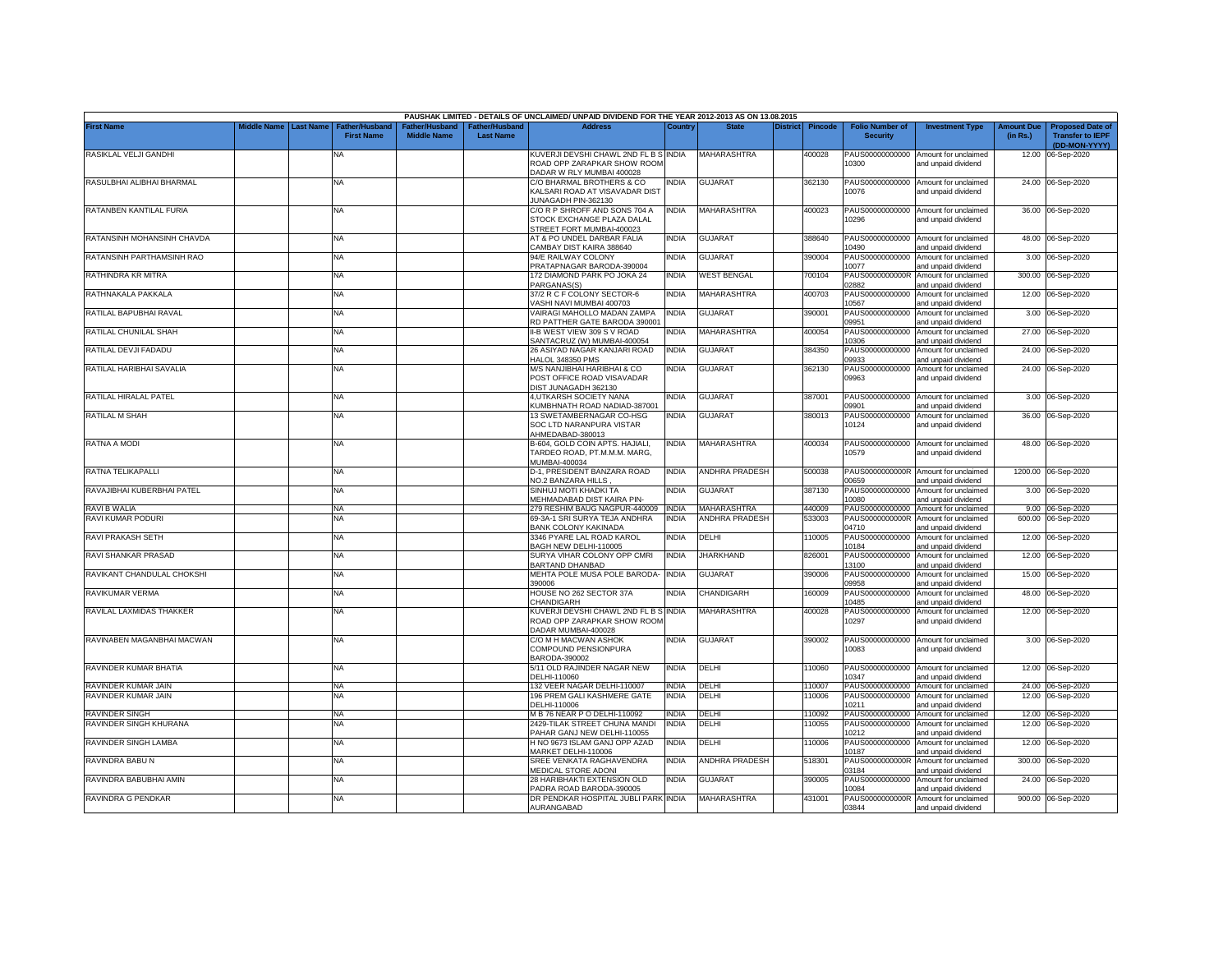|                            |             |                  |                                            |                                      |                                    | PAUSHAK LIMITED - DETAILS OF UNCLAIMED/ UNPAID DIVIDEND FOR THE YEAR 2012-2013 AS ON 13.08.2015 |              |                       |                 |                |                                           |                                                                    |                               |                                                    |
|----------------------------|-------------|------------------|--------------------------------------------|--------------------------------------|------------------------------------|-------------------------------------------------------------------------------------------------|--------------|-----------------------|-----------------|----------------|-------------------------------------------|--------------------------------------------------------------------|-------------------------------|----------------------------------------------------|
| <b>First Name</b>          | Middle Name | <b>Last Name</b> | <b>Father/Husband</b><br><b>First Name</b> | Father/Husband<br><b>Middle Name</b> | Father/Husband<br><b>Last Name</b> | <b>Address</b>                                                                                  | Country      | <b>State</b>          | <b>District</b> | <b>Pincode</b> | <b>Folio Number of</b><br><b>Security</b> | <b>Investment Type</b>                                             | <b>Amount Due</b><br>(in Rs.) | <b>Proposed Date of</b><br><b>Transfer to IEPF</b> |
| RASIKLAL VELJI GANDHI      |             |                  | <b>NA</b>                                  |                                      |                                    | KUVERJI DEVSHI CHAWL 2ND FL B S INDIA                                                           |              | MAHARASHTRA           |                 | 400028         |                                           | PAUS00000000000 Amount for unclaimed                               |                               | (DD-MON-YYYY)<br>12.00 06-Sep-2020                 |
|                            |             |                  |                                            |                                      |                                    | ROAD OPP ZARAPKAR SHOW ROOM<br>DADAR W RLY MUMBAI 400028                                        |              |                       |                 |                | 10300                                     | and unpaid dividend                                                |                               |                                                    |
| RASULBHAI ALIBHAI BHARMAL  |             |                  | <b>NA</b>                                  |                                      |                                    | C/O BHARMAL BROTHERS & CO<br>KALSARI ROAD AT VISAVADAR DIST<br>JUNAGADH PIN-362130              | <b>INDIA</b> | <b>GUJARAT</b>        |                 | 362130         | 10076                                     | PAUS00000000000 Amount for unclaimed<br>and unpaid dividend        |                               | 24.00 06-Sep-2020                                  |
| RATANBEN KANTILAL FURIA    |             |                  | <b>NA</b>                                  |                                      |                                    | C/O R P SHROFF AND SONS 704 A<br>STOCK EXCHANGE PLAZA DALAL<br>STREET FORT MUMBAI-400023        | <b>INDIA</b> | <b>MAHARASHTRA</b>    |                 | 400023         | 10296                                     | PAUS00000000000 Amount for unclaimed<br>and unpaid dividend        |                               | 36.00 06-Sep-2020                                  |
| RATANSINH MOHANSINH CHAVDA |             |                  | <b>NA</b>                                  |                                      |                                    | AT & PO UNDEL DARBAR FALIA<br>CAMBAY DIST KAIRA 388640                                          | <b>INDIA</b> | <b>GUJARAT</b>        |                 | 388640         | 10490                                     | PAUS00000000000 Amount for unclaimed<br>ind unpaid dividend        |                               | 48.00 06-Sep-2020                                  |
| RATANSINH PARTHAMSINH RAO  |             |                  | <b>NA</b>                                  |                                      |                                    | 94/E RAILWAY COLONY<br>PRATAPNAGAR BARODA-390004                                                | <b>INDIA</b> | <b>GUJARAT</b>        |                 | 390004         | PAUS00000000000<br>10077                  | Amount for unclaimed<br>and unpaid dividend                        |                               | 3.00 06-Sep-2020                                   |
| RATHINDRA KR MITRA         |             |                  | <b>NA</b>                                  |                                      |                                    | 172 DIAMOND PARK PO JOKA 24<br>PARGANAS(S)                                                      | <b>INDIA</b> | <b>WEST BENGAL</b>    |                 | 700104         | PAUS0000000000R<br>02882                  | Amount for unclaimed<br>and unpaid dividend                        |                               | 300.00 06-Sep-2020                                 |
| RATHNAKALA PAKKALA         |             |                  | <b>NA</b>                                  |                                      |                                    | 37/2 R C F COLONY SECTOR-6<br>VASHI NAVI MUMBAI 400703                                          | <b>INDIA</b> | <b>MAHARASHTRA</b>    |                 | 400703         | PAUS00000000000<br>10567                  | Amount for unclaimed<br>and unpaid dividend                        |                               | 12.00 06-Sep-2020                                  |
| RATILAL BAPUBHAI RAVAL     |             |                  | <b>NA</b>                                  |                                      |                                    | VAIRAGI MAHOLLO MADAN ZAMPA<br>RD PATTHER GATE BARODA 390001                                    | <b>INDIA</b> | <b>GUJARAT</b>        |                 | 390001         | PAUS00000000000<br>09951                  | Amount for unclaimed<br>and unpaid dividend                        |                               | 3.00 06-Sep-2020                                   |
| RATILAL CHUNILAL SHAH      |             |                  | <b>NA</b>                                  |                                      |                                    | II-B WEST VIEW 309 S V ROAD<br>SANTACRUZ (W) MUMBAI-400054                                      | <b>NDIA</b>  | <b>MAHARASHTRA</b>    |                 | 400054         | PAUS00000000000<br>0306                   | Amount for unclaimed<br>and unpaid dividend                        |                               | 27.00 06-Sep-2020                                  |
| RATILAL DEVJI FADADU       |             |                  | <b>NA</b>                                  |                                      |                                    | 26 ASIYAD NAGAR KANJARI ROAD<br>HALOL 348350 PMS                                                | <b>INDIA</b> | <b>GUJARAT</b>        |                 | 384350         | PAUS00000000000<br>09933                  | Amount for unclaimed<br>and unpaid dividend                        |                               | 24.00 06-Sep-2020                                  |
| RATILAL HARIBHAI SAVALIA   |             |                  | <b>NA</b>                                  |                                      |                                    | M/S NANJIBHAI HARIBHAI & CO<br>POST OFFICE ROAD VISAVADAR<br>DIST JUNAGADH 362130               | INDIA        | <b>GUJARAT</b>        |                 | 362130         | 09963                                     | PAUS00000000000 Amount for unclaimed<br>and unpaid dividend        |                               | 24.00 06-Sep-2020                                  |
| RATILAL HIRALAL PATEL      |             |                  | <b>NA</b>                                  |                                      |                                    | 4, UTKARSH SOCIETY NANA<br>KUMBHNATH ROAD NADIAD-387001                                         | <b>INDIA</b> | <b>GUJARAT</b>        |                 | 387001         | 09901                                     | PAUS00000000000 Amount for unclaimed<br>and unpaid dividend        |                               | 3.00 06-Sep-2020                                   |
| RATILAL M SHAH             |             |                  | NA                                         |                                      |                                    | 13 SWETAMBERNAGAR CO-HSG<br>SOC LTD NARANPURA VISTAR<br>AHMEDABAD-380013                        | INDIA        | <b>GUJARAT</b>        |                 | 380013         | 10124                                     | PAUS00000000000 Amount for unclaimed<br>and unpaid dividend        |                               | 36.00 06-Sep-2020                                  |
| RATNA A MODI               |             |                  | <b>NA</b>                                  |                                      |                                    | B-604, GOLD COIN APTS. HAJIALI,<br>TARDEO ROAD, PT.M.M.M. MARG,<br>MUMBAI-400034                | <b>INDIA</b> | <b>MAHARASHTRA</b>    |                 | 400034         | 10579                                     | PAUS00000000000 Amount for unclaimed<br>and unpaid dividend        |                               | 48.00 06-Sep-2020                                  |
| RATNA TELIKAPALLI          |             |                  | <b>NA</b>                                  |                                      |                                    | D-1, PRESIDENT BANZARA ROAD<br>NO.2 BANZARA HILLS                                               | <b>INDIA</b> | <b>ANDHRA PRADESH</b> |                 | 500038         | 0659                                      | PAUS0000000000R Amount for unclaimed<br>and unpaid dividend        |                               | 1200.00 06-Sep-2020                                |
| RAVAJIBHAI KUBERBHAI PATEL |             |                  | <b>NA</b>                                  |                                      |                                    | SINHUJ MOTI KHADKI TA<br>MEHMADABAD DIST KAIRA PIN-                                             | INDIA        | <b>GUJARAT</b>        |                 | 387130         | 10080                                     | PAUS00000000000 Amount for unclaimed<br>and unpaid dividend        |                               | 3.00 06-Sep-2020                                   |
| RAVI B WALIA               |             |                  | <b>NA</b>                                  |                                      |                                    | 279 RESHIM BAUG NAGPUR-440009                                                                   | <b>INDIA</b> | MAHARASHTRA           |                 | 440009         | PAUS00000000000                           | Amount for unclaimed                                               |                               | 9.00 06-Sep-2020                                   |
| RAVI KUMAR PODURI          |             |                  | ΝA                                         |                                      |                                    | 69-3A-1 SRI SURYA TEJA ANDHRA                                                                   | <b>INDIA</b> | ANDHRA PRADESH        |                 | 533003         | PAUS0000000000R                           | Amount for unclaimed                                               | 600.00                        | 06-Sep-2020                                        |
| RAVI PRAKASH SETH          |             |                  | <b>NA</b>                                  |                                      |                                    | <b>BANK COLONY KAKINADA</b><br>3346 PYARE LAL ROAD KAROL<br>BAGH NEW DELHI-110005               | NDIA         | DELHI                 |                 | 110005         | 04710<br>PAUS00000000000<br>10184         | ind unpaid dividend<br>Amount for unclaimed                        |                               | 12.00 06-Sep-2020                                  |
| RAVI SHANKAR PRASAD        |             |                  | <b>NA</b>                                  |                                      |                                    | SURYA VIHAR COLONY OPP CMRI<br>BARTAND DHANBAD                                                  | <b>INDIA</b> | <b>JHARKHAND</b>      |                 | 826001         | PAUS00000000000<br>13100                  | and unpaid dividend<br>Amount for unclaimed<br>and unpaid dividend |                               | 12.00 06-Sep-2020                                  |
| RAVIKANT CHANDULAL CHOKSHI |             |                  | <b>NA</b>                                  |                                      |                                    | MEHTA POLE MUSA POLE BARODA-<br>390006                                                          | <b>INDIA</b> | <b>GUJARAT</b>        |                 | 390006         | PAUS00000000000<br>09958                  | Amount for unclaimed<br>ind unpaid dividend                        |                               | 15.00 06-Sep-2020                                  |
| RAVIKUMAR VERMA            |             |                  | <b>NA</b>                                  |                                      |                                    | HOUSE NO 262 SECTOR 37A<br>CHANDIGARH                                                           | INDIA        | CHANDIGARH            |                 | 160009         | PAUS00000000000<br>10485                  | Amount for unclaimed<br>and unpaid dividend                        |                               | 48.00 06-Sep-2020                                  |
| RAVILAL LAXMIDAS THAKKER   |             |                  | NA                                         |                                      |                                    | KUVERJI DEVSHI CHAWL 2ND FL B S INDIA<br>ROAD OPP ZARAPKAR SHOW ROOM<br>DADAR MUMBAI-400028     |              | <b>MAHARASHTRA</b>    |                 | 400028         | PAUS00000000000<br>10297                  | Amount for unclaimed<br>and unpaid dividend                        |                               | 12.00 06-Sep-2020                                  |
| RAVINABEN MAGANBHAI MACWAN |             |                  | <b>NA</b>                                  |                                      |                                    | C/O M H MACWAN ASHOK<br>COMPOUND PENSIONPURA<br>BARODA-390002                                   | INDIA        | <b>GUJARAT</b>        |                 | 390002         | 10083                                     | PAUS00000000000 Amount for unclaimed<br>and unpaid dividend        |                               | 3.00 06-Sep-2020                                   |
| RAVINDER KUMAR BHATIA      |             |                  | <b>NA</b>                                  |                                      |                                    | 5/11 OLD RAJINDER NAGAR NEW<br>DELHI-110060                                                     | <b>INDIA</b> | DELHI                 |                 | 110060         | 10347                                     | PAUS00000000000 Amount for unclaimed<br>and unpaid dividend        |                               | 12.00 06-Sep-2020                                  |
| RAVINDER KUMAR JAIN        |             |                  | <b>NA</b>                                  |                                      |                                    | 132 VEER NAGAR DELHI-110007                                                                     | <b>INDIA</b> | DELHI                 |                 | 110007         | PAUS00000000000                           | Amount for unclaimed                                               |                               | 24.00 06-Sep-2020                                  |
| RAVINDER KUMAR JAIN        |             |                  | NA                                         |                                      |                                    | 196 PREM GALI KASHMERE GATE<br>DELHI-110006                                                     | <b>INDIA</b> | DELHI                 |                 | 10006          | PAUS00000000000<br>10211                  | Amount for unclaimed<br>and unpaid dividend                        |                               | 12.00 06-Sep-2020                                  |
| RAVINDER SINGH             |             |                  | <b>NA</b>                                  |                                      |                                    | M B 76 NEAR P O DELHI-110092                                                                    | <b>INDIA</b> | DELHI                 |                 | 110092         | PAUS00000000000                           | Amount for unclaimed                                               |                               | 12.00 06-Sep-2020                                  |
| RAVINDER SINGH KHURANA     |             |                  | NA                                         |                                      |                                    | 2429-TILAK STREET CHUNA MANDI                                                                   | <b>INDIA</b> | DELHI                 |                 | 10055          | PAUS00000000000                           | Amount for unclaimed                                               |                               | 12.00 06-Sep-2020                                  |
| RAVINDER SINGH LAMBA       |             |                  | <b>NA</b>                                  |                                      |                                    | PAHAR GANJ NEW DELHI-110055<br>H NO 9673 ISLAM GANJ OPP AZAD                                    | INDIA        | DELHI                 |                 | 110006         | 10212<br>PAUS00000000000                  | and unpaid dividend<br>Amount for unclaimed                        |                               | 12.00 06-Sep-2020                                  |
| RAVINDRA BABU N            |             |                  | NA                                         |                                      |                                    | MARKET DELHI-110006<br>SREE VENKATA RAGHAVENDRA                                                 | INDIA        | ANDHRA PRADESH        |                 | 518301         | 10187<br>PAUS0000000000R                  | and unpaid dividend<br>Amount for unclaimed                        |                               | 300.00 06-Sep-2020                                 |
| RAVINDRA BABUBHAI AMIN     |             |                  | <b>NA</b>                                  |                                      |                                    | MEDICAL STORE ADONI<br>28 HARIBHAKTI EXTENSION OLD<br>PADRA ROAD BARODA-390005                  | INDIA        | GUJARAT               |                 | 390005         | 03184<br>PAUS00000000000<br>10084         | and unpaid dividend<br>Amount for unclaimed<br>and unpaid dividend |                               | 24.00 06-Sep-2020                                  |
| RAVINDRA G PENDKAR         |             |                  | NA                                         |                                      |                                    | DR PENDKAR HOSPITAL JUBLI PARK INDIA<br>AURANGABAD                                              |              | <b>MAHARASHTRA</b>    |                 | 431001         | PAUS0000000000R<br>03844                  | Amount for unclaimed<br>and unpaid dividend                        |                               | 900.00 06-Sep-2020                                 |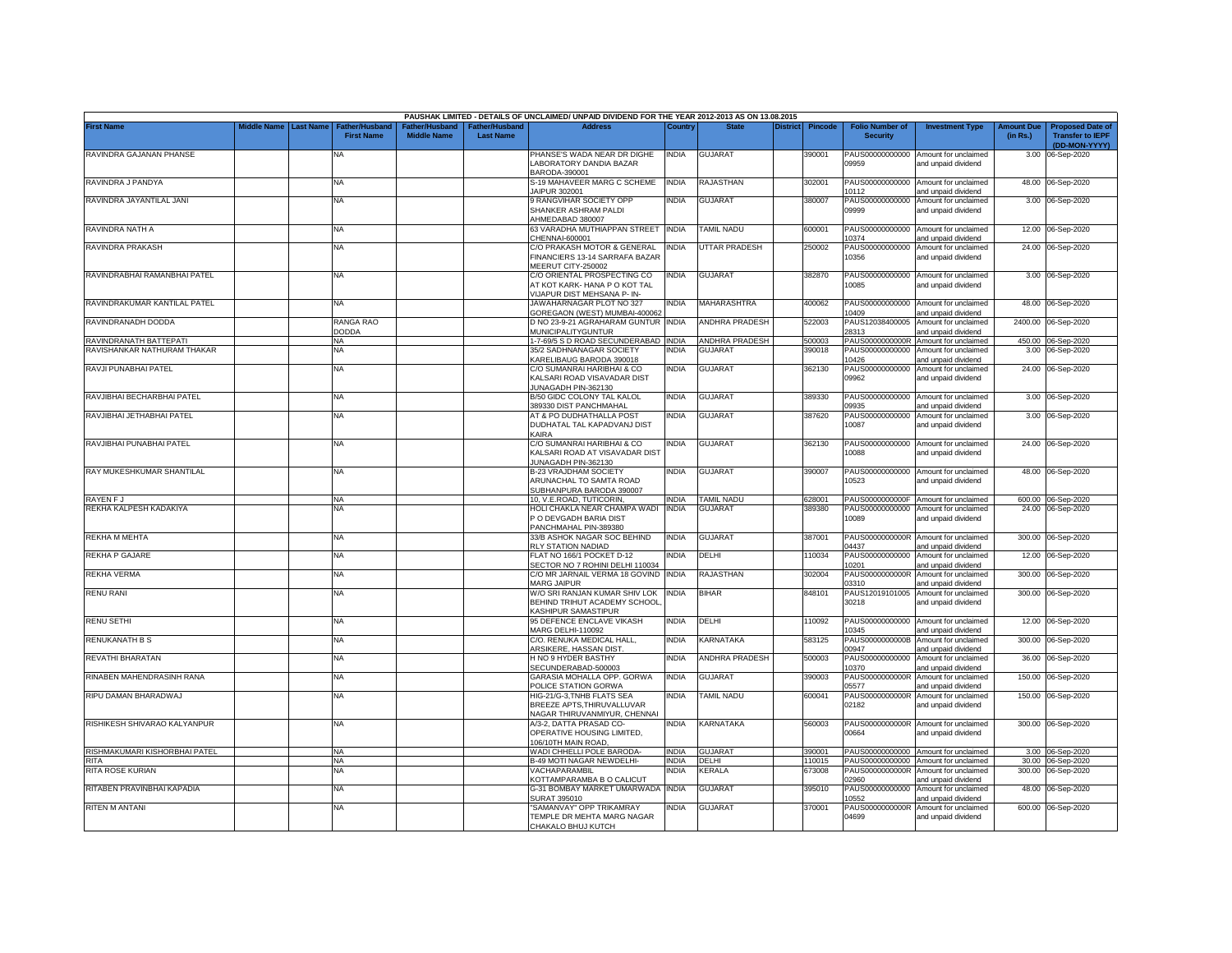|                               |                         |                                            |                                     |                                                | PAUSHAK LIMITED - DETAILS OF UNCLAIMED/ UNPAID DIVIDEND FOR THE YEAR 2012-2013 AS ON 13.08.2015 |              |                          |                 |                |                                           |                                                             |                               |                                                    |
|-------------------------------|-------------------------|--------------------------------------------|-------------------------------------|------------------------------------------------|-------------------------------------------------------------------------------------------------|--------------|--------------------------|-----------------|----------------|-------------------------------------------|-------------------------------------------------------------|-------------------------------|----------------------------------------------------|
| <b>First Name</b>             | Middle Name   Last Name | <b>Father/Husband</b><br><b>First Name</b> | ather/Husband<br><b>Middle Name</b> | <sup>∶</sup> ather/Husband<br><b>Last Name</b> | <b>Address</b>                                                                                  | Country      | <b>State</b>             | <b>District</b> | <b>Pincode</b> | <b>Folio Number of</b><br><b>Security</b> | <b>Investment Type</b>                                      | <b>Amount Due</b><br>(in Rs.) | <b>Proposed Date of</b><br><b>Transfer to IEPF</b> |
| RAVINDRA GAJANAN PHANSE       |                         | NA                                         |                                     |                                                | PHANSE'S WADA NEAR DR DIGHE                                                                     | <b>INDIA</b> | <b>GUJARAT</b>           |                 | 390001         |                                           | PAUS00000000000 Amount for unclaimed                        |                               | (DD-MON-YYYY)                                      |
|                               |                         |                                            |                                     |                                                | LABORATORY DANDIA BAZAR<br>BARODA-390001                                                        |              |                          |                 |                | 09959                                     | and unpaid dividend                                         |                               | 3.00 06-Sep-2020                                   |
| RAVINDRA J PANDYA             |                         | NA                                         |                                     |                                                | S-19 MAHAVEER MARG C SCHEME<br>JAIPUR 302001                                                    | <b>INDIA</b> | RAJASTHAN                |                 | 302001         | 10112                                     | PAUS00000000000 Amount for unclaimed<br>and unpaid dividend |                               | 48.00 06-Sep-2020                                  |
| RAVINDRA JAYANTILAL JANI      |                         | NA                                         |                                     |                                                | 9 RANGVIHAR SOCIETY OPP                                                                         | <b>INDIA</b> | GUJARAT                  |                 | 380007         |                                           | PAUS00000000000 Amount for unclaimed                        |                               | 3.00 06-Sep-2020                                   |
|                               |                         |                                            |                                     |                                                | SHANKER ASHRAM PALDI<br>AHMEDABAD 380007                                                        |              |                          |                 |                | 09999                                     | and unpaid dividend                                         |                               |                                                    |
| RAVINDRA NATH A               |                         | <b>NA</b>                                  |                                     |                                                | 63 VARADHA MUTHIAPPAN STREET INDIA                                                              |              | <b>TAMIL NADU</b>        |                 | 600001         |                                           | PAUS00000000000 Amount for unclaimed                        |                               | 12.00 06-Sep-2020                                  |
|                               |                         |                                            |                                     |                                                | CHENNAI-600001                                                                                  |              |                          |                 |                | 0374                                      | and unpaid dividend                                         |                               |                                                    |
| RAVINDRA PRAKASH              |                         | NA                                         |                                     |                                                | C/O PRAKASH MOTOR & GENERAL<br>FINANCIERS 13-14 SARRAFA BAZAR<br>MEERUT CITY-250002             | <b>INDIA</b> | <b>UTTAR PRADESH</b>     |                 | 250002         | PAUS00000000000<br>10356                  | Amount for unclaimed<br>and unpaid dividend                 |                               | 24.00 06-Sep-2020                                  |
| RAVINDRABHAI RAMANBHAI PATEL  |                         | NA                                         |                                     |                                                | C/O ORIENTAL PROSPECTING CO<br>AT KOT KARK- HANA P O KOT TAL                                    | <b>INDIA</b> | <b>GUJARAT</b>           |                 | 382870         | 0085                                      | PAUS00000000000 Amount for unclaimed<br>and unpaid dividend |                               | 3.00 06-Sep-2020                                   |
| RAVINDRAKUMAR KANTILAL PATEL  |                         | NA                                         |                                     |                                                | VIJAPUR DIST MEHSANA P- IN-<br>JAWAHARNAGAR PLOT NO 327                                         | <b>INDIA</b> | <b>MAHARASHTRA</b>       |                 | 400062         |                                           | PAUS00000000000 Amount for unclaimed                        |                               | 48.00 06-Sep-2020                                  |
| RAVINDRANADH DODDA            |                         | RANGA RAO                                  |                                     |                                                | GOREGAON (WEST) MUMBAI-400062<br>D NO 23-9-21 AGRAHARAM GUNTUR INDIA                            |              | <b>ANDHRA PRADESH</b>    |                 |                | 10409                                     | and unpaid dividend                                         |                               |                                                    |
|                               |                         | <b>DODDA</b>                               |                                     |                                                | <b>MUNICIPALITYGUNTUR</b>                                                                       |              |                          |                 | 522003         | PAUS12038400005<br>28313                  | Amount for unclaimed<br>and unpaid dividend                 |                               | 2400.00 06-Sep-2020                                |
| RAVINDRANATH BATTEPATI        |                         | <b>NA</b>                                  |                                     |                                                | 1-7-69/5 S D ROAD SECUNDERABAD INDIA                                                            |              | <b>ANDHRA PRADESH</b>    |                 | 500003         | PAUS0000000000R                           | Amount for unclaimed                                        | 450.00                        | 06-Sep-2020                                        |
| RAVISHANKAR NATHURAM THAKAR   |                         | NA                                         |                                     |                                                | 35/2 SADHNANAGAR SOCIETY                                                                        | INDIA        | <b>GUJARAT</b>           |                 | 390018         | PAUS00000000000                           | Amount for unclaimed                                        | 3.00                          | 06-Sep-2020                                        |
|                               |                         |                                            |                                     |                                                | KARELIBAUG BARODA 390018                                                                        |              |                          |                 |                | 10426                                     | and unpaid dividend                                         |                               |                                                    |
| RAVJI PUNABHAI PATEL          |                         | <b>NA</b>                                  |                                     |                                                | C/O SUMANRAI HARIBHAI & CO<br>KALSARI ROAD VISAVADAR DIST<br>JUNAGADH PIN-362130                | <b>INDIA</b> | <b>GUJARAT</b>           |                 | 362130         | PAUS00000000000<br>09962                  | Amount for unclaimed<br>and unpaid dividend                 |                               | 24.00 06-Sep-2020                                  |
| RAVJIBHAI BECHARBHAI PATEL    |                         | NΑ                                         |                                     |                                                | B/50 GIDC COLONY TAL KALOL<br>389330 DIST PANCHMAHAL                                            | <b>INDIA</b> | GUJARAT                  |                 | 389330         | 09935                                     | PAUS00000000000 Amount for unclaimed<br>and unpaid dividend |                               | 3.00 06-Sep-2020                                   |
| RAVJIBHAI JETHABHAI PATEL     |                         | ΝA                                         |                                     |                                                | AT & PO DUDHATHALLA POST                                                                        | NDIA         | GUJARAT                  |                 | 387620         | PAUS00000000000                           | Amount for unclaimed                                        |                               | 3.00 06-Sep-2020                                   |
|                               |                         |                                            |                                     |                                                | DUDHATAL TAL KAPADVANJ DIST                                                                     |              |                          |                 |                | 10087                                     | and unpaid dividend                                         |                               |                                                    |
|                               |                         |                                            |                                     |                                                | KAIRA                                                                                           |              |                          |                 |                |                                           |                                                             |                               |                                                    |
| RAVJIBHAI PUNABHAI PATEL      |                         | NA                                         |                                     |                                                | C/O SUMANRAI HARIBHAI & CO                                                                      | NDIA         | <b>GUJARAT</b>           |                 | 362130         |                                           | PAUS00000000000 Amount for unclaimed                        |                               | 24.00 06-Sep-2020                                  |
|                               |                         |                                            |                                     |                                                | KALSARI ROAD AT VISAVADAR DIST<br>JUNAGADH PIN-362130                                           |              |                          |                 |                | 10088                                     | and unpaid dividend                                         |                               |                                                    |
| RAY MUKESHKUMAR SHANTILAL     |                         | NA                                         |                                     |                                                | B-23 VRAJDHAM SOCIETY                                                                           | India        | <b>GUJARAT</b>           |                 | 390007         |                                           | PAUS00000000000 Amount for unclaimed                        |                               | 48.00 06-Sep-2020                                  |
|                               |                         |                                            |                                     |                                                | ARUNACHAL TO SAMTA ROAD                                                                         |              |                          |                 |                | 10523                                     | and unpaid dividend                                         |                               |                                                    |
|                               |                         |                                            |                                     |                                                | SUBHANPURA BARODA 390007                                                                        |              |                          |                 |                |                                           |                                                             |                               |                                                    |
| <b>RAYEN FJ</b>               |                         | NA                                         |                                     |                                                | 10, V.E.ROAD, TUTICORIN,                                                                        | <b>INDIA</b> | <b>TAMIL NADU</b>        |                 | 628001         | PAUS0000000000F                           | Amount for unclaimed                                        |                               | 600.00 06-Sep-2020                                 |
| REKHA KALPESH KADAKIYA        |                         | NA.                                        |                                     |                                                | HOLI CHAKLA NEAR CHAMPA WADI<br>P O DEVGADH BARIA DIST                                          | <b>INDIA</b> | <b>GUJARA1</b>           |                 | 389380         | PAUS00000000000<br>10089                  | Amount for unclaimed<br>and unpaid dividend                 |                               | 24.00 06-Sep-2020                                  |
|                               |                         |                                            |                                     |                                                | PANCHMAHAL PIN-389380                                                                           |              |                          |                 |                |                                           |                                                             |                               |                                                    |
| REKHA M MEHTA                 |                         | <b>NA</b>                                  |                                     |                                                | 33/B ASHOK NAGAR SOC BEHIND                                                                     | <b>INDIA</b> | <b>GUJARAT</b>           |                 | 387001         |                                           | PAUS0000000000R Amount for unclaimed                        |                               | 300.00 06-Sep-2020                                 |
|                               |                         |                                            |                                     |                                                | RLY STATION NADIAD                                                                              |              |                          |                 |                | )4437                                     | and unpaid dividend                                         |                               |                                                    |
| REKHA P GAJARE                |                         | NA                                         |                                     |                                                | FLAT NO 166/1 POCKET D-12                                                                       | INDIA        | DELHI                    |                 | 110034         |                                           | PAUS00000000000 Amount for unclaimed                        |                               | 12.00 06-Sep-2020                                  |
| REKHA VERMA                   |                         |                                            |                                     |                                                | SECTOR NO 7 ROHINI DELHI 110034                                                                 | <b>INDIA</b> | RAJASTHAN                |                 |                | 10201                                     | and unpaid dividend<br>Amount for unclaimed                 |                               |                                                    |
|                               |                         | NA                                         |                                     |                                                | C/O MR JARNAIL VERMA 18 GOVIND<br>MARG JAIPUR                                                   |              |                          |                 | 302004         | PAUS0000000000R<br>03310                  | and unpaid dividend                                         |                               | 300.00 06-Sep-2020                                 |
| <b>RENU RANI</b>              |                         | ΝA                                         |                                     |                                                | W/O SRI RANJAN KUMAR SHIV LOK                                                                   | India        | <b>BIHAR</b>             |                 | 848101         | PAUS12019101005                           | Amount for unclaimed                                        |                               | 300.00 06-Sep-2020                                 |
|                               |                         |                                            |                                     |                                                | BEHIND TRIHUT ACADEMY SCHOOL                                                                    |              |                          |                 |                | 30218                                     | and unpaid dividend                                         |                               |                                                    |
|                               |                         |                                            |                                     |                                                | <b>KASHIPUR SAMASTIPUR</b>                                                                      |              |                          |                 |                |                                           |                                                             |                               |                                                    |
| <b>RENU SETHI</b>             |                         | NA                                         |                                     |                                                | 95 DEFENCE ENCLAVE VIKASH<br><b>MARG DELHI-110092</b>                                           | INDIA        | DELHI                    |                 | 110092         | 0345                                      | PAUS00000000000 Amount for unclaimed<br>and unpaid dividend |                               | 12.00 06-Sep-2020                                  |
| RENUKANATH B S                |                         | NA                                         |                                     |                                                | C/O. RENUKA MEDICAL HALL,                                                                       | INDIA        | KARNATAKA                |                 | 583125         | PAUS0000000000B                           | Amount for unclaimed                                        |                               | 300.00 06-Sep-2020                                 |
|                               |                         |                                            |                                     |                                                | ARSIKERE, HASSAN DIST.                                                                          |              |                          |                 |                | 00947                                     | and unpaid dividend                                         |                               |                                                    |
| REVATHI BHARATAN              |                         | NΑ                                         |                                     |                                                | H NO 9 HYDER BASTHY<br>SECUNDERABAD-500003                                                      | <b>INDIA</b> | ANDHRA PRADESH           |                 | 500003         | PAUS00000000000<br>10370                  | Amount for unclaimed<br>and unpaid dividend                 | 36.00                         | 06-Sep-2020                                        |
| RINABEN MAHENDRASINH RANA     |                         | ΝA                                         |                                     |                                                | GARASIA MOHALLA OPP. GORWA                                                                      | <b>INDIA</b> | <b>GUJARAT</b>           |                 | 390003         | PAUS0000000000R                           | Amount for unclaimed                                        |                               | 150.00 06-Sep-2020                                 |
|                               |                         |                                            |                                     |                                                | POLICE STATION GORWA                                                                            |              |                          |                 |                | 05577                                     | and unpaid dividend                                         |                               |                                                    |
| RIPU DAMAN BHARADWAJ          |                         | NA                                         |                                     |                                                | HIG-21/G-3.TNHB FLATS SEA                                                                       | NDIA         | <b><i>FAMIL NADU</i></b> |                 | 600041         | PAUS0000000000R                           | Amount for unclaimed                                        | 150.00                        | 06-Sep-2020                                        |
|                               |                         |                                            |                                     |                                                | BREEZE APTS, THIRUVALLUVAR<br>NAGAR THIRUVANMIYUR, CHENNAI                                      |              |                          |                 |                | 02182                                     | and unpaid dividend                                         |                               |                                                    |
| RISHIKESH SHIVARAO KALYANPUR  |                         | NA                                         |                                     |                                                | A/3-2, DATTA PRASAD CO-                                                                         | India        | KARNATAKA                |                 | 560003         |                                           | PAUS0000000000R Amount for unclaimed                        |                               | 300.00 06-Sep-2020                                 |
|                               |                         |                                            |                                     |                                                | OPERATIVE HOUSING LIMITED,<br>106/10TH MAIN ROAD,                                               |              |                          |                 |                | 00664                                     | and unpaid dividend                                         |                               |                                                    |
| RISHMAKUMARI KISHORBHAI PATEL |                         | <b>NA</b>                                  |                                     |                                                | WADI CHHELLI POLE BARODA-                                                                       | <b>INDIA</b> | GUJARAT                  |                 | 390001         |                                           | PAUS00000000000 Amount for unclaimed                        |                               | 3.00 06-Sep-2020                                   |
| RITA                          |                         | <b>NA</b>                                  |                                     |                                                | B-49 MOTI NAGAR NEWDELHI-                                                                       | <b>INDIA</b> | DEI HI                   |                 | 110015         |                                           | PAUS00000000000 Amount for unclaimed                        |                               | 30.00 06-Sep-2020                                  |
| RITA ROSE KURIAN              |                         | <b>NA</b>                                  |                                     |                                                | VACHAPARAMBIL                                                                                   | <b>NDIA</b>  | <b>CERALA</b>            |                 | 673008         | PAUS0000000000R                           | Amount for unclaimed                                        |                               | 300.00 06-Sep-2020                                 |
| RITABEN PRAVINBHAI KAPADIA    |                         | ΝA                                         |                                     |                                                | <b>KOTTAMPARAMBA B O CALICUT</b><br>G-31 BOMBAY MARKET UMARWADA                                 | <b>INDIA</b> | GUJARAT                  |                 |                | 02960<br>PAUS00000000000                  | and unpaid dividend<br>Amount for unclaimed                 |                               |                                                    |
|                               |                         |                                            |                                     |                                                | SURAT 395010                                                                                    |              |                          |                 | 395010         | 0552                                      | and unpaid dividend                                         |                               | 48.00 06-Sep-2020                                  |
| <b>RITEN M ANTANI</b>         |                         | NA                                         |                                     |                                                | 'SAMANVAY" OPP TRIKAMRAY                                                                        | NDIA         | <b>GUJARAT</b>           |                 | 370001         | PAUS0000000000R                           | Amount for unclaimed                                        |                               | 600.00 06-Sep-2020                                 |
|                               |                         |                                            |                                     |                                                | TEMPLE DR MEHTA MARG NAGAR                                                                      |              |                          |                 |                | 04699                                     | and unpaid dividend                                         |                               |                                                    |
|                               |                         |                                            |                                     |                                                | CHAKALO BHUJ KUTCH                                                                              |              |                          |                 |                |                                           |                                                             |                               |                                                    |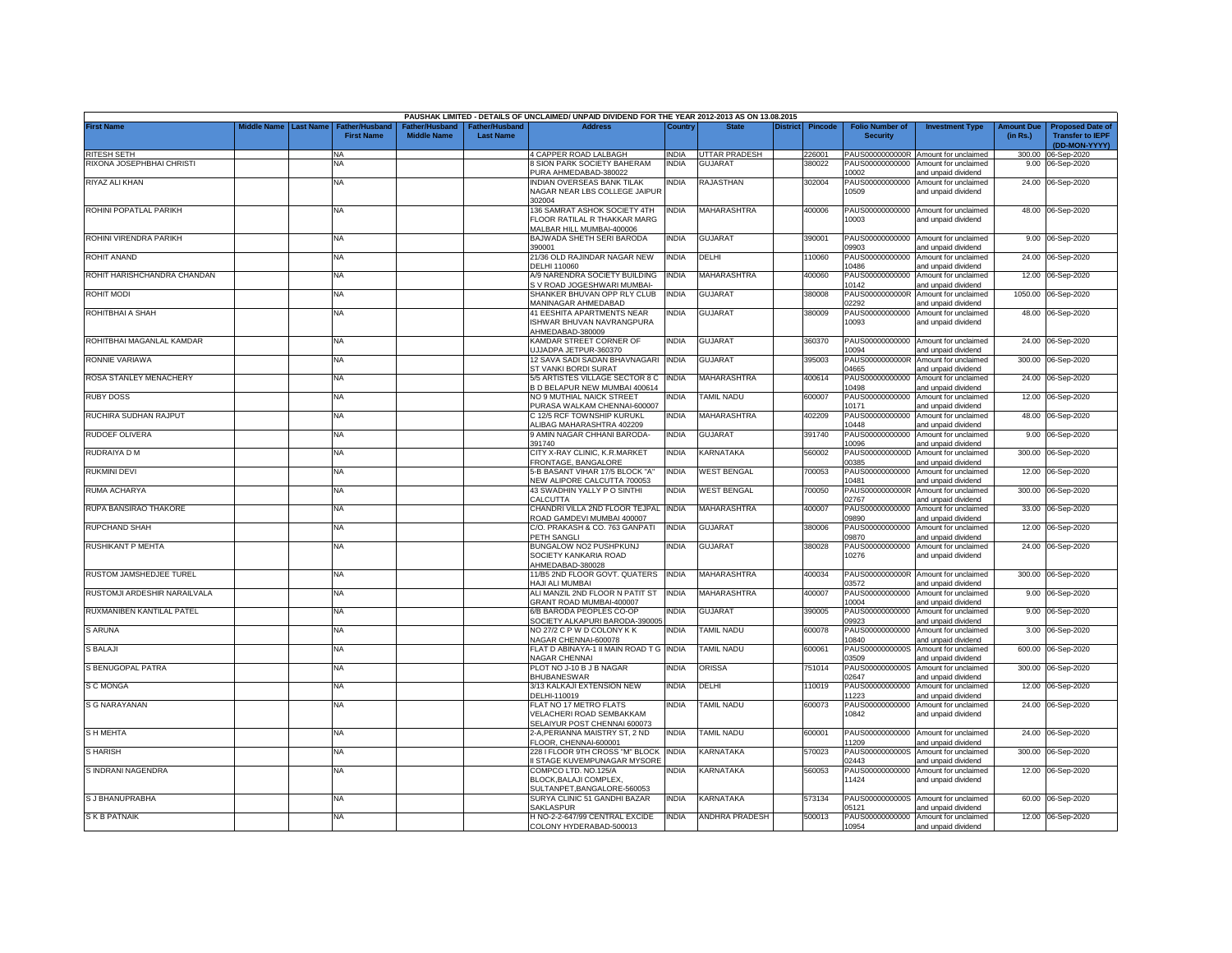|                              |             |                  |                                            |                                      |                                   | PAUSHAK LIMITED - DETAILS OF UNCLAIMED/ UNPAID DIVIDEND FOR THE YEAR 2012-2013 AS ON 13.08.2015 |              |                    |                 |                |                                           |                                                             |                               |                                                                     |
|------------------------------|-------------|------------------|--------------------------------------------|--------------------------------------|-----------------------------------|-------------------------------------------------------------------------------------------------|--------------|--------------------|-----------------|----------------|-------------------------------------------|-------------------------------------------------------------|-------------------------------|---------------------------------------------------------------------|
| <b>First Name</b>            | Middle Name | <b>Last Name</b> | <b>Father/Husband</b><br><b>First Name</b> | Father/Husband<br><b>Middle Name</b> | ather/Husband<br><b>Last Name</b> | <b>Address</b>                                                                                  | Country      | <b>State</b>       | <b>District</b> | <b>Pincode</b> | <b>Folio Number of</b><br><b>Security</b> | <b>Investment Type</b>                                      | <b>Amount Due</b><br>(in Rs.) | <b>Proposed Date of</b><br><b>Transfer to IEPF</b><br>(DD-MON-YYYY) |
| <b>RITESH SETH</b>           |             |                  | NA                                         |                                      |                                   | 4 CAPPER ROAD LALBAGH                                                                           | INDIA        | UTTAR PRADESH      |                 | 226001         |                                           | PAUS0000000000R Amount for unclaimed                        |                               | 300.00 06-Sep-2020                                                  |
| RIXONA JOSEPHBHAI CHRISTI    |             |                  | <b>NA</b>                                  |                                      |                                   | 8 SION PARK SOCIETY BAHERAM                                                                     | <b>INDIA</b> | <b>GUJARAT</b>     |                 | 380022         | PAUS00000000000                           | Amount for unclaimed                                        |                               | 9.00 06-Sep-2020                                                    |
|                              |             |                  |                                            |                                      |                                   | PURA AHMEDABAD-380022                                                                           |              |                    |                 |                | 10002                                     | and unpaid dividend                                         |                               |                                                                     |
| RIYAZ ALI KHAN               |             |                  | <b>NA</b>                                  |                                      |                                   | INDIAN OVERSEAS BANK TILAK<br>NAGAR NEAR LBS COLLEGE JAIPUR<br>302004                           | NDIA         | <b>RAJASTHAN</b>   |                 | 302004         | PAUS00000000000<br>10509                  | Amount for unclaimed<br>and unpaid dividend                 |                               | 24.00 06-Sep-2020                                                   |
| ROHINI POPATLAL PARIKH       |             |                  | <b>NA</b>                                  |                                      |                                   | 136 SAMRAT ASHOK SOCIETY 4TH                                                                    | INDIA        | <b>MAHARASHTRA</b> |                 | 400006         |                                           | PAUS00000000000 Amount for unclaimed                        |                               | 48.00 06-Sep-2020                                                   |
|                              |             |                  |                                            |                                      |                                   | FLOOR RATILAL R THAKKAR MARG                                                                    |              |                    |                 |                | 10003                                     | and unpaid dividend                                         |                               |                                                                     |
|                              |             |                  |                                            |                                      |                                   | MALBAR HILL MUMBAI-400006                                                                       |              |                    |                 |                |                                           |                                                             |                               |                                                                     |
| ROHINI VIRENDRA PARIKH       |             |                  | <b>NA</b>                                  |                                      |                                   | BAJWADA SHETH SERI BARODA<br>390001                                                             | <b>INDIA</b> | <b>GUJARAT</b>     |                 | 390001         | PAUS00000000000<br>09903                  | Amount for unclaimed<br>hnebivib biegnd bne                 |                               | 9.00 06-Sep-2020                                                    |
| <b>ROHIT ANAND</b>           |             |                  | NA                                         |                                      |                                   | 21/36 OLD RAJINDAR NAGAR NEW                                                                    | INDIA        | DELHI              |                 | 10060          | PAUS00000000000                           | Amount for unclaimed                                        |                               | 24.00 06-Sep-2020                                                   |
|                              |             |                  |                                            |                                      |                                   | <b>DELHI 110060</b>                                                                             |              |                    |                 |                | 10486                                     | and unpaid dividend                                         |                               |                                                                     |
| ROHIT HARISHCHANDRA CHANDAN  |             |                  | <b>NA</b>                                  |                                      |                                   | A/9 NARENDRA SOCIETY BUILDING<br>S V ROAD JOGESHWARI MUMBAI-                                    | INDIA        | <b>MAHARASHTRA</b> |                 | 400060         | PAUS00000000000<br>10142                  | Amount for unclaimed<br>and unpaid dividend                 |                               | 12.00 06-Sep-2020                                                   |
| ROHIT MODI                   |             |                  | <b>NA</b>                                  |                                      |                                   | SHANKER BHUVAN OPP RLY CLUB<br>MANINAGAR AHMEDABAD                                              | <b>INDIA</b> | <b>GUJARAT</b>     |                 | 380008         | PAUS0000000000R<br>02292                  | Amount for unclaimed<br>and unpaid dividend                 |                               | 1050.00 06-Sep-2020                                                 |
| ROHITBHAI A SHAH             |             |                  | <b>NA</b>                                  |                                      |                                   | 41 EESHITA APARTMENTS NEAR                                                                      | INDIA        | <b>GUJARAT</b>     |                 | 380009         | PAUS00000000000                           | Amount for unclaimed                                        |                               | 48.00 06-Sep-2020                                                   |
|                              |             |                  |                                            |                                      |                                   | ISHWAR BHUVAN NAVRANGPURA<br>AHMEDABAD-380009                                                   |              |                    |                 |                | 10093                                     | and unpaid dividend                                         |                               |                                                                     |
| ROHITBHAI MAGANLAL KAMDAR    |             |                  | <b>NA</b>                                  |                                      |                                   | KAMDAR STREET CORNER OF<br>JJJADPA JETPUR-360370                                                | <b>INDIA</b> | <b>GUJARAT</b>     |                 | 360370         | PAUS00000000000<br>10094                  | Amount for unclaimed<br>and unpaid dividend                 |                               | 24.00 06-Sep-2020                                                   |
| RONNIE VARIAWA               |             |                  | <b>NA</b>                                  |                                      |                                   | 12 SAVA SADI SADAN BHAVNAGARI                                                                   | <b>INDIA</b> | <b>GUJARAT</b>     |                 | 395003         | PAUS0000000000R                           | Amount for unclaimed                                        | 300.00                        | 06-Sep-2020                                                         |
| ROSA STANLEY MENACHERY       |             |                  | <b>NA</b>                                  |                                      |                                   | ST VANKI BORDI SURAT<br>5/5 ARTISTES VILLAGE SECTOR 8 C                                         | <b>INDIA</b> | <b>MAHARASHTRA</b> |                 | 400614         | 04665<br>PAUS00000000000                  | and unpaid dividend<br>Amount for unclaimed                 | 24.00                         | 06-Sep-2020                                                         |
|                              |             |                  |                                            |                                      |                                   | B D BELAPUR NEW MUMBAI 400614                                                                   |              |                    |                 |                | 10498                                     | and unpaid dividend                                         |                               |                                                                     |
| <b>RUBY DOSS</b>             |             |                  | <b>NA</b>                                  |                                      |                                   | NO 9 MUTHIAL NAICK STREET                                                                       | INDIA        | <b>TAMIL NADU</b>  |                 | 600007         | PAUS00000000000                           | Amount for unclaimed                                        | 12.00                         | 06-Sep-2020                                                         |
| RUCHIRA SUDHAN RAJPUT        |             |                  | <b>NA</b>                                  |                                      |                                   | PURASA WALKAM CHENNAI-600007<br>C 12/5 RCF TOWNSHIP KURUKL                                      | NDIA         | MAHARASHTRA        |                 | 402209         | 10171<br>PAUS00000000000                  | and unpaid dividend<br>Amount for unclaimed                 | 48.00                         | 06-Sep-2020                                                         |
|                              |             |                  |                                            |                                      |                                   | <b>LIBAG MAHARASHTRA 402209</b>                                                                 |              |                    |                 |                | 10448                                     | and unpaid dividend                                         |                               |                                                                     |
| RUDOEF OLIVERA               |             |                  | <b>NA</b>                                  |                                      |                                   | 9 AMIN NAGAR CHHANI BARODA-<br>391740                                                           | India        | <b>GUJARAT</b>     |                 | 391740         | PAUS00000000000<br>10096                  | Amount for unclaimed<br>and unpaid dividend                 |                               | 9.00 06-Sep-2020                                                    |
| RUDRAIYA D M                 |             |                  | <b>NA</b>                                  |                                      |                                   | CITY X-RAY CLINIC, K.R.MARKET                                                                   | INDIA        | KARNATAKA          |                 | 560002         | PAUS0000000000D                           | Amount for unclaimed                                        |                               | 300.00 06-Sep-2020                                                  |
|                              |             |                  |                                            |                                      |                                   | FRONTAGE, BANGALORE                                                                             |              |                    |                 |                | 00385                                     | and unpaid dividend                                         |                               |                                                                     |
| <b>RUKMINI DEVI</b>          |             |                  | <b>NA</b>                                  |                                      |                                   | 5-B BASANT VIHAR 17/5 BLOCK "A<br>NEW ALIPORE CALCUTTA 700053                                   | INDIA        | <b>WEST BENGAL</b> |                 | 700053         | PAUS00000000000<br>10481                  | Amount for unclaimed<br>and unpaid dividend                 |                               | 12.00 06-Sep-2020                                                   |
| RUMA ACHARYA                 |             |                  | <b>NA</b>                                  |                                      |                                   | 43 SWADHIN YALLY P O SINTHI<br>CALCUTTA                                                         | INDIA        | <b>WEST BENGAL</b> |                 | 700050         | PAUS0000000000R<br>02767                  | Amount for unclaimed<br>and unpaid dividend                 |                               | 300.00 06-Sep-2020                                                  |
| RUPA BANSIRAO THAKORE        |             |                  | <b>NA</b>                                  |                                      |                                   | CHANDRI VILLA 2ND FLOOR TEJPAL<br>ROAD GAMDEVI MUMBAI 400007                                    | <b>INDIA</b> | MAHARASHTRA        |                 | 400007         | PAUS00000000000<br>09890                  | Amount for unclaimed<br>and unpaid dividend                 |                               | 33.00 06-Sep-2020                                                   |
| <b>RUPCHAND SHAH</b>         |             |                  | <b>NA</b>                                  |                                      |                                   | C/O. PRAKASH & CO. 763 GANPATI                                                                  | india        | <b>GUJARAT</b>     |                 | 380006         | PAUS00000000000                           | Amount for unclaimed                                        |                               | 12.00 06-Sep-2020                                                   |
| <b>RUSHIKANT P MEHTA</b>     |             |                  | <b>NA</b>                                  |                                      |                                   | PETH SANGLI<br>BUNGALOW NO2 PUSHPKUNJ                                                           | india        | <b>GUJARAT</b>     |                 | 380028         | 08870<br>PAUS00000000000                  | and unpaid dividend<br>Amount for unclaimed                 |                               | 24.00 06-Sep-2020                                                   |
|                              |             |                  |                                            |                                      |                                   | SOCIETY KANKARIA ROAD<br>HMEDABAD-380028                                                        |              |                    |                 |                | 10276                                     | and unpaid dividend                                         |                               |                                                                     |
| RUSTOM JAMSHEDJEE TUREL      |             |                  | <b>NA</b>                                  |                                      |                                   | 11/B5 2ND FLOOR GOVT. QUATERS<br><b>JAJI ALI MUMBAI</b>                                         | <b>INDIA</b> | MAHARASHTRA        |                 | 400034         | PAUS0000000000R<br>03572                  | Amount for unclaimed<br>and unpaid dividend                 | 300.00                        | 06-Sep-2020                                                         |
| RUSTOMJI ARDESHIR NARAILVALA |             |                  | <b>NA</b>                                  |                                      |                                   | ALI MANZIL 2ND FLOOR N PATIT ST                                                                 | <b>INDIA</b> | MAHARASHTRA        |                 | 400007         | PAUS00000000000                           | Amount for unclaimed                                        | 9.00                          | 06-Sep-2020                                                         |
| RUXMANIBEN KANTILAL PATEL    |             |                  |                                            |                                      |                                   | GRANT ROAD MUMBAI-400007<br>6/B BARODA PEOPLES CO-OP                                            |              |                    |                 |                | 10004<br>PAUS00000000000                  | and unpaid dividend                                         |                               |                                                                     |
|                              |             |                  | <b>NA</b>                                  |                                      |                                   | SOCIETY ALKAPURI BARODA-390005                                                                  | INDIA        | <b>GUJARAT</b>     |                 | 390005         | 9923                                      | Amount for unclaimed<br>and unpaid dividend                 |                               | 9.00 06-Sep-2020                                                    |
| <b>S ARUNA</b>               |             |                  | <b>NA</b>                                  |                                      |                                   | NO 27/2 C P W D COLONY K K<br>NAGAR CHENNAI-600078                                              | NDIA         | <b>TAMIL NADU</b>  |                 | 600078         | PAUS00000000000<br>10840                  | Amount for unclaimed<br>and unpaid dividend                 | 3.00                          | 06-Sep-2020                                                         |
| <b>S BALAJI</b>              |             |                  | <b>NA</b>                                  |                                      |                                   | FLAT D ABINAYA-1 II MAIN ROAD T G INDIA<br>NAGAR CHENNAI                                        |              | <b>TAMIL NADU</b>  |                 | 600061         | PAUS0000000000S<br>03509                  | Amount for unclaimed<br>and unpaid dividend                 | 600.00                        | 06-Sep-2020                                                         |
| S BENUGOPAL PATRA            |             |                  | <b>NA</b>                                  |                                      |                                   | PLOT NO J-10 B J B NAGAR<br><b>BHUBANESWAR</b>                                                  | <b>INDIA</b> | ORISSA             |                 | 751014         | PAUS0000000000S<br>02647                  | Amount for unclaimed<br>and unpaid dividend                 |                               | 300.00 06-Sep-2020                                                  |
| S C MONGA                    |             |                  | <b>NA</b>                                  |                                      |                                   | 3/13 KALKAJI EXTENSION NEW<br>DELHI-110019                                                      | INDIA        | DELHI              |                 | 110019         | PAUS00000000000<br>11223                  | Amount for unclaimed<br>and unpaid dividend                 | 12.00                         | 06-Sep-2020                                                         |
| <b>S G NARAYANAN</b>         |             |                  | <b>NA</b>                                  |                                      |                                   | FLAT NO 17 METRO FLATS                                                                          | INDIA        | <b>TAMIL NADU</b>  |                 | 600073         | PAUS00000000000                           | Amount for unclaimed                                        | 24.00                         | 06-Sep-2020                                                         |
|                              |             |                  |                                            |                                      |                                   | VELACHERI ROAD SEMBAKKAM                                                                        |              |                    |                 |                | 10842                                     | and unpaid dividend                                         |                               |                                                                     |
| <b>SHMEHTA</b>               |             |                  |                                            |                                      |                                   | SELAIYUR POST CHENNAI 600073                                                                    | INDIA        | <b>TAMIL NADU</b>  |                 | 600001         | PAUS00000000000                           |                                                             |                               |                                                                     |
|                              |             |                  | <b>NA</b>                                  |                                      |                                   | 2-A,PERIANNA MAISTRY ST, 2 ND<br>FLOOR, CHENNAI-600001                                          |              |                    |                 |                | 11209                                     | Amount for unclaimed<br>and unpaid dividend                 |                               | 24.00 06-Sep-2020                                                   |
| <b>SHARISH</b>               |             |                  | <b>NA</b>                                  |                                      |                                   | 228 I FLOOR 9TH CROSS "M" BLOCK                                                                 | INDIA        | KARNATAKA          |                 | 570023         | PAUS0000000000S                           | Amount for unclaimed                                        | 300.00                        | 06-Sep-2020                                                         |
| S INDRANI NAGENDRA           |             |                  | NA                                         |                                      |                                   | <b>STAGE KUVEMPUNAGAR MYSORE</b><br>COMPCO LTD. NO.125/A                                        | NDIA         | KARNATAKA          |                 | 560053         | 02443<br>PAUS00000000000                  | and unpaid dividend<br>Amount for unclaimed                 |                               | 12.00 06-Sep-2020                                                   |
|                              |             |                  |                                            |                                      |                                   | BLOCK.BALAJI COMPLEX.                                                                           |              |                    |                 |                | 11424                                     | and unpaid dividend                                         |                               |                                                                     |
|                              |             |                  |                                            |                                      |                                   | SULTANPET, BANGALORE-560053                                                                     |              |                    |                 |                |                                           |                                                             |                               |                                                                     |
| S J BHANUPRABHA              |             |                  | <b>NA</b>                                  |                                      |                                   | SURYA CLINIC 51 GANDHI BAZAR<br>SAKLASPUR                                                       | INDIA        | KARNATAKA          |                 | 573134         | 05121                                     | PAUS0000000000S Amount for unclaimed<br>and unpaid dividend |                               | 60.00 06-Sep-2020                                                   |
| <b>SKB PATNAIK</b>           |             |                  | NA                                         |                                      |                                   | H NO-2-2-647/99 CENTRAL EXCIDE                                                                  | INDIA        | ANDHRA PRADESH     |                 | 500013         |                                           | PAUS00000000000 Amount for unclaimed                        |                               | 12.00 06-Sep-2020                                                   |
|                              |             |                  |                                            |                                      |                                   | COLONY HYDERABAD-500013                                                                         |              |                    |                 |                | 10954                                     | and unpaid dividend                                         |                               |                                                                     |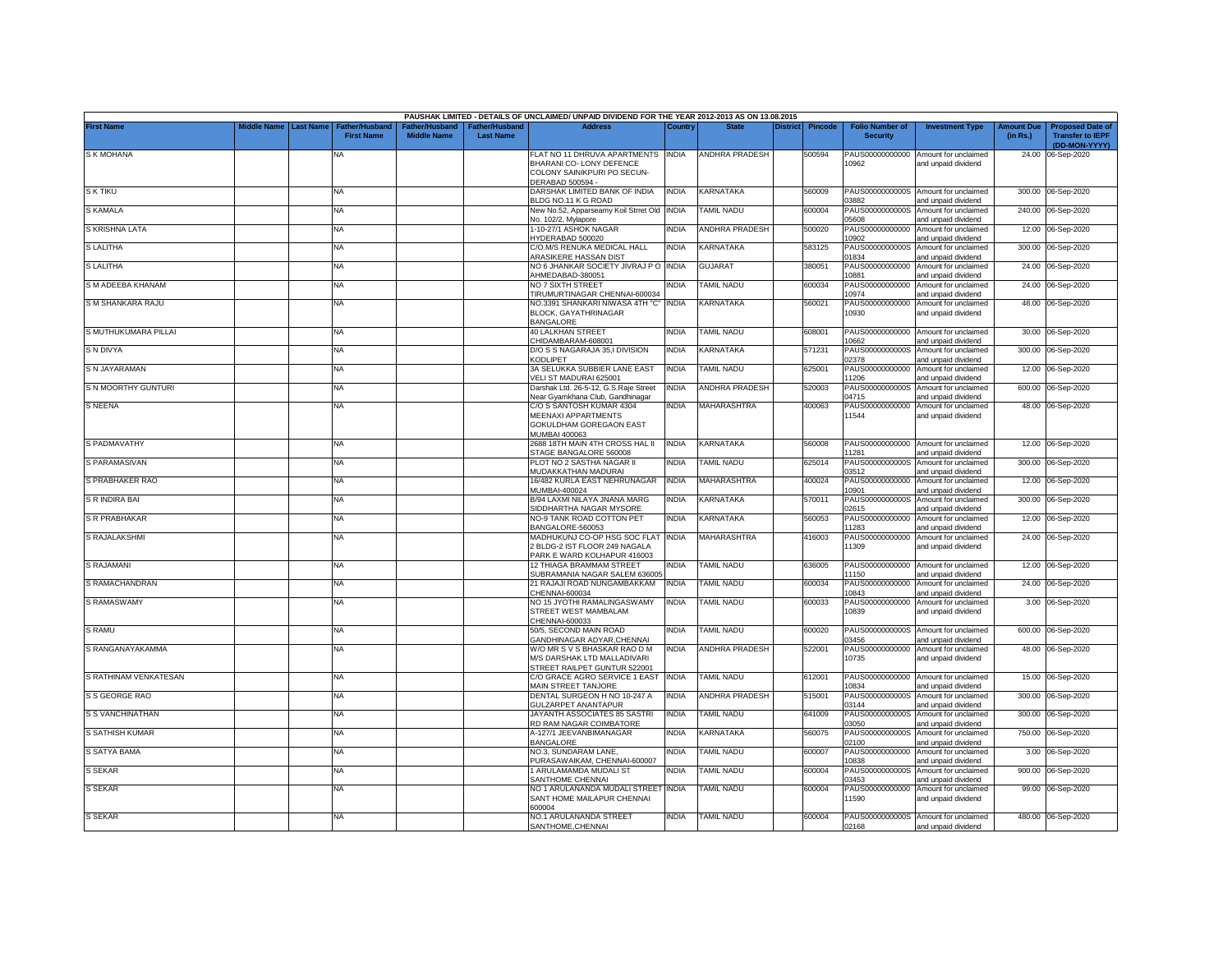|                         |                       |                                            |                    |                                   | PAUSHAK LIMITED - DETAILS OF UNCLAIMED/ UNPAID DIVIDEND FOR THE YEAR 2012-2013 AS ON 13.08.2015                  |              |                       |                 |                |                                           |                                                             |                               |                                                                     |
|-------------------------|-----------------------|--------------------------------------------|--------------------|-----------------------------------|------------------------------------------------------------------------------------------------------------------|--------------|-----------------------|-----------------|----------------|-------------------------------------------|-------------------------------------------------------------|-------------------------------|---------------------------------------------------------------------|
| <b>First Name</b>       | Middle Name Last Name | <b>Father/Husband</b><br><b>First Name</b> | <b>Middle Name</b> | ather/Husband<br><b>Last Name</b> | <b>Address</b>                                                                                                   | Country      | <b>State</b>          | <b>District</b> | <b>Pincode</b> | <b>Folio Number of</b><br><b>Security</b> | <b>Investment Type</b>                                      | <b>Amount Due</b><br>(in Rs.) | <b>Proposed Date of</b><br><b>Transfer to IEPF</b><br>(DD-MON-YYYY) |
| S K MOHANA              |                       | <b>NA</b>                                  |                    |                                   | FLAT NO 11 DHRUVA APARTMENTS INDIA<br>BHARANI CO-LONY DEFENCE<br>COLONY SAINIKPURI PO SECUN-<br>DERABAD 500594 - |              | <b>ANDHRA PRADESH</b> |                 | 500594         | PAUS00000000000<br>10962                  | Amount for unclaimed<br>and unpaid dividend                 |                               | 24.00 06-Sep-2020                                                   |
| <b>SKTIKU</b>           |                       | NA                                         |                    |                                   | DARSHAK LIMITED BANK OF INDIA<br>BLDG NO.11 K G ROAD                                                             | <b>INDIA</b> | KARNATAKA             |                 | 560009         | 03882                                     | PAUS0000000000S Amount for unclaimed<br>and unpaid dividend |                               | 300.00 06-Sep-2020                                                  |
| S KAMALA                |                       | NA                                         |                    |                                   | New No.52, Apparseamy Koil Strret Old INDIA<br>Vo. 102/2, Mylapore                                               |              | <b>TAMIL NADU</b>     |                 | 600004         | PAUS0000000000S<br>05608                  | Amount for unclaimed<br>and unpaid dividend                 |                               | 240.00 06-Sep-2020                                                  |
| S KRISHNA LATA          |                       | NA                                         |                    |                                   | 1-10-27/1 ASHOK NAGAR<br>YDERABAD 500020                                                                         | <b>INDIA</b> | <b>ANDHRA PRADESH</b> |                 | 500020         | PAUS00000000000<br>10902                  | Amount for unclaimed<br>and unpaid dividend                 | 12.00                         | 06-Sep-2020                                                         |
| S LALITHA               |                       | <b>NA</b>                                  |                    |                                   | C/O.M/S RENUKA MEDICAL HALL<br><b>ARASIKERE HASSAN DIST</b>                                                      | <b>INDIA</b> | KARNATAKA             |                 | 583125         | PAUS0000000000S<br>01834                  | Amount for unclaimed<br>and unpaid dividend                 | 300.00                        | 06-Sep-2020                                                         |
| <b>S LALITHA</b>        |                       | <b>NA</b>                                  |                    |                                   | NO 6 JHANKAR SOCIETY JIVRAJ P O INDIA<br>AHMEDABAD-380051                                                        |              | <b>GUJARAT</b>        |                 | 380051         | PAUS00000000000<br>0881                   | Amount for unclaimed<br>nd unpaid dividend                  | 24.00                         | 06-Sep-2020                                                         |
| S M ADEEBA KHANAM       |                       | NA                                         |                    |                                   | NO 7 SIXTH STREET<br>TIRUMURTINAGAR CHENNAI-600034                                                               | <b>INDIA</b> | <b>TAMIL NADU</b>     |                 | 600034         | PAUS00000000000<br>10974                  | Amount for unclaimed<br>and unpaid dividend                 | 24.00                         | 06-Sep-2020                                                         |
| S M SHANKARA RAJU       |                       | NA                                         |                    |                                   | NO.3391 SHANKARI NIWASA 4TH "C" INDIA<br>BLOCK, GAYATHRINAGAR<br><b>BANGALORE</b>                                |              | KARNATAKA             |                 | 560021         | PAUS00000000000<br>10930                  | Amount for unclaimed<br>and unpaid dividend                 |                               | 48.00 06-Sep-2020                                                   |
| S MUTHUKUMARA PILLAI    |                       | <b>NA</b>                                  |                    |                                   | <b>40 LALKHAN STREET</b><br>CHIDAMBARAM-608001                                                                   | <b>INDIA</b> | <b>TAMIL NADU</b>     |                 | 608001         | 10662                                     | PAUS00000000000 Amount for unclaimed<br>and unpaid dividend | 30.00                         | 06-Sep-2020                                                         |
| S N DIVYA               |                       | <b>NA</b>                                  |                    |                                   | D/O S S NAGARAJA 35,I DIVISION<br>KODLIPET                                                                       | <b>INDIA</b> | KARNATAKA             |                 | 571231         | PAUS0000000000S<br>02378                  | Amount for unclaimed<br>and unpaid dividend                 | 300.00                        | 06-Sep-2020                                                         |
| S N JAYARAMAN           |                       | NA                                         |                    |                                   | 3A SELUKKA SUBBIER LANE EAST<br>/ELI ST MADURAI 625001                                                           | <b>INDIA</b> | <b>TAMIL NADU</b>     |                 | 625001         | PAUS00000000000<br>11206                  | Amount for unclaimed<br>and unpaid dividend                 | 12.00                         | 06-Sep-2020                                                         |
| S N MOORTHY GUNTURI     |                       | NA                                         |                    |                                   | Darshak Ltd. 26-5-12, G.S.Raje Street<br>Near Gyamkhana Club, Gandhinagar                                        | <b>INDIA</b> | ANDHRA PRADESH        |                 | 520003         | PAUS0000000000S<br>04715                  | Amount for unclaimed<br>and unpaid dividend                 | 600.00                        | 06-Sep-2020                                                         |
| S NEENA                 |                       | NA                                         |                    |                                   | C/O S SANTOSH KUMAR 4304<br>MEENAXI APPARTMENTS<br>GOKULDHAM GOREGAON EAST<br>MUMBAI 400063                      | INDIA        | MAHARASHTRA           |                 | 400063         | PAUS00000000000<br>11544                  | Amount for unclaimed<br>and unpaid dividend                 |                               | 48.00 06-Sep-2020                                                   |
| S PADMAVATHY            |                       | <b>NA</b>                                  |                    |                                   | 2688 18TH MAIN 4TH CROSS HAL II<br>STAGE BANGALORE 560008                                                        | <b>INDIA</b> | KARNATAKA             |                 | 560008         | 1281                                      | PAUS00000000000 Amount for unclaimed<br>and unpaid dividend |                               | 12.00 06-Sep-2020                                                   |
| S PARAMASIVAN           |                       | NA                                         |                    |                                   | PLOT NO 2 SASTHA NAGAR II<br>MUDAKKATHAN MADURAI                                                                 | INDIA        | TAMIL NADU            |                 | 325014         | PAUS0000000000S<br>03512                  | Amount for unclaimed<br>and unpaid dividend                 |                               | 300.00 06-Sep-2020                                                  |
| S PRABHAKER RAO         |                       | NA                                         |                    |                                   | 16/482 KURLA EAST NEHRUNAGAR<br>MUMBAI-400024                                                                    | <b>INDIA</b> | MAHARASHTRA           |                 | 400024         | PAUS00000000000<br>10901                  | Amount for unclaimed<br>and unpaid dividend                 |                               | 12.00 06-Sep-2020                                                   |
| S R INDIRA BAI          |                       | NA                                         |                    |                                   | B/94 LAXMI NILAYA JNANA MARG<br>SIDDHARTHA NAGAR MYSORE                                                          | <b>INDIA</b> | KARNATAKA             |                 | 570011         | PAUS0000000000S<br>02615                  | Amount for unclaimed<br>and unpaid dividend                 |                               | 300.00 06-Sep-2020                                                  |
| S R PRABHAKAR           |                       | NA                                         |                    |                                   | NO-9 TANK ROAD COTTON PET<br>BANGALORE-560053                                                                    | <b>INDIA</b> | KARNATAKA             |                 | 560053         | PAUS00000000000<br>11283                  | Amount for unclaimed<br>and unpaid dividend                 |                               | 12.00 06-Sep-2020                                                   |
| S RAJALAKSHMI           |                       | <b>NA</b>                                  |                    |                                   | MADHUKUNJ CO-OP HSG SOC FLAT INDIA<br>BLDG-2 IST FLOOR 249 NAGALA<br>PARK E WARD KOLHAPUR 416003                 |              | MAHARASHTRA           |                 | 416003         | PAUS00000000000<br>11309                  | Amount for unclaimed<br>and unpaid dividend                 |                               | 24.00 06-Sep-2020                                                   |
| <b>S RAJAMANI</b>       |                       | NA                                         |                    |                                   | 12 THIAGA BRAMMAM STREET<br>SUBRAMANIA NAGAR SALEM 636005                                                        | ndia         | TAMIL NADU            |                 | 636005         | 11150                                     | PAUS00000000000 Amount for unclaimed<br>and unpaid dividend |                               | 12.00 06-Sep-2020                                                   |
| S RAMACHANDRAN          |                       | NA                                         |                    |                                   | 21 RAJAJI ROAD NUNGAMBAKKAM<br>HENNAI-600034                                                                     | <b>INDIA</b> | <b>TAMIL NADU</b>     |                 | 600034         | PAUS00000000000<br>10843                  | Amount for unclaimed<br>and unpaid dividend                 |                               | 24.00 06-Sep-2020                                                   |
| S RAMASWAMY             |                       | NA                                         |                    |                                   | NO 15 JYOTHI RAMALINGASWAMY<br>STREET WEST MAMBALAM<br>HENNAI-600033                                             | <b>INDIA</b> | TAMIL NADU            |                 | 600033         | PAUS00000000000<br>10839                  | Amount for unclaimed<br>and unpaid dividend                 |                               | 3.00 06-Sep-2020                                                    |
| <b>S RAMU</b>           |                       | <b>NA</b>                                  |                    |                                   | 50/5, SECOND MAIN ROAD<br><b>GANDHINAGAR ADYAR, CHENNAI</b>                                                      | <b>INDIA</b> | <b>TAMIL NADU</b>     |                 | 600020         | 03456                                     | PAUS0000000000S Amount for unclaimed<br>nd unpaid dividend  |                               | 600.00 06-Sep-2020                                                  |
| S RANGANAYAKAMMA        |                       | NA                                         |                    |                                   | W/O MR S V S BHASKAR RAO D M<br>M/S DARSHAK LTD MALLADIVARI<br>STREET RAILPET GUNTUR 522001                      | <b>INDIA</b> | <b>ANDHRA PRADESH</b> |                 | 522001         | PAUS00000000000<br>10735                  | Amount for unclaimed<br>and unpaid dividend                 |                               | 48.00 06-Sep-2020                                                   |
| S RATHINAM VENKATESAN   |                       | NA                                         |                    |                                   | C/O GRACE AGRO SERVICE 1 EAST<br>MAIN STREET TANJORE                                                             | <b>INDIA</b> | TAMIL NADU            |                 | 612001         | 10834                                     | PAUS00000000000 Amount for unclaimed<br>and unpaid dividend | 15.00                         | 06-Sep-2020                                                         |
| S S GEORGE RAO          |                       | NA                                         |                    |                                   | DENTAL SURGEON H NO 10-247 A<br>GULZARPET ANANTAPUR                                                              | <b>INDIA</b> | <b>ANDHRA PRADESH</b> |                 | 515001         | PAUS0000000000S<br>03144                  | Amount for unclaimed<br>and unpaid dividend                 | 300.00                        | 06-Sep-2020                                                         |
| <b>S S VANCHINATHAN</b> |                       | <b>NA</b>                                  |                    |                                   | JAYANTH ASSOCIATES 85 SASTRI<br>RD RAM NAGAR COIMBATORE                                                          | <b>INDIA</b> | TAMIL NADU            |                 | 641009         | PAUS0000000000S<br>03050                  | Amount for unclaimed<br>and unpaid dividend                 | 300.00                        | 06-Sep-2020                                                         |
| S SATHISH KUMAR         |                       | NA                                         |                    |                                   | A-127/1 JEEVANBIMANAGAR<br><b>BANGALORE</b>                                                                      | <b>INDIA</b> | KARNATAKA             |                 | 560075         | PAUS0000000000S<br>02100                  | Amount for unclaimed<br>and unpaid dividend                 | 750.00                        | 06-Sep-2020                                                         |
| <b>S SATYA BAMA</b>     |                       | NA                                         |                    |                                   | NO.3, SUNDARAM LANE,<br>PURASAWAIKAM, CHENNAI-600007                                                             | INDIA        | <b>TAMIL NADU</b>     |                 | 600007         | PAUS00000000000<br>10838                  | Amount for unclaimed<br>and unpaid dividend                 | 3.00                          | 06-Sep-2020                                                         |
| S SEKAR                 |                       | NA                                         |                    |                                   | 1 ARULAMAMDA MUDALI ST<br>SANTHOME CHENNAI                                                                       | <b>INDIA</b> | <b>TAMIL NADU</b>     |                 | 600004         | PAUS0000000000S<br>03453                  | Amount for unclaimed<br>and unpaid dividend                 | 900.00                        | 06-Sep-2020                                                         |
| S SEKAR                 |                       | <b>NA</b>                                  |                    |                                   | NO 1 ARULANANDA MUDALI STREET<br>SANT HOME MAILAPUR CHENNAI<br>600004                                            | <b>INDIA</b> | <b>TAMIL NADU</b>     |                 | 600004         | PAUS00000000000<br>11590                  | Amount for unclaimed<br>and unpaid dividend                 | 99.00                         | 06-Sep-2020                                                         |
| <b>S SEKAR</b>          |                       | <b>NA</b>                                  |                    |                                   | NO.1 ARULANANDA STREET<br>SANTHOME.CHENNAI                                                                       | <b>INDIA</b> | <b>TAMIL NADU</b>     |                 | 600004         | 02168                                     | PAUS0000000000S Amount for unclaimed<br>and unpaid dividend |                               | 480.00 06-Sep-2020                                                  |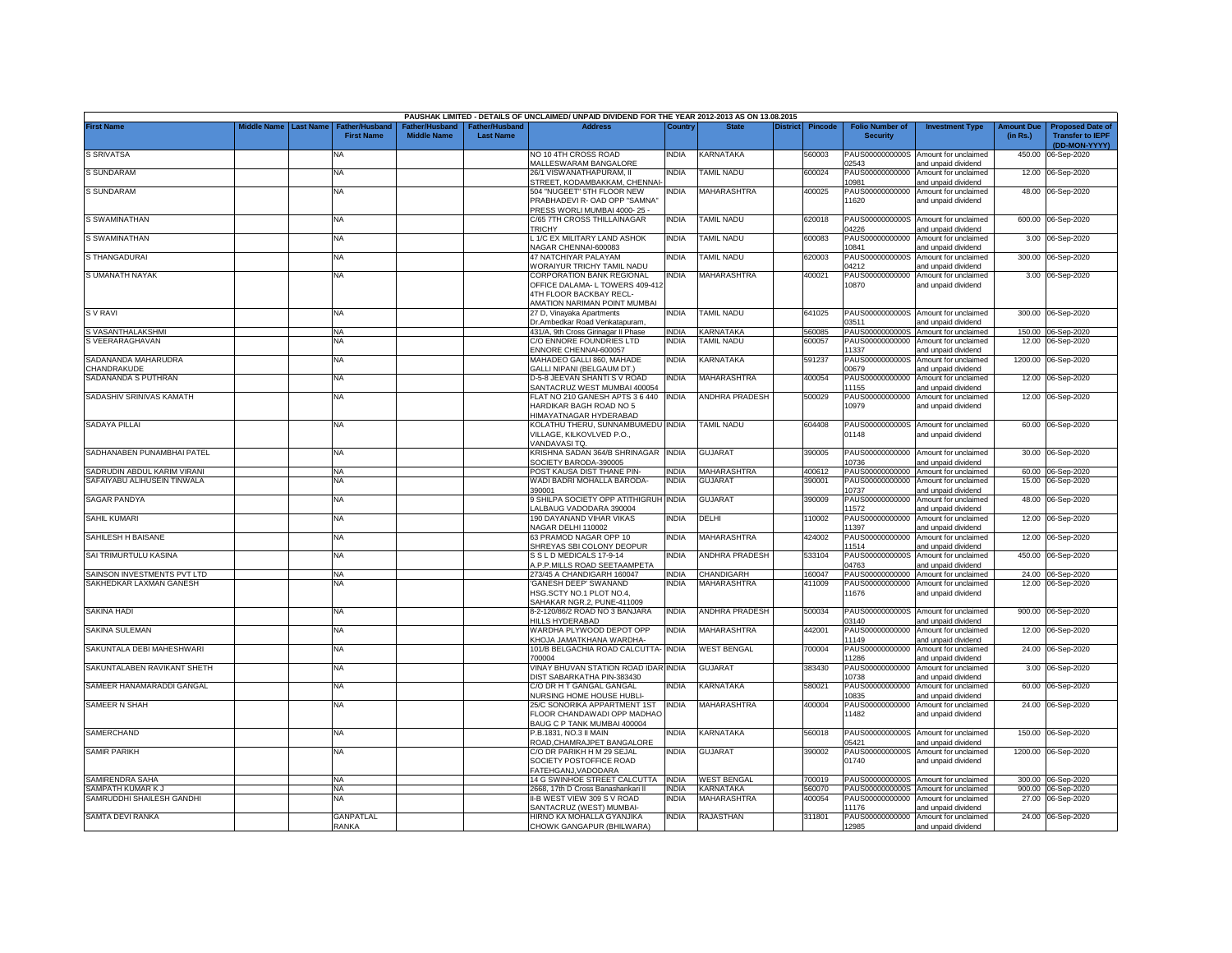|                                    |             |                  |                                            |                                                  |                                   | PAUSHAK LIMITED - DETAILS OF UNCLAIMED/ UNPAID DIVIDEND FOR THE YEAR 2012-2013 AS ON 13.08.2015                         |              |                       |                 |                |                                           |                                                             |                               |                                                                     |
|------------------------------------|-------------|------------------|--------------------------------------------|--------------------------------------------------|-----------------------------------|-------------------------------------------------------------------------------------------------------------------------|--------------|-----------------------|-----------------|----------------|-------------------------------------------|-------------------------------------------------------------|-------------------------------|---------------------------------------------------------------------|
| <b>First Name</b>                  | Middle Name | <b>Last Name</b> | <b>Father/Husband</b><br><b>First Name</b> | ather/Husband <sup>:</sup><br><b>Middle Name</b> | ather/Husbanc<br><b>Last Name</b> | Address                                                                                                                 | Country      | <b>State</b>          | <b>District</b> | <b>Pincode</b> | <b>Folio Number of</b><br><b>Security</b> | <b>Investment Type</b>                                      | <b>Amount Due</b><br>(in Rs.) | <b>Proposed Date of</b><br><b>Transfer to IEPF</b><br>(DD-MON-YYYY) |
| <b>S SRIVATSA</b>                  |             |                  | ΝA                                         |                                                  |                                   | NO 10 4TH CROSS ROAD<br>MALLESWARAM BANGALORE                                                                           | India        | KARNATAKA             |                 | 560003         | PAUS0000000000S<br>02543                  | Amount for unclaimed<br>and unpaid dividend                 | 450.00                        | 06-Sep-2020                                                         |
| <b>S SUNDARAM</b>                  |             |                  | <b>NA</b>                                  |                                                  |                                   | 26/1 VISWANATHAPURAM, II<br>STREET, KODAMBAKKAM, CHENNAI-                                                               | NDIA         | TAMIL NADU            |                 | 600024         | PAUS00000000000<br>10981                  | Amount for unclaimed<br>and unpaid dividend                 |                               | 12.00 06-Sep-2020                                                   |
| S SUNDARAM                         |             |                  | <b>NA</b>                                  |                                                  |                                   | 504 "NUGEET" 5TH FLOOR NEW<br>PRABHADEVI R- OAD OPP "SAMNA"<br>PRESS WORLI MUMBAI 4000-25 -                             | NDIA         | <b>MAHARASHTRA</b>    |                 | 400025         | PAUS00000000000<br>11620                  | Amount for unclaimed<br>and unpaid dividend                 |                               | 48.00 06-Sep-2020                                                   |
| S SWAMINATHAN                      |             |                  | <b>NA</b>                                  |                                                  |                                   | C/65 7TH CROSS THILLAINAGAR<br><b>RICHY</b>                                                                             | <b>INDIA</b> | <b>TAMIL NADU</b>     |                 | 620018         | PAUS0000000000S<br>04226                  | Amount for unclaimed<br>and unpaid dividend                 |                               | 600.00 06-Sep-2020                                                  |
| S SWAMINATHAN                      |             |                  | NA                                         |                                                  |                                   | 1/C EX MILITARY LAND ASHOK<br>JAGAR CHENNAI-600083                                                                      | India        | <b>TAMIL NADU</b>     |                 | 600083         | PAUS00000000000<br>10841                  | Amount for unclaimed<br>and unpaid dividend                 | 3.00                          | 06-Sep-2020                                                         |
| S THANGADURAI                      |             |                  | NA                                         |                                                  |                                   | 47 NATCHIYAR PALAYAM<br>VORAIYUR TRICHY TAMIL NADU                                                                      | NDIA         | <b>TAMIL NADU</b>     |                 | 620003         | PAUS0000000000S<br>14212                  | Amount for unclaimed<br>and unpaid dividend                 |                               | 300.00 06-Sep-2020                                                  |
| S UMANATH NAYAK                    |             |                  | NA                                         |                                                  |                                   | CORPORATION BANK REGIONAL<br>OFFICE DALAMA- L TOWERS 409-412<br>4TH FLOOR BACKBAY RECL-<br>AMATION NARIMAN POINT MUMBAI | INDIA        | MAHARASHTRA           |                 | 400021         | PAUS00000000000<br>10870                  | Amount for unclaimed<br>and unpaid dividend                 |                               | 3.00 06-Sep-2020                                                    |
| <b>SV RAVI</b>                     |             |                  | <b>NA</b>                                  |                                                  |                                   | 27 D, Vinayaka Apartments<br>Dr.Ambedkar Road Venkatapuram,                                                             | India        | TAMIL NADU            |                 | 641025         | 03511                                     | PAUS0000000000S Amount for unclaimed<br>and unpaid dividend |                               | 300.00 06-Sep-2020                                                  |
| S VASANTHALAKSHMI                  |             |                  | <b>NA</b>                                  |                                                  |                                   | 431/A, 9th Cross Girinagar II Phase                                                                                     | <b>INDIA</b> | KARNATAKA             |                 | 560085         | PAUS0000000000S                           | Amount for unclaimed                                        |                               | 150.00 06-Sep-2020                                                  |
| S VEERARAGHAVAN                    |             |                  | <b>NA</b>                                  |                                                  |                                   | C/O ENNORE FOUNDRIES LTD<br>ENNORE CHENNAI-600057                                                                       | India        | TAMIL NADU            |                 | 600057         | PAUS00000000000<br>11337                  | Amount for unclaimed<br>and unpaid dividend                 | 12.00                         | 06-Sep-2020                                                         |
| SADANANDA MAHARUDRA<br>CHANDRAKUDE |             |                  | <b>NA</b>                                  |                                                  |                                   | MAHADEO GALLI 860, MAHADE<br><b>GALLI NIPANI (BELGAUM DT.)</b>                                                          | INDIA        | KARNATAKA             |                 | 591237         | PAUS0000000000S<br>00679                  | Amount for unclaimed<br>and unpaid dividend                 | 1200.00                       | 06-Sep-2020                                                         |
| SADANANDA S PUTHRAN                |             |                  | <b>NA</b>                                  |                                                  |                                   | D-5-8 JEEVAN SHANTI S V ROAD<br>SANTACRUZ WEST MUMBAI 400054                                                            | india        | MAHARASHTRA           |                 | 400054         | PAUS00000000000<br>11155                  | Amount for unclaimed<br>and unpaid dividend                 | 12.00                         | 06-Sep-2020                                                         |
| SADASHIV SRINIVAS KAMATH           |             |                  | <b>NA</b>                                  |                                                  |                                   | LAT NO 210 GANESH APTS 3 6 440<br><b>HARDIKAR BAGH ROAD NO 5</b><br><b>HIMAYATNAGAR HYDERABAD</b>                       | INDIA        | <b>ANDHRA PRADESH</b> |                 | 500029         | PAUS00000000000<br>10979                  | Amount for unclaimed<br>and unpaid dividend                 | 12.00                         | 06-Sep-2020                                                         |
| <b>SADAYA PILLAI</b>               |             |                  | <b>NA</b>                                  |                                                  |                                   | KOLATHU THERU, SUNNAMBUMEDU INDIA<br>VILLAGE, KILKOVLVED P.O.,<br>VANDAVASI TQ.                                         |              | <b>TAMIL NADU</b>     |                 | 604408         | 01148                                     | PAUS0000000000S Amount for unclaimed<br>and unpaid dividend |                               | 60.00 06-Sep-2020                                                   |
| SADHANABEN PUNAMBHAI PATEL         |             |                  | <b>NA</b>                                  |                                                  |                                   | KRISHNA SADAN 364/B SHRINAGAR INDIA<br>SOCIETY BARODA-390005                                                            |              | <b>GUJARAT</b>        |                 | 390005         | 10736                                     | PAUS00000000000 Amount for unclaimed<br>and unpaid dividend |                               | 30.00 06-Sep-2020                                                   |
| SADRUDIN ABDUL KARIM VIRANI        |             |                  | <b>NA</b>                                  |                                                  |                                   | POST KAUSA DIST THANE PIN-                                                                                              | <b>INDIA</b> | <b>MAHARASHTRA</b>    |                 | 400612         | PAUS00000000000                           | Amount for unclaimed                                        |                               | 60.00 06-Sep-2020                                                   |
| SAFAIYABU ALIHUSEIN TINWALA        |             |                  | NA                                         |                                                  |                                   | WADI BADRI MOHALLA BARODA-<br>390001                                                                                    | INDIA        | <b>GUJARAT</b>        |                 | 390001         | PAUS00000000000<br>10737                  | Amount for unclaimed<br>and unpaid dividend                 |                               | 15.00 06-Sep-2020                                                   |
| <b>SAGAR PANDYA</b>                |             |                  | <b>NA</b>                                  |                                                  |                                   | <b>SHILPA SOCIETY OPP ATITHIGRUH INDIA</b><br>ALBAUG VADODARA 390004                                                    |              | <b>GUJARAT</b>        |                 | 390009         | PAUS00000000000<br>11572                  | Amount for unclaimed<br>and unpaid dividend                 |                               | 48.00 06-Sep-2020                                                   |
| <b>SAHIL KUMARI</b>                |             |                  | <b>NA</b>                                  |                                                  |                                   | 190 DAYANAND VIHAR VIKAS<br>VAGAR DELHI 110002                                                                          | <b>INDIA</b> | DELHI                 |                 | 10002          | PAUS00000000000<br>11397                  | Amount for unclaimed<br>and unpaid dividend                 |                               | 12.00 06-Sep-2020                                                   |
| SAHILESH H BAISANE                 |             |                  | <b>NA</b>                                  |                                                  |                                   | 63 PRAMOD NAGAR OPP 10<br>SHREYAS SBI COLONY DEOPUR                                                                     | india        | <b>MAHARASHTRA</b>    |                 | 424002         | PAUS00000000000<br>11514                  | Amount for unclaimed<br>and unpaid dividend                 |                               | 12.00 06-Sep-2020                                                   |
| SAI TRIMURTULU KASINA              |             |                  | <b>NA</b>                                  |                                                  |                                   | S S L D MEDICALS 17-9-14<br><b>.P.P.MILLS ROAD SEETAAMPETA</b>                                                          | NDIA         | <b>ANDHRA PRADESH</b> |                 | 533104         | PAUS0000000000S<br>04763                  | Amount for unclaimed<br>and unpaid dividend                 |                               | 450.00 06-Sep-2020                                                  |
| SAINSON INVESTMENTS PVT LTD        |             |                  | <b>NA</b>                                  |                                                  |                                   | 273/45 A CHANDIGARH 160047                                                                                              | <b>INDIA</b> | CHANDIGARH            |                 | 160047         | PAUS00000000000                           | Amount for unclaimed                                        |                               | 24.00 06-Sep-2020                                                   |
| SAKHEDKAR LAXMAN GANESH            |             |                  | NA                                         |                                                  |                                   | GANESH DEEP' SWANAND<br>ISG.SCTY NO.1 PLOT NO.4,<br>SAHAKAR NGR.2, PUNE-411009                                          | NDIA         | MAHARASHTRA           |                 | 111009         | PAUS00000000000<br>11676                  | Amount for unclaimed<br>and unpaid dividend                 |                               | 12.00 06-Sep-2020                                                   |
| SAKINA HADI                        |             |                  | <b>NA</b>                                  |                                                  |                                   | 8-2-120/86/2 ROAD NO 3 BANJARA<br><b>HILLS HYDERABAD</b>                                                                | INDIA        | ANDHRA PRADESH        |                 | 500034         | 03140                                     | PAUS0000000000S Amount for unclaimed<br>and unpaid dividend | 900.00                        | 06-Sep-2020                                                         |
| SAKINA SULEMAN                     |             |                  | <b>NA</b>                                  |                                                  |                                   | WARDHA PLYWOOD DEPOT OPP<br><b>CHOJA JAMATKHANA WARDHA-</b>                                                             | india        | MAHARASHTRA           |                 | 442001         | PAUS00000000000<br>11149                  | Amount for unclaimed<br>and unpaid dividend                 | 12.00                         | 06-Sep-2020                                                         |
| SAKUNTALA DEBI MAHESHWARI          |             |                  | <b>NA</b>                                  |                                                  |                                   | 101/B BELGACHIA ROAD CALCUTTA-<br>700004                                                                                | <b>INDIA</b> | <b>WEST BENGAL</b>    |                 | 700004         | PAUS00000000000<br>11286                  | Amount for unclaimed<br>and unpaid dividend                 | 24.00                         | 06-Sep-2020                                                         |
| SAKUNTALABEN RAVIKANT SHETH        |             |                  | <b>NA</b>                                  |                                                  |                                   | <b>INAY BHUVAN STATION ROAD IDAR INDIA</b><br><b>DIST SABARKATHA PIN-383430</b>                                         |              | <b>GUJARAT</b>        |                 | 383430         | PAUS00000000000<br>10738                  | Amount for unclaimed<br>and unpaid dividend                 | 3.00                          | 06-Sep-2020                                                         |
| SAMEER HANAMARADDI GANGAL          |             |                  | <b>NA</b>                                  |                                                  |                                   | C/O DR H T GANGAL GANGAL<br>NURSING HOME HOUSE HUBLI-                                                                   | INDIA        | KARNATAKA             |                 | 580021         | PAUS00000000000<br>10835                  | Amount for unclaimed<br>and unpaid dividend                 | 60.00                         | 06-Sep-2020                                                         |
| SAMEER N SHAH                      |             |                  | <b>NA</b>                                  |                                                  |                                   | 25/C SONORIKA APPARTMENT 1ST<br>FLOOR CHANDAWADI OPP MADHAO<br>BAUG C P TANK MUMBAI 400004                              | INDIA        | MAHARASHTRA           |                 | 400004         | PAUS00000000000<br>11482                  | Amount for unclaimed<br>and unpaid dividend                 | 24.00                         | 06-Sep-2020                                                         |
| SAMERCHAND                         |             |                  | NA                                         |                                                  |                                   | P.B.1831, NO.3 II MAIN<br>ROAD.CHAMRAJPET BANGALORE                                                                     | NDIA         | <b>KARNATAKA</b>      |                 | 560018         | PAUS0000000000S<br>05421                  | Amount for unclaimed<br>and unpaid dividend                 | 150.00                        | 06-Sep-2020                                                         |
| <b>SAMIR PARIKH</b>                |             |                  | NA                                         |                                                  |                                   | C/O DR PARIKH H M 29 SEJAL<br>SOCIETY POSTOFFICE ROAD<br>FATEHGANJ, VADODARA                                            | ndia         | <b>GUJARAT</b>        |                 | 390002         | PAUS0000000000S<br>01740                  | Amount for unclaimed<br>and unpaid dividend                 |                               | 1200.00 06-Sep-2020                                                 |
| SAMIRENDRA SAHA                    |             |                  | <b>NA</b>                                  |                                                  |                                   | 14 G SWINHOE STREET CALCUTTA INDIA                                                                                      |              | <b>WEST BENGAL</b>    |                 | 700019         |                                           | PAUS0000000000S Amount for unclaimed                        |                               | 300.00 06-Sep-2020                                                  |
| SAMPATH KUMAR K J                  |             |                  | <b>NA</b>                                  |                                                  |                                   | 2668, 17th D Cross Banashankari II                                                                                      | <b>INDIA</b> | KARNATAKA             |                 | 560070         |                                           | PAUS0000000000S Amount for unclaimed                        |                               | 900.00 06-Sep-2020                                                  |
| SAMRUDDHI SHAILESH GANDHI          |             |                  | NA                                         |                                                  |                                   | II-B WEST VIEW 309 S V ROAD                                                                                             | NDIA         | MAHARASHTRA           |                 | 400054         | PAUS00000000000                           | Amount for unclaimed                                        |                               | 27.00 06-Sep-2020                                                   |
| SAMTA DEVI RANKA                   |             |                  | <b>GANPATLAL</b>                           |                                                  |                                   | SANTACRUZ (WEST) MUMBAI-<br>HIRNO KA MOHALLA GYANJIKA                                                                   | <b>INDIA</b> | RAJASTHAN             |                 | 311801         | 11176<br>PAUS00000000000                  | and unpaid dividend<br>Amount for unclaimed                 |                               | 24.00 06-Sep-2020                                                   |
|                                    |             |                  | <b>RANKA</b>                               |                                                  |                                   | CHOWK GANGAPUR (BHILWARA)                                                                                               |              |                       |                 |                | 12985                                     | and unpaid dividend                                         |                               |                                                                     |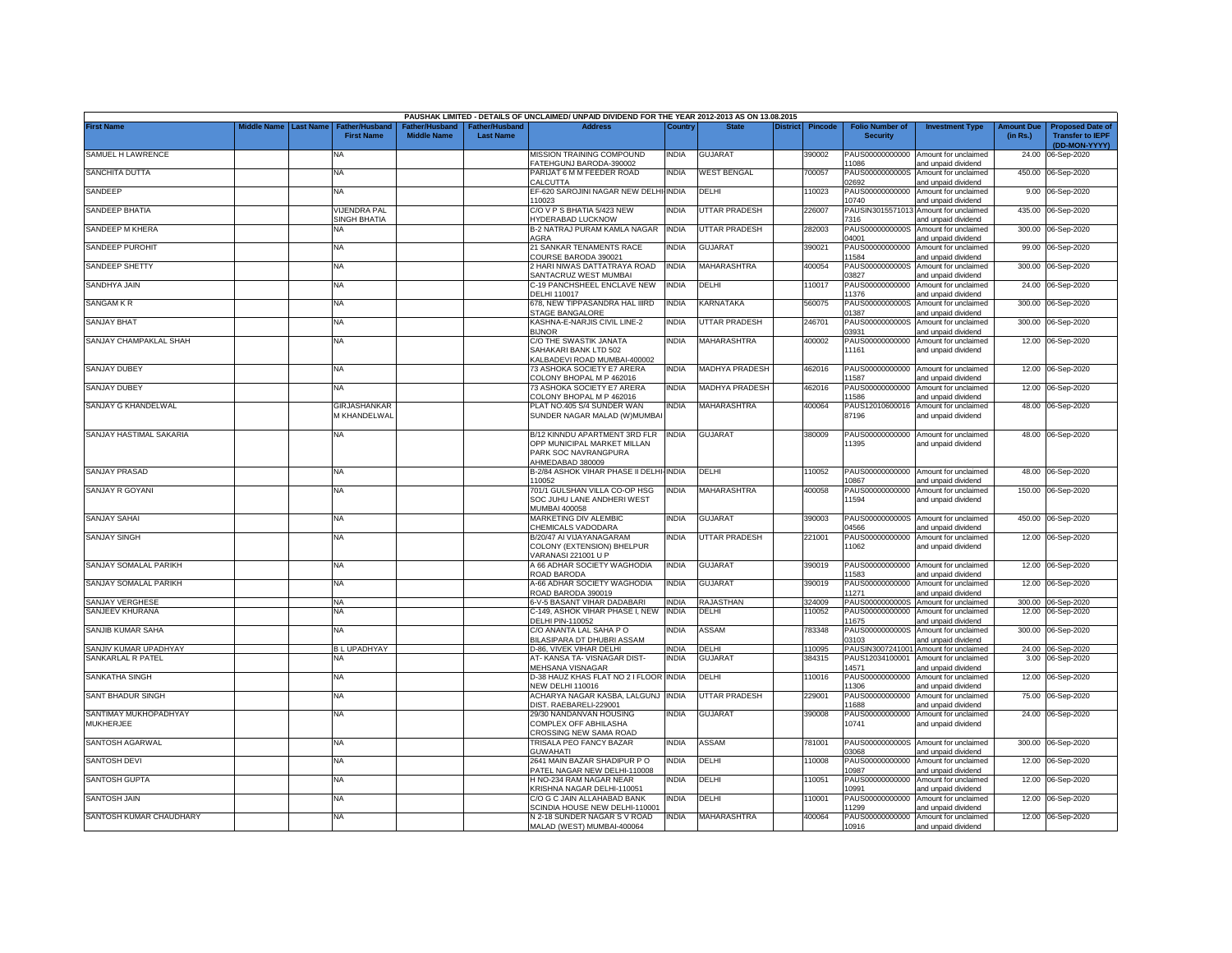| Middle Name   Last Name<br>Father/Husband<br><b>Address</b><br>Country<br><b>State</b><br><b>Transfer to IEPF</b><br><b>First Name</b><br><b>Middle Name</b><br><b>Last Name</b><br><b>Security</b><br>(in Rs.)<br>(DD-MON-YYYY)<br>MISSION TRAINING COMPOUND<br><b>INDIA</b><br>PAUS00000000000 Amount for unclaimed<br>SAMUEL H LAWRENCE<br><b>NA</b><br><b>GUJARAT</b><br>390002<br>24.00<br>06-Sep-2020<br>FATEHGUNJ BARODA-390002<br>1086<br>and unpaid dividend<br>PARIJAT 6 M M FEEDER ROAD<br>India<br>WEST BENGAL<br><b>NA</b><br>700057<br>PAUS0000000000S<br>Amount for unclaimed<br>450.00 06-Sep-2020<br>CALCUTTA<br>02692<br>and unpaid dividend<br>EF-620 SAROJINI NAGAR NEW DELHI-INDIA<br>DELHI<br>110023<br>PAUS00000000000<br>Amount for unclaimed<br>9.00 06-Sep-2020<br><b>NA</b><br>10023<br>10740<br>and unpaid dividend<br>SANDEEP BHATIA<br>VIJENDRA PAL<br><b>INDIA</b><br><b>UTTAR PRADESH</b><br>C/O V P S BHATIA 5/423 NEW<br>226007<br>PAUSIN3015571013<br>Amount for unclaimed<br>435.00 06-Sep-2020<br>SINGH BHATIA<br>HYDERABAD LUCKNOW<br>7316<br>and unpaid dividend<br>B-2 NATRAJ PURAM KAMLA NAGAR<br>SANDEEP M KHERA<br><b>INDIA</b><br><b>UTTAR PRADESH</b><br>300.00 06-Sep-2020<br>282003<br>PAUS0000000000S<br>Amount for unclaimed<br>NA<br>14001<br>AGRA<br>and unpaid dividend<br>SANDEEP PUROHIT<br><b>NA</b><br>21 SANKAR TENAMENTS RACE<br><b>INDIA</b><br><b>GUJARAT</b><br>390021<br>PAUS00000000000<br>Amount for unclaimed<br>99.00<br>06-Sep-2020<br>1584<br>COURSE BARODA 390021<br>and unpaid dividend<br>2 HARI NIWAS DATTATRAYA ROAD<br><b>INDIA</b><br>MAHARASHTRA<br><b>NA</b><br>400054<br>PAUS0000000000S<br>Amount for unclaimed<br>300.00 06-Sep-2020<br>SANTACRUZ WEST MUMBAI<br>3827<br>and unpaid dividend<br>C-19 PANCHSHEEL ENCLAVE NEW<br><b>INDIA</b><br>DELHI<br>110017<br>PAUS00000000000<br>Amount for unclaimed<br>24.00<br>06-Sep-2020<br><b>NA</b><br>DELHI 110017<br>11376<br>and unpaid dividend<br><b>KARNATAKA</b><br>678, NEW TIPPASANDRA HAL IIIRD<br><b>INDIA</b><br>560075<br>PAUS0000000000S<br>300.00<br>06-Sep-2020<br>NA<br>Amount for unclaimed<br>STAGE BANGALORE<br>01387<br>and unpaid dividend<br><b>UTTAR PRADESH</b><br><b>NA</b><br>KASHNA-E-NARJIS CIVIL LINE-2<br><b>INDIA</b><br>246701<br>PAUS0000000000S<br>300.00<br>06-Sep-2020<br>Amount for unclaimed<br><b>BIJNOR</b><br>03931<br>and unpaid dividend<br><b>NA</b><br>C/O THE SWASTIK JANATA<br><b>INDIA</b><br>MAHARASHTRA<br>400002<br>PAUS00000000000<br>Amount for unclaimed<br>12.00<br>06-Sep-2020<br>SAHAKARI BANK LTD 502<br>11161<br>and unpaid dividend<br>KALBADEVI ROAD MUMBAI-400002<br><b>NA</b><br>73 ASHOKA SOCIETY E7 ARERA<br><b>INDIA</b><br><b>MADHYA PRADESH</b><br>462016<br>PAUS00000000000 Amount for unclaimed<br>12.00<br>06-Sep-2020<br>11587<br>COLONY BHOPAL M P 462016<br>and unpaid dividend<br>73 ASHOKA SOCIETY E7 ARERA<br><b>INDIA</b><br><b>MADHYA PRADESH</b><br>462016<br>PAUS00000000000<br>06-Sep-2020<br><b>NA</b><br>Amount for unclaimed<br>12.00<br>11586<br>COLONY BHOPAL M P 462016<br>and unpaid dividend<br><b>INDIA</b><br>GIRJASHANKAR<br>PLAT NO.405 S/4 SUNDER WAN<br>MAHARASHTRA<br>400064<br>PAUS12010600016<br>Amount for unclaimed<br>48.00 06-Sep-2020<br>M KHANDELWAL<br>SUNDER NAGAR MALAD (W)MUMBAI<br>87196<br>and unpaid dividend<br>B/12 KINNDU APARTMENT 3RD FLR INDIA<br>380009<br>48.00 06-Sep-2020<br>NA<br><b>GUJARAT</b><br>PAUS00000000000 Amount for unclaimed<br>OPP MUNICIPAL MARKET MILLAN<br>11395<br>and unpaid dividend<br>PARK SOC NAVRANGPURA<br>AHMEDABAD 380009<br>B-2/84 ASHOK VIHAR PHASE II DELHI-INDIA<br>110052<br>48.00 06-Sep-2020<br><b>NA</b><br>DELHI<br>PAUS00000000000 Amount for unclaimed<br>10867<br>110052<br>and unpaid dividend<br><b>INDIA</b><br>MAHARASHTRA<br>701/1 GULSHAN VILLA CO-OP HSG<br>400058<br>PAUS00000000000 Amount for unclaimed<br>150.00 06-Sep-2020<br><b>NA</b><br>SOC JUHU LANE ANDHERI WEST<br>11594<br>and unpaid dividend<br>MUMBAI 400058<br><b>INDIA</b><br><b>NA</b><br>MARKETING DIV ALEMBIC<br><b>GUJARAT</b><br>390003<br>PAUS0000000000S<br>Amount for unclaimed<br>450.00 06-Sep-2020<br>CHEMICALS VADODARA<br>14566<br>and unpaid dividend<br>B/20/47 AI VIJAYANAGARAM<br>INDIA<br><b>UTTAR PRADESH</b><br>221001<br>PAUS00000000000<br>Amount for unclaimed<br>12.00 06-Sep-2020<br><b>NA</b><br>COLONY (EXTENSION) BHELPUR<br>11062<br>and unpaid dividend<br>VARANASI 221001 U P<br>SANJAY SOMALAL PARIKH<br>A 66 ADHAR SOCIETY WAGHODIA<br><b>INDIA</b><br>390019<br>PAUS00000000000 Amount for unclaimed<br><b>NA</b><br>GUJARAT<br>12.00 06-Sep-2020<br>ROAD BARODA<br>11583<br>and unpaid dividend<br>SANJAY SOMALAL PARIKH<br><b>A-66 ADHAR SOCIETY WAGHODIA</b><br><b>GUJARAT</b><br><b>INDIA</b><br>390019<br>PAUS00000000000<br>Amount for unclaimed<br>12.00 06-Sep-2020<br>NA<br>ROAD BARODA 390019<br>1271<br>and unpaid dividend<br>6-V-5 BASANT VIHAR DADABARI<br>RAJASTHAN<br>SANJAY VERGHESE<br><b>NA</b><br><b>INDIA</b><br>324009<br>PAUS0000000000S<br>Amount for unclaimed<br>300.00 06-Sep-2020<br>SANJEEV KHURANA<br>NA<br>C-149, ASHOK VIHAR PHASE I, NEW<br><b>INDIA</b><br>DELHI<br>10052<br>PAUS00000000000<br>Amount for unclaimed<br>12.00<br>06-Sep-2020<br><b>DELHI PIN-110052</b><br>1675<br>and unpaid dividend<br><b>NA</b><br>C/O ANANTA LAL SAHA PO<br><b>INDIA</b><br><b>ASSAM</b><br>783348<br>PAUS0000000000S<br>Amount for unclaimed<br>300.00 06-Sep-2020<br>BILASIPARA DT DHUBRI ASSAM<br>03103<br>ind unpaid dividend<br><b>BLUPADHYAY</b><br><b>INDIA</b><br>DELHI<br>110095<br>PAUSIN3007241001<br>24.00 06-Sep-2020<br>D-86, VIVEK VIHAR DELHI<br>Amount for unclaimed<br>SANKARLAL R PATEL<br>AT-KANSA TA-VISNAGAR DIST-<br><b>INDIA</b><br><b>GUJARAT</b><br>384315<br>PAUS12034100001<br><b>NA</b><br>Amount for unclaimed<br>3.00<br>06-Sep-2020<br>MEHSANA VISNAGAR<br>14571<br>and unpaid dividend<br>NA<br>D-38 HAUZ KHAS FLAT NO 2 I FLOOR INDIA<br>DELHI<br>110016<br>PAUS00000000000<br>12.00 06-Sep-2020<br>Amount for unclaimed<br><b>NEW DELHI 110016</b><br>11306<br>and unpaid dividend<br>UTTAR PRADESH<br><b>NA</b><br>ACHARYA NAGAR KASBA, LALGUNJ<br><b>INDIA</b><br>229001<br>PAUS00000000000<br>Amount for unclaimed<br>75.00<br>06-Sep-2020<br>DIST. RAEBARELI-229001<br>11688<br>and unpaid dividend<br><b>NA</b><br>29/30 NANDANVAN HOUSING<br>INDIA<br><b>GUJARAT</b><br>390008<br>PAUS00000000000<br>Amount for unclaimed<br>24.00<br>06-Sep-2020<br>10741<br>MUKHERJEE<br>COMPLEX OFF ABHILASHA<br>and unpaid dividend<br>CROSSING NEW SAMA ROAD<br><b>INDIA</b><br>781001<br>NA<br>TRISALA PEO FANCY BAZAR<br>ASSAM<br>PAUS0000000000S Amount for unclaimed<br>300.00 06-Sep-2020<br><b>GUWAHATI</b><br>03068<br>and unpaid dividend<br>2641 MAIN BAZAR SHADIPUR P O<br><b>INDIA</b><br>110008<br>Amount for unclaimed<br>DELHI<br>PAUS00000000000<br>12.00<br>06-Sep-2020<br><b>NA</b><br>PATEL NAGAR NEW DELHI-110008<br>10987<br>and unpaid dividend<br>India<br>110051<br><b>NA</b><br>H NO-234 RAM NAGAR NEAR<br>DELHI<br>PAUS00000000000<br>Amount for unclaimed<br>12.00 06-Sep-2020<br>KRISHNA NAGAR DELHI-110051<br>10991<br>and unpaid dividend<br>12.00 06-Sep-2020 |                          |  |                       |               | PAUSHAK LIMITED - DETAILS OF UNCLAIMED/ UNPAID DIVIDEND FOR THE YEAR 2012-2013 AS ON 13.08.2015 |              |       |                 |                |                        |                        |                   |                         |
|----------------------------------------------------------------------------------------------------------------------------------------------------------------------------------------------------------------------------------------------------------------------------------------------------------------------------------------------------------------------------------------------------------------------------------------------------------------------------------------------------------------------------------------------------------------------------------------------------------------------------------------------------------------------------------------------------------------------------------------------------------------------------------------------------------------------------------------------------------------------------------------------------------------------------------------------------------------------------------------------------------------------------------------------------------------------------------------------------------------------------------------------------------------------------------------------------------------------------------------------------------------------------------------------------------------------------------------------------------------------------------------------------------------------------------------------------------------------------------------------------------------------------------------------------------------------------------------------------------------------------------------------------------------------------------------------------------------------------------------------------------------------------------------------------------------------------------------------------------------------------------------------------------------------------------------------------------------------------------------------------------------------------------------------------------------------------------------------------------------------------------------------------------------------------------------------------------------------------------------------------------------------------------------------------------------------------------------------------------------------------------------------------------------------------------------------------------------------------------------------------------------------------------------------------------------------------------------------------------------------------------------------------------------------------------------------------------------------------------------------------------------------------------------------------------------------------------------------------------------------------------------------------------------------------------------------------------------------------------------------------------------------------------------------------------------------------------------------------------------------------------------------------------------------------------------------------------------------------------------------------------------------------------------------------------------------------------------------------------------------------------------------------------------------------------------------------------------------------------------------------------------------------------------------------------------------------------------------------------------------------------------------------------------------------------------------------------------------------------------------------------------------------------------------------------------------------------------------------------------------------------------------------------------------------------------------------------------------------------------------------------------------------------------------------------------------------------------------------------------------------------------------------------------------------------------------------------------------------------------------------------------------------------------------------------------------------------------------------------------------------------------------------------------------------------------------------------------------------------------------------------------------------------------------------------------------------------------------------------------------------------------------------------------------------------------------------------------------------------------------------------------------------------------------------------------------------------------------------------------------------------------------------------------------------------------------------------------------------------------------------------------------------------------------------------------------------------------------------------------------------------------------------------------------------------------------------------------------------------------------------------------------------------------------------------------------------------------------------------------------------------------------------------------------------------------------------------------------------------------------------------------------------------------------------------------------------------------------------------------------------------------------------------------------------------------------------------------------------------------------------------------------------------------------------------------------------------------------------------------------------------------------------------------------------------------------------------------------------------------------------------------------------------------------------------------------------------------------------------------------------------------------------------------------------------------------------------------------------------------------------------------------------------------------------------------------------------------------------------------------------------------------------------------------------------------------------------------------------------------------------------------------------------------------------------------------------------------------------------------------------------------------------------------------------------------------------------------------------------------------------------------------------------------------------------------------------------------------------------------------------------------------------------------------------------------------------------------------------------------------------------------------------------------------------------------------------------------------------------------------------------------------------------------------------------------------------------------------------------------------------------|--------------------------|--|-----------------------|---------------|-------------------------------------------------------------------------------------------------|--------------|-------|-----------------|----------------|------------------------|------------------------|-------------------|-------------------------|
|                                                                                                                                                                                                                                                                                                                                                                                                                                                                                                                                                                                                                                                                                                                                                                                                                                                                                                                                                                                                                                                                                                                                                                                                                                                                                                                                                                                                                                                                                                                                                                                                                                                                                                                                                                                                                                                                                                                                                                                                                                                                                                                                                                                                                                                                                                                                                                                                                                                                                                                                                                                                                                                                                                                                                                                                                                                                                                                                                                                                                                                                                                                                                                                                                                                                                                                                                                                                                                                                                                                                                                                                                                                                                                                                                                                                                                                                                                                                                                                                                                                                                                                                                                                                                                                                                                                                                                                                                                                                                                                                                                                                                                                                                                                                                                                                                                                                                                                                                                                                                                                                                                                                                                                                                                                                                                                                                                                                                                                                                                                                                                                                                                                                                                                                                                                                                                                                                                                                                                                                                                                                                                                                                                                                                                                                                                                                                                                                                                                                                                                                                                                                                                                                                                                                                                                                                                                                                                                                                                                                                                                                                                                                                                                                                                                          | <b>First Name</b>        |  | <b>Father/Husband</b> | ather/Husband |                                                                                                 |              |       | <b>District</b> | <b>Pincode</b> | <b>Folio Number of</b> | <b>Investment Type</b> | <b>Amount Due</b> | <b>Proposed Date of</b> |
|                                                                                                                                                                                                                                                                                                                                                                                                                                                                                                                                                                                                                                                                                                                                                                                                                                                                                                                                                                                                                                                                                                                                                                                                                                                                                                                                                                                                                                                                                                                                                                                                                                                                                                                                                                                                                                                                                                                                                                                                                                                                                                                                                                                                                                                                                                                                                                                                                                                                                                                                                                                                                                                                                                                                                                                                                                                                                                                                                                                                                                                                                                                                                                                                                                                                                                                                                                                                                                                                                                                                                                                                                                                                                                                                                                                                                                                                                                                                                                                                                                                                                                                                                                                                                                                                                                                                                                                                                                                                                                                                                                                                                                                                                                                                                                                                                                                                                                                                                                                                                                                                                                                                                                                                                                                                                                                                                                                                                                                                                                                                                                                                                                                                                                                                                                                                                                                                                                                                                                                                                                                                                                                                                                                                                                                                                                                                                                                                                                                                                                                                                                                                                                                                                                                                                                                                                                                                                                                                                                                                                                                                                                                                                                                                                                                          |                          |  |                       |               |                                                                                                 |              |       |                 |                |                        |                        |                   |                         |
|                                                                                                                                                                                                                                                                                                                                                                                                                                                                                                                                                                                                                                                                                                                                                                                                                                                                                                                                                                                                                                                                                                                                                                                                                                                                                                                                                                                                                                                                                                                                                                                                                                                                                                                                                                                                                                                                                                                                                                                                                                                                                                                                                                                                                                                                                                                                                                                                                                                                                                                                                                                                                                                                                                                                                                                                                                                                                                                                                                                                                                                                                                                                                                                                                                                                                                                                                                                                                                                                                                                                                                                                                                                                                                                                                                                                                                                                                                                                                                                                                                                                                                                                                                                                                                                                                                                                                                                                                                                                                                                                                                                                                                                                                                                                                                                                                                                                                                                                                                                                                                                                                                                                                                                                                                                                                                                                                                                                                                                                                                                                                                                                                                                                                                                                                                                                                                                                                                                                                                                                                                                                                                                                                                                                                                                                                                                                                                                                                                                                                                                                                                                                                                                                                                                                                                                                                                                                                                                                                                                                                                                                                                                                                                                                                                                          | SANCHITA DUTTA           |  |                       |               |                                                                                                 |              |       |                 |                |                        |                        |                   |                         |
|                                                                                                                                                                                                                                                                                                                                                                                                                                                                                                                                                                                                                                                                                                                                                                                                                                                                                                                                                                                                                                                                                                                                                                                                                                                                                                                                                                                                                                                                                                                                                                                                                                                                                                                                                                                                                                                                                                                                                                                                                                                                                                                                                                                                                                                                                                                                                                                                                                                                                                                                                                                                                                                                                                                                                                                                                                                                                                                                                                                                                                                                                                                                                                                                                                                                                                                                                                                                                                                                                                                                                                                                                                                                                                                                                                                                                                                                                                                                                                                                                                                                                                                                                                                                                                                                                                                                                                                                                                                                                                                                                                                                                                                                                                                                                                                                                                                                                                                                                                                                                                                                                                                                                                                                                                                                                                                                                                                                                                                                                                                                                                                                                                                                                                                                                                                                                                                                                                                                                                                                                                                                                                                                                                                                                                                                                                                                                                                                                                                                                                                                                                                                                                                                                                                                                                                                                                                                                                                                                                                                                                                                                                                                                                                                                                                          | SANDEEP                  |  |                       |               |                                                                                                 |              |       |                 |                |                        |                        |                   |                         |
|                                                                                                                                                                                                                                                                                                                                                                                                                                                                                                                                                                                                                                                                                                                                                                                                                                                                                                                                                                                                                                                                                                                                                                                                                                                                                                                                                                                                                                                                                                                                                                                                                                                                                                                                                                                                                                                                                                                                                                                                                                                                                                                                                                                                                                                                                                                                                                                                                                                                                                                                                                                                                                                                                                                                                                                                                                                                                                                                                                                                                                                                                                                                                                                                                                                                                                                                                                                                                                                                                                                                                                                                                                                                                                                                                                                                                                                                                                                                                                                                                                                                                                                                                                                                                                                                                                                                                                                                                                                                                                                                                                                                                                                                                                                                                                                                                                                                                                                                                                                                                                                                                                                                                                                                                                                                                                                                                                                                                                                                                                                                                                                                                                                                                                                                                                                                                                                                                                                                                                                                                                                                                                                                                                                                                                                                                                                                                                                                                                                                                                                                                                                                                                                                                                                                                                                                                                                                                                                                                                                                                                                                                                                                                                                                                                                          |                          |  |                       |               |                                                                                                 |              |       |                 |                |                        |                        |                   |                         |
|                                                                                                                                                                                                                                                                                                                                                                                                                                                                                                                                                                                                                                                                                                                                                                                                                                                                                                                                                                                                                                                                                                                                                                                                                                                                                                                                                                                                                                                                                                                                                                                                                                                                                                                                                                                                                                                                                                                                                                                                                                                                                                                                                                                                                                                                                                                                                                                                                                                                                                                                                                                                                                                                                                                                                                                                                                                                                                                                                                                                                                                                                                                                                                                                                                                                                                                                                                                                                                                                                                                                                                                                                                                                                                                                                                                                                                                                                                                                                                                                                                                                                                                                                                                                                                                                                                                                                                                                                                                                                                                                                                                                                                                                                                                                                                                                                                                                                                                                                                                                                                                                                                                                                                                                                                                                                                                                                                                                                                                                                                                                                                                                                                                                                                                                                                                                                                                                                                                                                                                                                                                                                                                                                                                                                                                                                                                                                                                                                                                                                                                                                                                                                                                                                                                                                                                                                                                                                                                                                                                                                                                                                                                                                                                                                                                          |                          |  |                       |               |                                                                                                 |              |       |                 |                |                        |                        |                   |                         |
|                                                                                                                                                                                                                                                                                                                                                                                                                                                                                                                                                                                                                                                                                                                                                                                                                                                                                                                                                                                                                                                                                                                                                                                                                                                                                                                                                                                                                                                                                                                                                                                                                                                                                                                                                                                                                                                                                                                                                                                                                                                                                                                                                                                                                                                                                                                                                                                                                                                                                                                                                                                                                                                                                                                                                                                                                                                                                                                                                                                                                                                                                                                                                                                                                                                                                                                                                                                                                                                                                                                                                                                                                                                                                                                                                                                                                                                                                                                                                                                                                                                                                                                                                                                                                                                                                                                                                                                                                                                                                                                                                                                                                                                                                                                                                                                                                                                                                                                                                                                                                                                                                                                                                                                                                                                                                                                                                                                                                                                                                                                                                                                                                                                                                                                                                                                                                                                                                                                                                                                                                                                                                                                                                                                                                                                                                                                                                                                                                                                                                                                                                                                                                                                                                                                                                                                                                                                                                                                                                                                                                                                                                                                                                                                                                                                          |                          |  |                       |               |                                                                                                 |              |       |                 |                |                        |                        |                   |                         |
|                                                                                                                                                                                                                                                                                                                                                                                                                                                                                                                                                                                                                                                                                                                                                                                                                                                                                                                                                                                                                                                                                                                                                                                                                                                                                                                                                                                                                                                                                                                                                                                                                                                                                                                                                                                                                                                                                                                                                                                                                                                                                                                                                                                                                                                                                                                                                                                                                                                                                                                                                                                                                                                                                                                                                                                                                                                                                                                                                                                                                                                                                                                                                                                                                                                                                                                                                                                                                                                                                                                                                                                                                                                                                                                                                                                                                                                                                                                                                                                                                                                                                                                                                                                                                                                                                                                                                                                                                                                                                                                                                                                                                                                                                                                                                                                                                                                                                                                                                                                                                                                                                                                                                                                                                                                                                                                                                                                                                                                                                                                                                                                                                                                                                                                                                                                                                                                                                                                                                                                                                                                                                                                                                                                                                                                                                                                                                                                                                                                                                                                                                                                                                                                                                                                                                                                                                                                                                                                                                                                                                                                                                                                                                                                                                                                          | SANDEEP SHETTY           |  |                       |               |                                                                                                 |              |       |                 |                |                        |                        |                   |                         |
|                                                                                                                                                                                                                                                                                                                                                                                                                                                                                                                                                                                                                                                                                                                                                                                                                                                                                                                                                                                                                                                                                                                                                                                                                                                                                                                                                                                                                                                                                                                                                                                                                                                                                                                                                                                                                                                                                                                                                                                                                                                                                                                                                                                                                                                                                                                                                                                                                                                                                                                                                                                                                                                                                                                                                                                                                                                                                                                                                                                                                                                                                                                                                                                                                                                                                                                                                                                                                                                                                                                                                                                                                                                                                                                                                                                                                                                                                                                                                                                                                                                                                                                                                                                                                                                                                                                                                                                                                                                                                                                                                                                                                                                                                                                                                                                                                                                                                                                                                                                                                                                                                                                                                                                                                                                                                                                                                                                                                                                                                                                                                                                                                                                                                                                                                                                                                                                                                                                                                                                                                                                                                                                                                                                                                                                                                                                                                                                                                                                                                                                                                                                                                                                                                                                                                                                                                                                                                                                                                                                                                                                                                                                                                                                                                                                          | SANDHYA JAIN             |  |                       |               |                                                                                                 |              |       |                 |                |                        |                        |                   |                         |
|                                                                                                                                                                                                                                                                                                                                                                                                                                                                                                                                                                                                                                                                                                                                                                                                                                                                                                                                                                                                                                                                                                                                                                                                                                                                                                                                                                                                                                                                                                                                                                                                                                                                                                                                                                                                                                                                                                                                                                                                                                                                                                                                                                                                                                                                                                                                                                                                                                                                                                                                                                                                                                                                                                                                                                                                                                                                                                                                                                                                                                                                                                                                                                                                                                                                                                                                                                                                                                                                                                                                                                                                                                                                                                                                                                                                                                                                                                                                                                                                                                                                                                                                                                                                                                                                                                                                                                                                                                                                                                                                                                                                                                                                                                                                                                                                                                                                                                                                                                                                                                                                                                                                                                                                                                                                                                                                                                                                                                                                                                                                                                                                                                                                                                                                                                                                                                                                                                                                                                                                                                                                                                                                                                                                                                                                                                                                                                                                                                                                                                                                                                                                                                                                                                                                                                                                                                                                                                                                                                                                                                                                                                                                                                                                                                                          | <b>SANGAM KR</b>         |  |                       |               |                                                                                                 |              |       |                 |                |                        |                        |                   |                         |
|                                                                                                                                                                                                                                                                                                                                                                                                                                                                                                                                                                                                                                                                                                                                                                                                                                                                                                                                                                                                                                                                                                                                                                                                                                                                                                                                                                                                                                                                                                                                                                                                                                                                                                                                                                                                                                                                                                                                                                                                                                                                                                                                                                                                                                                                                                                                                                                                                                                                                                                                                                                                                                                                                                                                                                                                                                                                                                                                                                                                                                                                                                                                                                                                                                                                                                                                                                                                                                                                                                                                                                                                                                                                                                                                                                                                                                                                                                                                                                                                                                                                                                                                                                                                                                                                                                                                                                                                                                                                                                                                                                                                                                                                                                                                                                                                                                                                                                                                                                                                                                                                                                                                                                                                                                                                                                                                                                                                                                                                                                                                                                                                                                                                                                                                                                                                                                                                                                                                                                                                                                                                                                                                                                                                                                                                                                                                                                                                                                                                                                                                                                                                                                                                                                                                                                                                                                                                                                                                                                                                                                                                                                                                                                                                                                                          | <b>SANJAY BHAT</b>       |  |                       |               |                                                                                                 |              |       |                 |                |                        |                        |                   |                         |
|                                                                                                                                                                                                                                                                                                                                                                                                                                                                                                                                                                                                                                                                                                                                                                                                                                                                                                                                                                                                                                                                                                                                                                                                                                                                                                                                                                                                                                                                                                                                                                                                                                                                                                                                                                                                                                                                                                                                                                                                                                                                                                                                                                                                                                                                                                                                                                                                                                                                                                                                                                                                                                                                                                                                                                                                                                                                                                                                                                                                                                                                                                                                                                                                                                                                                                                                                                                                                                                                                                                                                                                                                                                                                                                                                                                                                                                                                                                                                                                                                                                                                                                                                                                                                                                                                                                                                                                                                                                                                                                                                                                                                                                                                                                                                                                                                                                                                                                                                                                                                                                                                                                                                                                                                                                                                                                                                                                                                                                                                                                                                                                                                                                                                                                                                                                                                                                                                                                                                                                                                                                                                                                                                                                                                                                                                                                                                                                                                                                                                                                                                                                                                                                                                                                                                                                                                                                                                                                                                                                                                                                                                                                                                                                                                                                          | SANJAY CHAMPAKLAL SHAH   |  |                       |               |                                                                                                 |              |       |                 |                |                        |                        |                   |                         |
|                                                                                                                                                                                                                                                                                                                                                                                                                                                                                                                                                                                                                                                                                                                                                                                                                                                                                                                                                                                                                                                                                                                                                                                                                                                                                                                                                                                                                                                                                                                                                                                                                                                                                                                                                                                                                                                                                                                                                                                                                                                                                                                                                                                                                                                                                                                                                                                                                                                                                                                                                                                                                                                                                                                                                                                                                                                                                                                                                                                                                                                                                                                                                                                                                                                                                                                                                                                                                                                                                                                                                                                                                                                                                                                                                                                                                                                                                                                                                                                                                                                                                                                                                                                                                                                                                                                                                                                                                                                                                                                                                                                                                                                                                                                                                                                                                                                                                                                                                                                                                                                                                                                                                                                                                                                                                                                                                                                                                                                                                                                                                                                                                                                                                                                                                                                                                                                                                                                                                                                                                                                                                                                                                                                                                                                                                                                                                                                                                                                                                                                                                                                                                                                                                                                                                                                                                                                                                                                                                                                                                                                                                                                                                                                                                                                          | <b>SANJAY DUBEY</b>      |  |                       |               |                                                                                                 |              |       |                 |                |                        |                        |                   |                         |
|                                                                                                                                                                                                                                                                                                                                                                                                                                                                                                                                                                                                                                                                                                                                                                                                                                                                                                                                                                                                                                                                                                                                                                                                                                                                                                                                                                                                                                                                                                                                                                                                                                                                                                                                                                                                                                                                                                                                                                                                                                                                                                                                                                                                                                                                                                                                                                                                                                                                                                                                                                                                                                                                                                                                                                                                                                                                                                                                                                                                                                                                                                                                                                                                                                                                                                                                                                                                                                                                                                                                                                                                                                                                                                                                                                                                                                                                                                                                                                                                                                                                                                                                                                                                                                                                                                                                                                                                                                                                                                                                                                                                                                                                                                                                                                                                                                                                                                                                                                                                                                                                                                                                                                                                                                                                                                                                                                                                                                                                                                                                                                                                                                                                                                                                                                                                                                                                                                                                                                                                                                                                                                                                                                                                                                                                                                                                                                                                                                                                                                                                                                                                                                                                                                                                                                                                                                                                                                                                                                                                                                                                                                                                                                                                                                                          | <b>SANJAY DUBEY</b>      |  |                       |               |                                                                                                 |              |       |                 |                |                        |                        |                   |                         |
|                                                                                                                                                                                                                                                                                                                                                                                                                                                                                                                                                                                                                                                                                                                                                                                                                                                                                                                                                                                                                                                                                                                                                                                                                                                                                                                                                                                                                                                                                                                                                                                                                                                                                                                                                                                                                                                                                                                                                                                                                                                                                                                                                                                                                                                                                                                                                                                                                                                                                                                                                                                                                                                                                                                                                                                                                                                                                                                                                                                                                                                                                                                                                                                                                                                                                                                                                                                                                                                                                                                                                                                                                                                                                                                                                                                                                                                                                                                                                                                                                                                                                                                                                                                                                                                                                                                                                                                                                                                                                                                                                                                                                                                                                                                                                                                                                                                                                                                                                                                                                                                                                                                                                                                                                                                                                                                                                                                                                                                                                                                                                                                                                                                                                                                                                                                                                                                                                                                                                                                                                                                                                                                                                                                                                                                                                                                                                                                                                                                                                                                                                                                                                                                                                                                                                                                                                                                                                                                                                                                                                                                                                                                                                                                                                                                          | SANJAY G KHANDELWAL      |  |                       |               |                                                                                                 |              |       |                 |                |                        |                        |                   |                         |
|                                                                                                                                                                                                                                                                                                                                                                                                                                                                                                                                                                                                                                                                                                                                                                                                                                                                                                                                                                                                                                                                                                                                                                                                                                                                                                                                                                                                                                                                                                                                                                                                                                                                                                                                                                                                                                                                                                                                                                                                                                                                                                                                                                                                                                                                                                                                                                                                                                                                                                                                                                                                                                                                                                                                                                                                                                                                                                                                                                                                                                                                                                                                                                                                                                                                                                                                                                                                                                                                                                                                                                                                                                                                                                                                                                                                                                                                                                                                                                                                                                                                                                                                                                                                                                                                                                                                                                                                                                                                                                                                                                                                                                                                                                                                                                                                                                                                                                                                                                                                                                                                                                                                                                                                                                                                                                                                                                                                                                                                                                                                                                                                                                                                                                                                                                                                                                                                                                                                                                                                                                                                                                                                                                                                                                                                                                                                                                                                                                                                                                                                                                                                                                                                                                                                                                                                                                                                                                                                                                                                                                                                                                                                                                                                                                                          | SANJAY HASTIMAL SAKARIA  |  |                       |               |                                                                                                 |              |       |                 |                |                        |                        |                   |                         |
|                                                                                                                                                                                                                                                                                                                                                                                                                                                                                                                                                                                                                                                                                                                                                                                                                                                                                                                                                                                                                                                                                                                                                                                                                                                                                                                                                                                                                                                                                                                                                                                                                                                                                                                                                                                                                                                                                                                                                                                                                                                                                                                                                                                                                                                                                                                                                                                                                                                                                                                                                                                                                                                                                                                                                                                                                                                                                                                                                                                                                                                                                                                                                                                                                                                                                                                                                                                                                                                                                                                                                                                                                                                                                                                                                                                                                                                                                                                                                                                                                                                                                                                                                                                                                                                                                                                                                                                                                                                                                                                                                                                                                                                                                                                                                                                                                                                                                                                                                                                                                                                                                                                                                                                                                                                                                                                                                                                                                                                                                                                                                                                                                                                                                                                                                                                                                                                                                                                                                                                                                                                                                                                                                                                                                                                                                                                                                                                                                                                                                                                                                                                                                                                                                                                                                                                                                                                                                                                                                                                                                                                                                                                                                                                                                                                          | SANJAY PRASAD            |  |                       |               |                                                                                                 |              |       |                 |                |                        |                        |                   |                         |
|                                                                                                                                                                                                                                                                                                                                                                                                                                                                                                                                                                                                                                                                                                                                                                                                                                                                                                                                                                                                                                                                                                                                                                                                                                                                                                                                                                                                                                                                                                                                                                                                                                                                                                                                                                                                                                                                                                                                                                                                                                                                                                                                                                                                                                                                                                                                                                                                                                                                                                                                                                                                                                                                                                                                                                                                                                                                                                                                                                                                                                                                                                                                                                                                                                                                                                                                                                                                                                                                                                                                                                                                                                                                                                                                                                                                                                                                                                                                                                                                                                                                                                                                                                                                                                                                                                                                                                                                                                                                                                                                                                                                                                                                                                                                                                                                                                                                                                                                                                                                                                                                                                                                                                                                                                                                                                                                                                                                                                                                                                                                                                                                                                                                                                                                                                                                                                                                                                                                                                                                                                                                                                                                                                                                                                                                                                                                                                                                                                                                                                                                                                                                                                                                                                                                                                                                                                                                                                                                                                                                                                                                                                                                                                                                                                                          | SANJAY R GOYANI          |  |                       |               |                                                                                                 |              |       |                 |                |                        |                        |                   |                         |
|                                                                                                                                                                                                                                                                                                                                                                                                                                                                                                                                                                                                                                                                                                                                                                                                                                                                                                                                                                                                                                                                                                                                                                                                                                                                                                                                                                                                                                                                                                                                                                                                                                                                                                                                                                                                                                                                                                                                                                                                                                                                                                                                                                                                                                                                                                                                                                                                                                                                                                                                                                                                                                                                                                                                                                                                                                                                                                                                                                                                                                                                                                                                                                                                                                                                                                                                                                                                                                                                                                                                                                                                                                                                                                                                                                                                                                                                                                                                                                                                                                                                                                                                                                                                                                                                                                                                                                                                                                                                                                                                                                                                                                                                                                                                                                                                                                                                                                                                                                                                                                                                                                                                                                                                                                                                                                                                                                                                                                                                                                                                                                                                                                                                                                                                                                                                                                                                                                                                                                                                                                                                                                                                                                                                                                                                                                                                                                                                                                                                                                                                                                                                                                                                                                                                                                                                                                                                                                                                                                                                                                                                                                                                                                                                                                                          | <b>SANJAY SAHAI</b>      |  |                       |               |                                                                                                 |              |       |                 |                |                        |                        |                   |                         |
|                                                                                                                                                                                                                                                                                                                                                                                                                                                                                                                                                                                                                                                                                                                                                                                                                                                                                                                                                                                                                                                                                                                                                                                                                                                                                                                                                                                                                                                                                                                                                                                                                                                                                                                                                                                                                                                                                                                                                                                                                                                                                                                                                                                                                                                                                                                                                                                                                                                                                                                                                                                                                                                                                                                                                                                                                                                                                                                                                                                                                                                                                                                                                                                                                                                                                                                                                                                                                                                                                                                                                                                                                                                                                                                                                                                                                                                                                                                                                                                                                                                                                                                                                                                                                                                                                                                                                                                                                                                                                                                                                                                                                                                                                                                                                                                                                                                                                                                                                                                                                                                                                                                                                                                                                                                                                                                                                                                                                                                                                                                                                                                                                                                                                                                                                                                                                                                                                                                                                                                                                                                                                                                                                                                                                                                                                                                                                                                                                                                                                                                                                                                                                                                                                                                                                                                                                                                                                                                                                                                                                                                                                                                                                                                                                                                          | <b>SANJAY SINGH</b>      |  |                       |               |                                                                                                 |              |       |                 |                |                        |                        |                   |                         |
|                                                                                                                                                                                                                                                                                                                                                                                                                                                                                                                                                                                                                                                                                                                                                                                                                                                                                                                                                                                                                                                                                                                                                                                                                                                                                                                                                                                                                                                                                                                                                                                                                                                                                                                                                                                                                                                                                                                                                                                                                                                                                                                                                                                                                                                                                                                                                                                                                                                                                                                                                                                                                                                                                                                                                                                                                                                                                                                                                                                                                                                                                                                                                                                                                                                                                                                                                                                                                                                                                                                                                                                                                                                                                                                                                                                                                                                                                                                                                                                                                                                                                                                                                                                                                                                                                                                                                                                                                                                                                                                                                                                                                                                                                                                                                                                                                                                                                                                                                                                                                                                                                                                                                                                                                                                                                                                                                                                                                                                                                                                                                                                                                                                                                                                                                                                                                                                                                                                                                                                                                                                                                                                                                                                                                                                                                                                                                                                                                                                                                                                                                                                                                                                                                                                                                                                                                                                                                                                                                                                                                                                                                                                                                                                                                                                          |                          |  |                       |               |                                                                                                 |              |       |                 |                |                        |                        |                   |                         |
|                                                                                                                                                                                                                                                                                                                                                                                                                                                                                                                                                                                                                                                                                                                                                                                                                                                                                                                                                                                                                                                                                                                                                                                                                                                                                                                                                                                                                                                                                                                                                                                                                                                                                                                                                                                                                                                                                                                                                                                                                                                                                                                                                                                                                                                                                                                                                                                                                                                                                                                                                                                                                                                                                                                                                                                                                                                                                                                                                                                                                                                                                                                                                                                                                                                                                                                                                                                                                                                                                                                                                                                                                                                                                                                                                                                                                                                                                                                                                                                                                                                                                                                                                                                                                                                                                                                                                                                                                                                                                                                                                                                                                                                                                                                                                                                                                                                                                                                                                                                                                                                                                                                                                                                                                                                                                                                                                                                                                                                                                                                                                                                                                                                                                                                                                                                                                                                                                                                                                                                                                                                                                                                                                                                                                                                                                                                                                                                                                                                                                                                                                                                                                                                                                                                                                                                                                                                                                                                                                                                                                                                                                                                                                                                                                                                          |                          |  |                       |               |                                                                                                 |              |       |                 |                |                        |                        |                   |                         |
|                                                                                                                                                                                                                                                                                                                                                                                                                                                                                                                                                                                                                                                                                                                                                                                                                                                                                                                                                                                                                                                                                                                                                                                                                                                                                                                                                                                                                                                                                                                                                                                                                                                                                                                                                                                                                                                                                                                                                                                                                                                                                                                                                                                                                                                                                                                                                                                                                                                                                                                                                                                                                                                                                                                                                                                                                                                                                                                                                                                                                                                                                                                                                                                                                                                                                                                                                                                                                                                                                                                                                                                                                                                                                                                                                                                                                                                                                                                                                                                                                                                                                                                                                                                                                                                                                                                                                                                                                                                                                                                                                                                                                                                                                                                                                                                                                                                                                                                                                                                                                                                                                                                                                                                                                                                                                                                                                                                                                                                                                                                                                                                                                                                                                                                                                                                                                                                                                                                                                                                                                                                                                                                                                                                                                                                                                                                                                                                                                                                                                                                                                                                                                                                                                                                                                                                                                                                                                                                                                                                                                                                                                                                                                                                                                                                          |                          |  |                       |               |                                                                                                 |              |       |                 |                |                        |                        |                   |                         |
|                                                                                                                                                                                                                                                                                                                                                                                                                                                                                                                                                                                                                                                                                                                                                                                                                                                                                                                                                                                                                                                                                                                                                                                                                                                                                                                                                                                                                                                                                                                                                                                                                                                                                                                                                                                                                                                                                                                                                                                                                                                                                                                                                                                                                                                                                                                                                                                                                                                                                                                                                                                                                                                                                                                                                                                                                                                                                                                                                                                                                                                                                                                                                                                                                                                                                                                                                                                                                                                                                                                                                                                                                                                                                                                                                                                                                                                                                                                                                                                                                                                                                                                                                                                                                                                                                                                                                                                                                                                                                                                                                                                                                                                                                                                                                                                                                                                                                                                                                                                                                                                                                                                                                                                                                                                                                                                                                                                                                                                                                                                                                                                                                                                                                                                                                                                                                                                                                                                                                                                                                                                                                                                                                                                                                                                                                                                                                                                                                                                                                                                                                                                                                                                                                                                                                                                                                                                                                                                                                                                                                                                                                                                                                                                                                                                          |                          |  |                       |               |                                                                                                 |              |       |                 |                |                        |                        |                   |                         |
|                                                                                                                                                                                                                                                                                                                                                                                                                                                                                                                                                                                                                                                                                                                                                                                                                                                                                                                                                                                                                                                                                                                                                                                                                                                                                                                                                                                                                                                                                                                                                                                                                                                                                                                                                                                                                                                                                                                                                                                                                                                                                                                                                                                                                                                                                                                                                                                                                                                                                                                                                                                                                                                                                                                                                                                                                                                                                                                                                                                                                                                                                                                                                                                                                                                                                                                                                                                                                                                                                                                                                                                                                                                                                                                                                                                                                                                                                                                                                                                                                                                                                                                                                                                                                                                                                                                                                                                                                                                                                                                                                                                                                                                                                                                                                                                                                                                                                                                                                                                                                                                                                                                                                                                                                                                                                                                                                                                                                                                                                                                                                                                                                                                                                                                                                                                                                                                                                                                                                                                                                                                                                                                                                                                                                                                                                                                                                                                                                                                                                                                                                                                                                                                                                                                                                                                                                                                                                                                                                                                                                                                                                                                                                                                                                                                          | SANJIB KUMAR SAHA        |  |                       |               |                                                                                                 |              |       |                 |                |                        |                        |                   |                         |
|                                                                                                                                                                                                                                                                                                                                                                                                                                                                                                                                                                                                                                                                                                                                                                                                                                                                                                                                                                                                                                                                                                                                                                                                                                                                                                                                                                                                                                                                                                                                                                                                                                                                                                                                                                                                                                                                                                                                                                                                                                                                                                                                                                                                                                                                                                                                                                                                                                                                                                                                                                                                                                                                                                                                                                                                                                                                                                                                                                                                                                                                                                                                                                                                                                                                                                                                                                                                                                                                                                                                                                                                                                                                                                                                                                                                                                                                                                                                                                                                                                                                                                                                                                                                                                                                                                                                                                                                                                                                                                                                                                                                                                                                                                                                                                                                                                                                                                                                                                                                                                                                                                                                                                                                                                                                                                                                                                                                                                                                                                                                                                                                                                                                                                                                                                                                                                                                                                                                                                                                                                                                                                                                                                                                                                                                                                                                                                                                                                                                                                                                                                                                                                                                                                                                                                                                                                                                                                                                                                                                                                                                                                                                                                                                                                                          | SANJIV KUMAR UPADHYAY    |  |                       |               |                                                                                                 |              |       |                 |                |                        |                        |                   |                         |
|                                                                                                                                                                                                                                                                                                                                                                                                                                                                                                                                                                                                                                                                                                                                                                                                                                                                                                                                                                                                                                                                                                                                                                                                                                                                                                                                                                                                                                                                                                                                                                                                                                                                                                                                                                                                                                                                                                                                                                                                                                                                                                                                                                                                                                                                                                                                                                                                                                                                                                                                                                                                                                                                                                                                                                                                                                                                                                                                                                                                                                                                                                                                                                                                                                                                                                                                                                                                                                                                                                                                                                                                                                                                                                                                                                                                                                                                                                                                                                                                                                                                                                                                                                                                                                                                                                                                                                                                                                                                                                                                                                                                                                                                                                                                                                                                                                                                                                                                                                                                                                                                                                                                                                                                                                                                                                                                                                                                                                                                                                                                                                                                                                                                                                                                                                                                                                                                                                                                                                                                                                                                                                                                                                                                                                                                                                                                                                                                                                                                                                                                                                                                                                                                                                                                                                                                                                                                                                                                                                                                                                                                                                                                                                                                                                                          |                          |  |                       |               |                                                                                                 |              |       |                 |                |                        |                        |                   |                         |
|                                                                                                                                                                                                                                                                                                                                                                                                                                                                                                                                                                                                                                                                                                                                                                                                                                                                                                                                                                                                                                                                                                                                                                                                                                                                                                                                                                                                                                                                                                                                                                                                                                                                                                                                                                                                                                                                                                                                                                                                                                                                                                                                                                                                                                                                                                                                                                                                                                                                                                                                                                                                                                                                                                                                                                                                                                                                                                                                                                                                                                                                                                                                                                                                                                                                                                                                                                                                                                                                                                                                                                                                                                                                                                                                                                                                                                                                                                                                                                                                                                                                                                                                                                                                                                                                                                                                                                                                                                                                                                                                                                                                                                                                                                                                                                                                                                                                                                                                                                                                                                                                                                                                                                                                                                                                                                                                                                                                                                                                                                                                                                                                                                                                                                                                                                                                                                                                                                                                                                                                                                                                                                                                                                                                                                                                                                                                                                                                                                                                                                                                                                                                                                                                                                                                                                                                                                                                                                                                                                                                                                                                                                                                                                                                                                                          | SANKATHA SINGH           |  |                       |               |                                                                                                 |              |       |                 |                |                        |                        |                   |                         |
|                                                                                                                                                                                                                                                                                                                                                                                                                                                                                                                                                                                                                                                                                                                                                                                                                                                                                                                                                                                                                                                                                                                                                                                                                                                                                                                                                                                                                                                                                                                                                                                                                                                                                                                                                                                                                                                                                                                                                                                                                                                                                                                                                                                                                                                                                                                                                                                                                                                                                                                                                                                                                                                                                                                                                                                                                                                                                                                                                                                                                                                                                                                                                                                                                                                                                                                                                                                                                                                                                                                                                                                                                                                                                                                                                                                                                                                                                                                                                                                                                                                                                                                                                                                                                                                                                                                                                                                                                                                                                                                                                                                                                                                                                                                                                                                                                                                                                                                                                                                                                                                                                                                                                                                                                                                                                                                                                                                                                                                                                                                                                                                                                                                                                                                                                                                                                                                                                                                                                                                                                                                                                                                                                                                                                                                                                                                                                                                                                                                                                                                                                                                                                                                                                                                                                                                                                                                                                                                                                                                                                                                                                                                                                                                                                                                          | <b>SANT BHADUR SINGH</b> |  |                       |               |                                                                                                 |              |       |                 |                |                        |                        |                   |                         |
|                                                                                                                                                                                                                                                                                                                                                                                                                                                                                                                                                                                                                                                                                                                                                                                                                                                                                                                                                                                                                                                                                                                                                                                                                                                                                                                                                                                                                                                                                                                                                                                                                                                                                                                                                                                                                                                                                                                                                                                                                                                                                                                                                                                                                                                                                                                                                                                                                                                                                                                                                                                                                                                                                                                                                                                                                                                                                                                                                                                                                                                                                                                                                                                                                                                                                                                                                                                                                                                                                                                                                                                                                                                                                                                                                                                                                                                                                                                                                                                                                                                                                                                                                                                                                                                                                                                                                                                                                                                                                                                                                                                                                                                                                                                                                                                                                                                                                                                                                                                                                                                                                                                                                                                                                                                                                                                                                                                                                                                                                                                                                                                                                                                                                                                                                                                                                                                                                                                                                                                                                                                                                                                                                                                                                                                                                                                                                                                                                                                                                                                                                                                                                                                                                                                                                                                                                                                                                                                                                                                                                                                                                                                                                                                                                                                          | SANTIMAY MUKHOPADHYAY    |  |                       |               |                                                                                                 |              |       |                 |                |                        |                        |                   |                         |
|                                                                                                                                                                                                                                                                                                                                                                                                                                                                                                                                                                                                                                                                                                                                                                                                                                                                                                                                                                                                                                                                                                                                                                                                                                                                                                                                                                                                                                                                                                                                                                                                                                                                                                                                                                                                                                                                                                                                                                                                                                                                                                                                                                                                                                                                                                                                                                                                                                                                                                                                                                                                                                                                                                                                                                                                                                                                                                                                                                                                                                                                                                                                                                                                                                                                                                                                                                                                                                                                                                                                                                                                                                                                                                                                                                                                                                                                                                                                                                                                                                                                                                                                                                                                                                                                                                                                                                                                                                                                                                                                                                                                                                                                                                                                                                                                                                                                                                                                                                                                                                                                                                                                                                                                                                                                                                                                                                                                                                                                                                                                                                                                                                                                                                                                                                                                                                                                                                                                                                                                                                                                                                                                                                                                                                                                                                                                                                                                                                                                                                                                                                                                                                                                                                                                                                                                                                                                                                                                                                                                                                                                                                                                                                                                                                                          | SANTOSH AGARWAL          |  |                       |               |                                                                                                 |              |       |                 |                |                        |                        |                   |                         |
|                                                                                                                                                                                                                                                                                                                                                                                                                                                                                                                                                                                                                                                                                                                                                                                                                                                                                                                                                                                                                                                                                                                                                                                                                                                                                                                                                                                                                                                                                                                                                                                                                                                                                                                                                                                                                                                                                                                                                                                                                                                                                                                                                                                                                                                                                                                                                                                                                                                                                                                                                                                                                                                                                                                                                                                                                                                                                                                                                                                                                                                                                                                                                                                                                                                                                                                                                                                                                                                                                                                                                                                                                                                                                                                                                                                                                                                                                                                                                                                                                                                                                                                                                                                                                                                                                                                                                                                                                                                                                                                                                                                                                                                                                                                                                                                                                                                                                                                                                                                                                                                                                                                                                                                                                                                                                                                                                                                                                                                                                                                                                                                                                                                                                                                                                                                                                                                                                                                                                                                                                                                                                                                                                                                                                                                                                                                                                                                                                                                                                                                                                                                                                                                                                                                                                                                                                                                                                                                                                                                                                                                                                                                                                                                                                                                          | <b>SANTOSH DEVI</b>      |  |                       |               |                                                                                                 |              |       |                 |                |                        |                        |                   |                         |
|                                                                                                                                                                                                                                                                                                                                                                                                                                                                                                                                                                                                                                                                                                                                                                                                                                                                                                                                                                                                                                                                                                                                                                                                                                                                                                                                                                                                                                                                                                                                                                                                                                                                                                                                                                                                                                                                                                                                                                                                                                                                                                                                                                                                                                                                                                                                                                                                                                                                                                                                                                                                                                                                                                                                                                                                                                                                                                                                                                                                                                                                                                                                                                                                                                                                                                                                                                                                                                                                                                                                                                                                                                                                                                                                                                                                                                                                                                                                                                                                                                                                                                                                                                                                                                                                                                                                                                                                                                                                                                                                                                                                                                                                                                                                                                                                                                                                                                                                                                                                                                                                                                                                                                                                                                                                                                                                                                                                                                                                                                                                                                                                                                                                                                                                                                                                                                                                                                                                                                                                                                                                                                                                                                                                                                                                                                                                                                                                                                                                                                                                                                                                                                                                                                                                                                                                                                                                                                                                                                                                                                                                                                                                                                                                                                                          | <b>SANTOSH GUPTA</b>     |  |                       |               |                                                                                                 |              |       |                 |                |                        |                        |                   |                         |
|                                                                                                                                                                                                                                                                                                                                                                                                                                                                                                                                                                                                                                                                                                                                                                                                                                                                                                                                                                                                                                                                                                                                                                                                                                                                                                                                                                                                                                                                                                                                                                                                                                                                                                                                                                                                                                                                                                                                                                                                                                                                                                                                                                                                                                                                                                                                                                                                                                                                                                                                                                                                                                                                                                                                                                                                                                                                                                                                                                                                                                                                                                                                                                                                                                                                                                                                                                                                                                                                                                                                                                                                                                                                                                                                                                                                                                                                                                                                                                                                                                                                                                                                                                                                                                                                                                                                                                                                                                                                                                                                                                                                                                                                                                                                                                                                                                                                                                                                                                                                                                                                                                                                                                                                                                                                                                                                                                                                                                                                                                                                                                                                                                                                                                                                                                                                                                                                                                                                                                                                                                                                                                                                                                                                                                                                                                                                                                                                                                                                                                                                                                                                                                                                                                                                                                                                                                                                                                                                                                                                                                                                                                                                                                                                                                                          | <b>SANTOSH JAIN</b>      |  | NA                    |               | C/O G C JAIN ALLAHABAD BANK                                                                     | <b>INDIA</b> | DELHI |                 | 10001          | PAUS00000000000        | Amount for unclaimed   |                   |                         |
| SCINDIA HOUSE NEW DELHI-110001<br>1299<br>and unpaid dividend<br><b>INDIA</b><br>MAHARASHTRA<br>400064<br>12.00 06-Sep-2020<br>NA<br>N 2-18 SUNDER NAGAR S V ROAD<br>PAUS00000000000 Amount for unclaimed<br>MALAD (WEST) MUMBAI-400064<br>10916<br>and unpaid dividend                                                                                                                                                                                                                                                                                                                                                                                                                                                                                                                                                                                                                                                                                                                                                                                                                                                                                                                                                                                                                                                                                                                                                                                                                                                                                                                                                                                                                                                                                                                                                                                                                                                                                                                                                                                                                                                                                                                                                                                                                                                                                                                                                                                                                                                                                                                                                                                                                                                                                                                                                                                                                                                                                                                                                                                                                                                                                                                                                                                                                                                                                                                                                                                                                                                                                                                                                                                                                                                                                                                                                                                                                                                                                                                                                                                                                                                                                                                                                                                                                                                                                                                                                                                                                                                                                                                                                                                                                                                                                                                                                                                                                                                                                                                                                                                                                                                                                                                                                                                                                                                                                                                                                                                                                                                                                                                                                                                                                                                                                                                                                                                                                                                                                                                                                                                                                                                                                                                                                                                                                                                                                                                                                                                                                                                                                                                                                                                                                                                                                                                                                                                                                                                                                                                                                                                                                                                                                                                                                                                  | SANTOSH KUMAR CHAUDHARY  |  |                       |               |                                                                                                 |              |       |                 |                |                        |                        |                   |                         |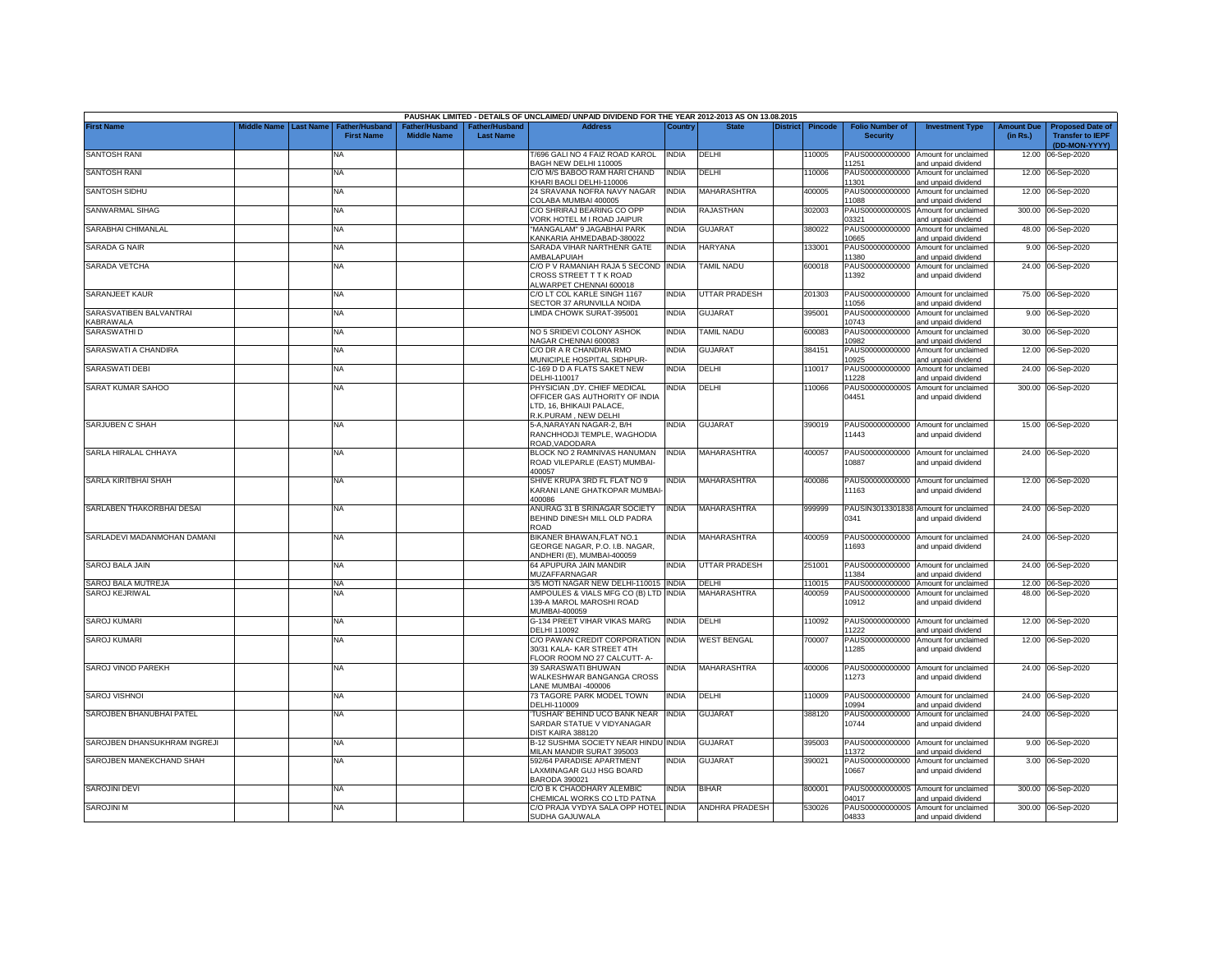|                                            |                    |                  |                                     |                                      |                                           | PAUSHAK LIMITED - DETAILS OF UNCLAIMED/ UNPAID DIVIDEND FOR THE YEAR 2012-2013 AS ON 13.08.2015                      |              |                          |                 |         |                                           |                                                              |                               |                                                                     |
|--------------------------------------------|--------------------|------------------|-------------------------------------|--------------------------------------|-------------------------------------------|----------------------------------------------------------------------------------------------------------------------|--------------|--------------------------|-----------------|---------|-------------------------------------------|--------------------------------------------------------------|-------------------------------|---------------------------------------------------------------------|
| <b>First Name</b>                          | <b>Middle Name</b> | <b>Last Name</b> | Father/Husband<br><b>First Name</b> | Father/Husband<br><b>Middle Name</b> | <b>Father/Husband</b><br><b>Last Name</b> | <b>Address</b>                                                                                                       | Country      | <b>State</b>             | <b>District</b> | Pincode | <b>Folio Number of</b><br><b>Security</b> | <b>Investment Type</b>                                       | <b>Amount Due</b><br>(in Rs.) | <b>Proposed Date of</b><br><b>Transfer to IEPF</b><br>(DD-MON-YYYY) |
| <b>SANTOSH RANI</b>                        |                    |                  | <b>NA</b>                           |                                      |                                           | T/696 GALI NO 4 FAIZ ROAD KAROL<br>BAGH NEW DELHI 110005                                                             | <b>INDIA</b> | DELHI                    |                 | 10005   | 1251                                      | PAUS00000000000 Amount for unclaimed<br>and unpaid dividend  |                               | 12.00 06-Sep-2020                                                   |
| <b>SANTOSH RANI</b>                        |                    |                  | <b>NA</b>                           |                                      |                                           | C/O M/S BABOO RAM HARI CHAND<br>KHARI BAOLI DELHI-110006                                                             | <b>INDIA</b> | DELHI                    |                 | 110006  | PAUS00000000000<br>1301                   | Amount for unclaimed<br>and unpaid dividend                  |                               | 12.00 06-Sep-2020                                                   |
| <b>SANTOSH SIDHU</b>                       |                    |                  | <b>NA</b>                           |                                      |                                           | 24 SRAVANA NOFRA NAVY NAGAR<br>COLABA MUMBAI 400005                                                                  | <b>INDIA</b> | <b>MAHARASHTRA</b>       |                 | 400005  | 1088                                      | PAUS00000000000 Amount for unclaimed<br>and unpaid dividend  |                               | 12.00 06-Sep-2020                                                   |
| SANWARMAL SIHAG                            |                    |                  | <b>NA</b>                           |                                      |                                           | C/O SHRIRAJ BEARING CO OPP<br>VORK HOTEL M I ROAD JAIPUR                                                             | <b>INDIA</b> | RAJASTHAN                |                 | 302003  | 03321                                     | PAUS0000000000S Amount for unclaimed<br>and unpaid dividend  |                               | 300.00 06-Sep-2020                                                  |
| SARABHAI CHIMANLAL                         |                    |                  | <b>NA</b>                           |                                      |                                           | 'MANGALAM" 9 JAGABHAI PARK<br><b>KANKARIA AHMEDABAD-380022</b>                                                       | <b>INDIA</b> | <b>GUJARAT</b>           |                 | 380022  | PAUS00000000000<br>0665                   | Amount for unclaimed<br>and unpaid dividend                  |                               | 48.00 06-Sep-2020                                                   |
| SARADA G NAIR                              |                    |                  | <b>NA</b>                           |                                      |                                           | SARADA VIHAR NARTHENR GATE<br>AMBALAPUIAH                                                                            | <b>INDIA</b> | <b>HARYANA</b>           |                 | 133001  | PAUS00000000000<br>1380                   | Amount for unclaimed<br>and unpaid dividend                  |                               | 9.00 06-Sep-2020                                                    |
| <b>SARADA VETCHA</b>                       |                    |                  | <b>NA</b>                           |                                      |                                           | C/O P V RAMANIAH RAJA 5 SECOND<br>CROSS STREET T T K ROAD<br>ALWARPET CHENNAI 600018                                 | <b>INDIA</b> | <b><i>FAMIL NADU</i></b> |                 | 600018  | PAUS00000000000<br>11392                  | Amount for unclaimed<br>and unpaid dividend                  |                               | 24.00 06-Sep-2020                                                   |
| SARANJEET KAUR                             |                    |                  | <b>NA</b>                           |                                      |                                           | C/O LT COL KARLE SINGH 1167<br>SECTOR 37 ARUNVILLA NOIDA                                                             | <b>INDIA</b> | UTTAR PRADESH            |                 | 201303  | 1056                                      | PAUS00000000000 Amount for unclaimed<br>and unpaid dividend  |                               | 75.00 06-Sep-2020                                                   |
| SARASVATIBEN BALVANTRAI<br><b>ABRAWALA</b> |                    |                  | <b>NA</b>                           |                                      |                                           | LIMDA CHOWK SURAT-395001                                                                                             | <b>INDIA</b> | <b>GUJARAT</b>           |                 | 395001  | PAUS00000000000<br>10743                  | Amount for unclaimed<br>and unpaid dividend                  |                               | 9.00 06-Sep-2020                                                    |
| SARASWATHI D                               |                    |                  | <b>NA</b>                           |                                      |                                           | NO 5 SRIDEVI COLONY ASHOK<br>NAGAR CHENNAI 600083                                                                    | <b>INDIA</b> | <b>TAMIL NADU</b>        |                 | 600083  | PAUS00000000000<br>10982                  | Amount for unclaimed<br>and unpaid dividend                  |                               | 30.00 06-Sep-2020                                                   |
| SARASWATI A CHANDIRA                       |                    |                  | <b>NA</b>                           |                                      |                                           | C/O DR A R CHANDIRA RMO<br>MUNICIPLE HOSPITAL SIDHPUR-                                                               | <b>INDIA</b> | <b>GUJARAT</b>           |                 | 384151  | PAUS00000000000<br>10925                  | Amount for unclaimed<br>and unpaid dividend                  |                               | 12.00 06-Sep-2020                                                   |
| <b>SARASWATI DEBI</b>                      |                    |                  | NA.                                 |                                      |                                           | C-169 D D A FLATS SAKET NEW<br>DELHI-110017                                                                          | <b>INDIA</b> | DELHI                    |                 | 110017  | PAUS00000000000<br>1228                   | Amount for unclaimed<br>and unpaid dividend                  |                               | 24.00 06-Sep-2020                                                   |
| SARAT KUMAR SAHOO                          |                    |                  | <b>NA</b>                           |                                      |                                           | PHYSICIAN , DY. CHIEF MEDICAL<br>OFFICER GAS AUTHORITY OF INDIA<br>LTD, 16, BHIKAIJI PALACE,<br>R.K.PURAM, NEW DELHI | INDIA        | DELHI                    |                 | 110066  | PAUS0000000000S<br>04451                  | Amount for unclaimed<br>and unpaid dividend                  |                               | 300.00 06-Sep-2020                                                  |
| SARJUBEN C SHAH                            |                    |                  | <b>NA</b>                           |                                      |                                           | 5-A,NARAYAN NAGAR-2, B/H<br>RANCHHODJI TEMPLE, WAGHODIA<br>ROAD, VADODARA                                            | INDIA        | <b>GUJARAT</b>           |                 | 390019  | 11443                                     | PAUS00000000000 Amount for unclaimed<br>and unpaid dividend  |                               | 15.00 06-Sep-2020                                                   |
| SARLA HIRALAL CHHAYA                       |                    |                  | <b>NA</b>                           |                                      |                                           | BLOCK NO 2 RAMNIVAS HANUMAN<br>ROAD VILEPARLE (EAST) MUMBAI-<br>400057                                               | <b>INDIA</b> | MAHARASHTRA              |                 | 400057  | 10887                                     | PAUS00000000000 Amount for unclaimed<br>and unpaid dividend  |                               | 24.00 06-Sep-2020                                                   |
| SARLA KIRITBHAI SHAH                       |                    |                  | <b>NA</b>                           |                                      |                                           | SHIVE KRUPA 3RD FL FLAT NO 9<br>KARANI LANE GHATKOPAR MUMBAI-<br>400086                                              | <b>INDIA</b> | MAHARASHTRA              |                 | 400086  | 11163                                     | PAUS00000000000 Amount for unclaimed<br>and unpaid dividend  |                               | 12.00 06-Sep-2020                                                   |
| SARLABEN THAKORBHAI DESAI                  |                    |                  | <b>NA</b>                           |                                      |                                           | ANURAG 31 B SRINAGAR SOCIETY<br>BEHIND DINESH MILL OLD PADRA<br><b>ROAD</b>                                          | <b>INDIA</b> | MAHARASHTRA              |                 | 999999  | 0341                                      | PAUSIN3013301838 Amount for unclaimed<br>and unpaid dividend |                               | 24.00 06-Sep-2020                                                   |
| SARLADEVI MADANMOHAN DAMANI                |                    |                  | <b>NA</b>                           |                                      |                                           | BIKANER BHAWAN, FLAT NO.1<br>GEORGE NAGAR, P.O. I.B. NAGAR,<br>ANDHERI (E), MUMBAI-400059                            | <b>INDIA</b> | MAHARASHTRA              |                 | 400059  | 11693                                     | PAUS00000000000 Amount for unclaimed<br>and unpaid dividend  |                               | 24.00 06-Sep-2020                                                   |
| SAROJ BALA JAIN                            |                    |                  | <b>NA</b>                           |                                      |                                           | 64 APUPURA JAIN MANDIR<br><b>MUZAFFARNAGAR</b>                                                                       | <b>INDIA</b> | <b>UTTAR PRADESH</b>     |                 | 251001  | PAUS00000000000<br>1384                   | Amount for unclaimed<br>and unpaid dividend                  |                               | 24.00 06-Sep-2020                                                   |
| SAROJ BALA MUTREJA                         |                    |                  | <b>NA</b>                           |                                      |                                           | 3/5 MOTI NAGAR NEW DELHI-110015 INDIA                                                                                |              | DELHI                    |                 | 110015  | PAUS00000000000                           | Amount for unclaimed                                         |                               | 12.00 06-Sep-2020                                                   |
| <b>SAROJ KEJRIWAL</b>                      |                    |                  | <b>NA</b>                           |                                      |                                           | AMPOULES & VIALS MFG CO (B) LTD INDIA<br>139-A MAROL MAROSHI ROAD<br>MUMBAI-400059                                   |              | <b>MAHARASHTRA</b>       |                 | 400059  | PAUS00000000000<br>10912                  | Amount for unclaimed<br>and unpaid dividend                  |                               | 48.00 06-Sep-2020                                                   |
| <b>SAROJ KUMARI</b>                        |                    |                  | <b>NA</b>                           |                                      |                                           | G-134 PREET VIHAR VIKAS MARG<br>DELHI 110092                                                                         | <b>INDIA</b> | DELHI                    |                 | 10092   | PAUS00000000000<br>1222                   | Amount for unclaimed<br>and unpaid dividend                  | 12.00                         | 06-Sep-2020                                                         |
| <b>SAROJ KUMARI</b>                        |                    |                  | <b>NA</b>                           |                                      |                                           | C/O PAWAN CREDIT CORPORATION<br>30/31 KALA- KAR STREET 4TH<br>FLOOR ROOM NO 27 CALCUTT- A-                           | <b>INDIA</b> | <b>WEST BENGAL</b>       |                 | 700007  | PAUS00000000000<br>11285                  | Amount for unclaimed<br>and unpaid dividend                  | 12.00                         | 06-Sep-2020                                                         |
| SAROJ VINOD PAREKH                         |                    |                  | <b>NA</b>                           |                                      |                                           | 39 SARASWATI BHUWAN<br>WALKESHWAR BANGANGA CROSS<br>LANE MUMBAI -400006                                              | <b>INDIA</b> | MAHARASHTRA              |                 | 400006  | 11273                                     | PAUS00000000000 Amount for unclaimed<br>and unpaid dividend  |                               | 24.00 06-Sep-2020                                                   |
| <b>SAROJ VISHNOI</b>                       |                    |                  | <b>NA</b>                           |                                      |                                           | 73 TAGORE PARK MODEL TOWN<br>DELHI-110009                                                                            | <b>INDIA</b> | DELHI                    |                 | 110009  | 10994                                     | PAUS00000000000 Amount for unclaimed<br>and unpaid dividend  |                               | 24.00 06-Sep-2020                                                   |
| SAROJBEN BHANUBHAI PATEL                   |                    |                  | <b>NA</b>                           |                                      |                                           | TUSHAR' BEHIND UCO BANK NEAR<br>SARDAR STATUE V VIDYANAGAR<br>DIST KAIRA 388120                                      | <b>INDIA</b> | <b>GUJARAT</b>           |                 | 388120  | PAUS00000000000<br>10744                  | Amount for unclaimed<br>and unpaid dividend                  |                               | 24.00 06-Sep-2020                                                   |
| SAROJBEN DHANSUKHRAM INGREJI               |                    |                  | <b>NA</b>                           |                                      |                                           | B-12 SUSHMA SOCIETY NEAR HINDU INDIA<br>MILAN MANDIR SURAT 395003                                                    |              | <b>GUJARAT</b>           |                 | 395003  | PAUS00000000000<br>1372                   | Amount for unclaimed<br>and unpaid dividend                  |                               | 9.00 06-Sep-2020                                                    |
| SAROJBEN MANEKCHAND SHAH                   |                    |                  | <b>NA</b>                           |                                      |                                           | 592/64 PARADISE APARTMENT<br>LAXMINAGAR GUJ HSG BOARD<br>BARODA 390021                                               | NDIA         | <b>GUJARAT</b>           |                 | 390021  | PAUS00000000000<br>10667                  | Amount for unclaimed<br>and unpaid dividend                  |                               | 3.00 06-Sep-2020                                                    |
| <b>SAROJINI DEVI</b>                       |                    |                  | <b>NA</b>                           |                                      |                                           | C/O B K CHAODHARY ALEMBIC<br>CHEMICAL WORKS CO LTD PATNA                                                             | INDIA        | <b>BIHAR</b>             |                 | 800001  | 04017                                     | PAUS0000000000S Amount for unclaimed<br>and unpaid dividend  |                               | 300.00 06-Sep-2020                                                  |
| <b>SAROJINI M</b>                          |                    |                  | <b>NA</b>                           |                                      |                                           | C/O PRAJA VYDYA SALA OPP HOTEL INDIA<br>SUDHA GAJUWALA                                                               |              | <b>ANDHRA PRADESH</b>    |                 | 530026  | 04833                                     | PAUS0000000000S Amount for unclaimed<br>and unpaid dividend  |                               | 300.00 06-Sep-2020                                                  |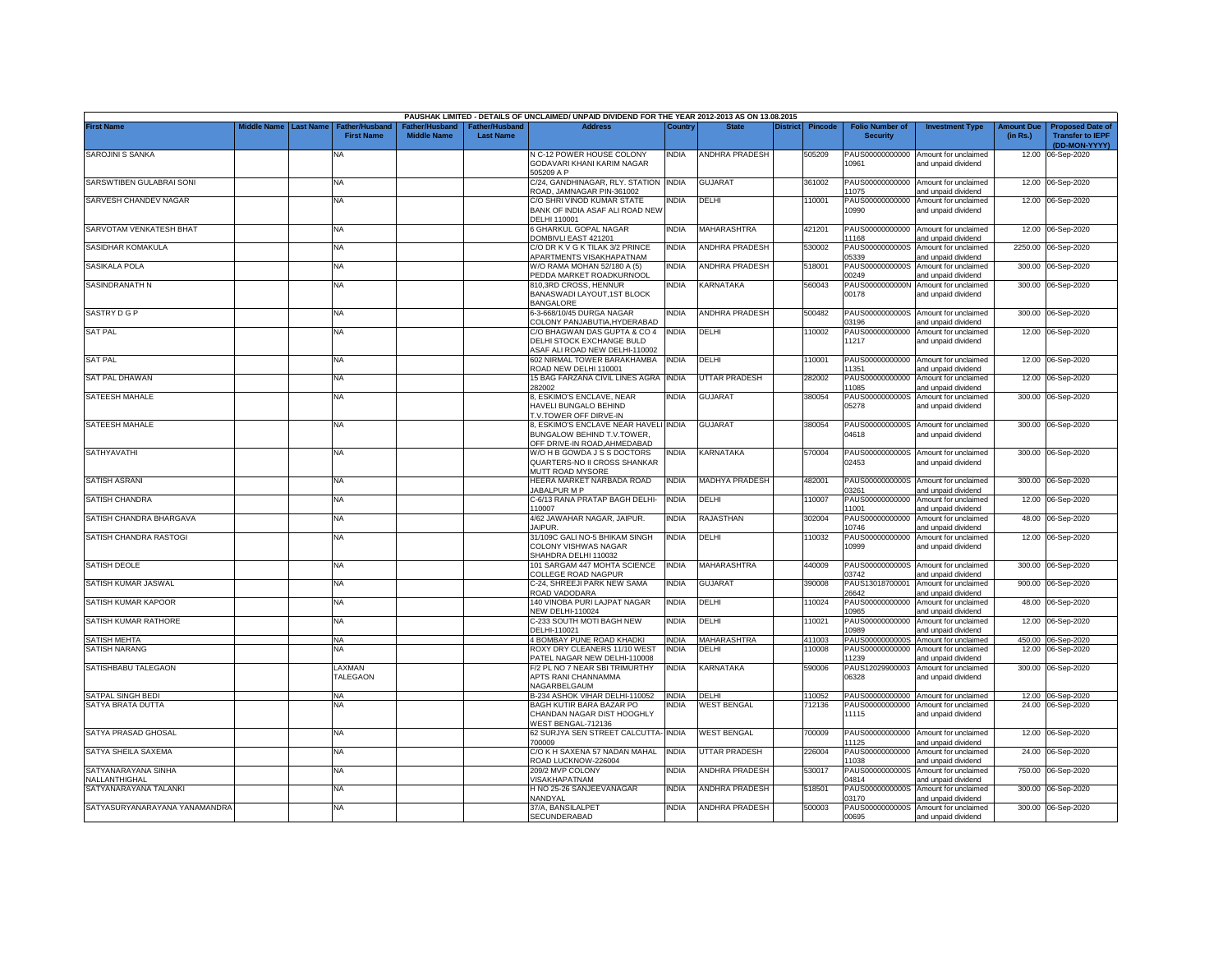|                                             |                    |           |                                     |                                     |                                          | PAUSHAK LIMITED - DETAILS OF UNCLAIMED/ UNPAID DIVIDEND FOR THE YEAR 2012-2013 AS ON 13.08.2015     |                       |                       |                            |                                           |                                                                    |                        |                                                                     |
|---------------------------------------------|--------------------|-----------|-------------------------------------|-------------------------------------|------------------------------------------|-----------------------------------------------------------------------------------------------------|-----------------------|-----------------------|----------------------------|-------------------------------------------|--------------------------------------------------------------------|------------------------|---------------------------------------------------------------------|
| <b>First Name</b>                           | <b>Middle Name</b> | Last Name | Father/Husbano<br><b>First Name</b> | ather/Husband<br><b>Middle Name</b> | <b>ither/Husband</b><br><b>Last Name</b> | Address                                                                                             | Country               |                       | <b>District</b><br>Pincode | <b>Folio Number of</b><br><b>Security</b> | <b>Investment Type</b>                                             | Amount Due<br>(in Rs.) | <b>Proposed Date of</b><br><b>Transfer to IEPF</b><br>(DD-MON-YYYY) |
| SAROJINI S SANKA                            |                    |           | NΑ                                  |                                     |                                          | N C-12 POWER HOUSE COLONY<br>GODAVARI KHANI KARIM NAGAR<br>505209 A P                               | NDIA                  | <b>ANDHRA PRADESH</b> | 505209                     | 10961                                     | PAUS00000000000 Amount for unclaimed<br>and unpaid dividend        | 12.00                  | 06-Sep-2020                                                         |
| SARSWTIBEN GULABRAI SONI                    |                    |           | <b>NA</b>                           |                                     |                                          | C/24, GANDHINAGAR, RLY. STATION INDIA<br>ROAD, JAMNAGAR PIN-361002                                  |                       | <b>GUJARAT</b>        | 361002                     | PAUS00000000000<br>11075                  | Amount for unclaimed<br>and unpaid dividend                        |                        | 12.00 06-Sep-2020                                                   |
| SARVESH CHANDEV NAGAR                       |                    |           | <b>NA</b>                           |                                     |                                          | C/O SHRI VINOD KUMAR STATE<br>BANK OF INDIA ASAF ALI ROAD NEW<br>DELHI 110001                       | ndia                  | DELHI                 | 10001                      | PAUS00000000000<br>10990                  | Amount for unclaimed<br>and unpaid dividend                        |                        | 12.00 06-Sep-2020                                                   |
| SARVOTAM VENKATESH BHAT                     |                    |           | <b>NA</b>                           |                                     |                                          | 6 GHARKUL GOPAL NAGAR<br>OMBIVLI EAST 421201                                                        | <b>INDIA</b>          | MAHARASHTRA           | 421201                     | 11168                                     | PAUS00000000000 Amount for unclaimed<br>and unpaid dividend        |                        | 12.00 06-Sep-2020                                                   |
| SASIDHAR KOMAKULA                           |                    |           | <b>NA</b>                           |                                     |                                          | C/O DR K V G K TILAK 3/2 PRINCE<br><b>\PARTMENTS VISAKHAPATNAM</b>                                  | INDIA                 | ANDHRA PRADESH        | 530002                     | PAUS0000000000S<br>05339                  | Amount for unclaimed<br>and unpaid dividend                        |                        | 2250.00 06-Sep-2020                                                 |
| SASIKALA POLA                               |                    |           | NA                                  |                                     |                                          | W/O RAMA MOHAN 52/180 A (5)<br><b>PEDDA MARKET ROADKURNOOL</b>                                      | india                 | ANDHRA PRADESH        | 518001                     | PAUS0000000000S<br>00249                  | Amount for unclaimed<br>and unpaid dividend                        |                        | 300.00 06-Sep-2020                                                  |
| SASINDRANATH N                              |                    |           | NA                                  |                                     |                                          | 810,3RD CROSS, HENNUR<br>BANASWADI LAYOUT,1ST BLOCK<br><b>BANGALORE</b>                             | india                 | KARNATAKA             | 560043                     | PAUS0000000000N<br>00178                  | Amount for unclaimed<br>and unpaid dividend                        |                        | 300.00 06-Sep-2020                                                  |
| SASTRY D G P                                |                    |           | NA                                  |                                     |                                          | 6-3-668/10/45 DURGA NAGAR<br>COLONY PANJABUTIA.HYDERABAD                                            | NDIA                  | ANDHRA PRADESH        | 500482                     | 03196                                     | PAUS0000000000S Amount for unclaimed<br>and unpaid dividend        |                        | 300.00 06-Sep-2020                                                  |
| <b>SAT PAL</b>                              |                    |           | ΝA                                  |                                     |                                          | C/O BHAGWAN DAS GUPTA & CO 4<br>DELHI STOCK EXCHANGE BULD<br><b>SAF ALI ROAD NEW DELHI-110002</b>   | INDIA                 | DELHI                 | 10002                      | PAUS00000000000<br>11217                  | Amount for unclaimed<br>and unpaid dividend                        |                        | 12.00 06-Sep-2020                                                   |
| <b>SAT PAL</b>                              |                    |           | <b>NA</b>                           |                                     |                                          | 602 NIRMAL TOWER BARAKHAMBA<br>ROAD NEW DELHI 110001                                                | INDIA                 | DELHI                 | 10001                      | PAUS00000000000<br>11351                  | Amount for unclaimed<br>and unpaid dividend                        |                        | 12.00 06-Sep-2020                                                   |
| <b>SAT PAL DHAWAN</b>                       |                    |           | <b>NA</b>                           |                                     |                                          | 15 BAG FARZANA CIVIL LINES AGRA<br>82002                                                            | <b>INDIA</b>          | UTTAR PRADESH         | 282002                     | PAUS00000000000<br>1085                   | Amount for unclaimed<br>and unpaid dividend                        | 12.00                  | 06-Sep-2020                                                         |
| <b>SATEESH MAHALE</b>                       |                    |           | NA                                  |                                     |                                          | 8, ESKIMO'S ENCLAVE, NEAR<br><b>HAVELI BUNGALO BEHIND</b><br><b>I.V.TOWER OFF DIRVE-IN</b>          | INDIA                 | <b>GUJARAT</b>        | 380054                     | PAUS0000000000S<br>05278                  | Amount for unclaimed<br>and unpaid dividend                        |                        | 300.00 06-Sep-2020                                                  |
| SATEESH MAHALE                              |                    |           | NA                                  |                                     |                                          | 8, ESKIMO'S ENCLAVE NEAR HAVELI INDIA<br>BUNGALOW BEHIND T.V.TOWER,<br>OFF DRIVE-IN ROAD, AHMEDABAD |                       | <b>GUJARAT</b>        | 380054                     | 04618                                     | PAUS0000000000S Amount for unclaimed<br>and unpaid dividend        |                        | 300.00 06-Sep-2020                                                  |
| SATHYAVATHI                                 |                    |           | NA                                  |                                     |                                          | W/O H B GOWDA J S S DOCTORS<br>QUARTERS-NO II CROSS SHANKAR<br>MUTT ROAD MYSORE                     | INDIA                 | KARNATAKA             | 570004                     | 02453                                     | PAUS0000000000S Amount for unclaimed<br>and unpaid dividend        |                        | 300.00 06-Sep-2020                                                  |
| <b>SATISH ASRANI</b>                        |                    |           | NA                                  |                                     |                                          | HEERA MARKET NARBADA ROAD<br><b>JABALPUR M P</b>                                                    | <b>INDIA</b>          | MADHYA PRADESH        | 482001                     | 03261                                     | PAUS0000000000S Amount for unclaimed<br>and unpaid dividend        |                        | 300.00 06-Sep-2020                                                  |
| <b>SATISH CHANDRA</b>                       |                    |           | NA                                  |                                     |                                          | C-6/13 RANA PRATAP BAGH DELHI-<br>10007                                                             | <b>INDIA</b>          | DELHI                 | 110007                     | PAUS00000000000<br>11001                  | Amount for unclaimed<br>and unpaid dividend                        | 12.00                  | 06-Sep-2020                                                         |
| SATISH CHANDRA BHARGAVA                     |                    |           | <b>NA</b>                           |                                     |                                          | 4/62 JAWAHAR NAGAR, JAIPUR.<br>JAIPUR.                                                              | INDIA                 | RAJASTHAN             | 302004                     | PAUS00000000000<br>10746                  | Amount for unclaimed<br>and unpaid dividend                        | 48.00                  | 06-Sep-2020                                                         |
| SATISH CHANDRA RASTOGI                      |                    |           | <b>NA</b>                           |                                     |                                          | 31/109C GALI NO-5 BHIKAM SINGH<br>COLONY VISHWAS NAGAR<br>SHAHDRA DELHI 110032                      | INDIA                 | DELHI                 | 10032                      | PAUS00000000000<br>10999                  | Amount for unclaimed<br>and unpaid dividend                        | 12.00                  | 06-Sep-2020                                                         |
| <b>SATISH DEOLE</b>                         |                    |           | NA                                  |                                     |                                          | 101 SARGAM 447 MOHTA SCIENCE<br>COLLEGE ROAD NAGPUR                                                 | INDIA                 | MAHARASHTRA           | 440009                     | 03742                                     | PAUS0000000000S Amount for unclaimed<br>and unpaid dividend        | 300.00                 | 06-Sep-2020                                                         |
| SATISH KUMAR JASWAL                         |                    |           | NA                                  |                                     |                                          | C-24, SHREEJI PARK NEW SAMA<br>ROAD VADODARA                                                        | INDIA                 | <b>GUJARAT</b>        | 390008                     | PAUS13018700001<br>26642                  | Amount for unclaimed<br>and unpaid dividend                        | 900.00                 | 06-Sep-2020                                                         |
| SATISH KUMAR KAPOOR                         |                    |           | <b>NA</b>                           |                                     |                                          | 140 VINOBA PURI LAJPAT NAGAR<br><b>NEW DELHI-110024</b>                                             | INDIA                 | DELHI                 | 110024                     | PAUS00000000000<br>10965                  | Amount for unclaimed<br>and unpaid dividend                        | 48.00                  | 06-Sep-2020                                                         |
| SATISH KUMAR RATHORE                        |                    |           | NA                                  |                                     |                                          | C-233 SOUTH MOTI BAGH NEW<br>DELHI-110021                                                           | india                 | DELHI                 | 110021                     | PAUS00000000000<br>10989                  | Amount for unclaimed<br>and unpaid dividend                        | 12.00                  | 06-Sep-2020                                                         |
| <b>SATISH MEHTA</b><br><b>SATISH NARANG</b> |                    |           | <b>NA</b><br>NA                     |                                     |                                          | 4 BOMBAY PUNE ROAD KHADKI<br>ROXY DRY CLEANERS 11/10 WEST                                           | <b>INDIA</b><br>INDIA | MAHARASHTRA<br>DELHI  | 411003<br>10008            | PAUS00000000000                           | PAUS0000000000S Amount for unclaimed<br>Amount for unclaimed       | 12.00                  | 450.00 06-Sep-2020<br>06-Sep-2020                                   |
| SATISHBABU TALEGAON                         |                    |           | LAXMAN<br>TALEGAON                  |                                     |                                          | PATEL NAGAR NEW DELHI-110008<br>F/2 PL NO 7 NEAR SBI TRIMURTHY<br>APTS RANI CHANNAMMA               | India                 | KARNATAKA             | 590006                     | 11239<br>PAUS12029900003<br>06328         | and unpaid dividend<br>Amount for unclaimed<br>and unpaid dividend | 300.00                 | 06-Sep-2020                                                         |
| SATPAL SINGH BEDI                           |                    |           | <b>NA</b>                           |                                     |                                          | VAGARBELGAUM<br>B-234 ASHOK VIHAR DELHI-110052                                                      | <b>INDIA</b>          | DELHI                 | 110052                     |                                           | PAUS00000000000 Amount for unclaimed                               |                        | 12.00 06-Sep-2020                                                   |
| SATYA BRATA DUTTA                           |                    |           | NA.                                 |                                     |                                          | BAGH KUTIR BARA BAZAR PO<br>CHANDAN NAGAR DIST HOOGHLY<br>VEST BENGAL-712136                        | NDIA                  | <b>WEST BENGAL</b>    | 712136                     | PAUS00000000000<br>11115                  | Amount for unclaimed<br>and unpaid dividend                        |                        | 24.00 06-Sep-2020                                                   |
| SATYA PRASAD GHOSAL                         |                    |           | <b>NA</b>                           |                                     |                                          | 62 SURJYA SEN STREET CALCUTTA- INDIA<br>700009                                                      |                       | <b>WEST BENGAL</b>    | 700009                     | 11125                                     | PAUS00000000000 Amount for unclaimed<br>and unpaid dividend        |                        | 12.00 06-Sep-2020                                                   |
| SATYA SHEILA SAXEMA                         |                    |           | NA                                  |                                     |                                          | C/O K H SAXENA 57 NADAN MAHAL<br>ROAD LUCKNOW-226004                                                | <b>INDIA</b>          | UTTAR PRADESH         | 226004                     | 11038                                     | PAUS00000000000 Amount for unclaimed<br>and unpaid dividend        |                        | 24.00 06-Sep-2020                                                   |
| SATYANARAYANA SINHA<br>NALLANTHIGHAL        |                    |           | NA                                  |                                     |                                          | 209/2 MVP COLONY<br>/ISAKHAPATNAM                                                                   | <b>INDIA</b>          | ANDHRA PRADESH        | 530017                     | 14814                                     | PAUS0000000000S Amount for unclaimed<br>and unpaid dividend        | 750.00                 | 06-Sep-2020                                                         |
| SATYANARAYANA TALANKI                       |                    |           | NA                                  |                                     |                                          | H NO 25-26 SANJEEVANAGAR<br>NANDYAL                                                                 | INDIA                 | ANDHRA PRADESH        | 518501                     | PAUS0000000000S<br>03170                  | Amount for unclaimed<br>and unpaid dividend                        |                        | 300.00 06-Sep-2020                                                  |
| SATYASURYANARAYANA YANAMANDRA               |                    |           | <b>NA</b>                           |                                     |                                          | 37/A, BANSILALPET<br>SECUNDERABAD                                                                   | INDIA                 | <b>ANDHRA PRADESH</b> | 500003                     | 00695                                     | PAUS0000000000S Amount for unclaimed<br>and unpaid dividend        |                        | 300.00 06-Sep-2020                                                  |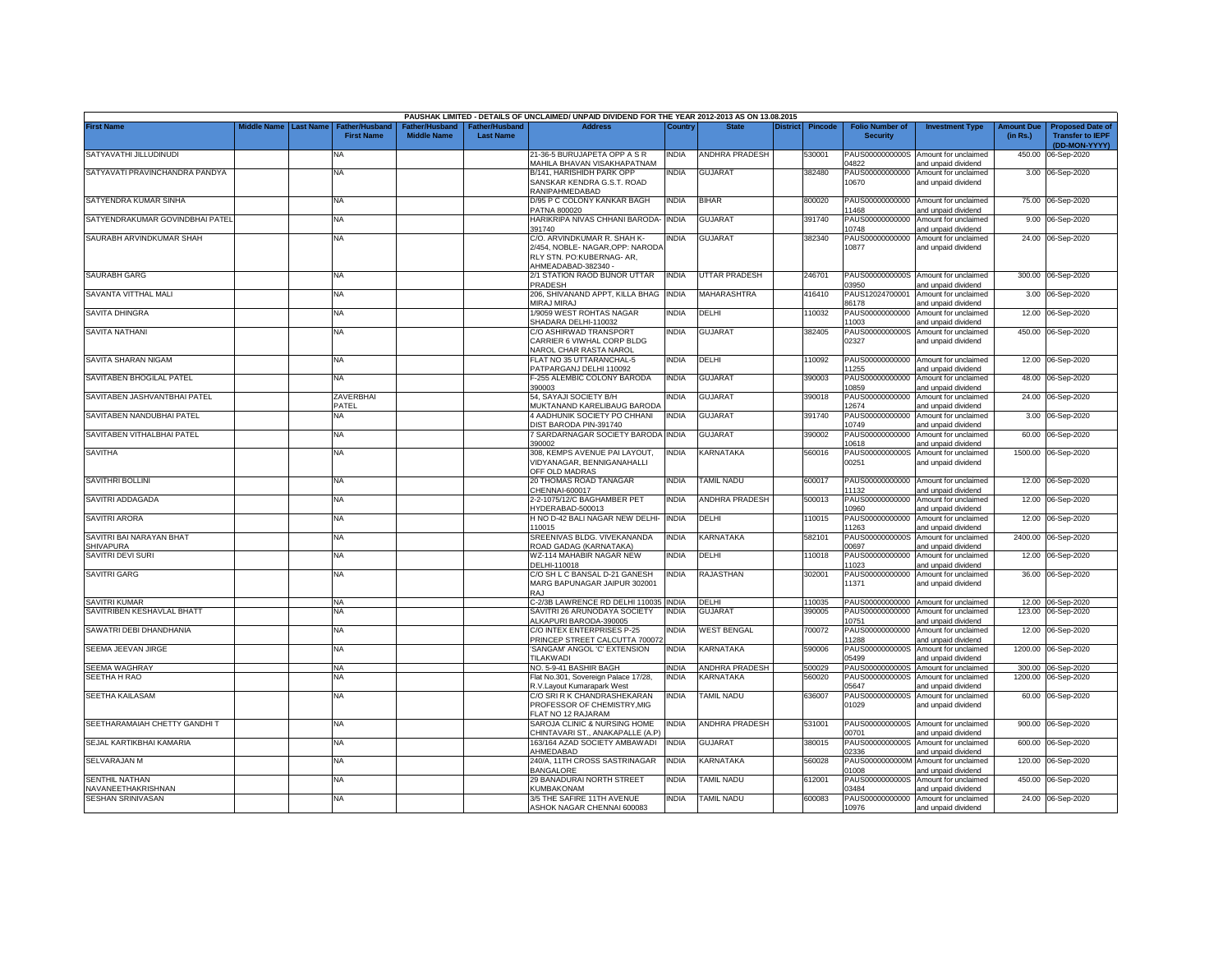|                                             |             |                  |                                     |                                      |                                           | PAUSHAK LIMITED - DETAILS OF UNCLAIMED/ UNPAID DIVIDEND FOR THE YEAR 2012-2013 AS ON 13.08.2015                  |              |                       |          |                |                                           |                                                             |                               |                                                                     |
|---------------------------------------------|-------------|------------------|-------------------------------------|--------------------------------------|-------------------------------------------|------------------------------------------------------------------------------------------------------------------|--------------|-----------------------|----------|----------------|-------------------------------------------|-------------------------------------------------------------|-------------------------------|---------------------------------------------------------------------|
| <b>First Name</b>                           | Middle Name | <b>Last Name</b> | Father/Husband<br><b>First Name</b> | Father/Husband<br><b>Middle Name</b> | <b>Father/Husband</b><br><b>Last Name</b> | <b>Address</b>                                                                                                   | Country      | <b>State</b>          | District | <b>Pincode</b> | <b>Folio Number of</b><br><b>Security</b> | <b>Investment Type</b>                                      | <b>Amount Due</b><br>(in Rs.) | <b>Proposed Date of</b><br><b>Transfer to IEPF</b><br>(DD-MON-YYYY) |
| SATYAVATHI JILLUDINUDI                      |             |                  | <b>NA</b>                           |                                      |                                           | 21-36-5 BURUJAPETA OPP A S R<br>MAHILA BHAVAN VISAKHAPATNAM                                                      | NDIA         | ANDHRA PRADESH        |          | 530001         | PAUS0000000000S<br>14822                  | Amount for unclaimed<br>and unpaid dividend                 | 450.00                        | 06-Sep-2020                                                         |
| SATYAVATI PRAVINCHANDRA PANDYA              |             |                  | <b>NA</b>                           |                                      |                                           | B/141, HARISHIDH PARK OPP<br>SANSKAR KENDRA G.S.T. ROAD<br>RANIPAHMEDABAD                                        | NDIA         | <b>GUJARAT</b>        |          | 382480         | PAUS00000000000<br>10670                  | Amount for unclaimed<br>and unpaid dividend                 |                               | 3.00 06-Sep-2020                                                    |
| SATYENDRA KUMAR SINHA                       |             |                  | <b>NA</b>                           |                                      |                                           | D/95 P C COLONY KANKAR BAGH<br>PATNA 800020                                                                      | INDIA        | <b>BIHAR</b>          |          | 800020         | PAUS00000000000<br>11468                  | Amount for unclaimed<br>and unpaid dividend                 |                               | 75.00 06-Sep-2020                                                   |
| SATYENDRAKUMAR GOVINDBHAI PATEL             |             |                  | <b>NA</b>                           |                                      |                                           | HARIKRIPA NIVAS CHHANI BARODA-<br>391740                                                                         | <b>INDIA</b> | <b>GUJARAT</b>        |          | 391740         | PAUS00000000000<br>10748                  | Amount for unclaimed<br>and unpaid dividend                 |                               | 9.00 06-Sep-2020                                                    |
| SAURABH ARVINDKUMAR SHAH                    |             |                  | <b>NA</b>                           |                                      |                                           | C/O. ARVINDKUMAR R. SHAH K-<br>2/454, NOBLE-NAGAR, OPP: NARODA<br>RLY STN. PO:KUBERNAG- AR,<br>AHMEADABAD-382340 | NDIA         | <b>GUJARAT</b>        |          | 382340         | PAUS00000000000<br>10877                  | Amount for unclaimed<br>and unpaid dividend                 |                               | 24.00 06-Sep-2020                                                   |
| <b>SAURABH GARG</b>                         |             |                  | <b>NA</b>                           |                                      |                                           | 2/1 STATION RAOD BIJNOR UTTAR<br>PRADESH                                                                         | INDIA        | UTTAR PRADESH         |          | 246701         | 3950                                      | PAUS0000000000S Amount for unclaimed<br>and unpaid dividend |                               | 300.00 06-Sep-2020                                                  |
| SAVANTA VITTHAL MALI                        |             |                  | <b>NA</b>                           |                                      |                                           | 206, SHIVANAND APPT, KILLA BHAG<br>MIRAJ MIRAJ                                                                   | <b>INDIA</b> | MAHARASHTRA           |          | 416410         | PAUS12024700001<br>86178                  | Amount for unclaimed<br>and unpaid dividend                 |                               | 3.00 06-Sep-2020                                                    |
| SAVITA DHINGRA                              |             |                  | <b>NA</b>                           |                                      |                                           | 1/9059 WEST ROHTAS NAGAR<br>SHADARA DELHI-110032                                                                 | NDIA         | DELHI                 |          | 10032          | PAUS00000000000<br>11003                  | Amount for unclaimed<br>and unpaid dividend                 |                               | 12.00 06-Sep-2020                                                   |
| <b>SAVITA NATHANI</b>                       |             |                  | <b>NA</b>                           |                                      |                                           | C/O ASHIRWAD TRANSPORT<br>CARRIER 6 VIWHAL CORP BLDG<br><b>VAROL CHAR RASTA NAROL</b>                            | NDIA         | <b>GUJARAT</b>        |          | 382405         | PAUS0000000000S<br>02327                  | Amount for unclaimed<br>and unpaid dividend                 |                               | 450.00 06-Sep-2020                                                  |
| SAVITA SHARAN NIGAM                         |             |                  | <b>NA</b>                           |                                      |                                           | FLAT NO 35 UTTARANCHAL-5<br>PATPARGANJ DELHI 110092                                                              | INDIA        | DELHI                 |          | 10092          | PAUS00000000000<br>11255                  | Amount for unclaimed<br>and unpaid dividend                 |                               | 12.00 06-Sep-2020                                                   |
| SAVITABEN BHOGILAL PATEL                    |             |                  | <b>NA</b>                           |                                      |                                           | -255 ALEMBIC COLONY BARODA<br>390003                                                                             | INDIA        | <b>GUJARAT</b>        |          | 390003         | PAUS00000000000<br>10859                  | Amount for unclaimed<br>and unpaid dividend                 |                               | 48.00 06-Sep-2020                                                   |
| SAVITABEN JASHVANTBHAI PATEL                |             |                  | ZAVERBHAI<br>PATEL                  |                                      |                                           | 54, SAYAJI SOCIETY B/H<br>MUKTANAND KARELIBAUG BARODA                                                            | INDIA        | <b>GUJARAT</b>        |          | 390018         | PAUS00000000000<br>12674                  | Amount for unclaimed<br>and unpaid dividend                 |                               | 24.00 06-Sep-2020                                                   |
| SAVITABEN NANDUBHAI PATEL                   |             |                  | <b>NA</b>                           |                                      |                                           | <b>4 AADHUNIK SOCIETY PO CHHANI</b><br><b>DIST BARODA PIN-391740</b>                                             | INDIA        | <b>GUJARAT</b>        |          | 391740         | PAUS00000000000<br>10749                  | Amount for unclaimed<br>and unpaid dividend                 |                               | 3.00 06-Sep-2020                                                    |
| SAVITABEN VITHALBHAI PATEL                  |             |                  | <b>NA</b>                           |                                      |                                           | 7 SARDARNAGAR SOCIETY BARODA<br>390002                                                                           | <b>INDIA</b> | <b>GUJARAT</b>        |          | 390002         | PAUS00000000000<br>10618                  | Amount for unclaimed<br>and unpaid dividend                 |                               | 60.00 06-Sep-2020                                                   |
| <b>SAVITHA</b>                              |             |                  | <b>NA</b>                           |                                      |                                           | 308, KEMPS AVENUE PAI LAYOUT,<br>/IDYANAGAR, BENNIGANAHALLI<br>OFF OLD MADRAS                                    | INDIA        | KARNATAKA             |          | 560016         | PAUS0000000000S<br>00251                  | Amount for unclaimed<br>and unpaid dividend                 |                               | 1500.00 06-Sep-2020                                                 |
| SAVITHRI BOLLINI                            |             |                  | <b>NA</b>                           |                                      |                                           | 20 THOMAS ROAD TANAGAR<br>CHENNAI-600017                                                                         | INDIA        | <b>TAMIL NADU</b>     |          | 600017         | 11132                                     | PAUS00000000000 Amount for unclaimed<br>and unpaid dividend |                               | 12.00 06-Sep-2020                                                   |
| SAVITRI ADDAGADA                            |             |                  | <b>NA</b>                           |                                      |                                           | 2-2-1075/12/C BAGHAMBER PET<br>IYDERABAD-500013                                                                  | INDIA        | ANDHRA PRADESH        |          | 500013         | PAUS00000000000<br>10960                  | Amount for unclaimed<br>and unpaid dividend                 |                               | 12.00 06-Sep-2020                                                   |
| <b>SAVITRI ARORA</b>                        |             |                  | <b>NA</b>                           |                                      |                                           | H NO D-42 BALI NAGAR NEW DELHI-<br>10015                                                                         | <b>INDIA</b> | DELHI                 |          | 110015         | PAUS00000000000<br>11263                  | Amount for unclaimed<br>and unpaid dividend                 |                               | 12.00 06-Sep-2020                                                   |
| SAVITRI BAI NARAYAN BHAT<br>SHIVAPURA       |             |                  | <b>NA</b>                           |                                      |                                           | SREENIVAS BLDG. VIVEKANANDA<br>ROAD GADAG (KARNATAKA)                                                            | INDIA        | KARNATAKA             |          | 582101         | PAUS0000000000S<br>0697                   | Amount for unclaimed<br>and unpaid dividend                 |                               | 2400.00 06-Sep-2020                                                 |
| SAVITRI DEVI SURI                           |             |                  | <b>NA</b>                           |                                      |                                           | WZ-114 MAHABIR NAGAR NEW<br>DELHI-110018                                                                         | <b>INDIA</b> | DELHI                 |          | 110018         | PAUS00000000000<br>11023                  | Amount for unclaimed<br>and unpaid dividend                 |                               | 12.00 06-Sep-2020                                                   |
| <b>SAVITRI GARG</b>                         |             |                  | <b>NA</b>                           |                                      |                                           | C/O SH L C BANSAL D-21 GANESH<br>MARG BAPUNAGAR JAIPUR 302001<br>RAJ                                             | <b>INDIA</b> | RAJASTHAN             |          | 302001         | PAUS00000000000<br>11371                  | Amount for unclaimed<br>and unpaid dividend                 |                               | 36.00 06-Sep-2020                                                   |
| <b>SAVITRI KUMAR</b>                        |             |                  | <b>NA</b>                           |                                      |                                           | C-2/3B LAWRENCE RD DELHI 110035                                                                                  | <b>INDIA</b> | DELHI                 |          | 110035         | PAUS00000000000                           | Amount for unclaimed                                        |                               | 12.00 06-Sep-2020                                                   |
| SAVITRIBEN KESHAVLAL BHATT                  |             |                  | NA                                  |                                      |                                           | SAVITRI 26 ARUNODAYA SOCIETY<br>LKAPURI BARODA-390005                                                            | NDIA         | <b>GUJARAT</b>        |          | 390005         | PAUS00000000000<br>10751                  | Amount for unclaimed<br>and unpaid dividend                 | 123.00                        | 06-Sep-2020                                                         |
| SAWATRI DEBI DHANDHANIA                     |             |                  | <b>NA</b>                           |                                      |                                           | C/O INTEX ENTERPRISES P-25<br>PRINCEP STREET CALCUTTA 70007:                                                     | NDIA         | <b>WEST BENGAL</b>    |          | 700072         | PAUS00000000000<br>11288                  | Amount for unclaimed<br>and unpaid dividend                 |                               | 12.00 06-Sep-2020                                                   |
| SEEMA JEEVAN JIRGE                          |             |                  | <b>NA</b>                           |                                      |                                           | SANGAM' ANGOL 'C' EXTENSION<br>TILAKWADI                                                                         | NDIA         | <b>KARNATAKA</b>      |          | 590006         | PAUS0000000000S<br>05499                  | Amount for unclaimed<br>and unpaid dividend                 |                               | 1200.00 06-Sep-2020                                                 |
| SEEMA WAGHRAY                               |             |                  | <b>NA</b>                           |                                      |                                           | NO. 5-9-41 BASHIR BAGH                                                                                           | INDIA        | ANDHRA PRADESH        |          | 500029         | PAUS0000000000S                           | Amount for unclaimed                                        | 300.00                        | 06-Sep-2020                                                         |
| <b>SEETHA H RAO</b>                         |             |                  | NA                                  |                                      |                                           | Flat No.301, Sovereign Palace 17/28,<br><b>R.V.Layout Kumarapark West</b>                                        | <b>INDIA</b> | <b>KARNATAKA</b>      |          | 60020          | PAUS0000000000S<br>05647                  | Amount for unclaimed<br>and unpaid dividend                 | 1200.00                       | 06-Sep-2020                                                         |
| SEETHA KAILASAM                             |             |                  | <b>NA</b>                           |                                      |                                           | C/O SRI R K CHANDRASHEKARAN<br>PROFESSOR OF CHEMISTRY.MIG<br>FLAT NO 12 RAJARAM                                  | India        | <b>TAMIL NADU</b>     |          | 636007         | PAUS0000000000S<br>01029                  | Amount for unclaimed<br>and unpaid dividend                 |                               | 60.00 06-Sep-2020                                                   |
| SEETHARAMAIAH CHETTY GANDHI T               |             |                  | <b>NA</b>                           |                                      |                                           | SAROJA CLINIC & NURSING HOME<br>CHINTAVARI ST., ANAKAPALLE (A.P)                                                 | <b>INDIA</b> | <b>ANDHRA PRADESH</b> |          | 531001         | 00701                                     | PAUS0000000000S Amount for unclaimed<br>and unpaid dividend |                               | 900.00 06-Sep-2020                                                  |
| SEJAL KARTIKBHAI KAMARIA                    |             |                  | <b>NA</b>                           |                                      |                                           | 163/164 AZAD SOCIETY AMBAWADI<br><b>HMEDABAD</b>                                                                 | NDIA         | <b>GUJARAT</b>        |          | 380015         | PAUS0000000000S<br>2336                   | Amount for unclaimed<br>and unpaid dividend                 | 600.00                        | 06-Sep-2020                                                         |
| SELVARAJAN M                                |             |                  | <b>NA</b>                           |                                      |                                           | 240/A, 11TH CROSS SASTRINAGAR<br><b>BANGALORE</b>                                                                | <b>INDIA</b> | KARNATAKA             |          | 560028         | PAUS0000000000M<br>1008                   | Amount for unclaimed<br>and unpaid dividend                 |                               | 120.00 06-Sep-2020                                                  |
| <b>SENTHIL NATHAN</b><br>NAVANEETHAKRISHNAN |             |                  | <b>NA</b>                           |                                      |                                           | 29 BANADURAI NORTH STREET<br>KUMBAKONAM                                                                          | NDIA         | <b>TAMIL NADU</b>     |          | 612001         | PAUS0000000000S<br>03484                  | Amount for unclaimed<br>and unpaid dividend                 |                               | 450.00 06-Sep-2020                                                  |
| <b>SESHAN SRINIVASAN</b>                    |             |                  | <b>NA</b>                           |                                      |                                           | 3/5 THE SAFIRE 11TH AVENUE<br>ASHOK NAGAR CHENNAI 600083                                                         | india        | <b>TAMIL NADU</b>     |          | 600083         | PAUS00000000000<br>10976                  | Amount for unclaimed<br>and unpaid dividend                 |                               | 24.00 06-Sep-2020                                                   |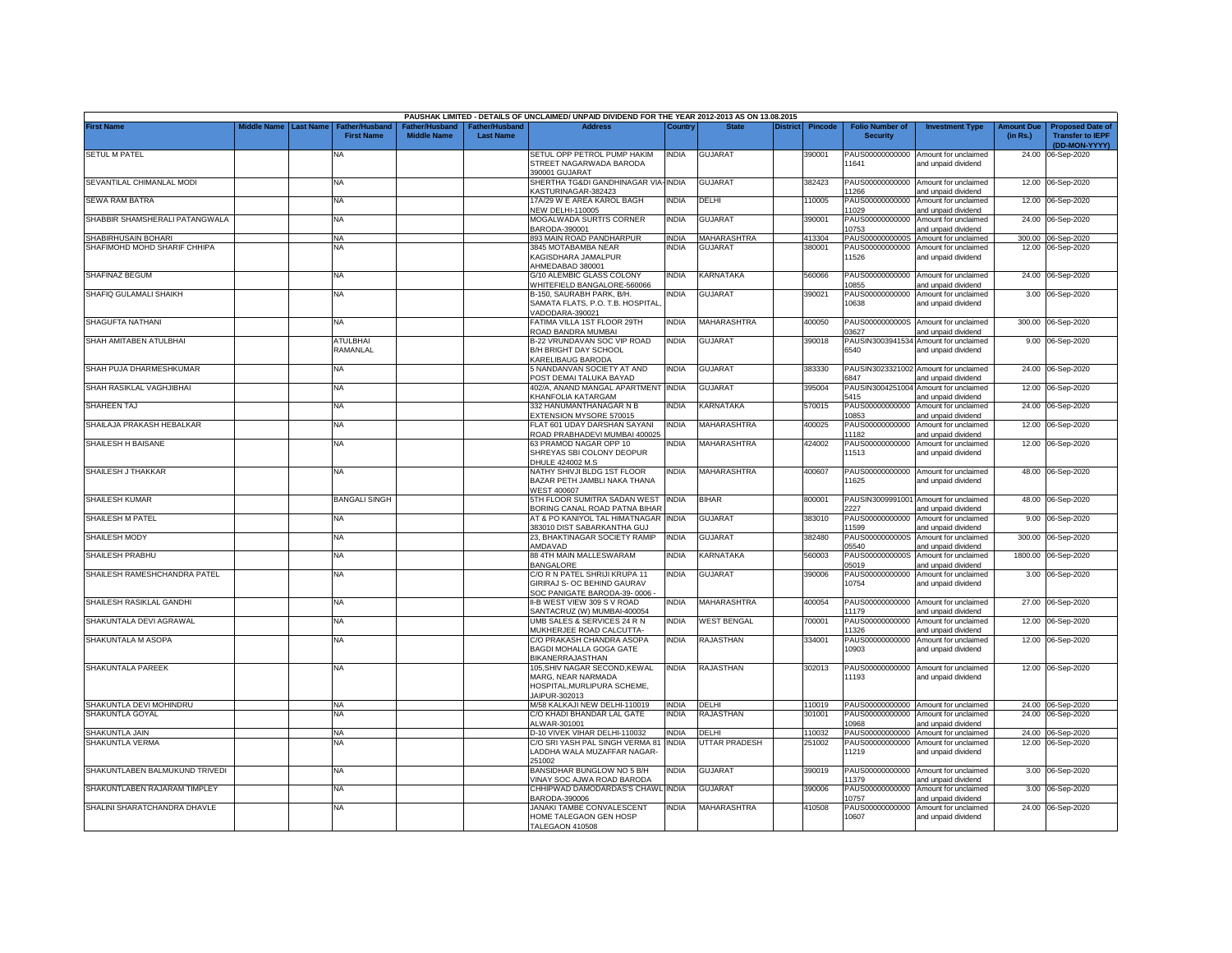|                                |             |                  |                                            |                                     |                                   | PAUSHAK LIMITED - DETAILS OF UNCLAIMED/ UNPAID DIVIDEND FOR THE YEAR 2012-2013 AS ON 13.08.2015     |              |                      |                 |                |                                           |                                                              |                               |                                                    |
|--------------------------------|-------------|------------------|--------------------------------------------|-------------------------------------|-----------------------------------|-----------------------------------------------------------------------------------------------------|--------------|----------------------|-----------------|----------------|-------------------------------------------|--------------------------------------------------------------|-------------------------------|----------------------------------------------------|
| <b>First Name</b>              | Middle Name | <b>Last Name</b> | <b>Father/Husband</b><br><b>First Name</b> | ather/Husband<br><b>Middle Name</b> | ather/Husbanc<br><b>Last Name</b> | <b>Address</b>                                                                                      | Country      | <b>State</b>         | <b>District</b> | <b>Pincode</b> | <b>Folio Number of</b><br><b>Security</b> | <b>Investment Type</b>                                       | <b>Amount Due</b><br>(in Rs.) | <b>Proposed Date of</b><br><b>Transfer to IEPF</b> |
| <b>SETUL M PATEL</b>           |             |                  | NA                                         |                                     |                                   | SETUL OPP PETROL PUMP HAKIM<br>STREET NAGARWADA BARODA                                              | <b>INDIA</b> | <b>GUJARAT</b>       |                 | 390001         | 11641                                     | PAUS00000000000 Amount for unclaimed<br>and unpaid dividend  |                               | (DD-MON-YYYY)<br>24.00 06-Sep-2020                 |
| SEVANTILAL CHIMANLAL MODI      |             |                  | NA                                         |                                     |                                   | 390001 GUJARAT<br>SHERTHA TG&DI GANDHINAGAR VIA-INDIA                                               |              | <b>GUJARAT</b>       |                 | 382423         | PAUS00000000000                           | Amount for unclaimed                                         |                               | 12.00 06-Sep-2020                                  |
|                                |             |                  |                                            |                                     |                                   | <b>KASTURINAGAR-382423</b>                                                                          |              |                      |                 |                | 1266                                      | and unpaid dividend                                          |                               |                                                    |
| SEWA RAM BATRA                 |             |                  | <b>NA</b>                                  |                                     |                                   | 17A/29 W E AREA KAROL BAGH<br><b>NEW DELHI-110005</b>                                               | INDIA        | DELHI                |                 | 110005         | PAUS00000000000<br>11029                  | Amount for unclaimed<br>and unpaid dividend                  |                               | 12.00 06-Sep-2020                                  |
| SHABBIR SHAMSHERALI PATANGWALA |             |                  | NA                                         |                                     |                                   | MOGALWADA SURTI'S CORNER<br>BARODA-390001                                                           | INDIA        | GUJARAT              |                 | 390001         | PAUS00000000000<br>10753                  | Amount for unclaimed<br>and unpaid dividend                  |                               | 24.00 06-Sep-2020                                  |
| SHABIRHUSAIN BOHARI            |             |                  | <b>NA</b>                                  |                                     |                                   | 893 MAIN ROAD PANDHARPUR                                                                            | <b>INDIA</b> | <b>MAHARASHTRA</b>   |                 | 413304         | PAUS0000000000S                           | Amount for unclaimed                                         |                               | 300.00 06-Sep-2020                                 |
| SHAFIMOHD MOHD SHARIF CHHIPA   |             |                  | ΝA                                         |                                     |                                   | <b>8845 MOTABAMBA NEAR</b>                                                                          | NDIA         | GUJARAT              |                 | 380001         | PAUS00000000000                           | Amount for unclaimed                                         |                               | 12.00 06-Sep-2020                                  |
|                                |             |                  |                                            |                                     |                                   | KAGISDHARA JAMALPUR<br>HMEDABAD 380001                                                              |              |                      |                 |                | 11526                                     | and unpaid dividend                                          |                               |                                                    |
| SHAFINAZ BEGUM                 |             |                  | NA                                         |                                     |                                   | G/10 ALEMBIC GLASS COLONY<br>VHITEFIELD BANGALORE-560066                                            | NDIA         | KARNATAKA            |                 | 560066         | 10855                                     | PAUS00000000000 Amount for unclaimed<br>and unpaid dividend  |                               | 24.00 06-Sep-2020                                  |
| SHAFIQ GULAMALI SHAIKH         |             |                  | NA                                         |                                     |                                   | B-150, SAURABH PARK, B/H.<br>SAMATA FLATS, P.O. T.B. HOSPITAL<br>VADODARA-390021                    | NDIA         | <b>GUJARAT</b>       |                 | 390021         | PAUS00000000000<br>10638                  | Amount for unclaimed<br>and unpaid dividend                  |                               | 3.00 06-Sep-2020                                   |
| SHAGUFTA NATHANI               |             |                  | <b>NA</b>                                  |                                     |                                   | FATIMA VILLA 1ST FLOOR 29TH<br>ROAD BANDRA MUMBAI                                                   | INDIA        | MAHARASHTRA          |                 | 400050         | PAUS0000000000S<br>03627                  | Amount for unclaimed<br>and unpaid dividend                  |                               | 300.00 06-Sep-2020                                 |
| SHAH AMITABEN ATULBHAI         |             |                  | <b>ATULBHAI</b><br>RAMANLAL                |                                     |                                   | B-22 VRUNDAVAN SOC VIP ROAD<br>B/H BRIGHT DAY SCHOOL<br>KARELIBAUG BARODA                           | INDIA        | <b>GUJARAT</b>       |                 | 390018         | PAUSIN3003941534<br>6540                  | Amount for unclaimed<br>and unpaid dividend                  |                               | 9.00 06-Sep-2020                                   |
| SHAH PUJA DHARMESHKUMAR        |             |                  | <b>NA</b>                                  |                                     |                                   | 5 NANDANVAN SOCIETY AT AND<br>POST DEMAI TALUKA BAYAD                                               | INDIA        | <b>GUJARAT</b>       |                 | 383330         | 6847                                      | PAUSIN3023321002 Amount for unclaimed<br>and unpaid dividend | 24.00                         | 06-Sep-2020                                        |
| SHAH RASIKLAL VAGHJIBHAI       |             |                  | NA                                         |                                     |                                   | 402/A, ANAND MANGAL APARTMENT INDIA<br>KHANFOLIA KATARGAM                                           |              | <b>GUJARAT</b>       |                 | 395004         | 5415                                      | PAUSIN3004251004 Amount for unclaimed<br>and unpaid dividend |                               | 12.00 06-Sep-2020                                  |
| SHAHEEN TAJ                    |             |                  | NA                                         |                                     |                                   | 332 HANUMANTHANAGAR N B<br><b>EXTENSION MYSORE 570015</b>                                           | NDIA         | KARNATAKA            |                 | 570015         | PAUS00000000000<br>10853                  | Amount for unclaimed<br>and unpaid dividend                  |                               | 24.00 06-Sep-2020                                  |
| SHAILAJA PRAKASH HEBALKAR      |             |                  | NA                                         |                                     |                                   | FLAT 601 UDAY DARSHAN SAYANI<br>ROAD PRABHADEVI MUMBAI 400025                                       | INDIA        | <b>MAHARASHTRA</b>   |                 | 100025         | PAUS00000000000<br>11182                  | Amount for unclaimed<br>and unpaid dividend                  |                               | 12.00 06-Sep-2020                                  |
| SHAILESH H BAISANE             |             |                  | NA                                         |                                     |                                   | 63 PRAMOD NAGAR OPP 10<br>SHREYAS SBI COLONY DEOPUR<br>DHULE 424002 M.S                             | NDIA         | MAHARASHTRA          |                 | 424002         | PAUS00000000000<br>11513                  | Amount for unclaimed<br>and unpaid dividend                  |                               | 12.00 06-Sep-2020                                  |
| SHAILESH J THAKKAR             |             |                  | NA                                         |                                     |                                   | NATHY SHIVJI BLDG 1ST FLOOR<br>BAZAR PETH JAMBLI NAKA THANA<br><b>WEST 400607</b>                   | NDIA         | <b>MAHARASHTRA</b>   |                 | 400607         | 11625                                     | PAUS00000000000 Amount for unclaimed<br>and unpaid dividend  |                               | 48.00 06-Sep-2020                                  |
| <b>SHAILESH KUMAR</b>          |             |                  | BANGALI SINGH                              |                                     |                                   | 5TH FLOOR SUMITRA SADAN WEST<br>BORING CANAL ROAD PATNA BIHAR                                       | <b>INDIA</b> | <b>BIHAR</b>         |                 | 800001         | 227                                       | PAUSIN3009991001 Amount for unclaimed<br>and unpaid dividend |                               | 48.00 06-Sep-2020                                  |
| <b>SHAILESH M PATEL</b>        |             |                  | <b>NA</b>                                  |                                     |                                   | AT & PO KANIYOL TAL HIMATNAGAR INDIA<br>383010 DIST SABARKANTHA GUJ                                 |              | <b>GUJARAT</b>       |                 | 383010         | PAUS00000000000<br>1599                   | Amount for unclaimed<br>and unpaid dividend                  |                               | 9.00 06-Sep-2020                                   |
| SHAILESH MODY                  |             |                  | NA                                         |                                     |                                   | 23, BHAKTINAGAR SOCIETY RAMIP<br>AMDAVAD                                                            | <b>INDIA</b> | <b>GUJARAT</b>       |                 | 382480         | PAUS0000000000S<br>05540                  | Amount for unclaimed<br>and unpaid dividend                  |                               | 300.00 06-Sep-2020                                 |
| SHAILESH PRABHU                |             |                  | NA                                         |                                     |                                   | 88 4TH MAIN MALLESWARAM<br><b>BANGALORE</b>                                                         | INDIA        | KARNATAKA            |                 | 560003         | PAUS0000000000S<br>05019                  | Amount for unclaimed<br>and unpaid dividend                  |                               | 1800.00 06-Sep-2020                                |
| SHAILESH RAMESHCHANDRA PATEL   |             |                  | NA                                         |                                     |                                   | C/O R N PATEL SHRIJI KRUPA 11<br>GIRIRAJ S- OC BEHIND GAURAV<br>SOC PANIGATE BARODA-39-0006         | INDIA        | GUJARAT              |                 | 390006         | PAUS00000000000<br>10754                  | Amount for unclaimed<br>and unpaid dividend                  |                               | 3.00 06-Sep-2020                                   |
| SHAILESH RASIKLAL GANDHI       |             |                  | <b>NA</b>                                  |                                     |                                   | I-B WEST VIEW 309 S V ROAD<br>SANTACRUZ (W) MUMBAI-400054                                           | <b>NDIA</b>  | <b>MAHARASHTRA</b>   |                 | 400054         | PAUS00000000000<br>11179                  | Amount for unclaimed<br>and unpaid dividend                  |                               | 27.00 06-Sep-2020                                  |
| SHAKUNTALA DEVI AGRAWAL        |             |                  | NA                                         |                                     |                                   | UMB SALES & SERVICES 24 R N<br>MUKHERJEE ROAD CALCUTTA-                                             | NDIA         | <b>WEST BENGAL</b>   |                 | 700001         | PAUS00000000000<br>11326                  | Amount for unclaimed<br>and unpaid dividend                  |                               | 12.00 06-Sep-2020                                  |
| SHAKUNTALA M ASOPA             |             |                  | NA                                         |                                     |                                   | C/O PRAKASH CHANDRA ASOPA<br>BAGDI MOHALLA GOGA GATE<br>BIKANERRAJASTHAN                            | <b>INDIA</b> | RAJASTHAN            |                 | 334001         | PAUS00000000000<br>10903                  | Amount for unclaimed<br>and unpaid dividend                  |                               | 12.00 06-Sep-2020                                  |
| SHAKUNTALA PAREEK              |             |                  | <b>NA</b>                                  |                                     |                                   | 105, SHIV NAGAR SECOND, KEWAL<br>MARG, NEAR NARMADA<br>HOSPITAL, MURLIPURA SCHEME,<br>JAIPUR-302013 | <b>INDIA</b> | <b>RAJASTHAN</b>     |                 | 302013         | 11193                                     | PAUS00000000000 Amount for unclaimed<br>and unpaid dividend  |                               | 12.00 06-Sep-2020                                  |
| SHAKUNTLA DEVI MOHINDRU        |             |                  | <b>NA</b>                                  |                                     |                                   | M/58 KALKAJI NEW DELHI-110019                                                                       | <b>INDIA</b> | DELHI                |                 | 110019         |                                           | PAUS00000000000 Amount for unclaimed                         |                               | 24.00 06-Sep-2020                                  |
| SHAKUNTLA GOYAL                |             |                  | <b>NA</b>                                  |                                     |                                   | C/O KHADI BHANDAR LAL GATE<br>ALWAR-301001                                                          | <b>INDIA</b> | <b>RAJASTHAN</b>     |                 | 301001         | 10968                                     | PAUS00000000000 Amount for unclaimed<br>and unpaid dividend  |                               | 24.00 06-Sep-2020                                  |
| SHAKUNTLA JAIN                 |             |                  | <b>NA</b>                                  |                                     |                                   | D-10 VIVEK VIHAR DELHI-110032                                                                       | <b>INDIA</b> | DELHI                |                 | 110032         | PAUS00000000000                           | Amount for unclaimed                                         |                               | 24.00 06-Sep-2020                                  |
| SHAKUNTLA VERMA                |             |                  | NA                                         |                                     |                                   | C/O SRI YASH PAL SINGH VERMA 81<br>LADDHA WALA MUZAFFAR NAGAR-<br>251002                            | <b>INDIA</b> | <b>UTTAR PRADESH</b> |                 | 251002         | PAUS00000000000<br>11219                  | Amount for unclaimed<br>and unpaid dividend                  |                               | 12.00 06-Sep-2020                                  |
| SHAKUNTLABEN BALMUKUND TRIVEDI |             |                  | <b>NA</b>                                  |                                     |                                   | BANSIDHAR BUNGLOW NO 5 B/H<br>VINAY SOC AJWA ROAD BARODA                                            | INDIA        | GUJARAT              |                 | 390019         | PAUS00000000000<br>11379                  | Amount for unclaimed<br>and unpaid dividend                  |                               | 3.00 06-Sep-2020                                   |
| SHAKUNTLABEN RAJARAM TIMPLEY   |             |                  | <b>NA</b>                                  |                                     |                                   | CHHIPWAD DAMODARDAS'S CHAWL INDIA<br>3ARODA-390006                                                  |              | GUJARAT              |                 | 390006         | PAUS00000000000<br>10757                  | Amount for unclaimed<br>and unpaid dividend                  |                               | 3.00 06-Sep-2020                                   |
| SHALINI SHARATCHANDRA DHAVLE   |             |                  | <b>NA</b>                                  |                                     |                                   | JANAKI TAMBE CONVALESCENT<br>HOME TALEGAON GEN HOSP<br>TALEGAON 410508                              | INDIA        | MAHARASHTRA          |                 | 410508         | PAUS00000000000<br>10607                  | Amount for unclaimed<br>and unpaid dividend                  |                               | 24.00 06-Sep-2020                                  |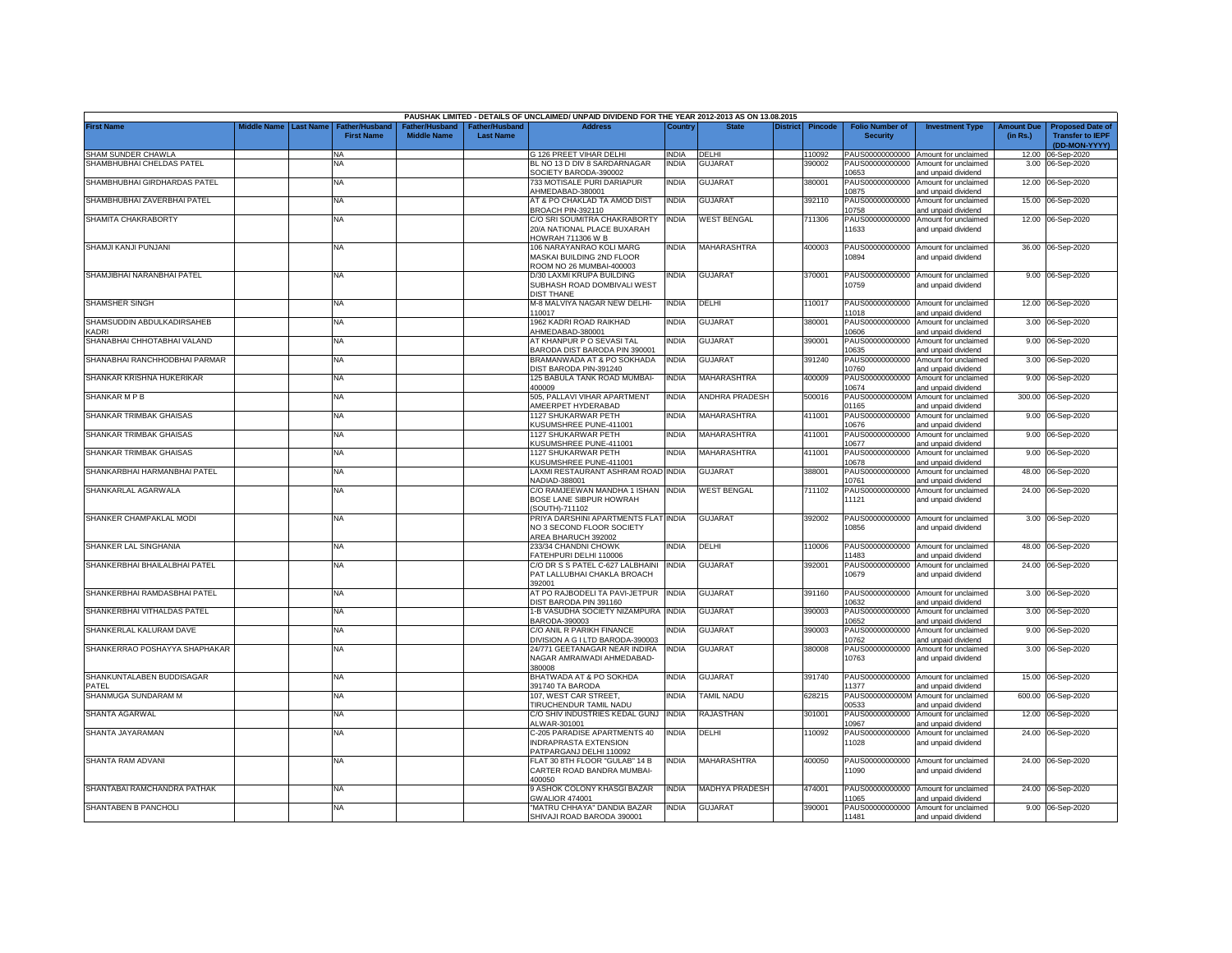|                               |                    |                  |                                            |                                      |                                    | PAUSHAK LIMITED - DETAILS OF UNCLAIMED/ UNPAID DIVIDEND FOR THE YEAR 2012-2013 AS ON 13.08.2015 |              |                          |                 |         |                                           |                                                             |                               |                                                                     |
|-------------------------------|--------------------|------------------|--------------------------------------------|--------------------------------------|------------------------------------|-------------------------------------------------------------------------------------------------|--------------|--------------------------|-----------------|---------|-------------------------------------------|-------------------------------------------------------------|-------------------------------|---------------------------------------------------------------------|
| <b>First Name</b>             | <b>Middle Name</b> | <b>Last Name</b> | <b>Father/Husband</b><br><b>First Name</b> | Father/Husband<br><b>Middle Name</b> | Father/Husband<br><b>Last Name</b> | <b>Address</b>                                                                                  | Country      | <b>State</b>             | <b>District</b> | Pincode | <b>Folio Number of</b><br><b>Security</b> | <b>Investment Type</b>                                      | <b>Amount Due</b><br>(in Rs.) | <b>Proposed Date of</b><br><b>Transfer to IEPF</b><br>(DD-MON-YYYY) |
| SHAM SUNDER CHAWLA            |                    |                  | <b>NA</b>                                  |                                      |                                    | G 126 PREET VIHAR DELHI                                                                         | <b>INDIA</b> | DELHI                    |                 | 110092  |                                           | PAUS00000000000 Amount for unclaimed                        |                               | 12.00 06-Sep-2020                                                   |
| SHAMBHUBHAI CHELDAS PATEL     |                    |                  | NA                                         |                                      |                                    | BL NO 13 D DIV 8 SARDARNAGAR                                                                    | INDIA        | <b>GUJARAT</b>           |                 | 390002  |                                           | PAUS00000000000 Amount for unclaimed                        |                               | 3.00 06-Sep-2020                                                    |
| SHAMBHUBHAI GIRDHARDAS PATEL  |                    |                  | NA                                         |                                      |                                    | SOCIETY BARODA-390002<br>733 MOTISALE PURI DARIAPUR                                             | INDIA        | <b>GUJARAT</b>           |                 | 380001  | 0653                                      | and unpaid dividend<br>PAUS00000000000 Amount for unclaimed |                               | 12.00 06-Sep-2020                                                   |
|                               |                    |                  |                                            |                                      |                                    | AHMEDABAD-380001                                                                                |              |                          |                 |         | 10875                                     | and unpaid dividend                                         |                               |                                                                     |
| SHAMBHUBHAI ZAVERBHAI PATEL   |                    |                  | NA                                         |                                      |                                    | AT & PO CHAKLAD TA AMOD DIST<br>BROACH PIN-392110                                               | <b>INDIA</b> | <b>GUJARAT</b>           |                 | 392110  | 0758                                      | PAUS00000000000 Amount for unclaimed<br>and unpaid dividend |                               | 15.00 06-Sep-2020                                                   |
| SHAMITA CHAKRABORTY           |                    |                  | NA                                         |                                      |                                    | C/O SRI SOUMITRA CHAKRABORTY                                                                    | <b>INDIA</b> | <b>WEST BENGAL</b>       |                 | 711306  |                                           | PAUS00000000000 Amount for unclaimed                        |                               | 12.00 06-Sep-2020                                                   |
|                               |                    |                  |                                            |                                      |                                    | 20/A NATIONAL PLACE BUXARAH<br>HOWRAH 711306 W B                                                |              |                          |                 |         | 11633                                     | and unpaid dividend                                         |                               |                                                                     |
| SHAMJI KANJI PUNJANI          |                    |                  | NA.                                        |                                      |                                    | 106 NARAYANRAO KOLI MARG                                                                        | <b>INDIA</b> | MAHARASHTRA              |                 | 400003  | PAUS00000000000                           | Amount for unclaimed                                        |                               | 36.00 06-Sep-2020                                                   |
|                               |                    |                  |                                            |                                      |                                    | <b>MASKAI BUILDING 2ND FLOOR</b><br>ROOM NO 26 MUMBAI-400003                                    |              |                          |                 |         | 10894                                     | and unpaid dividend                                         |                               |                                                                     |
| SHAMJIBHAI NARANBHAI PATEL    |                    |                  | NA                                         |                                      |                                    | D/30 LAXMI KRUPA BUILDING                                                                       | NDIA         | <b>GUJARAT</b>           |                 | 370001  |                                           | PAUS00000000000 Amount for unclaimed                        |                               | 9.00 06-Sep-2020                                                    |
|                               |                    |                  |                                            |                                      |                                    | SUBHASH ROAD DOMBIVALI WEST<br><b>DIST THANE</b>                                                |              |                          |                 |         | 10759                                     | and unpaid dividend                                         |                               |                                                                     |
| <b>SHAMSHER SINGH</b>         |                    |                  | NA                                         |                                      |                                    | M-8 MALVIYA NAGAR NEW DELHI-                                                                    | <b>INDIA</b> | DELHI                    |                 | 110017  |                                           | PAUS00000000000 Amount for unclaimed                        |                               | 12.00 06-Sep-2020                                                   |
| SHAMSUDDIN ABDULKADIRSAHEB    |                    |                  | NA                                         |                                      |                                    | 110017<br>1962 KADRI ROAD RAIKHAD                                                               | INDIA        | GUJARAT                  |                 | 380001  | 11018                                     | and unpaid dividend<br>PAUS00000000000 Amount for unclaimed |                               | 3.00 06-Sep-2020                                                    |
| <b>ADRI</b>                   |                    |                  |                                            |                                      |                                    | AHMEDABAD-380001                                                                                |              |                          |                 |         | 10606                                     | and unpaid dividend                                         |                               |                                                                     |
| SHANABHAI CHHOTABHAI VALAND   |                    |                  | NA                                         |                                      |                                    | AT KHANPUR P O SEVASI TAL<br>BARODA DIST BARODA PIN 390001                                      | NDIA         | <b>GUJARAT</b>           |                 | 390001  | PAUS00000000000<br>10635                  | Amount for unclaimed<br>and unpaid dividend                 |                               | 9.00 06-Sep-2020                                                    |
| SHANABHAI RANCHHODBHAI PARMAR |                    |                  | NA                                         |                                      |                                    | BRAMANWADA AT & PO SOKHADA                                                                      | INDIA        | <b>GUJARAT</b>           |                 | 391240  | PAUS00000000000                           | Amount for unclaimed                                        |                               | 3.00 06-Sep-2020                                                    |
| SHANKAR KRISHNA HUKERIKAR     |                    |                  | NA                                         |                                      |                                    | DIST BARODA PIN-391240<br>125 BABULA TANK ROAD MUMBAI-                                          | INDIA        | MAHARASHTRA              |                 | 400009  | 10760<br>PAUS00000000000                  | and unpaid dividend<br>Amount for unclaimed                 |                               | 9.00 06-Sep-2020                                                    |
|                               |                    |                  |                                            |                                      |                                    | 400009                                                                                          |              |                          |                 |         | 10674                                     | and unpaid dividend                                         |                               |                                                                     |
| SHANKAR M P B                 |                    |                  | NA                                         |                                      |                                    | 505, PALLAVI VIHAR APARTMENT<br>MEERPET HYDERABAD                                               | INDIA        | ANDHRA PRADESH           |                 | 500016  | PAUS0000000000M<br>1165                   | Amount for unclaimed<br>and unpaid dividend                 |                               | 300.00 06-Sep-2020                                                  |
| SHANKAR TRIMBAK GHAISAS       |                    |                  | NA.                                        |                                      |                                    | 1127 SHUKARWAR PETH<br><b>KUSUMSHREE PUNE-411001</b>                                            | <b>INDIA</b> | <b>MAHARASHTRA</b>       |                 | 411001  | PAUS00000000000<br>10676                  | Amount for unclaimed                                        |                               | 9.00 06-Sep-2020                                                    |
| SHANKAR TRIMBAK GHAISAS       |                    |                  | NA                                         |                                      |                                    | 1127 SHUKARWAR PETH                                                                             | INDIA        | <b>MAHARASHTRA</b>       |                 | 411001  | PAUS00000000000                           | and unpaid dividend<br>Amount for unclaimed                 |                               | 9.00 06-Sep-2020                                                    |
| SHANKAR TRIMBAK GHAISAS       |                    |                  | <b>NA</b>                                  |                                      |                                    | <b>KUSUMSHREE PUNE-411001</b><br><b>1127 SHUKARWAR PETH</b>                                     | <b>INDIA</b> | <b>MAHARASHTRA</b>       |                 | 411001  | 10677<br>PAUS00000000000                  | nd unpaid dividend<br>Amount for unclaimed                  |                               | 9.00 06-Sep-2020                                                    |
|                               |                    |                  |                                            |                                      |                                    | <b>KUSUMSHREE PUNE-411001</b>                                                                   |              |                          |                 |         | 0678                                      | and unpaid dividend                                         |                               |                                                                     |
| SHANKARBHAI HARMANBHAI PATEL  |                    |                  | NA                                         |                                      |                                    | LAXMI RESTAURANT ASHRAM ROAD INDIA<br>NADIAD-388001                                             |              | GUJARAT                  |                 | 388001  | PAUS00000000000<br>10761                  | Amount for unclaimed<br>and unpaid dividend                 |                               | 48.00 06-Sep-2020                                                   |
| SHANKARLAL AGARWALA           |                    |                  | NA                                         |                                      |                                    | C/O RAMJEEWAN MANDHA 1 ISHAN INDIA                                                              |              | <b>WEST BENGAL</b>       |                 | 711102  | PAUS00000000000                           | Amount for unclaimed                                        |                               | 24.00 06-Sep-2020                                                   |
|                               |                    |                  |                                            |                                      |                                    | BOSE LANE SIBPUR HOWRAH<br>SOUTH)-711102                                                        |              |                          |                 |         | 11121                                     | and unpaid dividend                                         |                               |                                                                     |
| SHANKER CHAMPAKLAL MODI       |                    |                  | <b>NA</b>                                  |                                      |                                    | PRIYA DARSHINI APARTMENTS FLAT INDIA                                                            |              | <b>GUJARAT</b>           |                 | 392002  |                                           | PAUS00000000000 Amount for unclaimed                        |                               | 3.00 06-Sep-2020                                                    |
|                               |                    |                  |                                            |                                      |                                    | NO 3 SECOND FLOOR SOCIETY<br>AREA BHARUCH 392002                                                |              |                          |                 |         | 10856                                     | and unpaid dividend                                         |                               |                                                                     |
| SHANKER LAL SINGHANIA         |                    |                  | ΝA                                         |                                      |                                    | 233/34 CHANDNI CHOWK                                                                            | <b>INDIA</b> | DELHI                    |                 | 110006  | PAUS00000000000                           | Amount for unclaimed                                        |                               | 48.00 06-Sep-2020                                                   |
| SHANKERBHAI BHAILALBHAI PATEL |                    |                  | NA.                                        |                                      |                                    | FATEHPURI DELHI 110006<br>C/O DR S S PATEL C-627 LALBHAINI                                      | <b>INDIA</b> | <b>GUJARAT</b>           |                 | 392001  | 1483<br>PAUS00000000000                   | and unpaid dividend<br>Amount for unclaimed                 |                               | 24.00 06-Sep-2020                                                   |
|                               |                    |                  |                                            |                                      |                                    | PAT LALLUBHAI CHAKLA BROACH                                                                     |              |                          |                 |         | 10679                                     | and unpaid dividend                                         |                               |                                                                     |
| SHANKERBHAI RAMDASBHAI PATEL  |                    |                  | NA                                         |                                      |                                    | 392001<br>AT PO RAJBODELI TA PAVI-JETPUR INDIA                                                  |              | <b>GUJARAT</b>           |                 | 391160  | PAUS00000000000                           | Amount for unclaimed                                        |                               | 3.00 06-Sep-2020                                                    |
|                               |                    |                  |                                            |                                      |                                    | DIST BARODA PIN 391160                                                                          |              |                          |                 |         | 10632                                     | and unpaid dividend                                         |                               |                                                                     |
| SHANKERBHAI VITHALDAS PATEL   |                    |                  | <b>NA</b>                                  |                                      |                                    | 1-B VASUDHA SOCIETY NIZAMPURA INDIA<br>BARODA-390003                                            |              | GUJARAT                  |                 | 390003  | PAUS00000000000<br>10652                  | Amount for unclaimed<br>and unpaid dividend                 |                               | 3.00 06-Sep-2020                                                    |
| SHANKERLAL KALURAM DAVE       |                    |                  | NA                                         |                                      |                                    | C/O ANIL R PARIKH FINANCE                                                                       | INDIA        | GUJARAT                  |                 | 390003  | PAUS00000000000                           | Amount for unclaimed                                        |                               | 9.00 06-Sep-2020                                                    |
| SHANKERRAO POSHAYYA SHAPHAKAR |                    |                  | NA                                         |                                      |                                    | DIVISION A G I LTD BARODA-390003<br>24/771 GEETANAGAR NEAR INDIRA                               | <b>INDIA</b> | GUJARAT                  |                 | 380008  | 10762                                     | and unpaid dividend<br>PAUS00000000000 Amount for unclaimed |                               | 3.00 06-Sep-2020                                                    |
|                               |                    |                  |                                            |                                      |                                    | NAGAR AMRAIWADI AHMEDABAD-<br>380008                                                            |              |                          |                 |         | 10763                                     | and unpaid dividend                                         |                               |                                                                     |
| SHANKUNTALABEN BUDDISAGAR     |                    |                  | NΑ                                         |                                      |                                    | BHATWADA AT & PO SOKHDA                                                                         | INDIA        | <b>GUJARAT</b>           |                 | 391740  |                                           | PAUS00000000000 Amount for unclaimed                        |                               | 15.00 06-Sep-2020                                                   |
| PATEL<br>SHANMUGA SUNDARAM M  |                    |                  | NA                                         |                                      |                                    | 391740 TA BARODA<br>107. WEST CAR STREET.                                                       | INDIA        | <b><i>FAMIL NADU</i></b> |                 | 628215  | 1377<br>PAUS0000000000M                   | and unpaid dividend<br>Amount for unclaimed                 | 600.00                        | 06-Sep-2020                                                         |
|                               |                    |                  |                                            |                                      |                                    | <b>TIRUCHENDUR TAMIL NADU</b>                                                                   |              |                          |                 |         | 00533                                     | and unpaid dividend                                         |                               |                                                                     |
| SHANTA AGARWAL                |                    |                  | NA                                         |                                      |                                    | C/O SHIV INDUSTRIES KEDAL GUNJ<br>ALWAR-301001                                                  | <b>INDIA</b> | RAJASTHAN                |                 | 301001  | PAUS00000000000<br>10967                  | Amount for unclaimed<br>and unpaid dividend                 |                               | 12.00 06-Sep-2020                                                   |
| SHANTA JAYARAMAN              |                    |                  | NA                                         |                                      |                                    | C-205 PARADISE APARTMENTS 40                                                                    | NDIA         | DELHI                    |                 | 10092   | PAUS00000000000                           | Amount for unclaimed                                        |                               | 24.00 06-Sep-2020                                                   |
|                               |                    |                  |                                            |                                      |                                    | NDRAPRASTA EXTENSION<br>PATPARGANJ DELHI 110092                                                 |              |                          |                 |         | 11028                                     | and unpaid dividend                                         |                               |                                                                     |
| SHANTA RAM ADVANI             |                    |                  | <b>NA</b>                                  |                                      |                                    | FLAT 30 8TH FLOOR "GULAB" 14 B                                                                  | INDIA        | <b>MAHARASHTRA</b>       |                 | 400050  |                                           | PAUS00000000000 Amount for unclaimed                        |                               | 24.00 06-Sep-2020                                                   |
|                               |                    |                  |                                            |                                      |                                    | CARTER ROAD BANDRA MUMBAI-<br>400050                                                            |              |                          |                 |         | 11090                                     | and unpaid dividend                                         |                               |                                                                     |
| SHANTABAI RAMCHANDRA PATHAK   |                    |                  | NA                                         |                                      |                                    | 9 ASHOK COLONY KHASGI BAZAR                                                                     | <b>INDIA</b> | MADHYA PRADESH           |                 | 474001  |                                           | PAUS00000000000 Amount for unclaimed                        |                               | 24.00 06-Sep-2020                                                   |
| <b>SHANTABEN B PANCHOLI</b>   |                    |                  | <b>NA</b>                                  |                                      |                                    | <b>GWALIOR 474001</b><br>"MATRU CHHAYA" DANDIA BAZAR                                            | <b>INDIA</b> | <b>GUJARAT</b>           |                 | 390001  | 1065                                      | and unpaid dividend<br>PAUS00000000000 Amount for unclaimed |                               | 9.00 06-Sep-2020                                                    |
|                               |                    |                  |                                            |                                      |                                    | SHIVAJI ROAD BARODA 390001                                                                      |              |                          |                 |         | 11481                                     | and unpaid dividend                                         |                               |                                                                     |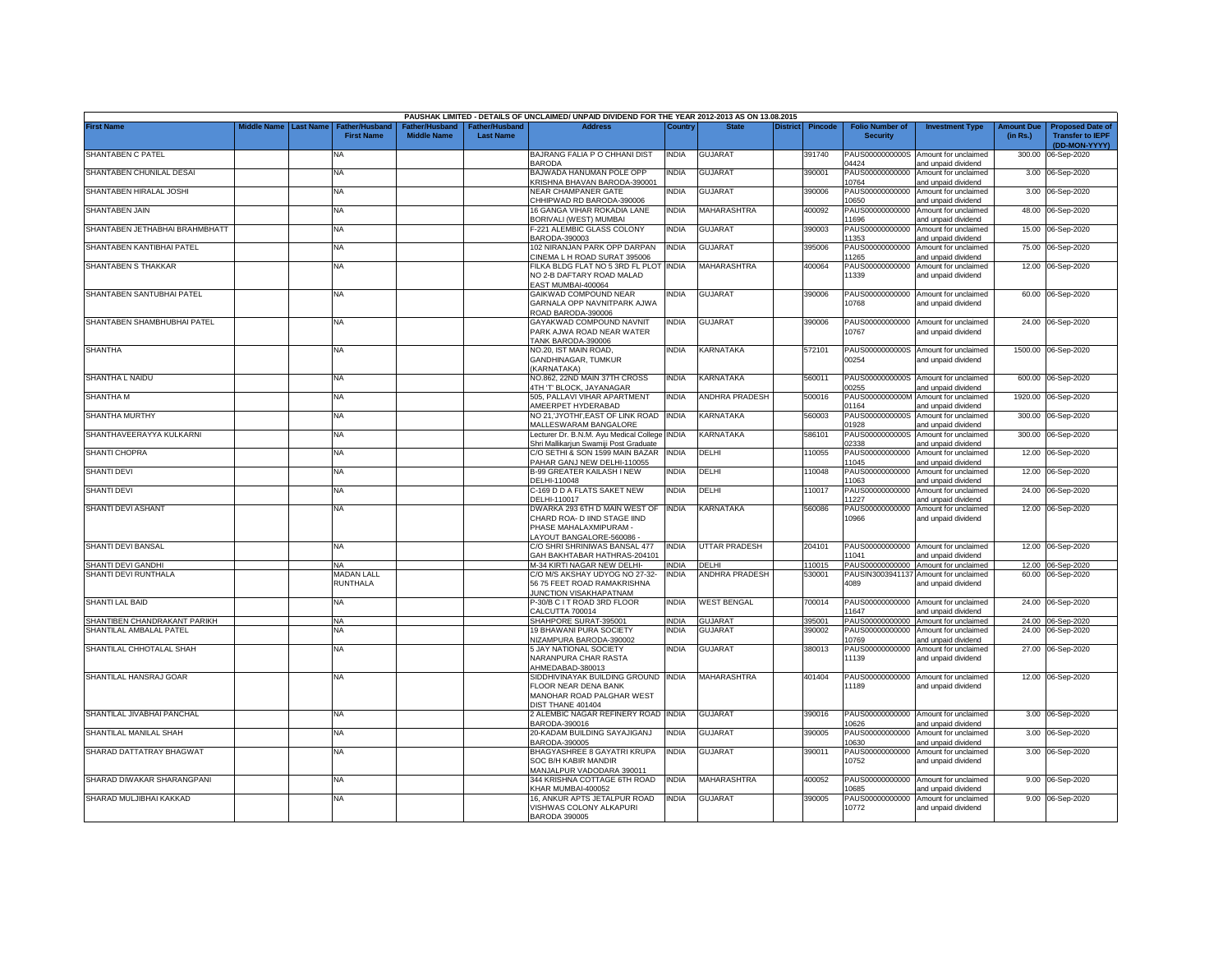|                                |                       |                                            |                                      |                                   | PAUSHAK LIMITED - DETAILS OF UNCLAIMED/ UNPAID DIVIDEND FOR THE YEAR 2012-2013 AS ON 13.08.2015                    |              |                       |                 |                |                                           |                                                              |                               |                                                                     |
|--------------------------------|-----------------------|--------------------------------------------|--------------------------------------|-----------------------------------|--------------------------------------------------------------------------------------------------------------------|--------------|-----------------------|-----------------|----------------|-------------------------------------------|--------------------------------------------------------------|-------------------------------|---------------------------------------------------------------------|
| <b>First Name</b>              | Middle Name Last Name | <b>Father/Husband</b><br><b>First Name</b> | Father/Husband<br><b>Middle Name</b> | ather/Husband<br><b>Last Name</b> | <b>Address</b>                                                                                                     | Country      | <b>State</b>          | <b>District</b> | <b>Pincode</b> | <b>Folio Number of</b><br><b>Security</b> | <b>Investment Type</b>                                       | <b>Amount Due</b><br>(in Rs.) | <b>Proposed Date of</b><br><b>Transfer to IEPF</b><br>(DD-MON-YYYY) |
| SHANTABEN C PATEL              |                       | <b>NA</b>                                  |                                      |                                   | BAJRANG FALIA P O CHHANI DIST<br><b>BARODA</b>                                                                     | <b>INDIA</b> | <b>GUJARAT</b>        |                 | 391740         | 04424                                     | PAUS0000000000S Amount for unclaimed<br>and unpaid dividend  | 300.00                        | 06-Sep-2020                                                         |
| SHANTABEN CHUNILAL DESAI       |                       | <b>NA</b>                                  |                                      |                                   | BAJWADA HANUMAN POLE OPP<br>KRISHNA BHAVAN BARODA-390001                                                           | <b>INDIA</b> | <b>GUJARAT</b>        |                 | 390001         | PAUS00000000000<br>10764                  | Amount for unclaimed<br>and unpaid dividend                  |                               | 3.00 06-Sep-2020                                                    |
| SHANTABEN HIRALAL JOSHI        |                       | <b>NA</b>                                  |                                      |                                   | NEAR CHAMPANER GATE<br>CHHIPWAD RD BARODA-390006                                                                   | <b>INDIA</b> | <b>GUJARAT</b>        |                 | 390006         | PAUS00000000000<br>10650                  | Amount for unclaimed<br>and unpaid dividend                  |                               | 3.00 06-Sep-2020                                                    |
| <b>SHANTABEN JAIN</b>          |                       | <b>NA</b>                                  |                                      |                                   | 16 GANGA VIHAR ROKADIA LANE<br>BORIVALI (WEST) MUMBAI                                                              | <b>INDIA</b> | MAHARASHTRA           |                 | 400092         | PAUS00000000000<br>11696                  | Amount for unclaimed<br>and unpaid dividend                  |                               | 48.00 06-Sep-2020                                                   |
| SHANTABEN JETHABHAI BRAHMBHATT |                       | <b>NA</b>                                  |                                      |                                   | F-221 ALEMBIC GLASS COLONY<br>BARODA-390003                                                                        | <b>INDIA</b> | <b>GUJARAT</b>        |                 | 390003         | PAUS00000000000<br>1353                   | Amount for unclaimed<br>and unpaid dividend                  |                               | 15.00 06-Sep-2020                                                   |
| SHANTABEN KANTIBHAI PATEL      |                       | <b>NA</b>                                  |                                      |                                   | 102 NIRANJAN PARK OPP DARPAN<br>CINEMA L H ROAD SURAT 395006                                                       | <b>INDIA</b> | <b>GUJARAT</b>        |                 | 395006         | 1265                                      | PAUS00000000000 Amount for unclaimed<br>and unpaid dividend  |                               | 75.00 06-Sep-2020                                                   |
| SHANTABEN S THAKKAR            |                       | <b>NA</b>                                  |                                      |                                   | FILKA BLDG FLAT NO 5 3RD FL PLOT INDIA<br>NO 2-B DAFTARY ROAD MALAD<br>EAST MUMBAI-400064                          |              | MAHARASHTRA           |                 | 400064         | 11339                                     | PAUS00000000000 Amount for unclaimed<br>and unpaid dividend  |                               | 12.00 06-Sep-2020                                                   |
| SHANTABEN SANTUBHAI PATEL      |                       | <b>NA</b>                                  |                                      |                                   | GAIKWAD COMPOUND NEAR<br>GARNALA OPP NAVNITPARK AJWA<br>ROAD BARODA-390006                                         | <b>INDIA</b> | <b>GUJARAT</b>        |                 | 390006         | 10768                                     | PAUS00000000000 Amount for unclaimed<br>and unpaid dividend  |                               | 60.00 06-Sep-2020                                                   |
| SHANTABEN SHAMBHUBHAI PATEL    |                       | <b>NA</b>                                  |                                      |                                   | GAYAKWAD COMPOUND NAVNIT<br>PARK AJWA ROAD NEAR WATER<br>TANK BARODA-390006                                        | <b>INDIA</b> | <b>GUJARAT</b>        |                 | 390006         | 10767                                     | PAUS00000000000 Amount for unclaimed<br>and unpaid dividend  |                               | 24.00 06-Sep-2020                                                   |
| <b>SHANTHA</b>                 |                       | <b>NA</b>                                  |                                      |                                   | VO.20, IST MAIN ROAD,<br><b>GANDHINAGAR, TUMKUR</b><br>KARNATAKA)                                                  | <b>INDIA</b> | KARNATAKA             |                 | 572101         | 00254                                     | PAUS0000000000S Amount for unclaimed<br>and unpaid dividend  |                               | 1500.00 06-Sep-2020                                                 |
| SHANTHA L NAIDU                |                       | NA                                         |                                      |                                   | NO.862, 22ND MAIN 37TH CROSS<br>4TH 'T' BLOCK, JAYANAGAR                                                           | <b>INDIA</b> | KARNATAKA             |                 | 560011         | PAUS0000000000S<br>0255                   | Amount for unclaimed<br>nd unpaid dividend                   |                               | 600.00 06-Sep-2020                                                  |
| SHANTHA M                      |                       | NA                                         |                                      |                                   | 505. PALLAVI VIHAR APARTMENT<br>AMEERPET HYDERABAD                                                                 | <b>INDIA</b> | <b>ANDHRA PRADESH</b> |                 | 500016         | PAUS0000000000M<br>01164                  | Amount for unclaimed<br>nd unpaid dividend                   |                               | 1920.00 06-Sep-2020                                                 |
| SHANTHA MURTHY                 |                       | NA                                         |                                      |                                   | NO 21, JYOTHI', EAST OF LINK ROAD<br>MALLESWARAM BANGALORE                                                         | <b>INDIA</b> | KARNATAKA             |                 | 560003         | PAUS0000000000S<br>01928                  | Amount for unclaimed<br>and unpaid dividend                  | 300.00                        | 06-Sep-2020                                                         |
| SHANTHAVEERAYYA KULKARNI       |                       | NA                                         |                                      |                                   | Lecturer Dr. B.N.M. Ayu Medical College INDIA<br>Shri Mallikarjun Swamiji Post Graduate                            |              | KARNATAKA             |                 | 586101         | PAUS0000000000S<br>02338                  | Amount for unclaimed<br>and unpaid dividend                  | 300.00                        | 06-Sep-2020                                                         |
| SHANTI CHOPRA                  |                       | <b>NA</b>                                  |                                      |                                   | C/O SETHI & SON 1599 MAIN BAZAR<br>PAHAR GANJ NEW DELHI-110055                                                     | <b>INDIA</b> | DELHI                 |                 | 110055         | PAUS00000000000<br>11045                  | Amount for unclaimed<br>and unpaid dividend                  | 12.00                         | 06-Sep-2020                                                         |
| <b>SHANTI DEVI</b>             |                       | <b>NA</b>                                  |                                      |                                   | <b>B-99 GREATER KAILASH I NEW</b><br>DELHI-110048                                                                  | <b>INDIA</b> | DELHI                 |                 | 110048         | PAUS00000000000<br>11063                  | Amount for unclaimed<br>and unpaid dividend                  | 12.00                         | 06-Sep-2020                                                         |
| SHANTI DEVI                    |                       | NA                                         |                                      |                                   | C-169 D D A FLATS SAKET NEW<br>DELHI-110017                                                                        | <b>INDIA</b> | DELHI                 |                 | 110017         | PAUS00000000000<br>11227                  | Amount for unclaimed<br>and unpaid dividend                  | 24.00                         | 06-Sep-2020                                                         |
| <b>SHANTI DEVI ASHANT</b>      |                       | <b>NA</b>                                  |                                      |                                   | DWARKA 293 6TH D MAIN WEST OF<br>CHARD ROA- D IIND STAGE IIND<br>PHASE MAHALAXMIPURAM -<br>LAYOUT BANGALORE-560086 | <b>INDIA</b> | <b>KARNATAKA</b>      |                 | 560086         | PAUS00000000000<br>10966                  | Amount for unclaimed<br>and unpaid dividend                  | 12.00                         | 06-Sep-2020                                                         |
| SHANTI DEVI BANSAL             |                       | <b>NA</b>                                  |                                      |                                   | C/O SHRI SHRINIWAS BANSAL 477<br>GAH BAKHTABAR HATHRAS-204101                                                      | <b>INDIA</b> | UTTAR PRADESH         |                 | 204101         | 11041                                     | PAUS00000000000 Amount for unclaimed<br>and unpaid dividend  |                               | 12.00 06-Sep-2020                                                   |
| SHANTI DEVI GANDHI             |                       | NA                                         |                                      |                                   | M-34 KIRTI NAGAR NEW DELHI-                                                                                        | <b>INDIA</b> | <b>DELHI</b>          |                 | 110015         |                                           | PAUS00000000000 Amount for unclaimed                         |                               | 12.00 06-Sep-2020                                                   |
| SHANTI DEVI RUNTHALA           |                       | <b>MADAN LALL</b><br><b>RUNTHALA</b>       |                                      |                                   | C/O M/S AKSHAY UDYOG NO 27-32-<br>56 75 FEET ROAD RAMAKRISHNA<br>JUNCTION VISAKHAPATNAM                            | <b>INDIA</b> | ANDHRA PRADESH        |                 | 530001         | 4089                                      | PAUSIN3003941137 Amount for unclaimed<br>and unpaid dividend |                               | 60.00 06-Sep-2020                                                   |
| SHANTI LAL BAID                |                       | NA                                         |                                      |                                   | P-30/B C I T ROAD 3RD FLOOR<br>CALCUTTA 700014                                                                     | <b>INDIA</b> | <b>WEST BENGAL</b>    |                 | 700014         | 11647                                     | PAUS00000000000 Amount for unclaimed<br>and unpaid dividend  |                               | 24.00 06-Sep-2020                                                   |
| SHANTIBEN CHANDRAKANT PARIKH   |                       | <b>NA</b>                                  |                                      |                                   | SHAHPORE SURAT-395001                                                                                              | <b>INDIA</b> | <b>GUJARA1</b>        |                 | 395001         |                                           | PAUS00000000000 Amount for unclaimed                         |                               | 24.00 06-Sep-2020                                                   |
| SHANTILAL AMBALAL PATEL        |                       | NA                                         |                                      |                                   | <b>19 BHAWANI PURA SOCIETY</b><br>NIZAMPURA BARODA-390002                                                          | <b>INDIA</b> | <b>GUJARA1</b>        |                 | 390002         | PAUS00000000000<br>10769                  | Amount for unclaimed<br>and unpaid dividend                  | 24.00                         | 06-Sep-2020                                                         |
| SHANTILAL CHHOTALAL SHAH       |                       | <b>NA</b>                                  |                                      |                                   | 5 JAY NATIONAL SOCIETY<br>NARANPURA CHAR RASTA<br>AHMEDABAD-380013                                                 | india        | GUJARAT               |                 | 380013         | PAUS00000000000<br>11139                  | Amount for unclaimed<br>and unpaid dividend                  |                               | 27.00 06-Sep-2020                                                   |
| SHANTILAL HANSRAJ GOAR         |                       | NA                                         |                                      |                                   | SIDDHIVINAYAK BUILDING GROUND INDIA<br>FLOOR NEAR DENA BANK<br>MANOHAR ROAD PALGHAR WEST<br>DIST THANE 401404      |              | MAHARASHTRA           |                 | 401404         | 11189                                     | PAUS00000000000 Amount for unclaimed<br>and unpaid dividend  |                               | 12.00 06-Sep-2020                                                   |
| SHANTILAL JIVABHAI PANCHAL     |                       | <b>NA</b>                                  |                                      |                                   | 2 ALEMBIC NAGAR REFINERY ROAD INDIA<br>BARODA-390016                                                               |              | <b>GUJARAT</b>        |                 | 390016         | 10626                                     | PAUS00000000000 Amount for unclaimed<br>and unpaid dividend  |                               | 3.00 06-Sep-2020                                                    |
| SHANTILAL MANILAL SHAH         |                       | <b>NA</b>                                  |                                      |                                   | 20-KADAM BUILDING SAYAJIGANJ<br>BARODA-390005                                                                      | <b>INDIA</b> | <b>GUJARAT</b>        |                 | 390005         | 10630                                     | PAUS00000000000 Amount for unclaimed<br>and unpaid dividend  |                               | 3.00 06-Sep-2020                                                    |
| SHARAD DATTATRAY BHAGWAT       |                       | <b>NA</b>                                  |                                      |                                   | BHAGYASHREE 8 GAYATRI KRUPA<br>SOC B/H KABIR MANDIR<br>MANJALPUR VADODARA 390011                                   | <b>INDIA</b> | <b>GUJARAT</b>        |                 | 390011         | 10752                                     | PAUS00000000000 Amount for unclaimed<br>and unpaid dividend  |                               | 3.00 06-Sep-2020                                                    |
| SHARAD DIWAKAR SHARANGPANI     |                       | <b>NA</b>                                  |                                      |                                   | 344 KRISHNA COTTAGE 6TH ROAD<br>KHAR MUMBAI-400052                                                                 | <b>INDIA</b> | <b>MAHARASHTRA</b>    |                 | 400052         | 0685                                      | PAUS00000000000 Amount for unclaimed<br>and unpaid dividend  |                               | 9.00 06-Sep-2020                                                    |
| SHARAD MULJIBHAI KAKKAD        |                       | <b>NA</b>                                  |                                      |                                   | 16, ANKUR APTS JETALPUR ROAD<br>VISHWAS COLONY ALKAPURI<br><b>BARODA 390005</b>                                    | <b>INDIA</b> | <b>GUJARAT</b>        |                 | 390005         | PAUS00000000000<br>10772                  | Amount for unclaimed<br>and unpaid dividend                  |                               | 9.00 06-Sep-2020                                                    |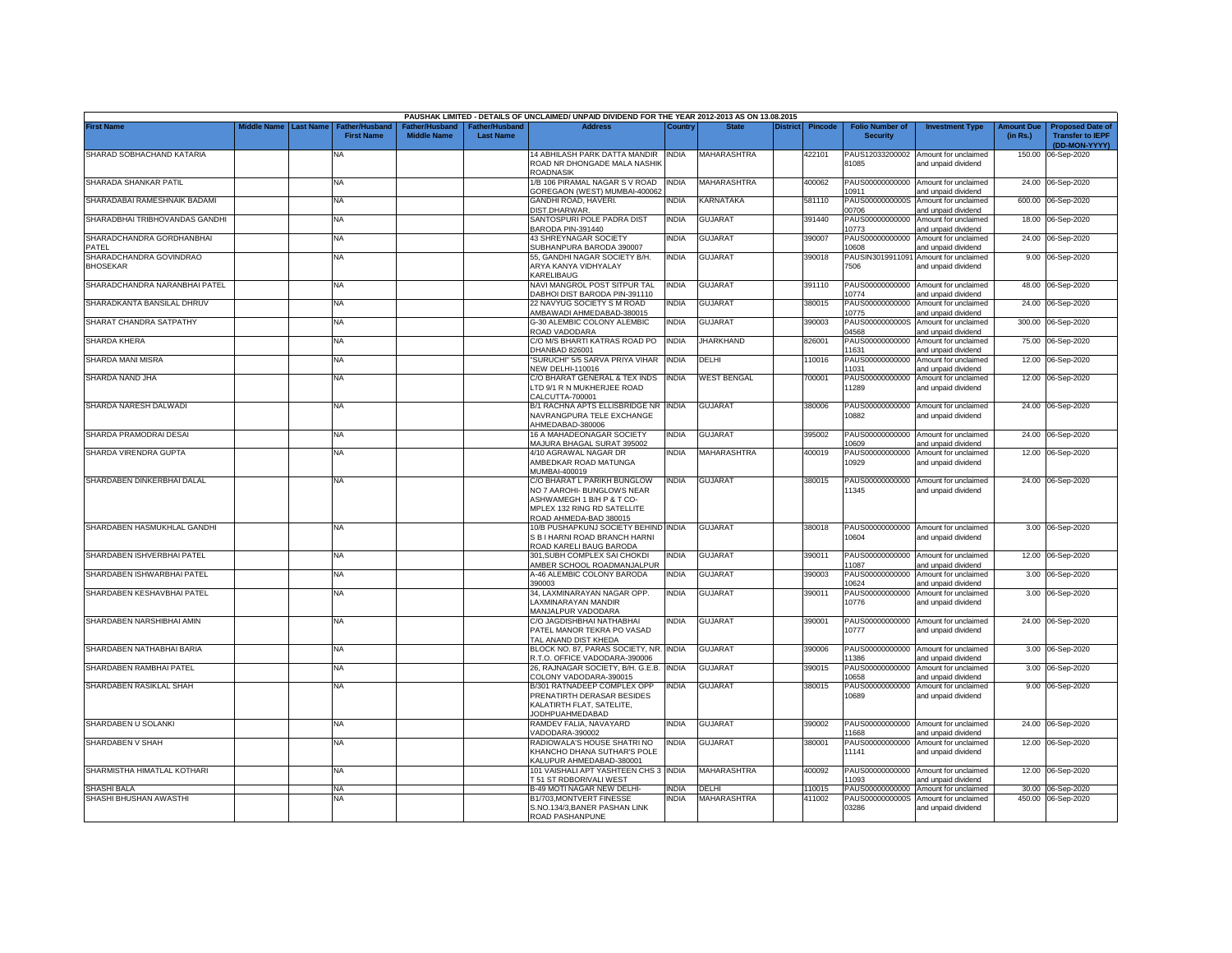|                                            |                       |                                            |                                      |                                                | PAUSHAK LIMITED - DETAILS OF UNCLAIMED/ UNPAID DIVIDEND FOR THE YEAR 2012-2013 AS ON 13.08.2015                                                 |              |                    |                 |         |                                           |                                                             |                               |                                                                     |
|--------------------------------------------|-----------------------|--------------------------------------------|--------------------------------------|------------------------------------------------|-------------------------------------------------------------------------------------------------------------------------------------------------|--------------|--------------------|-----------------|---------|-------------------------------------------|-------------------------------------------------------------|-------------------------------|---------------------------------------------------------------------|
| <b>First Name</b>                          | Middle Name Last Name | <b>Father/Husband</b><br><b>First Name</b> | Father/Husband<br><b>Middle Name</b> | ather/Husband <sup>-</sup><br><b>Last Name</b> | <b>Address</b>                                                                                                                                  | ⊃ountr\      | <b>State</b>       | <b>District</b> | Pincode | <b>Folio Number of</b><br><b>Security</b> | <b>Investment Type</b>                                      | <b>Amount Due</b><br>(in Rs.) | <b>Proposed Date of</b><br><b>Transfer to IEPF</b><br>(DD-MON-YYYY) |
| SHARAD SOBHACHAND KATARIA                  |                       | NA                                         |                                      |                                                | 14 ABHILASH PARK DATTA MANDIR   INDIA<br>ROAD NR DHONGADE MALA NASHIK<br>ROADNASIK                                                              |              | MAHARASHTRA        |                 | 422101  | 81085                                     | PAUS12033200002 Amount for unclaimed<br>and unpaid dividend |                               | 150.00 06-Sep-2020                                                  |
| SHARADA SHANKAR PATIL                      |                       | NΑ                                         |                                      |                                                | 1/B 106 PIRAMAL NAGAR S V ROAD<br>GOREGAON (WEST) MUMBAI-400062                                                                                 | INDIA        | MAHARASHTRA        |                 | 400062  | PAUS00000000000<br>0911                   | Amount for unclaimed<br>and unpaid dividend                 |                               | 24.00 06-Sep-2020                                                   |
| SHARADABAI RAMESHNAIK BADAMI               |                       | <b>NA</b>                                  |                                      |                                                | GANDHI ROAD, HAVERI.<br>DIST.DHARWAR.                                                                                                           | <b>NDIA</b>  | KARNATAKA          |                 | 581110  | PAUS0000000000S<br>00706                  | Amount for unclaimed<br>and unpaid dividend                 |                               | 600.00 06-Sep-2020                                                  |
| SHARADBHAI TRIBHOVANDAS GANDHI             |                       | <b>NA</b>                                  |                                      |                                                | SANTOSPURI POLE PADRA DIST<br>BARODA PIN-391440                                                                                                 | INDIA        | <b>GUJARAT</b>     |                 | 391440  | PAUS00000000000<br>10773                  | Amount for unclaimed<br>and unpaid dividend                 |                               | 18.00 06-Sep-2020                                                   |
| SHARADCHANDRA GORDHANBHAI<br>PATEI         |                       | NA                                         |                                      |                                                | 43 SHREYNAGAR SOCIETY<br>SUBHANPURA BARODA 390007                                                                                               | INDIA        | <b>GUJARAT</b>     |                 | 390007  | PAUS00000000000<br>10608                  | Amount for unclaimed<br>and unpaid dividend                 |                               | 24.00 06-Sep-2020                                                   |
| SHARADCHANDRA GOVINDRAO<br><b>BHOSEKAR</b> |                       | <b>NA</b>                                  |                                      |                                                | 55, GANDHI NAGAR SOCIETY B/H.<br>ARYA KANYA VIDHYALAY<br>KARELIBAUG                                                                             | <b>INDIA</b> | <b>GUJARAT</b>     |                 | 390018  | PAUSIN3019911091<br>7506                  | Amount for unclaimed<br>and unpaid dividend                 |                               | 9.00 06-Sep-2020                                                    |
| SHARADCHANDRA NARANBHAI PATEL              |                       | NA                                         |                                      |                                                | NAVI MANGROL POST SITPUR TAL<br>DABHOI DIST BARODA PIN-391110                                                                                   | <b>INDIA</b> | <b>GUJARAT</b>     |                 | 391110  | 10774                                     | PAUS00000000000 Amount for unclaimed<br>and unpaid dividend |                               | 48.00 06-Sep-2020                                                   |
| SHARADKANTA BANSILAL DHRUV                 |                       | NA                                         |                                      |                                                | 22 NAVYUG SOCIETY S M ROAD<br>MBAWADI AHMEDABAD-380015                                                                                          | NDIA         | GUJARAT            |                 | 380015  | PAUS00000000000<br>10775                  | Amount for unclaimed<br>and unpaid dividend                 |                               | 24.00 06-Sep-2020                                                   |
| SHARAT CHANDRA SATPATHY                    |                       | NA                                         |                                      |                                                | G-30 ALEMBIC COLONY ALEMBIC<br>ROAD VADODARA                                                                                                    | NDIA         | <b>GUJARAT</b>     |                 | 390003  | PAUS0000000000S<br>4568                   | Amount for unclaimed<br>and unpaid dividend                 |                               | 300.00 06-Sep-2020                                                  |
| SHARDA KHERA                               |                       | NA                                         |                                      |                                                | C/O M/S BHARTI KATRAS ROAD PO<br><b>DHANBAD 826001</b>                                                                                          | INDIA        | <b>JHARKHAND</b>   |                 | 326001  | PAUS00000000000<br>11631                  | Amount for unclaimed<br>and unpaid dividend                 |                               | 75.00 06-Sep-2020                                                   |
| SHARDA MANI MISRA                          |                       | <b>NA</b>                                  |                                      |                                                | SURUCHI" 5/5 SARVA PRIYA VIHAR<br><b>VEW DELHI-110016</b>                                                                                       | <b>INDIA</b> | DELHI              |                 | 10016   | PAUS00000000000<br>11031                  | Amount for unclaimed<br>and unpaid dividend                 |                               | 12.00 06-Sep-2020                                                   |
| SHARDA NAND JHA                            |                       | NA                                         |                                      |                                                | C/O BHARAT GENERAL & TEX INDS<br>TD 9/1 R N MUKHERJEE ROAD<br>CALCUTTA-700001                                                                   | <b>INDIA</b> | <b>WEST BENGAL</b> |                 | 700001  | PAUS00000000000<br>11289                  | Amount for unclaimed<br>and unpaid dividend                 |                               | 12.00 06-Sep-2020                                                   |
| SHARDA NARESH DALWADI                      |                       | <b>NA</b>                                  |                                      |                                                | B/1 RACHNA APTS ELLISBRIDGE NR INDIA<br>NAVRANGPURA TELE EXCHANGE<br>AHMEDABAD-380006                                                           |              | <b>GUJARAT</b>     |                 | 380006  | 0882                                      | PAUS00000000000 Amount for unclaimed<br>and unpaid dividend |                               | 24.00 06-Sep-2020                                                   |
| SHARDA PRAMODRAI DESAI                     |                       | <b>NA</b>                                  |                                      |                                                | 16 A MAHADEONAGAR SOCIETY<br>MAJURA BHAGAL SURAT 395002                                                                                         | INDIA        | <b>GUJARAT</b>     |                 | 395002  | 10609                                     | PAUS00000000000 Amount for unclaimed<br>and unpaid dividend |                               | 24.00 06-Sep-2020                                                   |
| SHARDA VIRENDRA GUPTA                      |                       | <b>NA</b>                                  |                                      |                                                | 4/10 AGRAWAL NAGAR DR<br>AMBEDKAR ROAD MATUNGA<br>MUMBAI-400019                                                                                 | NDIA         | <b>MAHARASHTRA</b> |                 | 400019  | PAUS00000000000<br>10929                  | Amount for unclaimed<br>and unpaid dividend                 |                               | 12.00 06-Sep-2020                                                   |
| SHARDABEN DINKERBHAI DALAL                 |                       | <b>NA</b>                                  |                                      |                                                | C/O BHARAT L PARIKH BUNGLOW<br>NO 7 AAROHI- BUNGLOWS NEAR<br>ASHWAMEGH 1 B/H P & T CO-<br>MPLEX 132 RING RD SATELLITE<br>ROAD AHMEDA-BAD 380015 | <b>INDIA</b> | <b>GUJARAT</b>     |                 | 380015  | 11345                                     | PAUS00000000000 Amount for unclaimed<br>and unpaid dividend |                               | 24.00 06-Sep-2020                                                   |
| SHARDABEN HASMUKHLAL GANDHI                |                       | <b>NA</b>                                  |                                      |                                                | 10/B PUSHAPKUNJ SOCIETY BEHIND INDIA<br>S B I HARNI ROAD BRANCH HARNI<br>ROAD KARELI BAUG BARODA                                                |              | <b>GUJARAT</b>     |                 | 380018  | 10604                                     | PAUS00000000000 Amount for unclaimed<br>and unpaid dividend |                               | 3.00 06-Sep-2020                                                    |
| SHARDABEN ISHVERBHAI PATEL                 |                       | <b>NA</b>                                  |                                      |                                                | 301.SUBH COMPLEX SAI CHOKDI<br>AMBER SCHOOL ROADMANJALPUR                                                                                       | INDIA        | <b>GUJARAT</b>     |                 | 390011  | 11087                                     | PAUS00000000000 Amount for unclaimed<br>and unpaid dividend |                               | 12.00 06-Sep-2020                                                   |
| SHARDABEN ISHWARBHAI PATEL                 |                       | NA                                         |                                      |                                                | A-46 ALEMBIC COLONY BARODA<br>390003                                                                                                            | INDIA        | GUJARAT            |                 | 390003  | PAUS00000000000<br>10624                  | Amount for unclaimed<br>and unpaid dividend                 |                               | 3.00 06-Sep-2020                                                    |
| SHARDABEN KESHAVBHAI PATEL                 |                       | NA                                         |                                      |                                                | 34, LAXMINARAYAN NAGAR OPP.<br>LAXMINARAYAN MANDIR<br>MANJALPUR VADODARA                                                                        | INDIA        | GUJARAT            |                 | 390011  | PAUS00000000000<br>10776                  | Amount for unclaimed<br>and unpaid dividend                 |                               | 3.00 06-Sep-2020                                                    |
| SHARDABEN NARSHIBHAI AMIN                  |                       | NA                                         |                                      |                                                | C/O JAGDISHBHAI NATHABHAI<br>PATEL MANOR TEKRA PO VASAD<br>TAL ANAND DIST KHEDA                                                                 | NDIA         | GUJARAT            |                 | 390001  | PAUS00000000000<br>10777                  | Amount for unclaimed<br>and unpaid dividend                 |                               | 24.00 06-Sep-2020                                                   |
| SHARDABEN NATHABHAI BARIA                  |                       | <b>NA</b>                                  |                                      |                                                | BLOCK NO. 87, PARAS SOCIETY, NR. INDIA<br>R.T.O. OFFICE VADODARA-390006                                                                         |              | GUJARAT            |                 | 390006  | PAUS00000000000<br>11386                  | Amount for unclaimed<br>and unpaid dividend                 |                               | 3.00 06-Sep-2020                                                    |
| SHARDABEN RAMBHAI PATEL                    |                       | <b>NA</b>                                  |                                      |                                                | 26, RAJNAGAR SOCIETY, B/H. G.E.B.<br>COLONY VADODARA-390015                                                                                     | <b>INDIA</b> | GUJARAT            |                 | 390015  | PAUS00000000000<br>10658                  | Amount for unclaimed<br>and unpaid dividend                 |                               | 3.00 06-Sep-2020                                                    |
| SHARDABEN RASIKLAL SHAH                    |                       | <b>NA</b>                                  |                                      |                                                | B/301 RATNADEEP COMPLEX OPP<br>PRENATIRTH DERASAR BESIDES<br>KALATIRTH FLAT, SATELITE,<br><b>JODHPUAHMEDABAD</b>                                | NDIA         | <b>GUJARAT</b>     |                 | 380015  | PAUS00000000000<br>10689                  | Amount for unclaimed<br>and unpaid dividend                 |                               | 9.00 06-Sep-2020                                                    |
| SHARDABEN U SOLANKI                        |                       | NA                                         |                                      |                                                | RAMDEV FALIA, NAVAYARD<br>VADODARA-390002                                                                                                       | <b>NDIA</b>  | <b>GUJARAT</b>     |                 | 390002  | 11668                                     | PAUS00000000000 Amount for unclaimed<br>and unpaid dividend |                               | 24.00 06-Sep-2020                                                   |
| SHARDABEN V SHAH                           |                       | <b>NA</b>                                  |                                      |                                                | RADIOWALA'S HOUSE SHATRI NO<br>KHANCHO DHANA SUTHAR'S POLE<br>KALUPUR AHMEDABAD-380001                                                          | NDIA         | <b>GUJARAT</b>     |                 | 380001  | PAUS00000000000<br>11141                  | Amount for unclaimed<br>and unpaid dividend                 |                               | 12.00 06-Sep-2020                                                   |
| SHARMISTHA HIMATLAL KOTHARI                |                       | <b>NA</b>                                  |                                      |                                                | 101 VAISHALI APT YASHTEEN CHS 3 INDIA<br><b>T51 ST RDBORIVALI WEST</b>                                                                          |              | <b>MAHARASHTRA</b> |                 | 400092  | 11093                                     | PAUS00000000000 Amount for unclaimed<br>and unpaid dividend |                               | 12.00 06-Sep-2020                                                   |
| SHASHI BALA                                |                       | <b>NA</b>                                  |                                      |                                                | <b>B-49 MOTI NAGAR NEW DELHI-</b>                                                                                                               | NDIA         | DELHI              |                 | 10015   | PAUS00000000000                           | Amount for unclaimed                                        |                               | 30.00 06-Sep-2020                                                   |
| SHASHI BHUSHAN AWASTHI                     |                       | NA                                         |                                      |                                                | B1/703, MONTVERT FINESSE                                                                                                                        | NDIA         | MAHARASHTRA        |                 | 411002  | PAUS0000000000S                           | Amount for unclaimed                                        |                               | 450.00 06-Sep-2020                                                  |
|                                            |                       |                                            |                                      |                                                | S.NO.134/3.BANER PASHAN LINK<br>ROAD PASHANPUNE                                                                                                 |              |                    |                 |         | 03286                                     | and unpaid dividend                                         |                               |                                                                     |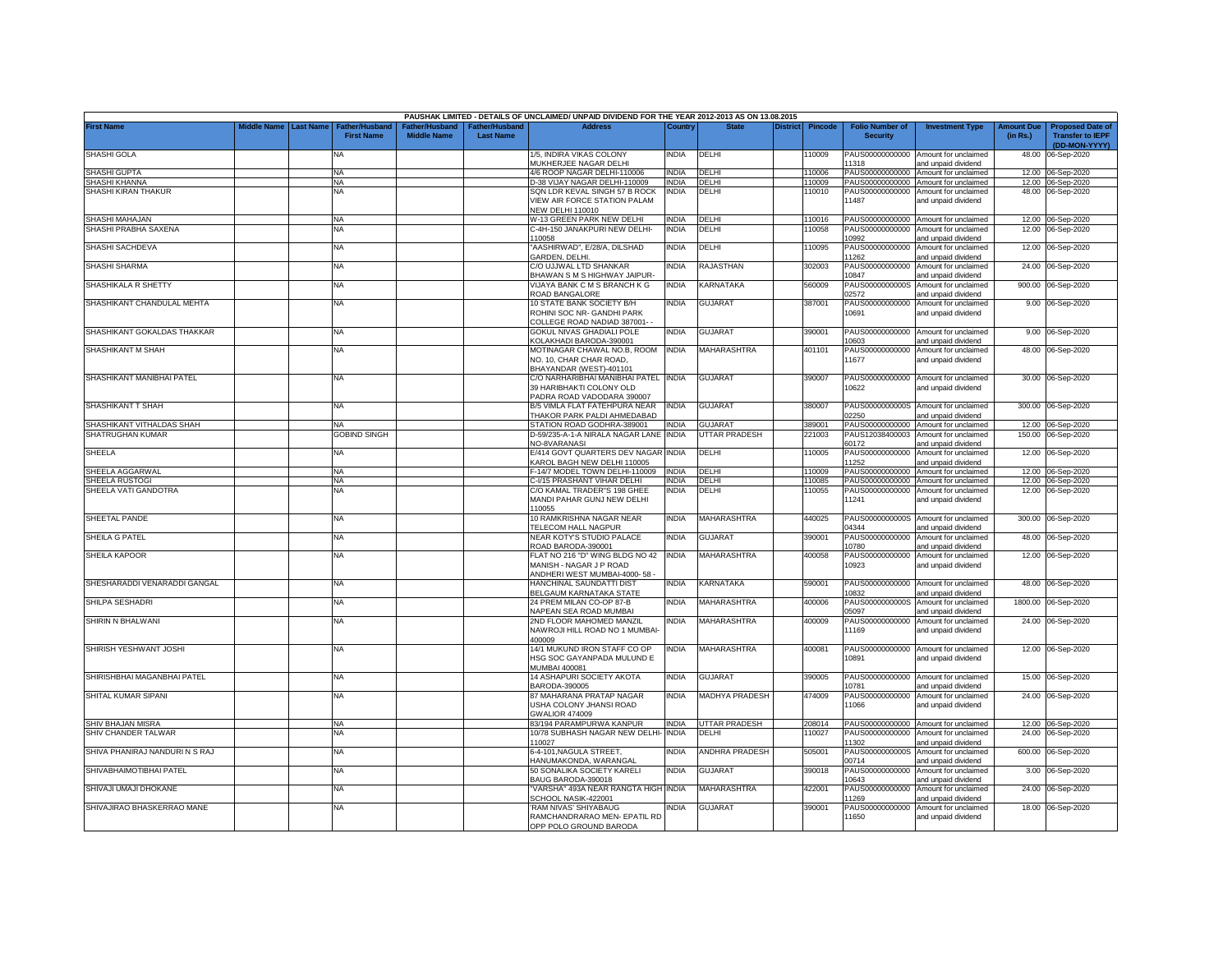|                                        |                                 |                                    |                                     |                                   | PAUSHAK LIMITED - DETAILS OF UNCLAIMED/ UNPAID DIVIDEND FOR THE YEAR 2012-2013 AS ON 13.08.2015 |                              |                       |                  |                                             |                                                                     |                               |                                                                     |
|----------------------------------------|---------------------------------|------------------------------------|-------------------------------------|-----------------------------------|-------------------------------------------------------------------------------------------------|------------------------------|-----------------------|------------------|---------------------------------------------|---------------------------------------------------------------------|-------------------------------|---------------------------------------------------------------------|
| <b>First Name</b>                      | liddle Name<br><b>Last Name</b> | Father/Husban<br><b>First Name</b> | ather/Hushand<br><b>Middle Name</b> | ather/Husband<br><b>Last Name</b> | <b>Address</b>                                                                                  | Country                      | District              | <b>Pincode</b>   | <b>Folio Number of</b><br><b>Security</b>   | <b>Investment Type</b>                                              | <b>Amount Due</b><br>(in Rs.) | <b>Proposed Date of</b><br><b>Transfer to IEPF</b><br>(DD-MON-YYYY) |
| <b>SHASHI GOLA</b>                     |                                 | <b>NA</b>                          |                                     |                                   | 1/5. INDIRA VIKAS COLONY<br>MUKHERJEE NAGAR DELHI                                               | <b>INDIA</b>                 | DELHI                 | 110009           | PAUS00000000000<br>11318                    | Amount for unclaimed<br>and unpaid dividend                         | 48.00                         | 06-Sep-2020                                                         |
| <b>SHASHI GUPTA</b>                    |                                 | <b>NA</b>                          |                                     |                                   | 4/6 ROOP NAGAR DELHI-110006                                                                     | <b>INDIA</b>                 | DELHI                 | 110006           | PAUS00000000000                             | Amount for unclaimed                                                |                               | 12.00 06-Sep-2020                                                   |
| SHASHI KHANNA                          |                                 | <b>NA</b>                          |                                     |                                   | D-38 VIJAY NAGAR DELHI-110009                                                                   | <b>INDIA</b>                 | DELHI                 | 10009            | PAUS00000000000                             | Amount for unclaimed                                                |                               | 12.00 06-Sep-2020                                                   |
| SHASHI KIRAN THAKUR                    |                                 | <b>NA</b>                          |                                     |                                   | SQN LDR KEVAL SINGH 57 B ROCK<br>VIEW AIR FORCE STATION PALAM<br><b>NEW DELHI 110010</b>        | INDIA                        | DELHI                 | 110010           | PAUS00000000000<br>11487                    | Amount for unclaimed<br>and unpaid dividend                         |                               | 48.00 06-Sep-2020                                                   |
| SHASHI MAHAJAN                         |                                 | <b>NA</b>                          |                                     |                                   | W-13 GREEN PARK NEW DELHI                                                                       | <b>INDIA</b>                 | DELHI                 | 110016           |                                             | PAUS00000000000 Amount for unclaimed                                |                               | 12.00 06-Sep-2020                                                   |
| SHASHI PRABHA SAXENA                   |                                 | NA                                 |                                     |                                   | -4H-150 JANAKPURI NEW DELHI-                                                                    | INDIA                        | DELHI                 | 10058            | PAUS00000000000                             | Amount for unclaimed                                                | 12.00                         | 06-Sep-2020                                                         |
| SHASHI SACHDEVA                        |                                 | <b>NA</b>                          |                                     |                                   | 10058<br>AASHIRWAD", E/28/A, DILSHAD                                                            | INDIA                        | DELHI                 | 10095            | 10992<br>PAUS00000000000<br>11262           | and unpaid dividend<br>Amount for unclaimed                         | 12.00                         | 06-Sep-2020                                                         |
| <b>SHASHI SHARMA</b>                   |                                 | <b>NA</b>                          |                                     |                                   | GARDEN, DELHI.<br>C/O UJJWAL LTD SHANKAR<br>BHAWAN S M S HIGHWAY JAIPUR                         | <b>INDIA</b>                 | RAJASTHAN             | 302003           | PAUS00000000000<br>10847                    | and unpaid dividend<br>Amount for unclaimed<br>and unpaid dividend  | 24.00                         | 06-Sep-2020                                                         |
| SHASHIKALA R SHETTY                    |                                 | <b>NA</b>                          |                                     |                                   | VIJAYA BANK C M S BRANCH K G<br>ROAD BANGALORE                                                  | INDIA                        | KARNATAKA             | 560009           | PAUS0000000000S<br>02572                    | Amount for unclaimed<br>and unpaid dividend                         | 900.00                        | 06-Sep-2020                                                         |
| SHASHIKANT CHANDULAL MEHTA             |                                 | <b>NA</b>                          |                                     |                                   | 10 STATE BANK SOCIETY B/H<br>ROHINI SOC NR- GANDHI PARK<br>COLLEGE ROAD NADIAD 387001- -        | <b>INDIA</b>                 | <b>GUJARAT</b>        | 387001           | PAUS00000000000<br>10691                    | Amount for unclaimed<br>and unpaid dividend                         |                               | 9.00 06-Sep-2020                                                    |
| SHASHIKANT GOKALDAS THAKKAR            |                                 | <b>NA</b>                          |                                     |                                   | GOKUL NIVAS GHADIALI POLE<br>KOLAKHADI BARODA-390001                                            | INDIA                        | GUJARAT               | 390001           | PAUS00000000000<br>10603                    | Amount for unclaimed<br>and unpaid dividend                         | 9.00                          | 06-Sep-2020                                                         |
| SHASHIKANT M SHAH                      |                                 | <b>NA</b>                          |                                     |                                   | MOTINAGAR CHAWAL NO.B, ROOM<br>NO. 10, CHAR CHAR ROAD,<br>BHAYANDAR (WEST)-401101               | <b>INDIA</b>                 | MAHARASHTRA           | 401101           | PAUS00000000000<br>11677                    | Amount for unclaimed<br>and unpaid dividend                         | 48.00                         | 06-Sep-2020                                                         |
| SHASHIKANT MANIBHAI PATEL              |                                 | <b>NA</b>                          |                                     |                                   | C/O NARHARIBHAI MANIBHAI PATEL INDIA<br>39 HARIBHAKTI COLONY OLD<br>ADRA ROAD VADODARA 390007   |                              | <b>GUJARAT</b>        | 390007           | PAUS00000000000<br>10622                    | Amount for unclaimed<br>and unpaid dividend                         |                               | 30.00 06-Sep-2020                                                   |
| SHASHIKANT T SHAH                      |                                 | <b>NA</b>                          |                                     |                                   | B/5 VIMLA FLAT FATEHPURA NEAR<br>THAKOR PARK PALDI AHMEDABAD                                    | india                        | <b>GUJARAT</b>        | 380007           | PAUS0000000000S<br>02250                    | Amount for unclaimed<br>and unpaid dividend                         |                               | 300.00 06-Sep-2020                                                  |
| SHASHIKANT VITHALDAS SHAH              |                                 | <b>NA</b>                          |                                     |                                   | STATION ROAD GODHRA-389001                                                                      | <b>INDIA</b>                 | <b>GUJARAT</b>        | 389001           | PAUS00000000000                             | Amount for unclaimed                                                |                               | 12.00 06-Sep-2020                                                   |
| SHATRUGHAN KUMAR                       |                                 | <b>GOBIND SINGH</b>                |                                     |                                   | D-59/235-A-1-A NIRALA NAGAR LANE<br>NO-8VARANASI                                                | INDIA                        | <b>JTTAR PRADESH</b>  | 221003           | PAUS12038400003<br>30172                    | Amount for unclaimed<br>and unpaid dividend                         | 150.00                        | 06-Sep-2020                                                         |
| SHEELA                                 |                                 | <b>NA</b>                          |                                     |                                   | E/414 GOVT QUARTERS DEV NAGAR INDIA<br>KAROL BAGH NEW DELHI 110005                              |                              | DELHI                 | 110005           | PAUS00000000000<br>11252                    | Amount for unclaimed<br>and unpaid dividend                         |                               | 12.00 06-Sep-2020                                                   |
| SHEELA AGGARWAL                        |                                 | <b>NA</b><br><b>NA</b>             |                                     |                                   | F-14/7 MODEL TOWN DELHI-110009<br>C-I/15 PRASHANT VIHAR DELHI                                   | <b>INDIA</b><br><b>INDIA</b> | DELHI<br>DELHI        | 110009<br>110085 | PAUS00000000000                             | Amount for unclaimed                                                |                               | 12.00 06-Sep-2020                                                   |
| SHEELA RUSTOGI<br>SHEELA VATI GANDOTRA |                                 | <b>NA</b>                          |                                     |                                   | C/O KAMAL TRADER'S 198 GHEE<br>MANDI PAHAR GUNJ NEW DELHI<br>10055                              | <b>INDIA</b>                 | DELHI                 | 110055           | PAUS00000000000<br>PAUS00000000000<br>11241 | Amount for unclaimed<br>Amount for unclaimed<br>and unpaid dividend |                               | 12.00 06-Sep-2020<br>12.00 06-Sep-2020                              |
| SHEETAL PANDE                          |                                 | <b>NA</b>                          |                                     |                                   | 10 RAMKRISHNA NAGAR NEAR<br><b>FELECOM HALL NAGPUR</b>                                          | India                        | MAHARASHTRA           | 440025           | PAUS0000000000S<br>04344                    | Amount for unclaimed<br>and unpaid dividend                         |                               | 300.00 06-Sep-2020                                                  |
| SHEILA G PATEL                         |                                 | <b>NA</b>                          |                                     |                                   | NEAR KOTY'S STUDIO PALACE<br>ROAD BARODA-390001                                                 | INDIA                        | <b>GUJARAT</b>        | 390001           | PAUS00000000000<br>10780                    | Amount for unclaimed<br>and unpaid dividend                         |                               | 48.00 06-Sep-2020                                                   |
| <b>SHEILA KAPOOR</b>                   |                                 | <b>NA</b>                          |                                     |                                   | FLAT NO 216 "D" WING BLDG NO 42<br>MANISH - NAGAR J P ROAD<br>ANDHERI WEST MUMBAI-4000-58       | <b>INDIA</b>                 | MAHARASHTRA           | 400058           | PAUS00000000000<br>10923                    | Amount for unclaimed<br>and unpaid dividend                         |                               | 12.00 06-Sep-2020                                                   |
| SHESHARADDI VENARADDI GANGAL           |                                 | <b>NA</b>                          |                                     |                                   | HANCHINAL SAUNDATTI DIST<br>BELGAUM KARNATAKA STATE                                             | India                        | KARNATAKA             | 590001           | PAUS00000000000<br>10832                    | Amount for unclaimed<br>hnebivib biegnd bne                         | 48.00                         | 06-Sep-2020                                                         |
| SHILPA SESHADRI                        |                                 | NA                                 |                                     |                                   | 24 PREM MILAN CO-OP 87-B<br><b>VAPEAN SEA ROAD MUMBAI</b>                                       | <b>INDIA</b>                 | <b>MAHARASHTRA</b>    | 400006           | PAUS0000000000S<br>5097                     | Amount for unclaimed<br>and unpaid dividend                         |                               | 1800.00 06-Sep-2020                                                 |
| SHIRIN N BHALWANI                      |                                 | ΝA                                 |                                     |                                   | 2ND FLOOR MAHOMED MANZIL<br>NAWROJI HILL ROAD NO 1 MUMBAI-<br>400009                            | INDIA                        | MAHARASHTRA           | 400009           | PAUS00000000000<br>11169                    | Amount for unclaimed<br>and unpaid dividend                         |                               | 24.00 06-Sep-2020                                                   |
| SHIRISH YESHWANT JOSHI                 |                                 | <b>NA</b>                          |                                     |                                   | 14/1 MUKUND IRON STAFF CO OP<br>HSG SOC GAYANPADA MULUND E<br>MUMBAI 400081                     | india                        | MAHARASHTRA           | 400081           | PAUS00000000000<br>10891                    | Amount for unclaimed<br>and unpaid dividend                         |                               | 12.00 06-Sep-2020                                                   |
| SHIRISHBHAI MAGANBHAI PATEL            |                                 | NA                                 |                                     |                                   | 14 ASHAPURI SOCIETY AKOTA<br>BARODA-390005                                                      | <b>INDIA</b>                 | <b>GUJARAT</b>        | 390005           | PAUS00000000000<br>10781                    | Amount for unclaimed<br>and unpaid dividend                         | 15.00                         | 06-Sep-2020                                                         |
| SHITAL KUMAR SIPANI                    |                                 | <b>NA</b>                          |                                     |                                   | 87 MAHARANA PRATAP NAGAR<br>USHA COLONY JHANSI ROAD<br><b>GWALIOR 474009</b>                    | INDIA                        | <b>MADHYA PRADESH</b> | 474009           | PAUS00000000000<br>11066                    | Amount for unclaimed<br>and unpaid dividend                         |                               | 24.00 06-Sep-2020                                                   |
| SHIV BHAJAN MISRA                      |                                 | <b>NA</b>                          |                                     |                                   | 83/194 PARAMPURWA KANPUR                                                                        | <b>INDIA</b>                 | UTTAR PRADESH         | 208014           |                                             | PAUS00000000000 Amount for unclaimed                                |                               | 12.00 06-Sep-2020                                                   |
| SHIV CHANDER TALWAR                    |                                 | <b>NA</b>                          |                                     |                                   | 10/78 SUBHASH NAGAR NEW DELHI-<br>110027                                                        | <b>INDIA</b>                 | DELHI                 | 110027           | PAUS00000000000<br>11302                    | Amount for unclaimed<br>and unpaid dividend                         |                               | 24.00 06-Sep-2020                                                   |
| SHIVA PHANIRAJ NANDURI N S RAJ         |                                 | <b>NA</b>                          |                                     |                                   | 6-4-101, NAGULA STREET,<br>HANUMAKONDA, WARANGAL                                                | INDIA                        | ANDHRA PRADESH        | 505001           | PAUS0000000000S<br>00714                    | Amount for unclaimed<br>and unpaid dividend                         | 600.00                        | 06-Sep-2020                                                         |
| SHIVABHAIMOTIBHAI PATEL                |                                 | <b>NA</b>                          |                                     |                                   | 50 SONALIKA SOCIETY KARELI<br>BAUG BARODA-390018                                                | INDIA                        | <b>GUJARAT</b>        | 390018           | PAUS00000000000<br>10643                    | Amount for unclaimed<br>and unpaid dividend                         | 3.00                          | 06-Sep-2020                                                         |
| SHIVAJI UMAJI DHOKANE                  |                                 | <b>NA</b>                          |                                     |                                   | VARSHA" 493A NEAR RANGTA HIGH INDIA<br>SCHOOL NASIK-422001                                      |                              | MAHARASHTRA           | 422001           | PAUS00000000000<br>11269                    | Amount for unclaimed<br>and unpaid dividend                         | 24.00                         | 06-Sep-2020                                                         |
| SHIVAJIRAO BHASKERRAO MANE             |                                 | <b>NA</b>                          |                                     |                                   | RAM NIVAS' SHIYABAUG<br>RAMCHANDRARAO MEN- EPATIL RD<br>OPP POLO GROUND BARODA                  | NDIA                         | GUJARAT               | 390001           | PAUS00000000000<br>11650                    | Amount for unclaimed<br>and unpaid dividend                         |                               | 18.00 06-Sep-2020                                                   |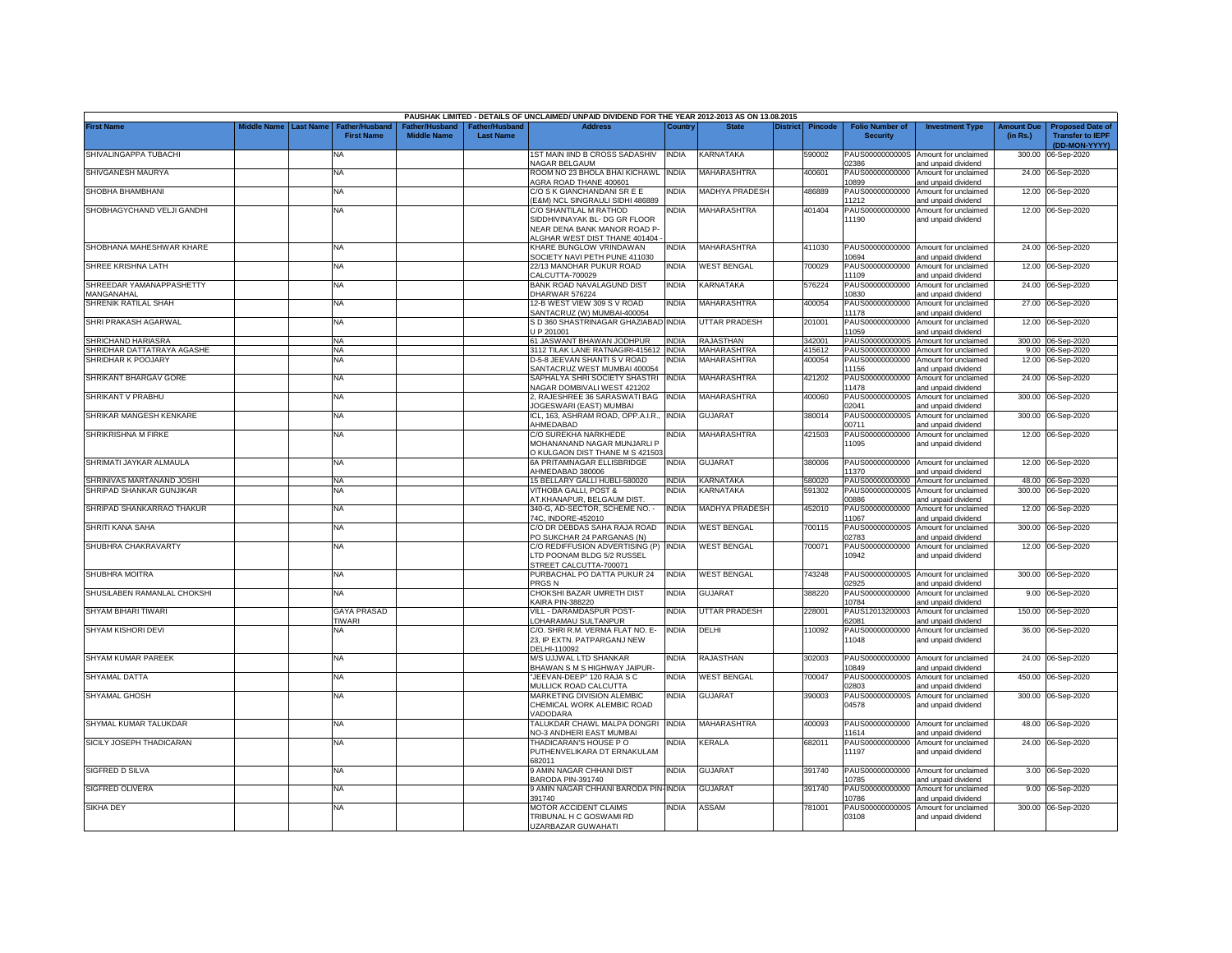|                                        |             |                  |                                     |                                      |                                           | PAUSHAK LIMITED - DETAILS OF UNCLAIMED/ UNPAID DIVIDEND FOR THE YEAR 2012-2013 AS ON 13.08.2015                          |              |                       |                 |                |                                           |                                                             |                               |                                                                     |
|----------------------------------------|-------------|------------------|-------------------------------------|--------------------------------------|-------------------------------------------|--------------------------------------------------------------------------------------------------------------------------|--------------|-----------------------|-----------------|----------------|-------------------------------------------|-------------------------------------------------------------|-------------------------------|---------------------------------------------------------------------|
| <b>First Name</b>                      | liddle Name | <b>Last Name</b> | Father/Husband<br><b>First Name</b> | Father/Husband<br><b>Middle Name</b> | <b>Father/Husband</b><br><b>Last Name</b> | <b>Address</b>                                                                                                           | Country      | <b>State</b>          | <b>District</b> | <b>Pincode</b> | <b>Folio Number of</b><br><b>Security</b> | <b>Investment Type</b>                                      | <b>Amount Due</b><br>(in Rs.) | <b>Proposed Date of</b><br><b>Transfer to IEPF</b><br>(DD-MON-YYYY) |
| SHIVALINGAPPA TUBACHI                  |             |                  | NA                                  |                                      |                                           | 1ST MAIN IIND B CROSS SADASHIV<br>NAGAR BELGAUM                                                                          | <b>INDIA</b> | KARNATAKA             |                 | 590002         | 2386                                      | PAUS0000000000S Amount for unclaimed<br>and unpaid dividend | 300.00                        | 06-Sep-2020                                                         |
| SHIVGANESH MAURYA                      |             |                  | <b>NA</b>                           |                                      |                                           | ROOM NO 23 BHOLA BHAI KICHAWL<br>AGRA ROAD THANE 400601                                                                  | <b>INDIA</b> | MAHARASHTRA           |                 | 400601         | PAUS00000000000<br>0899                   | Amount for unclaimed<br>and unpaid dividend                 |                               | 24.00 06-Sep-2020                                                   |
| SHOBHA BHAMBHANI                       |             |                  | <b>NA</b>                           |                                      |                                           | C/O S K GIANCHANDANI SR E E<br>E&M) NCL SINGRAULI SIDHI 486889                                                           | <b>INDIA</b> | <b>MADHYA PRADESH</b> |                 | 486889         | PAUS00000000000<br>11212                  | Amount for unclaimed<br>and unpaid dividend                 |                               | 12.00 06-Sep-2020                                                   |
| SHOBHAGYCHAND VELJI GANDHI             |             |                  | <b>NA</b>                           |                                      |                                           | C/O SHANTILAL M RATHOD<br>SIDDHIVINAYAK BL- DG GR FLOOR<br>NEAR DENA BANK MANOR ROAD P-<br>ALGHAR WEST DIST THANE 401404 | <b>INDIA</b> | MAHARASHTRA           |                 | 401404         | 11190                                     | PAUS00000000000 Amount for unclaimed<br>and unpaid dividend |                               | 12.00 06-Sep-2020                                                   |
| SHOBHANA MAHESHWAR KHARE               |             |                  | NA                                  |                                      |                                           | KHARE BUNGLOW VRINDAWAN<br>SOCIETY NAVI PETH PUNE 411030                                                                 | <b>INDIA</b> | <b>MAHARASHTRA</b>    |                 | 411030         | 0694                                      | PAUS00000000000 Amount for unclaimed<br>and unpaid dividend |                               | 24.00 06-Sep-2020                                                   |
| SHREE KRISHNA LATH                     |             |                  | <b>NA</b>                           |                                      |                                           | 22/13 MANOHAR PUKUR ROAD<br>CALCUTTA-700029                                                                              | <b>INDIA</b> | <b>WEST BENGAL</b>    |                 | 700029         | PAUS00000000000<br>11109                  | Amount for unclaimed<br>and unpaid dividend                 | 12.00                         | 06-Sep-2020                                                         |
| SHREEDAR YAMANAPPASHETTY<br>MANGANAHAL |             |                  | NA                                  |                                      |                                           | BANK ROAD NAVALAGUND DIST<br>DHARWAR 576224                                                                              | <b>INDIA</b> | KARNATAKA             |                 | 576224         | PAUS00000000000<br>0830                   | Amount for unclaimed<br>and unpaid dividend                 |                               | 24.00 06-Sep-2020                                                   |
| SHRENIK RATILAL SHAH                   |             |                  | <b>NA</b>                           |                                      |                                           | 12-B WEST VIEW 309 S V ROAD<br>SANTACRUZ (W) MUMBAI-400054                                                               | <b>INDIA</b> | MAHARASHTRA           |                 | 400054         | PAUS00000000000<br>11178                  | Amount for unclaimed<br>and unpaid dividend                 | 27.00                         | 06-Sep-2020                                                         |
| SHRI PRAKASH AGARWAL                   |             |                  | <b>NA</b>                           |                                      |                                           | S D 360 SHASTRINAGAR GHAZIABAD INDIA<br>UP 201001                                                                        |              | <b>UTTAR PRADESH</b>  |                 | 201001         | PAUS00000000000<br>11059                  | Amount for unclaimed<br>and unpaid dividend                 | 12.00                         | 06-Sep-2020                                                         |
| SHRICHAND HARIASRA                     |             |                  | <b>NA</b>                           |                                      |                                           | 61 JASWANT BHAWAN JODHPUR                                                                                                | <b>INDIA</b> | RAJASTHAN             |                 | 342001         | PAUS0000000000S                           | Amount for unclaimed                                        | 300.00                        | 06-Sep-2020                                                         |
| SHRIDHAR DATTATRAYA AGASHE             |             |                  | <b>NA</b>                           |                                      |                                           | 3112 TILAK LANE RATNAGIRI-415612                                                                                         | <b>INDIA</b> | <b>MAHARASHTRA</b>    |                 | 415612         | PAUS00000000000                           | Amount for unclaimed                                        | 9.00                          | 06-Sep-2020                                                         |
| SHRIDHAR K POOJARY                     |             |                  | <b>NA</b>                           |                                      |                                           | D-5-8 JEEVAN SHANTI S V ROAD<br>SANTACRUZ WEST MUMBAI 400054                                                             | <b>INDIA</b> | MAHARASHTRA           |                 | 400054         | PAUS00000000000<br>11156                  | Amount for unclaimed<br>and unpaid dividend                 | 12.00                         | 06-Sep-2020                                                         |
| SHRIKANT BHARGAV GORE                  |             |                  | <b>NA</b>                           |                                      |                                           | SAPHALYA SHRI SOCIETY SHASTRI<br>NAGAR DOMBIVALI WEST 421202                                                             | <b>INDIA</b> | <b>MAHARASHTRA</b>    |                 | 421202         | PAUS00000000000<br>11478                  | Amount for unclaimed<br>and unpaid dividend                 | 24.00                         | 06-Sep-2020                                                         |
| SHRIKANT V PRABHU                      |             |                  | <b>NA</b>                           |                                      |                                           | 2, RAJESHREE 36 SARASWATI BAG<br>JOGESWARI (EAST) MUMBAI                                                                 | <b>INDIA</b> | <b>MAHARASHTRA</b>    |                 | 400060         | PAUS0000000000S<br>02041                  | Amount for unclaimed<br>and unpaid dividend                 | 300.00                        | 06-Sep-2020                                                         |
| SHRIKAR MANGESH KENKARE                |             |                  | <b>NA</b>                           |                                      |                                           | ICL, 163, ASHRAM ROAD, OPP.A.I.R.,<br>AHMEDABAD                                                                          | <b>INDIA</b> | <b>GUJARAT</b>        |                 | 380014         | PAUS0000000000S<br>00711                  | Amount for unclaimed<br>and unpaid dividend                 | 300.00                        | 06-Sep-2020                                                         |
| SHRIKRISHNA M FIRKE                    |             |                  | <b>NA</b>                           |                                      |                                           | C/O SUREKHA NARKHEDE<br>MOHANANAND NAGAR MUNJARLI P<br>O KULGAON DIST THANE M S 421503                                   | NDIA         | MAHARASHTRA           |                 | 421503         | PAUS00000000000<br>11095                  | Amount for unclaimed<br>and unpaid dividend                 | 12.00                         | 06-Sep-2020                                                         |
| SHRIMATI JAYKAR ALMAULA                |             |                  | NA                                  |                                      |                                           | 6A PRITAMNAGAR ELLISBRIDGE<br>AHMEDABAD 380006                                                                           | <b>INDIA</b> | <b>GUJARAT</b>        |                 | 380006         | 11370                                     | PAUS00000000000 Amount for unclaimed<br>and unpaid dividend |                               | 12.00 06-Sep-2020                                                   |
| SHRINIVAS MARTANAND JOSHI              |             |                  | <b>NA</b>                           |                                      |                                           | 15 BELLARY GALLI HUBLI-580020                                                                                            | <b>INDIA</b> | KARNATAKA             |                 | 580020         |                                           | PAUS00000000000 Amount for unclaimed                        |                               | 48.00 06-Sep-2020                                                   |
| SHRIPAD SHANKAR GUNJIKAR               |             |                  | <b>NA</b>                           |                                      |                                           | VITHOBA GALLI, POST &<br>AT.KHANAPUR, BELGAUM DIST.                                                                      | <b>INDIA</b> | KARNATAKA             |                 | 591302         | 00886                                     | PAUS0000000000S Amount for unclaimed<br>and unpaid dividend |                               | 300.00 06-Sep-2020                                                  |
| SHRIPAD SHANKARRAO THAKUR              |             |                  | <b>NA</b>                           |                                      |                                           | 340-G, AD-SECTOR, SCHEME NO. -<br>74C, INDORE-452010                                                                     | <b>INDIA</b> | <b>MADHYA PRADESH</b> |                 | 452010         | 1067                                      | PAUS00000000000 Amount for unclaimed<br>and unpaid dividend |                               | 12.00 06-Sep-2020                                                   |
| SHRITI KANA SAHA                       |             |                  | <b>NA</b>                           |                                      |                                           | C/O DR DEBDAS SAHA RAJA ROAD<br>PO SUKCHAR 24 PARGANAS (N)                                                               | <b>INDIA</b> | <b>WEST BENGAL</b>    |                 | 700115         | PAUS0000000000S<br>02783                  | Amount for unclaimed<br>and unpaid dividend                 |                               | 300.00 06-Sep-2020                                                  |
| SHUBHRA CHAKRAVARTY                    |             |                  | <b>NA</b>                           |                                      |                                           | C/O REDIFFUSION ADVERTISING (P)<br>LTD POONAM BLDG 5/2 RUSSEL<br>STREET CALCUTTA-700071                                  | <b>INDIA</b> | <b>WEST BENGAL</b>    |                 | 700071         | 10942                                     | PAUS00000000000 Amount for unclaimed<br>and unpaid dividend |                               | 12.00 06-Sep-2020                                                   |
| SHUBHRA MOITRA                         |             |                  | <b>NA</b>                           |                                      |                                           | PURBACHAL PO DATTA PUKUR 24<br>PRGS <sub>N</sub>                                                                         | <b>INDIA</b> | <b>WEST BENGAL</b>    |                 | 743248         | )2925                                     | PAUS0000000000S Amount for unclaimed<br>and unpaid dividend |                               | 300.00 06-Sep-2020                                                  |
| SHUSILABEN RAMANLAL CHOKSHI            |             |                  | NA                                  |                                      |                                           | CHOKSHI BAZAR UMRETH DIST<br><b>CAIRA PIN-388220</b>                                                                     | <b>INDIA</b> | <b>GUJARAT</b>        |                 | 388220         | PAUS00000000000<br>10784                  | Amount for unclaimed<br>and unpaid dividend                 |                               | 9.00 06-Sep-2020                                                    |
| SHYAM BIHARI TIWARI                    |             |                  | <b>GAYA PRASAD</b><br>TIWARI        |                                      |                                           | VILL - DARAMDASPUR POST-<br>OHARAMAU SULTANPUR                                                                           | <b>INDIA</b> | <b>UTTAR PRADESH</b>  |                 | 228001         | PAUS12013200003<br>32081                  | Amount for unclaimed<br>and unpaid dividend                 | 150.00                        | 06-Sep-2020                                                         |
| SHYAM KISHORI DEVI                     |             |                  | NA                                  |                                      |                                           | C/O. SHRI R.M. VERMA FLAT NO. E-<br>23, IP EXTN. PATPARGANJ NEW<br>DELHI-110092                                          | <b>INDIA</b> | DELHI                 |                 | 110092         | PAUS00000000000<br>11048                  | Amount for unclaimed<br>and unpaid dividend                 |                               | 36.00 06-Sep-2020                                                   |
| SHYAM KUMAR PAREEK                     |             |                  | <b>NA</b>                           |                                      |                                           | M/S UJJWAL LTD SHANKAR<br>BHAWAN S M S HIGHWAY JAIPUR-                                                                   | <b>INDIA</b> | <b>RAJASTHAN</b>      |                 | 302003         | 10849                                     | PAUS00000000000 Amount for unclaimed<br>and unpaid dividend | 24.00                         | 06-Sep-2020                                                         |
| <b>SHYAMAL DATTA</b>                   |             |                  | <b>NA</b>                           |                                      |                                           | "JEEVAN-DEEP" 120 RAJA S C<br>MULLICK ROAD CALCUTTA                                                                      | <b>INDIA</b> | <b>WEST BENGAL</b>    |                 | 700047         | PAUS0000000000S<br>02803                  | Amount for unclaimed<br>and unpaid dividend                 |                               | 450.00 06-Sep-2020                                                  |
| <b>SHYAMAL GHOSH</b>                   |             |                  | <b>NA</b>                           |                                      |                                           | MARKETING DIVISION ALEMBIC<br>CHEMICAL WORK ALEMBIC ROAD<br>VADODARA                                                     | <b>INDIA</b> | GUJARAT               |                 | 390003         | PAUS0000000000S<br>04578                  | Amount for unclaimed<br>and unpaid dividend                 | 300.00                        | 06-Sep-2020                                                         |
| SHYMAL KUMAR TALUKDAR                  |             |                  | <b>NA</b>                           |                                      |                                           | TALUKDAR CHAWL MALPA DONGRI<br>NO-3 ANDHERI EAST MUMBAI                                                                  | <b>INDIA</b> | MAHARASHTRA           |                 | 400093         | 11614                                     | PAUS00000000000 Amount for unclaimed<br>and unpaid dividend |                               | 48.00 06-Sep-2020                                                   |
| SICILY JOSEPH THADICARAN               |             |                  | <b>NA</b>                           |                                      |                                           | THADICARAN'S HOUSE PO<br>PUTHENVELIKARA DT ERNAKULAM<br>682011                                                           | india        | KERALA                |                 | 682011         | 11197                                     | PAUS00000000000 Amount for unclaimed<br>and unpaid dividend |                               | 24.00 06-Sep-2020                                                   |
| SIGFRED D SILVA                        |             |                  | ΝA                                  |                                      |                                           | 9 AMIN NAGAR CHHANI DIST<br><b>BARODA PIN-391740</b>                                                                     | <b>INDIA</b> | GUJARAT               |                 | 391740         | 10785                                     | PAUS00000000000 Amount for unclaimed<br>and unpaid dividend |                               | 3.00 06-Sep-2020                                                    |
| SIGFRED OLIVERA                        |             |                  | NA                                  |                                      |                                           | 9 AMIN NAGAR CHHANI BARODA PIN-INDIA<br>391740                                                                           |              | <b>GUJARAT</b>        |                 | 391740         | PAUS00000000000<br>10786                  | Amount for unclaimed<br>and unpaid dividend                 |                               | 9.00 06-Sep-2020                                                    |
| <b>SIKHA DEY</b>                       |             |                  | <b>NA</b>                           |                                      |                                           | MOTOR ACCIDENT CLAIMS<br>TRIBUNAL H C GOSWAMI RD<br>UZARBAZAR GUWAHATI                                                   | <b>INDIA</b> | ASSAM                 |                 | 781001         | 03108                                     | PAUS0000000000S Amount for unclaimed<br>and unpaid dividend |                               | 300.00 06-Sep-2020                                                  |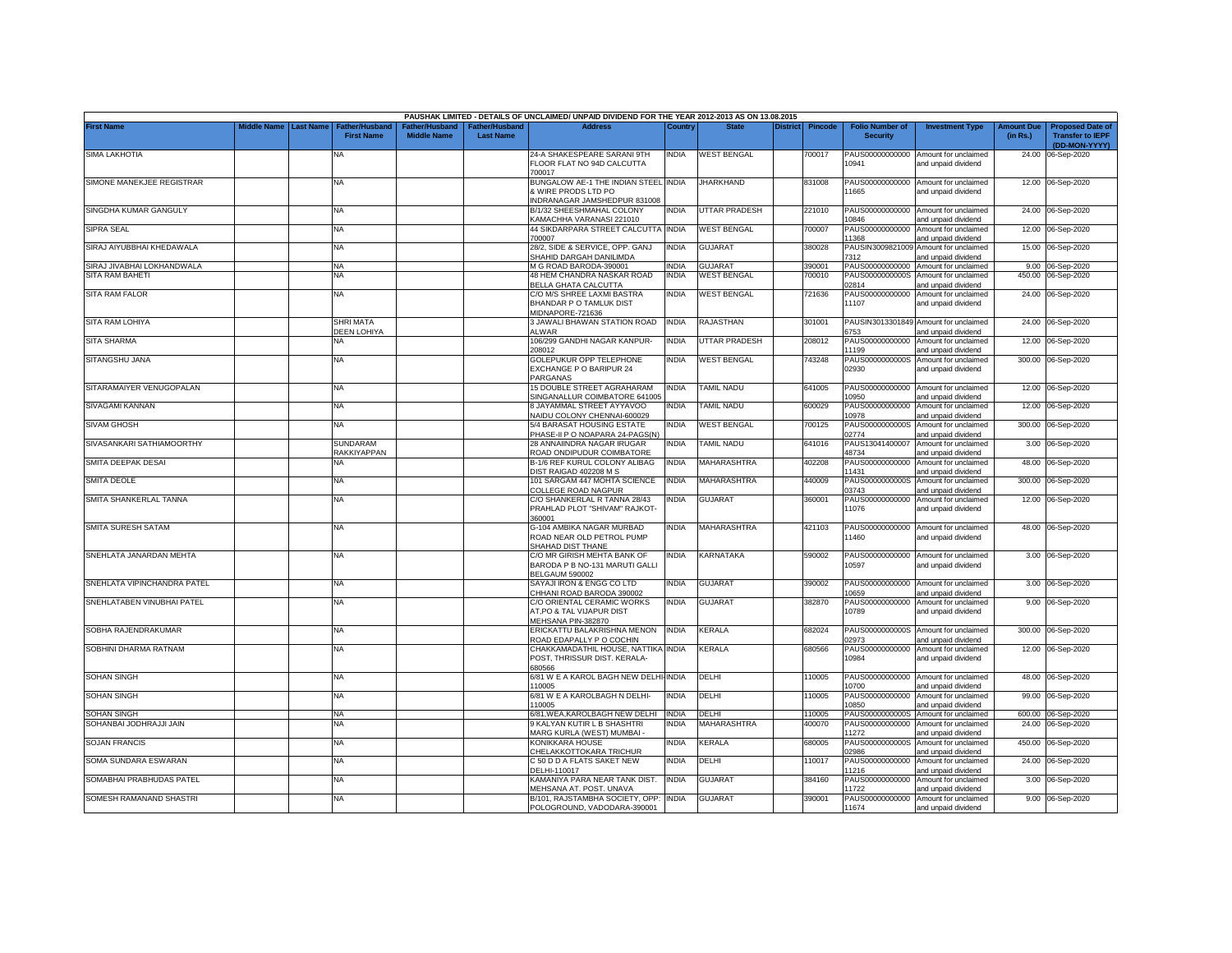|                             |             |                  |                                            |                                      |                                           | PAUSHAK LIMITED - DETAILS OF UNCLAIMED/ UNPAID DIVIDEND FOR THE YEAR 2012-2013 AS ON 13.08.2015  |              |                    |                 |                |                                           |                                                                                    |                               |                                                                     |
|-----------------------------|-------------|------------------|--------------------------------------------|--------------------------------------|-------------------------------------------|--------------------------------------------------------------------------------------------------|--------------|--------------------|-----------------|----------------|-------------------------------------------|------------------------------------------------------------------------------------|-------------------------------|---------------------------------------------------------------------|
| <b>First Name</b>           | liddle Name | <b>Last Name</b> | <b>Father/Husband</b><br><b>First Name</b> | Father/Husband<br><b>Middle Name</b> | <b>Father/Husband</b><br><b>Last Name</b> | <b>Address</b>                                                                                   | Country      | <b>State</b>       | <b>District</b> | <b>Pincode</b> | <b>Folio Number of</b><br><b>Security</b> | <b>Investment Type</b>                                                             | <b>Amount Due</b><br>(in Rs.) | <b>Proposed Date of</b><br><b>Transfer to IEPF</b><br>(DD-MON-YYYY) |
| <b>SIMA LAKHOTIA</b>        |             |                  | <b>NA</b>                                  |                                      |                                           | 24-A SHAKESPEARE SARANI 9TH<br>FLOOR FLAT NO 94D CALCUTTA                                        | <b>INDIA</b> | <b>WEST BENGAL</b> |                 | '00017         | 10941                                     | PAUS00000000000 Amount for unclaimed<br>and unpaid dividend                        |                               | 24.00 06-Sep-2020                                                   |
| SIMONE MANEKJEE REGISTRAR   |             |                  | <b>NA</b>                                  |                                      |                                           | 700017<br>BUNGALOW AE-1 THE INDIAN STEEL INDIA<br>& WIRE PRODS LTD PO                            |              | <b>JHARKHAND</b>   |                 | 831008         | 11665                                     | PAUS00000000000 Amount for unclaimed<br>and unpaid dividend                        |                               | 12.00 06-Sep-2020                                                   |
| SINGDHA KUMAR GANGULY       |             |                  | <b>NA</b>                                  |                                      |                                           | INDRANAGAR JAMSHEDPUR 831008<br>B/1/32 SHEESHMAHAL COLONY                                        | <b>INDIA</b> | UTTAR PRADESH      |                 | 221010         |                                           | PAUS00000000000 Amount for unclaimed                                               |                               | 24.00 06-Sep-2020                                                   |
| <b>SIPRA SEAL</b>           |             |                  | <b>NA</b>                                  |                                      |                                           | KAMACHHA VARANASI 221010<br>44 SIKDARPARA STREET CALCUTTA INDIA<br>700007                        |              | <b>WEST BENGAL</b> |                 | 700007         | 0846<br>PAUS00000000000                   | and unpaid dividend<br>Amount for unclaimed                                        |                               | 12.00 06-Sep-2020                                                   |
| SIRAJ AIYUBBHAI KHEDAWALA   |             |                  | <b>NA</b>                                  |                                      |                                           | 28/2, SIDE & SERVICE, OPP. GANJ                                                                  | <b>INDIA</b> | GUJARAT            |                 | 380028         | 11368                                     | ind unpaid dividend<br>PAUSIN3009821009 Amount for unclaimed                       |                               | 15.00 06-Sep-2020                                                   |
| SIRAJ JIVABHAI LOKHANDWALA  |             |                  | NA                                         |                                      |                                           | SHAHID DARGAH DANILIMDA<br>M G ROAD BARODA-390001                                                | <b>INDIA</b> | <b>GUJARAT</b>     |                 | 390001         | 7312                                      | and unpaid dividend<br>PAUS00000000000 Amount for unclaimed                        |                               | 9.00 06-Sep-2020                                                    |
| SITA RAM BAHETI             |             |                  | <b>NA</b>                                  |                                      |                                           | 48 HEM CHANDRA NASKAR ROAD<br>BELLA GHATA CALCUTTA                                               | <b>INDIA</b> | <b>WEST BENGAL</b> |                 | 700010         | PAUS0000000000S<br>02814                  | Amount for unclaimed<br>ind unpaid dividend                                        |                               | 450.00 06-Sep-2020                                                  |
| <b>SITA RAM FALOR</b>       |             |                  | <b>NA</b>                                  |                                      |                                           | C/O M/S SHREE LAXMI BASTRA<br>BHANDAR P O TAMLUK DIST                                            | <b>INDIA</b> | <b>WEST BENGAL</b> |                 | 721636         | 11107                                     | PAUS00000000000 Amount for unclaimed<br>and unpaid dividend                        |                               | 24.00 06-Sep-2020                                                   |
| SITA RAM LOHIYA             |             |                  | <b>SHRI MATA</b><br>DEEN LOHIYA            |                                      |                                           | MIDNAPORE-721636<br>3 JAWALI BHAWAN STATION ROAD<br>ALWAR                                        | <b>INDIA</b> | RAJASTHAN          |                 | 301001         | 3753                                      | PAUSIN3013301849 Amount for unclaimed                                              |                               | 24.00 06-Sep-2020                                                   |
| <b>SITA SHARMA</b>          |             |                  | <b>NA</b>                                  |                                      |                                           | 106/299 GANDHI NAGAR KANPUR-                                                                     | <b>INDIA</b> | UTTAR PRADESH      |                 | 208012         | PAUS00000000000                           | nd unpaid dividend<br>Amount for unclaimed                                         |                               | 12.00 06-Sep-2020                                                   |
| SITANGSHU JANA              |             |                  | NA                                         |                                      |                                           | 208012<br>GOLEPUKUR OPP TELEPHONE<br>EXCHANGE P O BARIPUR 24                                     | <b>INDIA</b> | <b>WEST BENGAL</b> |                 | 743248         | 11199<br>02930                            | ind unpaid dividend<br>PAUS0000000000S Amount for unclaimed<br>and unpaid dividend |                               | 300.00 06-Sep-2020                                                  |
| SITARAMAIYER VENUGOPALAN    |             |                  | <b>NA</b>                                  |                                      |                                           | PARGANAS<br>15 DOUBLE STREET AGRAHARAM                                                           | <b>INDIA</b> | <b>TAMIL NADU</b>  |                 | 641005         | 0950                                      | PAUS00000000000 Amount for unclaimed                                               |                               | 12.00 06-Sep-2020                                                   |
| SIVAGAMI KANNAN             |             |                  | <b>NA</b>                                  |                                      |                                           | SINGANALLUR COIMBATORE 641005<br>8 JAYAMMAL STREET AYYAVOO<br><b>NAIDU COLONY CHENNAI-600029</b> | <b>INDIA</b> | <b>TAMIL NADU</b>  |                 | 600029         | 0978                                      | ind unpaid dividend<br>PAUS00000000000 Amount for unclaimed<br>ind unpaid dividend |                               | 12.00 06-Sep-2020                                                   |
| <b>SIVAM GHOSH</b>          |             |                  | NA                                         |                                      |                                           | 5/4 BARASAT HOUSING ESTATE<br>PHASE-II P O NOAPARA 24-PAGS(N)                                    | INDIA        | <b>WEST BENGAL</b> |                 | 700125         | PAUS0000000000S<br>02774                  | Amount for unclaimed                                                               |                               | 300.00 06-Sep-2020                                                  |
| SIVASANKARI SATHIAMOORTHY   |             |                  | <b>SUNDARAM</b>                            |                                      |                                           | 28 ANNAIINDRA NAGAR IRUGAR                                                                       | <b>NDIA</b>  | <b>TAMIL NADU</b>  |                 | 641016         | PAUS13041400007<br>18734                  | ind unpaid dividend<br>Amount for unclaimed                                        |                               | 3.00 06-Sep-2020                                                    |
| SMITA DEEPAK DESAI          |             |                  | RAKKIYAPPAN<br><b>NA</b>                   |                                      |                                           | ROAD ONDIPUDUR COIMBATORE<br>B-1/6 REF KURUL COLONY ALIBAG                                       | <b>INDIA</b> | <b>MAHARASHTRA</b> |                 | 402208         | PAUS00000000000                           | and unpaid dividend<br>Amount for unclaimed                                        |                               | 48.00 06-Sep-2020                                                   |
| <b>SMITA DEOLE</b>          |             |                  | <b>NA</b>                                  |                                      |                                           | DIST RAIGAD 402208 M S<br>101 SARGAM 447 MOHTA SCIENCE                                           | <b>INDIA</b> | MAHARASHTRA        |                 | 440009         | 11431<br>PAUS0000000000S                  | ind unpaid dividend<br>Amount for unclaimed                                        |                               | 300.00 06-Sep-2020                                                  |
| SMITA SHANKERLAL TANNA      |             |                  | <b>NA</b>                                  |                                      |                                           | COLLEGE ROAD NAGPUR<br>C/O SHANKERLAL R TANNA 28/43<br>PRAHLAD PLOT "SHIVAM" RAJKOT-             | INDIA        | <b>GUJARAT</b>     |                 | 360001         | 03743<br>11076                            | and unpaid dividend<br>PAUS00000000000 Amount for unclaimed<br>and unpaid dividend |                               | 12.00 06-Sep-2020                                                   |
|                             |             |                  |                                            |                                      |                                           | 360001                                                                                           |              |                    |                 |                |                                           |                                                                                    |                               |                                                                     |
| <b>SMITA SURESH SATAM</b>   |             |                  | NA                                         |                                      |                                           | G-104 AMBIKA NAGAR MURBAD<br>ROAD NEAR OLD PETROL PUMP<br>SHAHAD DIST THANE                      | INDIA        | <b>MAHARASHTRA</b> |                 | 421103         | 11460                                     | PAUS00000000000 Amount for unclaimed<br>and unpaid dividend                        |                               | 48.00 06-Sep-2020                                                   |
| SNEHLATA JANARDAN MEHTA     |             |                  | <b>NA</b>                                  |                                      |                                           | C/O MR GIRISH MEHTA BANK OF<br>BARODA P B NO-131 MARUTI GALLI<br><b>BELGAUM 590002</b>           | <b>INDIA</b> | KARNATAKA          |                 | 590002         | 10597                                     | PAUS00000000000 Amount for unclaimed<br>and unpaid dividend                        |                               | 3.00 06-Sep-2020                                                    |
| SNEHLATA VIPINCHANDRA PATEL |             |                  | <b>NA</b>                                  |                                      |                                           | SAYAJI IRON & ENGG CO LTD<br>CHHANI ROAD BARODA 390002                                           | INDIA        | <b>GUJARAT</b>     |                 | 390002         | 10659                                     | PAUS00000000000 Amount for unclaimed<br>and unpaid dividend                        |                               | 3.00 06-Sep-2020                                                    |
| SNEHLATABEN VINUBHAI PATEL  |             |                  | NA                                         |                                      |                                           | C/O ORIENTAL CERAMIC WORKS<br>AT, PO & TAL VIJAPUR DIST<br>MEHSANA PIN-382870                    | <b>INDIA</b> | GUJARAT            |                 | 382870         | PAUS00000000000<br>10789                  | Amount for unclaimed<br>and unpaid dividend                                        |                               | 9.00 06-Sep-2020                                                    |
| SOBHA RAJENDRAKUMAR         |             |                  | <b>NA</b>                                  |                                      |                                           | ERICKATTU BALAKRISHNA MENON<br>ROAD EDAPALLY PO COCHIN                                           | <b>INDIA</b> | <b>KERALA</b>      |                 | 682024         | 02973                                     | PAUS0000000000S Amount for unclaimed<br>ind unpaid dividend                        |                               | 300.00 06-Sep-2020                                                  |
| SOBHINI DHARMA RATNAM       |             |                  | <b>NA</b>                                  |                                      |                                           | CHAKKAMADATHIL HOUSE, NATTIKA INDIA<br>POST, THRISSUR DIST. KERALA-<br>680566                    |              | <b>KERALA</b>      |                 | 680566         | PAUS00000000000<br>10984                  | Amount for unclaimed<br>and unpaid dividend                                        |                               | 12.00 06-Sep-2020                                                   |
| <b>SOHAN SINGH</b>          |             |                  | <b>NA</b>                                  |                                      |                                           | 6/81 W E A KAROL BAGH NEW DELHI-INDIA<br>110005                                                  |              | DELHI              |                 | 110005         | 10700                                     | PAUS00000000000 Amount for unclaimed<br>and unpaid dividend                        |                               | 48.00 06-Sep-2020                                                   |
| <b>SOHAN SINGH</b>          |             |                  | <b>NA</b>                                  |                                      |                                           | 6/81 W E A KAROLBAGH N DELHI-<br>110005                                                          | <b>INDIA</b> | DELHI              |                 | 110005         | PAUS00000000000<br>10850                  | Amount for unclaimed<br>and unpaid dividend                                        |                               | 99.00 06-Sep-2020                                                   |
| SOHAN SINGH                 |             |                  | <b>NA</b>                                  |                                      |                                           | 6/81, WEA, KAROLBAGH NEW DELHI                                                                   | <b>INDIA</b> | DELHI              |                 | 110005         | PAUS0000000000S                           | Amount for unclaimed                                                               |                               | 600.00 06-Sep-2020                                                  |
| SOHANBAI JODHRAJJI JAIN     |             |                  | NA                                         |                                      |                                           | 9 KALYAN KUTIR L B SHASHTRI                                                                      | NDIA         | MAHARASHTRA        |                 | 400070         | PAUS00000000000                           | Amount for unclaimed                                                               |                               | 24.00 06-Sep-2020                                                   |
| <b>SOJAN FRANCIS</b>        |             |                  | <b>NA</b>                                  |                                      |                                           | MARG KURLA (WEST) MUMBAI -<br>KONIKKARA HOUSE<br>CHELAKKOTTOKARA TRICHUR                         | <b>INDIA</b> | KERALA             |                 | 680005         | 1272<br>PAUS0000000000S<br>)2986          | and unpaid dividend<br>Amount for unclaimed                                        |                               | 450.00 06-Sep-2020                                                  |
| SOMA SUNDARA ESWARAN        |             |                  | NA                                         |                                      |                                           | C 50 D D A FLATS SAKET NEW<br>DELHI-110017                                                       | INDIA        | DELHI              |                 | 110017         | PAUS00000000000<br>1216                   | and unpaid dividend<br>Amount for unclaimed<br>and unpaid dividend                 |                               | 24.00 06-Sep-2020                                                   |
| SOMABHAI PRABHUDAS PATEL    |             |                  | <b>NA</b>                                  |                                      |                                           | KAMANIYA PARA NEAR TANK DIST<br>MEHSANA AT. POST. UNAVA                                          | <b>INDIA</b> | GUJARAT            |                 | 384160         | PAUS00000000000<br>11722                  | Amount for unclaimed<br>and unpaid dividend                                        |                               | 3.00 06-Sep-2020                                                    |
| SOMESH RAMANAND SHASTRI     |             |                  | NA                                         |                                      |                                           | B/101, RAJSTAMBHA SOCIETY, OPP:<br>POLOGROUND, VADODARA-390001                                   | <b>INDIA</b> | GUJARAT            |                 | 390001         | 11674                                     | PAUS00000000000 Amount for unclaimed<br>and unpaid dividend                        |                               | 9.00 06-Sep-2020                                                    |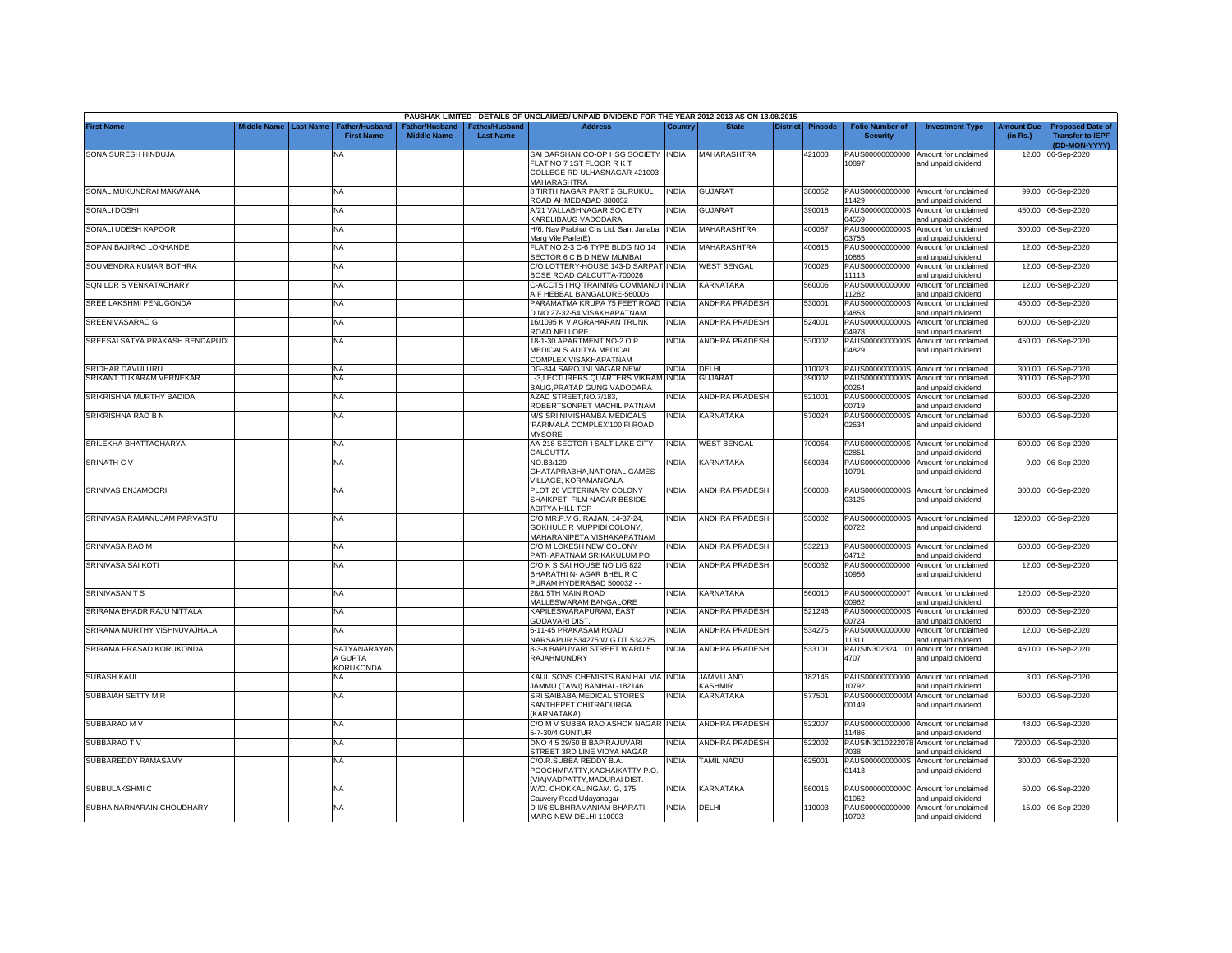|                                 |             |                                                         |                                     |                                  | PAUSHAK LIMITED - DETAILS OF UNCLAIMED/ UNPAID DIVIDEND FOR THE YEAR 2012-2013 AS ON 13.08.2015                        |              |                                   |                 |                  |                                           |                                                                    |                        |                                                                     |
|---------------------------------|-------------|---------------------------------------------------------|-------------------------------------|----------------------------------|------------------------------------------------------------------------------------------------------------------------|--------------|-----------------------------------|-----------------|------------------|-------------------------------------------|--------------------------------------------------------------------|------------------------|---------------------------------------------------------------------|
| <b>First Name</b>               | liddle Name | <b>Last Name</b><br>Father/Husbano<br><b>First Name</b> | ather/Husband<br><b>Middle Name</b> | ther/Husband<br><b>Last Name</b> | <b>Address</b>                                                                                                         | Countr       |                                   | <b>District</b> | Pincode          | <b>Folio Number of</b><br><b>Security</b> | <b>Investment Type</b>                                             | Amount Due<br>(in Rs.) | <b>Proposed Date of</b><br><b>Transfer to IEPF</b><br>(DD-MON-YYYY) |
| SONA SURESH HINDUJA             |             | NA                                                      |                                     |                                  | SAI DARSHAN CO-OP HSG SOCIETY INDIA<br>FLAT NO 7 1ST FLOOR R K T<br>COLLEGE RD ULHASNAGAR 421003<br><b>MAHARASHTRA</b> |              | MAHARASHTRA                       |                 | 421003           | 10897                                     | PAUS00000000000 Amount for unclaimed<br>and unpaid dividend        |                        | 12.00 06-Sep-2020                                                   |
| SONAL MUKUNDRAI MAKWANA         |             | <b>NA</b>                                               |                                     |                                  | 8 TIRTH NAGAR PART 2 GURUKUL<br>ROAD AHMEDABAD 380052                                                                  | <b>INDIA</b> | <b>GUJARAT</b>                    |                 | 380052           | PAUS00000000000<br>1429                   | Amount for unclaimed<br>and unpaid dividend                        |                        | 99.00 06-Sep-2020                                                   |
| <b>SONALI DOSHI</b>             |             | <b>NA</b>                                               |                                     |                                  | A/21 VALLABHNAGAR SOCIETY<br>KARELIBAUG VADODARA                                                                       | INDIA        | <b>GUJARAT</b>                    |                 | 390018           | PAUS0000000000S<br>04559                  | Amount for unclaimed<br>and unpaid dividend                        | 450.00                 | 06-Sep-2020                                                         |
| SONALI UDESH KAPOOR             |             | <b>NA</b>                                               |                                     |                                  | H/6, Nav Prabhat Chs Ltd. Sant Janabai<br>Marg Vile Parle(E)                                                           | <b>INDIA</b> | <b>MAHARASHTRA</b>                |                 | 400057           | 3755                                      | PAUS0000000000S Amount for unclaimed<br>and unpaid dividend        |                        | 300.00 06-Sep-2020                                                  |
| SOPAN BAJIRAO LOKHANDE          |             | <b>NA</b>                                               |                                     |                                  | FLAT NO 2-3 C-6 TYPE BLDG NO 14<br>SECTOR 6 C B D NEW MUMBAI                                                           | <b>INDIA</b> | MAHARASHTRA                       |                 | 400615           | 10885                                     | PAUS00000000000 Amount for unclaimed<br>and unpaid dividend        |                        | 12.00 06-Sep-2020                                                   |
| SOUMENDRA KUMAR BOTHRA          |             | <b>NA</b>                                               |                                     |                                  | C/O LOTTERY-HOUSE 143-D SARPAT INDIA<br>BOSE ROAD CALCUTTA-700026                                                      |              | <b>WEST BENGAL</b>                |                 | 700026           | 11113                                     | PAUS00000000000 Amount for unclaimed<br>and unpaid dividend        |                        | 12.00 06-Sep-2020                                                   |
| SQN LDR S VENKATACHARY          |             | <b>NA</b>                                               |                                     |                                  | C-ACCTS I HQ TRAINING COMMAND I<br>F HEBBAL BANGALORE-560006                                                           | <b>INDIA</b> | <b>KARNATAKA</b>                  |                 | 560006           | PAUS00000000000<br>11282                  | Amount for unclaimed<br>and unpaid dividend                        |                        | 12.00 06-Sep-2020                                                   |
| SREE LAKSHMI PENUGONDA          |             | <b>NA</b>                                               |                                     |                                  | PARAMATMA KRUPA 75 FEET ROAD<br>D NO 27-32-54 VISAKHAPATNAM                                                            | <b>INDIA</b> | <b>ANDHRA PRADESH</b>             |                 | 530001           | PAUS0000000000S<br>04853                  | Amount for unclaimed<br>and unpaid dividend                        |                        | 450.00 06-Sep-2020                                                  |
| SREENIVASARAO G                 |             | NA                                                      |                                     |                                  | 16/1095 K V AGRAHARAN TRUNK<br>ROAD NELLORE                                                                            | <b>INDIA</b> | ANDHRA PRADESH                    |                 | 524001           | PAUS0000000000S<br>14978                  | Amount for unclaimed<br>and unpaid dividend                        |                        | 600.00 06-Sep-2020                                                  |
| SREESAI SATYA PRAKASH BENDAPUDI |             | NA                                                      |                                     |                                  | 18-1-30 APARTMENT NO-2 O P<br>MEDICALS ADITYA MEDICAL                                                                  | <b>INDIA</b> | <b>ANDHRA PRADESH</b>             |                 | 530002           | PAUS0000000000S<br>04829                  | Amount for unclaimed<br>and unpaid dividend                        | 450.00                 | 06-Sep-2020                                                         |
| <b>SRIDHAR DAVULURU</b>         |             | <b>NA</b>                                               |                                     |                                  | COMPLEX VISAKHAPATNAM<br>DG-844 SAROJINI NAGAR NEW                                                                     | <b>INDIA</b> | DELHI                             |                 | 110023           |                                           | PAUS0000000000S Amount for unclaimed                               |                        | 300.00 06-Sep-2020                                                  |
| SRIKANT TUKARAM VERNEKAR        |             | <b>NA</b>                                               |                                     |                                  | -3,LECTURERS QUARTERS VIKRAI                                                                                           | <b>INDIA</b> | GUJARAT                           |                 | 390002           | PAUS0000000000S                           | Amount for unclaimed                                               | 300.00                 | 06-Sep-2020                                                         |
| SRIKRISHNA MURTHY BADIDA        |             | <b>NA</b>                                               |                                     |                                  | BAUG, PRATAP GUNG VADODARA<br>AZAD STREET, NO. 7/183,                                                                  | <b>NDIA</b>  | <b>ANDHRA PRADESH</b>             |                 | 521001           | 0264<br>PAUS0000000000S                   | and unpaid dividend<br>Amount for unclaimed                        |                        | 600.00 06-Sep-2020                                                  |
| SRIKRISHNA RAO B N              |             | <b>NA</b>                                               |                                     |                                  | ROBERTSONPET MACHILIPATNAM<br>M/S SRI NIMISHAMBA MEDICALS                                                              | <b>NDIA</b>  | KARNATAKA                         |                 | 570024           | 0719<br>PAUS0000000000S                   | and unpaid dividend<br>Amount for unclaimed                        |                        | 600.00 06-Sep-2020                                                  |
|                                 |             |                                                         |                                     |                                  | 'PARIMALA COMPLEX'100 FI ROAD<br><b>MYSORE</b>                                                                         |              |                                   |                 |                  | 02634                                     | and unpaid dividend                                                |                        |                                                                     |
| SRILEKHA BHATTACHARYA           |             | <b>NA</b>                                               |                                     |                                  | AA-218 SECTOR-I SALT LAKE CITY<br>CALCUTTA                                                                             | <b>INDIA</b> | <b>WEST BENGAL</b>                |                 | 700064           | 02851                                     | PAUS0000000000S Amount for unclaimed<br>and unpaid dividend        |                        | 600.00 06-Sep-2020                                                  |
| <b>SRINATH CV</b>               |             | <b>NA</b>                                               |                                     |                                  | NO.B3/129<br>GHATAPRABHA, NATIONAL GAMES<br>VILLAGE, KORAMANGALA                                                       | <b>INDIA</b> | KARNATAKA                         |                 | 560034           | PAUS00000000000<br>10791                  | Amount for unclaimed<br>and unpaid dividend                        |                        | 9.00 06-Sep-2020                                                    |
| SRINIVAS ENJAMOORI              |             | <b>NA</b>                                               |                                     |                                  | PLOT 20 VETERINARY COLONY<br>SHAIKPET, FILM NAGAR BESIDE<br>ADITYA HILL TOP                                            | <b>INDIA</b> | <b>ANDHRA PRADESH</b>             |                 | 500008           | 03125                                     | PAUS0000000000S Amount for unclaimed<br>and unpaid dividend        |                        | 300.00 06-Sep-2020                                                  |
| SRINIVASA RAMANUJAM PARVASTU    |             | <b>NA</b>                                               |                                     |                                  | C/O MR.P.V.G. RAJAN, 14-37-24,<br>GOKHULE R MUPPIDI COLONY.<br>MAHARANIPETA VISHAKAPATNAM                              | <b>INDIA</b> | ANDHRA PRADESH                    |                 | 530002           | PAUS0000000000S<br>00722                  | Amount for unclaimed<br>and unpaid dividend                        |                        | 1200.00 06-Sep-2020                                                 |
| SRINIVASA RAO M                 |             | <b>NA</b>                                               |                                     |                                  | C/O M LOKESH NEW COLONY<br>PATHAPATNAM SRIKAKULUM PO                                                                   | <b>INDIA</b> | <b>ANDHRA PRADESH</b>             |                 | 532213           | PAUS0000000000S<br>04712                  | Amount for unclaimed<br>and unpaid dividend                        | 600.00                 | 06-Sep-2020                                                         |
| SRINIVASA SAI KOTI              |             | <b>NA</b>                                               |                                     |                                  | C/O K S SAI HOUSE NO LIG 822<br>BHARATHI N- AGAR BHEL R C                                                              | <b>INDIA</b> | <b>ANDHRA PRADESH</b>             |                 | 500032           | PAUS00000000000<br>10956                  | Amount for unclaimed<br>and unpaid dividend                        | 12.00                  | 06-Sep-2020                                                         |
| <b>SRINIVASANTS</b>             |             | <b>NA</b>                                               |                                     |                                  | PURAM HYDERABAD 500032 - -<br>28/1 5TH MAIN ROAD                                                                       | <b>INDIA</b> | <b>KARNATAKA</b>                  |                 | 560010           |                                           | PAUS0000000000T Amount for unclaimed                               |                        | 120.00 06-Sep-2020                                                  |
| SRIRAMA BHADRIRAJU NITTALA      |             | <b>NA</b>                                               |                                     |                                  | MALLESWARAM BANGALORE<br>KAPILESWARAPURAM, EAST                                                                        | <b>INDIA</b> | <b>ANDHRA PRADESH</b>             |                 | 521246           | 00962<br>PAUS0000000000S                  | and unpaid dividend<br>Amount for unclaimed                        | 600.00                 | 06-Sep-2020                                                         |
| SRIRAMA MURTHY VISHNUVAJHALA    |             | <b>NA</b>                                               |                                     |                                  | GODAVARI DIST.<br>6-11-45 PRAKASAM ROAD                                                                                | <b>INDIA</b> | <b>ANDHRA PRADESH</b>             |                 | 534275           | 00724<br>PAUS00000000000                  | and unpaid dividend<br>Amount for unclaimed                        | 12.00                  | 06-Sep-2020                                                         |
| SRIRAMA PRASAD KORUKONDA        |             | <b>SATYANARAYAN</b><br>A GUPTA<br><b>KORUKONDA</b>      |                                     |                                  | NARSAPUR 534275 W.G.DT 534275<br>8-3-8 BARUVARI STREET WARD 5<br>RAJAHMUNDRY                                           | <b>INDIA</b> | ANDHRA PRADESH                    |                 | 533101           | 11311<br>PAUSIN3023241101<br>4707         | and unpaid dividend<br>Amount for unclaimed<br>and unpaid dividend | 450.00                 | 06-Sep-2020                                                         |
| <b>SUBASH KAUL</b>              |             | NA                                                      |                                     |                                  | KAUL SONS CHEMISTS BANIHAL VIA<br>AMMU (TAWI) BANIHAL-182146                                                           | <b>INDIA</b> | JAMMU AND<br><b><i>ASHMIR</i></b> |                 | 182146           | PAUS00000000000<br>10792                  | Amount for unclaimed                                               |                        | 3.00 06-Sep-2020                                                    |
| SUBBAIAH SETTY M R              |             | <b>NA</b>                                               |                                     |                                  | SRI SAIBABA MEDICAL STORES<br>SANTHEPET CHITRADURGA                                                                    | INDIA        | KARNATAKA                         |                 | 577501           | PAUS0000000000M<br>00149                  | and unpaid dividend<br>Amount for unclaimed<br>and unpaid dividend |                        | 600.00 06-Sep-2020                                                  |
| SUBBARAO M V                    |             | <b>NA</b>                                               |                                     |                                  | KARNATAKA)<br>C/O M V SUBBA RAO ASHOK NAGAR INDIA<br>-7-30/4 GUNTUR                                                    |              | <b>ANDHRA PRADESH</b>             |                 | 522007           | 11486                                     | PAUS00000000000 Amount for unclaimed<br>and unpaid dividend        |                        | 48.00 06-Sep-2020                                                   |
| SUBBARAO TV                     |             | <b>NA</b>                                               |                                     |                                  | DNO 4 5 29/60 B BAPIRAJUVARI<br>STREET 3RD LINE VIDYA NAGAR                                                            | INDIA        | ANDHRA PRADESH                    |                 | 522002           | 7038                                      | PAUSIN3010222078 Amount for unclaimed<br>and unpaid dividend       | 7200.00                | 06-Sep-2020                                                         |
| SUBBAREDDY RAMASAMY             |             | <b>NA</b>                                               |                                     |                                  | C/O.R.SUBBA REDDY B.A.<br>POOCHMPATTY, KACHAIKATTY P.O.                                                                | <b>NDIA</b>  | <b>TAMIL NADU</b>                 |                 | 625001           | 01413                                     | PAUS0000000000S Amount for unclaimed<br>and unpaid dividend        |                        | 300.00 06-Sep-2020                                                  |
| SUBBULAKSHMI C                  |             |                                                         |                                     |                                  | VIA) VADPATTY, MADURAI DIST.                                                                                           | INDIA        |                                   |                 |                  |                                           |                                                                    |                        | 60.00 06-Sep-2020                                                   |
| SUBHA NARNARAIN CHOUDHARY       |             | <b>NA</b><br><b>NA</b>                                  |                                     |                                  | W/O. CHOKKALINGAM. G, 175,<br>Cauvery Road Udayanagar                                                                  | <b>INDIA</b> | KARNATAKA                         |                 | 560016<br>110003 | 01062                                     | PAUS0000000000C Amount for unclaimed<br>and unpaid dividend        |                        | 15.00 06-Sep-2020                                                   |
|                                 |             |                                                         |                                     |                                  | D II/6 SUBHRAMANIAM BHARATI<br>MARG NEW DELHI 110003                                                                   |              | DELHI                             |                 |                  | 10702                                     | PAUS00000000000 Amount for unclaimed<br>and unpaid dividend        |                        |                                                                     |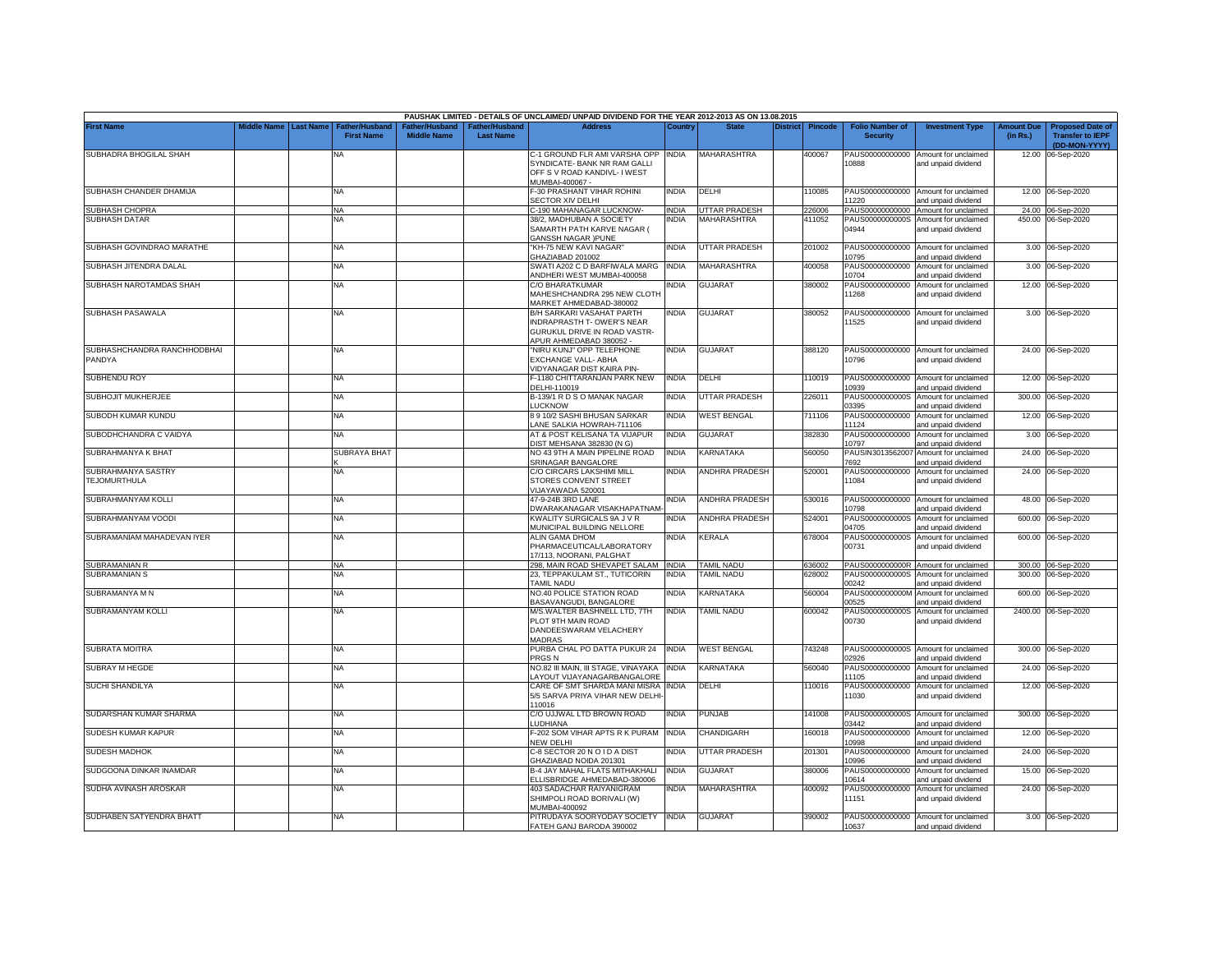|                                           |             |                  |                                            |                                                  |                                   | PAUSHAK LIMITED - DETAILS OF UNCLAIMED/ UNPAID DIVIDEND FOR THE YEAR 2012-2013 AS ON 13.08.2015                                 |              |                       |                 |                |                                           |                                                             |                               |                                                                     |
|-------------------------------------------|-------------|------------------|--------------------------------------------|--------------------------------------------------|-----------------------------------|---------------------------------------------------------------------------------------------------------------------------------|--------------|-----------------------|-----------------|----------------|-------------------------------------------|-------------------------------------------------------------|-------------------------------|---------------------------------------------------------------------|
| <b>First Name</b>                         | Middle Name | <b>Last Name</b> | <b>Father/Husband</b><br><b>First Name</b> | ather/Husband <sup>:</sup><br><b>Middle Name</b> | ather/Husband<br><b>Last Name</b> | <b>Address</b>                                                                                                                  | Country      | <b>State</b>          | <b>District</b> | <b>Pincode</b> | <b>Folio Number of</b><br><b>Security</b> | <b>Investment Type</b>                                      | <b>Amount Due</b><br>(in Rs.) | <b>Proposed Date of</b><br><b>Transfer to IEPF</b><br>(DD-MON-YYYY) |
| SUBHADRA BHOGILAL SHAH                    |             |                  | NA                                         |                                                  |                                   | C-1 GROUND FLR AMI VARSHA OPP<br>SYNDICATE- BANK NR RAM GALLI<br>OFF S V ROAD KANDIVL- I WEST<br>MUMBAI-400067 -                | <b>INDIA</b> | MAHARASHTRA           |                 | 400067         | PAUS00000000000<br>10888                  | Amount for unclaimed<br>and unpaid dividend                 |                               | 12.00 06-Sep-2020                                                   |
| SUBHASH CHANDER DHAMIJA                   |             |                  | <b>NA</b>                                  |                                                  |                                   | F-30 PRASHANT VIHAR ROHINI<br>SECTOR XIV DELHI                                                                                  | <b>INDIA</b> | DELHI                 |                 | 110085         | 11220                                     | PAUS00000000000 Amount for unclaimed<br>and unpaid dividend |                               | 12.00 06-Sep-2020                                                   |
| SUBHASH CHOPRA                            |             |                  | <b>NA</b>                                  |                                                  |                                   | C-190 MAHANAGAR LUCKNOW-                                                                                                        | <b>INDIA</b> | <b>UTTAR PRADESH</b>  |                 | 226006         | PAUS00000000000                           | Amount for unclaimed                                        |                               | 24.00 06-Sep-2020                                                   |
| <b>SUBHASH DATAR</b>                      |             |                  | <b>NA</b>                                  |                                                  |                                   | 38/2, MADHUBAN A SOCIETY<br>SAMARTH PATH KARVE NAGAR (<br><b>GANSSH NAGAR IPUNE</b>                                             | india        | MAHARASHTRA           |                 | 411052         | PAUS0000000000S<br>04944                  | Amount for unclaimed<br>and unpaid dividend                 |                               | 450.00 06-Sep-2020                                                  |
| SUBHASH GOVINDRAO MARATHE                 |             |                  | <b>NA</b>                                  |                                                  |                                   | KH-75 NEW KAVI NAGAR<br>SHAZIABAD 201002                                                                                        | <b>INDIA</b> | <b>UTTAR PRADESH</b>  |                 | 201002         | PAUS00000000000<br>10795                  | Amount for unclaimed<br>and unpaid dividend                 |                               | 3.00 06-Sep-2020                                                    |
| SUBHASH JITENDRA DALAL                    |             |                  | <b>NA</b>                                  |                                                  |                                   | SWATI A202 C D BARFIWALA MARG<br>ANDHERI WEST MUMBAI-400058                                                                     | <b>INDIA</b> | MAHARASHTRA           |                 | 400058         | PAUS00000000000<br>10704                  | Amount for unclaimed<br>and unpaid dividend                 |                               | 3.00 06-Sep-2020                                                    |
| SUBHASH NAROTAMDAS SHAH                   |             |                  | <b>NA</b>                                  |                                                  |                                   | C/O BHARATKUMAR<br>MAHESHCHANDRA 295 NEW CLOTH<br>MARKET AHMEDABAD-380002                                                       | NDIA         | <b>GUJARAT</b>        |                 | 380002         | PAUS00000000000<br>11268                  | Amount for unclaimed<br>and unpaid dividend                 |                               | 12.00 06-Sep-2020                                                   |
| SUBHASH PASAWALA                          |             |                  | <b>NA</b>                                  |                                                  |                                   | <b>B/H SARKARI VASAHAT PARTH</b><br><b>INDRAPRASTH T-OWER'S NEAR</b><br>GURUKUL DRIVE IN ROAD VASTR-<br>APUR AHMEDABAD 380052 - | INDIA        | GUJARAT               |                 | 380052         | PAUS00000000000<br>11525                  | Amount for unclaimed<br>and unpaid dividend                 |                               | 3.00 06-Sep-2020                                                    |
| SUBHASHCHANDRA RANCHHODBHAI<br>PANDYA     |             |                  | <b>NA</b>                                  |                                                  |                                   | "NIRU KUNJ" OPP TELEPHONE<br>EXCHANGE VALL- ABHA<br>/IDYANAGAR DIST KAIRA PIN-                                                  | India        | <b>GUJARAT</b>        |                 | 388120         | PAUS00000000000<br>10796                  | Amount for unclaimed<br>and unpaid dividend                 |                               | 24.00 06-Sep-2020                                                   |
| SUBHENDU ROY                              |             |                  | <b>NA</b>                                  |                                                  |                                   | -1180 CHITTARANJAN PARK NEW<br>DELHI-110019                                                                                     | <b>INDIA</b> | DELHI                 |                 | 110019         | PAUS00000000000<br>10939                  | Amount for unclaimed<br>and unpaid dividend                 |                               | 12.00 06-Sep-2020                                                   |
| SUBHOJIT MUKHERJEE                        |             |                  | <b>NA</b>                                  |                                                  |                                   | B-139/1 R D S O MANAK NAGAR<br><b>LUCKNOW</b>                                                                                   | INDIA        | UTTAR PRADESH         |                 | 226011         | PAUS0000000000S<br>03395                  | Amount for unclaimed<br>and unpaid dividend                 | 300.00                        | 06-Sep-2020                                                         |
| SUBODH KUMAR KUNDU                        |             |                  | <b>NA</b>                                  |                                                  |                                   | 8 9 10/2 SASHI BHUSAN SARKAR<br>ANE SALKIA HOWRAH-711106                                                                        | India        | <b>WEST BENGAL</b>    |                 | 711106         | PAUS00000000000<br>11124                  | Amount for unclaimed<br>and unpaid dividend                 | 12.00                         | 06-Sep-2020                                                         |
| SUBODHCHANDRA C VAIDYA                    |             |                  | <b>NA</b>                                  |                                                  |                                   | AT & POST KELISANA TA VIJAPUR<br>DIST MEHSANA 382830 (N G)                                                                      | India        | GUJARAT               |                 | 382830         | PAUS00000000000<br>10797                  | Amount for unclaimed<br>and unpaid dividend                 |                               | 3.00 06-Sep-2020                                                    |
| SUBRAHMANYA K BHAT                        |             |                  | <b>SUBRAYA BHAT</b>                        |                                                  |                                   | NO 43 9TH A MAIN PIPELINE ROAD<br>SRINAGAR BANGALORE                                                                            | <b>INDIA</b> | KARNATAKA             |                 | 560050         | PAUSIN3013562007<br>7692                  | Amount for unclaimed<br>and unpaid dividend                 |                               | 24.00 06-Sep-2020                                                   |
| SUBRAHMANYA SASTRY<br><b>TEJOMURTHULA</b> |             |                  | <b>NA</b>                                  |                                                  |                                   | C/O CIRCARS LAKSHIMI MILL<br>STORES CONVENT STREET<br>/IJAYAWADA 520001                                                         | INDIA        | ANDHRA PRADESH        |                 | 520001         | PAUS00000000000<br>11084                  | Amount for unclaimed<br>and unpaid dividend                 |                               | 24.00 06-Sep-2020                                                   |
| SUBRAHMANYAM KOLLI                        |             |                  | <b>NA</b>                                  |                                                  |                                   | 47-9-24B 3RD LANE<br>DWARAKANAGAR VISAKHAPATNAM                                                                                 | India        | <b>ANDHRA PRADESH</b> |                 | 530016         | 10798                                     | PAUS00000000000 Amount for unclaimed<br>and unpaid dividend |                               | 48.00 06-Sep-2020                                                   |
| SUBRAHMANYAM VOODI                        |             |                  | <b>NA</b>                                  |                                                  |                                   | KWALITY SURGICALS 9A J V R<br>MUNICIPAL BUILDING NELLORE                                                                        | <b>INDIA</b> | <b>ANDHRA PRADESH</b> |                 | 524001         | PAUS0000000000S<br>04705                  | Amount for unclaimed<br>and unpaid dividend                 |                               | 600.00 06-Sep-2020                                                  |
| SUBRAMANIAM MAHADEVAN IYER                |             |                  | <b>NA</b>                                  |                                                  |                                   | ALIN GAMA DHOM<br>PHARMACEUTICAL/LABORATORY<br>17/113, NOORANI, PALGHAT                                                         | NDIA         | <b>KERALA</b>         |                 | 678004         | PAUS0000000000S<br>00731                  | Amount for unclaimed<br>and unpaid dividend                 |                               | 600.00 06-Sep-2020                                                  |
| SUBRAMANIAN R                             |             |                  | <b>NA</b>                                  |                                                  |                                   | 298, MAIN ROAD SHEVAPET SALAM INDIA                                                                                             |              | <b>TAMIL NADU</b>     |                 | 636002         |                                           | PAUS0000000000R Amount for unclaimed                        |                               | 300.00 06-Sep-2020                                                  |
| SUBRAMANIAN S                             |             |                  | <b>NA</b>                                  |                                                  |                                   | 23, TEPPAKULAM ST., TUTICORIN<br><b><i>FAMIL NADU</i></b>                                                                       | INDIA        | <b>TAMIL NADU</b>     |                 | 628002         | PAUS0000000000S<br>00242                  | Amount for unclaimed<br>and unpaid dividend                 |                               | 300.00 06-Sep-2020                                                  |
| SUBRAMANYA M N                            |             |                  | <b>NA</b>                                  |                                                  |                                   | NO.40 POLICE STATION ROAD<br>BASAVANGUDI, BANGALORE                                                                             | India        | KARNATAKA             |                 | 560004         | PAUS0000000000M<br>00525                  | Amount for unclaimed<br>and unpaid dividend                 | 600.00                        | 06-Sep-2020                                                         |
| SUBRAMANYAM KOLLI                         |             |                  | NA                                         |                                                  |                                   | M/S.WALTER BASHNELL LTD, 7TH<br>PLOT 9TH MAIN ROAD<br>DANDEESWARAM VELACHERY<br><b>MADRAS</b>                                   | INDIA        | <b>TAMIL NADU</b>     |                 | 600042         | PAUS0000000000S<br>00730                  | Amount for unclaimed<br>and unpaid dividend                 |                               | 2400.00 06-Sep-2020                                                 |
| <b>SUBRATA MOITRA</b>                     |             |                  | <b>NA</b>                                  |                                                  |                                   | PURBA CHAL PO DATTA PUKUR 24<br>PRGS N                                                                                          | <b>INDIA</b> | <b>WEST BENGAL</b>    |                 | 743248         | 02926                                     | PAUS0000000000S Amount for unclaimed<br>and unpaid dividend |                               | 300.00 06-Sep-2020                                                  |
| <b>SUBRAY M HEGDE</b>                     |             |                  | <b>NA</b>                                  |                                                  |                                   | NO.82 III MAIN, III STAGE, VINAYAKA<br>AYOUT VIJAYANAGARBANGALORE                                                               | <b>INDIA</b> | <b>KARNATAKA</b>      |                 | 560040         | PAUS00000000000<br>11105                  | Amount for unclaimed<br>and unpaid dividend                 |                               | 24.00 06-Sep-2020                                                   |
| <b>SUCHI SHANDILYA</b>                    |             |                  | <b>NA</b>                                  |                                                  |                                   | CARE OF SMT SHARDA MANI MISRA<br>5/5 SARVA PRIYA VIHAR NEW DELHI-<br>10016                                                      | INDIA        | DELHI                 |                 | 110016         | PAUS00000000000<br>11030                  | Amount for unclaimed<br>and unpaid dividend                 |                               | 12.00 06-Sep-2020                                                   |
| SUDARSHAN KUMAR SHARMA                    |             |                  | <b>NA</b>                                  |                                                  |                                   | C/O UJJWAL LTD BROWN ROAD<br><b>UDHIANA</b>                                                                                     | INDIA        | PUNJAB                |                 | 141008         | PAUS0000000000S<br>03442                  | Amount for unclaimed<br>and unpaid dividend                 | 300.00                        | 06-Sep-2020                                                         |
| SUDESH KUMAR KAPUR                        |             |                  | <b>NA</b>                                  |                                                  |                                   | -202 SOM VIHAR APTS R K PURAM<br>NEW DELHI                                                                                      | <b>INDIA</b> | CHANDIGARH            |                 | 160018         | PAUS00000000000<br>10998                  | Amount for unclaimed<br>and unpaid dividend                 | 12.00                         | 06-Sep-2020                                                         |
| <b>SUDESH MADHOK</b>                      |             |                  | <b>NA</b>                                  |                                                  |                                   | C-8 SECTOR 20 N O I D A DIST<br><b>GHAZIABAD NOIDA 201301</b>                                                                   | INDIA        | UTTAR PRADESH         |                 | 201301         | PAUS00000000000<br>10996                  | Amount for unclaimed<br>and unpaid dividend                 | 24.00                         | 06-Sep-2020                                                         |
| SUDGOONA DINKAR INAMDAR                   |             |                  | <b>NA</b>                                  |                                                  |                                   | B-4 JAY MAHAL FLATS MITHAKHALI<br>ELLISBRIDGE AHMEDABAD-380006                                                                  | INDIA        | <b>GUJARAT</b>        |                 | 380006         | PAUS00000000000<br>10614                  | Amount for unclaimed<br>and unpaid dividend                 | 15.00                         | 06-Sep-2020                                                         |
| SUDHA AVINASH AROSKAR                     |             |                  | <b>NA</b>                                  |                                                  |                                   | 403 SADACHAR RAIYANIGRAM<br>SHIMPOLI ROAD BORIVALI (W)<br>MUMBAI-400092                                                         | ndia         | MAHARASHTRA           |                 | 400092         | PAUS00000000000<br>11151                  | Amount for unclaimed<br>and unpaid dividend                 |                               | 24.00 06-Sep-2020                                                   |
| SUDHABEN SATYENDRA BHATT                  |             |                  | <b>NA</b>                                  |                                                  |                                   | PITRUDAYA SOORYODAY SOCIETY INDIA<br>FATEH GANJ BARODA 390002                                                                   |              | <b>GUJARAT</b>        |                 | 390002         | 10637                                     | PAUS00000000000 Amount for unclaimed<br>and unpaid dividend |                               | 3.00 06-Sep-2020                                                    |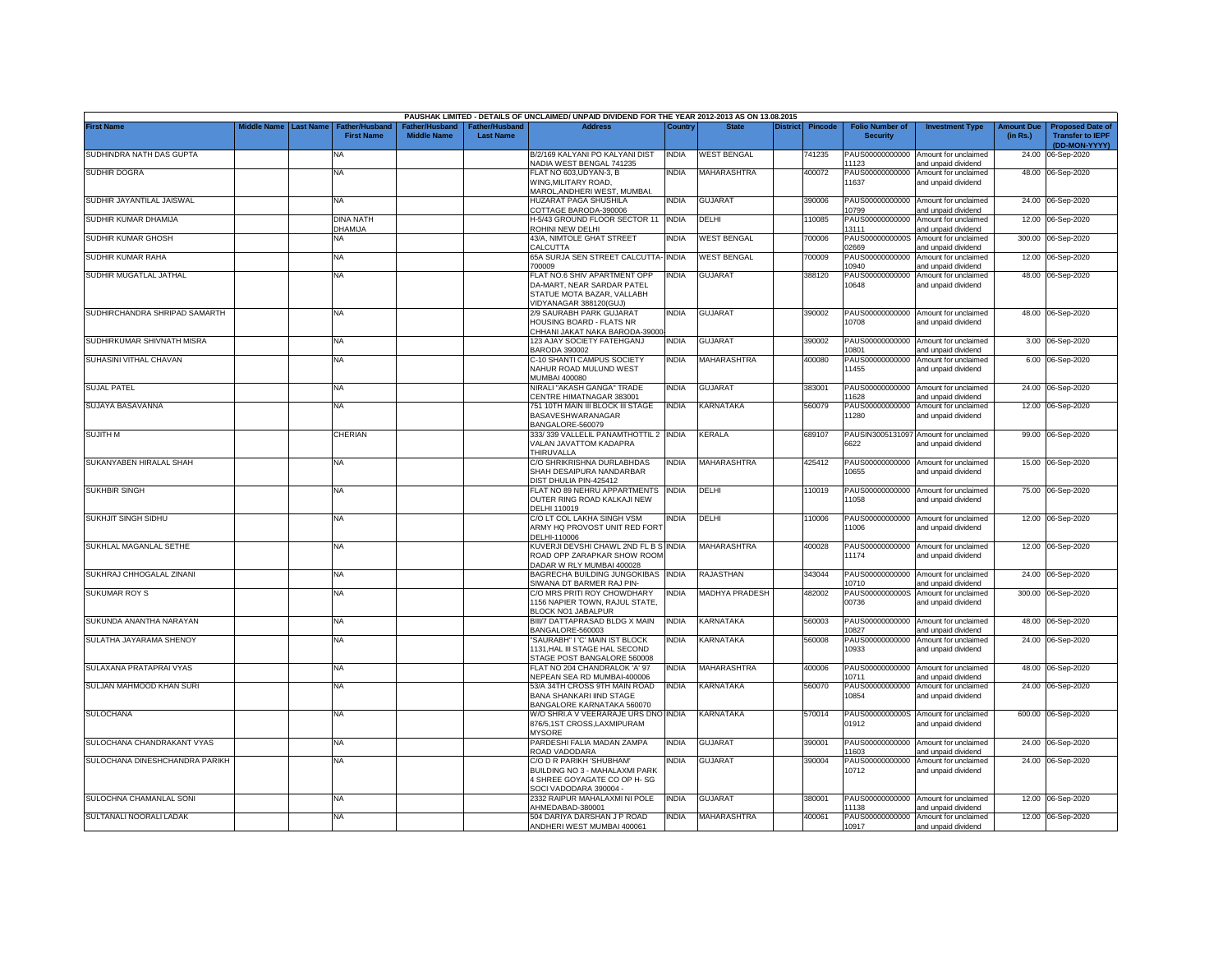|                                |             |                  |                                            |                                                  |                                   | PAUSHAK LIMITED - DETAILS OF UNCLAIMED/ UNPAID DIVIDEND FOR THE YEAR 2012-2013 AS ON 13.08.2015                    |              |                       |                 |                |                                           |                                                              |                               |                                                                     |
|--------------------------------|-------------|------------------|--------------------------------------------|--------------------------------------------------|-----------------------------------|--------------------------------------------------------------------------------------------------------------------|--------------|-----------------------|-----------------|----------------|-------------------------------------------|--------------------------------------------------------------|-------------------------------|---------------------------------------------------------------------|
| <b>First Name</b>              | Middle Name | <b>Last Name</b> | <b>Father/Husband</b><br><b>First Name</b> | ather/Husband <sup>:</sup><br><b>Middle Name</b> | ather/Husband<br><b>Last Name</b> | <b>Address</b>                                                                                                     | Country      | <b>State</b>          | <b>District</b> | <b>Pincode</b> | <b>Folio Number of</b><br><b>Security</b> | <b>Investment Type</b>                                       | <b>Amount Due</b><br>(in Rs.) | <b>Proposed Date of</b><br><b>Transfer to IEPF</b><br>(DD-MON-YYYY) |
| SUDHINDRA NATH DAS GUPTA       |             |                  | NA                                         |                                                  |                                   | B/2/169 KALYANI PO KALYANI DIST<br>NADIA WEST BENGAL 741235                                                        | <b>INDIA</b> | <b>WEST BENGAL</b>    |                 | 741235         | PAUS00000000000<br>11123                  | Amount for unclaimed<br>and unpaid dividend                  | 24.00                         | 06-Sep-2020                                                         |
| <b>SUDHIR DOGRA</b>            |             |                  | <b>NA</b>                                  |                                                  |                                   | FLAT NO 603,UDYAN-3, B<br>WING, MILITARY ROAD,<br>MAROL, ANDHERI WEST, MUMBAI.                                     | india        | MAHARASHTRA           |                 | 400072         | PAUS00000000000<br>11637                  | Amount for unclaimed<br>and unpaid dividend                  |                               | 48.00 06-Sep-2020                                                   |
| SUDHIR JAYANTILAL JAISWAL      |             |                  | <b>NA</b>                                  |                                                  |                                   | HUZARAT PAGA SHUSHILA<br>COTTAGE BARODA-390006                                                                     | INDIA        | <b>GUJARAT</b>        |                 | 390006         | PAUS00000000000<br>10799                  | Amount for unclaimed<br>and unpaid dividend                  |                               | 24.00 06-Sep-2020                                                   |
| SUDHIR KUMAR DHAMIJA           |             |                  | <b>DINA NATH</b><br>DHAMIJA                |                                                  |                                   | H-5/43 GROUND FLOOR SECTOR 11<br>ROHINI NEW DELHI                                                                  | <b>INDIA</b> | DELHI                 |                 | 10085          | PAUS00000000000<br>13111                  | Amount for unclaimed<br>and unpaid dividend                  |                               | 12.00 06-Sep-2020                                                   |
| SUDHIR KUMAR GHOSH             |             |                  | NA                                         |                                                  |                                   | 43/A, NIMTOLE GHAT STREET<br>CALCUTTA                                                                              | INDIA        | <b>WEST BENGAL</b>    |                 | 700006         | PAUS0000000000S<br>02669                  | Amount for unclaimed<br>and unpaid dividend                  | 300.00                        | 06-Sep-2020                                                         |
| SUDHIR KUMAR RAHA              |             |                  | NA                                         |                                                  |                                   | 65A SURJA SEN STREET CALCUTTA-<br>700009                                                                           | <b>INDIA</b> | <b>WEST BENGAL</b>    |                 | '00009         | PAUS00000000000<br>10940                  | Amount for unclaimed<br>and unpaid dividend                  |                               | 12.00 06-Sep-2020                                                   |
| SUDHIR MUGATLAL JATHAL         |             |                  | <b>NA</b>                                  |                                                  |                                   | FLAT NO.6 SHIV APARTMENT OPP<br>DA-MART, NEAR SARDAR PATEL<br>STATUE MOTA BAZAR, VALLABH<br>/IDYANAGAR 388120(GUJ) | INDIA        | <b>GUJARAT</b>        |                 | 388120         | PAUS00000000000<br>10648                  | Amount for unclaimed<br>and unpaid dividend                  |                               | 48.00 06-Sep-2020                                                   |
| SUDHIRCHANDRA SHRIPAD SAMARTH  |             |                  | <b>NA</b>                                  |                                                  |                                   | 2/9 SAURABH PARK GUJARAT<br>HOUSING BOARD - FLATS NR<br>CHHANI JAKAT NAKA BARODA-39000                             | india        | <b>GUJARAT</b>        |                 | 390002         | PAUS00000000000<br>10708                  | Amount for unclaimed<br>and unpaid dividend                  |                               | 48.00 06-Sep-2020                                                   |
| SUDHIRKUMAR SHIVNATH MISRA     |             |                  | <b>NA</b>                                  |                                                  |                                   | 123 AJAY SOCIETY FATEHGANJ<br><b>BARODA 390002</b>                                                                 | india        | <b>GUJARAT</b>        |                 | 390002         | PAUS00000000000<br>10801                  | Amount for unclaimed<br>and unpaid dividend                  |                               | 3.00 06-Sep-2020                                                    |
| SUHASINI VITHAL CHAVAN         |             |                  | <b>NA</b>                                  |                                                  |                                   | C-10 SHANTI CAMPUS SOCIETY<br>NAHUR ROAD MULUND WEST<br>MUMBAI 400080                                              | INDIA        | MAHARASHTRA           |                 | 400080         | PAUS00000000000<br>11455                  | Amount for unclaimed<br>and unpaid dividend                  |                               | 6.00 06-Sep-2020                                                    |
| <b>SUJAL PATEL</b>             |             |                  | <b>NA</b>                                  |                                                  |                                   | NIRALI "AKASH GANGA" TRADE<br>CENTRE HIMATNAGAR 383001                                                             | <b>INDIA</b> | <b>GUJARAT</b>        |                 | 383001         | PAUS00000000000<br>11628                  | Amount for unclaimed<br>and unpaid dividend                  |                               | 24.00 06-Sep-2020                                                   |
| SUJAYA BASAVANNA               |             |                  | <b>NA</b>                                  |                                                  |                                   | 751 10TH MAIN III BLOCK III STAGE<br>BASAVESHWARANAGAR<br>BANGALORE-560079                                         | INDIA        | KARNATAKA             |                 | 560079         | PAUS00000000000<br>11280                  | Amount for unclaimed<br>and unpaid dividend                  |                               | 12.00 06-Sep-2020                                                   |
| <b>SUJITH M</b>                |             |                  | CHERIAN                                    |                                                  |                                   | 333/339 VALLELIL PANAMTHOTTIL 2 INDIA<br>VALAN JAVATTOM KADAPRA<br>THIRUVALLA                                      |              | KERALA                |                 | 689107         | 6622                                      | PAUSIN3005131097 Amount for unclaimed<br>and unpaid dividend |                               | 99.00 06-Sep-2020                                                   |
| SUKANYABEN HIRALAL SHAH        |             |                  | <b>NA</b>                                  |                                                  |                                   | C/O SHRIKRISHNA DURLABHDAS<br>SHAH DESAIPURA NANDARBAR<br>DIST DHULIA PIN-425412                                   | india        | <b>MAHARASHTRA</b>    |                 | 425412         | 10655                                     | PAUS00000000000 Amount for unclaimed<br>and unpaid dividend  |                               | 15.00 06-Sep-2020                                                   |
| <b>SUKHBIR SINGH</b>           |             |                  | <b>NA</b>                                  |                                                  |                                   | FLAT NO 89 NEHRU APPARTMENTS INDIA<br>OUTER RING ROAD KALKAJI NEW<br>DELHI 110019                                  |              | DELHI                 |                 | 110019         | 11058                                     | PAUS00000000000 Amount for unclaimed<br>and unpaid dividend  |                               | 75.00 06-Sep-2020                                                   |
| <b>SUKHJIT SINGH SIDHU</b>     |             |                  | <b>NA</b>                                  |                                                  |                                   | C/O LT COL LAKHA SINGH VSM<br>ARMY HQ PROVOST UNIT RED FORT<br>DELHI-110006                                        | NDIA         | DELHI                 |                 | 10006          | PAUS00000000000<br>11006                  | Amount for unclaimed<br>and unpaid dividend                  |                               | 12.00 06-Sep-2020                                                   |
| SUKHLAL MAGANLAL SETHE         |             |                  | <b>NA</b>                                  |                                                  |                                   | KUVERJI DEVSHI CHAWL 2ND FL B S INDIA<br>ROAD OPP ZARAPKAR SHOW ROOM<br>DADAR W RLY MUMBAI 400028                  |              | <b>MAHARASHTRA</b>    |                 | 400028         | 11174                                     | PAUS00000000000 Amount for unclaimed<br>and unpaid dividend  |                               | 12.00 06-Sep-2020                                                   |
| SUKHRAJ CHHOGALAL ZINANI       |             |                  | <b>NA</b>                                  |                                                  |                                   | BAGRECHA BUILDING JUNGOKIBAS<br>SIWANA DT BARMER RAJ PIN-                                                          | <b>INDIA</b> | RAJASTHAN             |                 | 343044         | PAUS00000000000<br>10710                  | Amount for unclaimed<br>and unpaid dividend                  | 24.00                         | 06-Sep-2020                                                         |
| <b>SUKUMAR ROY S</b>           |             |                  | <b>NA</b>                                  |                                                  |                                   | C/O MRS PRITI ROY CHOWDHARY<br>156 NAPIER TOWN, RAJUL STATE.<br><b>ILOCK NO1 JABALPUR</b>                          | ndia         | <b>MADHYA PRADESH</b> |                 | 482002         | PAUS0000000000S<br>00736                  | Amount for unclaimed<br>and unpaid dividend                  |                               | 300.00 06-Sep-2020                                                  |
| SUKUNDA ANANTHA NARAYAN        |             |                  | <b>NA</b>                                  |                                                  |                                   | BIII/7 DATTAPRASAD BLDG X MAIN<br>BANGALORE-560003                                                                 | INDIA        | KARNATAKA             |                 | 560003         | PAUS00000000000<br>10827                  | Amount for unclaimed<br>and unpaid dividend                  |                               | 48.00 06-Sep-2020                                                   |
| SULATHA JAYARAMA SHENOY        |             |                  | <b>NA</b>                                  |                                                  |                                   | SAURABH" I 'C' MAIN IST BLOCK<br>1131, HAL III STAGE HAL SECOND<br>STAGE POST BANGALORE 560008                     | INDIA        | KARNATAKA             |                 | 560008         | PAUS00000000000<br>10933                  | Amount for unclaimed<br>and unpaid dividend                  |                               | 24.00 06-Sep-2020                                                   |
| SULAXANA PRATAPRAI VYAS        |             |                  | <b>NA</b>                                  |                                                  |                                   | FLAT NO 204 CHANDRALOK 'A' 97<br>NEPEAN SEA RD MUMBAI-400006                                                       | <b>INDIA</b> | MAHARASHTRA           |                 | 400006         | 10711                                     | PAUS00000000000 Amount for unclaimed<br>and unpaid dividend  |                               | 48.00 06-Sep-2020                                                   |
| SULJAN MAHMOOD KHAN SURI       |             |                  | <b>NA</b>                                  |                                                  |                                   | 53/A 34TH CROSS 9TH MAIN ROAD<br><b>BANA SHANKARI IIND STAGE</b><br>BANGALORE KARNATAKA 560070                     | INDIA        | KARNATAKA             |                 | 560070         | PAUS00000000000<br>10854                  | Amount for unclaimed<br>and unpaid dividend                  |                               | 24.00 06-Sep-2020                                                   |
| <b>SULOCHANA</b>               |             |                  | <b>NA</b>                                  |                                                  |                                   | W/O SHRI.A V VEERARAJE URS DNO INDIA<br>876/5,1ST CROSS,LAXMIPURAM<br><b>MYSORE</b>                                |              | KARNATAKA             |                 | 570014         | 01912                                     | PAUS0000000000S Amount for unclaimed<br>and unpaid dividend  |                               | 600.00 06-Sep-2020                                                  |
| SULOCHANA CHANDRAKANT VYAS     |             |                  | NA                                         |                                                  |                                   | PARDESHI FALIA MADAN ZAMPA<br>ROAD VADODARA                                                                        | india        | <b>GUJARAT</b>        |                 | 390001         | PAUS00000000000<br>11603                  | Amount for unclaimed<br>and unpaid dividend                  |                               | 24.00 06-Sep-2020                                                   |
| SULOCHANA DINESHCHANDRA PARIKH |             |                  | <b>NA</b>                                  |                                                  |                                   | C/O D R PARIKH 'SHUBHAM<br>BUILDING NO 3 - MAHALAXMI PARK<br>1 SHREE GOYAGATE CO OP H-SG<br>SOCI VADODARA 390004   | ndia         | <b>GUJARAT</b>        |                 | 390004         | PAUS00000000000<br>10712                  | Amount for unclaimed<br>and unpaid dividend                  |                               | 24.00 06-Sep-2020                                                   |
| SULOCHNA CHAMANLAL SONI        |             |                  | <b>NA</b>                                  |                                                  |                                   | 2332 RAIPUR MAHALAXMI NI POLE<br>AHMEDABAD-380001                                                                  | INDIA        | <b>GUJARAT</b>        |                 | 380001         | PAUS00000000000<br>11138                  | Amount for unclaimed<br>and unpaid dividend                  |                               | 12.00 06-Sep-2020                                                   |
| SULTANALI NOORALI LADAK        |             |                  | <b>NA</b>                                  |                                                  |                                   | 504 DARIYA DARSHAN J P ROAD<br>ANDHERI WEST MUMBAI 400061                                                          | india        | MAHARASHTRA           |                 | 400061         | 10917                                     | PAUS00000000000 Amount for unclaimed<br>and unpaid dividend  |                               | 12.00 06-Sep-2020                                                   |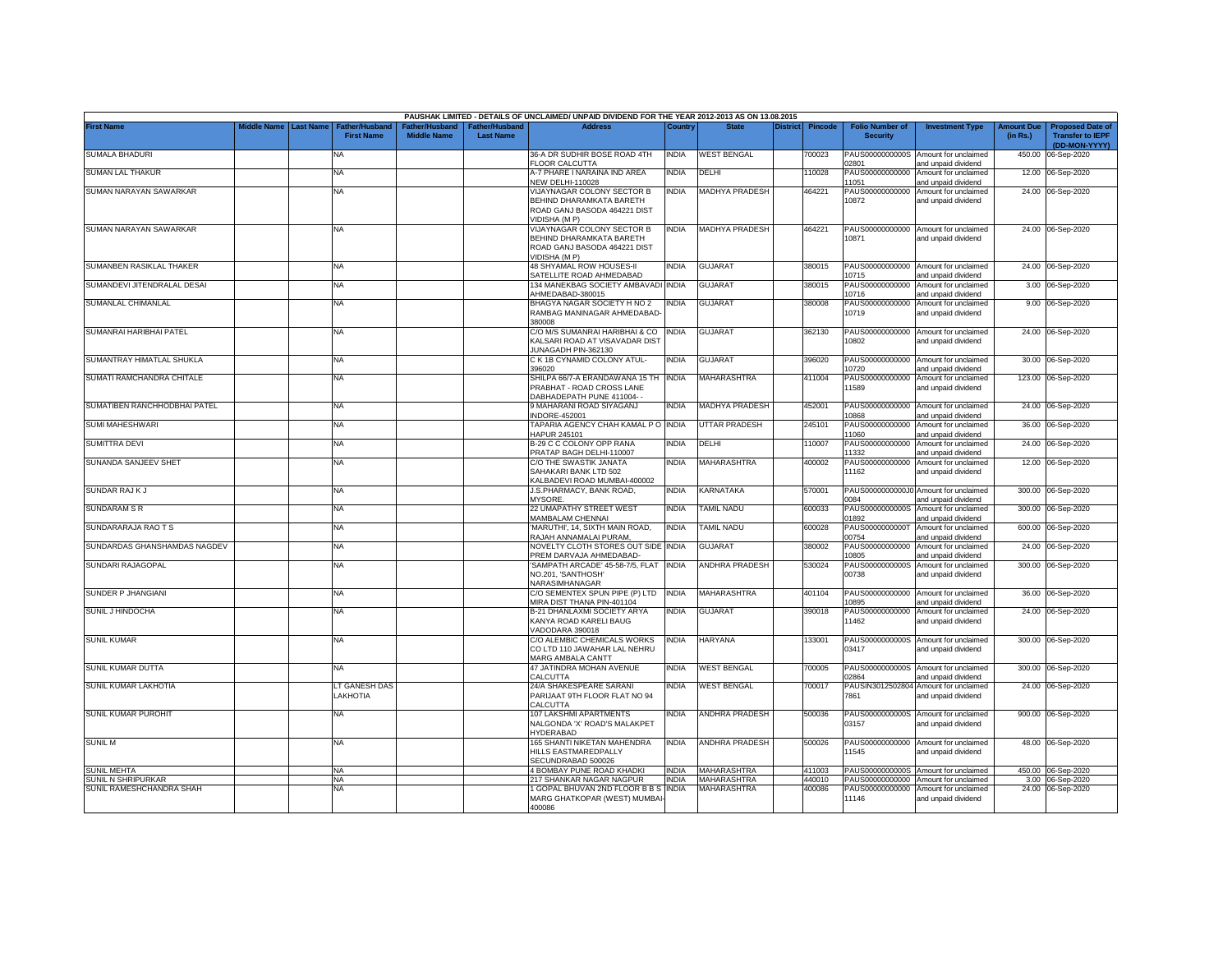|                              |                         |                                            |                                      |                                           | PAUSHAK LIMITED - DETAILS OF UNCLAIMED/ UNPAID DIVIDEND FOR THE YEAR 2012-2013 AS ON 13.08.2015                      |              |                          |                 |                |                                           |                                                              |                               |                                                                     |
|------------------------------|-------------------------|--------------------------------------------|--------------------------------------|-------------------------------------------|----------------------------------------------------------------------------------------------------------------------|--------------|--------------------------|-----------------|----------------|-------------------------------------------|--------------------------------------------------------------|-------------------------------|---------------------------------------------------------------------|
| <b>First Name</b>            | Middle Name   Last Name | <b>Father/Husband</b><br><b>First Name</b> | Father/Husband<br><b>Middle Name</b> | <b>Father/Husband</b><br><b>Last Name</b> | <b>Address</b>                                                                                                       | Country      | <b>State</b>             | <b>District</b> | <b>Pincode</b> | <b>Folio Number of</b><br><b>Security</b> | <b>Investment Type</b>                                       | <b>Amount Due</b><br>(in Rs.) | <b>Proposed Date of</b><br><b>Transfer to IEPF</b><br>(DD-MON-YYYY) |
| <b>SUMALA BHADURI</b>        |                         | NA.                                        |                                      |                                           | 36-A DR SUDHIR BOSE ROAD 4TH<br><b>FLOOR CALCUTTA</b>                                                                | <b>INDIA</b> | WEST BENGAL              |                 | 00023          | PAUS0000000000S<br>02801                  | Amount for unclaimed<br>and unpaid dividend                  | 450.00                        | 06-Sep-2020                                                         |
| <b>SUMAN LAL THAKUR</b>      |                         | NA                                         |                                      |                                           | A-7 PHARE I NARAINA IND AREA<br><b>NEW DELHI-110028</b>                                                              | India        | DELHI                    |                 | 10028          | PAUS00000000000<br>11051                  | Amount for unclaimed<br>and unpaid dividend                  |                               | 12.00 06-Sep-2020                                                   |
| SUMAN NARAYAN SAWARKAR       |                         | NA                                         |                                      |                                           | <b>VIJAYNAGAR COLONY SECTOR B</b><br>BEHIND DHARAMKATA BARETH<br>ROAD GANJ BASODA 464221 DIST<br><b>VIDISHA (MP)</b> | <b>INDIA</b> | <b>MADHYA PRADESH</b>    |                 | 464221         | PAUS00000000000<br>10872                  | Amount for unclaimed<br>and unpaid dividend                  |                               | 24.00 06-Sep-2020                                                   |
| SUMAN NARAYAN SAWARKAR       |                         | NA                                         |                                      |                                           | <b>VIJAYNAGAR COLONY SECTOR B</b><br>BEHIND DHARAMKATA BARETH<br>ROAD GANJ BASODA 464221 DIST<br><b>VIDISHA (MP)</b> | <b>INDIA</b> | <b>MADHYA PRADESH</b>    |                 | 464221         | 10871                                     | PAUS00000000000 Amount for unclaimed<br>and unpaid dividend  |                               | 24.00 06-Sep-2020                                                   |
| SUMANBEN RASIKLAL THAKER     |                         | NA                                         |                                      |                                           | <b>48 SHYAMAL ROW HOUSES-II</b><br>SATELLITE ROAD AHMEDABAD                                                          | <b>INDIA</b> | GUJARAT                  |                 | 380015         | 10715                                     | PAUS00000000000 Amount for unclaimed<br>and unpaid dividend  |                               | 24.00 06-Sep-2020                                                   |
| SUMANDEVI JITENDRALAL DESAI  |                         | NA                                         |                                      |                                           | 134 MANEKBAG SOCIETY AMBAVADI INDIA<br>AHMEDABAD-380015                                                              |              | GUJARAT                  |                 | 380015         | PAUS00000000000<br>10716                  | Amount for unclaimed<br>and unpaid dividend                  |                               | 3.00 06-Sep-2020                                                    |
| SUMANLAL CHIMANLAL           |                         | NA                                         |                                      |                                           | BHAGYA NAGAR SOCIETY H NO 2<br>RAMBAG MANINAGAR AHMEDABAD<br>380008                                                  | India        | <b>GUJARAT</b>           |                 | 380008         | PAUS00000000000<br>10719                  | Amount for unclaimed<br>and unpaid dividend                  |                               | 9.00 06-Sep-2020                                                    |
| SUMANRAI HARIBHAI PATEL      |                         | <b>NA</b>                                  |                                      |                                           | C/O M/S SUMANRAI HARIBHAI & CO INDIA<br>KALSARI ROAD AT VISAVADAR DIST<br>JUNAGADH PIN-362130                        |              | <b>GUJARAT</b>           |                 | 362130         | 10802                                     | PAUS00000000000 Amount for unclaimed<br>and unpaid dividend  |                               | 24.00 06-Sep-2020                                                   |
| SUMANTRAY HIMATLAL SHUKLA    |                         | NA                                         |                                      |                                           | C K 1B CYNAMID COLONY ATUL-<br>396020                                                                                | <b>INDIA</b> | GUJARAT                  |                 | 396020         | 10720                                     | PAUS00000000000 Amount for unclaimed<br>and unpaid dividend  |                               | 30.00 06-Sep-2020                                                   |
| SUMATI RAMCHANDRA CHITALE    |                         | <b>NA</b>                                  |                                      |                                           | SHILPA 66/7-A ERANDAWANA 15 TH<br>PRABHAT - ROAD CROSS LANE<br>DABHADEPATH PUNE 411004- -                            | <b>INDIA</b> | MAHARASHTRA              |                 | 411004         | PAUS00000000000<br>11589                  | Amount for unclaimed<br>and unpaid dividend                  |                               | 123.00 06-Sep-2020                                                  |
| SUMATIBEN RANCHHODBHAI PATEL |                         | NA                                         |                                      |                                           | 9 MAHARANI ROAD SIYAGANJ<br><b>INDORE-452001</b>                                                                     | <b>INDIA</b> | <b>MADHYA PRADESH</b>    |                 | 452001         | 10868                                     | PAUS00000000000 Amount for unclaimed<br>and unpaid dividend  |                               | 24.00 06-Sep-2020                                                   |
| <b>SUMI MAHESHWARI</b>       |                         | <b>NA</b>                                  |                                      |                                           | TAPARIA AGENCY CHAH KAMAL P O INDIA<br>HAPUR 245101                                                                  |              | UTTAR PRADESH            |                 | 245101         | PAUS00000000000<br>11060                  | Amount for unclaimed<br>and unpaid dividend                  |                               | 36.00 06-Sep-2020                                                   |
| SUMITTRA DEVI                |                         | NA                                         |                                      |                                           | B-29 C C COLONY OPP RANA<br>PRATAP BAGH DELHI-110007                                                                 | India        | DELHI                    |                 | 10007          | PAUS00000000000<br>11332                  | Amount for unclaimed<br>and unpaid dividend                  |                               | 24.00 06-Sep-2020                                                   |
| SUNANDA SANJEEV SHET         |                         | <b>NA</b>                                  |                                      |                                           | C/O THE SWASTIK JANATA<br>SAHAKARI BANK LTD 502<br>KALBADEVI ROAD MUMBAI-400002                                      | India        | MAHARASHTRA              |                 | 400002         | PAUS00000000000<br>11162                  | Amount for unclaimed<br>and unpaid dividend                  |                               | 12.00 06-Sep-2020                                                   |
| SUNDAR RAJK J                |                         | NA                                         |                                      |                                           | J.S.PHARMACY, BANK ROAD,<br>MYSORE.                                                                                  | India        | <b>KARNATAKA</b>         |                 | 570001         | 0084                                      | PAUS0000000000J0 Amount for unclaimed<br>and unpaid dividend |                               | 300.00 06-Sep-2020                                                  |
| SUNDARAM SR                  |                         | <b>NA</b>                                  |                                      |                                           | 22 UMAPATHY STREET WEST<br>MAMBALAM CHENNAI                                                                          | <b>INDIA</b> | AMIL NADU                |                 | 600033         | PAUS0000000000S<br>01892                  | Amount for unclaimed<br>and unpaid dividend                  | 300.00                        | 06-Sep-2020                                                         |
| SUNDARARAJA RAO T S          |                         | NA                                         |                                      |                                           | MARUTHI', 14, SIXTH MAIN ROAD.<br>RAJAH ANNAMALAI PURAM.                                                             | <b>INDIA</b> | <b><i>FAMIL NADU</i></b> |                 | 600028         | PAUS0000000000T<br>00754                  | Amount for unclaimed<br>and unpaid dividend                  | 600.00                        | 06-Sep-2020                                                         |
| SUNDARDAS GHANSHAMDAS NAGDEV |                         | <b>NA</b>                                  |                                      |                                           | NOVELTY CLOTH STORES OUT SIDE INDIA<br>PREM DARVAJA AHMEDABAD-                                                       |              | <b>GUJARAT</b>           |                 | 380002         | PAUS00000000000<br>10805                  | Amount for unclaimed<br>and unpaid dividend                  |                               | 24.00 06-Sep-2020                                                   |
| SUNDARI RAJAGOPAL            |                         | <b>NA</b>                                  |                                      |                                           | SAMPATH ARCADE' 45-58-7/5, FLAT<br>NO.201. 'SANTHOSH'<br>NARASIMHANAGAR                                              | <b>INDIA</b> | ANDHRA PRADESH           |                 | 530024         | PAUS0000000000S<br>00738                  | Amount for unclaimed<br>and unpaid dividend                  |                               | 300.00 06-Sep-2020                                                  |
| SUNDER P JHANGIANI           |                         | <b>NA</b>                                  |                                      |                                           | C/O SEMENTEX SPUN PIPE (P) LTD<br>MIRA DIST THANA PIN-401104                                                         | <b>INDIA</b> | MAHARASHTRA              |                 | 401104         | 10895                                     | PAUS00000000000 Amount for unclaimed<br>and unpaid dividend  |                               | 36.00 06-Sep-2020                                                   |
| SUNIL J HINDOCHA             |                         | <b>NA</b>                                  |                                      |                                           | B-21 DHANLAXMI SOCIETY ARYA<br>KANYA ROAD KARELI BAUG<br>VADODARA 390018                                             | <b>INDIA</b> | <b>GUJARAT</b>           |                 | 390018         | PAUS00000000000<br>11462                  | Amount for unclaimed<br>and unpaid dividend                  |                               | 24.00 06-Sep-2020                                                   |
| <b>SUNIL KUMAR</b>           |                         | <b>NA</b>                                  |                                      |                                           | C/O ALEMBIC CHEMICALS WORKS<br>CO LTD 110 JAWAHAR LAL NEHRU<br><b>MARG AMBALA CANTT</b>                              | <b>INDIA</b> | <b>HARYANA</b>           |                 | 33001          | PAUS0000000000S<br>03417                  | Amount for unclaimed<br>and unpaid dividend                  |                               | 300.00 06-Sep-2020                                                  |
| SUNIL KUMAR DUTTA            |                         | <b>NA</b>                                  |                                      |                                           | 47 JATINDRA MOHAN AVENUE<br>CALCUTTA                                                                                 | <b>INDIA</b> | <b>NEST BENGAL</b>       |                 | 00005          | 02864                                     | PAUS0000000000S Amount for unclaimed<br>and unpaid dividend  |                               | 300.00 06-Sep-2020                                                  |
| SUNIL KUMAR LAKHOTIA         |                         | LT GANESH DAS<br><b>LAKHOTIA</b>           |                                      |                                           | 24/A SHAKESPEARE SARANI<br>PARIJAAT 9TH FLOOR FLAT NO 94<br>CALCUTTA                                                 | India        | <b>NEST BENGAL</b>       |                 | 00017          | PAUSIN3012502804<br>7861                  | Amount for unclaimed<br>and unpaid dividend                  |                               | 24.00 06-Sep-2020                                                   |
| SUNIL KUMAR PUROHIT          |                         | <b>NA</b>                                  |                                      |                                           | 107 LAKSHMI APARTMENTS<br>NALGONDA 'X' ROAD'S MALAKPET<br><b>HYDERABAD</b>                                           | NDIA         | ANDHRA PRADESH           |                 | 500036         | PAUS0000000000S<br>03157                  | Amount for unclaimed<br>and unpaid dividend                  |                               | 900.00 06-Sep-2020                                                  |
| sunil M                      |                         | <b>NA</b>                                  |                                      |                                           | 165 SHANTI NIKETAN MAHENDRA<br>HILLS EASTMAREDPALLY<br>SECUNDRABAD 500026                                            | <b>INDIA</b> | ANDHRA PRADESH           |                 | 500026         | 11545                                     | PAUS00000000000 Amount for unclaimed<br>and unpaid dividend  |                               | 48.00 06-Sep-2020                                                   |
| <b>JUNIL MEHTA</b>           |                         | <b>NA</b>                                  |                                      |                                           | 4 BOMBAY PUNE ROAD KHADKI                                                                                            | INDIA        | MAHARASHTRA              |                 | 411003         | PAUS0000000000S                           | Amount for unclaimed                                         |                               | 450.00 06-Sep-2020                                                  |
| <b>UNIL N SHRIPURKAR</b>     |                         | <b>NA</b>                                  |                                      |                                           | 217 SHANKAR NAGAR NAGPUR                                                                                             | <b>INDIA</b> | MAHARASHTRA              |                 | 440010         | PAUS00000000000                           | Amount for unclaimed                                         |                               | 3.00 06-Sep-2020                                                    |
| SUNIL RAMESHCHANDRA SHAH     |                         | ΝA                                         |                                      |                                           | 1 GOPAL BHUVAN 2ND FLOOR B B S<br>MARG GHATKOPAR (WEST) MUMBAI<br>400086                                             | <b>INDIA</b> | MAHARASHTRA              |                 | 400086         | PAUS00000000000<br>11146                  | Amount for unclaimed<br>and unpaid dividend                  |                               | 24.00 06-Sep-2020                                                   |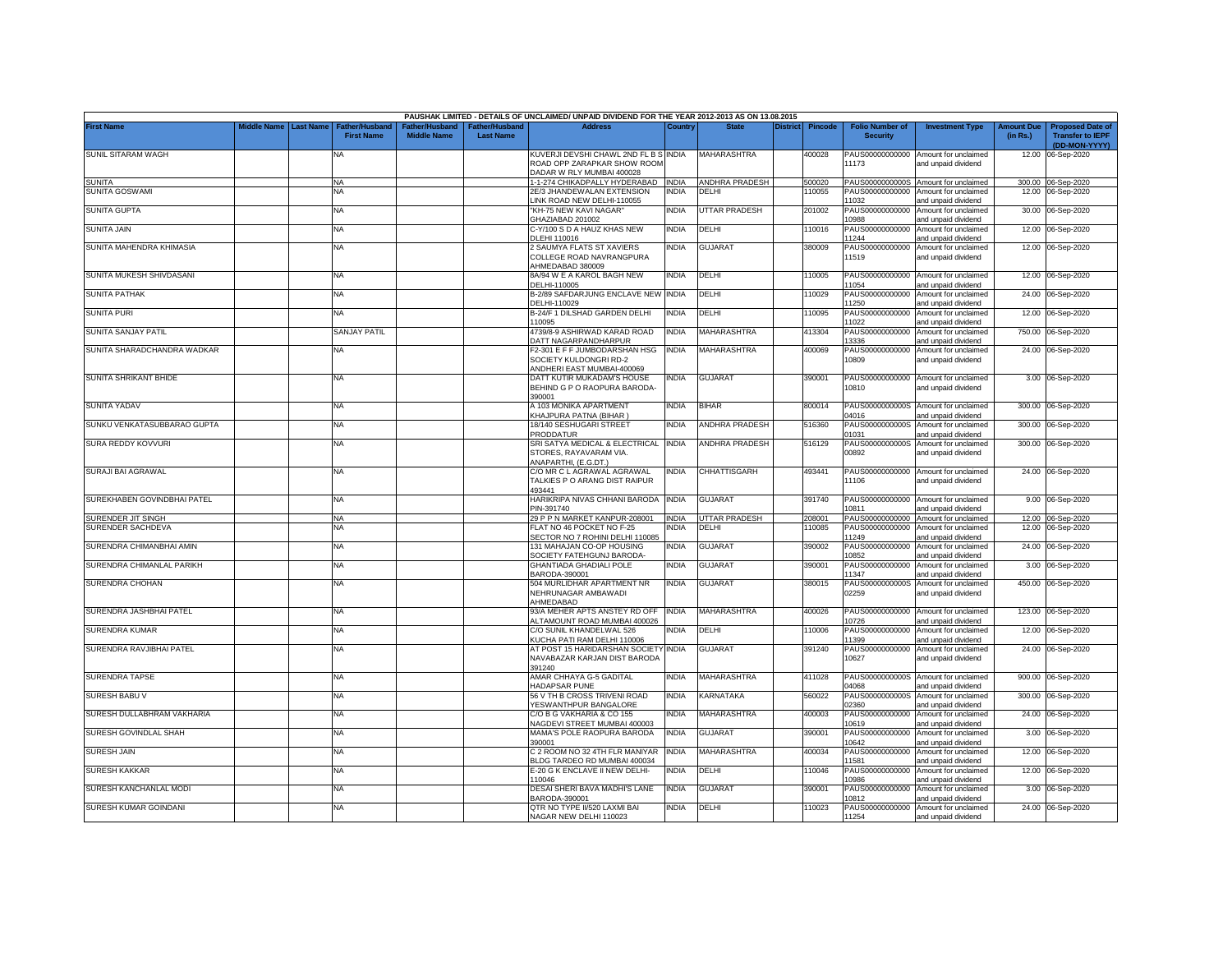|                             |             |                  |                                            |                                      |                                    | PAUSHAK LIMITED - DETAILS OF UNCLAIMED/ UNPAID DIVIDEND FOR THE YEAR 2012-2013 AS ON 13.08.2015 |              |                       |          |         |                                           |                                                             |                               |                                                    |
|-----------------------------|-------------|------------------|--------------------------------------------|--------------------------------------|------------------------------------|-------------------------------------------------------------------------------------------------|--------------|-----------------------|----------|---------|-------------------------------------------|-------------------------------------------------------------|-------------------------------|----------------------------------------------------|
| <b>First Name</b>           | Middle Name | <b>Last Name</b> | <b>Father/Husband</b><br><b>First Name</b> | Father/Husband<br><b>Middle Name</b> | Father/Husband<br><b>Last Name</b> | <b>Address</b>                                                                                  | Country      | <b>State</b>          | District | Pincode | <b>Folio Number of</b><br><b>Security</b> | <b>Investment Type</b>                                      | <b>Amount Due</b><br>(in Rs.) | <b>Proposed Date of</b><br><b>Transfer to IEPF</b> |
| SUNIL SITARAM WAGH          |             |                  | NA                                         |                                      |                                    | KUVERJI DEVSHI CHAWL 2ND FL B S INDIA<br>ROAD OPP ZARAPKAR SHOW ROOM                            |              | MAHARASHTRA           |          | 400028  | 11173                                     | PAUS00000000000 Amount for unclaimed<br>and unpaid dividend |                               | (DD-MON-YYYY)<br>12.00 06-Sep-2020                 |
|                             |             |                  |                                            |                                      |                                    | DADAR W RLY MUMBAI 400028                                                                       |              |                       |          |         |                                           |                                                             |                               |                                                    |
| <b>SUNITA</b>               |             |                  | <b>NA</b>                                  |                                      |                                    | 1-1-274 CHIKADPALLY HYDERABAD  INDIA                                                            |              | ANDHRA PRADESH        |          | 500020  |                                           | PAUS0000000000S Amount for unclaimed                        |                               | 300.00 06-Sep-2020                                 |
| <b>SUNITA GOSWAMI</b>       |             |                  | NΑ                                         |                                      |                                    | 2E/3 JHANDEWALAN EXTENSION<br>LINK ROAD NEW DELHI-110055                                        | <b>INDIA</b> | DELHI                 |          | 110055  | PAUS00000000000<br>11032                  | Amount for unclaimed<br>and unpaid dividend                 |                               | 12.00 06-Sep-2020                                  |
| <b>SUNITA GUPTA</b>         |             |                  | <b>NA</b>                                  |                                      |                                    | "KH-75 NEW KAVI NAGAR"<br>GHAZIABAD 201002                                                      | <b>INDIA</b> | <b>UTTAR PRADESH</b>  |          | 201002  | 10988                                     | PAUS00000000000 Amount for unclaimed<br>and unpaid dividend |                               | 30.00 06-Sep-2020                                  |
| <b>SUNITA JAIN</b>          |             |                  | <b>NA</b>                                  |                                      |                                    | C-Y/100 S D A HAUZ KHAS NEW                                                                     | <b>INDIA</b> | DELHI                 |          | 10016   | PAUS00000000000                           | Amount for unclaimed                                        |                               | 12.00 06-Sep-2020                                  |
| SUNITA MAHENDRA KHIMASIA    |             |                  |                                            |                                      |                                    | DLEHI 110016                                                                                    | INDIA        | <b>GUJARAT</b>        |          |         | 11244<br>PAUS00000000000                  | and unpaid dividend                                         |                               |                                                    |
|                             |             |                  | <b>NA</b>                                  |                                      |                                    | 2 SAUMYA FLATS ST XAVIERS<br>COLLEGE ROAD NAVRANGPURA<br>AHMEDABAD 380009                       |              |                       |          | 380009  | 11519                                     | Amount for unclaimed<br>and unpaid dividend                 |                               | 12.00 06-Sep-2020                                  |
| SUNITA MUKESH SHIVDASANI    |             |                  | <b>NA</b>                                  |                                      |                                    | 8A/94 W E A KAROL BAGH NEW<br>DELHI-110005                                                      | <b>INDIA</b> | DELHI                 |          | 110005  | 11054                                     | PAUS00000000000 Amount for unclaimed<br>and unpaid dividend |                               | 12.00 06-Sep-2020                                  |
| SUNITA PATHAK               |             |                  | <b>NA</b>                                  |                                      |                                    | B-2/89 SAFDARJUNG ENCLAVE NEW INDIA<br>DELHI-110029                                             |              | DELHI                 |          | 110029  | 11250                                     | PAUS00000000000 Amount for unclaimed<br>and unpaid dividend |                               | 24.00 06-Sep-2020                                  |
| <b>SUNITA PURI</b>          |             |                  | NA                                         |                                      |                                    | B-24/F 1 DILSHAD GARDEN DELHI                                                                   | <b>INDIA</b> | DELHI                 |          | 110095  | PAUS00000000000                           | Amount for unclaimed                                        |                               | 12.00 06-Sep-2020                                  |
| SUNITA SANJAY PATIL         |             |                  | <b>SANJAY PATIL</b>                        |                                      |                                    | 110095<br>4739/8-9 ASHIRWAD KARAD ROAD                                                          | <b>INDIA</b> | <b>MAHARASHTRA</b>    |          | 413304  | 11022<br>PAUS00000000000                  | and unpaid dividend<br>Amount for unclaimed                 |                               | 750.00 06-Sep-2020                                 |
|                             |             |                  |                                            |                                      |                                    | DATT NAGARPANDHARPUR                                                                            |              |                       |          |         | 3336                                      | and unpaid dividend                                         |                               |                                                    |
| SUNITA SHARADCHANDRA WADKAR |             |                  | NA                                         |                                      |                                    | F2-301 E F F JUMBODARSHAN HSG<br>SOCIETY KULDONGRI RD-2<br>ANDHERI EAST MUMBAI-400069           | <b>INDIA</b> | <b>MAHARASHTRA</b>    |          | 400069  | PAUS00000000000<br>10809                  | Amount for unclaimed<br>and unpaid dividend                 |                               | 24.00 06-Sep-2020                                  |
| SUNITA SHRIKANT BHIDE       |             |                  | NA                                         |                                      |                                    | DATT KUTIR MUKADAM'S HOUSE                                                                      | INDIA        | <b>GUJARAT</b>        |          | 390001  |                                           | PAUS00000000000 Amount for unclaimed                        |                               | 3.00 06-Sep-2020                                   |
|                             |             |                  |                                            |                                      |                                    | BEHIND G P O RAOPURA BARODA-<br>390001                                                          |              |                       |          |         | 10810                                     | and unpaid dividend                                         |                               |                                                    |
| <b>SUNITA YADAV</b>         |             |                  | NA                                         |                                      |                                    | A 103 MONIKA APARTMENT<br>KHAJPURA PATNA (BIHAR)                                                | <b>INDIA</b> | <b>BIHAR</b>          |          | 800014  | PAUS0000000000S<br>04016                  | Amount for unclaimed<br>and unpaid dividend                 |                               | 300.00 06-Sep-2020                                 |
| SUNKU VENKATASUBBARAO GUPTA |             |                  | NA                                         |                                      |                                    | 18/140 SESHUGARI STREET<br>PRODDATUR                                                            | <b>INDIA</b> | <b>ANDHRA PRADESH</b> |          | 516360  | PAUS0000000000S<br>01031                  | Amount for unclaimed<br>nd unpaid dividend                  |                               | 300.00 06-Sep-2020                                 |
| SURA REDDY KOVVURI          |             |                  | <b>NA</b>                                  |                                      |                                    | SRI SATYA MEDICAL & ELECTRICAL INDIA<br>STORES, RAYAVARAM VIA.<br>ANAPARTHI, (E.G.DT.)          |              | ANDHRA PRADESH        |          | 516129  | PAUS0000000000S<br>00892                  | Amount for unclaimed<br>and unpaid dividend                 |                               | 300.00 06-Sep-2020                                 |
| SURAJI BAI AGRAWAL          |             |                  | <b>NA</b>                                  |                                      |                                    | C/O MR C L AGRAWAL AGRAWAL<br>TALKIES P O ARANG DIST RAIPUR                                     | <b>INDIA</b> | CHHATTISGARH          |          | 493441  | 11106                                     | PAUS00000000000 Amount for unclaimed<br>and unpaid dividend |                               | 24.00 06-Sep-2020                                  |
| SUREKHABEN GOVINDBHAI PATEL |             |                  | <b>NA</b>                                  |                                      |                                    | 493441<br>HARIKRIPA NIVAS CHHANI BARODA INDIA<br>PIN-391740                                     |              | <b>GUJARAT</b>        |          | 391740  | 10811                                     | PAUS00000000000 Amount for unclaimed                        |                               | 9.00 06-Sep-2020                                   |
| SURENDER JIT SINGH          |             |                  | <b>NA</b>                                  |                                      |                                    | 29 P P N MARKET KANPUR-208001                                                                   | <b>INDIA</b> | <b>UTTAR PRADESH</b>  |          | 208001  |                                           | and unpaid dividend<br>PAUS00000000000 Amount for unclaimed |                               | 12.00 06-Sep-2020                                  |
| SURENDER SACHDEVA           |             |                  | NA                                         |                                      |                                    | FLAT NO 46 POCKET NO F-25                                                                       | <b>INDIA</b> | DELHI                 |          | 110085  | PAUS00000000000                           | Amount for unclaimed                                        |                               | 12.00 06-Sep-2020                                  |
| SURENDRA CHIMANBHAI AMIN    |             |                  | <b>NA</b>                                  |                                      |                                    | SECTOR NO 7 ROHINI DELHI 110085<br>131 MAHAJAN CO-OP HOUSING                                    | <b>INDIA</b> | <b>GUJARAT</b>        |          | 390002  | 11249<br>PAUS00000000000                  | and unpaid dividend<br>Amount for unclaimed                 | 24.00                         | 06-Sep-2020                                        |
|                             |             |                  |                                            |                                      |                                    | SOCIETY FATEHGUNJ BARODA-                                                                       |              |                       |          |         | 10852                                     | and unpaid dividend                                         |                               |                                                    |
| SURENDRA CHIMANLAL PARIKH   |             |                  | <b>NA</b>                                  |                                      |                                    | <b>GHANTIADA GHADIALI POLE</b><br>BARODA-390001                                                 | <b>INDIA</b> | <b>GUJARAT</b>        |          | 390001  | PAUS00000000000<br>11347                  | Amount for unclaimed<br>and unpaid dividend                 | 3.00                          | 06-Sep-2020                                        |
| SURENDRA CHOHAN             |             |                  | <b>NA</b>                                  |                                      |                                    | 504 MURLIDHAR APARTMENT NR<br>NEHRUNAGAR AMBAWADI                                               | <b>INDIA</b> | <b>GUJARAT</b>        |          | 380015  | PAUS0000000000S<br>02259                  | Amount for unclaimed<br>and unpaid dividend                 | 450.00                        | 06-Sep-2020                                        |
| SURENDRA JASHBHAI PATEL     |             |                  | <b>NA</b>                                  |                                      |                                    | AHMEDABAD<br>93/A MEHER APTS ANSTEY RD OFF                                                      | <b>INDIA</b> | MAHARASHTRA           |          | 400026  |                                           | PAUS00000000000 Amount for unclaimed                        |                               | 123.00 06-Sep-2020                                 |
| SURENDRA KUMAR              |             |                  | <b>NA</b>                                  |                                      |                                    | ALTAMOUNT ROAD MUMBAI 400026<br>C/O SUNIL KHANDELWAL 526                                        | <b>INDIA</b> | DELHI                 |          | 110006  | 10726<br>PAUS00000000000                  | and unpaid dividend<br>Amount for unclaimed                 | 12.00                         | 06-Sep-2020                                        |
|                             |             |                  |                                            |                                      |                                    | KUCHA PATI RAM DELHI 110006                                                                     |              |                       |          |         | 11399                                     | and unpaid dividend                                         |                               |                                                    |
| SURENDRA RAVJIBHAI PATEL    |             |                  | <b>NA</b>                                  |                                      |                                    | AT POST 15 HARIDARSHAN SOCIETY INDIA<br>NAVABAZAR KARJAN DIST BARODA<br>391240                  |              | <b>GUJARAT</b>        |          | 391240  | 10627                                     | PAUS00000000000 Amount for unclaimed<br>and unpaid dividend |                               | 24.00 06-Sep-2020                                  |
| <b>SURENDRA TAPSE</b>       |             |                  | <b>NA</b>                                  |                                      |                                    | AMAR CHHAYA G-5 GADITAL<br>HADAPSAR PUNE                                                        | <b>INDIA</b> | MAHARASHTRA           |          | 411028  | 04068                                     | PAUS0000000000S Amount for unclaimed<br>and unpaid dividend |                               | 900.00 06-Sep-2020                                 |
| SURESH BABU V               |             |                  | <b>NA</b>                                  |                                      |                                    | 56 V TH B CROSS TRIVENI ROAD<br>YESWANTHPUR BANGALORE                                           | <b>INDIA</b> | KARNATAKA             |          | 560022  | PAUS0000000000S<br>02360                  | Amount for unclaimed<br>and unpaid dividend                 | 300.00                        | 06-Sep-2020                                        |
| SURESH DULLABHRAM VAKHARIA  |             |                  | <b>NA</b>                                  |                                      |                                    | C/O B G VAKHARIA & CO 155                                                                       | <b>INDIA</b> | MAHARASHTRA           |          | 400003  | PAUS00000000000                           | Amount for unclaimed                                        |                               | 24.00 06-Sep-2020                                  |
| SURESH GOVINDLAL SHAH       |             |                  | <b>NA</b>                                  |                                      |                                    | <b>NAGDEVI STREET MUMBAI 400003</b><br>MAMA'S POLE RAOPURA BARODA                               | India        | <b>GUJARAT</b>        |          | 390001  | 10619<br>PAUS00000000000                  | and unpaid dividend<br>Amount for unclaimed                 |                               | 3.00 06-Sep-2020                                   |
| <b>SURESH JAIN</b>          |             |                  | <b>NA</b>                                  |                                      |                                    | 390001<br>C 2 ROOM NO 32 4TH FLR MANIYAR                                                        | <b>INDIA</b> | <b>MAHARASHTRA</b>    |          | 400034  | 10642<br>PAUS00000000000                  | and unpaid dividend<br>Amount for unclaimed                 |                               | 12.00 06-Sep-2020                                  |
| <b>SURESH KAKKAR</b>        |             |                  | <b>NA</b>                                  |                                      |                                    | BLDG TARDEO RD MUMBAI 400034<br>E-20 G K ENCLAVE II NEW DELHI-                                  | <b>INDIA</b> | DELHI                 |          | 110046  | 11581                                     | and unpaid dividend<br>PAUS00000000000 Amount for unclaimed |                               | 12.00 06-Sep-2020                                  |
| SURESH KANCHANLAL MODI      |             |                  | <b>NA</b>                                  |                                      |                                    | 110046<br>DESAI SHERI BAVA MADHI'S LANE                                                         | <b>INDIA</b> | <b>GUJARAT</b>        |          | 390001  | 0986<br>PAUS00000000000                   | and unpaid dividend<br>Amount for unclaimed                 |                               | 3.00 06-Sep-2020                                   |
|                             |             |                  |                                            |                                      |                                    | BARODA-390001                                                                                   |              |                       |          |         | 10812                                     | and unpaid dividend                                         |                               |                                                    |
| SURESH KUMAR GOINDANI       |             |                  | <b>NA</b>                                  |                                      |                                    | QTR NO TYPE II/520 LAXMI BAI<br>NAGAR NEW DELHI 110023                                          | <b>INDIA</b> | DELHI                 |          | 110023  | 11254                                     | PAUS00000000000 Amount for unclaimed<br>and unpaid dividend |                               | 24.00 06-Sep-2020                                  |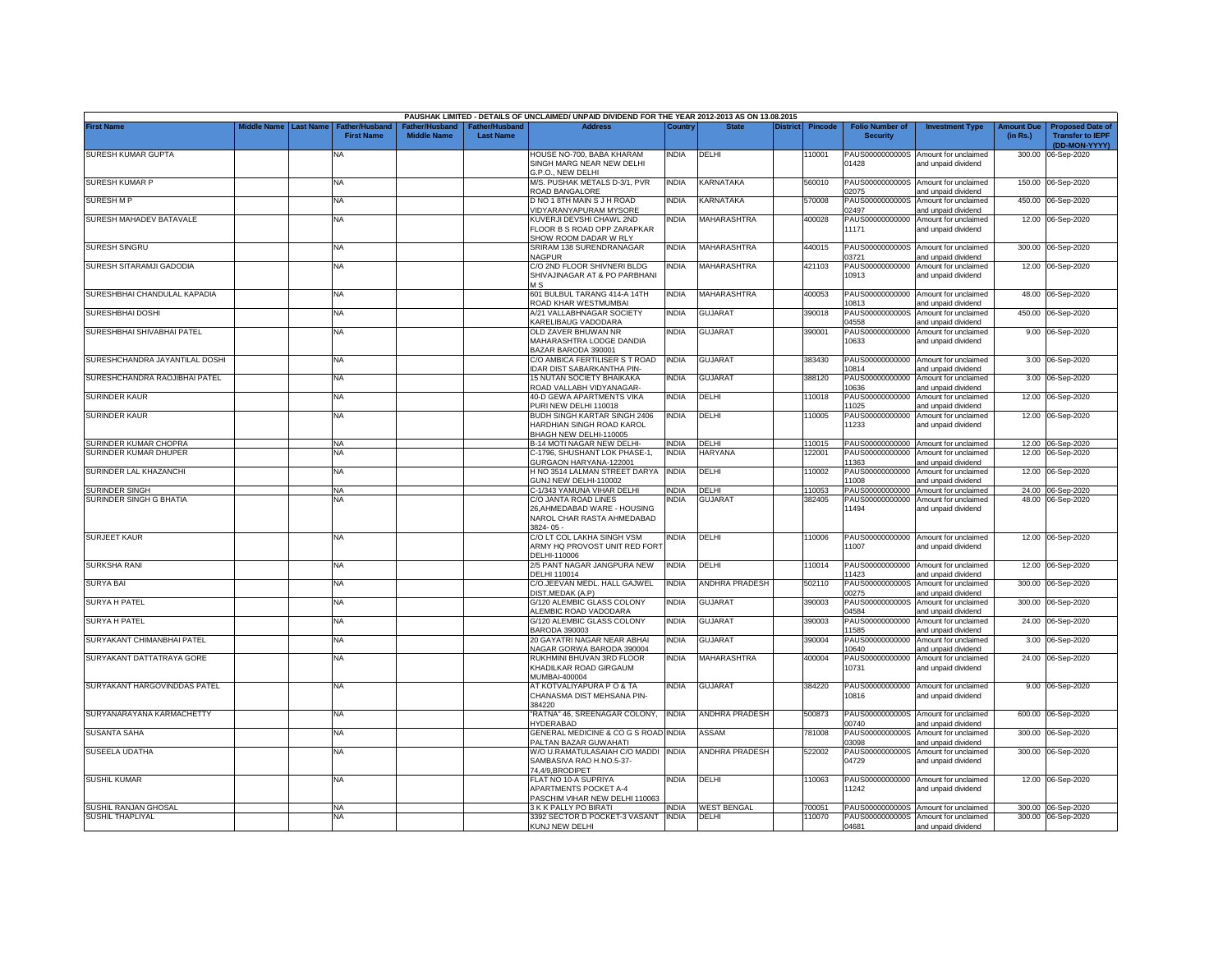|                                |             |                  |                                            |                                                  |                                   | PAUSHAK LIMITED - DETAILS OF UNCLAIMED/ UNPAID DIVIDEND FOR THE YEAR 2012-2013 AS ON 13.08.2015 |              |                       |                 |                |                                           |                                                             |                               |                                                                     |
|--------------------------------|-------------|------------------|--------------------------------------------|--------------------------------------------------|-----------------------------------|-------------------------------------------------------------------------------------------------|--------------|-----------------------|-----------------|----------------|-------------------------------------------|-------------------------------------------------------------|-------------------------------|---------------------------------------------------------------------|
| <b>First Name</b>              | Middle Name | <b>Last Name</b> | <b>Father/Husband</b><br><b>First Name</b> | ather/Husband <sup>:</sup><br><b>Middle Name</b> | ather/Husband<br><b>Last Name</b> | <b>Address</b>                                                                                  | Country      | <b>State</b>          | <b>District</b> | <b>Pincode</b> | <b>Folio Number of</b><br><b>Security</b> | <b>Investment Type</b>                                      | <b>Amount Due</b><br>(in Rs.) | <b>Proposed Date of</b><br><b>Transfer to IEPF</b><br>(DD-MON-YYYY) |
| SURESH KUMAR GUPTA             |             |                  | <b>NA</b>                                  |                                                  |                                   | HOUSE NO-700, BABA KHARAM<br>SINGH MARG NEAR NEW DELHI<br>G.P.O., NEW DELHI                     | India        | DELHI                 |                 | 110001         | PAUS0000000000S<br>01428                  | Amount for unclaimed<br>and unpaid dividend                 | 300.00                        | 06-Sep-2020                                                         |
| <b>SURESH KUMAR P</b>          |             |                  | <b>NA</b>                                  |                                                  |                                   | M/S. PUSHAK METALS D-3/1, PVR<br>ROAD BANGALORE                                                 | india        | KARNATAKA             |                 | 560010         | 02075                                     | PAUS0000000000S Amount for unclaimed<br>and unpaid dividend |                               | 150.00 06-Sep-2020                                                  |
| <b>SURESHMP</b>                |             |                  | <b>NA</b>                                  |                                                  |                                   | D NO 1 8TH MAIN S J H ROAD<br>/IDYARANYAPURAM MYSORE                                            | india        | KARNATAKA             |                 | 570008         | PAUS0000000000S<br>02497                  | Amount for unclaimed<br>and unpaid dividend                 |                               | 450.00 06-Sep-2020                                                  |
| SURESH MAHADEV BATAVALE        |             |                  | <b>NA</b>                                  |                                                  |                                   | KUVERJI DEVSHI CHAWL 2ND<br>FLOOR B S ROAD OPP ZARAPKAR<br>SHOW ROOM DADAR W RLY                | NDIA         | <b>MAHARASHTRA</b>    |                 | 400028         | PAUS00000000000<br>11171                  | Amount for unclaimed<br>and unpaid dividend                 |                               | 12.00 06-Sep-2020                                                   |
| SURESH SINGRU                  |             |                  | <b>NA</b>                                  |                                                  |                                   | SRIRAM 138 SURENDRANAGAR<br><b>VAGPUR</b>                                                       | India        | MAHARASHTRA           |                 | 440015         | PAUS0000000000S<br>03721                  | Amount for unclaimed<br>and unpaid dividend                 | 300.00                        | 06-Sep-2020                                                         |
| SURESH SITARAMJI GADODIA       |             |                  | <b>NA</b>                                  |                                                  |                                   | C/O 2ND FLOOR SHIVNERI BLDG<br>SHIVAJINAGAR AT & PO PARBHANI<br>M S                             | INDIA        | <b>MAHARASHTRA</b>    |                 | 421103         | PAUS00000000000<br>10913                  | Amount for unclaimed<br>and unpaid dividend                 |                               | 12.00 06-Sep-2020                                                   |
| SURESHBHAI CHANDULAL KAPADIA   |             |                  | <b>NA</b>                                  |                                                  |                                   | 601 BULBUL TARANG 414-A 14TH<br>ROAD KHAR WESTMUMBAI                                            | INDIA        | <b>MAHARASHTRA</b>    |                 | 400053         | 10813                                     | PAUS00000000000 Amount for unclaimed<br>and unpaid dividend | 48.00                         | 06-Sep-2020                                                         |
| SURESHBHAI DOSHI               |             |                  | <b>NA</b>                                  |                                                  |                                   | A/21 VALLABHNAGAR SOCIETY<br>KARELIBAUG VADODARA                                                | india        | GUJARAT               |                 | 390018         | PAUS0000000000S<br>04558                  | Amount for unclaimed<br>and unpaid dividend                 |                               | 450.00 06-Sep-2020                                                  |
| SURESHBHAI SHIVABHAI PATEL     |             |                  | <b>NA</b>                                  |                                                  |                                   | OLD ZAVER BHUWAN NR<br>MAHARASHTRA LODGE DANDIA<br>BAZAR BARODA 390001                          | <b>INDIA</b> | <b>GUJARAT</b>        |                 | 390001         | PAUS00000000000<br>10633                  | Amount for unclaimed<br>and unpaid dividend                 |                               | 9.00 06-Sep-2020                                                    |
| SURESHCHANDRA JAYANTILAL DOSHI |             |                  | <b>NA</b>                                  |                                                  |                                   | C/O AMBICA FERTILISER S T ROAD<br>IDAR DIST SABARKANTHA PIN-                                    | India        | <b>GUJARAT</b>        |                 | 383430         | PAUS00000000000<br>10814                  | Amount for unclaimed<br>and unpaid dividend                 |                               | 3.00 06-Sep-2020                                                    |
| SURESHCHANDRA RAOJIBHAI PATEL  |             |                  | <b>NA</b>                                  |                                                  |                                   | <b>15 NUTAN SOCIETY BHAIKAKA</b><br>ROAD VALLABH VIDYANAGAR-                                    | <b>INDIA</b> | <b>GUJARAT</b>        |                 | 388120         | PAUS00000000000<br>10636                  | Amount for unclaimed<br>and unpaid dividend                 | 3.00                          | 06-Sep-2020                                                         |
| <b>SURINDER KAUR</b>           |             |                  | <b>NA</b>                                  |                                                  |                                   | 40-D GEWA APARTMENTS VIKA<br>PURI NEW DELHI 110018                                              | INDIA        | DELHI                 |                 | 110018         | PAUS00000000000<br>11025                  | Amount for unclaimed<br>and unpaid dividend                 | 12.00                         | 06-Sep-2020                                                         |
| <b>SURINDER KAUR</b>           |             |                  | <b>NA</b>                                  |                                                  |                                   | <b>BUDH SINGH KARTAR SINGH 2406</b><br>HARDHIAN SINGH ROAD KAROL<br>BHAGH NEW DELHI-110005      | NDIA         | DELHI                 |                 | 10005          | PAUS00000000000<br>11233                  | Amount for unclaimed<br>and unpaid dividend                 |                               | 12.00 06-Sep-2020                                                   |
| SURINDER KUMAR CHOPRA          |             |                  | <b>NA</b>                                  |                                                  |                                   | <b>B-14 MOTI NAGAR NEW DELHI-</b>                                                               | INDIA        | DELHI                 |                 | 10015          | PAUS00000000000                           | Amount for unclaimed                                        |                               | 12.00 06-Sep-2020                                                   |
| SURINDER KUMAR DHUPER          |             |                  | ΝA                                         |                                                  |                                   | C-1796, SHUSHANT LOK PHASE-1,<br>GURGAON HARYANA-122001                                         | INDIA        | <b>HARYANA</b>        |                 | 22001          | PAUS00000000000<br>11363                  | Amount for unclaimed<br>and unpaid dividend                 |                               | 12.00 06-Sep-2020                                                   |
| SURINDER LAL KHAZANCHI         |             |                  | <b>NA</b>                                  |                                                  |                                   | H NO 3514 LALMAN STREET DARYA<br>GUNJ NEW DELHI-110002                                          | <b>INDIA</b> | DELHI                 |                 | 110002         | PAUS00000000000<br>11008                  | Amount for unclaimed<br>and unpaid dividend                 |                               | 12.00 06-Sep-2020                                                   |
| <b>SURINDER SINGH</b>          |             |                  | <b>NA</b>                                  |                                                  |                                   | C-1/343 YAMUNA VIHAR DELHI                                                                      | <b>INDIA</b> | DELHI                 |                 | 110053         | PAUS00000000000                           | Amount for unclaimed                                        |                               | 24.00 06-Sep-2020                                                   |
| SURINDER SINGH G BHATIA        |             |                  | NΑ                                         |                                                  |                                   | C/O JANTA ROAD LINES<br>26, AHMEDABAD WARE - HOUSING<br>NAROL CHAR RASTA AHMEDABAD<br>3824-05-  | India        | <b>GUJARAT</b>        |                 | 382405         | PAUS00000000000<br>11494                  | Amount for unclaimed<br>and unpaid dividend                 |                               | 48.00 06-Sep-2020                                                   |
| <b>SURJEET KAUR</b>            |             |                  | <b>NA</b>                                  |                                                  |                                   | C/O LT COL LAKHA SINGH VSM<br>ARMY HQ PROVOST UNIT RED FORT<br>DELHI-110006                     | ndia         | DELHI                 |                 | 110006         | PAUS00000000000<br>11007                  | Amount for unclaimed<br>and unpaid dividend                 |                               | 12.00 06-Sep-2020                                                   |
| SURKSHA RANI                   |             |                  | <b>NA</b>                                  |                                                  |                                   | 2/5 PANT NAGAR JANGPURA NEW<br>DELHI 110014                                                     | INDIA        | DELHI                 |                 | 110014         | PAUS00000000000<br>11423                  | Amount for unclaimed<br>and unpaid dividend                 |                               | 12.00 06-Sep-2020                                                   |
| <b>SURYA BAI</b>               |             |                  | <b>NA</b>                                  |                                                  |                                   | C/O.JEEVAN MEDL. HALL GAJWEL<br><b>DIST.MEDAK (A.P)</b>                                         | INDIA        | <b>ANDHRA PRADESH</b> |                 | 502110         | PAUS0000000000S<br>00275                  | Amount for unclaimed<br>and unpaid dividend                 |                               | 300.00 06-Sep-2020                                                  |
| <b>SURYA H PATEL</b>           |             |                  | <b>NA</b>                                  |                                                  |                                   | G/120 ALEMBIC GLASS COLONY<br><b>LEMBIC ROAD VADODARA</b>                                       | <b>INDIA</b> | GUJARAT               |                 | 390003         | PAUS0000000000S<br>04584                  | Amount for unclaimed<br>and unpaid dividend                 | 300.00                        | 06-Sep-2020                                                         |
| <b>SURYA H PATEL</b>           |             |                  | NA                                         |                                                  |                                   | G/120 ALEMBIC GLASS COLONY<br>BARODA 390003                                                     | <b>INDIA</b> | <b>GUJARAT</b>        |                 | 390003         | PAUS00000000000<br>11585                  | Amount for unclaimed<br>and unpaid dividend                 |                               | 24.00 06-Sep-2020                                                   |
| SURYAKANT CHIMANBHAI PATEL     |             |                  | <b>NA</b>                                  |                                                  |                                   | 20 GAYATRI NAGAR NEAR ABHAI<br>NAGAR GORWA BARODA 390004                                        | INDIA        | <b>GUJARAT</b>        |                 | 390004         | PAUS00000000000<br>10640                  | Amount for unclaimed<br>and unpaid dividend                 |                               | 3.00 06-Sep-2020                                                    |
| SURYAKANT DATTATRAYA GORE      |             |                  | <b>NA</b>                                  |                                                  |                                   | RUKHMINI BHUVAN 3RD FLOOR<br>KHADILKAR ROAD GIRGAUM<br>MUMBAI-400004                            | INDIA        | MAHARASHTRA           |                 | 400004         | PAUS00000000000<br>10731                  | Amount for unclaimed<br>and unpaid dividend                 |                               | 24.00 06-Sep-2020                                                   |
| SURYAKANT HARGOVINDDAS PATEL   |             |                  | <b>NA</b>                                  |                                                  |                                   | AT KOTVALIYAPURA P O & TA<br>CHANASMA DIST MEHSANA PIN-<br>384220                               | <b>INDIA</b> | <b>GUJARAT</b>        |                 | 384220         | 10816                                     | PAUS00000000000 Amount for unclaimed<br>and unpaid dividend |                               | 9.00 06-Sep-2020                                                    |
| SURYANARAYANA KARMACHETTY      |             |                  | <b>NA</b>                                  |                                                  |                                   | "RATNA" 46. SREENAGAR COLONY.<br><b>IYDERABAD</b>                                               | <b>INDIA</b> | <b>ANDHRA PRADESH</b> |                 | 500873         | PAUS0000000000S<br>00740                  | Amount for unclaimed<br>and unpaid dividend                 | 600.00                        | 06-Sep-2020                                                         |
| <b>SUSANTA SAHA</b>            |             |                  | <b>NA</b>                                  |                                                  |                                   | <b>GENERAL MEDICINE &amp; CO G S ROAD</b><br>PALTAN BAZAR GUWAHATI                              | <b>INDIA</b> | ASSAM                 |                 | 781008         | PAUS0000000000S<br>03098                  | Amount for unclaimed<br>and unpaid dividend                 | 300.00                        | 06-Sep-2020                                                         |
| SUSEELA UDATHA                 |             |                  | <b>NA</b>                                  |                                                  |                                   | W/O U.RAMATULASAIAH C/O MADDI INDIA<br>SAMBASIVA RAO H.NO.5-37-<br>74.4/9, BRODIPET             |              | ANDHRA PRADESH        |                 | 522002         | PAUS0000000000S<br>04729                  | Amount for unclaimed<br>and unpaid dividend                 | 300.00                        | 06-Sep-2020                                                         |
| <b>SUSHIL KUMAR</b>            |             |                  | <b>NA</b>                                  |                                                  |                                   | FLAT NO 10-A SUPRIYA<br><b>APARTMENTS POCKET A-4</b><br>PASCHIM VIHAR NEW DELHI 110063          | India        | DELHI                 |                 | 10063          | 11242                                     | PAUS00000000000 Amount for unclaimed<br>and unpaid dividend |                               | 12.00 06-Sep-2020                                                   |
| SUSHIL RANJAN GHOSAL           |             |                  | NA                                         |                                                  |                                   | 3 K K PALLY PO BIRATI                                                                           | <b>INDIA</b> | <b>WEST BENGAL</b>    |                 | 700051         | PAUS0000000000S                           | Amount for unclaimed                                        |                               | 300.00 06-Sep-2020                                                  |
| <b>SUSHIL THAPLIYAL</b>        |             |                  | NA                                         |                                                  |                                   | 3392 SECTOR D POCKET-3 VASANT<br>KUNJ NEW DELHI                                                 | <b>INDIA</b> | DELHI                 |                 | 10070          | PAUS0000000000S<br>04681                  | Amount for unclaimed<br>and unpaid dividend                 |                               | 300.00 06-Sep-2020                                                  |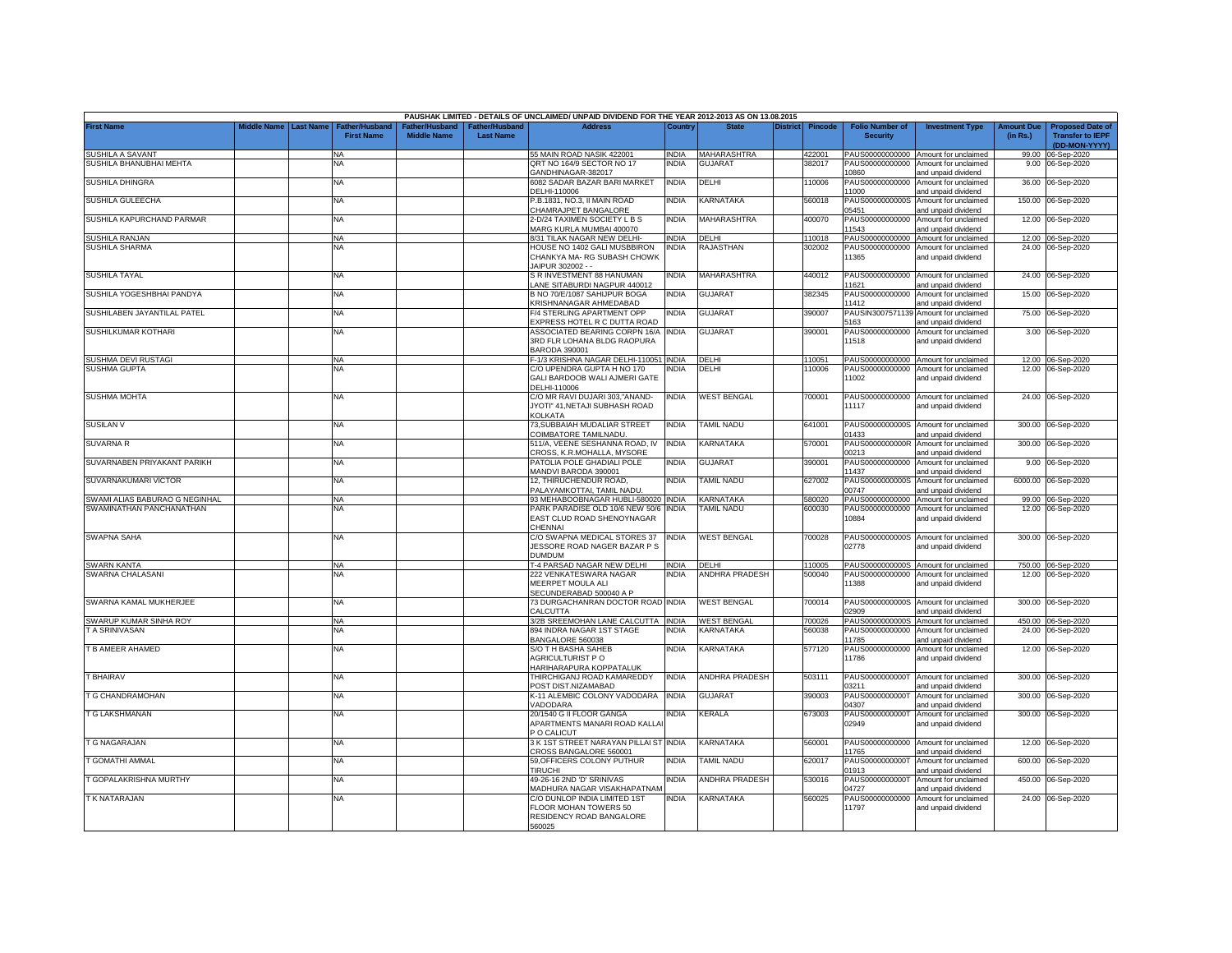|                                |             |                  |                                     |                                      |                                           | PAUSHAK LIMITED - DETAILS OF UNCLAIMED/ UNPAID DIVIDEND FOR THE YEAR 2012-2013 AS ON 13.08.2015 |              |                       |                 |                |                                           |                                                                    |                               |                                                                     |
|--------------------------------|-------------|------------------|-------------------------------------|--------------------------------------|-------------------------------------------|-------------------------------------------------------------------------------------------------|--------------|-----------------------|-----------------|----------------|-------------------------------------------|--------------------------------------------------------------------|-------------------------------|---------------------------------------------------------------------|
| <b>First Name</b>              | liddle Name | <b>Last Name</b> | Father/Husband<br><b>First Name</b> | Father/Husband<br><b>Middle Name</b> | <b>Father/Husband</b><br><b>Last Name</b> | <b>Address</b>                                                                                  | Country      | <b>State</b>          | <b>District</b> | <b>Pincode</b> | <b>Folio Number of</b><br><b>Security</b> | <b>Investment Type</b>                                             | <b>Amount Due</b><br>(in Rs.) | <b>Proposed Date of</b><br><b>Transfer to IEPF</b><br>(DD-MON-YYYY) |
| SUSHILA A SAVANT               |             |                  | <b>NA</b>                           |                                      |                                           | 55 MAIN ROAD NASIK 422001                                                                       | <b>INDIA</b> | MAHARASHTRA           |                 | 422001         | PAUS00000000000                           | Amount for unclaimed                                               |                               | 99.00 06-Sep-2020                                                   |
| SUSHILA BHANUBHAI MEHTA        |             |                  | NA                                  |                                      |                                           | QRT NO 164/9 SECTOR NO 17<br>GANDHINAGAR-382017                                                 | <b>INDIA</b> | <b>GUJARA1</b>        |                 | 382017         | PAUS00000000000<br>08601                  | Amount for unclaimed<br>and unpaid dividend                        |                               | 9.00 06-Sep-2020                                                    |
| SUSHILA DHINGRA                |             |                  | NA                                  |                                      |                                           | 6082 SADAR BAZAR BARI MARKET<br>DELHI-110006                                                    | <b>INDIA</b> | DELHI                 |                 | 10006          | PAUS00000000000<br>11000                  | Amount for unclaimed<br>and unpaid dividend                        |                               | 36.00 06-Sep-2020                                                   |
| SUSHILA GULEECHA               |             |                  | <b>NA</b>                           |                                      |                                           | P.B.1831. NO.3. II MAIN ROAD                                                                    | NDIA         | KARNATAKA             |                 | 560018         | PAUS0000000000S                           | Amount for unclaimed                                               |                               | 150.00 06-Sep-2020                                                  |
| SUSHILA KAPURCHAND PARMAR      |             |                  | <b>NA</b>                           |                                      |                                           | CHAMRAJPET BANGALORE<br>2-D/24 TAXIMEN SOCIETY L B S                                            | <b>INDIA</b> | <b>MAHARASHTRA</b>    |                 | 400070         | 05451<br>PAUS00000000000                  | and unpaid dividend<br>Amount for unclaimed                        |                               | 12.00 06-Sep-2020                                                   |
| <b>SUSHILA RANJAN</b>          |             |                  |                                     |                                      |                                           | MARG KURLA MUMBAI 400070<br>8/31 TILAK NAGAR NEW DELHI-                                         | <b>INDIA</b> | <b>DELHI</b>          |                 | 110018         | 11543<br>PAUS00000000000                  | and unpaid dividend<br>Amount for unclaimed                        |                               | 12.00 06-Sep-2020                                                   |
| SUSHILA SHARMA                 |             |                  | <b>NA</b><br><b>NA</b>              |                                      |                                           | HOUSE NO 1402 GALI MUSBBIRON                                                                    | INDIA        | RAJASTHAN             |                 | 302002         | PAUS00000000000                           | Amount for unclaimed                                               |                               | 24.00 06-Sep-2020                                                   |
|                                |             |                  |                                     |                                      |                                           | CHANKYA MA- RG SUBASH CHOWK<br>AIPUR 302002 - -                                                 |              |                       |                 |                | 11365                                     | and unpaid dividend                                                |                               |                                                                     |
| <b>SUSHILA TAYAL</b>           |             |                  | <b>NA</b>                           |                                      |                                           | S R INVESTMENT 88 HANUMAN<br>ANE SITABURDI NAGPUR 440012                                        | India        | MAHARASHTRA           |                 | 440012         | PAUS00000000000<br>1621                   | Amount for unclaimed<br>and unpaid dividend                        |                               | 24.00 06-Sep-2020                                                   |
| SUSHILA YOGESHBHAI PANDYA      |             |                  | NA                                  |                                      |                                           | B NO 70/E/1087 SAHIJPUR BOGA<br><b>KRISHNANAGAR AHMEDABAD</b>                                   | INDIA        | <b>GUJARAT</b>        |                 | 382345         | PAUS00000000000<br>11412                  | Amount for unclaimed<br>and unpaid dividend                        |                               | 15.00 06-Sep-2020                                                   |
| SUSHILABEN JAYANTILAL PATEL    |             |                  | <b>NA</b>                           |                                      |                                           | <b>F/4 STERLING APARTMENT OPF</b><br>EXPRESS HOTEL R C DUTTA ROAD                               | <b>NDIA</b>  | <b>GUJARAT</b>        |                 | 390007         | PAUSIN3007571139<br>5163                  | Amount for unclaimed<br>and unpaid dividend                        |                               | 75.00 06-Sep-2020                                                   |
| SUSHILKUMAR KOTHARI            |             |                  | <b>NA</b>                           |                                      |                                           | ASSOCIATED BEARING CORPN 16/A                                                                   | <b>INDIA</b> | <b>GUJARAT</b>        |                 | 390001         | PAUS00000000000                           | Amount for unclaimed                                               |                               | 3.00 06-Sep-2020                                                    |
|                                |             |                  |                                     |                                      |                                           | 3RD FLR LOHANA BLDG RAOPURA<br>BARODA 390001                                                    |              |                       |                 |                | 11518                                     | and unpaid dividend                                                |                               |                                                                     |
| SUSHMA DEVI RUSTAGI            |             |                  | <b>NA</b>                           |                                      |                                           | F-1/3 KRISHNA NAGAR DELHI-110051 INDIA                                                          |              | DELHI                 |                 | 110051         |                                           | PAUS00000000000 Amount for unclaimed                               |                               | 12.00 06-Sep-2020                                                   |
| <b>SUSHMA GUPTA</b>            |             |                  | ΝA                                  |                                      |                                           | C/O UPENDRA GUPTA H NO 170<br>GALI BARDOOB WALI AJMERI GATE<br>DELHI-110006                     | <b>NDIA</b>  | DELHI                 |                 | 110006         | PAUS00000000000<br>11002                  | Amount for unclaimed<br>and unpaid dividend                        |                               | 12.00 06-Sep-2020                                                   |
| <b>SUSHMA MOHTA</b>            |             |                  | <b>NA</b>                           |                                      |                                           | C/O MR RAVI DUJARI 303,"ANAND-<br>JYOTI" 41.NETAJI SUBHASH ROAD<br>KOLKATA                      | INDIA        | <b>WEST BENGAL</b>    |                 | 700001         | PAUS00000000000<br>11117                  | Amount for unclaimed<br>and unpaid dividend                        |                               | 24.00 06-Sep-2020                                                   |
| <b>SUSILAN V</b>               |             |                  | <b>NA</b>                           |                                      |                                           | 73, SUBBAIAH MUDALIAR STREET<br>COIMBATORE TAMILNADU                                            | INDIA        | TAMIL NADU            |                 | 641001         | PAUS0000000000S<br>01433                  | Amount for unclaimed<br>and unpaid dividend                        |                               | 300.00 06-Sep-2020                                                  |
| <b>SUVARNA R</b>               |             |                  | <b>NA</b>                           |                                      |                                           | 511/A, VEENE SESHANNA ROAD, IV<br>CROSS, K.R.MOHALLA, MYSORE                                    | INDIA        | KARNATAKA             |                 | 570001         | PAUS0000000000R<br>00213                  | Amount for unclaimed                                               | 300.00                        | 06-Sep-2020                                                         |
| SUVARNABEN PRIYAKANT PARIKH    |             |                  | ΝA                                  |                                      |                                           | PATOLIA POLE GHADIALI POLE                                                                      | NDIA         | <b>GUJARAT</b>        |                 | 390001         | PAUS00000000000                           | and unpaid dividend<br>Amount for unclaimed                        | 9.00                          | 06-Sep-2020                                                         |
| SUVARNAKUMARI VICTOR           |             |                  | <b>NA</b>                           |                                      |                                           | MANDVI BARODA 390001<br>12, THIRUCHENDUR ROAD,                                                  | India        | <b>TAMIL NADU</b>     |                 | 627002         | 11437<br>PAUS0000000000S                  | and unpaid dividend<br>Amount for unclaimed                        | 6000.00                       | 06-Sep-2020                                                         |
|                                |             |                  |                                     |                                      |                                           | PALAYAMKOTTAI, TAMIL NADU                                                                       |              |                       |                 |                | 0747                                      | and unpaid dividend                                                |                               |                                                                     |
| SWAMI ALIAS BABURAO G NEGINHAL |             |                  | <b>NA</b>                           |                                      |                                           | 93 MEHABOOBNAGAR HUBLI-580020 INDIA                                                             |              | <b>KARNATAKA</b>      |                 | 580020         | PAUS00000000000                           | Amount for unclaimed                                               |                               | 99.00 06-Sep-2020                                                   |
| SWAMINATHAN PANCHANATHAN       |             |                  | NA                                  |                                      |                                           | PARK PARADISE OLD 10/6 NEW 50/6<br>EAST CLUD ROAD SHENOYNAGAR<br>CHENNAI                        | <b>INDIA</b> | <b>AMIL NADU</b>      |                 | 600030         | PAUS00000000000<br>10884                  | Amount for unclaimed<br>and unpaid dividend                        |                               | 12.00 06-Sep-2020                                                   |
| <b>SWAPNA SAHA</b>             |             |                  | <b>NA</b>                           |                                      |                                           | C/O SWAPNA MEDICAL STORES 37<br>JESSORE ROAD NAGER BAZAR P S<br><b>DUMDUM</b>                   | <b>INDIA</b> | <b>WEST BENGAL</b>    |                 | 700028         | 02778                                     | PAUS0000000000S Amount for unclaimed<br>and unpaid dividend        |                               | 300.00 06-Sep-2020                                                  |
| <b>SWARN KANTA</b>             |             |                  | <b>NA</b>                           |                                      |                                           | <b>1-4 PARSAD NAGAR NEW DELHI</b>                                                               | <b>INDIA</b> | DELHI                 |                 | 110005         | PAUS0000000000S                           | Amount for unclaimed                                               |                               | 750.00 06-Sep-2020                                                  |
| SWARNA CHALASANI               |             |                  | <b>NA</b>                           |                                      |                                           | 222 VENKATESWARA NAGAR<br>MEERPET MOULA ALI<br>SECUNDERABAD 500040 A P                          | india        | <b>ANDHRA PRADESH</b> |                 | 500040         | PAUS00000000000<br>11388                  | Amount for unclaimed<br>and unpaid dividend                        |                               | 12.00 06-Sep-2020                                                   |
| SWARNA KAMAL MUKHERJEE         |             |                  | <b>NA</b>                           |                                      |                                           | 73 DURGACHANRAN DOCTOR ROAD INDIA<br>CALCUTTA                                                   |              | <b>WEST BENGAL</b>    |                 | 700014         | 02909                                     | PAUS0000000000S Amount for unclaimed<br>and unpaid dividend        |                               | 300.00 06-Sep-2020                                                  |
| SWARUP KUMAR SINHA ROY         |             |                  | <b>NA</b>                           |                                      |                                           | 3/2B SREEMOHAN LANE CALCUTTA INDIA                                                              |              | <b>WEST BENGAL</b>    |                 | 700026         | PAUS0000000000S                           | Amount for unclaimed                                               |                               | 450.00 06-Sep-2020                                                  |
| T A SRINIVASAN                 |             |                  | NA                                  |                                      |                                           | 894 INDRA NAGAR 1ST STAGE<br>BANGALORE 560038                                                   | NDIA         | KARNATAKA             |                 | 560038         | PAUS00000000000<br>11785                  | Amount for unclaimed<br>and unpaid dividend                        | 24.00                         | 06-Sep-2020                                                         |
| T B AMEER AHAMED               |             |                  | NA                                  |                                      |                                           | S/O TH BASHA SAHEB<br>AGRICULTURIST P O<br><b>HARIHARAPURA KOPPATALUK</b>                       | INDIA        | KARNATAKA             |                 | 577120         | PAUS00000000000<br>11786                  | Amount for unclaimed<br>and unpaid dividend                        |                               | 12.00 06-Sep-2020                                                   |
| T BHAIRAV                      |             |                  | ΝA                                  |                                      |                                           | THIRCHIGANJ ROAD KAMAREDDY<br>OST DIST.NIZAMABAD                                                | INDIA        | <b>ANDHRA PRADESH</b> |                 | 503111         | PAUS0000000000T<br>3211                   | Amount for unclaimed<br>and unpaid dividend                        |                               | 300.00 06-Sep-2020                                                  |
| T G CHANDRAMOHAN               |             |                  | <b>NA</b>                           |                                      |                                           | K-11 ALEMBIC COLONY VADODARA                                                                    | <b>INDIA</b> | <b>GUJARAT</b>        |                 | 390003         | PAUS0000000000T<br>04307                  | Amount for unclaimed                                               | 300.00                        | 06-Sep-2020                                                         |
| T G LAKSHMANAN                 |             |                  | <b>NA</b>                           |                                      |                                           | /ADODARA<br>20/1540 G II FLOOR GANGA<br>APARTMENTS MANARI ROAD KALLA<br>P O CALICUT             | india        | KERALA                |                 | 673003         | PAUS0000000000T<br>02949                  | and unpaid dividend<br>Amount for unclaimed<br>and unpaid dividend |                               | 300.00 06-Sep-2020                                                  |
| <b>T G NAGARAJAN</b>           |             |                  | <b>NA</b>                           |                                      |                                           | 3 K 1ST STREET NARAYAN PILLAI ST<br>CROSS BANGALORE 560001                                      | <b>INDIA</b> | KARNATAKA             |                 | 560001         | PAUS00000000000<br>11765                  | Amount for unclaimed<br>and unpaid dividend                        | 12.00                         | 06-Sep-2020                                                         |
| T GOMATHI AMMAL                |             |                  | <b>NA</b>                           |                                      |                                           | 59, OFFICERS COLONY PUTHUR<br><b>TIRUCHI</b>                                                    | INDIA        | TAMIL NADU            |                 | 620017         | PAUS0000000000<br>01913                   | Amount for unclaimed<br>and unpaid dividend                        | 600.00                        | 06-Sep-2020                                                         |
| T GOPALAKRISHNA MURTHY         |             |                  | <b>NA</b>                           |                                      |                                           | 49-26-16 2ND 'D' SRINIVAS<br>MADHURA NAGAR VISAKHAPATNAM                                        | <b>INDIA</b> | <b>ANDHRA PRADESH</b> |                 | 530016         | PAUS00000000001<br>04727                  | Amount for unclaimed<br>and unpaid dividend                        | 450.00                        | 06-Sep-2020                                                         |
| T K NATARAJAN                  |             |                  | <b>NA</b>                           |                                      |                                           | C/O DUNLOP INDIA LIMITED 1ST<br>FLOOR MOHAN TOWERS 50<br>RESIDENCY ROAD BANGALORE<br>560025     | india        | KARNATAKA             |                 | 560025         | PAUS00000000000<br>11797                  | Amount for unclaimed<br>and unpaid dividend                        |                               | 24.00 06-Sep-2020                                                   |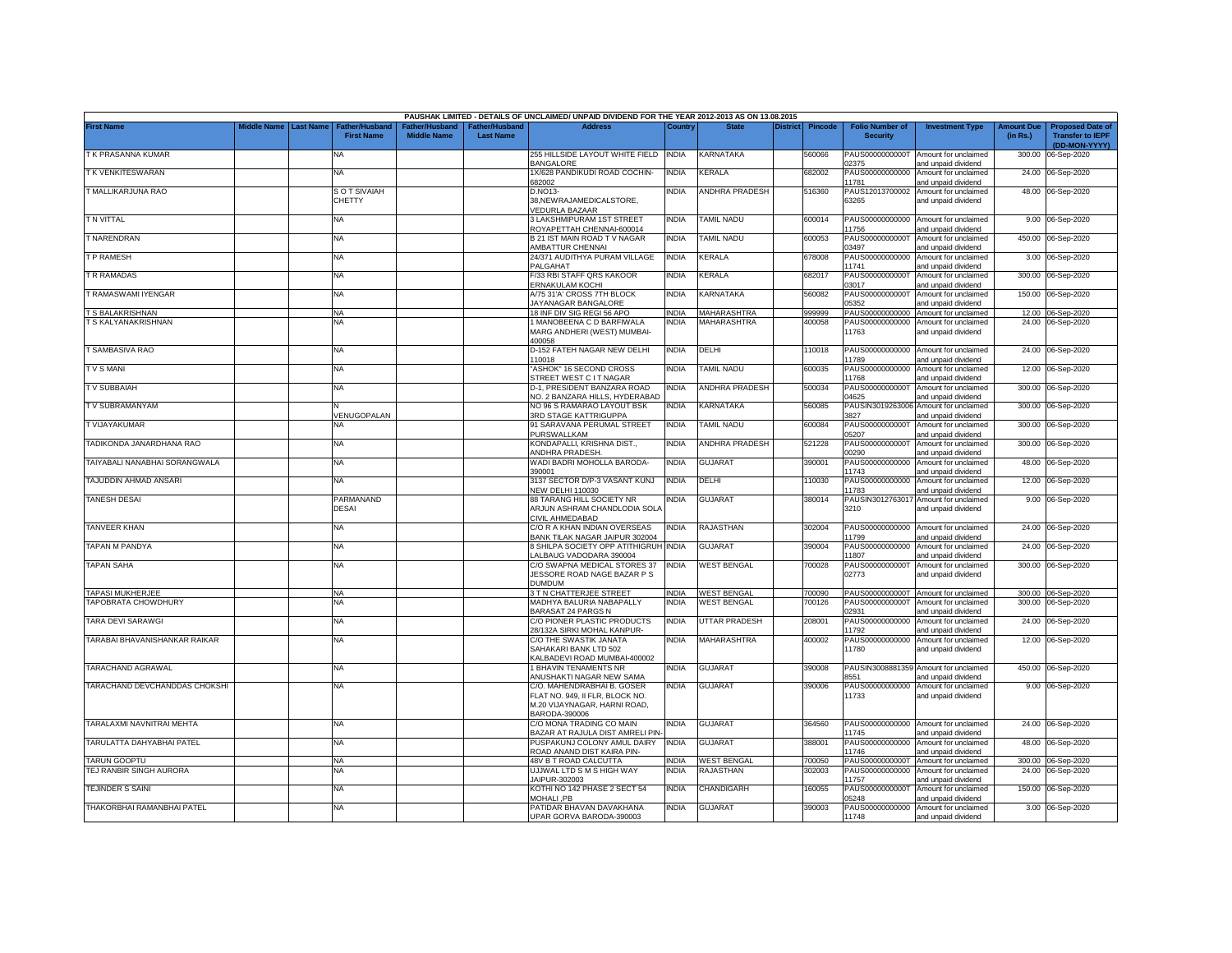|                               |                    |                  |                                            |                                      |                                    | PAUSHAK LIMITED - DETAILS OF UNCLAIMED/ UNPAID DIVIDEND FOR THE YEAR 2012-2013 AS ON 13.08.2015                |              |                       |          |                |                                           |                                                             |                               |                                                                     |
|-------------------------------|--------------------|------------------|--------------------------------------------|--------------------------------------|------------------------------------|----------------------------------------------------------------------------------------------------------------|--------------|-----------------------|----------|----------------|-------------------------------------------|-------------------------------------------------------------|-------------------------------|---------------------------------------------------------------------|
| <b>First Name</b>             | <b>Middle Name</b> | <b>Last Name</b> | <b>Father/Husband</b><br><b>First Name</b> | Father/Husband<br><b>Middle Name</b> | Father/Husband<br><b>Last Name</b> | <b>Address</b>                                                                                                 | Country      | <b>State</b>          | District | <b>Pincode</b> | <b>Folio Number of</b><br><b>Security</b> | <b>Investment Type</b>                                      | <b>Amount Due</b><br>(in Rs.) | <b>Proposed Date of</b><br><b>Transfer to IEPF</b><br>(DD-MON-YYYY) |
| T K PRASANNA KUMAR            |                    |                  | NA                                         |                                      |                                    | 255 HILLSIDE LAYOUT WHITE FIELD INDIA<br><b>BANGALORE</b>                                                      |              | KARNATAKA             |          | 560066         | PAUS0000000000T<br>02375                  | Amount for unclaimed<br>and unpaid dividend                 | 300.00                        | 06-Sep-2020                                                         |
| T K VENKITESWARAN             |                    |                  | <b>NA</b>                                  |                                      |                                    | 1X/628 PANDIKUDI ROAD COCHIN-<br>382002                                                                        | <b>INDIA</b> | KERALA                |          | 682002         | PAUS00000000000<br>1781                   | Amount for unclaimed<br>and unpaid dividend                 | 24.00                         | 06-Sep-2020                                                         |
| T MALLIKARJUNA RAO            |                    |                  | <b>SOT SIVAIAH</b><br><b>CHETTY</b>        |                                      |                                    | D.NO13-<br>38, NEW RAJAMEDICALSTORE,<br><b>/EDURLA BAZAAR</b>                                                  | <b>INDIA</b> | ANDHRA PRADESH        |          | 516360         | PAUS12013700002<br>63265                  | Amount for unclaimed<br>and unpaid dividend                 |                               | 48.00 06-Sep-2020                                                   |
| T N VITTAL                    |                    |                  | <b>NA</b>                                  |                                      |                                    | 3 LAKSHMIPURAM 1ST STREET<br><b>ROYAPETTAH CHENNAI-600014</b>                                                  | <b>INDIA</b> | TAMIL NADU            |          | 600014         | PAUS00000000000<br>1756                   | Amount for unclaimed<br>and unpaid dividend                 |                               | 9.00 06-Sep-2020                                                    |
| T NARENDRAN                   |                    |                  | NA                                         |                                      |                                    | 3 21 IST MAIN ROAD TV NAGAR<br><b>MBATTUR CHENNAI</b>                                                          | <b>INDIA</b> | <b>TAMIL NADU</b>     |          | 600053         | PAUS0000000000T<br>03497                  | Amount for unclaimed<br>and unpaid dividend                 |                               | 450.00 06-Sep-2020                                                  |
| T P RAMESH                    |                    |                  | <b>NA</b>                                  |                                      |                                    | 24/371 AUDITHYA PURAM VILLAGE<br><b>PALGAHAT</b>                                                               | <b>INDIA</b> | KERALA                |          | 678008         | PAUS00000000000<br>11741                  | Amount for unclaimed<br>and unpaid dividend                 |                               | 3.00 06-Sep-2020                                                    |
| T R RAMADAS                   |                    |                  | <b>NA</b>                                  |                                      |                                    | F/33 RBI STAFF QRS KAKOOR<br>ERNAKULAM KOCHI                                                                   | INDIA        | KERALA                |          | 682017         | PAUS0000000000T<br>03017                  | Amount for unclaimed<br>and unpaid dividend                 |                               | 300.00 06-Sep-2020                                                  |
| RAMASWAMI IYENGAR             |                    |                  | <b>NA</b>                                  |                                      |                                    | A/75 31'A' CROSS 7TH BLOCK<br><b>JAYANAGAR BANGALORE</b>                                                       | <b>INDIA</b> | KARNATAKA             |          | 560082         | PAUS0000000000T<br>05352                  | Amount for unclaimed<br>and unpaid dividend                 |                               | 150.00 06-Sep-2020                                                  |
| <b>S BALAKRISHNAN</b>         |                    |                  | NA                                         |                                      |                                    | 18 INF DIV SIG REGI 56 APO                                                                                     | <b>INDIA</b> | <b>MAHARASHTRA</b>    |          | 999999         |                                           | PAUS00000000000 Amount for unclaimed                        |                               | 12.00 06-Sep-2020                                                   |
| T S KALYANAKRISHNAN           |                    |                  | NA                                         |                                      |                                    | 1 MANOBEENA C D BARFIWALA<br>MARG ANDHERI (WEST) MUMBAI-<br>00058                                              | NDIA         | MAHARASHTRA           |          | 400058         | PAUS00000000000<br>11763                  | Amount for unclaimed<br>and unpaid dividend                 | 24.00                         | 06-Sep-2020                                                         |
| <b>T SAMBASIVA RAO</b>        |                    |                  | <b>NA</b>                                  |                                      |                                    | D-152 FATEH NAGAR NEW DELHI<br>10018                                                                           | <b>INDIA</b> | DELHI                 |          | 110018         | PAUS00000000000<br>1789                   | Amount for unclaimed<br>and unpaid dividend                 |                               | 24.00 06-Sep-2020                                                   |
| <b>TVSMANI</b>                |                    |                  | <b>NA</b>                                  |                                      |                                    | <b>ASHOK" 16 SECOND CROSS</b><br><b>STREET WEST C IT NAGAR</b>                                                 | <b>INDIA</b> | TAMIL NADU            |          | 600035         | PAUS00000000000<br>1768                   | Amount for unclaimed<br>and unpaid dividend                 | 12.00                         | 06-Sep-2020                                                         |
| <b>TV SUBBAIAH</b>            |                    |                  | NA                                         |                                      |                                    | D-1, PRESIDENT BANZARA ROAD<br>VO. 2 BANZARA HILLS, HYDERABAD                                                  | <b>INDIA</b> | ANDHRA PRADESH        |          | 500034         | PAUS0000000000T<br>04625                  | Amount for unclaimed<br>nd unpaid dividend                  |                               | 300.00 06-Sep-2020                                                  |
| T V SUBRAMANYAM               |                    |                  | VENUGOPALAN                                |                                      |                                    | NO 96 S RAMARAO LAYOUT BSK<br><b>BRD STAGE KATTRIGUPPA</b>                                                     | <b>INDIA</b> | KARNATAKA             |          | 560085         | PAUSIN3019263006<br>3827                  | Amount for unclaimed<br>and unpaid dividend                 | 300.00                        | 06-Sep-2020                                                         |
| T VIJAYAKUMAR                 |                    |                  | NA                                         |                                      |                                    | 91 SARAVANA PERUMAL STREET<br>PURSWALLKAM                                                                      | <b>INDIA</b> | TAMIL NADU            |          | 600084         | PAUS0000000000T<br>05207                  | Amount for unclaimed<br>and unpaid dividend                 | 300.00                        | 06-Sep-2020                                                         |
| TADIKONDA JANARDHANA RAO      |                    |                  | NA                                         |                                      |                                    | KONDAPALLI, KRISHNA DIST.,<br>ANDHRA PRADESH                                                                   | <b>INDIA</b> | <b>ANDHRA PRADESH</b> |          | 521228         | PAUS0000000000T<br>00290                  | Amount for unclaimed<br>and unpaid dividend                 | 300.00                        | 06-Sep-2020                                                         |
| TAIYABALI NANABHAI SORANGWALA |                    |                  | NA                                         |                                      |                                    | WADI BADRI MOHOLLA BARODA-<br>390001                                                                           | <b>INDIA</b> | <b>GUJARAT</b>        |          | 390001         | PAUS00000000000<br>11743                  | Amount for unclaimed<br>and unpaid dividend                 | 48.00                         | 06-Sep-2020                                                         |
| TAJUDDIN AHMAD ANSARI         |                    |                  | <b>NA</b>                                  |                                      |                                    | 3137 SECTOR D/P-3 VASANT KUNJ<br><b>VEW DELHI 110030</b>                                                       | <b>INDIA</b> | DELHI                 |          | 10030          | PAUS00000000000<br>11783                  | Amount for unclaimed<br>and unpaid dividend                 | 12.00                         | 06-Sep-2020                                                         |
| <b>TANESH DESAI</b>           |                    |                  | PARMANAND<br><b>DESAI</b>                  |                                      |                                    | 88 TARANG HILL SOCIETY NR<br>ARJUN ASHRAM CHANDLODIA SOLA<br>CIVIL AHMEDABAD                                   | India        | <b>GUJARAT</b>        |          | 380014         | PAUSIN3012763017<br>3210                  | Amount for unclaimed<br>and unpaid dividend                 | 9.00                          | 06-Sep-2020                                                         |
| <b>TANVEER KHAN</b>           |                    |                  | NA                                         |                                      |                                    | C/O R A KHAN INDIAN OVERSEAS<br>BANK TILAK NAGAR JAIPUR 302004                                                 | <b>INDIA</b> | RAJASTHAN             |          | 302004         | PAUS00000000000<br>11799                  | Amount for unclaimed<br>and unpaid dividend                 |                               | 24.00 06-Sep-2020                                                   |
| TAPAN M PANDYA                |                    |                  | NA                                         |                                      |                                    | 8 SHILPA SOCIETY OPP ATITHIGRUH INDIA<br>ALBAUG VADODARA 390004                                                |              | <b>GUJARAT</b>        |          | 390004         | PAUS00000000000<br>11807                  | Amount for unclaimed<br>and unpaid dividend                 | 24.00                         | 06-Sep-2020                                                         |
| <b>TAPAN SAHA</b>             |                    |                  | NA                                         |                                      |                                    | C/O SWAPNA MEDICAL STORES 37<br>JESSORE ROAD NAGE BAZAR P S<br><b>DUMDUM</b>                                   | <b>INDIA</b> | <b>WEST BENGAL</b>    |          | 700028         | PAUS0000000000T<br>02773                  | Amount for unclaimed<br>and unpaid dividend                 | 300.00                        | 06-Sep-2020                                                         |
| <b>TAPASI MUKHERJEE</b>       |                    |                  | NA                                         |                                      |                                    | 3 T N CHATTERJEE STREET                                                                                        | <b>INDIA</b> | <b>WEST BENGAL</b>    |          | 700090         |                                           | PAUS0000000000T Amount for unclaimed                        |                               | 300.00 06-Sep-2020                                                  |
| TAPOBRATA CHOWDHURY           |                    |                  | NA                                         |                                      |                                    | MADHYA BALURIA NABAPALLY<br><b>BARASAT 24 PARGS N</b>                                                          | <b>INDIA</b> | <b>WEST BENGAL</b>    |          | 700126         | PAUS0000000000T<br>02931                  | Amount for unclaimed<br>and unpaid dividend                 |                               | 300.00 06-Sep-2020                                                  |
| TARA DEVI SARAWGI             |                    |                  | NA                                         |                                      |                                    | C/O PIONER PLASTIC PRODUCTS<br>28/132A SIRKI MOHAL KANPUR-                                                     | <b>INDIA</b> | UTTAR PRADESH         |          | 208001         | PAUS00000000000<br>11792                  | Amount for unclaimed<br>and unpaid dividend                 | 24.00                         | 06-Sep-2020                                                         |
| TARABAI BHAVANISHANKAR RAIKAR |                    |                  | <b>NA</b>                                  |                                      |                                    | C/O THE SWASTIK JANATA<br>SAHAKARI BANK LTD 502<br>ALBADEVI ROAD MUMBAI-400002                                 | India        | MAHARASHTRA           |          | 400002         | PAUS00000000000<br>11780                  | Amount for unclaimed<br>and unpaid dividend                 | 12.00                         | 06-Sep-2020                                                         |
| TARACHAND AGRAWAL             |                    |                  | <b>NA</b>                                  |                                      |                                    | <b>BHAVIN TENAMENTS NR</b><br><b>INUSHAKTI NAGAR NEW SAMA</b>                                                  | <b>INDIA</b> | <b>GUJARAT</b>        |          | 390008         | PAUSIN3008881359<br>8551                  | Amount for unclaimed<br>and unpaid dividend                 |                               | 450.00 06-Sep-2020                                                  |
| TARACHAND DEVCHANDDAS CHOKSHI |                    |                  | NA                                         |                                      |                                    | C/O. MAHENDRABHAI B. GOSER<br>FLAT NO. 949, II FLR, BLOCK NO.<br>M.20 VIJAYNAGAR, HARNI ROAD,<br>3ARODA-390006 | <b>INDIA</b> | <b>GUJARAT</b>        |          | 390006         | PAUS00000000000<br>11733                  | Amount for unclaimed<br>and unpaid dividend                 |                               | 9.00 06-Sep-2020                                                    |
| TARALAXMI NAVNITRAI MEHTA     |                    |                  | NA                                         |                                      |                                    | C/O MONA TRADING CO MAIN<br>BAZAR AT RAJULA DIST AMRELI PIN                                                    | INDIA        | GUJARAT               |          | 364560         | 11745                                     | PAUS00000000000 Amount for unclaimed<br>and unpaid dividend |                               | 24.00 06-Sep-2020                                                   |
| TARULATTA DAHYABHAI PATEL     |                    |                  | <b>NA</b>                                  |                                      |                                    | PUSPAKUNJ COLONY AMUL DAIRY<br>ROAD ANAND DIST KAIRA PIN-                                                      | <b>INDIA</b> | <b>GUJARAT</b>        |          | 388001         | PAUS00000000000<br>11746                  | Amount for unclaimed<br>and unpaid dividend                 |                               | 48.00 06-Sep-2020                                                   |
| TARUN GOOPTU                  |                    |                  | <b>NA</b>                                  |                                      |                                    | 48V B T ROAD CALCUTTA                                                                                          | <b>INDIA</b> | <b>WEST BENGAL</b>    |          | 700050         |                                           | PAUS0000000000T Amount for unclaimed                        |                               | 300.00 06-Sep-2020                                                  |
| TEJ RANBIR SINGH AURORA       |                    |                  | NA                                         |                                      |                                    | UJJWAL LTD S M S HIGH WAY<br>JAIPUR-302003                                                                     | <b>INDIA</b> | <b>RAJASTHAN</b>      |          | 302003         | PAUS00000000000<br>11757                  | Amount for unclaimed<br>and unpaid dividend                 |                               | 24.00 06-Sep-2020                                                   |
| <b>TEJINDER S SAINI</b>       |                    |                  | ΝA                                         |                                      |                                    | KOTHI NO 142 PHASE 2 SECT 54<br><b>MOHALI .PB</b>                                                              | <b>INDIA</b> | CHANDIGARH            |          | 160055         | PAUS0000000000T<br>05248                  | Amount for unclaimed<br>and unpaid dividend                 |                               | 150.00 06-Sep-2020                                                  |
| THAKORBHAI RAMANBHAI PATEL    |                    |                  | <b>NA</b>                                  |                                      |                                    | PATIDAR BHAVAN DAVAKHANA<br>JPAR GORVA BARODA-390003                                                           | <b>INDIA</b> | <b>GUJARAT</b>        |          | 390003         | PAUS00000000000<br>11748                  | Amount for unclaimed<br>and unpaid dividend                 |                               | 3.00 06-Sep-2020                                                    |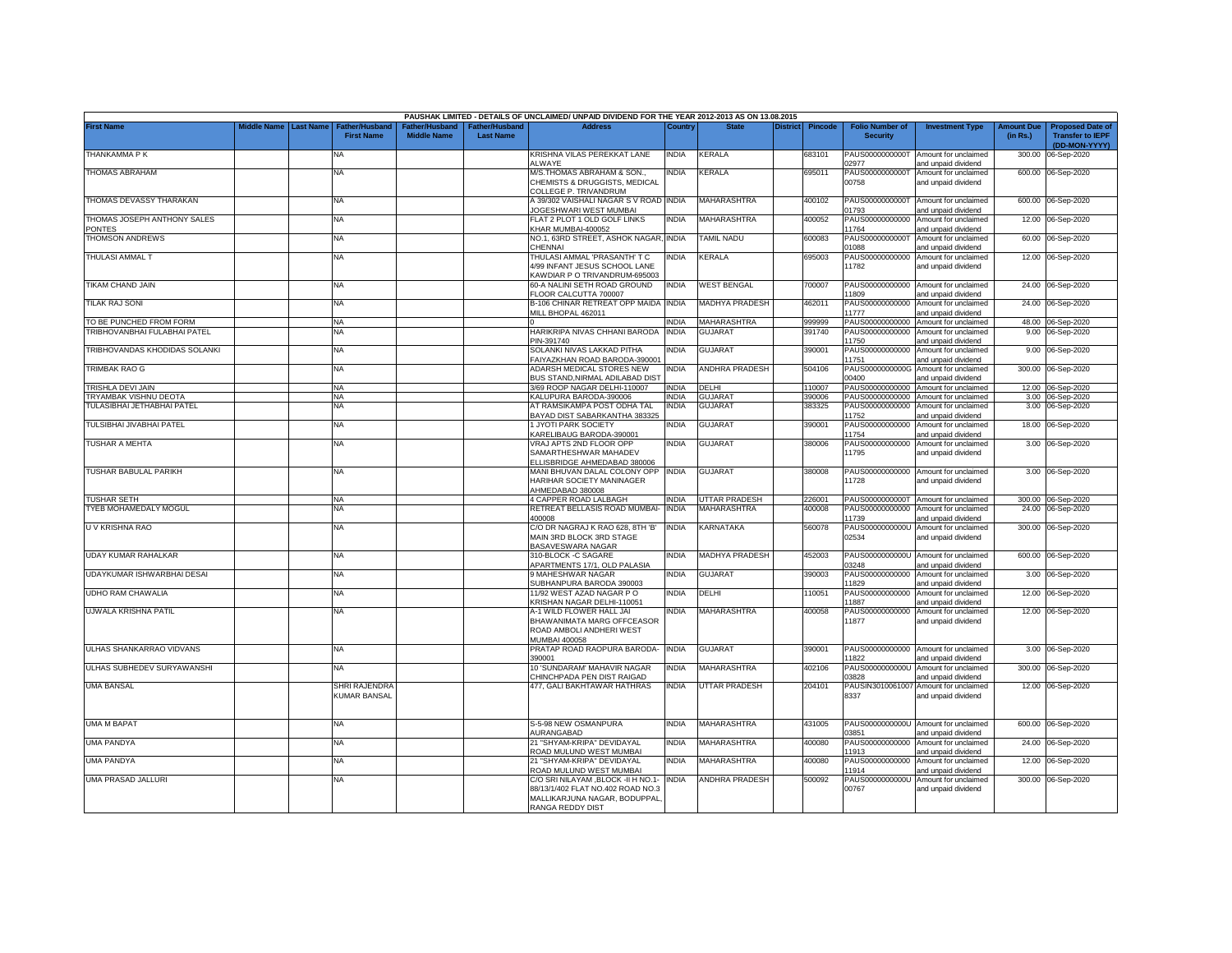|                                       |             |                  |                                      |                                      |                                    | PAUSHAK LIMITED - DETAILS OF UNCLAIMED/ UNPAID DIVIDEND FOR THE YEAR 2012-2013 AS ON 13.08.2015                             |              |                      |          |         |                                           |                                                             |                               |                                                                     |
|---------------------------------------|-------------|------------------|--------------------------------------|--------------------------------------|------------------------------------|-----------------------------------------------------------------------------------------------------------------------------|--------------|----------------------|----------|---------|-------------------------------------------|-------------------------------------------------------------|-------------------------------|---------------------------------------------------------------------|
| <b>First Name</b>                     | Middle Name | <b>Last Name</b> | Father/Husband<br><b>First Name</b>  | Father/Husband<br><b>Middle Name</b> | Father/Husband<br><b>Last Name</b> | <b>Address</b>                                                                                                              | Country      | <b>State</b>         | District | Pincode | <b>Folio Number of</b><br><b>Security</b> | <b>Investment Type</b>                                      | <b>Amount Due</b><br>(in Rs.) | <b>Proposed Date of</b><br><b>Transfer to IEPF</b><br>(DD-MON-YYYY) |
| THANKAMMA P K                         |             |                  | <b>NA</b>                            |                                      |                                    | KRISHNA VILAS PEREKKAT LANE<br>ALWAYE                                                                                       | INDIA        | KERALA               |          | 683101  | PAUS0000000000T<br>2977                   | Amount for unclaimed<br>and unpaid dividend                 | 300.00                        | 06-Sep-2020                                                         |
| <b>THOMAS ABRAHAM</b>                 |             |                  | <b>NA</b>                            |                                      |                                    | M/S.THOMAS ABRAHAM & SON.,<br>CHEMISTS & DRUGGISTS, MEDICAL<br>COLLEGE P. TRIVANDRUM                                        | NDIA         | <b>KERALA</b>        |          | 695011  | PAUS0000000000T<br>00758                  | Amount for unclaimed<br>and unpaid dividend                 |                               | 600.00 06-Sep-2020                                                  |
| THOMAS DEVASSY THARAKAN               |             |                  | <b>NA</b>                            |                                      |                                    | A 39/302 VAISHALI NAGAR S V ROAD INDIA<br><b>JOGESHWARI WEST MUMBAI</b>                                                     |              | MAHARASHTRA          |          | 400102  | PAUS0000000000T<br>1793                   | Amount for unclaimed<br>and unpaid dividend                 |                               | 600.00 06-Sep-2020                                                  |
| THOMAS JOSEPH ANTHONY SALES<br>PONTES |             |                  | <b>NA</b>                            |                                      |                                    | FLAT 2 PLOT 1 OLD GOLF LINKS<br>KHAR MUMBAI-400052                                                                          | INDIA        | MAHARASHTRA          |          | 400052  | PAUS00000000000<br>11764                  | Amount for unclaimed<br>and unpaid dividend                 |                               | 12.00 06-Sep-2020                                                   |
| <b>THOMSON ANDREWS</b>                |             |                  | <b>NA</b>                            |                                      |                                    | NO.1, 63RD STREET, ASHOK NAGAR,<br>CHENNAI                                                                                  | <b>INDIA</b> | <b>TAMIL NADU</b>    |          | 600083  | PAUS0000000000T<br>01088                  | Amount for unclaimed<br>and unpaid dividend                 |                               | 60.00 06-Sep-2020                                                   |
| THULASI AMMAL T                       |             |                  | <b>NA</b>                            |                                      |                                    | THULASI AMMAL 'PRASANTH' T C<br>4/99 INFANT JESUS SCHOOL LANE<br>KAWDIAR P O TRIVANDRUM-695003                              | NDIA         | <b>KERALA</b>        |          | 695003  | PAUS00000000000<br>11782                  | Amount for unclaimed<br>and unpaid dividend                 |                               | 12.00 06-Sep-2020                                                   |
| TIKAM CHAND JAIN                      |             |                  | <b>NA</b>                            |                                      |                                    | 60-A NALINI SETH ROAD GROUND<br>FLOOR CALCUTTA 700007                                                                       | INDIA        | <b>WEST BENGAL</b>   |          | '00007  | PAUS00000000000<br>11809                  | Amount for unclaimed<br>and unpaid dividend                 |                               | 24.00 06-Sep-2020                                                   |
| TILAK RAJ SONI                        |             |                  | <b>NA</b>                            |                                      |                                    | B-106 CHINAR RETREAT OPP MAIDA INDIA<br>MILL BHOPAL 462011                                                                  |              | MADHYA PRADESH       |          | 462011  | PAUS00000000000<br>11777                  | Amount for unclaimed<br>and unpaid dividend                 |                               | 24.00 06-Sep-2020                                                   |
| TO BE PUNCHED FROM FORM               |             |                  | NA                                   |                                      |                                    |                                                                                                                             | INDIA        | MAHARASHTRA          |          | 999999  | PAUS00000000000                           | Amount for unclaimed                                        |                               | 48.00 06-Sep-2020                                                   |
| TRIBHOVANBHAI FULABHAI PATEL          |             |                  | NA                                   |                                      |                                    | HARIKRIPA NIVAS CHHANI BARODA<br>PIN-391740                                                                                 | <b>INDIA</b> | <b>GUJARAT</b>       |          | 391740  | PAUS00000000000<br>11750                  | Amount for unclaimed<br>and unpaid dividend                 | 9.00                          | 06-Sep-2020                                                         |
| TRIBHOVANDAS KHODIDAS SOLANKI         |             |                  | <b>NA</b>                            |                                      |                                    | SOLANKI NIVAS LAKKAD PITHA<br>FAIYAZKHAN ROAD BARODA-390001                                                                 | INDIA        | <b>GUJARAT</b>       |          | 390001  | PAUS00000000000<br>11751                  | Amount for unclaimed<br>and unpaid dividend                 |                               | 9.00 06-Sep-2020                                                    |
| TRIMBAK RAO G                         |             |                  | <b>NA</b>                            |                                      |                                    | <b>NDARSH MEDICAL STORES NEW</b><br>BUS STAND, NIRMAL ADILABAD DIST                                                         | INDIA        | ANDHRA PRADESH       |          | 504106  | PAUS0000000000G<br>00400                  | Amount for unclaimed<br>and unpaid dividend                 |                               | 300.00 06-Sep-2020                                                  |
| <b>TRISHLA DEVI JAIN</b>              |             |                  | <b>NA</b>                            |                                      |                                    | 3/69 ROOP NAGAR DELHI-110007                                                                                                | INDIA        | <b>ELHI</b>          |          | 110007  | PAUS00000000000                           | Amount for unclaimed                                        |                               | 12.00 06-Sep-2020                                                   |
| TRYAMBAK VISHNU DEOTA                 |             |                  | <b>NA</b>                            |                                      |                                    | <b>KALUPURA BARODA-390006</b>                                                                                               | NDIA         | <b>GUJARA</b>        |          | 390006  | PAUS00000000000                           | Amount for unclaimed                                        |                               | 3.00 06-Sep-2020                                                    |
| TULASIBHAI JETHABHAI PATEL            |             |                  | NA                                   |                                      |                                    | AT RAMSIKAMPA POST ODHA TAL<br>BAYAD DIST SABARKANTHA 383325                                                                | INDIA        | <b>GUJARAT</b>       |          | 383325  | PAUS00000000000<br>11752                  | Amount for unclaimed<br>and unpaid dividend                 |                               | 3.00 06-Sep-2020                                                    |
| TULSIBHAI JIVABHAI PATEL              |             |                  | <b>NA</b>                            |                                      |                                    | 1 JYOTI PARK SOCIETY<br><b>KARELIBAUG BARODA-390001</b>                                                                     | NDIA         | <b>GUJARAT</b>       |          | 390001  | PAUS00000000000<br>11754                  | Amount for unclaimed<br>and unpaid dividend                 |                               | 18.00 06-Sep-2020                                                   |
| TUSHAR A MEHTA                        |             |                  | <b>NA</b>                            |                                      |                                    | VRAJ APTS 2ND FLOOR OPP<br>SAMARTHESHWAR MAHADEV<br>ELLISBRIDGE AHMEDABAD 380006                                            | INDIA        | GUJARAT              |          | 380006  | PAUS00000000000<br>11795                  | Amount for unclaimed<br>and unpaid dividend                 |                               | 3.00 06-Sep-2020                                                    |
| TUSHAR BABULAL PARIKH                 |             |                  | <b>NA</b>                            |                                      |                                    | MANI BHUVAN DALAL COLONY OPP<br>HARIHAR SOCIETY MANINAGER<br>AHMEDABAD 380008                                               | <b>INDIA</b> | GUJARAT              |          | 380008  | 11728                                     | PAUS00000000000 Amount for unclaimed<br>and unpaid dividend |                               | 3.00 06-Sep-2020                                                    |
| TUSHAR SETH                           |             |                  | NA                                   |                                      |                                    | 4 CAPPER ROAD LALBAGH                                                                                                       | <b>INDIA</b> | <b>JTTAR PRADESH</b> |          | 226001  | PAUS0000000000T                           | Amount for unclaimed                                        |                               | 300.00 06-Sep-2020                                                  |
| TYEB MOHAMEDALY MOGUL                 |             |                  | NA                                   |                                      |                                    | RETREAT BELLASIS ROAD MUMBAI-<br>400008                                                                                     | <b>INDIA</b> | MAHARASHTRA          |          | 100008  | PAUS00000000000<br>11739                  | Amount for unclaimed<br>and unpaid dividend                 |                               | 24.00 06-Sep-2020                                                   |
| U V KRISHNA RAO                       |             |                  | <b>NA</b>                            |                                      |                                    | C/O DR NAGRAJ K RAO 628, 8TH 'B'<br>MAIN 3RD BLOCK 3RD STAGE<br><b>BASAVESWARA NAGAR</b>                                    | <b>INDIA</b> | <b>KARNATAKA</b>     |          | 560078  | PAUS0000000000U<br>02534                  | Amount for unclaimed<br>and unpaid dividend                 |                               | 300.00 06-Sep-2020                                                  |
| UDAY KUMAR RAHALKAR                   |             |                  | <b>NA</b>                            |                                      |                                    | 310-BLOCK -C SAGARE<br>APARTMENTS 17/1, OLD PALASIA                                                                         | NDIA         | MADHYA PRADESH       |          | 452003  | 3248                                      | PAUS0000000000U Amount for unclaimed<br>and unpaid dividend |                               | 600.00 06-Sep-2020                                                  |
| UDAYKUMAR ISHWARBHAI DESAI            |             |                  | <b>NA</b>                            |                                      |                                    | 9 MAHESHWAR NAGAR<br>SUBHANPURA BARODA 390003                                                                               | INDIA        | <b>GUJARAT</b>       |          | 390003  | PAUS00000000000<br>11829                  | Amount for unclaimed<br>and unpaid dividend                 |                               | 3.00 06-Sep-2020                                                    |
| <b>UDHO RAM CHAWALIA</b>              |             |                  | <b>NA</b>                            |                                      |                                    | 11/92 WEST AZAD NAGAR P O<br>KRISHAN NAGAR DELHI-110051                                                                     | INDIA        | DELHI                |          | 10051   | PAUS00000000000<br>11887                  | Amount for unclaimed<br>and unpaid dividend                 |                               | 12.00 06-Sep-2020                                                   |
| <b>UJWALA KRISHNA PATIL</b>           |             |                  | <b>NA</b>                            |                                      |                                    | A-1 WILD FLOWER HALL JAI<br>BHAWANIMATA MARG OFFCEASOR<br>ROAD AMBOLI ANDHERI WEST<br>MUMBAI 400058                         | NDIA         | MAHARASHTRA          |          | 400058  | PAUS00000000000<br>11877                  | Amount for unclaimed<br>and unpaid dividend                 |                               | 12.00 06-Sep-2020                                                   |
| ULHAS SHANKARRAO VIDVANS              |             |                  | <b>NA</b>                            |                                      |                                    | PRATAP ROAD RAOPURA BARODA-<br>390001                                                                                       | <b>INDIA</b> | GUJARAT              |          | 390001  | 11822                                     | PAUS00000000000 Amount for unclaimed<br>and unpaid dividend |                               | 3.00 06-Sep-2020                                                    |
| ULHAS SUBHEDEV SURYAWANSHI            |             |                  | NA                                   |                                      |                                    | 10 'SUNDARAM' MAHAVIR NAGAR<br>CHINCHPADA PEN DIST RAIGAD                                                                   | INDIA        | MAHARASHTRA          |          | 402106  | PAUS0000000000U<br>3828                   | Amount for unclaimed<br>and unpaid dividend                 |                               | 300.00 06-Sep-2020                                                  |
| <b>UMA BANSAL</b>                     |             |                  | SHRI RAJENDRA<br><b>KUMAR BANSAL</b> |                                      |                                    | 477, GALI BAKHTAWAR HATHRAS                                                                                                 | india        | UTTAR PRADESH        |          | 204101  | PAUSIN3010061007<br>8337                  | Amount for unclaimed<br>and unpaid dividend                 |                               | 12.00 06-Sep-2020                                                   |
| UMA M BAPAT                           |             |                  | <b>NA</b>                            |                                      |                                    | S-5-98 NEW OSMANPURA<br><b>NURANGABAD</b>                                                                                   | INDIA        | MAHARASHTRA          |          | 431005  | 3851                                      | PAUS0000000000U Amount for unclaimed<br>and unpaid dividend |                               | 600.00 06-Sep-2020                                                  |
| <b>UMA PANDYA</b>                     |             |                  | <b>NA</b>                            |                                      |                                    | 21 "SHYAM-KRIPA" DEVIDAYAL<br>ROAD MULUND WEST MUMBAI                                                                       | INDIA        | MAHARASHTRA          |          | 400080  | PAUS00000000000<br>11913                  | Amount for unclaimed<br>and unpaid dividend                 |                               | 24.00 06-Sep-2020                                                   |
| UMA PANDYA                            |             |                  | <b>NA</b>                            |                                      |                                    | 21 "SHYAM-KRIPA" DEVIDAYAL<br>ROAD MULUND WEST MUMBAI                                                                       | INDIA        | <b>MAHARASHTRA</b>   |          | 400080  | PAUS00000000000<br>11914                  | Amount for unclaimed<br>and unpaid dividend                 |                               | 12.00 06-Sep-2020                                                   |
| <b>UMA PRASAD JALLURI</b>             |             |                  | <b>NA</b>                            |                                      |                                    | C/O SRI NILAYAM ,BLOCK -II H NO.1-<br>88/13/1/402 FLAT NO.402 ROAD NO.3<br>MALLIKARJUNA NAGAR, BODUPPAL<br>RANGA REDDY DIST | <b>INDIA</b> | ANDHRA PRADESH       |          | 500092  | PAUS0000000000U<br>00767                  | Amount for unclaimed<br>and unpaid dividend                 |                               | 300.00 06-Sep-2020                                                  |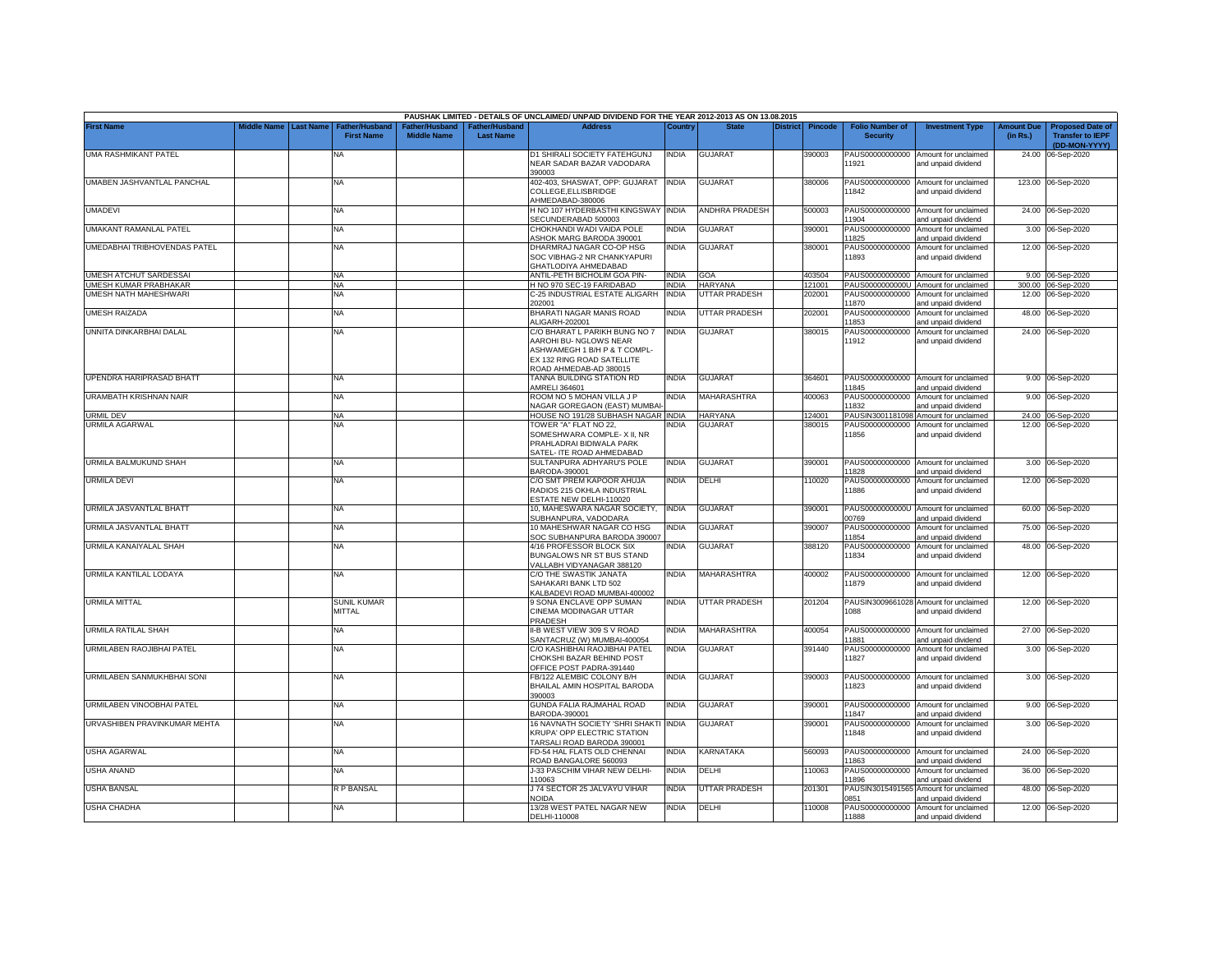|                              |             |                  |                                     |                                      |                                           | PAUSHAK LIMITED - DETAILS OF UNCLAIMED/ UNPAID DIVIDEND FOR THE YEAR 2012-2013 AS ON 13.08.2015                                                 |              |                       |                 |                |                                           |                                                              |                               |                                                                     |
|------------------------------|-------------|------------------|-------------------------------------|--------------------------------------|-------------------------------------------|-------------------------------------------------------------------------------------------------------------------------------------------------|--------------|-----------------------|-----------------|----------------|-------------------------------------------|--------------------------------------------------------------|-------------------------------|---------------------------------------------------------------------|
| <b>First Name</b>            | liddle Name | <b>Last Name</b> | Father/Husband<br><b>First Name</b> | Father/Husband<br><b>Middle Name</b> | <b>Father/Husband</b><br><b>Last Name</b> | <b>Address</b>                                                                                                                                  | Country      | <b>State</b>          | <b>District</b> | <b>Pincode</b> | <b>Folio Number of</b><br><b>Security</b> | <b>Investment Type</b>                                       | <b>Amount Due</b><br>(in Rs.) | <b>Proposed Date of</b><br><b>Transfer to IEPF</b><br>(DD-MON-YYYY) |
| UMA RASHMIKANT PATEL         |             |                  | NA                                  |                                      |                                           | D1 SHIRALI SOCIETY FATEHGUNJ<br>NEAR SADAR BAZAR VADODARA<br>390003                                                                             | INDIA        | GUJARAT               |                 | 390003         | PAUS00000000000<br>11921                  | Amount for unclaimed<br>and unpaid dividend                  | 24.00                         | 06-Sep-2020                                                         |
| UMABEN JASHVANTLAL PANCHAL   |             |                  | <b>NA</b>                           |                                      |                                           | 402-403, SHASWAT, OPP: GUJARAT INDIA<br>COLLEGE, ELLISBRIDGE<br>AHMEDABAD-380006                                                                |              | <b>GUJARAT</b>        |                 | 380006         | PAUS00000000000<br>11842                  | Amount for unclaimed<br>and unpaid dividend                  |                               | 123.00 06-Sep-2020                                                  |
| <b>UMADEVI</b>               |             |                  | <b>NA</b>                           |                                      |                                           | H NO 107 HYDERBASTHI KINGSWAY<br>SECUNDERABAD 500003                                                                                            | <b>INDIA</b> | <b>ANDHRA PRADESH</b> |                 | 500003         | PAUS00000000000<br>11904                  | Amount for unclaimed<br>and unpaid dividend                  |                               | 24.00 06-Sep-2020                                                   |
| UMAKANT RAMANLAL PATEL       |             |                  | <b>NA</b>                           |                                      |                                           | CHOKHANDI WADI VAIDA POLE<br><b>ASHOK MARG BARODA 390001</b>                                                                                    | NDIA         | <b>GUJARAT</b>        |                 | 390001         | PAUS00000000000<br>11825                  | Amount for unclaimed<br>and unpaid dividend                  |                               | 3.00 06-Sep-2020                                                    |
| UMEDABHAI TRIBHOVENDAS PATEL |             |                  | <b>NA</b>                           |                                      |                                           | DHARMRAJ NAGAR CO-OP HSG<br>SOC VIBHAG-2 NR CHANKYAPURI<br>GHATLODIYA AHMEDABAD                                                                 | ndia         | <b>GUJARAT</b>        |                 | 380001         | PAUS00000000000<br>11893                  | Amount for unclaimed<br>and unpaid dividend                  |                               | 12.00 06-Sep-2020                                                   |
| UMESH ATCHUT SARDESSAI       |             |                  | <b>NA</b>                           |                                      |                                           | ANTIL-PETH BICHOLIM GOA PIN-                                                                                                                    | <b>INDIA</b> | GOA                   |                 | 403504         | PAUS00000000000                           | Amount for unclaimed                                         |                               | 9.00 06-Sep-2020                                                    |
| <b>JMESH KUMAR PRABHAKAR</b> |             |                  | <b>NA</b>                           |                                      |                                           | H NO 970 SEC-19 FARIDABAD                                                                                                                       | INDIA        | <b>HARYANA</b>        |                 | 121001         | PAUS0000000000U                           | Amount for unclaimed                                         |                               | 300.00 06-Sep-2020                                                  |
| UMESH NATH MAHESHWARI        |             |                  | <b>NA</b>                           |                                      |                                           | C-25 INDUSTRIAL ESTATE ALIGARH<br>202001                                                                                                        | <b>INDIA</b> | UTTAR PRADESH         |                 | 202001         | PAUS00000000000<br>11870                  | Amount for unclaimed<br>and unpaid dividend                  |                               | 12.00 06-Sep-2020                                                   |
| UMESH RAIZADA                |             |                  | <b>NA</b>                           |                                      |                                           | BHARATI NAGAR MANIS ROAD<br>ALIGARH-202001                                                                                                      | INDIA        | UTTAR PRADESH         |                 | 202001         | PAUS00000000000<br>11853                  | Amount for unclaimed<br>and unpaid dividend                  |                               | 48.00 06-Sep-2020                                                   |
| UNNITA DINKARBHAI DALAL      |             |                  | <b>NA</b>                           |                                      |                                           | C/O BHARAT L PARIKH BUNG NO 7<br>AAROHI BU- NGLOWS NEAR<br>ASHWAMEGH 1 B/H P & T COMPL-<br>EX 132 RING ROAD SATELLITE<br>ROAD AHMEDAB-AD 380015 | india        | <b>GUJARAT</b>        |                 | 380015         | PAUS00000000000<br>11912                  | Amount for unclaimed<br>and unpaid dividend                  |                               | 24.00 06-Sep-2020                                                   |
| UPENDRA HARIPRASAD BHATT     |             |                  | ΝA                                  |                                      |                                           | <b>TANNA BUILDING STATION RD</b><br>MRELI 364601                                                                                                | NDIA         | <b>GUJARAT</b>        |                 | 364601         | PAUS00000000000<br>11845                  | Amount for unclaimed<br>and unpaid dividend                  |                               | 9.00 06-Sep-2020                                                    |
| URAMBATH KRISHNAN NAIR       |             |                  | NA                                  |                                      |                                           | ROOM NO 5 MOHAN VILLA J P<br><b>JAGAR GOREGAON (EAST) MUMBAI</b>                                                                                | NDIA         | MAHARASHTRA           |                 | 100063         | PAUS00000000000<br>11832                  | Amount for unclaimed<br>and unpaid dividend                  | 9.00                          | 06-Sep-2020                                                         |
| URMIL DEV                    |             |                  | <b>NA</b>                           |                                      |                                           | HOUSE NO 191/28 SUBHASH NAGAR                                                                                                                   | <b>INDIA</b> | <b>HARYANA</b>        |                 | 124001         | PAUSIN3001181098                          | Amount for unclaimed                                         |                               | 24.00 06-Sep-2020                                                   |
| URMILA AGARWAL               |             |                  | NΑ                                  |                                      |                                           | TOWER "A" FLAT NO 22,<br>SOMESHWARA COMPLE- X II, NR<br>PRAHLADRAI BIDIWALA PARK<br>SATEL- ITE ROAD AHMEDABAD                                   | NDIA         | <b>GUJARAT</b>        |                 | 380015         | PAUS00000000000<br>11856                  | Amount for unclaimed<br>and unpaid dividend                  |                               | 12.00 06-Sep-2020                                                   |
| URMILA BALMUKUND SHAH        |             |                  | <b>NA</b>                           |                                      |                                           | SULTANPURA ADHYARU'S POLE<br>BARODA-390001                                                                                                      | INDIA        | <b>GUJARAT</b>        |                 | 390001         | PAUS00000000000<br>11828                  | Amount for unclaimed<br>and unpaid dividend                  |                               | 3.00 06-Sep-2020                                                    |
| <b>URMILA DEVI</b>           |             |                  | <b>NA</b>                           |                                      |                                           | C/O SMT PREM KAPOOR AHUJA<br>RADIOS 215 OKHLA INDUSTRIAL<br>ESTATE NEW DELHI-110020                                                             | INDIA        | DELHI                 |                 | 10020          | PAUS00000000000<br>11886                  | Amount for unclaimed<br>and unpaid dividend                  |                               | 12.00 06-Sep-2020                                                   |
| URMILA JASVANTLAL BHATT      |             |                  | <b>NA</b>                           |                                      |                                           | 10, MAHESWARA NAGAR SOCIETY,<br>SUBHANPURA, VADODARA                                                                                            | <b>INDIA</b> | <b>GUJARAT</b>        |                 | 390001         | PAUS0000000000U<br>00769                  | Amount for unclaimed<br>and unpaid dividend                  | 60.00                         | 06-Sep-2020                                                         |
| URMILA JASVANTLAL BHATT      |             |                  | ΝA                                  |                                      |                                           | 10 MAHESHWAR NAGAR CO HSG<br>SOC SUBHANPURA BARODA 390007                                                                                       | INDIA        | <b>GUJARAT</b>        |                 | 390007         | PAUS00000000000<br>11854                  | Amount for unclaimed<br>and unpaid dividend                  | 75.00                         | 06-Sep-2020                                                         |
| URMILA KANAIYALAL SHAH       |             |                  | <b>NA</b>                           |                                      |                                           | 4/16 PROFESSOR BLOCK SIX<br><b>BUNGALOWS NR ST BUS STAND</b><br>/ALLABH VIDYANAGAR 388120                                                       | NDIA         | GUJARAT               |                 | 388120         | PAUS00000000000<br>11834                  | Amount for unclaimed<br>and unpaid dividend                  | 48.00                         | 06-Sep-2020                                                         |
| URMILA KANTILAL LODAYA       |             |                  | <b>NA</b>                           |                                      |                                           | C/O THE SWASTIK JANATA<br>SAHAKARI BANK LTD 502<br><b>KALBADEVI ROAD MUMBAI-400002</b>                                                          | INDIA        | MAHARASHTRA           |                 | 400002         | PAUS00000000000<br>11879                  | Amount for unclaimed<br>and unpaid dividend                  |                               | 12.00 06-Sep-2020                                                   |
| <b>URMILA MITTAL</b>         |             |                  | <b>SUNIL KUMAR</b><br><b>MITTAL</b> |                                      |                                           | 9 SONA ENCLAVE OPP SUMAN<br>CINEMA MODINAGAR UTTAR<br>PRADESH                                                                                   | india        | UTTAR PRADESH         |                 | 201204         | 1088                                      | PAUSIN3009661028 Amount for unclaimed<br>and unpaid dividend |                               | 12.00 06-Sep-2020                                                   |
| <b>URMILA RATILAL SHAH</b>   |             |                  | <b>NA</b>                           |                                      |                                           | II-B WEST VIEW 309 S V ROAD<br>SANTACRUZ (W) MUMBAI-400054                                                                                      | india        | MAHARASHTRA           |                 | 400054         | PAUS00000000000<br>11881                  | Amount for unclaimed<br>and unpaid dividend                  |                               | 27.00 06-Sep-2020                                                   |
| URMILABEN RAOJIBHAI PATEL    |             |                  | <b>NA</b>                           |                                      |                                           | C/O KASHIBHAI RAOJIBHAI PATEL<br>CHOKSHI BAZAR BEHIND POST<br>OFFICE POST PADRA-391440                                                          | India        | GUJARAT               |                 | 391440         | PAUS00000000000<br>11827                  | Amount for unclaimed<br>and unpaid dividend                  |                               | 3.00 06-Sep-2020                                                    |
| URMILABEN SANMUKHBHAI SONI   |             |                  | NA                                  |                                      |                                           | B/122 ALEMBIC COLONY B/H<br>BHAILAL AMIN HOSPITAL BARODA<br>390003                                                                              | ndia         | GUJARAT               |                 | 390003         | PAUS00000000000<br>11823                  | Amount for unclaimed<br>and unpaid dividend                  |                               | 3.00 06-Sep-2020                                                    |
| URMILABEN VINOOBHAI PATEL    |             |                  | <b>NA</b>                           |                                      |                                           | GUNDA FALIA RAJMAHAL ROAD<br>BARODA-390001                                                                                                      | India        | <b>GUJARAT</b>        |                 | 390001         | PAUS00000000000<br>11847                  | Amount for unclaimed<br>and unpaid dividend                  |                               | 9.00 06-Sep-2020                                                    |
| URVASHIBEN PRAVINKUMAR MEHTA |             |                  | ΝA                                  |                                      |                                           | 16 NAVNATH SOCIETY 'SHRI SHAKTI<br>KRUPA' OPP ELECTRIC STATION<br>TARSALI ROAD BARODA 390001                                                    | <b>INDIA</b> | <b>GUJARAT</b>        |                 | 390001         | PAUS00000000000<br>11848                  | Amount for unclaimed<br>and unpaid dividend                  |                               | 3.00 06-Sep-2020                                                    |
| USHA AGARWAL                 |             |                  | <b>NA</b>                           |                                      |                                           | FD-54 HAL FLATS OLD CHENNAI<br>ROAD BANGALORE 560093                                                                                            | India        | KARNATAKA             |                 | 560093         | PAUS00000000000<br>11863                  | Amount for unclaimed<br>and unpaid dividend                  |                               | 24.00 06-Sep-2020                                                   |
| USHA ANAND                   |             |                  | <b>NA</b>                           |                                      |                                           | J-33 PASCHIM VIHAR NEW DELHI-<br>10063                                                                                                          | India        | DELHI                 |                 | 10063          | PAUS00000000000<br>11896                  | Amount for unclaimed<br>and unpaid dividend                  |                               | 36.00 06-Sep-2020                                                   |
| <b>USHA BANSAL</b>           |             |                  | R P BANSAL                          |                                      |                                           | J 74 SECTOR 25 JALVAYU VIHAR<br>NOIDA                                                                                                           | India        | UTTAR PRADESH         |                 | 201301         | PAUSIN3015491565<br>0851                  | Amount for unclaimed<br>and unpaid dividend                  |                               | 48.00 06-Sep-2020                                                   |
| <b>USHA CHADHA</b>           |             |                  | <b>NA</b>                           |                                      |                                           | 13/28 WEST PATEL NAGAR NEW<br>DELHI-110008                                                                                                      | INDIA        | DELHI                 |                 | 110008         | 11888                                     | PAUS00000000000 Amount for unclaimed<br>and unpaid dividend  |                               | 12.00 06-Sep-2020                                                   |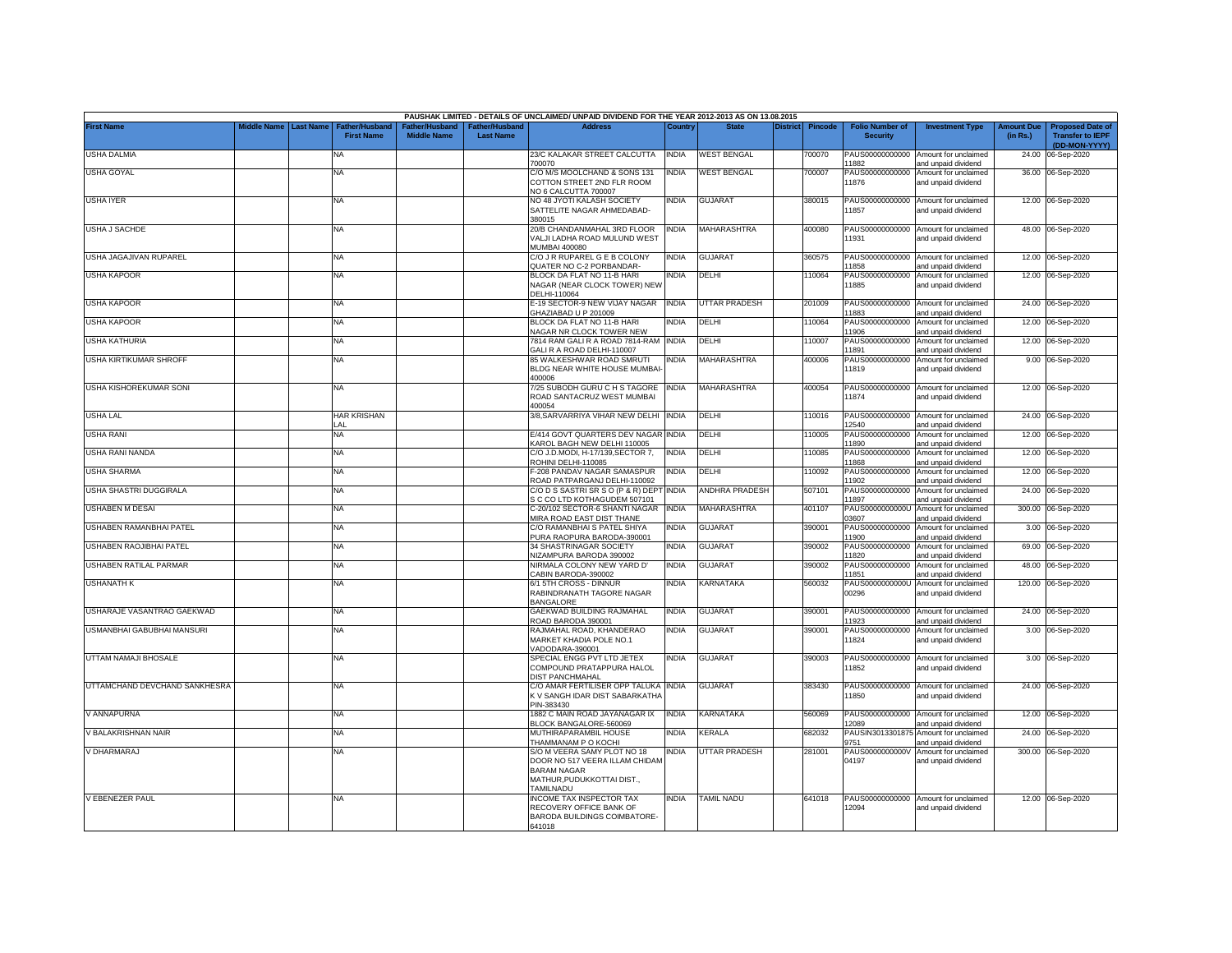|                               |                    |                  |                                            |                                      |                                    | PAUSHAK LIMITED - DETAILS OF UNCLAIMED/ UNPAID DIVIDEND FOR THE YEAR 2012-2013 AS ON 13.08.2015                   |              |                      |                 |                |                                           |                                                             |                               |                                                                     |
|-------------------------------|--------------------|------------------|--------------------------------------------|--------------------------------------|------------------------------------|-------------------------------------------------------------------------------------------------------------------|--------------|----------------------|-----------------|----------------|-------------------------------------------|-------------------------------------------------------------|-------------------------------|---------------------------------------------------------------------|
| <b>First Name</b>             | <b>Aiddle Name</b> | <b>Last Name</b> | <b>Father/Husband</b><br><b>First Name</b> | Father/Husband<br><b>Middle Name</b> | Father/Husband<br><b>Last Name</b> | <b>Address</b>                                                                                                    | Country      | <b>State</b>         | <b>District</b> | <b>Pincode</b> | <b>Folio Number of</b><br><b>Security</b> | <b>Investment Type</b>                                      | <b>Amount Due</b><br>(in Rs.) | <b>Proposed Date of</b><br><b>Transfer to IEPF</b><br>(DD-MON-YYYY) |
| <b>USHA DALMIA</b>            |                    |                  | NA                                         |                                      |                                    | 23/C KALAKAR STREET CALCUTTA<br>700070                                                                            | INDIA        | <b>WEST BENGAL</b>   |                 | 700070         | 1882                                      | PAUS00000000000 Amount for unclaimed<br>and unpaid dividend |                               | 24.00 06-Sep-2020                                                   |
| <b>USHA GOYAL</b>             |                    |                  | NA                                         |                                      |                                    | C/O M/S MOOLCHAND & SONS 131<br>COTTON STREET 2ND FLR ROOM<br>NO 6 CALCUTTA 700007                                | <b>INDIA</b> | <b>WEST BENGAL</b>   |                 | 700007         | 11876                                     | PAUS00000000000 Amount for unclaimed<br>and unpaid dividend |                               | 36.00 06-Sep-2020                                                   |
| USHA IYER                     |                    |                  | NA                                         |                                      |                                    | NO 48 JYOTI KALASH SOCIETY<br>SATTELITE NAGAR AHMEDABAD-<br>380015                                                | NDIA         | <b>GUJARAT</b>       |                 | 380015         | 11857                                     | PAUS00000000000 Amount for unclaimed<br>and unpaid dividend |                               | 12.00 06-Sep-2020                                                   |
| USHA J SACHDE                 |                    |                  | NA                                         |                                      |                                    | 20/B CHANDANMAHAL 3RD FLOOR<br>VALJI LADHA ROAD MULUND WEST<br><b>MUMBAI 400080</b>                               | <b>INDIA</b> | MAHARASHTRA          |                 | 400080         | 11931                                     | PAUS00000000000 Amount for unclaimed<br>and unpaid dividend |                               | 48.00 06-Sep-2020                                                   |
| USHA JAGAJIVAN RUPAREL        |                    |                  | NA                                         |                                      |                                    | C/O J R RUPAREL G E B COLONY<br>QUATER NO C-2 PORBANDAR-                                                          | INDIA        | <b>GUJARAT</b>       |                 | 360575         | 1858                                      | PAUS00000000000 Amount for unclaimed<br>and unpaid dividend |                               | 12.00 06-Sep-2020                                                   |
| <b>USHA KAPOOR</b>            |                    |                  | NA                                         |                                      |                                    | BLOCK DA FLAT NO 11-B HARI<br><b>NAGAR (NEAR CLOCK TOWER) NEW</b><br>DELHI-110064                                 | <b>NDIA</b>  | DELHI                |                 | 10064          | PAUS00000000000<br>1885                   | Amount for unclaimed<br>and unpaid dividend                 |                               | 12.00 06-Sep-2020                                                   |
| <b>USHA KAPOOR</b>            |                    |                  | <b>NA</b>                                  |                                      |                                    | E-19 SECTOR-9 NEW VIJAY NAGAR<br>GHAZIABAD U P 201009                                                             | <b>INDIA</b> | <b>UTTAR PRADESH</b> |                 | 201009         | 1883                                      | PAUS00000000000 Amount for unclaimed<br>and unpaid dividend |                               | 24.00 06-Sep-2020                                                   |
| <b>USHA KAPOOR</b>            |                    |                  | NA                                         |                                      |                                    | BLOCK DA FLAT NO 11-B HARI<br>NAGAR NR CLOCK TOWER NEW                                                            | NDIA         | DELHI                |                 | 110064         | PAUS00000000000<br>1906                   | Amount for unclaimed<br>and unpaid dividend                 |                               | 12.00 06-Sep-2020                                                   |
| <b>USHA KATHURIA</b>          |                    |                  | NA                                         |                                      |                                    | 7814 RAM GALI R A ROAD 7814-RAM<br>GALI R A ROAD DELHI-110007                                                     | <b>INDIA</b> | DELHI                |                 | 110007         | PAUS00000000000<br>1891                   | Amount for unclaimed<br>and unpaid dividend                 |                               | 12.00 06-Sep-2020                                                   |
| USHA KIRTIKUMAR SHROFF        |                    |                  | NA                                         |                                      |                                    | 85 WALKESHWAR ROAD SMRUTI<br>BLDG NEAR WHITE HOUSE MUMBAI-<br>400006                                              | <b>INDIA</b> | MAHARASHTRA          |                 | 400006         | PAUS00000000000<br>11819                  | Amount for unclaimed<br>and unpaid dividend                 |                               | 9.00 06-Sep-2020                                                    |
| USHA KISHOREKUMAR SONI        |                    |                  | NA                                         |                                      |                                    | 7/25 SUBODH GURU C H S TAGORE<br>ROAD SANTACRUZ WEST MUMBAI<br>400054                                             | <b>INDIA</b> | MAHARASHTRA          |                 | 400054         | 11874                                     | PAUS00000000000 Amount for unclaimed<br>and unpaid dividend |                               | 12.00 06-Sep-2020                                                   |
| USHA LAL                      |                    |                  | <b>HAR KRISHAN</b><br>LAL                  |                                      |                                    | 3/8, SARVARRIYA VIHAR NEW DELHI INDIA                                                                             |              | DELHI                |                 | 110016         | 12540                                     | PAUS00000000000 Amount for unclaimed<br>and unpaid dividend |                               | 24.00 06-Sep-2020                                                   |
| USHA RANI                     |                    |                  | NA                                         |                                      |                                    | E/414 GOVT QUARTERS DEV NAGAR<br><b>KAROL BAGH NEW DELHI 110005</b>                                               | <b>INDIA</b> | DELHI                |                 | 10005          | PAUS00000000000<br>1890                   | Amount for unclaimed<br>and unpaid dividend                 |                               | 12.00 06-Sep-2020                                                   |
| USHA RANI NANDA               |                    |                  | NA                                         |                                      |                                    | C/O J.D.MODI, H-17/139.SECTOR 7.<br>ROHINI DELHI-110085                                                           | NDIA         | DELHI                |                 | 10085          | PAUS00000000000<br>1868                   | Amount for unclaimed<br>and unpaid dividend                 |                               | 12.00 06-Sep-2020                                                   |
| <b>USHA SHARMA</b>            |                    |                  | NA                                         |                                      |                                    | -208 PANDAV NAGAR SAMASPUR<br>ROAD PATPARGANJ DELHI-110092                                                        | <b>INDIA</b> | DELHI                |                 | 110092         | 1902                                      | PAUS00000000000 Amount for unclaimed<br>and unpaid dividend |                               | 12.00 06-Sep-2020                                                   |
| USHA SHASTRI DUGGIRALA        |                    |                  | NA                                         |                                      |                                    | C/O D S SASTRI SR S O (P & R) DEPT INDIA<br>S C CO LTD KOTHAGUDEM 507101                                          |              | ANDHRA PRADESH       |                 | 507101         | 1897                                      | PAUS00000000000 Amount for unclaimed<br>and unpaid dividend |                               | 24.00 06-Sep-2020                                                   |
| <b>USHABEN M DESAI</b>        |                    |                  | NA                                         |                                      |                                    | C-20/102 SECTOR-6 SHANTI NAGAR INDIA<br>MIRA ROAD EAST DIST THANE                                                 |              | <b>MAHARASHTRA</b>   |                 | 401107         | 03607                                     | PAUS0000000000U Amount for unclaimed<br>and unpaid dividend |                               | 300.00 06-Sep-2020                                                  |
| USHABEN RAMANBHAI PATEL       |                    |                  | NA                                         |                                      |                                    | C/O RAMANBHAI S PATEL SHIYA<br>PURA RAOPURA BARODA-390001                                                         | <b>INDIA</b> | GUJARAT              |                 | 390001         | 1900                                      | PAUS00000000000 Amount for unclaimed<br>and unpaid dividend |                               | 3.00 06-Sep-2020                                                    |
| USHABEN RAOJIBHAI PATEL       |                    |                  | NA                                         |                                      |                                    | 34 SHASTRINAGAR SOCIETY<br><b>NIZAMPURA BARODA 390002</b>                                                         | NDIA         | GUJARAT              |                 | 390002         | PAUS00000000000<br>1820                   | Amount for unclaimed<br>and unpaid dividend                 |                               | 69.00 06-Sep-2020                                                   |
| USHABEN RATILAL PARMAR        |                    |                  | NA                                         |                                      |                                    | NIRMALA COLONY NEW YARD D'<br>CABIN BARODA-390002                                                                 | <b>INDIA</b> | <b>GUJARAT</b>       |                 | 390002         | 1851                                      | PAUS00000000000 Amount for unclaimed<br>and unpaid dividend |                               | 48.00 06-Sep-2020                                                   |
| <b>USHANATH K</b>             |                    |                  | NA                                         |                                      |                                    | 6/1 5TH CROSS - DINNUR<br>RABINDRANATH TAGORE NAGAR<br><b>BANGALORE</b>                                           | INDIA        | KARNATAKA            |                 | 560032         | 00296                                     | PAUS0000000000U Amount for unclaimed<br>and unpaid dividend |                               | 120.00 06-Sep-2020                                                  |
| USHARAJE VASANTRAO GAEKWAD    |                    |                  | NA                                         |                                      |                                    | GAEKWAD BUILDING RAJMAHAL<br>ROAD BARODA 390001                                                                   | INDIA        | GUJARAT              |                 | 390001         | PAUS00000000000<br>1923                   | Amount for unclaimed<br>and unpaid dividend                 |                               | 24.00 06-Sep-2020                                                   |
| USMANBHAI GABUBHAI MANSURI    |                    |                  | NA                                         |                                      |                                    | RAJMAHAL ROAD, KHANDERAO<br><b>MARKET KHADIA POLE NO.1</b><br>VADODARA-390001                                     | <b>INDIA</b> | <b>GUJARAT</b>       |                 | 390001         | PAUS00000000000<br>1824                   | Amount for unclaimed<br>and unpaid dividend                 |                               | 3.00 06-Sep-2020                                                    |
| UTTAM NAMAJI BHOSALE          |                    |                  | <b>NA</b>                                  |                                      |                                    | SPECIAL ENGG PVT LTD JETEX<br>COMPOUND PRATAPPURA HALOL<br>DIST PANCHMAHAL                                        | INDIA        | <b>GUJARAT</b>       |                 | 390003         | 1852                                      | PAUS00000000000 Amount for unclaimed<br>and unpaid dividend |                               | 3.00 06-Sep-2020                                                    |
| UTTAMCHAND DEVCHAND SANKHESRA |                    |                  | NA                                         |                                      |                                    | C/O AMAR FERTILISER OPP TALUKA INDIA<br>K V SANGH IDAR DIST SABARKATHA<br>PIN-383430                              |              | <b>GUJARAT</b>       |                 | 383430         | 11850                                     | PAUS00000000000 Amount for unclaimed<br>and unpaid dividend |                               | 24.00 06-Sep-2020                                                   |
| / ANNAPURNA                   |                    |                  | NA                                         |                                      |                                    | 1882 C MAIN ROAD JAYANAGAR IX<br>BLOCK BANGALORE-560069                                                           | <b>INDIA</b> | KARNATAKA            |                 | 560069         | PAUS00000000000<br>12089                  | Amount for unclaimed<br>and unpaid dividend                 | 12.00                         | 06-Sep-2020                                                         |
| / BALAKRISHNAN NAIR           |                    |                  | NA.                                        |                                      |                                    | MUTHIRAPARAMBIL HOUSE<br>THAMMANAM P O KOCHI                                                                      | <b>INDIA</b> | KERALA               |                 | 682032         | PAUSIN3013301875<br>9751                  | Amount for unclaimed<br>and unpaid dividend                 | 24.00                         | 06-Sep-2020                                                         |
| V DHARMARAJ                   |                    |                  | NA                                         |                                      |                                    | S/O M VEERA SAMY PLOT NO 18<br>DOOR NO 517 VEERA ILLAM CHIDAM<br><b>BARAM NAGAR</b><br>MATHUR, PUDUKKOTTAI DIST., | <b>INDIA</b> | UTTAR PRADESH        |                 | 281001         | PAUS0000000000V<br>04197                  | Amount for unclaimed<br>and unpaid dividend                 |                               | 300.00 06-Sep-2020                                                  |
| V EBENEZER PAUL               |                    |                  | <b>NA</b>                                  |                                      |                                    | <b>TAMILNADU</b><br><b>INCOME TAX INSPECTOR TAX</b>                                                               | <b>INDIA</b> | <b>TAMIL NADU</b>    |                 | 641018         |                                           | PAUS00000000000 Amount for unclaimed                        |                               | 12.00 06-Sep-2020                                                   |
|                               |                    |                  |                                            |                                      |                                    | RECOVERY OFFICE BANK OF<br>BARODA BUILDINGS COIMBATORE-<br>641018                                                 |              |                      |                 |                | 12094                                     | and unpaid dividend                                         |                               |                                                                     |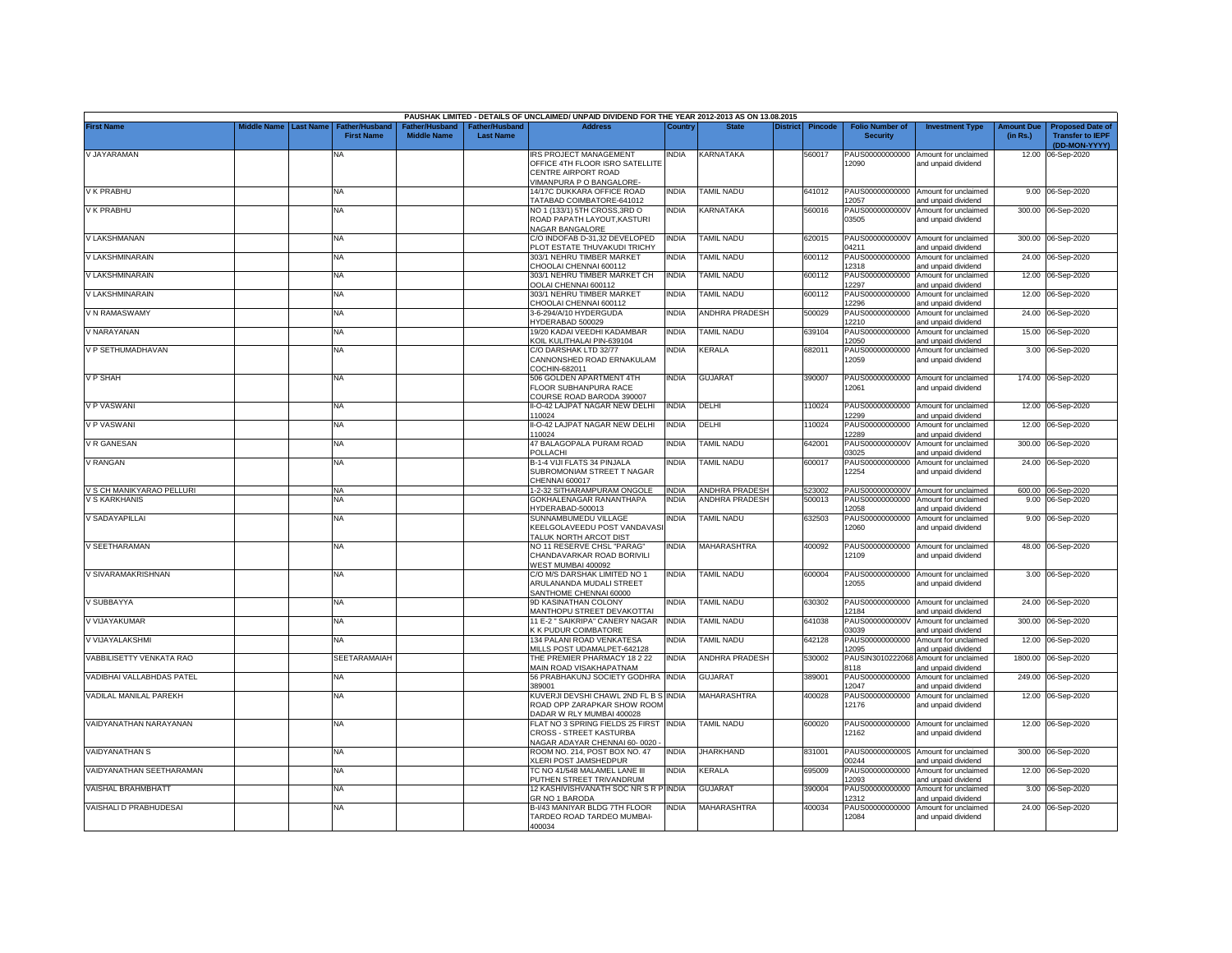|                           |                       |                                            |                    |                                   | PAUSHAK LIMITED - DETAILS OF UNCLAIMED/ UNPAID DIVIDEND FOR THE YEAR 2012-2013 AS ON 13.08.2015                    |              |                       |                 |                |                                           |                                                             |                               |                                                                     |
|---------------------------|-----------------------|--------------------------------------------|--------------------|-----------------------------------|--------------------------------------------------------------------------------------------------------------------|--------------|-----------------------|-----------------|----------------|-------------------------------------------|-------------------------------------------------------------|-------------------------------|---------------------------------------------------------------------|
| <b>First Name</b>         | Middle Name Last Name | <b>Father/Husband</b><br><b>First Name</b> | <b>Middle Name</b> | ather/Husband<br><b>Last Name</b> | <b>Address</b>                                                                                                     | Country      | <b>State</b>          | <b>District</b> | <b>Pincode</b> | <b>Folio Number of</b><br><b>Security</b> | <b>Investment Type</b>                                      | <b>Amount Due</b><br>(in Rs.) | <b>Proposed Date of</b><br><b>Transfer to IEPF</b><br>(DD-MON-YYYY) |
| V JAYARAMAN               |                       | <b>NA</b>                                  |                    |                                   | <b>IRS PROJECT MANAGEMENT</b><br>OFFICE 4TH FLOOR ISRO SATELLITE<br>CENTRE AIRPORT ROAD<br>IMANPURA P O BANGALORE- | india        | KARNATAKA             |                 | 560017         | PAUS00000000000<br>12090                  | Amount for unclaimed<br>and unpaid dividend                 |                               | 12.00 06-Sep-2020                                                   |
| V K PRABHU                |                       | NA                                         |                    |                                   | 14/17C DUKKARA OFFICE ROAD<br><b>FATABAD COIMBATORE-641012</b>                                                     | <b>INDIA</b> | <b>TAMIL NADU</b>     |                 | 641012         | 12057                                     | PAUS00000000000 Amount for unclaimed<br>and unpaid dividend |                               | 9.00 06-Sep-2020                                                    |
| V K PRABHU                |                       | NA                                         |                    |                                   | NO 1 (133/1) 5TH CROSS,3RD O<br>ROAD PAPATH LAYOUT,KASTURI<br><b>VAGAR BANGALORE</b>                               | INDIA        | KARNATAKA             |                 | 560016         | PAUS0000000000V<br>03505                  | Amount for unclaimed<br>and unpaid dividend                 |                               | 300.00 06-Sep-2020                                                  |
| V LAKSHMANAN              |                       | NA                                         |                    |                                   | C/O INDOFAB D-31.32 DEVELOPED<br>LOT ESTATE THUVAKUDI TRICHY                                                       | <b>NDIA</b>  | <b>TAMIL NADU</b>     |                 | 620015         | PAUS0000000000V<br>04211                  | Amount for unclaimed<br>hnebivib bironu bne                 | 300.00                        | 06-Sep-2020                                                         |
| V LAKSHMINARAIN           |                       | <b>NA</b>                                  |                    |                                   | 303/1 NEHRU TIMBER MARKET<br>HOOLAI CHENNAI 600112                                                                 | <b>INDIA</b> | <b>TAMIL NADU</b>     |                 | 600112         | PAUS00000000000<br>12318                  | Amount for unclaimed<br>and unpaid dividend                 | 24.00                         | 06-Sep-2020                                                         |
| V LAKSHMINARAIN           |                       | NA                                         |                    |                                   | 303/1 NEHRU TIMBER MARKET CH<br>OOLAI CHENNAI 600112                                                               | <b>INDIA</b> | <b>TAMIL NADU</b>     |                 | 600112         | PAUS00000000000<br>12297                  | Amount for unclaimed<br>and unpaid dividend                 | 12.00                         | 06-Sep-2020                                                         |
| V LAKSHMINARAIN           |                       | NA                                         |                    |                                   | 303/1 NEHRU TIMBER MARKET<br>CHOOLAI CHENNAI 600112                                                                | <b>INDIA</b> | <b>TAMIL NADU</b>     |                 | 600112         | PAUS00000000000<br>12296                  | Amount for unclaimed<br>and unpaid dividend                 | 12.00                         | 06-Sep-2020                                                         |
| V N RAMASWAMY             |                       | NA                                         |                    |                                   | 3-6-294/A/10 HYDERGUDA<br>YDERABAD 500029                                                                          | <b>INDIA</b> | <b>ANDHRA PRADESH</b> |                 | 500029         | PAUS00000000000<br>12210                  | Amount for unclaimed<br>and unpaid dividend                 | 24.00                         | 06-Sep-2020                                                         |
| V NARAYANAN               |                       | <b>NA</b>                                  |                    |                                   | 19/20 KADAI VEEDHI KADAMBAR<br><b>KOIL KULITHALAI PIN-639104</b>                                                   | <b>INDIA</b> | TAMIL NADU            |                 | 639104         | PAUS00000000000<br>12050                  | Amount for unclaimed<br>and unpaid dividend                 | 15.00                         | 06-Sep-2020                                                         |
| V P SETHUMADHAVAN         |                       | <b>NA</b>                                  |                    |                                   | C/O DARSHAK LTD 32/77<br>CANNONSHED ROAD ERNAKULAM<br>COCHIN-682011                                                | india        | KERALA                |                 | 682011         | PAUS00000000000<br>12059                  | Amount for unclaimed<br>and unpaid dividend                 |                               | 3.00 06-Sep-2020                                                    |
| V P SHAH                  |                       | NA                                         |                    |                                   | 506 GOLDEN APARTMENT 4TH<br>FLOOR SUBHANPURA RACE<br>COURSE ROAD BARODA 390007                                     | <b>INDIA</b> | <b>GUJARAT</b>        |                 | 390007         | 12061                                     | PAUS00000000000 Amount for unclaimed<br>and unpaid dividend |                               | 174.00 06-Sep-2020                                                  |
| V P VASWANI               |                       | NA                                         |                    |                                   | II-O-42 LAJPAT NAGAR NEW DELHI<br>10024                                                                            | <b>INDIA</b> | DELHI                 |                 | 110024         | PAUS00000000000<br>12299                  | Amount for unclaimed<br>and unpaid dividend                 |                               | 12.00 06-Sep-2020                                                   |
| V P VASWANI               |                       | <b>NA</b>                                  |                    |                                   | I-O-42 LAJPAT NAGAR NEW DELHI<br>110024                                                                            | INDIA        | DELHI                 |                 | 10024          | PAUS00000000000<br>12289                  | Amount for unclaimed<br>and unpaid dividend                 | 12.00                         | 06-Sep-2020                                                         |
| V R GANESAN               |                       | NA                                         |                    |                                   | 47 BALAGOPALA PURAM ROAD<br>POLLACHI                                                                               | <b>INDIA</b> | <b>TAMIL NADU</b>     |                 | 642001         | PAUS0000000000V<br>03025                  | Amount for unclaimed<br>and unpaid dividend                 | 300.00                        | 06-Sep-2020                                                         |
| V RANGAN                  |                       | <b>NA</b>                                  |                    |                                   | B-1-4 VIJI FLATS 34 PINJALA<br>SUBROMONIAM STREET T NAGAR<br>CHENNAI 600017                                        | <b>INDIA</b> | <b>TAMIL NADU</b>     |                 | 600017         | PAUS00000000000<br>12254                  | Amount for unclaimed<br>and unpaid dividend                 |                               | 24.00 06-Sep-2020                                                   |
| V S CH MANIKYARAO PELLURI |                       | NA                                         |                    |                                   | 1-2-32 SITHARAMPURAM ONGOLE                                                                                        | <b>INDIA</b> | ANDHRA PRADESH        |                 | 523002         |                                           | PAUS0000000000V Amount for unclaimed                        |                               | 600.00 06-Sep-2020                                                  |
| V S KARKHANIS             |                       | NA.                                        |                    |                                   | GOKHALENAGAR RANANTHAPA<br>IYDERABAD-500013                                                                        | <b>INDIA</b> | <b>ANDHRA PRADESH</b> |                 | 500013         | PAUS00000000000<br>12058                  | Amount for unclaimed<br>and unpaid dividend                 |                               | 9.00 06-Sep-2020                                                    |
| V SADAYAPILLAI            |                       | <b>NA</b>                                  |                    |                                   | SUNNAMBUMEDU VILLAGE<br>KEELGOLAVEEDU POST VANDAVASI<br><b>TALUK NORTH ARCOT DIST</b>                              | INDIA        | <b>TAMIL NADU</b>     |                 | 632503         | PAUS00000000000<br>12060                  | Amount for unclaimed<br>and unpaid dividend                 |                               | 9.00 06-Sep-2020                                                    |
| V SEETHARAMAN             |                       | NA                                         |                    |                                   | NO 11 RESERVE CHSL "PARAG"<br>CHANDAVARKAR ROAD BORIVILI<br>VEST MUMBAI 400092                                     | INDIA        | MAHARASHTRA           |                 | 400092         | 12109                                     | PAUS00000000000 Amount for unclaimed<br>and unpaid dividend |                               | 48.00 06-Sep-2020                                                   |
| V SIVARAMAKRISHNAN        |                       | NA                                         |                    |                                   | C/O M/S DARSHAK LIMITED NO 1<br>ARULANANDA MUDALI STREET<br>ANTHOME CHENNAI 60000                                  | <b>INDIA</b> | <b>TAMIL NADU</b>     |                 | 600004         | 12055                                     | PAUS00000000000 Amount for unclaimed<br>and unpaid dividend |                               | 3.00 06-Sep-2020                                                    |
| V SUBBAYYA                |                       | <b>NA</b>                                  |                    |                                   | 9D KASINATHAN COLONY<br>MANTHOPU STREET DEVAKOTTAI                                                                 | INDIA        | <b>TAMIL NADU</b>     |                 | 630302         | PAUS00000000000<br>12184                  | Amount for unclaimed<br>and unpaid dividend                 | 24.00                         | 06-Sep-2020                                                         |
| V VIJAYAKUMAR             |                       | NA                                         |                    |                                   | 11 E-2 " SAIKRIPA" CANERY NAGAR<br><b>K FUDUR COIMBATORE</b>                                                       | <b>INDIA</b> | <b>TAMIL NADU</b>     |                 | 641038         | PAUS0000000000V<br>03039                  | Amount for unclaimed<br>and unpaid dividend                 |                               | 300.00 06-Sep-2020                                                  |
| V VIJAYALAKSHMI           |                       | <b>NA</b>                                  |                    |                                   | 134 PALANI ROAD VENKATESA<br>MILLS POST UDAMALPET-642128                                                           | <b>INDIA</b> | TAMIL NADU            |                 | 642128         | PAUS00000000000<br>12095                  | Amount for unclaimed<br>and unpaid dividend                 | 12.00                         | 06-Sep-2020                                                         |
| VABBILISETTY VENKATA RAO  |                       | <b>SEETARAMAIAH</b>                        |                    |                                   | THE PREMIER PHARMACY 18 2 22<br>MAIN ROAD VISAKHAPATNAM                                                            | <b>INDIA</b> | ANDHRA PRADESH        |                 | 530002         | PAUSIN3010222068<br>8118                  | Amount for unclaimed<br>and unpaid dividend                 | 1800.00                       | 06-Sep-2020                                                         |
| VADIBHAI VALLABHDAS PATEL |                       | <b>NA</b>                                  |                    |                                   | 56 PRABHAKUNJ SOCIETY GODHRA INDIA<br>389001                                                                       |              | <b>GUJARAT</b>        |                 | 389001         | PAUS00000000000<br>12047                  | Amount for unclaimed<br>and unpaid dividend                 | 249.00                        | 06-Sep-2020                                                         |
| VADILAL MANILAL PAREKH    |                       | <b>NA</b>                                  |                    |                                   | (UVERJI DEVSHI CHAWL 2ND FL B S INDIA<br>ROAD OPP ZARAPKAR SHOW ROOM<br>DADAR W RLY MUMBAI 400028                  |              | <b>MAHARASHTRA</b>    |                 | 400028         | PAUS00000000000<br>12176                  | Amount for unclaimed<br>and unpaid dividend                 |                               | 12.00 06-Sep-2020                                                   |
| VAIDYANATHAN NARAYANAN    |                       | NA                                         |                    |                                   | FLAT NO 3 SPRING FIELDS 25 FIRST INDIA<br>CROSS - STREET KASTURBA<br>VAGAR ADAYAR CHENNAI 60-0020                  |              | TAMIL NADU            |                 | 600020         | 12162                                     | PAUS00000000000 Amount for unclaimed<br>and unpaid dividend |                               | 12.00 06-Sep-2020                                                   |
| VAIDYANATHAN S            |                       | NA                                         |                    |                                   | ROOM NO. 214, POST BOX NO. 47<br>(LERI POST JAMSHEDPUR                                                             | <b>INDIA</b> | <b>JHARKHAND</b>      |                 | 831001         | 00244                                     | PAUS0000000000S Amount for unclaimed<br>and unpaid dividend | 300.00                        | 06-Sep-2020                                                         |
| VAIDYANATHAN SEETHARAMAN  |                       | <b>NA</b>                                  |                    |                                   | <b>TC NO 41/548 MALAMEL LANE III</b><br>UTHEN STREET TRIVANDRUM                                                    | <b>INDIA</b> | <b>CERALA</b>         |                 | 395009         | PAUS00000000000<br>12093                  | Amount for unclaimed<br>and unpaid dividend                 | 12.00                         | 06-Sep-2020                                                         |
| VAISHAL BRAHMBHATT        |                       | <b>NA</b>                                  |                    |                                   | 12 KASHIVISHVANATH SOC NR S R P INDIA<br>GR NO 1 BARODA                                                            |              | GUJARAT               |                 | 390004         | PAUS00000000000<br>12312                  | Amount for unclaimed<br>and unpaid dividend                 |                               | 3.00 06-Sep-2020                                                    |
| VAISHALI D PRABHUDESAI    |                       | <b>NA</b>                                  |                    |                                   | B-I/43 MANIYAR BLDG 7TH FLOOR<br>TARDEO ROAD TARDEO MUMBAI-<br>400034                                              | <b>INDIA</b> | MAHARASHTRA           |                 | 400034         | PAUS00000000000<br>12084                  | Amount for unclaimed<br>and unpaid dividend                 |                               | 24.00 06-Sep-2020                                                   |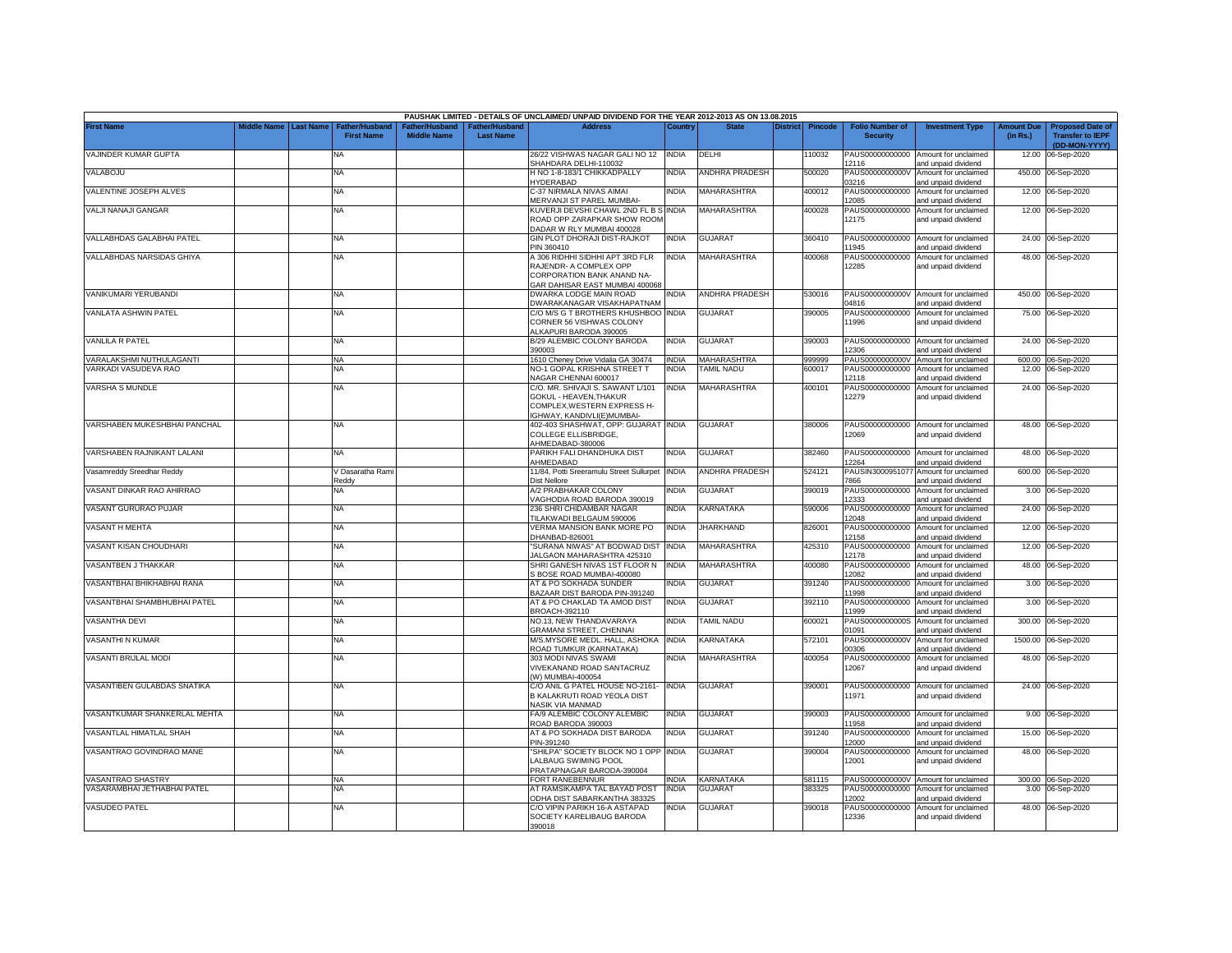|                              |             |                  |                                     |                                      |                                    | PAUSHAK LIMITED - DETAILS OF UNCLAIMED/ UNPAID DIVIDEND FOR THE YEAR 2012-2013 AS ON 13.08.2015                           |              |                       |                 |                |                                           |                                                             |                               |                                                                     |
|------------------------------|-------------|------------------|-------------------------------------|--------------------------------------|------------------------------------|---------------------------------------------------------------------------------------------------------------------------|--------------|-----------------------|-----------------|----------------|-------------------------------------------|-------------------------------------------------------------|-------------------------------|---------------------------------------------------------------------|
| <b>First Name</b>            | Middle Name | <b>Last Name</b> | Father/Husband<br><b>First Name</b> | Father/Husband<br><b>Middle Name</b> | Father/Husband<br><b>Last Name</b> | <b>Address</b>                                                                                                            | Country      | <b>State</b>          | <b>District</b> | <b>Pincode</b> | <b>Folio Number of</b><br><b>Security</b> | <b>Investment Type</b>                                      | <b>Amount Due</b><br>(in Rs.) | <b>Proposed Date of</b><br><b>Transfer to IEPF</b><br>(DD-MON-YYYY) |
| VAJINDER KUMAR GUPTA         |             |                  | <b>NA</b>                           |                                      |                                    | 26/22 VISHWAS NAGAR GALI NO 12 INDIA<br>SHAHDARA DELHI-110032                                                             |              | DELHI                 |                 | 10032          | 12116                                     | PAUS00000000000 Amount for unclaimed<br>and unpaid dividend | 12.00                         | 06-Sep-2020                                                         |
| VALABOJU                     |             |                  | <b>NA</b>                           |                                      |                                    | H NO 1-8-183/1 CHIKKADPALLY<br><b>IYDERABAD</b>                                                                           | India        | <b>ANDHRA PRADESH</b> |                 | 500020         | PAUS0000000000V<br>03216                  | Amount for unclaimed<br>and unpaid dividend                 | 450.00                        | 06-Sep-2020                                                         |
| VALENTINE JOSEPH ALVES       |             |                  | <b>NA</b>                           |                                      |                                    | C-37 NIRMALA NIVAS AIMAI<br><b>MERVANJI ST PAREL MUMBAI-</b>                                                              | <b>INDIA</b> | MAHARASHTRA           |                 | 400012         | PAUS00000000000<br>12085                  | Amount for unclaimed<br>and unpaid dividend                 |                               | 12.00 06-Sep-2020                                                   |
| VALJI NANAJI GANGAR          |             |                  | NA                                  |                                      |                                    | KUVERJI DEVSHI CHAWL 2ND FL B S INDIA<br>ROAD OPP ZARAPKAR SHOW ROOM<br>DADAR W RLY MUMBAI 400028                         |              | <b>MAHARASHTRA</b>    |                 | 400028         | PAUS00000000000<br>12175                  | Amount for unclaimed<br>and unpaid dividend                 |                               | 12.00 06-Sep-2020                                                   |
| VALLABHDAS GALABHAI PATEL    |             |                  | NA                                  |                                      |                                    | GIN PLOT DHORAJI DIST-RAJKOT<br>PIN 360410                                                                                | INDIA        | <b>GUJARAT</b>        |                 | 360410         | PAUS00000000000<br>11945                  | Amount for unclaimed<br>and unpaid dividend                 |                               | 24.00 06-Sep-2020                                                   |
| VALLABHDAS NARSIDAS GHIYA    |             |                  | <b>NA</b>                           |                                      |                                    | A 306 RIDHHI SIDHHI APT 3RD FLR<br>RAJENDR- A COMPLEX OPP<br>CORPORATION BANK ANAND NA-<br>GAR DAHISAR EAST MUMBAI 400068 | <b>INDIA</b> | MAHARASHTRA           |                 | 400068         | PAUS00000000000<br>12285                  | Amount for unclaimed<br>and unpaid dividend                 |                               | 48.00 06-Sep-2020                                                   |
| VANIKUMARI YERUBANDI         |             |                  | NA                                  |                                      |                                    | DWARKA LODGE MAIN ROAD<br>OWARAKANAGAR VISAKHAPATNAM                                                                      | NDIA         | ANDHRA PRADESH        |                 | 530016         | 04816                                     | PAUS0000000000V Amount for unclaimed<br>and unpaid dividend |                               | 450.00 06-Sep-2020                                                  |
| VANLATA ASHWIN PATEL         |             |                  | NA                                  |                                      |                                    | C/O M/S G T BROTHERS KHUSHBOO INDIA<br>CORNER 56 VISHWAS COLONY<br>ALKAPURI BARODA 390005                                 |              | <b>GUJARAT</b>        |                 | 390005         | PAUS00000000000<br>11996                  | Amount for unclaimed<br>and unpaid dividend                 |                               | 75.00 06-Sep-2020                                                   |
| VANLILA R PATEL              |             |                  | <b>NA</b>                           |                                      |                                    | B/29 ALEMBIC COLONY BARODA<br>390003                                                                                      | <b>INDIA</b> | <b>GUJARAT</b>        |                 | 390003         | PAUS00000000000<br>12306                  | Amount for unclaimed<br>and unpaid dividend                 | 24.00                         | 06-Sep-2020                                                         |
| ARALAKSHMI NUTHULAGANTI      |             |                  | <b>NA</b>                           |                                      |                                    | 1610 Cheney Drive Vidalia GA 30474                                                                                        | <b>INDIA</b> | <b>MAHARASHTRA</b>    |                 | 999999         | PAUS0000000000V                           | Amount for unclaimed                                        |                               | 600.00 06-Sep-2020                                                  |
| ARKADI VASUDEVA RAO          |             |                  | <b>NA</b>                           |                                      |                                    | NO-1 GOPAL KRISHNA STREET T<br>VAGAR CHENNAI 600017                                                                       | <b>INDIA</b> | TAMIL NADU            |                 | 600017         | PAUS00000000000<br>12118                  | Amount for unclaimed<br>and unpaid dividend                 | 12.00                         | 06-Sep-2020                                                         |
| <b>VARSHA S MUNDLE</b>       |             |                  | NA                                  |                                      |                                    | C/O. MR. SHIVAJI S. SAWANT L/101<br>GOKUL - HEAVEN,THAKUR<br>COMPLEX, WESTERN EXPRESS H-<br>IGHWAY, KANDIVLI(E)MUMBAI-    | <b>INDIA</b> | MAHARASHTRA           |                 | 400101         | PAUS00000000000<br>12279                  | Amount for unclaimed<br>and unpaid dividend                 |                               | 24.00 06-Sep-2020                                                   |
| VARSHABEN MUKESHBHAI PANCHAL |             |                  | <b>NA</b>                           |                                      |                                    | 402-403 SHASHWAT, OPP: GUJARAT INDIA<br>COLLEGE ELLISBRIDGE,<br>HMEDABAD-380006                                           |              | <b>GUJARAT</b>        |                 | 380006         | 12069                                     | PAUS00000000000 Amount for unclaimed<br>and unpaid dividend |                               | 48.00 06-Sep-2020                                                   |
| VARSHABEN RAJNIKANT LALANI   |             |                  | <b>NA</b>                           |                                      |                                    | PARIKH FALI DHANDHUKA DIST<br><b>HMEDABAD</b>                                                                             | <b>INDIA</b> | <b>GUJARAT</b>        |                 | 382460         | 12264                                     | PAUS00000000000 Amount for unclaimed<br>and unpaid dividend |                               | 48.00 06-Sep-2020                                                   |
| Vasamreddy Sreedhar Reddy    |             |                  | V Dasaratha Rami<br>Reddy           |                                      |                                    | 11/84, Potti Sreeramulu Street Sullurpet<br>Dist Nellore                                                                  | <b>INDIA</b> | ANDHRA PRADESH        |                 | 524121         | PAUSIN3000951077<br>7866                  | Amount for unclaimed<br>and unpaid dividend                 | 600.00                        | 06-Sep-2020                                                         |
| VASANT DINKAR RAO AHIRRAO    |             |                  | NA                                  |                                      |                                    | A/2 PRABHAKAR COLONY<br><b>/AGHODIA ROAD BARODA 390019</b>                                                                | <b>INDIA</b> | <b>GUJARAT</b>        |                 | 390019         | PAUS00000000000<br>12333                  | Amount for unclaimed<br>and unpaid dividend                 |                               | 3.00 06-Sep-2020                                                    |
| VASANT GURURAO PUJAR         |             |                  | <b>NA</b>                           |                                      |                                    | 236 SHRI CHIDAMBAR NAGAR<br>TILAKWADI BELGAUM 590006                                                                      | <b>INDIA</b> | KARNATAKA             |                 | 590006         | PAUS00000000000<br>12048                  | Amount for unclaimed<br>and unpaid dividend                 |                               | 24.00 06-Sep-2020                                                   |
| VASANT H MEHTA               |             |                  | <b>NA</b>                           |                                      |                                    | VERMA MANSION BANK MORE PO<br>OHANBAD-826001                                                                              | <b>INDIA</b> | <b>JHARKHAND</b>      |                 | 326001         | PAUS00000000000<br>12158                  | Amount for unclaimed<br>and unpaid dividend                 |                               | 12.00 06-Sep-2020                                                   |
| VASANT KISAN CHOUDHARI       |             |                  | NA                                  |                                      |                                    | 'SURANA NIWAS" AT BODWAD DIST<br>ALGAON MAHARASHTRA 425310                                                                | <b>INDIA</b> | MAHARASHTRA           |                 | 425310         | PAUS00000000000<br>12178                  | Amount for unclaimed<br>and unpaid dividend                 |                               | 12.00 06-Sep-2020                                                   |
| VASANTBEN J THAKKAR          |             |                  | <b>NA</b>                           |                                      |                                    | SHRI GANESH NIVAS 1ST FLOOR N<br>S BOSE ROAD MUMBAI-400080                                                                | <b>INDIA</b> | <b>MAHARASHTRA</b>    |                 | 400080         | PAUS00000000000<br>12082                  | Amount for unclaimed<br>and unpaid dividend                 |                               | 48.00 06-Sep-2020                                                   |
| VASANTBHAI BHIKHABHAI RANA   |             |                  | NA                                  |                                      |                                    | AT & PO SOKHADA SUNDER<br>3AZAAR DIST BARODA PIN-391240                                                                   | INDIA        | GUJARAT               |                 | 391240         | PAUS00000000000<br>11998                  | Amount for unclaimed<br>and unpaid dividend                 |                               | 3.00 06-Sep-2020                                                    |
| VASANTBHAI SHAMBHUBHAI PATEL |             |                  | NA                                  |                                      |                                    | AT & PO CHAKLAD TA AMOD DIST<br>BROACH-392110                                                                             | India        | GUJARAT               |                 | 392110         | PAUS00000000000<br>1999                   | Amount for unclaimed<br>and unpaid dividend                 | 3.00                          | 06-Sep-2020                                                         |
| <b>VASANTHA DEVI</b>         |             |                  | <b>NA</b>                           |                                      |                                    | NO.13, NEW THANDAVARAYA<br><b>GRAMANI STREET, CHENNAI</b>                                                                 | <b>INDIA</b> | TAMIL NADU            |                 | 600021         | PAUS0000000000S<br>01091                  | Amount for unclaimed<br>nd unpaid dividend                  | 300.00                        | 06-Sep-2020                                                         |
| VASANTHI N KUMAR             |             |                  | NA                                  |                                      |                                    | M/S.MYSORE MEDL. HALL, ASHOKA<br>ROAD TUMKUR (KARNATAKA)                                                                  | <b>INDIA</b> | KARNATAKA             |                 | 572101         | PAUS0000000000V<br>00306                  | Amount for unclaimed<br>and unpaid dividend                 | 1500.00                       | 06-Sep-2020                                                         |
| VASANTI BRIJLAL MODI         |             |                  | NA                                  |                                      |                                    | 303 MODI NIVAS SWAMI<br>VIVEKANAND ROAD SANTACRUZ<br>W) MUMBAI-400054                                                     | <b>INDIA</b> | <b>MAHARASHTRA</b>    |                 | 400054         | PAUS00000000000<br>12067                  | Amount for unclaimed<br>and unpaid dividend                 |                               | 48.00 06-Sep-2020                                                   |
| VASANTIBEN GULABDAS SNATIKA  |             |                  | ΝA                                  |                                      |                                    | C/O ANIL G PATEL HOUSE NO-2161-<br>B KALAKRUTI ROAD YEOLA DIST<br><b>VASIK VIA MANMAD</b>                                 | <b>INDIA</b> | <b>GUJARAT</b>        |                 | 390001         | 11971                                     | PAUS00000000000 Amount for unclaimed<br>and unpaid dividend |                               | 24.00 06-Sep-2020                                                   |
| VASANTKUMAR SHANKERLAL MEHTA |             |                  | NA                                  |                                      |                                    | FA/9 ALEMBIC COLONY ALEMBIC<br>ROAD BARODA 390003                                                                         | <b>INDIA</b> | <b>GUJARAT</b>        |                 | 390003         | PAUS00000000000<br>11958                  | Amount for unclaimed<br>and unpaid dividend                 |                               | 9.00 06-Sep-2020                                                    |
| VASANTLAL HIMATLAL SHAH      |             |                  | NA                                  |                                      |                                    | AT & PO SOKHADA DIST BARODA<br>PIN-391240                                                                                 | <b>INDIA</b> | GUJARAT               |                 | 391240         | PAUS00000000000<br>12000                  | Amount for unclaimed<br>and unpaid dividend                 | 15.00                         | 06-Sep-2020                                                         |
| VASANTRAO GOVINDRAO MANE     |             |                  | NA                                  |                                      |                                    | "SHILPA" SOCIETY BLOCK NO 1 OPP<br>ALBAUG SWIMING POOL<br>PRATAPNAGAR BARODA-390004                                       | <b>INDIA</b> | GUJARAT               |                 | 390004         | PAUS00000000000<br>12001                  | Amount for unclaimed<br>and unpaid dividend                 | 48.00                         | 06-Sep-2020                                                         |
| <b>ASANTRAO SHASTRY</b>      |             |                  | <b>NA</b>                           |                                      |                                    | <b>FORT RANEBENNUR</b>                                                                                                    | <b>INDIA</b> | <b>KARNATAKA</b>      |                 | 581115         | PAUS0000000000V                           | Amount for unclaimed                                        |                               | 300.00 06-Sep-2020                                                  |
| VASARAMBHAI JETHABHAI PATEL  |             |                  | NA                                  |                                      |                                    | AT RAMSIKAMPA TAL BAYAD POST<br>ODHA DIST SABARKANTHA 383325                                                              | INDIA        | <b>GUJARAT</b>        |                 | 383325         | PAUS00000000000<br>12002                  | Amount for unclaimed<br>and unpaid dividend                 |                               | 3.00 06-Sep-2020                                                    |
| <b>VASUDEO PATEL</b>         |             |                  | <b>NA</b>                           |                                      |                                    | C/O VIPIN PARIKH 16-A ASTAPAD<br>SOCIETY KARELIBAUG BARODA<br>390018                                                      | INDIA        | GUJARAT               |                 | 390018         | PAUS00000000000<br>12336                  | Amount for unclaimed<br>and unpaid dividend                 |                               | 48.00 06-Sep-2020                                                   |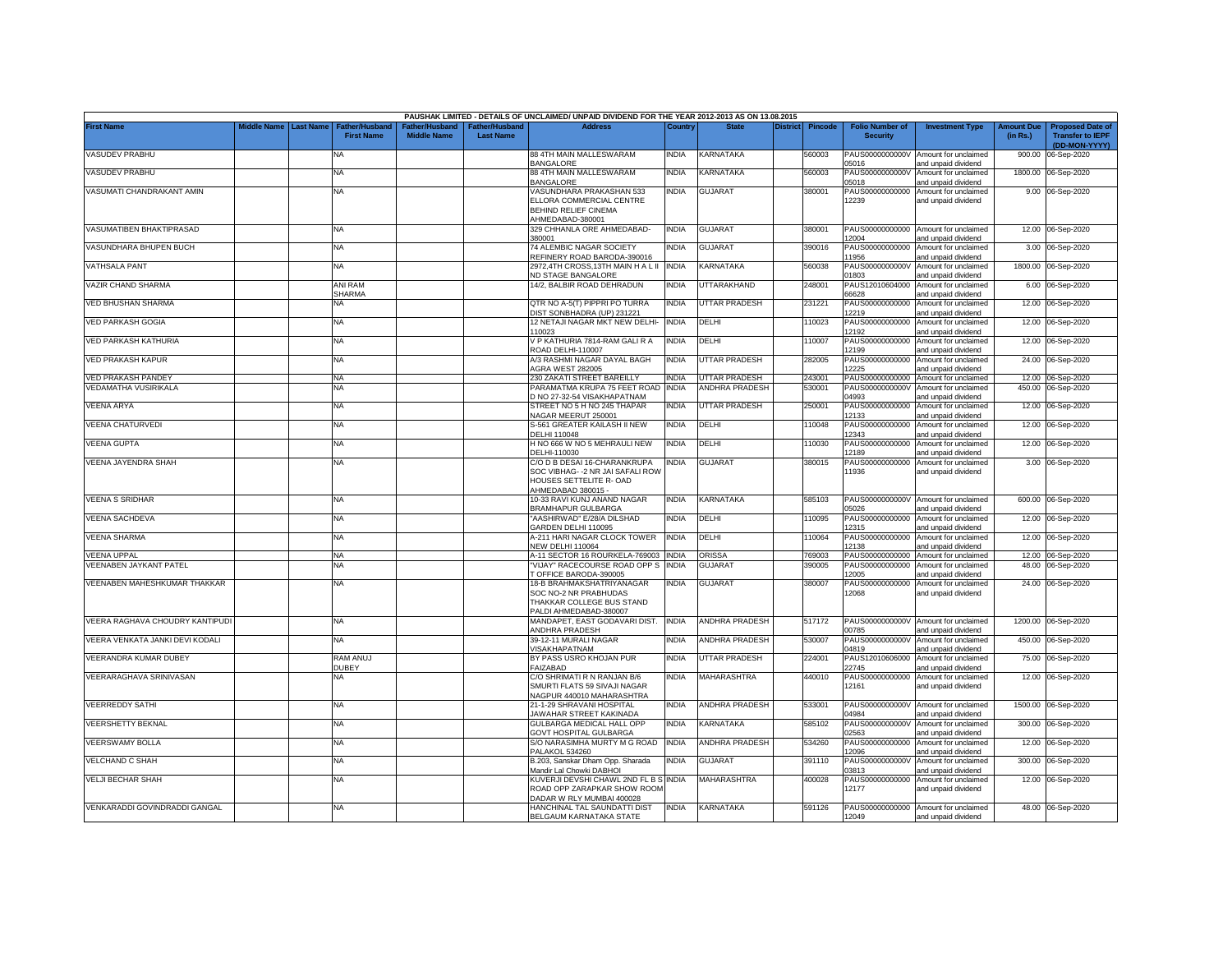|                                 |                       |                                            |                                      |                                                | PAUSHAK LIMITED - DETAILS OF UNCLAIMED/ UNPAID DIVIDEND FOR THE YEAR 2012-2013 AS ON 13.08.2015 |              |                       |          |                |                                           |                                                             |                               |                                                                     |
|---------------------------------|-----------------------|--------------------------------------------|--------------------------------------|------------------------------------------------|-------------------------------------------------------------------------------------------------|--------------|-----------------------|----------|----------------|-------------------------------------------|-------------------------------------------------------------|-------------------------------|---------------------------------------------------------------------|
| <b>First Name</b>               | Middle Name Last Name | <b>Father/Husband</b><br><b>First Name</b> | Father/Husband<br><b>Middle Name</b> | <sup>-</sup> ather/Husband<br><b>Last Name</b> | <b>Address</b>                                                                                  | Country      | <b>State</b>          | District | <b>Pincode</b> | <b>Folio Number of</b><br><b>Security</b> | <b>Investment Type</b>                                      | <b>Amount Due</b><br>(in Rs.) | <b>Proposed Date of</b><br><b>Transfer to IEPF</b><br>(DD-MON-YYYY) |
| <b>VASUDEV PRABHU</b>           |                       | <b>NA</b>                                  |                                      |                                                | 88 4TH MAIN MALLESWARAM<br><b>BANGALORE</b>                                                     | <b>INDIA</b> | KARNATAKA             |          | 560003         | PAUS0000000000V<br>05016                  | Amount for unclaimed<br>and unpaid dividend                 | 900.00                        | 06-Sep-2020                                                         |
| <b>VASUDEV PRABHU</b>           |                       | <b>NA</b>                                  |                                      |                                                | 88 4TH MAIN MALLESWARAM<br><b>BANGALORE</b>                                                     | <b>INDIA</b> | KARNATAKA             |          | 560003         | PAUS0000000000V<br>05018                  | Amount for unclaimed<br>and unpaid dividend                 | 1800.00                       | 06-Sep-2020                                                         |
| VASUMATI CHANDRAKANT AMIN       |                       | <b>NA</b>                                  |                                      |                                                | /ASUNDHARA PRAKASHAN 533                                                                        | <b>INDIA</b> | <b>GUJARAT</b>        |          | 380001         | PAUS00000000000                           | Amount for unclaimed                                        |                               | 9.00 06-Sep-2020                                                    |
|                                 |                       |                                            |                                      |                                                | ELLORA COMMERCIAL CENTRE<br><b>BEHIND RELIEF CINEMA</b>                                         |              |                       |          |                | 12239                                     | and unpaid dividend                                         |                               |                                                                     |
|                                 |                       |                                            |                                      |                                                | AHMEDABAD-380001                                                                                |              |                       |          |                |                                           |                                                             |                               |                                                                     |
| VASUMATIBEN BHAKTIPRASAD        |                       | <b>NA</b>                                  |                                      |                                                | 329 CHHANLA ORE AHMEDABAD-<br>380001                                                            | India        | <b>GUJARAT</b>        |          | 380001         | PAUS00000000000<br>12004                  | Amount for unclaimed<br>and unpaid dividend                 |                               | 12.00 06-Sep-2020                                                   |
| VASUNDHARA BHUPEN BUCH          |                       | NA                                         |                                      |                                                | 74 ALEMBIC NAGAR SOCIETY<br>REFINERY ROAD BARODA-390016                                         | INDIA        | <b>GUJARAT</b>        |          | 390016         | PAUS00000000000<br>11956                  | Amount for unclaimed<br>and unpaid dividend                 |                               | 3.00 06-Sep-2020                                                    |
| <b>VATHSALA PANT</b>            |                       | <b>NA</b>                                  |                                      |                                                | 2972,4TH CROSS,13TH MAIN HALII<br><b>VD STAGE BANGALORE</b>                                     | <b>INDIA</b> | KARNATAKA             |          | 560038         | PAUS0000000000V<br>01803                  | Amount for unclaimed<br>and unpaid dividend                 |                               | 1800.00 06-Sep-2020                                                 |
| VAZIR CHAND SHARMA              |                       | ANI RAM<br><b>SHARMA</b>                   |                                      |                                                | 14/2, BALBIR ROAD DEHRADUN                                                                      | <b>INDIA</b> | UTTARAKHAND           |          | 248001         | PAUS12010604000<br>66628                  | Amount for unclaimed<br>and unpaid dividend                 |                               | 6.00 06-Sep-2020                                                    |
| VED BHUSHAN SHARMA              |                       | NA                                         |                                      |                                                | QTR NO A-5(T) PIPPRI PO TURRA<br><b>IST SONBHADRA (UP) 231221</b>                               | <b>INDIA</b> | <b>UTTAR PRADESH</b>  |          | 231221         | PAUS00000000000<br>12219                  | Amount for unclaimed<br>and unpaid dividend                 |                               | 12.00 06-Sep-2020                                                   |
| <b>VED PARKASH GOGIA</b>        |                       | NA                                         |                                      |                                                | 12 NETAJI NAGAR MKT NEW DELHI-                                                                  | <b>INDIA</b> | DELHI                 |          | 10023          | PAUS00000000000                           | Amount for unclaimed                                        | 12.00                         | 06-Sep-2020                                                         |
| <b>VED PARKASH KATHURIA</b>     |                       |                                            |                                      |                                                | 10023<br>V P KATHURIA 7814-RAM GALI R A                                                         | <b>INDIA</b> | DELHI                 |          | 10007          | 12192                                     | and unpaid dividend                                         | 12.00                         |                                                                     |
|                                 |                       | NA                                         |                                      |                                                | <b>COAD DELHI-110007</b>                                                                        |              |                       |          |                | PAUS00000000000<br>12199                  | Amount for unclaimed<br>and unpaid dividend                 |                               | 06-Sep-2020                                                         |
| <b>VED PRAKASH KAPUR</b>        |                       | <b>NA</b>                                  |                                      |                                                | A/3 RASHMI NAGAR DAYAL BAGH<br><b>AGRA WEST 282005</b>                                          | <b>INDIA</b> | <b>UTTAR PRADESH</b>  |          | 282005         | PAUS00000000000<br>2225                   | Amount for unclaimed<br>and unpaid dividend                 | 24.00                         | 06-Sep-2020                                                         |
| <b>VED PRAKASH PANDEY</b>       |                       | <b>NA</b>                                  |                                      |                                                | 230 ZAKATI STREET BAREILLY                                                                      | <b>INDIA</b> | UTTAR PRADESH         |          | 243001         | PAUS00000000000                           | Amount for unclaimed                                        |                               | 12.00 06-Sep-2020                                                   |
| VEDAMATHA VUSIRIKALA            |                       | NA                                         |                                      |                                                | PARAMATMA KRUPA 75 FEET ROAD                                                                    | <b>INDIA</b> | <b>ANDHRA PRADESH</b> |          | 530001         | PAUS0000000000V                           | Amount for unclaimed                                        | 450.00                        | 06-Sep-2020                                                         |
| <b>VEENA ARYA</b>               |                       | NA                                         |                                      |                                                | NO 27-32-54 VISAKHAPATNAM<br>STREET NO 5 H NO 245 THAPAR                                        | <b>INDIA</b> | <b>UTTAR PRADESH</b>  |          | 250001         | 04993<br>PAUS00000000000                  | and unpaid dividend<br>Amount for unclaimed                 |                               | 12.00 06-Sep-2020                                                   |
|                                 |                       |                                            |                                      |                                                | <b>JAGAR MEERUT 250001</b>                                                                      |              |                       |          |                | 12133                                     | nd unpaid dividend                                          |                               |                                                                     |
| <b>VEENA CHATURVEDI</b>         |                       | NA                                         |                                      |                                                | S-561 GREATER KAILASH II NEW<br>DELHI 110048                                                    | <b>INDIA</b> | DELHI                 |          | 10048          | PAUS00000000000<br>12343                  | Amount for unclaimed<br>and unpaid dividend                 | 12.00                         | 06-Sep-2020                                                         |
| <b>VEENA GUPTA</b>              |                       | NA                                         |                                      |                                                | H NO 666 W NO 5 MEHRAULI NEW<br>DELHI-110030                                                    | <b>INDIA</b> | DELHI                 |          | 10030          | PAUS00000000000<br>12189                  | Amount for unclaimed<br>and unpaid dividend                 | 12.00                         | 06-Sep-2020                                                         |
| VEENA JAYENDRA SHAH             |                       | NA                                         |                                      |                                                | C/O D B DESAI 16-CHARANKRUPA                                                                    | <b>INDIA</b> | <b>GUJARAT</b>        |          | 380015         | PAUS00000000000                           | Amount for unclaimed                                        |                               | 3.00 06-Sep-2020                                                    |
|                                 |                       |                                            |                                      |                                                | SOC VIBHAG- -2 NR JAI SAFALI ROW<br>HOUSES SETTELITE R- OAD<br>AHMEDABAD 380015 -               |              |                       |          |                | 11936                                     | and unpaid dividend                                         |                               |                                                                     |
| <b>VEENA S SRIDHAR</b>          |                       | <b>NA</b>                                  |                                      |                                                | 10-33 RAVI KUNJ ANAND NAGAR<br><b>BRAMHAPUR GULBARGA</b>                                        | <b>INDIA</b> | KARNATAKA             |          | 585103         | PAUS0000000000V<br>05026                  | Amount for unclaimed<br>and unpaid dividend                 |                               | 600.00 06-Sep-2020                                                  |
| VEENA SACHDEVA                  |                       | <b>NA</b>                                  |                                      |                                                | AASHIRWAD" E/28/A DILSHAD<br>GARDEN DELHI 110095                                                | <b>INDIA</b> | DELHI                 |          | 110095         | PAUS00000000000<br>12315                  | Amount for unclaimed<br>and unpaid dividend                 | 12.00                         | 06-Sep-2020                                                         |
| <b>VEENA SHARMA</b>             |                       | <b>NA</b>                                  |                                      |                                                | A-211 HARI NAGAR CLOCK TOWER                                                                    | <b>INDIA</b> | DELHI                 |          | 10064          | PAUS00000000000                           | Amount for unclaimed                                        | 12.00                         | 06-Sep-2020                                                         |
| <b>/EENA UPPAL</b>              |                       | NA                                         |                                      |                                                | NEW DELHI 110064<br>A-11 SECTOR 16 ROURKELA-769003                                              | <b>INDIA</b> | <b>ORISSA</b>         |          | 769003         | 12138<br>PAUS00000000000                  | and unpaid dividend<br>Amount for unclaimed                 | 12.00                         | 06-Sep-2020                                                         |
| <b>/EENABEN JAYKANT PATEL</b>   |                       | NA                                         |                                      |                                                | "VIJAY" RACECOURSE ROAD OPP S                                                                   | <b>INDIA</b> | <b>GUJARA1</b>        |          | 390005         | PAUS00000000000                           | Amount for unclaimed                                        | 48.00                         | 06-Sep-2020                                                         |
|                                 |                       |                                            |                                      |                                                | TOFFICE BARODA-390005                                                                           |              |                       |          |                | 12005                                     | and unpaid dividend                                         |                               |                                                                     |
| VEENABEN MAHESHKUMAR THAKKAR    |                       | NA                                         |                                      |                                                | 18-B BRAHMAKSHATRIYANAGAR<br>SOC NO-2 NR PRABHUDAS                                              | <b>INDIA</b> | <b>GUJARAT</b>        |          | 380007         | PAUS00000000000<br>12068                  | Amount for unclaimed<br>and unpaid dividend                 |                               | 24.00 06-Sep-2020                                                   |
|                                 |                       |                                            |                                      |                                                | THAKKAR COLLEGE BUS STAND                                                                       |              |                       |          |                |                                           |                                                             |                               |                                                                     |
| VEERA RAGHAVA CHOUDRY KANTIPUDI |                       | NA                                         |                                      |                                                | PALDI AHMEDABAD-380007<br>MANDAPET, EAST GODAVARI DIST. INDIA                                   |              | ANDHRA PRADESH        |          | 517172         |                                           | PAUS0000000000V Amount for unclaimed                        |                               | 1200.00 06-Sep-2020                                                 |
|                                 |                       |                                            |                                      |                                                | ANDHRA PRADESH                                                                                  |              |                       |          |                | 00785                                     | and unpaid dividend                                         |                               |                                                                     |
| VEERA VENKATA JANKI DEVI KODALI |                       | NA                                         |                                      |                                                | 39-12-11 MURALI NAGAR<br>/ISAKHAPATNAM                                                          | <b>INDIA</b> | ANDHRA PRADESH        |          | 530007         | PAUS0000000000V<br>04819                  | Amount for unclaimed<br>and unpaid dividend                 | 450.00                        | 06-Sep-2020                                                         |
| VEERANDRA KUMAR DUBEY           |                       | RAM ANUJ<br><b>DUBEY</b>                   |                                      |                                                | BY PASS USRO KHOJAN PUR<br><b>AIZABAD</b>                                                       | <b>INDIA</b> | UTTAR PRADESH         |          | 224001         | PAUS12010606000<br>22745                  | Amount for unclaimed<br>and unpaid dividend                 | 75.00                         | 06-Sep-2020                                                         |
| <b>VEERARAGHAVA SRINIVASAN</b>  |                       | NA                                         |                                      |                                                | C/O SHRIMATI R N RANJAN B/6                                                                     | <b>INDIA</b> | <b>MAHARASHTRA</b>    |          | 140010         | PAUS00000000000                           | Amount for unclaimed                                        | 12.00                         | 06-Sep-2020                                                         |
|                                 |                       |                                            |                                      |                                                | SMURTI FLATS 59 SIVAJI NAGAR<br>VAGPUR 440010 MAHARASHTRA                                       |              |                       |          |                | 12161                                     | and unpaid dividend                                         |                               |                                                                     |
| <b>VEERREDDY SATHI</b>          |                       | <b>NA</b>                                  |                                      |                                                | 21-1-29 SHRAVANI HOSPITAL<br><b>JAWAHAR STREET KAKINADA</b>                                     | <b>INDIA</b> | ANDHRA PRADESH        |          | 533001         | PAUS0000000000V<br>04984                  | Amount for unclaimed<br>and unpaid dividend                 |                               | 1500.00 06-Sep-2020                                                 |
| <b>VEERSHETTY BEKNAL</b>        |                       | NA                                         |                                      |                                                | GULBARGA MEDICAL HALL OPP<br><b>GOVT HOSPITAL GULBARGA</b>                                      | <b>INDIA</b> | KARNATAKA             |          | 585102         | PAUS0000000000V<br>02563                  | Amount for unclaimed<br>and unpaid dividend                 | 300.00                        | 06-Sep-2020                                                         |
| <b>VEERSWAMY BOLLA</b>          |                       | <b>NA</b>                                  |                                      |                                                | S/O NARASIMHA MURTY M G ROAD<br><b>PALAKOL 534260</b>                                           | <b>INDIA</b> | ANDHRA PRADESH        |          | 534260         | PAUS00000000000<br>12096                  | Amount for unclaimed<br>and unpaid dividend                 | 12.00                         | 06-Sep-2020                                                         |
| <b>VELCHAND C SHAH</b>          |                       | NA                                         |                                      |                                                | B.203, Sanskar Dham Opp. Sharada<br>Mandir Lal Chowki DABHOI                                    | <b>INDIA</b> | <b>GUJARAT</b>        |          | 391110         | PAUS0000000000V<br>03813                  | Amount for unclaimed<br>and unpaid dividend                 |                               | 300.00 06-Sep-2020                                                  |
| <b>VELJI BECHAR SHAH</b>        |                       | NA                                         |                                      |                                                | KUVERJI DEVSHI CHAWL 2ND FL B S INDIA                                                           |              | <b>MAHARASHTRA</b>    |          | 400028         | PAUS00000000000                           | Amount for unclaimed                                        |                               | 12.00 06-Sep-2020                                                   |
|                                 |                       |                                            |                                      |                                                | ROAD OPP ZARAPKAR SHOW ROOM<br>DADAR W RLY MUMBAI 400028                                        |              |                       |          |                | 12177                                     | and unpaid dividend                                         |                               |                                                                     |
| VENKARADDI GOVINDRADDI GANGAL   |                       | <b>NA</b>                                  |                                      |                                                | HANCHINAL TAL SAUNDATTI DIST<br>BELGAUM KARNATAKA STATE                                         | <b>INDIA</b> | KARNATAKA             |          | 591126         | 12049                                     | PAUS00000000000 Amount for unclaimed<br>and unpaid dividend |                               | 48.00 06-Sep-2020                                                   |
|                                 |                       |                                            |                                      |                                                |                                                                                                 |              |                       |          |                |                                           |                                                             |                               |                                                                     |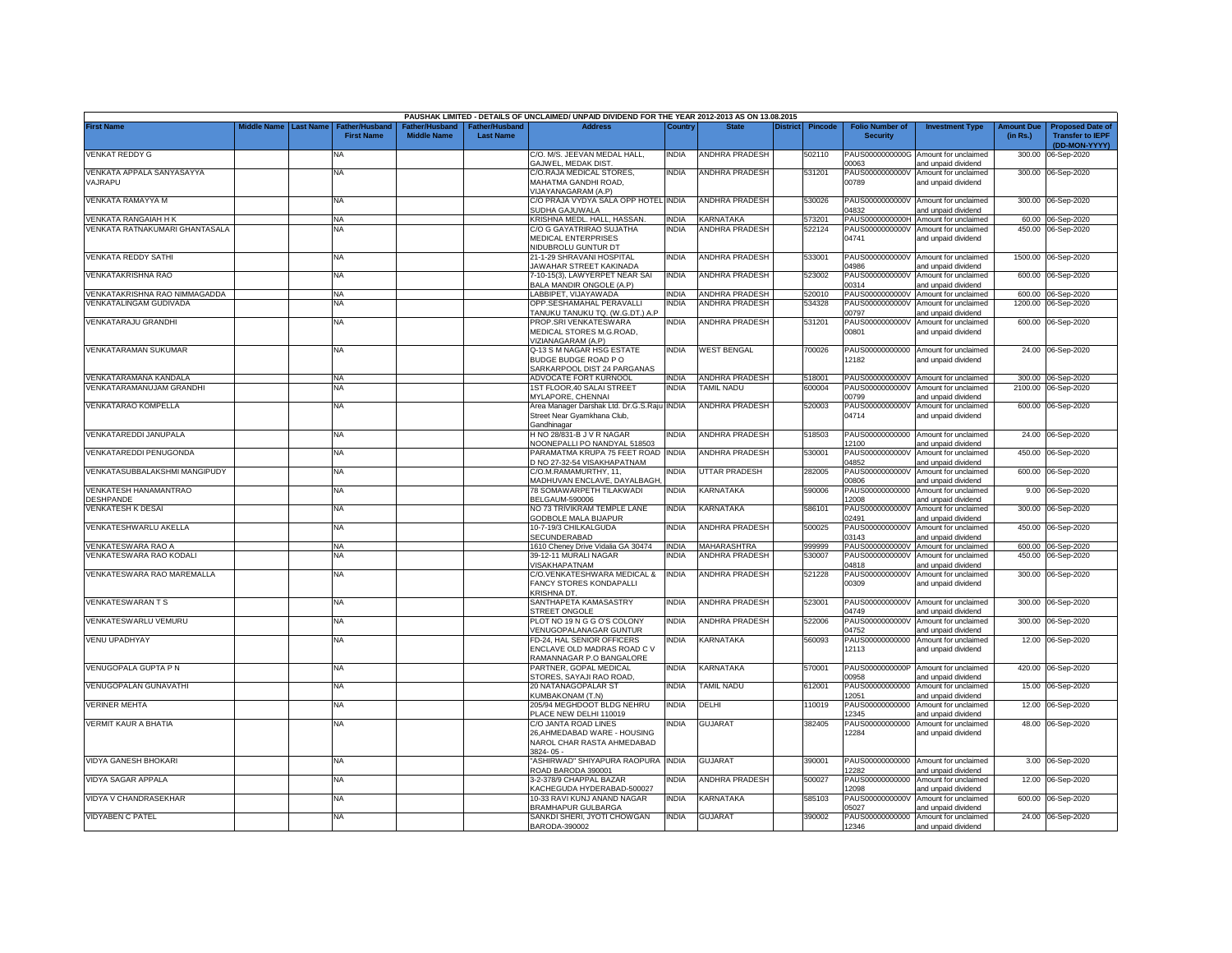| <b>Last Name</b><br><b>Transfer to IEPF</b><br><b>First Name</b><br><b>Middle Name</b><br>(in Rs.)<br><b>Last Name</b><br><b>Security</b><br>(DD-MON-YYYY)<br>C/O. M/S. JEEVAN MEDAL HALL,<br><b>VENKAT REDDY G</b><br><b>NA</b><br><b>INDIA</b><br><b>ANDHRA PRADESH</b><br>502110<br>PAUS0000000000G<br>Amount for unclaimed<br>300.00<br>06-Sep-2020<br>GAJWEL, MEDAK DIST<br>0063<br>and unpaid dividend<br>VENKATA APPALA SANYASAYYA<br>C/O.RAJA MEDICAL STORES,<br><b>INDIA</b><br><b>ANDHRA PRADESH</b><br>531201<br>PAUS0000000000V Amount for unclaimed<br>300.00 06-Sep-2020<br><b>NA</b><br>VAJRAPU<br>MAHATMA GANDHI ROAD,<br>00789<br>and unpaid dividend<br>VIJAYANAGARAM (A.P)<br>C/O PRAJA VYDYA SALA OPP HOTEL INDIA<br>VENKATA RAMAYYA M<br>ANDHRA PRADESH<br><b>NA</b><br>530026<br>PAUS0000000000V<br>Amount for unclaimed<br>300.00 06-Sep-2020<br>14832<br>SUDHA GAJUWALA<br>and unpaid dividend<br>KRISHNA MEDL. HALL, HASSAN.<br>KARNATAKA<br>PAUS0000000000H Amount for unclaimed<br>VENKATA RANGAIAH H K<br><b>INDIA</b><br>573201<br>60.00 06-Sep-2020<br><b>NA</b><br>VENKATA RATNAKUMARI GHANTASALA<br>C/O G GAYATRIRAO SUJATHA<br>INDIA<br><b>ANDHRA PRADESH</b><br>PAUS0000000000V<br>NA<br>522124<br>Amount for unclaimed<br>450.00<br>06-Sep-2020<br>04741<br><b>MEDICAL ENTERPRISES</b><br>and unpaid dividend<br>NIDUBROLU GUNTUR DT<br>VENKATA REDDY SATHI<br>21-1-29 SHRAVANI HOSPITAL<br><b>INDIA</b><br><b>ANDHRA PRADESH</b><br>533001<br>1500.00 06-Sep-2020<br><b>NA</b><br>PAUS0000000000V Amount for unclaimed<br><b>IAWAHAR STREET KAKINADA</b><br>04986<br>and unpaid dividend<br>VENKATAKRISHNA RAO<br>NA<br>7-10-15(3), LAWYERPET NEAR SAI<br><b>INDIA</b><br>ANDHRA PRADESH<br>523002<br>PAUS0000000000V<br>Amount for unclaimed<br>600.00 06-Sep-2020<br>BALA MANDIR ONGOLE (A.P)<br>00314<br>ind unpaid dividend<br>LABBIPET, VIJAYAWADA<br>VENKATAKRISHNA RAO NIMMAGADDA<br><b>INDIA</b><br><b>ANDHRA PRADESH</b><br>PAUS0000000000V Amount for unclaimed<br>520010<br>600.00 06-Sep-2020<br><b>NA</b><br>VENKATALINGAM GUDIVADA<br><b>INDIA</b><br><b>ANDHRA PRADESH</b><br><b>NA</b><br>OPP.SESHAMAHAL PERAVALLI<br>534328<br>PAUS0000000000V<br>1200.00 06-Sep-2020<br>Amount for unclaimed<br>TANUKU TANUKU TQ. (W.G.DT.) A.P<br>00797<br>and unpaid dividend<br>VENKATARAJU GRANDHI<br><b>INDIA</b><br><b>ANDHRA PRADESH</b><br><b>NA</b><br>PROP.SRI VENKATESWARA<br>531201<br>PAUS0000000000V<br>Amount for unclaimed<br>600.00<br>06-Sep-2020<br>00801<br>MEDICAL STORES M.G.ROAD,<br>and unpaid dividend<br>/IZIANAGARAM (A.P)<br>VENKATARAMAN SUKUMAR<br><b>NA</b><br>Q-13 S M NAGAR HSG ESTATE<br><b>INDIA</b><br><b>WEST BENGAL</b><br>700026<br>PAUS00000000000 Amount for unclaimed<br>24.00 06-Sep-2020<br>12182<br>BUDGE BUDGE ROAD PO<br>and unpaid dividend<br>SARKARPOOL DIST 24 PARGANAS<br>ADVOCATE FORT KURNOOL<br>VENKATARAMANA KANDALA<br><b>INDIA</b><br>ANDHRA PRADESH<br>518001<br>PAUS0000000000V Amount for unclaimed<br>300.00 06-Sep-2020<br>NA<br>VENKATARAMANUJAM GRANDHI<br><b>TAMIL NADU</b><br>1ST FLOOR, 40 SALAI STREET<br><b>INDIA</b><br>600004<br>2100.00 06-Sep-2020<br><b>NA</b><br>PAUS0000000000V<br>Amount for unclaimed<br>MYLAPORE, CHENNAI<br>0799<br>and unpaid dividend<br>VENKATARAO KOMPELLA<br><b>NA</b><br>Area Manager Darshak Ltd. Dr.G.S.Raju INDIA<br><b>ANDHRA PRADESH</b><br>520003<br>PAUS0000000000V<br>Amount for unclaimed<br>600.00<br>06-Sep-2020<br>04714<br>Street Near Gyamkhana Club,<br>and unpaid dividend<br>Gandhinagar<br>VENKATAREDDI JANUPALA<br>H NO 28/831-B J V R NAGAR<br><b>INDIA</b><br>ANDHRA PRADESH<br>518503<br>PAUS00000000000 Amount for unclaimed<br>24.00 06-Sep-2020<br><b>NA</b><br>12100<br>NOONEPALLI PO NANDYAL 518503<br>and unpaid dividend<br>PARAMATMA KRUPA 75 FEET ROAD INDIA<br>450.00 06-Sep-2020<br>VENKATAREDDI PENUGONDA<br><b>ANDHRA PRADESH</b><br>530001<br><b>NA</b><br>PAUS0000000000V<br>Amount for unclaimed<br>D NO 27-32-54 VISAKHAPATNAM<br>04852<br>and unpaid dividend<br><b>INDIA</b><br>VENKATASUBBALAKSHMI MANGIPUDY<br>C/O.M.RAMAMURTHY, 11,<br><b>UTTAR PRADESH</b><br>282005<br>PAUS0000000000V<br>600.00 06-Sep-2020<br><b>NA</b><br>Amount for unclaimed<br>MADHUVAN ENCLAVE, DAYALBAGH<br>30800<br>and unpaid dividend<br>VENKATESH HANAMANTRAO<br><b>NA</b><br>78 SOMAWARPETH TILAKWADI<br><b>INDIA</b><br>KARNATAKA<br>590006<br>PAUS00000000000<br>Amount for unclaimed<br>9.00 06-Sep-2020<br>DESHPANDE<br><b>BELGAUM-590006</b><br>12008<br>and unpaid dividend<br>VENKATESH K DESAI<br>NO 73 TRIVIKRAM TEMPLE LANE<br><b>INDIA</b><br>KARNATAKA<br><b>NA</b><br>586101<br>PAUS0000000000V<br>Amount for unclaimed<br>300.00 06-Sep-2020<br><b>GODBOLE MALA BIJAPUR</b><br>2491<br>and unpaid dividend<br>VENKATESHWARLU AKELLA<br><b>NA</b><br>10-7-19/3 CHILKALGUDA<br><b>INDIA</b><br>ANDHRA PRADESH<br>500025<br>PAUS0000000000V<br>Amount for unclaimed<br>450.00 06-Sep-2020<br>SECUNDERABAD<br>03143<br>and unpaid dividend<br>1610 Cheney Drive Vidalia GA 30474<br>VENKATESWARA RAO A<br><b>INDIA</b><br>MAHARASHTRA<br>999999<br>PAUS0000000000V Amount for unclaimed<br>600.00 06-Sep-2020<br><b>NA</b><br>VENKATESWARA RAO KODALI<br>39-12-11 MURALI NAGAR<br>INDIA<br>ANDHRA PRADESH<br>530007<br>PAUS0000000000V<br>Amount for unclaimed<br>NA<br>450.00 06-Sep-2020<br>/ISAKHAPATNAM<br>14818<br>and unpaid dividend<br>VENKATESWARA RAO MAREMALLA<br>C/O.VENKATESHWARA MEDICAL &<br><b>INDIA</b><br>ANDHRA PRADESH<br>521228<br>PAUS0000000000V<br>300.00 06-Sep-2020<br>NA<br>Amount for unclaimed<br>FANCY STORES KONDAPALLI<br>00309<br>and unpaid dividend<br><b>KRISHNA DT.</b><br><b>VENKATESWARAN T S</b><br>SANTHAPETA KAMASASTRY<br><b>INDIA</b><br><b>ANDHRA PRADESH</b><br>523001<br>PAUS0000000000V<br>300.00 06-Sep-2020<br><b>NA</b><br>Amount for unclaimed<br><b>STREET ONGOLE</b><br>4749<br>and unpaid dividend<br>VENKATESWARLU VEMURU<br>NA<br>PLOT NO 19 N G G O'S COLONY<br><b>INDIA</b><br>ANDHRA PRADESH<br>522006<br>PAUS0000000000V<br>Amount for unclaimed<br>300.00 06-Sep-2020<br>VENUGOPALANAGAR GUNTUR<br>04752<br>and unpaid dividend<br>FD-24, HAL SENIOR OFFICERS<br><b>INDIA</b><br>560093<br>PAUS00000000000<br>VENU UPADHYAY<br><b>NA</b><br>KARNATAKA<br>12.00 06-Sep-2020<br>Amount for unclaimed<br>12113<br>ENCLAVE OLD MADRAS ROAD C V<br>and unpaid dividend<br>RAMANNAGAR P.O BANGALORE<br>VENUGOPALA GUPTA P N<br><b>NA</b><br>PARTNER, GOPAL MEDICAL<br><b>INDIA</b><br>KARNATAKA<br>570001<br>PAUS0000000000P<br>Amount for unclaimed<br>420.00<br>06-Sep-2020<br>STORES, SAYAJI RAO ROAD.<br>00958<br>and unpaid dividend<br>VENUGOPALAN GUNAVATHI<br><b>INDIA</b><br><b>TAMIL NADU</b><br>612001<br>PAUS00000000000<br>NA<br>20 NATANAGOPALAR ST<br>Amount for unclaimed<br>15.00<br>06-Sep-2020<br>KUMBAKONAM (T.N)<br>12051<br>and unpaid dividend<br>VERINER MEHTA<br><b>NA</b><br>205/94 MEGHDOOT BLDG NEHRU<br><b>INDIA</b><br>DELHI<br>110019<br>PAUS00000000000<br>Amount for unclaimed<br>12.00<br>06-Sep-2020<br>12345<br>PLACE NEW DELHI 110019<br>and unpaid dividend<br>india<br>VERMIT KAUR A BHATIA<br>C/O JANTA ROAD LINES<br><b>GUJARAT</b><br>382405<br>PAUS00000000000 Amount for unclaimed<br>48.00 06-Sep-2020<br>NA<br>12284<br>26, AHMEDABAD WARE - HOUSING<br>and unpaid dividend<br>NAROL CHAR RASTA AHMEDABAD<br>3824-05-<br>ASHIRWAD" SHIYAPURA RAOPURA INDIA<br>VIDYA GANESH BHOKARI<br><b>NA</b><br><b>GUJARAT</b><br>390001<br>PAUS00000000000 Amount for unclaimed<br>3.00 06-Sep-2020<br>ROAD BARODA 390001<br>2282<br>and unpaid dividend<br>VIDYA SAGAR APPALA<br>3-2-378/9 CHAPPAL BAZAR<br><b>NDIA</b><br>ANDHRA PRADESH<br>500027<br>PAUS00000000000 Amount for unclaimed<br>12.00 06-Sep-2020<br>NA<br>KACHEGUDA HYDERABAD-500027<br>2098<br>ind unpaid dividend<br><b>INDIA</b><br>600.00 06-Sep-2020<br>VIDYA V CHANDRASEKHAR<br><b>NA</b><br>10-33 RAVI KUNJ ANAND NAGAR<br>KARNATAKA<br>585103<br>PAUS0000000000V<br>Amount for unclaimed<br>05027<br><b>BRAMHAPUR GULBARGA</b><br>and unpaid dividend<br><b>VIDYABEN C PATEL</b><br>SANKDI SHERI, JYOTI CHOWGAN<br><b>INDIA</b><br><b>GUJARAT</b><br>390002<br>PAUS00000000000 Amount for unclaimed<br>24.00 06-Sep-2020<br><b>NA</b><br>BARODA-390002<br>12346<br>and unpaid dividend |                   |             |              |               |                      | PAUSHAK LIMITED - DETAILS OF UNCLAIMED/ UNPAID DIVIDEND FOR THE YEAR 2012-2013 AS ON 13.08.2015 |        |              |          |                |                        |                        |                   |                         |
|---------------------------------------------------------------------------------------------------------------------------------------------------------------------------------------------------------------------------------------------------------------------------------------------------------------------------------------------------------------------------------------------------------------------------------------------------------------------------------------------------------------------------------------------------------------------------------------------------------------------------------------------------------------------------------------------------------------------------------------------------------------------------------------------------------------------------------------------------------------------------------------------------------------------------------------------------------------------------------------------------------------------------------------------------------------------------------------------------------------------------------------------------------------------------------------------------------------------------------------------------------------------------------------------------------------------------------------------------------------------------------------------------------------------------------------------------------------------------------------------------------------------------------------------------------------------------------------------------------------------------------------------------------------------------------------------------------------------------------------------------------------------------------------------------------------------------------------------------------------------------------------------------------------------------------------------------------------------------------------------------------------------------------------------------------------------------------------------------------------------------------------------------------------------------------------------------------------------------------------------------------------------------------------------------------------------------------------------------------------------------------------------------------------------------------------------------------------------------------------------------------------------------------------------------------------------------------------------------------------------------------------------------------------------------------------------------------------------------------------------------------------------------------------------------------------------------------------------------------------------------------------------------------------------------------------------------------------------------------------------------------------------------------------------------------------------------------------------------------------------------------------------------------------------------------------------------------------------------------------------------------------------------------------------------------------------------------------------------------------------------------------------------------------------------------------------------------------------------------------------------------------------------------------------------------------------------------------------------------------------------------------------------------------------------------------------------------------------------------------------------------------------------------------------------------------------------------------------------------------------------------------------------------------------------------------------------------------------------------------------------------------------------------------------------------------------------------------------------------------------------------------------------------------------------------------------------------------------------------------------------------------------------------------------------------------------------------------------------------------------------------------------------------------------------------------------------------------------------------------------------------------------------------------------------------------------------------------------------------------------------------------------------------------------------------------------------------------------------------------------------------------------------------------------------------------------------------------------------------------------------------------------------------------------------------------------------------------------------------------------------------------------------------------------------------------------------------------------------------------------------------------------------------------------------------------------------------------------------------------------------------------------------------------------------------------------------------------------------------------------------------------------------------------------------------------------------------------------------------------------------------------------------------------------------------------------------------------------------------------------------------------------------------------------------------------------------------------------------------------------------------------------------------------------------------------------------------------------------------------------------------------------------------------------------------------------------------------------------------------------------------------------------------------------------------------------------------------------------------------------------------------------------------------------------------------------------------------------------------------------------------------------------------------------------------------------------------------------------------------------------------------------------------------------------------------------------------------------------------------------------------------------------------------------------------------------------------------------------------------------------------------------------------------------------------------------------------------------------------------------------------------------------------------------------------------------------------------------------------------------------------------------------------------------------------------------------------------------------------------------------------------------------------------------------------------------------------------------------------------------------------------------------------------------------------------------------------------------------------------------------------------------------------------------------------------------------------------------------------------------------------------------------------------------------------------------------------------------------------------------------------------------------------------------------------------------------------------------------------------------------------------------------------------------------------------------------------------------------------------------------------------------------------------------------------------------------------------------------------------------------------------------------------------------------------------------------------------------------------------------------------------------------------------------------------------------------------------------------------------------------------------------------------------------------------------------------------------------------------------------------------------------------------------------------------------------------------------------|-------------------|-------------|--------------|---------------|----------------------|-------------------------------------------------------------------------------------------------|--------|--------------|----------|----------------|------------------------|------------------------|-------------------|-------------------------|
|                                                                                                                                                                                                                                                                                                                                                                                                                                                                                                                                                                                                                                                                                                                                                                                                                                                                                                                                                                                                                                                                                                                                                                                                                                                                                                                                                                                                                                                                                                                                                                                                                                                                                                                                                                                                                                                                                                                                                                                                                                                                                                                                                                                                                                                                                                                                                                                                                                                                                                                                                                                                                                                                                                                                                                                                                                                                                                                                                                                                                                                                                                                                                                                                                                                                                                                                                                                                                                                                                                                                                                                                                                                                                                                                                                                                                                                                                                                                                                                                                                                                                                                                                                                                                                                                                                                                                                                                                                                                                                                                                                                                                                                                                                                                                                                                                                                                                                                                                                                                                                                                                                                                                                                                                                                                                                                                                                                                                                                                                                                                                                                                                                                                                                                                                                                                                                                                                                                                                                                                                                                                                                                                                                                                                                                                                                                                                                                                                                                                                                                                                                                                                                                                                                                                                                                                                                                                                                                                                                                                                                                                                                                                                                                                                                                                                                                                                                                                                                                                                                                                                                                                                                                                                                                                                                                                                                                                                                                                                                                                                                                                                                                                                                                                                                                                                                                                             | <b>First Name</b> | liddle Name | ather/Hushan | ather/Hushand | <b>ither/Husband</b> | <b>Address</b>                                                                                  | Countr | <b>State</b> | District | <b>Pincode</b> | <b>Folio Number of</b> | <b>Investment Type</b> | <b>Amount Due</b> | <b>Proposed Date of</b> |
|                                                                                                                                                                                                                                                                                                                                                                                                                                                                                                                                                                                                                                                                                                                                                                                                                                                                                                                                                                                                                                                                                                                                                                                                                                                                                                                                                                                                                                                                                                                                                                                                                                                                                                                                                                                                                                                                                                                                                                                                                                                                                                                                                                                                                                                                                                                                                                                                                                                                                                                                                                                                                                                                                                                                                                                                                                                                                                                                                                                                                                                                                                                                                                                                                                                                                                                                                                                                                                                                                                                                                                                                                                                                                                                                                                                                                                                                                                                                                                                                                                                                                                                                                                                                                                                                                                                                                                                                                                                                                                                                                                                                                                                                                                                                                                                                                                                                                                                                                                                                                                                                                                                                                                                                                                                                                                                                                                                                                                                                                                                                                                                                                                                                                                                                                                                                                                                                                                                                                                                                                                                                                                                                                                                                                                                                                                                                                                                                                                                                                                                                                                                                                                                                                                                                                                                                                                                                                                                                                                                                                                                                                                                                                                                                                                                                                                                                                                                                                                                                                                                                                                                                                                                                                                                                                                                                                                                                                                                                                                                                                                                                                                                                                                                                                                                                                                                                             |                   |             |              |               |                      |                                                                                                 |        |              |          |                |                        |                        |                   |                         |
|                                                                                                                                                                                                                                                                                                                                                                                                                                                                                                                                                                                                                                                                                                                                                                                                                                                                                                                                                                                                                                                                                                                                                                                                                                                                                                                                                                                                                                                                                                                                                                                                                                                                                                                                                                                                                                                                                                                                                                                                                                                                                                                                                                                                                                                                                                                                                                                                                                                                                                                                                                                                                                                                                                                                                                                                                                                                                                                                                                                                                                                                                                                                                                                                                                                                                                                                                                                                                                                                                                                                                                                                                                                                                                                                                                                                                                                                                                                                                                                                                                                                                                                                                                                                                                                                                                                                                                                                                                                                                                                                                                                                                                                                                                                                                                                                                                                                                                                                                                                                                                                                                                                                                                                                                                                                                                                                                                                                                                                                                                                                                                                                                                                                                                                                                                                                                                                                                                                                                                                                                                                                                                                                                                                                                                                                                                                                                                                                                                                                                                                                                                                                                                                                                                                                                                                                                                                                                                                                                                                                                                                                                                                                                                                                                                                                                                                                                                                                                                                                                                                                                                                                                                                                                                                                                                                                                                                                                                                                                                                                                                                                                                                                                                                                                                                                                                                                             |                   |             |              |               |                      |                                                                                                 |        |              |          |                |                        |                        |                   |                         |
|                                                                                                                                                                                                                                                                                                                                                                                                                                                                                                                                                                                                                                                                                                                                                                                                                                                                                                                                                                                                                                                                                                                                                                                                                                                                                                                                                                                                                                                                                                                                                                                                                                                                                                                                                                                                                                                                                                                                                                                                                                                                                                                                                                                                                                                                                                                                                                                                                                                                                                                                                                                                                                                                                                                                                                                                                                                                                                                                                                                                                                                                                                                                                                                                                                                                                                                                                                                                                                                                                                                                                                                                                                                                                                                                                                                                                                                                                                                                                                                                                                                                                                                                                                                                                                                                                                                                                                                                                                                                                                                                                                                                                                                                                                                                                                                                                                                                                                                                                                                                                                                                                                                                                                                                                                                                                                                                                                                                                                                                                                                                                                                                                                                                                                                                                                                                                                                                                                                                                                                                                                                                                                                                                                                                                                                                                                                                                                                                                                                                                                                                                                                                                                                                                                                                                                                                                                                                                                                                                                                                                                                                                                                                                                                                                                                                                                                                                                                                                                                                                                                                                                                                                                                                                                                                                                                                                                                                                                                                                                                                                                                                                                                                                                                                                                                                                                                                             |                   |             |              |               |                      |                                                                                                 |        |              |          |                |                        |                        |                   |                         |
|                                                                                                                                                                                                                                                                                                                                                                                                                                                                                                                                                                                                                                                                                                                                                                                                                                                                                                                                                                                                                                                                                                                                                                                                                                                                                                                                                                                                                                                                                                                                                                                                                                                                                                                                                                                                                                                                                                                                                                                                                                                                                                                                                                                                                                                                                                                                                                                                                                                                                                                                                                                                                                                                                                                                                                                                                                                                                                                                                                                                                                                                                                                                                                                                                                                                                                                                                                                                                                                                                                                                                                                                                                                                                                                                                                                                                                                                                                                                                                                                                                                                                                                                                                                                                                                                                                                                                                                                                                                                                                                                                                                                                                                                                                                                                                                                                                                                                                                                                                                                                                                                                                                                                                                                                                                                                                                                                                                                                                                                                                                                                                                                                                                                                                                                                                                                                                                                                                                                                                                                                                                                                                                                                                                                                                                                                                                                                                                                                                                                                                                                                                                                                                                                                                                                                                                                                                                                                                                                                                                                                                                                                                                                                                                                                                                                                                                                                                                                                                                                                                                                                                                                                                                                                                                                                                                                                                                                                                                                                                                                                                                                                                                                                                                                                                                                                                                                             |                   |             |              |               |                      |                                                                                                 |        |              |          |                |                        |                        |                   |                         |
|                                                                                                                                                                                                                                                                                                                                                                                                                                                                                                                                                                                                                                                                                                                                                                                                                                                                                                                                                                                                                                                                                                                                                                                                                                                                                                                                                                                                                                                                                                                                                                                                                                                                                                                                                                                                                                                                                                                                                                                                                                                                                                                                                                                                                                                                                                                                                                                                                                                                                                                                                                                                                                                                                                                                                                                                                                                                                                                                                                                                                                                                                                                                                                                                                                                                                                                                                                                                                                                                                                                                                                                                                                                                                                                                                                                                                                                                                                                                                                                                                                                                                                                                                                                                                                                                                                                                                                                                                                                                                                                                                                                                                                                                                                                                                                                                                                                                                                                                                                                                                                                                                                                                                                                                                                                                                                                                                                                                                                                                                                                                                                                                                                                                                                                                                                                                                                                                                                                                                                                                                                                                                                                                                                                                                                                                                                                                                                                                                                                                                                                                                                                                                                                                                                                                                                                                                                                                                                                                                                                                                                                                                                                                                                                                                                                                                                                                                                                                                                                                                                                                                                                                                                                                                                                                                                                                                                                                                                                                                                                                                                                                                                                                                                                                                                                                                                                                             |                   |             |              |               |                      |                                                                                                 |        |              |          |                |                        |                        |                   |                         |
|                                                                                                                                                                                                                                                                                                                                                                                                                                                                                                                                                                                                                                                                                                                                                                                                                                                                                                                                                                                                                                                                                                                                                                                                                                                                                                                                                                                                                                                                                                                                                                                                                                                                                                                                                                                                                                                                                                                                                                                                                                                                                                                                                                                                                                                                                                                                                                                                                                                                                                                                                                                                                                                                                                                                                                                                                                                                                                                                                                                                                                                                                                                                                                                                                                                                                                                                                                                                                                                                                                                                                                                                                                                                                                                                                                                                                                                                                                                                                                                                                                                                                                                                                                                                                                                                                                                                                                                                                                                                                                                                                                                                                                                                                                                                                                                                                                                                                                                                                                                                                                                                                                                                                                                                                                                                                                                                                                                                                                                                                                                                                                                                                                                                                                                                                                                                                                                                                                                                                                                                                                                                                                                                                                                                                                                                                                                                                                                                                                                                                                                                                                                                                                                                                                                                                                                                                                                                                                                                                                                                                                                                                                                                                                                                                                                                                                                                                                                                                                                                                                                                                                                                                                                                                                                                                                                                                                                                                                                                                                                                                                                                                                                                                                                                                                                                                                                                             |                   |             |              |               |                      |                                                                                                 |        |              |          |                |                        |                        |                   |                         |
|                                                                                                                                                                                                                                                                                                                                                                                                                                                                                                                                                                                                                                                                                                                                                                                                                                                                                                                                                                                                                                                                                                                                                                                                                                                                                                                                                                                                                                                                                                                                                                                                                                                                                                                                                                                                                                                                                                                                                                                                                                                                                                                                                                                                                                                                                                                                                                                                                                                                                                                                                                                                                                                                                                                                                                                                                                                                                                                                                                                                                                                                                                                                                                                                                                                                                                                                                                                                                                                                                                                                                                                                                                                                                                                                                                                                                                                                                                                                                                                                                                                                                                                                                                                                                                                                                                                                                                                                                                                                                                                                                                                                                                                                                                                                                                                                                                                                                                                                                                                                                                                                                                                                                                                                                                                                                                                                                                                                                                                                                                                                                                                                                                                                                                                                                                                                                                                                                                                                                                                                                                                                                                                                                                                                                                                                                                                                                                                                                                                                                                                                                                                                                                                                                                                                                                                                                                                                                                                                                                                                                                                                                                                                                                                                                                                                                                                                                                                                                                                                                                                                                                                                                                                                                                                                                                                                                                                                                                                                                                                                                                                                                                                                                                                                                                                                                                                                             |                   |             |              |               |                      |                                                                                                 |        |              |          |                |                        |                        |                   |                         |
|                                                                                                                                                                                                                                                                                                                                                                                                                                                                                                                                                                                                                                                                                                                                                                                                                                                                                                                                                                                                                                                                                                                                                                                                                                                                                                                                                                                                                                                                                                                                                                                                                                                                                                                                                                                                                                                                                                                                                                                                                                                                                                                                                                                                                                                                                                                                                                                                                                                                                                                                                                                                                                                                                                                                                                                                                                                                                                                                                                                                                                                                                                                                                                                                                                                                                                                                                                                                                                                                                                                                                                                                                                                                                                                                                                                                                                                                                                                                                                                                                                                                                                                                                                                                                                                                                                                                                                                                                                                                                                                                                                                                                                                                                                                                                                                                                                                                                                                                                                                                                                                                                                                                                                                                                                                                                                                                                                                                                                                                                                                                                                                                                                                                                                                                                                                                                                                                                                                                                                                                                                                                                                                                                                                                                                                                                                                                                                                                                                                                                                                                                                                                                                                                                                                                                                                                                                                                                                                                                                                                                                                                                                                                                                                                                                                                                                                                                                                                                                                                                                                                                                                                                                                                                                                                                                                                                                                                                                                                                                                                                                                                                                                                                                                                                                                                                                                                             |                   |             |              |               |                      |                                                                                                 |        |              |          |                |                        |                        |                   |                         |
|                                                                                                                                                                                                                                                                                                                                                                                                                                                                                                                                                                                                                                                                                                                                                                                                                                                                                                                                                                                                                                                                                                                                                                                                                                                                                                                                                                                                                                                                                                                                                                                                                                                                                                                                                                                                                                                                                                                                                                                                                                                                                                                                                                                                                                                                                                                                                                                                                                                                                                                                                                                                                                                                                                                                                                                                                                                                                                                                                                                                                                                                                                                                                                                                                                                                                                                                                                                                                                                                                                                                                                                                                                                                                                                                                                                                                                                                                                                                                                                                                                                                                                                                                                                                                                                                                                                                                                                                                                                                                                                                                                                                                                                                                                                                                                                                                                                                                                                                                                                                                                                                                                                                                                                                                                                                                                                                                                                                                                                                                                                                                                                                                                                                                                                                                                                                                                                                                                                                                                                                                                                                                                                                                                                                                                                                                                                                                                                                                                                                                                                                                                                                                                                                                                                                                                                                                                                                                                                                                                                                                                                                                                                                                                                                                                                                                                                                                                                                                                                                                                                                                                                                                                                                                                                                                                                                                                                                                                                                                                                                                                                                                                                                                                                                                                                                                                                                             |                   |             |              |               |                      |                                                                                                 |        |              |          |                |                        |                        |                   |                         |
|                                                                                                                                                                                                                                                                                                                                                                                                                                                                                                                                                                                                                                                                                                                                                                                                                                                                                                                                                                                                                                                                                                                                                                                                                                                                                                                                                                                                                                                                                                                                                                                                                                                                                                                                                                                                                                                                                                                                                                                                                                                                                                                                                                                                                                                                                                                                                                                                                                                                                                                                                                                                                                                                                                                                                                                                                                                                                                                                                                                                                                                                                                                                                                                                                                                                                                                                                                                                                                                                                                                                                                                                                                                                                                                                                                                                                                                                                                                                                                                                                                                                                                                                                                                                                                                                                                                                                                                                                                                                                                                                                                                                                                                                                                                                                                                                                                                                                                                                                                                                                                                                                                                                                                                                                                                                                                                                                                                                                                                                                                                                                                                                                                                                                                                                                                                                                                                                                                                                                                                                                                                                                                                                                                                                                                                                                                                                                                                                                                                                                                                                                                                                                                                                                                                                                                                                                                                                                                                                                                                                                                                                                                                                                                                                                                                                                                                                                                                                                                                                                                                                                                                                                                                                                                                                                                                                                                                                                                                                                                                                                                                                                                                                                                                                                                                                                                                                             |                   |             |              |               |                      |                                                                                                 |        |              |          |                |                        |                        |                   |                         |
|                                                                                                                                                                                                                                                                                                                                                                                                                                                                                                                                                                                                                                                                                                                                                                                                                                                                                                                                                                                                                                                                                                                                                                                                                                                                                                                                                                                                                                                                                                                                                                                                                                                                                                                                                                                                                                                                                                                                                                                                                                                                                                                                                                                                                                                                                                                                                                                                                                                                                                                                                                                                                                                                                                                                                                                                                                                                                                                                                                                                                                                                                                                                                                                                                                                                                                                                                                                                                                                                                                                                                                                                                                                                                                                                                                                                                                                                                                                                                                                                                                                                                                                                                                                                                                                                                                                                                                                                                                                                                                                                                                                                                                                                                                                                                                                                                                                                                                                                                                                                                                                                                                                                                                                                                                                                                                                                                                                                                                                                                                                                                                                                                                                                                                                                                                                                                                                                                                                                                                                                                                                                                                                                                                                                                                                                                                                                                                                                                                                                                                                                                                                                                                                                                                                                                                                                                                                                                                                                                                                                                                                                                                                                                                                                                                                                                                                                                                                                                                                                                                                                                                                                                                                                                                                                                                                                                                                                                                                                                                                                                                                                                                                                                                                                                                                                                                                                             |                   |             |              |               |                      |                                                                                                 |        |              |          |                |                        |                        |                   |                         |
|                                                                                                                                                                                                                                                                                                                                                                                                                                                                                                                                                                                                                                                                                                                                                                                                                                                                                                                                                                                                                                                                                                                                                                                                                                                                                                                                                                                                                                                                                                                                                                                                                                                                                                                                                                                                                                                                                                                                                                                                                                                                                                                                                                                                                                                                                                                                                                                                                                                                                                                                                                                                                                                                                                                                                                                                                                                                                                                                                                                                                                                                                                                                                                                                                                                                                                                                                                                                                                                                                                                                                                                                                                                                                                                                                                                                                                                                                                                                                                                                                                                                                                                                                                                                                                                                                                                                                                                                                                                                                                                                                                                                                                                                                                                                                                                                                                                                                                                                                                                                                                                                                                                                                                                                                                                                                                                                                                                                                                                                                                                                                                                                                                                                                                                                                                                                                                                                                                                                                                                                                                                                                                                                                                                                                                                                                                                                                                                                                                                                                                                                                                                                                                                                                                                                                                                                                                                                                                                                                                                                                                                                                                                                                                                                                                                                                                                                                                                                                                                                                                                                                                                                                                                                                                                                                                                                                                                                                                                                                                                                                                                                                                                                                                                                                                                                                                                                             |                   |             |              |               |                      |                                                                                                 |        |              |          |                |                        |                        |                   |                         |
|                                                                                                                                                                                                                                                                                                                                                                                                                                                                                                                                                                                                                                                                                                                                                                                                                                                                                                                                                                                                                                                                                                                                                                                                                                                                                                                                                                                                                                                                                                                                                                                                                                                                                                                                                                                                                                                                                                                                                                                                                                                                                                                                                                                                                                                                                                                                                                                                                                                                                                                                                                                                                                                                                                                                                                                                                                                                                                                                                                                                                                                                                                                                                                                                                                                                                                                                                                                                                                                                                                                                                                                                                                                                                                                                                                                                                                                                                                                                                                                                                                                                                                                                                                                                                                                                                                                                                                                                                                                                                                                                                                                                                                                                                                                                                                                                                                                                                                                                                                                                                                                                                                                                                                                                                                                                                                                                                                                                                                                                                                                                                                                                                                                                                                                                                                                                                                                                                                                                                                                                                                                                                                                                                                                                                                                                                                                                                                                                                                                                                                                                                                                                                                                                                                                                                                                                                                                                                                                                                                                                                                                                                                                                                                                                                                                                                                                                                                                                                                                                                                                                                                                                                                                                                                                                                                                                                                                                                                                                                                                                                                                                                                                                                                                                                                                                                                                                             |                   |             |              |               |                      |                                                                                                 |        |              |          |                |                        |                        |                   |                         |
|                                                                                                                                                                                                                                                                                                                                                                                                                                                                                                                                                                                                                                                                                                                                                                                                                                                                                                                                                                                                                                                                                                                                                                                                                                                                                                                                                                                                                                                                                                                                                                                                                                                                                                                                                                                                                                                                                                                                                                                                                                                                                                                                                                                                                                                                                                                                                                                                                                                                                                                                                                                                                                                                                                                                                                                                                                                                                                                                                                                                                                                                                                                                                                                                                                                                                                                                                                                                                                                                                                                                                                                                                                                                                                                                                                                                                                                                                                                                                                                                                                                                                                                                                                                                                                                                                                                                                                                                                                                                                                                                                                                                                                                                                                                                                                                                                                                                                                                                                                                                                                                                                                                                                                                                                                                                                                                                                                                                                                                                                                                                                                                                                                                                                                                                                                                                                                                                                                                                                                                                                                                                                                                                                                                                                                                                                                                                                                                                                                                                                                                                                                                                                                                                                                                                                                                                                                                                                                                                                                                                                                                                                                                                                                                                                                                                                                                                                                                                                                                                                                                                                                                                                                                                                                                                                                                                                                                                                                                                                                                                                                                                                                                                                                                                                                                                                                                                             |                   |             |              |               |                      |                                                                                                 |        |              |          |                |                        |                        |                   |                         |
|                                                                                                                                                                                                                                                                                                                                                                                                                                                                                                                                                                                                                                                                                                                                                                                                                                                                                                                                                                                                                                                                                                                                                                                                                                                                                                                                                                                                                                                                                                                                                                                                                                                                                                                                                                                                                                                                                                                                                                                                                                                                                                                                                                                                                                                                                                                                                                                                                                                                                                                                                                                                                                                                                                                                                                                                                                                                                                                                                                                                                                                                                                                                                                                                                                                                                                                                                                                                                                                                                                                                                                                                                                                                                                                                                                                                                                                                                                                                                                                                                                                                                                                                                                                                                                                                                                                                                                                                                                                                                                                                                                                                                                                                                                                                                                                                                                                                                                                                                                                                                                                                                                                                                                                                                                                                                                                                                                                                                                                                                                                                                                                                                                                                                                                                                                                                                                                                                                                                                                                                                                                                                                                                                                                                                                                                                                                                                                                                                                                                                                                                                                                                                                                                                                                                                                                                                                                                                                                                                                                                                                                                                                                                                                                                                                                                                                                                                                                                                                                                                                                                                                                                                                                                                                                                                                                                                                                                                                                                                                                                                                                                                                                                                                                                                                                                                                                                             |                   |             |              |               |                      |                                                                                                 |        |              |          |                |                        |                        |                   |                         |
|                                                                                                                                                                                                                                                                                                                                                                                                                                                                                                                                                                                                                                                                                                                                                                                                                                                                                                                                                                                                                                                                                                                                                                                                                                                                                                                                                                                                                                                                                                                                                                                                                                                                                                                                                                                                                                                                                                                                                                                                                                                                                                                                                                                                                                                                                                                                                                                                                                                                                                                                                                                                                                                                                                                                                                                                                                                                                                                                                                                                                                                                                                                                                                                                                                                                                                                                                                                                                                                                                                                                                                                                                                                                                                                                                                                                                                                                                                                                                                                                                                                                                                                                                                                                                                                                                                                                                                                                                                                                                                                                                                                                                                                                                                                                                                                                                                                                                                                                                                                                                                                                                                                                                                                                                                                                                                                                                                                                                                                                                                                                                                                                                                                                                                                                                                                                                                                                                                                                                                                                                                                                                                                                                                                                                                                                                                                                                                                                                                                                                                                                                                                                                                                                                                                                                                                                                                                                                                                                                                                                                                                                                                                                                                                                                                                                                                                                                                                                                                                                                                                                                                                                                                                                                                                                                                                                                                                                                                                                                                                                                                                                                                                                                                                                                                                                                                                                             |                   |             |              |               |                      |                                                                                                 |        |              |          |                |                        |                        |                   |                         |
|                                                                                                                                                                                                                                                                                                                                                                                                                                                                                                                                                                                                                                                                                                                                                                                                                                                                                                                                                                                                                                                                                                                                                                                                                                                                                                                                                                                                                                                                                                                                                                                                                                                                                                                                                                                                                                                                                                                                                                                                                                                                                                                                                                                                                                                                                                                                                                                                                                                                                                                                                                                                                                                                                                                                                                                                                                                                                                                                                                                                                                                                                                                                                                                                                                                                                                                                                                                                                                                                                                                                                                                                                                                                                                                                                                                                                                                                                                                                                                                                                                                                                                                                                                                                                                                                                                                                                                                                                                                                                                                                                                                                                                                                                                                                                                                                                                                                                                                                                                                                                                                                                                                                                                                                                                                                                                                                                                                                                                                                                                                                                                                                                                                                                                                                                                                                                                                                                                                                                                                                                                                                                                                                                                                                                                                                                                                                                                                                                                                                                                                                                                                                                                                                                                                                                                                                                                                                                                                                                                                                                                                                                                                                                                                                                                                                                                                                                                                                                                                                                                                                                                                                                                                                                                                                                                                                                                                                                                                                                                                                                                                                                                                                                                                                                                                                                                                                             |                   |             |              |               |                      |                                                                                                 |        |              |          |                |                        |                        |                   |                         |
|                                                                                                                                                                                                                                                                                                                                                                                                                                                                                                                                                                                                                                                                                                                                                                                                                                                                                                                                                                                                                                                                                                                                                                                                                                                                                                                                                                                                                                                                                                                                                                                                                                                                                                                                                                                                                                                                                                                                                                                                                                                                                                                                                                                                                                                                                                                                                                                                                                                                                                                                                                                                                                                                                                                                                                                                                                                                                                                                                                                                                                                                                                                                                                                                                                                                                                                                                                                                                                                                                                                                                                                                                                                                                                                                                                                                                                                                                                                                                                                                                                                                                                                                                                                                                                                                                                                                                                                                                                                                                                                                                                                                                                                                                                                                                                                                                                                                                                                                                                                                                                                                                                                                                                                                                                                                                                                                                                                                                                                                                                                                                                                                                                                                                                                                                                                                                                                                                                                                                                                                                                                                                                                                                                                                                                                                                                                                                                                                                                                                                                                                                                                                                                                                                                                                                                                                                                                                                                                                                                                                                                                                                                                                                                                                                                                                                                                                                                                                                                                                                                                                                                                                                                                                                                                                                                                                                                                                                                                                                                                                                                                                                                                                                                                                                                                                                                                                             |                   |             |              |               |                      |                                                                                                 |        |              |          |                |                        |                        |                   |                         |
|                                                                                                                                                                                                                                                                                                                                                                                                                                                                                                                                                                                                                                                                                                                                                                                                                                                                                                                                                                                                                                                                                                                                                                                                                                                                                                                                                                                                                                                                                                                                                                                                                                                                                                                                                                                                                                                                                                                                                                                                                                                                                                                                                                                                                                                                                                                                                                                                                                                                                                                                                                                                                                                                                                                                                                                                                                                                                                                                                                                                                                                                                                                                                                                                                                                                                                                                                                                                                                                                                                                                                                                                                                                                                                                                                                                                                                                                                                                                                                                                                                                                                                                                                                                                                                                                                                                                                                                                                                                                                                                                                                                                                                                                                                                                                                                                                                                                                                                                                                                                                                                                                                                                                                                                                                                                                                                                                                                                                                                                                                                                                                                                                                                                                                                                                                                                                                                                                                                                                                                                                                                                                                                                                                                                                                                                                                                                                                                                                                                                                                                                                                                                                                                                                                                                                                                                                                                                                                                                                                                                                                                                                                                                                                                                                                                                                                                                                                                                                                                                                                                                                                                                                                                                                                                                                                                                                                                                                                                                                                                                                                                                                                                                                                                                                                                                                                                                             |                   |             |              |               |                      |                                                                                                 |        |              |          |                |                        |                        |                   |                         |
|                                                                                                                                                                                                                                                                                                                                                                                                                                                                                                                                                                                                                                                                                                                                                                                                                                                                                                                                                                                                                                                                                                                                                                                                                                                                                                                                                                                                                                                                                                                                                                                                                                                                                                                                                                                                                                                                                                                                                                                                                                                                                                                                                                                                                                                                                                                                                                                                                                                                                                                                                                                                                                                                                                                                                                                                                                                                                                                                                                                                                                                                                                                                                                                                                                                                                                                                                                                                                                                                                                                                                                                                                                                                                                                                                                                                                                                                                                                                                                                                                                                                                                                                                                                                                                                                                                                                                                                                                                                                                                                                                                                                                                                                                                                                                                                                                                                                                                                                                                                                                                                                                                                                                                                                                                                                                                                                                                                                                                                                                                                                                                                                                                                                                                                                                                                                                                                                                                                                                                                                                                                                                                                                                                                                                                                                                                                                                                                                                                                                                                                                                                                                                                                                                                                                                                                                                                                                                                                                                                                                                                                                                                                                                                                                                                                                                                                                                                                                                                                                                                                                                                                                                                                                                                                                                                                                                                                                                                                                                                                                                                                                                                                                                                                                                                                                                                                                             |                   |             |              |               |                      |                                                                                                 |        |              |          |                |                        |                        |                   |                         |
|                                                                                                                                                                                                                                                                                                                                                                                                                                                                                                                                                                                                                                                                                                                                                                                                                                                                                                                                                                                                                                                                                                                                                                                                                                                                                                                                                                                                                                                                                                                                                                                                                                                                                                                                                                                                                                                                                                                                                                                                                                                                                                                                                                                                                                                                                                                                                                                                                                                                                                                                                                                                                                                                                                                                                                                                                                                                                                                                                                                                                                                                                                                                                                                                                                                                                                                                                                                                                                                                                                                                                                                                                                                                                                                                                                                                                                                                                                                                                                                                                                                                                                                                                                                                                                                                                                                                                                                                                                                                                                                                                                                                                                                                                                                                                                                                                                                                                                                                                                                                                                                                                                                                                                                                                                                                                                                                                                                                                                                                                                                                                                                                                                                                                                                                                                                                                                                                                                                                                                                                                                                                                                                                                                                                                                                                                                                                                                                                                                                                                                                                                                                                                                                                                                                                                                                                                                                                                                                                                                                                                                                                                                                                                                                                                                                                                                                                                                                                                                                                                                                                                                                                                                                                                                                                                                                                                                                                                                                                                                                                                                                                                                                                                                                                                                                                                                                                             |                   |             |              |               |                      |                                                                                                 |        |              |          |                |                        |                        |                   |                         |
|                                                                                                                                                                                                                                                                                                                                                                                                                                                                                                                                                                                                                                                                                                                                                                                                                                                                                                                                                                                                                                                                                                                                                                                                                                                                                                                                                                                                                                                                                                                                                                                                                                                                                                                                                                                                                                                                                                                                                                                                                                                                                                                                                                                                                                                                                                                                                                                                                                                                                                                                                                                                                                                                                                                                                                                                                                                                                                                                                                                                                                                                                                                                                                                                                                                                                                                                                                                                                                                                                                                                                                                                                                                                                                                                                                                                                                                                                                                                                                                                                                                                                                                                                                                                                                                                                                                                                                                                                                                                                                                                                                                                                                                                                                                                                                                                                                                                                                                                                                                                                                                                                                                                                                                                                                                                                                                                                                                                                                                                                                                                                                                                                                                                                                                                                                                                                                                                                                                                                                                                                                                                                                                                                                                                                                                                                                                                                                                                                                                                                                                                                                                                                                                                                                                                                                                                                                                                                                                                                                                                                                                                                                                                                                                                                                                                                                                                                                                                                                                                                                                                                                                                                                                                                                                                                                                                                                                                                                                                                                                                                                                                                                                                                                                                                                                                                                                                             |                   |             |              |               |                      |                                                                                                 |        |              |          |                |                        |                        |                   |                         |
|                                                                                                                                                                                                                                                                                                                                                                                                                                                                                                                                                                                                                                                                                                                                                                                                                                                                                                                                                                                                                                                                                                                                                                                                                                                                                                                                                                                                                                                                                                                                                                                                                                                                                                                                                                                                                                                                                                                                                                                                                                                                                                                                                                                                                                                                                                                                                                                                                                                                                                                                                                                                                                                                                                                                                                                                                                                                                                                                                                                                                                                                                                                                                                                                                                                                                                                                                                                                                                                                                                                                                                                                                                                                                                                                                                                                                                                                                                                                                                                                                                                                                                                                                                                                                                                                                                                                                                                                                                                                                                                                                                                                                                                                                                                                                                                                                                                                                                                                                                                                                                                                                                                                                                                                                                                                                                                                                                                                                                                                                                                                                                                                                                                                                                                                                                                                                                                                                                                                                                                                                                                                                                                                                                                                                                                                                                                                                                                                                                                                                                                                                                                                                                                                                                                                                                                                                                                                                                                                                                                                                                                                                                                                                                                                                                                                                                                                                                                                                                                                                                                                                                                                                                                                                                                                                                                                                                                                                                                                                                                                                                                                                                                                                                                                                                                                                                                                             |                   |             |              |               |                      |                                                                                                 |        |              |          |                |                        |                        |                   |                         |
|                                                                                                                                                                                                                                                                                                                                                                                                                                                                                                                                                                                                                                                                                                                                                                                                                                                                                                                                                                                                                                                                                                                                                                                                                                                                                                                                                                                                                                                                                                                                                                                                                                                                                                                                                                                                                                                                                                                                                                                                                                                                                                                                                                                                                                                                                                                                                                                                                                                                                                                                                                                                                                                                                                                                                                                                                                                                                                                                                                                                                                                                                                                                                                                                                                                                                                                                                                                                                                                                                                                                                                                                                                                                                                                                                                                                                                                                                                                                                                                                                                                                                                                                                                                                                                                                                                                                                                                                                                                                                                                                                                                                                                                                                                                                                                                                                                                                                                                                                                                                                                                                                                                                                                                                                                                                                                                                                                                                                                                                                                                                                                                                                                                                                                                                                                                                                                                                                                                                                                                                                                                                                                                                                                                                                                                                                                                                                                                                                                                                                                                                                                                                                                                                                                                                                                                                                                                                                                                                                                                                                                                                                                                                                                                                                                                                                                                                                                                                                                                                                                                                                                                                                                                                                                                                                                                                                                                                                                                                                                                                                                                                                                                                                                                                                                                                                                                                             |                   |             |              |               |                      |                                                                                                 |        |              |          |                |                        |                        |                   |                         |
|                                                                                                                                                                                                                                                                                                                                                                                                                                                                                                                                                                                                                                                                                                                                                                                                                                                                                                                                                                                                                                                                                                                                                                                                                                                                                                                                                                                                                                                                                                                                                                                                                                                                                                                                                                                                                                                                                                                                                                                                                                                                                                                                                                                                                                                                                                                                                                                                                                                                                                                                                                                                                                                                                                                                                                                                                                                                                                                                                                                                                                                                                                                                                                                                                                                                                                                                                                                                                                                                                                                                                                                                                                                                                                                                                                                                                                                                                                                                                                                                                                                                                                                                                                                                                                                                                                                                                                                                                                                                                                                                                                                                                                                                                                                                                                                                                                                                                                                                                                                                                                                                                                                                                                                                                                                                                                                                                                                                                                                                                                                                                                                                                                                                                                                                                                                                                                                                                                                                                                                                                                                                                                                                                                                                                                                                                                                                                                                                                                                                                                                                                                                                                                                                                                                                                                                                                                                                                                                                                                                                                                                                                                                                                                                                                                                                                                                                                                                                                                                                                                                                                                                                                                                                                                                                                                                                                                                                                                                                                                                                                                                                                                                                                                                                                                                                                                                                             |                   |             |              |               |                      |                                                                                                 |        |              |          |                |                        |                        |                   |                         |
|                                                                                                                                                                                                                                                                                                                                                                                                                                                                                                                                                                                                                                                                                                                                                                                                                                                                                                                                                                                                                                                                                                                                                                                                                                                                                                                                                                                                                                                                                                                                                                                                                                                                                                                                                                                                                                                                                                                                                                                                                                                                                                                                                                                                                                                                                                                                                                                                                                                                                                                                                                                                                                                                                                                                                                                                                                                                                                                                                                                                                                                                                                                                                                                                                                                                                                                                                                                                                                                                                                                                                                                                                                                                                                                                                                                                                                                                                                                                                                                                                                                                                                                                                                                                                                                                                                                                                                                                                                                                                                                                                                                                                                                                                                                                                                                                                                                                                                                                                                                                                                                                                                                                                                                                                                                                                                                                                                                                                                                                                                                                                                                                                                                                                                                                                                                                                                                                                                                                                                                                                                                                                                                                                                                                                                                                                                                                                                                                                                                                                                                                                                                                                                                                                                                                                                                                                                                                                                                                                                                                                                                                                                                                                                                                                                                                                                                                                                                                                                                                                                                                                                                                                                                                                                                                                                                                                                                                                                                                                                                                                                                                                                                                                                                                                                                                                                                                             |                   |             |              |               |                      |                                                                                                 |        |              |          |                |                        |                        |                   |                         |
|                                                                                                                                                                                                                                                                                                                                                                                                                                                                                                                                                                                                                                                                                                                                                                                                                                                                                                                                                                                                                                                                                                                                                                                                                                                                                                                                                                                                                                                                                                                                                                                                                                                                                                                                                                                                                                                                                                                                                                                                                                                                                                                                                                                                                                                                                                                                                                                                                                                                                                                                                                                                                                                                                                                                                                                                                                                                                                                                                                                                                                                                                                                                                                                                                                                                                                                                                                                                                                                                                                                                                                                                                                                                                                                                                                                                                                                                                                                                                                                                                                                                                                                                                                                                                                                                                                                                                                                                                                                                                                                                                                                                                                                                                                                                                                                                                                                                                                                                                                                                                                                                                                                                                                                                                                                                                                                                                                                                                                                                                                                                                                                                                                                                                                                                                                                                                                                                                                                                                                                                                                                                                                                                                                                                                                                                                                                                                                                                                                                                                                                                                                                                                                                                                                                                                                                                                                                                                                                                                                                                                                                                                                                                                                                                                                                                                                                                                                                                                                                                                                                                                                                                                                                                                                                                                                                                                                                                                                                                                                                                                                                                                                                                                                                                                                                                                                                                             |                   |             |              |               |                      |                                                                                                 |        |              |          |                |                        |                        |                   |                         |
|                                                                                                                                                                                                                                                                                                                                                                                                                                                                                                                                                                                                                                                                                                                                                                                                                                                                                                                                                                                                                                                                                                                                                                                                                                                                                                                                                                                                                                                                                                                                                                                                                                                                                                                                                                                                                                                                                                                                                                                                                                                                                                                                                                                                                                                                                                                                                                                                                                                                                                                                                                                                                                                                                                                                                                                                                                                                                                                                                                                                                                                                                                                                                                                                                                                                                                                                                                                                                                                                                                                                                                                                                                                                                                                                                                                                                                                                                                                                                                                                                                                                                                                                                                                                                                                                                                                                                                                                                                                                                                                                                                                                                                                                                                                                                                                                                                                                                                                                                                                                                                                                                                                                                                                                                                                                                                                                                                                                                                                                                                                                                                                                                                                                                                                                                                                                                                                                                                                                                                                                                                                                                                                                                                                                                                                                                                                                                                                                                                                                                                                                                                                                                                                                                                                                                                                                                                                                                                                                                                                                                                                                                                                                                                                                                                                                                                                                                                                                                                                                                                                                                                                                                                                                                                                                                                                                                                                                                                                                                                                                                                                                                                                                                                                                                                                                                                                                             |                   |             |              |               |                      |                                                                                                 |        |              |          |                |                        |                        |                   |                         |
|                                                                                                                                                                                                                                                                                                                                                                                                                                                                                                                                                                                                                                                                                                                                                                                                                                                                                                                                                                                                                                                                                                                                                                                                                                                                                                                                                                                                                                                                                                                                                                                                                                                                                                                                                                                                                                                                                                                                                                                                                                                                                                                                                                                                                                                                                                                                                                                                                                                                                                                                                                                                                                                                                                                                                                                                                                                                                                                                                                                                                                                                                                                                                                                                                                                                                                                                                                                                                                                                                                                                                                                                                                                                                                                                                                                                                                                                                                                                                                                                                                                                                                                                                                                                                                                                                                                                                                                                                                                                                                                                                                                                                                                                                                                                                                                                                                                                                                                                                                                                                                                                                                                                                                                                                                                                                                                                                                                                                                                                                                                                                                                                                                                                                                                                                                                                                                                                                                                                                                                                                                                                                                                                                                                                                                                                                                                                                                                                                                                                                                                                                                                                                                                                                                                                                                                                                                                                                                                                                                                                                                                                                                                                                                                                                                                                                                                                                                                                                                                                                                                                                                                                                                                                                                                                                                                                                                                                                                                                                                                                                                                                                                                                                                                                                                                                                                                                             |                   |             |              |               |                      |                                                                                                 |        |              |          |                |                        |                        |                   |                         |
|                                                                                                                                                                                                                                                                                                                                                                                                                                                                                                                                                                                                                                                                                                                                                                                                                                                                                                                                                                                                                                                                                                                                                                                                                                                                                                                                                                                                                                                                                                                                                                                                                                                                                                                                                                                                                                                                                                                                                                                                                                                                                                                                                                                                                                                                                                                                                                                                                                                                                                                                                                                                                                                                                                                                                                                                                                                                                                                                                                                                                                                                                                                                                                                                                                                                                                                                                                                                                                                                                                                                                                                                                                                                                                                                                                                                                                                                                                                                                                                                                                                                                                                                                                                                                                                                                                                                                                                                                                                                                                                                                                                                                                                                                                                                                                                                                                                                                                                                                                                                                                                                                                                                                                                                                                                                                                                                                                                                                                                                                                                                                                                                                                                                                                                                                                                                                                                                                                                                                                                                                                                                                                                                                                                                                                                                                                                                                                                                                                                                                                                                                                                                                                                                                                                                                                                                                                                                                                                                                                                                                                                                                                                                                                                                                                                                                                                                                                                                                                                                                                                                                                                                                                                                                                                                                                                                                                                                                                                                                                                                                                                                                                                                                                                                                                                                                                                                             |                   |             |              |               |                      |                                                                                                 |        |              |          |                |                        |                        |                   |                         |
|                                                                                                                                                                                                                                                                                                                                                                                                                                                                                                                                                                                                                                                                                                                                                                                                                                                                                                                                                                                                                                                                                                                                                                                                                                                                                                                                                                                                                                                                                                                                                                                                                                                                                                                                                                                                                                                                                                                                                                                                                                                                                                                                                                                                                                                                                                                                                                                                                                                                                                                                                                                                                                                                                                                                                                                                                                                                                                                                                                                                                                                                                                                                                                                                                                                                                                                                                                                                                                                                                                                                                                                                                                                                                                                                                                                                                                                                                                                                                                                                                                                                                                                                                                                                                                                                                                                                                                                                                                                                                                                                                                                                                                                                                                                                                                                                                                                                                                                                                                                                                                                                                                                                                                                                                                                                                                                                                                                                                                                                                                                                                                                                                                                                                                                                                                                                                                                                                                                                                                                                                                                                                                                                                                                                                                                                                                                                                                                                                                                                                                                                                                                                                                                                                                                                                                                                                                                                                                                                                                                                                                                                                                                                                                                                                                                                                                                                                                                                                                                                                                                                                                                                                                                                                                                                                                                                                                                                                                                                                                                                                                                                                                                                                                                                                                                                                                                                             |                   |             |              |               |                      |                                                                                                 |        |              |          |                |                        |                        |                   |                         |
|                                                                                                                                                                                                                                                                                                                                                                                                                                                                                                                                                                                                                                                                                                                                                                                                                                                                                                                                                                                                                                                                                                                                                                                                                                                                                                                                                                                                                                                                                                                                                                                                                                                                                                                                                                                                                                                                                                                                                                                                                                                                                                                                                                                                                                                                                                                                                                                                                                                                                                                                                                                                                                                                                                                                                                                                                                                                                                                                                                                                                                                                                                                                                                                                                                                                                                                                                                                                                                                                                                                                                                                                                                                                                                                                                                                                                                                                                                                                                                                                                                                                                                                                                                                                                                                                                                                                                                                                                                                                                                                                                                                                                                                                                                                                                                                                                                                                                                                                                                                                                                                                                                                                                                                                                                                                                                                                                                                                                                                                                                                                                                                                                                                                                                                                                                                                                                                                                                                                                                                                                                                                                                                                                                                                                                                                                                                                                                                                                                                                                                                                                                                                                                                                                                                                                                                                                                                                                                                                                                                                                                                                                                                                                                                                                                                                                                                                                                                                                                                                                                                                                                                                                                                                                                                                                                                                                                                                                                                                                                                                                                                                                                                                                                                                                                                                                                                                             |                   |             |              |               |                      |                                                                                                 |        |              |          |                |                        |                        |                   |                         |
|                                                                                                                                                                                                                                                                                                                                                                                                                                                                                                                                                                                                                                                                                                                                                                                                                                                                                                                                                                                                                                                                                                                                                                                                                                                                                                                                                                                                                                                                                                                                                                                                                                                                                                                                                                                                                                                                                                                                                                                                                                                                                                                                                                                                                                                                                                                                                                                                                                                                                                                                                                                                                                                                                                                                                                                                                                                                                                                                                                                                                                                                                                                                                                                                                                                                                                                                                                                                                                                                                                                                                                                                                                                                                                                                                                                                                                                                                                                                                                                                                                                                                                                                                                                                                                                                                                                                                                                                                                                                                                                                                                                                                                                                                                                                                                                                                                                                                                                                                                                                                                                                                                                                                                                                                                                                                                                                                                                                                                                                                                                                                                                                                                                                                                                                                                                                                                                                                                                                                                                                                                                                                                                                                                                                                                                                                                                                                                                                                                                                                                                                                                                                                                                                                                                                                                                                                                                                                                                                                                                                                                                                                                                                                                                                                                                                                                                                                                                                                                                                                                                                                                                                                                                                                                                                                                                                                                                                                                                                                                                                                                                                                                                                                                                                                                                                                                                                             |                   |             |              |               |                      |                                                                                                 |        |              |          |                |                        |                        |                   |                         |
|                                                                                                                                                                                                                                                                                                                                                                                                                                                                                                                                                                                                                                                                                                                                                                                                                                                                                                                                                                                                                                                                                                                                                                                                                                                                                                                                                                                                                                                                                                                                                                                                                                                                                                                                                                                                                                                                                                                                                                                                                                                                                                                                                                                                                                                                                                                                                                                                                                                                                                                                                                                                                                                                                                                                                                                                                                                                                                                                                                                                                                                                                                                                                                                                                                                                                                                                                                                                                                                                                                                                                                                                                                                                                                                                                                                                                                                                                                                                                                                                                                                                                                                                                                                                                                                                                                                                                                                                                                                                                                                                                                                                                                                                                                                                                                                                                                                                                                                                                                                                                                                                                                                                                                                                                                                                                                                                                                                                                                                                                                                                                                                                                                                                                                                                                                                                                                                                                                                                                                                                                                                                                                                                                                                                                                                                                                                                                                                                                                                                                                                                                                                                                                                                                                                                                                                                                                                                                                                                                                                                                                                                                                                                                                                                                                                                                                                                                                                                                                                                                                                                                                                                                                                                                                                                                                                                                                                                                                                                                                                                                                                                                                                                                                                                                                                                                                                                             |                   |             |              |               |                      |                                                                                                 |        |              |          |                |                        |                        |                   |                         |
|                                                                                                                                                                                                                                                                                                                                                                                                                                                                                                                                                                                                                                                                                                                                                                                                                                                                                                                                                                                                                                                                                                                                                                                                                                                                                                                                                                                                                                                                                                                                                                                                                                                                                                                                                                                                                                                                                                                                                                                                                                                                                                                                                                                                                                                                                                                                                                                                                                                                                                                                                                                                                                                                                                                                                                                                                                                                                                                                                                                                                                                                                                                                                                                                                                                                                                                                                                                                                                                                                                                                                                                                                                                                                                                                                                                                                                                                                                                                                                                                                                                                                                                                                                                                                                                                                                                                                                                                                                                                                                                                                                                                                                                                                                                                                                                                                                                                                                                                                                                                                                                                                                                                                                                                                                                                                                                                                                                                                                                                                                                                                                                                                                                                                                                                                                                                                                                                                                                                                                                                                                                                                                                                                                                                                                                                                                                                                                                                                                                                                                                                                                                                                                                                                                                                                                                                                                                                                                                                                                                                                                                                                                                                                                                                                                                                                                                                                                                                                                                                                                                                                                                                                                                                                                                                                                                                                                                                                                                                                                                                                                                                                                                                                                                                                                                                                                                                             |                   |             |              |               |                      |                                                                                                 |        |              |          |                |                        |                        |                   |                         |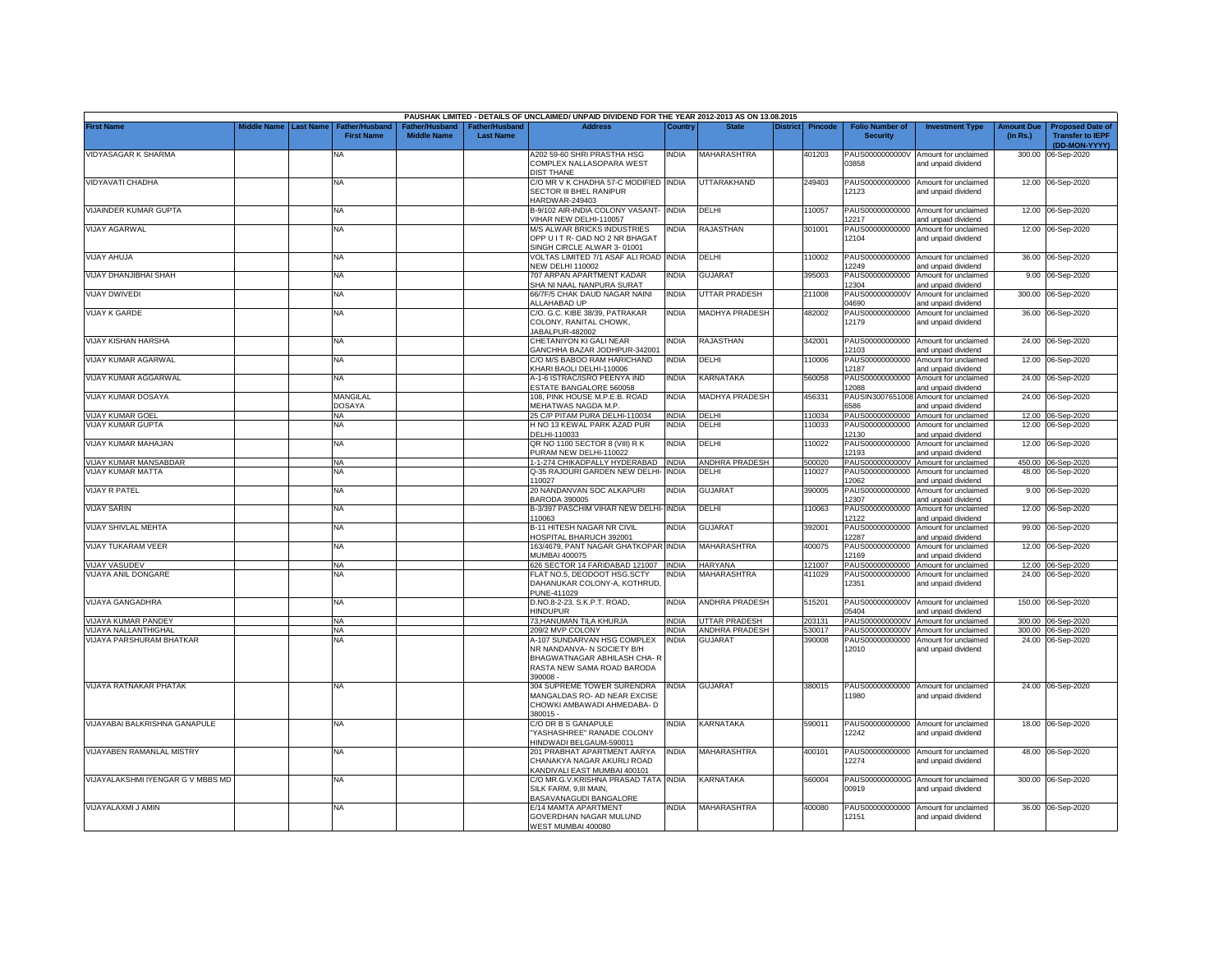|                                               |             |                  |                                            |                                      |                                   | PAUSHAK LIMITED - DETAILS OF UNCLAIMED/ UNPAID DIVIDEND FOR THE YEAR 2012-2013 AS ON 13.08.2015                                  |                              |                         |                 |                  |                                             |                                                                                     |                               |                                                    |
|-----------------------------------------------|-------------|------------------|--------------------------------------------|--------------------------------------|-----------------------------------|----------------------------------------------------------------------------------------------------------------------------------|------------------------------|-------------------------|-----------------|------------------|---------------------------------------------|-------------------------------------------------------------------------------------|-------------------------------|----------------------------------------------------|
| <b>First Name</b>                             | Middle Name | <b>Last Name</b> | <b>Father/Husband</b><br><b>First Name</b> | Father/Husband<br><b>Middle Name</b> | ather/Husband<br><b>Last Name</b> | <b>Address</b>                                                                                                                   | Country                      | <b>State</b>            | <b>District</b> | <b>Pincode</b>   | <b>Folio Number of</b><br><b>Security</b>   | <b>Investment Type</b>                                                              | <b>Amount Due</b><br>(in Rs.) | <b>Proposed Date of</b><br><b>Transfer to IEPF</b> |
| VIDYASAGAR K SHARMA                           |             |                  | <b>NA</b>                                  |                                      |                                   | A202 59-60 SHRI PRASTHA HSG<br>COMPLEX NALLASOPARA WEST                                                                          | <b>INDIA</b>                 | MAHARASHTRA             |                 | 401203           | PAUS0000000000V<br>03858                    | Amount for unclaimed<br>and unpaid dividend                                         | 300.00                        | (DD-MON-YYYY)<br>06-Sep-2020                       |
| VIDYAVATI CHADHA                              |             |                  | <b>NA</b>                                  |                                      |                                   | <b>DIST THANE</b><br>C/O MR V K CHADHA 57-C MODIFIED INDIA<br>SECTOR III BHEL RANIPUR                                            |                              | UTTARAKHAND             |                 | 249403           | 12123                                       | PAUS00000000000 Amount for unclaimed<br>and unpaid dividend                         |                               | 12.00 06-Sep-2020                                  |
| VIJAINDER KUMAR GUPTA                         |             |                  | <b>NA</b>                                  |                                      |                                   | HARDWAR-249403<br>B-9/102 AIR-INDIA COLONY VASANT- INDIA                                                                         |                              | DELHI                   |                 | 110057           |                                             | PAUS00000000000 Amount for unclaimed                                                |                               | 12.00 06-Sep-2020                                  |
| <b>VIJAY AGARWAL</b>                          |             |                  | NA                                         |                                      |                                   | VIHAR NEW DELHI-110057<br>M/S ALWAR BRICKS INDUSTRIES<br>OPP U I T R- OAD NO 2 NR BHAGAT                                         | <b>INDIA</b>                 | RAJASTHAN               |                 | 301001           | 12217<br>PAUS00000000000<br>12104           | and unpaid dividend<br>Amount for unclaimed<br>and unpaid dividend                  |                               | 12.00 06-Sep-2020                                  |
| <b>ALUHA YALIV</b>                            |             |                  | NA                                         |                                      |                                   | SINGH CIRCLE ALWAR 3-01001<br>VOLTAS LIMITED 7/1 ASAF ALI ROAD INDIA                                                             |                              | DELHI                   |                 | 110002           | PAUS00000000000                             | Amount for unclaimed                                                                |                               | 36.00 06-Sep-2020                                  |
| VIJAY DHANJIBHAI SHAH                         |             |                  | <b>NA</b>                                  |                                      |                                   | <b>NEW DELHI 110002</b><br>707 ARPAN APARTMENT KADAR                                                                             | <b>INDIA</b>                 | <b>GUJARAT</b>          |                 | 395003           | 12249<br>PAUS00000000000                    | ind unpaid dividend<br>Amount for unclaimed                                         | 9.00                          | 06-Sep-2020                                        |
| <b>VIJAY DWIVEDI</b>                          |             |                  | <b>NA</b>                                  |                                      |                                   | SHA NI NAAL NANPURA SURAT<br>66/7F/5 CHAK DAUD NAGAR NAINI                                                                       | <b>INDIA</b>                 | <b>UTTAR PRADESH</b>    |                 | 211008           | 12304<br>PAUS0000000000V                    | and unpaid dividend<br>Amount for unclaimed                                         |                               | 300.00 06-Sep-2020                                 |
| <b>VIJAY K GARDE</b>                          |             |                  | <b>NA</b>                                  |                                      |                                   | ALLAHABAD UP<br>C/O. G.C. KIBE 38/39, PATRAKAR<br>COLONY, RANITAL CHOWK,<br>JABALPUR-482002                                      | <b>INDIA</b>                 | <b>MADHYA PRADESH</b>   |                 | 482002           | 04690<br>PAUS00000000000<br>12179           | and unpaid dividend<br>Amount for unclaimed<br>and unpaid dividend                  |                               | 36.00 06-Sep-2020                                  |
| VIJAY KISHAN HARSHA                           |             |                  | NA                                         |                                      |                                   | CHETANIYON KI GALI NEAR<br>GANCHHA BAZAR JODHPUR-342001                                                                          | <b>INDIA</b>                 | RAJASTHAN               |                 | 342001           | PAUS00000000000<br>12103                    | Amount for unclaimed<br>and unpaid dividend                                         | 24.00                         | 06-Sep-2020                                        |
| VIJAY KUMAR AGARWAL                           |             |                  | <b>NA</b>                                  |                                      |                                   | C/O M/S BABOO RAM HARICHAND<br>KHARI BAOLI DELHI-110006                                                                          | INDIA                        | DELHI                   |                 | 110006           | PAUS00000000000<br>12187                    | Amount for unclaimed<br>and unpaid dividend                                         | 12.00                         | 06-Sep-2020                                        |
| VIJAY KUMAR AGGARWAL                          |             |                  | <b>NA</b>                                  |                                      |                                   | A-1-6 ISTRAC/ISRO PEENYA IND<br>ESTATE BANGALORE 560058                                                                          | <b>INDIA</b>                 | KARNATAKA               |                 | 560058           | 12088                                       | PAUS00000000000 Amount for unclaimed<br>and unpaid dividend                         | 24.00                         | 06-Sep-2020                                        |
| VIJAY KUMAR DOSAYA<br><b>VIJAY KUMAR GOEL</b> |             |                  | MANGILAL<br><b>DOSAYA</b><br><b>NA</b>     |                                      |                                   | 108. PINK HOUSE M.P.E.B. ROAD<br>MEHATWAS NAGDA M.P.<br>25 C/P PITAM PURA DELHI-110034                                           | <b>INDIA</b><br><b>INDIA</b> | MADHYA PRADESH<br>DELHI |                 | 456331<br>110034 | PAUSIN3007651008<br>3586<br>PAUS00000000000 | Amount for unclaimed<br>and unpaid dividend<br>Amount for unclaimed                 | 24.00                         | 06-Sep-2020<br>12.00 06-Sep-2020                   |
| VIJAY KUMAR GUPTA                             |             |                  | ΝA                                         |                                      |                                   | H NO 13 KEWAL PARK AZAD PUR<br>DELHI-110033                                                                                      | India                        | DELHI                   |                 | 10033            | PAUS00000000000<br>12130                    | Amount for unclaimed<br>and unpaid dividend                                         | 12.00                         | 06-Sep-2020                                        |
| VIJAY KUMAR MAHAJAN                           |             |                  | <b>NA</b>                                  |                                      |                                   | QR NO 1100 SECTOR 8 (VIII) R K<br>PURAM NEW DELHI-110022                                                                         | INDIA                        | DELHI                   |                 | 110022           | 12193                                       | PAUS00000000000 Amount for unclaimed<br>and unpaid dividend                         |                               | 12.00 06-Sep-2020                                  |
| VIJAY KUMAR MANSABDAR                         |             |                  | NA                                         |                                      |                                   | 1-1-274 CHIKADPALLY HYDERABAD  INDIA                                                                                             |                              | ANDHRA PRADESH          |                 | 500020           |                                             | PAUS0000000000V Amount for unclaimed                                                |                               | 450.00 06-Sep-2020                                 |
| VIJAY KUMAR MATTA                             |             |                  | <b>NA</b>                                  |                                      |                                   | Q-35 RAJOURI GARDEN NEW DELHI- INDIA<br>110027                                                                                   |                              | DELHI                   |                 | 110027           | 12062                                       | PAUS00000000000 Amount for unclaimed<br>and unpaid dividend                         |                               | 48.00 06-Sep-2020                                  |
| <b>VIJAY R PATEL</b>                          |             |                  | <b>NA</b>                                  |                                      |                                   | 20 NANDANVAN SOC ALKAPURI<br>BARODA 390005                                                                                       | <b>INDIA</b>                 | <b>GUJARAT</b>          |                 | 390005           | 12307                                       | PAUS00000000000 Amount for unclaimed<br>and unpaid dividend                         |                               | 9.00 06-Sep-2020                                   |
| <b>VIJAY SARIN</b><br>VIJAY SHIVLAL MEHTA     |             |                  | <b>NA</b><br><b>NA</b>                     |                                      |                                   | B-3/397 PASCHIM VIHAR NEW DELHI-<br>110063                                                                                       | <b>INDIA</b><br><b>INDIA</b> | DELHI<br>GUJARAT        |                 | 110063<br>392001 | PAUS00000000000<br>12122                    | Amount for unclaimed<br>and unpaid dividend<br>PAUS00000000000 Amount for unclaimed |                               | 12.00 06-Sep-2020                                  |
| VIJAY TUKARAM VEER                            |             |                  | <b>NA</b>                                  |                                      |                                   | B-11 HITESH NAGAR NR CIVIL<br>HOSPITAL BHARUCH 392001<br>163/4679, PANT NAGAR GHATKOPAR INDIA                                    |                              | <b>MAHARASHTRA</b>      |                 | 400075           | 12287<br>PAUS00000000000                    | and unpaid dividend<br>Amount for unclaimed                                         |                               | 99.00 06-Sep-2020<br>12.00 06-Sep-2020             |
| <b>VIJAY VASUDEV</b>                          |             |                  | <b>NA</b>                                  |                                      |                                   | MUMBAI 400075<br>626 SECTOR 14 FARIDABAD 121007                                                                                  | <b>INDIA</b>                 | <b>HARYANA</b>          |                 | 121007           | 12169                                       | and unpaid dividend<br>PAUS00000000000 Amount for unclaimed                         |                               | 12.00 06-Sep-2020                                  |
| VIJAYA ANIL DONGARE                           |             |                  | NA                                         |                                      |                                   | FLAT NO.5, DEODOOT HSG.SCTY<br>DAHANUKAR COLONY-A, KOTHRUD,<br>PUNE-411029                                                       | NDIA                         | <b>MAHARASHTRA</b>      |                 | 411029           | PAUS00000000000<br>12351                    | Amount for unclaimed<br>and unpaid dividend                                         |                               | 24.00 06-Sep-2020                                  |
| VIJAYA GANGADHRA                              |             |                  | <b>NA</b>                                  |                                      |                                   | D.NO.8-2-23, S.K.P.T. ROAD,<br>HINDUPUR                                                                                          | <b>INDIA</b>                 | <b>ANDHRA PRADESH</b>   |                 | 515201           | 15404                                       | PAUS0000000000V Amount for unclaimed<br>and unpaid dividend                         |                               | 150.00 06-Sep-2020                                 |
| VIJAYA KUMAR PANDEY                           |             |                  | <b>NA</b>                                  |                                      |                                   | 73, HANUMAN TILA KHURJA                                                                                                          | <b>INDIA</b>                 | <b>UTTAR PRADESH</b>    |                 | 203131           | PAUS0000000000V                             | Amount for unclaimed                                                                |                               | 300.00 06-Sep-2020                                 |
| VIJAYA NALLANTHIGHAL                          |             |                  | <b>NA</b>                                  |                                      |                                   | 209/2 MVP COLONY                                                                                                                 | <b>INDIA</b>                 | ANDHRA PRADESH          |                 | 530017           | PAUS0000000000V                             | Amount for unclaimed                                                                |                               | 300.00 06-Sep-2020                                 |
| <b>VIJAYA PARSHURAM BHATKAR</b>               |             |                  | <b>NA</b>                                  |                                      |                                   | A-107 SUNDARVAN HSG COMPLEX<br>NR NANDANVA- N SOCIETY B/H<br>BHAGWATNAGAR ABHILASH CHA-R<br>RASTA NEW SAMA ROAD BARODA<br>390008 | <b>INDIA</b>                 | <b>GUJARAT</b>          |                 | 390008           | PAUS00000000000<br>12010                    | Amount for unclaimed<br>and unpaid dividend                                         |                               | 24.00 06-Sep-2020                                  |
| VIJAYA RATNAKAR PHATAK                        |             |                  | <b>NA</b>                                  |                                      |                                   | 304 SUPREME TOWER SURENDRA<br>MANGALDAS RO- AD NEAR EXCISE<br>CHOWKI AMBAWADI AHMEDABA- D<br>380015 -                            | <b>INDIA</b>                 | <b>GUJARAT</b>          |                 | 380015           | 11980                                       | PAUS00000000000 Amount for unclaimed<br>and unpaid dividend                         |                               | 24.00 06-Sep-2020                                  |
| VIJAYABAI BALKRISHNA GANAPULE                 |             |                  | NA                                         |                                      |                                   | C/O DR B S GANAPULE<br>YASHASHREE" RANADE COLONY<br>HINDWADI BELGAUM-590011                                                      | <b>INDIA</b>                 | KARNATAKA               |                 | 590011           | 12242                                       | PAUS00000000000 Amount for unclaimed<br>and unpaid dividend                         |                               | 18.00 06-Sep-2020                                  |
| <b>VIJAYABEN RAMANLAL MISTRY</b>              |             |                  | NA                                         |                                      |                                   | 201 PRABHAT APARTMENT AARYA<br>CHANAKYA NAGAR AKURLI ROAD<br>KANDIVALI EAST MUMBAI 400101                                        | <b>INDIA</b>                 | MAHARASHTRA             |                 | 400101           | 12274                                       | PAUS00000000000 Amount for unclaimed<br>and unpaid dividend                         |                               | 48.00 06-Sep-2020                                  |
| VIJAYALAKSHMI IYENGAR G V MBBS MD             |             |                  | <b>NA</b>                                  |                                      |                                   | C/O MR.G.V.KRISHNA PRASAD TATA INDIA<br>SILK FARM, 9,III MAIN,<br>BASAVANAGUDI BANGALORE                                         |                              | KARNATAKA               |                 | 560004           | 00919                                       | PAUS0000000000G Amount for unclaimed<br>and unpaid dividend                         |                               | 300.00 06-Sep-2020                                 |
| VIJAYALAXMI J AMIN                            |             |                  | <b>NA</b>                                  |                                      |                                   | E/14 MAMTA APARTMENT<br>GOVERDHAN NAGAR MULUND<br>WEST MUMBAI 400080                                                             | <b>INDIA</b>                 | MAHARASHTRA             |                 | 400080           | PAUS00000000000<br>12151                    | Amount for unclaimed<br>and unpaid dividend                                         |                               | 36.00 06-Sep-2020                                  |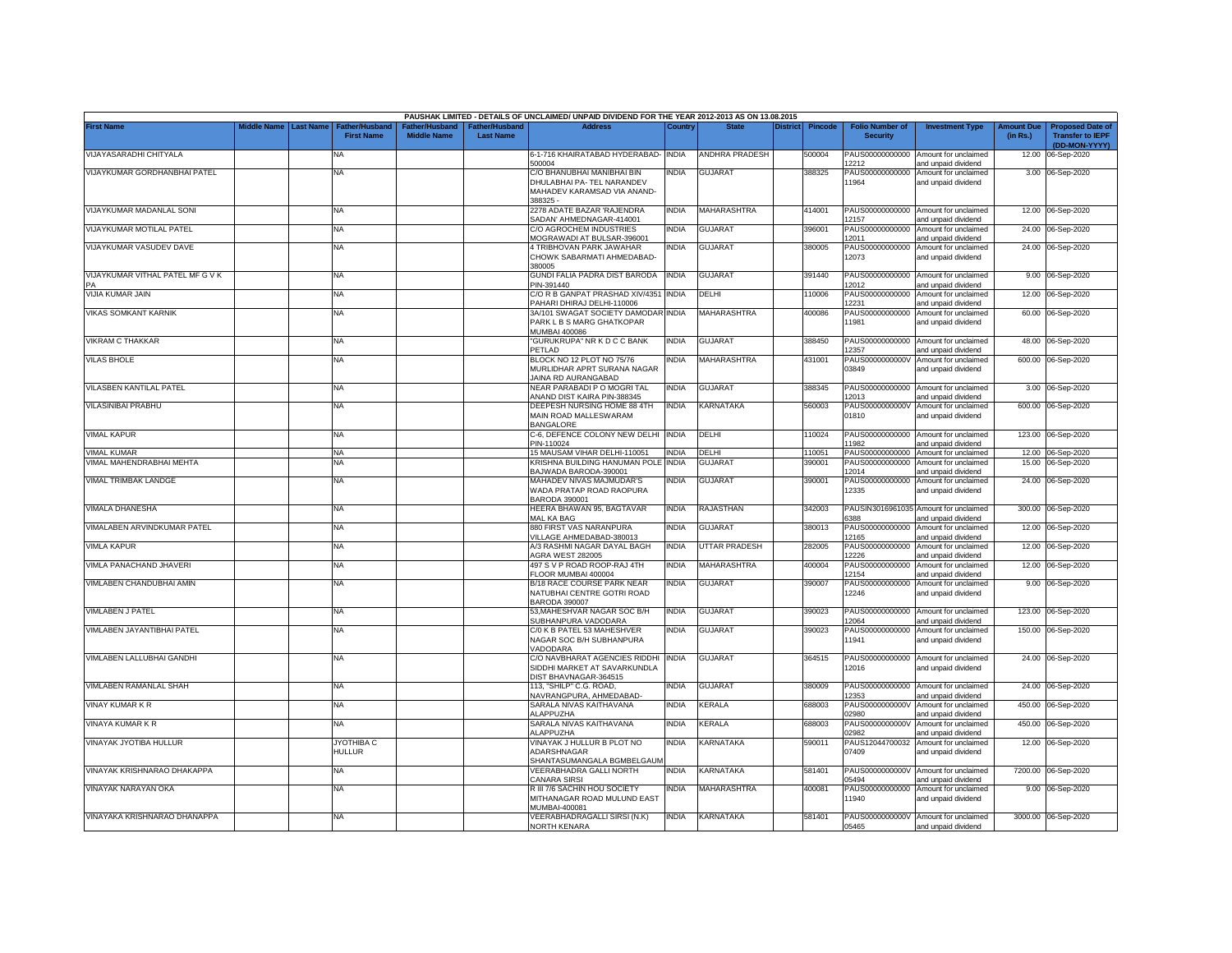|                                                |                    |                  |                                            |                                     |                                    | PAUSHAK LIMITED - DETAILS OF UNCLAIMED/ UNPAID DIVIDEND FOR THE YEAR 2012-2013 AS ON 13.08.2015     |              |                                |                 |                  |                                           |                                                                              |                               |                                                                     |
|------------------------------------------------|--------------------|------------------|--------------------------------------------|-------------------------------------|------------------------------------|-----------------------------------------------------------------------------------------------------|--------------|--------------------------------|-----------------|------------------|-------------------------------------------|------------------------------------------------------------------------------|-------------------------------|---------------------------------------------------------------------|
| <b>First Name</b>                              | <b>Middle Name</b> | <b>Last Name</b> | <b>Father/Husband</b><br><b>First Name</b> | ather/Husband<br><b>Middle Name</b> | Father/Husband<br><b>Last Name</b> | <b>Address</b>                                                                                      | Country      | <b>State</b>                   | <b>District</b> | <b>Pincode</b>   | <b>Folio Number of</b><br><b>Security</b> | <b>Investment Type</b>                                                       | <b>Amount Due</b><br>(in Rs.) | <b>Proposed Date of</b><br><b>Transfer to IEPF</b><br>(DD-MON-YYYY) |
| VIJAYASARADHI CHITYALA                         |                    |                  | NA                                         |                                     |                                    | 6-1-716 KHAIRATABAD HYDERABAD- INDIA<br>500004                                                      |              | <b>ANDHRA PRADESH</b>          |                 | 500004           | 12212                                     | PAUS00000000000 Amount for unclaimed<br>and unpaid dividend                  |                               | 12.00 06-Sep-2020                                                   |
| VIJAYKUMAR GORDHANBHAI PATEL                   |                    |                  | NA                                         |                                     |                                    | C/O BHANUBHAI MANIBHAI BIN<br>DHULABHAI PA- TEL NARANDEV<br>MAHADEV KARAMSAD VIA ANAND-<br>388325 - | India        | GUJARAT                        |                 | 388325           | PAUS00000000000<br>11964                  | Amount for unclaimed<br>and unpaid dividend                                  |                               | 3.00 06-Sep-2020                                                    |
| VIJAYKUMAR MADANLAL SONI                       |                    |                  | NA                                         |                                     |                                    | 2278 ADATE BAZAR 'RAJENDRA<br>SADAN' AHMEDNAGAR-414001                                              | <b>INDIA</b> | <b>MAHARASHTRA</b>             |                 | 414001           | 12157                                     | PAUS00000000000 Amount for unclaimed<br>and unpaid dividend                  |                               | 12.00 06-Sep-2020                                                   |
| VIJAYKUMAR MOTILAL PATEL                       |                    |                  | NA                                         |                                     |                                    | C/O AGROCHEM INDUSTRIES<br>MOGRAWADI AT BULSAR-396001                                               | India        | <b>GUJARAT</b>                 |                 | 396001           | 12011                                     | PAUS00000000000 Amount for unclaimed<br>and unpaid dividend                  |                               | 24.00 06-Sep-2020                                                   |
| VIJAYKUMAR VASUDEV DAVE                        |                    |                  | NA                                         |                                     |                                    | 4 TRIBHOVAN PARK JAWAHAR<br>CHOWK SABARMATI AHMEDABAD-<br>380005                                    | NDIA         | <b>GUJARA1</b>                 |                 | 380005           | PAUS00000000000<br>12073                  | Amount for unclaimed<br>and unpaid dividend                                  |                               | 24.00 06-Sep-2020                                                   |
| VIJAYKUMAR VITHAL PATEL MF G V K               |                    |                  | NA                                         |                                     |                                    | GUNDI FALIA PADRA DIST BARODA<br>PIN-391440                                                         | <b>INDIA</b> | <b>GUJARAT</b>                 |                 | 391440           | 2012                                      | PAUS00000000000 Amount for unclaimed<br>nd unpaid dividend                   |                               | 9.00 06-Sep-2020                                                    |
| VIJIA KUMAR JAIN                               |                    |                  | <b>NA</b>                                  |                                     |                                    | C/O R B GANPAT PRASHAD XIV/4351 INDIA<br>PAHARI DHIRAJ DELHI-110006                                 |              | DELHI                          |                 | 110006           | PAUS00000000000<br>12231                  | Amount for unclaimed<br>and unpaid dividend                                  |                               | 12.00 06-Sep-2020                                                   |
| <b>VIKAS SOMKANT KARNIK</b>                    |                    |                  | NA                                         |                                     |                                    | 3A/101 SWAGAT SOCIETY DAMODAR INDIA<br>PARK L B S MARG GHATKOPAR<br><b>MUMBAI 400086</b>            |              | <b>MAHARASHTRA</b>             |                 | 400086           | PAUS00000000000<br>11981                  | Amount for unclaimed<br>and unpaid dividend                                  |                               | 60.00 06-Sep-2020                                                   |
| <b>/IKRAM C THAKKAR</b>                        |                    |                  | NA                                         |                                     |                                    | 'GURUKRUPA" NR K D C C BANK<br>PETLAD                                                               | <b>INDIA</b> | <b>GUJARAT</b>                 |                 | 388450           | PAUS00000000000<br>12357                  | Amount for unclaimed<br>and unpaid dividend                                  | 48.00                         | 06-Sep-2020                                                         |
| <b>VILAS BHOLE</b>                             |                    |                  | NΑ                                         |                                     |                                    | BLOCK NO 12 PLOT NO 75/76<br>MURLIDHAR APRT SURANA NAGAR<br>JAINA RD AURANGABAD                     | NDIA         | MAHARASHTRA                    |                 | 431001           | PAUS0000000000V<br>03849                  | Amount for unclaimed<br>and unpaid dividend                                  | 600.00                        | 06-Sep-2020                                                         |
| <b>/ILASBEN KANTILAL PATEL</b>                 |                    |                  | NA                                         |                                     |                                    | NEAR PARABADI PO MOGRI TAL<br>ANAND DIST KAIRA PIN-388345                                           | <b>INDIA</b> | GUJARAT                        |                 | 388345           | 12013                                     | PAUS00000000000 Amount for unclaimed<br>and unpaid dividend                  |                               | 3.00 06-Sep-2020                                                    |
| VILASINIBAI PRABHU                             |                    |                  | NA.                                        |                                     |                                    | DEEPESH NURSING HOME 88 4TH<br>MAIN ROAD MALLESWARAM<br><b>BANGALORE</b>                            | India        | <b>KARNATAKA</b>               |                 | 560003           | PAUS0000000000V<br>01810                  | Amount for unclaimed<br>and unpaid dividend                                  |                               | 600.00 06-Sep-2020                                                  |
| <b>/IMAL KAPUR</b>                             |                    |                  | ΝA                                         |                                     |                                    | C-6, DEFENCE COLONY NEW DELHI INDIA<br>PIN-110024                                                   |              | DELHI                          |                 | 110024           | 1982                                      | PAUS00000000000 Amount for unclaimed<br>and unpaid dividend                  |                               | 123.00 06-Sep-2020                                                  |
| <b>/IMAL KUMAR</b><br>/IMAL MAHENDRABHAI MEHTA |                    |                  | NA<br><b>NA</b>                            |                                     |                                    | 15 MAUSAM VIHAR DELHI-110051<br>KRISHNA BUILDING HANUMAN POLE INDIA                                 | INDIA        | <b>DELHI</b><br><b>GUJARA1</b> |                 | 110051<br>390001 |                                           | PAUS00000000000 Amount for unclaimed<br>PAUS00000000000 Amount for unclaimed |                               | 12.00 06-Sep-2020<br>15.00 06-Sep-2020                              |
|                                                |                    |                  |                                            |                                     |                                    | BAJWADA BARODA-390001                                                                               |              |                                |                 |                  | 12014                                     | and unpaid dividend                                                          |                               |                                                                     |
| <b>VIMAL TRIMBAK LANDGE</b>                    |                    |                  | NA                                         |                                     |                                    | MAHADEV NIVAS MAJMUDAR'S<br>WADA PRATAP ROAD RAOPURA<br>BARODA 390001                               | India        | <b>GUJARAT</b>                 |                 | 390001           | 12335                                     | PAUS00000000000 Amount for unclaimed<br>and unpaid dividend                  |                               | 24.00 06-Sep-2020                                                   |
| <b>/IMALA DHANESHA</b>                         |                    |                  | NA.                                        |                                     |                                    | HEERA BHAWAN 95, BAGTAVAR<br><b>MAL KA BAG</b>                                                      | INDIA        | RAJASTHAN                      |                 | 342003           | 388                                       | PAUSIN3016961035 Amount for unclaimed<br>and unpaid dividend                 |                               | 300.00 06-Sep-2020                                                  |
| VIMALABEN ARVINDKUMAR PATEL                    |                    |                  | <b>NA</b>                                  |                                     |                                    | 880 FIRST VAS NARANPURA<br>VILLAGE AHMEDABAD-380013                                                 | <b>INDIA</b> | <b>GUJARAT</b>                 |                 | 380013           | PAUS00000000000<br>12165                  | Amount for unclaimed<br>and unpaid dividend                                  |                               | 12.00 06-Sep-2020                                                   |
| <b>VIMLA KAPUR</b>                             |                    |                  | NA                                         |                                     |                                    | A/3 RASHMI NAGAR DAYAL BAGH<br>GRA WEST 282005                                                      | <b>INDIA</b> | <b>UTTAR PRADESH</b>           |                 | 282005           | PAUS00000000000<br>12226                  | Amount for unclaimed<br>and unpaid dividend                                  |                               | 12.00 06-Sep-2020                                                   |
| <b>VIMLA PANACHAND JHAVERI</b>                 |                    |                  | NA                                         |                                     |                                    | 497 S V P ROAD ROOP-RAJ 4TH<br>FLOOR MUMBAI 400004                                                  | <b>INDIA</b> | MAHARASHTRA                    |                 | 400004           | PAUS00000000000<br>12154                  | Amount for unclaimed<br>and unpaid dividend                                  |                               | 12.00 06-Sep-2020                                                   |
| VIMLABEN CHANDUBHAI AMIN                       |                    |                  | NA.                                        |                                     |                                    | <b>B/18 RACE COURSE PARK NEAR</b><br><b>NATUBHAI CENTRE GOTRI ROAD</b><br>BARODA 390007             | <b>NDIA</b>  | <b>GUJARAT</b>                 |                 | 390007           | PAUS00000000000<br>12246                  | Amount for unclaimed<br>and unpaid dividend                                  |                               | 9.00 06-Sep-2020                                                    |
| <b>VIMLABEN J PATEL</b>                        |                    |                  | <b>NA</b>                                  |                                     |                                    | 53, MAHESHVAR NAGAR SOC B/H<br>SUBHANPURA VADODARA                                                  | INDIA        | <b>GUJARAT</b>                 |                 | 390023           | 12064                                     | PAUS00000000000 Amount for unclaimed<br>and unpaid dividend                  |                               | 123.00 06-Sep-2020                                                  |
| VIMLABEN JAYANTIBHAI PATEL                     |                    |                  | NA                                         |                                     |                                    | C/0 K B PATEL 53 MAHESHVER<br>NAGAR SOC B/H SUBHANPURA<br>VADODARA                                  | NDIA         | <b>GUJARAT</b>                 |                 | 390023           | PAUS00000000000<br>11941                  | Amount for unclaimed<br>and unpaid dividend                                  |                               | 150.00 06-Sep-2020                                                  |
| VIMLABEN LALLUBHAI GANDHI                      |                    |                  | NA                                         |                                     |                                    | C/O NAVBHARAT AGENCIES RIDDHI INDIA<br>SIDDHI MARKET AT SAVARKUNDLA<br>DIST BHAVNAGAR-364515        |              | <b>GUJARAT</b>                 |                 | 364515           | 12016                                     | PAUS00000000000 Amount for unclaimed<br>and unpaid dividend                  |                               | 24.00 06-Sep-2020                                                   |
| <b>/IMLABEN RAMANLAL SHAH</b>                  |                    |                  | NA                                         |                                     |                                    | 113, "SHILP" C.G. ROAD,<br>NAVRANGPURA, AHMEDABAD-                                                  | <b>INDIA</b> | <b>GUJARAT</b>                 |                 | 380009           | 12353                                     | PAUS00000000000 Amount for unclaimed<br>and unpaid dividend                  |                               | 24.00 06-Sep-2020                                                   |
| VINAY KUMAR K R                                |                    |                  | NA                                         |                                     |                                    | SARALA NIVAS KAITHAVANA<br>ALAPPUZHA                                                                | <b>INDIA</b> | KERALA                         |                 | 688003           | PAUS0000000000V<br>02980                  | Amount for unclaimed<br>and unpaid dividend                                  | 450.00                        | 06-Sep-2020                                                         |
| VINAYA KUMAR K R                               |                    |                  | <b>NA</b>                                  |                                     |                                    | SARALA NIVAS KAITHAVANA<br><b>LAPPUZHA</b>                                                          | INDIA        | <b>CERALA</b>                  |                 | 688003           | PAUS0000000000V<br>02982                  | Amount for unclaimed<br>and unpaid dividend                                  | 450.00                        | 06-Sep-2020                                                         |
| VINAYAK JYOTIBA HULLUR                         |                    |                  | JYOTHIBA C<br><b>HULLUR</b>                |                                     |                                    | VINAYAK J HULLUR B PLOT NO<br>ADARSHNAGAR<br>SHANTASUMANGALA BGMBELGAUM                             | INDIA        | <b>KARNATAKA</b>               |                 | 590011           | PAUS12044700032<br>07409                  | Amount for unclaimed<br>and unpaid dividend                                  |                               | 12.00 06-Sep-2020                                                   |
| /INAYAK KRISHNARAO DHAKAPPA                    |                    |                  | NA                                         |                                     |                                    | VEERABHADRA GALLI NORTH<br>CANARA SIRSI                                                             | NDIA         | KARNATAKA                      |                 | 581401           | 05494                                     | PAUS0000000000V Amount for unclaimed<br>and unpaid dividend                  |                               | 7200.00 06-Sep-2020                                                 |
| VINAYAK NARAYAN OKA                            |                    |                  | <b>NA</b>                                  |                                     |                                    | R III 7/6 SACHIN HOU SOCIETY<br>MITHANAGAR ROAD MULUND EAST<br>MUMBAI-400081                        | NDIA         | <b>MAHARASHTRA</b>             |                 | 400081           | 11940                                     | PAUS00000000000 Amount for unclaimed<br>and unpaid dividend                  |                               | 9.00 06-Sep-2020                                                    |
| VINAYAKA KRISHNARAO DHANAPPA                   |                    |                  | NA                                         |                                     |                                    | VEERABHADRAGALLI SIRSI (N.K)<br><b>NORTH KENARA</b>                                                 | <b>INDIA</b> | <b>KARNATAKA</b>               |                 | 581401           | PAUS0000000000V<br>05465                  | Amount for unclaimed<br>and unpaid dividend                                  |                               | 3000.00 06-Sep-2020                                                 |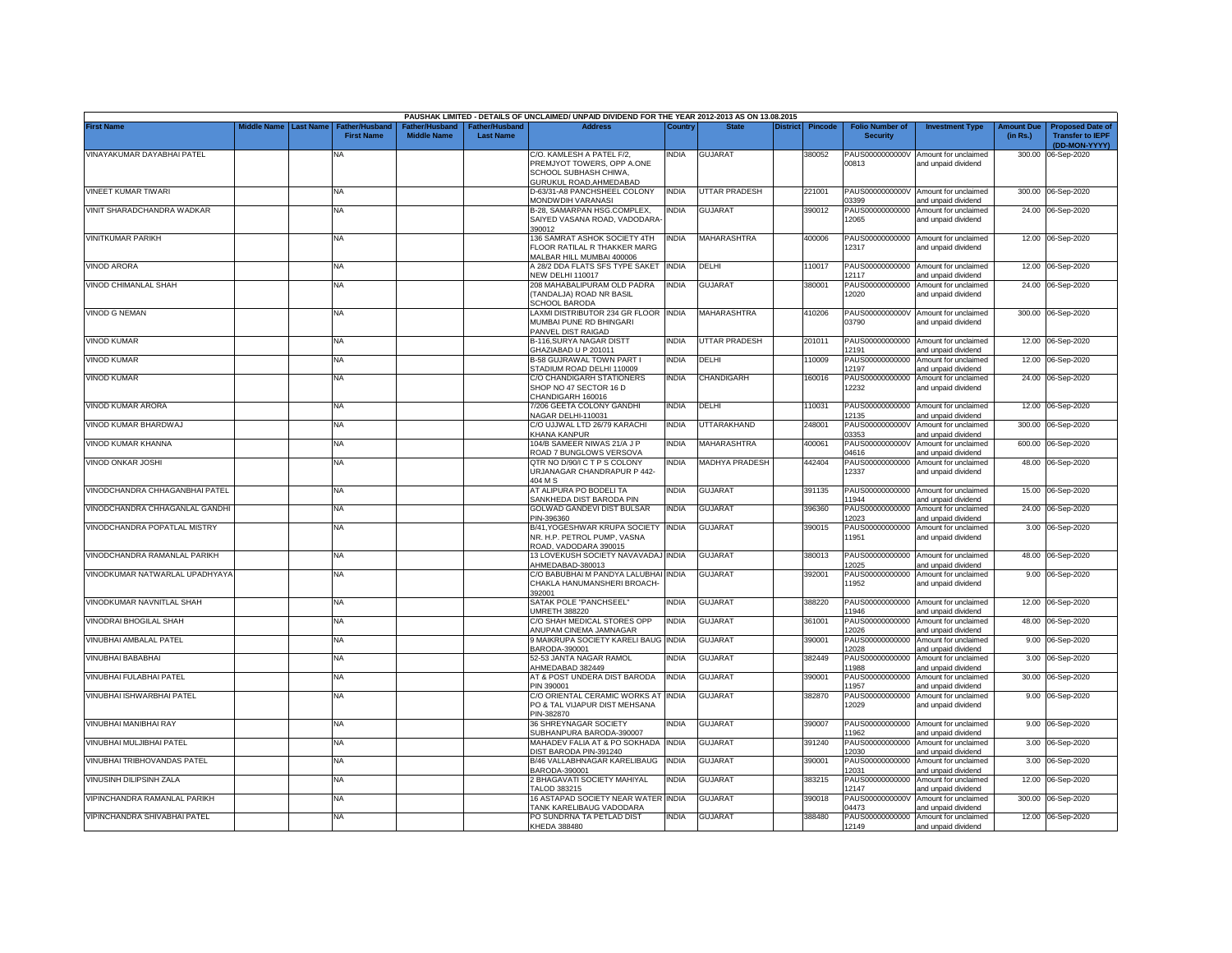|                                |             |                  |                                            |                                                  |                                   | PAUSHAK LIMITED - DETAILS OF UNCLAIMED/ UNPAID DIVIDEND FOR THE YEAR 2012-2013 AS ON 13.08.2015                     |              |                      |                 |                |                                           |                                                             |                               |                                                                     |
|--------------------------------|-------------|------------------|--------------------------------------------|--------------------------------------------------|-----------------------------------|---------------------------------------------------------------------------------------------------------------------|--------------|----------------------|-----------------|----------------|-------------------------------------------|-------------------------------------------------------------|-------------------------------|---------------------------------------------------------------------|
| <b>First Name</b>              | Middle Name | <b>Last Name</b> | <b>Father/Husband</b><br><b>First Name</b> | ather/Husband <sup>:</sup><br><b>Middle Name</b> | ather/Husband<br><b>Last Name</b> | <b>Address</b>                                                                                                      | Country      | <b>State</b>         | <b>District</b> | <b>Pincode</b> | <b>Folio Number of</b><br><b>Security</b> | <b>Investment Type</b>                                      | <b>Amount Due</b><br>(in Rs.) | <b>Proposed Date of</b><br><b>Transfer to IEPF</b><br>(DD-MON-YYYY) |
| VINAYAKUMAR DAYABHAI PATEL     |             |                  | ΝA                                         |                                                  |                                   | C/O. KAMLESH A PATEL F/2,<br>PREMJYOT TOWERS, OPP A, ONE<br>SCHOOL SUBHASH CHIWA,<br><b>GURUKUL ROAD, AHMEDABAD</b> | india        | <b>GUJARAT</b>       |                 | 380052         | PAUS0000000000V<br>00813                  | Amount for unclaimed<br>and unpaid dividend                 |                               | 300.00 06-Sep-2020                                                  |
| VINEET KUMAR TIWARI            |             |                  | <b>NA</b>                                  |                                                  |                                   | D-63/31-A8 PANCHSHEEL COLONY<br>MONDWDIH VARANASI                                                                   | <b>INDIA</b> | <b>UTTAR PRADESH</b> |                 | 221001         | 03399                                     | PAUS0000000000V Amount for unclaimed<br>and unpaid dividend |                               | 300.00 06-Sep-2020                                                  |
| VINIT SHARADCHANDRA WADKAR     |             |                  | <b>NA</b>                                  |                                                  |                                   | B-28, SAMARPAN HSG.COMPLEX,<br>SAIYED VASANA ROAD, VADODARA-<br>390012                                              | NDIA         | <b>GUJARAT</b>       |                 | 390012         | PAUS00000000000<br>12065                  | Amount for unclaimed<br>and unpaid dividend                 |                               | 24.00 06-Sep-2020                                                   |
| <b>VINITKUMAR PARIKH</b>       |             |                  | <b>NA</b>                                  |                                                  |                                   | 136 SAMRAT ASHOK SOCIETY 4TH<br><b>LOOR RATILAL R THAKKER MARG</b><br>MALBAR HILL MUMBAI 400006                     | INDIA        | MAHARASHTRA          |                 | 400006         | PAUS00000000000<br>12317                  | Amount for unclaimed<br>and unpaid dividend                 |                               | 12.00 06-Sep-2020                                                   |
| <b>VINOD ARORA</b>             |             |                  | <b>NA</b>                                  |                                                  |                                   | A 28/2 DDA FLATS SFS TYPE SAKET<br><b>VEW DELHI 110017</b>                                                          | <b>INDIA</b> | DELHI                |                 | 110017         | 12117                                     | PAUS00000000000 Amount for unclaimed<br>and unpaid dividend |                               | 12.00 06-Sep-2020                                                   |
| VINOD CHIMANLAL SHAH           |             |                  | <b>NA</b>                                  |                                                  |                                   | 208 MAHABALIPURAM OLD PADRA<br>(TANDALJA) ROAD NR BASIL<br><b>SCHOOL BARODA</b>                                     | INDIA        | <b>GUJARAT</b>       |                 | 380001         | PAUS00000000000<br>12020                  | Amount for unclaimed<br>and unpaid dividend                 |                               | 24.00 06-Sep-2020                                                   |
| <b>VINOD G NEMAN</b>           |             |                  | <b>NA</b>                                  |                                                  |                                   | LAXMI DISTRIBUTOR 234 GR FLOOR INDIA<br>MUMBAI PUNE RD BHINGARI<br>PANVEL DIST RAIGAD                               |              | MAHARASHTRA          |                 | 410206         | PAUS0000000000V<br>03790                  | Amount for unclaimed<br>and unpaid dividend                 |                               | 300.00 06-Sep-2020                                                  |
| VINOD KUMAR                    |             |                  | <b>NA</b>                                  |                                                  |                                   | <b>B-116.SURYA NAGAR DISTT</b><br>GHAZIABAD U P 201011                                                              | INDIA        | UTTAR PRADESH        |                 | 201011         | PAUS00000000000<br>12191                  | Amount for unclaimed<br>and unpaid dividend                 |                               | 12.00 06-Sep-2020                                                   |
| <b>VINOD KUMAR</b>             |             |                  | <b>NA</b>                                  |                                                  |                                   | <b>B-58 GUJRAWAL TOWN PART I</b><br>STADIUM ROAD DELHI 110009                                                       | INDIA        | DELHI                |                 | 110009         | PAUS00000000000<br>12197                  | Amount for unclaimed<br>and unpaid dividend                 | 12.00                         | 06-Sep-2020                                                         |
| <b>VINOD KUMAR</b>             |             |                  | <b>NA</b>                                  |                                                  |                                   | C/O CHANDIGARH STATIONERS<br>SHOP NO 47 SECTOR 16 D<br>CHANDIGARH 160016                                            | INDIA        | CHANDIGARH           |                 | 160016         | PAUS00000000000<br>12232                  | Amount for unclaimed<br>and unpaid dividend                 |                               | 24.00 06-Sep-2020                                                   |
| VINOD KUMAR ARORA              |             |                  | NA                                         |                                                  |                                   | 7/206 GEETA COLONY GANDHI<br>VAGAR DELHI-110031                                                                     | india        | DELHI                |                 | 10031          | PAUS00000000000<br>12135                  | Amount for unclaimed<br>and unpaid dividend                 | 12.00                         | 06-Sep-2020                                                         |
| VINOD KUMAR BHARDWAJ           |             |                  | NA                                         |                                                  |                                   | C/O UJJWAL LTD 26/79 KARACHI<br>KHANA KANPUR                                                                        | India        | UTTARAKHAND          |                 | 248001         | PAUS0000000000V<br>03353                  | Amount for unclaimed<br>and unpaid dividend                 | 300.00                        | 06-Sep-2020                                                         |
| VINOD KUMAR KHANNA             |             |                  | <b>NA</b>                                  |                                                  |                                   | 104/B SAMEER NIWAS 21/A J P<br>ROAD 7 BUNGLOWS VERSOVA                                                              | INDIA        | MAHARASHTRA          |                 | 400061         | PAUS0000000000V<br>04616                  | Amount for unclaimed<br>and unpaid dividend                 | 600.00                        | 06-Sep-2020                                                         |
| VINOD ONKAR JOSHI              |             |                  | <b>NA</b>                                  |                                                  |                                   | QTR NO D/90/I C T P S COLONY<br>URJANAGAR CHANDRAPUR P 442-<br>404 M S                                              | india        | MADHYA PRADESH       |                 | 442404         | PAUS00000000000<br>12337                  | Amount for unclaimed<br>and unpaid dividend                 |                               | 48.00 06-Sep-2020                                                   |
| VINODCHANDRA CHHAGANBHAI PATEL |             |                  | NA                                         |                                                  |                                   | AT ALIPURA PO BODELI TA<br>SANKHEDA DIST BARODA PIN                                                                 | India        | <b>GUJARAT</b>       |                 | 391135         | PAUS00000000000<br>11944                  | Amount for unclaimed<br>and unpaid dividend                 |                               | 15.00 06-Sep-2020                                                   |
| VINODCHANDRA CHHAGANLAL GANDHI |             |                  | <b>NA</b>                                  |                                                  |                                   | GOLWAD GANDEVI DIST BULSAR<br>PIN-396360                                                                            | <b>INDIA</b> | <b>GUJARAT</b>       |                 | 396360         | PAUS00000000000<br>12023                  | Amount for unclaimed<br>and unpaid dividend                 |                               | 24.00 06-Sep-2020                                                   |
| VINODCHANDRA POPATLAL MISTRY   |             |                  | <b>NA</b>                                  |                                                  |                                   | B/41, YOGESHWAR KRUPA SOCIETY<br>NR. H.P. PETROL PUMP, VASNA<br>ROAD, VADODARA 390015                               | <b>INDIA</b> | <b>GUJARAT</b>       |                 | 390015         | PAUS00000000000<br>11951                  | Amount for unclaimed<br>and unpaid dividend                 |                               | 3.00 06-Sep-2020                                                    |
| VINODCHANDRA RAMANLAL PARIKH   |             |                  | NA                                         |                                                  |                                   | 13 LOVEKUSH SOCIETY NAVAVADAJ INDIA<br>HMEDABAD-380013                                                              |              | <b>GUJARAT</b>       |                 | 380013         | PAUS00000000000<br>12025                  | Amount for unclaimed<br>and unpaid dividend                 |                               | 48.00 06-Sep-2020                                                   |
| VINODKUMAR NATWARLAL UPADHYAYA |             |                  | ΝA                                         |                                                  |                                   | C/O BABUBHAI M PANDYA LALUBHAI<br>CHAKLA HANUMANSHERI BROACH-<br>392001                                             | INDIA        | <b>GUJARA</b>        |                 | 392001         | PAUS00000000000<br>11952                  | Amount for unclaimed<br>and unpaid dividend                 |                               | 9.00 06-Sep-2020                                                    |
| VINODKUMAR NAVNITLAL SHAH      |             |                  | NA                                         |                                                  |                                   | SATAK POLE "PANCHSEEL"<br>JMRETH 388220                                                                             | INDIA        | <b>GUJARAT</b>       |                 | 388220         | PAUS00000000000<br>11946                  | Amount for unclaimed<br>and unpaid dividend                 |                               | 12.00 06-Sep-2020                                                   |
| VINODRAI BHOGILAL SHAH         |             |                  | NA                                         |                                                  |                                   | C/O SHAH MEDICAL STORES OPP<br>ANUPAM CINEMA JAMNAGAR                                                               | INDIA        | <b>GUJARAT</b>       |                 | 361001         | PAUS00000000000<br>12026                  | Amount for unclaimed<br>and unpaid dividend                 | 48.00                         | 06-Sep-2020                                                         |
| VINUBHAI AMBALAL PATEL         |             |                  | <b>NA</b>                                  |                                                  |                                   | 9 MAIKRUPA SOCIETY KARELI BAUG INDIA<br>BARODA-390001                                                               |              | <b>GUJARAT</b>       |                 | 390001         | PAUS00000000000<br>12028                  | Amount for unclaimed<br>and unpaid dividend                 |                               | 9.00 06-Sep-2020                                                    |
| VINUBHAI BABABHAI              |             |                  | <b>NA</b>                                  |                                                  |                                   | 52-53 JANTA NAGAR RAMOL<br>AHMEDABAD 382449                                                                         | <b>INDIA</b> | <b>GUJARAT</b>       |                 | 382449         | PAUS00000000000<br>11988                  | Amount for unclaimed<br>and unpaid dividend                 | 3.00                          | 06-Sep-2020                                                         |
| VINUBHAI FULABHAI PATEL        |             |                  | <b>NA</b>                                  |                                                  |                                   | AT & POST UNDERA DIST BARODA<br>PIN 390001                                                                          | INDIA        | GUJARAT              |                 | 390001         | PAUS00000000000<br>11957                  | Amount for unclaimed<br>and unpaid dividend                 | 30.00                         | 06-Sep-2020                                                         |
| VINUBHAI ISHWARBHAI PATEL      |             |                  | <b>NA</b>                                  |                                                  |                                   | C/O ORIENTAL CERAMIC WORKS AT<br>PO & TAL VIJAPUR DIST MEHSANA<br>PIN-382870                                        | INDIA        | <b>GUJARAT</b>       |                 | 382870         | PAUS00000000000<br>12029                  | Amount for unclaimed<br>and unpaid dividend                 |                               | 9.00 06-Sep-2020                                                    |
| VINUBHAI MANIBHAI RAY          |             |                  | NA                                         |                                                  |                                   | 36 SHREYNAGAR SOCIETY<br>SUBHANPURA BARODA-390007                                                                   | india        | <b>GUJARAT</b>       |                 | 390007         | PAUS00000000000<br>11962                  | Amount for unclaimed<br>and unpaid dividend                 |                               | 9.00 06-Sep-2020                                                    |
| VINUBHAI MULJIBHAI PATEL       |             |                  | <b>NA</b>                                  |                                                  |                                   | MAHADEV FALIA AT & PO SOKHADA<br><b>DIST BARODA PIN-391240</b>                                                      | INDIA        | GUJARAT              |                 | 391240         | PAUS00000000000<br>12030                  | Amount for unclaimed<br>and unpaid dividend                 |                               | 3.00 06-Sep-2020                                                    |
| VINUBHAI TRIBHOVANDAS PATEL    |             |                  | <b>NA</b>                                  |                                                  |                                   | B/46 VALLABHNAGAR KARELIBAUG<br>BARODA-390001                                                                       | India        | <b>GUJARAT</b>       |                 | 390001         | PAUS00000000000<br>12031                  | Amount for unclaimed<br>and unpaid dividend                 |                               | 3.00 06-Sep-2020                                                    |
| VINUSINH DILIPSINH ZALA        |             |                  | <b>NA</b>                                  |                                                  |                                   | 2 BHAGAVATI SOCIETY MAHIYAL<br>FALOD 383215                                                                         | NDIA         | <b>GUJARAT</b>       |                 | 383215         | PAUS00000000000<br>12147                  | Amount for unclaimed<br>and unpaid dividend                 |                               | 12.00 06-Sep-2020                                                   |
| VIPINCHANDRA RAMANLAL PARIKH   |             |                  | <b>NA</b>                                  |                                                  |                                   | 16 ASTAPAD SOCIETY NEAR WATER INDIA<br>TANK KARELIBAUG VADODARA                                                     |              | <b>GUJARAT</b>       |                 | 390018         | PAUS0000000000V<br>04473                  | Amount for unclaimed<br>and unpaid dividend                 |                               | 300.00 06-Sep-2020                                                  |
| VIPINCHANDRA SHIVABHAI PATEL   |             |                  | <b>NA</b>                                  |                                                  |                                   | PO SUNDRNA TA PETLAD DIST<br>KHEDA 388480                                                                           | india        | <b>GUJARAT</b>       |                 | 388480         | PAUS00000000000<br>12149                  | Amount for unclaimed<br>and unpaid dividend                 |                               | 12.00 06-Sep-2020                                                   |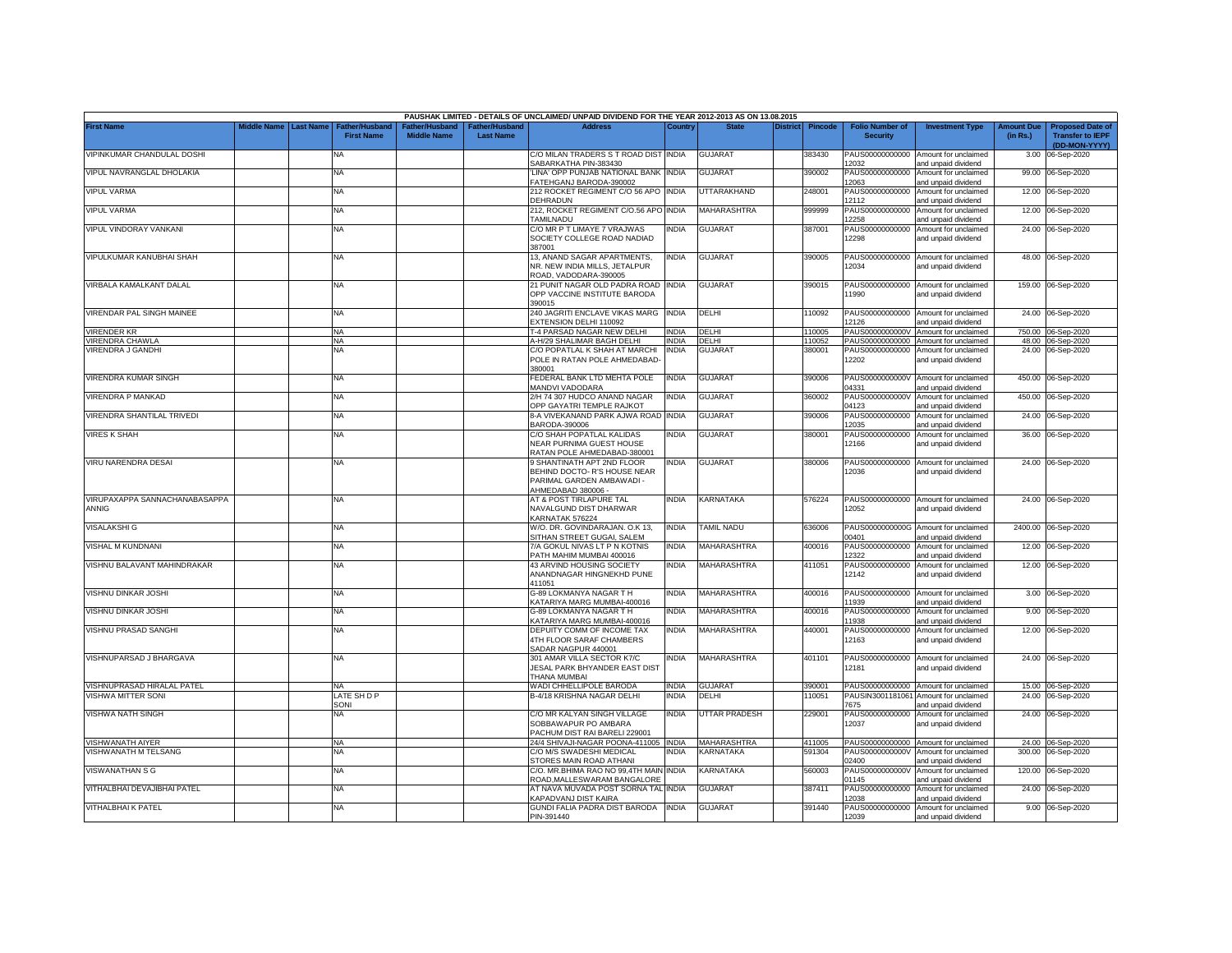|                                        |             |                  |                                     |                                      |                                           | PAUSHAK LIMITED - DETAILS OF UNCLAIMED/ UNPAID DIVIDEND FOR THE YEAR 2012-2013 AS ON 13.08.2015             |              |                    |                 |                |                                           |                                                             |                               |                                                                     |
|----------------------------------------|-------------|------------------|-------------------------------------|--------------------------------------|-------------------------------------------|-------------------------------------------------------------------------------------------------------------|--------------|--------------------|-----------------|----------------|-------------------------------------------|-------------------------------------------------------------|-------------------------------|---------------------------------------------------------------------|
| <b>First Name</b>                      | liddle Name | <b>Last Name</b> | Father/Husband<br><b>First Name</b> | Father/Husband<br><b>Middle Name</b> | <b>Father/Husband</b><br><b>Last Name</b> | <b>Address</b>                                                                                              | Country      | <b>State</b>       | <b>District</b> | <b>Pincode</b> | <b>Folio Number of</b><br><b>Security</b> | <b>Investment Type</b>                                      | <b>Amount Due</b><br>(in Rs.) | <b>Proposed Date of</b><br><b>Transfer to IEPF</b><br>(DD-MON-YYYY) |
| VIPINKUMAR CHANDULAL DOSHI             |             |                  | <b>NA</b>                           |                                      |                                           | C/O MILAN TRADERS S T ROAD DIST INDIA<br>SABARKATHA PIN-383430                                              |              | <b>GUJARAT</b>     |                 | 383430         | PAUS00000000000<br>2032                   | Amount for unclaimed<br>and unpaid dividend                 | 3.00                          | 06-Sep-2020                                                         |
| VIPUL NAVRANGLAL DHOLAKIA              |             |                  | <b>NA</b>                           |                                      |                                           | LINA' OPP PUNJAB NATIONAL BANK INDIA<br>FATEHGANJ BARODA-390002                                             |              | <b>GUJARAT</b>     |                 | 390002         | PAUS00000000000<br>12063                  | Amount for unclaimed<br>and unpaid dividend                 |                               | 99.00 06-Sep-2020                                                   |
| <b>VIPUL VARMA</b>                     |             |                  | <b>NA</b>                           |                                      |                                           | 212 ROCKET REGIMENT C/O 56 APO INDIA<br>DEHRADUN                                                            |              | UTTARAKHAND        |                 | 248001         | PAUS00000000000<br>12112                  | Amount for unclaimed<br>and unpaid dividend                 |                               | 12.00 06-Sep-2020                                                   |
| <b>VIPUL VARMA</b>                     |             |                  | <b>NA</b>                           |                                      |                                           | 212, ROCKET REGIMENT C/O.56 APO INDIA<br>TAMILNADU                                                          |              | <b>MAHARASHTRA</b> |                 | 999999         | PAUS00000000000<br>12258                  | Amount for unclaimed<br>and unpaid dividend                 |                               | 12.00 06-Sep-2020                                                   |
| VIPUL VINDORAY VANKANI                 |             |                  | <b>NA</b>                           |                                      |                                           | C/O MR P T LIMAYE 7 VRAJWAS<br>SOCIETY COLLEGE ROAD NADIAD<br>387001                                        | india        | <b>GUJARAT</b>     |                 | 387001         | PAUS00000000000<br>12298                  | Amount for unclaimed<br>and unpaid dividend                 |                               | 24.00 06-Sep-2020                                                   |
| VIPULKUMAR KANUBHAI SHAH               |             |                  | <b>NA</b>                           |                                      |                                           | 13. ANAND SAGAR APARTMENTS.<br>NR. NEW INDIA MILLS, JETALPUR<br>ROAD, VADODARA-390005                       | ndia         | <b>GUJARAT</b>     |                 | 390005         | PAUS00000000000<br>12034                  | Amount for unclaimed<br>and unpaid dividend                 |                               | 48.00 06-Sep-2020                                                   |
| VIRBALA KAMALKANT DALAL                |             |                  | <b>NA</b>                           |                                      |                                           | 21 PUNIT NAGAR OLD PADRA ROAD<br>OPP VACCINE INSTITUTE BARODA<br>390015                                     | <b>INDIA</b> | <b>GUJARAT</b>     |                 | 390015         | 11990                                     | PAUS00000000000 Amount for unclaimed<br>and unpaid dividend |                               | 159.00 06-Sep-2020                                                  |
| VIRENDAR PAL SINGH MAINEE              |             |                  | <b>NA</b>                           |                                      |                                           | 240 JAGRITI ENCLAVE VIKAS MARG INDIA<br><b>EXTENSION DELHI 110092</b>                                       |              | DELHI              |                 | 110092         | PAUS00000000000<br>12126                  | Amount for unclaimed<br>and unpaid dividend                 |                               | 24.00 06-Sep-2020                                                   |
| VIRENDER KR                            |             |                  | <b>NA</b>                           |                                      |                                           | T-4 PARSAD NAGAR NEW DELHI                                                                                  | <b>INDIA</b> | DELHI              |                 | 10005          | PAUS0000000000V                           | Amount for unclaimed                                        |                               | 750.00 06-Sep-2020                                                  |
| <b>VIRENDRA CHAWLA</b>                 |             |                  | NA                                  |                                      |                                           | A-H/29 SHALIMAR BAGH DELHI                                                                                  | <b>INDIA</b> | DELHI              |                 | 110052         | PAUS00000000000                           | Amount for unclaimed                                        |                               | 48.00 06-Sep-2020                                                   |
| VIRENDRA J GANDHI                      |             |                  | NA                                  |                                      |                                           | C/O POPATLAL K SHAH AT MARCHI                                                                               | INDIA        | <b>GUJARA</b>      |                 | 380001         | PAUS00000000000                           | Amount for unclaimed                                        |                               | 24.00 06-Sep-2020                                                   |
|                                        |             |                  |                                     |                                      |                                           | POLE IN RATAN POLE AHMEDABAD-<br>80001                                                                      |              |                    |                 |                | 12202                                     | and unpaid dividend                                         |                               |                                                                     |
| VIRENDRA KUMAR SINGH                   |             |                  | NA                                  |                                      |                                           | EDERAL BANK LTD MEHTA POLE<br><b>MANDVI VADODARA</b>                                                        | INDIA        | <b>GUJARAT</b>     |                 | 390006         | PAUS0000000000V<br>4331                   | Amount for unclaimed<br>and unpaid dividend                 | 450.00                        | 06-Sep-2020                                                         |
| VIRENDRA P MANKAD                      |             |                  | NA                                  |                                      |                                           | 2/H 74 307 HUDCO ANAND NAGAR<br><b>OPP GAYATRI TEMPLE RAJKOT</b>                                            | NDIA         | <b>GUJARAT</b>     |                 | 360002         | PAUS0000000000V<br>14123                  | Amount for unclaimed<br>and unpaid dividend                 | 450.00                        | 06-Sep-2020                                                         |
| VIRENDRA SHANTILAL TRIVEDI             |             |                  | ΝA                                  |                                      |                                           | 8-A VIVEKANAND PARK AJWA ROAD INDIA<br>3ARODA-390006                                                        |              | <b>GUJARAT</b>     |                 | 390006         | PAUS00000000000<br>12035                  | Amount for unclaimed<br>and unpaid dividend                 | 24.00                         | 06-Sep-2020                                                         |
| <b>VIRES K SHAH</b>                    |             |                  | ΝA                                  |                                      |                                           | C/O SHAH POPATLAL KALIDAS<br>NEAR PURNIMA GUEST HOUSE<br>RATAN POLE AHMEDABAD-380001                        | INDIA        | <b>GUJARAT</b>     |                 | 380001         | PAUS00000000000<br>12166                  | Amount for unclaimed<br>and unpaid dividend                 |                               | 36.00 06-Sep-2020                                                   |
| VIRU NARENDRA DESAI                    |             |                  | <b>NA</b>                           |                                      |                                           | 9 SHANTINATH APT 2ND FLOOR<br>BEHIND DOCTO- R'S HOUSE NEAR<br>PARIMAL GARDEN AMBAWADI -<br>AHMEDABAD 380006 | INDIA        | GUJARAT            |                 | 380006         | PAUS00000000000<br>12036                  | Amount for unclaimed<br>and unpaid dividend                 |                               | 24.00 06-Sep-2020                                                   |
| VIRUPAXAPPA SANNACHANABASAPPA<br>ANNIG |             |                  | <b>NA</b>                           |                                      |                                           | AT & POST TIRLAPURE TAL<br>NAVALGUND DIST DHARWAR<br><b>KARNATAK 576224</b>                                 | INDIA        | KARNATAKA          |                 | 576224         | 12052                                     | PAUS00000000000 Amount for unclaimed<br>and unpaid dividend |                               | 24.00 06-Sep-2020                                                   |
| <b>VISALAKSHI G</b>                    |             |                  | <b>NA</b>                           |                                      |                                           | W/O. DR. GOVINDARAJAN. O.K 13,<br>SITHAN STREET GUGAI, SALEM                                                | INDIA        | <b>TAMIL NADU</b>  |                 | 636006         | PAUS0000000000G<br>00401                  | Amount for unclaimed<br>and unpaid dividend                 | 2400.00                       | 06-Sep-2020                                                         |
| VISHAL M KUNDNANI                      |             |                  | <b>NA</b>                           |                                      |                                           | 7/A GOKUL NIVAS LT P N KOTNIS<br>PATH MAHIM MUMBAI 400016                                                   | INDIA        | MAHARASHTRA        |                 | 400016         | PAUS00000000000<br>12322                  | Amount for unclaimed<br>and unpaid dividend                 | 12.00                         | 06-Sep-2020                                                         |
| VISHNU BALAVANT MAHINDRAKAR            |             |                  | <b>NA</b>                           |                                      |                                           | 43 ARVIND HOUSING SOCIETY<br>ANANDNAGAR HINGNEKHD PUNE<br>411051                                            | NDIA         | MAHARASHTRA        |                 | 411051         | PAUS00000000000<br>12142                  | Amount for unclaimed<br>and unpaid dividend                 | 12.00                         | 06-Sep-2020                                                         |
| VISHNU DINKAR JOSHI                    |             |                  | <b>NA</b>                           |                                      |                                           | G-89 LOKMANYA NAGAR T H<br>KATARIYA MARG MUMBAI-400016                                                      | <b>INDIA</b> | MAHARASHTRA        |                 | 400016         | PAUS00000000000<br>11939                  | Amount for unclaimed<br>and unpaid dividend                 |                               | 3.00 06-Sep-2020                                                    |
| VISHNU DINKAR JOSHI                    |             |                  | <b>NA</b>                           |                                      |                                           | G-89 LOKMANYA NAGAR T H<br><b>KATARIYA MARG MUMBAI-400016</b>                                               | INDIA        | MAHARASHTRA        |                 | 400016         | PAUS00000000000<br>11938                  | Amount for unclaimed<br>and unpaid dividend                 | 9.00                          | 06-Sep-2020                                                         |
| VISHNU PRASAD SANGHI                   |             |                  | <b>NA</b>                           |                                      |                                           | DEPUITY COMM OF INCOME TAX<br>4TH FLOOR SARAF CHAMBERS<br>SADAR NAGPUR 440001                               | INDIA        | MAHARASHTRA        |                 | 440001         | PAUS00000000000<br>12163                  | Amount for unclaimed<br>and unpaid dividend                 |                               | 12.00 06-Sep-2020                                                   |
| VISHNUPARSAD J BHARGAVA                |             |                  | <b>NA</b>                           |                                      |                                           | 301 AMAR VILLA SECTOR K7/C<br><b>JESAL PARK BHYANDER EAST DIST</b><br>THANA MUMBAI                          | NDIA         | MAHARASHTRA        |                 | 401101         | PAUS00000000000<br>12181                  | Amount for unclaimed<br>and unpaid dividend                 |                               | 24.00 06-Sep-2020                                                   |
| VISHNUPRASAD HIRALAL PATEL             |             |                  | <b>NA</b>                           |                                      |                                           | WADI CHHELLIPOLE BARODA                                                                                     | <b>INDIA</b> | <b>GUJARAT</b>     |                 | 390001         | PAUS00000000000                           | Amount for unclaimed                                        |                               | 15.00 06-Sep-2020                                                   |
| VISHWA MITTER SONI                     |             |                  | LATE SH D P                         |                                      |                                           | B-4/18 KRISHNA NAGAR DELHI                                                                                  | NDIA         | DELHI              |                 | 10051          | PAUSIN3001181061                          | Amount for unclaimed                                        | 24.00                         | 06-Sep-2020                                                         |
|                                        |             |                  | SONI                                |                                      |                                           |                                                                                                             |              |                    |                 |                | 7675                                      | and unpaid dividend                                         |                               |                                                                     |
| VISHWA NATH SINGH                      |             |                  | ΝA                                  |                                      |                                           | C/O MR KALYAN SINGH VILLAGE<br>SOBBAWAPUR PO AMBARA<br>ACHUM DIST RAI BARELI 229001                         | India        | UTTAR PRADESH      |                 | 229001         | PAUS00000000000<br>12037                  | Amount for unclaimed<br>and unpaid dividend                 |                               | 24.00 06-Sep-2020                                                   |
| VISHWANATH AIYER                       |             |                  | <b>NA</b>                           |                                      |                                           | 24/4 SHIVAJI-NAGAR POONA-411005                                                                             | <b>INDIA</b> | MAHARASHTRA        |                 | 411005         | PAUS00000000000                           | Amount for unclaimed                                        |                               | 24.00 06-Sep-2020                                                   |
| VISHWANATH M TELSANG                   |             |                  | NA                                  |                                      |                                           | C/O M/S SWADESHI MEDICAL<br>STORES MAIN ROAD ATHANI                                                         | NDIA         | KARNATAKA          |                 | 591304         | PAUS0000000000V<br>02400                  | Amount for unclaimed<br>and unpaid dividend                 | 300.00                        | 06-Sep-2020                                                         |
| VISWANATHAN S G                        |             |                  | <b>NA</b>                           |                                      |                                           | C/O. MR.BHIMA RAO NO 99,4TH MAIN INDIA<br>ROAD, MALLESWARAM BANGALORE                                       |              | KARNATAKA          |                 | 560003         | PAUS0000000000V<br>01145                  | Amount for unclaimed<br>and unpaid dividend                 |                               | 120.00 06-Sep-2020                                                  |
| VITHALBHAI DEVAJIBHAI PATEL            |             |                  | <b>NA</b>                           |                                      |                                           | AT NAVA MUVADA POST SORNA TAL INDIA<br>KAPADVANJ DIST KAIRA                                                 |              | <b>GUJARAT</b>     |                 | 387411         | PAUS00000000000<br>12038                  | Amount for unclaimed<br>and unpaid dividend                 |                               | 24.00 06-Sep-2020                                                   |
| <b>VITHALBHAI K PATEL</b>              |             |                  | <b>NA</b>                           |                                      |                                           | GUNDI FALIA PADRA DIST BARODA<br>PIN-391440                                                                 | <b>INDIA</b> | <b>GUJARAT</b>     |                 | 391440         | 12039                                     | PAUS00000000000 Amount for unclaimed<br>and unpaid dividend |                               | 9.00 06-Sep-2020                                                    |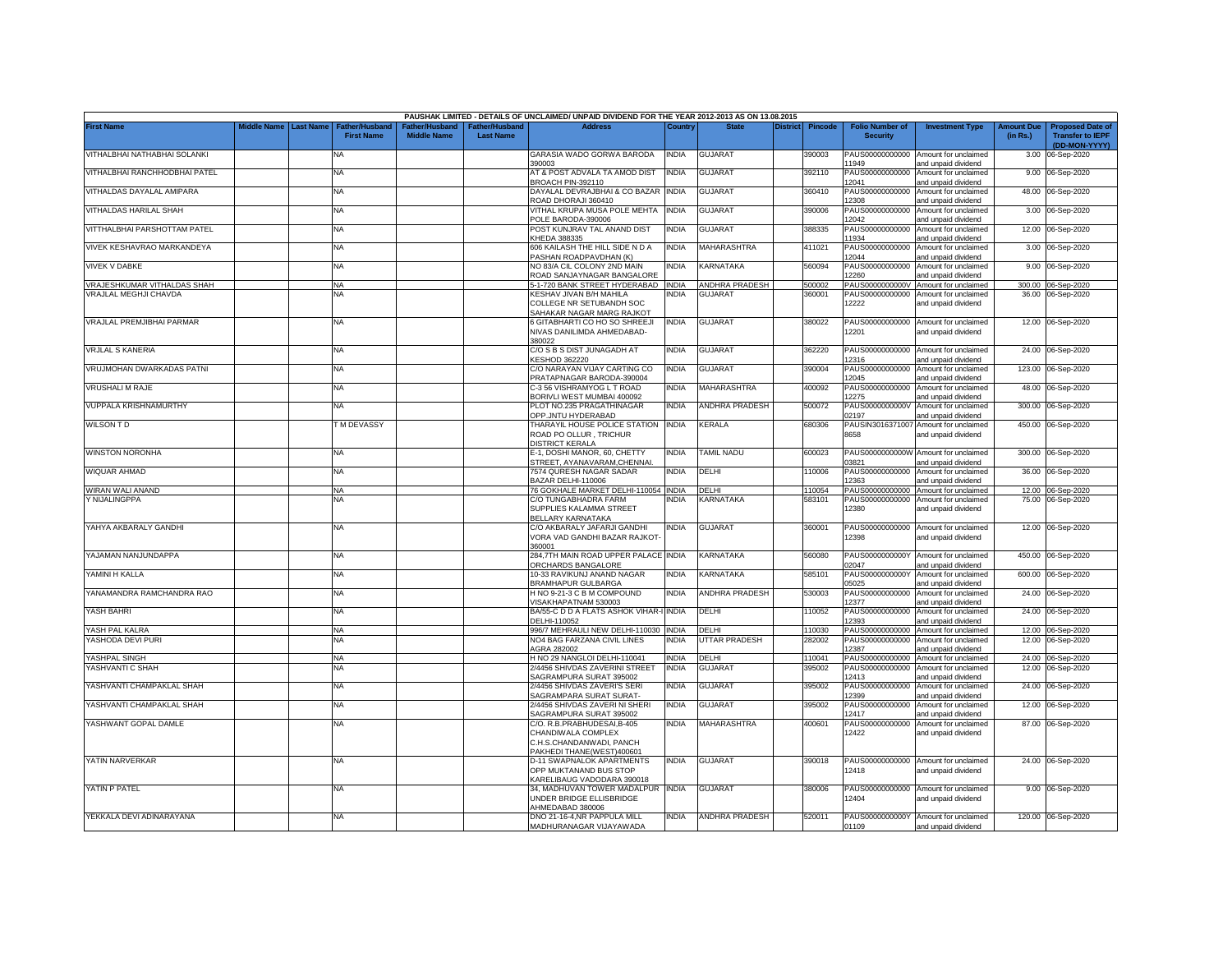|                               |             |                  |                                     |                                     |                                           | PAUSHAK LIMITED - DETAILS OF UNCLAIMED/ UNPAID DIVIDEND FOR THE YEAR 2012-2013 AS ON 13.08.2015           |              |                       |                 |                |                                           |                                                             |                               |                                                                     |
|-------------------------------|-------------|------------------|-------------------------------------|-------------------------------------|-------------------------------------------|-----------------------------------------------------------------------------------------------------------|--------------|-----------------------|-----------------|----------------|-------------------------------------------|-------------------------------------------------------------|-------------------------------|---------------------------------------------------------------------|
| <b>First Name</b>             | Middle Name | <b>Last Name</b> | Father/Husband<br><b>First Name</b> | ather/Husband<br><b>Middle Name</b> | <b>Father/Husband</b><br><b>Last Name</b> | <b>Address</b>                                                                                            | Country      | <b>State</b>          | <b>District</b> | <b>Pincode</b> | <b>Folio Number of</b><br><b>Security</b> | <b>Investment Type</b>                                      | <b>Amount Due</b><br>(in Rs.) | <b>Proposed Date of</b><br><b>Transfer to IEPF</b><br>(DD-MON-YYYY) |
| VITHALBHAI NATHABHAI SOLANKI  |             |                  | <b>NA</b>                           |                                     |                                           | GARASIA WADO GORWA BARODA<br>390003                                                                       | <b>INDIA</b> | <b>GUJARAT</b>        |                 | 390003         | 1949                                      | PAUS00000000000 Amount for unclaimed<br>and unpaid dividend |                               | 3.00 06-Sep-2020                                                    |
| VITHALBHAI RANCHHODBHAI PATEL |             |                  | <b>NA</b>                           |                                     |                                           | AT & POST ADVALA TA AMOD DIST<br>BROACH PIN-392110                                                        | <b>INDIA</b> | <b>GUJARAT</b>        |                 | 392110         | PAUS00000000000<br>12041                  | Amount for unclaimed<br>and unpaid dividend                 |                               | 9.00 06-Sep-2020                                                    |
| VITHALDAS DAYALAL AMIPARA     |             |                  | <b>NA</b>                           |                                     |                                           | DAYALAL DEVRAJBHAI & CO BAZAR<br>ROAD DHORAJI 360410                                                      | <b>INDIA</b> | <b>GUJARAT</b>        |                 | 360410         | PAUS00000000000<br>12308                  | Amount for unclaimed<br>and unpaid dividend                 |                               | 48.00 06-Sep-2020                                                   |
| VITHALDAS HARILAL SHAH        |             |                  | NA                                  |                                     |                                           | VITHAL KRUPA MUSA POLE MEHTA<br>POLE BARODA-390006                                                        | <b>INDIA</b> | <b>GUJARAT</b>        |                 | 390006         | PAUS00000000000<br>12042                  | Amount for unclaimed<br>and unpaid dividend                 |                               | 3.00 06-Sep-2020                                                    |
| VITTHALBHAI PARSHOTTAM PATEL  |             |                  | NA                                  |                                     |                                           | POST KUNJRAV TAL ANAND DIST<br><b>CHEDA 388335</b>                                                        | INDIA        | <b>GUJARAT</b>        |                 | 388335         | PAUS00000000000<br>11934                  | Amount for unclaimed<br>and unpaid dividend                 |                               | 12.00 06-Sep-2020                                                   |
| VIVEK KESHAVRAO MARKANDEYA    |             |                  | NA                                  |                                     |                                           | 606 KAILASH THE HILL SIDE N D A<br>ASHAN ROADPAVDHAN (K)                                                  | INDIA        | MAHARASHTRA           |                 | 411021         | PAUS00000000000<br>12044                  | Amount for unclaimed<br>and unpaid dividend                 |                               | 3.00 06-Sep-2020                                                    |
| <b>VIVEK V DABKE</b>          |             |                  | <b>NA</b>                           |                                     |                                           | <b>VO 83/A CIL COLONY 2ND MAIN</b><br><b>ROAD SANJAYNAGAR BANGALORE</b>                                   | NDIA         | <b>KARNATAKA</b>      |                 | 560094         | PAUS00000000000<br>12260                  | Amount for unclaimed<br>and unpaid dividend                 |                               | 9.00 06-Sep-2020                                                    |
| VRAJESHKUMAR VITHALDAS SHAH   |             |                  | NA                                  |                                     |                                           | -1-720 BANK STREET HYDERABAD INDIA                                                                        |              | <b>ANDHRA PRADESH</b> |                 | 500002         | PAUS0000000000V                           | Amount for unclaimed                                        |                               | 300.00 06-Sep-2020                                                  |
| <b>VRAJLAL MEGHJI CHAVDA</b>  |             |                  | NA                                  |                                     |                                           | KESHAV JIVAN B/H MAHILA<br>COLLEGE NR SETUBANDH SOC<br>SAHAKAR NAGAR MARG RAJKOT                          | NDIA         | <b>GUJARAT</b>        |                 | 360001         | PAUS00000000000<br>12222                  | Amount for unclaimed<br>and unpaid dividend                 |                               | 36.00 06-Sep-2020                                                   |
| VRAJLAL PREMJIBHAI PARMAR     |             |                  | NA                                  |                                     |                                           | 6 GITABHARTI CO HO SO SHREEJI<br>NIVAS DANILIMDA AHMEDABAD-<br>380022                                     | <b>INDIA</b> | <b>GUJARAT</b>        |                 | 380022         | 12201                                     | PAUS00000000000 Amount for unclaimed<br>and unpaid dividend |                               | 12.00 06-Sep-2020                                                   |
| <b>VRJLAL S KANERIA</b>       |             |                  | NA                                  |                                     |                                           | C/O S B S DIST JUNAGADH AT<br>KESHOD 362220                                                               | INDIA        | <b>GUJARAT</b>        |                 | 362220         | PAUS00000000000<br>12316                  | Amount for unclaimed<br>and unpaid dividend                 |                               | 24.00 06-Sep-2020                                                   |
| VRUJMOHAN DWARKADAS PATNI     |             |                  | <b>NA</b>                           |                                     |                                           | C/O NARAYAN VIJAY CARTING CO<br>PRATAPNAGAR BARODA-390004                                                 | INDIA        | <b>GUJARAT</b>        |                 | 390004         | PAUS00000000000<br>12045                  | Amount for unclaimed<br>and unpaid dividend                 | 123.00                        | 06-Sep-2020                                                         |
| <b>VRUSHALI M RAJE</b>        |             |                  | NA                                  |                                     |                                           | C-3 56 VISHRAMYOG L T ROAD<br>BORIVLI WEST MUMBAI 400092                                                  | INDIA        | MAHARASHTRA           |                 | 400092         | PAUS00000000000<br>12275                  | Amount for unclaimed<br>and unpaid dividend                 | 48.00                         | 06-Sep-2020                                                         |
| <b>VUPPALA KRISHNAMURTHY</b>  |             |                  | NA                                  |                                     |                                           | PLOT NO.235 PRAGATHINAGAR<br><b>OPP.JNTU HYDERABAD</b>                                                    | india        | ANDHRA PRADESH        |                 | 500072         | PAUS0000000000V<br>02197                  | Amount for unclaimed<br>and unpaid dividend                 | 300.00                        | 06-Sep-2020                                                         |
| <b>WILSON TD</b>              |             |                  | <b>TM DEVASSY</b>                   |                                     |                                           | THARAYIL HOUSE POLICE STATION<br>ROAD PO OLLUR, TRICHUR<br>DISTRICT KERALA                                | <b>INDIA</b> | KERALA                |                 | 680306         | PAUSIN3016371007<br>8658                  | Amount for unclaimed<br>and unpaid dividend                 | 450.00                        | 06-Sep-2020                                                         |
| <b>WINSTON NORONHA</b>        |             |                  | <b>NA</b>                           |                                     |                                           | E-1, DOSHI MANOR, 60, CHETTY<br>STREET, AYANAVARAM, CHENNAI                                               | India        | TAMIL NADU            |                 | 600023         | 03821                                     | PAUS0000000000W Amount for unclaimed<br>and unpaid dividend |                               | 300.00 06-Sep-2020                                                  |
| WIQUAR AHMAD                  |             |                  | <b>NA</b>                           |                                     |                                           | <b>7574 QURESH NAGAR SADAR</b><br>BAZAR DELHI-110006                                                      | NDIA         | DELHI                 |                 | 110006         | 12363                                     | PAUS00000000000 Amount for unclaimed<br>and unpaid dividend |                               | 36.00 06-Sep-2020                                                   |
| WIRAN WALI ANAND              |             |                  | NA                                  |                                     |                                           | 76 GOKHALE MARKET DELHI-110054 INDIA                                                                      |              | DELHI                 |                 | 110054         |                                           | PAUS00000000000 Amount for unclaimed                        |                               | 12.00 06-Sep-2020                                                   |
| Y NIJALINGPPA                 |             |                  | <b>NA</b>                           |                                     |                                           | C/O TUNGABHADRA FARM<br>SUPPLIES KALAMMA STREET<br><b>BELLARY KARNATAKA</b>                               | NDIA         | KARNATAKA             |                 | 583101         | 12380                                     | PAUS00000000000 Amount for unclaimed<br>and unpaid dividend |                               | 75.00 06-Sep-2020                                                   |
| YAHYA AKBARALY GANDHI         |             |                  | <b>NA</b>                           |                                     |                                           | C/O AKBARALY JAFARJI GANDHI<br><b>/ORA VAD GANDHI BAZAR RAJKOT-</b><br>360001                             | india        | <b>GUJARAT</b>        |                 | 360001         | 12398                                     | PAUS00000000000 Amount for unclaimed<br>and unpaid dividend |                               | 12.00 06-Sep-2020                                                   |
| YAJAMAN NANJUNDAPPA           |             |                  | NA                                  |                                     |                                           | 284,7TH MAIN ROAD UPPER PALACE INDIA<br>ORCHARDS BANGALORE                                                |              | KARNATAKA             |                 | 560080         | 02047                                     | PAUS0000000000Y Amount for unclaimed<br>and unpaid dividend |                               | 450.00 06-Sep-2020                                                  |
| YAMINI H KALLA                |             |                  | NA                                  |                                     |                                           | 10-33 RAVIKUNJ ANAND NAGAR<br><b>BRAMHAPUR GULBARGA</b>                                                   | <b>INDIA</b> | KARNATAKA             |                 | 585101         | PAUS0000000000Y<br>05025                  | Amount for unclaimed<br>and unpaid dividend                 |                               | 600.00 06-Sep-2020                                                  |
| YANAMANDRA RAMCHANDRA RAO     |             |                  | NA                                  |                                     |                                           | H NO 9-21-3 C B M COMPOUND<br>/ISAKHAPATNAM 530003                                                        | <b>INDIA</b> | <b>ANDHRA PRADESH</b> |                 | 530003         | PAUS00000000000<br>12377                  | Amount for unclaimed<br>and unpaid dividend                 |                               | 24.00 06-Sep-2020                                                   |
| YASH BAHRI                    |             |                  | <b>NA</b>                           |                                     |                                           | BA/55-C D D A FLATS ASHOK VIHAR-I<br>DELHI-110052                                                         | <b>INDIA</b> | DELHI                 |                 | 10052          | PAUS00000000000<br>12393                  | Amount for unclaimed<br>and unpaid dividend                 |                               | 24.00 06-Sep-2020                                                   |
| YASH PAL KALRA                |             |                  | NA                                  |                                     |                                           | 996/7 MEHRAULI NEW DELHI-110030                                                                           | <b>INDIA</b> | DELHI                 |                 | 10030          |                                           | PAUS00000000000 Amount for unclaimed                        |                               | 12.00 06-Sep-2020                                                   |
| YASHODA DEVI PURI             |             |                  | NA                                  |                                     |                                           | NO4 BAG FARZANA CIVIL LINES<br>AGRA 282002                                                                | NDIA         | <b>JTTAR PRADESH</b>  |                 | 282002         | PAUS00000000000<br>12387                  | Amount for unclaimed<br>and unpaid dividend                 |                               | 12.00 06-Sep-2020                                                   |
| YASHPAL SINGH                 |             |                  | <b>NA</b>                           |                                     |                                           | H NO 29 NANGLOI DELHI-110041                                                                              | <b>INDIA</b> | DELHI                 |                 | 110041         |                                           | PAUS00000000000 Amount for unclaimed                        |                               | 24.00 06-Sep-2020                                                   |
| YASHVANTI C SHAH              |             |                  | NA                                  |                                     |                                           | 2/4456 SHIVDAS ZAVERINI STREET<br>SAGRAMPURA SURAT 395002                                                 | <b>INDIA</b> | <b>GUJARAT</b>        |                 | 395002         | PAUS00000000000<br>12413                  | Amount for unclaimed<br>and unpaid dividend                 |                               | 12.00 06-Sep-2020                                                   |
| YASHVANTI CHAMPAKLAL SHAH     |             |                  | ΝA                                  |                                     |                                           | 2/4456 SHIVDAS ZAVERI'S SERI<br>SAGRAMPARA SURAT SURAT-                                                   | india        | <b>GUJARAT</b>        |                 | 395002         | PAUS00000000000<br>12399                  | Amount for unclaimed<br>and unpaid dividend                 |                               | 24.00 06-Sep-2020                                                   |
| YASHVANTI CHAMPAKLAL SHAH     |             |                  | <b>NA</b>                           |                                     |                                           | 2/4456 SHIVDAS ZAVERI NI SHERI<br>SAGRAMPURA SURAT 395002                                                 | INDIA        | <b>GUJARAT</b>        |                 | 395002         | PAUS00000000000<br>12417                  | Amount for unclaimed<br>and unpaid dividend                 | 12.00                         | 06-Sep-2020                                                         |
| YASHWANT GOPAL DAMLE          |             |                  | NA                                  |                                     |                                           | C/O. R.B.PRABHUDESAI,B-405<br>CHANDIWALA COMPLEX<br>C.H.S.CHANDANWADI, PANCH<br>PAKHEDI THANE(WEST)400601 | INDIA        | MAHARASHTRA           |                 | 400601         | PAUS00000000000<br>12422                  | Amount for unclaimed<br>and unpaid dividend                 |                               | 87.00 06-Sep-2020                                                   |
| YATIN NARVERKAR               |             |                  | NA                                  |                                     |                                           | <b>D-11 SWAPNALOK APARTMENTS</b><br>OPP MUKTANAND BUS STOP<br><b>KARELIBAUG VADODARA 390018</b>           | INDIA        | <b>GUJARAT</b>        |                 | 390018         | 12418                                     | PAUS00000000000 Amount for unclaimed<br>and unpaid dividend |                               | 24.00 06-Sep-2020                                                   |
| YATIN P PATEL                 |             |                  | <b>NA</b>                           |                                     |                                           | 34, MADHUVAN TOWER MADALPUR INDIA<br>JNDER BRIDGE ELLISBRIDGE<br>AHMEDABAD 380006                         |              | <b>GUJARAT</b>        |                 | 380006         | 12404                                     | PAUS00000000000 Amount for unclaimed<br>and unpaid dividend |                               | 9.00 06-Sep-2020                                                    |
| YEKKALA DEVI ADINARAYANA      |             |                  | NA                                  |                                     |                                           | DNO 21-16-4, NR PAPPULA MILL<br>MADHURANAGAR VIJAYAWADA                                                   | india        | <b>ANDHRA PRADESH</b> |                 | 520011         | 01109                                     | PAUS0000000000Y Amount for unclaimed<br>and unpaid dividend |                               | 120.00 06-Sep-2020                                                  |